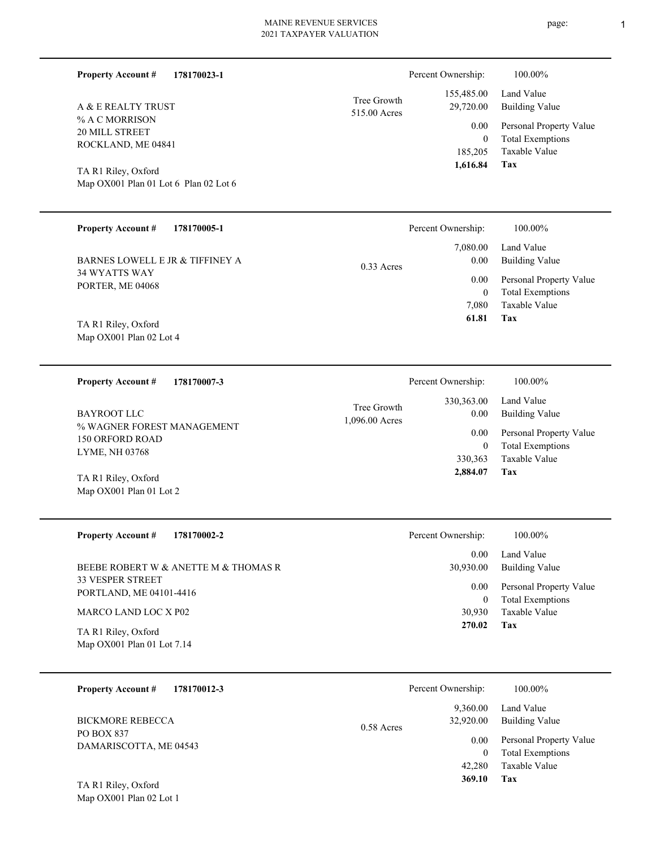| <b>Property Account #</b><br>178170023-1             |                             | Percent Ownership:         | 100.00%                                  |
|------------------------------------------------------|-----------------------------|----------------------------|------------------------------------------|
| A & E REALTY TRUST                                   | Tree Growth<br>515.00 Acres | 155,485.00<br>29,720.00    | Land Value<br><b>Building Value</b>      |
| % A C MORRISON                                       |                             | 0.00                       | Personal Property Value                  |
| 20 MILL STREET<br>ROCKLAND, ME 04841                 |                             | $\mathbf{0}$               | <b>Total Exemptions</b>                  |
|                                                      |                             | 185,205                    | Taxable Value                            |
| TA R1 Riley, Oxford                                  |                             | 1,616.84                   | <b>Tax</b>                               |
| Map OX001 Plan 01 Lot 6 Plan 02 Lot 6                |                             |                            |                                          |
|                                                      |                             |                            |                                          |
| <b>Property Account #</b><br>178170005-1             |                             | Percent Ownership:         | 100.00%                                  |
|                                                      |                             | 7,080.00                   | Land Value                               |
| BARNES LOWELL E JR & TIFFINEY A                      | $0.33$ Acres                | 0.00                       | <b>Building Value</b>                    |
| 34 WYATTS WAY                                        |                             | 0.00                       | Personal Property Value                  |
| PORTER, ME 04068                                     |                             | $\mathbf{0}$               | <b>Total Exemptions</b>                  |
|                                                      |                             | 7,080                      | <b>Taxable Value</b>                     |
| TA R1 Riley, Oxford                                  |                             | 61.81                      | Tax                                      |
| Map OX001 Plan 02 Lot 4                              |                             |                            |                                          |
|                                                      |                             |                            |                                          |
| <b>Property Account #</b><br>178170007-3             |                             | Percent Ownership:         | 100.00%                                  |
|                                                      | Tree Growth                 | 330,363.00                 | Land Value                               |
| <b>BAYROOT LLC</b>                                   | 1,096.00 Acres              | 0.00                       | <b>Building Value</b>                    |
| % WAGNER FOREST MANAGEMENT<br><b>150 ORFORD ROAD</b> |                             | 0.00                       | Personal Property Value                  |
| LYME, NH 03768                                       |                             | $\mathbf{0}$               | <b>Total Exemptions</b>                  |
|                                                      |                             | 330,363                    | Taxable Value                            |
| TA R1 Riley, Oxford                                  |                             | 2,884.07                   | Tax                                      |
| Map OX001 Plan 01 Lot 2                              |                             |                            |                                          |
|                                                      |                             |                            |                                          |
| <b>Property Account #</b><br>178170002-2             |                             | Percent Ownership:         | $100.00\%$                               |
|                                                      |                             | 0.00                       | Land Value                               |
| BEEBE ROBERT W & ANETTE M & THOMAS R                 |                             | 30,930.00                  | <b>Building Value</b>                    |
| 33 VESPER STREET<br>PORTLAND, ME 04101-4416          |                             | 0.00                       | Personal Property Value                  |
| MARCO LAND LOC X P02                                 |                             | $\boldsymbol{0}$<br>30,930 | <b>Total Exemptions</b><br>Taxable Value |
|                                                      |                             | 270.02                     | Tax                                      |
| TA R1 Riley, Oxford<br>Map OX001 Plan 01 Lot 7.14    |                             |                            |                                          |
|                                                      |                             |                            |                                          |
| <b>Property Account #</b><br>178170012-3             |                             | Percent Ownership:         | 100.00%                                  |
|                                                      |                             | 9,360.00                   | Land Value                               |
| <b>BICKMORE REBECCA</b>                              |                             | 32,920.00                  | <b>Building Value</b>                    |
| PO BOX 837                                           | 0.58 Acres                  |                            |                                          |
|                                                      |                             | 0.00                       | Personal Property Value                  |

**Tax 369.10**

Taxable Value 42,280 0 Total Exemptions

Map OX001 Plan 02 Lot 1 TA R1 Riley, Oxford

DAMARISCOTTA, ME 04543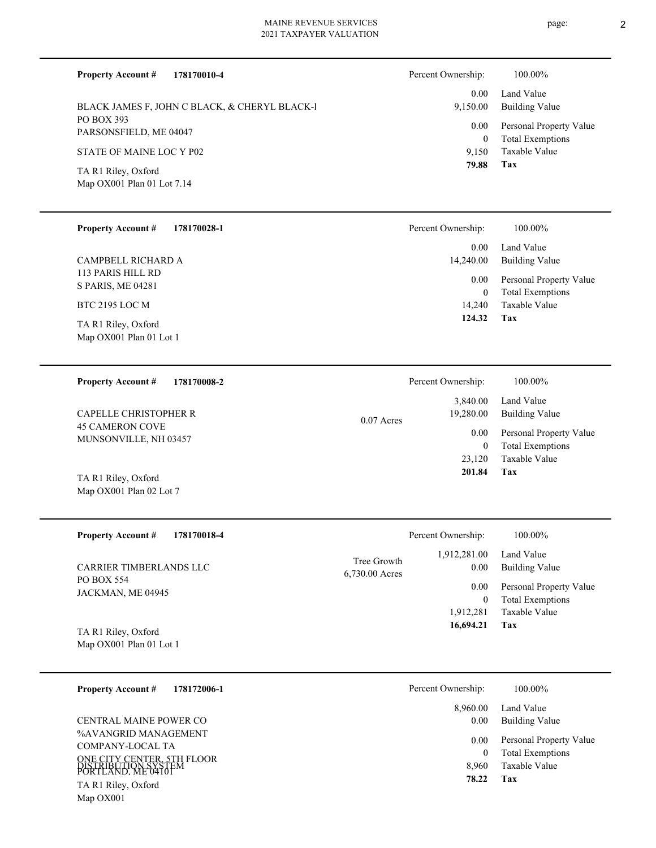| <b>Property Account #</b><br>178170010-4          |                               | Percent Ownership:       | 100.00%                                            |
|---------------------------------------------------|-------------------------------|--------------------------|----------------------------------------------------|
| BLACK JAMES F, JOHN C BLACK, & CHERYL BLACK-I     |                               | 0.00<br>9,150.00         | Land Value<br><b>Building Value</b>                |
| PO BOX 393<br>PARSONSFIELD, ME 04047              |                               | 0.00<br>$\mathbf{0}$     | Personal Property Value<br><b>Total Exemptions</b> |
| STATE OF MAINE LOC Y P02                          |                               | 9,150<br>79.88           | Taxable Value<br><b>Tax</b>                        |
| TA R1 Riley, Oxford<br>Map OX001 Plan 01 Lot 7.14 |                               |                          |                                                    |
| <b>Property Account #</b><br>178170028-1          |                               | Percent Ownership:       | 100.00%                                            |
| CAMPBELL RICHARD A                                |                               | 0.00<br>14,240.00        | Land Value<br><b>Building Value</b>                |
| 113 PARIS HILL RD<br>S PARIS, ME 04281            |                               | 0.00<br>$\boldsymbol{0}$ | Personal Property Value<br><b>Total Exemptions</b> |
| <b>BTC 2195 LOC M</b>                             |                               | 14,240                   | Taxable Value                                      |
| TA R1 Riley, Oxford<br>Map OX001 Plan 01 Lot 1    |                               | 124.32                   | Tax                                                |
| <b>Property Account #</b><br>178170008-2          |                               | Percent Ownership:       | 100.00%                                            |
| <b>CAPELLE CHRISTOPHER R</b>                      | $0.07$ Acres                  | 3,840.00<br>19,280.00    | Land Value<br><b>Building Value</b>                |
| <b>45 CAMERON COVE</b><br>MUNSONVILLE, NH 03457   |                               | 0.00<br>$\mathbf{0}$     | Personal Property Value<br><b>Total Exemptions</b> |
| TA R1 Riley, Oxford                               |                               | 23,120<br>201.84         | <b>Taxable Value</b><br><b>Tax</b>                 |
| Map OX001 Plan 02 Lot 7                           |                               |                          |                                                    |
| <b>Property Account #</b><br>178170018-4          |                               | Percent Ownership:       | 100.00%                                            |
| <b>CARRIER TIMBERLANDS LLC</b>                    | Tree Growth<br>6,730.00 Acres | 1,912,281.00<br>0.00     | Land Value<br><b>Building Value</b>                |
| <b>PO BOX 554</b><br>JACKMAN, ME 04945            |                               | 0.00<br>$\mathbf{0}$     | Personal Property Value<br><b>Total Exemptions</b> |

Map OX001 Plan 01 Lot 1 TA R1 Riley, Oxford

| 178172006-1<br><b>Property Account #</b>                                                                                                                | Percent Ownership:                 | 100.00%                                                                    |
|---------------------------------------------------------------------------------------------------------------------------------------------------------|------------------------------------|----------------------------------------------------------------------------|
| CENTRAL MAINE POWER CO                                                                                                                                  | 8,960.00<br>0.00                   | Land Value<br><b>Building Value</b>                                        |
| %AVANGRID MANAGEMENT<br>COMPANY-LOCAL TA<br>ONE CITY CENTER, 5TH FLOOR<br>DISTRIBUTION SYSTEM<br>PORTLAND. ME 04101<br>TA R1 Riley, Oxford<br>Map OX001 | 0.00<br>$\theta$<br>8.960<br>78.22 | Personal Property Value<br><b>Total Exemptions</b><br>Taxable Value<br>Tax |

**Tax**

 1,912,281  $\boldsymbol{0}$ 

 **16,694.21**

Taxable Value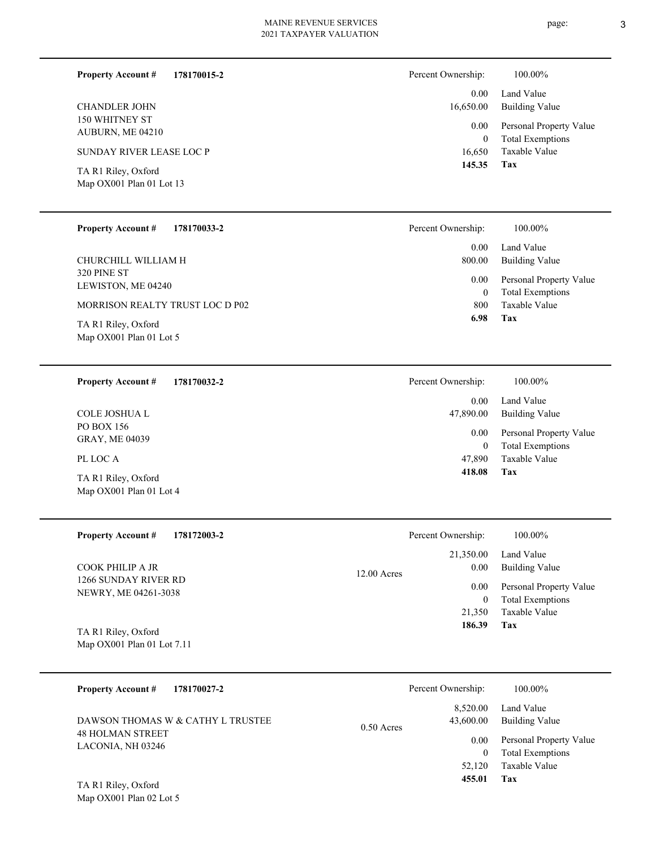**178170015-2 Property Account #**

150 WHITNEY ST AUBURN, ME 04210 CHANDLER JOHN

SUNDAY RIVER LEASE LOC P

Map OX001 Plan 01 Lot 13 TA R1 Riley, Oxford

#### **178170033-2 Property Account #**

320 PINE ST LEWISTON, ME 04240 CHURCHILL WILLIAM H

MORRISON REALTY TRUST LOC D P02

Map OX001 Plan 01 Lot 5 TA R1 Riley, Oxford

#### **178170032-2 Property Account #**

PO BOX 156 GRAY, ME 04039 COLE JOSHUA L

# PL LOC A

Map OX001 Plan 01 Lot 4 TA R1 Riley, Oxford

#### **178172003-2 Property Account #**

1266 SUNDAY RIVER RD NEWRY, ME 04261-3038 COOK PHILIP A JR

Map OX001 Plan 01 Lot 7.11 TA R1 Riley, Oxford

| 178170027-2<br><b>Property Account #</b>                     | Percent Ownership:                    | 100.00%                      |
|--------------------------------------------------------------|---------------------------------------|------------------------------|
| DAWSON THOMAS W & CATHY L TRUSTEE<br><b>48 HOLMAN STREET</b> | 8.520.00<br>43,600.00<br>$0.50$ Acres | Land Value<br>Building Value |
| LACONIA, NH 03246                                            | 0.00                                  | Personal Property Value      |
|                                                              | 0                                     | <b>Total Exemptions</b>      |
|                                                              | 52,120                                | Taxable Value                |
| TA R1 Riley, Oxford                                          | 455.01                                | Tax                          |

12.00

| 16,650 | Taxable Value |  |
|--------|---------------|--|

| 145.35 | l ax |
|--------|------|
|        |      |

| Percent Ownership: | 100.00%                 |
|--------------------|-------------------------|
| $0.00 -$           | Land Value              |
| 800.00             | <b>Building Value</b>   |
| $0.00\,$           | Personal Property Value |
| 0                  | <b>Total Exemptions</b> |
| 800-               | Taxable Value           |
| 6.98               | Tax                     |

| Percent Ownership: | 100.00%                 |
|--------------------|-------------------------|
| $0.00 -$           | Land Value              |
| 47,890.00          | Building Value          |
| $0.00\,$           | Personal Property Value |
| 0                  | <b>Total Exemptions</b> |
| 47,890             | Taxable Value           |
| 418.08             | Tax                     |

|       | Percent Ownership:            | 100.00%                                                                    |
|-------|-------------------------------|----------------------------------------------------------------------------|
| Acres | 0.00                          | 21,350.00 Land Value<br><b>Building Value</b>                              |
|       | 0.00<br>0<br>21,350<br>186.39 | Personal Property Value<br><b>Total Exemptions</b><br>Taxable Value<br>Tax |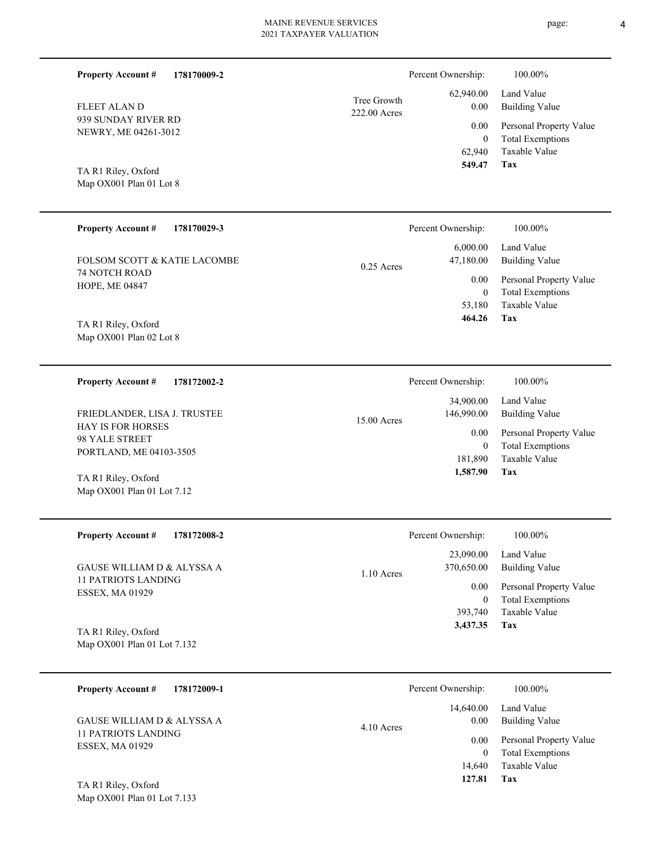| <b>Property Account #</b><br>178170009-2           |                             | Percent Ownership:       | 100.00%                                            |
|----------------------------------------------------|-----------------------------|--------------------------|----------------------------------------------------|
| <b>FLEET ALAND</b>                                 | Tree Growth<br>222.00 Acres | 62,940.00<br>0.00        | Land Value<br><b>Building Value</b>                |
| 939 SUNDAY RIVER RD<br>NEWRY, ME 04261-3012        |                             | 0.00<br>$\mathbf{0}$     | Personal Property Value<br><b>Total Exemptions</b> |
| TA R1 Riley, Oxford<br>Map OX001 Plan 01 Lot 8     |                             | 62,940<br>549.47         | Taxable Value<br><b>Tax</b>                        |
| <b>Property Account #</b><br>178170029-3           |                             | Percent Ownership:       | 100.00%                                            |
| FOLSOM SCOTT & KATIE LACOMBE                       | $0.25$ Acres                | 6,000.00<br>47,180.00    | Land Value<br><b>Building Value</b>                |
| 74 NOTCH ROAD<br>HOPE, ME 04847                    |                             | 0.00                     | Personal Property Value<br><b>Total Exemptions</b> |
|                                                    |                             | $\mathbf{0}$<br>53,180   | Taxable Value                                      |
| TA R1 Riley, Oxford<br>Map OX001 Plan 02 Lot 8     |                             | 464.26                   | Tax                                                |
|                                                    |                             |                          |                                                    |
| <b>Property Account #</b><br>178172002-2           |                             | Percent Ownership:       | 100.00%                                            |
| FRIEDLANDER, LISA J. TRUSTEE                       |                             | 34,900.00<br>146,990.00  | Land Value<br><b>Building Value</b>                |
| <b>HAY IS FOR HORSES</b><br>98 YALE STREET         | 15.00 Acres                 | 0.00                     | Personal Property Value                            |
| PORTLAND, ME 04103-3505                            |                             | $\mathbf{0}$<br>181,890  | <b>Total Exemptions</b><br>Taxable Value           |
| TA R1 Riley, Oxford<br>Map OX001 Plan 01 Lot 7.12  |                             | 1,587.90                 | Tax                                                |
|                                                    |                             |                          |                                                    |
| Property Account #<br>178172008-2                  |                             | Percent Ownership:       | $100.00\%$                                         |
| GAUSE WILLIAM D & ALYSSA A                         | 1.10 Acres                  | 23,090.00<br>370,650.00  | Land Value<br><b>Building Value</b>                |
| <b>11 PATRIOTS LANDING</b><br>ESSEX, MA 01929      |                             | 0.00<br>$\boldsymbol{0}$ | Personal Property Value<br><b>Total Exemptions</b> |
|                                                    |                             | 393,740                  | Taxable Value<br>Tax                               |
| TA R1 Riley, Oxford<br>Map OX001 Plan 01 Lot 7.132 |                             | 3,437.35                 |                                                    |
|                                                    |                             |                          |                                                    |
| 178172009-1<br><b>Property Account #</b>           |                             | Percent Ownership:       | 100.00%                                            |
| GAUSE WILLIAM D & ALYSSA A                         |                             | 14,640.00<br>0.00        | Land Value<br><b>Building Value</b>                |
| <b>11 PATRIOTS LANDING</b><br>ESSEX, MA 01929      | 4.10 Acres                  | 0.00<br>$\mathbf{0}$     | Personal Property Value<br><b>Total Exemptions</b> |

**Tax 127.81**

14,640

Taxable Value

Map OX001 Plan 01 Lot 7.133 TA R1 Riley, Oxford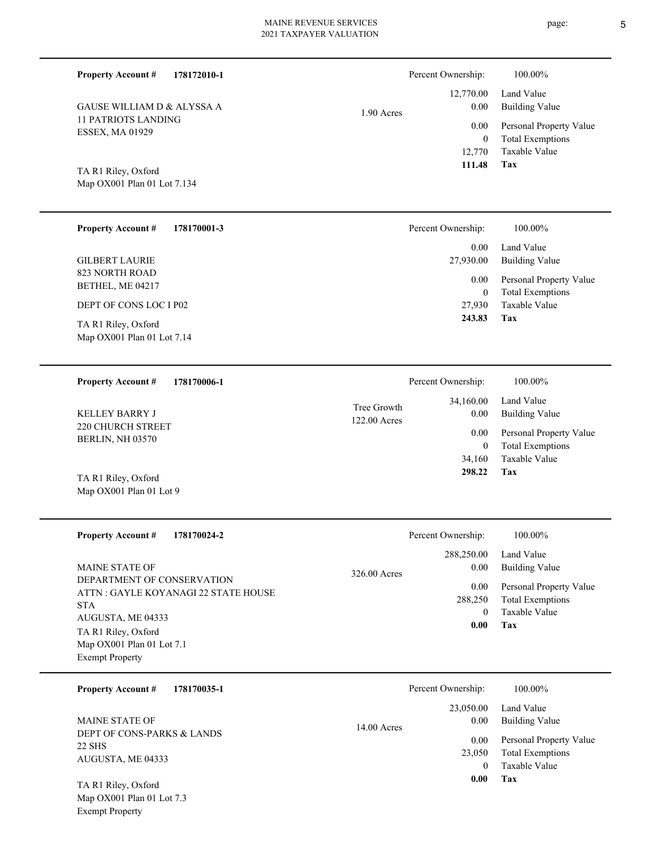1.90 Acres

Map OX001 Plan 01 Lot 7.134 TA R1 Riley, Oxford

11 PATRIOTS LANDING ESSEX, MA 01929

GAUSE WILLIAM D & ALYSSA A

**Property Account #**

**178172010-1**

| <b>Property Account #</b><br>178170001-3          | Percent Ownership:         | 100.00%                                            |
|---------------------------------------------------|----------------------------|----------------------------------------------------|
|                                                   | 0.00                       | Land Value                                         |
| <b>GILBERT LAURIE</b>                             | 27,930.00                  | <b>Building Value</b>                              |
| 823 NORTH ROAD<br>BETHEL, ME 04217                | $0.00\,$<br>$\overline{0}$ | Personal Property Value<br><b>Total Exemptions</b> |
| DEPT OF CONS LOC I P02                            | 27,930                     | Taxable Value                                      |
| TA R1 Riley, Oxford<br>Map OX001 Plan 01 Lot 7.14 | 243.83                     | Tax                                                |
| <b>Property Account #</b><br>178170006-1          | Percent Ownership:         | 100.00%                                            |

220 CHURCH STREET BERLIN, NH 03570 KELLEY BARRY J 122.00 Acres Tree Growth

Map OX001 Plan 01 Lot 9 TA R1 Riley, Oxford

Exempt Property

| <b>Property Account #</b><br>178170024-2                                                                                                                                                                     | Percent Ownership:                                                        | 100.00%                                                                                                    |
|--------------------------------------------------------------------------------------------------------------------------------------------------------------------------------------------------------------|---------------------------------------------------------------------------|------------------------------------------------------------------------------------------------------------|
| <b>MAINE STATE OF</b><br>DEPARTMENT OF CONSERVATION<br>ATTN : GAYLE KOYANAGI 22 STATE HOUSE<br><b>STA</b><br>AUGUSTA, ME 04333<br>TA R1 Riley, Oxford<br>Map OX001 Plan 01 Lot 7.1<br><b>Exempt Property</b> | 288,250.00<br>0.00<br>326.00 Acres<br>0.00<br>288,250<br>$\theta$<br>0.00 | Land Value<br>Building Value<br>Personal Property Value<br><b>Total Exemptions</b><br>Taxable Value<br>Tax |

| 178170035-1<br><b>Property Account #</b> | Percent Ownership:    | 100.00%                 |
|------------------------------------------|-----------------------|-------------------------|
|                                          | 23,050.00             | Land Value              |
| <b>MAINE STATE OF</b>                    | 0.00<br>$14.00$ Acres | Building Value          |
| DEPT OF CONS-PARKS & LANDS               | 0.00                  | Personal Property Value |
| 22 SHS<br>AUGUSTA, ME 04333              | 23,050                | <b>Total Exemptions</b> |
|                                          | $\theta$              | Taxable Value           |
| TA R1 Riley, Oxford                      | 0.00                  | Tax                     |
| Map OX001 Plan 01 Lot 7.3                |                       |                         |

**Tax**

**Tax**

 34,160 0

 34,160.00 0.00 0.00

 **298.22**

Taxable Value Total Exemptions Personal Property Value

Building Value Land Value

 12,770 0

 12,770.00 0.00 0.00

Percent Ownership:  $100.00\%$ 

 **111.48**

Taxable Value Total Exemptions Personal Property Value

Building Value Land Value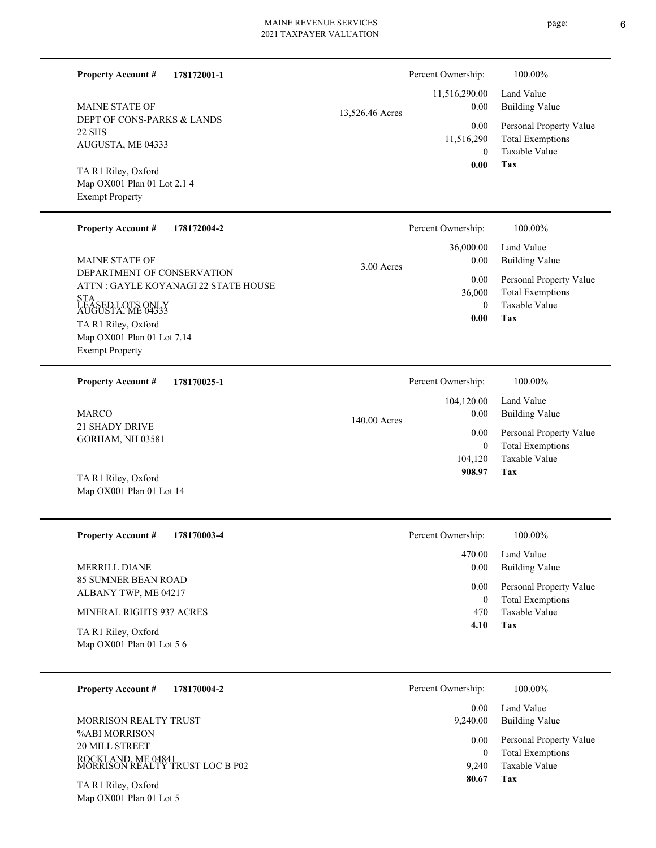| <b>Property Account #</b><br>178172001-1                                     |                 | Percent Ownership:              | 100.00%                                                             |
|------------------------------------------------------------------------------|-----------------|---------------------------------|---------------------------------------------------------------------|
| <b>MAINE STATE OF</b>                                                        | 13,526.46 Acres | 11,516,290.00<br>0.00           | Land Value<br><b>Building Value</b>                                 |
| DEPT OF CONS-PARKS & LANDS<br>22 SHS                                         |                 | 0.00                            | Personal Property Value                                             |
| AUGUSTA, ME 04333                                                            |                 | 11,516,290<br>$\theta$          | <b>Total Exemptions</b><br>Taxable Value                            |
| TA R1 Riley, Oxford<br>Map OX001 Plan 01 Lot 2.1 4<br><b>Exempt Property</b> |                 | 0.00                            | Tax                                                                 |
| <b>Property Account #</b><br>178172004-2                                     |                 | Percent Ownership:              | 100.00%                                                             |
| <b>MAINE STATE OF</b>                                                        | $3.00$ Acres    | 36,000.00<br>0.00               | Land Value<br><b>Building Value</b>                                 |
| DEPARTMENT OF CONSERVATION<br>ATTN : GAYLE KOYANAGI 22 STATE HOUSE           |                 | 0.00<br>36,000                  | Personal Property Value<br><b>Total Exemptions</b>                  |
| STA<br>ĽÉ ÁSED LOTS ONLY<br>AUGUSTA. ME 04333                                |                 | $\theta$<br>0.00                | Taxable Value<br>Tax                                                |
| TA R1 Riley, Oxford<br>Map OX001 Plan 01 Lot 7.14<br><b>Exempt Property</b>  |                 |                                 |                                                                     |
| <b>Property Account #</b><br>178170025-1                                     |                 | Percent Ownership:              | 100.00%                                                             |
|                                                                              |                 | 104,120.00                      | Land Value                                                          |
| <b>MARCO</b><br><b>21 SHADY DRIVE</b>                                        | 140.00 Acres    | 0.00                            | <b>Building Value</b>                                               |
| GORHAM, NH 03581                                                             |                 | 0.00<br>$\mathbf{0}$<br>104,120 | Personal Property Value<br><b>Total Exemptions</b><br>Taxable Value |
| TA R1 Riley, Oxford<br>Map OX001 Plan 01 Lot 14                              |                 | 908.97                          | Tax                                                                 |
| <b>Property Account #</b><br>178170003-4                                     |                 | Percent Ownership:              | 100.00%                                                             |
| MERRILL DIANE                                                                |                 | 470.00<br>0.00                  | Land Value<br><b>Building Value</b>                                 |
| <b>85 SUMNER BEAN ROAD</b><br>ALBANY TWP, ME 04217                           |                 | 0.00<br>$\overline{0}$          | Personal Property Value<br><b>Total Exemptions</b>                  |
| MINERAL RIGHTS 937 ACRES                                                     |                 | 470                             | Taxable Value                                                       |
| TA R1 Riley, Oxford<br>Map OX001 Plan 01 Lot 5 6                             |                 | 4.10                            | Tax                                                                 |
| <b>Property Account #</b><br>178170004-2                                     |                 | Percent Ownership:              | 100.00%                                                             |
| MORRISON REALTY TRUST                                                        |                 | 0.00<br>9,240.00                | Land Value<br><b>Building Value</b>                                 |
| %ABI MORRISON<br>20 MILL STREET                                              |                 | 0.00<br>$\overline{0}$          | Personal Property Value<br><b>Total Exemptions</b>                  |
| ROCKLAND, ME 04841<br>MORRISON REALTY TRUST LOC B P02                        |                 | 9,240                           | Taxable Value                                                       |
| $TA$ D <sub>1</sub> D <sub>ilov</sub> $Ov$ ford                              |                 | 80.67                           | Tax                                                                 |

Map OX001 Plan 01 Lot 5 TA R1 Riley, Oxford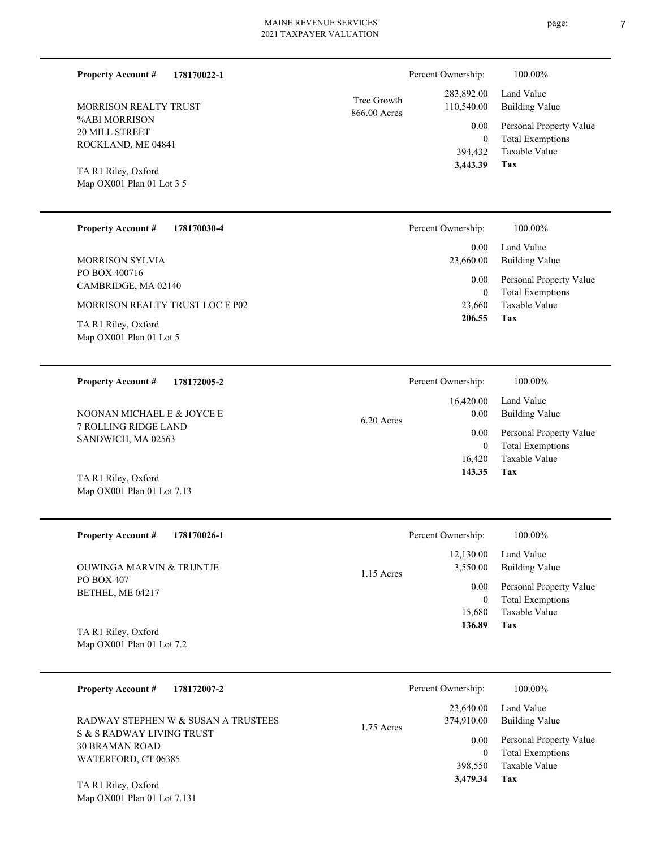| 178170022-1<br><b>Property Account #</b>   |                             | Percent Ownership:       | 100.00%                             |
|--------------------------------------------|-----------------------------|--------------------------|-------------------------------------|
| MORRISON REALTY TRUST                      | Tree Growth<br>866.00 Acres | 283,892.00<br>110,540.00 | Land Value<br><b>Building Value</b> |
| %ABI MORRISON                              |                             | 0.00                     | Personal Property Value             |
| 20 MILL STREET<br>ROCKLAND, ME 04841       |                             | $\overline{0}$           | <b>Total Exemptions</b>             |
|                                            |                             | 394,432                  | Taxable Value                       |
| TA R1 Riley, Oxford                        |                             | 3,443.39                 | Tax                                 |
| Map OX001 Plan 01 Lot 3 5                  |                             |                          |                                     |
|                                            |                             |                          |                                     |
| <b>Property Account #</b><br>178170030-4   |                             | Percent Ownership:       | 100.00%                             |
|                                            |                             | 0.00                     | Land Value                          |
| <b>MORRISON SYLVIA</b>                     |                             | 23,660.00                | <b>Building Value</b>               |
| PO BOX 400716                              |                             | 0.00                     | Personal Property Value             |
| CAMBRIDGE, MA 02140                        |                             | $\mathbf{0}$             | <b>Total Exemptions</b>             |
| MORRISON REALTY TRUST LOC E P02            |                             | 23,660                   | Taxable Value                       |
| TA R1 Riley, Oxford                        |                             | 206.55                   | Tax                                 |
| Map OX001 Plan 01 Lot 5                    |                             |                          |                                     |
|                                            |                             |                          |                                     |
| 178172005-2                                |                             |                          | 100.00%                             |
| <b>Property Account #</b>                  |                             | Percent Ownership:       |                                     |
|                                            |                             | 16,420.00                | Land Value                          |
| NOONAN MICHAEL E & JOYCE E                 | 6.20 Acres                  | 0.00                     | <b>Building Value</b>               |
| 7 ROLLING RIDGE LAND<br>SANDWICH, MA 02563 |                             | 0.00                     | Personal Property Value             |
|                                            |                             | $\boldsymbol{0}$         | <b>Total Exemptions</b>             |
|                                            |                             | 16,420                   | Taxable Value                       |
| TA R1 Riley, Oxford                        |                             | 143.35                   | Tax                                 |
| Map OX001 Plan 01 Lot 7.13                 |                             |                          |                                     |
|                                            |                             |                          |                                     |
| Property Account #<br>178170026-1          |                             | Percent Ownership:       | $100.00\%$                          |
|                                            |                             | 12,130.00                | Land Value                          |
| <b>OUWINGA MARVIN &amp; TRIJNTJE</b>       | 1.15 Acres                  | 3,550.00                 | <b>Building Value</b>               |
| PO BOX 407                                 |                             | 0.00                     | Personal Property Value             |
| BETHEL, ME 04217                           |                             | $\boldsymbol{0}$         | <b>Total Exemptions</b>             |
|                                            |                             | 15,680                   | Taxable Value                       |
| TA R1 Riley, Oxford                        |                             | 136.89                   | <b>Tax</b>                          |
| Map OX001 Plan 01 Lot 7.2                  |                             |                          |                                     |
|                                            |                             |                          |                                     |
| <b>Property Account #</b><br>178172007-2   |                             | Percent Ownership:       | 100.00%                             |
|                                            |                             |                          |                                     |
| RADWAY STEPHEN W & SUSAN A TRUSTEES        |                             | 23,640.00<br>374,910.00  | Land Value<br><b>Building Value</b> |
| CDADWAY LIVING TRUST                       | 1.75 Acres                  |                          |                                     |

S & S RADWAY LIVING TRUST 30 BRAMAN ROAD WATERFORD, CT 06385

Map OX001 Plan 01 Lot 7.131 TA R1 Riley, Oxford

|           | Percent Ownership: | 100.00%                 |
|-----------|--------------------|-------------------------|
|           | 23,640.00          | Land Value              |
| .75 Acres | 374,910.00         | <b>Building Value</b>   |
|           | 0.00               | Personal Property Value |
|           | 0                  | <b>Total Exemptions</b> |
|           | 398,550            | Taxable Value           |
|           | 3,479.34           | Tax                     |
|           |                    |                         |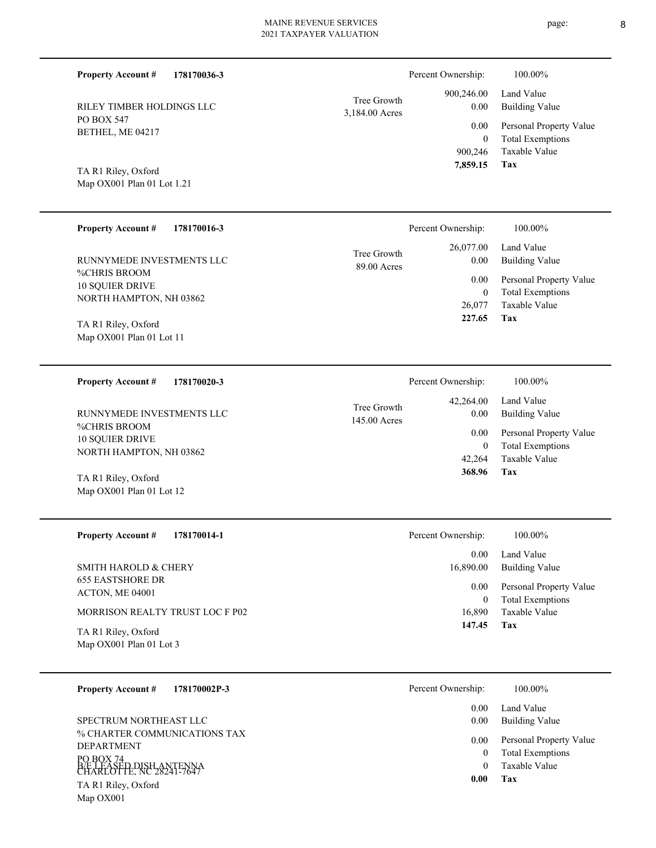| <b>Property Account #</b><br>178170036-3          |                               | Percent Ownership:       | 100.00%                                            |
|---------------------------------------------------|-------------------------------|--------------------------|----------------------------------------------------|
| RILEY TIMBER HOLDINGS LLC                         | Tree Growth<br>3,184.00 Acres | 900,246.00<br>0.00       | Land Value<br><b>Building Value</b>                |
| PO BOX 547<br>BETHEL, ME 04217                    |                               | 0.00<br>$\mathbf{0}$     | Personal Property Value<br><b>Total Exemptions</b> |
| TA R1 Riley, Oxford<br>Map OX001 Plan 01 Lot 1.21 |                               | 900,246<br>7,859.15      | Taxable Value<br>Tax                               |
| <b>Property Account #</b><br>178170016-3          |                               | Percent Ownership:       | 100.00%                                            |
| RUNNYMEDE INVESTMENTS LLC                         | Tree Growth<br>89.00 Acres    | 26,077.00<br>0.00        | Land Value<br><b>Building Value</b>                |
| %CHRIS BROOM<br><b>10 SQUIER DRIVE</b>            |                               | 0.00                     | Personal Property Value                            |
| NORTH HAMPTON, NH 03862                           |                               | $\mathbf{0}$<br>26,077   | <b>Total Exemptions</b><br>Taxable Value           |
| TA R1 Riley, Oxford                               |                               | 227.65                   | Tax                                                |
| Map OX001 Plan 01 Lot 11                          |                               |                          |                                                    |
|                                                   |                               |                          |                                                    |
| <b>Property Account #</b><br>178170020-3          |                               | Percent Ownership:       | 100.00%                                            |
| RUNNYMEDE INVESTMENTS LLC                         | Tree Growth<br>145.00 Acres   | 42,264.00<br>0.00        | Land Value<br><b>Building Value</b>                |
| %CHRIS BROOM<br>10 SQUIER DRIVE                   |                               | 0.00                     | Personal Property Value                            |
| NORTH HAMPTON, NH 03862                           |                               | $\mathbf{0}$<br>42,264   | <b>Total Exemptions</b><br>Taxable Value           |
| TA R1 Riley, Oxford                               |                               | 368.96                   | Tax                                                |
| Map OX001 Plan 01 Lot 12                          |                               |                          |                                                    |
| Property Account #<br>178170014-1                 |                               | Percent Ownership:       | 100.00%                                            |
|                                                   |                               | 0.00                     | Land Value                                         |
| SMITH HAROLD & CHERY                              |                               | 16,890.00                | <b>Building Value</b>                              |
| <b>655 EASTSHORE DR</b><br>ACTON, ME 04001        |                               | 0.00<br>$\boldsymbol{0}$ | Personal Property Value<br><b>Total Exemptions</b> |
| MORRISON REALTY TRUST LOC F P02                   |                               | 16,890                   | Taxable Value                                      |
| TA R1 Riley, Oxford<br>Map OX001 Plan 01 Lot 3    |                               | 147.45                   | <b>Tax</b>                                         |
| <b>Property Account #</b><br>178170002P-3         |                               | Percent Ownership:       | 100.00%                                            |

% CHARTER COMMUNICATIONS TAX DEPARTMENT PO BOX 74 B/E LEASED DISH ANTENNA<br>CHARLOTTE, NC 28241-7647 Map OX001 TA R1 Riley, Oxford SPECTRUM NORTHEAST LLC

| 0.00 | Land Value              |
|------|-------------------------|
| 0.00 | Building Value          |
| 0.00 | Personal Property Value |
| 0    | <b>Total Exemptions</b> |
| 0    | Taxable Value           |
| 0.00 | Тях                     |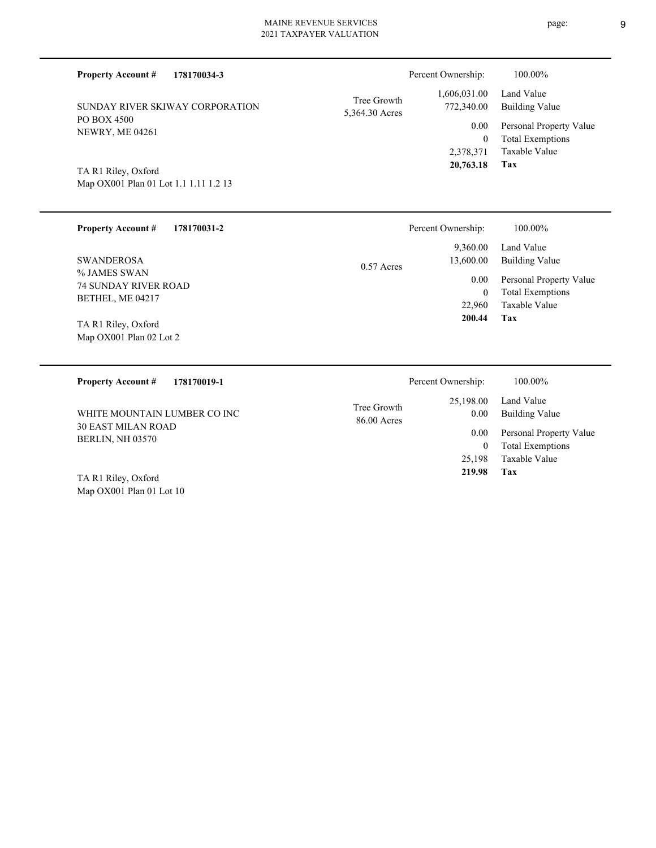| <b>Property Account #</b>                                    | 178170034-3 |                               | Percent Ownership:          | 100.00%                                         |
|--------------------------------------------------------------|-------------|-------------------------------|-----------------------------|-------------------------------------------------|
| SUNDAY RIVER SKIWAY CORPORATION                              |             | Tree Growth<br>5,364.30 Acres | 1,606,031.00<br>772,340.00  | Land Value<br><b>Building Value</b>             |
| PO BOX 4500<br><b>NEWRY, ME 04261</b>                        |             |                               | 0.00                        | Personal Property Value                         |
|                                                              |             |                               | $\overline{0}$<br>2,378,371 | <b>Total Exemptions</b><br><b>Taxable Value</b> |
|                                                              |             |                               | 20,763.18                   | Tax                                             |
| TA R1 Riley, Oxford<br>Map OX001 Plan 01 Lot 1.1 1.11 1.2 13 |             |                               |                             |                                                 |
|                                                              |             |                               |                             |                                                 |
| <b>Property Account #</b>                                    | 178170031-2 |                               | Percent Ownership:          | 100.00%                                         |
|                                                              |             |                               | 9,360.00                    | Land Value                                      |
| <b>SWANDEROSA</b>                                            |             | $0.57$ Acres                  | 13,600.00                   | <b>Building Value</b>                           |
| % JAMES SWAN<br><b>74 SUNDAY RIVER ROAD</b>                  |             |                               | 0.00                        | Personal Property Value                         |
| BETHEL, ME 04217                                             |             |                               | 0<br>22,960                 | <b>Total Exemptions</b><br><b>Taxable Value</b> |
|                                                              |             |                               | 200.44                      | <b>Tax</b>                                      |
| TA R1 Riley, Oxford<br>Map OX001 Plan 02 Lot 2               |             |                               |                             |                                                 |
|                                                              |             |                               |                             |                                                 |
| <b>Property Account #</b>                                    | 178170019-1 |                               | Percent Ownership:          | 100.00%                                         |
|                                                              |             | Tree Growth                   | 25,198.00                   | Land Value                                      |
| WHITE MOUNTAIN LUMBER CO INC                                 |             | 86.00 Acres                   | 0.00                        | <b>Building Value</b>                           |
| <b>30 EAST MILAN ROAD</b><br>BERLIN, NH 03570                |             |                               | 0.00                        | Personal Property Value                         |
|                                                              |             |                               | $\mathbf{0}$                | <b>Total Exemptions</b><br><b>Taxable Value</b> |
|                                                              |             |                               | 25,198                      |                                                 |

Map OX001 Plan 01 Lot 10 TA R1 Riley, Oxford

page: 9

**Tax 219.98**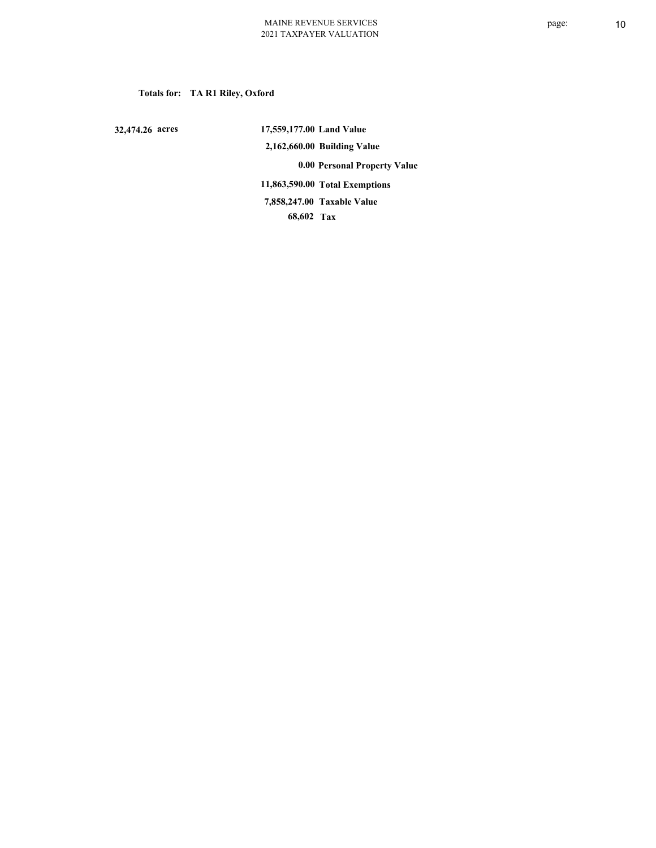# **Totals for: TA R1 Riley, Oxford**

 **32,474.26 acres**

 **17,559,177.00 Land Value 2,162,660.00 Building Value 0.00 Personal Property Value 11,863,590.00 Total Exemptions 68,602 Tax Taxable Value 7,858,247.00**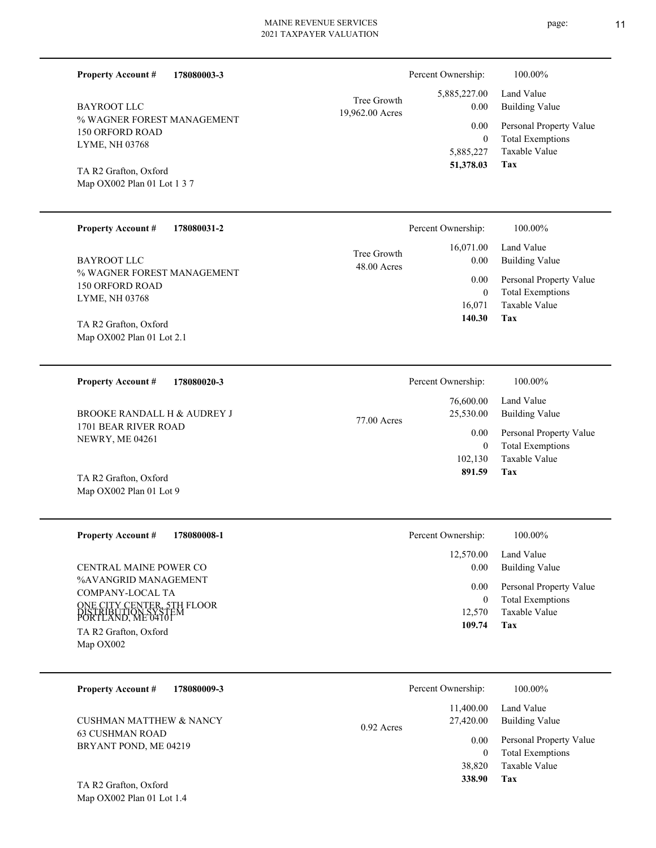| <b>Property Account #</b><br>178080003-3                               |                                | Percent Ownership:                   | 100.00%                                            |
|------------------------------------------------------------------------|--------------------------------|--------------------------------------|----------------------------------------------------|
| <b>BAYROOT LLC</b>                                                     | Tree Growth<br>19,962.00 Acres | 5,885,227.00<br>0.00                 | Land Value<br><b>Building Value</b>                |
| % WAGNER FOREST MANAGEMENT<br>150 ORFORD ROAD                          |                                | 0.00<br>$\mathbf{0}$                 | Personal Property Value<br><b>Total Exemptions</b> |
| LYME, NH 03768<br>TA R2 Grafton, Oxford                                |                                | 5,885,227<br>51,378.03               | Taxable Value<br>Tax                               |
| Map OX002 Plan 01 Lot 1 3 7                                            |                                |                                      |                                                    |
| <b>Property Account #</b><br>178080031-2                               |                                | Percent Ownership:                   | 100.00%                                            |
| <b>BAYROOT LLC</b>                                                     | Tree Growth<br>48.00 Acres     | 16,071.00<br>0.00                    | Land Value<br><b>Building Value</b>                |
| % WAGNER FOREST MANAGEMENT<br>150 ORFORD ROAD                          |                                | 0.00<br>$\mathbf{0}$                 | Personal Property Value<br><b>Total Exemptions</b> |
| LYME, NH 03768                                                         |                                | 16,071<br>140.30                     | Taxable Value<br>Tax                               |
| TA R2 Grafton, Oxford<br>Map OX002 Plan 01 Lot 2.1                     |                                |                                      |                                                    |
| <b>Property Account #</b><br>178080020-3                               |                                | Percent Ownership:                   | 100.00%                                            |
| BROOKE RANDALL H & AUDREY J                                            | 77.00 Acres                    | 76,600.00<br>25,530.00               | Land Value<br><b>Building Value</b>                |
| 1701 BEAR RIVER ROAD<br><b>NEWRY, ME 04261</b>                         |                                | 0.00<br>$\mathbf{0}$                 | Personal Property Value<br><b>Total Exemptions</b> |
|                                                                        |                                | 102,130<br>891.59                    | Taxable Value<br><b>Tax</b>                        |
| TA R2 Grafton, Oxford<br>Map OX002 Plan 01 Lot 9                       |                                |                                      |                                                    |
| <b>Property Account #</b><br>178080008-1                               |                                | Percent Ownership:                   | $100.00\%$                                         |
| CENTRAL MAINE POWER CO                                                 |                                | 12,570.00<br>0.00                    | Land Value<br><b>Building Value</b>                |
| %AVANGRID MANAGEMENT<br>COMPANY-LOCAL TA                               |                                | 0.00                                 | Personal Property Value                            |
| ONE CITY CENTER, 5TH FLOOR<br>DISTRIBUTION SYSTEM<br>PORTLAND, ME04101 |                                | $\boldsymbol{0}$<br>12,570<br>109.74 | <b>Total Exemptions</b><br>Taxable Value<br>Tax    |
| TA R2 Grafton, Oxford<br>Map OX002                                     |                                |                                      |                                                    |
| 178080009-3<br><b>Property Account #</b>                               |                                | Percent Ownership:                   | 100.00%                                            |
| <b>CUSHMAN MATTHEW &amp; NANCY</b><br>CITCIIMANDOM                     | 0.92 Acres                     | 11,400.00<br>27,420.00               | Land Value<br><b>Building Value</b>                |

63 CUSHMAN ROAD BRYANT POND, ME 04219

Map OX002 Plan 01 Lot 1.4 TA R2 Grafton, Oxford

**Tax**

 38,820  **338.90**

Taxable Value 0 Total Exemptions 0.00 Personal Property Value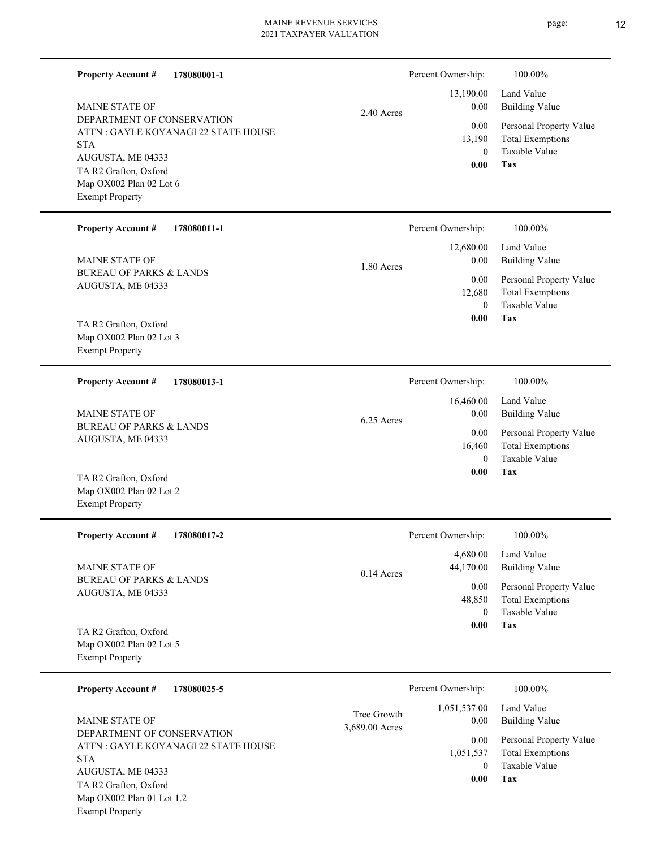| <b>Property Account #</b><br>178080001-1<br><b>MAINE STATE OF</b><br>DEPARTMENT OF CONSERVATION<br>ATTN : GAYLE KOYANAGI 22 STATE HOUSE<br><b>STA</b><br>AUGUSTA, ME 04333<br>TA R2 Grafton, Oxford<br>Map OX002 Plan 02 Lot 6<br><b>Exempt Property</b><br><b>Property Account #</b><br>178080011-1<br><b>MAINE STATE OF</b><br><b>BUREAU OF PARKS &amp; LANDS</b> | 2.40 Acres<br>1.80 Acres      | Percent Ownership:<br>13,190.00<br>0.00<br>0.00<br>13,190<br>$\overline{0}$<br>0.00<br>Percent Ownership:<br>12,680.00<br>0.00<br>0.00 | 100.00%<br>Land Value<br><b>Building Value</b><br>Personal Property Value<br><b>Total Exemptions</b><br>Taxable Value<br><b>Tax</b><br>100.00%<br>Land Value<br><b>Building Value</b><br>Personal Property Value |
|---------------------------------------------------------------------------------------------------------------------------------------------------------------------------------------------------------------------------------------------------------------------------------------------------------------------------------------------------------------------|-------------------------------|----------------------------------------------------------------------------------------------------------------------------------------|------------------------------------------------------------------------------------------------------------------------------------------------------------------------------------------------------------------|
| AUGUSTA, ME 04333<br>TA R2 Grafton, Oxford<br>Map OX002 Plan 02 Lot 3<br><b>Exempt Property</b>                                                                                                                                                                                                                                                                     |                               | 12,680<br>$\theta$<br>0.00                                                                                                             | <b>Total Exemptions</b><br>Taxable Value<br>Tax                                                                                                                                                                  |
| <b>Property Account #</b><br>178080013-1                                                                                                                                                                                                                                                                                                                            |                               | Percent Ownership:<br>16,460.00                                                                                                        | 100.00%<br>Land Value                                                                                                                                                                                            |
| <b>MAINE STATE OF</b><br><b>BUREAU OF PARKS &amp; LANDS</b><br>AUGUSTA, ME 04333                                                                                                                                                                                                                                                                                    | 6.25 Acres                    | 0.00<br>0.00<br>16,460                                                                                                                 | <b>Building Value</b><br>Personal Property Value<br><b>Total Exemptions</b>                                                                                                                                      |
| TA R2 Grafton, Oxford<br>Map OX002 Plan 02 Lot 2<br><b>Exempt Property</b>                                                                                                                                                                                                                                                                                          |                               | $\theta$<br>0.00                                                                                                                       | Taxable Value<br>Tax                                                                                                                                                                                             |
| <b>Property Account #</b><br>178080017-2                                                                                                                                                                                                                                                                                                                            |                               | Percent Ownership:                                                                                                                     | 100.00%                                                                                                                                                                                                          |
| <b>MAINE STATE OF</b>                                                                                                                                                                                                                                                                                                                                               | $0.14$ Acres                  | 4,680.00<br>44,170.00                                                                                                                  | Land Value<br><b>Building Value</b>                                                                                                                                                                              |
| <b>BUREAU OF PARKS &amp; LANDS</b><br>AUGUSTA, ME 04333                                                                                                                                                                                                                                                                                                             |                               | 0.00<br>48,850<br>$\theta$                                                                                                             | Personal Property Value<br><b>Total Exemptions</b><br>Taxable Value                                                                                                                                              |
| TA R2 Grafton, Oxford<br>Map OX002 Plan 02 Lot 5<br><b>Exempt Property</b>                                                                                                                                                                                                                                                                                          |                               | 0.00                                                                                                                                   | Tax                                                                                                                                                                                                              |
| 178080025-5<br><b>Property Account #</b>                                                                                                                                                                                                                                                                                                                            |                               | Percent Ownership:                                                                                                                     | 100.00%                                                                                                                                                                                                          |
| <b>MAINE STATE OF</b>                                                                                                                                                                                                                                                                                                                                               | Tree Growth<br>3,689.00 Acres | 1,051,537.00<br>$0.00\,$                                                                                                               | Land Value<br><b>Building Value</b>                                                                                                                                                                              |
| DEPARTMENT OF CONSERVATION<br>ATTN : GAYLE KOYANAGI 22 STATE HOUSE<br><b>STA</b><br>AUGUSTA, ME 04333<br>TA R2 Grafton, Oxford<br>Map OX002 Plan 01 Lot 1.2                                                                                                                                                                                                         |                               | $0.00\,$<br>1,051,537<br>$\theta$<br>0.00                                                                                              | Personal Property Value<br><b>Total Exemptions</b><br>Taxable Value<br>Tax                                                                                                                                       |

Exempt Property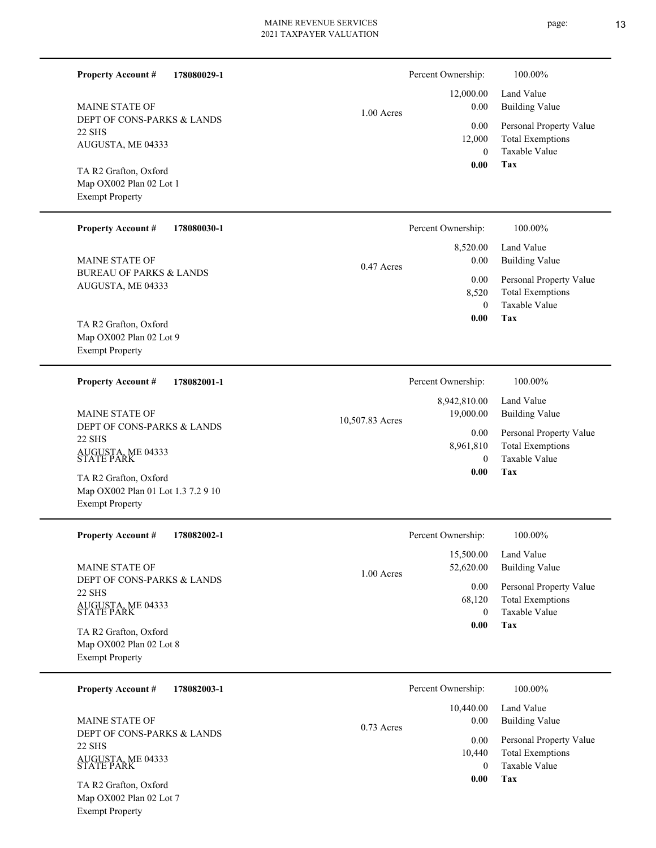page: 13

| 178080029-1<br><b>Property Account #</b>                                              |                 | Percent Ownership:               | 100.00%                                                                    |
|---------------------------------------------------------------------------------------|-----------------|----------------------------------|----------------------------------------------------------------------------|
| <b>MAINE STATE OF</b>                                                                 | $1.00$ Acres    | 12,000.00<br>0.00                | Land Value<br><b>Building Value</b>                                        |
| DEPT OF CONS-PARKS & LANDS<br>22 SHS<br>AUGUSTA, ME 04333                             |                 | 0.00<br>12,000<br>$\Omega$       | Personal Property Value<br><b>Total Exemptions</b><br>Taxable Value        |
| TA R2 Grafton, Oxford<br>Map OX002 Plan 02 Lot 1<br><b>Exempt Property</b>            |                 | 0.00                             | <b>Tax</b>                                                                 |
| <b>Property Account #</b><br>178080030-1                                              |                 | Percent Ownership:               | 100.00%                                                                    |
| <b>MAINE STATE OF</b>                                                                 | $0.47$ Acres    | 8,520.00<br>0.00                 | Land Value<br><b>Building Value</b>                                        |
| <b>BUREAU OF PARKS &amp; LANDS</b><br>AUGUSTA, ME 04333                               |                 | 0.00<br>8,520<br>$\Omega$        | Personal Property Value<br><b>Total Exemptions</b><br><b>Taxable Value</b> |
| TA R2 Grafton, Oxford<br>Map OX002 Plan 02 Lot 9<br><b>Exempt Property</b>            |                 | 0.00                             | Tax                                                                        |
| <b>Property Account #</b><br>178082001-1                                              |                 | Percent Ownership:               | 100.00%                                                                    |
| <b>MAINE STATE OF</b><br>DEPT OF CONS-PARKS & LANDS                                   | 10,507.83 Acres | 8,942,810.00<br>19,000.00        | Land Value<br><b>Building Value</b>                                        |
| <b>22 SHS</b><br>AUGUSTA, ME 04333<br>STATE PARK                                      |                 | 0.00<br>8,961,810<br>$\Omega$    | Personal Property Value<br><b>Total Exemptions</b><br>Taxable Value        |
| TA R2 Grafton, Oxford<br>Map OX002 Plan 01 Lot 1.3 7.2 9 10<br><b>Exempt Property</b> |                 | 0.00                             | Tax                                                                        |
| Property Account #<br>178082002-1                                                     |                 | Percent Ownership:               | 100.00%                                                                    |
| <b>MAINE STATE OF</b>                                                                 | 1.00 Acres      | 15,500.00<br>52,620.00           | Land Value<br><b>Building Value</b>                                        |
| DEPT OF CONS-PARKS & LANDS<br><b>22 SHS</b><br>AUGUSTA, ME 04333<br>STATE PARK        |                 | 0.00<br>68,120<br>$\overline{0}$ | Personal Property Value<br><b>Total Exemptions</b><br>Taxable Value        |
| TA R2 Grafton, Oxford<br>Map OX002 Plan 02 Lot 8<br><b>Exempt Property</b>            |                 | 0.00                             | Tax                                                                        |
| 178082003-1<br><b>Property Account #</b>                                              |                 | Percent Ownership:               | 100.00%                                                                    |
| <b>MAINE STATE OF</b>                                                                 | $0.73$ Acres    | 10,440.00<br>0.00                | Land Value<br><b>Building Value</b>                                        |
| DEPT OF CONS-PARKS & LANDS<br><b>22 SHS</b><br>AUGUSTA, ME 04333<br>STATE PARK        |                 | 0.00<br>10,440<br>$\mathbf{0}$   | Personal Property Value<br><b>Total Exemptions</b><br>Taxable Value        |
| TA R2 Grafton, Oxford<br>Map OX002 Plan 02 Lot 7                                      |                 | 0.00                             | <b>Tax</b>                                                                 |

Exempt Property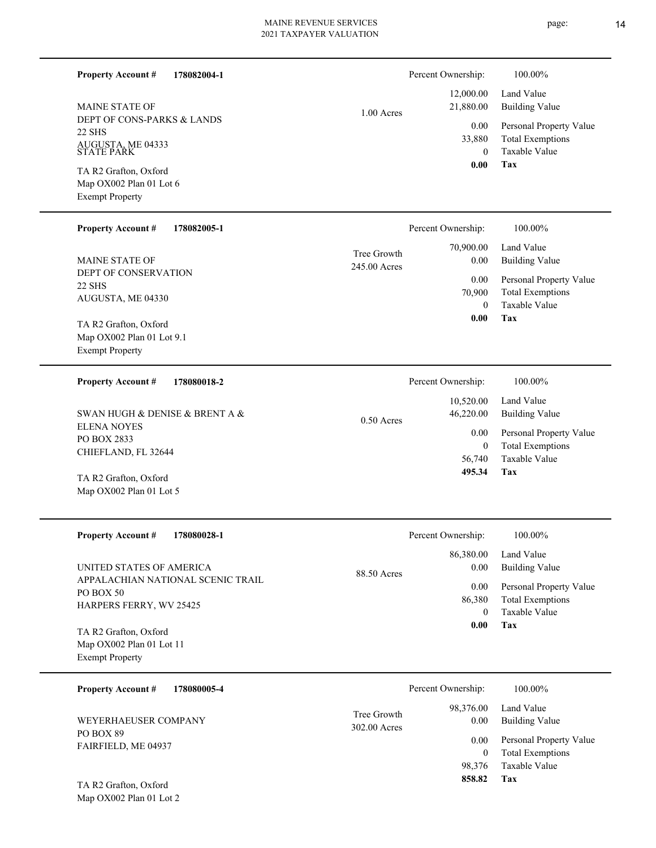page: 14

| 178082004-1<br><b>Property Account #</b><br><b>MAINE STATE OF</b><br>DEPT OF CONS-PARKS & LANDS<br>22 SHS<br>AUGUSTA, ME 04333<br>STATE PARK<br>TA R2 Grafton, Oxford<br>Map OX002 Plan 01 Lot 6<br><b>Exempt Property</b><br><b>Property Account #</b><br>178082005-1<br><b>MAINE STATE OF</b><br>DEPT OF CONSERVATION | $1.00$ Acres<br>Tree Growth<br>245.00 Acres | Percent Ownership:<br>12,000.00<br>21,880.00<br>0.00<br>33,880<br>$\boldsymbol{0}$<br>0.00<br>Percent Ownership:<br>70,900.00<br>0.00 | 100.00%<br>Land Value<br><b>Building Value</b><br>Personal Property Value<br><b>Total Exemptions</b><br>Taxable Value<br>Tax<br>100.00%<br>Land Value<br><b>Building Value</b> |
|-------------------------------------------------------------------------------------------------------------------------------------------------------------------------------------------------------------------------------------------------------------------------------------------------------------------------|---------------------------------------------|---------------------------------------------------------------------------------------------------------------------------------------|--------------------------------------------------------------------------------------------------------------------------------------------------------------------------------|
| <b>22 SHS</b><br>AUGUSTA, ME 04330<br>TA R2 Grafton, Oxford<br>Map OX002 Plan 01 Lot 9.1<br><b>Exempt Property</b>                                                                                                                                                                                                      |                                             | 0.00<br>70,900<br>$\mathbf{0}$<br>0.00                                                                                                | Personal Property Value<br><b>Total Exemptions</b><br>Taxable Value<br><b>Tax</b>                                                                                              |
| <b>Property Account #</b><br>178080018-2<br>SWAN HUGH & DENISE & BRENT A &<br><b>ELENA NOYES</b><br>PO BOX 2833<br>CHIEFLAND, FL 32644<br>TA R2 Grafton, Oxford<br>Map OX002 Plan 01 Lot 5                                                                                                                              | $0.50$ Acres                                | Percent Ownership:<br>10,520.00<br>46,220.00<br>0.00<br>$\boldsymbol{0}$<br>56,740<br>495.34                                          | 100.00%<br>Land Value<br><b>Building Value</b><br>Personal Property Value<br><b>Total Exemptions</b><br>Taxable Value<br>Tax                                                   |
| <b>Property Account #</b><br>178080028-1<br>UNITED STATES OF AMERICA<br>APPALACHIAN NATIONAL SCENIC TRAIL<br>PO BOX 50<br>HARPERS FERRY, WV 25425<br>TA R2 Grafton, Oxford<br>Map OX002 Plan 01 Lot 11<br><b>Exempt Property</b>                                                                                        | 88.50 Acres                                 | Percent Ownership:<br>86,380.00<br>0.00<br>0.00<br>86,380<br>$\mathbf{0}$<br>0.00                                                     | 100.00%<br>Land Value<br><b>Building Value</b><br>Personal Property Value<br><b>Total Exemptions</b><br>Taxable Value<br>Tax                                                   |
| 178080005-4<br><b>Property Account #</b><br>WEYERHAEUSER COMPANY<br>PO BOX 89<br>FAIRFIELD, ME 04937<br>TA R2 Grafton, Oxford                                                                                                                                                                                           | Tree Growth<br>302.00 Acres                 | Percent Ownership:<br>98,376.00<br>0.00<br>0.00<br>$\overline{0}$<br>98,376<br>858.82                                                 | 100.00%<br>Land Value<br><b>Building Value</b><br>Personal Property Value<br><b>Total Exemptions</b><br>Taxable Value<br><b>Tax</b>                                            |

Map OX002 Plan 01 Lot 2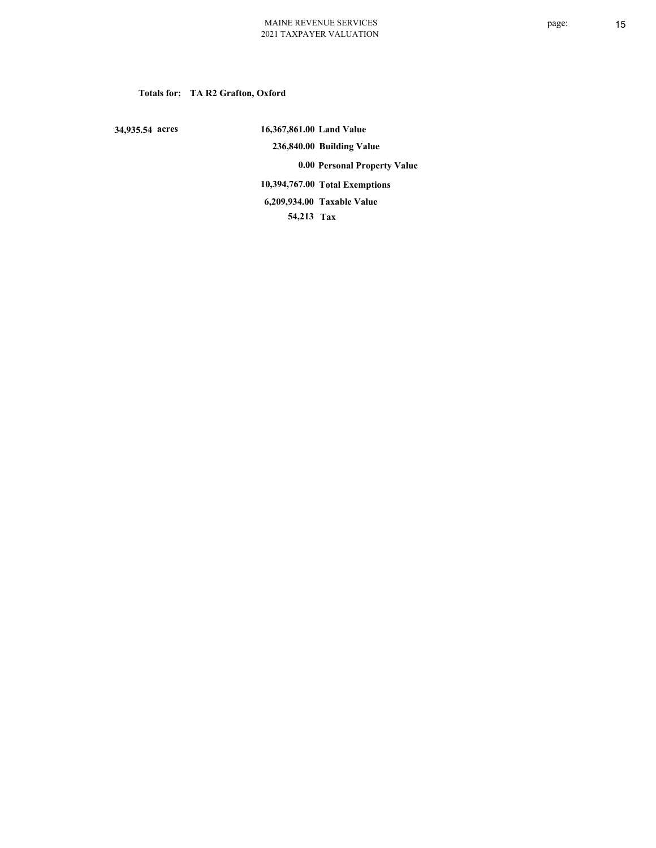# **Totals for: TA R2 Grafton, Oxford**

 **34,935.54 acres**

 **16,367,861.00 Land Value 236,840.00 Building Value 0.00 Personal Property Value 10,394,767.00 Total Exemptions 54,213 Tax Taxable Value 6,209,934.00**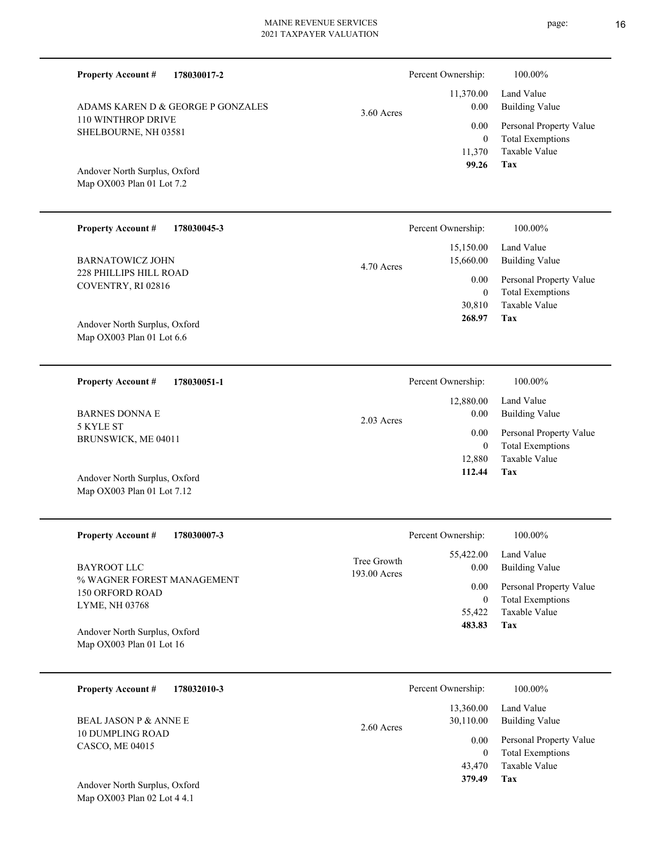| <b>Property Account #</b><br>178030017-2                                    |                             | Percent Ownership:             | 100.00%                                                             |
|-----------------------------------------------------------------------------|-----------------------------|--------------------------------|---------------------------------------------------------------------|
| ADAMS KAREN D & GEORGE P GONZALES                                           | $3.60$ Acres                | 11,370.00<br>0.00              | Land Value<br><b>Building Value</b>                                 |
| 110 WINTHROP DRIVE<br>SHELBOURNE, NH 03581                                  |                             | 0.00<br>$\mathbf{0}$<br>11,370 | Personal Property Value<br><b>Total Exemptions</b><br>Taxable Value |
| Andover North Surplus, Oxford<br>Map OX003 Plan 01 Lot 7.2                  |                             | 99.26                          | Tax                                                                 |
| <b>Property Account #</b><br>178030045-3                                    |                             | Percent Ownership:             | 100.00%                                                             |
| <b>BARNATOWICZ JOHN</b>                                                     | $4.70$ Acres                | 15,150.00<br>15,660.00         | Land Value<br><b>Building Value</b>                                 |
| 228 PHILLIPS HILL ROAD<br>COVENTRY, RI 02816                                |                             | 0.00<br>$\theta$               | Personal Property Value<br><b>Total Exemptions</b>                  |
| Andover North Surplus, Oxford<br>Map OX003 Plan 01 Lot 6.6                  |                             | 30,810<br>268.97               | Taxable Value<br>Tax                                                |
| <b>Property Account #</b><br>178030051-1                                    |                             | Percent Ownership:             | 100.00%                                                             |
| <b>BARNES DONNA E</b>                                                       | 2.03 Acres                  | 12,880.00<br>0.00              | Land Value<br><b>Building Value</b>                                 |
| 5 KYLE ST<br>BRUNSWICK, ME 04011                                            |                             | 0.00<br>$\mathbf{0}$           | Personal Property Value<br><b>Total Exemptions</b>                  |
| Andover North Surplus, Oxford<br>Map OX003 Plan 01 Lot 7.12                 |                             | 12,880<br>112.44               | <b>Taxable Value</b><br>Tax                                         |
| <b>Property Account #</b><br>178030007-3                                    |                             | Percent Ownership:             | 100.00%                                                             |
| <b>BAYROOT LLC</b>                                                          | Tree Growth<br>193.00 Acres | 55,422.00<br>0.00              | Land Value<br><b>Building Value</b>                                 |
| % WAGNER FOREST MANAGEMENT<br><b>150 ORFORD ROAD</b>                        |                             | 0.00<br>$\bf{0}$               | Personal Property Value<br><b>Total Exemptions</b>                  |
| LYME, NH 03768<br>Andover North Surplus, Oxford<br>Map OX003 Plan 01 Lot 16 |                             | 55,422<br>483.83               | Taxable Value<br>Tax                                                |
| <b>Property Account #</b><br>178032010-3                                    |                             | Percent Ownership:             | 100.00%                                                             |
| <b>BEAL JASON P &amp; ANNE E</b>                                            |                             | 13,360.00<br>30,110.00         | Land Value<br><b>Building Value</b>                                 |
| <b>10 DUMPLING ROAD</b><br>CASCO, ME 04015                                  | 2.60 Acres                  | 0.00<br>$\boldsymbol{0}$       | Personal Property Value<br><b>Total Exemptions</b><br>Taxable Value |
|                                                                             |                             | 43,470<br>379.49               | <b>Tax</b>                                                          |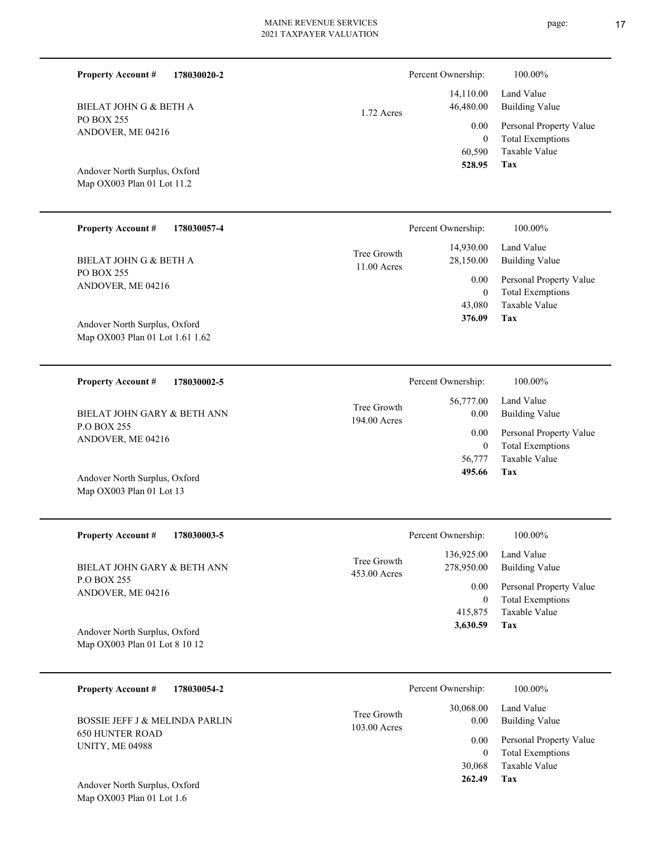| <b>Property Account #</b><br>178030020-2                         |                             | Percent Ownership:       | 100.00%                                                                              |
|------------------------------------------------------------------|-----------------------------|--------------------------|--------------------------------------------------------------------------------------|
| BIELAT JOHN G & BETH A                                           | 1.72 Acres                  | 14,110.00<br>46,480.00   | Land Value<br><b>Building Value</b>                                                  |
| <b>PO BOX 255</b><br>ANDOVER, ME 04216                           |                             | 0.00<br>$\boldsymbol{0}$ | Personal Property Value<br><b>Total Exemptions</b>                                   |
| Andover North Surplus, Oxford<br>Map OX003 Plan 01 Lot 11.2      |                             | 60,590<br>528.95         | <b>Taxable Value</b><br>Tax                                                          |
| <b>Property Account #</b><br>178030057-4                         |                             | Percent Ownership:       | 100.00%                                                                              |
| BIELAT JOHN G & BETH A<br><b>PO BOX 255</b>                      | Tree Growth<br>11.00 Acres  | 14,930.00<br>28,150.00   | Land Value<br><b>Building Value</b>                                                  |
| ANDOVER, ME 04216                                                |                             | 0.00<br>$\mathbf{0}$     | Personal Property Value<br><b>Total Exemptions</b>                                   |
| Andover North Surplus, Oxford<br>Map OX003 Plan 01 Lot 1.61 1.62 |                             | 43,080<br>376.09         | Taxable Value<br><b>Tax</b>                                                          |
| <b>Property Account #</b><br>178030002-5                         |                             | Percent Ownership:       | 100.00%                                                                              |
| BIELAT JOHN GARY & BETH ANN                                      | Tree Growth<br>194.00 Acres | 56,777.00<br>0.00        | Land Value<br><b>Building Value</b>                                                  |
| P.O BOX 255<br>ANDOVER, ME 04216                                 |                             | 0.00                     | Personal Property Value<br>$\mathbf{m}$ , $\mathbf{m}$ , $\mathbf{m}$ , $\mathbf{m}$ |

Map OX003 Plan 01 Lot 13 Andover North Surplus, Oxford

| <b>Property Account #</b><br>178030003-5                       | Percent Ownership:                                      | 100.00%                                            |
|----------------------------------------------------------------|---------------------------------------------------------|----------------------------------------------------|
| BIELAT JOHN GARY & BETH ANN                                    | 136,925.00<br>Tree Growth<br>278,950.00<br>453.00 Acres | Land Value<br>Building Value                       |
| <b>P.O BOX 255</b><br>ANDOVER, ME 04216                        | 0.00<br>$\overline{0}$                                  | Personal Property Value<br><b>Total Exemptions</b> |
|                                                                | 415,875                                                 | Taxable Value                                      |
| Andover North Surplus, Oxford<br>Map OX003 Plan 01 Lot 8 10 12 | 3,630.59                                                | Tax                                                |
|                                                                |                                                         |                                                    |

| <b>Property Account #</b><br>178030054-2         | Percent Ownership:                                 | 100.00%                             |
|--------------------------------------------------|----------------------------------------------------|-------------------------------------|
| <b>BOSSIE JEFF J &amp; MELINDA PARLIN</b>        | 30,068.00<br>Tree Growth<br>0.00<br>$103.00$ Acres | Land Value<br><b>Building Value</b> |
| <b>650 HUNTER ROAD</b><br><b>UNITY, ME 04988</b> | 0.00                                               | Personal Property Value             |
|                                                  |                                                    | <b>Total Exemptions</b>             |
|                                                  | 30,068                                             | Taxable Value                       |
| Andover North Surplus, Oxford                    | 262.49                                             | Tax                                 |

Map OX003 Plan 01 Lot 1.6

**Tax**

 56,777 0

 **495.66**

Taxable Value Total Exemptions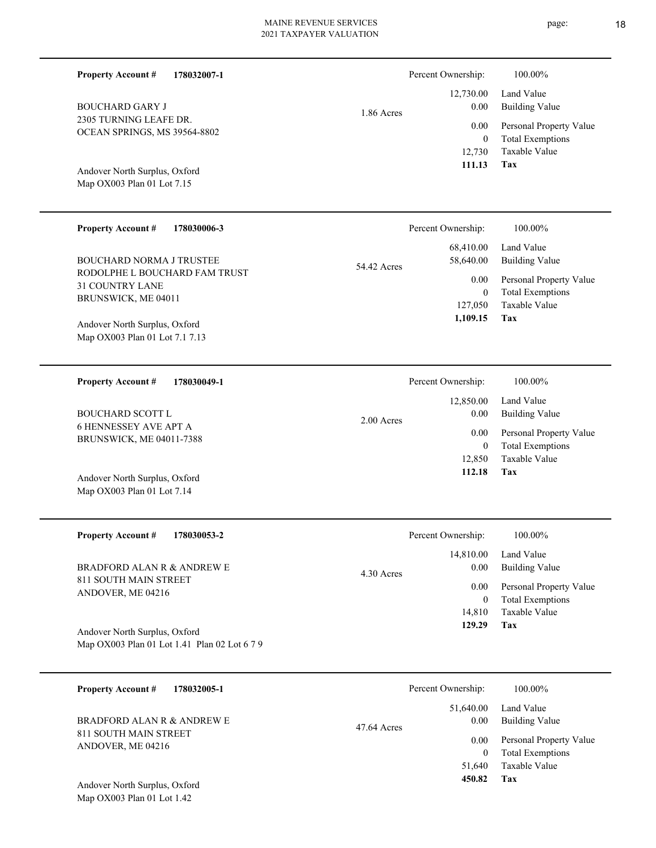| 178032007-1                                                                                                                                                                                                               | 1.86 Acres  | Percent Ownership:                                                                          | 100.00%                                                                                                                      |
|---------------------------------------------------------------------------------------------------------------------------------------------------------------------------------------------------------------------------|-------------|---------------------------------------------------------------------------------------------|------------------------------------------------------------------------------------------------------------------------------|
| <b>Property Account #</b>                                                                                                                                                                                                 |             | 12,730.00                                                                                   | Land Value                                                                                                                   |
| <b>BOUCHARD GARY J</b>                                                                                                                                                                                                    |             | 0.00                                                                                        | <b>Building Value</b>                                                                                                        |
| 2305 TURNING LEAFE DR.                                                                                                                                                                                                    |             | 0.00                                                                                        | Personal Property Value                                                                                                      |
| OCEAN SPRINGS, MS 39564-8802                                                                                                                                                                                              |             | $\boldsymbol{0}$                                                                            | <b>Total Exemptions</b>                                                                                                      |
| Andover North Surplus, Oxford                                                                                                                                                                                             |             | 12,730                                                                                      | Taxable Value                                                                                                                |
| Map OX003 Plan 01 Lot 7.15                                                                                                                                                                                                |             | 111.13                                                                                      | Tax                                                                                                                          |
| <b>Property Account #</b><br>178030006-3<br><b>BOUCHARD NORMA J TRUSTEE</b><br>RODOLPHE L BOUCHARD FAM TRUST<br>31 COUNTRY LANE<br>BRUNSWICK, ME 04011<br>Andover North Surplus, Oxford<br>Map OX003 Plan 01 Lot 7.1 7.13 | 54.42 Acres | Percent Ownership:<br>68,410.00<br>58,640.00<br>0.00<br>$\mathbf{0}$<br>127,050<br>1,109.15 | 100.00%<br>Land Value<br><b>Building Value</b><br>Personal Property Value<br><b>Total Exemptions</b><br>Taxable Value<br>Tax |
|                                                                                                                                                                                                                           |             |                                                                                             |                                                                                                                              |
| <b>Property Account #</b>                                                                                                                                                                                                 | 2.00 Acres  | Percent Ownership:                                                                          | 100.00%                                                                                                                      |
| 178030049-1                                                                                                                                                                                                               |             | 12,850.00                                                                                   | Land Value                                                                                                                   |
| <b>BOUCHARD SCOTT L</b>                                                                                                                                                                                                   |             | 0.00                                                                                        | <b>Building Value</b>                                                                                                        |
| <b>6 HENNESSEY AVE APT A</b>                                                                                                                                                                                              |             | 0.00                                                                                        | Personal Property Value                                                                                                      |
| BRUNSWICK, ME 04011-7388                                                                                                                                                                                                  |             | $\mathbf{0}$                                                                                | <b>Total Exemptions</b>                                                                                                      |
| Andover North Surplus, Oxford                                                                                                                                                                                             |             | 12,850                                                                                      | Taxable Value                                                                                                                |
| Map OX003 Plan 01 Lot 7.14                                                                                                                                                                                                |             | 112.18                                                                                      | Tax                                                                                                                          |

| 178032005-1<br><b>Property Account #</b>            | Percent Ownership:               | 100.00%                      |
|-----------------------------------------------------|----------------------------------|------------------------------|
| BRADFORD ALAN R & ANDREW E<br>811 SOUTH MAIN STREET | 51,640.00<br>0.00<br>47.64 Acres | Land Value<br>Building Value |
| ANDOVER, ME 04216                                   | 0.00                             | Personal Property Value      |
|                                                     | $\bf{0}$                         | <b>Total Exemptions</b>      |
|                                                     | 51,640                           | Taxable Value                |
| Andover North Surplus, Oxford                       | 450.82                           | Tax                          |

Map OX003 Plan 01 Lot 1.42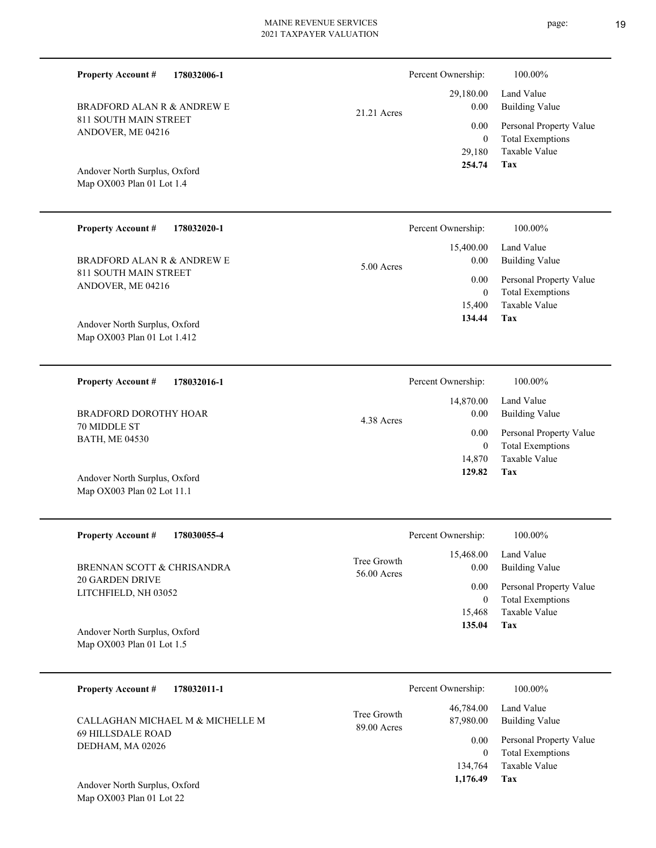| <b>Property Account #</b><br>178032006-1                     |                            | Percent Ownership:                 | 100.00%                                                             |
|--------------------------------------------------------------|----------------------------|------------------------------------|---------------------------------------------------------------------|
| <b>BRADFORD ALAN R &amp; ANDREW E</b>                        |                            | 29,180.00<br>0.00                  | Land Value<br><b>Building Value</b>                                 |
| 811 SOUTH MAIN STREET<br>ANDOVER, ME 04216                   | 21.21 Acres                | 0.00<br>$\mathbf{0}$<br>29,180     | Personal Property Value<br><b>Total Exemptions</b><br>Taxable Value |
| Andover North Surplus, Oxford<br>Map OX003 Plan 01 Lot 1.4   |                            | 254.74                             | Tax                                                                 |
| <b>Property Account #</b><br>178032020-1                     |                            | Percent Ownership:                 | 100.00%                                                             |
| <b>BRADFORD ALAN R &amp; ANDREW E</b>                        | 5.00 Acres                 | 15,400.00<br>0.00                  | Land Value<br><b>Building Value</b>                                 |
| 811 SOUTH MAIN STREET<br>ANDOVER, ME 04216                   |                            | 0.00<br>$\mathbf{0}$<br>15,400     | Personal Property Value<br><b>Total Exemptions</b><br>Taxable Value |
| Andover North Surplus, Oxford<br>Map OX003 Plan 01 Lot 1.412 |                            | 134.44                             | Tax                                                                 |
| <b>Property Account #</b><br>178032016-1                     |                            | Percent Ownership:                 | 100.00%                                                             |
| BRADFORD DOROTHY HOAR<br>70 MIDDLE ST                        | 4.38 Acres                 | 14,870.00<br>0.00                  | Land Value<br><b>Building Value</b>                                 |
| <b>BATH, ME 04530</b>                                        |                            | 0.00<br>$\mathbf{0}$               | Personal Property Value<br><b>Total Exemptions</b><br>Taxable Value |
| Andover North Surplus, Oxford<br>Map OX003 Plan 02 Lot 11.1  |                            | 14,870<br>129.82                   | <b>Tax</b>                                                          |
| <b>Property Account #</b><br>178030055-4                     |                            | Percent Ownership:                 | 100.00%                                                             |
| BRENNAN SCOTT & CHRISANDRA                                   | Tree Growth<br>56.00 Acres | 15,468.00<br>0.00                  | Land Value<br><b>Building Value</b>                                 |
| 20 GARDEN DRIVE<br>LITCHFIELD, NH 03052                      |                            | 0.00<br>$\boldsymbol{0}$<br>15,468 | Personal Property Value<br><b>Total Exemptions</b><br>Taxable Value |

Map OX003 Plan 01 Lot 1.5 Andover North Surplus, Oxford

| <b>Property Account #</b><br>178032011-1 | Percent Ownership:                                   | 100.00%                                            |
|------------------------------------------|------------------------------------------------------|----------------------------------------------------|
| CALLAGHAN MICHAEL M & MICHELLE M         | 46,784.00<br>Tree Growth<br>87,980.00<br>89.00 Acres | Land Value<br><b>Building Value</b>                |
| 69 HILLSDALE ROAD<br>DEDHAM, MA 02026    | 0.00<br>0                                            | Personal Property Value<br><b>Total Exemptions</b> |
|                                          | 134,764                                              | Taxable Value                                      |
| Andover North Surplus, Oxford            | 1,176.49                                             | Tax                                                |

**Tax 135.04**

Map OX003 Plan 01 Lot 22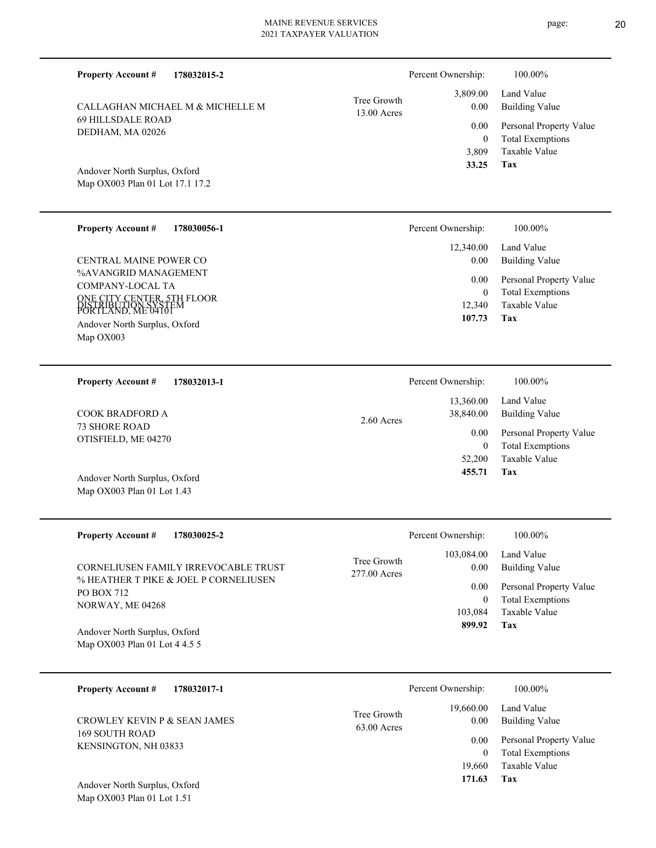| <b>Property Account #</b><br>178032015-2                                           |                              | Percent Ownership:                    | 100.00%                                                             |
|------------------------------------------------------------------------------------|------------------------------|---------------------------------------|---------------------------------------------------------------------|
| CALLAGHAN MICHAEL M & MICHELLE M                                                   | Tree Growth<br>13.00 Acres   | 3,809.00<br>$0.00\,$                  | Land Value<br><b>Building Value</b>                                 |
| <b>69 HILLSDALE ROAD</b><br>DEDHAM, MA 02026                                       |                              | 0.00                                  | Personal Property Value                                             |
| Andover North Surplus, Oxford<br>Map OX003 Plan 01 Lot 17.1 17.2                   |                              | $\overline{0}$<br>3,809<br>33.25      | <b>Total Exemptions</b><br>Taxable Value<br>Tax                     |
| <b>Property Account #</b><br>178030056-1                                           |                              | Percent Ownership:                    | 100.00%                                                             |
| <b>CENTRAL MAINE POWER CO</b>                                                      |                              | 12,340.00<br>0.00                     | Land Value<br><b>Building Value</b>                                 |
| %AVANGRID MANAGEMENT<br>COMPANY-LOCAL TA                                           |                              | 0.00                                  | Personal Property Value                                             |
| ONE CITY CENTER, 5TH FLOOR<br>DISTRIBUTION SYSTEM<br>PORTLAND. ME 04101            |                              | $\mathbf{0}$<br>12,340                | <b>Total Exemptions</b><br><b>Taxable Value</b>                     |
| Andover North Surplus, Oxford<br>Map OX003                                         |                              | 107.73                                | Tax                                                                 |
| <b>Property Account #</b><br>178032013-1                                           |                              | Percent Ownership:                    | 100.00%                                                             |
| <b>COOK BRADFORD A</b>                                                             | $2.60$ Acres                 | 13,360.00<br>38,840.00                | Land Value<br><b>Building Value</b>                                 |
| <b>73 SHORE ROAD</b><br>OTISFIELD, ME 04270                                        |                              | 0.00<br>$\mathbf{0}$                  | Personal Property Value<br><b>Total Exemptions</b>                  |
| Andover North Surplus, Oxford<br>Map OX003 Plan 01 Lot 1.43                        |                              | 52,200<br>455.71                      | <b>Taxable Value</b><br>Tax                                         |
| <b>Property Account #</b><br>178030025-2                                           |                              | Percent Ownership:                    | 100.00%                                                             |
| CORNELIUSEN FAMILY IRREVOCABLE TRUST                                               | Tree Growth<br>277.00 Acres  | 103,084.00<br>0.00                    | Land Value<br><b>Building Value</b>                                 |
| % HEATHER T PIKE & JOEL P CORNELIUSEN<br>PO BOX 712                                |                              | 0.00                                  | Personal Property Value<br><b>Total Exemptions</b>                  |
| NORWAY, ME 04268<br>Andover North Surplus, Oxford<br>Map OX003 Plan 01 Lot 4 4.5 5 |                              | $\boldsymbol{0}$<br>103,084<br>899.92 | Taxable Value<br>Tax                                                |
|                                                                                    |                              |                                       |                                                                     |
| <b>Property Account #</b><br>178032017-1                                           |                              | Percent Ownership:                    | 100.00%                                                             |
| CROWLEY KEVIN P & SEAN JAMES                                                       | Tree Growth<br>$63.00$ Acres | 19,660.00<br>0.00                     | Land Value<br><b>Building Value</b>                                 |
| <b>169 SOUTH ROAD</b><br>KENSINGTON, NH 03833                                      |                              | 0.00<br>$\mathbf{0}$<br>19,660        | Personal Property Value<br><b>Total Exemptions</b><br>Taxable Value |
|                                                                                    |                              | 171.63                                | <b>Tax</b>                                                          |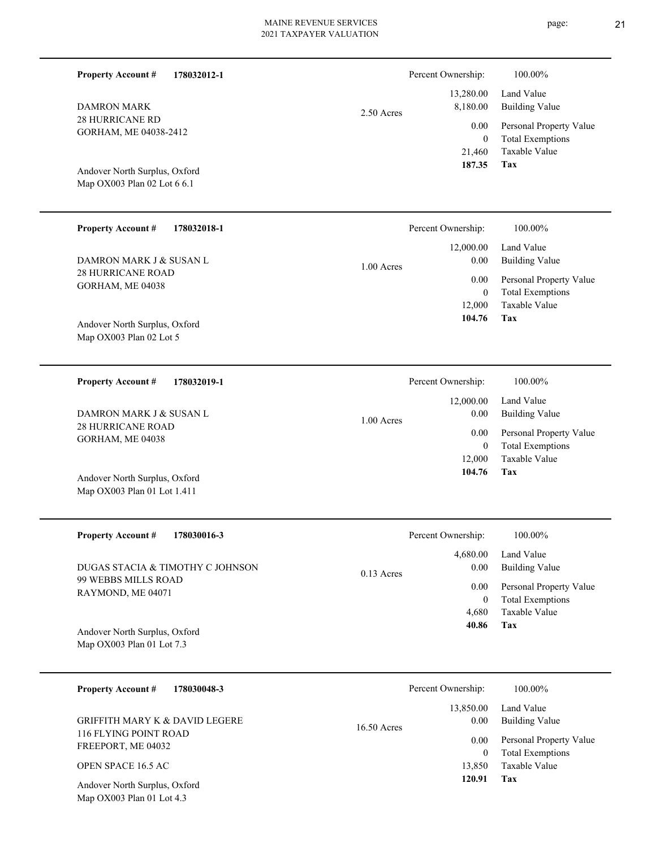|             | 2021 TAXPAYER VALUATION |                    | $\sqrt{2}$              |
|-------------|-------------------------|--------------------|-------------------------|
| 178032012-1 |                         | Percent Ownership: | 100.00%                 |
|             |                         | 13,280.00          | Land Value              |
|             | 2.50 Acres              | 8,180.00           | <b>Building Value</b>   |
|             |                         | 0.00               | Personal Property Value |
| 412         |                         | $\mathbf{0}$       | <b>Total Exemptions</b> |
|             |                         | 21,460             | Taxable Value           |
| Oxford      |                         | 187.35             | Tax                     |
| : 6 6.1     |                         |                    |                         |
|             |                         |                    |                         |
| 178032018-1 |                         | Percent Ownership: | 100.00%                 |
|             |                         | 12,000.00          | Land Value              |

1.00 Acres

1.00 Acres

28 HURRICANE ROAD GORHAM, ME 04038 DAMRON MARK J & SUSAN L

Map OX003 Plan 02 Lot 6 6.1 Andover North Surplus, Oxford

28 HURRICANE RD GORHAM, ME 04038-2412

**Property Account #**

DAMRON MARK

**Property Account #**

Map OX003 Plan 02 Lot 5 Andover North Surplus, Oxford

**178032019-1 Property Account #**

28 HURRICANE ROAD GORHAM, ME 04038 DAMRON MARK J & SUSAN L

Map OX003 Plan 01 Lot 1.411 Andover North Surplus, Oxford

| <b>Property Account #</b><br>178030016-3                                     | Percent Ownership:               | 100.00%                                            |
|------------------------------------------------------------------------------|----------------------------------|----------------------------------------------------|
| DUGAS STACIA & TIMOTHY C JOHNSON<br>99 WEBBS MILLS ROAD<br>RAYMOND, ME 04071 | 4,680.00<br>0.00<br>$0.13$ Acres | Land Value<br><b>Building Value</b>                |
|                                                                              | 0.00<br>0                        | Personal Property Value<br><b>Total Exemptions</b> |
|                                                                              | 4.680                            | Taxable Value                                      |
| Andover North Surplus, Oxford<br>Map $OX003$ Plan 01 Lot 7.3                 | 40.86                            | Tax                                                |

| 178030048-3<br><b>Property Account #</b>                     | Percent Ownership:                 | 100.00%                                            |
|--------------------------------------------------------------|------------------------------------|----------------------------------------------------|
| <b>GRIFFITH MARY K &amp; DAVID LEGERE</b>                    | 13,850.00<br>0.00<br>$16.50$ Acres | Land Value<br>Building Value                       |
| 116 FLYING POINT ROAD<br>FREEPORT, ME 04032                  | 0.00<br>0                          | Personal Property Value<br><b>Total Exemptions</b> |
| OPEN SPACE 16.5 AC                                           | 13,850                             | Taxable Value                                      |
| Andover North Surplus, Oxford<br>Map $OX003$ Plan 01 Lot 4.3 | 120.91                             | Tax                                                |

page: 21

| Percent Ownership: | 100.00%                                  |
|--------------------|------------------------------------------|
| $0.00\,$           | $12,000.00$ Land Value<br>Building Value |
| 0.00               | Personal Property Value                  |
| $\theta$           | <b>Total Exemptions</b>                  |
|                    | 12,000 Taxable Value                     |

**Tax**

 12,000  $\boldsymbol{0}$ 

 0.00 0.00

 **104.76**

Taxable Value Total Exemptions Personal Property Value

Building Value

**Tax 104.76**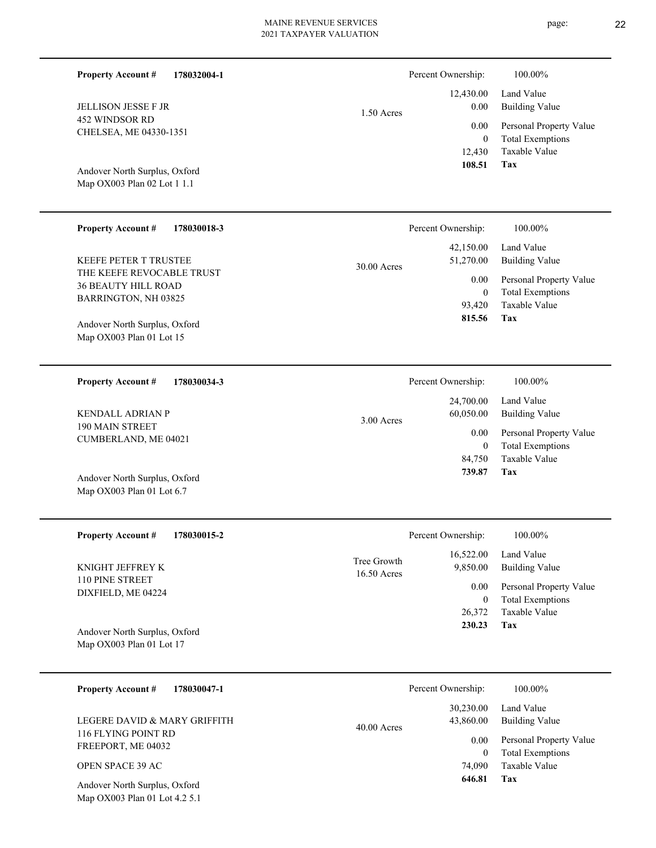| <b>Property Account #</b><br>178032004-1                     |                                                                            | Percent Ownership:                 | 100.00%                                                             |
|--------------------------------------------------------------|----------------------------------------------------------------------------|------------------------------------|---------------------------------------------------------------------|
| <b>JELLISON JESSE F JR</b>                                   | 1.50 Acres                                                                 | 12,430.00<br>0.00                  | Land Value<br><b>Building Value</b>                                 |
| 452 WINDSOR RD<br>CHELSEA, ME 04330-1351                     |                                                                            | 0.00<br>$\boldsymbol{0}$<br>12,430 | Personal Property Value<br><b>Total Exemptions</b><br>Taxable Value |
| Andover North Surplus, Oxford<br>Map OX003 Plan 02 Lot 1 1.1 |                                                                            | 108.51                             | Tax                                                                 |
| <b>Property Account #</b><br>178030018-3                     |                                                                            | Percent Ownership:                 | 100.00%                                                             |
| KEEFE PETER T TRUSTEE                                        | 30.00 Acres                                                                | 42,150.00<br>51,270.00             | Land Value<br><b>Building Value</b>                                 |
| THE KEEFE REVOCABLE TRUST<br><b>36 BEAUTY HILL ROAD</b>      |                                                                            | 0.00<br>$\mathbf{0}$               | Personal Property Value<br><b>Total Exemptions</b>                  |
| BARRINGTON, NH 03825                                         |                                                                            | 93,420<br>815.56                   | Taxable Value<br>Tax                                                |
| Andover North Surplus, Oxford<br>Map OX003 Plan 01 Lot 15    |                                                                            |                                    |                                                                     |
|                                                              |                                                                            |                                    |                                                                     |
| 178030034-3<br><b>Property Account #</b>                     |                                                                            | Percent Ownership:<br>24,700.00    | 100.00%<br>Land Value                                               |
| <b>KENDALL ADRIAN P</b><br>190 MAIN STREET                   | 3.00 Acres                                                                 | 60,050.00                          | <b>Building Value</b>                                               |
| CUMBERLAND, ME 04021                                         |                                                                            | 0.00<br>$\mathbf{0}$<br>84,750     | Personal Property Value<br><b>Total Exemptions</b><br>Taxable Value |
| Andover North Surplus, Oxford<br>Map OX003 Plan 01 Lot 6.7   |                                                                            | 739.87                             | Tax                                                                 |
| <b>Property Account #</b><br>178030015-2                     |                                                                            | Percent Ownership:                 | 100.00%                                                             |
| KNIGHT JEFFREY K                                             | Tree Growth                                                                | 16,522.00<br>9,850.00              | Land Value<br><b>Building Value</b>                                 |
| 110 PINE STREET<br>DIXFIELD, ME 04224                        | 16.50 Acres                                                                | 0.00<br>$\mathbf{0}$               | Personal Property Value<br><b>Total Exemptions</b>                  |
| Andover North Surplus, Oxford<br>Map OX003 Plan 01 Lot 17    |                                                                            | 26,372<br>230.23                   | Taxable Value<br>Tax                                                |
| <b>Property Account #</b><br>178030047-1                     |                                                                            | Percent Ownership:                 | 100.00%                                                             |
| LEGERE DAVID & MARY GRIFFITH                                 | $\overline{A}$ $\overline{A}$ $\overline{A}$ $\overline{A}$ $\overline{A}$ | 30,230.00<br>43,860.00             | Land Value<br><b>Building Value</b>                                 |

116 FLYING POINT RD FREEPORT, ME 04032 LEGERE DAVID & MARY GRIFFITH

OPEN SPACE 39 AC

Map OX003 Plan 01 Lot 4.2 5.1 Andover North Surplus, Oxford page: 22

**Tax**

 74,090  $\boldsymbol{0}$ 

0.00

40.00 Acres

 **646.81**

Taxable Value Total Exemptions Personal Property Value

Building Value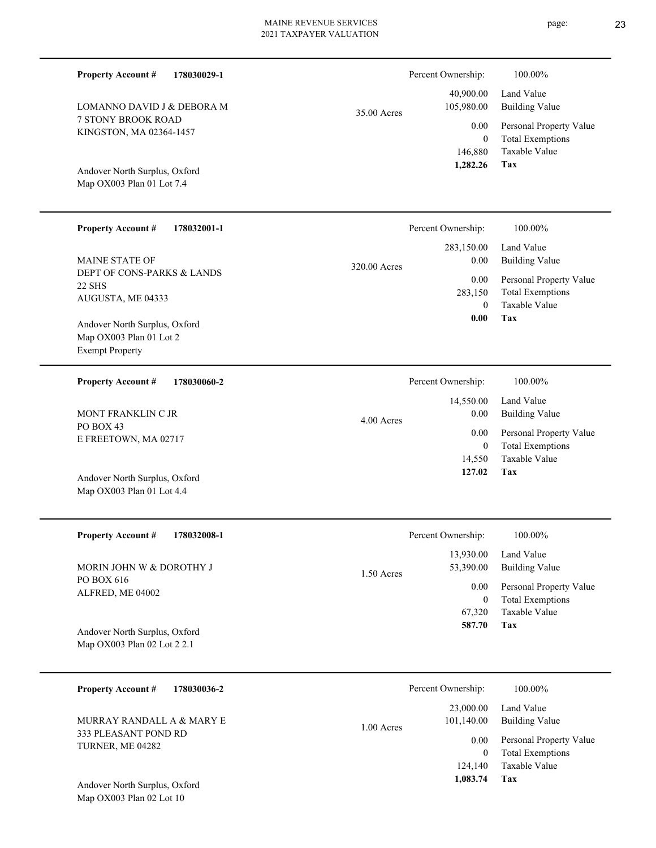| 35.00 Acres |  |  |
|-------------|--|--|
|             |  |  |
|             |  |  |
|             |  |  |
|             |  |  |

# Percent Ownership:  $100.00\%$

320.00 Acres

4.00 Acres

| 40,900.00<br>105,980.00 | Land Value<br><b>Building Value</b> |
|-------------------------|-------------------------------------|
| $0.00\,$                | Personal Property Value             |
| 0                       | <b>Total Exemptions</b>             |
| 146,880                 | Taxable Value                       |
| 1,282.26                | Tax                                 |

**Tax**

**Tax**

Taxable Value Total Exemptions Personal Property Value

Building Value Land Value

 0 283,150

 **0.00**

Percent Ownership:  $100.00\%$ 

 14,550 0

 14,550.00 0.00 0.00

 **127.02**

 283,150.00 0.00 0.00

Percent Ownership: 100.00%

Taxable Value Total Exemptions Personal Property Value

Building Value Land Value

Map OX003 Plan 01 Lot 7.4 Andover North Surplus, Oxford

7 STONY BROOK ROAD KINGSTON, MA 02364-1457

LOMANNO DAVID J & DEBORA M

**Property Account #**

#### **178032001-1 Property Account #**

**178030029-1**

DEPT OF CONS-PARKS & LANDS 22 SHS AUGUSTA, ME 04333 MAINE STATE OF

Map OX003 Plan 01 Lot 2 Exempt Property Andover North Surplus, Oxford

**178030060-2 Property Account #** MONT FRANKLIN C JR

PO BOX 43 E FREETOWN, MA 02717

Map OX003 Plan 01 Lot 4.4 Andover North Surplus, Oxford

| <b>Property Account #</b><br>178032008-1 | Percent Ownership:                     | 100.00%                      |
|------------------------------------------|----------------------------------------|------------------------------|
| MORIN JOHN W & DOROTHY J                 | 13,930.00<br>53,390.00<br>$1.50$ Acres | Land Value<br>Building Value |
| PO BOX 616<br>ALFRED, ME 04002           | 0.00                                   | Personal Property Value      |
|                                          | $\overline{0}$                         | <b>Total Exemptions</b>      |
|                                          | 67,320                                 | Taxable Value                |
| Andover North Surplus, Oxford            | 587.70                                 | Tax                          |
| Map OX003 Plan 02 Lot 2 2.1              |                                        |                              |

| 178030036-2<br><b>Property Account #</b> | Percent Ownership:<br>100.00%                                                |  |
|------------------------------------------|------------------------------------------------------------------------------|--|
| MURRAY RANDALL A & MARY E                | Land Value<br>23,000.00<br>Building Value<br>101.140.00<br>$1.00$ Acres      |  |
| 333 PLEASANT POND RD<br>TURNER, ME 04282 | Personal Property Value<br>0.00<br><b>Total Exemptions</b><br>$\overline{0}$ |  |
|                                          | Taxable Value<br>124,140                                                     |  |
| Andover North Surplus, Oxford            | 1,083.74<br>Tax                                                              |  |

Map OX003 Plan 02 Lot 10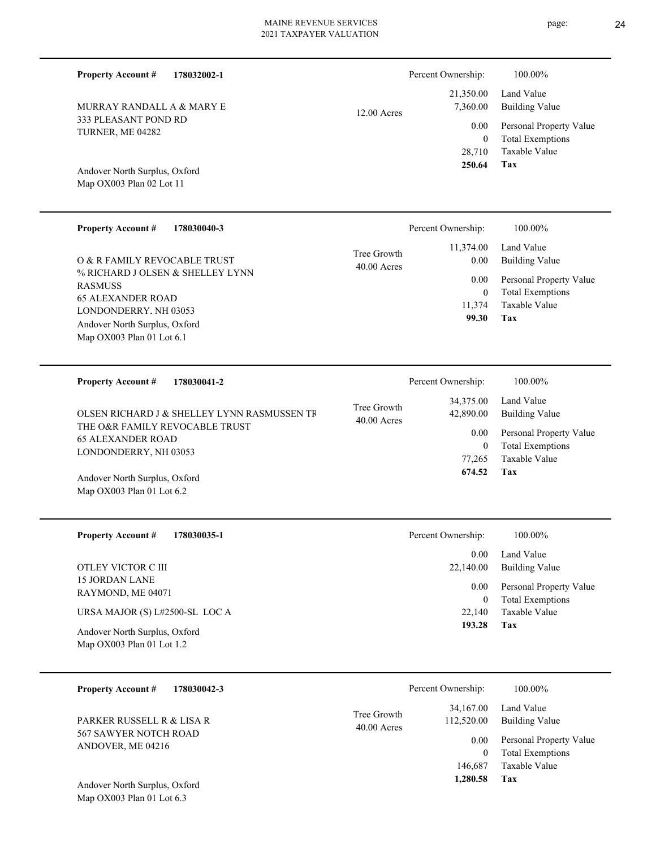| <b>Property Account #</b><br>178032002-1                   |                              | Percent Ownership:         | 100.00%                                            |
|------------------------------------------------------------|------------------------------|----------------------------|----------------------------------------------------|
| MURRAY RANDALL A & MARY E                                  | 12.00 Acres                  | 21,350.00<br>7,360.00      | Land Value<br><b>Building Value</b>                |
| 333 PLEASANT POND RD<br>TURNER, ME 04282                   |                              | 0.00<br>$\mathbf{0}$       | Personal Property Value<br><b>Total Exemptions</b> |
|                                                            |                              | 28,710<br>250.64           | Taxable Value<br>Tax                               |
| Andover North Surplus, Oxford<br>Map OX003 Plan 02 Lot 11  |                              |                            |                                                    |
|                                                            |                              |                            |                                                    |
| <b>Property Account #</b><br>178030040-3                   |                              | Percent Ownership:         | 100.00%                                            |
| O & R FAMILY REVOCABLE TRUST                               | Tree Growth<br>$40.00$ Acres | 11,374.00<br>0.00          | Land Value<br><b>Building Value</b>                |
| % RICHARD J OLSEN & SHELLEY LYNN<br><b>RASMUSS</b>         |                              | 0.00<br>$\mathbf{0}$       | Personal Property Value<br><b>Total Exemptions</b> |
| <b>65 ALEXANDER ROAD</b><br>LONDONDERRY, NH 03053          |                              | 11,374<br>99.30            | <b>Taxable Value</b><br>Tax                        |
| Andover North Surplus, Oxford<br>Map OX003 Plan 01 Lot 6.1 |                              |                            |                                                    |
|                                                            |                              |                            |                                                    |
| <b>Property Account #</b><br>178030041-2                   |                              | Percent Ownership:         | 100.00%                                            |
|                                                            |                              |                            |                                                    |
| OLSEN RICHARD J & SHELLEY LYNN RASMUSSEN TR                | Tree Growth                  | 34,375.00<br>42,890.00     | Land Value<br><b>Building Value</b>                |
| THE O&R FAMILY REVOCABLE TRUST<br><b>65 ALEXANDER ROAD</b> | $40.00$ Acres                | 0.00                       | Personal Property Value                            |
| LONDONDERRY, NH 03053                                      |                              | $\mathbf{0}$<br>77,265     | <b>Total Exemptions</b><br>Taxable Value           |
| Andover North Surplus, Oxford<br>Map OX003 Plan 01 Lot 6.2 |                              | 674.52                     | Tax                                                |
|                                                            |                              |                            |                                                    |
| <b>Property Account #</b><br>178030035-1                   |                              | Percent Ownership:         | 100.00%                                            |
| OTLEY VICTOR C III                                         |                              | 0.00<br>22,140.00          | Land Value<br><b>Building Value</b>                |
| 15 JORDAN LANE<br>RAYMOND, ME 04071                        |                              | 0.00                       | Personal Property Value                            |
| URSA MAJOR (S) L#2500-SL LOC A                             |                              | $\boldsymbol{0}$<br>22,140 | <b>Total Exemptions</b><br>Taxable Value           |
| Andover North Surplus, Oxford<br>Map OX003 Plan 01 Lot 1.2 |                              | 193.28                     | <b>Tax</b>                                         |

| PARKER RUSSELL R & LISA R |  |
|---------------------------|--|
| 567 SAWYER NOTCH ROAD     |  |
| ANDOVER, ME 04216         |  |

**Tax**

 146,687  $\boldsymbol{0}$ 

0.00

 34,167.00 112,520.00

40.00 Acres Tree Growth

 **1,280.58**

Taxable Value Total Exemptions Personal Property Value

Building Value Land Value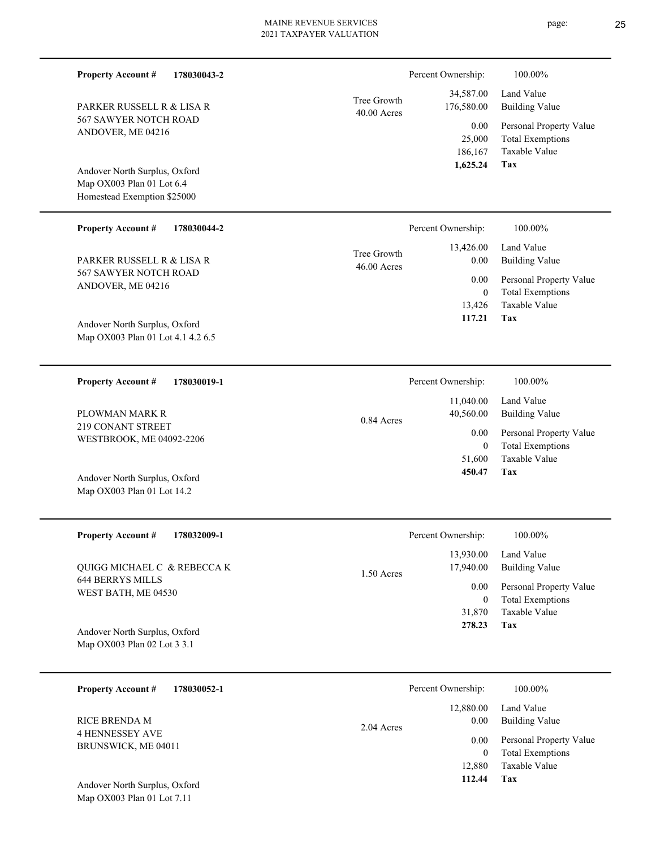| <b>Property Account #</b><br>178030043-2                                                                         |                              | Percent Ownership:                       | 100.00%                                                                    |
|------------------------------------------------------------------------------------------------------------------|------------------------------|------------------------------------------|----------------------------------------------------------------------------|
| PARKER RUSSELL R & LISA R                                                                                        | Tree Growth<br>$40.00$ Acres | 34,587.00<br>176,580.00                  | Land Value<br><b>Building Value</b>                                        |
| 567 SAWYER NOTCH ROAD<br>ANDOVER, ME 04216                                                                       |                              | 0.00<br>25,000<br>186,167                | Personal Property Value<br><b>Total Exemptions</b><br>Taxable Value        |
| Andover North Surplus, Oxford<br>Map OX003 Plan 01 Lot 6.4<br>Homestead Exemption \$25000                        |                              | 1,625.24                                 | Tax                                                                        |
| <b>Property Account #</b><br>178030044-2                                                                         |                              | Percent Ownership:                       | 100.00%                                                                    |
| PARKER RUSSELL R & LISA R                                                                                        | Tree Growth<br>46.00 Acres   | 13,426.00<br>0.00                        | Land Value<br><b>Building Value</b>                                        |
| 567 SAWYER NOTCH ROAD<br>ANDOVER, ME 04216<br>Andover North Surplus, Oxford<br>Map OX003 Plan 01 Lot 4.1 4.2 6.5 |                              | 0.00<br>$\mathbf{0}$<br>13,426<br>117.21 | Personal Property Value<br><b>Total Exemptions</b><br>Taxable Value<br>Tax |
|                                                                                                                  |                              |                                          |                                                                            |
| <b>Property Account #</b><br>178030019-1                                                                         |                              | Percent Ownership:                       | 100.00%                                                                    |
| PLOWMAN MARK R                                                                                                   | 0.84 Acres                   | 11,040.00<br>40,560.00                   | Land Value<br><b>Building Value</b>                                        |
| 219 CONANT STREET<br>WESTBROOK, ME 04092-2206                                                                    |                              | 0.00<br>$\mathbf{0}$<br>51,600           | Personal Property Value<br><b>Total Exemptions</b><br>Taxable Value        |
| Andover North Surplus, Oxford<br>Map OX003 Plan 01 Lot 14.2                                                      |                              | 450.47                                   | Tax                                                                        |
| Property Account #<br>178032009-1                                                                                |                              | Percent Ownership:                       | $100.00\%$                                                                 |
| QUIGG MICHAEL C & REBECCA K                                                                                      |                              | 13,930.00<br>17,940.00                   | Land Value<br><b>Building Value</b>                                        |
| <b>644 BERRYS MILLS</b><br>WEST BATH, ME 04530                                                                   | 1.50 Acres                   | 0.00<br>$\mathbf{0}$<br>31,870<br>278.23 | Personal Property Value<br><b>Total Exemptions</b><br>Taxable Value<br>Tax |
| Andover North Surplus, Oxford<br>Map OX003 Plan 02 Lot 3 3.1                                                     |                              |                                          |                                                                            |
| <b>Property Account #</b><br>178030052-1                                                                         |                              | Percent Ownership:                       | 100.00%                                                                    |
| <b>RICE BRENDA M</b>                                                                                             | 2.04 Acres                   | 12,880.00<br>0.00                        | Land Value<br><b>Building Value</b>                                        |
| <b>4 HENNESSEY AVE</b><br>BRUNSWICK, ME 04011                                                                    |                              | 0.00<br>$\overline{0}$<br>12,880         | Personal Property Value<br><b>Total Exemptions</b><br>Taxable Value        |

**Tax 112.44**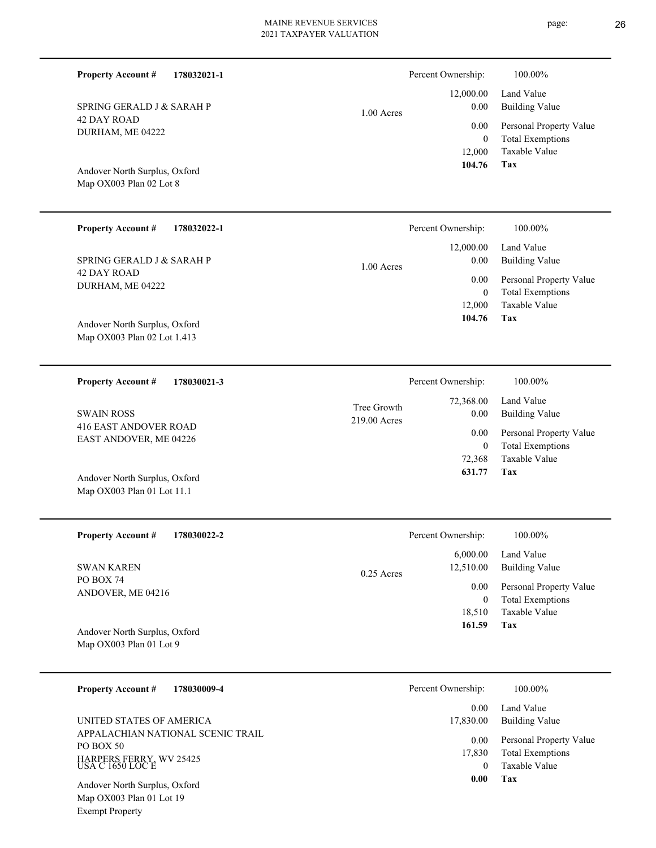| 178032021-1<br><b>Property Account #</b>                 |              | Percent Ownership:         | 100.00%                                  |
|----------------------------------------------------------|--------------|----------------------------|------------------------------------------|
| SPRING GERALD J & SARAH P                                | 1.00 Acres   | 12,000.00<br>0.00          | Land Value<br><b>Building Value</b>      |
| <b>42 DAY ROAD</b><br>DURHAM, ME 04222                   |              | 0.00                       | Personal Property Value                  |
|                                                          |              | $\boldsymbol{0}$<br>12,000 | <b>Total Exemptions</b><br>Taxable Value |
| Andover North Surplus, Oxford<br>Map OX003 Plan 02 Lot 8 |              | 104.76                     | Tax                                      |
| <b>Property Account #</b><br>178032022-1                 |              | Percent Ownership:         | 100.00%                                  |
| SPRING GERALD J & SARAH P                                |              | 12,000.00<br>0.00          | Land Value<br><b>Building Value</b>      |
| 42 DAY ROAD<br>DURHAM, ME 04222                          | $1.00$ Acres | 0.00                       | Personal Property Value                  |
|                                                          |              | $\mathbf{0}$<br>12,000     | <b>Total Exemptions</b><br>Taxable Value |
| Andover North Surplus, Oxford                            |              | 104.76                     | Tax                                      |
| Map OX003 Plan 02 Lot 1.413                              |              |                            |                                          |
| <b>Property Account #</b><br>178030021-3                 |              | Percent Ownership:         | 100.00%                                  |
|                                                          |              |                            |                                          |
| <b>SWAIN ROSS</b>                                        | Tree Growth  | 72,368.00<br>0.00          | Land Value<br><b>Building Value</b>      |
| <b>416 EAST ANDOVER ROAD</b><br>EAST ANDOVER, ME 04226   | 219.00 Acres | 0.00                       | Personal Property Value                  |
|                                                          |              | $\mathbf{0}$<br>72,368     | <b>Total Exemptions</b><br>Taxable Value |
| Andover North Surplus, Oxford                            |              | 631.77                     | Tax                                      |
| Map OX003 Plan 01 Lot 11.1                               |              |                            |                                          |
| <b>Property Account #</b><br>178030022-2                 |              | Percent Ownership:         | 100.00%                                  |
| <b>SWAN KAREN</b>                                        |              | 6,000.00<br>12,510.00      | Land Value<br><b>Building Value</b>      |
| PO BOX 74<br>ANDOVER, ME 04216                           | 0.25 Acres   | 0.00                       | Personal Property Value                  |
|                                                          |              | $\boldsymbol{0}$<br>18,510 | <b>Total Exemptions</b><br>Taxable Value |
| Andover North Surplus, Oxford<br>Map OX003 Plan 01 Lot 9 |              | 161.59                     | Tax                                      |

APPALACHIAN NATIONAL SCENIC TRAIL PO BOX 50 HARPERS FERRY, WV 25425 USA C 1650 LOC E UNITED STATES OF AMERICA

Map OX003 Plan 01 Lot 19 Exempt Property Andover North Surplus, Oxford **Tax 0.00**

 0 17,830

0.00

17,830.00

Taxable Value Total Exemptions Personal Property Value

Building Value

0.00 Land Value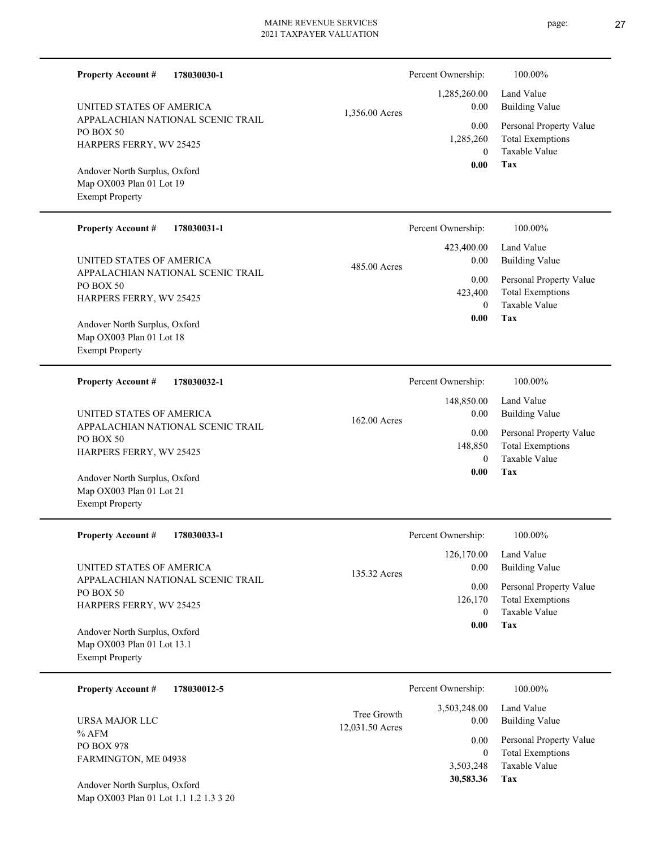|                                                                                       |             | <b>MAINE REVENUE SERVICES</b><br>2021 TAXPAYER VALUATION |                                     | page:<br>27                                                         |
|---------------------------------------------------------------------------------------|-------------|----------------------------------------------------------|-------------------------------------|---------------------------------------------------------------------|
| <b>Property Account #</b>                                                             | 178030030-1 |                                                          | Percent Ownership:                  | 100.00%                                                             |
| UNITED STATES OF AMERICA                                                              |             | 1,356.00 Acres                                           | 1,285,260.00<br>$0.00\,$            | Land Value<br><b>Building Value</b>                                 |
| APPALACHIAN NATIONAL SCENIC TRAIL<br>PO BOX 50<br>HARPERS FERRY, WV 25425             |             |                                                          | 0.00<br>1,285,260<br>$\overline{0}$ | Personal Property Value<br><b>Total Exemptions</b><br>Taxable Value |
| Andover North Surplus, Oxford<br>Map OX003 Plan 01 Lot 19<br><b>Exempt Property</b>   |             |                                                          | 0.00                                | Tax                                                                 |
| <b>Property Account #</b>                                                             | 178030031-1 |                                                          | Percent Ownership:                  | 100.00%                                                             |
| UNITED STATES OF AMERICA                                                              |             | 485.00 Acres                                             | 423,400.00<br>$0.00\,$              | Land Value<br><b>Building Value</b>                                 |
| APPALACHIAN NATIONAL SCENIC TRAIL<br>PO BOX 50<br>HARPERS FERRY, WV 25425             |             |                                                          | 0.00<br>423,400<br>$\theta$         | Personal Property Value<br><b>Total Exemptions</b><br>Taxable Value |
| Andover North Surplus, Oxford<br>Map OX003 Plan 01 Lot 18<br><b>Exempt Property</b>   |             |                                                          | 0.00                                | Tax                                                                 |
| <b>Property Account #</b>                                                             | 178030032-1 |                                                          | Percent Ownership:                  | 100.00%                                                             |
| UNITED STATES OF AMERICA                                                              |             | 162.00 Acres                                             | 148,850.00<br>0.00                  | Land Value<br><b>Building Value</b>                                 |
| APPALACHIAN NATIONAL SCENIC TRAIL<br>PO BOX 50<br>HARPERS FERRY, WV 25425             |             |                                                          | 0.00<br>148,850<br>$\theta$         | Personal Property Value<br><b>Total Exemptions</b><br>Taxable Value |
| Andover North Surplus, Oxford<br>Map OX003 Plan 01 Lot 21<br><b>Exempt Property</b>   |             |                                                          | 0.00                                | Tax                                                                 |
| <b>Property Account #</b>                                                             | 178030033-1 |                                                          | Percent Ownership:                  | 100.00%                                                             |
| UNITED STATES OF AMERICA                                                              |             | 135.32 Acres                                             | 126,170.00<br>0.00                  | Land Value<br><b>Building Value</b>                                 |
| APPALACHIAN NATIONAL SCENIC TRAIL<br>PO BOX 50<br>HARPERS FERRY, WV 25425             |             |                                                          | 0.00<br>126,170<br>$\mathbf{0}$     | Personal Property Value<br><b>Total Exemptions</b><br>Taxable Value |
| Andover North Surplus, Oxford<br>Map OX003 Plan 01 Lot 13.1<br><b>Exempt Property</b> |             |                                                          | 0.00                                | Tax                                                                 |
| <b>Property Account #</b>                                                             | 178030012-5 |                                                          | Percent Ownership:                  | 100.00%                                                             |
| URSA MAJOR LLC                                                                        |             | Tree Growth                                              | 3,503,248.00<br>0.00                | Land Value<br><b>Building Value</b>                                 |
| $%$ AFM<br>PO BOX 978<br>FARMINGTON, ME 04938                                         |             | 12,031.50 Acres                                          | 0.00<br>$\mathbf{0}$                | Personal Property Value<br><b>Total Exemptions</b>                  |

**Tax**

3,503,248

 **30,583.36**

Taxable Value

Map OX003 Plan 01 Lot 1.1 1.2 1.3 3 20 Andover North Surplus, Oxford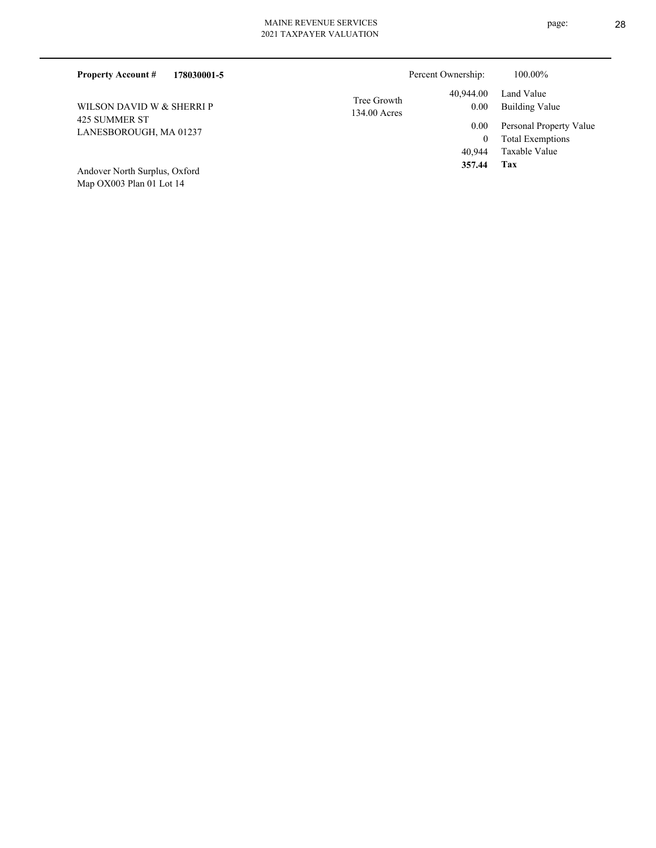| 178030001-5<br><b>Property Account #</b> |                             | Percent Ownership: | 100.00%                                            |
|------------------------------------------|-----------------------------|--------------------|----------------------------------------------------|
| WILSON DAVID W & SHERRI P                | Tree Growth<br>134.00 Acres | 40,944.00<br>0.00  | Land Value<br><b>Building Value</b>                |
| 425 SUMMER ST<br>LANESBOROUGH, MA 01237  |                             | 0.00               | Personal Property Value<br><b>Total Exemptions</b> |
| Andover North Surplus, Oxford            |                             | 40,944<br>357.44   | Taxable Value<br>Tax                               |

Map OX003 Plan 01 Lot 14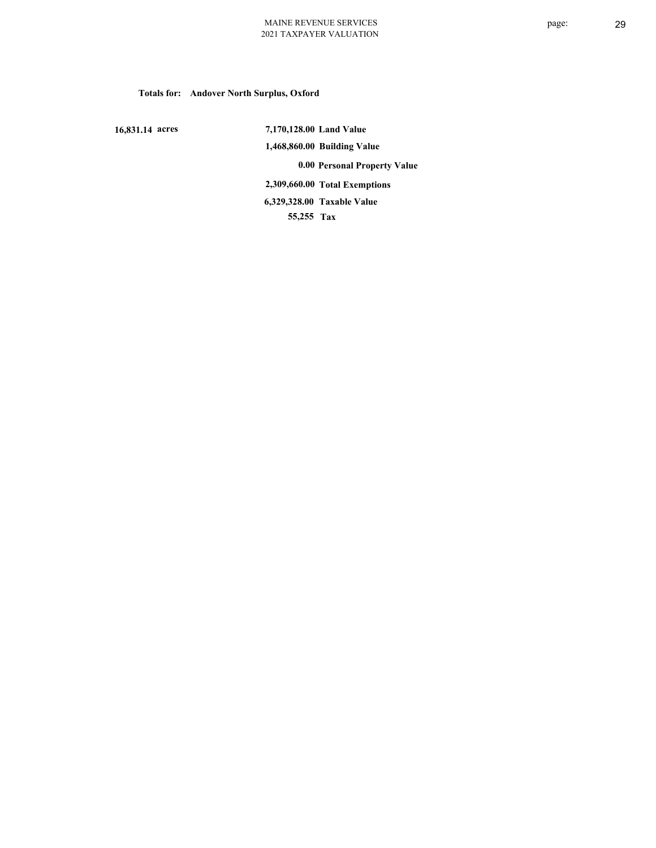**Totals for: Andover North Surplus, Oxford**

 **16,831.14 acres**

 **7,170,128.00 Land Value 1,468,860.00 Building Value 0.00 Personal Property Value 2,309,660.00 Total Exemptions 55,255 Tax Taxable Value 6,329,328.00**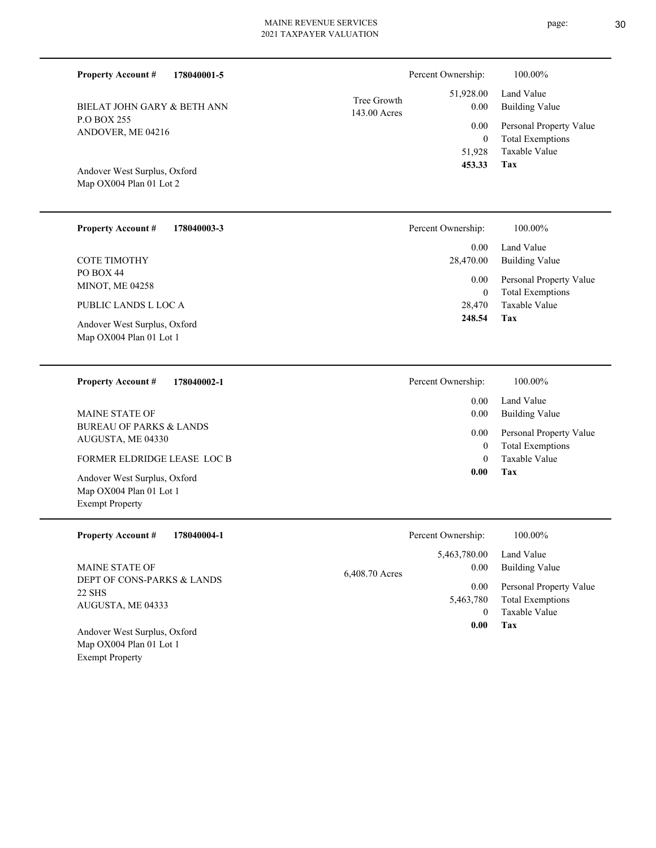| 178040001-5<br><b>Property Account #</b>                                          | Percent Ownership:                       | 100.00%                                                            |
|-----------------------------------------------------------------------------------|------------------------------------------|--------------------------------------------------------------------|
| BIELAT JOHN GARY & BETH ANN                                                       | 51,928.00<br>Tree Growth<br>0.00         | Land Value<br><b>Building Value</b>                                |
| P.O BOX 255<br>ANDOVER, ME 04216                                                  | 143.00 Acres<br>0.00<br>$\boldsymbol{0}$ | Personal Property Value<br><b>Total Exemptions</b>                 |
| Andover West Surplus, Oxford<br>Map OX004 Plan 01 Lot 2                           | 51,928<br>453.33                         | Taxable Value<br><b>Tax</b>                                        |
| <b>Property Account #</b><br>178040003-3                                          | Percent Ownership:                       | 100.00%                                                            |
| <b>COTE TIMOTHY</b>                                                               | 0.00<br>28,470.00                        | Land Value<br><b>Building Value</b>                                |
| PO BOX 44<br>MINOT, ME 04258                                                      | 0.00<br>$\mathbf{0}$                     | Personal Property Value<br><b>Total Exemptions</b>                 |
| PUBLIC LANDS L LOC A                                                              | 28,470                                   | Taxable Value                                                      |
| Andover West Surplus, Oxford<br>Map OX004 Plan 01 Lot 1                           | 248.54                                   | <b>Tax</b>                                                         |
| <b>Property Account #</b><br>178040002-1                                          | Percent Ownership:                       | 100.00%                                                            |
| <b>MAINE STATE OF</b>                                                             | 0.00<br>0.00                             | Land Value<br><b>Building Value</b>                                |
| <b>BUREAU OF PARKS &amp; LANDS</b><br>AUGUSTA, ME 04330                           | 0.00<br>$\mathbf{0}$                     | Personal Property Value<br><b>Total Exemptions</b>                 |
| FORMER ELDRIDGE LEASE LOC B                                                       | $\mathbf{0}$                             | Taxable Value                                                      |
| Andover West Surplus, Oxford<br>Map OX004 Plan 01 Lot 1<br><b>Exempt Property</b> | 0.00                                     | Tax                                                                |
| <b>Property Account #</b><br>178040004-1                                          | Percent Ownership:                       | 100.00%                                                            |
| <b>MAINE STATE OF</b>                                                             | 5,463,780.00<br>0.00<br>6,408.70 Acres   | Land Value<br><b>Building Value</b>                                |
| DEPT OF CONS-PARKS & LANDS<br>22 SHS<br>AUGUSTA, ME 04333                         | 0.00<br>5,463,780                        | Personal Property Value<br><b>Total Exemptions</b><br>$T = 11.371$ |

Map OX004 Plan 01 Lot 1 Exempt Property Andover West Surplus, Oxford **Tax 0.00**

0

Taxable Value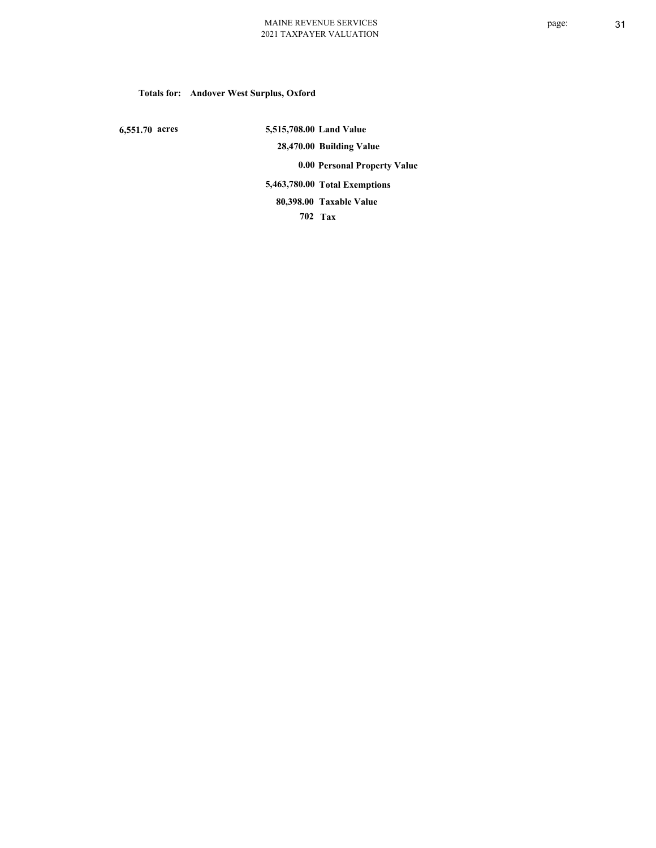# **Totals for: Andover West Surplus, Oxford**

 **6,551.70 acres**

 **5,515,708.00 Land Value 28,470.00 Building Value 0.00 Personal Property Value 5,463,780.00 Total Exemptions 702 Tax Taxable Value 80,398.00**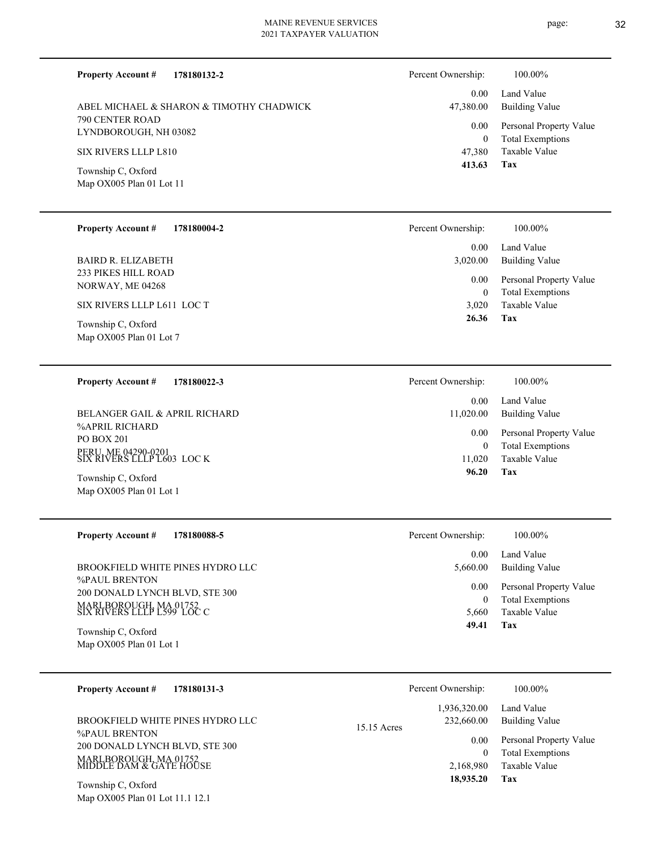| <b>Property Account #</b><br>178180132-2                                                                                                                                   | Percent Ownership:                                                | 100.00%                                                                                                                  |
|----------------------------------------------------------------------------------------------------------------------------------------------------------------------------|-------------------------------------------------------------------|--------------------------------------------------------------------------------------------------------------------------|
| ABEL MICHAEL & SHARON & TIMOTHY CHADWICK<br>790 CENTER ROAD<br>LYNDBOROUGH, NH 03082<br>SIX RIVERS LLLP L810<br>Township C, Oxford<br>Map OX005 Plan 01 Lot 11             | 0.00<br>47,380.00<br>0.00<br>$\boldsymbol{0}$<br>47,380<br>413.63 | Land Value<br><b>Building Value</b><br>Personal Property Value<br><b>Total Exemptions</b><br>Taxable Value<br><b>Tax</b> |
| <b>Property Account #</b><br>178180004-2                                                                                                                                   | Percent Ownership:                                                | 100.00%                                                                                                                  |
| <b>BAIRD R. ELIZABETH</b><br><b>233 PIKES HILL ROAD</b><br>NORWAY, ME 04268<br>SIX RIVERS LLLP L611 LOC T<br>Township C, Oxford<br>Map OX005 Plan 01 Lot 7                 | 0.00<br>3,020.00<br>0.00<br>$\boldsymbol{0}$<br>3,020<br>26.36    | Land Value<br><b>Building Value</b><br>Personal Property Value<br><b>Total Exemptions</b><br>Taxable Value<br>Tax        |
| <b>Property Account #</b><br>178180022-3                                                                                                                                   | Percent Ownership:                                                | 100.00%                                                                                                                  |
| BELANGER GAIL & APRIL RICHARD<br>%APRIL RICHARD<br><b>PO BOX 201</b><br>PERU, ME 04290-0201<br>SIX RIVERS LLLP L603 LOC K<br>Township C, Oxford<br>Map OX005 Plan 01 Lot 1 | 0.00<br>11,020.00<br>0.00<br>$\boldsymbol{0}$<br>11,020<br>96.20  | Land Value<br><b>Building Value</b><br>Personal Property Value<br><b>Total Exemptions</b><br>Taxable Value<br>Tax        |
| <b>Property Account #</b><br>178180088-5                                                                                                                                   | Percent Ownership:                                                | 100.00%                                                                                                                  |
| BROOKFIELD WHITE PINES HYDRO LLC                                                                                                                                           | 0.00<br>5,660.00                                                  | Land Value<br><b>Building Value</b>                                                                                      |

%PAUL BRENTON 200 DONALD LYNCH BLVD, STE 300 MARLBOROUGH, MA 01752 SIX RIVERS LLLP L599 LOC C

Map OX005 Plan 01 Lot 1 Township C, Oxford

| 178180131-3<br><b>Property Account #</b>                                           | Percent Ownership:                        | 100.00%                                                             |
|------------------------------------------------------------------------------------|-------------------------------------------|---------------------------------------------------------------------|
| BROOKFIELD WHITE PINES HYDRO LLC<br>%PAUL BRENTON                                  | 1,936,320.00<br>232,660.00<br>15.15 Acres | Land Value<br>Building Value                                        |
| 200 DONALD LYNCH BLVD, STE 300<br>MARLBOROUGH, MA 01752<br>MIDDLE DAM & GATE HOUSE | 0.00<br>$\Omega$<br>2,168,980             | Personal Property Value<br><b>Total Exemptions</b><br>Taxable Value |
| Township C, Oxford<br>Map OX005 Plan 01 Lot 11.1 12.1                              | 18,935.20                                 | Tax                                                                 |

| 0.00  | Personal Property Value |
|-------|-------------------------|
| 0     | <b>Total Exemptions</b> |
| 5,660 | Taxable Value           |
| 49.41 | Tax                     |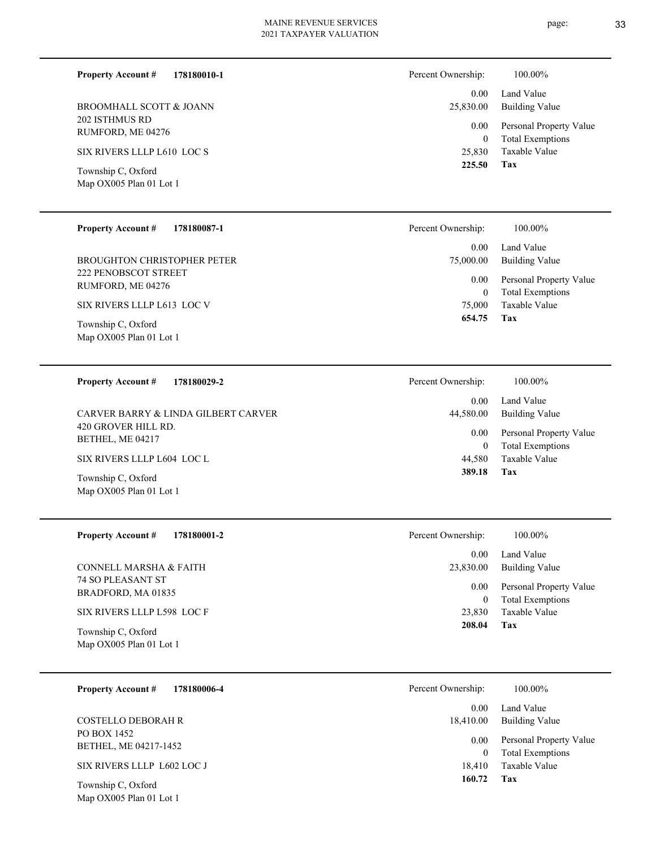page: 33

| <b>Property Account #</b>                     | 178180010-1 | Percent Ownership: | 100.00%                 |
|-----------------------------------------------|-------------|--------------------|-------------------------|
|                                               |             | 0.00               | Land Value              |
| BROOMHALL SCOTT & JOANN                       |             | 25,830.00          | <b>Building Value</b>   |
| 202 ISTHMUS RD                                |             | 0.00               | Personal Property Value |
| RUMFORD, ME 04276                             |             | $\mathbf{0}$       | <b>Total Exemptions</b> |
| SIX RIVERS LLLP L610 LOC S                    |             | 25,830             | Taxable Value           |
|                                               |             | 225.50             | Tax                     |
| Township C, Oxford<br>Map OX005 Plan 01 Lot 1 |             |                    |                         |
|                                               |             |                    |                         |
|                                               |             |                    |                         |
| <b>Property Account #</b>                     | 178180087-1 | Percent Ownership: | 100.00%                 |
|                                               |             | 0.00               | Land Value              |
| <b>BROUGHTON CHRISTOPHER PETER</b>            |             | 75,000.00          | <b>Building Value</b>   |
| <b>222 PENOBSCOT STREET</b>                   |             | 0.00               | Personal Property Value |
| RUMFORD, ME 04276                             |             | $\mathbf{0}$       | <b>Total Exemptions</b> |
| SIX RIVERS LLLP L613 LOC V                    |             | 75,000             | Taxable Value           |
| m 1' a o c 1                                  |             | 654.75             | Tax                     |

Map OX005 Plan 01 Lot 1 Township C, Oxford

| 178180029-2<br><b>Property Account #</b>      | Percent Ownership:     | 100.00%                                            |
|-----------------------------------------------|------------------------|----------------------------------------------------|
| CARVER BARRY & LINDA GILBERT CARVER           | 0.00<br>44,580.00      | Land Value<br><b>Building Value</b>                |
| 420 GROVER HILL RD.<br>BETHEL, ME 04217       | 0.00<br>$\overline{0}$ | Personal Property Value<br><b>Total Exemptions</b> |
| SIX RIVERS LLLP L604 LOC L                    | 44.580                 | Taxable Value                                      |
| Township C, Oxford<br>Map OX005 Plan 01 Lot 1 | 389.18                 | Tax                                                |

| <b>Property Account #</b><br>178180001-2                                     | 100.00%<br>Percent Ownership:                                                         |  |
|------------------------------------------------------------------------------|---------------------------------------------------------------------------------------|--|
|                                                                              | Land Value<br>0.00                                                                    |  |
| CONNELL MARSHA & FAITH                                                       | 23,830.00<br>Building Value                                                           |  |
| <b>74 SO PLEASANT ST</b><br>BRADFORD, MA 01835<br>SIX RIVERS LLLP L598 LOC F | Personal Property Value<br>0.00<br><b>Total Exemptions</b><br>Taxable Value<br>23,830 |  |
| Township C, Oxford<br>Map OX005 Plan 01 Lot 1                                | Tax<br>208.04                                                                         |  |

| 178180006-4<br><b>Property Account #</b> | Percent Ownership: | 100.00%                                            |
|------------------------------------------|--------------------|----------------------------------------------------|
|                                          | 0.00               | Land Value                                         |
| <b>COSTELLO DEBORAH R</b>                | 18,410.00          | Building Value                                     |
| PO BOX 1452<br>BETHEL, ME 04217-1452     | 0.00<br>0          | Personal Property Value<br><b>Total Exemptions</b> |
| SIX RIVERS LLLP L602 LOC J               | 18.410             | Taxable Value                                      |
| Township $\cap$ Oxford                   | 160.72             | Tax                                                |

Map OX005 Plan 01 Lot 1 Township C, Oxford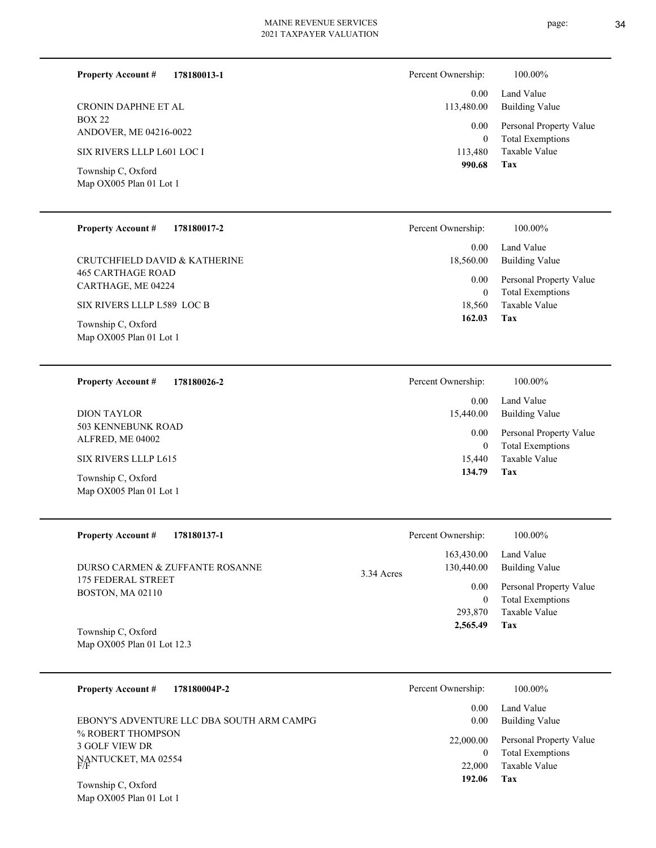| <b>Property Account #</b><br>178180013-1                                                     | Percent Ownership:                                        | 100.00%                                                                                                    |
|----------------------------------------------------------------------------------------------|-----------------------------------------------------------|------------------------------------------------------------------------------------------------------------|
| CRONIN DAPHNE ET AL<br><b>BOX 22</b><br>ANDOVER, ME 04216-0022<br>SIX RIVERS LLLP L601 LOC I | 0.00<br>113,480.00<br>0.00<br>$\boldsymbol{0}$<br>113,480 | Land Value<br><b>Building Value</b><br>Personal Property Value<br><b>Total Exemptions</b><br>Taxable Value |
| Township C, Oxford<br>Map OX005 Plan 01 Lot 1                                                | 990.68                                                    | Tax                                                                                                        |
| <b>Property Account #</b><br>178180017-2                                                     | Percent Ownership:                                        | 100.00%                                                                                                    |
| CRUTCHFIELD DAVID & KATHERINE<br><b>465 CARTHAGE ROAD</b><br>CARTHAGE, ME 04224              | 0.00<br>18,560.00<br>0.00<br>$\boldsymbol{0}$             | Land Value<br><b>Building Value</b><br>Personal Property Value<br><b>Total Exemptions</b>                  |
| SIX RIVERS LLLP L589 LOC B                                                                   | 18,560<br>162.03                                          | Taxable Value<br>Tax                                                                                       |
| Township C, Oxford<br>Map OX005 Plan 01 Lot 1                                                |                                                           |                                                                                                            |
| 178180026-2<br><b>Property Account #</b>                                                     | Percent Ownership:                                        | 100.00%                                                                                                    |
| <b>DION TAYLOR</b>                                                                           | 0.00<br>15,440.00                                         | Land Value<br><b>Building Value</b>                                                                        |
| 503 KENNEBUNK ROAD<br>ALFRED, ME 04002                                                       | 0.00<br>$\mathbf{0}$                                      | Personal Property Value<br><b>Total Exemptions</b>                                                         |
| SIX RIVERS LLLP L615                                                                         | 15,440<br>134.79                                          | Taxable Value<br>Tax                                                                                       |
| Township C, Oxford<br>Map OX005 Plan 01 Lot 1                                                |                                                           |                                                                                                            |
| <b>Property Account #</b><br>178180137-1                                                     | Percent Ownership:                                        | 100.00%                                                                                                    |
| DURSO CARMEN & ZUFFANTE ROSANNE                                                              | 163,430.00<br>130,440.00<br>3.34 Acres                    | Land Value<br><b>Building Value</b>                                                                        |
| 175 FEDERAL STREET<br>BOSTON, MA 02110                                                       | 0.00<br>$\mathbf{0}$                                      | Personal Property Value<br><b>Total Exemptions</b>                                                         |
| Township C, Oxford                                                                           | 293,870<br>2,565.49                                       | Taxable Value<br>Tax                                                                                       |
| Map OX005 Plan 01 Lot 12.3                                                                   |                                                           |                                                                                                            |
| <b>Property Account #</b><br>178180004P-2                                                    | Percent Ownership:                                        | 100.00%                                                                                                    |
| EBONY'S ADVENTURE LLC DBA SOUTH ARM CAMPG                                                    | 0.00<br>0.00                                              | Land Value<br><b>Building Value</b>                                                                        |
| % ROBERT THOMPSON<br>3 GOLF VIEW DR<br>NANTUCKET, MA 02554                                   | 22,000.00<br>$\bf{0}$<br>22,000<br>192.06                 | Personal Property Value<br><b>Total Exemptions</b><br>Taxable Value<br>Tax                                 |
| Township C, Oxford<br>Map OX005 Plan 01 Lot 1                                                |                                                           |                                                                                                            |
|                                                                                              |                                                           |                                                                                                            |
|                                                                                              |                                                           |                                                                                                            |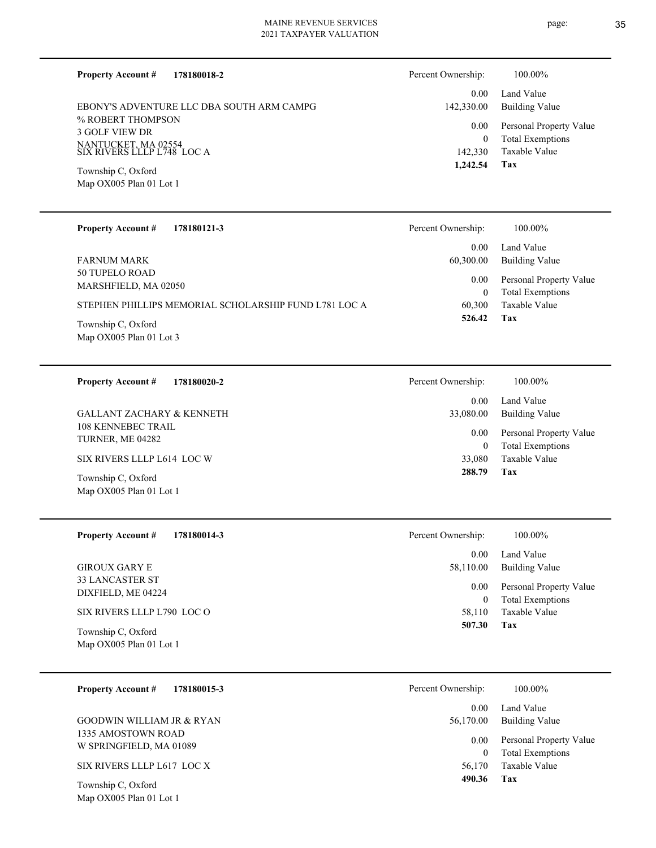Map OX005 Plan 01 Lot 1

Map OX005 Plan 01 Lot 1

| 178180018-2<br><b>Property Account #</b>          | Percent Ownership: | 100.00%                 |
|---------------------------------------------------|--------------------|-------------------------|
| EBONY'S ADVENTURE LLC DBA SOUTH ARM CAMPG         | 0.00               | Land Value              |
| % ROBERT THOMPSON                                 | 142,330.00         | Building Value          |
| <b>3 GOLF VIEW DR</b>                             | 0.00               | Personal Property Value |
| NANTUCKET, MA 02554<br>SIX RIVERS LLLP L748 LOC A | 0                  | <b>Total Exemptions</b> |
| Township C, Oxford                                | 142,330            | Taxable Value           |
| Map OX005 Plan 01 Lot 1                           | 1,242.54           | Tax                     |

| <b>Property Account #</b><br>178180121-3              | Percent Ownership: | 100.00%                                            |
|-------------------------------------------------------|--------------------|----------------------------------------------------|
|                                                       | 0.00               | Land Value                                         |
| FARNUM MARK                                           | 60,300.00          | Building Value                                     |
| 50 TUPELO ROAD<br>MARSHFIELD, MA 02050                | 0.00<br>0          | Personal Property Value<br><b>Total Exemptions</b> |
| STEPHEN PHILLIPS MEMORIAL SCHOLARSHIP FUND L781 LOC A | 60,300             | Taxable Value                                      |
| Township C, Oxford<br>Map $OX005$ Plan 01 Lot 3       | 526.42             | Tax                                                |

**178180020-2 Tax** Taxable Value Total Exemptions Personal Property Value Building Value Land Value 108 KENNEBEC TRAIL TURNER, ME 04282 **Property Account #** Township C, Oxford SIX RIVERS LLLP L614 LOC W GALLANT ZACHARY & KENNETH 33,080 0  **288.79** 0.00 33,080.00 0.00 Percent Ownership:  $100.00\%$ 

| <b>Property Account #</b><br>178180014-3      | Percent Ownership: | 100.00%                                            |
|-----------------------------------------------|--------------------|----------------------------------------------------|
|                                               | 0.00               | Land Value                                         |
| <b>GIROUX GARY E</b>                          | 58,110.00          | <b>Building Value</b>                              |
| <b>33 LANCASTER ST</b><br>DIXFIELD, ME 04224  | 0.00<br>0          | Personal Property Value<br><b>Total Exemptions</b> |
| SIX RIVERS LLLP L790 LOC O                    | 58,110             | Taxable Value                                      |
| Township C, Oxford<br>Map OX005 Plan 01 Lot 1 | 507.30             | Tax                                                |

| <b>Property Account #</b><br>178180015-3      | Percent Ownership: | 100.00%                                            |
|-----------------------------------------------|--------------------|----------------------------------------------------|
|                                               | 0.00               | Land Value                                         |
| <b>GOODWIN WILLIAM JR &amp; RYAN</b>          | 56,170.00          | Building Value                                     |
| 1335 AMOSTOWN ROAD<br>W SPRINGFIELD, MA 01089 | 0.00<br>0          | Personal Property Value<br><b>Total Exemptions</b> |
| SIX RIVERS LLLP L617 LOC X                    | 56,170             | Taxable Value                                      |
| Township C, Oxford                            | 490.36             | Tax                                                |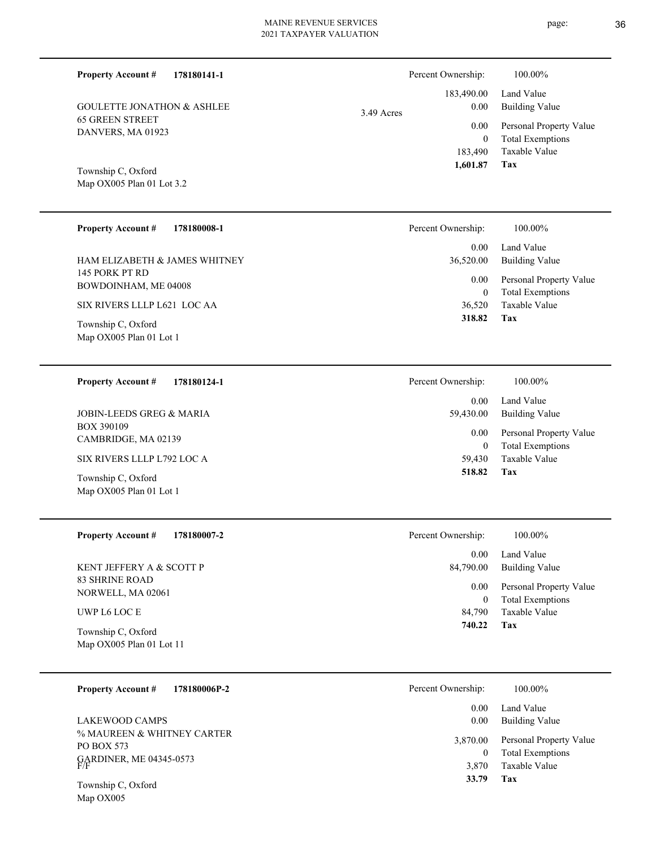| <b>Property Account #</b><br><b>GOULETTE JONATHON &amp; ASHLEE</b><br><b>65 GREEN STREET</b><br>DANVERS, MA 01923<br>Township C, Oxford<br>Map OX005 Plan 01 Lot 3.2                 | 178180141-1 | Percent Ownership:<br>183,490.00<br>3.49 Acres | 0.00<br>0.00<br>$\mathbf{0}$<br>183,490<br>1,601.87<br>Tax | 100.00%<br>Land Value<br><b>Building Value</b><br>Personal Property Value<br><b>Total Exemptions</b><br><b>Taxable Value</b> |
|--------------------------------------------------------------------------------------------------------------------------------------------------------------------------------------|-------------|------------------------------------------------|------------------------------------------------------------|------------------------------------------------------------------------------------------------------------------------------|
| <b>Property Account #</b><br>HAM ELIZABETH & JAMES WHITNEY<br>145 PORK PT RD<br>BOWDOINHAM, ME 04008<br>SIX RIVERS LLLP L621 LOC AA<br>Township C, Oxford<br>Map OX005 Plan 01 Lot 1 | 178180008-1 | Percent Ownership:<br>36,520.00                | 0.00<br>0.00<br>$\mathbf{0}$<br>36,520<br>318.82<br>Tax    | 100.00%<br>Land Value<br><b>Building Value</b><br>Personal Property Value<br><b>Total Exemptions</b><br><b>Taxable Value</b> |
| <b>Property Account #</b><br><b>JOBIN-LEEDS GREG &amp; MARIA</b><br><b>BOX 390109</b><br>CAMBRIDGE, MA 02139                                                                         | 178180124-1 | Percent Ownership:<br>59,430.00                | 0.00<br>0.00<br>$\boldsymbol{0}$                           | 100.00%<br>Land Value<br><b>Building Value</b><br>Personal Property Value<br><b>Total Exemptions</b>                         |

SIX RIVERS LLLP L792 LOC A

Map OX005 Plan 01 Lot 1 Township C, Oxford

| <b>Property Account #</b><br>178180007-2       | Percent Ownership: | 100.00%                                            |
|------------------------------------------------|--------------------|----------------------------------------------------|
|                                                | 0.00               | Land Value                                         |
| KENT JEFFERY A & SCOTT P                       | 84,790.00          | Building Value                                     |
| 83 SHRINE ROAD<br>NORWELL, MA 02061            | 0.00<br>0          | Personal Property Value<br><b>Total Exemptions</b> |
| UWP L6 LOC E                                   | 84.790             | Taxable Value                                      |
| Township C, Oxford<br>Map OX005 Plan 01 Lot 11 | 740.22             | Tax                                                |

**Tax 518.82**

59,430 Taxable Value

| 178180006P-2<br><b>Property Account #</b>           | Percent Ownership: | 100.00%                 |
|-----------------------------------------------------|--------------------|-------------------------|
|                                                     | 0.00               | Land Value              |
| LAKEWOOD CAMPS                                      | 0.00               | Building Value          |
| % MAUREEN & WHITNEY CARTER<br>PO BOX 573            | 3,870.00           | Personal Property Value |
|                                                     |                    | <b>Total Exemptions</b> |
| GARDINER, ME 04345-0573<br>F/F                      | 3.870              | Taxable Value           |
| $T_{\alpha}$ $\ldots$ as $\alpha$ $\alpha$ $\alpha$ | 33.79              | Tax                     |

Map OX005 Township C, Oxford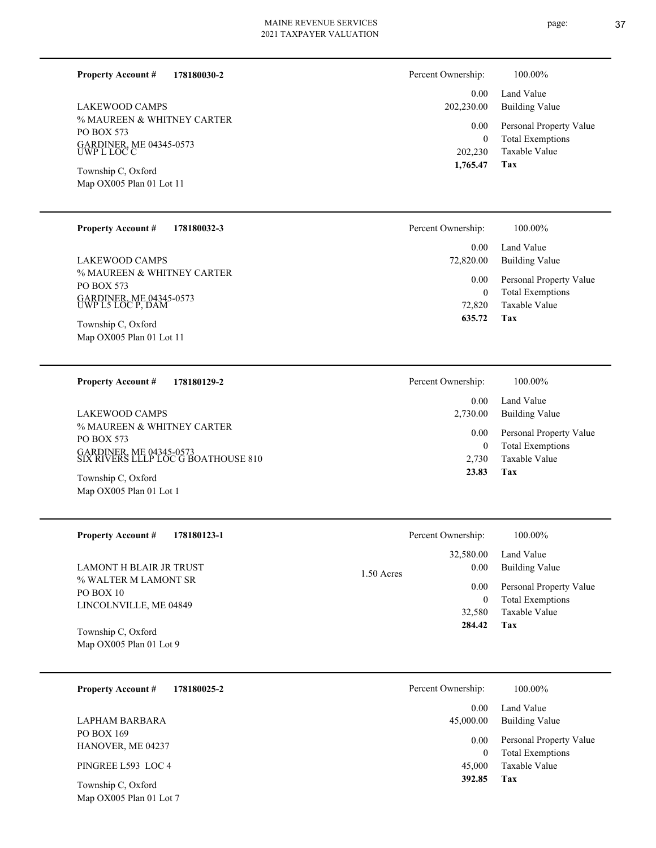**178180030-2 Property Account #**

% MAUREEN & WHITNEY CARTER PO BOX 573 GARDINER, ME 04345-0573 UWP L LOC C LAKEWOOD CAMPS

Map OX005 Plan 01 Lot 11 Township C, Oxford

### **178180032-3 Property Account #**

% MAUREEN & WHITNEY CARTER PO BOX 573 GARDINER, ME 04345-0573 UWP L5 LOC P, DAM LAKEWOOD CAMPS

Map OX005 Plan 01 Lot 11 Township C, Oxford

### **178180129-2 Property Account #**

% MAUREEN & WHITNEY CARTER PO BOX 573 GARDINER, ME 04345-0573 SIX RIVERS LLLP LOC G BOATHOUSE 810 LAKEWOOD CAMPS

Map OX005 Plan 01 Lot 1 Township C, Oxford

### **178180123-1 Tax 284.42** Taxable Value Total Exemptions Personal Property Value Building Value Land Value % WALTER M LAMONT SR PO BOX 10 LINCOLNVILLE, ME 04849 **Property Account #** Map OX005 Plan 01 Lot 9 Township C, Oxford LAMONT H BLAIR JR TRUST 32,580 0 32,580.00 0.00 0.00  $1.50A$ Percent Ownership:  $100.00\%$

**178180025-2** Taxable Value Total Exemptions Personal Property Value Building Value Land Value PO BOX 169 HANOVER, ME 04237 **Property Account #** PINGREE L593 LOC 4 LAPHAM BARBARA 45,000 0 0.00 45,000.00 0.00 Percer

Map OX005 Plan 01 Lot 7 Township C, Oxford

| Percent Ownership: | 100.00%                 |
|--------------------|-------------------------|
| 0.00               | Land Value              |
| 202,230.00         | Building Value          |
| 0.00               | Personal Property Value |
| 0                  | <b>Total Exemptions</b> |
| 202,230            | Taxable Value           |
| 1,765.47           | Tax                     |

| Percent Ownership:    | 100.00%                             |
|-----------------------|-------------------------------------|
| $0.00 -$<br>72,820.00 | Land Value<br><b>Building Value</b> |
| $0.00\,$              | Personal Property Value             |
| 0                     | <b>Total Exemptions</b>             |
| 72,820                | Taxable Value                       |
| 635.72                | Tax                                 |

| Percent Ownership:   | 100.00%                                            |
|----------------------|----------------------------------------------------|
| $0.00 -$<br>2,730.00 | Land Value<br>Building Value                       |
| $0.00\,$<br>0        | Personal Property Value<br><b>Total Exemptions</b> |
| 2,730                | Taxable Value                                      |
| 23.83                | Tax                                                |

|       | Percent Ownership: | 100.00%                 |
|-------|--------------------|-------------------------|
|       |                    | 32,580.00 Land Value    |
| Acres | 0.00               | Building Value          |
|       | $0.00\,$           | Personal Property Value |
|       | 0                  | <b>Total Exemptions</b> |
|       |                    | 32,580 Taxable Value    |

| 100.00%                                                                    |
|----------------------------------------------------------------------------|
| Land Value<br>Building Value                                               |
| Personal Property Value<br><b>Total Exemptions</b><br>Taxable Value<br>Tax |
|                                                                            |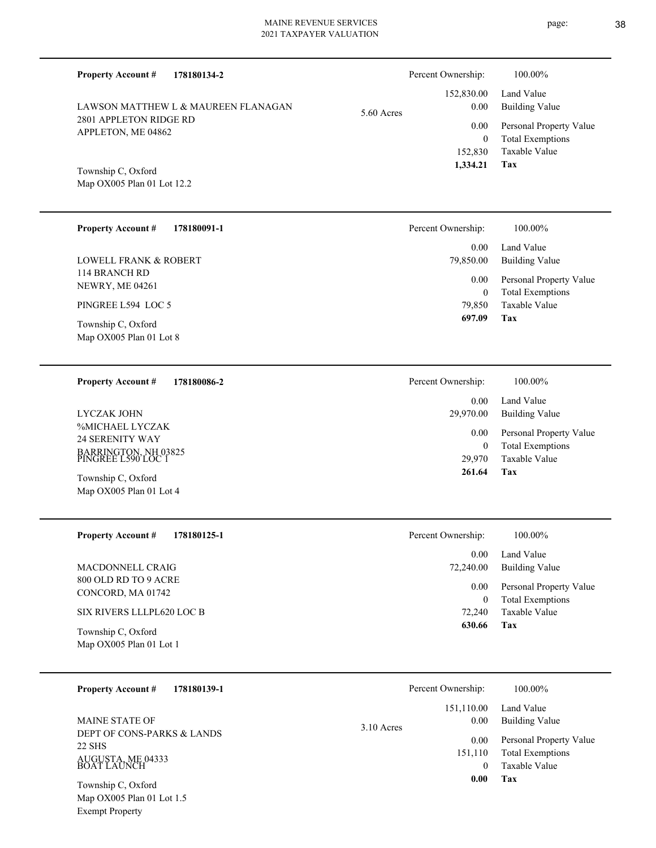| <b>Property Account #</b><br>178180134-2         | Percent Ownership:               | 100.00%                                                             |
|--------------------------------------------------|----------------------------------|---------------------------------------------------------------------|
| LAWSON MATTHEW L & MAUREEN FLANAGAN              | 152,830.00<br>0.00<br>5.60 Acres | Land Value<br><b>Building Value</b>                                 |
| 2801 APPLETON RIDGE RD<br>APPLETON, ME 04862     | 0.00<br>$\mathbf{0}$<br>152,830  | Personal Property Value<br><b>Total Exemptions</b><br>Taxable Value |
| Township C, Oxford<br>Map OX005 Plan 01 Lot 12.2 | 1,334.21                         | Tax                                                                 |
| <b>Property Account #</b><br>178180091-1         | Percent Ownership:               | 100.00%                                                             |
| <b>LOWELL FRANK &amp; ROBERT</b>                 | 0.00<br>79,850.00                | Land Value<br><b>Building Value</b>                                 |
| 114 BRANCH RD<br><b>NEWRY, ME 04261</b>          | 0.00<br>$\mathbf{0}$             | Personal Property Value<br><b>Total Exemptions</b>                  |
| PINGREE L594 LOC 5<br>Township C, Oxford         | 79,850<br>697.09                 | <b>Taxable Value</b><br>Tax                                         |
| Map OX005 Plan 01 Lot 8                          |                                  |                                                                     |
| 178180086-2<br><b>Property Account #</b>         | Percent Ownership:               | 100.00%                                                             |
| <b>LYCZAK JOHN</b>                               | 0.00<br>29,970.00                | Land Value<br><b>Building Value</b>                                 |
| %MICHAEL LYCZAK<br>24 SERENITY WAY               | 0.00<br>$\mathbf{0}$             | Personal Property Value<br><b>Total Exemptions</b>                  |
| BARRINGTON, NH 03825<br>PINGREE L590 LOC 1       | 29,970<br>261.64                 | <b>Taxable Value</b><br>Tax                                         |
| Township C, Oxford<br>Map OX005 Plan 01 Lot 4    |                                  |                                                                     |
| <b>Property Account #</b><br>178180125-1         | Percent Ownership:               | 100.00%                                                             |
| MACDONNELL CRAIG                                 | 0.00<br>72,240.00                | Land Value<br><b>Building Value</b>                                 |
| 800 OLD RD TO 9 ACRE<br>CONCORD, MA 01742        | 0.00<br>$\boldsymbol{0}$         | Personal Property Value<br><b>Total Exemptions</b>                  |
| SIX RIVERS LLLPL620 LOC B                        | 72,240<br>630.66                 | Taxable Value<br>Tax                                                |
| Township C, Oxford<br>Map OX005 Plan 01 Lot 1    |                                  |                                                                     |
| <b>Property Account #</b><br>178180139-1         | Percent Ownership:               | 100.00%                                                             |
| MAINE STATE OF                                   | 151,110.00<br>0.00<br>3.10 Acres | Land Value<br><b>Building Value</b>                                 |
| DEPT OF CONS-PARKS & LANDS<br>22 SHS             | 0.00<br>151,110                  | Personal Property Value<br><b>Total Exemptions</b>                  |
| AUGUSTA, ME 04333<br>BOAT LAUNCH                 | $\mathbf{0}$<br>0.00             | Taxable Value<br>Tax                                                |
| Township C, Oxford<br>Map OX005 Plan 01 Lot 1.5  |                                  |                                                                     |

Exempt Property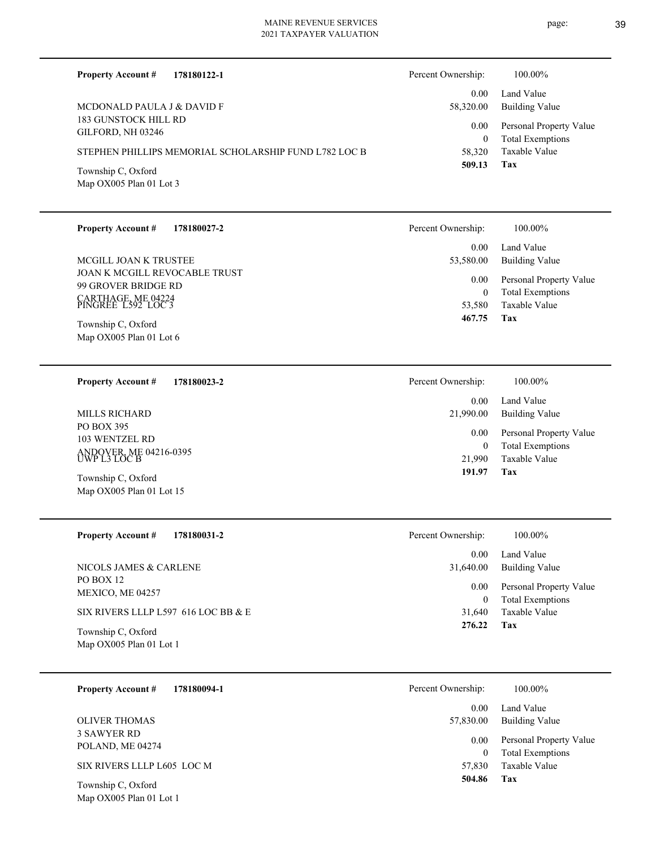L

 $\overline{\phantom{0}}$ 

L

page: 39

| <b>Property Account #</b><br>178180122-1              | Percent Ownership:         | 100.00%                                            |
|-------------------------------------------------------|----------------------------|----------------------------------------------------|
| MCDONALD PAULA J & DAVID F                            | 0.00<br>58,320.00          | Land Value<br><b>Building Value</b>                |
| 183 GUNSTOCK HILL RD<br>GILFORD, NH 03246             | 0.00                       | Personal Property Value                            |
| STEPHEN PHILLIPS MEMORIAL SCHOLARSHIP FUND L782 LOC B | $\boldsymbol{0}$<br>58,320 | <b>Total Exemptions</b><br>Taxable Value           |
| Township C, Oxford                                    | 509.13                     | Tax                                                |
| Map OX005 Plan 01 Lot 3                               |                            |                                                    |
|                                                       |                            |                                                    |
| <b>Property Account #</b><br>178180027-2              | Percent Ownership:         | 100.00%                                            |
| MCGILL JOAN K TRUSTEE                                 | 0.00<br>53,580.00          | Land Value<br><b>Building Value</b>                |
| JOAN K MCGILL REVOCABLE TRUST                         | 0.00                       | Personal Property Value                            |
| 99 GROVER BRIDGE RD                                   | $\mathbf{0}$               | <b>Total Exemptions</b>                            |
| CARTHAGE, ME 04224<br>PINGREE L592 LOC 3              | 53,580<br>467.75           | Taxable Value<br>Tax                               |
| Township C, Oxford<br>Map OX005 Plan 01 Lot 6         |                            |                                                    |
|                                                       |                            |                                                    |
| 178180023-2<br><b>Property Account #</b>              | Percent Ownership:         | 100.00%                                            |
|                                                       | 0.00                       | Land Value                                         |
| MILLS RICHARD<br>PO BOX 395                           | 21,990.00                  | <b>Building Value</b>                              |
| 103 WENTZEL RD                                        | 0.00<br>$\mathbf{0}$       | Personal Property Value<br><b>Total Exemptions</b> |
| ANDOVER, ME 04216-0395<br>UWP L3 LOC B                | 21,990<br>191.97           | Taxable Value<br>Tax                               |
| Township C, Oxford<br>Map OX005 Plan 01 Lot 15        |                            |                                                    |
|                                                       |                            |                                                    |
| <b>Property Account #</b><br>178180031-2              | Percent Ownership:         | 100.00%                                            |
|                                                       | 0.00                       | Land Value                                         |
| NICOLS JAMES & CARLENE<br>PO BOX 12                   | 31,640.00<br>0.00          | <b>Building Value</b>                              |
| MEXICO, ME 04257                                      | $\overline{0}$             | Personal Property Value<br><b>Total Exemptions</b> |
| SIX RIVERS LLLP L597 616 LOC BB & E                   | 31,640<br>276.22           | Taxable Value<br>Tax                               |
| Township C, Oxford<br>Map OX005 Plan 01 Lot 1         |                            |                                                    |
|                                                       |                            |                                                    |
| <b>Property Account #</b><br>178180094-1              | Percent Ownership:         | 100.00%                                            |
|                                                       | 0.00                       | Land Value                                         |
| <b>OLIVER THOMAS</b><br><b>3 SAWYER RD</b>            | 57,830.00                  | <b>Building Value</b>                              |
| POLAND, ME 04274                                      | 0.00<br>$\overline{0}$     | Personal Property Value<br><b>Total Exemptions</b> |
| SIX RIVERS LLLP L605 LOC M                            | 57,830                     | Taxable Value                                      |
| Township C, Oxford                                    | 504.86                     | Tax                                                |
| Map OX005 Plan 01 Lot 1                               |                            |                                                    |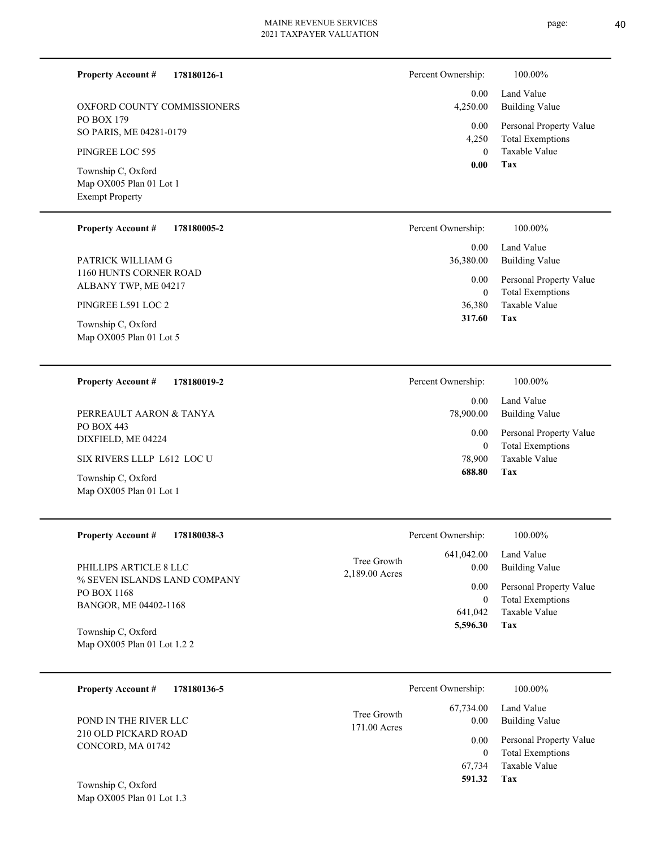page: 40

**Tax 591.32**

Taxable Value 67,734 0 Total Exemptions 0.00 Personal Property Value

| 178180126-1<br><b>Property Account #</b>                                           | Percent Ownership:                               | 100.00%                                            |
|------------------------------------------------------------------------------------|--------------------------------------------------|----------------------------------------------------|
| OXFORD COUNTY COMMISSIONERS                                                        | 0.00<br>4,250.00                                 | Land Value<br><b>Building Value</b>                |
| PO BOX 179<br>SO PARIS, ME 04281-0179                                              | 0.00                                             | Personal Property Value                            |
| PINGREE LOC 595                                                                    | 4,250<br>$\mathbf{0}$                            | <b>Total Exemptions</b><br>Taxable Value           |
| Township C, Oxford<br>Map OX005 Plan 01 Lot 1<br><b>Exempt Property</b>            | 0.00                                             | <b>Tax</b>                                         |
| <b>Property Account #</b><br>178180005-2                                           | Percent Ownership:                               | 100.00%                                            |
| PATRICK WILLIAM G                                                                  | 0.00<br>36,380.00                                | Land Value<br><b>Building Value</b>                |
| 1160 HUNTS CORNER ROAD<br>ALBANY TWP, ME 04217                                     | 0.00<br>$\mathbf{0}$                             | Personal Property Value<br><b>Total Exemptions</b> |
| PINGREE L591 LOC 2                                                                 | 36,380                                           | Taxable Value                                      |
| Township C, Oxford<br>Map OX005 Plan 01 Lot 5                                      | 317.60                                           | <b>Tax</b>                                         |
| <b>Property Account #</b><br>178180019-2                                           | Percent Ownership:                               | 100.00%                                            |
| PERREAULT AARON & TANYA                                                            | 0.00<br>78,900.00                                | Land Value<br><b>Building Value</b>                |
| PO BOX 443<br>DIXFIELD, ME 04224                                                   | 0.00                                             | Personal Property Value                            |
| SIX RIVERS LLLP L612 LOC U                                                         | $\mathbf{0}$<br>78,900                           | <b>Total Exemptions</b><br>Taxable Value           |
| Township C, Oxford<br>Map OX005 Plan 01 Lot 1                                      | 688.80                                           | Tax                                                |
| <b>Property Account #</b><br>178180038-3                                           | Percent Ownership:                               | 100.00%                                            |
|                                                                                    | 641,042.00<br>Tree Growth                        | Land Value                                         |
| PHILLIPS ARTICLE 8 LLC<br>% SEVEN ISLANDS LAND COMPANY                             | 0.00<br>2,189.00 Acres                           | <b>Building Value</b>                              |
| PO BOX 1168                                                                        | 0.00<br>$\boldsymbol{0}$                         | Personal Property Value<br><b>Total Exemptions</b> |
| BANGOR, ME 04402-1168                                                              | 641,042                                          | Taxable Value                                      |
| Township C, Oxford<br>Map OX005 Plan 01 Lot 1.2 2                                  | 5,596.30                                         | <b>Tax</b>                                         |
| 178180136-5<br><b>Property Account #</b>                                           | Percent Ownership:                               | 100.00%                                            |
| POND IN THE RIVER LLC<br>$210 \overline{\Omega}$ Department of $\overline{\Omega}$ | 67,734.00<br>Tree Growth<br>0.00<br>171.00 Acres | Land Value<br><b>Building Value</b>                |

Map OX005 Plan 01 Lot 1.3

210 OLD PICKARD ROAD CONCORD, MA 01742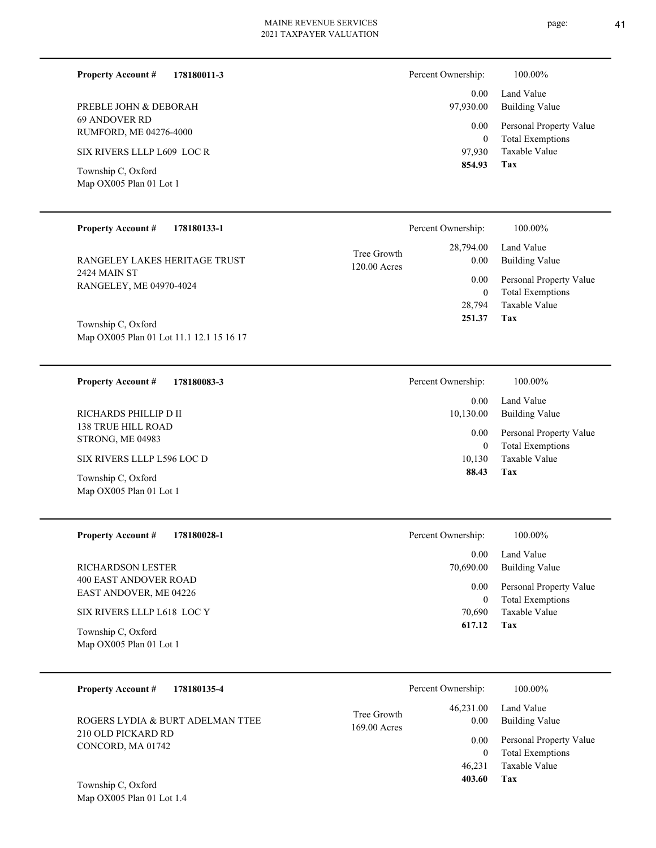| <b>Property Account #</b>                      | 178180011-3 | Percent Ownership: | 100.00%                                            |
|------------------------------------------------|-------------|--------------------|----------------------------------------------------|
|                                                |             | 0.00               | Land Value                                         |
| PREBLE JOHN & DEBORAH                          |             | 97,930.00          | Building Value                                     |
| 69 ANDOVER RD<br><b>RUMFORD, ME 04276-4000</b> |             | 0.00<br>$\theta$   | Personal Property Value<br><b>Total Exemptions</b> |
| SIX RIVERS LLLP L609 LOC R                     |             | 97.930             | Taxable Value                                      |
| Township C, Oxford<br>Map OX005 Plan 01 Lot 1  |             | 854.93             | Tax                                                |

| <b>Property Account #</b><br>178180133-1                       |                               | Percent Ownership:     | $100.00\%$                                         |
|----------------------------------------------------------------|-------------------------------|------------------------|----------------------------------------------------|
| RANGELEY LAKES HERITAGE TRUST                                  | Tree Growth<br>$120.00$ Acres | 28,794.00<br>0.00      | Land Value<br><b>Building Value</b>                |
| 2424 MAIN ST<br>RANGELEY, ME 04970-4024                        |                               | 0.00<br>$\overline{0}$ | Personal Property Value<br><b>Total Exemptions</b> |
|                                                                |                               | 28,794                 | Taxable Value                                      |
| Township C, Oxford<br>Map OX005 Plan 01 Lot 11.1 12.1 15 16 17 |                               | 251.37                 | Tax                                                |
|                                                                |                               |                        |                                                    |

| <b>Property Account #</b><br>178180083-3       | Percent Ownership: | 100.00%                                            |
|------------------------------------------------|--------------------|----------------------------------------------------|
|                                                | 0.00               | Land Value                                         |
| RICHARDS PHILLIP D II                          | 10,130.00          | Building Value                                     |
| 138 TRUE HILL ROAD-<br><b>STRONG, ME 04983</b> | 0.00<br>0          | Personal Property Value<br><b>Total Exemptions</b> |
| SIX RIVERS LLLP L596 LOC D                     | 10,130             | Taxable Value                                      |
| Township C, Oxford<br>Map OX005 Plan 01 Lot 1  | 88.43              | Tax                                                |

| <b>Property Account #</b><br>178180028-1               | Percent Ownership:   | 100.00%                                            |
|--------------------------------------------------------|----------------------|----------------------------------------------------|
|                                                        | 0.00                 | Land Value                                         |
| RICHARDSON LESTER                                      | 70,690.00            | <b>Building Value</b>                              |
| 400 EAST ANDOVER ROAD<br><b>EAST ANDOVER, ME 04226</b> | 0.00<br>$\mathbf{0}$ | Personal Property Value<br><b>Total Exemptions</b> |
| SIX RIVERS LLLP L618 LOC Y                             | 70.690               | Taxable Value                                      |
| Township C, Oxford<br>Map OX005 Plan 01 Lot 1          | 617.12               | Tax                                                |

| 178180135-4<br><b>Property Account #</b>          | Percent Ownership:                               | 100.00%                                                 |
|---------------------------------------------------|--------------------------------------------------|---------------------------------------------------------|
| ROGERS LYDIA & BURT ADELMAN TTEE                  | 46,231.00<br>Tree Growth<br>0.00<br>169.00 Acres | Land Value<br>Building Value                            |
| 210 OLD PICKARD RD<br>CONCORD, MA 01742           | 0.00                                             | Personal Property Value<br><b>Total Exemptions</b><br>0 |
|                                                   | 46.231                                           | Taxable Value                                           |
| Township C, Oxford<br>Map $OX005$ Plan 01 Lot 1.4 | 403.60                                           | Tax                                                     |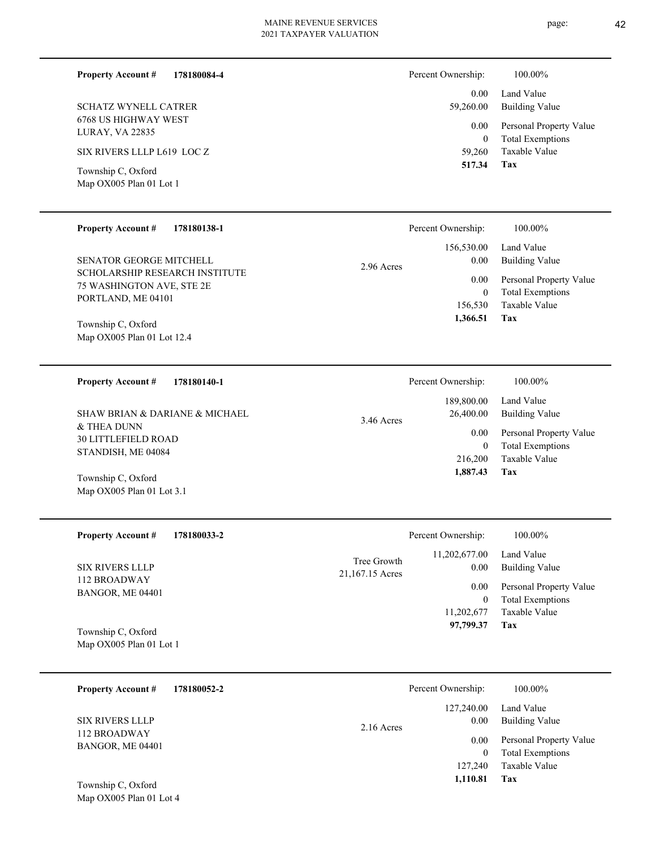### **178180084-4 Property Account #**

6768 US HIGHWAY WEST LURAY, VA 22835 SCHATZ WYNELL CATRER

SIX RIVERS LLLP L619 LOC Z

Map OX005 Plan 01 Lot 1 Township C, Oxford

### **178180138-1 Property Account #**

SCHOLARSHIP RESEARCH INSTITUTE 75 WASHINGTON AVE, STE 2E PORTLAND, ME 04101 SENATOR GEORGE MITCHELL

Map OX005 Plan 01 Lot 12.4 Township C, Oxford

**178180140-1 Property Account #**

& THEA DUNN 30 LITTLEFIELD ROAD STANDISH, ME 04084 SHAW BRIAN & DARIANE & MICHAEL

Map OX005 Plan 01 Lot 3.1 Township C, Oxford

**178180033-2 Property Account #**

112 BROADWAY BANGOR, ME 04401 SIX RIVERS LLLP

Map OX005 Plan 01 Lot 1 Township C, Oxford

| 178180052-2<br><b>Property Account #</b> | Percent Ownership:                 | 100.00%                                            |
|------------------------------------------|------------------------------------|----------------------------------------------------|
| <b>SIX RIVERS LLLP</b>                   | 127,240.00<br>0.00<br>$2.16$ Acres | Land Value<br>Building Value                       |
| 112 BROADWAY<br>BANGOR, ME 04401         | 0.00<br>$\overline{0}$             | Personal Property Value<br><b>Total Exemptions</b> |
| Township $\Gamma$ Oxford                 | 127,240<br>1,110.81                | Taxable Value<br>Tax                               |

Map OX005 Plan 01 Lot 4 Township C, Oxford

| Percent Ownership:    | 100.00%                             |
|-----------------------|-------------------------------------|
| $0.00 -$<br>59,260.00 | Land Value<br><b>Building Value</b> |
| $0.00\,$              | Personal Property Value             |
| $^{(1)}$              | <b>Total Exemptions</b>             |
| 59,260                | Taxable Value                       |
| 517.34                | Tax                                 |

|            | Percent Ownership: | 100.00%                 |
|------------|--------------------|-------------------------|
|            | 156,530.00         | Land Value              |
| 2.96 Acres | 0.00               | Building Value          |
|            | 0.00               | Personal Property Value |
|            | 0                  | <b>Total Exemptions</b> |
|            | 156,530            | Taxable Value           |
|            | 1,366.51           | Tax                     |

|              | Percent Ownership: | 100.00%                 |
|--------------|--------------------|-------------------------|
|              | 189,800.00         | Land Value              |
| $3.46$ Acres | 26,400.00          | Building Value          |
|              | 0.00               | Personal Property Value |
|              | 0                  | <b>Total Exemptions</b> |
|              | 216,200            | Taxable Value           |
|              | 1,887.43           | Tax                     |
|              |                    |                         |

|                                | Percent Ownership:                   | 100.00%                                                                    |
|--------------------------------|--------------------------------------|----------------------------------------------------------------------------|
| Tree Growth<br>21,167.15 Acres | 11,202,677.00<br>0.00                | Land Value<br><b>Building Value</b>                                        |
|                                | 0.00<br>0<br>11,202,677<br>97,799.37 | Personal Property Value<br><b>Total Exemptions</b><br>Taxable Value<br>Tax |

**Tax 1,366.51**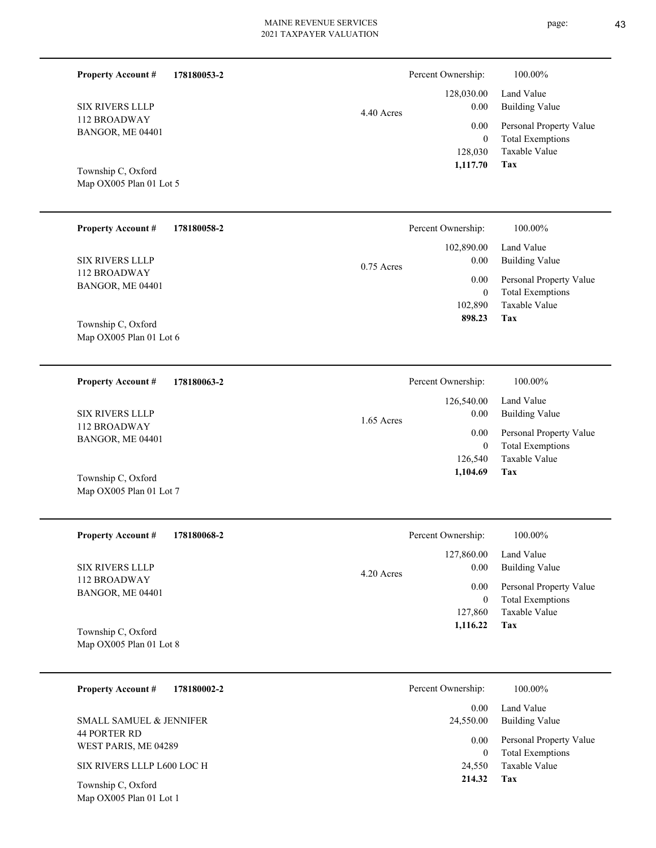| <b>Property Account #</b> | 178180053-2 |              | Percent Ownership: | 100.00%                                            |
|---------------------------|-------------|--------------|--------------------|----------------------------------------------------|
|                           |             |              | 128,030.00         | Land Value                                         |
| SIX RIVERS LLLP           |             | 4.40 Acres   | 0.00               | <b>Building Value</b>                              |
| 112 BROADWAY              |             |              | 0.00               |                                                    |
| BANGOR, ME 04401          |             |              | $\mathbf{0}$       | Personal Property Value<br><b>Total Exemptions</b> |
|                           |             |              | 128,030            | Taxable Value                                      |
|                           |             |              | 1,117.70           | Tax                                                |
| Township C, Oxford        |             |              |                    |                                                    |
| Map OX005 Plan 01 Lot 5   |             |              |                    |                                                    |
|                           |             |              |                    |                                                    |
| <b>Property Account #</b> | 178180058-2 |              | Percent Ownership: | 100.00%                                            |
|                           |             |              | 102,890.00         | Land Value                                         |
| SIX RIVERS LLLP           |             |              | 0.00               | <b>Building Value</b>                              |
| 112 BROADWAY              |             | $0.75$ Acres |                    |                                                    |
| BANGOR, ME 04401          |             |              | 0.00               | Personal Property Value                            |
|                           |             |              | $\mathbf{0}$       | <b>Total Exemptions</b>                            |
|                           |             |              | 102,890            | Taxable Value                                      |
| T 1' CO C 1               |             |              | 898.23             | Tax                                                |

Map OX005 Plan 01 Lot 6 Township C, Oxford

**178180063-2 Property Account #**

112 BROADWAY BANGOR, ME 04401 SIX RIVERS LLLP

Map OX005 Plan 01 Lot 7 Township C, Oxford

| 178180068-2<br><b>Property Account #</b> | Percent Ownership:   | 100.00%                 |
|------------------------------------------|----------------------|-------------------------|
|                                          | 127,860.00           | Land Value              |
| <b>SIX RIVERS LLLP</b>                   | 0.00<br>$4.20$ Acres | <b>Building Value</b>   |
| 112 BROADWAY<br>BANGOR, ME 04401         | 0.00                 | Personal Property Value |
|                                          | $\overline{0}$       | <b>Total Exemptions</b> |
|                                          | 127,860              | Taxable Value           |
| Township C, Oxford                       | 1,116.22             | Tax                     |
| Map OX005 Plan 01 Lot 8                  |                      |                         |

1.65 Acres

| 178180002-2<br><b>Property Account #</b>    | Percent Ownership: | 100.00%                                            |
|---------------------------------------------|--------------------|----------------------------------------------------|
|                                             | 0.00               | Land Value                                         |
| SMALL SAMUEL & JENNIFER                     | 24,550.00          | <b>Building Value</b>                              |
| <b>44 PORTER RD</b><br>WEST PARIS, ME 04289 | 0.00<br>$\Omega$   | Personal Property Value<br><b>Total Exemptions</b> |
| SIX RIVERS LLLP L600 LOC H                  | 24,550             | Taxable Value                                      |
| Township C, Oxford                          | 214.32             | Tax                                                |

Map OX005 Plan 01 Lot 1

**Tax**

 126,540  $\boldsymbol{0}$ 

 126,540.00 0.00 0.00

Percent Ownership:  $100.00\%$ 

 **1,104.69**

Taxable Value Total Exemptions Personal Property Value

Building Value Land Value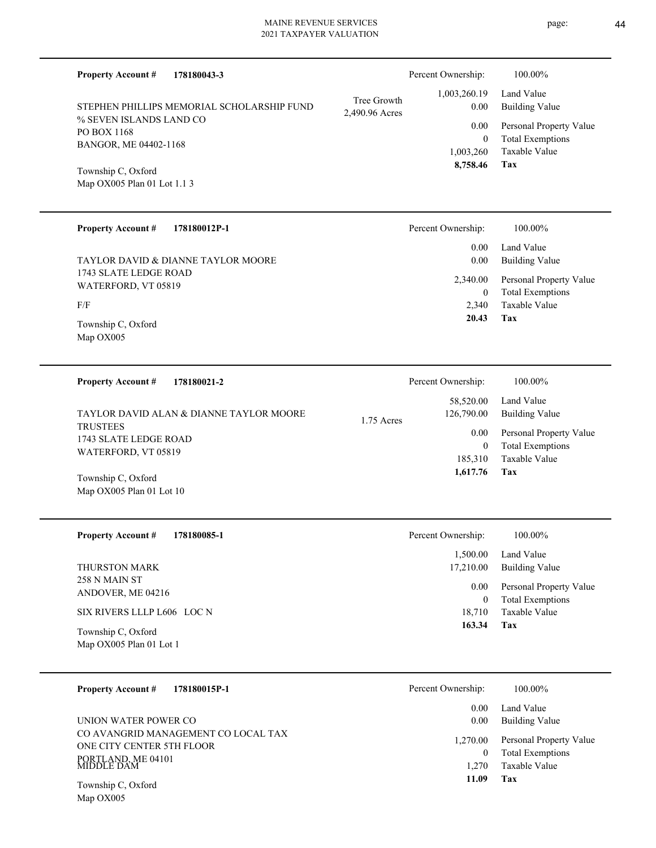| <b>Property Account #</b><br>178180043-3                                               |                               | Percent Ownership:                | 100.00%                                                                    |
|----------------------------------------------------------------------------------------|-------------------------------|-----------------------------------|----------------------------------------------------------------------------|
| STEPHEN PHILLIPS MEMORIAL SCHOLARSHIP FUND                                             | Tree Growth<br>2,490.96 Acres | 1,003,260.19<br>0.00              | Land Value<br><b>Building Value</b>                                        |
| % SEVEN ISLANDS LAND CO<br>PO BOX 1168<br>BANGOR, ME 04402-1168                        |                               | 0.00<br>$\mathbf{0}$<br>1,003,260 | Personal Property Value<br><b>Total Exemptions</b><br><b>Taxable Value</b> |
| Township C, Oxford<br>Map OX005 Plan 01 Lot 1.1 3                                      |                               | 8,758.46                          | Tax                                                                        |
| <b>Property Account #</b><br>178180012P-1                                              |                               | Percent Ownership:                | 100.00%                                                                    |
| TAYLOR DAVID & DIANNE TAYLOR MOORE                                                     |                               | 0.00<br>0.00                      | Land Value<br><b>Building Value</b>                                        |
| 1743 SLATE LEDGE ROAD<br>WATERFORD, VT 05819<br>F/F                                    |                               | 2,340.00<br>$\overline{0}$        | Personal Property Value<br><b>Total Exemptions</b><br>Taxable Value        |
| Township C, Oxford<br>Map OX005                                                        |                               | 2,340<br>20.43                    | Tax                                                                        |
| <b>Property Account #</b><br>178180021-2                                               |                               | Percent Ownership:                | 100.00%                                                                    |
| TAYLOR DAVID ALAN & DIANNE TAYLOR MOORE                                                | $1.75$ Acres                  | 58,520.00<br>126,790.00           | Land Value<br><b>Building Value</b>                                        |
| <b>TRUSTEES</b><br>1743 SLATE LEDGE ROAD<br>WATERFORD, VT 05819                        |                               | 0.00<br>$\overline{0}$            | Personal Property Value<br><b>Total Exemptions</b>                         |
| Township C, Oxford<br>Map OX005 Plan 01 Lot 10                                         |                               | 185,310<br>1,617.76               | <b>Taxable Value</b><br>Tax                                                |
| <b>Property Account #</b><br>178180085-1                                               |                               | Percent Ownership:                | 100.00%                                                                    |
| THURSTON MARK<br>258 N MAIN ST                                                         |                               | 1,500.00<br>17,210.00             | Land Value<br><b>Building Value</b>                                        |
| ANDOVER, ME 04216                                                                      |                               | 0.00<br>$\boldsymbol{0}$          | Personal Property Value<br><b>Total Exemptions</b>                         |
| SIX RIVERS LLLP L606 LOC N<br>Township C, Oxford<br>Map OX005 Plan 01 Lot 1            |                               | 18,710<br>163.34                  | Taxable Value<br>Tax                                                       |
| <b>Property Account #</b><br>178180015P-1                                              |                               | Percent Ownership:                | 100.00%                                                                    |
| UNION WATER POWER CO                                                                   |                               | 0.00<br>0.00                      | Land Value<br><b>Building Value</b>                                        |
| CO AVANGRID MANAGEMENT CO LOCAL TAX<br>ONE CITY CENTER 5TH FLOOR<br>$TT$ ANID ME 04101 |                               | 1,270.00<br>$\overline{0}$        | Personal Property Value<br><b>Total Exemptions</b>                         |

**Tax 11.09**

1,270 Taxable Value

Map OX005 Township C, Oxford

PORTLAND, ME 04101 MIDDLE DAM

page: 44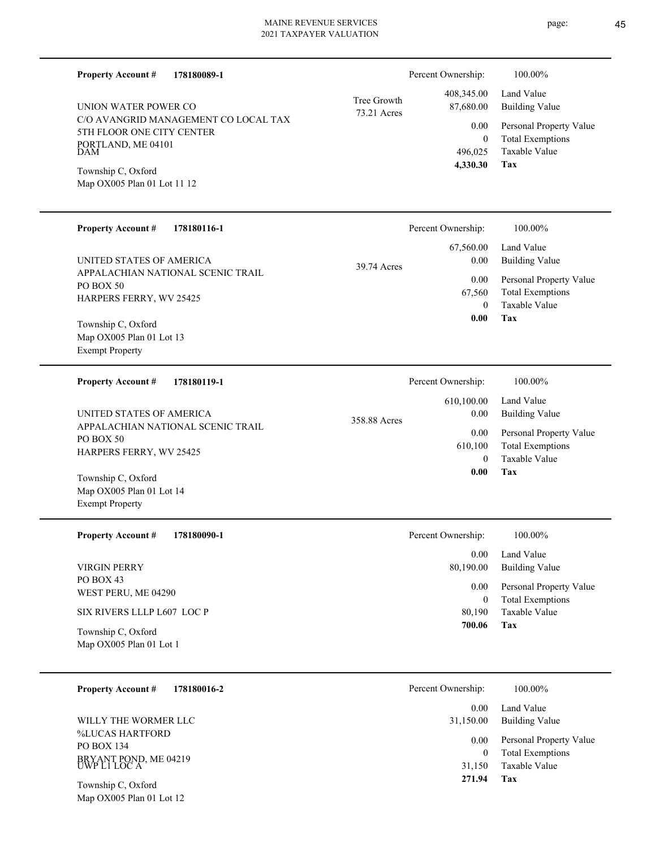| 178180089-1<br><b>Property Account #</b>                                                                                                                                          |                            | Percent Ownership:                                                         | 100.00%                                                                                                                  |
|-----------------------------------------------------------------------------------------------------------------------------------------------------------------------------------|----------------------------|----------------------------------------------------------------------------|--------------------------------------------------------------------------------------------------------------------------|
| UNION WATER POWER CO<br>C/O AVANGRID MANAGEMENT CO LOCAL TAX<br>5TH FLOOR ONE CITY CENTER<br>PORTLAND, ME 04101<br>DAM<br>Township C, Oxford<br>Map OX005 Plan 01 Lot 11 12       | Tree Growth<br>73.21 Acres | 408,345.00<br>87,680.00<br>0.00<br>$\boldsymbol{0}$<br>496,025<br>4,330.30 | Land Value<br><b>Building Value</b><br>Personal Property Value<br><b>Total Exemptions</b><br>Taxable Value<br>Tax        |
| <b>Property Account #</b><br>178180116-1                                                                                                                                          |                            | Percent Ownership:                                                         | 100.00%                                                                                                                  |
| UNITED STATES OF AMERICA<br>APPALACHIAN NATIONAL SCENIC TRAIL<br>PO BOX 50<br>HARPERS FERRY, WV 25425<br>Township C, Oxford<br>Map OX005 Plan 01 Lot 13<br><b>Exempt Property</b> | 39.74 Acres                | 67,560.00<br>0.00<br>0.00<br>67,560<br>$\mathbf{0}$<br>0.00                | Land Value<br><b>Building Value</b><br>Personal Property Value<br><b>Total Exemptions</b><br>Taxable Value<br>Tax        |
| <b>Property Account #</b><br>178180119-1                                                                                                                                          |                            | Percent Ownership:                                                         | 100.00%                                                                                                                  |
| UNITED STATES OF AMERICA<br>APPALACHIAN NATIONAL SCENIC TRAIL<br>PO BOX 50<br>HARPERS FERRY, WV 25425<br>Township C, Oxford<br>Map OX005 Plan 01 Lot 14<br><b>Exempt Property</b> | 358.88 Acres               | 610,100.00<br>0.00<br>0.00<br>610,100<br>$\mathbf{0}$<br>0.00              | Land Value<br><b>Building Value</b><br>Personal Property Value<br><b>Total Exemptions</b><br>Taxable Value<br>Tax        |
| Property Account # 178180090-1                                                                                                                                                    |                            | Percent Ownership:                                                         | 100.00%                                                                                                                  |
| VIRGIN PERRY<br>PO BOX 43<br>WEST PERU, ME 04290<br>SIX RIVERS LLLP L607 LOC P<br>Township C, Oxford<br>Map OX005 Plan 01 Lot 1                                                   |                            | 0.00<br>80,190.00<br>0.00<br>$\mathbf{0}$<br>80,190<br>700.06              | Land Value<br><b>Building Value</b><br>Personal Property Value<br><b>Total Exemptions</b><br>Taxable Value<br><b>Tax</b> |
| <b>Property Account #</b><br>178180016-2                                                                                                                                          |                            | Percent Ownership:<br>0.00                                                 | 100.00%<br>Land Value                                                                                                    |

**Tax 271.94**

 31,150 0 0.00

31,150.00 Building Value

Taxable Value Total Exemptions Personal Property Value

%LUCAS HARTFORD PO BOX 134 BRYANT POND, ME 04219 UWP L1 LOC A WILLY THE WORMER LLC

Map OX005 Plan 01 Lot 12 Township C, Oxford

page: 45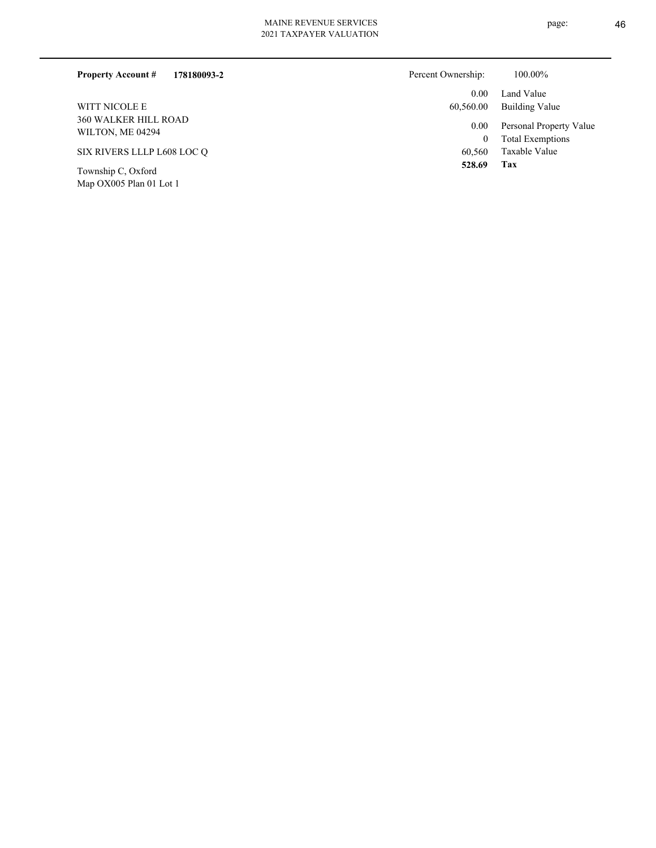| 178180093-2<br><b>Property Account #</b>        | Percent Ownership: | 100.00%                                            |
|-------------------------------------------------|--------------------|----------------------------------------------------|
|                                                 | 0.00               | Land Value                                         |
| <b>WITT NICOLE E</b>                            | 60,560.00          | Building Value                                     |
| <b>360 WALKER HILL ROAD</b><br>WILTON, ME 04294 | 0.00<br>0          | Personal Property Value<br><b>Total Exemptions</b> |
| SIX RIVERS LLLP L608 LOC O                      | 60,560             | Taxable Value                                      |
| Township C, Oxford<br>Map OX005 Plan 01 Lot 1   | 528.69             | Tax                                                |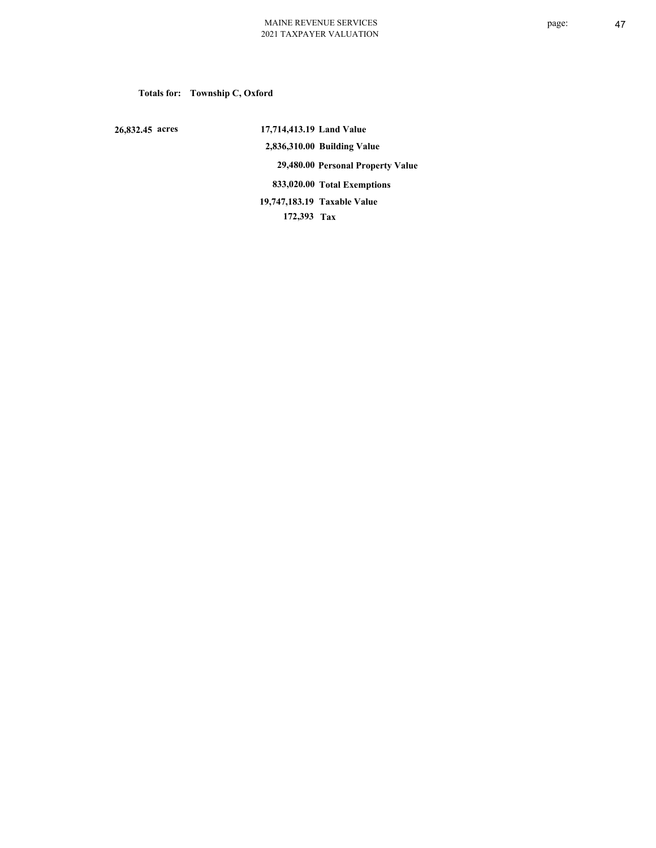# **Totals for: Township C, Oxford**

 **26,832.45 acres**

 **17,714,413.19 Land Value 2,836,310.00 Building Value 29,480.00 Personal Property Value 833,020.00 Total Exemptions 172,393 Tax Taxable Value 19,747,183.19**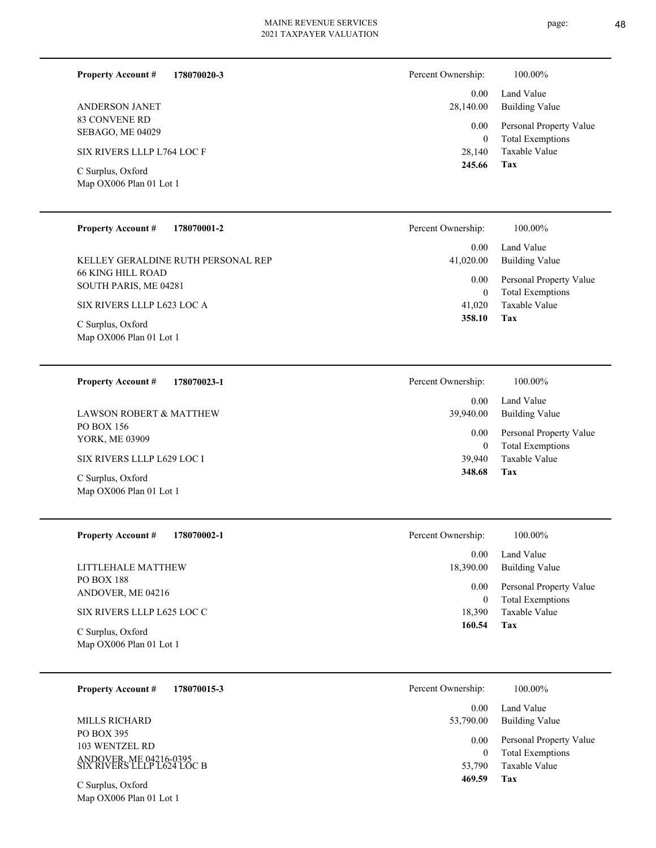page: 48

| <b>Property Account #</b>                    | 178070020-3 | Percent Ownership: | 100.00%                                            |
|----------------------------------------------|-------------|--------------------|----------------------------------------------------|
|                                              |             | 0.00               | Land Value                                         |
| <b>ANDERSON JANET</b>                        |             | 28,140.00          | Building Value                                     |
| 83 CONVENE RD<br>SEBAGO, ME 04029            |             | 0.00<br>$\theta$   | Personal Property Value<br><b>Total Exemptions</b> |
| SIX RIVERS LLLP L764 LOC F                   |             | 28,140             | Taxable Value                                      |
| C Surplus, Oxford<br>Map OX006 Plan 01 Lot 1 |             | 245.66             | Tax                                                |

| <b>Property Account #</b><br>178070001-2                       | Percent Ownership:                     | 100.00%                                                 |
|----------------------------------------------------------------|----------------------------------------|---------------------------------------------------------|
| KELLEY GERALDINE RUTH PERSONAL REP<br><b>66 KING HILL ROAD</b> | 0.00 <sub>1</sub><br>41,020.00<br>0.00 | Land Value<br>Building Value<br>Personal Property Value |
| SOUTH PARIS, ME 04281<br>SIX RIVERS LLLP L623 LOC A            | $\mathbf{0}$<br>41,020<br>358.10       | <b>Total Exemptions</b><br>Taxable Value<br>Tax         |
| C Surplus, Oxford<br>Map OX006 Plan 01 Lot 1                   |                                        |                                                         |
| <b>Property Account #</b><br>178070023-1                       | Percent Ownership:                     | 100.00%                                                 |

|                                                            | 0.00                       | Land Value                                                          |
|------------------------------------------------------------|----------------------------|---------------------------------------------------------------------|
| <b>LAWSON ROBERT &amp; MATTHEW</b>                         | 39,940.00                  | <b>Building Value</b>                                               |
| PO BOX 156<br>YORK, ME 03909<br>SIX RIVERS LLLP L629 LOC I | 0.00<br>$\theta$<br>39,940 | Personal Property Value<br><b>Total Exemptions</b><br>Taxable Value |
| C Surplus, Oxford<br>Map OX006 Plan 01 Lot 1               | 348.68                     | Tax                                                                 |

| <b>Property Account #</b><br>178070002-1     | 100.00%<br>Percent Ownership:                                          |  |
|----------------------------------------------|------------------------------------------------------------------------|--|
|                                              | Land Value<br>0.00                                                     |  |
| LITTLEHALE MATTHEW                           | 18,390.00<br>Building Value                                            |  |
| <b>PO BOX 188</b><br>ANDOVER, ME 04216       | Personal Property Value<br>0.00<br><b>Total Exemptions</b><br>$\theta$ |  |
| SIX RIVERS LLLP L625 LOC C                   | Taxable Value<br>18,390                                                |  |
| C Surplus, Oxford<br>Map OX006 Plan 01 Lot 1 | 160.54<br>Tax                                                          |  |
|                                              |                                                                        |  |

| 178070015-3<br><b>Property Account #</b>                                             | Percent Ownership:  | 100.00%                                                             |
|--------------------------------------------------------------------------------------|---------------------|---------------------------------------------------------------------|
|                                                                                      | 0.00                | Land Value                                                          |
| MILLS RICHARD                                                                        | 53,790.00           | Building Value                                                      |
| PO BOX 395<br>103 WENTZEL RD<br>ANDOVER, ME 04216-0395<br>SIX RIVERS LLLP L624 LOC B | 0.00<br>0<br>53,790 | Personal Property Value<br><b>Total Exemptions</b><br>Taxable Value |
| C Surplus, Oxford                                                                    | 469.59              | Tax                                                                 |

Map OX006 Plan 01 Lot 1

 $\overline{\phantom{0}}$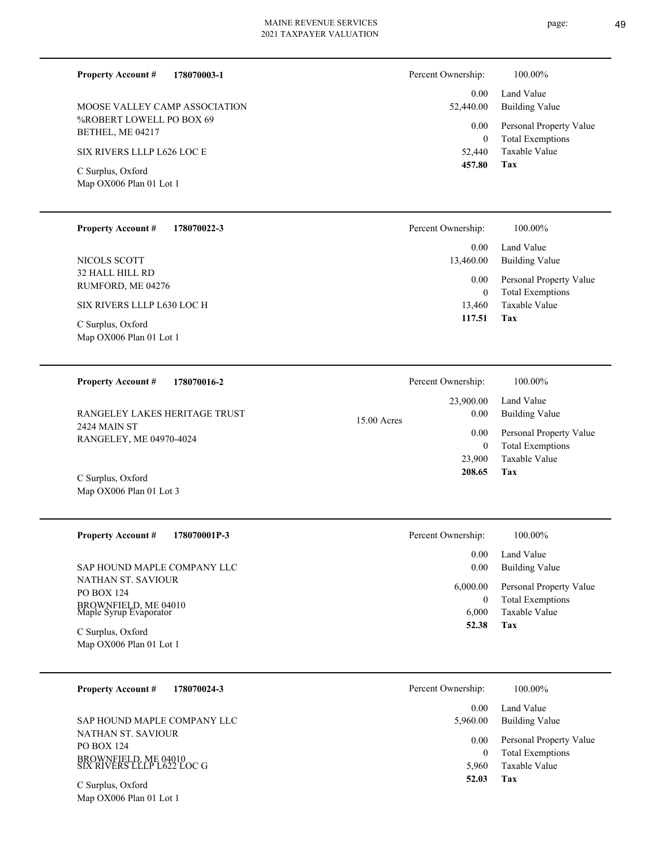**178070003-1 Property Account #**

%ROBERT LOWELL PO BOX 69 BETHEL, ME 04217 MOOSE VALLEY CAMP ASSOCIATION

SIX RIVERS LLLP L626 LOC E

Map OX006 Plan 01 Lot 1 C Surplus, Oxford

| <b>Property Account #</b> | 178070022-3 |
|---------------------------|-------------|
|                           |             |

32 HALL HILL RD RUMFORD, ME 04276 NICOLS SCOTT

# SIX RIVERS LLLP L630 LOC H

Map OX006 Plan 01 Lot 1 C Surplus, Oxford

### **178070016-2 Property Account #**

2424 MAIN ST RANGELEY, ME 04970-4024 RANGELEY LAKES HERITAGE TRUST

Map OX006 Plan 01 Lot 3 C Surplus, Oxford

| <b>Property Account #</b><br>178070001P-3                                                 | Percent Ownership:     | 100.00%                                                             |
|-------------------------------------------------------------------------------------------|------------------------|---------------------------------------------------------------------|
| SAP HOUND MAPLE COMPANY LLC                                                               | 0.00<br>0.00           | Land Value<br>Building Value                                        |
| NATHAN ST. SAVIOUR<br><b>PO BOX 124</b><br>BROWNFIELD, ME 04010<br>Maple Syrup Evaporator | 6,000.00<br>0<br>6.000 | Personal Property Value<br><b>Total Exemptions</b><br>Taxable Value |
| C Surplus, Oxford<br>Map OX006 Plan 01 Lot 1                                              | 52.38                  | Tax                                                                 |

| 178070024-3<br><b>Property Account #</b>                                                      | Percent Ownership: | 100.00%                                                             |
|-----------------------------------------------------------------------------------------------|--------------------|---------------------------------------------------------------------|
|                                                                                               | 0.00               | Land Value                                                          |
| SAP HOUND MAPLE COMPANY LLC                                                                   | 5,960.00           | Building Value                                                      |
| NATHAN ST. SAVIOUR<br><b>PO BOX 124</b><br>BROWNFIELD, ME 04010<br>SIX RIVERS LLLP L622 LOC G | 0.00<br>5.960      | Personal Property Value<br><b>Total Exemptions</b><br>Taxable Value |
|                                                                                               | 52.03              | Tax                                                                 |

Map OX006 Plan 01 Lot 1 C Surplus, Oxford

| Percent Ownership:    | 100.00%                                            |
|-----------------------|----------------------------------------------------|
| $0.00 -$<br>52,440.00 | Land Value<br><b>Building Value</b>                |
| $0.00\,$<br>0         | Personal Property Value<br><b>Total Exemptions</b> |
| 52,440                | Taxable Value                                      |
| 457.80                | Tax                                                |

| Percent Ownership:    | 100.00%                                            |
|-----------------------|----------------------------------------------------|
| $0.00 -$<br>13,460.00 | Land Value<br>Building Value                       |
| $0.00\,$<br>0         | Personal Property Value<br><b>Total Exemptions</b> |
| 13,460                | Taxable Value                                      |
| 117.51                | Tax                                                |

|               | Percent Ownership: | 100.00%                 |
|---------------|--------------------|-------------------------|
| $15.00$ Acres |                    | 23,900.00 Land Value    |
|               | 0.00               | <b>Building Value</b>   |
|               | 0.00               | Personal Property Value |
|               | $\theta$           | <b>Total Exemptions</b> |
|               |                    | 23,900 Taxable Value    |
|               | 208.65             | Tax                     |
|               |                    |                         |

| Percent Ownership:   | 100.00%                                                         |
|----------------------|-----------------------------------------------------------------|
| $0.00 -$<br>$0.00\,$ | Land Value<br>Building Value                                    |
| 6,000.00<br>$\theta$ | Personal Property Value<br><b>Total Exemptions</b><br>- - - - - |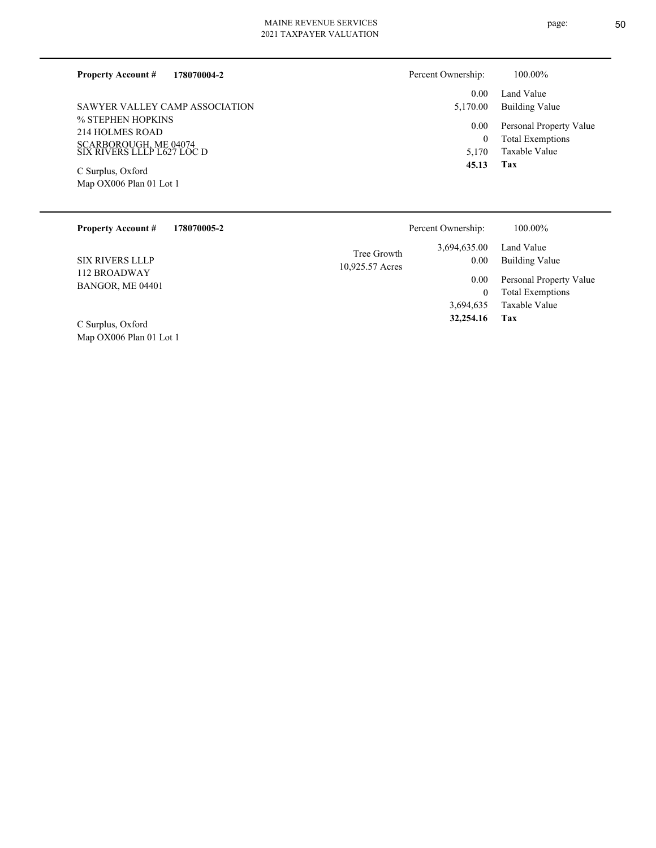### **178070004-2 Property Account #**

% STEPHEN HOPKINS 214 HOLMES ROAD SCARBOROUGH, ME 04074 SIX RIVERS LLLP L627 LOC D SAWYER VALLEY CAMP ASSOCIATION

Map OX006 Plan 01 Lot 1 C Surplus, Oxford

| Percent Ownership: | 100.00%                                    |
|--------------------|--------------------------------------------|
|                    | 0.00 Land Value<br>5,170.00 Building Value |
|                    | 0.00 Personal Property Value               |
| 0                  | <b>Total Exemptions</b>                    |
|                    | 5,170 Taxable Value                        |

### **Tax 45.13**

| <b>Property Account #</b><br>178070005-2 | Percent Ownership:                                     | 100.00%                                                 |
|------------------------------------------|--------------------------------------------------------|---------------------------------------------------------|
| <b>SIX RIVERS LLLP</b>                   | 3,694,635.00<br>Tree Growth<br>0.00<br>10,925.57 Acres | Land Value<br>Building Value                            |
| 112 BROADWAY<br>BANGOR, ME 04401         | 0.00                                                   | Personal Property Value<br><b>Total Exemptions</b><br>0 |
|                                          | 3,694,635                                              | Taxable Value                                           |
| C Surplus, Oxford                        | 32,254.16                                              | Tax                                                     |

Map OX006 Plan 01 Lot 1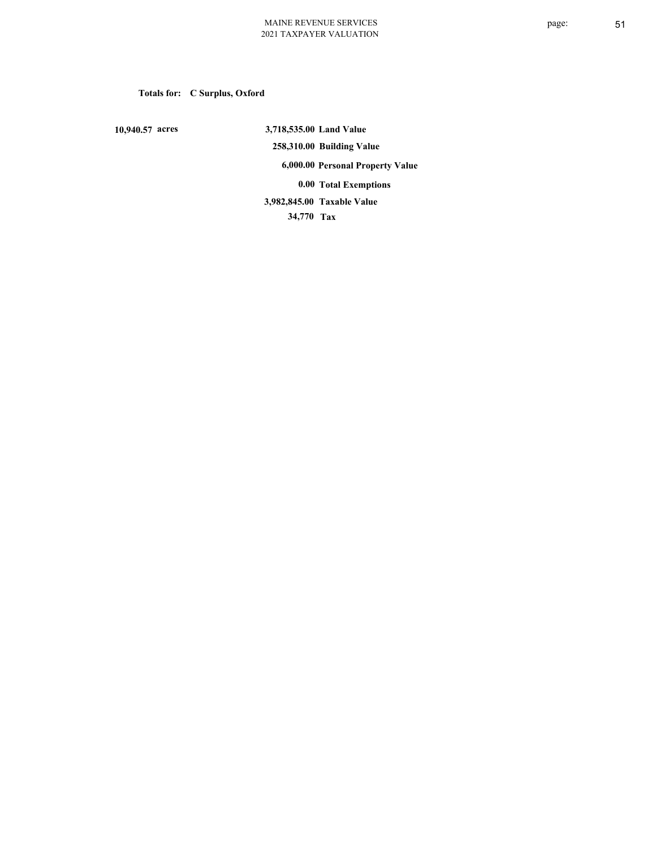# **Totals for: C Surplus, Oxford**

 **10,940.57 acres**

 **3,718,535.00 Land Value 258,310.00 Building Value 6,000.00 Personal Property Value 0.00 Total Exemptions 34,770 Tax Taxable Value 3,982,845.00**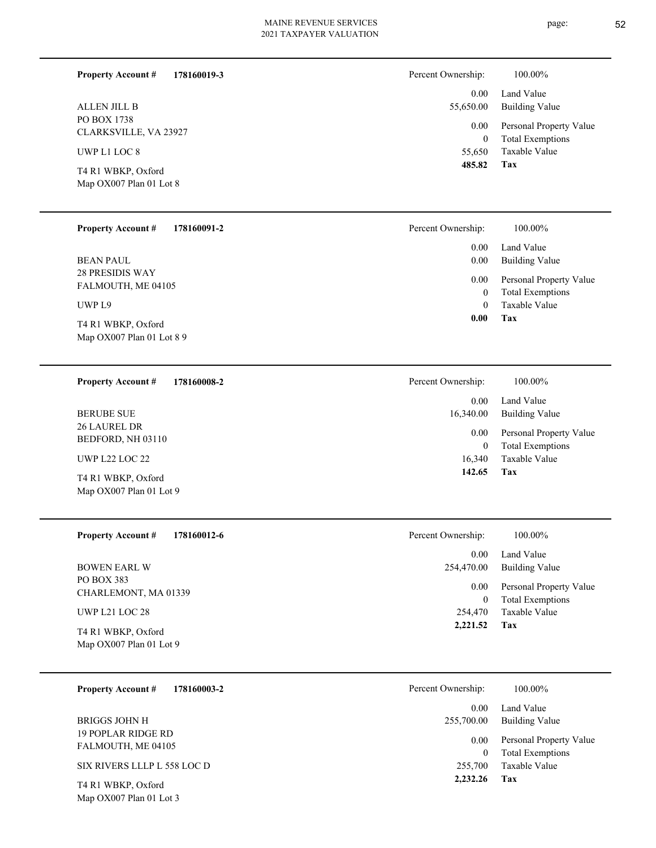| <b>Property Account #</b><br>178160019-3      | Percent Ownership:         | 100.00%                                            |
|-----------------------------------------------|----------------------------|----------------------------------------------------|
|                                               | 0.00                       | Land Value                                         |
| ALLEN JILL B                                  | 55,650.00                  | Building Value                                     |
| PO BOX 1738<br>CLARKSVILLE, VA 23927          | $0.00\,$<br>$\overline{0}$ | Personal Property Value<br><b>Total Exemptions</b> |
| UWP L1 LOC 8                                  | 55,650                     | Taxable Value                                      |
| T4 R1 WBKP, Oxford<br>Map OX007 Plan 01 Lot 8 | 485.82                     | Tax                                                |
|                                               |                            |                                                    |

| <b>Property Account #</b><br>178160091-2          | Percent Ownership: | 100.00%                                            |
|---------------------------------------------------|--------------------|----------------------------------------------------|
|                                                   | 0.00               | Land Value                                         |
| <b>BEAN PAUL</b>                                  | 0.00               | <b>Building Value</b>                              |
| <b>28 PRESIDIS WAY</b><br>FALMOUTH, ME 04105      | 0.00<br>0          | Personal Property Value<br><b>Total Exemptions</b> |
| UWP L9                                            | $\Omega$           | Taxable Value                                      |
| T4 R1 WBKP, Oxford<br>Map $OX007$ Plan 01 Lot 8 9 | Tax<br>0.00        |                                                    |
|                                                   |                    |                                                    |

| <b>Property Account #</b>                       | 178160008-2 | Percent Ownership: | 100.00%                                            |
|-------------------------------------------------|-------------|--------------------|----------------------------------------------------|
|                                                 |             | 0.00               | Land Value                                         |
| <b>BERUBE SUE</b>                               |             | 16,340.00          | Building Value                                     |
| <b>26 LAUREL DR</b><br>BEDFORD, NH 03110        |             | 0.00<br>0          | Personal Property Value<br><b>Total Exemptions</b> |
| <b>UWP L22 LOC 22</b>                           |             | 16,340             | Taxable Value                                      |
| T4 R1 WBKP, Oxford<br>Map $OX007$ Plan 01 Lot 9 |             | 142.65             | Tax                                                |

| <b>Property Account #</b><br>178160012-6      | Percent Ownership:     | 100.00%                                            |
|-----------------------------------------------|------------------------|----------------------------------------------------|
|                                               | 0.00                   | Land Value                                         |
| <b>BOWEN EARL W</b>                           | 254,470.00             | <b>Building Value</b>                              |
| PO BOX 383<br>CHARLEMONT, MA 01339            | 0.00<br>$\overline{0}$ | Personal Property Value<br><b>Total Exemptions</b> |
| <b>UWP L21 LOC 28</b>                         | 254,470                | Taxable Value                                      |
| T4 R1 WBKP, Oxford<br>Map OX007 Plan 01 Lot 9 | 2,221.52               | Tax                                                |
|                                               |                        |                                                    |

| 178160003-2<br><b>Property Account #</b>        | Percent Ownership:<br>100.00%                                   |  |
|-------------------------------------------------|-----------------------------------------------------------------|--|
|                                                 | Land Value<br>0.00                                              |  |
| BRIGGS JOHN H                                   | Building Value<br>255,700.00                                    |  |
| <b>19 POPLAR RIDGE RD</b><br>FALMOUTH, ME 04105 | Personal Property Value<br>0.00<br><b>Total Exemptions</b><br>0 |  |
| SIX RIVERS LLLP L 558 LOC D                     | Taxable Value<br>255,700                                        |  |
| T4 R1 WBKP, Oxford                              | 2,232.26<br>Tax                                                 |  |

Map OX007 Plan 01 Lot 3

page: 52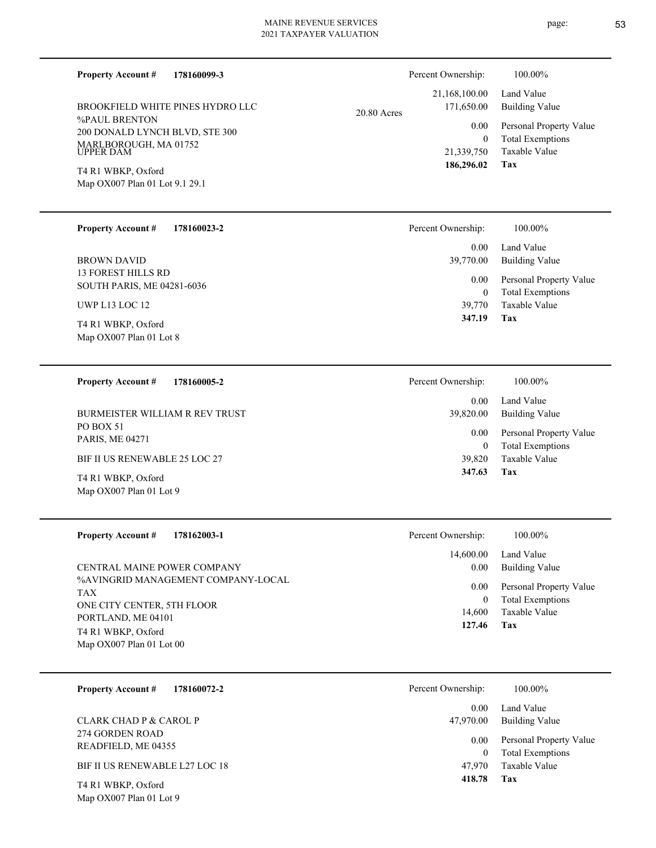**Property Account #**

%PAUL BRENTON 200 DONALD LYNCH BLVD, STE 300 MARLBOROUGH, MA 01752 UPPER DAM BROOKFIELD WHITE PINES HYDRO LLC

**178160099-3**

Map OX007 Plan 01 Lot 9.1 29.1 T4 R1 WBKP, Oxford

| 178160023-2 |
|-------------|
|             |

13 FOREST HILLS RD SOUTH PARIS, ME 04281-6036 BROWN DAVID

UWP L13 LOC 12

Map OX007 Plan 01 Lot 8 T4 R1 WBKP, Oxford

### **178160005-2 Property Account #**

PO BOX 51 PARIS, ME 04271 BURMEISTER WILLIAM R REV TRUST

BIF II US RENEWABLE 25 LOC 27

Map OX007 Plan 01 Lot 9 T4 R1 WBKP, Oxford

Map OX007 Plan 01 Lot 9

| <b>Property Account #</b><br>178162003-1                                       | Percent Ownership:  | 100.00%                                                             |
|--------------------------------------------------------------------------------|---------------------|---------------------------------------------------------------------|
| CENTRAL MAINE POWER COMPANY                                                    | 14,600.00<br>0.00   | Land Value<br>Building Value                                        |
| %AVINGRID MANAGEMENT COMPANY-LOCAL<br><b>TAX</b><br>ONE CITY CENTER, 5TH FLOOR | 0.00<br>0<br>14.600 | Personal Property Value<br><b>Total Exemptions</b><br>Taxable Value |
| PORTLAND, ME 04101<br>T4 R1 WBKP, Oxford<br>Map $OX007$ Plan 01 Lot 00         | 127.46              | Tax                                                                 |

| 178160072-2<br><b>Property Account #</b>  | Percent Ownership: | 100.00%                                            |
|-------------------------------------------|--------------------|----------------------------------------------------|
|                                           | 0.00               | Land Value                                         |
| CLARK CHAD P & CAROL P<br>274 GORDEN ROAD | 47,970.00          | Building Value                                     |
| READFIELD, ME 04355                       | 0.00<br>0          | Personal Property Value<br><b>Total Exemptions</b> |
| BIF II US RENEWABLE L27 LOC 18            | 47.970             | Taxable Value                                      |
| T4 R1 WBKP, Oxford                        | 418.78             | Tax                                                |

|               | Percent Ownership:          | 100.00%                             |
|---------------|-----------------------------|-------------------------------------|
| $20.80$ Acres | 21,168,100.00<br>171,650.00 | Land Value<br><b>Building Value</b> |
|               | 0.00                        | Personal Property Value             |
|               | $\theta$                    | <b>Total Exemptions</b>             |
|               | 21,339,750                  | Taxable Value                       |
|               | 186,296.02                  | Tax                                 |

| 100.00%                                                                    |
|----------------------------------------------------------------------------|
| Land Value<br>Building Value                                               |
| Personal Property Value<br><b>Total Exemptions</b><br>Taxable Value<br>Tax |
|                                                                            |

| Percent Ownership: | 100.00%                 |
|--------------------|-------------------------|
| $0.00 -$           | Land Value              |
| 39,820.00          | Building Value          |
| $0.00\,$           | Personal Property Value |
| 0                  | <b>Total Exemptions</b> |
| 39,820             | Taxable Value           |
| 347.63             | Tax                     |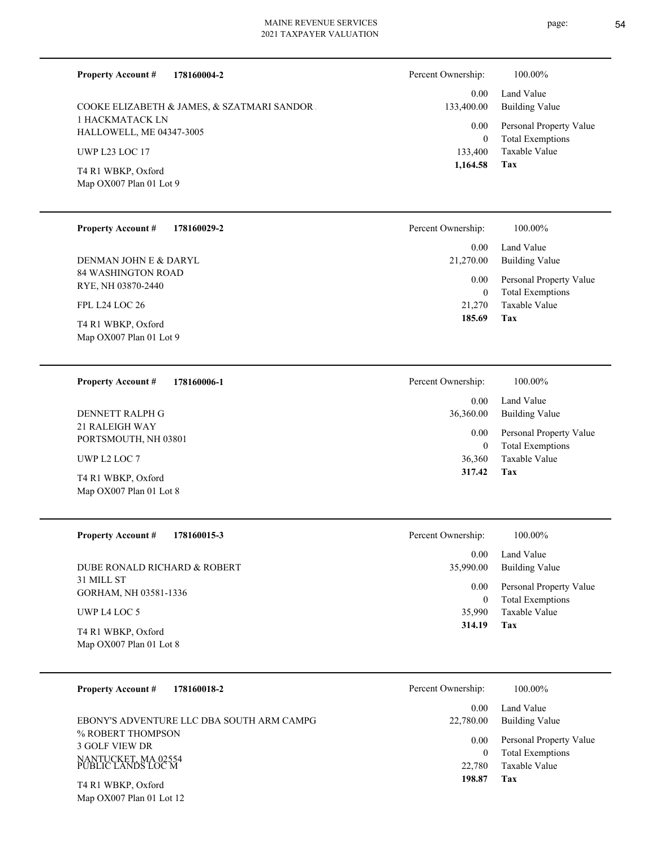| <b>Property Account #</b><br>178160004-2           | Percent Ownership:          | 100.00%                                            |
|----------------------------------------------------|-----------------------------|----------------------------------------------------|
| COOKE ELIZABETH & JAMES, & SZATMARI SANDOR.        | 0.00<br>133,400.00          | Land Value<br><b>Building Value</b>                |
| <b>1 HACKMATACK LN</b><br>HALLOWELL, ME 04347-3005 | 0.00                        | Personal Property Value                            |
| <b>UWP L23 LOC 17</b>                              | $\boldsymbol{0}$<br>133,400 | <b>Total Exemptions</b><br>Taxable Value           |
| T4 R1 WBKP, Oxford                                 | 1,164.58                    | Tax                                                |
| Map OX007 Plan 01 Lot 9                            |                             |                                                    |
|                                                    |                             |                                                    |
| <b>Property Account #</b><br>178160029-2           | Percent Ownership:          | 100.00%                                            |
| DENMAN JOHN E & DARYL                              | 0.00<br>21,270.00           | Land Value<br><b>Building Value</b>                |
| 84 WASHINGTON ROAD<br>RYE, NH 03870-2440           | 0.00                        | Personal Property Value                            |
| FPL L24 LOC 26                                     | $\boldsymbol{0}$<br>21,270  | <b>Total Exemptions</b><br><b>Taxable Value</b>    |
| T4 R1 WBKP, Oxford                                 | 185.69                      | Tax                                                |
| Map OX007 Plan 01 Lot 9                            |                             |                                                    |
|                                                    |                             |                                                    |
| <b>Property Account #</b><br>178160006-1           | Percent Ownership:          | 100.00%                                            |
| DENNETT RALPH G                                    | 0.00<br>36,360.00           | Land Value<br><b>Building Value</b>                |
| 21 RALEIGH WAY                                     | 0.00                        | Personal Property Value                            |
| PORTSMOUTH, NH 03801<br>UWP L2 LOC 7               | $\boldsymbol{0}$<br>36,360  | <b>Total Exemptions</b><br><b>Taxable Value</b>    |
| T4 R1 WBKP, Oxford                                 | 317.42                      | Tax                                                |
| Map OX007 Plan 01 Lot 8                            |                             |                                                    |
|                                                    |                             |                                                    |
| <b>Property Account #</b><br>178160015-3           | Percent Ownership:          | 100.00%                                            |
|                                                    | 0.00                        | Land Value                                         |
| DUBE RONALD RICHARD & ROBERT<br>31 MILL ST         | 35,990.00                   | <b>Building Value</b>                              |
| GORHAM, NH 03581-1336                              | 0.00<br>$\boldsymbol{0}$    | Personal Property Value<br><b>Total Exemptions</b> |
| UWP L4 LOC 5                                       | 35,990<br>314.19            | Taxable Value<br>Tax                               |
| T4 R1 WBKP, Oxford<br>Map OX007 Plan 01 Lot 8      |                             |                                                    |
| 178160018-2<br><b>Property Account #</b>           | Percent Ownership:          | 100.00%                                            |

|                                           | 0.00              | Land Value                                         |
|-------------------------------------------|-------------------|----------------------------------------------------|
| EBONY'S ADVENTURE LLC DBA SOUTH ARM CAMPG | 22,780.00         | Building Value                                     |
| % ROBERT THOMPSON<br>3 GOLF VIEW DR       | 0.00 <sub>1</sub> | Personal Property Value<br><b>Total Exemptions</b> |
| NANTUCKET, MA 02554<br>PUBLIC LANDS LOC M | 22.780            | Taxable Value                                      |
| T4 R1 WBKP, Oxford                        | 198.87            | Tax                                                |

Map OX007 Plan 01 Lot 12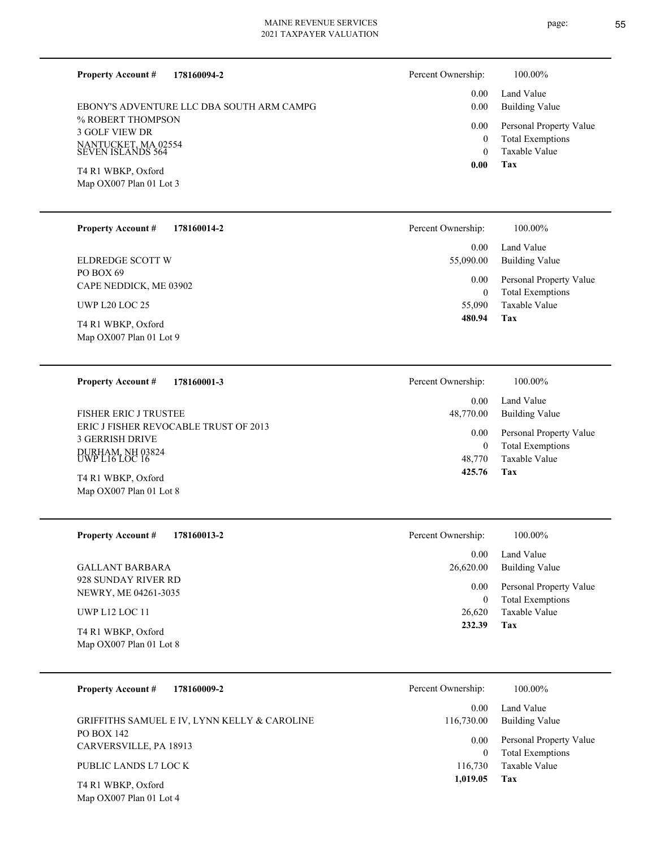page: 55

| <b>Property Account #</b><br>178160094-2                        | Percent Ownership:         | 100.00%                                            |
|-----------------------------------------------------------------|----------------------------|----------------------------------------------------|
| EBONY'S ADVENTURE LLC DBA SOUTH ARM CAMPG                       | 0.00<br>0.00               | Land Value<br><b>Building Value</b>                |
| % ROBERT THOMPSON<br><b>3 GOLF VIEW DR</b>                      | 0.00                       | Personal Property Value                            |
| NANTUCKET, MA 02554<br>SEVEN ISLANDS 564                        | $\overline{0}$<br>$\theta$ | <b>Total Exemptions</b><br><b>Taxable Value</b>    |
| T4 R1 WBKP, Oxford                                              | 0.00                       | Tax                                                |
| Map OX007 Plan 01 Lot 3                                         |                            |                                                    |
| <b>Property Account #</b><br>178160014-2                        | Percent Ownership:         | 100.00%                                            |
| <b>ELDREDGE SCOTT W</b>                                         | 0.00<br>55,090.00          | Land Value<br><b>Building Value</b>                |
| PO BOX 69<br>CAPE NEDDICK, ME 03902                             | 0.00<br>$\overline{0}$     | Personal Property Value<br><b>Total Exemptions</b> |
| <b>UWP L20 LOC 25</b>                                           | 55,090                     | Taxable Value                                      |
| T4 R1 WBKP, Oxford<br>Map OX007 Plan 01 Lot 9                   | 480.94                     | Tax                                                |
|                                                                 |                            |                                                    |
| <b>Property Account #</b><br>178160001-3                        | Percent Ownership:         | 100.00%                                            |
| FISHER ERIC J TRUSTEE                                           | 0.00<br>48,770.00          | Land Value<br><b>Building Value</b>                |
| ERIC J FISHER REVOCABLE TRUST OF 2013<br><b>3 GERRISH DRIVE</b> | 0.00                       | Personal Property Value                            |
| DURHAM, NH 03824<br>UWP L16 LOC 16                              | $\overline{0}$<br>48,770   | <b>Total Exemptions</b><br><b>Taxable Value</b>    |
| T4 R1 WBKP, Oxford                                              | 425.76                     | Tax                                                |
| Map OX007 Plan 01 Lot 8                                         |                            |                                                    |
| <b>Property Account #</b><br>178160013-2                        | Percent Ownership:         | 100.00%                                            |
| <b>GALLANT BARBARA</b>                                          | 0.00<br>26,620.00          | Land Value<br><b>Building Value</b>                |
| 928 SUNDAY RIVER RD                                             | 0.00                       | Personal Property Value                            |
| NEWRY, ME 04261-3035<br>UWP L12 LOC 11                          | $\boldsymbol{0}$<br>26,620 | <b>Total Exemptions</b><br>Taxable Value           |
| T4 R1 WBKP, Oxford                                              | 232.39                     | Tax                                                |
| Map OX007 Plan 01 Lot 8                                         |                            |                                                    |
| 178160009-2<br><b>Property Account #</b>                        | Percent Ownership:         | 100.00%                                            |
|                                                                 | 0.00                       | Land Value                                         |
| GRIFFITHS SAMUEL E IV, LYNN KELLY & CAROLINE<br>PO BOX 142      | 116,730.00<br>0.00         | <b>Building Value</b><br>Personal Property Value   |
| CARVERSVILLE, PA 18913                                          | $\overline{0}$             | <b>Total Exemptions</b>                            |
| PUBLIC LANDS L7 LOC K                                           | 116,730<br>1,019.05        | Taxable Value<br>Tax                               |
| T4 R1 WBKP, Oxford<br>Map OX007 Plan 01 Lot 4                   |                            |                                                    |
|                                                                 |                            |                                                    |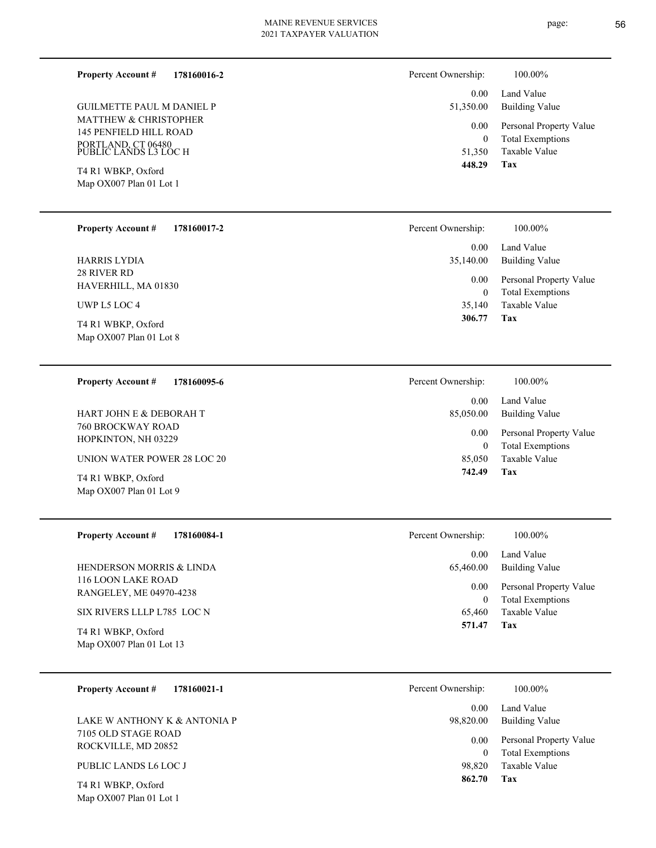**178160016-2 Property Account #**

MATTHEW & CHRISTOPHER 145 PENFIELD HILL ROAD PORTLAND, CT 06480 PUBLIC LANDS L3 LOC H GUILMETTE PAUL M DANIEL P

Map OX007 Plan 01 Lot 1 T4 R1 WBKP, Oxford

**178160017-2 Property Account #**

28 RIVER RD HAVERHILL, MA 01830 HARRIS LYDIA

UWP L5 LOC 4

Map OX007 Plan 01 Lot 8 T4 R1 WBKP, Oxford

### **178160095-6 Property Account #**

760 BROCKWAY ROAD HOPKINTON, NH 03229 HART JOHN E & DEBORAH T

UNION WATER POWER 28 LOC 20

Map OX007 Plan 01 Lot 9 T4 R1 WBKP, Oxford

**178160084-1 Property Account #**

116 LOON LAKE ROAD RANGELEY, ME 04970-4238 HENDERSON MORRIS & LINDA

SIX RIVERS LLLP L785 LOC N

Map OX007 Plan 01 Lot 13 T4 R1 WBKP, Oxford

### **178160021-1 Property Account #**

7105 OLD STAGE ROAD ROCKVILLE, MD 20852 LAKE W ANTHONY K & ANTONIA P

### PUBLIC LANDS L6 LOC J

Map OX007 Plan 01 Lot 1 T4 R1 WBKP, Oxford

| Percent Ownership: | 100.00%                 |
|--------------------|-------------------------|
| $0.00 -$           | Land Value              |
| 51,350.00          | Building Value          |
| $0.00\,$           | Personal Property Value |
| 0                  | <b>Total Exemptions</b> |
| 51,350             | Taxable Value           |
| 448.29             | Tax                     |

| Percent Ownership: | 100.00%                                            |
|--------------------|----------------------------------------------------|
| 0.00<br>35,140.00  | Land Value<br>Building Value                       |
| 0.00<br>0          | Personal Property Value<br><b>Total Exemptions</b> |
| 35,140             | Taxable Value                                      |
| 306.77             | Tax                                                |

| Percent Ownership:    | 100.00%                                            |
|-----------------------|----------------------------------------------------|
| $0.00 -$<br>85,050.00 | Land Value<br>Building Value                       |
| $0.00\,$<br>0         | Personal Property Value<br><b>Total Exemptions</b> |
|                       | 85,050 Taxable Value                               |
| 742.49                | Tax                                                |

| Percent Ownership:    | 100.00%                                            |
|-----------------------|----------------------------------------------------|
| $0.00 -$<br>65,460.00 | Land Value<br>Building Value                       |
| $0.00\,$<br>0         | Personal Property Value<br><b>Total Exemptions</b> |
| 65,460                | Taxable Value                                      |
| 571.47                | Tax                                                |

| Percent Ownership: | 100.00% |
|--------------------|---------|
|--------------------|---------|

| 0.00<br>98,820.00 | Land Value<br><b>Building Value</b> |
|-------------------|-------------------------------------|
| $0.00 -$          | Personal Property Value             |
| 0                 | <b>Total Exemptions</b>             |
| 98.820            | Taxable Value                       |
| 862.70            | Tax                                 |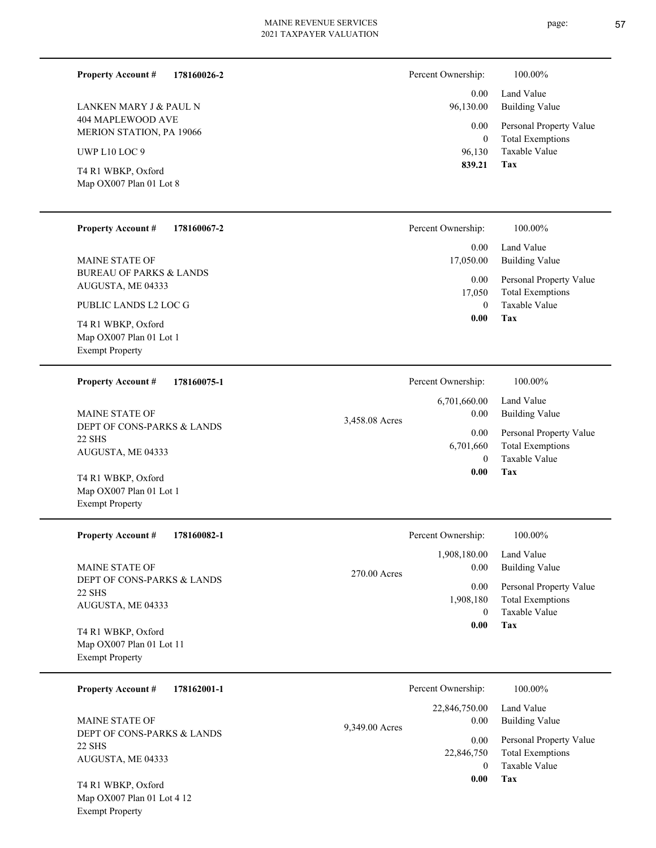page: 57

| 178160026-2<br><b>Property Account #</b><br>LANKEN MARY J & PAUL N<br>404 MAPLEWOOD AVE<br>MERION STATION, PA 19066<br>UWP L10 LOC 9<br>T4 R1 WBKP, Oxford<br>Map OX007 Plan 01 Lot 8                                            |                | Percent Ownership:<br>0.00<br>96,130.00<br>0.00<br>$\boldsymbol{0}$<br>96,130<br>839.21     | 100.00%<br>Land Value<br><b>Building Value</b><br>Personal Property Value<br><b>Total Exemptions</b><br><b>Taxable Value</b><br>Tax |
|----------------------------------------------------------------------------------------------------------------------------------------------------------------------------------------------------------------------------------|----------------|---------------------------------------------------------------------------------------------|-------------------------------------------------------------------------------------------------------------------------------------|
| <b>Property Account #</b><br>178160067-2<br><b>MAINE STATE OF</b><br><b>BUREAU OF PARKS &amp; LANDS</b><br>AUGUSTA, ME 04333<br>PUBLIC LANDS L2 LOC G<br>T4 R1 WBKP, Oxford<br>Map OX007 Plan 01 Lot 1<br><b>Exempt Property</b> |                | Percent Ownership:<br>0.00<br>17,050.00<br>0.00<br>17,050<br>$\mathbf{0}$<br>0.00           | 100.00%<br>Land Value<br><b>Building Value</b><br>Personal Property Value<br><b>Total Exemptions</b><br>Taxable Value<br>Tax        |
| <b>Property Account #</b><br>178160075-1<br><b>MAINE STATE OF</b><br>DEPT OF CONS-PARKS & LANDS<br><b>22 SHS</b><br>AUGUSTA, ME 04333<br>T4 R1 WBKP, Oxford<br>Map OX007 Plan 01 Lot 1<br><b>Exempt Property</b>                 | 3,458.08 Acres | Percent Ownership:<br>6,701,660.00<br>0.00<br>0.00<br>6,701,660<br>$\overline{0}$<br>0.00   | 100.00%<br>Land Value<br><b>Building Value</b><br>Personal Property Value<br><b>Total Exemptions</b><br>Taxable Value<br>Tax        |
| <b>Property Account #</b><br>178160082-1<br><b>MAINE STATE OF</b><br>DEPT OF CONS-PARKS & LANDS<br><b>22 SHS</b><br>AUGUSTA, ME 04333<br>T4 R1 WBKP, Oxford<br>Map OX007 Plan 01 Lot 11<br><b>Exempt Property</b>                | 270.00 Acres   | Percent Ownership:<br>1,908,180.00<br>0.00<br>0.00<br>1,908,180<br>$\overline{0}$<br>0.00   | 100.00%<br>Land Value<br><b>Building Value</b><br>Personal Property Value<br><b>Total Exemptions</b><br>Taxable Value<br>Tax        |
| 178162001-1<br><b>Property Account #</b><br><b>MAINE STATE OF</b><br>DEPT OF CONS-PARKS & LANDS<br><b>22 SHS</b><br>AUGUSTA, ME 04333<br>T4 R1 WBKP, Oxford<br>Map OX007 Plan 01 Lot 4 12<br><b>Exempt Property</b>              | 9,349.00 Acres | Percent Ownership:<br>22,846,750.00<br>0.00<br>0.00<br>22,846,750<br>$\overline{0}$<br>0.00 | 100.00%<br>Land Value<br><b>Building Value</b><br>Personal Property Value<br><b>Total Exemptions</b><br>Taxable Value<br><b>Tax</b> |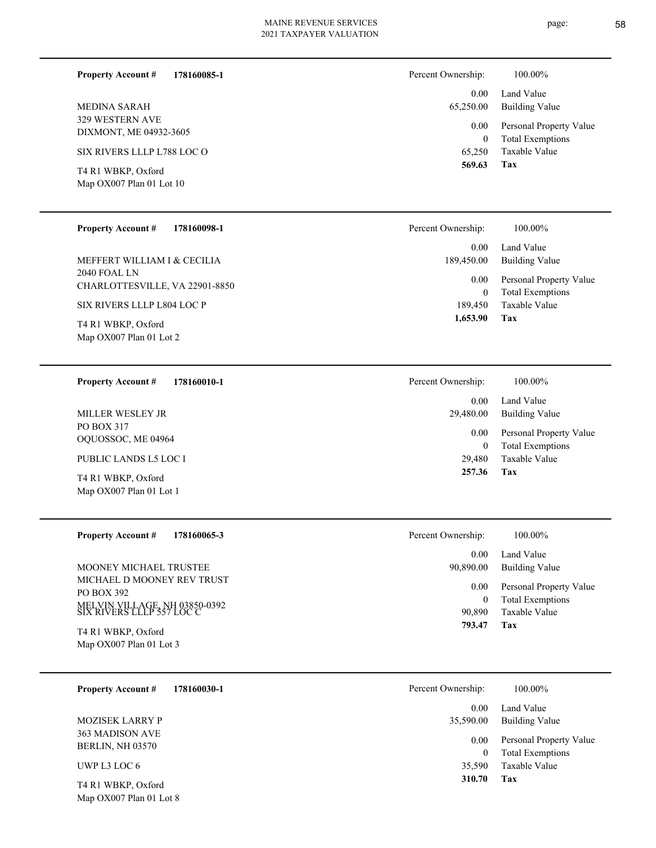page: 58

| <b>Property Account #</b><br>178160085-1 | Percent Ownership: | 100.00%                 |
|------------------------------------------|--------------------|-------------------------|
|                                          | 0.00               | Land Value              |
| <b>MEDINA SARAH</b>                      | 65,250.00          | <b>Building Value</b>   |
| 329 WESTERN AVE                          | 0.00               | Personal Property Value |
| DIXMONT, ME 04932-3605                   | $\theta$           | <b>Total Exemptions</b> |
| SIX RIVERS LLLP L788 LOC O               | 65,250             | Taxable Value           |
| T4 R1 WBKP, Oxford                       | 569.63             | <b>Tax</b>              |
| Map OX007 Plan 01 Lot 10                 |                    |                         |
| <b>Property Account #</b><br>178160098-1 | Percent Ownership: | 100.00%                 |
|                                          | 0.00               | Land Value              |
| MEFFERT WILLIAM I & CECILIA              | 189,450.00         | <b>Building Value</b>   |
| 2040 FOAL LN                             | 0.00               | Personal Property Value |
| CHARLOTTESVILLE, VA 22901-8850           | $\mathbf{0}$       | <b>Total Exemptions</b> |
| SIX RIVERS LLLP L804 LOC P               | 189,450            | Taxable Value           |

Map OX007 Plan 01 Lot 2 T4 R1 WBKP, Oxford

**178160010-1 Property Account #**

PO BOX 317 OQUOSSOC, ME 04964 MILLER WESLEY JR

PUBLIC LANDS L5 LOC I

Map OX007 Plan 01 Lot 1

**178160065-3 Property Account #**

MICHAEL D MOONEY REV TRUST PO BOX 392 MELVIN VILLAGE, NH 03850-0392 SIX RIVERS LLLP 557 LOC C MOONEY MICHAEL TRUSTEE

Map OX007 Plan 01 Lot 3 T4 R1 WBKP, Oxford

| <b>Property Account #</b>                                  | 178160030-1 | Percent Ownership: | 100.00%                                            |
|------------------------------------------------------------|-------------|--------------------|----------------------------------------------------|
|                                                            |             | 0.00               | Land Value                                         |
| <b>MOZISEK LARRY P</b>                                     |             | 35,590.00          | Building Value                                     |
| 363 MADISON AVE<br><b>BERLIN, NH 03570</b>                 |             | 0.00<br>0          | Personal Property Value<br><b>Total Exemptions</b> |
| UWP L3 LOC $6$                                             |             | 35,590             | Taxable Value                                      |
| $TA$ D <sub>1</sub> WD <sub>K</sub> D $Ov$ <sub>ford</sub> |             | 310.70             | Tax                                                |

T4 R1 WBKP, Oxford

Map OX007 Plan 01 Lot 8 T4 R1 WBKP, Oxford

| $0.00 -$  | Land Value              |
|-----------|-------------------------|
| 65,250.00 | <b>Building Value</b>   |
| $0.00\,$  | Personal Property Value |
| 0         | <b>Total Exemptions</b> |
| 65,250    | Taxable Value           |
| 569.63    | Tax                     |
|           |                         |

**Tax** Taxable Value Total Exemptions Personal Property Value Building Value Land Value 29,480 0  **257.36** 0.00 29,480.00 0.00 Percent Ownership:  $100.00\%$ 

**Tax**

 **1,653.90**

| 793.47                | Tax                          |
|-----------------------|------------------------------|
| 90,890                | Taxable Value                |
| 0                     | <b>Total Exemptions</b>      |
| $0.00\,$              | Personal Property Value      |
| $0.00 -$<br>90,890.00 | Land Value<br>Building Value |
| Percent Ownership:    | 100.00%                      |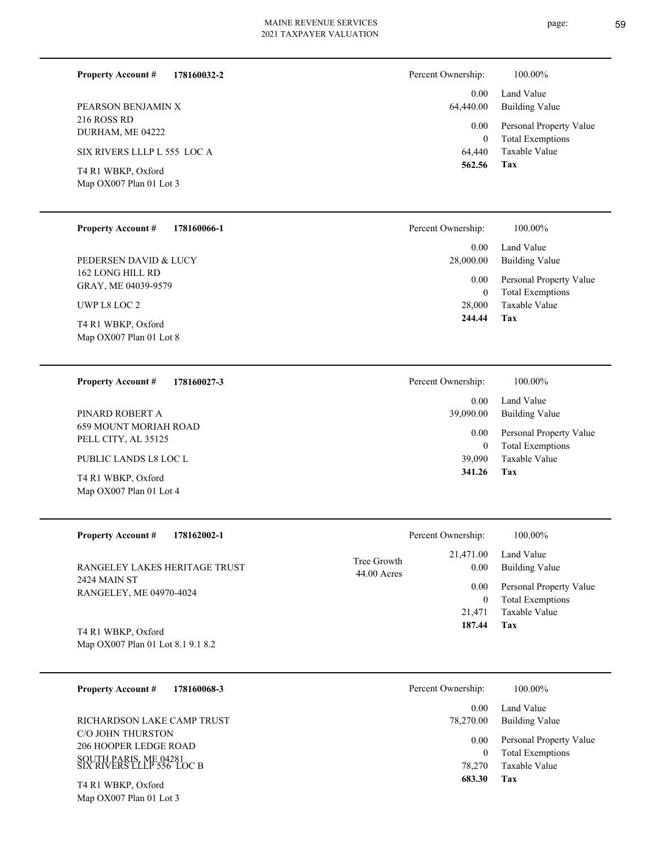| <b>Property Account #</b><br>178160032-2        | Percent Ownership:                                                         | 100.00%               |  |
|-------------------------------------------------|----------------------------------------------------------------------------|-----------------------|--|
|                                                 | 0.00 <sub>1</sub>                                                          | Land Value            |  |
| PEARSON BENJAMIN X                              | 64,440.00                                                                  | <b>Building Value</b> |  |
| 216 ROSS RD<br>DURHAM, ME 04222                 | Personal Property Value<br>$0.00\,$<br><b>Total Exemptions</b><br>$\theta$ |                       |  |
| SIX RIVERS LLLP L 555 LOC A                     | 64,440                                                                     | Taxable Value         |  |
| T4 R1 WBKP, Oxford<br>Map $OX007$ Plan 01 Lot 3 | 562.56                                                                     | Tax                   |  |
|                                                 |                                                                            |                       |  |
| <b>Property Account #</b><br>178160066-1        | Percent Ownership:                                                         | 100.00%               |  |

162 LONG HILL RD GRAY, ME 04039-9579 PEDERSEN DAVID & LUCY

UWP L8 LOC 2

Map OX007 Plan 01 Lot 8 T4 R1 WBKP, Oxford

**178160027-3 Property Account #**

659 MOUNT MORIAH ROAD PELL CITY, AL 35125 PINARD ROBERT A

PUBLIC LANDS L8 LOC L

Map OX007 Plan 01 Lot 4 T4 R1 WBKP, Oxford

Map OX007 Plan 01 Lot 3

| Percent Ownership: | 100.00%                 |
|--------------------|-------------------------|
| 0.00               | Land Value              |
| 39,090.00          | Building Value          |
| 0.00               | Personal Property Value |
| 0                  | <b>Total Exemptions</b> |

**Tax**

 28,000 0

0.00

28,000.00

 **244.44**

0.00 Land Value

Taxable Value Total Exemptions Personal Property Value

Building Value

| 39,090 | Taxable Value |
|--------|---------------|
| 341.26 | Tax           |

| <b>Property Account #</b><br>178162002-1 | Percent Ownership:                                | 100.00%                      |
|------------------------------------------|---------------------------------------------------|------------------------------|
| RANGELEY LAKES HERITAGE TRUST            | 21,471.00<br>Tree Growth<br>0.00<br>$44.00$ Acres | Land Value<br>Building Value |
| 2424 MAIN ST<br>RANGELEY, ME 04970-4024  | 0.00                                              | Personal Property Value      |
|                                          | 0                                                 | <b>Total Exemptions</b>      |
|                                          | 21.471                                            | Taxable Value                |
| T4 R1 WBKP, Oxford                       | 187.44                                            | Tax                          |
| Map OX007 Plan 01 Lot 8.1 9.1 8.2        |                                                   |                              |

| 178160068-3<br><b>Property Account #</b>                                                                | Percent Ownership: | 100.00%                                                             |
|---------------------------------------------------------------------------------------------------------|--------------------|---------------------------------------------------------------------|
|                                                                                                         | 0.00               | Land Value                                                          |
| RICHARDSON LAKE CAMP TRUST                                                                              | 78,270.00          | Building Value                                                      |
| C/O JOHN THURSTON<br><b>206 HOOPER LEDGE ROAD</b><br>SOUTH PARIS, ME 04281<br>SIX RIVERS LLLP 556 LOC B | 0.00<br>78,270     | Personal Property Value<br><b>Total Exemptions</b><br>Taxable Value |
| T4 R1 WBKP, Oxford                                                                                      | 683.30             | Tax                                                                 |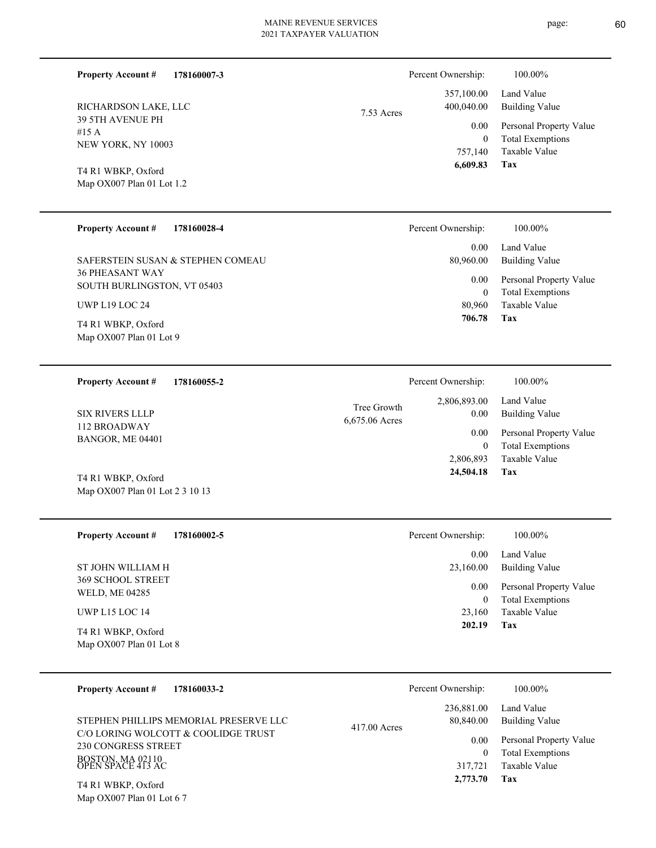**178160007-3**

**Property Account #**

Percent Ownership:  $100.00\%$ 

| RICHARDSON LAKE, LLC<br>39 5TH AVENUE PH<br>#15 A<br>NEW YORK, NY 10003<br>T4 R1 WBKP, Oxford<br>Map OX007 Plan 01 Lot 1.2<br>178160028-4<br><b>Property Account #</b><br>SAFERSTEIN SUSAN & STEPHEN COMEAU<br><b>36 PHEASANT WAY</b><br>SOUTH BURLINGSTON, VT 05403 | 357,100.00<br>400,040.00<br>7.53 Acres<br>0.00<br>757,140<br>6,609.83<br>Percent Ownership:<br>0.00<br>80,960.00<br>0.00 | Land Value<br><b>Building Value</b><br>Personal Property Value<br><b>Total Exemptions</b><br>$\boldsymbol{0}$<br>Taxable Value<br>Tax<br>100.00%<br>Land Value<br><b>Building Value</b><br>Personal Property Value<br><b>Total Exemptions</b><br>$\boldsymbol{0}$ |
|----------------------------------------------------------------------------------------------------------------------------------------------------------------------------------------------------------------------------------------------------------------------|--------------------------------------------------------------------------------------------------------------------------|-------------------------------------------------------------------------------------------------------------------------------------------------------------------------------------------------------------------------------------------------------------------|
| <b>UWP L19 LOC 24</b><br>T4 R1 WBKP, Oxford<br>Map OX007 Plan 01 Lot 9                                                                                                                                                                                               | 80,960<br>706.78                                                                                                         | Taxable Value<br>Tax                                                                                                                                                                                                                                              |
| 178160055-2<br><b>Property Account #</b><br><b>SIX RIVERS LLLP</b><br>112 BROADWAY<br>BANGOR, ME 04401<br>T4 R1 WBKP, Oxford<br>Map OX007 Plan 01 Lot 2 3 10 13                                                                                                      | Percent Ownership:<br>2,806,893.00<br>Tree Growth<br>0.00<br>6,675.06 Acres<br>0.00<br>2,806,893<br>24,504.18            | 100.00%<br>Land Value<br><b>Building Value</b><br>Personal Property Value<br><b>Total Exemptions</b><br>$\boldsymbol{0}$<br>Taxable Value<br>Tax                                                                                                                  |
| <b>Property Account #</b><br>178160002-5<br>ST JOHN WILLIAM H<br><b>369 SCHOOL STREET</b><br>WELD, ME 04285<br>UWP L15 LOC 14<br>T4 R1 WBKP, Oxford<br>Map OX007 Plan 01 Lot 8                                                                                       | Percent Ownership:<br>0.00<br>23,160.00<br>0.00<br>23,160<br>202.19                                                      | 100.00%<br>Land Value<br><b>Building Value</b><br>Personal Property Value<br><b>Total Exemptions</b><br>$\boldsymbol{0}$<br>Taxable Value<br>Tax                                                                                                                  |
| <b>Property Account #</b><br>178160033-2<br>STEPHEN PHILLIPS MEMORIAL PRESERVE LLC<br>C/O LORING WOLCOTT & COOLIDGE TRUST<br><b>230 CONGRESS STREET</b><br>BOSTON, MA 02110<br>OPEN SPACE 413 AC<br>T4 R1 WBKP, Oxford<br>Map OX007 Plan 01 Lot 6 7                  | Percent Ownership:<br>236,881.00<br>80,840.00<br>417.00 Acres<br>0.00<br>317,721<br>2,773.70                             | 100.00%<br>Land Value<br><b>Building Value</b><br>Personal Property Value<br><b>Total Exemptions</b><br>$\boldsymbol{0}$<br>Taxable Value<br>Tax                                                                                                                  |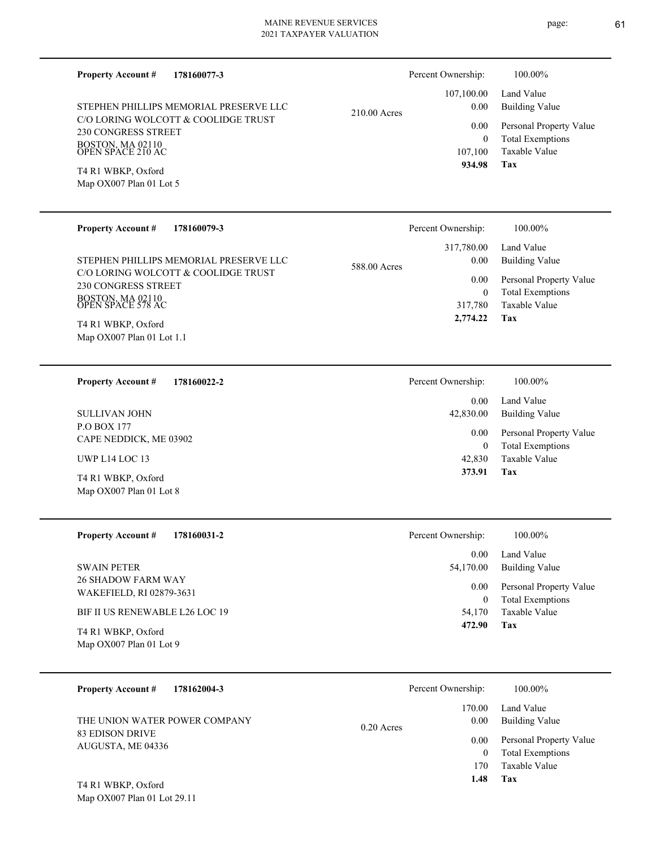| <b>Property Account #</b>                       | 178160077-3                            |                    | Percent Ownership:                  | 100.00%                                            |
|-------------------------------------------------|----------------------------------------|--------------------|-------------------------------------|----------------------------------------------------|
| STEPHEN PHILLIPS MEMORIAL PRESERVE LLC          | 210.00 Acres                           | 107,100.00<br>0.00 | Land Value<br><b>Building Value</b> |                                                    |
| 230 CONGRESS STREET                             | C/O LORING WOLCOTT & COOLIDGE TRUST    |                    | 0.00<br>$\mathbf{0}$                | Personal Property Value<br><b>Total Exemptions</b> |
| BOSTON, MA 02110<br>OPEN SPACE 210 AC           |                                        |                    | 107,100<br>934.98                   | Taxable Value                                      |
| T4 R1 WBKP, Oxford<br>Map OX007 Plan 01 Lot 5   |                                        |                    |                                     | Tax                                                |
|                                                 |                                        |                    |                                     |                                                    |
| <b>Property Account #</b>                       | 178160079-3                            |                    | Percent Ownership:                  | 100.00%                                            |
|                                                 | STEPHEN PHILLIPS MEMORIAL PRESERVE LLC | 588.00 Acres       | 317,780.00<br>0.00                  | Land Value<br><b>Building Value</b>                |
| 230 CONGRESS STREET                             | C/O LORING WOLCOTT & COOLIDGE TRUST    |                    | 0.00<br>$\mathbf{0}$                | Personal Property Value<br><b>Total Exemptions</b> |
| BOSTON, MA 02110<br>OPEN SPACE 578 AC           |                                        |                    | 317,780<br>2,774.22                 | <b>Taxable Value</b><br>Tax                        |
| T4 R1 WBKP, Oxford<br>Map OX007 Plan 01 Lot 1.1 |                                        |                    |                                     |                                                    |
|                                                 |                                        |                    |                                     |                                                    |
| <b>Property Account #</b>                       | 178160022-2                            |                    | Percent Ownership:                  | 100.00%                                            |
| <b>SULLIVAN JOHN</b>                            |                                        |                    | 0.00<br>42,830.00                   | Land Value<br><b>Building Value</b>                |
| P.O BOX 177<br>CAPE NEDDICK, ME 03902           |                                        |                    | 0.00<br>$\mathbf{0}$                | Personal Property Value<br><b>Total Exemptions</b> |
| UWP L14 LOC 13                                  |                                        |                    | 42,830<br>373.91                    | Taxable Value<br>Tax                               |
| T4 R1 WBKP, Oxford<br>Map OX007 Plan 01 Lot 8   |                                        |                    |                                     |                                                    |
|                                                 |                                        |                    |                                     |                                                    |
| <b>Property Account #</b>                       | 178160031-2                            |                    | Percent Ownership:                  | 100.00%                                            |
| <b>SWAIN PETER</b>                              |                                        |                    | 0.00<br>54,170.00                   | Land Value<br><b>Building Value</b>                |
| 26 SHADOW FARM WAY<br>WAKEFIELD, RI 02879-3631  |                                        |                    | 0.00<br>$\mathbf{0}$                | Personal Property Value<br><b>Total Exemptions</b> |
| BIF II US RENEWABLE L26 LOC 19                  |                                        |                    | 54,170                              | Taxable Value                                      |
| T4 R1 WBKP, Oxford<br>Map OX007 Plan 01 Lot 9   |                                        |                    | 472.90                              | Tax                                                |
|                                                 |                                        |                    |                                     |                                                    |
| <b>Property Account #</b>                       | 178162004-3                            |                    | Percent Ownership:                  | 100.00%                                            |
| THE UNION WATER POWER COMPANY                   |                                        | $0.20$ Acres       | 170.00<br>0.00                      | Land Value<br><b>Building Value</b>                |
| <b>83 EDISON DRIVE</b><br>AUGUSTA, ME 04336     |                                        |                    | 0.00<br>$\mathbf{0}$                | Personal Property Value<br><b>Total Exemptions</b> |
|                                                 |                                        |                    | 170<br>1.48                         | Taxable Value<br><b>Tax</b>                        |
|                                                 |                                        |                    |                                     |                                                    |

Map OX007 Plan 01 Lot 29.11 T4 R1 WBKP, Oxford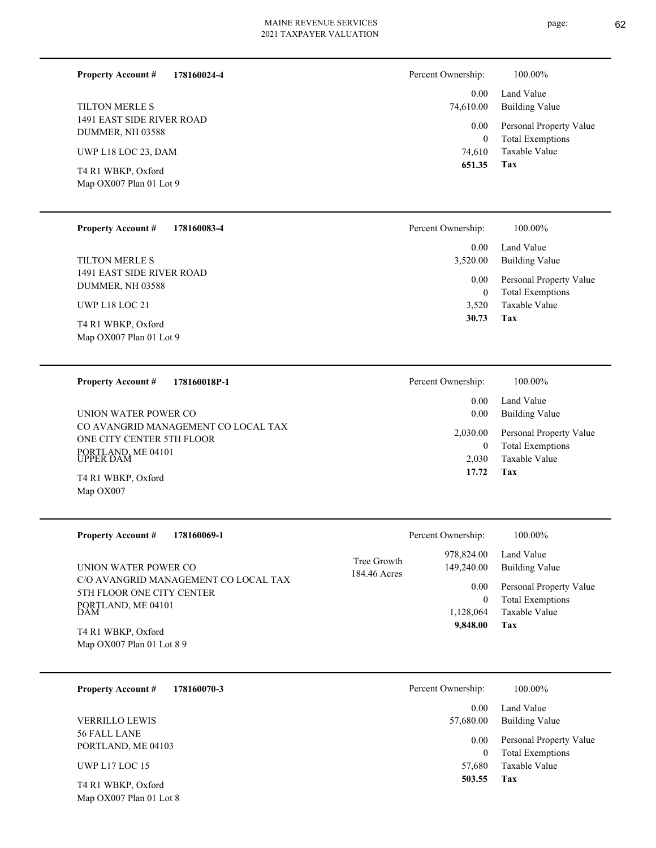**Tax 17.72**

2,030 Taxable Value 0 Total Exemptions

| <b>Property Account #</b>                     | 178160024-4 | Percent Ownership:       | 100.00%                                            |
|-----------------------------------------------|-------------|--------------------------|----------------------------------------------------|
|                                               |             | 0.00                     | Land Value                                         |
| <b>TILTON MERLE S</b>                         |             | 74,610.00                | <b>Building Value</b>                              |
| 1491 EAST SIDE RIVER ROAD<br>DUMMER, NH 03588 |             | $0.00\,$<br>$\mathbf{0}$ | Personal Property Value<br><b>Total Exemptions</b> |
| UWP L18 LOC 23, DAM                           |             | 74,610                   | Taxable Value                                      |
| T4 R1 WBKP, Oxford<br>Map OX007 Plan 01 Lot 9 |             | 651.35                   | Tax                                                |
|                                               |             |                          |                                                    |

| <b>Property Account #</b><br>178160083-4                                                                                | Percent Ownership:                     | 100.00%                                                                    |
|-------------------------------------------------------------------------------------------------------------------------|----------------------------------------|----------------------------------------------------------------------------|
|                                                                                                                         | 0.00                                   | Land Value                                                                 |
| TILTON MERLE S                                                                                                          | 3,520.00                               | <b>Building Value</b>                                                      |
| 1491 EAST SIDE RIVER ROAD<br>DUMMER, NH 03588<br><b>UWP L18 LOC 21</b><br>T4 R1 WBKP, Oxford<br>Map OX007 Plan 01 Lot 9 | 0.00<br>$\mathbf{0}$<br>3,520<br>30.73 | Personal Property Value<br><b>Total Exemptions</b><br>Taxable Value<br>Tax |
| <b>Property Account #</b><br>178160018P-1                                                                               | Percent Ownership:                     | 100.00%                                                                    |
|                                                                                                                         | 0.00                                   | Land Value                                                                 |
| UNION WATER POWER CO                                                                                                    | 0.00                                   | <b>Building Value</b>                                                      |
| CO AVANGRID MANAGEMENT CO LOCAL TAX<br>$\alpha$ ur $\alpha$ rny $\alpha$ rnigen $\epsilon$ gu et $\alpha$ on            | 2,030.00                               | Personal Property Value                                                    |

Map OX007 T4 R1 WBKP, Oxford

Map OX007 Plan 01 Lot 8

PORTLAND, ME 04101 UPPER DAM

ONE CITY CENTER 5TH FLOOR

| <b>Property Account #</b><br>178160069-1                                                                                                                                  | Percent Ownership:                                                                                           | 100.00%                                                                                                    |
|---------------------------------------------------------------------------------------------------------------------------------------------------------------------------|--------------------------------------------------------------------------------------------------------------|------------------------------------------------------------------------------------------------------------|
| UNION WATER POWER CO<br>C/O AVANGRID MANAGEMENT CO LOCAL TAX<br>5TH FLOOR ONE CITY CENTER<br>PORTLAND, ME 04101<br>DAM<br>T4 R1 WBKP, Oxford<br>Map OX007 Plan 01 Lot 8 9 | 978,824.00<br>Tree Growth<br>149,240.00<br>184.46 Acres<br>0.00<br>$\boldsymbol{0}$<br>1,128,064<br>9,848.00 | Land Value<br>Building Value<br>Personal Property Value<br><b>Total Exemptions</b><br>Taxable Value<br>Tax |

| 178160070-3<br><b>Property Account #</b> | Percent Ownership:<br>100.00%                                          |  |
|------------------------------------------|------------------------------------------------------------------------|--|
|                                          | Land Value<br>0.00                                                     |  |
| <b>VERRILLO LEWIS</b>                    | Building Value<br>57,680.00                                            |  |
| 56 FALL LANE<br>PORTLAND, ME 04103       | Personal Property Value<br>0.00<br><b>Total Exemptions</b><br>$\theta$ |  |
| UWP L <sub>17</sub> LOC 15               | Taxable Value<br>57,680                                                |  |
| T4 R1 WBKP, Oxford                       | Tax<br>503.55                                                          |  |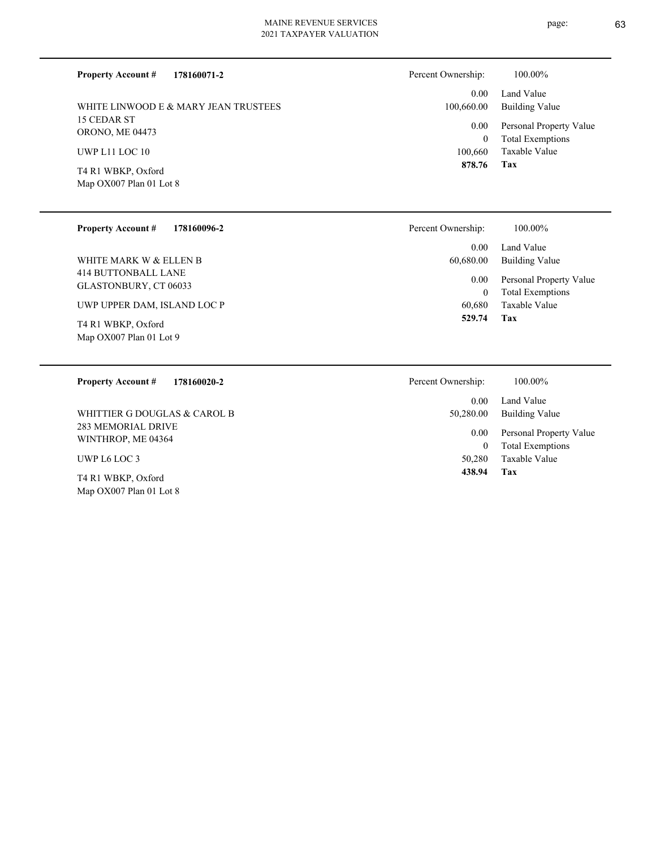| 178160071-2<br><b>Property Account #</b> | Percent Ownership:         | 100.00%                                            |
|------------------------------------------|----------------------------|----------------------------------------------------|
|                                          | 0.00                       | Land Value                                         |
| WHITE LINWOOD E & MARY JEAN TRUSTEES     | 100,660.00                 | Building Value                                     |
| 15 CEDAR ST<br><b>ORONO, ME 04473</b>    | $0.00\,$<br>$\overline{0}$ | Personal Property Value<br><b>Total Exemptions</b> |
| UWP L11 LOC 10                           | 100,660                    | Taxable Value                                      |
| T4 R1 WBKP, Oxford                       | 878.76                     | Tax                                                |
| Map OX007 Plan 01 Lot 8                  |                            |                                                    |
| <b>Property Account #</b><br>178160096-2 | Percent Ownership:         | 100.00%                                            |

414 BUTTONBALL LANE GLASTONBURY, CT 06033 WHITE MARK W & ELLEN B

UWP UPPER DAM, ISLAND LOC P

Map OX007 Plan 01 Lot 9 T4 R1 WBKP, Oxford

| Ownership: | 100.00%                 |
|------------|-------------------------|
| 0.00       | Land Value              |
| 60,680.00  | Building Value          |
| $0.00\,$   | Personal Property Value |
| 0          | <b>Total Exemptions</b> |
| 60.680     | Taxable Value           |
| 529.74     | Tax                     |

| 178160020-2<br><b>Property Account #</b>        | Percent Ownership:<br>100.00%                                          |
|-------------------------------------------------|------------------------------------------------------------------------|
|                                                 | Land Value<br>0.00                                                     |
| WHITTIER G DOUGLAS & CAROL B                    | Building Value<br>50,280.00                                            |
| <b>283 MEMORIAL DRIVE</b><br>WINTHROP, ME 04364 | Personal Property Value<br>0.00<br><b>Total Exemptions</b><br>$\Omega$ |
| UWP L6 LOC 3                                    | Taxable Value<br>50,280                                                |
| T4 R1 WBKP, Oxford                              | 438.94<br>Tax                                                          |
| Map OX007 Plan 01 Lot 8                         |                                                                        |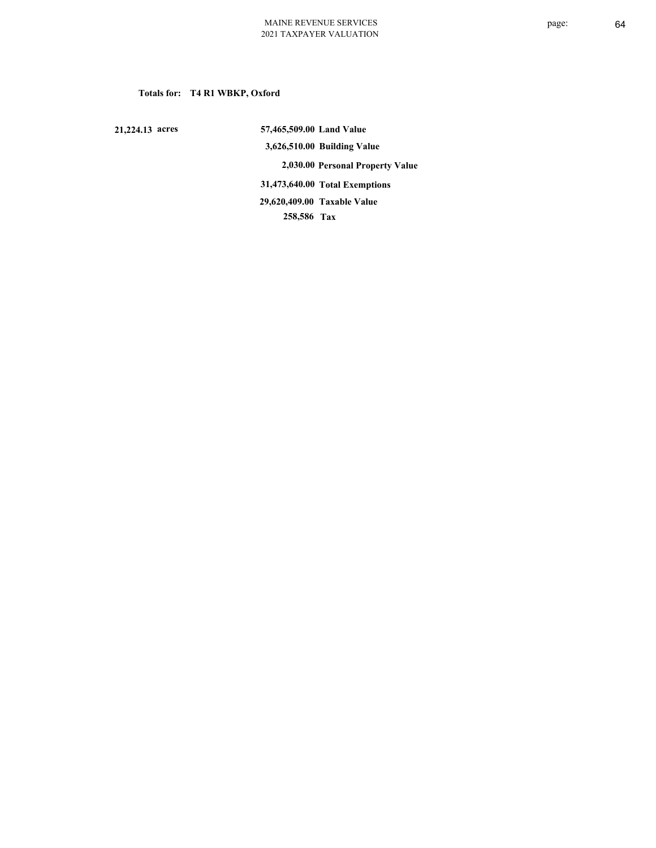# **Totals for: T4 R1 WBKP, Oxford**

 **21,224.13 acres**

 **57,465,509.00 Land Value 3,626,510.00 Building Value 2,030.00 Personal Property Value 31,473,640.00 Total Exemptions 258,586 Tax Taxable Value 29,620,409.00**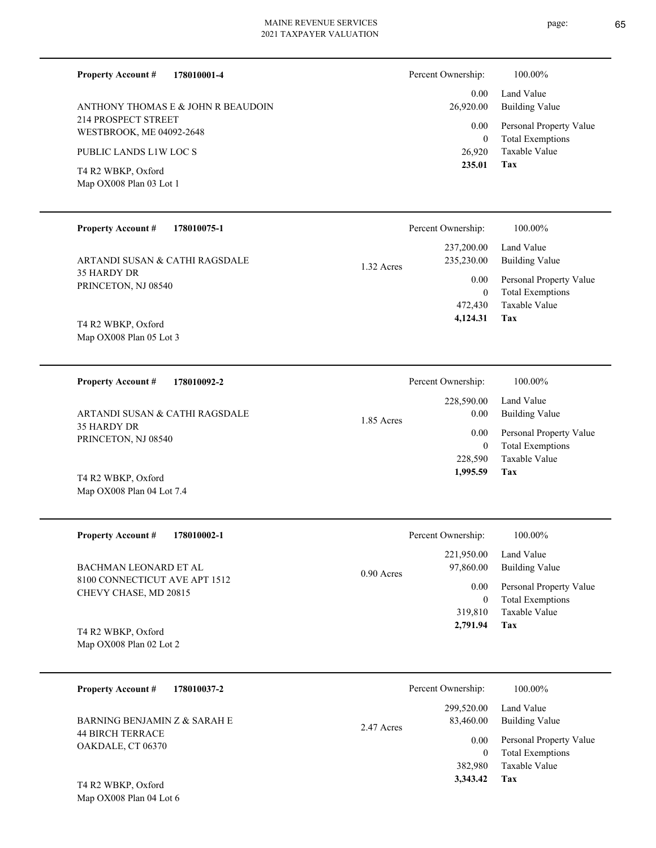**178010001-4 Property Account #**

214 PROSPECT STREET WESTBROOK, ME 04092-2648 ANTHONY THOMAS E & JOHN R BEAUDOIN

PUBLIC LANDS L1W LOC S

Map OX008 Plan 03 Lot 1 T4 R2 WBKP, Oxford

| Percent Ownership: | 100.00%                 |
|--------------------|-------------------------|
| 0.00               | Land Value              |
| 26,920.00          | <b>Building Value</b>   |
| 0.00               | Personal Property Value |
| 0                  | <b>Total Exemptions</b> |
| 26,920             | Taxable Value           |
| 235.01             | Tax                     |

| <b>Property Account #</b><br>178010075-1 | Percent Ownership:             | 100.00%                                            |
|------------------------------------------|--------------------------------|----------------------------------------------------|
| ARTANDI SUSAN & CATHI RAGSDALE           | 237,200.00<br>235,230.00       | Land Value<br>Building Value                       |
| 35 HARDY DR<br>PRINCETON, NJ 08540       | 1.32 Acres<br>0.00<br>$\theta$ | Personal Property Value<br><b>Total Exemptions</b> |
|                                          | 472,430                        | Taxable Value                                      |
| T4 R2 WBKP, Oxford                       | 4,124.31                       | Tax                                                |
| Map $OX008$ Plan 05 Lot 3                |                                |                                                    |

**178010092-2 Tax** Taxable Value Total Exemptions Personal Property Value Building Value Land Value 35 HARDY DR PRINCETON, NJ 08540 **Property Account #** T4 R2 WBKP, Oxford ARTANDI SUSAN & CATHI RAGSDALE 228,590 0  **1,995.59** 228,590.00 0.00 0.00 1.85 Acres Percent Ownership:  $100.00\%$ 

Map OX008 Plan 04 Lot 7.4

| <b>Property Account #</b><br>178010002-1 | Percent Ownership:        | 100.00%                 |
|------------------------------------------|---------------------------|-------------------------|
|                                          | 221,950.00                | Land Value              |
| BACHMAN LEONARD ET AL                    | 97,860.00<br>$0.90$ Acres | Building Value          |
| 8100 CONNECTICUT AVE APT 1512            | 0.00                      | Personal Property Value |
| CHEVY CHASE, MD 20815                    | $\theta$                  | <b>Total Exemptions</b> |
|                                          | 319,810                   | Taxable Value           |
| T4 R2 WBKP, Oxford                       | 2,791.94                  | Tax                     |
| Map OX008 Plan 02 Lot 2                  |                           |                         |

| <b>Property Account #</b><br>178010037-2     | Percent Ownership:                    | 100.00%                                            |
|----------------------------------------------|---------------------------------------|----------------------------------------------------|
| BARNING BENJAMIN Z & SARAH E                 | 299,520.00<br>83,460.00<br>2.47 Acres | Land Value<br>Building Value                       |
| <b>44 BIRCH TERRACE</b><br>OAKDALE, CT 06370 | 0.00<br>$\overline{0}$                | Personal Property Value<br><b>Total Exemptions</b> |
| T4 R2 WBKP, Oxford                           | 382,980<br>3,343.42                   | Taxable Value<br>Tax                               |

Map OX008 Plan 04 Lot 6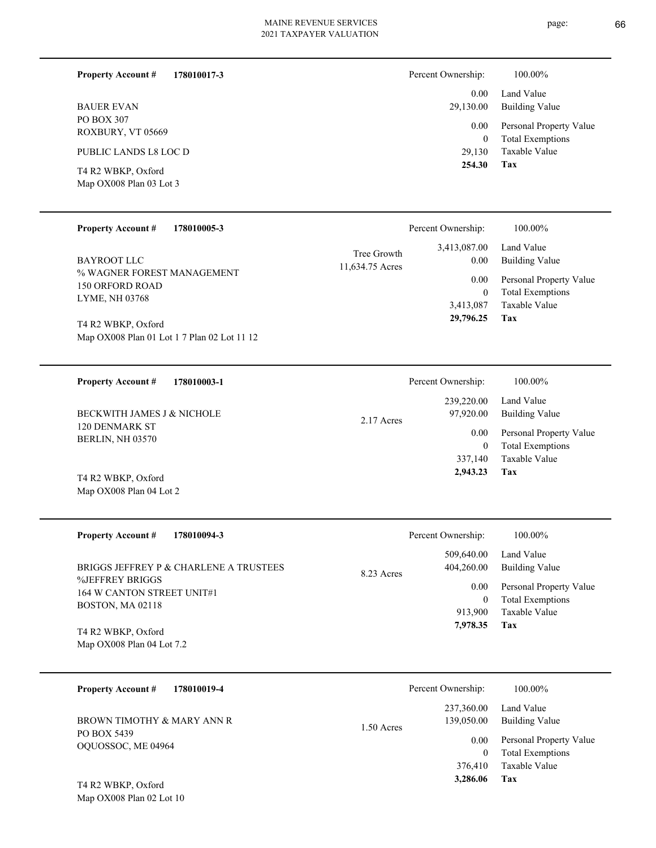page: 66

**Tax 2,943.23**

337,140 Taxable Value

| 178010017-3<br><b>Property Account #</b>                                                                                       | Percent Ownership:                                            | 100.00%                                                                                                    |
|--------------------------------------------------------------------------------------------------------------------------------|---------------------------------------------------------------|------------------------------------------------------------------------------------------------------------|
| <b>BAUER EVAN</b><br>PO BOX 307<br>ROXBURY, VT 05669<br>PUBLIC LANDS L8 LOC D<br>T4 R2 WBKP, Oxford<br>Map OX008 Plan 03 Lot 3 | 0.00<br>29,130.00<br>0.00<br>$\mathbf{0}$<br>29,130<br>254.30 | Land Value<br>Building Value<br>Personal Property Value<br><b>Total Exemptions</b><br>Taxable Value<br>Tax |
|                                                                                                                                |                                                               |                                                                                                            |

| <b>Property Account #</b><br>178010005-3                                              | Percent Ownership:                             | 100.00%                                                                                            |
|---------------------------------------------------------------------------------------|------------------------------------------------|----------------------------------------------------------------------------------------------------|
| <b>BAYROOT LLC</b>                                                                    | 3,413,087.00<br>Tree Growth<br>11,634.75 Acres | Land Value<br><b>Building Value</b><br>0.00                                                        |
| % WAGNER FOREST MANAGEMENT<br>150 ORFORD ROAD<br>LYME, NH 03768<br>T4 R2 WBKP, Oxford | 3,413,087<br>29,796.25                         | 0.00<br>Personal Property Value<br><b>Total Exemptions</b><br>$\mathbf{0}$<br>Taxable Value<br>Tax |
| Map OX008 Plan 01 Lot 1 7 Plan 02 Lot 11 12                                           |                                                |                                                                                                    |
| <b>Property Account #</b><br>178010003-1                                              | Percent Ownership:                             | 100.00%                                                                                            |
| BECKWITH JAMES J & NICHOLE                                                            | 239,220.00<br>97,920.00<br>2.17 Acres          | Land Value<br>Building Value                                                                       |
| 120 DENMARK ST<br><b>BERLIN, NH 03570</b>                                             |                                                | 0.00<br>Personal Property Value<br><b>Total Exemptions</b><br>0                                    |

Map OX008 Plan 04 Lot 2 T4 R2 WBKP, Oxford

| <b>Property Account #</b><br>178010094-3                  | Percent Ownership:                     | 100.00%                                            |
|-----------------------------------------------------------|----------------------------------------|----------------------------------------------------|
| BRIGGS JEFFREY P & CHARLENE A TRUSTEES<br>%JEFFREY BRIGGS | 509,640.00<br>404,260.00<br>8.23 Acres | Land Value<br>Building Value                       |
| 164 W CANTON STREET UNIT#1<br><b>BOSTON, MA 02118</b>     | 0.00<br>0                              | Personal Property Value<br><b>Total Exemptions</b> |
|                                                           | 913,900<br>7.978.35                    | Taxable Value<br>Tax                               |
| T4 R2 WBKP, Oxford<br>Map $OX008$ Plan 04 Lot 7.2         |                                        |                                                    |

| 178010019-4<br><b>Property Account #</b> | Percent Ownership:                       | 100.00%                                            |
|------------------------------------------|------------------------------------------|----------------------------------------------------|
| BROWN TIMOTHY & MARY ANN R               | 237,360.00<br>139,050.00<br>$1.50$ Acres | Land Value<br>Building Value                       |
| PO BOX 5439<br>OQUOSSOC, ME 04964        | 0.00<br>0                                | Personal Property Value<br><b>Total Exemptions</b> |
|                                          | 376,410                                  | Taxable Value                                      |
| T4 R2 WBKP, Oxford                       | 3,286.06                                 | Tax                                                |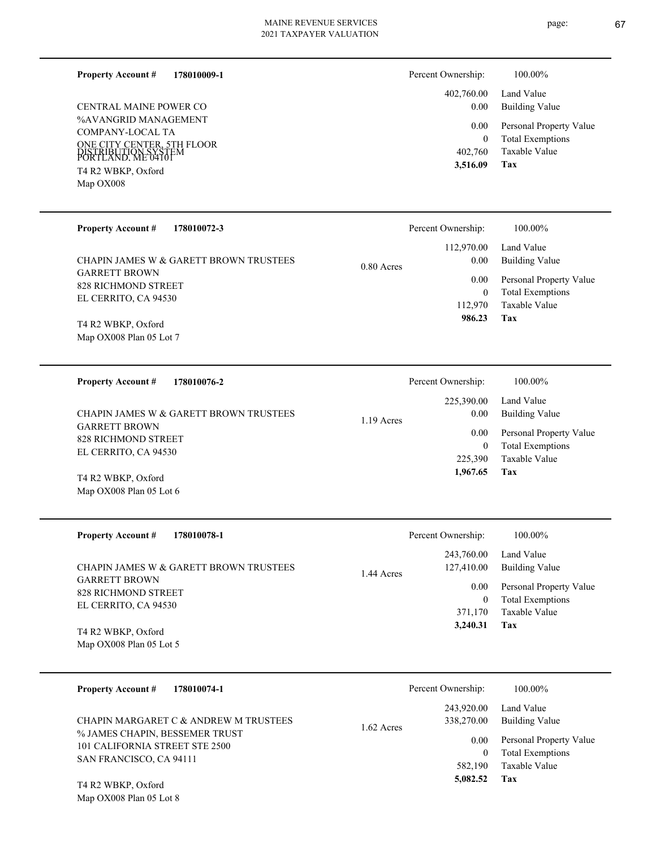**178010009-1 Property Account #**

%AVANGRID MANAGEMENT COMPANY-LOCAL TA ONE CITY CENTER, 5TH FLOOR PORTLAND, ME 04101 DISTRIBUTION SYSTEM Map OX008 T4 R2 WBKP, Oxford CENTRAL MAINE POWER CO

| Percent Ownership: | 100.00%                 |
|--------------------|-------------------------|
| 402,760.00         | Land Value              |
| 0.00               | Building Value          |
| $0.00\,$           | Personal Property Value |
| 0                  | <b>Total Exemptions</b> |
| 402,760            | Taxable Value           |
| 3,516.09           | Tax                     |

| <b>Property Account #</b><br>178010072-3    | Percent Ownership:   | 100.00%                 |
|---------------------------------------------|----------------------|-------------------------|
|                                             | 112,970.00           | Land Value              |
| CHAPIN JAMES W & GARETT BROWN TRUSTEES      | 0.00<br>$0.80$ Acres | Building Value          |
| <b>GARRETT BROWN</b><br>828 RICHMOND STREET | 0.00                 | Personal Property Value |
| EL CERRITO, CA 94530                        | $\mathbf{0}$         | <b>Total Exemptions</b> |
|                                             | 112,970              | Taxable Value           |
| T4 R2 WBKP, Oxford                          | 986.23               | Tax                     |
| Map OX008 Plan 05 Lot 7                     |                      |                         |

**178010076-2 Tax** Taxable Value Total Exemptions Personal Property Value Building Value Land Value GARRETT BROWN 828 RICHMOND STREET EL CERRITO, CA 94530 **Property Account #** Map OX008 Plan 05 Lot 6 T4 R2 WBKP, Oxford CHAPIN JAMES W & GARETT BROWN TRUSTEES 225,390 0  **1,967.65** 225,390.00 0.00 0.00 1.19 Acres Percent Ownership:  $100.00\%$ 

| <b>Property Account #</b><br>178010078-1                       | Percent Ownership:                     | 100.00%                             |
|----------------------------------------------------------------|----------------------------------------|-------------------------------------|
| CHAPIN JAMES W & GARETT BROWN TRUSTEES<br><b>GARRETT BROWN</b> | 243,760.00<br>127,410.00<br>1.44 Acres | Land Value<br><b>Building Value</b> |
| 828 RICHMOND STREET                                            |                                        | Personal Property Value<br>0.00     |
| EL CERRITO, CA 94530                                           |                                        | <b>Total Exemptions</b>             |
|                                                                | 371,170                                | Taxable Value                       |
| T4 R2 WBKP, Oxford                                             | 3,240.31                               | Tax                                 |
| Map $OX008$ Plan 05 Lot 5                                      |                                        |                                     |

| <b>Property Account #</b><br>178010074-1                                | Percent Ownership:                       | 100.00%                                                             |
|-------------------------------------------------------------------------|------------------------------------------|---------------------------------------------------------------------|
| CHAPIN MARGARET C & ANDREW M TRUSTEES<br>% JAMES CHAPIN, BESSEMER TRUST | 243,920.00<br>338,270.00<br>$1.62$ Acres | Land Value<br>Building Value                                        |
| 101 CALIFORNIA STREET STE 2500<br>SAN FRANCISCO, CA 94111               | 0.00<br>$\mathbf{0}$<br>582,190          | Personal Property Value<br><b>Total Exemptions</b><br>Taxable Value |
| T4 R2 WBKP, Oxford<br>Map OX008 Plan 05 Lot 8                           | 5,082.52                                 | Tax                                                                 |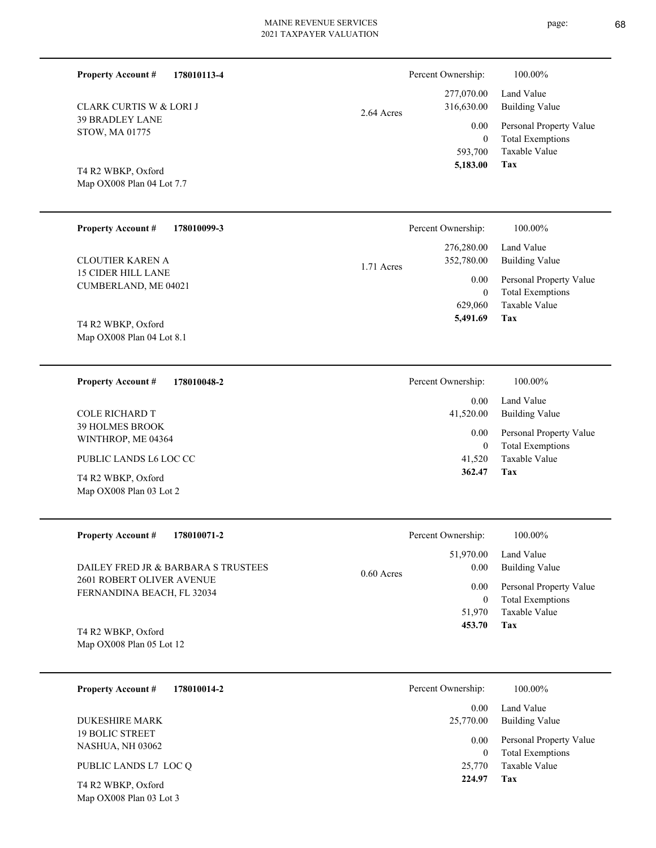Total Exemptions Personal Property Value Building Value Land Value 0 277,070.00 316,630.00 0.00 2.64 Acres Percent Ownership:  $100.00\%$ 

Map OX008 Plan 04 Lot 7.7 T4 R2 WBKP, Oxford

CLARK CURTIS W & LORI J

39 BRADLEY LANE STOW, MA 01775

**Property Account #**

**178010113-4**

| <b>Property Account #</b><br>178010099-3                 | Percent Ownership:                     | 100.00%                                                             |
|----------------------------------------------------------|----------------------------------------|---------------------------------------------------------------------|
| <b>CLOUTIER KAREN A</b>                                  | 276,280.00<br>352,780.00<br>1.71 Acres | Land Value<br>Building Value                                        |
| <b>15 CIDER HILL LANE</b><br><b>CUMBERLAND, ME 04021</b> | 0.00<br>$\mathbf{0}$<br>629,060        | Personal Property Value<br><b>Total Exemptions</b><br>Taxable Value |
| T4 R2 WBKP, Oxford<br>Map $OX008$ Plan 04 Lot 8.1        | 5,491.69                               | Tax                                                                 |

| 178010048-2<br><b>Property Account #</b>      | 100.00%<br>Percent Ownership:                                                |  |
|-----------------------------------------------|------------------------------------------------------------------------------|--|
|                                               | Land Value<br>0.00                                                           |  |
| COLE RICHARD T                                | 41,520.00<br>Building Value                                                  |  |
| <b>39 HOLMES BROOK</b><br>WINTHROP, ME 04364  | Personal Property Value<br>0.00<br><b>Total Exemptions</b><br>$\overline{0}$ |  |
| PUBLIC LANDS L6 LOC CC                        | Taxable Value<br>41,520                                                      |  |
| T4 R2 WBKP, Oxford<br>Map OX008 Plan 03 Lot 2 | Tax<br>362.47                                                                |  |

| <b>Property Account #</b><br>178010071-2                                                       | Percent Ownership:                | 100.00%                                            |
|------------------------------------------------------------------------------------------------|-----------------------------------|----------------------------------------------------|
| DAILEY FRED JR & BARBARA S TRUSTEES<br>2601 ROBERT OLIVER AVENUE<br>FERNANDINA BEACH, FL 32034 | 51,970.00<br>0.00<br>$0.60$ Acres | Land Value<br>Building Value                       |
|                                                                                                | 0.00<br>0                         | Personal Property Value<br><b>Total Exemptions</b> |
| T4 R2 WBKP, Oxford                                                                             | 51,970<br>453.70                  | Taxable Value<br>Tax                               |
| Map OX008 Plan 05 Lot 12                                                                       |                                   |                                                    |

| 178010014-2<br><b>Property Account #</b>          | Percent Ownership: | 100.00%                                            |
|---------------------------------------------------|--------------------|----------------------------------------------------|
|                                                   | 0.00               | Land Value                                         |
| <b>DUKESHIRE MARK</b>                             | 25,770.00          | Building Value                                     |
| <b>19 BOLIC STREET</b><br><b>NASHUA, NH 03062</b> | 0.00<br>0          | Personal Property Value<br><b>Total Exemptions</b> |
| PUBLIC LANDS L7 LOC Q                             | 25,770             | Taxable Value                                      |
| T4 R2 WBKP, Oxford<br>Map OX008 Plan 03 Lot 3     | 224.97<br>Tax      |                                                    |

page: 68

**Tax**

593,700

 **5,183.00**

Taxable Value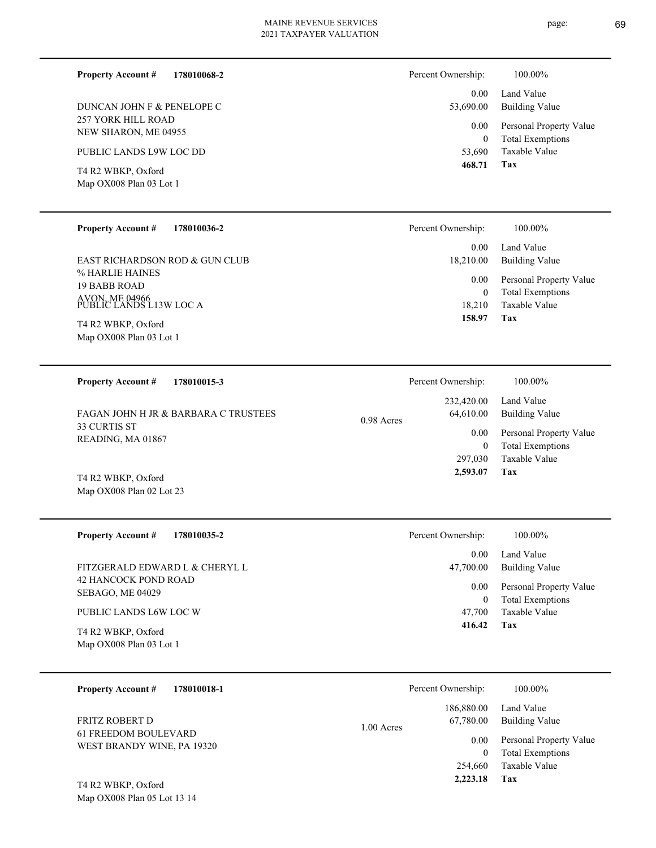**178010068-2**

257 YORK HILL ROAD NEW SHARON, ME 04955 DUNCAN JOHN F & PENELOPE C

PUBLIC LANDS L9W LOC DD

Map OX008 Plan 03 Lot 1 T4 R2 WBKP, Oxford

**Property Account #**

### **178010036-2 Property Account #**

% HARLIE HAINES 19 BABB ROAD AVON, ME 04966 PUBLIC LANDS L13W LOC A EAST RICHARDSON ROD & GUN CLUB

Map OX008 Plan 03 Lot 1 T4 R2 WBKP, Oxford

**178010015-3 Tax** Taxable Value Total Exemptions Value Building Value Land Value 33 CURTIS ST READING, MA 01867 **Property Account #** FAGAN JOHN H JR & BARBARA C TRUSTEES 297,030 0  **2,593.07** 232,420.00 64,610.00 0.00 0.98 Acres Percent Ownership:  $100.00\%$ 

Map OX008 Plan 02 Lot 23 T4 R2 WBKP, Oxford

| <b>Property Account #</b><br>178010035-2        | Percent Ownership:<br>100.00%                                                |  |
|-------------------------------------------------|------------------------------------------------------------------------------|--|
| FITZGERALD EDWARD L & CHERYL L                  | Land Value<br>0.00<br>Building Value<br>47,700.00                            |  |
| <b>42 HANCOCK POND ROAD</b><br>SEBAGO, ME 04029 | Personal Property Value<br>0.00<br><b>Total Exemptions</b><br>$\overline{0}$ |  |
| PUBLIC LANDS L6W LOC W                          | Taxable Value<br>47,700                                                      |  |
| T4 R2 WBKP, Oxford<br>Map OX008 Plan 03 Lot 1   | 416.42<br>Tax                                                                |  |

| 178010018-1<br><b>Property Account #</b>           | Percent Ownership:        | 100.00%                 |
|----------------------------------------------------|---------------------------|-------------------------|
|                                                    | 186,880.00                | Land Value              |
| FRITZ ROBERT D                                     | 67,780.00<br>$1.00$ Acres | <b>Building Value</b>   |
| 61 FREEDOM BOULEVARD<br>WEST BRANDY WINE, PA 19320 | 0.00                      | Personal Property Value |
|                                                    |                           | <b>Total Exemptions</b> |
|                                                    | 254,660                   | Taxable Value           |
| T4 R2 WBKP, Oxford                                 | 2,223.18                  | Tax                     |

Map OX008 Plan 05 Lot 13 14

| Percent Ownership:    | 100.00%                                            |
|-----------------------|----------------------------------------------------|
| $0.00 -$<br>53,690.00 | Land Value<br><b>Building Value</b>                |
| $0.00\,$<br>0         | Personal Property Value<br><b>Total Exemptions</b> |
| 53,690                | Taxable Value                                      |
| 468.71                | Tax                                                |

| ercent Ownership: | 100.00%               |
|-------------------|-----------------------|
| 232,420.00        | Land Value            |
| 64,610.00         | <b>Building Value</b> |
| $0.00\,$          | Personal Property     |
| ⌒                 | — 1 — <sup>1</sup>    |

**Tax**

 18,210 0

 0.00 18,210.00

Percent Ownership:  $100.00\%$ 

0.00

 **158.97**

Taxable Value Total Exemptions Personal Property Value

Building Value Land Value

|              | . <u>.</u>            |
|--------------|-----------------------|
|              | 297,030 Taxable Value |
| 2,593.07 Tax |                       |
|              |                       |
|              |                       |
|              |                       |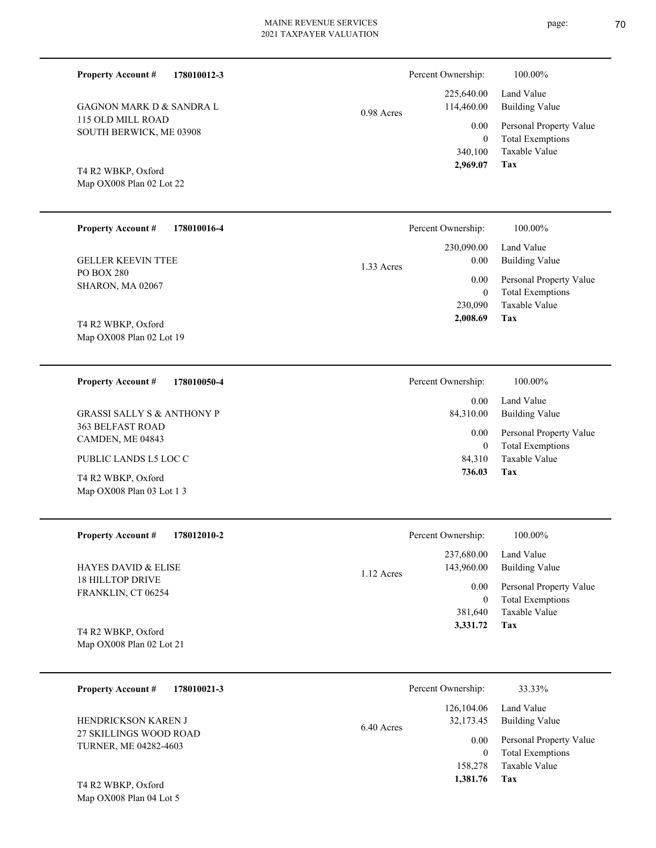0.98 Acres

**178010012-3 Property Account #**

115 OLD MILL ROAD SOUTH BERWICK, ME 03908 GAGNON MARK D & SANDRA L

Map OX008 Plan 02 Lot 22 T4 R2 WBKP, Oxford

Map OX008 Plan 04 Lot 5

| <b>Property Account #</b><br>178010016-4 | Percent Ownership: | 100.00%                 |
|------------------------------------------|--------------------|-------------------------|
|                                          | 230,090.00         | Land Value              |
| <b>GELLER KEEVIN TTEE</b>                | 0.00<br>1.33 Acres | <b>Building Value</b>   |
| <b>PO BOX 280</b>                        | 0.00               | Personal Property Value |
| <b>SHARON, MA 02067</b>                  | $\mathbf{0}$       | <b>Total Exemptions</b> |
|                                          | 230,090            | Taxable Value           |
| T4 R2 WBKP, Oxford                       | 2,008.69           | Tax                     |
| Map OX008 Plan 02 Lot 19                 |                    |                         |
|                                          |                    |                         |

| 178010050-4<br><b>Property Account #</b>          | Percent Ownership:   | 100.00%                                            |
|---------------------------------------------------|----------------------|----------------------------------------------------|
|                                                   | 0.00                 | Land Value                                         |
| GRASSI SALLY S & ANTHONY P                        | 84,310.00            | Building Value                                     |
| <b>363 BELFAST ROAD</b><br>CAMDEN, ME 04843       | 0.00<br>$\mathbf{0}$ | Personal Property Value<br><b>Total Exemptions</b> |
| PUBLIC LANDS L5 LOC C                             | 84.310               | Taxable Value                                      |
| T4 R2 WBKP, Oxford<br>Map $OX008$ Plan 03 Lot 1 3 | 736.03               | Tax                                                |

| <b>Property Account #</b><br>178012010-2         | Percent Ownership:         | 100.00%                 |
|--------------------------------------------------|----------------------------|-------------------------|
|                                                  | 237,680.00                 | Land Value              |
| <b>HAYES DAVID &amp; ELISE</b>                   | 143,960.00<br>$1.12$ Acres | Building Value          |
| <b>18 HILLTOP DRIVE</b><br>FRANKLIN, CT 06254    | 0.00                       | Personal Property Value |
|                                                  | $\bf{0}$                   | <b>Total Exemptions</b> |
|                                                  | 381,640                    | Taxable Value           |
| T4 R2 WBKP, Oxford<br>Map $OX008$ Plan 02 Lot 21 | 3,331.72                   | Tax                     |

| <b>Property Account #</b><br>178010021-3                                             | Percent Ownership:                      | 33.33%                                   |
|--------------------------------------------------------------------------------------|-----------------------------------------|------------------------------------------|
| <b>HENDRICKSON KAREN J</b><br>27 SKILLINGS WOOD ROAD<br><b>TURNER, ME 04282-4603</b> | 126,104.06<br>32,173.45<br>$6.40$ Acres | Land Value<br>Building Value             |
|                                                                                      | 0.00                                    | Personal Property Value                  |
|                                                                                      | 0<br>158,278                            | <b>Total Exemptions</b><br>Taxable Value |
| T4 R2 WBKP, Oxford                                                                   | 1,381.76                                | Tax                                      |

**Tax**

 340,100 0

0.00

Percent Ownership:  $100.00\%$ 

 225,640.00 114,460.00

 **2,969.07**

Taxable Value Total Exemptions Personal Property Value

Building Value Land Value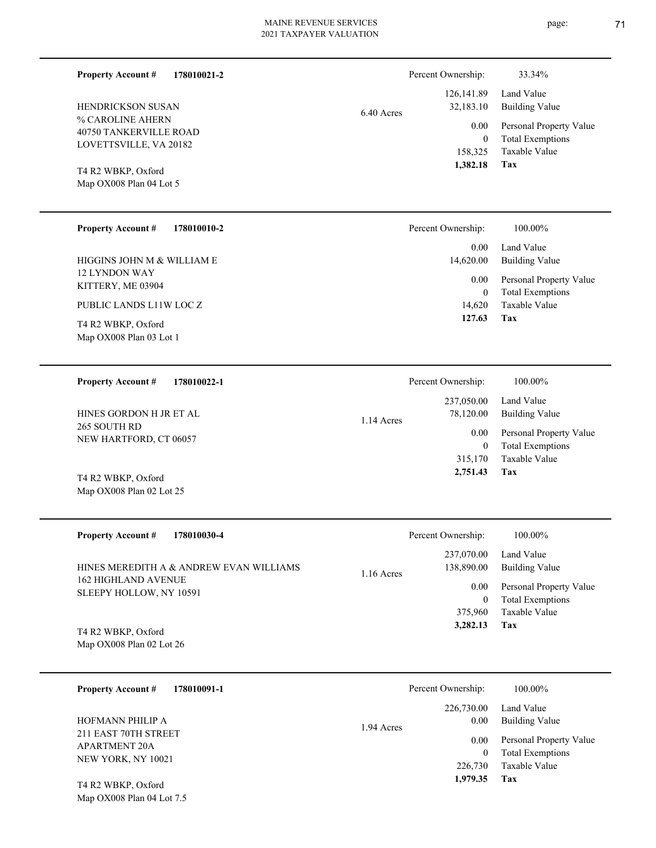| <b>Property Account #</b>                                                                                                                                | 178010021-2 |            | Percent Ownership:                                                      | 33.34%                                                                                                                   |
|----------------------------------------------------------------------------------------------------------------------------------------------------------|-------------|------------|-------------------------------------------------------------------------|--------------------------------------------------------------------------------------------------------------------------|
| <b>HENDRICKSON SUSAN</b><br>% CAROLINE AHERN<br><b>40750 TANKERVILLE ROAD</b><br>LOVETTSVILLE, VA 20182<br>T4 R2 WBKP, Oxford<br>Map OX008 Plan 04 Lot 5 |             | 6.40 Acres | 126, 141.89<br>32,183.10<br>0.00<br>$\mathbf{0}$<br>158,325<br>1,382.18 | Land Value<br><b>Building Value</b><br>Personal Property Value<br><b>Total Exemptions</b><br><b>Taxable Value</b><br>Tax |
| <b>Property Account #</b>                                                                                                                                | 178010010-2 |            | Percent Ownership:                                                      | 100.00%                                                                                                                  |
| HIGGINS JOHN M & WILLIAM E<br><b>12 LYNDON WAY</b>                                                                                                       |             |            | 0.00<br>14,620.00<br>0.00                                               | Land Value<br><b>Building Value</b><br>Personal Property Value                                                           |
| KITTERY, ME 03904<br>PUBLIC LANDS L11W LOC Z                                                                                                             |             |            | $\mathbf{0}$<br>14,620                                                  | <b>Total Exemptions</b><br><b>Taxable Value</b>                                                                          |
| T4 R2 WBKP, Oxford<br>Map OX008 Plan 03 Lot 1                                                                                                            |             |            | 127.63                                                                  | Tax                                                                                                                      |
| <b>Property Account #</b>                                                                                                                                | 178010022-1 |            | Percent Ownership:                                                      | 100.00%                                                                                                                  |
| HINES GORDON H JR ET AL                                                                                                                                  |             | 1.14 Acres | 237,050.00<br>78,120.00                                                 | Land Value<br><b>Building Value</b>                                                                                      |
| 265 SOUTH RD<br>NEW HARTFORD, CT 06057                                                                                                                   |             |            | 0.00<br>$\theta$<br>315,170                                             | Personal Property Value<br><b>Total Exemptions</b><br><b>Taxable Value</b>                                               |

Map OX008 Plan 02 Lot 25 T4 R2 WBKP, Oxford

| <b>Property Account #</b><br>178010030-4                                                  | Percent Ownership:                       | 100.00%                                            |
|-------------------------------------------------------------------------------------------|------------------------------------------|----------------------------------------------------|
| HINES MEREDITH A & ANDREW EVAN WILLIAMS<br>162 HIGHLAND AVENUE<br>SLEEPY HOLLOW, NY 10591 | 237,070.00<br>138,890.00<br>$1.16$ Acres | Land Value<br>Building Value                       |
|                                                                                           | 0.00                                     | Personal Property Value<br><b>Total Exemptions</b> |
|                                                                                           | 375,960                                  | Taxable Value                                      |
| T4 R2 WBKP, Oxford                                                                        | 3,282.13                                 | Tax                                                |

Map OX008 Plan 02 Lot 26

Map OX008 Plan 04 Lot 7.5

| <b>Property Account #</b><br>178010091-1     | Percent Ownership: | 100.00%                 |
|----------------------------------------------|--------------------|-------------------------|
|                                              | 226,730.00         | Land Value              |
| HOFMANN PHILIP A                             | 0.00<br>1.94 Acres | Building Value          |
| 211 EAST 70TH STREET<br><b>APARTMENT 20A</b> | 0.00               | Personal Property Value |
| NEW YORK, NY 10021                           | $\theta$           | <b>Total Exemptions</b> |
|                                              | 226,730            | Taxable Value           |
| T4 R2 WBKP, Oxford                           | 1,979.35           | Tax                     |

page: 71

**Tax 2,751.43**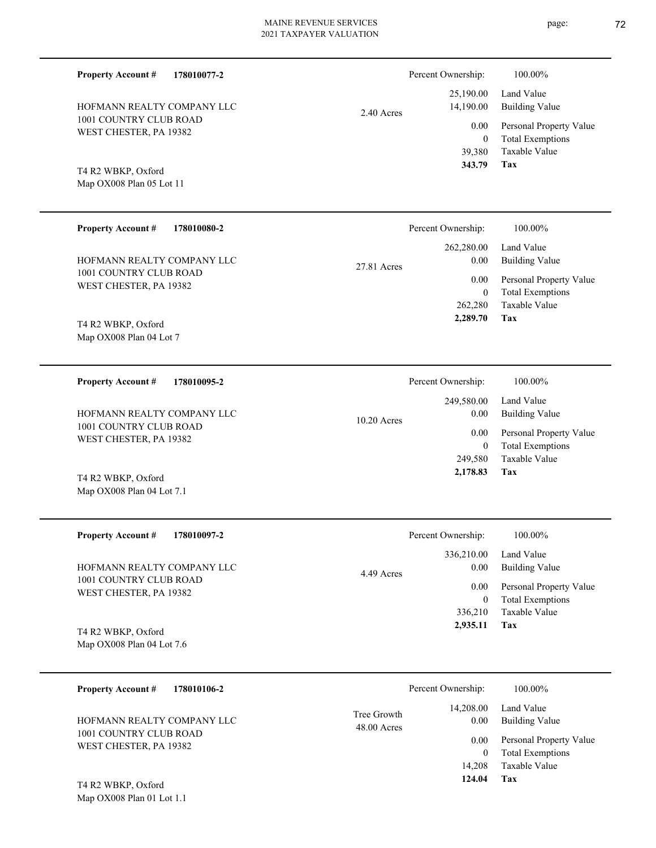| <b>Property Account #</b>  | 2.40 Acres  | Percent Ownership: | 100.00%                 |
|----------------------------|-------------|--------------------|-------------------------|
| 178010077-2                |             | 25,190.00          | Land Value              |
| HOFMANN REALTY COMPANY LLC |             | 14,190.00          | <b>Building Value</b>   |
| 1001 COUNTRY CLUB ROAD     |             | 0.00               | Personal Property Value |
| WEST CHESTER, PA 19382     |             | $\boldsymbol{0}$   | <b>Total Exemptions</b> |
| T4 R2 WBKP, Oxford         |             | 39,380             | Taxable Value           |
| Map OX008 Plan 05 Lot 11   |             | 343.79             | <b>Tax</b>              |
| <b>Property Account #</b>  | 27.81 Acres | Percent Ownership: | 100.00%                 |
| 178010080-2                |             | 262,280.00         | Land Value              |
| HOFMANN REALTY COMPANY LLC |             | 0.00               | <b>Building Value</b>   |
| 1001 COUNTRY CLUB ROAD     |             | 0.00               | Personal Property Value |
| WEST CHESTER, PA 19382     |             | $\boldsymbol{0}$   | <b>Total Exemptions</b> |
| T4 R2 WBKP, Oxford         |             | 262,280            | Taxable Value           |
| Map OX008 Plan 04 Lot 7    |             | 2,289.70           | Tax                     |
| <b>Property Account #</b>  | 10.20 Acres | Percent Ownership: | 100.00%                 |
| 178010095-2                |             | 249,580.00         | Land Value              |
| HOFMANN REALTY COMPANY LLC |             | 0.00               | <b>Building Value</b>   |
| 1001 COUNTRY CLUB ROAD     |             | 0.00               | Personal Property Value |
| WEST CHESTER, PA 19382     |             | $\mathbf{0}$       | <b>Total Exemptions</b> |
| T4 R2 WBKP, Oxford         |             | 249,580            | Taxable Value           |
| Map OX008 Plan 04 Lot 7.1  |             | 2,178.83           | Tax                     |
| <b>Property Account #</b>  | 4.49 Acres  | Percent Ownership: | 100.00%                 |
| 178010097-2                |             | 336,210.00         | Land Value              |
| HOFMANN REALTY COMPANY LLC |             | 0.00               | <b>Building Value</b>   |
| 1001 COUNTRY CLUB ROAD     |             | 0.00               | Personal Property Value |
| WEST CHESTER, PA 19382     |             | $\mathbf{0}$       | <b>Total Exemptions</b> |
| T4 R2 WBKP, Oxford         |             | 336,210            | Taxable Value           |
| Map OX008 Plan 04 Lot 7.6  |             | 2,935.11           | Tax                     |
| <b>Property Account #</b>  | Tree Growth | Percent Ownership: | 100.00%                 |
| 178010106-2                |             | 14,208.00          | Land Value              |

|                              | Percent Ownership: | 100.00%                 |
|------------------------------|--------------------|-------------------------|
| Tree Growth<br>$48.00$ Acres |                    | 14,208.00 Land Value    |
|                              | 0.00               | <b>Building Value</b>   |
|                              | 0.00               | Personal Property Value |
|                              | 0                  | <b>Total Exemptions</b> |
|                              | 14,208             | Taxable Value           |
|                              | 124.04             | Tax                     |
|                              |                    |                         |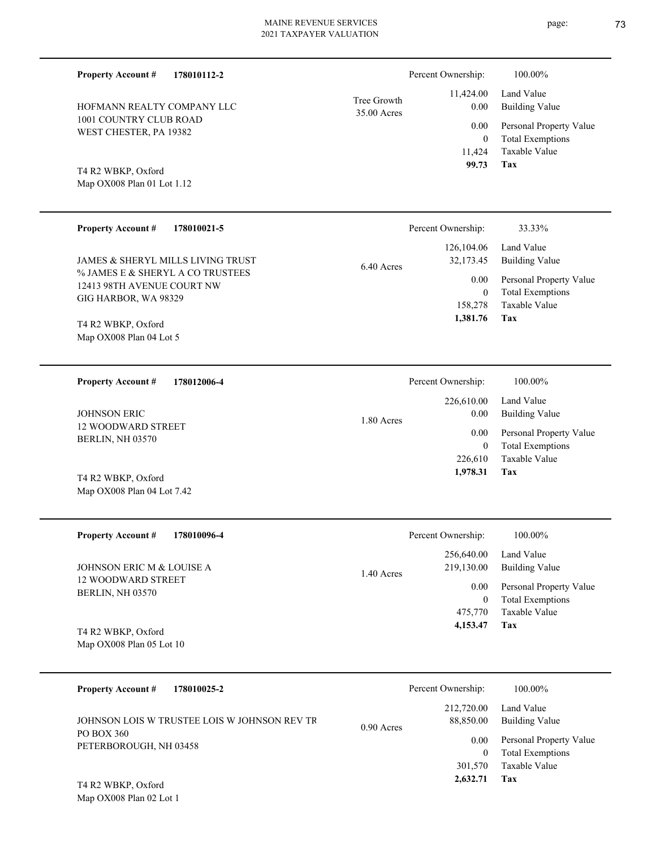| <b>Property Account #</b><br>178010112-2                       |                            | Percent Ownership:                | 100.00%                                            |
|----------------------------------------------------------------|----------------------------|-----------------------------------|----------------------------------------------------|
| HOFMANN REALTY COMPANY LLC                                     | Tree Growth<br>35.00 Acres | 11,424.00<br>0.00                 | Land Value<br><b>Building Value</b>                |
| 1001 COUNTRY CLUB ROAD<br>WEST CHESTER, PA 19382               |                            | 0.00                              | Personal Property Value                            |
| T4 R2 WBKP, Oxford<br>Map OX008 Plan 01 Lot 1.12               |                            | $\overline{0}$<br>11,424<br>99.73 | <b>Total Exemptions</b><br>Taxable Value<br>Tax    |
| <b>Property Account #</b><br>178010021-5                       |                            | Percent Ownership:                | 33.33%                                             |
| JAMES & SHERYL MILLS LIVING TRUST                              | 6.40 Acres                 | 126,104.06<br>32,173.45           | Land Value<br><b>Building Value</b>                |
| % JAMES E & SHERYL A CO TRUSTEES<br>12413 98TH AVENUE COURT NW |                            | 0.00<br>$\overline{0}$            | Personal Property Value<br><b>Total Exemptions</b> |
| GIG HARBOR, WA 98329                                           |                            | 158,278                           | Taxable Value                                      |
| T4 R2 WBKP, Oxford<br>Map OX008 Plan 04 Lot 5                  |                            | 1,381.76                          | Tax                                                |
|                                                                |                            |                                   |                                                    |
| <b>Property Account #</b><br>178012006-4                       |                            | Percent Ownership:                | 100.00%                                            |
| <b>JOHNSON ERIC</b>                                            |                            | 226,610.00<br>0.00                | Land Value<br><b>Building Value</b>                |
| 12 WOODWARD STREET<br>BERLIN, NH 03570                         | 1.80 Acres                 | 0.00                              | Personal Property Value                            |
|                                                                |                            | $\theta$<br>226,610               | <b>Total Exemptions</b><br>Taxable Value           |
| T4 R2 WBKP, Oxford                                             |                            | 1,978.31                          | Tax                                                |
| Map OX008 Plan 04 Lot 7.42                                     |                            |                                   |                                                    |
| <b>Property Account #</b><br>178010096-4                       |                            | Percent Ownership:                | $100.00\%$                                         |
| JOHNSON ERIC M & LOUISE A                                      |                            | 256,640.00<br>219,130.00          | Land Value<br><b>Building Value</b>                |
| 12 WOODWARD STREET                                             | 1.40 Acres                 | 0.00                              | Personal Property Value                            |
| BERLIN, NH 03570                                               |                            | $\boldsymbol{0}$<br>475,770       | <b>Total Exemptions</b><br>Taxable Value           |
| T4 R2 WBKP, Oxford                                             |                            | 4,153.47                          | Tax                                                |
| Map OX008 Plan 05 Lot 10                                       |                            |                                   |                                                    |
| <b>Property Account #</b><br>178010025-2                       |                            | Percent Ownership:                | 100.00%                                            |
| JOHNSON LOIS W TRUSTEE LOIS W JOHNSON REV TR                   |                            | 212,720.00<br>88,850.00           | Land Value<br><b>Building Value</b>                |
| PO BOX 360<br>PETERBOROUGH, NH 03458                           | 0.90 Acres                 | 0.00                              | Personal Property Value                            |
|                                                                |                            | $\boldsymbol{0}$<br>301,570       | <b>Total Exemptions</b><br>Taxable Value           |

**Tax 2,632.71**

Map OX008 Plan 02 Lot 1 T4 R2 WBKP, Oxford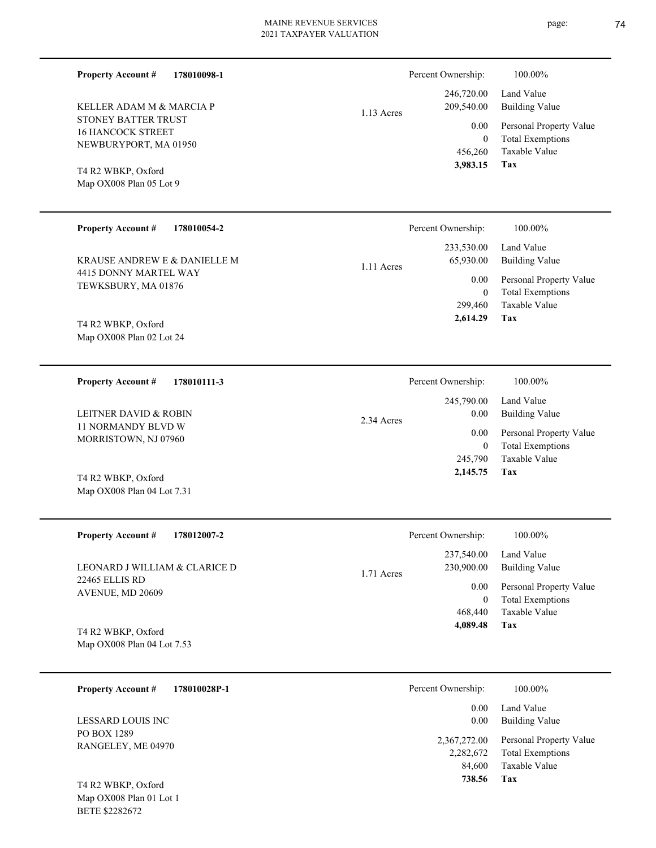**178010098-1** KELLER ADAM M & MARCIA P 1.13 Acres **178010054-2** Percent Ownership:  $100.00\%$ 

1.11 Acres

4415 DONNY MARTEL WAY TEWKSBURY, MA 01876 KRAUSE ANDREW E & DANIELLE M

Map OX008 Plan 02 Lot 24 T4 R2 WBKP, Oxford

STONEY BATTER TRUST 16 HANCOCK STREET NEWBURYPORT, MA 01950

Map OX008 Plan 05 Lot 9 T4 R2 WBKP, Oxford

**Property Account #**

**Property Account #**

**178010111-3 Property Account #**

11 NORMANDY BLVD W MORRISTOWN, NJ 07960 LEITNER DAVID & ROBIN

Map OX008 Plan 04 Lot 7.31 T4 R2 WBKP, Oxford

| <b>Property Account #</b><br>178012007-2  | Percent Ownership:         | 100.00%                 |
|-------------------------------------------|----------------------------|-------------------------|
|                                           | 237,540.00                 | Land Value              |
| LEONARD J WILLIAM & CLARICE D             | 230,900.00<br>$1.71$ Acres | Building Value          |
| <b>22465 ELLIS RD</b><br>AVENUE, MD 20609 | 0.00                       | Personal Property Value |
|                                           | $\overline{0}$             | <b>Total Exemptions</b> |
|                                           | 468,440                    | Taxable Value           |
| T4 R2 WBKP, Oxford                        | 4,089.48                   | Tax                     |
| Map OX008 Plan 04 Lot 7.53                |                            |                         |

| 178010028P-1<br><b>Property Account #</b> | Percent Ownership:                  | 100.00%                                                             |
|-------------------------------------------|-------------------------------------|---------------------------------------------------------------------|
| LESSARD LOUIS INC                         | 0.00<br>0.00                        | Land Value<br><b>Building Value</b>                                 |
| PO BOX 1289<br>RANGELEY, ME 04970         | 2,367,272.00<br>2,282,672<br>84,600 | Personal Property Value<br><b>Total Exemptions</b><br>Taxable Value |
| T4 R2 WBKP, Oxford                        | 738.56                              | Tax                                                                 |

Map OX008 Plan 01 Lot 1 BETE \$2282672

| Percent Ownership: | 100.00%                 |
|--------------------|-------------------------|
| 246,720.00         | Land Value              |
| 209,540.00         | <b>Building Value</b>   |
| 0.00               | Personal Property Value |
| 0                  | <b>Total Exemptions</b> |
| 456,260            | Taxable Value           |
| 3,983.15           | Tax                     |

|            | Percent Ownership:            | 100.00%                 |
|------------|-------------------------------|-------------------------|
|            | 245,790.00 Land Value<br>0.00 | <b>Building Value</b>   |
| 2.34 Acres | 0.00                          | Personal Property Value |
|            | 0                             | <b>Total Exemptions</b> |
|            | 245,790                       | Taxable Value           |
|            | 2,145.75                      | Tax                     |

**Tax**

 299,460 0

0.00

 233,530.00 65,930.00

 **2,614.29**

Taxable Value Total Exemptions Personal Property Value

Building Value Land Value

|          | Percent Ownership: | 100.00%                 |
|----------|--------------------|-------------------------|
|          | 237,540.00         | Land Value              |
| 71 Acres | 230,900.00         | Building Value          |
|          | 0.00               | Personal Property Value |
|          | $\theta$           | <b>Total Exemptions</b> |
|          | 468,440            | Taxable Value           |
|          | 4,089.48           | Tax                     |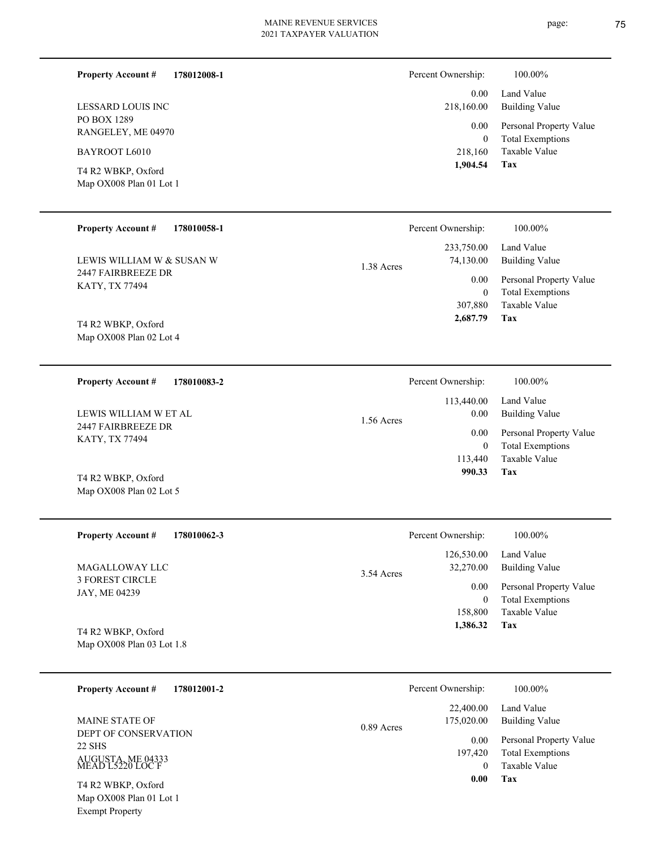page: 75

| <b>Property Account #</b><br>178012008-1      | Percent Ownership:                    | 100.00%                                                                      |
|-----------------------------------------------|---------------------------------------|------------------------------------------------------------------------------|
| LESSARD LOUIS INC                             | 218,160.00                            | Land Value<br>0.00<br><b>Building Value</b>                                  |
| PO BOX 1289<br>RANGELEY, ME 04970             |                                       | Personal Property Value<br>0.00<br><b>Total Exemptions</b><br>$\overline{0}$ |
| BAYROOT L6010                                 | 218,160                               | Taxable Value                                                                |
| T4 R2 WBKP, Oxford<br>Map OX008 Plan 01 Lot 1 | 1,904.54                              | Tax                                                                          |
| <b>Property Account #</b><br>178010058-1      | Percent Ownership:                    | 100.00%                                                                      |
| LEWIS WILLIAM W & SUSAN W                     | 233,750.00<br>74,130.00<br>1.38 Acres | Land Value<br><b>Building Value</b>                                          |
| 2447 FAIRBREEZE DR<br>KATY, TX 77494          |                                       | Personal Property Value<br>0.00                                              |
|                                               | 307,880                               | <b>Total Exemptions</b><br>$\boldsymbol{0}$<br>Taxable Value                 |
| T4 R2 WBKP, Oxford<br>Map OX008 Plan 02 Lot 4 | 2,687.79                              | Tax                                                                          |
| <b>Property Account #</b><br>178010083-2      | Percent Ownership:                    | 100.00%                                                                      |
|                                               | 113,440.00                            | Land Value                                                                   |
| LEWIS WILLIAM W ET AL<br>2447 FAIRBREEZE DR   | 1.56 Acres                            | <b>Building Value</b><br>0.00<br>Personal Property Value<br>0.00             |
| KATY, TX 77494                                | 113,440                               | <b>Total Exemptions</b><br>$\boldsymbol{0}$<br>Taxable Value                 |
| T4 R2 WBKP, Oxford                            |                                       | 990.33<br>Tax                                                                |
| Map OX008 Plan 02 Lot 5                       |                                       |                                                                              |
| <b>Property Account #</b><br>178010062-3      | Percent Ownership:                    | 100.00%                                                                      |
| <b>MAGALLOWAY LLC</b>                         | 126,530.00<br>32,270.00               | Land Value<br><b>Building Value</b>                                          |
| <b>3 FOREST CIRCLE</b><br>JAY, ME 04239       | 3.54 Acres                            | 0.00<br>Personal Property Value                                              |
|                                               | 158,800                               | <b>Total Exemptions</b><br>$\boldsymbol{0}$<br>Taxable Value                 |
| T4 R2 WBKP, Oxford                            | 1,386.32                              | Tax                                                                          |
| Map OX008 Plan 03 Lot 1.8                     |                                       |                                                                              |
| 178012001-2<br><b>Property Account #</b>      | Percent Ownership:                    | 100.00%                                                                      |
| <b>MAINE STATE OF</b>                         | 22,400.00<br>175,020.00<br>0.89 Acres | Land Value<br><b>Building Value</b>                                          |
| DEPT OF CONSERVATION<br>22 SHS                | 197,420                               | Personal Property Value<br>0.00<br><b>Total Exemptions</b>                   |
| AUGUSTA, ME 04333<br>MEAD L5220 LOC F         |                                       | Taxable Value<br>$\overline{0}$                                              |
| T4 R2 WBKP, Oxford<br>Map OX008 Plan 01 Lot 1 |                                       | 0.00<br>Tax                                                                  |
| <b>Exempt Property</b>                        |                                       |                                                                              |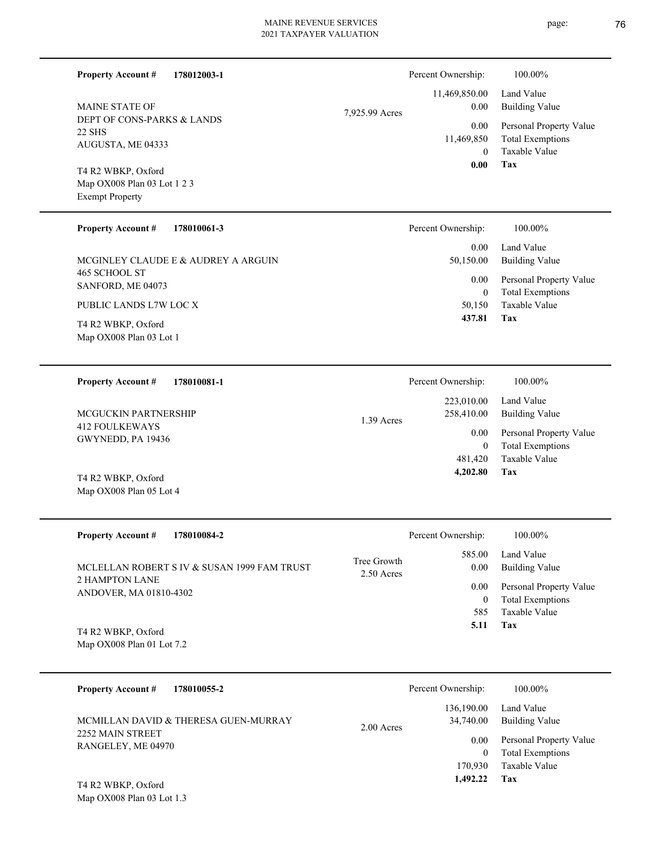| 178012003-1<br><b>Property Account #</b>                                    |                           | Percent Ownership:                 | 100.00%                                                             |
|-----------------------------------------------------------------------------|---------------------------|------------------------------------|---------------------------------------------------------------------|
| MAINE STATE OF                                                              | 7,925.99 Acres            | 11,469,850.00<br>0.00              | Land Value<br><b>Building Value</b>                                 |
| DEPT OF CONS-PARKS & LANDS<br><b>22 SHS</b><br>AUGUSTA, ME 04333            |                           | 0.00<br>11,469,850<br>$\mathbf{0}$ | Personal Property Value<br><b>Total Exemptions</b><br>Taxable Value |
| T4 R2 WBKP, Oxford<br>Map OX008 Plan 03 Lot 1 2 3<br><b>Exempt Property</b> |                           | 0.00                               | Tax                                                                 |
| <b>Property Account #</b><br>178010061-3                                    |                           | Percent Ownership:                 | 100.00%                                                             |
| MCGINLEY CLAUDE E & AUDREY A ARGUIN                                         |                           | 0.00<br>50,150.00                  | Land Value<br><b>Building Value</b>                                 |
| 465 SCHOOL ST<br>SANFORD, ME 04073                                          |                           | 0.00<br>$\boldsymbol{0}$           | Personal Property Value<br><b>Total Exemptions</b>                  |
| PUBLIC LANDS L7W LOC X<br>T4 R2 WBKP, Oxford                                |                           | 50,150<br>437.81                   | Taxable Value<br>Tax                                                |
| Map OX008 Plan 03 Lot 1                                                     |                           |                                    |                                                                     |
| <b>Property Account #</b><br>178010081-1                                    |                           | Percent Ownership:                 | 100.00%                                                             |
| MCGUCKIN PARTNERSHIP                                                        | 1.39 Acres                | 223,010.00<br>258,410.00           | Land Value<br><b>Building Value</b>                                 |
| <b>412 FOULKEWAYS</b><br>GWYNEDD, PA 19436                                  |                           | 0.00<br>$\boldsymbol{0}$           | Personal Property Value<br><b>Total Exemptions</b>                  |
| T4 R2 WBKP, Oxford<br>Map OX008 Plan 05 Lot 4                               |                           | 481,420<br>4,202.80                | Taxable Value<br>Tax                                                |
| <b>Property Account #</b><br>178010084-2                                    |                           | Percent Ownership:                 | 100.00%                                                             |
| MCLELLAN ROBERT S IV & SUSAN 1999 FAM TRUST                                 | Tree Growth<br>2.50 Acres | 585.00<br>0.00                     | Land Value<br><b>Building Value</b>                                 |
| 2 HAMPTON LANE<br>ANDOVER, MA 01810-4302                                    |                           | 0.00<br>$\boldsymbol{0}$           | Personal Property Value<br><b>Total Exemptions</b>                  |
| T4 R2 WBKP, Oxford<br>Map OX008 Plan 01 Lot 7.2                             |                           | 585<br>5.11                        | Taxable Value<br>Tax                                                |
| <b>Property Account #</b><br>178010055-2                                    |                           | Percent Ownership:                 | 100.00%                                                             |
| MCMILLAN DAVID & THERESA GUEN-MURRAY                                        |                           | 136,190.00<br>34,740.00            | Land Value<br><b>Building Value</b>                                 |
| 2252 MAIN STREET<br>RANGELEY, ME 04970                                      | 2.00 Acres                | 0.00<br>$\mathbf{0}$               | Personal Property Value<br><b>Total Exemptions</b>                  |
| T4 R2 WBKP, Oxford                                                          |                           | 170,930<br>1,492.22                | Taxable Value<br>Tax                                                |
| Man $OY008$ Plan 03 Lot 1.3                                                 |                           |                                    |                                                                     |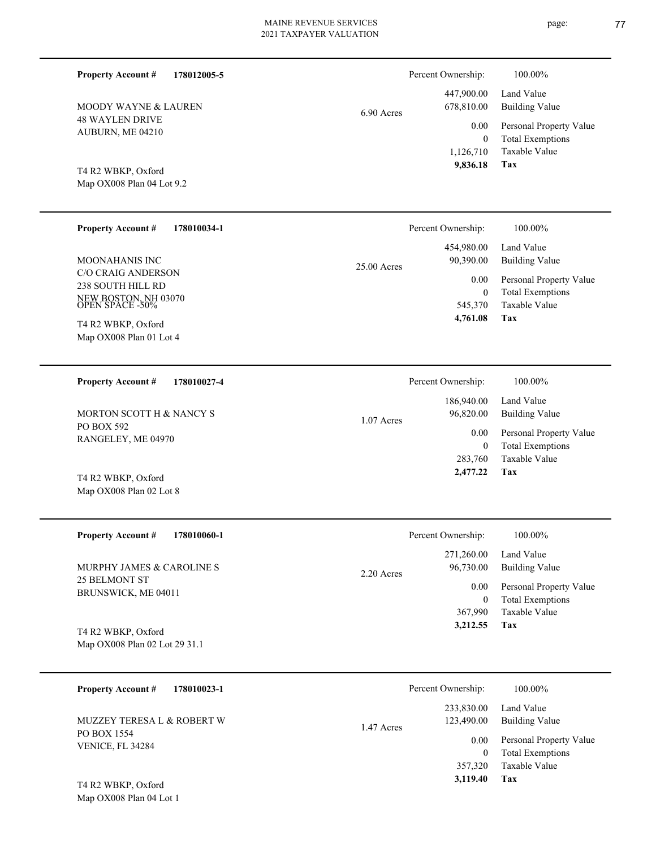| <b>Property Account #</b><br>178012005-5                                                                                            |             | Percent Ownership:                              | 100.00%                                                                    |
|-------------------------------------------------------------------------------------------------------------------------------------|-------------|-------------------------------------------------|----------------------------------------------------------------------------|
| MOODY WAYNE & LAUREN                                                                                                                | 6.90 Acres  | 447,900.00<br>678,810.00                        | Land Value<br><b>Building Value</b>                                        |
| <b>48 WAYLEN DRIVE</b><br>AUBURN, ME 04210<br>T4 R2 WBKP, Oxford<br>Map OX008 Plan 04 Lot 9.2                                       |             | 0.00<br>$\mathbf{0}$<br>1,126,710<br>9,836.18   | Personal Property Value<br><b>Total Exemptions</b><br>Taxable Value<br>Tax |
|                                                                                                                                     |             |                                                 |                                                                            |
| <b>Property Account #</b><br>178010034-1                                                                                            |             | Percent Ownership:                              | 100.00%                                                                    |
| MOONAHANIS INC                                                                                                                      | 25.00 Acres | 454,980.00<br>90,390.00                         | Land Value<br><b>Building Value</b>                                        |
| C/O CRAIG ANDERSON<br>238 SOUTH HILL RD<br>NEW BOSTON, NH 03070<br>OPEN SPACE -50%<br>T4 R2 WBKP, Oxford<br>Map OX008 Plan 01 Lot 4 |             | 0.00<br>$\boldsymbol{0}$<br>545,370<br>4,761.08 | Personal Property Value<br><b>Total Exemptions</b><br>Taxable Value<br>Tax |
| <b>Property Account #</b><br>178010027-4                                                                                            |             | Percent Ownership:                              | 100.00%                                                                    |
| MORTON SCOTT H & NANCY S                                                                                                            | 1.07 Acres  | 186,940.00<br>96,820.00                         | Land Value<br><b>Building Value</b>                                        |
| PO BOX 592<br>RANGELEY, ME 04970                                                                                                    |             | 0.00<br>$\mathbf{0}$<br>283,760                 | Personal Property Value<br><b>Total Exemptions</b><br>Taxable Value        |
| T4 R2 WBKP, Oxford<br>Map OX008 Plan 02 Lot 8                                                                                       |             | 2,477.22                                        | Tax                                                                        |
| <b>Property Account #</b><br>178010060-1                                                                                            |             | Percent Ownership:                              | 100.00%                                                                    |
| MURPHY JAMES & CAROLINE S                                                                                                           | 2.20 Acres  | 271,260.00<br>96,730.00                         | Land Value<br><b>Building Value</b>                                        |
| 25 BELMONT ST<br>BRUNSWICK, ME 04011                                                                                                |             | 0.00<br>$\bf{0}$<br>367,990<br>3,212.55         | Personal Property Value<br><b>Total Exemptions</b><br>Taxable Value<br>Tax |
| T4 R2 WBKP, Oxford<br>Map OX008 Plan 02 Lot 29 31.1                                                                                 |             |                                                 |                                                                            |
| <b>Property Account #</b><br>178010023-1                                                                                            |             | Percent Ownership:                              | 100.00%                                                                    |
| MUZZEY TERESA L & ROBERT W                                                                                                          | 1.47 Acres  | 233,830.00<br>123,490.00                        | Land Value<br><b>Building Value</b>                                        |
| PO BOX 1554                                                                                                                         |             |                                                 |                                                                            |

Map OX008 Plan 04 Lot 1 T4 R2 WBKP, Oxford

VENICE, FL 34284

page: 77

**Tax**

 357,320  **3,119.40**

Taxable Value 0 Total Exemptions 0.00 Personal Property Value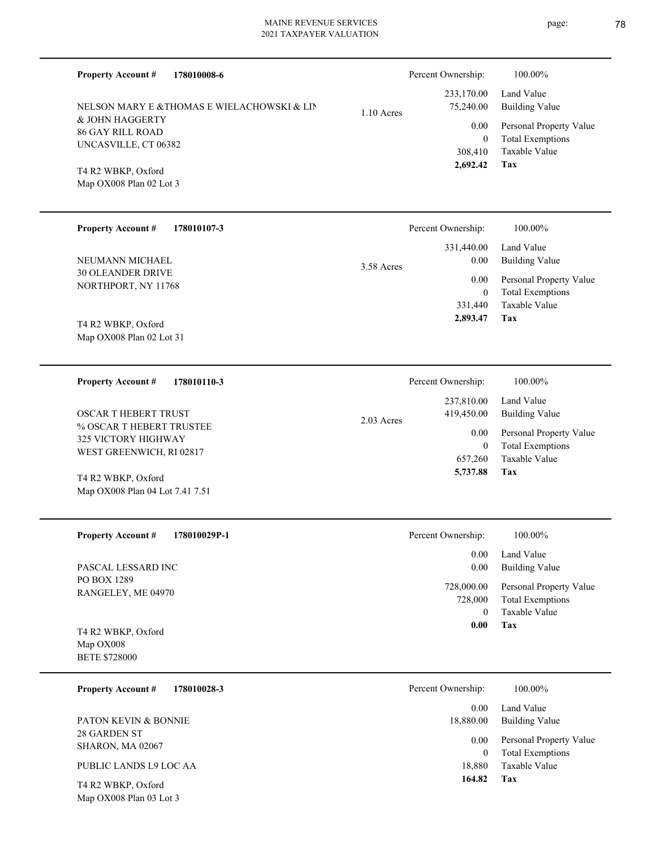| 178010008-6<br><b>Property Account #</b>              |              | Percent Ownership:        | 100.00%                                            |
|-------------------------------------------------------|--------------|---------------------------|----------------------------------------------------|
| NELSON MARY E &THOMAS E WIELACHOWSKI & LIN            | $1.10$ Acres | 233,170.00<br>75,240.00   | Land Value<br><b>Building Value</b>                |
| & JOHN HAGGERTY                                       |              | 0.00                      | Personal Property Value                            |
| <b>86 GAY RILL ROAD</b><br>UNCASVILLE, CT 06382       |              | $\overline{0}$            | <b>Total Exemptions</b>                            |
|                                                       |              | 308,410<br>2,692.42       | Taxable Value<br>Tax                               |
| T4 R2 WBKP, Oxford<br>Map OX008 Plan 02 Lot 3         |              |                           |                                                    |
|                                                       |              |                           |                                                    |
| <b>Property Account #</b><br>178010107-3              |              | Percent Ownership:        | 100.00%                                            |
|                                                       |              | 331,440.00                | Land Value                                         |
| NEUMANN MICHAEL<br><b>30 OLEANDER DRIVE</b>           | 3.58 Acres   | 0.00                      | <b>Building Value</b>                              |
| NORTHPORT, NY 11768                                   |              | 0.00                      | Personal Property Value                            |
|                                                       |              | $\overline{0}$<br>331,440 | <b>Total Exemptions</b><br><b>Taxable Value</b>    |
| T4 R2 WBKP, Oxford                                    |              | 2,893.47                  | Tax                                                |
| Map OX008 Plan 02 Lot 31                              |              |                           |                                                    |
| <b>Property Account #</b><br>178010110-3              |              | Percent Ownership:        | 100.00%                                            |
|                                                       |              | 237,810.00                | Land Value                                         |
| <b>OSCAR T HEBERT TRUST</b>                           | 2.03 Acres   | 419,450.00                | <b>Building Value</b>                              |
| % OSCAR T HEBERT TRUSTEE<br>325 VICTORY HIGHWAY       |              | 0.00                      | Personal Property Value                            |
| WEST GREENWICH, RI 02817                              |              | $\overline{0}$            | <b>Total Exemptions</b><br><b>Taxable Value</b>    |
|                                                       |              | 657,260<br>5,737.88       | Tax                                                |
| T4 R2 WBKP, Oxford<br>Map OX008 Plan 04 Lot 7.41 7.51 |              |                           |                                                    |
|                                                       |              |                           |                                                    |
| <b>Property Account #</b><br>178010029P-1             |              | Percent Ownership:        | 100.00%                                            |
|                                                       |              | 0.00                      | Land Value                                         |
| PASCAL LESSARD INC<br>PO BOX 1289                     |              | 0.00                      | <b>Building Value</b>                              |
| RANGELEY, ME 04970                                    |              | 728,000.00<br>728,000     | Personal Property Value<br><b>Total Exemptions</b> |
|                                                       |              | $\overline{0}$            | Taxable Value                                      |
| T4 R2 WBKP, Oxford                                    |              | 0.00                      | Tax                                                |
| Map OX008                                             |              |                           |                                                    |
| <b>BETE \$728000</b>                                  |              |                           |                                                    |
| <b>Property Account #</b><br>178010028-3              |              | Percent Ownership:        | 100.00%                                            |
| PATON KEVIN & BONNIE                                  |              | 0.00<br>18,880.00         | Land Value<br><b>Building Value</b>                |
| 28 GARDEN ST                                          |              | 0.00                      | Personal Property Value                            |
| SHARON, MA 02067                                      |              | $\mathbf{0}$              | <b>Total Exemptions</b>                            |
| PUBLIC LANDS L9 LOC AA                                |              | 18,880<br>164.82          | Taxable Value<br>Tax                               |
| $TA$ D2 WBVD $Ov$ ford                                |              |                           |                                                    |

Map OX008 Plan 03 Lot 3 T4 R2 WBKP, Oxford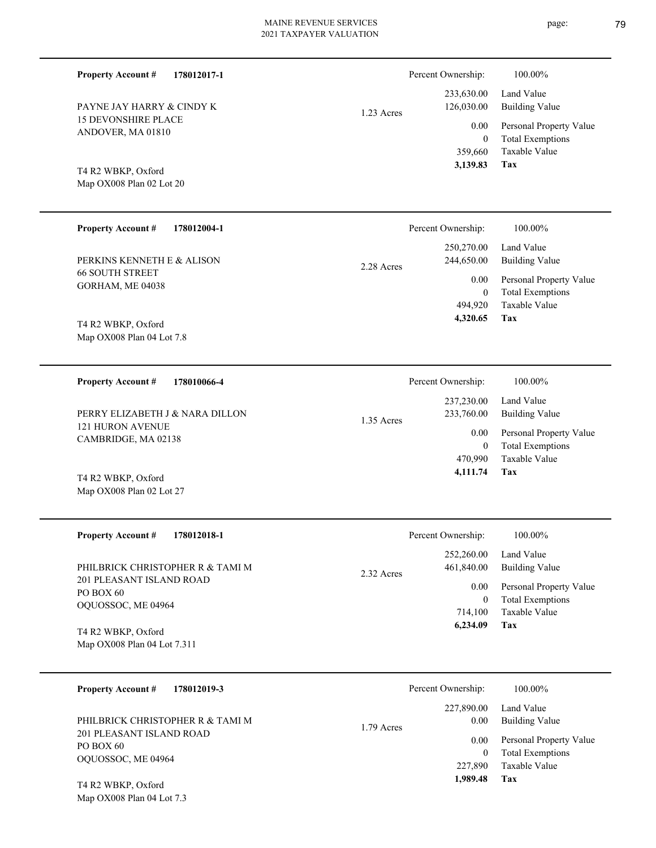15 DEVONSHIRE PLACE ANDOVER, MA 01810 PAYNE JAY HARRY & CINDY K

**178012017-1**

# 1.23 Acres

|            | 233,630.00 Land Value        |
|------------|------------------------------|
| 126,030.00 | Building Value               |
|            | 0.00 Personal Property Value |
| $\theta$   | <b>Total Exemptions</b>      |
|            | 359,660 Taxable Value        |
| 3,139.83   | Tax                          |

Percent Ownership:  $100.00\%$ 

Map OX008 Plan 02 Lot 20 T4 R2 WBKP, Oxford

Map OX008 Plan 02 Lot 27

Map OX008 Plan 04 Lot 7.3

**Property Account #**

| <b>Property Account #</b><br>178012004-1             | Percent Ownership:                     | 100.00%                             |
|------------------------------------------------------|----------------------------------------|-------------------------------------|
| PERKINS KENNETH E & ALISON<br><b>66 SOUTH STREET</b> | 250,270.00<br>244,650.00<br>2.28 Acres | Land Value<br><b>Building Value</b> |
|                                                      | 0.00                                   | Personal Property Value             |
| GORHAM, ME 04038                                     | $\mathbf{0}$                           | <b>Total Exemptions</b>             |
|                                                      | 494,920                                | Taxable Value                       |
| T4 R2 WBKP, Oxford                                   | 4,320.65                               | Tax                                 |
| Map OX008 Plan 04 Lot 7.8                            |                                        |                                     |

**178010066-4 Tax** Taxable Value Total Exemptions Personal Property Value Building Value Land Value 121 HURON AVENUE CAMBRIDGE, MA 02138 **Property Account #** T4 R2 WBKP, Oxford PERRY ELIZABETH J & NARA DILLON 470,990 0  **4,111.74** 237,230.00 233,760.00 0.00 1.35 Acres Percent Ownership:  $100.00\%$ 

| <b>Property Account #</b><br>178012018-1                    | Percent Ownership:                     | 100.00%                                                             |
|-------------------------------------------------------------|----------------------------------------|---------------------------------------------------------------------|
| PHILBRICK CHRISTOPHER R & TAMI M                            | 252,260.00<br>461,840.00<br>2.32 Acres | Land Value<br>Building Value                                        |
| 201 PLEASANT ISLAND ROAD<br>PO BOX 60<br>OQUOSSOC, ME 04964 | 0.00<br>$\overline{0}$<br>714.100      | Personal Property Value<br><b>Total Exemptions</b><br>Taxable Value |
| T4 R2 WBKP, Oxford<br>Map OX008 Plan 04 Lot 7.311           | 6.234.09                               | Tax                                                                 |

| 178012019-3<br><b>Property Account #</b>                     | Percent Ownership:               | 100.00%                                                             |
|--------------------------------------------------------------|----------------------------------|---------------------------------------------------------------------|
| PHILBRICK CHRISTOPHER R & TAMI M<br>201 PLEASANT ISLAND ROAD | 227,890.00<br>0.00<br>1.79 Acres | Land Value<br>Building Value                                        |
| PO BOX 60<br>OQUOSSOC, ME 04964                              | 0.00<br>$\theta$<br>227,890      | Personal Property Value<br><b>Total Exemptions</b><br>Taxable Value |
| T4 R2 WBKP, Oxford                                           | 1,989.48                         | Tax                                                                 |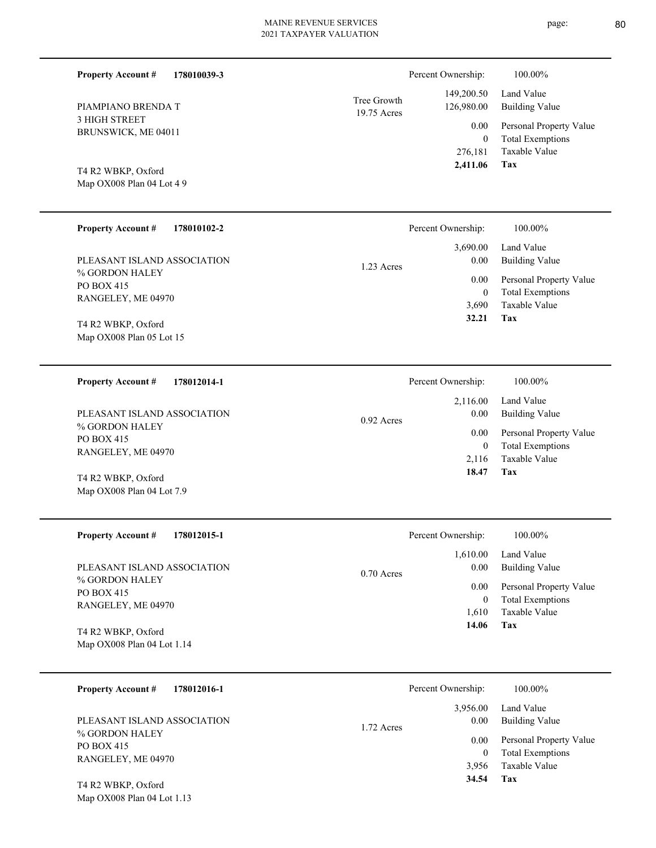| <b>Property Account #</b><br>178010039-3 |                            | Percent Ownership:        | 100.00%                                            |
|------------------------------------------|----------------------------|---------------------------|----------------------------------------------------|
| PIAMPIANO BRENDA T                       | Tree Growth<br>19.75 Acres | 149,200.50<br>126,980.00  | Land Value<br><b>Building Value</b>                |
| 3 HIGH STREET<br>BRUNSWICK, ME 04011     |                            | 0.00<br>$\mathbf{0}$      | Personal Property Value<br><b>Total Exemptions</b> |
| T4 R2 WBKP, Oxford                       |                            | 276,181<br>2,411.06       | Taxable Value<br>Tax                               |
| Map OX008 Plan 04 Lot 4 9                |                            |                           |                                                    |
| <b>Property Account #</b><br>178010102-2 |                            | Percent Ownership:        | 100.00%                                            |
| PLEASANT ISLAND ASSOCIATION              | 1.23 Acres                 | 3,690.00<br>0.00          | Land Value<br><b>Building Value</b>                |
| % GORDON HALEY<br>PO BOX 415             |                            | 0.00                      | Personal Property Value                            |
| RANGELEY, ME 04970                       |                            | $\boldsymbol{0}$<br>3,690 | <b>Total Exemptions</b><br>Taxable Value           |
| T4 R2 WBKP, Oxford                       |                            | 32.21                     | Tax                                                |
| Map OX008 Plan 05 Lot 15                 |                            |                           |                                                    |
|                                          |                            |                           |                                                    |
| 178012014-1<br><b>Property Account #</b> |                            | Percent Ownership:        | 100.00%                                            |
| PLEASANT ISLAND ASSOCIATION              | $0.92$ Acres               | 2,116.00<br>0.00          | Land Value<br><b>Building Value</b>                |
| % GORDON HALEY<br>PO BOX 415             |                            | 0.00                      | Personal Property Value                            |
| RANGELEY, ME 04970                       |                            | $\boldsymbol{0}$<br>2,116 | <b>Total Exemptions</b><br>Taxable Value           |
| T4 R2 WBKP, Oxford                       |                            | 18.47                     | Tax                                                |
| Map OX008 Plan 04 Lot 7.9                |                            |                           |                                                    |
|                                          |                            |                           |                                                    |
| <b>Property Account #</b><br>178012015-1 |                            | Percent Ownership:        | 100.00%                                            |
| PLEASANT ISLAND ASSOCIATION              |                            | 1,610.00                  | Land Value                                         |
| % GORDON HALEY                           | 0.70 Acres                 | 0.00                      | <b>Building Value</b>                              |
| PO BOX 415                               |                            | 0.00<br>$\boldsymbol{0}$  | Personal Property Value<br><b>Total Exemptions</b> |
| RANGELEY, ME 04970                       |                            | 1,610                     | Taxable Value                                      |
| T4 R2 WBKP, Oxford                       |                            | 14.06                     | <b>Tax</b>                                         |
| Map OX008 Plan 04 Lot 1.14               |                            |                           |                                                    |
|                                          |                            |                           |                                                    |
| <b>Property Account #</b><br>178012016-1 |                            | Percent Ownership:        | 100.00%                                            |

1.72 Acres

% GORDON HALEY PO BOX 415 RANGELEY, ME 04970 PLEASANT ISLAND ASSOCIATION

Map OX008 Plan 04 Lot 1.13 T4 R2 WBKP, Oxford

| $0.00\,$ | Personal Property Value               |
|----------|---------------------------------------|
| 0        | <b>Total Exemptions</b>               |
| 3,956    | - Taxable Value                       |
| 34.54    | Tax                                   |
| $0.00\,$ | 3,956.00 Land Value<br>Building Value |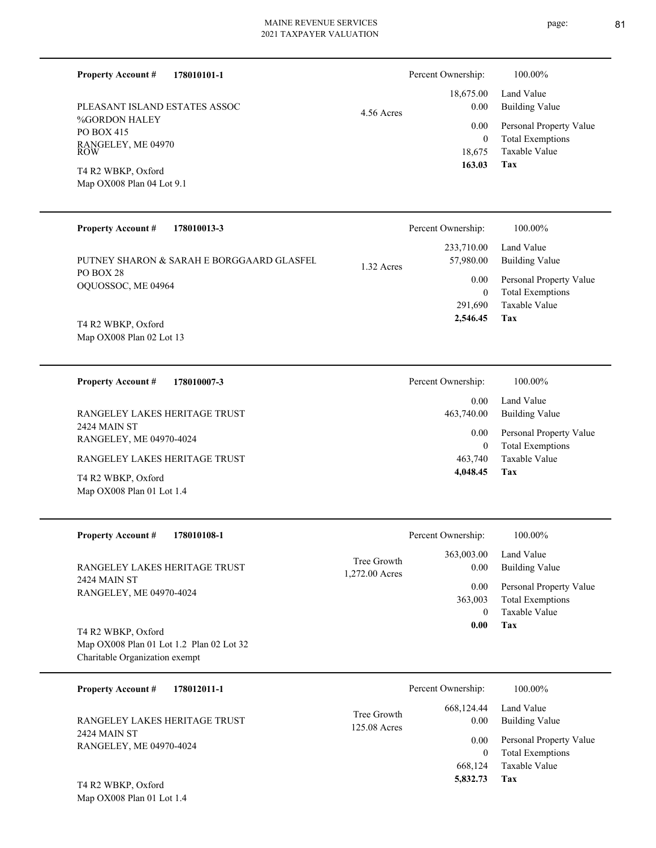4.56 Acres

**178010101-1 Property Account #**

%GORDON HALEY PO BOX 415 RANGELEY, ME 04970 ROW PLEASANT ISLAND ESTATES ASSOC

Map OX008 Plan 04 Lot 9.1 T4 R2 WBKP, Oxford

#### **178010013-3 Tax** Taxable Value Total Exemptions Personal Property Value Building Value Land Value PO BOX 28 OQUOSSOC, ME 04964 **Property Account #** T4 R2 WBKP, Oxford PUTNEY SHARON & SARAH E BORGGAARD GLASFEL 291,690 0  **2,546.45** 233,710.00 57,980.00 0.00 1.32 Acres Percent Ownership:  $100.00\%$

Map OX008 Plan 02 Lot 13

**178010007-3 Tax** Taxable Value Total Exemptions Personal Property Value Building Value Land Value 2424 MAIN ST RANGELEY, ME 04970-4024 **Property Account #** Map OX008 Plan 01 Lot 1.4 T4 R2 WBKP, Oxford RANGELEY LAKES HERITAGE TRUST RANGELEY LAKES HERITAGE TRUST 463,740 0  **4,048.45** 0.00 463,740.00 0.00 Percent Ownership:  $100.00\%$ 

| <b>Property Account #</b><br>178010108-1                                                         | Percent Ownership:                                  | 100.00%                                                             |
|--------------------------------------------------------------------------------------------------|-----------------------------------------------------|---------------------------------------------------------------------|
| RANGELEY LAKES HERITAGE TRUST                                                                    | 363,003.00<br>Tree Growth<br>0.00<br>1,272.00 Acres | Land Value<br><b>Building Value</b>                                 |
| 2424 MAIN ST<br>RANGELEY, ME 04970-4024                                                          | 0.00<br>363,003<br>$\Omega$                         | Personal Property Value<br><b>Total Exemptions</b><br>Taxable Value |
| T4 R2 WBKP, Oxford<br>Map OX008 Plan 01 Lot 1.2 Plan 02 Lot 32<br>Charitable Organization exempt | 0.00                                                | Tax                                                                 |
| 178012011-1<br><b>Property Account #</b>                                                         | Percent Ownership:                                  | 100.00%                                                             |

| Tree Growth<br>RANGELEY LAKES HERITAGE TRUST<br>125.08 Acres<br>2424 MAIN ST<br>RANGELEY, ME 04970-4024 | 668,124.44<br>0.00 | Land Value<br>Building Value |
|---------------------------------------------------------------------------------------------------------|--------------------|------------------------------|
|                                                                                                         |                    | 0.00 Personal Property Value |
|                                                                                                         | $\theta$           | <b>Total Exemptions</b>      |
|                                                                                                         | 668.124            | Taxable Value                |
| T4 R2 WBKP, Oxford                                                                                      | 5,832.73           | Tax                          |

Map OX008 Plan 01 Lot 1.4

page: 81

**Tax**

 18,675 0

 18,675.00 0.00 0.00

Percent Ownership:  $100.00\%$ 

 **163.03**

Taxable Value Total Exemptions Personal Property Value

Building Value Land Value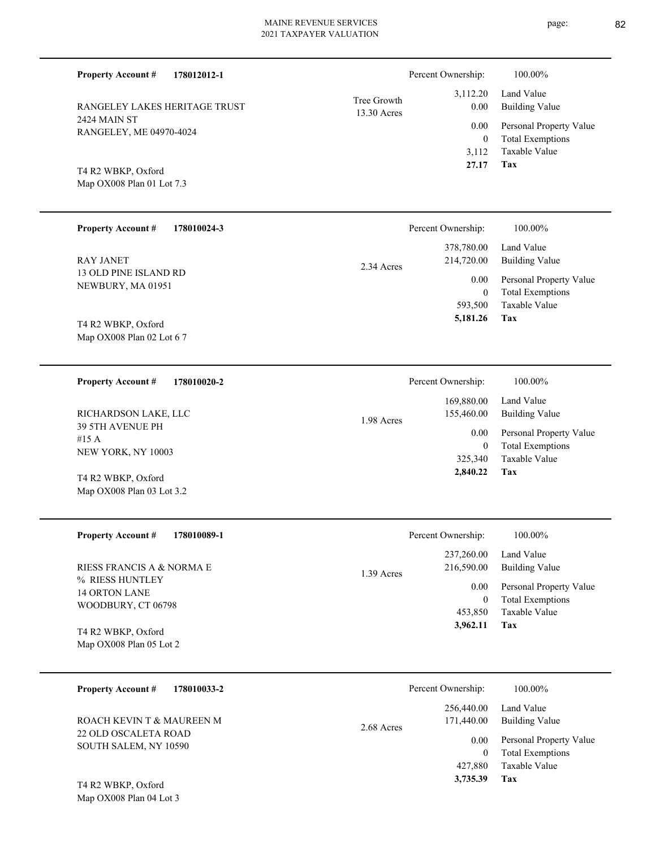| <b>Property Account #</b><br>178012012-1               |                            | Percent Ownership:                            | $100.00\%$                                                                 |
|--------------------------------------------------------|----------------------------|-----------------------------------------------|----------------------------------------------------------------------------|
| RANGELEY LAKES HERITAGE TRUST                          | Tree Growth<br>13.30 Acres | 3,112.20<br>0.00                              | Land Value<br><b>Building Value</b>                                        |
| <b>2424 MAIN ST</b><br>RANGELEY, ME 04970-4024         |                            | 0.00<br>$\overline{0}$                        | Personal Property Value<br><b>Total Exemptions</b><br>Taxable Value        |
| T4 R2 WBKP, Oxford<br>Map OX008 Plan 01 Lot 7.3        |                            | 3,112<br>27.17                                | Tax                                                                        |
| <b>Property Account #</b><br>178010024-3               |                            | Percent Ownership:                            | 100.00%                                                                    |
| <b>RAY JANET</b>                                       | 2.34 Acres                 | 378,780.00<br>214,720.00                      | Land Value<br><b>Building Value</b>                                        |
| 13 OLD PINE ISLAND RD<br>NEWBURY, MA 01951             |                            | 0.00<br>$\overline{0}$                        | Personal Property Value<br><b>Total Exemptions</b>                         |
| T4 R2 WBKP, Oxford<br>Map OX008 Plan 02 Lot 6 7        |                            | 593,500<br>5,181.26                           | Taxable Value<br>Tax                                                       |
| <b>Property Account #</b><br>178010020-2               |                            | Percent Ownership:                            | 100.00%                                                                    |
| RICHARDSON LAKE, LLC                                   | 1.98 Acres                 | 169,880.00<br>155,460.00                      | Land Value<br><b>Building Value</b>                                        |
| <b>39 5TH AVENUE PH</b><br>#15 A<br>NEW YORK, NY 10003 |                            | 0.00<br>$\overline{0}$<br>325,340<br>2,840.22 | Personal Property Value<br><b>Total Exemptions</b><br>Taxable Value<br>Tax |
| T4 R2 WBKP, Oxford<br>Map OX008 Plan 03 Lot 3.2        |                            |                                               |                                                                            |
| 178010089-1<br><b>Property Account #</b>               |                            | Percent Ownership:                            | 100.00%                                                                    |
| RIESS FRANCIS A & NORMA E                              | 1.39 Acres                 | 237,260.00<br>216,590.00                      | Land Value<br><b>Building Value</b>                                        |
| % RIESS HUNTLEY<br>14 ORTON LANE                       |                            | 0.00                                          | Personal Property Value                                                    |
| WOODBURY, CT 06798                                     |                            | $\overline{0}$<br>453,850                     | <b>Total Exemptions</b><br>Taxable Value                                   |
| T4 R2 WBKP, Oxford<br>Map OX008 Plan 05 Lot 2          |                            | 3,962.11                                      | Tax                                                                        |
| <b>Property Account #</b><br>178010033-2               |                            | Percent Ownership:                            | 100.00%                                                                    |
| ROACH KEVIN T & MAUREEN M                              | 2.68 Acres                 | 256,440.00<br>171,440.00                      | Land Value<br><b>Building Value</b>                                        |
| 22 OLD OSCALETA ROAD<br>SOUTH SALEM, NY 10590          |                            | 0.00<br>$\overline{0}$<br>427,880             | Personal Property Value<br><b>Total Exemptions</b><br>Taxable Value        |

**Tax 3,735.39**

Map OX008 Plan 04 Lot 3 T4 R2 WBKP, Oxford

page: 82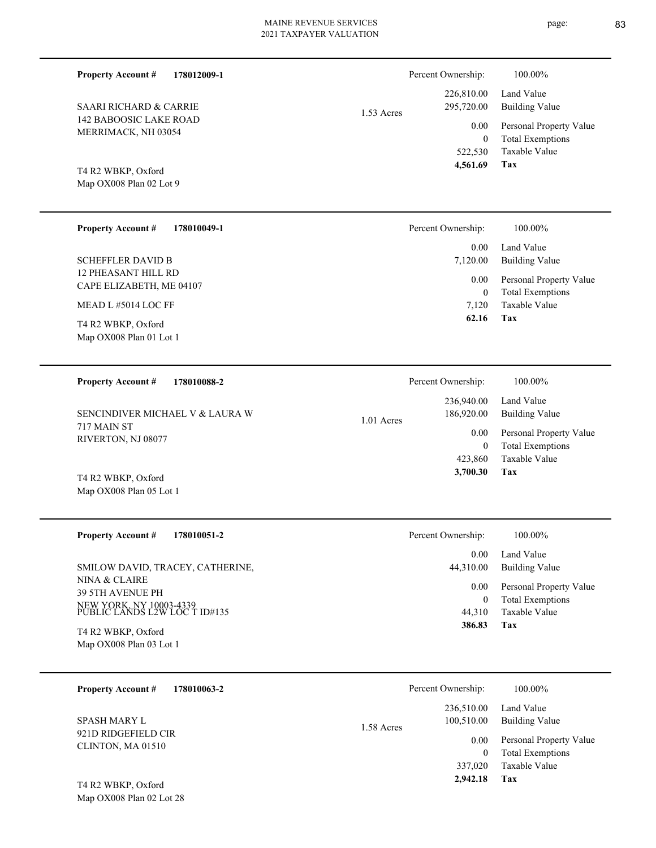| <b>Property Account #</b><br>178012009-1                 | Percent Ownership:                          | 100.00%                                                                    |
|----------------------------------------------------------|---------------------------------------------|----------------------------------------------------------------------------|
| <b>SAARI RICHARD &amp; CARRIE</b>                        | 226,810.00<br>295,720.00<br>1.53 Acres      | Land Value<br><b>Building Value</b>                                        |
| <b>142 BABOOSIC LAKE ROAD</b><br>MERRIMACK, NH 03054     | 0.00<br>$\mathbf{0}$<br>522,530<br>4,561.69 | Personal Property Value<br><b>Total Exemptions</b><br>Taxable Value<br>Tax |
| T4 R2 WBKP, Oxford<br>Map OX008 Plan 02 Lot 9            |                                             |                                                                            |
| <b>Property Account #</b><br>178010049-1                 | Percent Ownership:                          | 100.00%                                                                    |
| <b>SCHEFFLER DAVID B</b>                                 | 0.00<br>7,120.00                            | Land Value<br><b>Building Value</b>                                        |
| 12 PHEASANT HILL RD<br>CAPE ELIZABETH, ME 04107          | 0.00                                        | Personal Property Value                                                    |
| MEAD L#5014 LOC FF                                       | $\mathbf{0}$<br>7,120                       | <b>Total Exemptions</b><br>Taxable Value                                   |
| T4 R2 WBKP, Oxford<br>Map OX008 Plan 01 Lot 1            | 62.16                                       | Tax                                                                        |
| <b>Property Account #</b><br>178010088-2                 | Percent Ownership:                          | 100.00%                                                                    |
| SENCINDIVER MICHAEL V & LAURA W                          | 236,940.00<br>186,920.00<br>1.01 Acres      | Land Value<br><b>Building Value</b>                                        |
| 717 MAIN ST<br>RIVERTON, NJ 08077                        | 0.00<br>$\mathbf{0}$<br>423,860             | Personal Property Value<br><b>Total Exemptions</b><br>Taxable Value        |
| T4 R2 WBKP, Oxford<br>Map OX008 Plan 05 Lot 1            | 3,700.30                                    | <b>Tax</b>                                                                 |
| <b>Property Account #</b><br>178010051-2                 | Percent Ownership:                          | 100.00%                                                                    |
| SMILOW DAVID, TRACEY, CATHERINE,                         | 0.00<br>44,310.00                           | Land Value<br><b>Building Value</b>                                        |
| NINA & CLAIRE<br>39 5TH AVENUE PH                        | 0.00<br>$\mathbf{0}$                        | Personal Property Value<br><b>Total Exemptions</b>                         |
| NEW YORK, NY 10003-4339<br>PUBLIC LANDS L2W LOC T ID#135 | 44,310<br>386.83                            | Taxable Value<br>Tax                                                       |
| T4 R2 WBKP, Oxford<br>Map OX008 Plan 03 Lot 1            |                                             |                                                                            |
| <b>Property Account #</b><br>178010063-2                 | Percent Ownership:                          | 100.00%                                                                    |
| <b>SPASH MARY L</b>                                      | 236,510.00<br>100,510.00<br>1.58 Acres      | Land Value<br><b>Building Value</b>                                        |
| 921D RIDGEFIELD CIR                                      |                                             | 1 <sub>n</sub>                                                             |

CLINTON, MA 01510

Map OX008 Plan 02 Lot 28 T4 R2 WBKP, Oxford

**Tax**

 337,020  **2,942.18**

Taxable Value 0 Total Exemptions 0.00 Personal Property Value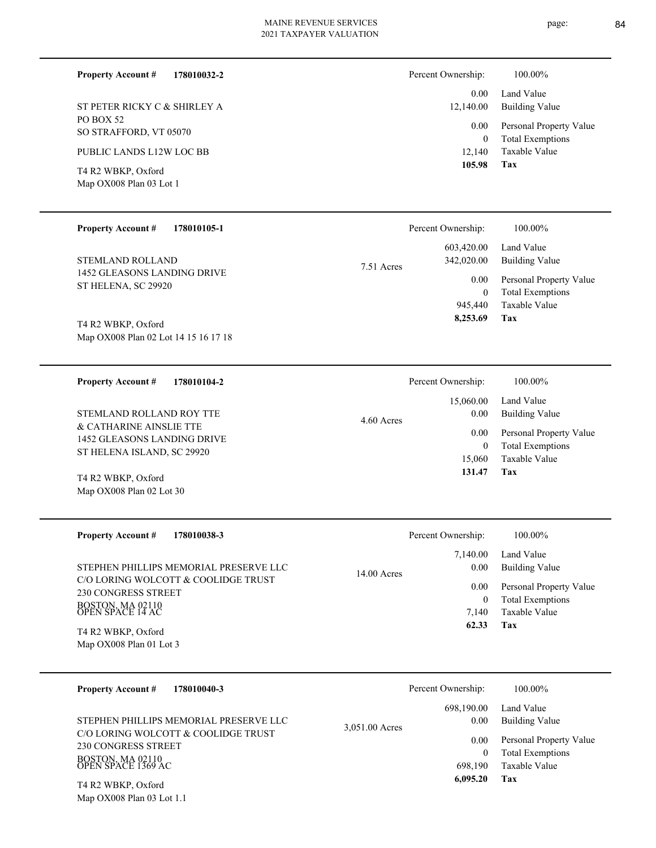**178010032-2**

PO BOX 52 SO STRAFFORD, VT 05070 ST PETER RICKY C & SHIRLEY A

PUBLIC LANDS L12W LOC BB

Map OX008 Plan 03 Lot 1 T4 R2 WBKP, Oxford

**Property Account #**

#### Total Exemptions Personal Property Value Building Value Land Value 0 0.00 12,140.00 0.00 Percent Ownership:  $100.00\%$

Taxable Value 12,140

#### **Tax 105.98**

| <b>Property Account #</b><br>178010105-1           |            | Percent Ownership:       | 100.00%                                            |
|----------------------------------------------------|------------|--------------------------|----------------------------------------------------|
| <b>STEMLAND ROLLAND</b>                            | 7.51 Acres | 603,420.00<br>342,020.00 | Land Value<br>Building Value                       |
| 1452 GLEASONS LANDING DRIVE<br>ST HELENA, SC 29920 |            | 0.00<br>0                | Personal Property Value<br><b>Total Exemptions</b> |
|                                                    |            | 945,440                  | Taxable Value                                      |
| T4 R2 WBKP, Oxford                                 |            | 8,253.69                 | Tax                                                |

Map OX008 Plan 02 Lot 14 15 16 17 18 T4 R2 WBKP,

| 178010104-2<br><b>Property Account #</b>                                             | Percent Ownership:              | 100.00%                                            |
|--------------------------------------------------------------------------------------|---------------------------------|----------------------------------------------------|
| STEMLAND ROLLAND ROY TTE                                                             | 15,060.00<br>0.00<br>4.60 Acres | Land Value<br>Building Value                       |
| & CATHARINE AINSLIE TTE<br>1452 GLEASONS LANDING DRIVE<br>ST HELENA ISLAND, SC 29920 | 0.00<br>$\bf{0}$                | Personal Property Value<br><b>Total Exemptions</b> |
|                                                                                      | 15,060                          | Taxable Value                                      |
| T4 R2 WBKP, Oxford                                                                   | 131.47                          | Tax                                                |
| Map $OX008$ Plan 02 Lot 30                                                           |                                 |                                                    |

| <b>Property Account #</b><br>178010038-3                   | Percent Ownership:    | 100.00%                                  |
|------------------------------------------------------------|-----------------------|------------------------------------------|
|                                                            | 7.140.00              | Land Value                               |
| STEPHEN PHILLIPS MEMORIAL PRESERVE LLC                     | 0.00<br>$14.00$ Acres | Building Value                           |
| C/O LORING WOLCOTT & COOLIDGE TRUST<br>230 CONGRESS STREET | 0.00                  | Personal Property Value                  |
| BOSTON, MA 02110<br>OPEN SPACE 14 AC                       | 7.140                 | <b>Total Exemptions</b><br>Taxable Value |
| T4 R2 WBKP, Oxford                                         | 62.33                 | Tax                                      |
| Map OX008 Plan 01 Lot 3                                    |                       |                                          |

| 178010040-3<br><b>Property Account #</b>                                                                                                                             | Percent Ownership:                                                              | 100.00%                                                                                                    |
|----------------------------------------------------------------------------------------------------------------------------------------------------------------------|---------------------------------------------------------------------------------|------------------------------------------------------------------------------------------------------------|
| STEPHEN PHILLIPS MEMORIAL PRESERVE LLC<br>C/O LORING WOLCOTT & COOLIDGE TRUST<br>230 CONGRESS STREET<br>BOSTON, MA 02110<br>OPEN SPACE 1369 AC<br>T4 R2 WBKP, Oxford | 698,190.00<br>0.00<br>3.051.00 Acres<br>0.00<br>$\bf{0}$<br>698.190<br>6,095.20 | Land Value<br>Building Value<br>Personal Property Value<br><b>Total Exemptions</b><br>Taxable Value<br>Tax |

Map OX008 Plan 03 Lot 1.1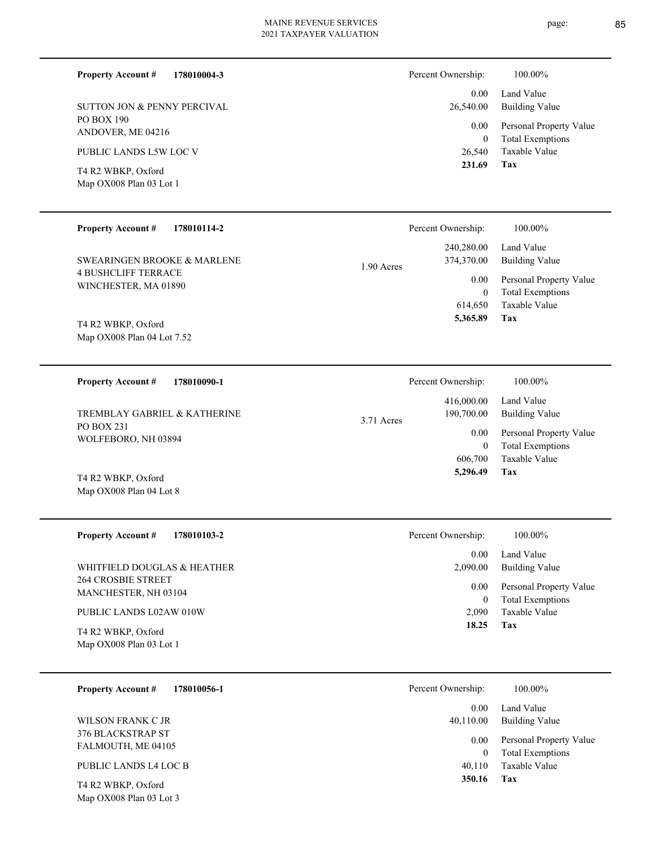page: 85

| <b>Property Account #</b><br>178010004-3                             | Percent Ownership:       | 100.00%                                            |
|----------------------------------------------------------------------|--------------------------|----------------------------------------------------|
| <b>SUTTON JON &amp; PENNY PERCIVAL</b>                               | 0.00<br>26,540.00        | Land Value<br><b>Building Value</b>                |
| PO BOX 190                                                           | 0.00                     | Personal Property Value                            |
| ANDOVER, ME 04216                                                    | $\overline{0}$           | <b>Total Exemptions</b>                            |
| PUBLIC LANDS L5W LOC V                                               | 26,540                   | Taxable Value                                      |
| T4 R2 WBKP, Oxford                                                   | 231.69                   | <b>Tax</b>                                         |
| Map OX008 Plan 03 Lot 1                                              |                          |                                                    |
|                                                                      |                          |                                                    |
| <b>Property Account #</b><br>178010114-2                             | Percent Ownership:       | 100.00%                                            |
|                                                                      | 240,280.00               | Land Value                                         |
| <b>SWEARINGEN BROOKE &amp; MARLENE</b><br><b>4 BUSHCLIFF TERRACE</b> | 374,370.00<br>1.90 Acres | <b>Building Value</b>                              |
| WINCHESTER, MA 01890                                                 | 0.00<br>$\bf{0}$         | Personal Property Value<br><b>Total Exemptions</b> |
|                                                                      | 614,650                  | Taxable Value                                      |
| T4 R2 WBKP, Oxford                                                   | 5,365.89                 | Tax                                                |
| Map OX008 Plan 04 Lot 7.52                                           |                          |                                                    |
|                                                                      |                          |                                                    |
| <b>Property Account #</b><br>178010090-1                             | Percent Ownership:       | 100.00%                                            |
| TREMBLAY GABRIEL & KATHERINE                                         | 416,000.00<br>190,700.00 | Land Value<br><b>Building Value</b>                |
| PO BOX 231                                                           | 3.71 Acres<br>0.00       | Personal Property Value                            |
| WOLFEBORO, NH 03894                                                  | $\mathbf{0}$             | <b>Total Exemptions</b>                            |
|                                                                      | 606,700                  | Taxable Value                                      |
| T4 R2 WBKP, Oxford                                                   | 5,296.49                 | Tax                                                |
| Map OX008 Plan 04 Lot 8                                              |                          |                                                    |
|                                                                      |                          |                                                    |
| <b>Property Account #</b><br>178010103-2                             | Percent Ownership:       | 100.00%                                            |
| WHITFIELD DOUGLAS & HEATHER                                          | 0.00<br>2,090.00         | Land Value<br><b>Building Value</b>                |
| <b>264 CROSBIE STREET</b>                                            | 0.00                     |                                                    |
| MANCHESTER, NH 03104                                                 | $\boldsymbol{0}$         | Personal Property Value<br><b>Total Exemptions</b> |
| PUBLIC LANDS L02AW 010W                                              | 2,090                    | Taxable Value                                      |
| T4 R2 WBKP, Oxford                                                   | 18.25                    | Tax                                                |
| Map OX008 Plan 03 Lot 1                                              |                          |                                                    |
|                                                                      |                          |                                                    |
| 178010056-1<br><b>Property Account #</b>                             | Percent Ownership:       | $100.00\%$                                         |
|                                                                      | 0.00                     | Land Value                                         |
| WILSON FRANK C JR<br>376 BLACKSTRAP ST                               | 40,110.00                | <b>Building Value</b>                              |
| FALMOUTH, ME 04105                                                   | 0.00<br>$\mathbf{0}$     | Personal Property Value<br><b>Total Exemptions</b> |
| PUBLIC LANDS L4 LOC B                                                | 40,110                   | Taxable Value                                      |
| T4 R2 WBKP, Oxford                                                   | 350.16                   | Tax                                                |
| Map OX008 Plan 03 Lot 3                                              |                          |                                                    |
|                                                                      |                          |                                                    |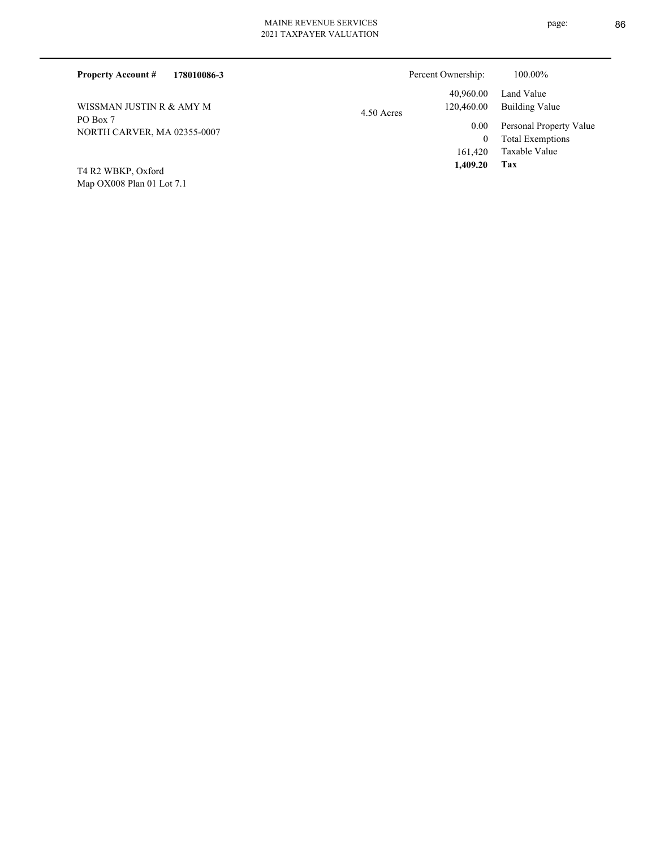| 178010086-3<br><b>Property Account #</b> | Percent Ownership:                      | 100.00%                                            |
|------------------------------------------|-----------------------------------------|----------------------------------------------------|
| WISSMAN JUSTIN R & AMY M                 | 40,960.00<br>120,460.00<br>$4.50$ Acres | Land Value<br>Building Value                       |
| PO Box 7<br>NORTH CARVER, MA 02355-0007  | 0.00                                    | Personal Property Value<br><b>Total Exemptions</b> |
| $TA$ D $\gamma$ WDVD $Ov$ ford           | 161.420<br>1.409.20                     | Taxable Value<br>Tax                               |

Map OX008 Plan 01 Lot 7.1 T4 R2 WBKP, Oxford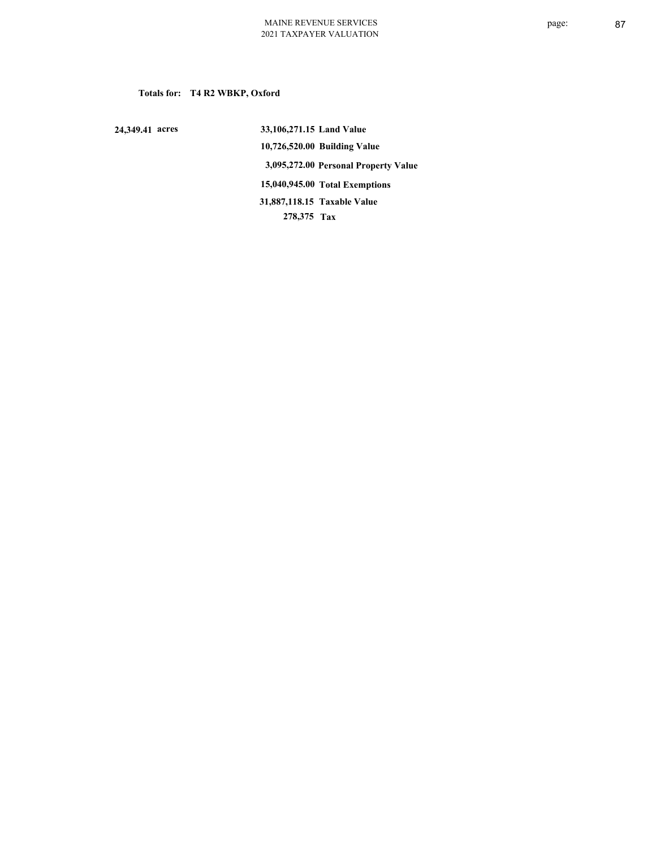## **Totals for: T4 R2 WBKP, Oxford**

 **24,349.41 acres**

 **33,106,271.15 Land Value 10,726,520.00 Building Value 3,095,272.00 Personal Property Value 15,040,945.00 Total Exemptions 278,375 Tax Taxable Value 31,887,118.15**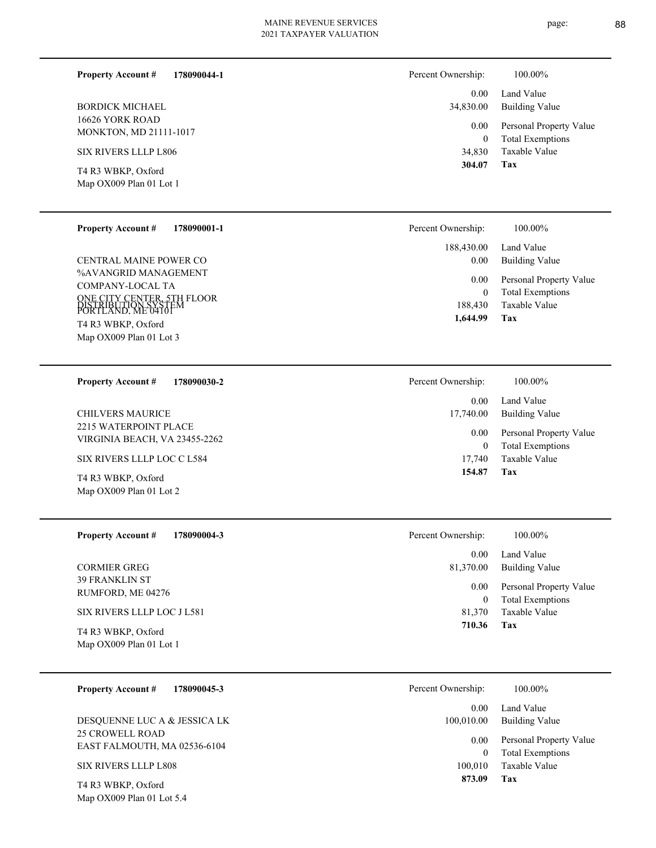| 178090044-1<br><b>Property Account #</b>                                | Percent Ownership:   | 100.00%                                            |
|-------------------------------------------------------------------------|----------------------|----------------------------------------------------|
| <b>BORDICK MICHAEL</b><br>16626 YORK ROAD                               | 0.00<br>34,830.00    | Land Value<br><b>Building Value</b>                |
| MONKTON, MD 21111-1017                                                  | 0.00<br>$\theta$     | Personal Property Value<br><b>Total Exemptions</b> |
| <b>SIX RIVERS LLLP L806</b>                                             | 34,830               | <b>Taxable Value</b>                               |
| T4 R3 WBKP, Oxford<br>Map OX009 Plan 01 Lot 1                           | 304.07               | <b>Tax</b>                                         |
| <b>Property Account #</b><br>178090001-1                                | Percent Ownership:   | 100.00%                                            |
|                                                                         | 188,430.00           | Land Value                                         |
| CENTRAL MAINE POWER CO<br>%AVANGRID MANAGEMENT                          | 0.00                 | <b>Building Value</b>                              |
| COMPANY-LOCAL TA                                                        | 0.00                 | Personal Property Value                            |
| ONE CITY CENTER, 5TH FLOOR<br>DISTRIBUTION SYSTEM<br>PORTLAND. ME 04101 | $\theta$<br>188,430  | <b>Total Exemptions</b><br>Taxable Value           |
| T4 R3 WBKP, Oxford                                                      | 1,644.99             | Tax                                                |
| Map OX009 Plan 01 Lot 3                                                 |                      |                                                    |
|                                                                         |                      |                                                    |
| <b>Property Account #</b><br>178090030-2                                | Percent Ownership:   | 100.00%                                            |
| <b>CHILVERS MAURICE</b>                                                 | 0.00<br>17,740.00    | Land Value<br><b>Building Value</b>                |
| 2215 WATERPOINT PLACE<br>VIRGINIA BEACH, VA 23455-2262                  | 0.00<br>$\mathbf{0}$ | Personal Property Value<br><b>Total Exemptions</b> |
| SIX RIVERS LLLP LOC C L584                                              | 17,740               | <b>Taxable Value</b>                               |
| T4 R3 WBKP, Oxford                                                      | 154.87               | Tax                                                |

| <b>Property Account #</b><br>178090004-3                                 | Percent Ownership:         | 100.00%                                                             |
|--------------------------------------------------------------------------|----------------------------|---------------------------------------------------------------------|
|                                                                          | 0.00                       | Land Value                                                          |
| <b>CORMIER GREG</b>                                                      | 81,370.00                  | <b>Building Value</b>                                               |
| <b>39 FRANKLIN ST</b><br>RUMFORD, ME 04276<br>SIX RIVERS LLLP LOC J L581 | 0.00<br>$\theta$<br>81,370 | Personal Property Value<br><b>Total Exemptions</b><br>Taxable Value |
| T4 R3 WBKP, Oxford<br>Map OX009 Plan 01 Lot 1                            | 710.36                     | Tax                                                                 |

| <b>Property Account #</b><br>178090045-3        | Percent Ownership: | 100.00%                                            |
|-------------------------------------------------|--------------------|----------------------------------------------------|
|                                                 | 0.00               | Land Value                                         |
| DESQUENNE LUC A & JESSICA LK                    | 100,010.00         | Building Value                                     |
| 25 CROWELL ROAD<br>EAST FALMOUTH, MA 02536-6104 | 0.00<br>$\theta$   | Personal Property Value<br><b>Total Exemptions</b> |
| SIX RIVERS LLLP L808                            | 100.010            | Taxable Value                                      |
| $T_A D2 W D V D$                                | 873.09             | Tax                                                |

Map OX009 Plan 01 Lot 2

## SIX RIVERS LLLP L808

Map OX009 Plan 01 Lot 5.4 T4 R3 WBKP, Oxford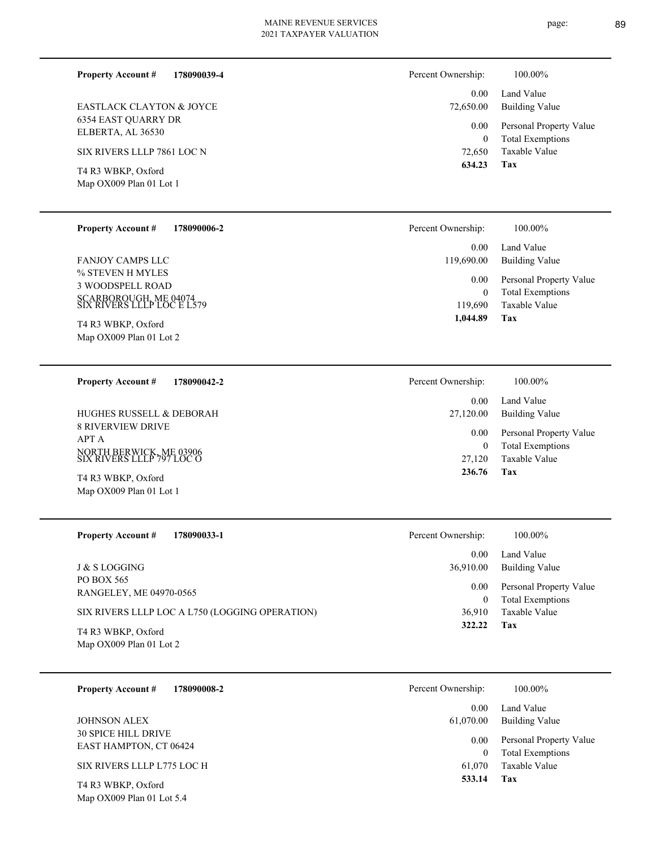6354 EAST QUARRY DR ELBERTA, AL 36530 EASTLACK CLAYTON & JOYCE

T4 R3 WBKP, Oxford

| <b>Property Account #</b> | 178090006-2 |
|---------------------------|-------------|
|                           |             |

% STEVEN H MYLES 3 WOODSPELL ROAD SCARBOROUGH, ME 04074 SIX RIVERS LLLP LOC E L579 FANJOY CAMPS LLC

Map OX009 Plan 01 Lot 2 T4 R3 WBKP, Oxford

**178090042-2 Property Account #**

8 RIVERVIEW DRIVE APT A NORTH BERWICK, ME 03906 SIX RIVERS LLLP 797 LOC O HUGHES RUSSELL & DEBORAH

Map OX009 Plan 01 Lot 1 T4 R3 WBKP, Oxford

Map OX009 Plan 01 Lot 5.4

| <b>Property Account #</b><br>178090033-1       | Percent Ownership: | 100.00%                                            |
|------------------------------------------------|--------------------|----------------------------------------------------|
|                                                | 0.00               | Land Value                                         |
| J & S LOGGING                                  | 36,910.00          | <b>Building Value</b>                              |
| PO BOX 565<br>RANGELEY, ME 04970-0565          | 0.00<br>0          | Personal Property Value<br><b>Total Exemptions</b> |
| SIX RIVERS LLLP LOC A L750 (LOGGING OPERATION) | 36,910             | Taxable Value                                      |
| T4 R3 WBKP, Oxford<br>Map OX009 Plan 01 Lot 2  | 322.22             | Tax                                                |

| 178090008-2<br><b>Property Account #</b>             | Percent Ownership: | 100.00%                                            |
|------------------------------------------------------|--------------------|----------------------------------------------------|
| <b>JOHNSON ALEX</b>                                  | 0.00<br>61,070.00  | Land Value<br><b>Building Value</b>                |
| <b>30 SPICE HILL DRIVE</b><br>EAST HAMPTON, CT 06424 | 0.00<br>$\Omega$   | Personal Property Value<br><b>Total Exemptions</b> |
| SIX RIVERS LLLP L775 LOC H                           | 61,070             | Taxable Value                                      |
| T4 R3 WBKP, Oxford                                   | 533.14             | Tax                                                |

**178090039-4 Property Account #**

SIX RIVERS LLLP 7861 LOC N

Map OX009 Plan 01 Lot 1

| 72,650.00 | <b>Building Value</b>   |
|-----------|-------------------------|
| $0.00\,$  | Personal Property Value |
| 0         | <b>Total Exemptions</b> |
| 72,650    | Taxable Value           |
| 634.23    | Tax                     |

| Percent Ownership: | 100.00%                 |
|--------------------|-------------------------|
| $0.00 -$           | Land Value              |
| 119,690.00         | <b>Building Value</b>   |
| $0.00\,$           | Personal Property Value |
| 0                  | <b>Total Exemptions</b> |
| 119.690            | Taxable Value           |
| 1,044.89           | Tax                     |

| Percent Ownership: | 100.00%                 |
|--------------------|-------------------------|
| $0.00 -$           | Land Value              |
| 27,120.00          | Building Value          |
| $0.00\,$           | Personal Property Value |
| 0                  | <b>Total Exemptions</b> |
| 27,120             | Taxable Value           |
| 236.76             | Tax                     |

| ercent Ownership:  | 100.00%                                            |
|--------------------|----------------------------------------------------|
|                    | 0.00 Land Value<br>36,910.00 Building Value        |
| $0.00\,$<br>$_{0}$ | Personal Property Value<br><b>Total Exemptions</b> |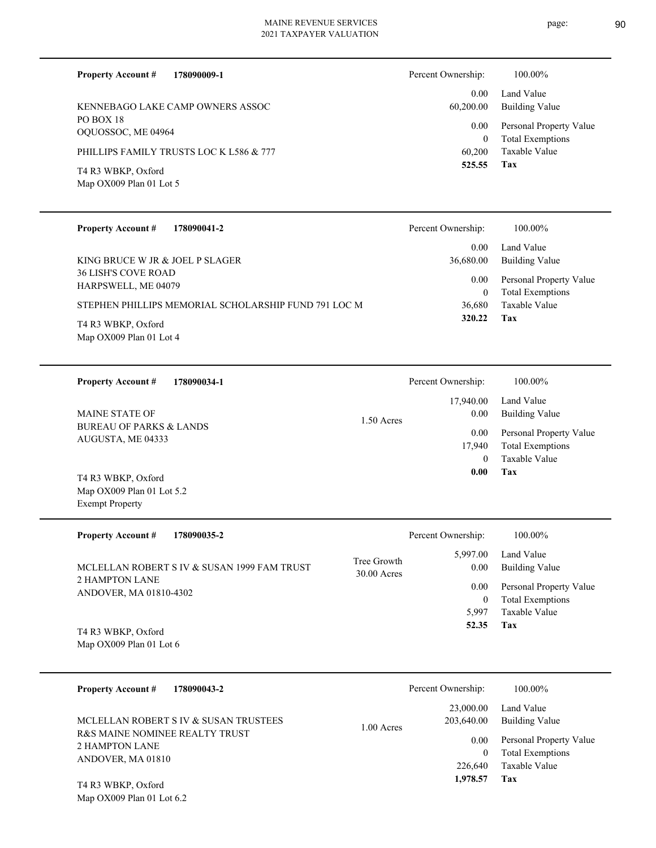**178090009-1**

**Property Account #**

page: 90

Percent Ownership: 100.00%

| KENNEBAGO LAKE CAMP OWNERS ASSOC                        |                            | 0.00<br>60,200.00        | Land Value<br><b>Building Value</b>                |
|---------------------------------------------------------|----------------------------|--------------------------|----------------------------------------------------|
| PO BOX 18<br>OQUOSSOC, ME 04964                         |                            | 0.00<br>$\boldsymbol{0}$ | Personal Property Value<br><b>Total Exemptions</b> |
| PHILLIPS FAMILY TRUSTS LOC K L586 & 777                 |                            | 60,200<br>525.55         | Taxable Value<br>Tax                               |
| T4 R3 WBKP, Oxford<br>Map OX009 Plan 01 Lot 5           |                            |                          |                                                    |
| <b>Property Account #</b><br>178090041-2                |                            | Percent Ownership:       | 100.00%                                            |
| KING BRUCE W JR & JOEL P SLAGER                         |                            | 0.00<br>36,680.00        | Land Value<br><b>Building Value</b>                |
| 36 LISH'S COVE ROAD<br>HARPSWELL, ME 04079              |                            | 0.00<br>$\boldsymbol{0}$ | Personal Property Value<br><b>Total Exemptions</b> |
| STEPHEN PHILLIPS MEMORIAL SCHOLARSHIP FUND 791 LOC M    |                            | 36,680<br>320.22         | Taxable Value<br>Tax                               |
| T4 R3 WBKP, Oxford<br>Map OX009 Plan 01 Lot 4           |                            |                          |                                                    |
| <b>Property Account #</b><br>178090034-1                |                            | Percent Ownership:       | 100.00%                                            |
| <b>MAINE STATE OF</b>                                   | 1.50 Acres                 | 17,940.00<br>0.00        | Land Value<br><b>Building Value</b>                |
| <b>BUREAU OF PARKS &amp; LANDS</b><br>AUGUSTA, ME 04333 |                            | 0.00                     | Personal Property Value                            |
|                                                         |                            | 17,940<br>$\theta$       | <b>Total Exemptions</b><br>Taxable Value           |
| T4 R3 WBKP, Oxford                                      |                            | 0.00                     | Tax                                                |
| Map OX009 Plan 01 Lot 5.2<br><b>Exempt Property</b>     |                            |                          |                                                    |
| <b>Property Account #</b><br>178090035-2                |                            | Percent Ownership:       | 100.00%                                            |
| MCLELLAN ROBERT S IV & SUSAN 1999 FAM TRUST             | Tree Growth<br>30.00 Acres | 5,997.00                 | Land Value<br>0.00 Building Value                  |
| 2 HAMPTON LANE<br>ANDOVER, MA 01810-4302                |                            | 0.00<br>$\boldsymbol{0}$ | Personal Property Value<br><b>Total Exemptions</b> |
|                                                         |                            | 5,997                    | Taxable Value                                      |
| T4 R3 WBKP, Oxford<br>Map OX009 Plan 01 Lot 6           |                            | 52.35                    | Tax                                                |
| <b>Property Account #</b><br>178090043-2                |                            | Percent Ownership:       | 100.00%                                            |
| MCLELLAN ROBERT S IV & SUSAN TRUSTEES                   | 1.00 Acres                 | 23,000.00<br>203,640.00  | Land Value<br><b>Building Value</b>                |
| R&S MAINE NOMINEE REALTY TRUST<br>2 HAMPTON LANE        |                            | 0.00<br>$\overline{0}$   | Personal Property Value<br><b>Total Exemptions</b> |
| ANDOVER, MA 01810                                       |                            | 226,640                  | Taxable Value                                      |
|                                                         |                            |                          |                                                    |
| T4 R3 WBKP, Oxford<br>Map OX009 Plan 01 Lot 6.2         |                            | 1,978.57                 | Tax                                                |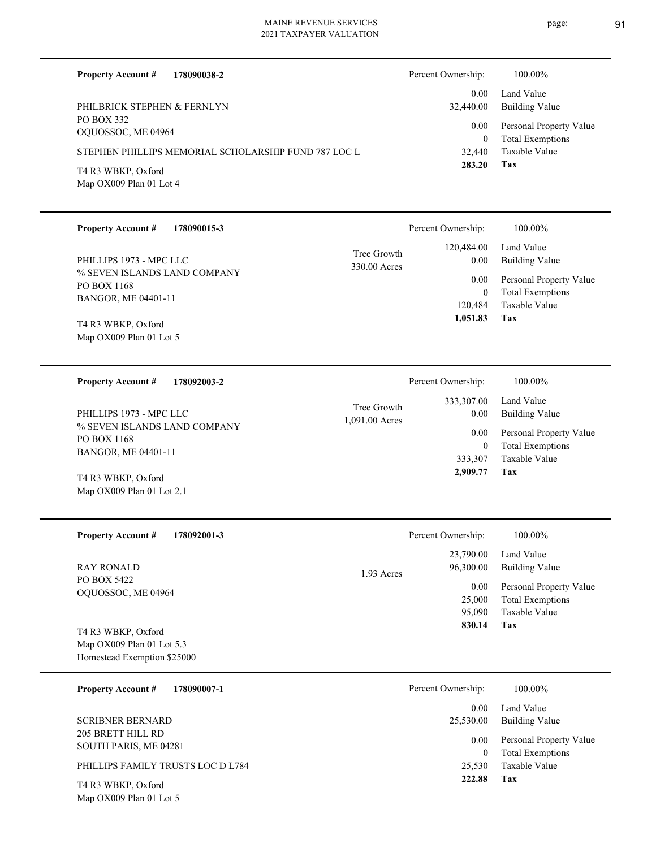page: 91

| <b>Property Account #</b>                          | 178090038-2                                          |                               | Percent Ownership:        | 100.00%                                            |
|----------------------------------------------------|------------------------------------------------------|-------------------------------|---------------------------|----------------------------------------------------|
|                                                    |                                                      |                               | 0.00                      | Land Value                                         |
| PHILBRICK STEPHEN & FERNLYN<br>PO BOX 332          |                                                      |                               | 32,440.00                 | <b>Building Value</b>                              |
| OQUOSSOC, ME 04964                                 |                                                      |                               | 0.00<br>$\mathbf{0}$      | Personal Property Value<br><b>Total Exemptions</b> |
|                                                    | STEPHEN PHILLIPS MEMORIAL SCHOLARSHIP FUND 787 LOC L |                               | 32,440                    | Taxable Value                                      |
| T4 R3 WBKP, Oxford                                 |                                                      |                               | 283.20                    | <b>Tax</b>                                         |
| Map OX009 Plan 01 Lot 4                            |                                                      |                               |                           |                                                    |
|                                                    |                                                      |                               |                           |                                                    |
| Property Account #                                 | 178090015-3                                          |                               | Percent Ownership:        | 100.00%                                            |
|                                                    |                                                      | Tree Growth                   | 120,484.00                | Land Value                                         |
| PHILLIPS 1973 - MPC LLC                            |                                                      | 330.00 Acres                  | $0.00\,$                  | <b>Building Value</b>                              |
| % SEVEN ISLANDS LAND COMPANY<br><b>PO BOX 1168</b> |                                                      |                               | 0.00                      | Personal Property Value                            |
| BANGOR, ME 04401-11                                |                                                      |                               | $\overline{0}$<br>120,484 | <b>Total Exemptions</b><br>Taxable Value           |
| T4 R3 WBKP, Oxford                                 |                                                      |                               | 1,051.83                  | Tax                                                |
| Map OX009 Plan 01 Lot 5                            |                                                      |                               |                           |                                                    |
|                                                    |                                                      |                               |                           |                                                    |
| <b>Property Account #</b>                          | 178092003-2                                          |                               | Percent Ownership:        | 100.00%                                            |
|                                                    |                                                      |                               | 333,307.00                | Land Value                                         |
| PHILLIPS 1973 - MPC LLC                            |                                                      | Tree Growth<br>1,091.00 Acres | $0.00\,$                  | <b>Building Value</b>                              |
| % SEVEN ISLANDS LAND COMPANY<br>PO BOX 1168        |                                                      |                               | 0.00                      | Personal Property Value                            |
| BANGOR, ME 04401-11                                |                                                      |                               | $\overline{0}$<br>333,307 | <b>Total Exemptions</b><br>Taxable Value           |
| T4 R3 WBKP, Oxford                                 |                                                      |                               | 2,909.77                  | Tax                                                |
| Map OX009 Plan 01 Lot 2.1                          |                                                      |                               |                           |                                                    |
|                                                    |                                                      |                               |                           |                                                    |
| <b>Property Account #</b>                          | 178092001-3                                          |                               | Percent Ownership:        | 100.00%                                            |
|                                                    |                                                      |                               | 23,790.00                 | Land Value                                         |
| <b>RAY RONALD</b>                                  |                                                      | 1.93 Acres                    | 96,300.00                 | <b>Building Value</b>                              |
| PO BOX 5422<br>OQUOSSOC, ME 04964                  |                                                      |                               | 0.00                      | Personal Property Value                            |
|                                                    |                                                      |                               | 25,000<br>95,090          | <b>Total Exemptions</b><br><b>Taxable Value</b>    |
|                                                    |                                                      |                               | 830.14                    | Tax                                                |
| T4 R3 WBKP, Oxford<br>Map OX009 Plan 01 Lot 5.3    |                                                      |                               |                           |                                                    |
| Homestead Exemption \$25000                        |                                                      |                               |                           |                                                    |
| <b>Property Account #</b>                          | 178090007-1                                          |                               | Percent Ownership:        | 100.00%                                            |
|                                                    |                                                      |                               | 0.00                      | Land Value                                         |
| <b>SCRIBNER BERNARD</b>                            |                                                      |                               | 25,530.00                 | <b>Building Value</b>                              |
| 205 BRETT HILL RD                                  |                                                      |                               | 0.00                      | Personal Property Value                            |
| SOUTH PARIS, ME 04281                              |                                                      |                               | $\overline{0}$            | <b>Total Exemptions</b>                            |
| PHILLIPS FAMILY TRUSTS LOC D L784                  |                                                      |                               | 25,530<br>222.88          | Taxable Value<br>Tax                               |
| T4 R3 WBKP, Oxford<br>Map OX009 Plan 01 Lot 5      |                                                      |                               |                           |                                                    |
|                                                    |                                                      |                               |                           |                                                    |
|                                                    |                                                      |                               |                           |                                                    |
|                                                    |                                                      |                               |                           |                                                    |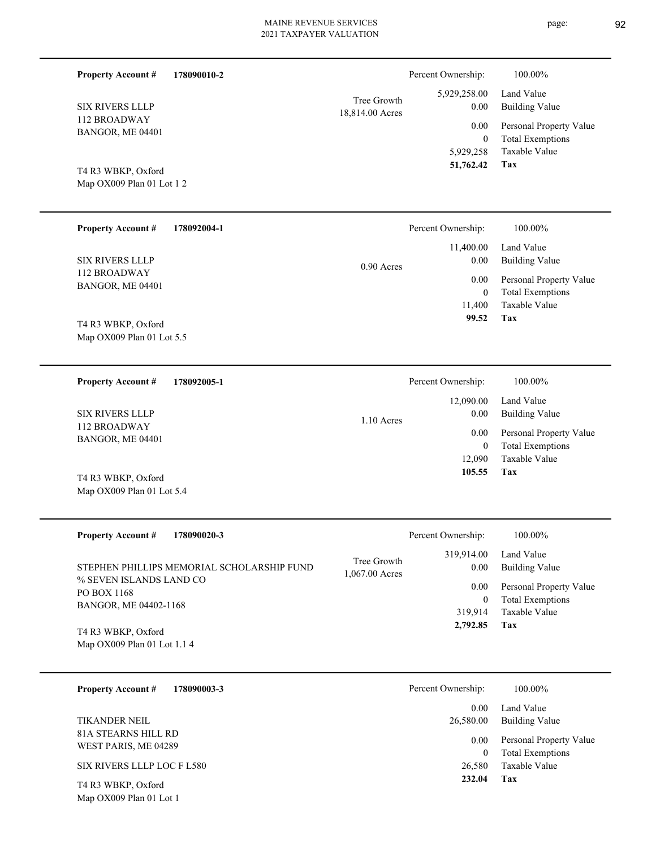| <b>Property Account #</b><br><b>SIX RIVERS LLLP</b><br>112 BROADWAY<br>BANGOR, ME 04401<br>T4 R3 WBKP, Oxford | 178090010-2 | Tree Growth<br>18,814.00 Acres | Percent Ownership:<br>5,929,258.00<br>0.00<br>0.00<br>$\mathbf{0}$<br>5,929,258<br>51,762.42 | 100.00%<br>Land Value<br><b>Building Value</b><br>Personal Property Value<br><b>Total Exemptions</b><br>Taxable Value<br>Tax |
|---------------------------------------------------------------------------------------------------------------|-------------|--------------------------------|----------------------------------------------------------------------------------------------|------------------------------------------------------------------------------------------------------------------------------|
| Map OX009 Plan 01 Lot 1 2                                                                                     |             |                                |                                                                                              |                                                                                                                              |
| <b>Property Account #</b><br><b>SIX RIVERS LLLP</b>                                                           | 178092004-1 |                                | Percent Ownership:<br>11,400.00<br>0.00                                                      | 100.00%<br>Land Value<br><b>Building Value</b>                                                                               |
| 112 BROADWAY<br>BANGOR, ME 04401<br>T4 R3 WBKP, Oxford                                                        |             | $0.90$ Acres                   | 0.00<br>$\mathbf{0}$<br>11,400<br>99.52                                                      | Personal Property Value<br><b>Total Exemptions</b><br>Taxable Value<br>Tax                                                   |
| Map OX009 Plan 01 Lot 5.5                                                                                     |             |                                |                                                                                              |                                                                                                                              |
| <b>Property Account #</b>                                                                                     | 178092005-1 |                                | Percent Ownership:<br>12,090.00                                                              | 100.00%<br>Land Value                                                                                                        |
| <b>SIX RIVERS LLLP</b>                                                                                        |             | 1.10 Acres                     | 0.00                                                                                         | <b>Building Value</b>                                                                                                        |
| 112 BROADWAY<br>BANGOR, ME 04401<br>T4 R3 WBKP, Oxford                                                        |             |                                | 0.00<br>$\overline{0}$<br>12,090<br>105.55                                                   | Personal Property Value<br><b>Total Exemptions</b><br>Taxable Value<br>Tax                                                   |
| Map OX009 Plan 01 Lot 5.4                                                                                     |             |                                |                                                                                              |                                                                                                                              |

| <b>Property Account #</b><br>178090020-3                              | Percent Ownership:                                  | $100.00\%$                                                             |
|-----------------------------------------------------------------------|-----------------------------------------------------|------------------------------------------------------------------------|
| STEPHEN PHILLIPS MEMORIAL SCHOLARSHIP FUND<br>% SEVEN ISLANDS LAND CO | 319,914.00<br>Tree Growth<br>0.00<br>1,067.00 Acres | Land Value<br><b>Building Value</b>                                    |
| PO BOX 1168                                                           | 0.00                                                | Personal Property Value<br><b>Total Exemptions</b><br>$\boldsymbol{0}$ |
| BANGOR, ME 04402-1168                                                 | 319.914                                             | Taxable Value                                                          |
| T4 R3 WBKP, Oxford                                                    | 2,792.85                                            | Tax                                                                    |
| Map OX009 Plan 01 Lot 1.1 4                                           |                                                     |                                                                        |

| 178090003-3<br><b>Property Account #</b>      | Percent Ownership:<br>100.00%                                   |  |
|-----------------------------------------------|-----------------------------------------------------------------|--|
|                                               | Land Value<br>0.00                                              |  |
| <b>TIKANDER NEIL</b>                          | Building Value<br>26,580.00                                     |  |
| 81A STEARNS HILL RD<br>WEST PARIS, ME 04289   | Personal Property Value<br>0.00<br><b>Total Exemptions</b><br>0 |  |
| SIX RIVERS LLLP LOC F L580                    | Taxable Value<br>26,580                                         |  |
| T4 R3 WBKP, Oxford<br>Map OX009 Plan 01 Lot 1 | 232.04<br>Tax                                                   |  |

page: 92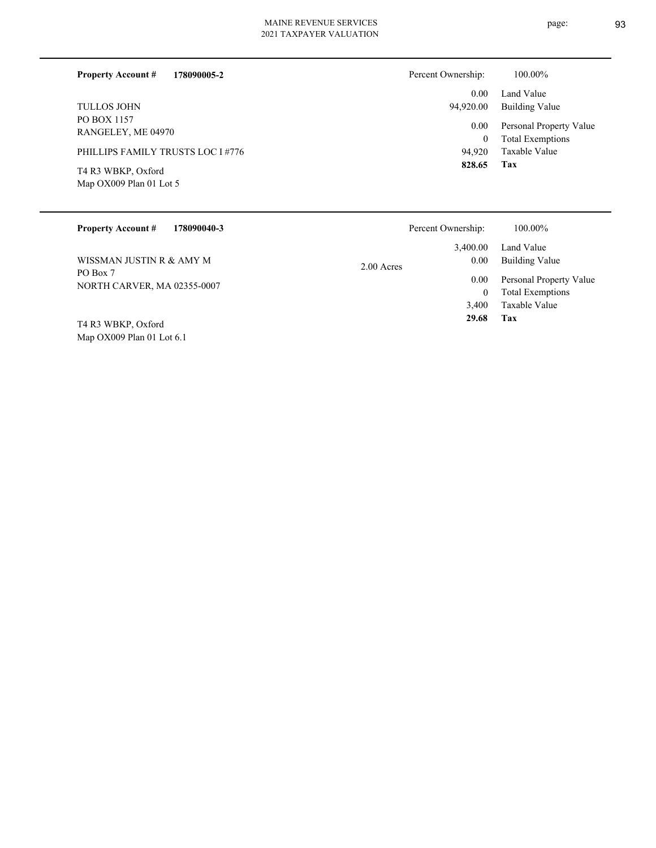page: 93

| 178090005-2<br><b>Property Account #</b>        | Percent Ownership: | 100.00%                                            |
|-------------------------------------------------|--------------------|----------------------------------------------------|
|                                                 | 0.00               | Land Value                                         |
| <b>TULLOS JOHN</b>                              | 94,920.00          | Building Value                                     |
| PO BOX 1157<br>RANGELEY, ME 04970               | 0.00<br>$\bf{0}$   | Personal Property Value<br><b>Total Exemptions</b> |
| PHILLIPS FAMILY TRUSTS LOC I #776               | 94.920             | Taxable Value                                      |
| T4 R3 WBKP, Oxford<br>Map $OX009$ Plan 01 Lot 5 | 828.65             | Tax                                                |

| <b>Property Account #</b><br>178090040-3 | Percent Ownership:                 | 100.00%                                            |
|------------------------------------------|------------------------------------|----------------------------------------------------|
| WISSMAN JUSTIN R & AMY M                 | 3.400.00<br>0.00                   | Land Value<br><b>Building Value</b>                |
| PO Box 7<br>NORTH CARVER, MA 02355-0007  | 2.00 Acres<br>0.00<br>$\mathbf{0}$ | Personal Property Value<br><b>Total Exemptions</b> |
|                                          | 3,400                              | Taxable Value                                      |
| T4 R3 WBKP, Oxford                       | 29.68                              | Tax                                                |
| Map $OX009$ Plan 01 Lot 6.1              |                                    |                                                    |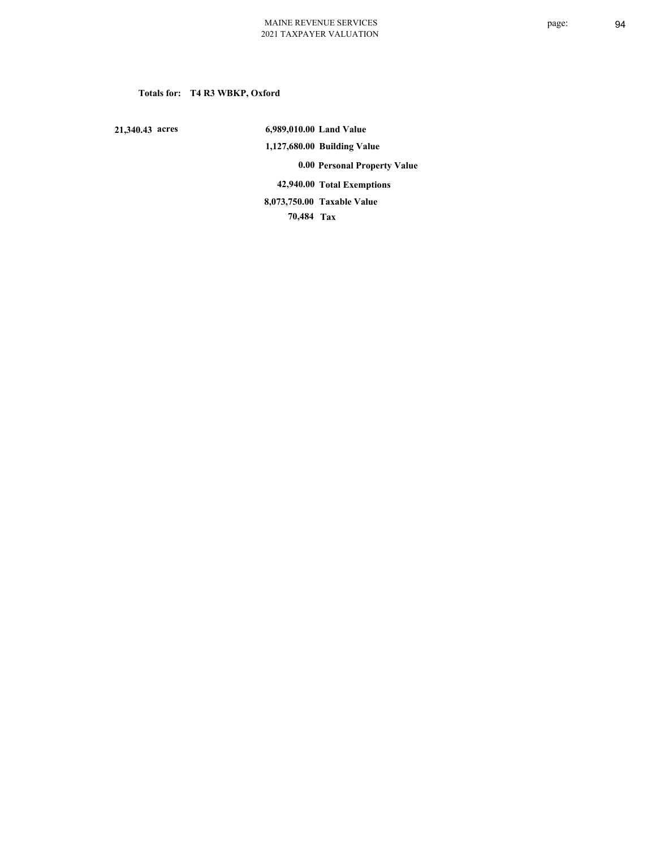## **Totals for: T4 R3 WBKP, Oxford**

 **21,340.43 acres**

 **6,989,010.00 Land Value 1,127,680.00 Building Value 0.00 Personal Property Value 42,940.00 Total Exemptions 70,484 Tax Taxable Value 8,073,750.00**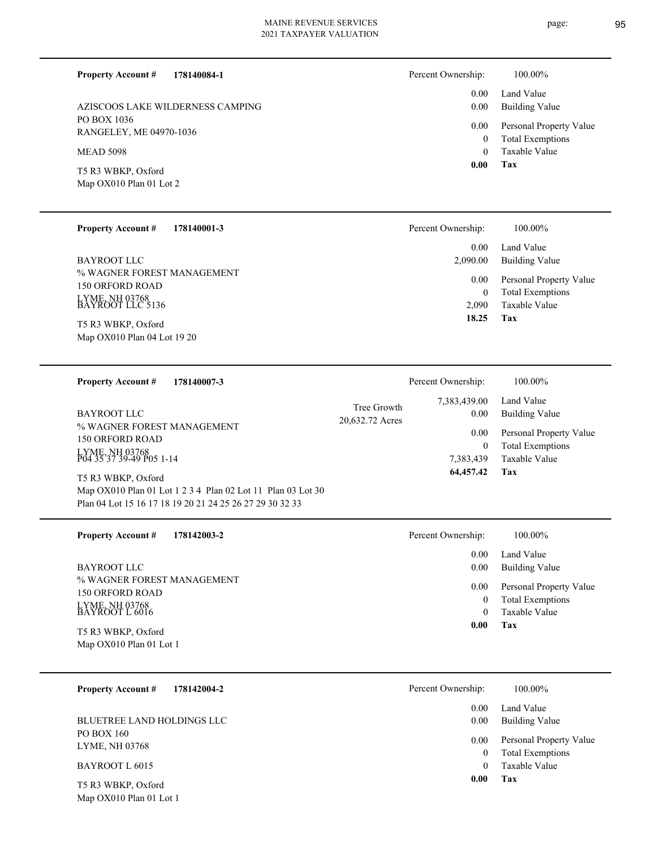page: 95

| <b>Property Account #</b>                            | 178140084-1                                                 |                                | Percent Ownership:           | 100.00%                                          |
|------------------------------------------------------|-------------------------------------------------------------|--------------------------------|------------------------------|--------------------------------------------------|
|                                                      | AZISCOOS LAKE WILDERNESS CAMPING                            |                                | 0.00<br>0.00                 | Land Value<br><b>Building Value</b>              |
| PO BOX 1036<br>RANGELEY, ME 04970-1036               |                                                             |                                | 0.00                         | Personal Property Value                          |
| <b>MEAD 5098</b>                                     |                                                             |                                | $\boldsymbol{0}$<br>$\theta$ | <b>Total Exemptions</b><br>Taxable Value         |
| T5 R3 WBKP, Oxford                                   |                                                             |                                | 0.00                         | Tax                                              |
| Map OX010 Plan 01 Lot 2                              |                                                             |                                |                              |                                                  |
|                                                      |                                                             |                                |                              |                                                  |
| <b>Property Account #</b>                            | 178140001-3                                                 |                                | Percent Ownership:           | 100.00%                                          |
| <b>BAYROOT LLC</b>                                   |                                                             |                                | 0.00<br>2,090.00             | Land Value<br><b>Building Value</b>              |
| % WAGNER FOREST MANAGEMENT<br><b>150 ORFORD ROAD</b> |                                                             |                                | 0.00                         | Personal Property Value                          |
| LYME, NH 03768<br>BAYROOT LLC 5136                   |                                                             |                                | $\mathbf{0}$<br>2,090        | <b>Total Exemptions</b><br>Taxable Value         |
| T5 R3 WBKP, Oxford                                   |                                                             |                                | 18.25                        | Tax                                              |
| Map OX010 Plan 04 Lot 19 20                          |                                                             |                                |                              |                                                  |
|                                                      |                                                             |                                |                              |                                                  |
| <b>Property Account #</b>                            | 178140007-3                                                 |                                | Percent Ownership:           | 100.00%                                          |
| <b>BAYROOT LLC</b>                                   |                                                             | Tree Growth<br>20,632.72 Acres | 7,383,439.00<br>0.00         | Land Value<br><b>Building Value</b>              |
| % WAGNER FOREST MANAGEMENT<br><b>150 ORFORD ROAD</b> |                                                             |                                | 0.00                         | Personal Property Value                          |
| LYME, NH 03768<br>P04 35 37 39-49 P05 1-14           |                                                             |                                | $\mathbf{0}$<br>7,383,439    | <b>Total Exemptions</b><br>Taxable Value         |
| T5 R3 WBKP, Oxford                                   |                                                             |                                | 64,457.42                    | Tax                                              |
|                                                      | Map OX010 Plan 01 Lot 1 2 3 4 Plan 02 Lot 11 Plan 03 Lot 30 |                                |                              |                                                  |
|                                                      | Plan 04 Lot 15 16 17 18 19 20 21 24 25 26 27 29 30 32 33    |                                |                              |                                                  |
| <b>Property Account #</b>                            | 178142003-2                                                 |                                | Percent Ownership:           | 100.00%                                          |
| <b>BAYROOT LLC</b>                                   |                                                             |                                | 0.00<br>0.00                 | Land Value                                       |
| % WAGNER FOREST MANAGEMENT                           |                                                             |                                | 0.00                         | <b>Building Value</b><br>Personal Property Value |
| 150 ORFORD ROAD                                      |                                                             |                                | $\mathbf{0}$                 | <b>Total Exemptions</b>                          |
| LYME, NH 03768<br>BAYROOT L 6016                     |                                                             |                                | $\mathbf{0}$                 | <b>Taxable Value</b><br>Tax                      |
| T5 R3 WBKP, Oxford<br>Map OX010 Plan 01 Lot 1        |                                                             |                                | 0.00                         |                                                  |
|                                                      |                                                             |                                |                              |                                                  |
| <b>Property Account #</b>                            | 178142004-2                                                 |                                | Percent Ownership:           | 100.00%                                          |
|                                                      |                                                             |                                | 0.00                         | Land Value                                       |
| <b>BLUETREE LAND HOLDINGS LLC</b>                    |                                                             |                                | 0.00                         | <b>Building Value</b>                            |

**Tax 0.00**

0

Taxable Value 0 Total Exemptions 0.00 Personal Property Value

Map OX010 Plan 01 Lot 1 T5 R3 WBKP, Oxford

BAYROOT L 6015

PO BOX 160 LYME, NH 03768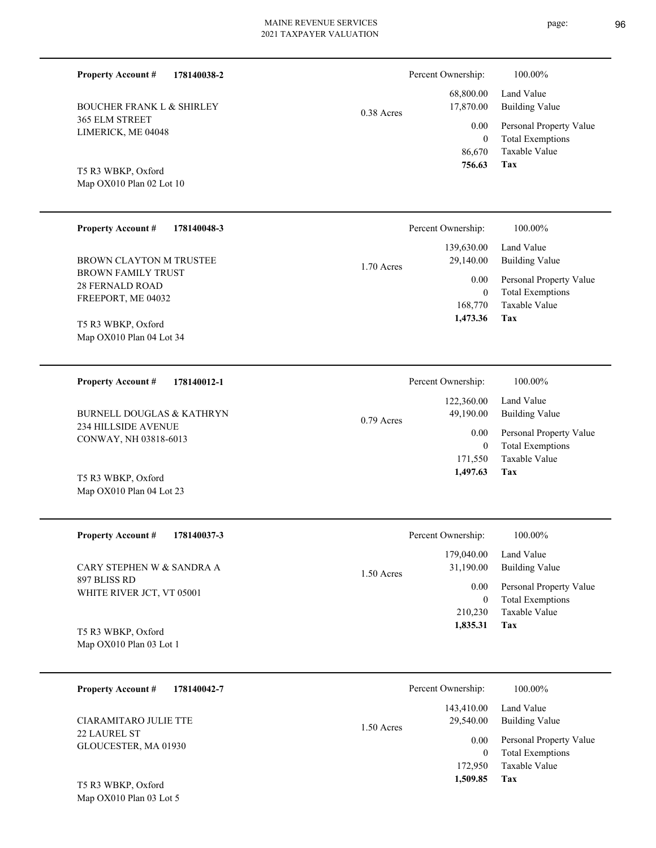0.38 Acres

365 ELM STREET LIMERICK, ME 04048

BOUCHER FRANK L & SHIRLEY

**178140038-2**

Map OX010 Plan 02 Lot 10 T5 R3 WBKP, Oxford

**Property Account #**

| <b>Property Account #</b><br>178140048-3                                                      | Percent Ownership:                                                     | 100.00%                                                                                                    |
|-----------------------------------------------------------------------------------------------|------------------------------------------------------------------------|------------------------------------------------------------------------------------------------------------|
| BROWN CLAYTON M TRUSTEE<br><b>BROWN FAMILY TRUST</b><br>28 FERNALD ROAD<br>FREEPORT, ME 04032 | 139,630.00<br>29,140.00<br>$1.70$ Acres<br>0.00<br>168,770<br>1,473.36 | Land Value<br>Building Value<br>Personal Property Value<br><b>Total Exemptions</b><br>Taxable Value<br>Tax |
| T5 R3 WBKP, Oxford<br>Map OX010 Plan 04 Lot 34                                                |                                                                        |                                                                                                            |

| 178140012-1<br><b>Property Account #</b> | Percent Ownership:        | 100.00%                 |
|------------------------------------------|---------------------------|-------------------------|
|                                          | 122,360.00                | Land Value              |
| BURNELL DOUGLAS & KATHRYN                | 49.190.00<br>$0.79$ Acres | Building Value          |
| <b>234 HILLSIDE AVENUE</b>               | 0.00                      | Personal Property Value |
| CONWAY, NH 03818-6013                    | 0                         | <b>Total Exemptions</b> |
|                                          | 171.550                   | Taxable Value           |
| T5 R3 WBKP, Oxford                       | 1.497.63                  | Tax                     |

| <b>Property Account #</b><br>178140037-3  | Percent Ownership:                      | 100.00%                                            |
|-------------------------------------------|-----------------------------------------|----------------------------------------------------|
| CARY STEPHEN W & SANDRA A                 | 179,040.00<br>31,190.00<br>$1.50$ Acres | Land Value<br>Building Value                       |
| 897 BLISS RD<br>WHITE RIVER JCT, VT 05001 | 0.00<br>0                               | Personal Property Value<br><b>Total Exemptions</b> |
| T5 R3 WRKP Oxford                         | 210.230<br>1,835.31                     | Taxable Value<br>Tax                               |

Map OX010 Plan 03 Lot 1 T5 R3 WBKP, Oxford

Map OX010 Plan 04 Lot 23

| 178140042-7<br><b>Property Account #</b>    | Percent Ownership:                      | 100.00%                                            |
|---------------------------------------------|-----------------------------------------|----------------------------------------------------|
| CIARAMITARO JULIE TTE                       | 143,410.00<br>29,540.00<br>$1.50$ Acres | Land Value<br>Building Value                       |
| <b>22 LAUREL ST</b><br>GLOUCESTER, MA 01930 | 0.00<br>0                               | Personal Property Value<br><b>Total Exemptions</b> |
|                                             | 172,950                                 | Taxable Value                                      |
| T5 R3 WBKP, Oxford                          | 1,509.85                                | Tax                                                |

Map OX010 Plan 03 Lot 5



 68,800.00 17,870.00

Percent Ownership:  $100.00\%$ 

Building Value Land Value

| Percent Ownership:      | 100.00%                   |
|-------------------------|---------------------------|
| 122,360.00<br>49,190.00 | Land Value<br>Building Va |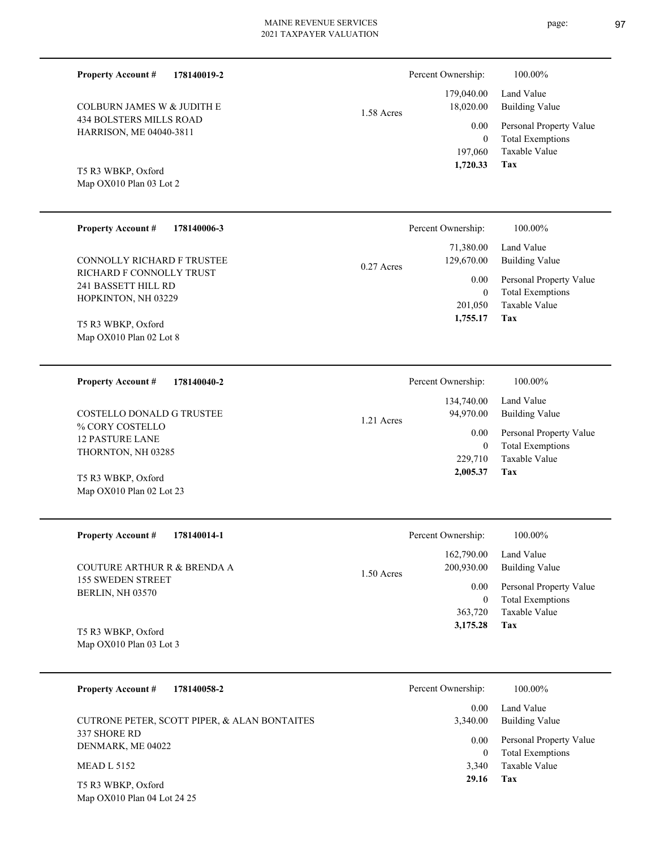434 BOLSTERS MILLS ROAD HARRISON, ME 04040-3811 COLBURN JAMES W & JUDITH E 1.58 Acres

## Land Value 0 179,040.00 18,020.00 0.00 Percent Ownership:  $100.00\%$

| 179,040.00<br>18,020.00 | Land Value<br><b>Building Value</b> |
|-------------------------|-------------------------------------|
| $0.00\,$                | Personal Property Value             |
| 0                       | <b>Total Exemptions</b>             |
| 197,060                 | Taxable Value                       |
| 1,720.33                | Tax                                 |

Map OX010 Plan 03 Lot 2 T5 R3 WBKP, Oxford

Map OX010 Plan 02 Lot 23

**Property Account #**

**178140019-2**

| <b>Property Account #</b><br>178140006-3                               | Percent Ownership:                      | 100.00%                                                             |
|------------------------------------------------------------------------|-----------------------------------------|---------------------------------------------------------------------|
| CONNOLLY RICHARD F TRUSTEE                                             | 71,380.00<br>129,670.00<br>$0.27$ Acres | Land Value<br>Building Value                                        |
| RICHARD F CONNOLLY TRUST<br>241 BASSETT HILL RD<br>HOPKINTON, NH 03229 | $0.00\,$<br>0<br>201,050                | Personal Property Value<br><b>Total Exemptions</b><br>Taxable Value |
| T5 R3 WBKP, Oxford<br>Map OX010 Plan 02 Lot 8                          | 1,755.17                                | Tax                                                                 |

| 178140040-2<br><b>Property Account #</b>  | Percent Ownership:        | 100.00%                 |
|-------------------------------------------|---------------------------|-------------------------|
|                                           | 134,740.00                | Land Value              |
| COSTELLO DONALD G TRUSTEE                 | 94,970.00<br>$1.21$ Acres | Building Value          |
| % CORY COSTELLO<br><b>12 PASTURE LANE</b> | 0.00                      | Personal Property Value |
| THORNTON, NH 03285                        | 0                         | <b>Total Exemptions</b> |
|                                           | 229,710                   | Taxable Value           |
| T5 R3 WBKP, Oxford                        | 2,005.37                  | Tax                     |

| <b>Property Account #</b><br>178140014-1            | Percent Ownership:                       | 100.00%                      |
|-----------------------------------------------------|------------------------------------------|------------------------------|
| COUTURE ARTHUR R & BRENDA A                         | 162,790.00<br>200,930.00<br>$1.50$ Acres | Land Value<br>Building Value |
| <b>155 SWEDEN STREET</b><br><b>BERLIN, NH 03570</b> | 0.00                                     | Personal Property Value      |
|                                                     | 0                                        | <b>Total Exemptions</b>      |
|                                                     | 363,720                                  | Taxable Value                |
| T5 R3 WBKP, Oxford                                  | 3,175.28                                 | Tax                          |
| Map OX010 Plan 03 Lot 3                             |                                          |                              |

| 178140058-2<br><b>Property Account #</b>          | Percent Ownership: | 100.00%                                            |
|---------------------------------------------------|--------------------|----------------------------------------------------|
| CUTRONE PETER, SCOTT PIPER, & ALAN BONTAITES      | 0.00<br>3.340.00   | Land Value<br>Building Value                       |
| 337 SHORE RD<br>DENMARK, ME 04022                 | 0.00<br>$\theta$   | Personal Property Value<br><b>Total Exemptions</b> |
| <b>MEAD L 5152</b>                                | 3.340              | Taxable Value                                      |
| T5 R3 WBKP, Oxford<br>Map OX010 Plan 04 Lot 24 25 | 29.16              | Tax                                                |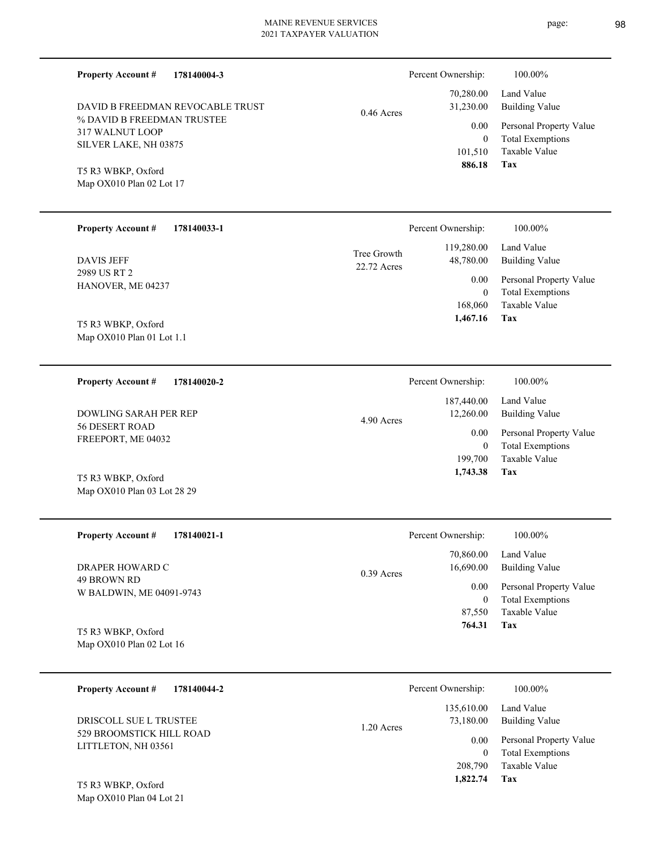**178140004-3** DAVID B FREEDMAN REVOCABLE TRUST

% DAVID B FREEDMAN TRUSTEE 317 WALNUT LOOP SILVER LAKE, NH 03875

Map OX010 Plan 02 Lot 17 T5 R3 WBKP, Oxford

Map OX010 Plan 01 Lot 1.1

Map OX010 Plan 03 Lot 28 29

**Property Account #**

| <b>Property Account #</b>         | 178140033-1 |                            | Percent Ownership:      | 100.00%                                            |
|-----------------------------------|-------------|----------------------------|-------------------------|----------------------------------------------------|
| <b>DAVIS JEFF</b>                 |             | Tree Growth<br>22.72 Acres | 119,280.00<br>48,780.00 | Land Value<br>Building Value                       |
| 2989 US RT 2<br>HANOVER, ME 04237 |             |                            | 0.00<br>$\theta$        | Personal Property Value<br><b>Total Exemptions</b> |
|                                   |             |                            | 168,060                 | Taxable Value                                      |
| T5 R3 WBKP, Oxford                |             |                            | 1,467.16                | Tax                                                |

0.46 Acres

**178140020-2 Tax** Taxable Value Total Exemptions Personal Property Value Building Value Land Value 56 DESERT ROAD FREEPORT, ME 04032 **Property Account #** T5 R3 WBKP, Oxford DOWLING SARAH PER REP 199,700 0  **1,743.38** 187,440.00 12,260.00 0.00 4.90 Acres Percent Ownership:  $100.00\%$ 

| <b>Property Account #</b><br>178140021-1 | Percent Ownership:                     | 100.00%                                  |
|------------------------------------------|----------------------------------------|------------------------------------------|
| DRAPER HOWARD C                          | 70,860.00<br>16,690.00<br>$0.39$ Acres | Land Value<br>Building Value             |
| 49 BROWN RD<br>W BALDWIN, ME 04091-9743  | 0.00                                   | Personal Property Value                  |
|                                          | $\boldsymbol{0}$<br>87,550             | <b>Total Exemptions</b><br>Taxable Value |
| T5 R3 WBKP, Oxford                       | 764.31                                 | Tax                                      |
| Map $OX010$ Plan 02 Lot 16               |                                        |                                          |

| 178140044-2<br><b>Property Account #</b>        | Percent Ownership:               | 100.00%                                            |
|-------------------------------------------------|----------------------------------|----------------------------------------------------|
| DRISCOLL SUE L TRUSTEE                          | 135,610.00<br>73,180.00          | Land Value<br><b>Building Value</b>                |
| 529 BROOMSTICK HILL ROAD<br>LITTLETON, NH 03561 | $1.20$ Acres<br>0.00<br>$\theta$ | Personal Property Value<br><b>Total Exemptions</b> |
|                                                 | 208,790                          | Taxable Value                                      |
| T5 R3 WBKP, Oxford                              | 1,822.74                         | Tax                                                |

Map OX010 Plan 04 Lot 21

**Tax**

 101,510 0

 70,280.00 31,230.00 0.00

Percent Ownership:  $100.00\%$ 

 **886.18**

Taxable Value Total Exemptions Personal Property Value

Building Value Land Value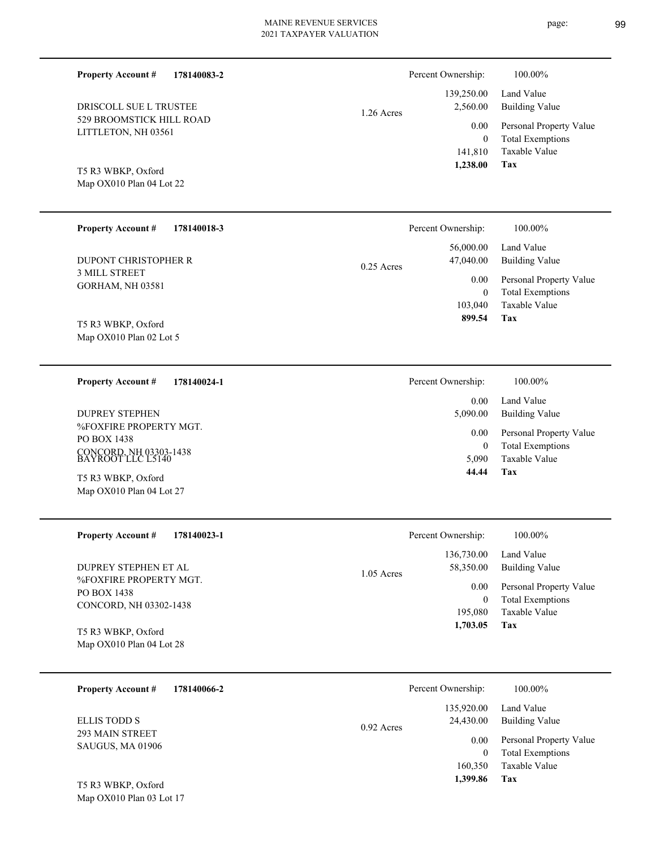▃

|--|

| <b>Property Account #</b><br>178140083-2                                             |              | Percent Ownership:              | 100.00%                                                                    |
|--------------------------------------------------------------------------------------|--------------|---------------------------------|----------------------------------------------------------------------------|
| DRISCOLL SUE L TRUSTEE                                                               | $1.26$ Acres | 139,250.00<br>2,560.00          | Land Value<br><b>Building Value</b>                                        |
| 529 BROOMSTICK HILL ROAD<br>LITTLETON, NH 03561                                      |              | 0.00<br>$\mathbf{0}$<br>141,810 | Personal Property Value<br><b>Total Exemptions</b><br><b>Taxable Value</b> |
| T5 R3 WBKP, Oxford<br>Map OX010 Plan 04 Lot 22                                       |              | 1,238.00                        | Tax                                                                        |
| <b>Property Account #</b><br>178140018-3                                             |              | Percent Ownership:              | 100.00%                                                                    |
| DUPONT CHRISTOPHER R                                                                 | $0.25$ Acres | 56,000.00<br>47,040.00          | Land Value<br><b>Building Value</b>                                        |
| <b>3 MILL STREET</b><br><b>GORHAM, NH 03581</b>                                      |              | 0.00<br>$\mathbf{0}$            | Personal Property Value<br><b>Total Exemptions</b>                         |
| T5 R3 WBKP, Oxford<br>Map OX010 Plan 02 Lot 5                                        |              | 103,040<br>899.54               | Taxable Value<br>Tax                                                       |
| <b>Property Account #</b><br>178140024-1                                             |              | Percent Ownership:              | 100.00%                                                                    |
| <b>DUPREY STEPHEN</b>                                                                |              | 0.00<br>5,090.00                | Land Value<br><b>Building Value</b>                                        |
| %FOXFIRE PROPERTY MGT.<br>PO BOX 1438<br>CONCORD, NH 03303-1438<br>BAYROOT LLC L5140 |              | 0.00<br>$\overline{0}$          | Personal Property Value<br><b>Total Exemptions</b>                         |
| T5 R3 WBKP, Oxford                                                                   |              | 5,090<br>44.44                  | <b>Taxable Value</b><br>Tax                                                |
| Map OX010 Plan 04 Lot 27                                                             |              |                                 |                                                                            |
| <b>Property Account #</b><br>178140023-1                                             |              | Percent Ownership:              | 100.00%                                                                    |
| DUPREY STEPHEN ET AL                                                                 |              | 136,730.00<br>58,350.00         | Land Value<br><b>Building Value</b>                                        |
| %FOXFIRE PROPERTY MGT.<br>PO BOX 1438                                                | 1.05 Acres   | 0.00<br>$\boldsymbol{0}$        | Personal Property Value<br><b>Total Exemptions</b>                         |
| CONCORD, NH 03302-1438                                                               |              | 195,080<br>1,703.05             | <b>Taxable Value</b><br>Tax                                                |
| T5 R3 WBKP, Oxford<br>Map OX010 Plan 04 Lot 28                                       |              |                                 |                                                                            |
| 178140066-2<br><b>Property Account #</b>                                             |              | Percent Ownership:              | 100.00%                                                                    |
| <b>ELLIS TODD S</b>                                                                  | 0.92 Acres   | 135,920.00<br>24,430.00         | Land Value<br><b>Building Value</b>                                        |
| 293 MAIN STREET<br>SAUGUS, MA 01906                                                  |              | 0.00<br>$\boldsymbol{0}$        | Personal Property Value<br><b>Total Exemptions</b>                         |
| T5 R3 WBKP, Oxford<br>Map OX010 Plan 03 Lot 17                                       |              | 160,350<br>1,399.86             | Taxable Value<br><b>Tax</b>                                                |
|                                                                                      |              |                                 |                                                                            |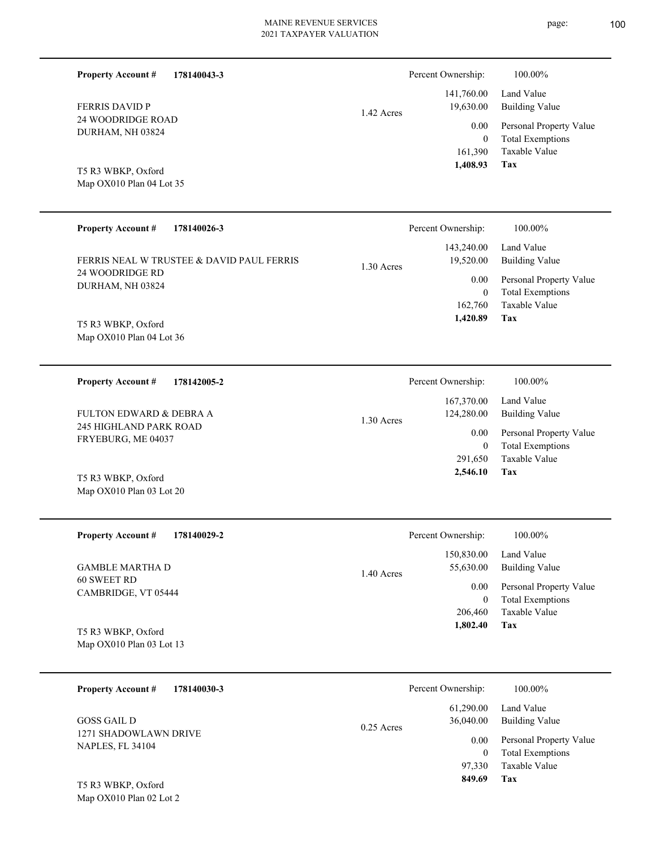$\overline{\phantom{0}}$ 

| <b>Property Account #</b><br>178140043-3       |              | Percent Ownership:       | 100.00%                                            |
|------------------------------------------------|--------------|--------------------------|----------------------------------------------------|
| <b>FERRIS DAVID P</b>                          | 1.42 Acres   | 141,760.00<br>19,630.00  | Land Value<br><b>Building Value</b>                |
| 24 WOODRIDGE ROAD<br>DURHAM, NH 03824          |              | 0.00<br>$\overline{0}$   | Personal Property Value<br><b>Total Exemptions</b> |
| T5 R3 WBKP, Oxford<br>Map OX010 Plan 04 Lot 35 |              | 161,390<br>1,408.93      | Taxable Value<br>Tax                               |
|                                                |              |                          |                                                    |
| <b>Property Account #</b><br>178140026-3       |              | Percent Ownership:       | 100.00%                                            |
| FERRIS NEAL W TRUSTEE & DAVID PAUL FERRIS      | 1.30 Acres   | 143,240.00<br>19,520.00  | Land Value<br><b>Building Value</b>                |
| 24 WOODRIDGE RD<br>DURHAM, NH 03824            |              | 0.00<br>$\overline{0}$   | Personal Property Value<br><b>Total Exemptions</b> |
| T5 R3 WBKP, Oxford                             |              | 162,760<br>1,420.89      | Taxable Value<br>Tax                               |
| Map OX010 Plan 04 Lot 36                       |              |                          |                                                    |
| <b>Property Account #</b><br>178142005-2       |              | Percent Ownership:       | 100.00%                                            |
| FULTON EDWARD & DEBRA A                        | 1.30 Acres   | 167,370.00<br>124,280.00 | Land Value<br><b>Building Value</b>                |
| 245 HIGHLAND PARK ROAD<br>FRYEBURG, ME 04037   |              | 0.00<br>$\overline{0}$   | Personal Property Value<br><b>Total Exemptions</b> |
| T5 R3 WBKP, Oxford                             |              | 291,650<br>2,546.10      | <b>Taxable Value</b><br>Tax                        |
| Map OX010 Plan 03 Lot 20                       |              |                          |                                                    |
| <b>Property Account #</b><br>178140029-2       |              | Percent Ownership:       | 100.00%                                            |
| <b>GAMBLE MARTHA D</b>                         | 1.40 Acres   | 150,830.00<br>55,630.00  | Land Value<br><b>Building Value</b>                |
| 60 SWEET RD<br>CAMBRIDGE, VT 05444             |              | 0.00<br>$\boldsymbol{0}$ | Personal Property Value<br><b>Total Exemptions</b> |
| T5 R3 WBKP, Oxford                             |              | 206,460<br>1,802.40      | Taxable Value<br>Tax                               |
| Map OX010 Plan 03 Lot 13                       |              |                          |                                                    |
| <b>Property Account #</b><br>178140030-3       |              | Percent Ownership:       | 100.00%                                            |
| <b>GOSS GAIL D</b>                             | $0.25$ Acres | 61,290.00<br>36,040.00   | Land Value<br><b>Building Value</b>                |
| 1271 SHADOWLAWN DRIVE<br>NAPLES, FL 34104      |              | 0.00<br>$\mathbf{0}$     | Personal Property Value<br><b>Total Exemptions</b> |
| T5 R3 WBKP, Oxford                             |              | 97,330<br>849.69         | Taxable Value<br>Tax                               |
| Map OX010 Plan 02 Lot 2                        |              |                          |                                                    |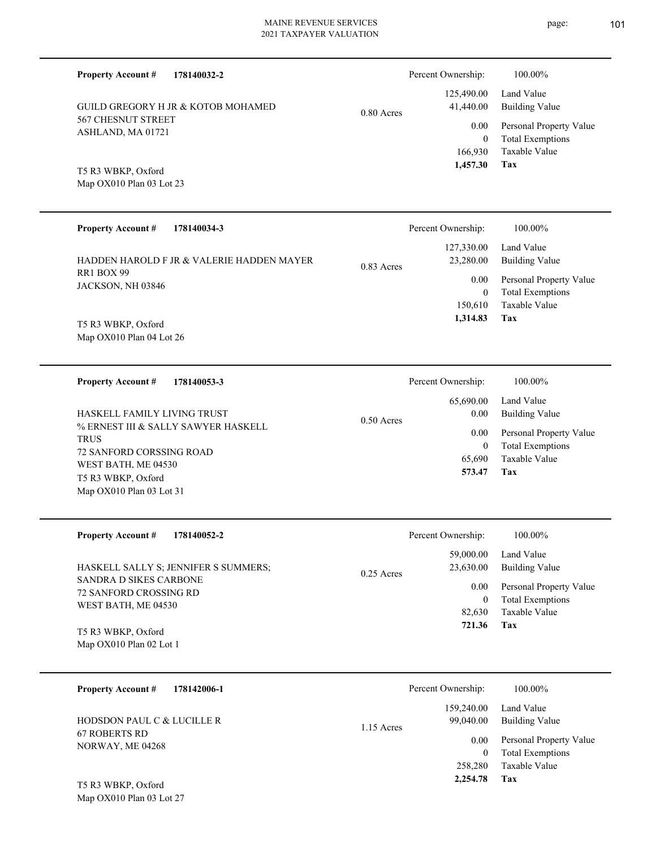| <b>Property Account #</b><br>178140032-2                       |              | Percent Ownership:          | 100.00%                                            |
|----------------------------------------------------------------|--------------|-----------------------------|----------------------------------------------------|
| <b>GUILD GREGORY H JR &amp; KOTOB MOHAMED</b>                  | 0.80 Acres   | 125,490.00<br>41,440.00     | Land Value<br><b>Building Value</b>                |
| 567 CHESNUT STREET<br>ASHLAND, MA 01721                        |              | 0.00                        | Personal Property Value<br><b>Total Exemptions</b> |
|                                                                |              | $\boldsymbol{0}$<br>166,930 | Taxable Value                                      |
| T5 R3 WBKP, Oxford                                             |              | 1,457.30                    | Tax                                                |
| Map OX010 Plan 03 Lot 23                                       |              |                             |                                                    |
|                                                                |              |                             |                                                    |
| <b>Property Account #</b><br>178140034-3                       |              | Percent Ownership:          | 100.00%                                            |
| HADDEN HAROLD F JR & VALERIE HADDEN MAYER                      | 0.83 Acres   | 127,330.00<br>23,280.00     | Land Value<br><b>Building Value</b>                |
| RR1 BOX 99<br>JACKSON, NH 03846                                |              | 0.00                        | Personal Property Value                            |
|                                                                |              | $\mathbf{0}$<br>150,610     | <b>Total Exemptions</b><br>Taxable Value           |
| T5 R3 WBKP, Oxford                                             |              | 1,314.83                    | Tax                                                |
| Map OX010 Plan 04 Lot 26                                       |              |                             |                                                    |
|                                                                |              |                             |                                                    |
| 178140053-3<br><b>Property Account #</b>                       |              | Percent Ownership:          | 100.00%                                            |
| HASKELL FAMILY LIVING TRUST                                    |              | 65,690.00<br>0.00           | Land Value<br><b>Building Value</b>                |
| % ERNEST III & SALLY SAWYER HASKELL                            | $0.50$ Acres | 0.00                        | Personal Property Value                            |
| <b>TRUS</b><br>72 SANFORD CORSSING ROAD                        |              | $\mathbf{0}$                | <b>Total Exemptions</b>                            |
| WEST BATH, ME 04530                                            |              | 65,690<br>573.47            | Taxable Value<br>Tax                               |
| T5 R3 WBKP, Oxford<br>Map OX010 Plan 03 Lot 31                 |              |                             |                                                    |
|                                                                |              |                             |                                                    |
| 178140052-2<br><b>Property Account #</b>                       |              | Percent Ownership:          | 100.00%                                            |
|                                                                |              | 59,000.00                   | Land Value                                         |
| HASKELL SALLY S; JENNIFER S SUMMERS;<br>SANDRA D SIKES CARBONE | 0.25 Acres   | 23,630.00                   | <b>Building Value</b>                              |
| 72 SANFORD CROSSING RD                                         |              | 0.00<br>$\bf{0}$            | Personal Property Value<br><b>Total Exemptions</b> |
| WEST BATH, ME 04530                                            |              | 82,630                      | Taxable Value                                      |
| T5 R3 WBKP, Oxford                                             |              | 721.36                      | Tax                                                |
| Map OX010 Plan 02 Lot 1                                        |              |                             |                                                    |
| <b>Property Account #</b><br>178142006-1                       |              | Percent Ownership:          | 100.00%                                            |
|                                                                |              | 159,240.00                  | Land Value                                         |
| HODSDON PAUL C & LUCILLE R<br><b>67 ROBERTS RD</b>             | 1.15 Acres   | 99,040.00                   | <b>Building Value</b>                              |
| NORWAY, ME 04268                                               |              | 0.00<br>$\mathbf{0}$        | Personal Property Value<br><b>Total Exemptions</b> |

**Tax 2,254.78**

258,280 Taxable Value

Map OX010 Plan 03 Lot 27 T5 R3 WBKP, Oxford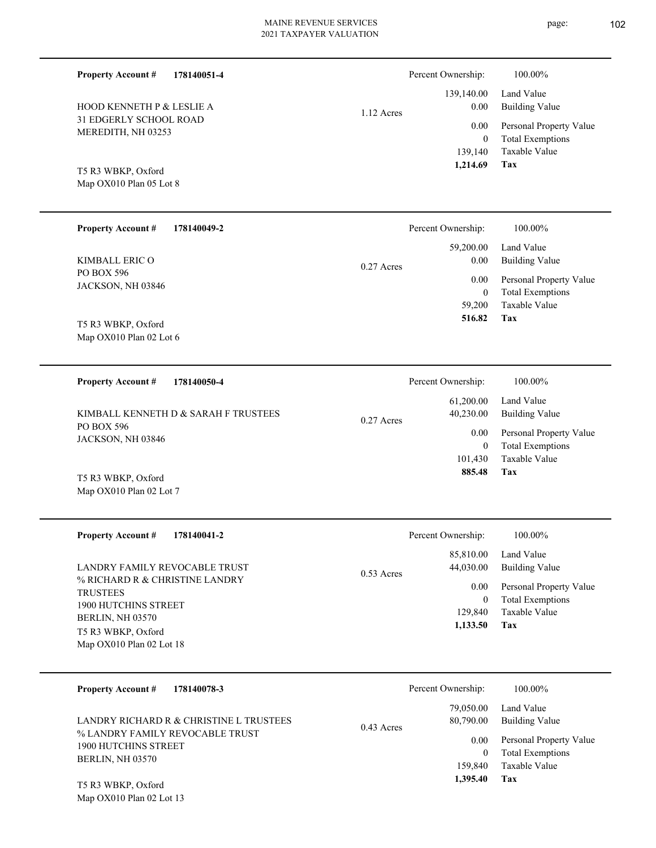Percent Ownership:  $100.00\%$ 

0.27 Acres

0.27 Acres

|            | $1,214.69$ Tax |                              |
|------------|----------------|------------------------------|
|            |                | 139,140 Taxable Value        |
|            | $\Omega$       | <b>Total Exemptions</b>      |
|            |                | 0.00 Personal Property Value |
| 1.12 Acres | 0.00           | Building Value               |
|            |                | 139,140.00 Land Value        |

**Tax**

**Tax**

Taxable Value Total Exemptions Personal Property Value

Building Value Land Value

 59,200 0

 59,200.00 0.00 0.00

Percent Ownership:  $100.00\%$ 

 **516.82**

 101,430 0

0.00

Percent Ownership:  $100.00\%$ 

 61,200.00 40,230.00

 **885.48**

Taxable Value Total Exemptions Personal Property Value

Building Value Land Value

Map OX010 Plan 05 Lot 8 T5 R3 WBKP, Oxford

PO BOX 596 KIMBALL ERIC O

**Property Account #**

JACKSON, NH 03846

Map OX010 Plan 02 Lot 6 T5 R3 WBKP, Oxford

**178140050-4 Property Account #**

PO BOX 596 JACKSON, NH 03846 KIMBALL KENNETH D & SARAH F TRUSTEES

**178140049-2**

Map OX010 Plan 02 Lot 7 T5 R3 WBKP, Oxford

Map OX010 Plan 02 Lot 13

| <b>Property Account #</b><br>178140041-2                                                                                                                                                  | Percent Ownership:                                                         | 100.00%                                                                                                    |
|-------------------------------------------------------------------------------------------------------------------------------------------------------------------------------------------|----------------------------------------------------------------------------|------------------------------------------------------------------------------------------------------------|
| LANDRY FAMILY REVOCABLE TRUST<br>% RICHARD R & CHRISTINE LANDRY<br><b>TRUSTEES</b><br>1900 HUTCHINS STREET<br><b>BERLIN. NH 03570</b><br>T5 R3 WBKP, Oxford<br>Map $OX010$ Plan 02 Lot 18 | 85,810.00<br>44,030.00<br>$0.53$ Acres<br>0.00<br>0<br>129,840<br>1,133.50 | Land Value<br>Building Value<br>Personal Property Value<br><b>Total Exemptions</b><br>Taxable Value<br>Tax |

| 178140078-3<br><b>Property Account #</b>                                                                                      | Percent Ownership:                                                    | 100.00%                                                                                                    |
|-------------------------------------------------------------------------------------------------------------------------------|-----------------------------------------------------------------------|------------------------------------------------------------------------------------------------------------|
| LANDRY RICHARD R & CHRISTINE L TRUSTEES<br>% LANDRY FAMILY REVOCABLE TRUST<br><b>1900 HUTCHINS STREET</b><br>BERLIN, NH 03570 | 79,050.00<br>80,790.00<br>$0.43$ Acres<br>0.00<br>159,840<br>1.395.40 | Land Value<br>Building Value<br>Personal Property Value<br><b>Total Exemptions</b><br>Taxable Value<br>Tax |
| T5 R3 WBKP, Oxford                                                                                                            |                                                                       |                                                                                                            |

#### **178140051-4 Property Account #**

31 EDGERLY SCHOOL ROAD MEREDITH, NH 03253 HOOD KENNETH P & LESLIE A page: 102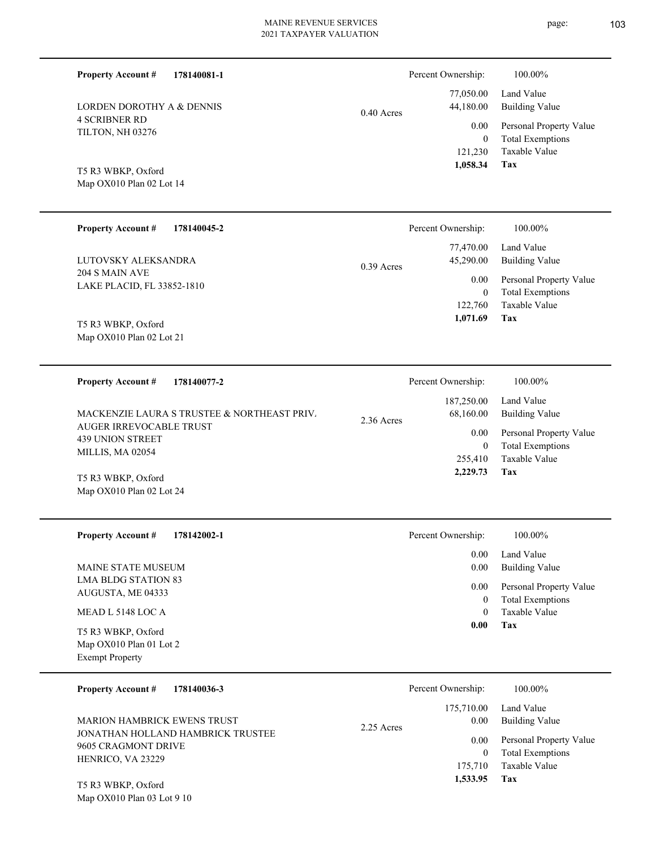Percent Ownership:  $100.00\%$ 

**Tax 1,533.95**

| <b>LORDEN DOROTHY A &amp; DENNIS</b>                                   | 0.40 Acres   | 77,050.00<br>44,180.00      | Land Value<br><b>Building Value</b>                |
|------------------------------------------------------------------------|--------------|-----------------------------|----------------------------------------------------|
| <b>4 SCRIBNER RD</b><br>TILTON, NH 03276                               |              | 0.00                        | Personal Property Value                            |
|                                                                        |              | $\boldsymbol{0}$<br>121,230 | <b>Total Exemptions</b><br>Taxable Value           |
| T5 R3 WBKP, Oxford<br>Map OX010 Plan 02 Lot 14                         |              | 1,058.34                    | Tax                                                |
|                                                                        |              |                             |                                                    |
| <b>Property Account #</b><br>178140045-2                               |              | Percent Ownership:          | 100.00%                                            |
| LUTOVSKY ALEKSANDRA                                                    |              | 77,470.00<br>45,290.00      | Land Value<br><b>Building Value</b>                |
| 204 S MAIN AVE                                                         | $0.39$ Acres | 0.00                        | Personal Property Value                            |
| LAKE PLACID, FL 33852-1810                                             |              | $\boldsymbol{0}$            | <b>Total Exemptions</b>                            |
|                                                                        |              | 122,760<br>1,071.69         | Taxable Value<br>Tax                               |
| T5 R3 WBKP, Oxford<br>Map OX010 Plan 02 Lot 21                         |              |                             |                                                    |
|                                                                        |              |                             |                                                    |
| 178140077-2<br><b>Property Account #</b>                               |              | Percent Ownership:          | 100.00%                                            |
|                                                                        |              | 187,250.00                  | Land Value                                         |
| MACKENZIE LAURA S TRUSTEE & NORTHEAST PRIV.<br>AUGER IRREVOCABLE TRUST | 2.36 Acres   | 68,160.00                   | <b>Building Value</b>                              |
| <b>439 UNION STREET</b>                                                |              | 0.00<br>$\boldsymbol{0}$    | Personal Property Value<br><b>Total Exemptions</b> |
| MILLIS, MA 02054                                                       |              | 255,410                     | Taxable Value                                      |
| T5 R3 WBKP, Oxford                                                     |              | 2,229.73                    | Tax                                                |
| Map OX010 Plan 02 Lot 24                                               |              |                             |                                                    |
| <b>Property Account #</b><br>178142002-1                               |              | Percent Ownership:          | 100.00%                                            |
|                                                                        |              | 0.00                        | Land Value                                         |
| MAINE STATE MUSEUM<br><b>LMA BLDG STATION 83</b>                       |              |                             | 0.00 Building Value                                |
| AUGUSTA, ME 04333                                                      |              | 0.00<br>$\boldsymbol{0}$    | Personal Property Value<br><b>Total Exemptions</b> |
| MEAD L 5148 LOC A                                                      |              | $\overline{0}$              | Taxable Value                                      |
| T5 R3 WBKP, Oxford                                                     |              | 0.00                        | Tax                                                |
| Map OX010 Plan 01 Lot 2<br><b>Exempt Property</b>                      |              |                             |                                                    |
| <b>Property Account #</b><br>178140036-3                               |              | Percent Ownership:          | 100.00%                                            |
|                                                                        |              | 175,710.00                  | Land Value                                         |
| <b>MARION HAMBRICK EWENS TRUST</b>                                     | 2.25 Acres   | 0.00                        | <b>Building Value</b>                              |
| JONATHAN HOLLAND HAMBRICK TRUSTEE<br>9605 CRAGMONT DRIVE               |              | 0.00                        | Personal Property Value                            |
| HENRICO, VA 23229                                                      |              | $\boldsymbol{0}$<br>175,710 | <b>Total Exemptions</b><br>Taxable Value           |

Map OX010 Plan 03 Lot 9 10 T5 R3 WBKP, Oxford

**178140081-1**

**Property Account #**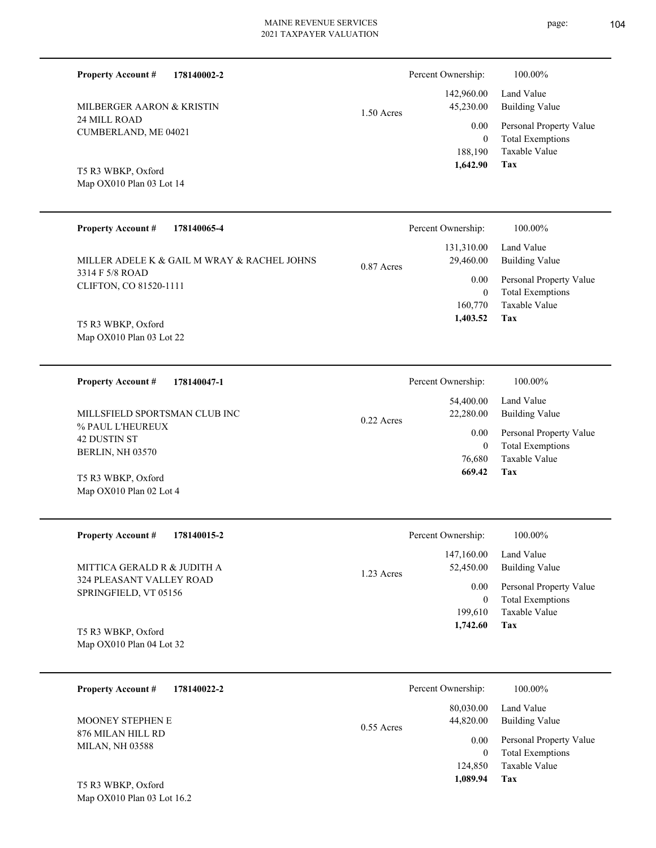▃

| <b>Property Account #</b><br>MILBERGER AARON & KRISTIN<br>24 MILL ROAD<br>CUMBERLAND, ME 04021<br>T5 R3 WBKP, Oxford<br>Map OX010 Plan 03 Lot 14                    | 178140002-2                                                | $1.50$ Acres | Percent Ownership:<br>142,960.00<br>45,230.00<br>0.00<br>$\mathbf{0}$<br>188,190<br>1,642.90  | 100.00%<br>Land Value<br><b>Building Value</b><br>Personal Property Value<br><b>Total Exemptions</b><br>Taxable Value<br>Tax |
|---------------------------------------------------------------------------------------------------------------------------------------------------------------------|------------------------------------------------------------|--------------|-----------------------------------------------------------------------------------------------|------------------------------------------------------------------------------------------------------------------------------|
| <b>Property Account #</b><br>3314 F 5/8 ROAD<br>CLIFTON, CO 81520-1111<br>T5 R3 WBKP, Oxford<br>Map OX010 Plan 03 Lot 22                                            | 178140065-4<br>MILLER ADELE K & GAIL M WRAY & RACHEL JOHNS | $0.87$ Acres | Percent Ownership:<br>131,310.00<br>29,460.00<br>0.00<br>$\mathbf{0}$<br>160,770<br>1,403.52  | 100.00%<br>Land Value<br><b>Building Value</b><br>Personal Property Value<br><b>Total Exemptions</b><br>Taxable Value<br>Tax |
| <b>Property Account #</b><br>MILLSFIELD SPORTSMAN CLUB INC<br>% PAUL L'HEUREUX<br>42 DUSTIN ST<br>BERLIN, NH 03570<br>T5 R3 WBKP, Oxford<br>Map OX010 Plan 02 Lot 4 | 178140047-1                                                | $0.22$ Acres | Percent Ownership:<br>54,400.00<br>22,280.00<br>0.00<br>$\boldsymbol{0}$<br>76,680<br>669.42  | 100.00%<br>Land Value<br><b>Building Value</b><br>Personal Property Value<br><b>Total Exemptions</b><br>Taxable Value<br>Tax |
| <b>Property Account #</b><br>MITTICA GERALD R & JUDITH A<br>324 PLEASANT VALLEY ROAD<br>SPRINGFIELD, VT 05156<br>T5 R3 WBKP, Oxford<br>Map OX010 Plan 04 Lot 32     | 178140015-2                                                | 1.23 Acres   | Percent Ownership:<br>147,160.00<br>52,450.00<br>0.00<br>$\mathbf{0}$<br>199,610<br>1,742.60  | 100.00%<br>Land Value<br><b>Building Value</b><br>Personal Property Value<br><b>Total Exemptions</b><br>Taxable Value<br>Tax |
| <b>Property Account #</b><br>MOONEY STEPHEN E<br>876 MILAN HILL RD<br><b>MILAN, NH 03588</b><br>T5 R3 WBKP, Oxford<br>Map OX010 Plan 03 Lot 16.2                    | 178140022-2                                                | $0.55$ Acres | Percent Ownership:<br>80,030.00<br>44,820.00<br>0.00<br>$\overline{0}$<br>124,850<br>1,089.94 | 100.00%<br>Land Value<br><b>Building Value</b><br>Personal Property Value<br><b>Total Exemptions</b><br>Taxable Value<br>Tax |

page: 104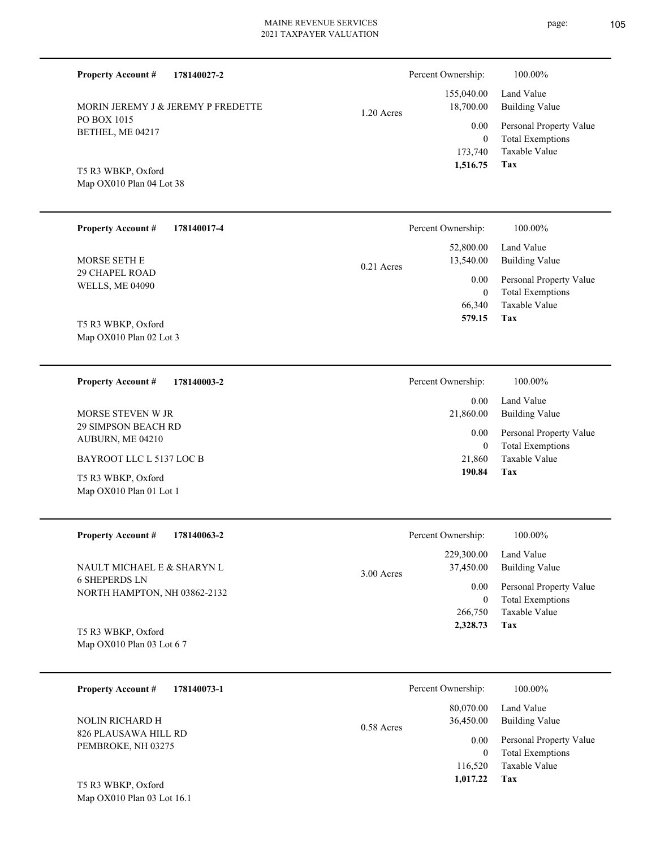**178140027-2 Tax** Taxable Value Total Exemptions Personal Property Value Building Value Land Value PO BOX 1015 BETHEL, ME 04217 **Property Account #** Map OX010 Plan 04 Lot 38 T5 R3 WBKP, Oxford MORIN JEREMY J & JEREMY P FREDETTE 173,740 0  **1,516.75** 155,040.00 18,700.00 0.00 1.20 Acres Percent Ownership:  $100.00\%$ **178140017-4** 66,340 0  **579.15** 52,800.00 13,540.00 0.00 0.21 Acres **178140003-2** 21,860 0  **190.84** 0.00 21,860.00 0.00 **178140063-2** 266,750 0  **2,328.73** 229,300.00 37,450.00 0.00 3.00 Acres

| <b>Property Account #</b><br>178140017-4<br>MORSE SETH E<br>29 CHAPEL ROAD<br><b>WELLS, ME 04090</b><br>T5 R3 WBKP, Oxford<br>Map OX010 Plan 02 Lot 3                                 | 100.00%<br>Percent Ownership:<br>Land Value<br>52,800.00<br>13,540.00<br><b>Building Value</b><br>$0.21$ Acres<br>Personal Property Value<br>0.00<br><b>Total Exemptions</b><br>$\mathbf{0}$<br>Taxable Value<br>66,340<br>Tax<br>579.15        |
|---------------------------------------------------------------------------------------------------------------------------------------------------------------------------------------|-------------------------------------------------------------------------------------------------------------------------------------------------------------------------------------------------------------------------------------------------|
| <b>Property Account #</b><br>178140003-2<br>MORSE STEVEN W JR<br>29 SIMPSON BEACH RD<br>AUBURN, ME 04210<br>BAYROOT LLC L 5137 LOC B<br>T5 R3 WBKP, Oxford<br>Map OX010 Plan 01 Lot 1 | 100.00%<br>Percent Ownership:<br>Land Value<br>0.00<br>21,860.00<br><b>Building Value</b><br>Personal Property Value<br>0.00<br><b>Total Exemptions</b><br>$\boldsymbol{0}$<br>Taxable Value<br>21,860<br>190.84<br>Tax                         |
| <b>Property Account #</b><br>178140063-2<br>NAULT MICHAEL E & SHARYN L<br><b>6 SHEPERDS LN</b><br>NORTH HAMPTON, NH 03862-2132<br>T5 R3 WBKP, Oxford<br>Map OX010 Plan 03 Lot 6 7     | Percent Ownership:<br>100.00%<br>Land Value<br>229,300.00<br>37,450.00<br><b>Building Value</b><br>3.00 Acres<br>Personal Property Value<br>0.00<br><b>Total Exemptions</b><br>$\boldsymbol{0}$<br>Taxable Value<br>266,750<br>Tax<br>2,328.73  |
| 178140073-1<br><b>Property Account #</b><br>NOLIN RICHARD H<br>826 PLAUSAWA HILL RD<br>PEMBROKE, NH 03275<br>T5 R3 WBKP, Oxford<br>Map OX010 Plan 03 Lot 16.1                         | Percent Ownership:<br>100.00%<br>Land Value<br>80,070.00<br><b>Building Value</b><br>36,450.00<br>0.58 Acres<br>Personal Property Value<br>$0.00\,$<br><b>Total Exemptions</b><br>$\overline{0}$<br>Taxable Value<br>116,520<br>1,017.22<br>Tax |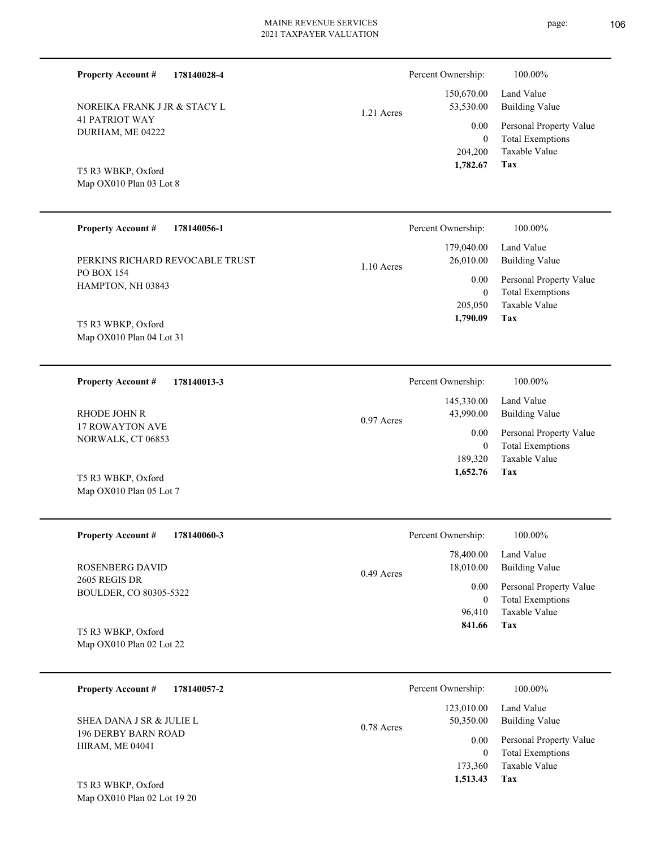**178140028-4**

**Property Account #**

Percent Ownership:  $100.00\%$ 

| NOREIKA FRANK J JR & STACY L<br><b>41 PATRIOT WAY</b><br>DURHAM, ME 04222<br>T5 R3 WBKP, Oxford<br>Map OX010 Plan 03 Lot 8 | 1.21 Acres   | 150,670.00<br>53,530.00<br>0.00<br>$\boldsymbol{0}$<br>204,200<br>1,782.67 | Land Value<br><b>Building Value</b><br>Personal Property Value<br><b>Total Exemptions</b><br>Taxable Value<br>Tax |
|----------------------------------------------------------------------------------------------------------------------------|--------------|----------------------------------------------------------------------------|-------------------------------------------------------------------------------------------------------------------|
| <b>Property Account #</b><br>178140056-1                                                                                   |              | Percent Ownership:                                                         | 100.00%                                                                                                           |
| PERKINS RICHARD REVOCABLE TRUST<br>PO BOX 154                                                                              | $1.10$ Acres | 179,040.00<br>26,010.00                                                    | Land Value<br><b>Building Value</b>                                                                               |
| HAMPTON, NH 03843                                                                                                          |              | 0.00<br>$\boldsymbol{0}$<br>205,050<br>1,790.09                            | Personal Property Value<br><b>Total Exemptions</b><br><b>Taxable Value</b><br>Tax                                 |
| T5 R3 WBKP, Oxford<br>Map OX010 Plan 04 Lot 31                                                                             |              |                                                                            |                                                                                                                   |
| 178140013-3<br><b>Property Account #</b>                                                                                   |              | Percent Ownership:                                                         | 100.00%                                                                                                           |
| RHODE JOHN R                                                                                                               | 0.97 Acres   | 145,330.00<br>43,990.00                                                    | Land Value<br><b>Building Value</b>                                                                               |
| 17 ROWAYTON AVE<br>NORWALK, CT 06853                                                                                       |              | 0.00<br>$\boldsymbol{0}$<br>189,320<br>1,652.76                            | Personal Property Value<br><b>Total Exemptions</b><br>Taxable Value<br>Tax                                        |
| T5 R3 WBKP, Oxford<br>Map OX010 Plan 05 Lot 7                                                                              |              |                                                                            |                                                                                                                   |
| <b>Property Account #</b><br>178140060-3                                                                                   |              | Percent Ownership:                                                         | 100.00%                                                                                                           |
| ROSENBERG DAVID                                                                                                            | 0.49 Acres   | 78,400.00<br>18,010.00                                                     | Land Value<br><b>Building Value</b>                                                                               |
| 2605 REGIS DR<br>BOULDER, CO 80305-5322                                                                                    |              | 0.00<br>$\boldsymbol{0}$                                                   | Personal Property Value<br><b>Total Exemptions</b>                                                                |
| T5 R3 WBKP, Oxford<br>Map OX010 Plan 02 Lot 22                                                                             |              | 96,410<br>841.66                                                           | Taxable Value<br>Tax                                                                                              |
| <b>Property Account #</b><br>178140057-2                                                                                   |              | Percent Ownership:                                                         | 100.00%                                                                                                           |
| SHEA DANA J SR & JULIE L                                                                                                   | 0.78 Acres   | 123,010.00<br>50,350.00                                                    | Land Value<br><b>Building Value</b>                                                                               |
| <b>196 DERBY BARN ROAD</b><br><b>HIRAM, ME 04041</b><br>T5 R3 WBKP, Oxford                                                 |              | 0.00<br>$\boldsymbol{0}$<br>173,360<br>1,513.43                            | Personal Property Value<br><b>Total Exemptions</b><br>Taxable Value<br>Tax                                        |
| Map OX010 Plan 02 Lot 19 20                                                                                                |              |                                                                            |                                                                                                                   |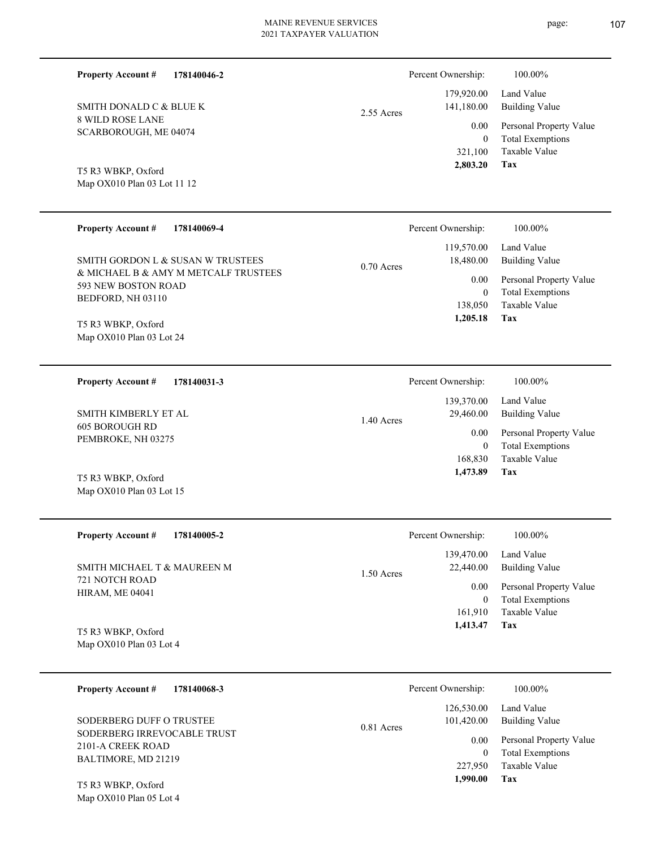| 178140046-2<br><b>Property Account #</b> | Percent Ownership:         | 100.00%                 |
|------------------------------------------|----------------------------|-------------------------|
|                                          | 179,920.00                 | Land Value              |
| SMITH DONALD C & BLUE K                  | 141,180.00<br>$2.55$ Acres | <b>Building Value</b>   |
| 8 WILD ROSE LANE                         | 0.00                       | Personal Property Value |
| SCARBOROUGH, ME 04074                    | $\mathbf{0}$               | Total Exemptions        |
|                                          | 321,100                    | Taxable Value           |
| T5 R3 WBKP, Oxford                       | 2,803.20                   | Tax                     |
| Map OX010 Plan 03 Lot 11 12              |                            |                         |

| <b>Property Account #</b><br>178140069-4                                                         | Percent Ownership:                              | 100.00%                                                 |
|--------------------------------------------------------------------------------------------------|-------------------------------------------------|---------------------------------------------------------|
| SMITH GORDON L & SUSAN W TRUSTEES<br>& MICHAEL B & AMY M METCALF TRUSTEES<br>593 NEW BOSTON ROAD | 119,570.00<br>18,480.00<br>$0.70$ Acres<br>0.00 | Land Value<br>Building Value<br>Personal Property Value |
| BEDFORD, NH 03110                                                                                | $\theta$<br>138,050<br>1,205.18                 | <b>Total Exemptions</b><br>Taxable Value<br>Tax         |
| T5 R3 WBKP, Oxford<br>Map OX010 Plan 03 Lot 24                                                   |                                                 |                                                         |

| 178140031-3<br><b>Property Account #</b> | Percent Ownership:      | 100.00%                 |
|------------------------------------------|-------------------------|-------------------------|
|                                          | 139,370.00              | Land Value              |
| SMITH KIMBERLY ET AL                     | 29,460.00<br>1.40 Acres | Building Value          |
| 605 BOROUGH RD                           | 0.00                    | Personal Property Value |
| PEMBROKE, NH 03275                       | $\mathbf{0}$            | <b>Total Exemptions</b> |
|                                          | 168,830                 | Taxable Value           |
| T5 R3 WBKP, Oxford                       | 1,473.89                | Tax                     |
| Map $OX010$ Plan 03 Lot 15               |                         |                         |

| <b>Property Account #</b><br>178140005-2                                | Percent Ownership:                      | 100.00%                      |
|-------------------------------------------------------------------------|-----------------------------------------|------------------------------|
| SMITH MICHAEL T & MAUREEN M<br>721 NOTCH ROAD<br><b>HIRAM, ME 04041</b> | 139,470.00<br>22,440.00<br>$1.50$ Acres | Land Value<br>Building Value |
|                                                                         | 0.00                                    | Personal Property Value      |
|                                                                         | 0                                       | <b>Total Exemptions</b>      |
|                                                                         | 161.910                                 | Taxable Value                |
| T5 R3 WBKP, Oxford                                                      | 1,413.47                                | Tax                          |
| Map OX010 Plan 03 Lot 4                                                 |                                         |                              |

| 178140068-3<br><b>Property Account #</b>                                | Percent Ownership:                                                              | 100.00%                                            |
|-------------------------------------------------------------------------|---------------------------------------------------------------------------------|----------------------------------------------------|
| SODERBERG DUFF O TRUSTEE                                                | Land Value<br>126,530.00<br><b>Building Value</b><br>101,420.00<br>$0.81$ Acres |                                                    |
| SODERBERG IRREVOCABLE TRUST<br>2101-A CREEK ROAD<br>BALTIMORE, MD 21219 | 0.00<br>$\theta$                                                                | Personal Property Value<br><b>Total Exemptions</b> |
| T5 R3 WBKP, Oxford                                                      | 227,950<br>1,990.00                                                             | Taxable Value<br>Tax                               |

Map OX010 Plan 05 Lot 4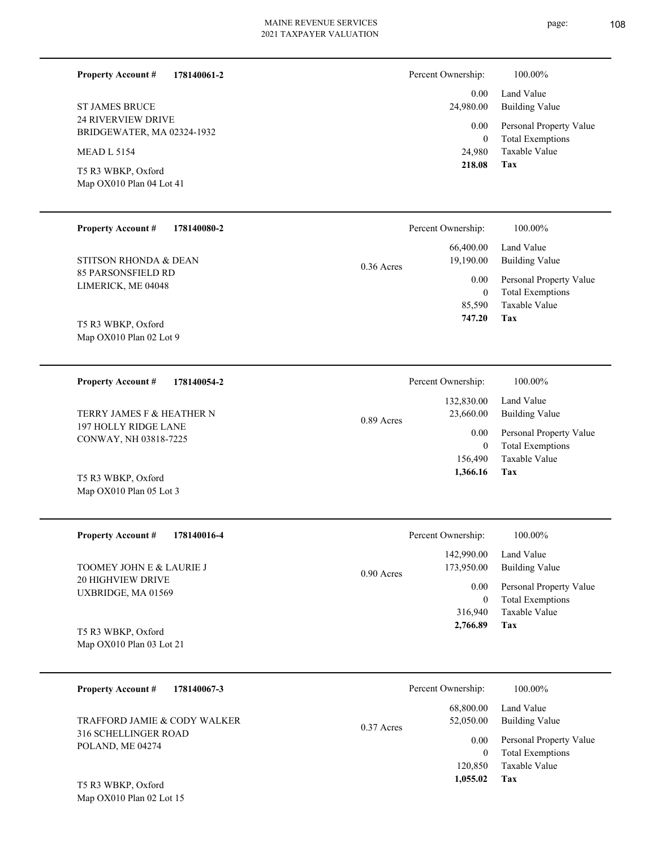**178140061-2**

24 RIVERVIEW DRIVE BRIDGEWATER, MA 02324-1932 ST JAMES BRUCE

MEAD L 5154

**Property Account #**

Map OX010 Plan 04 Lot 41 T5 R3 WBKP, Oxford

Map OX010 Plan 05 Lot 3

| Percent Ownership: | 100.00%                                     |
|--------------------|---------------------------------------------|
|                    | 0.00 Land Value<br>24,980.00 Building Value |
| 0.00               | Personal Property Value                     |

| 0      | <b>Total Exemptions</b> |
|--------|-------------------------|
| 24,980 | Taxable Value           |

#### **Tax 218.08**

| <b>Property Account #</b><br>178140080-2        | Percent Ownership:                     | 100.00%                                            |
|-------------------------------------------------|----------------------------------------|----------------------------------------------------|
| STITSON RHONDA & DEAN                           | 66,400.00<br>19,190.00<br>$0.36$ Acres | Land Value<br>Building Value                       |
| 85 PARSONSFIELD RD<br>LIMERICK, ME 04048        | 0.00<br>0                              | Personal Property Value<br><b>Total Exemptions</b> |
|                                                 | 85,590                                 | Taxable Value                                      |
| T5 R3 WBKP, Oxford<br>Map $OX010$ Plan 02 Lot 9 | 747.20                                 | Tax                                                |

| 178140054-2<br><b>Property Account #</b>      | Percent Ownership:                      | 100.00%                      |
|-----------------------------------------------|-----------------------------------------|------------------------------|
| TERRY JAMES F & HEATHER N                     | 132,830.00<br>23,660.00<br>$0.89$ Acres | Land Value<br>Building Value |
| 197 HOLLY RIDGE LANE<br>CONWAY, NH 03818-7225 | 0.00                                    | Personal Property Value      |
|                                               | 0                                       | <b>Total Exemptions</b>      |
|                                               | 156,490                                 | Taxable Value                |
| T5 R3 WBKP, Oxford                            | 1,366.16                                | Tax                          |

| <b>Property Account #</b><br>178140016-4         | Percent Ownership:                       | 100.00%                                            |
|--------------------------------------------------|------------------------------------------|----------------------------------------------------|
| TOOMEY JOHN E & LAURIE J                         | 142,990.00<br>173,950.00<br>$0.90$ Acres | Land Value<br>Building Value                       |
| <b>20 HIGHVIEW DRIVE</b><br>UXBRIDGE, MA 01569   | 0.00<br>$\bf{0}$                         | Personal Property Value<br><b>Total Exemptions</b> |
|                                                  | 316,940                                  | Taxable Value                                      |
| T5 R3 WBKP, Oxford<br>Map $OX010$ Plan 03 Lot 21 | 2,766.89                                 | Tax                                                |

| 178140067-3<br><b>Property Account #</b>                                        | Percent Ownership:                     | 100.00%                                                             |
|---------------------------------------------------------------------------------|----------------------------------------|---------------------------------------------------------------------|
| TRAFFORD JAMIE & CODY WALKER<br><b>316 SCHELLINGER ROAD</b><br>POLAND, ME 04274 | 68,800.00<br>52,050.00<br>$0.37$ Acres | Land Value<br>Building Value                                        |
|                                                                                 | 0.00<br>$\mathbf{0}$<br>120,850        | Personal Property Value<br><b>Total Exemptions</b><br>Taxable Value |
| T5 R3 WBKP, Oxford                                                              | 1,055.02                               | Tax                                                                 |

Map OX010 Plan 02 Lot 15

page: 108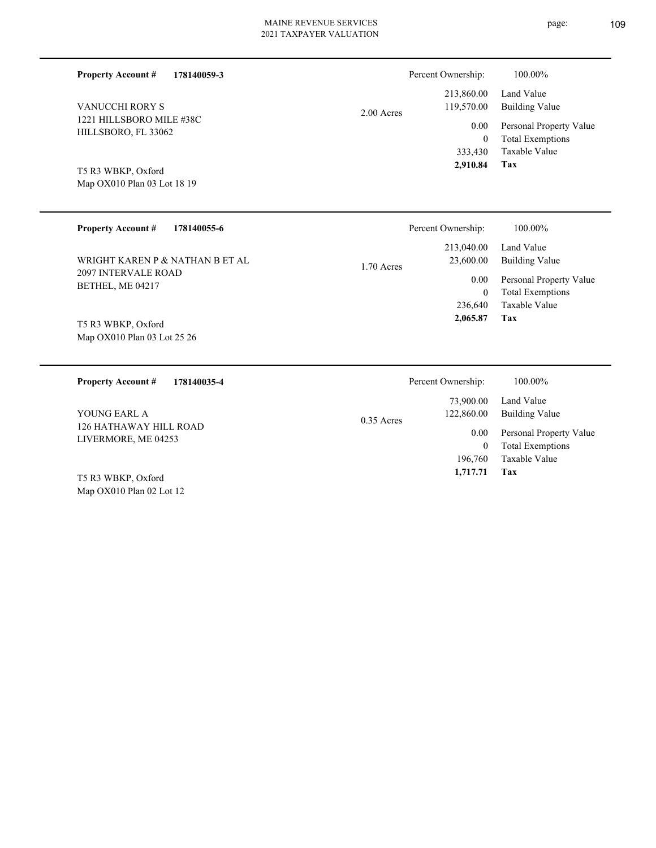L

| <b>Property Account #</b><br>178140059-3        | Percent Ownership:                     | 100.00%                                  |
|-------------------------------------------------|----------------------------------------|------------------------------------------|
| <b>VANUCCHI RORY S</b>                          | 213,860.00<br>119,570.00<br>2.00 Acres | Land Value<br><b>Building Value</b>      |
| 1221 HILLSBORO MILE #38C<br>HILLSBORO, FL 33062 | $0.00\,$                               | Personal Property Value                  |
|                                                 | $\mathbf{0}$<br>333,430                | <b>Total Exemptions</b><br>Taxable Value |
| T5 R3 WBKP, Oxford                              | 2,910.84                               | Tax                                      |
| Map OX010 Plan 03 Lot 18 19                     |                                        |                                          |
|                                                 |                                        |                                          |
| <b>Property Account #</b><br>178140055-6        | Percent Ownership:                     | $100.00\%$                               |

| WRIGHT KAREN P & NATHAN B ET AL                | 213,040.00<br>23,600.00<br>$1.70$ Acres | Land Value<br>Building Value            |
|------------------------------------------------|-----------------------------------------|-----------------------------------------|
| <b>2097 INTERVALE ROAD</b><br>BETHEL, ME 04217 | 0.00                                    | Personal Property Value                 |
|                                                |                                         | <b>Total Exemptions</b><br>$\mathbf{0}$ |
|                                                | 236,640                                 | Taxable Value                           |
| T5 R3 WBKP, Oxford                             | 2,065.87                                | Tax                                     |
| Map OX010 Plan 03 Lot 25 26                    |                                         |                                         |
|                                                |                                         |                                         |

| 178140035-4<br><b>Property Account #</b>      | Percent Ownership:         | 100.00%                 |
|-----------------------------------------------|----------------------------|-------------------------|
|                                               | 73,900.00                  | Land Value              |
| YOUNG EARL A                                  | 122,860.00<br>$0.35$ Acres | Building Value          |
| 126 HATHAWAY HILL ROAD<br>LIVERMORE, ME 04253 | 0.00                       | Personal Property Value |
|                                               | $\bf{0}$                   | <b>Total Exemptions</b> |
|                                               | 196,760                    | Taxable Value           |
| T5 R3 WBKP, Oxford                            | 1,717.71                   | Tax                     |
| Map $OX010$ Plan 02 Lot 12                    |                            |                         |

page: 109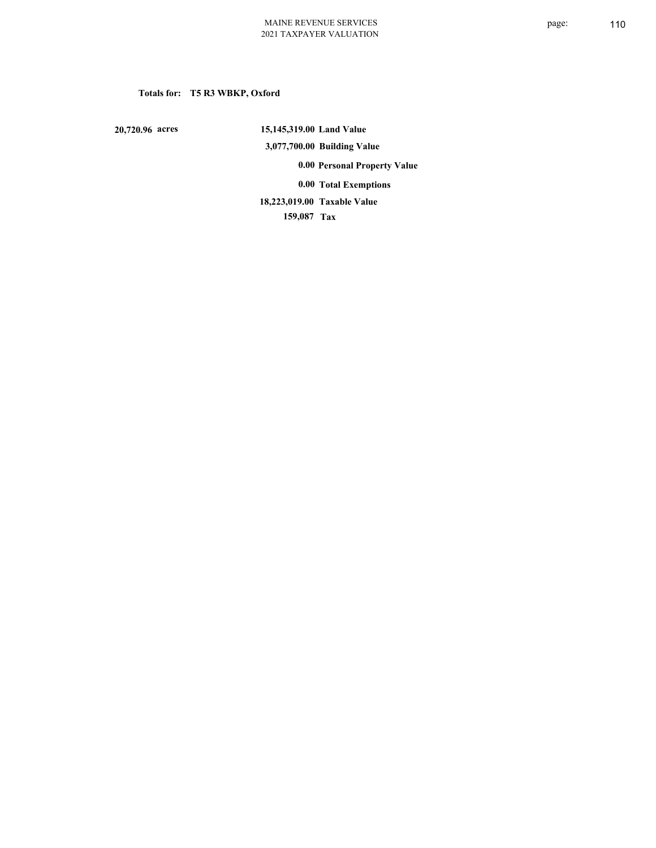# **Totals for: T5 R3 WBKP, Oxford**

 **20,720.96 acres**

 **15,145,319.00 Land Value 3,077,700.00 Building Value 0.00 Personal Property Value 0.00 Total Exemptions**

**Taxable Value 18,223,019.00**

 **159,087 Tax**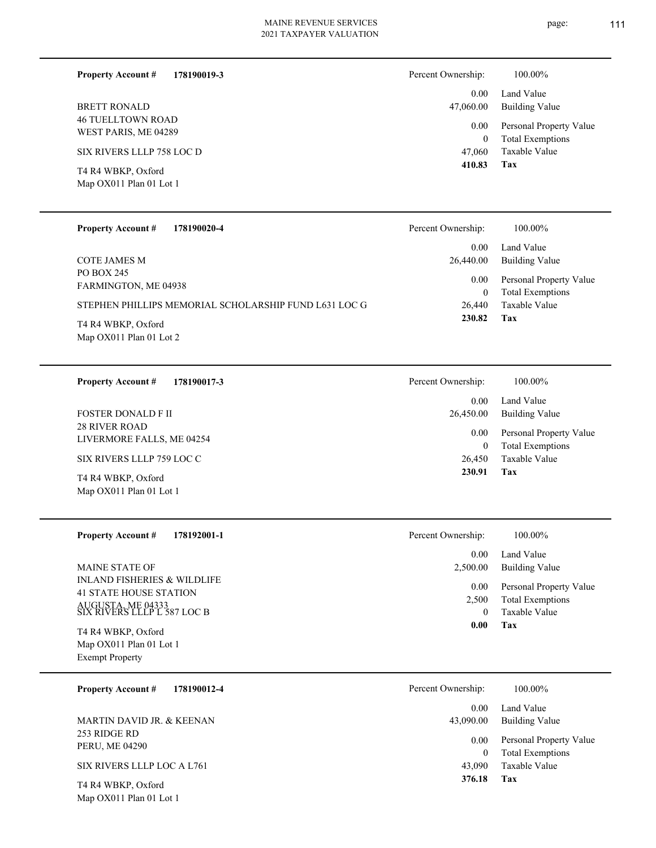| 178190019-3<br><b>Property Account #</b>         | Percent Ownership: | 100.00%                                            |
|--------------------------------------------------|--------------------|----------------------------------------------------|
|                                                  | 0.00               | Land Value                                         |
| <b>BRETT RONALD</b>                              | 47,060.00          | <b>Building Value</b>                              |
| <b>46 TUELLTOWN ROAD</b><br>WEST PARIS, ME 04289 | 0.00<br>0          | Personal Property Value<br><b>Total Exemptions</b> |
| SIX RIVERS LLLP 758 LOC D                        | 47,060             | Taxable Value                                      |
| T4 R4 WBKP, Oxford<br>Map OX011 Plan 01 Lot 1    | 410.83             | Tax                                                |
|                                                  |                    |                                                    |

| <b>Property Account #</b><br>178190020-4                                                    | Percent Ownership:             | 100.00%                                                             |
|---------------------------------------------------------------------------------------------|--------------------------------|---------------------------------------------------------------------|
|                                                                                             | 0.00                           | Land Value                                                          |
| COTE JAMES M                                                                                | 26,440.00                      | Building Value                                                      |
| PO BOX 245<br>FARMINGTON, ME 04938<br>STEPHEN PHILLIPS MEMORIAL SCHOLARSHIP FUND L631 LOC G | $0.00\,$<br>$\theta$<br>26,440 | Personal Property Value<br><b>Total Exemptions</b><br>Taxable Value |
| T4 R4 WBKP, Oxford<br>Map OX011 Plan 01 Lot 2                                               | 230.82                         | Tax                                                                 |

| 178190017-3<br><b>Property Account #</b>          | 100.00%<br>Percent Ownership:                              |  |
|---------------------------------------------------|------------------------------------------------------------|--|
|                                                   | Land Value<br>0.00                                         |  |
| <b>FOSTER DONALD FII</b>                          | 26,450.00<br>Building Value                                |  |
| <b>28 RIVER ROAD</b><br>LIVERMORE FALLS, ME 04254 | Personal Property Value<br>0.00<br><b>Total Exemptions</b> |  |
| SIX RIVERS LLLP 759 LOC C                         | Taxable Value<br>26,450                                    |  |
| T4 R4 WBKP, Oxford<br>Map OX011 Plan 01 Lot 1     | Tax<br>230.91                                              |  |

| <b>Property Account #</b><br>178192001-1                     | Percent Ownership: | 100.00%                 |
|--------------------------------------------------------------|--------------------|-------------------------|
|                                                              | 0.00               | Land Value              |
| <b>MAINE STATE OF</b>                                        | 2,500.00           | Building Value          |
| INLAND FISHERIES & WILDLIFE<br><b>41 STATE HOUSE STATION</b> | 0.00               | Personal Property Value |
| AUGUSTA, ME 04333<br>SIX RIVERS LLLP L 587 LOC B             | 2,500              | <b>Total Exemptions</b> |
|                                                              | 0.00               | Taxable Value<br>Tax    |
| T4 R4 WBKP, Oxford                                           |                    |                         |
| Map OX011 Plan 01 Lot 1                                      |                    |                         |
| <b>Exempt Property</b>                                       |                    |                         |

| 178190012-4<br><b>Property Account #</b>                | Percent Ownership:<br>100.00%                                   |  |
|---------------------------------------------------------|-----------------------------------------------------------------|--|
|                                                         | Land Value<br>0.00                                              |  |
| MARTIN DAVID JR. & KEENAN                               | Building Value<br>43,090.00                                     |  |
| 253 RIDGE RD<br>PERU, ME 04290                          | Personal Property Value<br>0.00<br><b>Total Exemptions</b><br>0 |  |
| SIX RIVERS LLLP LOC A L761                              | Taxable Value<br>43,090                                         |  |
| $T_{\rm A}$ D $\rm A}$ Winter $\Omega$ $\Omega$ $\rm I$ | 376.18<br>Tax                                                   |  |

Map OX011 Plan 01 Lot 1 T4 R4 WBKP, Oxford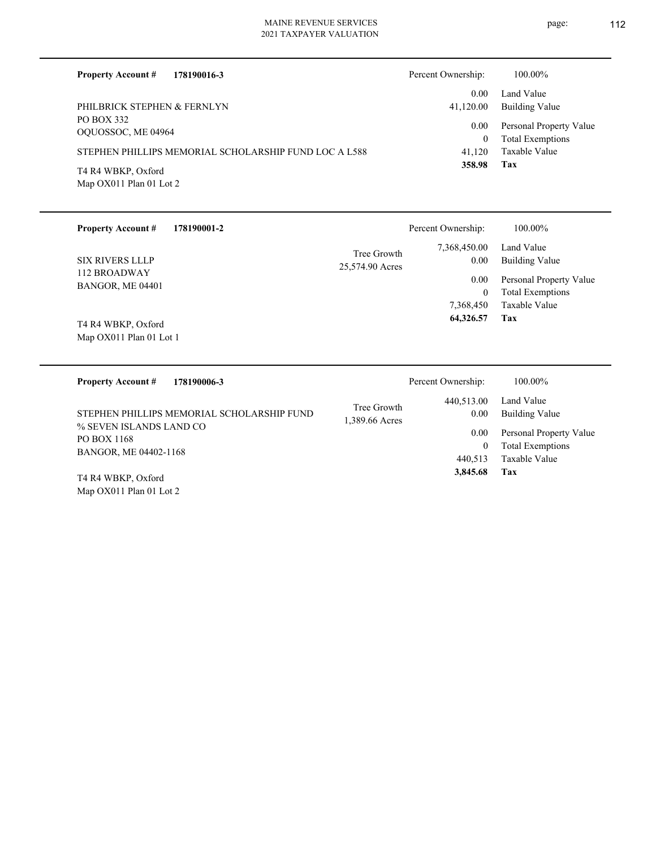| <b>Property Account #</b><br>178190016-3              | Percent Ownership: | 100.00%                                            |
|-------------------------------------------------------|--------------------|----------------------------------------------------|
| PHILBRICK STEPHEN & FERNLYN                           | 0.00<br>41,120.00  | Land Value<br>Building Value                       |
| PO BOX 332<br>OQUOSSOC, ME 04964                      | 0.00<br>0          | Personal Property Value<br><b>Total Exemptions</b> |
| STEPHEN PHILLIPS MEMORIAL SCHOLARSHIP FUND LOC A L588 | 41.120             | Taxable Value                                      |
| T4 R4 WBKP, Oxford<br>Map OX011 Plan 01 Lot 2         | 358.98             | Tax                                                |

| <b>Property Account #</b><br>178190001-2                                                                                       |                 | Percent Ownership: | 100.00%                 |
|--------------------------------------------------------------------------------------------------------------------------------|-----------------|--------------------|-------------------------|
|                                                                                                                                | Tree Growth     | 7,368,450.00       | Land Value              |
| <b>SIX RIVERS LLLP</b>                                                                                                         | 25,574.90 Acres | $0.00\,$           | <b>Building Value</b>   |
| 112 BROADWAY                                                                                                                   |                 | 0.00               | Personal Property Value |
| BANGOR, ME 04401                                                                                                               |                 | $\overline{0}$     | <b>Total Exemptions</b> |
|                                                                                                                                |                 | 7,368,450          | Taxable Value           |
|                                                                                                                                |                 | 64,326.57          | Tax                     |
| T4 R4 WBKP, Oxford                                                                                                             |                 |                    |                         |
| Map OX011 Plan 01 Lot 1                                                                                                        |                 |                    |                         |
|                                                                                                                                |                 |                    |                         |
| <b>Property Account #</b><br>178190006-3                                                                                       |                 | Percent Ownership: | 100.00%                 |
|                                                                                                                                |                 | 440,513.00         | Land Value              |
| STEPHEN PHILLIPS MEMORIAL SCHOLARSHIP FUND                                                                                     | Tree Growth     | 0.00               | <b>Building Value</b>   |
| % SEVEN ISLANDS LAND CO                                                                                                        | 1,389.66 Acres  |                    |                         |
| PO BOX 1168                                                                                                                    |                 | $0.00\,$           | Personal Property Value |
| BANGOR, ME 04402-1168                                                                                                          |                 | $\theta$           | <b>Total Exemptions</b> |
|                                                                                                                                |                 | 440,513            | Taxable Value           |
| $T_{\rm{1}}$ D <sub>1</sub> $\rm{1}$ $\rm{1}$ $\rm{1}$ $\rm{1}$ $\rm{1}$ $\rm{1}$ $\rm{1}$ $\rm{1}$ $\rm{1}$ $\rm{1}$ $\rm{1}$ |                 | 3,845.68           | Tax                     |

Map OX011 Plan 01 Lot 2 T4 R4 WBKP, Oxford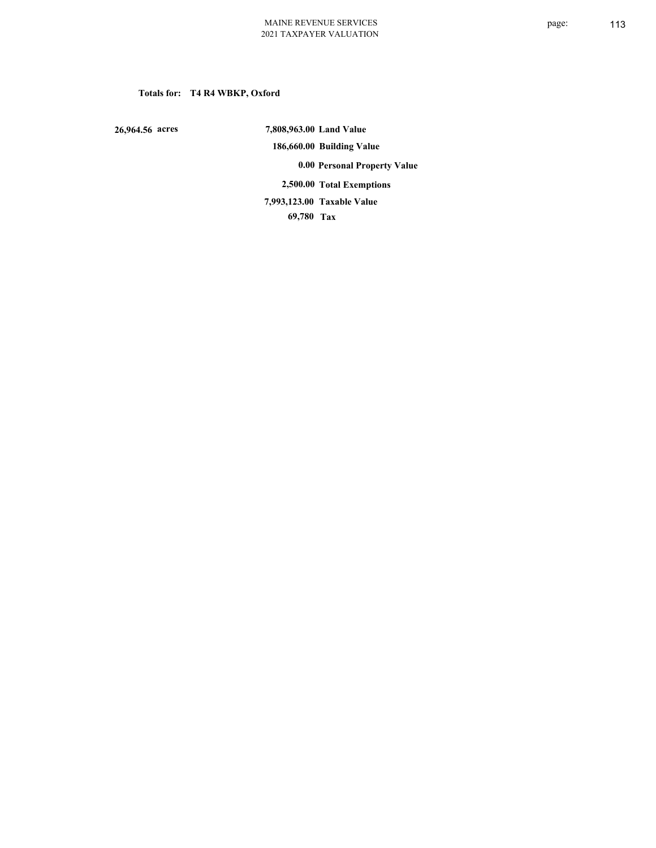# **Totals for: T4 R4 WBKP, Oxford**

 **26,964.56 acres**

 **7,808,963.00 Land Value 186,660.00 Building Value 0.00 Personal Property Value 2,500.00 Total Exemptions 69,780 Tax Taxable Value 7,993,123.00**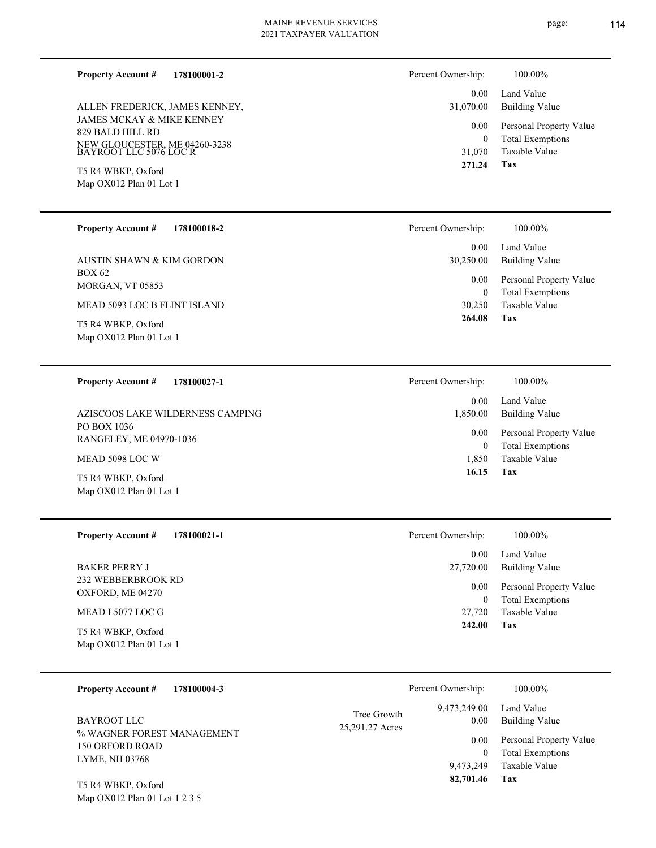**178100001-2 Property Account #**

JAMES MCKAY & MIKE KENNEY 829 BALD HILL RD NEW GLOUCESTER, ME 04260-3238 BAYROOT LLC 5076 LOC R ALLEN FREDERICK, JAMES KENNEY,

Map OX012 Plan 01 Lot 1 T5 R4 WBKP, Oxford

| 178100018-2 |
|-------------|
|             |

BOX 62 MORGAN, VT 05853 AUSTIN SHAWN & KIM GORDON

MEAD 5093 LOC B FLINT ISLAND

Map OX012 Plan 01 Lot 1 T5 R4 WBKP, Oxford

#### **178100027-1 Property Account #**

PO BOX 1036 RANGELEY, ME 04970-1036 AZISCOOS LAKE WILDERNESS CAMPING

MEAD 5098 LOC W

Map OX012 Plan 01 Lot 1 T5 R4 WBKP, Oxford

**178100021-1 Property Account #**

232 WEBBERBROOK RD OXFORD, ME 04270 BAKER PERRY J

# MEAD L5077 LOC G

Map OX012 Plan 01 Lot 1 T5 R4 WBKP, Oxford

| <b>Property Account #</b> | 178100004-3 |
|---------------------------|-------------|
|---------------------------|-------------|

% WAGNER FOREST MANAGEMENT 150 ORFORD ROAD LYME, NH 03768 BAYROOT LLC

Map OX012 Plan 01 Lot 1 2 3 5 T5 R4 WBKP, Oxford

| Percent Ownership: | 100.00%                                            |
|--------------------|----------------------------------------------------|
| 31,070.00          | 0.00 Land Value<br>Building Value                  |
| $0.00\,$<br>0      | Personal Property Value<br><b>Total Exemptions</b> |
|                    | 31,070 Taxable Value                               |
| 271.24             | Tax                                                |

| Percent Ownership:    | 100.00%                                            |
|-----------------------|----------------------------------------------------|
| $0.00 -$<br>30,250.00 | Land Value<br>Building Value                       |
| 0.00<br>0             | Personal Property Value<br><b>Total Exemptions</b> |
| 30,250                | Taxable Value                                      |
| 264.08                | Tax                                                |

| Percent Ownership: | 100.00%                                            |
|--------------------|----------------------------------------------------|
| 1,850.00           | 0.00 Land Value<br>Building Value                  |
| $0.00\,$<br>0      | Personal Property Value<br><b>Total Exemptions</b> |
|                    | 1,850 Taxable Value                                |
| 16.15              | Tax                                                |

| Percent Ownership:    | 100.00%                      |
|-----------------------|------------------------------|
| $0.00 -$<br>27,720.00 | Land Value<br>Building Value |
| $0.00\,$              | Personal Property Value      |
| $^{(1)}$              | <b>Total Exemptions</b>      |
| 27,720                | Taxable Value                |
| 242.00                | Tax                          |

|                                | Percent Ownership: | 100.00%                 |
|--------------------------------|--------------------|-------------------------|
|                                | 9,473,249.00       | Land Value              |
| Tree Growth<br>25,291.27 Acres | 0.00               | <b>Building Value</b>   |
|                                | 0.00               | Personal Property Value |
|                                | $\Omega$           | <b>Total Exemptions</b> |
|                                | 9.473.249          | Taxable Value           |
|                                | 82,701.46          | Tax                     |
|                                |                    |                         |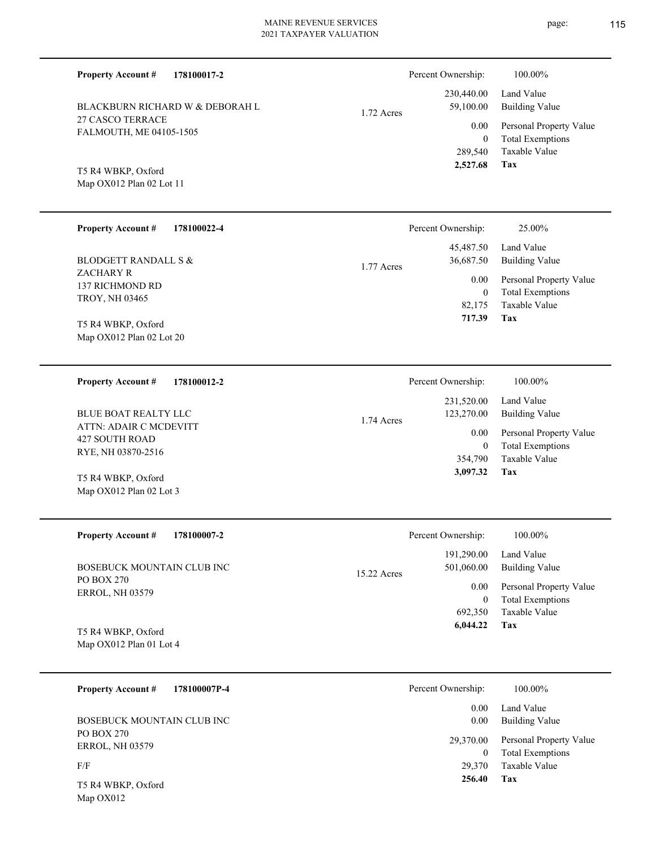| 2021 TAXPAYER VALUATION |                    |                         |
|-------------------------|--------------------|-------------------------|
|                         | Percent Ownership: | 100.00%                 |
|                         | 230,440.00         | Land Value              |
|                         | 59,100.00          | <b>Building Value</b>   |
|                         | 0.00               | Personal Property Value |
|                         | $\mathbf{0}$       | <b>Total Exemptions</b> |
|                         | 289,540            | Taxable Value           |
|                         | 2,527.68           | Tax                     |
|                         |                    |                         |
|                         |                    |                         |
|                         | 1.72 Acres         |                         |

| <b>Property Account #</b><br>178100022-4              | Percent Ownership:          | 25.00%                                             |
|-------------------------------------------------------|-----------------------------|----------------------------------------------------|
| <b>BLODGETT RANDALL S &amp;</b>                       | 45,487.50<br>36,687.50      | Land Value<br>Building Value                       |
| ZACHARY R<br>137 RICHMOND RD<br><b>TROY, NH 03465</b> | 1.77 Acres<br>$0.00\,$<br>0 | Personal Property Value<br><b>Total Exemptions</b> |
| T5 R4 WBKP, Oxford<br>Map OX012 Plan 02 Lot 20        | 82,175<br>717.39            | Taxable Value<br>Tax                               |

| 178100012-2<br><b>Property Account #</b> | Percent Ownership:       | 100.00%                 |
|------------------------------------------|--------------------------|-------------------------|
|                                          | 231,520.00               | Land Value              |
| BLUE BOAT REALTY LLC                     | 123,270.00<br>1.74 Acres | Building Value          |
| ATTN: ADAIR C MCDEVITT<br>427 SOUTH ROAD | 0.00                     | Personal Property Value |
| RYE, NH 03870-2516                       |                          | <b>Total Exemptions</b> |
|                                          | 354,790                  | Taxable Value           |
| T5 R4 WBKP, Oxford                       | 3,097.32                 | Tax                     |
| Map $OX012$ Plan 02 Lot 3                |                          |                         |

| <b>Property Account #</b><br>178100007-2 | Percent Ownership:                      | 100.00%                                            |
|------------------------------------------|-----------------------------------------|----------------------------------------------------|
| BOSEBUCK MOUNTAIN CLUB INC               | 191,290.00<br>501,060.00<br>15.22 Acres | Land Value<br>Building Value                       |
| PO BOX 270<br><b>ERROL, NH 03579</b>     | 0.00<br>$\bf{0}$                        | Personal Property Value<br><b>Total Exemptions</b> |
|                                          | 692,350                                 | Taxable Value                                      |
| T5 R4 WBKP, Oxford                       | 6.044.22                                | Tax                                                |

**Tax**

 29,370 0

29,370.00

 0.00 0.00

Percent Ownership:  $100.00\%$ 

 **256.40**

Taxable Value Total Exemptions Personal Property Value

Building Value Land Value

Map OX012 Plan 01 Lot 4

| <b>Property Account #</b> | 178100007P-4 |
|---------------------------|--------------|
|---------------------------|--------------|

PO BOX 270 ERROL, NH 03579 BOSEBUCK MOUNTAIN CLUB INC

F/F

Map OX012 T5 R4 WBKP, Oxford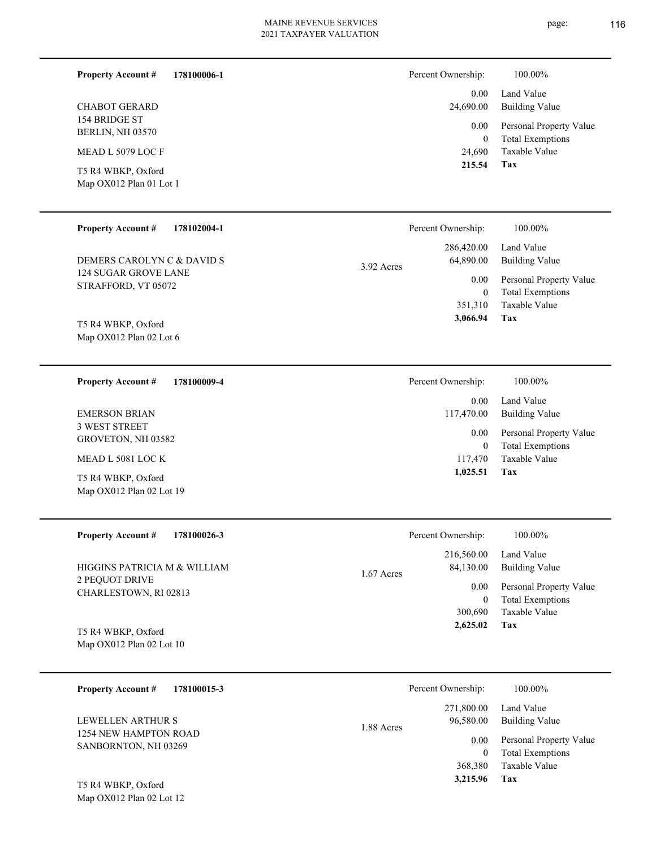**Tax 1,025.51**

| 178100006-1<br><b>Property Account #</b>      | Percent Ownership:   | $100.00\%$                                         |
|-----------------------------------------------|----------------------|----------------------------------------------------|
|                                               | 0.00                 | Land Value                                         |
| <b>CHABOT GERARD</b>                          | 24,690.00            | <b>Building Value</b>                              |
| 154 BRIDGE ST<br>BERLIN, NH 03570             | 0.00<br>$\mathbf{0}$ | Personal Property Value<br><b>Total Exemptions</b> |
| MEAD L 5079 LOC F                             | 24,690               | Taxable Value                                      |
| T5 R4 WBKP, Oxford<br>Map OX012 Plan 01 Lot 1 | 215.54               | Tax                                                |

| <b>Property Account #</b><br>178102004-1           | Percent Ownership:                    | 100.00%                                                             |
|----------------------------------------------------|---------------------------------------|---------------------------------------------------------------------|
| DEMERS CAROLYN C & DAVID S                         | 286,420.00<br>64,890.00<br>3.92 Acres | Land Value<br><b>Building Value</b>                                 |
| <b>124 SUGAR GROVE LANE</b><br>STRAFFORD, VT 05072 | 0.00<br>$\mathbf{0}$<br>351,310       | Personal Property Value<br><b>Total Exemptions</b><br>Taxable Value |
| T5 R4 WBKP, Oxford<br>Map OX012 Plan 02 Lot 6      | 3,066.94                              | Tax                                                                 |
| <b>Property Account #</b><br>178100009-4           | Percent Ownership:                    | 100.00%                                                             |
|                                                    | 0.00                                  | Land Value                                                          |
| <b>EMERSON BRIAN</b>                               | 117,470.00                            | <b>Building Value</b>                                               |
| <b>3 WEST STREET</b><br>GROVETON, NH 03582         | 0.00<br>$\mathbf{0}$                  | Personal Property Value<br><b>Total Exemptions</b>                  |
| MEAD L 5081 LOC K                                  | 117,470                               | Taxable Value                                                       |

| <b>Property Account #</b><br>178100026-3 | Percent Ownership:        | 100.00%                 |
|------------------------------------------|---------------------------|-------------------------|
|                                          | 216,560.00                | Land Value              |
| HIGGINS PATRICIA M & WILLIAM             | 84,130.00<br>$1.67$ Acres | <b>Building Value</b>   |
| 2 PEQUOT DRIVE                           | 0.00                      | Personal Property Value |
| CHARLESTOWN, RI 02813                    | $\mathbf{0}$              | <b>Total Exemptions</b> |
|                                          | 300,690                   | Taxable Value           |
| T5 R4 WBKP, Oxford                       | 2,625.02                  | Tax                     |
| Map $OX012$ Plan 02 Lot 10               |                           |                         |

| 178100015-3<br><b>Property Account #</b>      | Percent Ownership:      | 100.00%                 |
|-----------------------------------------------|-------------------------|-------------------------|
|                                               | 271,800.00              | Land Value              |
| LEWELLEN ARTHUR S                             | 96,580.00<br>1.88 Acres | <b>Building Value</b>   |
| 1254 NEW HAMPTON ROAD<br>SANBORNTON, NH 03269 | 0.00                    | Personal Property Value |
|                                               | 0                       | <b>Total Exemptions</b> |
|                                               | 368,380                 | Taxable Value           |
| $T_{\rm c}$ D $\ell$ Winter $\alpha$ $\ell$ 1 | 3,215.96                | Tax                     |

Map OX012 Plan 02 Lot 19 T5 R4 WBKP, Oxford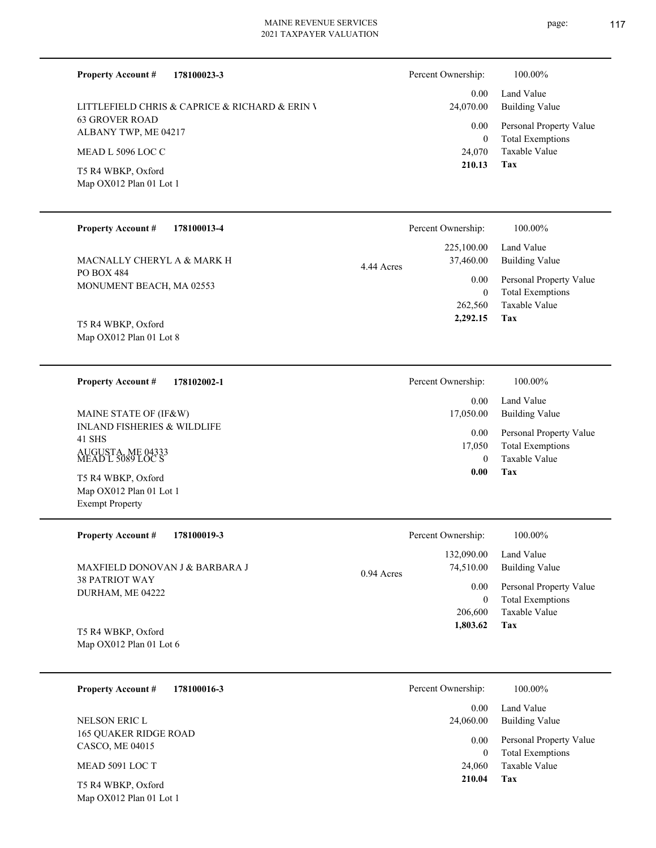| <b>Property Account #</b><br>178100023-3          | Percent Ownership:        | 100.00%                                            |
|---------------------------------------------------|---------------------------|----------------------------------------------------|
| LITTLEFIELD CHRIS & CAPRICE & RICHARD & ERIN V    | 0.00<br>24,070.00         | Land Value<br><b>Building Value</b>                |
| <b>63 GROVER ROAD</b><br>ALBANY TWP, ME 04217     | 0.00                      | Personal Property Value                            |
| MEAD L 5096 LOC C                                 | $\overline{0}$<br>24,070  | <b>Total Exemptions</b><br>Taxable Value           |
| T5 R4 WBKP, Oxford<br>Map OX012 Plan 01 Lot 1     | 210.13                    | Tax                                                |
| <b>Property Account #</b><br>178100013-4          | Percent Ownership:        | 100.00%                                            |
|                                                   | 225,100.00                | Land Value                                         |
| MACNALLY CHERYL A & MARK H                        | 37,460.00<br>4.44 Acres   | <b>Building Value</b>                              |
| PO BOX 484<br>MONUMENT BEACH, MA 02553            | 0.00<br>$\overline{0}$    | Personal Property Value<br><b>Total Exemptions</b> |
|                                                   | 262,560                   | Taxable Value                                      |
| T5 R4 WBKP, Oxford                                | 2,292.15                  | Tax                                                |
| Map OX012 Plan 01 Lot 8                           |                           |                                                    |
| <b>Property Account #</b><br>178102002-1          | Percent Ownership:        | 100.00%                                            |
| MAINE STATE OF (IF&W)                             | 0.00<br>17,050.00         | Land Value<br><b>Building Value</b>                |
| <b>INLAND FISHERIES &amp; WILDLIFE</b><br>41 SHS  | 0.00                      | Personal Property Value                            |
| AUGUSTA, ME 04333<br>MEAD L 5089 LOC S            | 17,050<br>$\theta$        | <b>Total Exemptions</b><br>Taxable Value           |
| T5 R4 WBKP, Oxford                                | 0.00                      | Tax                                                |
| Map OX012 Plan 01 Lot 1<br><b>Exempt Property</b> |                           |                                                    |
|                                                   |                           |                                                    |
| <b>Property Account #</b><br>178100019-3          | Percent Ownership:        | 100.00%                                            |
| MAXFIELD DONOVAN J & BARBARA J                    | 132,090.00<br>74,510.00   | Land Value<br><b>Building Value</b>                |
| <b>38 PATRIOT WAY</b>                             | 0.94 Acres<br>0.00        | Personal Property Value                            |
| DURHAM, ME 04222                                  | $\overline{0}$<br>206,600 | <b>Total Exemptions</b><br>Taxable Value           |
| T5 R4 WBKP, Oxford                                | 1,803.62                  | Tax                                                |
| Map OX012 Plan 01 Lot 6                           |                           |                                                    |
| <b>Property Account #</b><br>178100016-3          | Percent Ownership:        | 100.00%                                            |
| NELSON ERIC L                                     | 0.00<br>24,060.00         | Land Value<br><b>Building Value</b>                |
| <b>165 QUAKER RIDGE ROAD</b><br>CASCO, ME 04015   | 0.00                      | Personal Property Value                            |

MEAD 5091 LOC T

Map OX012 Plan 01 Lot 1 T5 R4 WBKP, Oxford

| 4,060.00 | Building Value          |
|----------|-------------------------|
| $0.00 -$ | Personal Property Value |
| 0        | <b>Total Exemptions</b> |
| 24,060   | Taxable Value           |
| 210.04   | Tax                     |
|          |                         |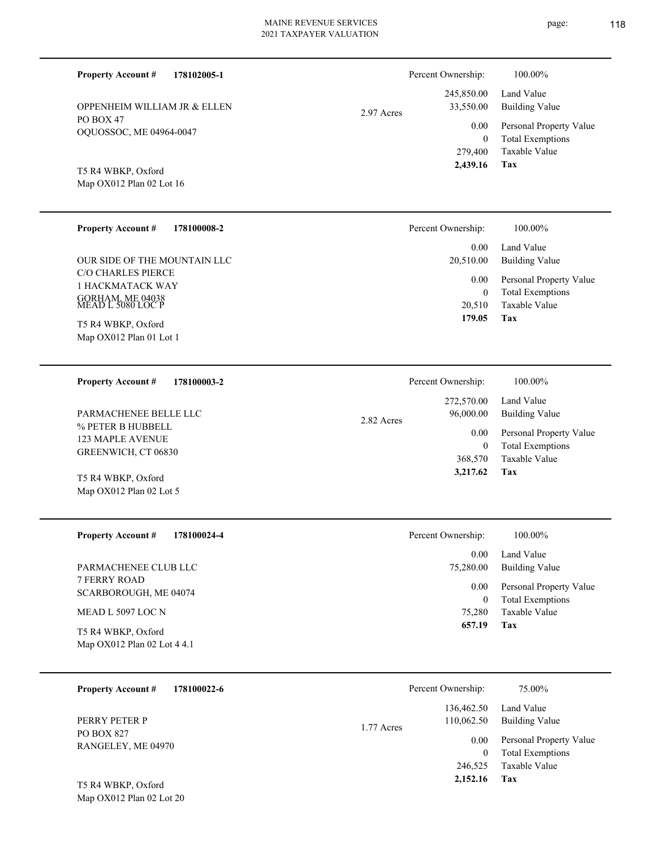| <b>Property Account #</b><br>178102005-1                                               | Percent Ownership:                          | 100.00%                                                                    |
|----------------------------------------------------------------------------------------|---------------------------------------------|----------------------------------------------------------------------------|
| OPPENHEIM WILLIAM JR & ELLEN                                                           | 245,850.00<br>33,550.00<br>2.97 Acres       | Land Value<br><b>Building Value</b>                                        |
| PO BOX 47<br>OQUOSSOC, ME 04964-0047                                                   | 0.00<br>$\mathbf{0}$<br>279,400<br>2,439.16 | Personal Property Value<br><b>Total Exemptions</b><br>Taxable Value<br>Tax |
| T5 R4 WBKP, Oxford<br>Map OX012 Plan 02 Lot 16                                         |                                             |                                                                            |
| <b>Property Account #</b><br>178100008-2                                               | Percent Ownership:                          | 100.00%                                                                    |
| OUR SIDE OF THE MOUNTAIN LLC                                                           | 0.00<br>20,510.00                           | Land Value<br><b>Building Value</b>                                        |
| <b>C/O CHARLES PIERCE</b><br>1 HACKMATACK WAY<br>GORHAM, ME 04038<br>MEAD L 5080 LOC P | 0.00<br>$\mathbf{0}$                        | Personal Property Value<br><b>Total Exemptions</b>                         |
| T5 R4 WBKP, Oxford<br>Map OX012 Plan 01 Lot 1                                          | 20,510<br>179.05                            | <b>Taxable Value</b><br>Tax                                                |
| <b>Property Account #</b><br>178100003-2                                               | Percent Ownership:                          | 100.00%                                                                    |
| PARMACHENEE BELLE LLC                                                                  | 272,570.00<br>96,000.00<br>2.82 Acres       | Land Value<br><b>Building Value</b>                                        |
| % PETER B HUBBELL<br>123 MAPLE AVENUE<br>GREENWICH, CT 06830                           | 0.00<br>$\mathbf{0}$<br>368,570             | Personal Property Value<br><b>Total Exemptions</b><br><b>Taxable Value</b> |
| T5 R4 WBKP, Oxford<br>Map OX012 Plan 02 Lot 5                                          | 3,217.62                                    | Tax                                                                        |
| <b>Property Account #</b><br>178100024-4                                               | Percent Ownership:                          | 100.00%                                                                    |
| PARMACHENEE CLUB LLC                                                                   | 0.00<br>75,280.00                           | Land Value<br><b>Building Value</b>                                        |
| 7 FERRY ROAD<br>SCARBOROUGH, ME 04074                                                  | 0.00<br>$\boldsymbol{0}$                    | Personal Property Value<br><b>Total Exemptions</b>                         |
| MEAD L 5097 LOC N                                                                      | 75,280<br>657.19                            | Taxable Value<br>Tax                                                       |
| T5 R4 WBKP, Oxford<br>Map OX012 Plan 02 Lot 4 4.1                                      |                                             |                                                                            |
| 178100022-6<br><b>Property Account #</b>                                               | Percent Ownership:                          | 75.00%                                                                     |
| PERRY PETER P<br>$DQ$ $DQV$ $Q27$                                                      | 136,462.50<br>110,062.50<br>1.77 Acres      | Land Value<br><b>Building Value</b>                                        |

PO BOX 827 RANGELEY, ME 04970

Map OX012 Plan 02 Lot 20 T5 R4 WBKP, Oxford

page: 118

**Tax**

 246,525  **2,152.16**

Taxable Value 0 Total Exemptions 0.00 Personal Property Value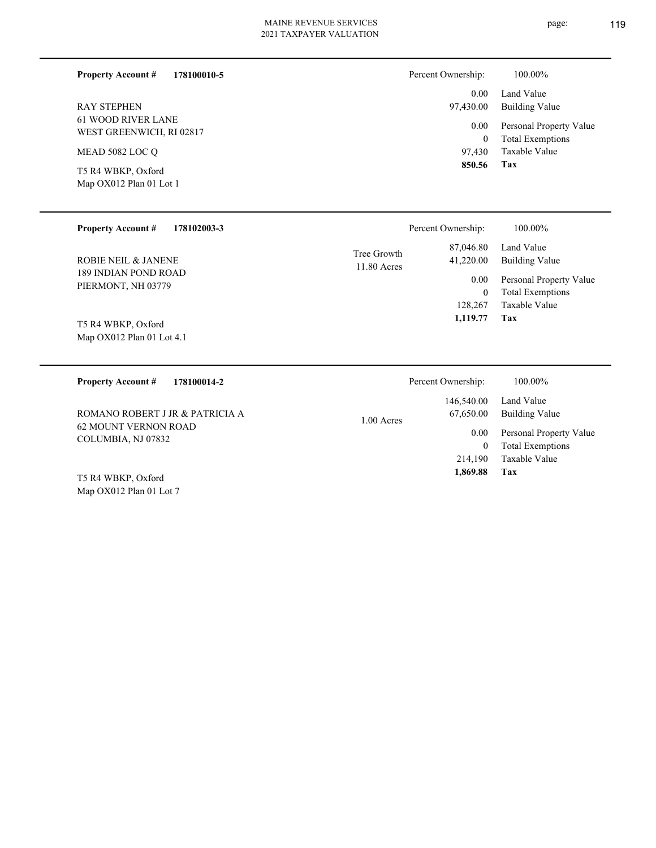**178100010-5**

| RAY STEPHEN               |
|---------------------------|
| <b>61 WOOD RIVER LANE</b> |
| WEST GREENWICH, RI 02817  |
|                           |
| MEAD 5082 LOC Q           |

Map OX012 Plan 01 Lot 1 T5 R4 WBKP, Oxford

**Property Account #**

| Percent Ownership: | 100.00%                                            |
|--------------------|----------------------------------------------------|
| 97,430.00          | 0.00 Land Value<br>Building Value                  |
| $0.00\,$<br>0      | Personal Property Value<br><b>Total Exemptions</b> |
|                    | 97,430 Taxable Value                               |

| <b>Property Account #</b><br>178102003-3          |                              | Percent Ownership:     | 100.00%                                            |
|---------------------------------------------------|------------------------------|------------------------|----------------------------------------------------|
| ROBIE NEIL & JANENE                               | Tree Growth<br>$11.80$ Acres | 87,046.80<br>41,220.00 | Land Value<br>Building Value                       |
| 189 INDIAN POND ROAD<br>PIERMONT, NH 03779        |                              | 0.00<br>$\mathbf{0}$   | Personal Property Value<br><b>Total Exemptions</b> |
|                                                   |                              | 128,267                | Taxable Value                                      |
| T5 R4 WBKP, Oxford<br>Map $OX012$ Plan 01 Lot 4.1 |                              | 1,119.77               | Tax                                                |

| 178100014-2<br><b>Property Account #</b>   | Percent Ownership:                      | 100.00%                                            |
|--------------------------------------------|-----------------------------------------|----------------------------------------------------|
| ROMANO ROBERT J JR & PATRICIA A            | 146,540.00<br>67,650.00<br>$1.00$ Acres | Land Value<br>Building Value                       |
| 62 MOUNT VERNON ROAD<br>COLUMBIA, NJ 07832 | 0.00<br>0                               | Personal Property Value<br><b>Total Exemptions</b> |
|                                            | 214,190                                 | Taxable Value                                      |
| T5 R4 WBKP, Oxford                         | 1,869.88                                | Tax                                                |
| Map OX012 Plan 01 Lot 7                    |                                         |                                                    |

**Tax 850.56**

page: 119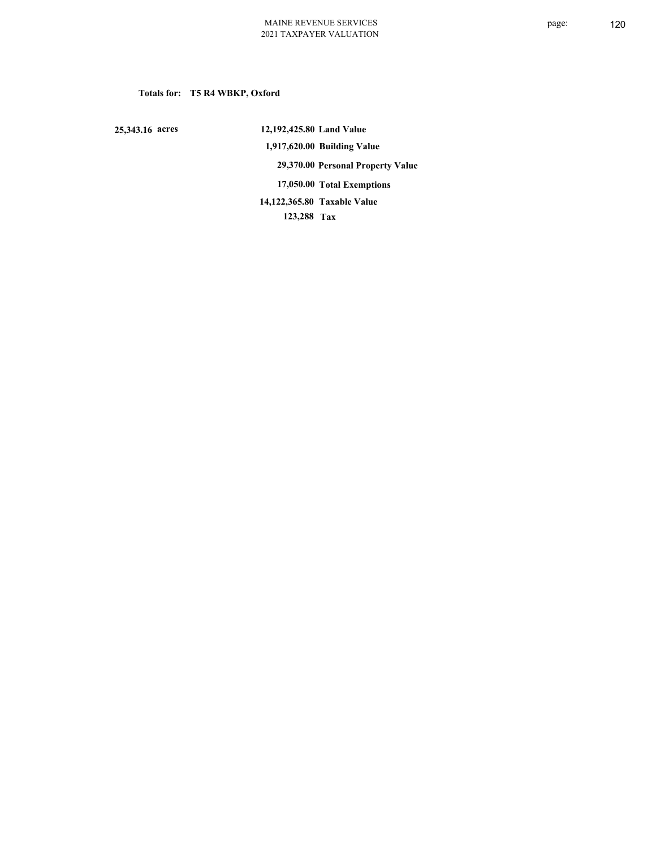# **Totals for: T5 R4 WBKP, Oxford**

 **25,343.16 acres**

 **12,192,425.80 Land Value 1,917,620.00 Building Value 29,370.00 Personal Property Value 17,050.00 Total Exemptions 123,288 Tax Taxable Value 14,122,365.80**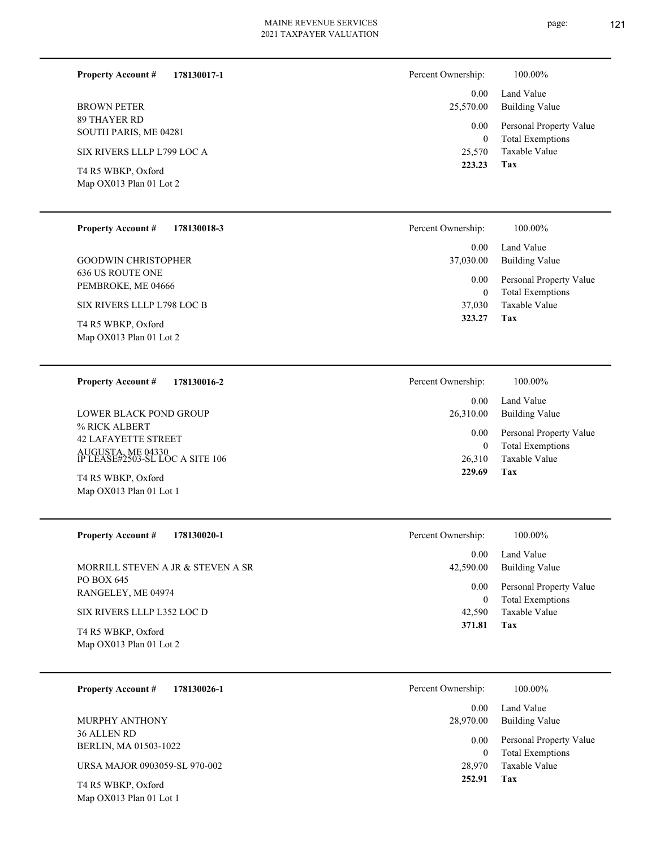page: 121

| <b>Property Account #</b><br>178130017-1             | Percent Ownership:         | 100.00%                                            |
|------------------------------------------------------|----------------------------|----------------------------------------------------|
| <b>BROWN PETER</b>                                   | 0.00<br>25,570.00          | Land Value<br><b>Building Value</b>                |
| 89 THAYER RD<br>SOUTH PARIS, ME 04281                | 0.00<br>$\overline{0}$     | Personal Property Value<br><b>Total Exemptions</b> |
| SIX RIVERS LLLP L799 LOC A                           | 25,570                     | Taxable Value                                      |
| T4 R5 WBKP, Oxford<br>Map OX013 Plan 01 Lot 2        | 223.23                     | Tax                                                |
| <b>Property Account #</b><br>178130018-3             | Percent Ownership:         | 100.00%                                            |
| <b>GOODWIN CHRISTOPHER</b>                           | 0.00<br>37,030.00          | Land Value<br><b>Building Value</b>                |
| <b>636 US ROUTE ONE</b><br>PEMBROKE, ME 04666        | 0.00<br>$\overline{0}$     | Personal Property Value<br><b>Total Exemptions</b> |
| SIX RIVERS LLLP L798 LOC B                           | 37,030<br>323.27           | <b>Taxable Value</b><br>Tax                        |
| T4 R5 WBKP, Oxford<br>Map OX013 Plan 01 Lot 2        |                            |                                                    |
| <b>Property Account #</b><br>178130016-2             | Percent Ownership:         | 100.00%                                            |
| <b>LOWER BLACK POND GROUP</b>                        | 0.00<br>26,310.00          | Land Value<br><b>Building Value</b>                |
| % RICK ALBERT<br><b>42 LAFAYETTE STREET</b>          | 0.00                       | Personal Property Value                            |
| AUGUSTA, ME 04330<br>IP LEASE#2503-SL LOC A SITE 106 | $\boldsymbol{0}$<br>26,310 | <b>Total Exemptions</b><br><b>Taxable Value</b>    |
| T4 R5 WBKP, Oxford<br>Map OX013 Plan 01 Lot 1        | 229.69                     | Tax                                                |
| <b>Property Account #</b><br>178130020-1             | Percent Ownership:         | 100.00%                                            |
| MORRILL STEVEN A JR & STEVEN A SR                    | 0.00<br>42,590.00          | Land Value<br><b>Building Value</b>                |
| PO BOX 645<br>RANGELEY, ME 04974                     | 0.00<br>$\boldsymbol{0}$   | Personal Property Value<br><b>Total Exemptions</b> |
| SIX RIVERS LLLP L352 LOC D                           | 42,590                     | Taxable Value                                      |
| T4 R5 WBKP, Oxford<br>Map OX013 Plan 01 Lot 2        | 371.81                     | Tax                                                |
| 178130026-1<br><b>Property Account #</b>             | Percent Ownership:         | 100.00%                                            |
|                                                      | 0.00                       | Land Value                                         |

36 ALLEN RD BERLIN, MA 01503-1022 MURPHY ANTHONY

URSA MAJOR 0903059-SL 970-002

Map OX013 Plan 01 Lot 1 T4 R5 WBKP, Oxford

| 28,970.00 | 0.00 Land Value<br>Building Value |
|-----------|-----------------------------------|
| $0.00\,$  | Personal Property Value           |
| 0         | <b>Total Exemptions</b>           |
| 28,970    | Taxable Value                     |
| 252.91    | Tax                               |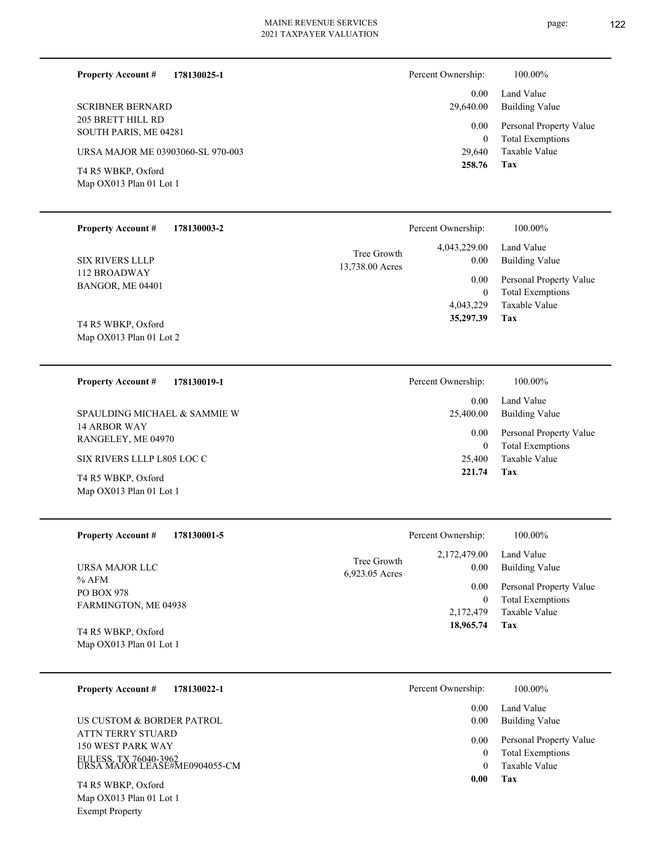**Tax 221.74**

25,400 Taxable Value 0 Total Exemptions 0.00 Personal Property Value

| 178130025-1<br><b>Property Account #</b>      | Percent Ownership:     | 100.00%                                            |
|-----------------------------------------------|------------------------|----------------------------------------------------|
|                                               | 0.00 <sub>1</sub>      | Land Value                                         |
| <b>SCRIBNER BERNARD</b>                       | 29,640.00              | Building Value                                     |
| 205 BRETT HILL RD<br>SOUTH PARIS, ME 04281    | 0.00<br>$\overline{0}$ | Personal Property Value<br><b>Total Exemptions</b> |
| URSA MAJOR ME 03903060-SL 970-003             | 29,640                 | Taxable Value                                      |
| T4 R5 WBKP, Oxford<br>Map OX013 Plan 01 Lot 1 | 258.76                 | Tax                                                |

| <b>Property Account #</b><br>178130003-2      | Percent Ownership:                                     | 100.00%                                            |
|-----------------------------------------------|--------------------------------------------------------|----------------------------------------------------|
| <b>SIX RIVERS LLLP</b>                        | 4,043,229.00<br>Tree Growth<br>0.00<br>13,738.00 Acres | Land Value<br><b>Building Value</b>                |
| 112 BROADWAY<br>BANGOR, ME 04401              | 0.00<br>$\mathbf{0}$                                   | Personal Property Value<br><b>Total Exemptions</b> |
|                                               | 4,043,229                                              | Taxable Value                                      |
| T4 R5 WBKP, Oxford<br>Map OX013 Plan 01 Lot 2 | 35,297.39                                              | Tax                                                |
| <b>Property Account #</b><br>178130019-1      | Percent Ownership:                                     | 100.00%                                            |
|                                               | 0.00                                                   | Land Value                                         |
| SPAULDING MICHAEL & SAMMIE W                  | 25,400.00                                              | <b>Building Value</b>                              |
| 14 ARBOR WAY                                  |                                                        |                                                    |

RANGELEY, ME 04970 SIX RIVERS LLLP L805 LOC C

Map OX013 Plan 01 Lot 1 T4 R5 WBKP, Oxford

| <b>Property Account #</b><br>178130001-5      |                               | Percent Ownership:   | 100.00%                                            |
|-----------------------------------------------|-------------------------------|----------------------|----------------------------------------------------|
| URSA MAJOR LLC<br>% AFM                       | Tree Growth<br>6,923.05 Acres | 2,172,479.00<br>0.00 | Land Value<br>Building Value                       |
| <b>PO BOX 978</b>                             |                               | 0.00<br>0            | Personal Property Value<br><b>Total Exemptions</b> |
| FARMINGTON, ME 04938                          |                               | 2,172,479            | Taxable Value                                      |
| T4 R5 WBKP, Oxford<br>Map OX013 Plan 01 Lot 1 |                               | 18,965.74            | Tax                                                |

| <b>Property Account #</b><br>178130022-1               | Percent Ownership: | 100.00%                                  |
|--------------------------------------------------------|--------------------|------------------------------------------|
| US CUSTOM & BORDER PATROL                              | 0.00<br>0.00       | Land Value<br><b>Building Value</b>      |
| ATTN TERRY STUARD<br>150 WEST PARK WAY                 | 0.00               | Personal Property Value                  |
| EULESS, TX 76040-3962<br>URSA MAJOR LEASE#ME0904055-CM |                    | <b>Total Exemptions</b><br>Taxable Value |
| T4 R5 WBKP, Oxford                                     | 0.00               | Tax                                      |

Map OX013 Plan 01 Lot 1 Exempt Property

page: 122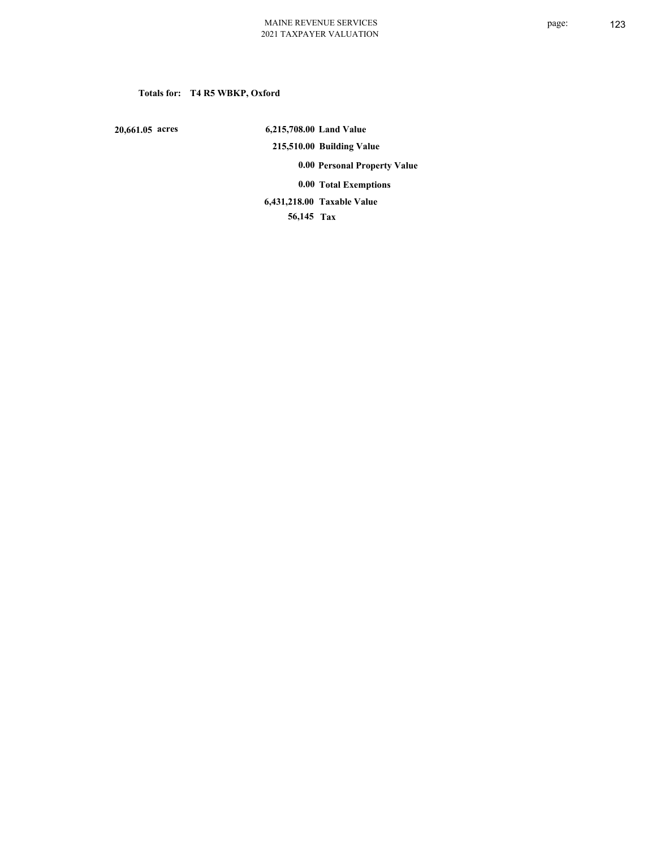# **Totals for: T4 R5 WBKP, Oxford**

 **20,661.05 acres**

 **6,215,708.00 Land Value 215,510.00 Building Value 0.00 Personal Property Value 0.00 Total Exemptions Taxable Value 6,431,218.00**

 **56,145 Tax**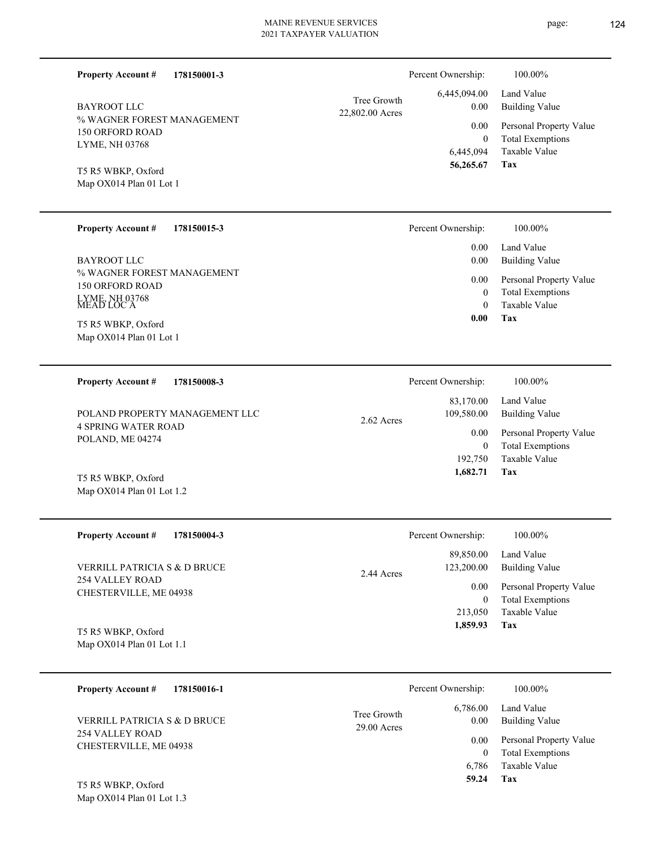| <b>Property Account #</b><br>178150001-3      |                 | Percent Ownership:   | 100.00%                                  |
|-----------------------------------------------|-----------------|----------------------|------------------------------------------|
|                                               | Tree Growth     | 6,445,094.00         | Land Value                               |
| BAYROOT LLC                                   | 22,802.00 Acres | 0.00                 | <b>Building Value</b>                    |
| % WAGNER FOREST MANAGEMENT                    |                 | 0.00                 | Personal Property Value                  |
| 150 ORFORD ROAD                               |                 | $\theta$             | <b>Total Exemptions</b>                  |
| <b>LYME, NH 03768</b>                         |                 | 6,445,094            | Taxable Value                            |
| T5 R5 WBKP, Oxford                            |                 | 56,265.67            | Tax                                      |
| Map OX014 Plan 01 Lot 1                       |                 |                      |                                          |
|                                               |                 |                      |                                          |
| <b>Property Account #</b><br>178150015-3      |                 | Percent Ownership:   | 100.00%                                  |
|                                               |                 | 0.00                 | Land Value                               |
| <b>BAYROOT LLC</b>                            |                 | 0.00                 | <b>Building Value</b>                    |
|                                               |                 |                      |                                          |
| % WAGNER FOREST MANAGEMENT                    |                 |                      |                                          |
| 150 ORFORD ROAD                               |                 | 0.00                 | Personal Property Value                  |
|                                               |                 | $\theta$<br>$\theta$ | <b>Total Exemptions</b><br>Taxable Value |
| LYME, NH 03768<br>MEAD LOC A                  |                 | 0.00                 | Tax                                      |
| T5 R5 WBKP, Oxford<br>Map OX014 Plan 01 Lot 1 |                 |                      |                                          |

| 178150008-3<br><b>Property Account #</b>       | Percent Ownership:                      | 100.00%                                            |
|------------------------------------------------|-----------------------------------------|----------------------------------------------------|
| POLAND PROPERTY MANAGEMENT LLC                 | 83,170.00<br>109.580.00<br>$2.62$ Acres | Land Value<br>Building Value                       |
| <b>4 SPRING WATER ROAD</b><br>POLAND, ME 04274 | 0.00<br>$\theta$                        | Personal Property Value<br><b>Total Exemptions</b> |
|                                                | 192,750                                 | Taxable Value                                      |
| T5 R5 WBKP, Oxford                             | 1,682.71                                | Tax                                                |

| <b>Property Account #</b><br>178150004-3  | Percent Ownership:       | 100.00%                 |
|-------------------------------------------|--------------------------|-------------------------|
|                                           | 89,850.00                | Land Value              |
| VERRILL PATRICIA S & D BRUCE              | 123,200.00<br>2.44 Acres | Building Value          |
| 254 VALLEY ROAD<br>CHESTERVILLE, ME 04938 | 0.00                     | Personal Property Value |
|                                           | 0                        | <b>Total Exemptions</b> |
|                                           | 213,050                  | Taxable Value           |
| T5 R5 WBKP, Oxford                        | 1,859.93                 | Tax                     |

Map OX014 Plan 01 Lot 1.1

Map OX014 Plan 01 Lot 1.2

| 178150016-1<br><b>Property Account #</b>                                  |                              | Percent Ownership: | 100.00%                                            |
|---------------------------------------------------------------------------|------------------------------|--------------------|----------------------------------------------------|
| VERRILL PATRICIA S & D BRUCE<br>254 VALLEY ROAD<br>CHESTERVILLE, ME 04938 | Tree Growth<br>$29.00$ Acres | 6,786.00<br>0.00   | Land Value<br><b>Building Value</b>                |
|                                                                           |                              | 0.00<br>0          | Personal Property Value<br><b>Total Exemptions</b> |
| T5 R5 WRKP Oxford                                                         |                              | 6.786<br>59.24     | Taxable Value<br>Tax                               |

Map OX014 Plan 01 Lot 1.3 T5 R5 WBKP, Oxford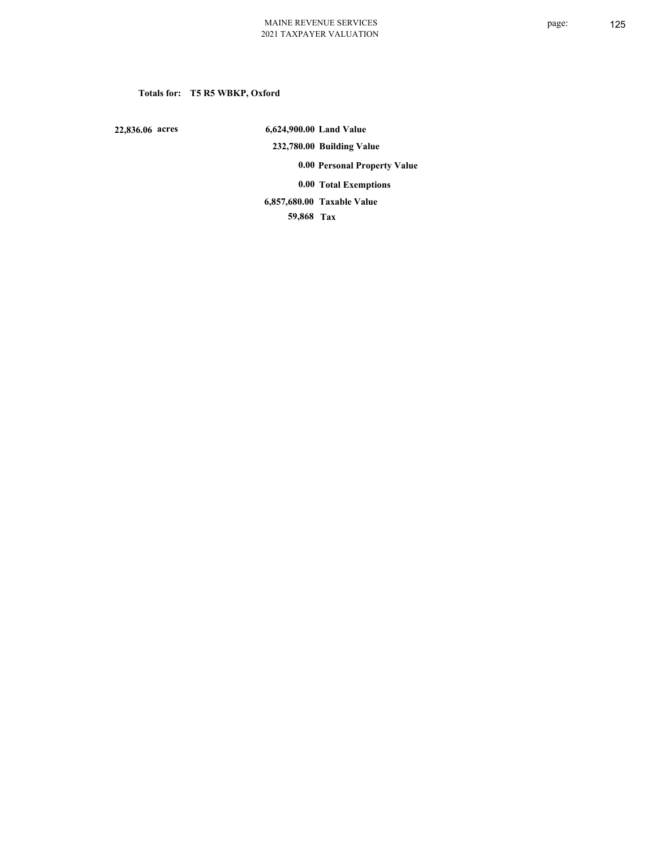# **Totals for: T5 R5 WBKP, Oxford**

 **22,836.06 acres**

 **6,624,900.00 Land Value 232,780.00 Building Value 0.00 Personal Property Value 0.00 Total Exemptions**

**Taxable Value 6,857,680.00**

 **59,868 Tax**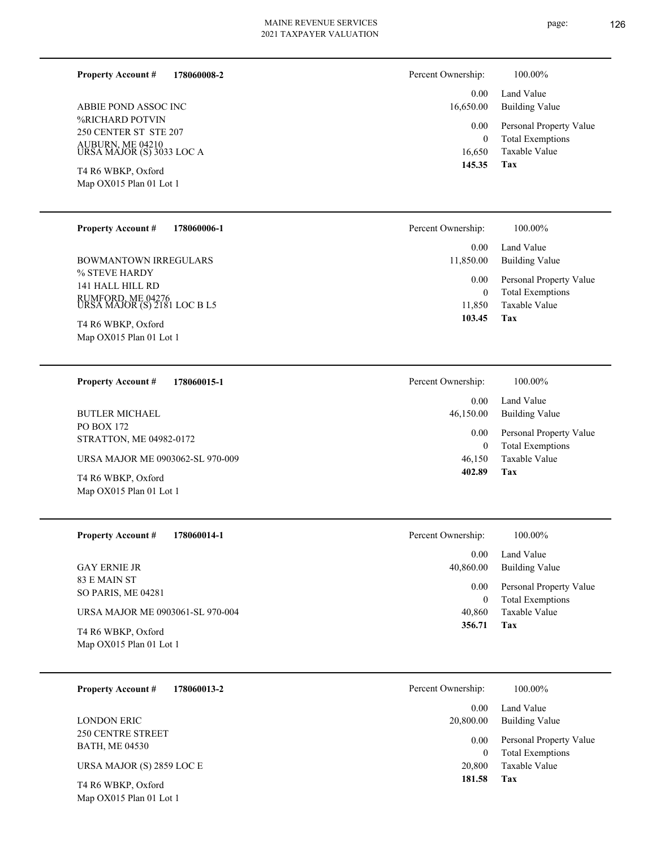**178060008-2 Property Account #**

%RICHARD POTVIN 250 CENTER ST STE 207 AUBURN, ME 04210 URSA MAJOR (S) 3033 LOC A ABBIE POND ASSOC INC

Map OX015 Plan 01 Lot 1 T4 R6 WBKP, Oxford

| <b>Property Account #</b> | 178060006-1 |
|---------------------------|-------------|
|---------------------------|-------------|

% STEVE HARDY 141 HALL HILL RD RUMFORD, ME 04276 URSA MAJOR (S) 2181 LOC B L5 BOWMANTOWN IRREGULARS

Map OX015 Plan 01 Lot 1 T4 R6 WBKP, Oxford

**178060015-1 Property Account #**

PO BOX 172 STRATTON, ME 04982-0172 BUTLER MICHAEL

URSA MAJOR ME 0903062-SL 970-009

Map OX015 Plan 01 Lot 1 T4 R6 WBKP, Oxford

**178060014-1 Property Account #**

83 E MAIN ST SO PARIS, ME 04281 GAY ERNIE JR

URSA MAJOR ME 0903061-SL 970-004

Map OX015 Plan 01 Lot 1 T4 R6 WBKP, Oxford

**178060013-2 Property Account #**

250 CENTRE STREET BATH, ME 04530 LONDON ERIC

URSA MAJOR (S) 2859 LOC E

Map OX015 Plan 01 Lot 1 T4 R6 WBKP, Oxford

| 100.00%                                               |
|-------------------------------------------------------|
| 0.00 Land Value<br>16,650.00<br><b>Building Value</b> |
| Personal Property Value<br>$0.00\,$                   |
| <b>Total Exemptions</b>                               |
| 16.650 Taxable Value                                  |
|                                                       |

**Tax 145.35**

| Percent Ownership:    | 100.00%                                            |
|-----------------------|----------------------------------------------------|
| $0.00 -$<br>11,850.00 | Land Value<br>Building Value                       |
| $0.00\,$<br>0         | Personal Property Value<br><b>Total Exemptions</b> |
| 11,850                | Taxable Value                                      |
| 103.45                | Tax                                                |

| Percent Ownership:    | 100.00%                                            |
|-----------------------|----------------------------------------------------|
| $0.00 -$<br>46,150.00 | Land Value<br>Building Value                       |
| $0.00\,$<br>0         | Personal Property Value<br><b>Total Exemptions</b> |
| 46,150                | Taxable Value                                      |
| 402.89                | Tax                                                |

| Percent Ownership: | 100.00%                 |
|--------------------|-------------------------|
| 0.00               | Land Value              |
| 40,860.00          | <b>Building Value</b>   |
| $0.00\,$           | Personal Property Value |
| $^{(1)}$           | <b>Total Exemptions</b> |
| 40,860             | Taxable Value           |
| 356.71             | Tax                     |

| Percent Ownership: | 100.00%                 |
|--------------------|-------------------------|
| 0.00               | Land Value              |
| 20,800.00          | Building Value          |
| 0.00               | Personal Property Value |
| 0                  | <b>Total Exemptions</b> |
| 20,800             | Taxable Value           |
| 181.58             | Tax                     |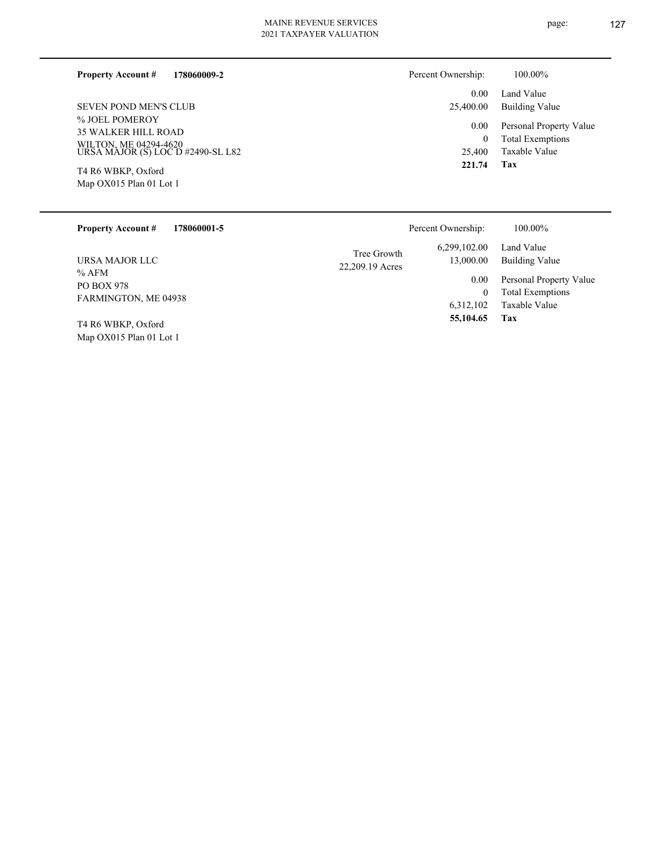#### **178060009-2 Property Account #**

% JOEL POMEROY 35 WALKER HILL ROAD WILTON, ME 04294-4620 URSA MAJOR (S) LOC D #2490-SL L82 SEVEN POND MEN'S CLUB

Map OX015 Plan 01 Lot 1 T4 R6 WBKP, Oxford

Map OX015 Plan 01 Lot 1

| Percent Ownership: | 100.00%    |
|--------------------|------------|
| $0.00 -$           | Land Value |

| 221.74 | Tax                          |
|--------|------------------------------|
| 25,400 | Taxable Value                |
| 0      | <b>Total Exemptions</b>      |
|        | 0.00 Personal Property Value |
|        | 25,400.00 Building Value     |
|        | $0.00$ Land Value            |

| <b>Property Account #</b><br>178060001-5             |                                | Percent Ownership:        | 100.00%                                            |
|------------------------------------------------------|--------------------------------|---------------------------|----------------------------------------------------|
| URSA MAJOR LLC                                       | Tree Growth<br>22,209.19 Acres | 6,299,102.00<br>13,000.00 | Land Value<br>Building Value                       |
| $%$ AFM<br><b>PO BOX 978</b><br>FARMINGTON, ME 04938 |                                | 0.00<br>$\theta$          | Personal Property Value<br><b>Total Exemptions</b> |
| T4 R6 WBKP, Oxford                                   |                                | 6,312,102<br>55,104.65    | Taxable Value<br>Tax                               |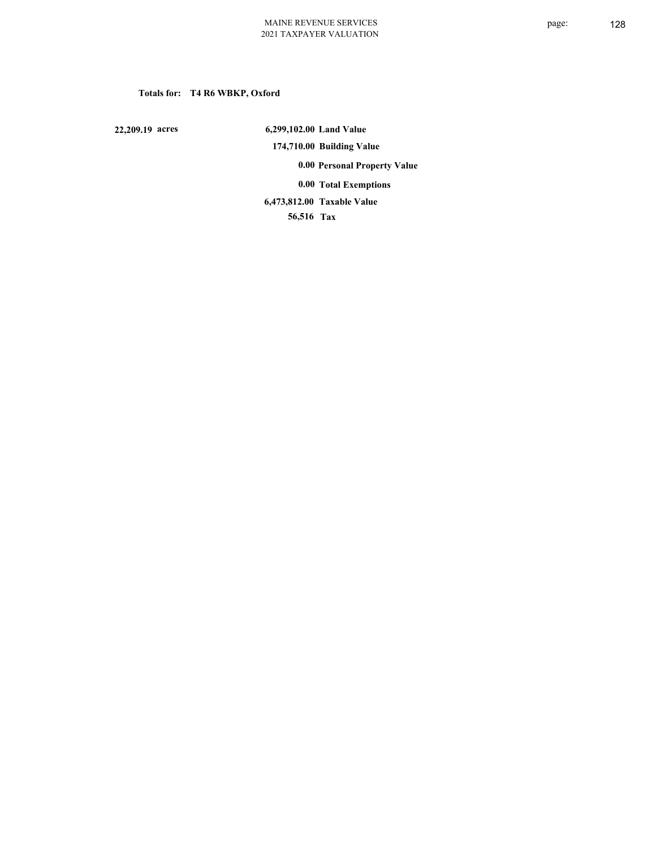# **Totals for: T4 R6 WBKP, Oxford**

 **22,209.19 acres**

 **6,299,102.00 Land Value 174,710.00 Building Value 0.00 Personal Property Value 0.00 Total Exemptions Taxable Value 6,473,812.00**

 **56,516 Tax**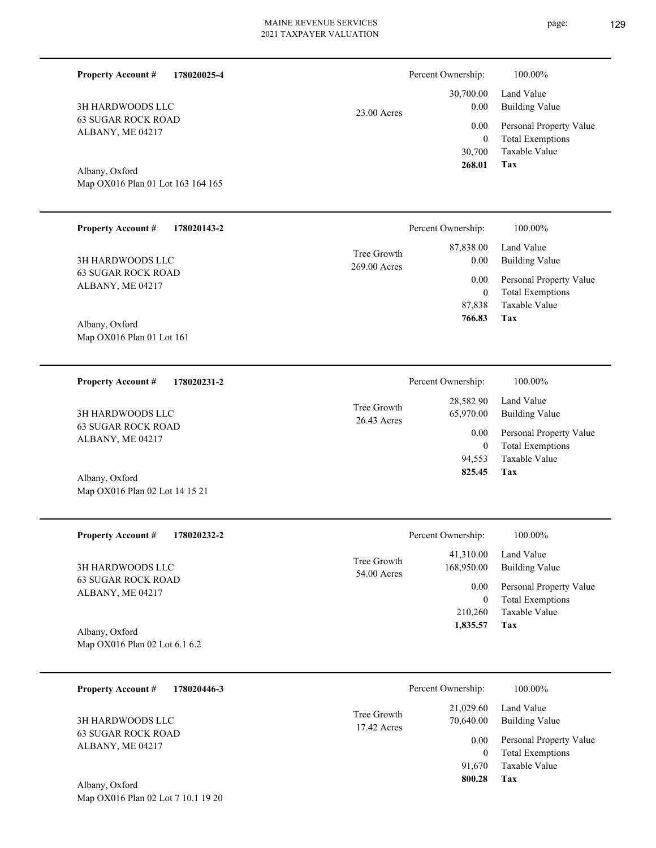| <b>Property Account #</b><br>178020025-4            |                             | Percent Ownership:                           | 100.00%                                                                    |
|-----------------------------------------------------|-----------------------------|----------------------------------------------|----------------------------------------------------------------------------|
| 3H HARDWOODS LLC                                    | 23.00 Acres                 | 30,700.00<br>0.00                            | Land Value<br><b>Building Value</b>                                        |
| <b>63 SUGAR ROCK ROAD</b><br>ALBANY, ME 04217       |                             | 0.00<br>$\boldsymbol{0}$<br>30,700           | Personal Property Value<br><b>Total Exemptions</b><br>Taxable Value        |
| Albany, Oxford<br>Map OX016 Plan 01 Lot 163 164 165 |                             | 268.01                                       | Tax                                                                        |
| <b>Property Account #</b><br>178020143-2            |                             | Percent Ownership:                           | 100.00%                                                                    |
| <b>3H HARDWOODS LLC</b>                             | Tree Growth<br>269.00 Acres | 87,838.00<br>0.00                            | Land Value<br><b>Building Value</b>                                        |
| <b>63 SUGAR ROCK ROAD</b><br>ALBANY, ME 04217       |                             | 0.00<br>$\boldsymbol{0}$<br>87,838<br>766.83 | Personal Property Value<br><b>Total Exemptions</b><br>Taxable Value<br>Tax |
| Albany, Oxford<br>Map OX016 Plan 01 Lot 161         |                             |                                              |                                                                            |
| <b>Property Account #</b><br>178020231-2            |                             | Percent Ownership:                           | 100.00%                                                                    |
| 3H HARDWOODS LLC                                    | Tree Growth<br>26.43 Acres  | 28,582.90<br>65,970.00                       | Land Value<br><b>Building Value</b>                                        |
| <b>63 SUGAR ROCK ROAD</b><br>ALBANY, ME 04217       |                             | 0.00<br>$\overline{0}$                       | Personal Property Value<br><b>Total Exemptions</b>                         |
| Albany, Oxford<br>Map OX016 Plan 02 Lot 14 15 21    |                             | 94,553<br>825.45                             | Taxable Value<br>Tax                                                       |
| <b>Property Account #</b><br>178020232-2            |                             | Percent Ownership:                           | 100.00%                                                                    |
| 3H HARDWOODS LLC                                    | Tree Growth<br>54.00 Acres  | 41,310.00<br>168,950.00                      | Land Value<br><b>Building Value</b>                                        |
| <b>63 SUGAR ROCK ROAD</b><br>ALBANY, ME 04217       |                             | 0.00<br>$\overline{0}$                       | Personal Property Value<br><b>Total Exemptions</b>                         |
| Albany, Oxford<br>Map OX016 Plan 02 Lot 6.1 6.2     |                             | 210,260<br>1,835.57                          | Taxable Value<br>Tax                                                       |
| <b>Property Account #</b><br>178020446-3            |                             | Percent Ownership:                           | 100.00%                                                                    |
| 3H HARDWOODS LLC                                    | Tree Growth                 | 21,029.60<br>70,640.00                       | Land Value<br><b>Building Value</b>                                        |
| <b>63 SUGAR ROCK ROAD</b><br>ALBANY, ME 04217       | 17.42 Acres                 | 0.00<br>$\overline{0}$                       | Personal Property Value<br><b>Total Exemptions</b>                         |
| $\Lambda$ lleanse Oscfond                           |                             | 91,670<br>800.28                             | Taxable Value<br><b>Tax</b>                                                |

Map OX016 Plan 02 Lot 7 10.1 19 20 Albany, Oxford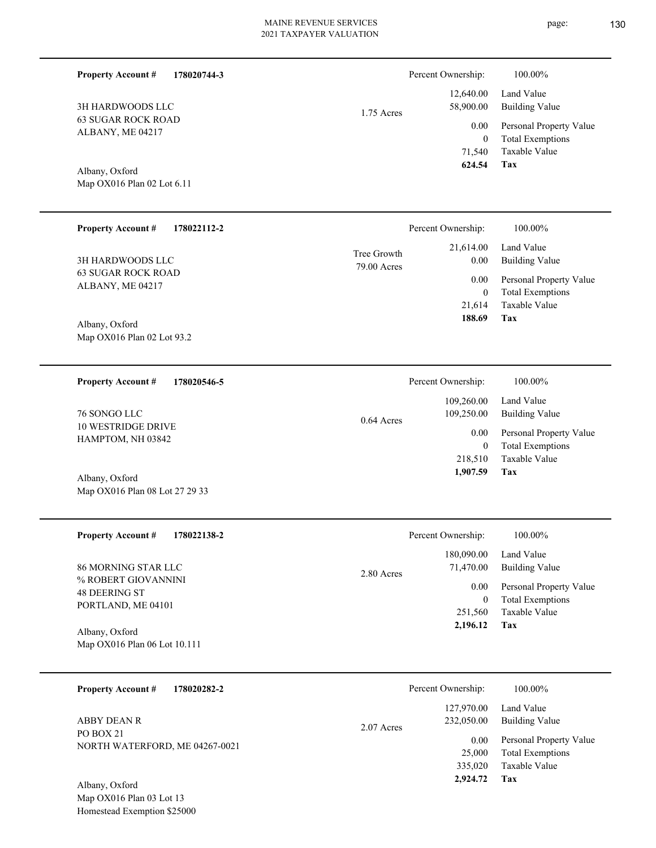| 178020744-3<br><b>Property Account #</b>         |                            | Percent Ownership:          | 100.00%                                         |
|--------------------------------------------------|----------------------------|-----------------------------|-------------------------------------------------|
| 3H HARDWOODS LLC                                 | 1.75 Acres                 | 12,640.00<br>58,900.00      | Land Value<br><b>Building Value</b>             |
| <b>63 SUGAR ROCK ROAD</b><br>ALBANY, ME 04217    |                            | 0.00                        | Personal Property Value                         |
|                                                  |                            | $\mathbf{0}$<br>71,540      | <b>Total Exemptions</b><br>Taxable Value        |
| Albany, Oxford<br>Map OX016 Plan 02 Lot 6.11     |                            | 624.54                      | Tax                                             |
|                                                  |                            |                             |                                                 |
| <b>Property Account #</b><br>178022112-2         |                            | Percent Ownership:          | 100.00%                                         |
| 3H HARDWOODS LLC                                 | Tree Growth<br>79.00 Acres | 21,614.00<br>0.00           | Land Value<br><b>Building Value</b>             |
| <b>63 SUGAR ROCK ROAD</b><br>ALBANY, ME 04217    |                            | 0.00                        | Personal Property Value                         |
|                                                  |                            | $\overline{0}$<br>21,614    | <b>Total Exemptions</b><br><b>Taxable Value</b> |
| Albany, Oxford<br>Map OX016 Plan 02 Lot 93.2     |                            | 188.69                      | Tax                                             |
|                                                  |                            |                             |                                                 |
| <b>Property Account #</b><br>178020546-5         |                            | Percent Ownership:          | 100.00%                                         |
| 76 SONGO LLC                                     |                            | 109,260.00<br>109,250.00    | Land Value<br><b>Building Value</b>             |
| <b>10 WESTRIDGE DRIVE</b><br>HAMPTOM, NH 03842   | 0.64 Acres                 | 0.00                        | Personal Property Value                         |
|                                                  |                            | $\overline{0}$<br>218,510   | <b>Total Exemptions</b><br>Taxable Value        |
| Albany, Oxford<br>Map OX016 Plan 08 Lot 27 29 33 |                            | 1,907.59                    | Tax                                             |
|                                                  |                            |                             |                                                 |
| <b>Property Account #</b><br>178022138-2         |                            | Percent Ownership:          | 100.00%                                         |
| 86 MORNING STAR LLC                              |                            | 180,090.00<br>71,470.00     | Land Value<br><b>Building Value</b>             |
| % ROBERT GIOVANNINI<br><b>48 DEERING ST</b>      | 2.80 Acres                 | 0.00                        | Personal Property Value                         |
| PORTLAND, ME 04101                               |                            | $\boldsymbol{0}$<br>251,560 | <b>Total Exemptions</b><br>Taxable Value        |
| Albany, Oxford<br>Map OX016 Plan 06 Lot 10.111   |                            | 2,196.12                    | Tax                                             |
|                                                  |                            |                             |                                                 |
| <b>Property Account #</b><br>178020282-2         |                            | Percent Ownership:          | 100.00%                                         |
| ABBY DEAN R                                      |                            | 127,970.00<br>232,050.00    | Land Value<br><b>Building Value</b>             |
| PO BOX 21<br>NORTH WATERFORD, ME 04267-0021      | 2.07 Acres                 | 0.00                        | Personal Property Value                         |
|                                                  |                            | 25,000<br>335,020           | <b>Total Exemptions</b><br>Taxable Value        |
| Albany, Oxford<br>Map OX016 Plan 03 Lot 13       |                            | 2,924.72                    | Tax                                             |

Homestead Exemption \$25000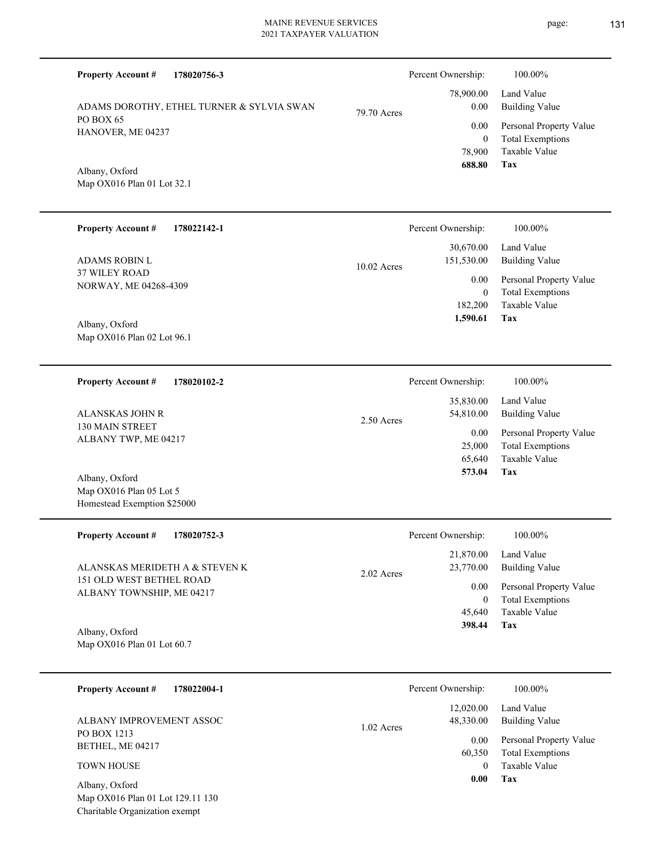| 178020756-3<br><b>Property Account #</b>                                 |               | Percent Ownership:             | 100.00%                                                             |
|--------------------------------------------------------------------------|---------------|--------------------------------|---------------------------------------------------------------------|
| ADAMS DOROTHY, ETHEL TURNER & SYLVIA SWAN                                | 79.70 Acres   | 78,900.00<br>0.00              | Land Value<br><b>Building Value</b>                                 |
| PO BOX 65<br>HANOVER, ME 04237                                           |               | 0.00<br>$\boldsymbol{0}$       | Personal Property Value<br><b>Total Exemptions</b>                  |
| Albany, Oxford<br>Map OX016 Plan 01 Lot 32.1                             |               | 78,900<br>688.80               | Taxable Value<br>Tax                                                |
| <b>Property Account #</b><br>178022142-1                                 |               | Percent Ownership:             | 100.00%                                                             |
| <b>ADAMS ROBIN L</b>                                                     | $10.02$ Acres | 30,670.00<br>151,530.00        | Land Value<br><b>Building Value</b>                                 |
| <b>37 WILEY ROAD</b><br>NORWAY, ME 04268-4309                            |               | 0.00<br>$\mathbf{0}$           | Personal Property Value<br><b>Total Exemptions</b>                  |
| Albany, Oxford<br>Map OX016 Plan 02 Lot 96.1                             |               | 182,200<br>1,590.61            | Taxable Value<br>Tax                                                |
| <b>Property Account #</b><br>178020102-2                                 |               | Percent Ownership:             | 100.00%                                                             |
| ALANSKAS JOHN R                                                          | 2.50 Acres    | 35,830.00<br>54,810.00         | Land Value<br><b>Building Value</b>                                 |
| 130 MAIN STREET<br>ALBANY TWP, ME 04217                                  |               | 0.00<br>25,000<br>65,640       | Personal Property Value<br><b>Total Exemptions</b><br>Taxable Value |
| Albany, Oxford<br>Map OX016 Plan 05 Lot 5<br>Homestead Exemption \$25000 |               | 573.04                         | Tax                                                                 |
| <b>Property Account #</b><br>178020752-3                                 |               | Percent Ownership:             | 100.00%                                                             |
| ALANSKAS MERIDETH A & STEVEN K                                           | 2.02 Acres    | 21,870.00<br>23,770.00         | Land Value<br><b>Building Value</b>                                 |
| 151 OLD WEST BETHEL ROAD<br>ALBANY TOWNSHIP, ME 04217                    |               | 0.00<br>$\mathbf{0}$<br>45,640 | Personal Property Value<br><b>Total Exemptions</b><br>Taxable Value |
| Albany, Oxford<br>Map OX016 Plan 01 Lot 60.7                             |               | 398.44                         | <b>Tax</b>                                                          |
| <b>Property Account #</b><br>178022004-1                                 |               | Percent Ownership:             | 100.00%                                                             |
| ALBANY IMPROVEMENT ASSOC                                                 | 1.02 Acres    | 12,020.00<br>48,330.00         | Land Value<br><b>Building Value</b>                                 |
| PO BOX 1213<br>BETHEL, ME 04217                                          |               | 0.00<br>60,350                 | Personal Property Value<br><b>Total Exemptions</b>                  |
| <b>TOWN HOUSE</b><br>Albany, Oxford                                      |               | $\overline{0}$<br>0.00         | Taxable Value<br>Tax                                                |
|                                                                          |               |                                |                                                                     |

Map OX016 Plan 01 Lot 129.11 130 Charitable Organization exempt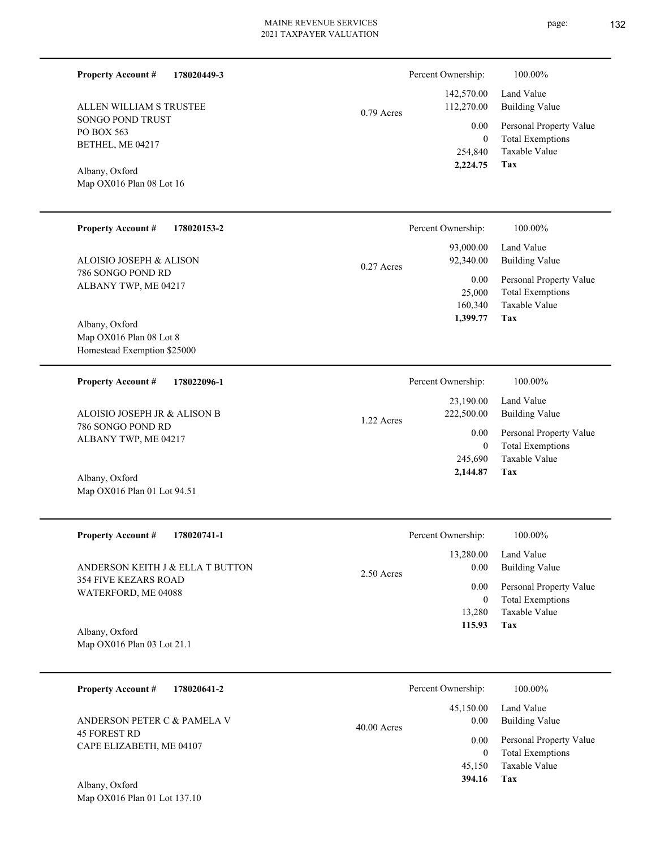page: 132

| <b>Property Account #</b><br>178020449-3                 |              | Percent Ownership:          | 100.00%                                            |
|----------------------------------------------------------|--------------|-----------------------------|----------------------------------------------------|
| ALLEN WILLIAM S TRUSTEE                                  | $0.79$ Acres | 142,570.00<br>112,270.00    | Land Value<br><b>Building Value</b>                |
| SONGO POND TRUST<br>PO BOX 563                           |              | 0.00                        | Personal Property Value                            |
| BETHEL, ME 04217                                         |              | $\boldsymbol{0}$<br>254,840 | <b>Total Exemptions</b><br>Taxable Value           |
| Albany, Oxford                                           |              | 2,224.75                    | Tax                                                |
| Map OX016 Plan 08 Lot 16                                 |              |                             |                                                    |
|                                                          |              |                             |                                                    |
| <b>Property Account #</b><br>178020153-2                 |              | Percent Ownership:          | 100.00%                                            |
| ALOISIO JOSEPH & ALISON                                  |              | 93,000.00<br>92,340.00      | Land Value<br><b>Building Value</b>                |
| 786 SONGO POND RD                                        | 0.27 Acres   | 0.00                        | Personal Property Value                            |
| ALBANY TWP, ME 04217                                     |              | 25,000                      | <b>Total Exemptions</b>                            |
|                                                          |              | 160,340<br>1,399.77         | Taxable Value<br>Tax                               |
| Albany, Oxford<br>Map OX016 Plan 08 Lot 8                |              |                             |                                                    |
| Homestead Exemption \$25000                              |              |                             |                                                    |
| <b>Property Account #</b><br>178022096-1                 |              | Percent Ownership:          | 100.00%                                            |
|                                                          |              | 23,190.00                   | Land Value                                         |
| ALOISIO JOSEPH JR & ALISON B<br>786 SONGO POND RD        | 1.22 Acres   | 222,500.00                  | <b>Building Value</b>                              |
| ALBANY TWP, ME 04217                                     |              | 0.00<br>$\mathbf{0}$        | Personal Property Value<br><b>Total Exemptions</b> |
|                                                          |              | 245,690<br>2,144.87         | Taxable Value<br>Tax                               |
| Albany, Oxford<br>Map OX016 Plan 01 Lot 94.51            |              |                             |                                                    |
|                                                          |              |                             |                                                    |
| 178020741-1<br><b>Property Account #</b>                 |              | Percent Ownership:          | 100.00%                                            |
|                                                          |              | 13,280.00                   | Land Value                                         |
| ANDERSON KEITH J & ELLA T BUTTON<br>354 FIVE KEZARS ROAD | 2.50 Acres   | 0.00<br>0.00                | <b>Building Value</b><br>Personal Property Value   |
| WATERFORD, ME 04088                                      |              | $\mathbf{0}$                | <b>Total Exemptions</b>                            |
|                                                          |              | 13,280<br>115.93            | Taxable Value<br>Tax                               |
| Albany, Oxford<br>Map OX016 Plan 03 Lot 21.1             |              |                             |                                                    |
|                                                          |              |                             |                                                    |
| <b>Property Account #</b><br>178020641-2                 |              | Percent Ownership:          | 100.00%                                            |
|                                                          |              | 45,150.00                   | Land Value                                         |
| ANDERSON PETER C & PAMELA V<br><b>45 FOREST RD</b>       | 40.00 Acres  | 0.00                        | <b>Building Value</b>                              |
| CAPE ELIZABETH, ME 04107                                 |              | 0.00<br>$\overline{0}$      | Personal Property Value<br><b>Total Exemptions</b> |
|                                                          |              | 45,150                      | Taxable Value                                      |
| Albany, Oxford                                           |              | 394.16                      | Tax                                                |
| Map OX016 Plan 01 Lot 137.10                             |              |                             |                                                    |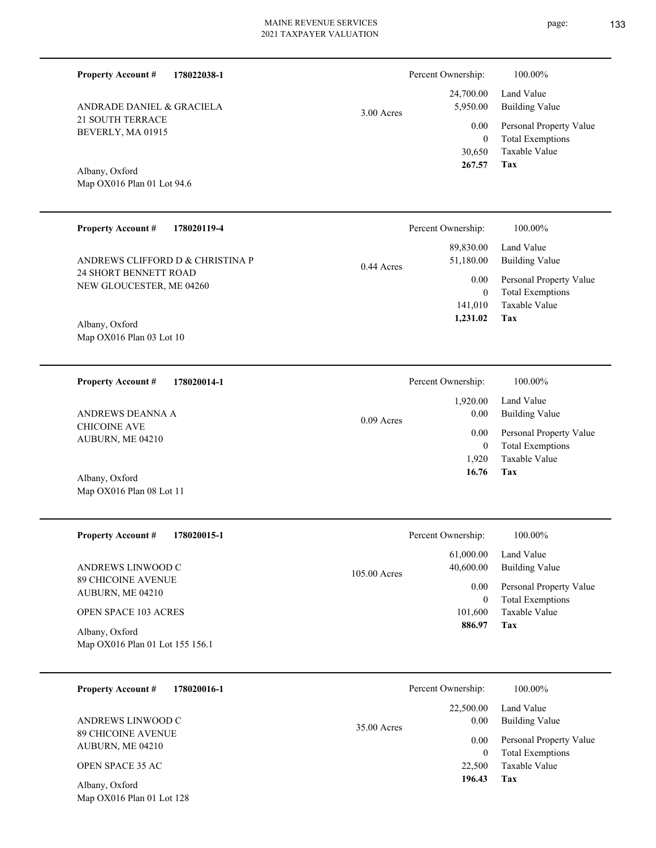| <b>Property Account #</b><br>178022038-1          |              | Percent Ownership:                         | 100.00%                                                                    |
|---------------------------------------------------|--------------|--------------------------------------------|----------------------------------------------------------------------------|
| ANDRADE DANIEL & GRACIELA                         | 3.00 Acres   | 24,700.00<br>5,950.00                      | Land Value<br><b>Building Value</b>                                        |
| 21 SOUTH TERRACE<br>BEVERLY, MA 01915             |              | 0.00<br>$\boldsymbol{0}$<br>30,650         | Personal Property Value<br><b>Total Exemptions</b><br>Taxable Value        |
| Albany, Oxford<br>Map OX016 Plan 01 Lot 94.6      |              | 267.57                                     | Tax                                                                        |
| <b>Property Account #</b><br>178020119-4          |              | Percent Ownership:                         | 100.00%                                                                    |
| ANDREWS CLIFFORD D & CHRISTINA P                  | 0.44 Acres   | 89,830.00<br>51,180.00                     | Land Value<br><b>Building Value</b>                                        |
| 24 SHORT BENNETT ROAD<br>NEW GLOUCESTER, ME 04260 |              | 0.00<br>$\bf{0}$<br>141,010<br>1,231.02    | Personal Property Value<br><b>Total Exemptions</b><br>Taxable Value<br>Tax |
| Albany, Oxford<br>Map OX016 Plan 03 Lot 10        |              |                                            |                                                                            |
| <b>Property Account #</b><br>178020014-1          |              | Percent Ownership:                         | 100.00%                                                                    |
| ANDREWS DEANNA A                                  | $0.09$ Acres | 1,920.00<br>0.00                           | Land Value<br><b>Building Value</b>                                        |
| <b>CHICOINE AVE</b><br>AUBURN, ME 04210           |              | 0.00<br>$\boldsymbol{0}$<br>1,920<br>16.76 | Personal Property Value<br><b>Total Exemptions</b><br>Taxable Value<br>Tax |
| Albany, Oxford<br>Map OX016 Plan 08 Lot 11        |              |                                            |                                                                            |
| <b>Property Account #</b><br>178020015-1          |              | Percent Ownership:                         | 100.00%                                                                    |
| ANDREWS LINWOOD C                                 | 105.00 Acres | 61,000.00<br>40,600.00                     | Land Value<br><b>Building Value</b>                                        |
| <b>89 CHICOINE AVENUE</b><br>AUBURN, ME 04210     |              | 0.00<br>$\bf{0}$                           | Personal Property Value<br><b>Total Exemptions</b>                         |
| <b>OPEN SPACE 103 ACRES</b><br>Albany, Oxford     |              | 101,600<br>886.97                          | Taxable Value<br>Tax                                                       |
| Map OX016 Plan 01 Lot 155 156.1                   |              |                                            |                                                                            |
| 178020016-1<br><b>Property Account #</b>          |              | Percent Ownership:                         | 100.00%                                                                    |
| ANDREWS LINWOOD C                                 | 35.00 Acres  | 22,500.00<br>0.00                          | Land Value<br><b>Building Value</b>                                        |
| 89 CHICOINE AVENUE<br>AUBURN, ME 04210            |              | 0.00<br>$\boldsymbol{0}$                   | Personal Property Value<br><b>Total Exemptions</b>                         |
| OPEN SPACE 35 AC                                  |              | 22,500<br>196.43                           | Taxable Value<br>Tax                                                       |
| Albany, Oxford<br>Map OX016 Plan 01 Lot 128       |              |                                            |                                                                            |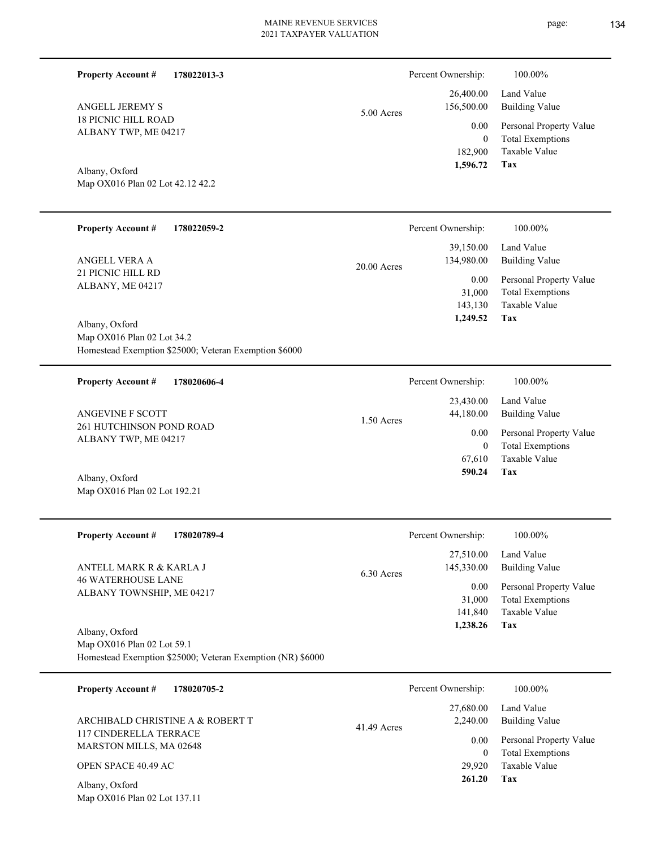| <b>Property Account #</b><br>178022013-3                                                                   |               | Percent Ownership:                    | 100.00%                                                                    |
|------------------------------------------------------------------------------------------------------------|---------------|---------------------------------------|----------------------------------------------------------------------------|
| ANGELL JEREMY S                                                                                            | 5.00 Acres    | 26,400.00<br>156,500.00               | Land Value<br><b>Building Value</b>                                        |
| <b>18 PICNIC HILL ROAD</b><br>ALBANY TWP, ME 04217                                                         |               | 0.00<br>$\overline{0}$<br>182,900     | Personal Property Value<br><b>Total Exemptions</b><br>Taxable Value        |
| Albany, Oxford<br>Map OX016 Plan 02 Lot 42.12 42.2                                                         |               | 1,596.72                              | Tax                                                                        |
| <b>Property Account #</b><br>178022059-2                                                                   |               | Percent Ownership:                    | 100.00%                                                                    |
| <b>ANGELL VERA A</b>                                                                                       | $20.00$ Acres | 39,150.00<br>134,980.00               | Land Value<br><b>Building Value</b>                                        |
| 21 PICNIC HILL RD<br>ALBANY, ME 04217                                                                      |               | 0.00<br>31,000<br>143,130<br>1,249.52 | Personal Property Value<br><b>Total Exemptions</b><br>Taxable Value<br>Tax |
| Albany, Oxford<br>Map OX016 Plan 02 Lot 34.2<br>Homestead Exemption \$25000; Veteran Exemption \$6000      |               |                                       |                                                                            |
| 178020606-4<br><b>Property Account #</b>                                                                   |               | Percent Ownership:                    | 100.00%                                                                    |
| ANGEVINE F SCOTT                                                                                           | 1.50 Acres    | 23,430.00<br>44,180.00                | Land Value<br><b>Building Value</b>                                        |
| 261 HUTCHINSON POND ROAD<br>ALBANY TWP, ME 04217                                                           |               | 0.00<br>$\overline{0}$<br>67,610      | Personal Property Value<br><b>Total Exemptions</b><br>Taxable Value        |
| Albany, Oxford<br>Map OX016 Plan 02 Lot 192.21                                                             |               | 590.24                                | Tax                                                                        |
| <b>Property Account #</b><br>178020789-4                                                                   |               | Percent Ownership:                    | 100.00%                                                                    |
| ANTELL MARK R & KARLA J                                                                                    | 6.30 Acres    | 27,510.00<br>145,330.00               | Land Value<br><b>Building Value</b>                                        |
| <b>46 WATERHOUSE LANE</b><br>ALBANY TOWNSHIP, ME 04217                                                     |               | 0.00<br>31,000<br>141,840<br>1,238.26 | Personal Property Value<br><b>Total Exemptions</b><br>Taxable Value<br>Tax |
| Albany, Oxford<br>Map OX016 Plan 02 Lot 59.1<br>Homestead Exemption \$25000; Veteran Exemption (NR) \$6000 |               |                                       |                                                                            |
| <b>Property Account #</b><br>178020705-2                                                                   |               | Percent Ownership:                    | 100.00%                                                                    |
| ARCHIBALD CHRISTINE A & ROBERT T                                                                           | 41.49 Acres   | 27,680.00<br>2,240.00                 | Land Value<br><b>Building Value</b>                                        |
| 117 CINDERELLA TERRACE<br>MARSTON MILLS, MA 02648                                                          |               | 0.00<br>$\overline{0}$                | Personal Property Value<br><b>Total Exemptions</b>                         |
| OPEN SPACE 40.49 AC                                                                                        |               | 29,920<br>261.20                      | Taxable Value<br>Tax                                                       |
| Albany, Oxford<br>Map OX016 Plan 02 Lot 137.11                                                             |               |                                       |                                                                            |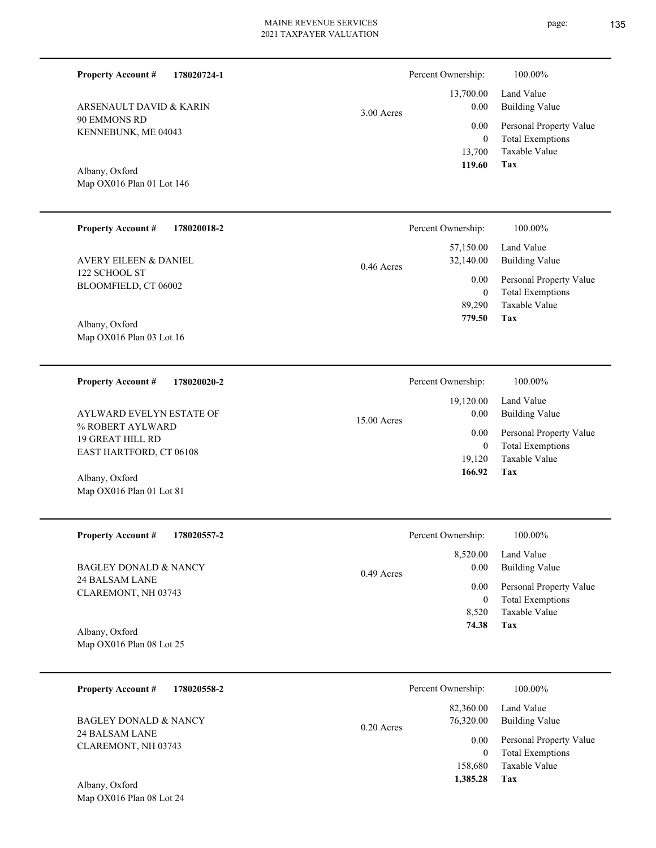3.00 Acres

Map OX016 Plan 01 Lot 146 Albany, Oxford

KENNEBUNK, ME 04043

ARSENAULT DAVID & KARIN

90 EMMONS RD

**Property Account #**

**178020724-1**

| <b>Property Account #</b><br>178020018-2 | Percent Ownership:                     | 100.00%                                            |
|------------------------------------------|----------------------------------------|----------------------------------------------------|
| <b>AVERY EILEEN &amp; DANIEL</b>         | 57,150.00<br>32,140.00<br>$0.46$ Acres | Land Value<br>Building Value                       |
| 122 SCHOOL ST<br>BLOOMFIELD, CT 06002    | 0.00<br>$\theta$                       | Personal Property Value<br><b>Total Exemptions</b> |
|                                          | 89,290                                 | Taxable Value                                      |
| 4.11<br>$\sim$ $\sim$ 1                  | 779.50                                 | Tax                                                |

Map OX016 Plan 03 Lot 16 Albany, Oxford

Map OX016 Plan 01 Lot 81

**178020020-2 Tax** Taxable Value Total Exemptions Personal Property Value Building Value Land Value % ROBERT AYLWARD 19 GREAT HILL RD EAST HARTFORD, CT 06108 **Property Account #** Albany, Oxford AYLWARD EVELYN ESTATE OF 19,120 0  **166.92** 19,120.00 0.00 0.00 15.00 Acres Percent Ownership:  $100.00\%$ 

| <b>Property Account #</b><br>178020557-2 | Percent Ownership:               | 100.00%                                            |
|------------------------------------------|----------------------------------|----------------------------------------------------|
| BAGLEY DONALD & NANCY<br>24 BALSAM LANE  | 8,520.00<br>0.00<br>$0.49$ Acres | Land Value<br><b>Building Value</b>                |
| CLAREMONT, NH 03743                      | 0.00<br>$\bf{0}$                 | Personal Property Value<br><b>Total Exemptions</b> |
|                                          | 8.520                            | Taxable Value                                      |
| Albany, Oxford                           | 74.38                            | Tax                                                |
| Map $OX016$ Plan 08 Lot 25               |                                  |                                                    |

**178020558-2 Tax** Taxable Value Total Exemptions Personal Property Value Building Value Land Value 24 BALSAM LANE CLAREMONT, NH 03743 **Property Account #** BAGLEY DONALD & NANCY 158,680 0  **1,385.28** 82,360.00 76,320.00 0.00 0.20 Acres Percent Ownership:  $100.00\%$ 

Map OX016 Plan 08 Lot 24 Albany, Oxford

**Tax**

 13,700 0

 13,700.00 0.00 0.00

Percent Ownership: 100.00%

 **119.60**

Taxable Value Total Exemptions Personal Property Value

Building Value Land Value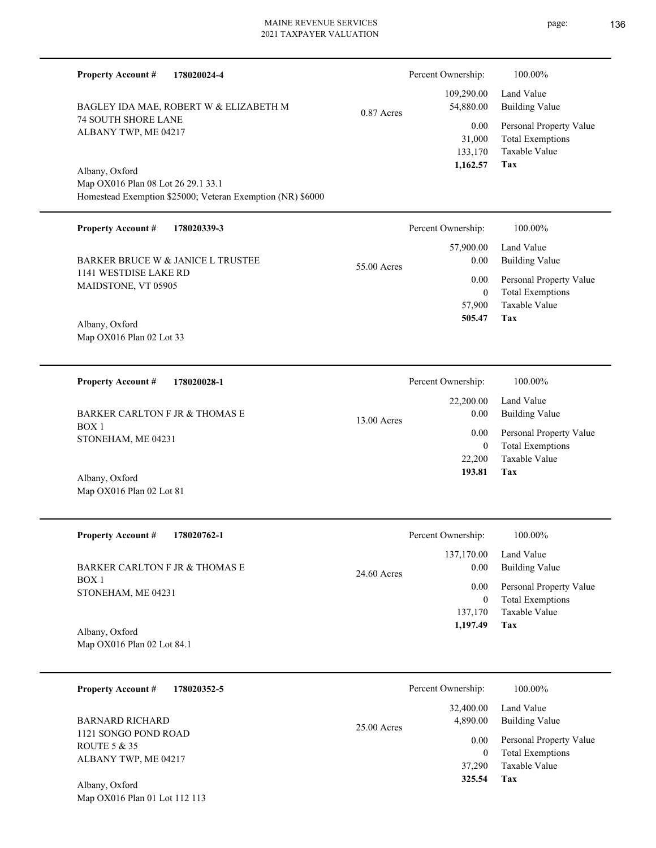**178020024-4 Tax** Taxable Value Total Exemptions Personal Property Value Building Value Land Value 74 SOUTH SHORE LANE ALBANY TWP, ME 04217 Map OX016 Plan 08 Lot 26 29.1 33.1 Homestead Exemption \$25000; Veteran Exemption (NR) \$6000 BAGLEY IDA MAE, ROBERT W & ELIZABETH M 133,170 31,000  **1,162.57** 109,290.00 54,880.00 0.00 0.87 Acres Percent Ownership:  $100.00\%$ **178020339-3 Tax** Taxable Value Total Exemptions Personal Property Value Building Value Land Value 1141 WESTDISE LAKE RD MAIDSTONE, VT 05905 Map OX016 Plan 02 Lot 33 BARKER BRUCE W & JANICE L TRUSTEE 57,900 0  **505.47** 57,900.00 0.00 0.00 55.00 Acres Percent Ownership: 100.00% **178020028-1** Land Value 22,200.00 Percent Ownership:  $100.00\%$ 

BOX 1 STONEHAM, ME 04231 BARKER CARLTON F JR & THOMAS E

Map OX016 Plan 02 Lot 81 Albany, Oxford

**Property Account #**

Albany, Oxford

**Property Account #**

Albany, Oxford

**Property Account #**

| <b>Property Account #</b><br>178020762-1 | Percent Ownership:                  | 100.00%                             |
|------------------------------------------|-------------------------------------|-------------------------------------|
| BARKER CARLTON F JR & THOMAS E           | 137,170.00<br>0.00<br>$24.60$ Acres | Land Value<br><b>Building Value</b> |
| BOX 1<br>STONEHAM, ME 04231              | 0.00                                | Personal Property Value             |
|                                          | $\bf{0}$                            | <b>Total Exemptions</b>             |
|                                          | 137,170                             | Taxable Value                       |
| Albany, Oxford                           | 1,197.49                            | Tax                                 |

13.00 Acres

Map OX016 Plan 02 Lot 84.1

Map OX016 Plan 01 Lot 112 113

| 178020352-5<br><b>Property Account #</b> | Percent Ownership:                     | 100.00%                                                             |
|------------------------------------------|----------------------------------------|---------------------------------------------------------------------|
| BARNARD RICHARD<br>1121 SONGO POND ROAD  | 32,400.00<br>4,890.00<br>$25.00$ Acres | Land Value<br>Building Value                                        |
| ROUTE 5 & 35<br>ALBANY TWP, ME 04217     | 0.00<br>$\theta$<br>37,290             | Personal Property Value<br><b>Total Exemptions</b><br>Taxable Value |
| Albany, Oxford                           | 325.54                                 | Tax                                                                 |

**Tax**

 22,200 0

 0.00 0.00

 **193.81**

Taxable Value Total Exemptions Personal Property Value

Building Value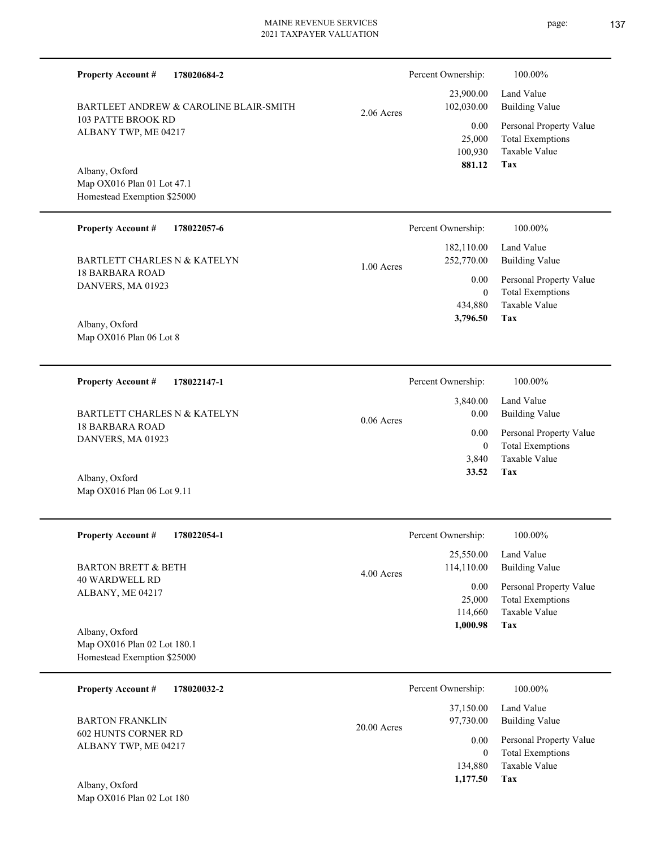| <b>Property Account #</b><br>178020684-2                                     |               | Percent Ownership:                    | 100.00%                                                                           |
|------------------------------------------------------------------------------|---------------|---------------------------------------|-----------------------------------------------------------------------------------|
| BARTLEET ANDREW & CAROLINE BLAIR-SMITH                                       | $2.06$ Acres  | 23,900.00<br>102,030.00               | Land Value<br><b>Building Value</b>                                               |
| <b>103 PATTE BROOK RD</b><br>ALBANY TWP, ME 04217                            |               | 0.00<br>25,000<br>100,930<br>881.12   | Personal Property Value<br><b>Total Exemptions</b><br><b>Taxable Value</b><br>Tax |
| Albany, Oxford<br>Map OX016 Plan 01 Lot 47.1<br>Homestead Exemption \$25000  |               |                                       |                                                                                   |
| <b>Property Account #</b><br>178022057-6                                     |               | Percent Ownership:                    | 100.00%                                                                           |
| <b>BARTLETT CHARLES N &amp; KATELYN</b>                                      | 1.00 Acres    | 182,110.00<br>252,770.00              | Land Value<br><b>Building Value</b>                                               |
| <b>18 BARBARA ROAD</b><br>DANVERS, MA 01923                                  |               | 0.00<br>$\mathbf{0}$                  | Personal Property Value<br><b>Total Exemptions</b>                                |
| Albany, Oxford<br>Map OX016 Plan 06 Lot 8                                    |               | 434,880<br>3,796.50                   | <b>Taxable Value</b><br>Tax                                                       |
| <b>Property Account #</b><br>178022147-1                                     |               | Percent Ownership:                    | 100.00%                                                                           |
| <b>BARTLETT CHARLES N &amp; KATELYN</b>                                      | $0.06$ Acres  | 3,840.00<br>0.00                      | Land Value<br><b>Building Value</b>                                               |
| <b>18 BARBARA ROAD</b><br>DANVERS, MA 01923                                  |               | 0.00<br>$\mathbf{0}$                  | Personal Property Value<br><b>Total Exemptions</b>                                |
| Albany, Oxford<br>Map OX016 Plan 06 Lot 9.11                                 |               | 3,840<br>33.52                        | <b>Taxable Value</b><br>Tax                                                       |
| <b>Property Account #</b><br>178022054-1                                     |               | Percent Ownership:                    | 100.00%                                                                           |
| <b>BARTON BRETT &amp; BETH</b>                                               | 4.00 Acres    | 25,550.00<br>114,110.00               | Land Value<br><b>Building Value</b>                                               |
| <b>40 WARDWELL RD</b><br>ALBANY, ME 04217                                    |               | 0.00<br>25,000<br>114,660<br>1,000.98 | Personal Property Value<br><b>Total Exemptions</b><br>Taxable Value<br>Tax        |
| Albany, Oxford<br>Map OX016 Plan 02 Lot 180.1<br>Homestead Exemption \$25000 |               |                                       |                                                                                   |
| 178020032-2<br><b>Property Account #</b>                                     |               | Percent Ownership:                    | 100.00%                                                                           |
| <b>BARTON FRANKLIN</b>                                                       | $20.00$ Acres | 37,150.00<br>97,730.00                | Land Value<br><b>Building Value</b>                                               |
| 602 HUNTS CORNER RD<br>ALBANY TWP, ME 04217                                  |               | 0.00<br>$\mathbf{0}$                  | Personal Property Value<br><b>Total Exemptions</b>                                |

Map OX016 Plan 02 Lot 180 Albany, Oxford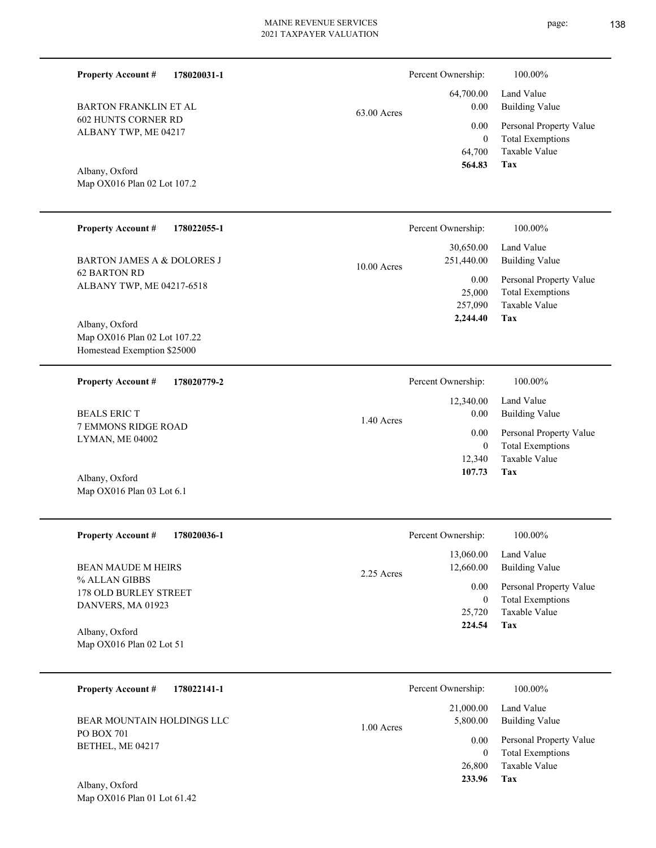| <b>Property Account #</b><br>178020031-1                                      |             | Percent Ownership:                    | 100.00%                                                                    |
|-------------------------------------------------------------------------------|-------------|---------------------------------------|----------------------------------------------------------------------------|
| <b>BARTON FRANKLIN ET AL</b>                                                  | 63.00 Acres | 64,700.00<br>0.00                     | Land Value<br><b>Building Value</b>                                        |
| 602 HUNTS CORNER RD<br>ALBANY TWP, ME 04217                                   |             | 0.00<br>$\boldsymbol{0}$<br>64,700    | Personal Property Value<br><b>Total Exemptions</b><br>Taxable Value        |
| Albany, Oxford<br>Map OX016 Plan 02 Lot 107.2                                 |             | 564.83                                | Tax                                                                        |
| <b>Property Account #</b><br>178022055-1                                      |             | Percent Ownership:                    | 100.00%                                                                    |
| <b>BARTON JAMES A &amp; DOLORES J</b>                                         | 10.00 Acres | 30,650.00<br>251,440.00               | Land Value<br><b>Building Value</b>                                        |
| 62 BARTON RD<br>ALBANY TWP, ME 04217-6518                                     |             | 0.00<br>25,000<br>257,090<br>2,244.40 | Personal Property Value<br><b>Total Exemptions</b><br>Taxable Value<br>Tax |
| Albany, Oxford<br>Map OX016 Plan 02 Lot 107.22<br>Homestead Exemption \$25000 |             |                                       |                                                                            |
| <b>Property Account #</b><br>178020779-2                                      |             | Percent Ownership:                    | 100.00%                                                                    |
| <b>BEALS ERICT</b>                                                            | 1.40 Acres  | 12,340.00<br>0.00                     | Land Value<br><b>Building Value</b>                                        |
| 7 EMMONS RIDGE ROAD<br>LYMAN, ME 04002                                        |             | 0.00<br>$\mathbf{0}$<br>12,340        | Personal Property Value<br><b>Total Exemptions</b><br>Taxable Value        |
| Albany, Oxford<br>Map OX016 Plan 03 Lot 6.1                                   |             | 107.73                                | Tax                                                                        |
| <b>Property Account #</b><br>178020036-1                                      |             | Percent Ownership:                    | $100.00\%$                                                                 |
| <b>BEAN MAUDE M HEIRS</b>                                                     | 2.25 Acres  | 13,060.00<br>12,660.00                | Land Value<br><b>Building Value</b>                                        |
| % ALLAN GIBBS<br>178 OLD BURLEY STREET<br>DANVERS, MA 01923                   |             | 0.00<br>$\mathbf{0}$<br>25,720        | Personal Property Value<br><b>Total Exemptions</b><br>Taxable Value        |
| Albany, Oxford<br>Map OX016 Plan 02 Lot 51                                    |             | 224.54                                | <b>Tax</b>                                                                 |
| <b>Property Account #</b><br>178022141-1                                      |             | Percent Ownership:                    | 100.00%                                                                    |
| BEAR MOUNTAIN HOLDINGS LLC                                                    | 1.00 Acres  | 21,000.00<br>5,800.00                 | Land Value<br><b>Building Value</b>                                        |
| PO BOX 701<br>BETHEL, ME 04217                                                |             | 0.00<br>$\mathbf{0}$<br>26,800        | Personal Property Value<br><b>Total Exemptions</b><br>Taxable Value        |
| $Albony$ Oxford                                                               |             | 233.96                                | <b>Tax</b>                                                                 |

Map OX016 Plan 01 Lot 61.42 Albany, Oxford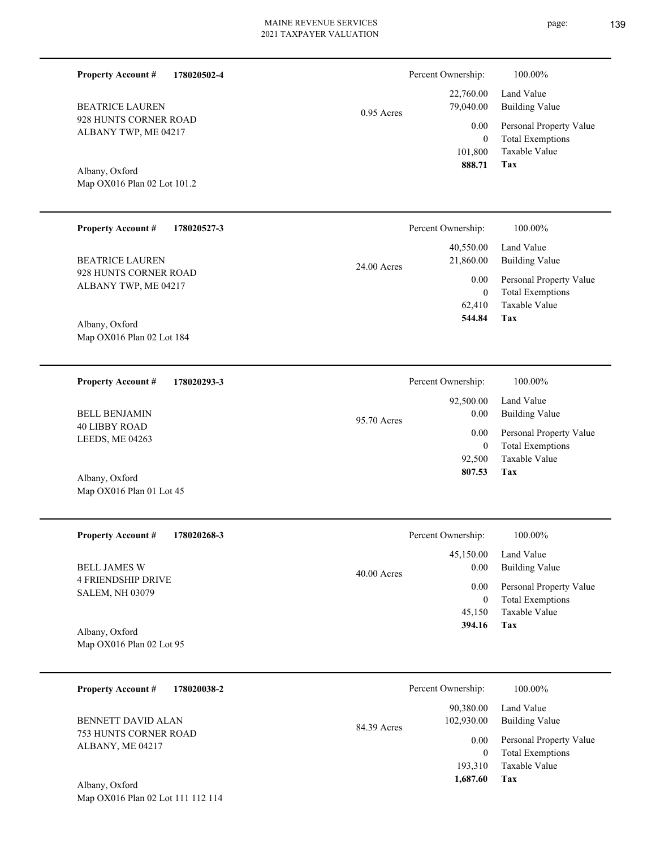0.95 Acres Percent Ownership:  $100.00\%$ 

928 HUNTS CORNER ROAD ALBANY TWP, ME 04217 BEATRICE LAUREN

**Property Account #**

**178020502-4**

Map OX016 Plan 02 Lot 101.2 Albany, Oxford

Map OX016 Plan 01 Lot 45

| <b>Property Account #</b><br>178020527-3      | Percent Ownership:         | 100.00%                 |
|-----------------------------------------------|----------------------------|-------------------------|
|                                               | 40,550.00                  | Land Value              |
| <b>BEATRICE LAUREN</b>                        | 21,860.00<br>$24.00$ Acres | <b>Building Value</b>   |
| 928 HUNTS CORNER ROAD<br>ALBANY TWP, ME 04217 | 0.00                       | Personal Property Value |
|                                               | $\mathbf{0}$               | <b>Total Exemptions</b> |
|                                               | 62.410                     | Taxable Value           |
| Albany, Oxford<br>Map OX016 Plan 02 Lot 184   | 544.84                     | Tax                     |
|                                               |                            |                         |

| 178020293-3<br><b>Property Account #</b> | Percent Ownership:  | 100.00%                 |
|------------------------------------------|---------------------|-------------------------|
|                                          | 92,500.00           | Land Value              |
| <b>BELL BENJAMIN</b>                     | 0.00<br>95.70 Acres | Building Value          |
| <b>40 LIBBY ROAD</b><br>LEEDS, ME 04263  | 0.00                | Personal Property Value |
|                                          | 0                   | <b>Total Exemptions</b> |
|                                          | 92,500              | Taxable Value           |
| Albany, Oxford                           | 807.53              | Tax                     |

| <b>Property Account #</b><br>178020268-3            | Percent Ownership:    | 100.00%                 |
|-----------------------------------------------------|-----------------------|-------------------------|
|                                                     | 45,150.00             | Land Value              |
| <b>BELL JAMES W</b>                                 | 0.00<br>$40.00$ Acres | Building Value          |
| <b>4 FRIENDSHIP DRIVE</b><br><b>SALEM, NH 03079</b> | 0.00                  | Personal Property Value |
|                                                     | $\mathbf{0}$          | <b>Total Exemptions</b> |
|                                                     | 45,150                | Taxable Value           |
| Albany, Oxford                                      | 394.16                | Tax                     |
| Map $OX016$ Plan 02 Lot 95                          |                       |                         |

| <b>Property Account #</b><br>178020038-2         | Percent Ownership:                     | 100.00%                                            |
|--------------------------------------------------|----------------------------------------|----------------------------------------------------|
| <b>BENNETT DAVID ALAN</b>                        | 90,380.00<br>102,930.00<br>84.39 Acres | Land Value<br><b>Building Value</b>                |
| <b>753 HUNTS CORNER ROAD</b><br>ALBANY, ME 04217 | 0.00<br>$\theta$                       | Personal Property Value<br><b>Total Exemptions</b> |
|                                                  | 193,310<br>1,687.60                    | Taxable Value<br>Tax                               |
| Albany, Oxford                                   |                                        |                                                    |

Map OX016 Plan 02 Lot 111 112 114

**Tax**

 101,800 0

0.00

 22,760.00 79,040.00

 **888.71**

Taxable Value Total Exemptions Personal Property Value

Building Value Land Value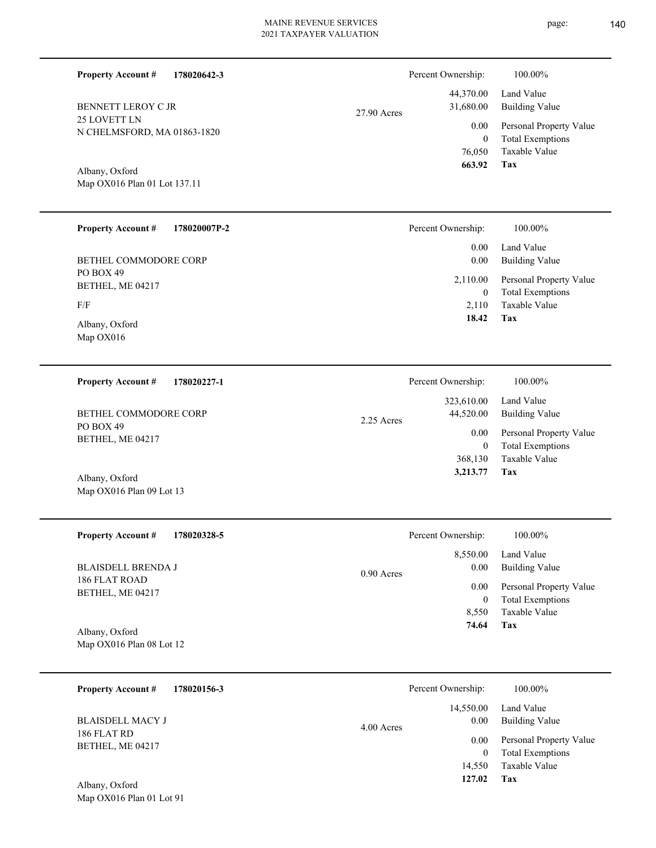|               | Percent Ownership: | 100.00%                 |
|---------------|--------------------|-------------------------|
|               |                    | 44,370.00 Land Value    |
| $27.90$ Acres | 31,680.00          | Building Value          |
|               | 0.00               | Personal Property Value |
|               | $\theta$           | <b>Total Exemptions</b> |
|               |                    | 76,050 Taxable Value    |
|               | 663.92             | Tax                     |

Map OX016 Plan 01 Lot 137.11 Albany, Oxford

N CHELMSFORD, MA 01863-1820

25 LOVETT LN

**Property Account #**

BENNETT LEROY C JR

**178020642-3**

| <b>Property Account #</b><br>178020007P-2 | Percent Ownership:       | 100.00%                                            |
|-------------------------------------------|--------------------------|----------------------------------------------------|
|                                           | 0.00                     | Land Value                                         |
| BETHEL COMMODORE CORP                     | 0.00                     | <b>Building Value</b>                              |
| PO BOX 49<br>BETHEL, ME 04217             | 2,110.00<br>$\mathbf{0}$ | Personal Property Value<br><b>Total Exemptions</b> |
| F/F                                       | 2.110                    | Taxable Value                                      |
| Albany, Oxford<br>Map $OX016$             | 18.42                    | Tax                                                |

| 178020227-1<br><b>Property Account #</b> | Percent Ownership:                      | 100.00%                      |
|------------------------------------------|-----------------------------------------|------------------------------|
| BETHEL COMMODORE CORP<br>PO BOX 49       | 323,610.00<br>44,520.00<br>$2.25$ Acres | Land Value<br>Building Value |
| BETHEL, ME 04217                         | 0.00                                    | Personal Property Value      |
|                                          | 0                                       | <b>Total Exemptions</b>      |
|                                          | 368,130                                 | Taxable Value                |
| Albany, Oxford                           | 3,213.77                                | Tax                          |

| <b>Property Account #</b><br>178020328-5 | Percent Ownership:   | 100.00%                 |
|------------------------------------------|----------------------|-------------------------|
|                                          | 8,550.00             | Land Value              |
| <b>BLAISDELL BRENDA J</b>                | 0.00<br>$0.90$ Acres | Building Value          |
| 186 FLAT ROAD<br>BETHEL, ME 04217        | 0.00                 | Personal Property Value |
|                                          | $\mathbf{0}$         | <b>Total Exemptions</b> |
|                                          | 8.550                | Taxable Value           |
| Albany, Oxford                           | 74.64                | Tax                     |

Map OX016 Plan 08 Lot 12

Map OX016 Plan 09 Lot 13

| 178020156-3<br><b>Property Account #</b> | Percent Ownership: |           | 100.00%                 |
|------------------------------------------|--------------------|-----------|-------------------------|
|                                          |                    | 14,550.00 | Land Value              |
| <b>BLAISDELL MACY J</b>                  | 4.00 Acres         | 0.00      | <b>Building Value</b>   |
| 186 FLAT RD<br>BETHEL, ME 04217          |                    | 0.00      | Personal Property Value |
|                                          |                    |           | <b>Total Exemptions</b> |
|                                          |                    | 14,550    | Taxable Value           |
| Albany Oxford                            |                    | 127.02    | Tax                     |

Map OX016 Plan 01 Lot 91 Albany, Oxford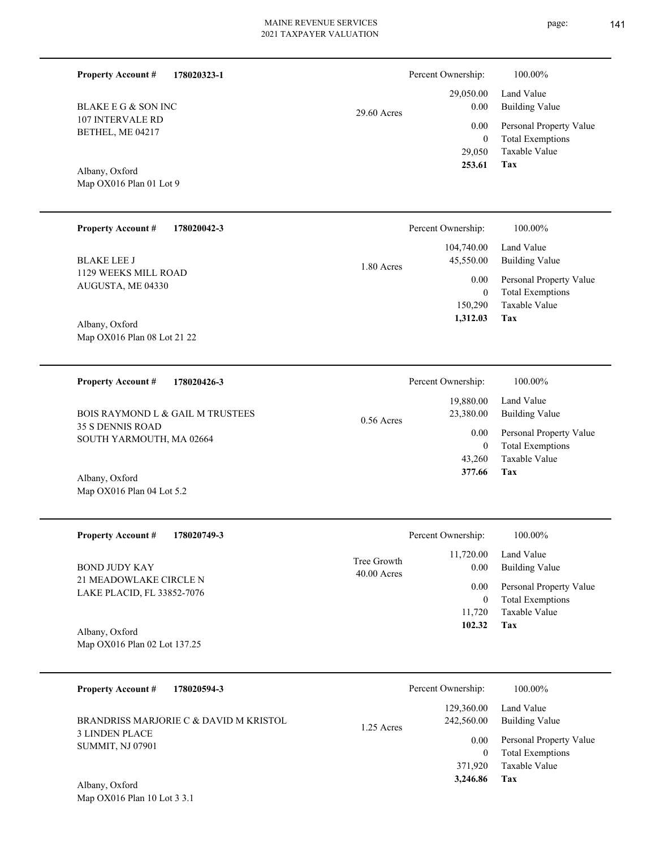**178020323-1**

**Property Account #**

Percent Ownership:  $100.00\%$ 

page:

| <b>BLAKE E G &amp; SON INC</b><br>107 INTERVALE RD<br>BETHEL, ME 04217<br>Albany, Oxford<br>Map OX016 Plan 01 Lot 9 | 29.60 Acres | 29,050.00<br>0.00<br>0.00<br>$\boldsymbol{0}$<br>29,050<br>253.61 | Land Value<br><b>Building Value</b><br>Personal Property Value<br><b>Total Exemptions</b><br>Taxable Value<br>Tax |
|---------------------------------------------------------------------------------------------------------------------|-------------|-------------------------------------------------------------------|-------------------------------------------------------------------------------------------------------------------|
| <b>Property Account #</b><br>178020042-3                                                                            |             | Percent Ownership:                                                | 100.00%                                                                                                           |
| <b>BLAKE LEE J</b><br>1129 WEEKS MILL ROAD<br>AUGUSTA, ME 04330                                                     | 1.80 Acres  | 104,740.00<br>45,550.00<br>0.00                                   | Land Value<br><b>Building Value</b><br>Personal Property Value                                                    |
| Albany, Oxford<br>Map OX016 Plan 08 Lot 21 22                                                                       |             | $\boldsymbol{0}$<br>150,290<br>1,312.03                           | <b>Total Exemptions</b><br>Taxable Value<br><b>Tax</b>                                                            |
| <b>Property Account #</b><br>178020426-3                                                                            |             | Percent Ownership:                                                | 100.00%                                                                                                           |
| <b>BOIS RAYMOND L &amp; GAIL M TRUSTEES</b>                                                                         | 0.56 Acres  | 19,880.00<br>23,380.00                                            | Land Value<br><b>Building Value</b>                                                                               |
| 35 S DENNIS ROAD<br>SOUTH YARMOUTH, MA 02664<br>Albany, Oxford                                                      |             | 0.00<br>$\mathbf{0}$<br>43,260<br>377.66                          | Personal Property Value<br><b>Total Exemptions</b><br>Taxable Value<br><b>Tax</b>                                 |
| Map OX016 Plan 04 Lot 5.2                                                                                           |             |                                                                   |                                                                                                                   |
| <b>Property Account #</b><br>178020749-3                                                                            |             | Percent Ownership:                                                | 100.00%                                                                                                           |
| <b>BOND JUDY KAY</b>                                                                                                | Tree Growth | 11,720.00<br>0.00                                                 | Land Value<br><b>Building Value</b>                                                                               |
| 21 MEADOWLAKE CIRCLE N<br>LAKE PLACID, FL 33852-7076                                                                | 40.00 Acres | 0.00<br>$\boldsymbol{0}$<br>11,720                                | Personal Property Value<br><b>Total Exemptions</b><br>Taxable Value                                               |
| Albany, Oxford<br>Map OX016 Plan 02 Lot 137.25                                                                      |             | 102.32                                                            | Tax                                                                                                               |
| <b>Property Account #</b><br>178020594-3                                                                            |             | Percent Ownership:                                                | 100.00%                                                                                                           |
| BRANDRISS MARJORIE C & DAVID M KRISTOL                                                                              | 1.25 Acres  | 129,360.00<br>242,560.00                                          | Land Value<br><b>Building Value</b>                                                                               |
| <b>3 LINDEN PLACE</b><br><b>SUMMIT, NJ 07901</b>                                                                    |             | 0.00<br>$\boldsymbol{0}$<br>371,920                               | Personal Property Value<br><b>Total Exemptions</b><br>Taxable Value                                               |
| Albany, Oxford<br>Map OX016 Plan 10 Lot 3 3.1                                                                       |             | 3,246.86                                                          | <b>Tax</b>                                                                                                        |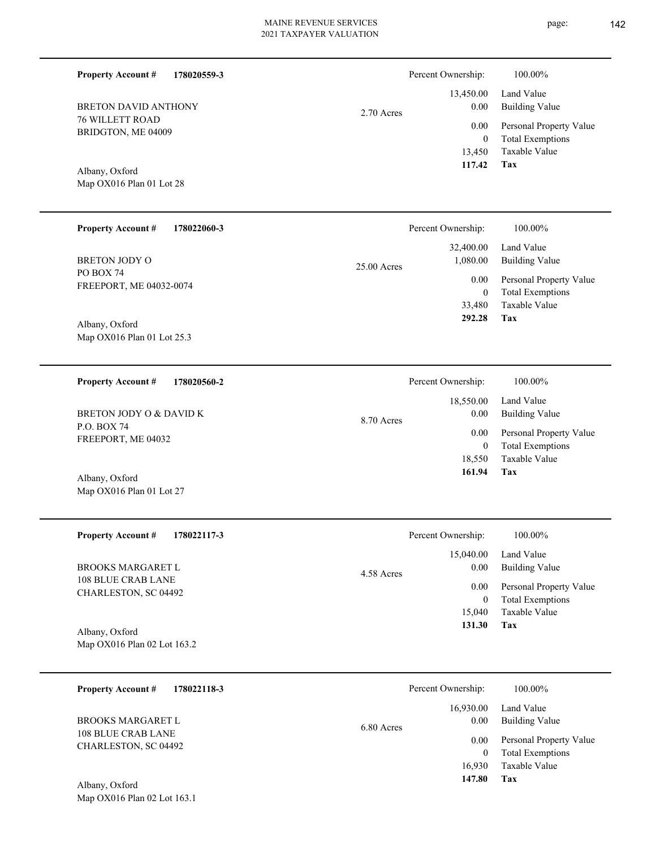| <b>Property Account #</b><br>178020559-3                     |             | Percent Ownership:                         | 100.00%                                                                    |
|--------------------------------------------------------------|-------------|--------------------------------------------|----------------------------------------------------------------------------|
| <b>BRETON DAVID ANTHONY</b>                                  | 2.70 Acres  | 13,450.00<br>0.00                          | Land Value<br><b>Building Value</b>                                        |
| <b>76 WILLETT ROAD</b><br>BRIDGTON, ME 04009                 |             | 0.00<br>$\boldsymbol{0}$<br>13,450         | Personal Property Value<br><b>Total Exemptions</b><br>Taxable Value        |
| Albany, Oxford<br>Map OX016 Plan 01 Lot 28                   |             | 117.42                                     | Tax                                                                        |
| <b>Property Account #</b><br>178022060-3                     |             | Percent Ownership:                         | 100.00%                                                                    |
| BRETON JODY O                                                | 25.00 Acres | 32,400.00<br>1,080.00                      | Land Value<br><b>Building Value</b>                                        |
| PO BOX 74<br>FREEPORT, ME 04032-0074                         |             | 0.00<br>$\overline{0}$<br>33,480<br>292.28 | Personal Property Value<br><b>Total Exemptions</b><br>Taxable Value<br>Tax |
| Albany, Oxford<br>Map OX016 Plan 01 Lot 25.3                 |             |                                            |                                                                            |
| <b>Property Account#</b><br>178020560-2                      |             | Percent Ownership:                         | 100.00%                                                                    |
| BRETON JODY O & DAVID K                                      | 8.70 Acres  | 18,550.00<br>0.00                          | Land Value<br><b>Building Value</b>                                        |
| P.O. BOX 74<br>FREEPORT, ME 04032                            |             | 0.00<br>$\boldsymbol{0}$                   | Personal Property Value<br><b>Total Exemptions</b>                         |
| Albany, Oxford<br>Map OX016 Plan 01 Lot 27                   |             | 18,550<br>161.94                           | Taxable Value<br>Tax                                                       |
| <b>Property Account #</b><br>178022117-3                     |             | Percent Ownership:                         | 100.00%                                                                    |
| BROOKS MARGARET L                                            | 4.58 Acres  | 15,040.00<br>0.00                          | Land Value<br><b>Building Value</b>                                        |
| 108 BLUE CRAB LANE<br>CHARLESTON, SC 04492<br>Albany, Oxford |             | 0.00<br>$\mathbf{0}$<br>15,040<br>131.30   | Personal Property Value<br><b>Total Exemptions</b><br>Taxable Value<br>Tax |
| Map OX016 Plan 02 Lot 163.2                                  |             |                                            |                                                                            |
| <b>Property Account #</b><br>178022118-3                     |             | Percent Ownership:                         | 100.00%                                                                    |
| <b>BROOKS MARGARET L</b>                                     | 6.80 Acres  | 16,930.00<br>0.00                          | Land Value<br><b>Building Value</b>                                        |
| 108 BLUE CRAB LANE<br>CHARLESTON, SC 04492                   |             | 0.00<br>$\mathbf{0}$<br>16,930<br>147.80   | Personal Property Value<br><b>Total Exemptions</b><br>Taxable Value<br>Tax |
| Albany, Oxford<br>Map OX016 Plan 02 Lot 163.1                |             |                                            |                                                                            |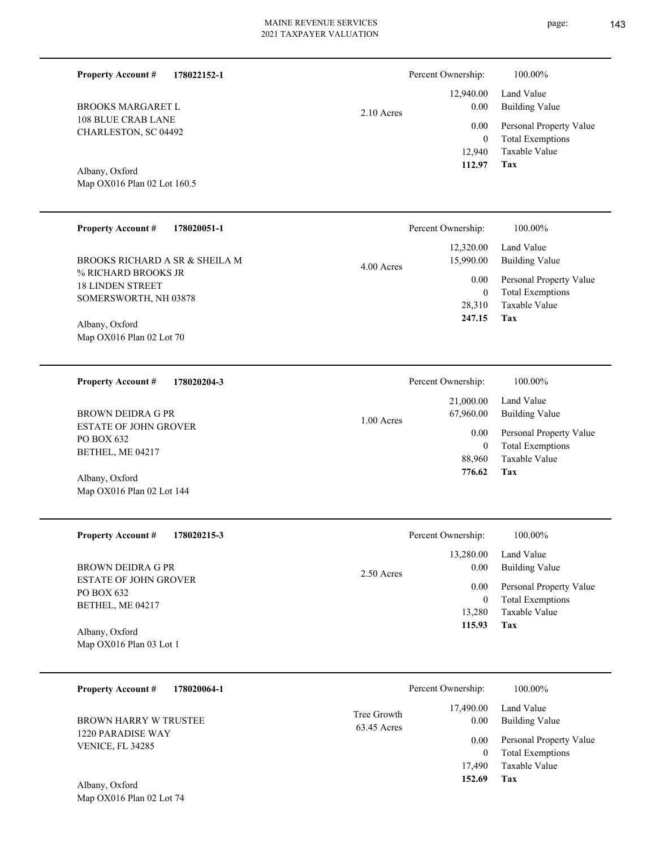| <b>Property Account #</b><br>178022152-1                                |                            | Percent Ownership:<br>12,940.00          | 100.00%<br>Land Value                                                             |
|-------------------------------------------------------------------------|----------------------------|------------------------------------------|-----------------------------------------------------------------------------------|
| <b>BROOKS MARGARET L</b><br><b>108 BLUE CRAB LANE</b>                   | $2.10$ Acres               | 0.00<br>0.00                             | <b>Building Value</b><br>Personal Property Value                                  |
| CHARLESTON, SC 04492                                                    |                            | $\mathbf{0}$<br>12,940<br>112.97         | <b>Total Exemptions</b><br>Taxable Value<br>Tax                                   |
| Albany, Oxford<br>Map OX016 Plan 02 Lot 160.5                           |                            |                                          |                                                                                   |
| <b>Property Account #</b><br>178020051-1                                |                            | Percent Ownership:                       | 100.00%                                                                           |
| BROOKS RICHARD A SR & SHEILA M                                          | 4.00 Acres                 | 12,320.00<br>15,990.00                   | Land Value<br><b>Building Value</b>                                               |
| % RICHARD BROOKS JR<br><b>18 LINDEN STREET</b><br>SOMERSWORTH, NH 03878 |                            | 0.00<br>$\mathbf{0}$<br>28,310<br>247.15 | Personal Property Value<br><b>Total Exemptions</b><br>Taxable Value<br><b>Tax</b> |
| Albany, Oxford<br>Map OX016 Plan 02 Lot 70                              |                            |                                          |                                                                                   |
| <b>Property Account #</b><br>178020204-3                                |                            | Percent Ownership:                       | 100.00%                                                                           |
| <b>BROWN DEIDRA G PR</b>                                                | 1.00 Acres                 | 21,000.00<br>67,960.00                   | Land Value<br><b>Building Value</b>                                               |
| ESTATE OF JOHN GROVER<br>PO BOX 632<br>BETHEL, ME 04217                 |                            | 0.00<br>$\mathbf{0}$                     | Personal Property Value<br><b>Total Exemptions</b>                                |
| Albany, Oxford                                                          |                            | 88,960<br>776.62                         | Taxable Value<br><b>Tax</b>                                                       |
| Map OX016 Plan 02 Lot 144                                               |                            |                                          |                                                                                   |
| <b>Property Account #</b><br>178020215-3                                |                            | Percent Ownership:                       | 100.00%                                                                           |
| <b>BROWN DEIDRA G PR</b>                                                | 2.50 Acres                 | 13,280.00<br>0.00                        | Land Value<br><b>Building Value</b>                                               |
| <b>ESTATE OF JOHN GROVER</b><br>PO BOX 632                              |                            | 0.00<br>$\boldsymbol{0}$                 | Personal Property Value<br><b>Total Exemptions</b>                                |
| BETHEL, ME 04217<br>Albany, Oxford<br>Map OX016 Plan 03 Lot 1           |                            | 13,280<br>115.93                         | <b>Taxable Value</b><br>Tax                                                       |
| 178020064-1<br><b>Property Account #</b>                                |                            | Percent Ownership:                       | 100.00%                                                                           |
| <b>BROWN HARRY W TRUSTEE</b>                                            | Tree Growth<br>63.45 Acres | 17,490.00<br>0.00                        | Land Value<br><b>Building Value</b>                                               |
| 1220 PARADISE WAY<br>VENICE, FL 34285                                   |                            | 0.00<br>$\boldsymbol{0}$                 | Personal Property Value<br><b>Total Exemptions</b>                                |
| Albany, Oxford<br>Map OX016 Plan 02 Lot 74                              |                            | 17,490<br>152.69                         | Taxable Value<br><b>Tax</b>                                                       |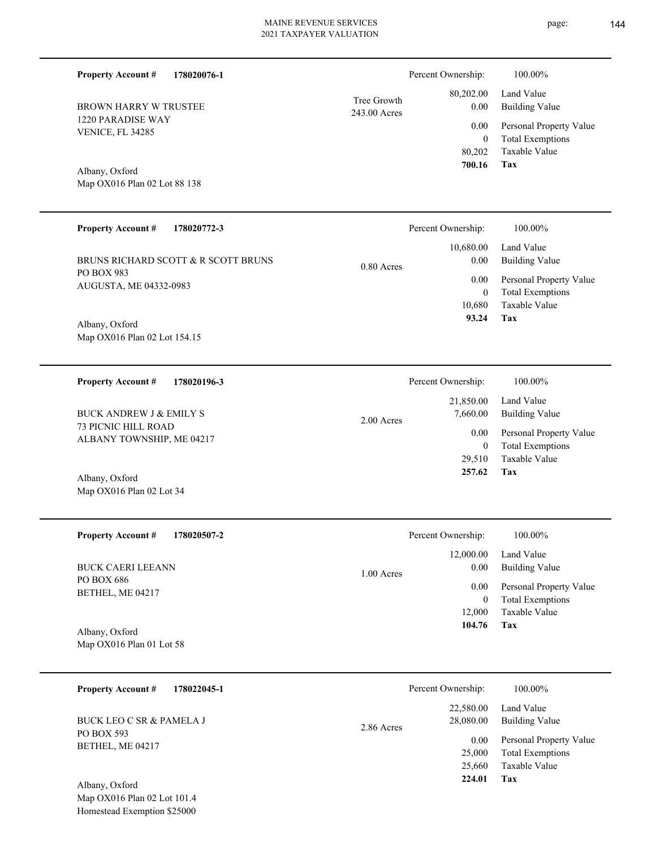Map OX016 Plan 02 Lot 88 138 BROWN HARRY W TRUSTEE  **700.16** 243 **178020772-3** BRUNS RICHARD SCOTT & R SCOTT BRUNS 10,680 0  **93.24** 10,680.00 0.00 0.00 0.80 Acres Percent Ownership: 100.00%

2.00 Acres

Map OX016 Plan 02 Lot 154.15 Albany, Oxford

AUGUSTA, ME 04332-0983

1220 PARADISE WAY VENICE, FL 34285

Albany, Oxford

**Property Account #**

PO BOX 983

**Property Account #**

**178020076-1**

**178020196-3 Property Account #**

73 PICNIC HILL ROAD ALBANY TOWNSHIP, ME 04217 BUCK ANDREW J & EMILY S

Map OX016 Plan 02 Lot 34 Albany, Oxford

**178020507-2 Property Account #**

PO BOX 686 BETHEL, ME 04217 BUCK CAERI LEEANN

Map OX016 Plan 01 Lot 58 Albany, Oxford

| 178022045-1<br><b>Property Account #</b> | Percent Ownership:                   | 100.00%                             |
|------------------------------------------|--------------------------------------|-------------------------------------|
| BUCK LEO C SR & PAMELA J<br>PO BOX 593   | 22,580.00<br>28,080.00<br>2.86 Acres | Land Value<br><b>Building Value</b> |
| BETHEL, ME 04217                         | 0.00                                 | Personal Property Value             |
|                                          | 25,000                               | <b>Total Exemptions</b>             |
|                                          | 25,660                               | Taxable Value                       |
| Albany, Oxford                           | 224.01                               | Tax                                 |

|                             | Percent Ownership: | 100.00%                                       |
|-----------------------------|--------------------|-----------------------------------------------|
| Tree Growth<br>243.00 Acres | 0.00               | 80,202.00 Land Value<br><b>Building Value</b> |
|                             | $0.00\,$           | Personal Property Value                       |
|                             | 0                  | <b>Total Exemptions</b>                       |
|                             |                    | 80.202 Taxable Value                          |
|                             | 700.16             | Tax                                           |

Personal Property Value Building Value Land Value 21,850.00 7,660.00 0.00 Percent Ownership:  $100.00\%$ 

**Tax**

Taxable Value Total Exemptions Personal Property Value

Building Value Land Value

| v.vv       | relations report of the |
|------------|-------------------------|
| 0          | <b>Total Exemptions</b> |
| 29.510     | Taxable Value           |
| 257.62 Tax |                         |
|            |                         |

|              | Percent Ownership:                   | 100.00%                                                                    |
|--------------|--------------------------------------|----------------------------------------------------------------------------|
| $1.00$ Acres | 0.00                                 | $12,000.00$ Land Value<br>Building Value                                   |
|              | 0.00<br>$\bf{0}$<br>12,000<br>104.76 | Personal Property Value<br><b>Total Exemptions</b><br>Taxable Value<br>Tax |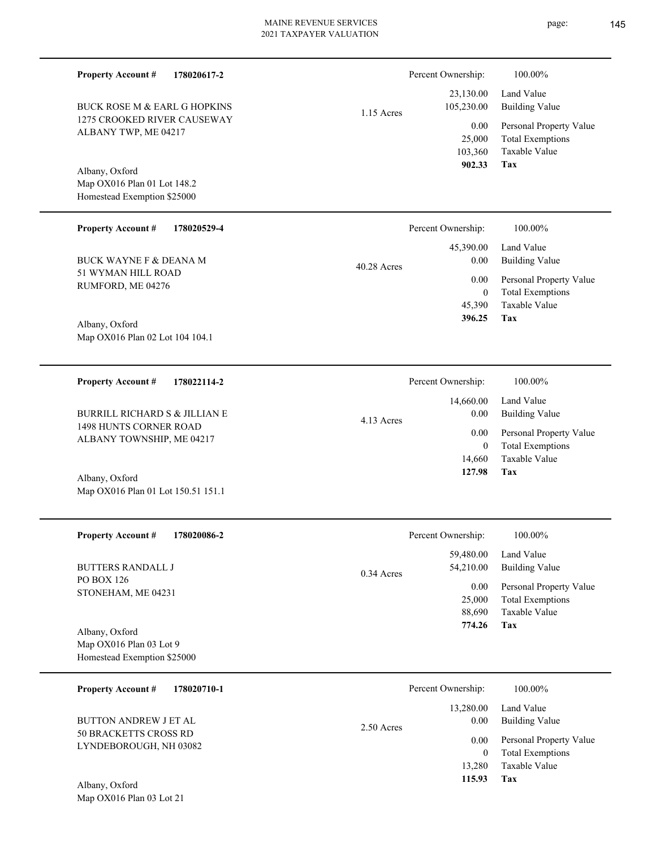| <b>Property Account #</b><br>178020617-2                                     |              | Percent Ownership:                       | 100.00%                                                                    |
|------------------------------------------------------------------------------|--------------|------------------------------------------|----------------------------------------------------------------------------|
| <b>BUCK ROSE M &amp; EARL G HOPKINS</b>                                      | 1.15 Acres   | 23,130.00<br>105,230.00                  | Land Value<br><b>Building Value</b>                                        |
| 1275 CROOKED RIVER CAUSEWAY<br>ALBANY TWP, ME 04217                          |              | 0.00<br>25,000<br>103,360                | Personal Property Value<br><b>Total Exemptions</b><br>Taxable Value        |
| Albany, Oxford<br>Map OX016 Plan 01 Lot 148.2<br>Homestead Exemption \$25000 |              | 902.33                                   | Tax                                                                        |
| <b>Property Account #</b><br>178020529-4                                     |              | Percent Ownership:                       | 100.00%                                                                    |
| <b>BUCK WAYNE F &amp; DEANA M</b>                                            | 40.28 Acres  | 45,390.00<br>0.00                        | Land Value<br><b>Building Value</b>                                        |
| 51 WYMAN HILL ROAD<br>RUMFORD, ME 04276                                      |              | 0.00<br>$\overline{0}$<br>45,390         | Personal Property Value<br><b>Total Exemptions</b><br>Taxable Value        |
| Albany, Oxford<br>Map OX016 Plan 02 Lot 104 104.1                            |              | 396.25                                   | Tax                                                                        |
| <b>Property Account #</b><br>178022114-2                                     |              | Percent Ownership:                       | 100.00%                                                                    |
| <b>BURRILL RICHARD S &amp; JILLIAN E</b>                                     | 4.13 Acres   | 14,660.00<br>0.00                        | Land Value<br><b>Building Value</b>                                        |
| 1498 HUNTS CORNER ROAD<br>ALBANY TOWNSHIP, ME 04217                          |              | 0.00<br>$\overline{0}$                   | Personal Property Value<br><b>Total Exemptions</b>                         |
| Albany, Oxford<br>Map OX016 Plan 01 Lot 150.51 151.1                         |              | 14,660<br>127.98                         | <b>Taxable Value</b><br>Tax                                                |
| <b>Property Account #</b><br>178020086-2                                     |              | Percent Ownership:                       | 100.00%                                                                    |
| <b>BUTTERS RANDALL J</b>                                                     | $0.34$ Acres | 59,480.00<br>54,210.00                   | Land Value<br><b>Building Value</b>                                        |
| PO BOX 126<br>STONEHAM, ME 04231                                             |              | 0.00<br>25,000<br>88,690<br>774.26       | Personal Property Value<br><b>Total Exemptions</b><br>Taxable Value<br>Tax |
| Albany, Oxford<br>Map OX016 Plan 03 Lot 9<br>Homestead Exemption \$25000     |              |                                          |                                                                            |
| <b>Property Account #</b><br>178020710-1                                     |              | Percent Ownership:                       | 100.00%                                                                    |
| <b>BUTTON ANDREW J ET AL</b>                                                 | 2.50 Acres   | 13,280.00<br>0.00                        | Land Value<br><b>Building Value</b>                                        |
| 50 BRACKETTS CROSS RD<br>LYNDEBOROUGH, NH 03082                              |              | 0.00<br>$\mathbf{0}$<br>13,280<br>115.93 | Personal Property Value<br><b>Total Exemptions</b><br>Taxable Value<br>Tax |
| Albany, Oxford                                                               |              |                                          |                                                                            |

Map OX016 Plan 03 Lot 21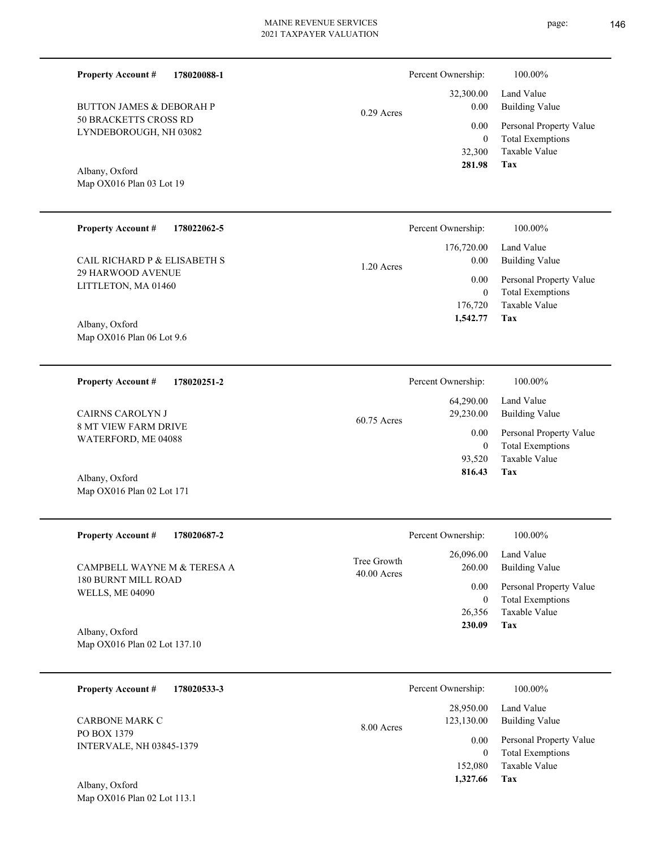Percent Ownership:  $100.00\%$ 

0.29 Acres

50 BRACKETTS CROSS RD LYNDEBOROUGH, NH 03082 BUTTON JAMES & DEBORAH P

**178020088-1**

Map OX016 Plan 03 Lot 19 Albany, Oxford

**Property Account #**

| <b>Property Account #</b><br>178022062-5        | Percent Ownership:                 | 100.00%                      |
|-------------------------------------------------|------------------------------------|------------------------------|
| CAIL RICHARD P & ELISABETH S                    | 176,720.00<br>0.00<br>$1.20$ Acres | Land Value<br>Building Value |
| <b>29 HARWOOD AVENUE</b><br>LITTLETON, MA 01460 | 0.00                               | Personal Property Value      |
|                                                 | $\mathbf{0}$                       | <b>Total Exemptions</b>      |
|                                                 | 176,720                            | Taxable Value                |
| Albany, Oxford                                  | 1,542.77                           | Tax                          |
| Map $OX016$ Plan 06 Lot 9.6                     |                                    |                              |

| 178020251-2<br><b>Property Account #</b>           | Percent Ownership:       | 100.00%                 |
|----------------------------------------------------|--------------------------|-------------------------|
|                                                    | 64,290.00                | Land Value              |
| CAIRNS CAROLYN J                                   | 29,230.00<br>60.75 Acres | Building Value          |
| <b>8 MT VIEW FARM DRIVE</b><br>WATERFORD, ME 04088 | 0.00                     | Personal Property Value |
|                                                    | 0                        | <b>Total Exemptions</b> |
|                                                    | 93.520                   | Taxable Value           |
| Albany, Oxford                                     | 816.43                   | Tax                     |
| Map OX016 Plan 02 Lot 171                          |                          |                         |

| <b>Property Account #</b><br>178020687-2      |                              | Percent Ownership:  | 100.00%                             |
|-----------------------------------------------|------------------------------|---------------------|-------------------------------------|
| CAMPBELL WAYNE M & TERESA A                   | Tree Growth<br>$40.00$ Acres | 26,096.00<br>260.00 | Land Value<br><b>Building Value</b> |
| 180 BURNT MILL ROAD<br><b>WELLS, ME 04090</b> |                              | 0.00                | Personal Property Value             |
|                                               |                              | $\overline{0}$      | <b>Total Exemptions</b>             |
|                                               |                              | 26,356              | Taxable Value                       |
| Albany, Oxford                                |                              | 230.09              | Tax                                 |
| Map OX016 Plan 02 Lot 137.10                  |                              |                     |                                     |

| 178020533-3<br><b>Property Account #</b>       | Percent Ownership:                    | 100.00%                                            |
|------------------------------------------------|---------------------------------------|----------------------------------------------------|
| <b>CARBONE MARK C</b>                          | 28,950.00<br>123,130.00<br>8.00 Acres | Land Value<br>Building Value                       |
| PO BOX 1379<br><b>INTERVALE, NH 03845-1379</b> | 0.00                                  | Personal Property Value<br><b>Total Exemptions</b> |
|                                                | 152,080                               | Taxable Value                                      |
| Albany, Oxford                                 | 1,327.66                              | Tax                                                |

Map OX016 Plan 02 Lot 113.1

**Tax**

 32,300 0

 32,300.00 0.00 0.00

 **281.98**

Taxable Value Total Exemptions Personal Property Value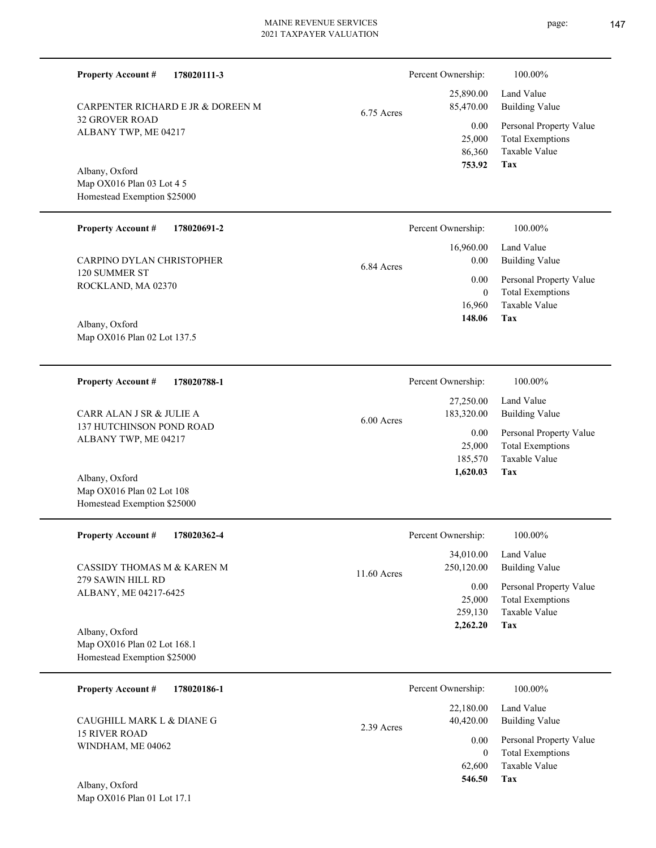86,360 25,000  **753.92** 25,890.00 85,470.00 6.75 Acres

Map OX016 Plan 03 Lot 4 5 Homestead Exemption \$25000 Albany, Oxford

32 GROVER ROAD ALBANY TWP, ME 04217

**Property Account #**

**178020111-3**

CARPENTER RICHARD E JR & DOREEN M

| <b>Property Account #</b><br>178020691-2 | Percent Ownership: | 100.00%                 |
|------------------------------------------|--------------------|-------------------------|
|                                          | 16,960.00          | Land Value              |
| CARPINO DYLAN CHRISTOPHER                | 0.00<br>6.84 Acres | Building Value          |
| 120 SUMMER ST                            | 0.00               | Personal Property Value |
| ROCKLAND, MA 02370                       |                    | <b>Total Exemptions</b> |
|                                          | 16.960             | Taxable Value           |
| $\Lambda$ 11. $\Lambda$ $\Gamma$ 1       | 148.06             | Tax                     |

Map OX016 Plan 02 Lot 137.5 Albany, Oxford

Map OX016 Plan 02 Lot 108 Homestead Exemption \$25000

**178020788-1 Tax** Taxable Value Total Exemptions Personal Property Value Building Value Land Value 137 HUTCHINSON POND ROAD ALBANY TWP, ME 04217 **Property Account #** Albany, Oxford CARR ALAN J SR & JULIE A 185,570 25,000  **1,620.03** 27,250.00 183,320.00 0.00 6.00 Acres Percent Ownership:  $100.00\%$ 

| <b>Property Account #</b><br>178020362-4      | Percent Ownership:                       | 100.00%                                            |
|-----------------------------------------------|------------------------------------------|----------------------------------------------------|
| CASSIDY THOMAS M & KAREN M                    | 34,010.00<br>250,120.00<br>$11.60$ Acres | Land Value<br><b>Building Value</b>                |
| 279 SAWIN HILL RD<br>ALBANY, ME 04217-6425    | 0.00<br>25,000                           | Personal Property Value<br><b>Total Exemptions</b> |
|                                               | 259,130<br>2,262.20                      | Taxable Value<br>Tax                               |
| Albany, Oxford<br>Map OX016 Plan 02 Lot 168.1 |                                          |                                                    |
| Homestead Exemption \$25000                   |                                          |                                                    |
|                                               |                                          |                                                    |

| 178020186-1<br><b>Property Account #</b>          |            | Percent Ownership:     | 100.00%                                            |
|---------------------------------------------------|------------|------------------------|----------------------------------------------------|
| CAUGHILL MARK L & DIANE G<br><b>15 RIVER ROAD</b> | 2.39 Acres | 22,180.00<br>40.420.00 | Land Value<br>Building Value                       |
| WINDHAM, ME 04062                                 |            | 0.00<br>0              | Personal Property Value<br><b>Total Exemptions</b> |
|                                                   |            | 62,600                 | Taxable Value                                      |
| Albany, Oxford                                    |            | 546.50                 | Tax                                                |

Map OX016 Plan 01 Lot 17.1

**Tax**

0.00

Percent Ownership: 100.00%

Taxable Value Total Exemptions Personal Property Value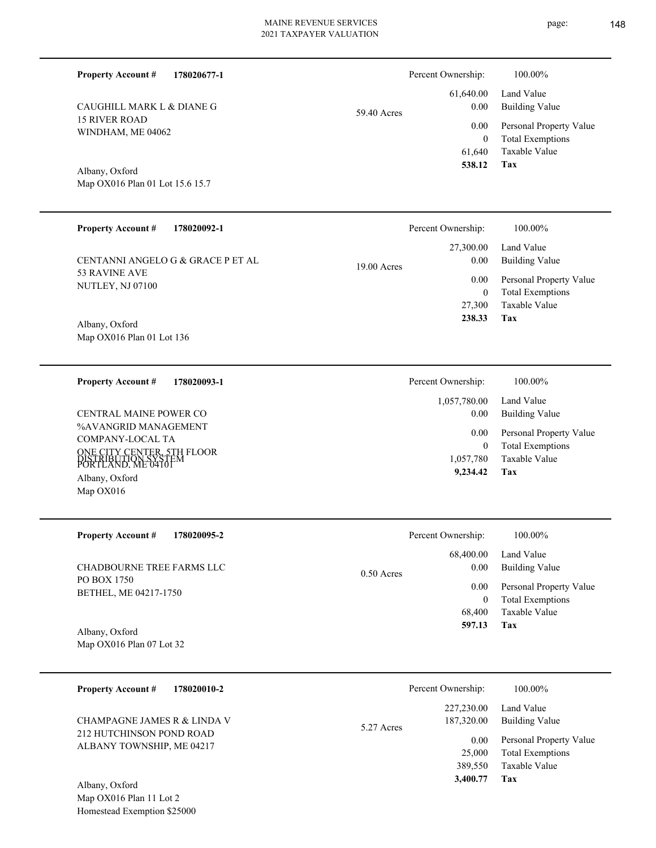| CAUGHILL MARK L & DIANE G<br><b>15 RIVER ROAD</b><br>WINDHAM, ME 04062<br>Albany, Oxford<br>Map OX016 Plan 01 Lot 15.6 15.7 | 59.40 Acres  | 61,640.00<br>0.00<br>0.00<br>$\boldsymbol{0}$<br>61,640<br>538.12 | Land Value<br><b>Building Value</b><br>Personal Property Value<br><b>Total Exemptions</b><br>Taxable Value<br>Tax |
|-----------------------------------------------------------------------------------------------------------------------------|--------------|-------------------------------------------------------------------|-------------------------------------------------------------------------------------------------------------------|
| <b>Property Account #</b><br>178020092-1                                                                                    |              | Percent Ownership:                                                | 100.00%                                                                                                           |
| CENTANNI ANGELO G & GRACE P ET AL<br>53 RAVINE AVE                                                                          | 19.00 Acres  | 27,300.00<br>0.00<br>0.00                                         | Land Value<br><b>Building Value</b>                                                                               |
| NUTLEY, NJ 07100                                                                                                            |              | $\boldsymbol{0}$<br>27,300<br>238.33                              | Personal Property Value<br><b>Total Exemptions</b><br>Taxable Value<br>Tax                                        |
| Albany, Oxford<br>Map OX016 Plan 01 Lot 136                                                                                 |              |                                                                   |                                                                                                                   |
| <b>Property Account #</b><br>178020093-1                                                                                    |              | Percent Ownership:                                                | 100.00%                                                                                                           |
| CENTRAL MAINE POWER CO                                                                                                      |              | 1,057,780.00<br>0.00                                              | Land Value<br><b>Building Value</b>                                                                               |
| %AVANGRID MANAGEMENT<br>COMPANY-LOCAL TA                                                                                    |              | 0.00                                                              | Personal Property Value                                                                                           |
| ONE CITY CENTER, 5TH FLOOR<br>DISTRIBUTION SYSTEM<br>PORTLAND, ME 04101                                                     |              | $\mathbf{0}$<br>1,057,780                                         | <b>Total Exemptions</b><br>Taxable Value                                                                          |
| Albany, Oxford<br>Map OX016                                                                                                 |              | 9,234.42                                                          | Tax                                                                                                               |
| <b>Property Account #</b><br>178020095-2                                                                                    |              | Percent Ownership:                                                | 100.00%                                                                                                           |
|                                                                                                                             |              | 68,400.00                                                         | Land Value                                                                                                        |
| CHADBOURNE TREE FARMS LLC<br>PO BOX 1750                                                                                    | $0.50$ Acres | $0.00\,$                                                          | <b>Building Value</b>                                                                                             |
| BETHEL, ME 04217-1750                                                                                                       |              | 0.00<br>$\boldsymbol{0}$                                          | Personal Property Value<br><b>Total Exemptions</b>                                                                |
|                                                                                                                             |              | 68,400                                                            | Taxable Value                                                                                                     |
| Albany, Oxford<br>Map OX016 Plan 07 Lot 32                                                                                  |              | 597.13                                                            | <b>Tax</b>                                                                                                        |
|                                                                                                                             |              |                                                                   |                                                                                                                   |

| 178020010-2<br><b>Property Account #</b>                |            | Percent Ownership:               | 100.00%                                                 |
|---------------------------------------------------------|------------|----------------------------------|---------------------------------------------------------|
| CHAMPAGNE JAMES R & LINDA V<br>212 HUTCHINSON POND ROAD | 5.27 Acres | 227,230.00<br>187,320.00<br>0.00 | Land Value<br>Building Value<br>Personal Property Value |
| ALBANY TOWNSHIP, ME 04217                               |            | 25,000<br>389.550<br>3,400.77    | <b>Total Exemptions</b><br>Taxable Value<br>Tax         |
| Albany, Oxford                                          |            |                                  |                                                         |

**178020677-1 Property Account #**

Percent Ownership:  $100.00\%$ 

Map OX016 Plan 11 Lot 2 Homestead Exemption \$25000 Alba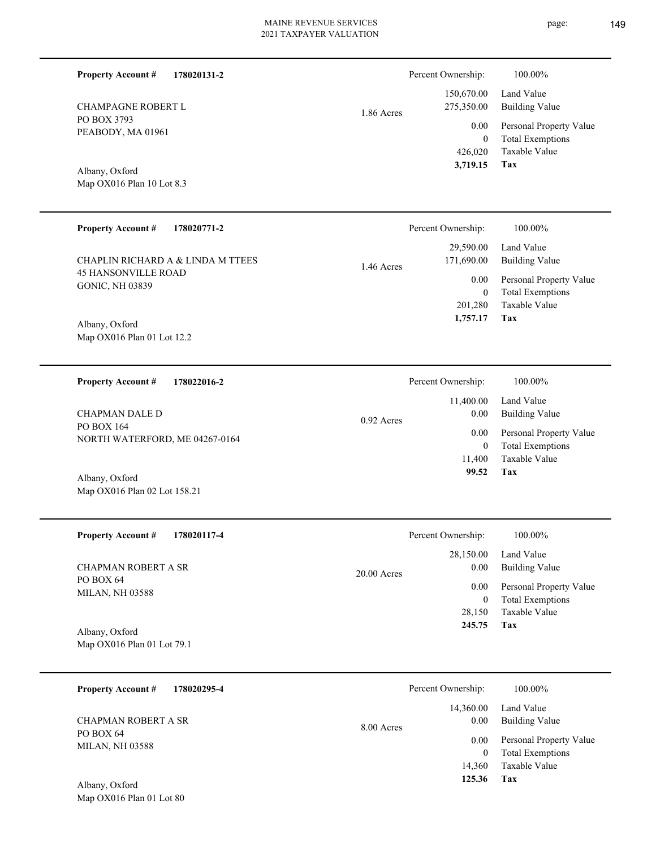| <b>Property Account #</b><br>178020131-2             |              | Percent Ownership:          | 100.00%                                            |
|------------------------------------------------------|--------------|-----------------------------|----------------------------------------------------|
| <b>CHAMPAGNE ROBERT L</b>                            | 1.86 Acres   | 150,670.00<br>275,350.00    | Land Value<br><b>Building Value</b>                |
| PO BOX 3793<br>PEABODY, MA 01961                     |              | 0.00                        | Personal Property Value                            |
|                                                      |              | $\overline{0}$<br>426,020   | <b>Total Exemptions</b><br>Taxable Value           |
| Albany, Oxford                                       |              | 3,719.15                    | Tax                                                |
| Map OX016 Plan 10 Lot 8.3                            |              |                             |                                                    |
|                                                      |              |                             |                                                    |
| <b>Property Account #</b><br>178020771-2             |              | Percent Ownership:          | 100.00%                                            |
| CHAPLIN RICHARD A & LINDA M TTEES                    | 1.46 Acres   | 29,590.00<br>171,690.00     | Land Value<br><b>Building Value</b>                |
| <b>45 HANSONVILLE ROAD</b><br><b>GONIC, NH 03839</b> |              | 0.00                        | Personal Property Value                            |
|                                                      |              | $\boldsymbol{0}$<br>201,280 | <b>Total Exemptions</b><br>Taxable Value           |
| Albany, Oxford                                       |              | 1,757.17                    | Tax                                                |
| Map OX016 Plan 01 Lot 12.2                           |              |                             |                                                    |
|                                                      |              |                             |                                                    |
| <b>Property Account #</b><br>178022016-2             |              | Percent Ownership:          | 100.00%                                            |
|                                                      |              | 11,400.00                   | Land Value                                         |
| <b>CHAPMAN DALE D</b><br>PO BOX 164                  | $0.92$ Acres | 0.00<br>0.00                | <b>Building Value</b><br>Personal Property Value   |
| NORTH WATERFORD, ME 04267-0164                       |              | $\overline{0}$              | <b>Total Exemptions</b>                            |
|                                                      |              | 11,400<br>99.52             | Taxable Value<br>Tax                               |
| Albany, Oxford<br>Map OX016 Plan 02 Lot 158.21       |              |                             |                                                    |
|                                                      |              |                             |                                                    |
| 178020117-4<br><b>Property Account #</b>             |              | Percent Ownership:          | $100.00\%$                                         |
|                                                      |              | 28,150.00                   | Land Value                                         |
| <b>CHAPMAN ROBERT A SR</b><br>PO BOX 64              | 20.00 Acres  | 0.00                        | <b>Building Value</b>                              |
| MILAN, NH 03588                                      |              | 0.00<br>$\boldsymbol{0}$    | Personal Property Value<br><b>Total Exemptions</b> |
|                                                      |              | 28,150                      | Taxable Value                                      |
| Albany, Oxford                                       |              | 245.75                      | Tax                                                |
| Map OX016 Plan 01 Lot 79.1                           |              |                             |                                                    |
| <b>Property Account #</b><br>178020295-4             |              | Percent Ownership:          | 100.00%                                            |
|                                                      |              | 14,360.00                   | Land Value                                         |
| CHAPMAN ROBERT A SR<br>PO BOX 64                     | 8.00 Acres   | 0.00                        | <b>Building Value</b>                              |
| <b>MILAN, NH 03588</b>                               |              | 0.00                        | Personal Property Value                            |

**Tax 125.36**

 14,360 0

Taxable Value Total Exemptions

Map OX016 Plan 01 Lot 80 Albany, Oxford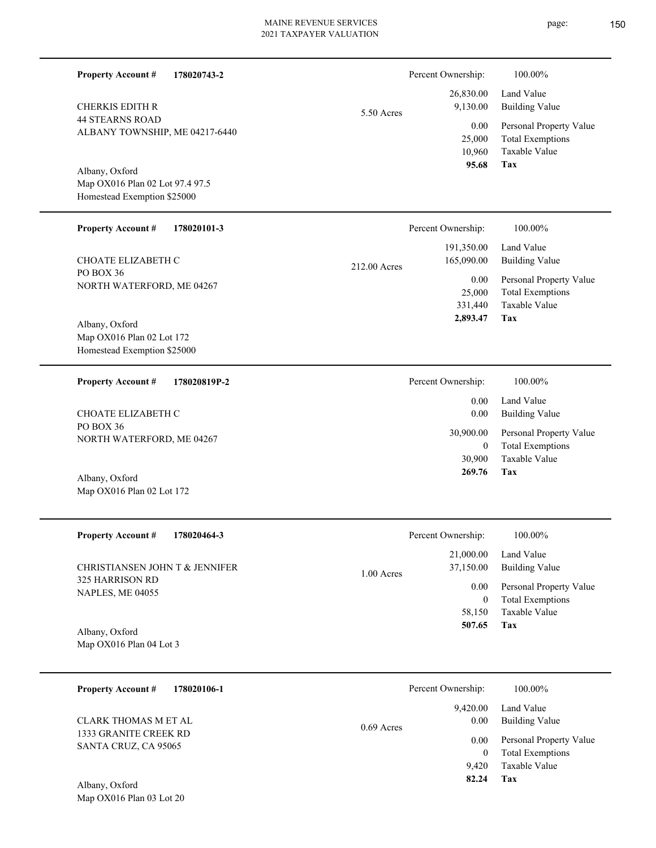| <b>Property Account #</b><br>178020743-2                                                                             |              | Percent Ownership:                                         | 100.00%                                                                                                           |
|----------------------------------------------------------------------------------------------------------------------|--------------|------------------------------------------------------------|-------------------------------------------------------------------------------------------------------------------|
| CHERKIS EDITH R<br><b>44 STEARNS ROAD</b><br>ALBANY TOWNSHIP, ME 04217-6440                                          | 5.50 Acres   | 26,830.00<br>9,130.00<br>0.00<br>25,000<br>10,960<br>95.68 | Land Value<br><b>Building Value</b><br>Personal Property Value<br><b>Total Exemptions</b><br>Taxable Value<br>Tax |
| Albany, Oxford<br>Map OX016 Plan 02 Lot 97.4 97.5<br>Homestead Exemption \$25000                                     |              |                                                            |                                                                                                                   |
| <b>Property Account #</b><br>178020101-3                                                                             |              | Percent Ownership:                                         | 100.00%                                                                                                           |
| CHOATE ELIZABETH C                                                                                                   | 212.00 Acres | 191,350.00<br>165,090.00                                   | Land Value<br><b>Building Value</b>                                                                               |
| PO BOX 36<br>NORTH WATERFORD, ME 04267<br>Albany, Oxford<br>Map OX016 Plan 02 Lot 172<br>Homestead Exemption \$25000 |              | 0.00<br>25,000<br>331,440<br>2,893.47                      | Personal Property Value<br><b>Total Exemptions</b><br>Taxable Value<br>Tax                                        |
| <b>Property Account #</b><br>178020819P-2                                                                            |              | Percent Ownership:                                         | 100.00%                                                                                                           |
| CHOATE ELIZABETH C                                                                                                   |              | 0.00<br>0.00                                               | Land Value<br><b>Building Value</b>                                                                               |
| PO BOX 36<br>NORTH WATERFORD, ME 04267<br>Albany, Oxford                                                             |              | 30,900.00<br>$\boldsymbol{0}$<br>30,900<br>269.76          | Personal Property Value<br><b>Total Exemptions</b><br>Taxable Value<br>Tax                                        |
| Map OX016 Plan 02 Lot 172                                                                                            |              |                                                            |                                                                                                                   |
| <b>Property Account #</b><br>178020464-3                                                                             |              | Percent Ownership:                                         | 100.00%                                                                                                           |
| CHRISTIANSEN JOHN T & JENNIFER                                                                                       | 1.00 Acres   | 21,000.00<br>37,150.00                                     | Land Value<br><b>Building Value</b>                                                                               |
| 325 HARRISON RD<br>NAPLES, ME 04055                                                                                  |              | 0.00<br>$\boldsymbol{0}$<br>58,150<br>507.65               | Personal Property Value<br><b>Total Exemptions</b><br>Taxable Value<br>Tax                                        |
| Albany, Oxford<br>Map OX016 Plan 04 Lot 3                                                                            |              |                                                            |                                                                                                                   |
| <b>Property Account #</b><br>178020106-1                                                                             |              | Percent Ownership:                                         | 100.00%                                                                                                           |
| <b>CLARK THOMAS M ET AL</b>                                                                                          | 0.69 Acres   | 9,420.00<br>0.00                                           | Land Value<br><b>Building Value</b>                                                                               |
| 1333 GRANITE CREEK RD<br>SANTA CRUZ, CA 95065<br>Albany, Oxford<br>Map OX016 Plan 03 Lot 20                          |              | 0.00<br>$\boldsymbol{0}$<br>9,420<br>82.24                 | Personal Property Value<br><b>Total Exemptions</b><br>Taxable Value<br>Tax                                        |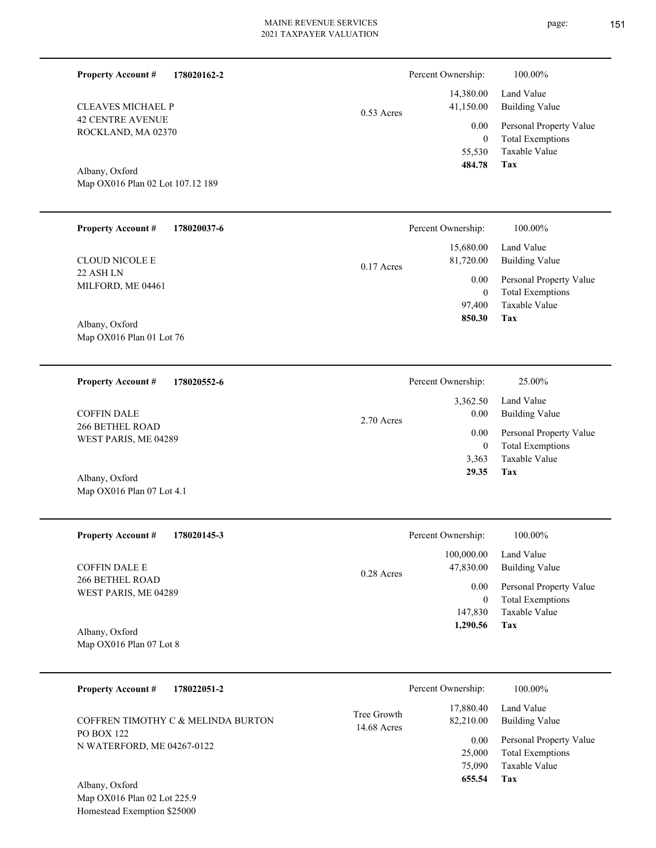| <b>Property Account #</b><br>178020162-2           |                            | Percent Ownership:                       | 100.00%                                                                           |
|----------------------------------------------------|----------------------------|------------------------------------------|-----------------------------------------------------------------------------------|
| <b>CLEAVES MICHAEL P</b>                           | $0.53$ Acres               | 14,380.00<br>41,150.00                   | Land Value<br><b>Building Value</b>                                               |
| <b>42 CENTRE AVENUE</b><br>ROCKLAND, MA 02370      |                            | 0.00<br>$\mathbf{0}$<br>55,530<br>484.78 | Personal Property Value<br><b>Total Exemptions</b><br>Taxable Value               |
| Albany, Oxford<br>Map OX016 Plan 02 Lot 107.12 189 |                            |                                          | Tax                                                                               |
| <b>Property Account #</b><br>178020037-6           |                            | Percent Ownership:                       | 100.00%                                                                           |
| <b>CLOUD NICOLE E</b>                              | $0.17$ Acres               | 15,680.00<br>81,720.00                   | Land Value<br><b>Building Value</b>                                               |
| 22 ASH LN<br>MILFORD, ME 04461                     |                            | 0.00<br>$\mathbf{0}$<br>97,400<br>850.30 | Personal Property Value<br><b>Total Exemptions</b><br>Taxable Value<br><b>Tax</b> |
| Albany, Oxford<br>Map OX016 Plan 01 Lot 76         |                            |                                          |                                                                                   |
| 178020552-6<br><b>Property Account #</b>           |                            | Percent Ownership:                       | 25.00%                                                                            |
| <b>COFFIN DALE</b>                                 | 2.70 Acres                 | 3,362.50<br>0.00                         | Land Value<br><b>Building Value</b>                                               |
| <b>266 BETHEL ROAD</b><br>WEST PARIS, ME 04289     |                            | 0.00<br>$\mathbf{0}$<br>3,363<br>29.35   | Personal Property Value<br><b>Total Exemptions</b><br>Taxable Value<br>Tax        |
| Albany, Oxford<br>Map OX016 Plan 07 Lot 4.1        |                            |                                          |                                                                                   |
| <b>Property Account #</b><br>178020145-3           |                            | Percent Ownership:                       | 100.00%                                                                           |
| <b>COFFIN DALE E</b>                               | 0.28 Acres                 | 100,000.00<br>47,830.00                  | Land Value<br><b>Building Value</b>                                               |
| 266 BETHEL ROAD<br>WEST PARIS, ME 04289            |                            | 0.00<br>$\bf{0}$<br>147,830<br>1,290.56  | Personal Property Value<br><b>Total Exemptions</b><br>Taxable Value<br>Tax        |
| Albany, Oxford<br>Map OX016 Plan 07 Lot 8          |                            |                                          |                                                                                   |
| <b>Property Account #</b><br>178022051-2           |                            | Percent Ownership:                       | 100.00%                                                                           |
| COFFREN TIMOTHY C & MELINDA BURTON                 | Tree Growth<br>14.68 Acres | 17,880.40<br>82,210.00                   | Land Value<br><b>Building Value</b>                                               |
| PO BOX 122<br>N WATERFORD, ME 04267-0122           |                            | 0.00<br>25,000<br>75,090<br>655.54       | Personal Property Value<br><b>Total Exemptions</b><br>Taxable Value<br><b>Tax</b> |
| Albany, Oxford                                     |                            |                                          |                                                                                   |

Map OX016 Plan 02 Lot 225.9 Homestead Exemption \$25000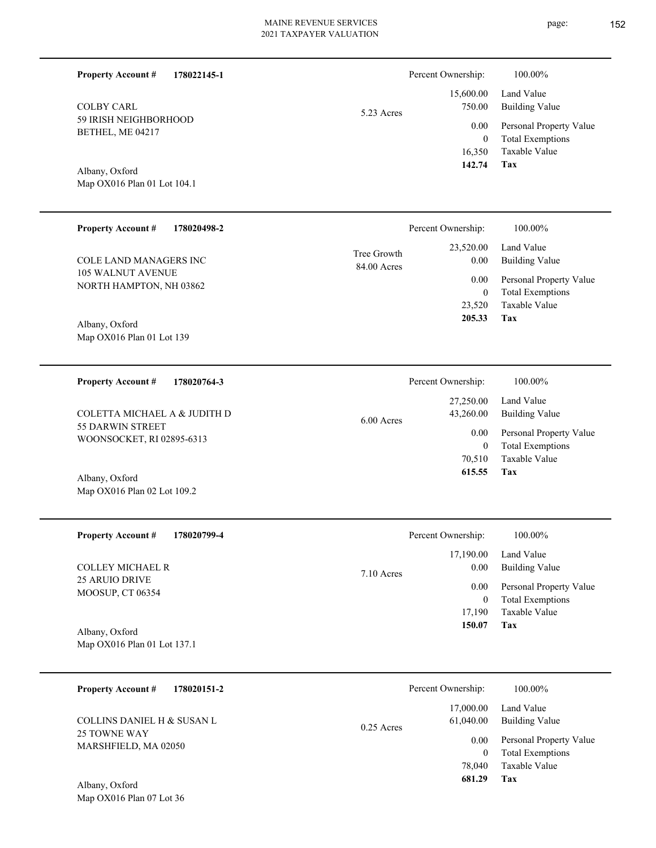| <b>Property Account #</b><br>178022145-1      |                            | Percent Ownership:             | 100.00%                                                             |
|-----------------------------------------------|----------------------------|--------------------------------|---------------------------------------------------------------------|
| <b>COLBY CARL</b><br>59 IRISH NEIGHBORHOOD    | 5.23 Acres                 | 15,600.00<br>750.00            | Land Value<br><b>Building Value</b>                                 |
| BETHEL, ME 04217                              |                            | 0.00<br>$\mathbf{0}$<br>16,350 | Personal Property Value<br><b>Total Exemptions</b><br>Taxable Value |
| Albany, Oxford<br>Map OX016 Plan 01 Lot 104.1 |                            | 142.74                         | <b>Tax</b>                                                          |
| <b>Property Account #</b><br>178020498-2      |                            | Percent Ownership:             | 100.00%                                                             |
| <b>COLE LAND MANAGERS INC</b>                 | Tree Growth<br>84.00 Acres | 23,520.00<br>0.00              | Land Value<br><b>Building Value</b>                                 |
| 105 WALNUT AVENUE<br>NORTH HAMPTON, NH 03862  |                            | 0.00<br>$\mathbf{0}$           | Personal Property Value<br><b>Total Exemptions</b>                  |
| Albany, Oxford<br>Map OX016 Plan 01 Lot 139   |                            | 23,520<br>205.33               | Taxable Value<br>Tax                                                |
| 178020764-3<br><b>Property Account #</b>      |                            | Percent Ownership:             | 100.00%                                                             |
| COLETTA MICHAEL A & JUDITH D                  | 6.00 Acres                 | 27,250.00<br>43,260.00         | Land Value<br><b>Building Value</b>                                 |
| 55 DARWIN STREET<br>WOONSOCKET, RI 02895-6313 |                            | 0.00<br>$\mathbf{0}$           | Personal Property Value<br><b>Total Exemptions</b>                  |
| Albany, Oxford                                |                            | 70,510<br>615.55               | Taxable Value<br>Tax                                                |
| Map OX016 Plan 02 Lot 109.2                   |                            |                                |                                                                     |
| <b>Property Account #</b><br>178020799-4      |                            | Percent Ownership:             | 100.00%                                                             |
| <b>COLLEY MICHAEL R</b>                       | 7.10 Acres                 | 17,190.00<br>0.00              | Land Value<br><b>Building Value</b>                                 |
| 25 ARUIO DRIVE<br>MOOSUP, CT 06354            |                            | 0.00<br>$\boldsymbol{0}$       | Personal Property Value<br><b>Total Exemptions</b>                  |
| Albany, Oxford                                |                            | 17,190<br>150.07               | Taxable Value<br>Tax                                                |
| Map OX016 Plan 01 Lot 137.1                   |                            |                                |                                                                     |
| <b>Property Account #</b><br>178020151-2      |                            | Percent Ownership:             | 100.00%                                                             |
| <b>COLLINS DANIEL H &amp; SUSAN L</b>         | $0.25$ Acres               | 17,000.00<br>61,040.00         | Land Value<br><b>Building Value</b>                                 |
| 25 TOWNE WAY<br>MARSHFIELD, MA 02050          |                            | 0.00<br>$\overline{0}$         | Personal Property Value<br><b>Total Exemptions</b>                  |
| Albany, Oxford                                |                            | 78,040<br>681.29               | Taxable Value<br>Tax                                                |
| Map OX016 Plan 07 Lot 36                      |                            |                                |                                                                     |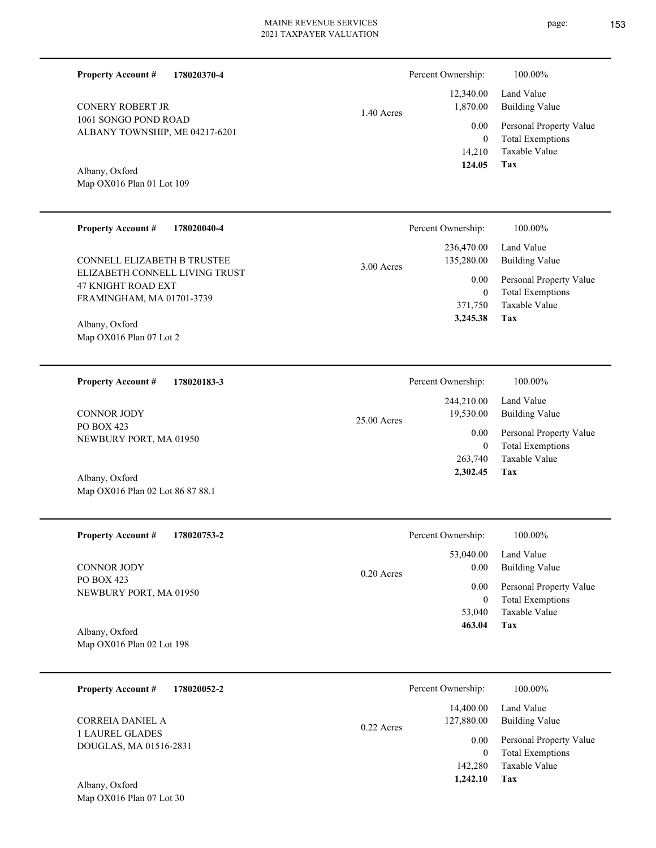1.40 Acres

**178020370-4**

1061 SONGO POND ROAD ALBANY TOWNSHIP, ME 04217-6201 CONERY ROBERT JR

Map OX016 Plan 01 Lot 109 Albany, Oxford

**Property Account #**

| <b>Property Account #</b><br>178020040-4                                                                                       | Percent Ownership:                                               | $100.00\%$                                                                                                 |
|--------------------------------------------------------------------------------------------------------------------------------|------------------------------------------------------------------|------------------------------------------------------------------------------------------------------------|
| <b>CONNELL ELIZABETH B TRUSTEE</b><br>ELIZABETH CONNELL LIVING TRUST<br><b>47 KNIGHT ROAD EXT</b><br>FRAMINGHAM, MA 01701-3739 | 236,470.00<br>135,280.00<br>$3.00$ Acres<br>0.00<br>0<br>371,750 | Land Value<br><b>Building Value</b><br>Personal Property Value<br><b>Total Exemptions</b><br>Taxable Value |
| Albany, Oxford<br>Map $OX016$ Plan 07 Lot 2                                                                                    | 3,245.38                                                         | Tax                                                                                                        |

**178020183-3 Tax** Taxable Value Total Exemptions Personal Property Value Building Value Land Value PO BOX 423 NEWBURY PORT, MA 01950 **Property Account #** Albany, Oxford CONNOR JODY 263,740 0  **2,302.45** 244,210.00 19,530.00 0.00 25.00 Acres Percent Ownership:  $100.00\%$ 

| <b>Property Account #</b><br>178020753-2 | Percent Ownership:                | 100.00%                                            |
|------------------------------------------|-----------------------------------|----------------------------------------------------|
| CONNOR JODY                              | 53,040.00<br>0.00<br>$0.20$ Acres | Land Value<br><b>Building Value</b>                |
| PO BOX 423<br>NEWBURY PORT, MA 01950     | 0.00<br>0                         | Personal Property Value<br><b>Total Exemptions</b> |
| Albany, Oxford                           | 53,040<br>463.04                  | Taxable Value<br>Tax                               |

Map OX016 Plan 02 Lot 198

Map OX016 Plan 02 Lot 86 87 88.1

| 178020052-2<br><b>Property Account #</b>  | Percent Ownership:                      | 100.00%                                                             |
|-------------------------------------------|-----------------------------------------|---------------------------------------------------------------------|
| CORREIA DANIEL A                          | 14,400.00<br>127,880.00<br>$0.22$ Acres | Land Value<br>Building Value                                        |
| 1 LAUREL GLADES<br>DOUGLAS, MA 01516-2831 | 0.00<br>142,280                         | Personal Property Value<br><b>Total Exemptions</b><br>Taxable Value |
| Albany, Oxford                            | 1,242.10                                | Tax                                                                 |

**Tax**

 14,210 0

 12,340.00 1,870.00 0.00

Percent Ownership:  $100.00\%$ 

 **124.05**

Taxable Value Total Exemptions Personal Property Value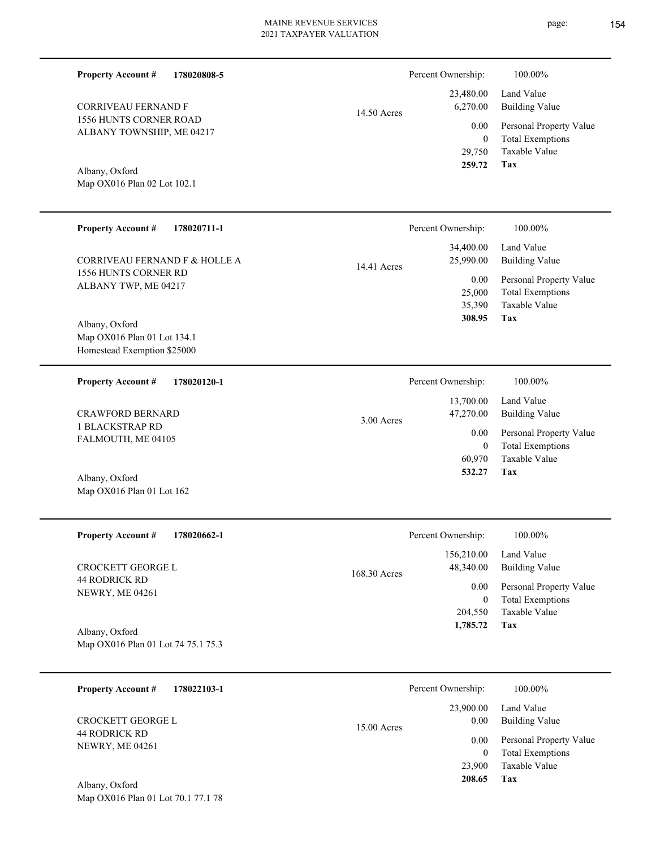| <b>Property Account #</b>                                                    | 178020808-5 |               | Percent Ownership:                         | 100.00%                                                                    |
|------------------------------------------------------------------------------|-------------|---------------|--------------------------------------------|----------------------------------------------------------------------------|
| <b>CORRIVEAU FERNAND F</b>                                                   |             | $14.50$ Acres | 23,480.00<br>6,270.00                      | Land Value<br><b>Building Value</b>                                        |
| <b>1556 HUNTS CORNER ROAD</b><br>ALBANY TOWNSHIP, ME 04217                   |             |               | 0.00<br>$\overline{0}$<br>29,750           | Personal Property Value<br><b>Total Exemptions</b><br>Taxable Value        |
| Albany, Oxford<br>Map OX016 Plan 02 Lot 102.1                                |             |               | 259.72                                     | Tax                                                                        |
| <b>Property Account #</b>                                                    | 178020711-1 |               | Percent Ownership:                         | 100.00%                                                                    |
| CORRIVEAU FERNAND F & HOLLE A                                                |             | 14.41 Acres   | 34,400.00<br>25,990.00                     | Land Value<br><b>Building Value</b>                                        |
| 1556 HUNTS CORNER RD<br>ALBANY TWP, ME 04217                                 |             |               | 0.00<br>25,000<br>35,390<br>308.95         | Personal Property Value<br><b>Total Exemptions</b><br>Taxable Value<br>Tax |
| Albany, Oxford<br>Map OX016 Plan 01 Lot 134.1<br>Homestead Exemption \$25000 |             |               |                                            |                                                                            |
| <b>Property Account #</b>                                                    | 178020120-1 |               | Percent Ownership:                         | 100.00%                                                                    |
| <b>CRAWFORD BERNARD</b>                                                      |             | 3.00 Acres    | 13,700.00<br>47,270.00                     | Land Value<br><b>Building Value</b>                                        |
| <b>1 BLACKSTRAP RD</b><br>FALMOUTH, ME 04105                                 |             |               | 0.00<br>$\theta$<br>60,970                 | Personal Property Value<br><b>Total Exemptions</b><br>Taxable Value        |
| Albany, Oxford<br>Map OX016 Plan 01 Lot 162                                  |             |               | 532.27                                     | Tax                                                                        |
| Property Account #                                                           | 178020662-1 |               | Percent Ownership:                         | $100.00\%$                                                                 |
| CROCKETT GEORGE L                                                            |             | 168.30 Acres  | 156,210.00<br>48,340.00                    | Land Value<br><b>Building Value</b>                                        |
| <b>44 RODRICK RD</b><br>NEWRY, ME 04261                                      |             |               | $0.00\,$<br>$\boldsymbol{0}$               | Personal Property Value<br><b>Total Exemptions</b>                         |
| Albany, Oxford<br>Map OX016 Plan 01 Lot 74 75.1 75.3                         |             |               | 204,550<br>1,785.72                        | Taxable Value<br>Tax                                                       |
| <b>Property Account #</b>                                                    | 178022103-1 |               | Percent Ownership:                         | 100.00%                                                                    |
| CROCKETT GEORGE L                                                            |             |               | 23,900.00<br>0.00                          | Land Value<br><b>Building Value</b>                                        |
| 44 RODRICK RD<br>NEWRY, ME 04261                                             |             | 15.00 Acres   | 0.00<br>$\overline{0}$<br>23,900<br>208.65 | Personal Property Value<br><b>Total Exemptions</b><br>Taxable Value<br>Tax |
| Albany, Oxford<br>Map OX016 Plan 01 Lot 70.1 77.1 78                         |             |               |                                            |                                                                            |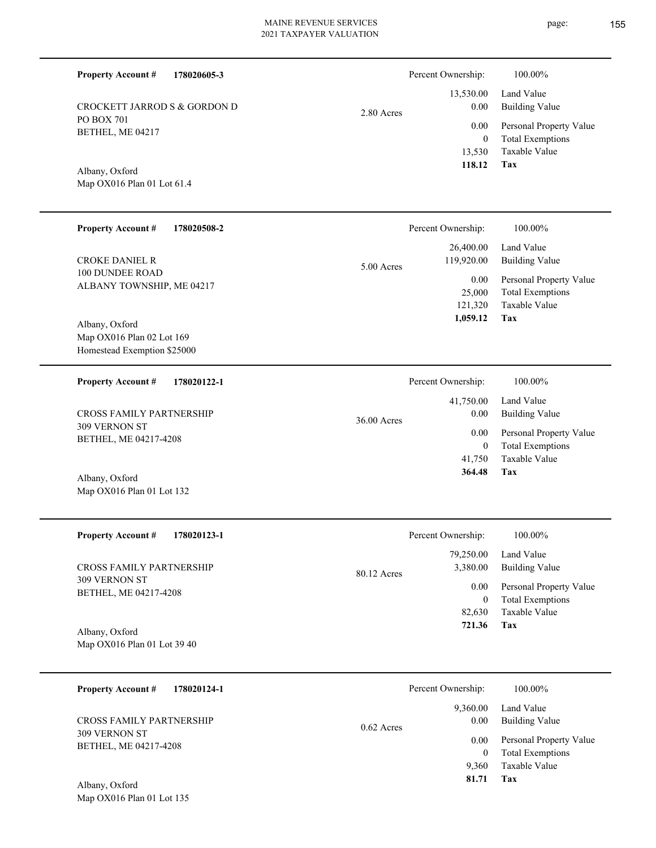2.80 Acres

**178020605-3**

PO BOX 701 BETHEL, ME 04217 CROCKETT JARROD S & GORDON D

## Map OX016 Plan 01 Lot 61.4 Albany, Oxford

**Property Account #**

| <b>Property Account #</b><br>178020508-2                                                                                          | Percent Ownership:                        | 100.00%                                                                           |
|-----------------------------------------------------------------------------------------------------------------------------------|-------------------------------------------|-----------------------------------------------------------------------------------|
| <b>CROKE DANIEL R</b>                                                                                                             | 26,400.00<br>119,920.00<br>5.00 Acres     | Land Value<br><b>Building Value</b>                                               |
| <b>100 DUNDEE ROAD</b><br>ALBANY TOWNSHIP, ME 04217<br>Albany, Oxford<br>Map OX016 Plan 02 Lot 169<br>Homestead Exemption \$25000 | $0.00\,$<br>25,000<br>121,320<br>1,059.12 | Personal Property Value<br><b>Total Exemptions</b><br>Taxable Value<br><b>Tax</b> |
| <b>Property Account #</b><br>178020122-1                                                                                          | Percent Ownership:                        | 100.00%                                                                           |
| <b>CROSS FAMILY PARTNERSHIP</b>                                                                                                   | 41,750.00<br>0.00<br>36.00 Acres          | Land Value<br><b>Building Value</b>                                               |
| 309 VERNON ST<br>BETHEL, ME 04217-4208                                                                                            | 0.00<br>$\overline{0}$                    | Personal Property Value<br><b>Total Exemptions</b>                                |
|                                                                                                                                   | 41,750<br>364.48                          | Taxable Value<br>Tax                                                              |
| Albany, Oxford<br>Map OX016 Plan 01 Lot 132                                                                                       |                                           |                                                                                   |
| <b>Property Account #</b><br>178020123-1                                                                                          | Percent Ownership:                        | 100.00%                                                                           |
|                                                                                                                                   | 79,250.00                                 | Land Value                                                                        |

309 VERNON ST BETHEL, ME 04217-4208 CROSS FAMILY PARTNERSHIP

Map OX016 Plan 01 Lot 39 40 Albany, Oxford

| 178020124-1<br><b>Property Account #</b> | Percent Ownership: |          | 100.00%                 |
|------------------------------------------|--------------------|----------|-------------------------|
|                                          |                    | 9,360.00 | Land Value              |
| <b>CROSS FAMILY PARTNERSHIP</b>          | $0.62$ Acres       | 0.00     | <b>Building Value</b>   |
| 309 VERNON ST                            |                    | 0.00     | Personal Property Value |
| BETHEL, ME 04217-4208                    |                    | 0        | <b>Total Exemptions</b> |
|                                          |                    | 9.360    | Taxable Value           |
| $\sim$ $\sim$ 1<br>4.11                  |                    | 81.71    | Tax                     |

80.12 Acres

Map OX016 Plan 01 Lot 135 Albany, Oxford

**Tax**

**Tax**

 82,630 0

 3,380.00 0.00

 **721.36**

Taxable Value Total Exemptions Personal Property Value

Building Value

 13,530 0

 13,530.00 0.00 0.00

Percent Ownership:  $100.00\%$ 

 **118.12**

Taxable Value Total Exemptions Personal Property Value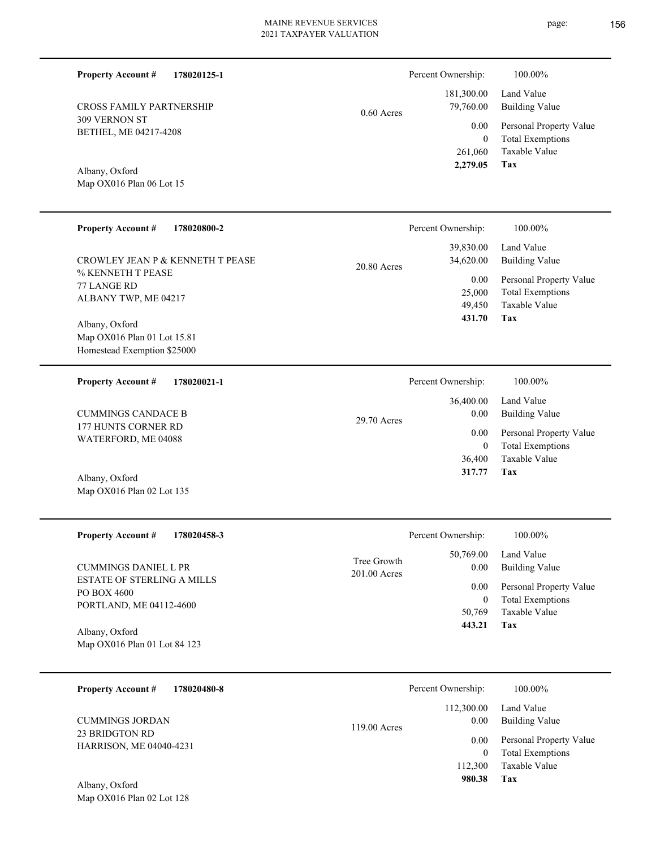**178020125-1**

| <b>CROSS FAMILY PARTNERSHIP</b>              | $0.60$ Acres | 181,300.00<br>79,760.00 |
|----------------------------------------------|--------------|-------------------------|
| 309 VERNON ST<br>BETHEL, ME 04217-4208       |              | 0.00                    |
|                                              |              | $\theta$<br>261,060     |
| $\lambda$ 11 $\lambda$ $\lambda$ $\lambda$ 1 |              | 2,279.05                |

Map OX016 Plan 06 Lot 15 Albany, Oxford

**Property Account #**

| <b>Property Account #</b><br>178020800-2                                                                                                                                     | Percent Ownership:                                                            | $100.00\%$                                                                                                        |
|------------------------------------------------------------------------------------------------------------------------------------------------------------------------------|-------------------------------------------------------------------------------|-------------------------------------------------------------------------------------------------------------------|
| CROWLEY JEAN P & KENNETH T PEASE<br>% KENNETH T PEASE<br>77 LANGE RD<br>ALBANY TWP, ME 04217<br>Albany, Oxford<br>Map OX016 Plan 01 Lot 15.81<br>Homestead Exemption \$25000 | 39,830.00<br>34,620.00<br>$20.80$ Acres<br>0.00<br>25,000<br>49,450<br>431.70 | Land Value<br><b>Building Value</b><br>Personal Property Value<br><b>Total Exemptions</b><br>Taxable Value<br>Tax |
| <b>Property Account #</b><br>178020021-1                                                                                                                                     | Percent Ownership:                                                            | 100.00%                                                                                                           |

|                             |               | 36,400.00 | Land Value              |
|-----------------------------|---------------|-----------|-------------------------|
| <b>CUMMINGS CANDACE B</b>   | $29.70$ Acres | 0.00      | Building Value          |
| 177 HUNTS CORNER RD         |               | 0.00      | Personal Property Value |
| WATERFORD, ME 04088         |               | 0         | <b>Total Exemptions</b> |
|                             |               | 36,400    | Taxable Value           |
| Albany, Oxford              |               | 317.77    | Tax                     |
| Map $OX016$ Plan 02 Lot 135 |               |           |                         |

| <b>Property Account #</b><br>178020458-3                                                                   | Percent Ownership:                                                        | 100.00%                                                                                             |
|------------------------------------------------------------------------------------------------------------|---------------------------------------------------------------------------|-----------------------------------------------------------------------------------------------------|
| <b>CUMMINGS DANIEL L PR</b><br><b>ESTATE OF STERLING A MILLS</b><br>PO BOX 4600<br>PORTLAND, ME 04112-4600 | 50,769.00<br>Tree Growth<br>0.00<br>$201.00$ Acres<br>0.00<br>0<br>50,769 | Land Value<br>Building Value<br>Personal Property Value<br><b>Total Exemptions</b><br>Taxable Value |
| Albany, Oxford<br>Map OX016 Plan 01 Lot 84 123                                                             | 443.21                                                                    | Tax                                                                                                 |

| 178020480-8<br><b>Property Account #</b>         | Percent Ownership:                 | 100.00%                                            |
|--------------------------------------------------|------------------------------------|----------------------------------------------------|
| <b>CUMMINGS JORDAN</b>                           | 112,300.00<br>0.00<br>119.00 Acres | Land Value<br>Building Value                       |
| 23 BRIDGTON RD<br><b>HARRISON, ME 04040-4231</b> | 0.00                               | Personal Property Value<br><b>Total Exemptions</b> |
| Albany Oxford                                    | 112,300<br>980.38                  | Taxable Value<br>Tax                               |

Map OX016 Plan 02 Lot 128 Albany, Oxford

**Tax**

Percent Ownership:  $100.00\%$ 

Taxable Value Total Exemptions Personal Property Value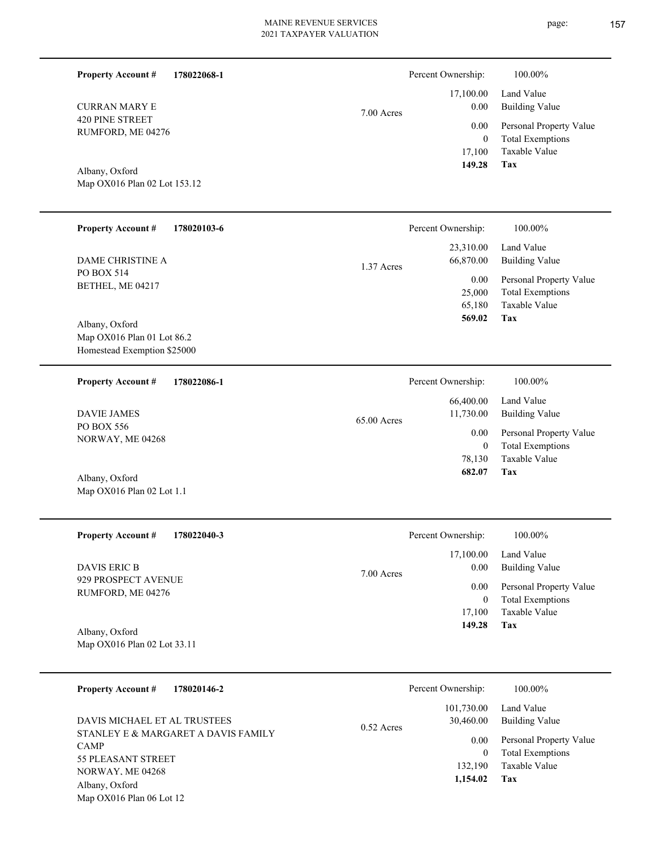| <b>Property Account #</b><br>178022068-1                                                                                                   |             | Percent Ownership:                          | 100.00%                                                                           |
|--------------------------------------------------------------------------------------------------------------------------------------------|-------------|---------------------------------------------|-----------------------------------------------------------------------------------|
| <b>CURRAN MARY E</b>                                                                                                                       | 7.00 Acres  | 17,100.00<br>0.00                           | Land Value<br><b>Building Value</b>                                               |
| <b>420 PINE STREET</b><br>RUMFORD, ME 04276                                                                                                |             | 0.00<br>$\mathbf{0}$<br>17,100<br>149.28    | Personal Property Value<br><b>Total Exemptions</b><br>Taxable Value<br>Tax        |
| Albany, Oxford<br>Map OX016 Plan 02 Lot 153.12                                                                                             |             |                                             |                                                                                   |
| <b>Property Account #</b><br>178020103-6                                                                                                   |             | Percent Ownership:                          | 100.00%                                                                           |
| DAME CHRISTINE A                                                                                                                           | 1.37 Acres  | 23,310.00<br>66,870.00                      | Land Value<br><b>Building Value</b>                                               |
| PO BOX 514<br>BETHEL, ME 04217                                                                                                             |             | 0.00<br>25,000<br>65,180<br>569.02          | Personal Property Value<br><b>Total Exemptions</b><br>Taxable Value<br>Tax        |
| Albany, Oxford<br>Map OX016 Plan 01 Lot 86.2<br>Homestead Exemption \$25000                                                                |             |                                             |                                                                                   |
| <b>Property Account #</b><br>178022086-1                                                                                                   |             | Percent Ownership:                          | 100.00%                                                                           |
| <b>DAVIE JAMES</b>                                                                                                                         | 65.00 Acres | 66,400.00<br>11,730.00                      | Land Value<br><b>Building Value</b>                                               |
| PO BOX 556<br>NORWAY, ME 04268                                                                                                             |             | 0.00<br>$\mathbf{0}$<br>78,130<br>682.07    | Personal Property Value<br><b>Total Exemptions</b><br>Taxable Value<br>Tax        |
| Albany, Oxford<br>Map OX016 Plan 02 Lot 1.1                                                                                                |             |                                             |                                                                                   |
| 178022040-3<br><b>Property Account #</b>                                                                                                   |             | Percent Ownership:                          | 100.00%                                                                           |
| <b>DAVIS ERIC B</b>                                                                                                                        | 7.00 Acres  | 17,100.00<br>0.00                           | Land Value<br><b>Building Value</b>                                               |
| 929 PROSPECT AVENUE<br>RUMFORD, ME 04276                                                                                                   |             | 0.00<br>$\bf{0}$<br>17,100<br>149.28        | Personal Property Value<br><b>Total Exemptions</b><br>Taxable Value<br>Tax        |
| Albany, Oxford<br>Map OX016 Plan 02 Lot 33.11                                                                                              |             |                                             |                                                                                   |
| <b>Property Account #</b><br>178020146-2                                                                                                   |             | Percent Ownership:                          | $100.00\%$                                                                        |
| DAVIS MICHAEL ET AL TRUSTEES                                                                                                               | 0.52 Acres  | 101,730.00<br>30,460.00                     | Land Value<br><b>Building Value</b>                                               |
| STANLEY E & MARGARET A DAVIS FAMILY<br><b>CAMP</b><br>55 PLEASANT STREET<br>NORWAY. ME 04268<br>Albany, Oxford<br>Map OX016 Plan 06 Lot 12 |             | 0.00<br>$\mathbf{0}$<br>132,190<br>1,154.02 | Personal Property Value<br><b>Total Exemptions</b><br>Taxable Value<br><b>Tax</b> |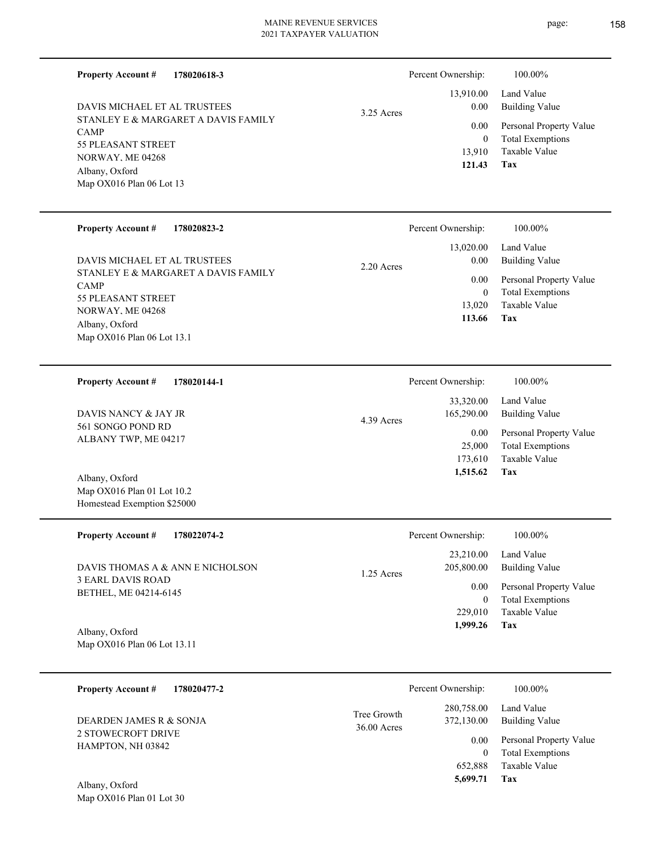**178020618-3 Property Account #**

STANLEY E & MARGARET A DAVIS FAMILY CAMP 55 PLEASANT STREET NORWAY, ME 04268 Map OX016 Plan 06 Lot 13 Albany, Oxford DAVIS MICHAEL ET AL TRUSTEES

# 3.25 Acres Percent Ownership:  $100.00\%$

**Tax** Taxable Value Total Exemptions Personal Property Value Building Value Land Value 13,910 0  **121.43** 13,910.00 0.00 0.00

| <b>Property Account #</b><br>178020823-2 |              | Percent Ownership: | 100.00%                 |
|------------------------------------------|--------------|--------------------|-------------------------|
|                                          |              | 13,020.00          | Land Value              |
| DAVIS MICHAEL ET AL TRUSTEES             | $2.20$ Acres | 0.00               | Building Value          |
| STANLEY E & MARGARET A DAVIS FAMILY      |              | 0.00               | Personal Property Value |
| <b>CAMP</b><br>55 PLEASANT STREET        |              | $\theta$           | <b>Total Exemptions</b> |
| NORWAY, ME 04268                         |              | 13.020             | Taxable Value           |
| Albany, Oxford                           |              | 113.66             | Tax                     |
| Map $OX016$ Plan 06 Lot 13.1             |              |                    |                         |

| 178020144-1<br><b>Property Account #</b>                          | Percent Ownership:                    | 100.00%                                            |
|-------------------------------------------------------------------|---------------------------------------|----------------------------------------------------|
| DAVIS NANCY & JAY JR<br>561 SONGO POND RD<br>ALBANY TWP, ME 04217 | 33,320.00<br>165,290.00<br>4.39 Acres | Land Value<br>Building Value                       |
|                                                                   | 0.00<br>25,000                        | Personal Property Value<br><b>Total Exemptions</b> |
|                                                                   | 173.610                               | Taxable Value                                      |
| Albany, Oxford                                                    | 1,515.62                              | Tax                                                |

| <b>Property Account #</b><br>178022074-2          | Percent Ownership:         | 100.00%                 |
|---------------------------------------------------|----------------------------|-------------------------|
|                                                   | 23,210.00                  | Land Value              |
| DAVIS THOMAS A & ANN E NICHOLSON                  | 205,800.00<br>$1.25$ Acres | Building Value          |
| <b>3 EARL DAVIS ROAD</b><br>BETHEL, ME 04214-6145 | 0.00                       | Personal Property Value |
|                                                   | $\mathbf{0}$               | <b>Total Exemptions</b> |
|                                                   | 229,010                    | Taxable Value           |
| Albany, Oxford                                    | 1,999.26                   | Tax                     |

Map OX016 Plan 06 Lot 13.11

Map OX016 Plan 01 Lot 10.2 Homestead Exemption \$25000

| 178020477-2<br><b>Property Account #</b>                                  |                              | Percent Ownership:       | 100.00%                                            |
|---------------------------------------------------------------------------|------------------------------|--------------------------|----------------------------------------------------|
| DEARDEN JAMES R & SONJA<br><b>2 STOWECROFT DRIVE</b><br>HAMPTON, NH 03842 | Tree Growth<br>$36.00$ Acres | 280,758.00<br>372,130.00 | Land Value<br><b>Building Value</b>                |
|                                                                           |                              | 0.00<br>0                | Personal Property Value<br><b>Total Exemptions</b> |
|                                                                           |                              | 652.888                  | Taxable Value                                      |
| $\sim$ $\sim$ 1<br>4.11                                                   |                              | 5.699.71                 | Tax                                                |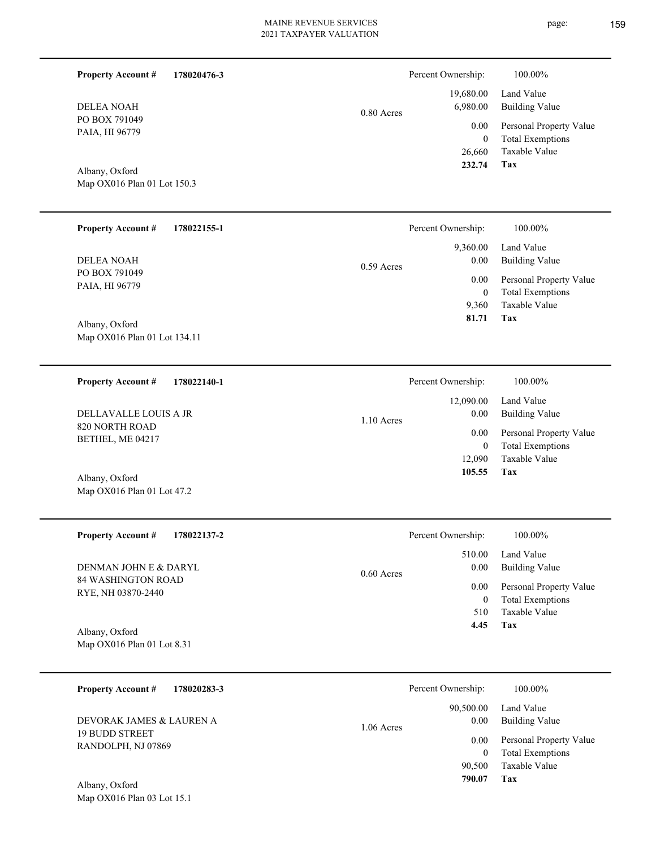0.80 Acres

PO BOX 791049 PAIA, HI 96779 DELEA NOAH

**Property Account #**

Map OX016 Plan 01 Lot 150.3 Albany, Oxford

**178020476-3**

| <b>Property Account #</b><br>178022155-1 | Percent Ownership:   | 100.00%                 |
|------------------------------------------|----------------------|-------------------------|
|                                          | 9,360.00             | Land Value              |
| <b>DELEA NOAH</b>                        | 0.00<br>$0.59$ Acres | <b>Building Value</b>   |
| PO BOX 791049<br>PAIA, HI 96779          | 0.00                 | Personal Property Value |
|                                          | 0                    | <b>Total Exemptions</b> |
|                                          | 9,360                | Taxable Value           |
| Albany, Oxford                           | 81.71                | Tax                     |
| Map OX016 Plan 01 Lot 134.11             |                      |                         |

| <b>Property Account #</b><br>178022140-1 | Percent Ownership:                | 100.00%                                            |
|------------------------------------------|-----------------------------------|----------------------------------------------------|
| DELLAVALLE LOUIS A JR                    | 12,090.00<br>0.00<br>$1.10$ Acres | Land Value<br>Building Value                       |
| 820 NORTH ROAD<br>BETHEL, ME 04217       | 0.00<br>0                         | Personal Property Value<br><b>Total Exemptions</b> |
| Albany, Oxford                           | 12.090<br>105.55                  | Taxable Value<br>Tax                               |

| <b>Property Account #</b><br>178022137-2 | Percent Ownership:   | 100.00%                 |
|------------------------------------------|----------------------|-------------------------|
|                                          | 510.00               | Land Value              |
| DENMAN JOHN E & DARYL                    | 0.00<br>$0.60$ Acres | Building Value          |
| 84 WASHINGTON ROAD                       | 0.00                 | Personal Property Value |
| RYE, NH 03870-2440                       | 0                    | <b>Total Exemptions</b> |
|                                          | 510                  | Taxable Value           |
| Albany, Oxford                           | 4.45                 | Tax                     |
| Map $OX016$ Plan 01 Lot 8.31             |                      |                         |

| 178020283-3<br><b>Property Account #</b>    | Percent Ownership:                | 100.00%                                                             |
|---------------------------------------------|-----------------------------------|---------------------------------------------------------------------|
| DEVORAK JAMES & LAUREN A                    | 90,500.00<br>0.00<br>$1.06$ Acres | Land Value<br><b>Building Value</b>                                 |
| <b>19 BUDD STREET</b><br>RANDOLPH, NJ 07869 | 0.00<br>90,500                    | Personal Property Value<br><b>Total Exemptions</b><br>Taxable Value |
| Albany, Oxford                              | 790.07                            | Tax                                                                 |

Map OX016 Plan 01 Lot 47.2

**Tax**

 26,660 0

 19,680.00 6,980.00 0.00

Percent Ownership:  $100.00\%$ 

 **232.74**

Taxable Value Total Exemptions Personal Property Value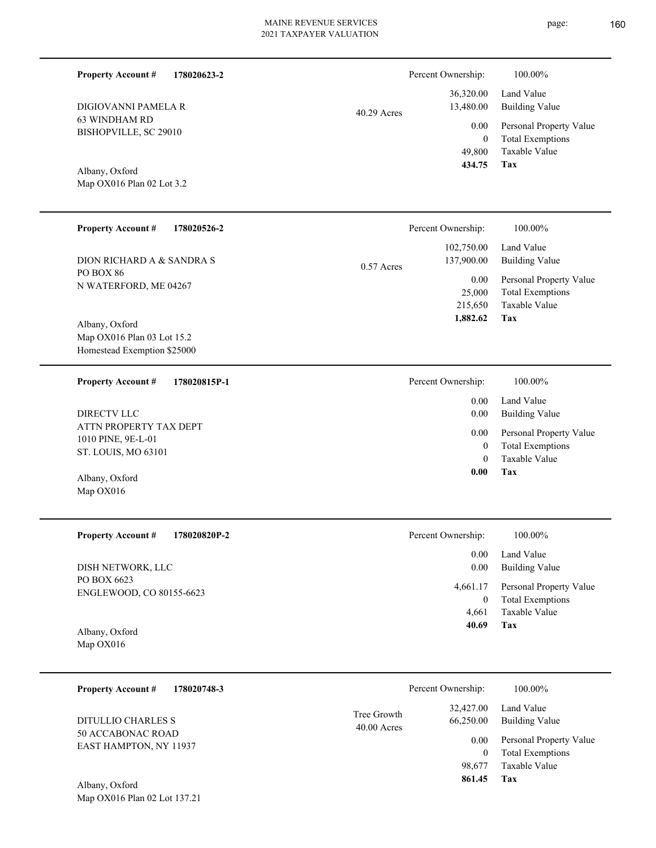| <b>Property Account #</b><br>178020623-2                                    |                            | Percent Ownership:                           | 100.00%                                                                    |
|-----------------------------------------------------------------------------|----------------------------|----------------------------------------------|----------------------------------------------------------------------------|
| DIGIOVANNI PAMELA R                                                         | 40.29 Acres                | 36,320.00<br>13,480.00                       | Land Value<br><b>Building Value</b>                                        |
| <b>63 WINDHAM RD</b><br>BISHOPVILLE, SC 29010                               |                            | 0.00<br>$\mathbf{0}$<br>49,800               | Personal Property Value<br><b>Total Exemptions</b><br>Taxable Value        |
| Albany, Oxford<br>Map OX016 Plan 02 Lot 3.2                                 |                            | 434.75                                       | <b>Tax</b>                                                                 |
| <b>Property Account #</b><br>178020526-2                                    |                            | Percent Ownership:                           | 100.00%                                                                    |
| DION RICHARD A & SANDRA S                                                   | $0.57$ Acres               | 102,750.00<br>137,900.00                     | Land Value<br><b>Building Value</b>                                        |
| PO BOX 86<br>N WATERFORD, ME 04267                                          |                            | 0.00<br>25,000<br>215,650<br>1,882.62        | Personal Property Value<br><b>Total Exemptions</b><br>Taxable Value<br>Tax |
| Albany, Oxford<br>Map OX016 Plan 03 Lot 15.2<br>Homestead Exemption \$25000 |                            |                                              |                                                                            |
| <b>Property Account #</b><br>178020815P-1                                   |                            | Percent Ownership:                           | 100.00%                                                                    |
| DIRECTV LLC                                                                 |                            | 0.00<br>0.00                                 | Land Value<br><b>Building Value</b>                                        |
| ATTN PROPERTY TAX DEPT<br>1010 PINE, 9E-L-01<br>ST. LOUIS, MO 63101         |                            | 0.00<br>$\overline{0}$<br>$\theta$           | Personal Property Value<br><b>Total Exemptions</b><br>Taxable Value        |
| Albany, Oxford<br>Map OX016                                                 |                            | 0.00                                         | Tax                                                                        |
| <b>Property Account #</b><br>178020820P-2                                   |                            | Percent Ownership:                           | 100.00%                                                                    |
| DISH NETWORK, LLC                                                           |                            | 0.00<br>0.00                                 | Land Value<br><b>Building Value</b>                                        |
| PO BOX 6623<br>ENGLEWOOD, CO 80155-6623                                     |                            | 4,661.17<br>$\boldsymbol{0}$<br>4,661        | Personal Property Value<br><b>Total Exemptions</b><br>Taxable Value        |
| Albany, Oxford<br>Map OX016                                                 |                            | 40.69                                        | Tax                                                                        |
| <b>Property Account #</b><br>178020748-3                                    |                            | Percent Ownership:                           | 100.00%                                                                    |
| DITULLIO CHARLES S                                                          | Tree Growth<br>40.00 Acres | 32,427.00<br>66,250.00                       | Land Value<br><b>Building Value</b>                                        |
| 50 ACCABONAC ROAD<br>EAST HAMPTON, NY 11937<br>Albany, Oxford               |                            | 0.00<br>$\boldsymbol{0}$<br>98,677<br>861.45 | Personal Property Value<br><b>Total Exemptions</b><br>Taxable Value<br>Tax |
| Map OX016 Plan 02 Lot 137.21                                                |                            |                                              |                                                                            |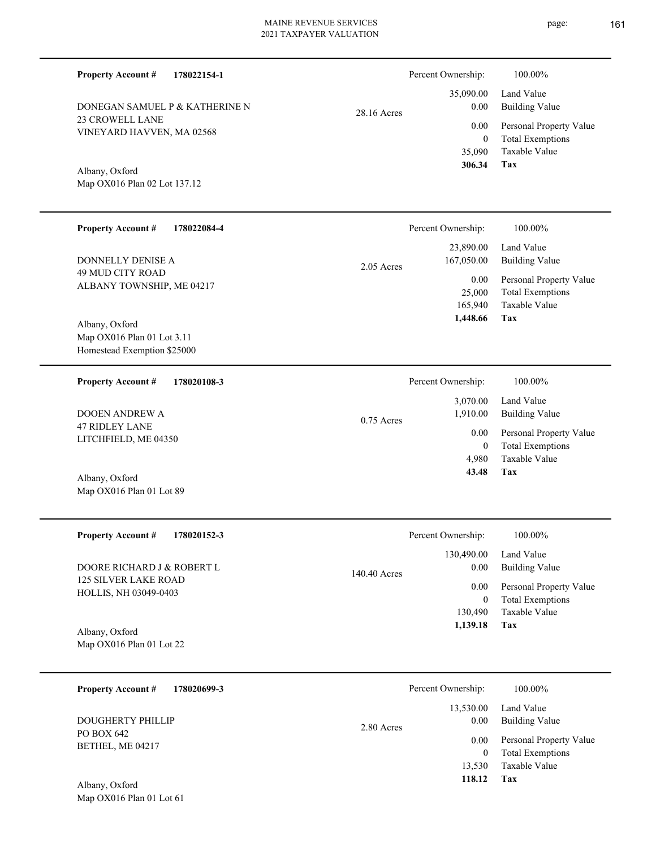28.16 Acres

23 CROWELL LANE VINEYARD HAVVEN, MA 02568 DONEGAN SAMUEL P & KATHERINE N

**178022154-1**

Map OX016 Plan 02 Lot 137.12 Albany, Oxford

**Property Account #**

| <b>Property Account #</b><br>178022084-4                    | Percent Ownership:<br>100.00%                                                                    |
|-------------------------------------------------------------|--------------------------------------------------------------------------------------------------|
| DONNELLY DENISE A                                           | 23,890.00<br>Land Value<br><b>Building Value</b><br>167,050.00<br>2.05 Acres                     |
| <b>49 MUD CITY ROAD</b><br>ALBANY TOWNSHIP, ME 04217        | 0.00<br>Personal Property Value<br>25,000<br><b>Total Exemptions</b><br>Taxable Value<br>165,940 |
| Albany, Oxford                                              | 1,448.66<br>Tax                                                                                  |
| Map $OX016$ Plan 01 Lot 3.11<br>Homestead Exemption \$25000 |                                                                                                  |
| <b>Property Account #</b><br>178020108-3                    | Percent Ownership:<br>100.00%                                                                    |
|                                                             | Land Value<br>3,070.00                                                                           |
| <b>DOOEN ANDREW A</b>                                       | <b>Building Value</b><br>1,910.00<br>$0.75$ Acres                                                |
| 47 RIDLEY LANE                                              | Personal Property Value<br>0.00                                                                  |
| LITCHFIELD, ME 04350                                        | <b>Total Exemptions</b><br>$\theta$                                                              |
|                                                             | Taxable Value<br>4,980                                                                           |

Map OX016 Plan 01 Lot 89 Albany, Oxford

| <b>Property Account #</b><br>178020152-3                    | Percent Ownership:   | 100.00%                 |
|-------------------------------------------------------------|----------------------|-------------------------|
|                                                             | 130,490.00           | Land Value              |
| DOORE RICHARD J & ROBERT L                                  | 0.00<br>140.40 Acres | <b>Building Value</b>   |
| <b>125 SILVER LAKE ROAD</b><br><b>HOLLIS, NH 03049-0403</b> | 0.00                 | Personal Property Value |
|                                                             | 0                    | <b>Total Exemptions</b> |
|                                                             | 130,490              | Taxable Value           |
| Albany, Oxford                                              | 1,139.18             | Tax                     |
| Map $OX016$ Plan 01 Lot 22                                  |                      |                         |

| 178020699-3<br><b>Property Account #</b> | Percent Ownership:              | 100.00%                                            |
|------------------------------------------|---------------------------------|----------------------------------------------------|
| <b>DOUGHERTY PHILLIP</b>                 | 13,530.00<br>0.00<br>2.80 Acres | Land Value<br>Building Value                       |
| PO BOX 642<br>BETHEL, ME 04217           | 0.00<br>$\Omega$                | Personal Property Value<br><b>Total Exemptions</b> |
|                                          | 13,530                          | Taxable Value                                      |
| Albany, Oxford                           | 118.12                          | Tax                                                |

Map OX016 Plan 01 Lot 61

**Tax**

 35,090 0

 35,090.00 0.00 0.00

Percent Ownership:  $100.00\%$ 

 **306.34**

**Tax 43.48**

Taxable Value Total Exemptions Personal Property Value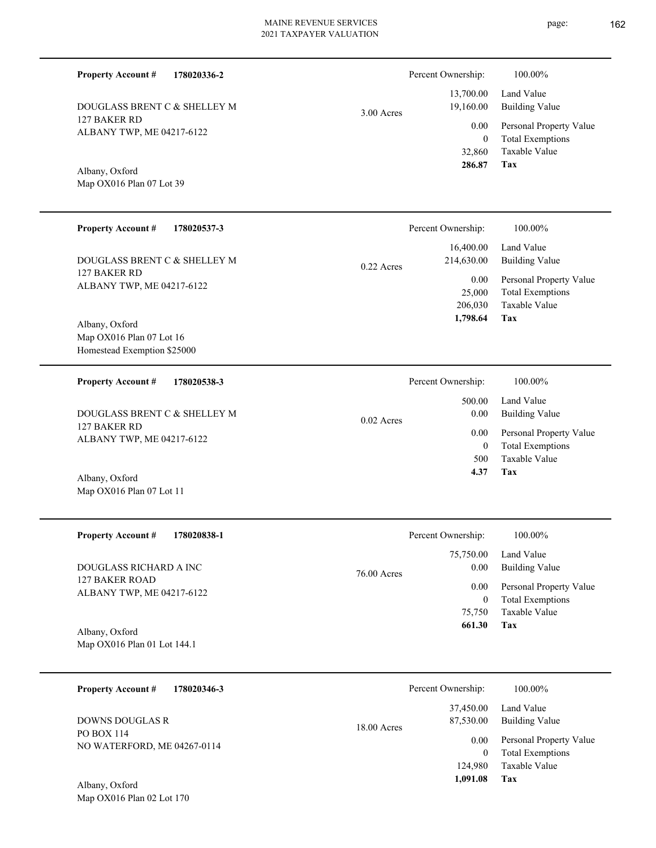3.00 Acres

127 BAKER RD ALBANY TWP, ME 04217-6122 DOUGLASS BRENT C & SHELLEY M

**178020336-2**

Map OX016 Plan 07 Lot 39 Albany, Oxford

**Property Account #**

| <b>Property Account #</b><br>178020537-3                                    | Percent Ownership:                                                   | 100.00%                                                                                             |
|-----------------------------------------------------------------------------|----------------------------------------------------------------------|-----------------------------------------------------------------------------------------------------|
| DOUGLASS BRENT C & SHELLEY M<br>127 BAKER RD<br>ALBANY TWP, ME 04217-6122   | 16,400.00<br>214,630.00<br>$0.22$ Acres<br>0.00<br>25,000<br>206,030 | Land Value<br>Building Value<br>Personal Property Value<br><b>Total Exemptions</b><br>Taxable Value |
| Albany, Oxford<br>Map $OX016$ Plan 07 Lot 16<br>Homestead Exemption \$25000 | 1,798.64                                                             | Tax                                                                                                 |
| 178020538-3<br><b>Property Account #</b>                                    | Percent Ownership:<br>500.00                                         | 100.00%<br>Land Value                                                                               |

0.02 Acres

127 BAKER RD ALBANY TWP, ME 04217-6122 DOUGLASS BRENT C & SHELLEY M

Map OX016 Plan 07 Lot 11 Albany, Oxford

| <b>Property Account #</b><br>178020838-1    | Percent Ownership:  | 100.00%                 |
|---------------------------------------------|---------------------|-------------------------|
|                                             | 75,750.00           | Land Value              |
| DOUGLASS RICHARD A INC                      | 0.00<br>76.00 Acres | Building Value          |
| 127 BAKER ROAD<br>ALBANY TWP, ME 04217-6122 | 0.00                | Personal Property Value |
|                                             | $\bf{0}$            | <b>Total Exemptions</b> |
|                                             | 75,750              | Taxable Value           |
| Albany, Oxford                              | 661.30              | Tax                     |
| Map OX016 Plan 01 Lot 144.1                 |                     |                         |

**178020346-3 Tax** Taxable Value Total Exemptions Personal Property Value Building Value Land Value PO BOX 114 NO WATERFORD, ME 04267-0114 **Property Account #** Albany, Oxford DOWNS DOUGLAS R 124,980 0  **1,091.08** 37,450.00 87,530.00 0.00 18.00 Acres Percent Ownership:  $100.00\%$ 

Map OX016 Plan 02 Lot 170



Taxable Value

**Tax**

32,860

 **286.87**

**Tax** Taxable Value Total Exemptions Personal Property Value Building Value 500 0  **4.37** 0.00 0.00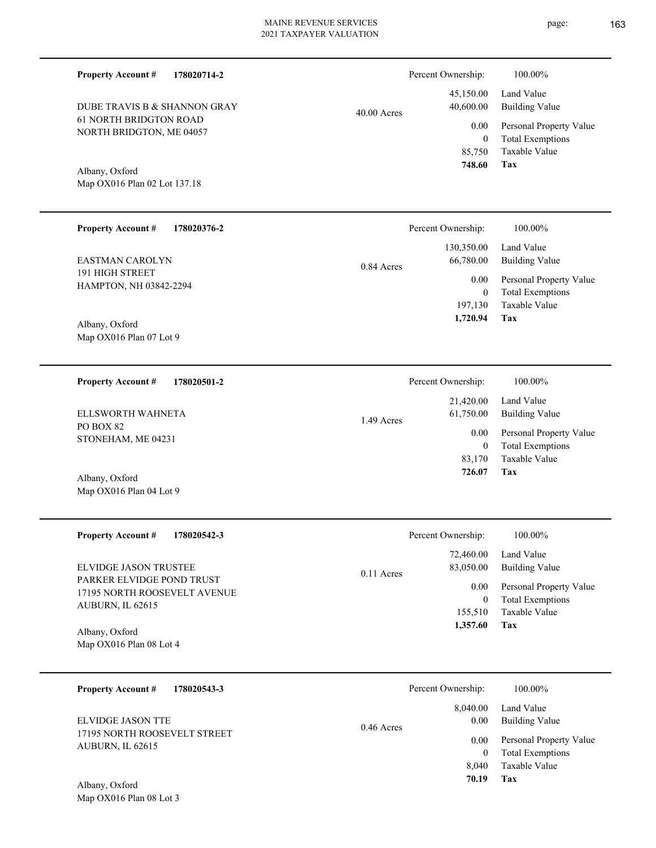| Percent Ownership:                  | 100.00%                                                                                 |
|-------------------------------------|-----------------------------------------------------------------------------------------|
| 45,150.00<br>40,600.00              | Land Value<br><b>Building Value</b>                                                     |
| 0.00<br>$\boldsymbol{0}$<br>85,750  | Personal Property Value<br><b>Total Exemptions</b><br>Taxable Value<br>Tax              |
|                                     |                                                                                         |
| Percent Ownership:                  | 100.00%                                                                                 |
| 130,350.00<br>66,780.00             | Land Value<br><b>Building Value</b>                                                     |
| 0.00<br>$\overline{0}$<br>197,130   | Personal Property Value<br><b>Total Exemptions</b><br>Taxable Value                     |
|                                     | Tax                                                                                     |
| Percent Ownership:                  | 100.00%                                                                                 |
| 21,420.00<br>61,750.00              | Land Value<br><b>Building Value</b>                                                     |
| 0.00<br>$\overline{0}$<br>83,170    | Personal Property Value<br><b>Total Exemptions</b><br>Taxable Value<br>Tax              |
|                                     |                                                                                         |
| Percent Ownership:                  | 100.00%                                                                                 |
| 72,460.00<br>83,050.00              | Land Value<br><b>Building Value</b>                                                     |
| 0.00<br>$\boldsymbol{0}$<br>155,510 | Personal Property Value<br><b>Total Exemptions</b><br>Taxable Value                     |
| 1,357.60                            | <b>Tax</b>                                                                              |
|                                     | $40.00$ Acres<br>748.60<br>0.84 Acres<br>1,720.94<br>1.49 Acres<br>726.07<br>0.11 Acres |

| 178020543-3<br><b>Property Account #</b>         | Percent Ownership:               | 100.00%                                  |
|--------------------------------------------------|----------------------------------|------------------------------------------|
| ELVIDGE JASON TTE                                | 8,040.00<br>0.00<br>$0.46$ Acres | Land Value<br>Building Value             |
| 17195 NORTH ROOSEVELT STREET<br>AUBURN, IL 62615 | 0.00                             | Personal Property Value                  |
|                                                  | $\Omega$<br>8.040                | <b>Total Exemptions</b><br>Taxable Value |
| Albany, Oxford                                   | 70.19                            | Tax                                      |

Map OX016 Plan 08 Lot 3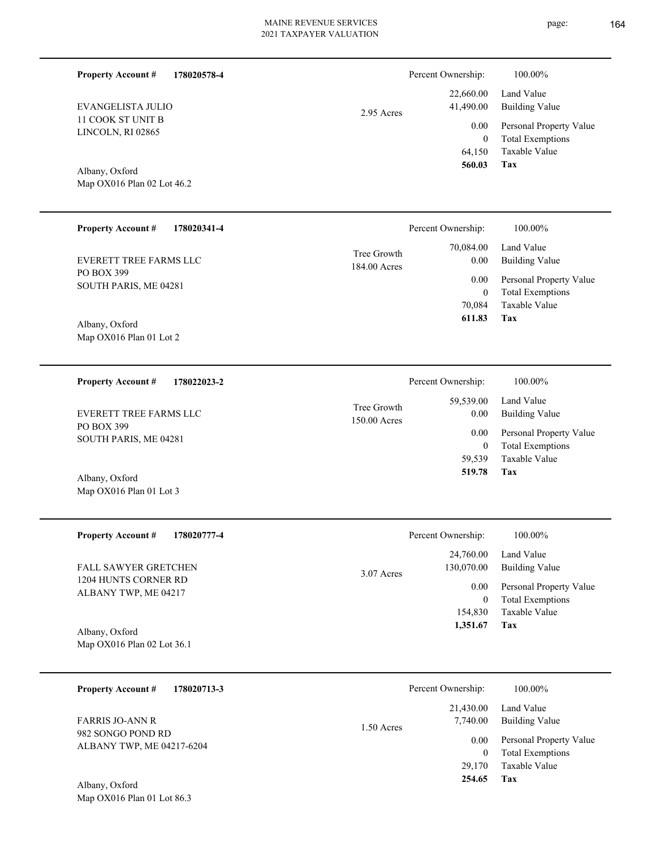| <b>Property Account #</b><br>178020578-4                         |                             | Percent Ownership:                       | 100.00%                                                                    |
|------------------------------------------------------------------|-----------------------------|------------------------------------------|----------------------------------------------------------------------------|
| EVANGELISTA JULIO                                                | 2.95 Acres                  | 22,660.00<br>41,490.00                   | Land Value<br><b>Building Value</b>                                        |
| 11 COOK ST UNIT B<br>LINCOLN, RI 02865                           |                             | 0.00<br>$\mathbf{0}$<br>64,150           | Personal Property Value<br><b>Total Exemptions</b><br>Taxable Value        |
| Albany, Oxford<br>Map OX016 Plan 02 Lot 46.2                     |                             | 560.03                                   | Tax                                                                        |
| <b>Property Account #</b><br>178020341-4                         |                             | Percent Ownership:                       | 100.00%                                                                    |
| <b>EVERETT TREE FARMS LLC</b>                                    | Tree Growth<br>184.00 Acres | 70,084.00<br>0.00                        | Land Value<br><b>Building Value</b>                                        |
| PO BOX 399<br>SOUTH PARIS, ME 04281                              |                             | 0.00<br>$\boldsymbol{0}$                 | Personal Property Value<br><b>Total Exemptions</b>                         |
| Albany, Oxford<br>Map OX016 Plan 01 Lot 2                        |                             | 70,084<br>611.83                         | Taxable Value<br>Tax                                                       |
| <b>Property Account #</b><br>178022023-2                         |                             | Percent Ownership:                       | 100.00%                                                                    |
| EVERETT TREE FARMS LLC                                           | Tree Growth<br>150.00 Acres | 59,539.00<br>0.00                        | Land Value<br><b>Building Value</b>                                        |
| PO BOX 399<br>SOUTH PARIS, ME 04281                              |                             | 0.00<br>$\boldsymbol{0}$<br>59,539       | Personal Property Value<br><b>Total Exemptions</b><br>Taxable Value        |
| Albany, Oxford<br>Map OX016 Plan 01 Lot 3                        |                             | 519.78                                   | Tax                                                                        |
| <b>Property Account #</b><br>178020777-4                         |                             | Percent Ownership:                       | 100.00%                                                                    |
| FALL SAWYER GRETCHEN                                             | 3.07 Acres                  | 24,760.00<br>130,070.00                  | Land Value<br><b>Building Value</b>                                        |
| 1204 HUNTS CORNER RD<br>ALBANY TWP, ME 04217                     |                             | 0.00<br>$\overline{0}$                   | Personal Property Value<br><b>Total Exemptions</b>                         |
| Albany, Oxford<br>Map OX016 Plan 02 Lot 36.1                     |                             | 154,830<br>1,351.67                      | Taxable Value<br><b>Tax</b>                                                |
| 178020713-3<br><b>Property Account #</b>                         |                             | Percent Ownership:                       | 100.00%                                                                    |
| <b>FARRIS JO-ANN R</b>                                           |                             | 21,430.00<br>7,740.00                    | Land Value<br><b>Building Value</b>                                        |
| 982 SONGO POND RD<br>ALBANY TWP, ME 04217-6204<br>Albany, Oxford | 1.50 Acres                  | 0.00<br>$\mathbf{0}$<br>29,170<br>254.65 | Personal Property Value<br><b>Total Exemptions</b><br>Taxable Value<br>Tax |
| Map OX016 Plan 01 Lot 86.3                                       |                             |                                          |                                                                            |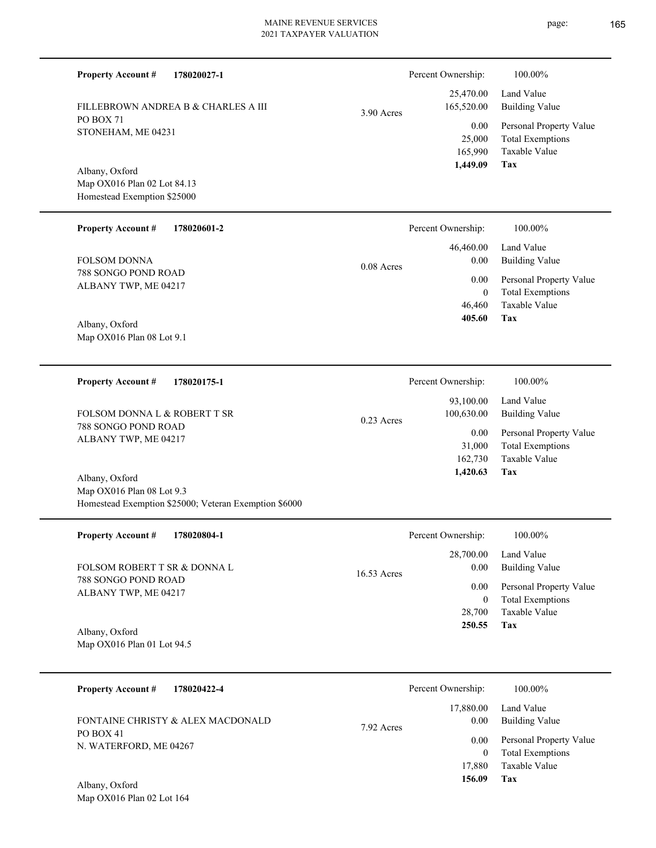165,990 25,000  **1,449.09** 0.00 3.90 Acres

0.08 Acres

0.23 Acres

788 SONGO POND ROAD ALBANY TWP, ME 04217 FOLSOM DONNA

Map OX016 Plan 02 Lot 84.13 Homestead Exemption \$25000

PO BOX 71

Albany, Oxford

**Property Account #**

STONEHAM, ME 04231

**Property Account #**

Map OX016 Plan 08 Lot 9.1 Albany, Oxford

**Property Account #**

FOLSOM DONNA L & ROBERT T SR

788 SONGO POND ROAD ALBANY TWP, ME 04217

Map OX016 Plan 08 Lot 9.3 Homestead Exemption \$25000; Veteran Exemption \$6000 Albany, Oxford

**178020027-1**

**178020601-2**

**178020175-1**

FILLEBROWN ANDREA B & CHARLES A III

| <b>Property Account #</b><br>178020804-1            | Percent Ownership:               | 100.00%                                                             |
|-----------------------------------------------------|----------------------------------|---------------------------------------------------------------------|
| FOLSOM ROBERT T SR & DONNA L<br>788 SONGO POND ROAD | 28,700.00<br>0.00<br>16.53 Acres | Land Value<br><b>Building Value</b>                                 |
| ALBANY TWP, ME 04217                                | 0.00<br>$\mathbf{0}$<br>28,700   | Personal Property Value<br><b>Total Exemptions</b><br>Taxable Value |
| Albany, Oxford<br>Map OX016 Plan 01 Lot 94.5        | 250.55                           | Tax                                                                 |
| <b>Property Account #</b><br>178020422-4            | Percent Ownership:               | 100.00%                                                             |

PO BOX 41 N. WATERFORD, ME 04267 FONTAINE CHRISTY & ALEX MACDONALD

Map OX016 Plan 02 Lot 164 Albany, Oxford

#### page: 165

| :S | 165,520.00                            | <b>Building Value</b>                                                      |
|----|---------------------------------------|----------------------------------------------------------------------------|
|    | 0.00<br>25,000<br>165,990<br>1,449.09 | Personal Property Value<br><b>Total Exemptions</b><br>Taxable Value<br>Tax |
|    | Percent Ownership:                    | 100.00%                                                                    |
|    |                                       |                                                                            |

25,470.00

Percent Ownership: 100.00%

Land Value

| $0.00\,$ | 46,460.00 Land Value<br>Building Value |
|----------|----------------------------------------|
|          | 0.00 Personal Property Value           |
| $\theta$ | <b>Total Exemptions</b>                |
|          | 46,460 Taxable Value                   |
| 405.60   | Tax                                    |

| 100.00%                                                                    |
|----------------------------------------------------------------------------|
| Land Value<br><b>Building Value</b>                                        |
| Personal Property Value<br><b>Total Exemptions</b><br>Taxable Value<br>Tax |
|                                                                            |

|            | Percent Ownership: | 100.00%                 |
|------------|--------------------|-------------------------|
|            | 17,880.00          | Land Value              |
| 7.92 Acres | 0.00               | <b>Building Value</b>   |
|            | 0.00               | Personal Property Value |
|            | $\theta$           | <b>Total Exemptions</b> |
|            | 17,880             | Taxable Value           |
|            | 156.09             | Tax                     |
|            |                    |                         |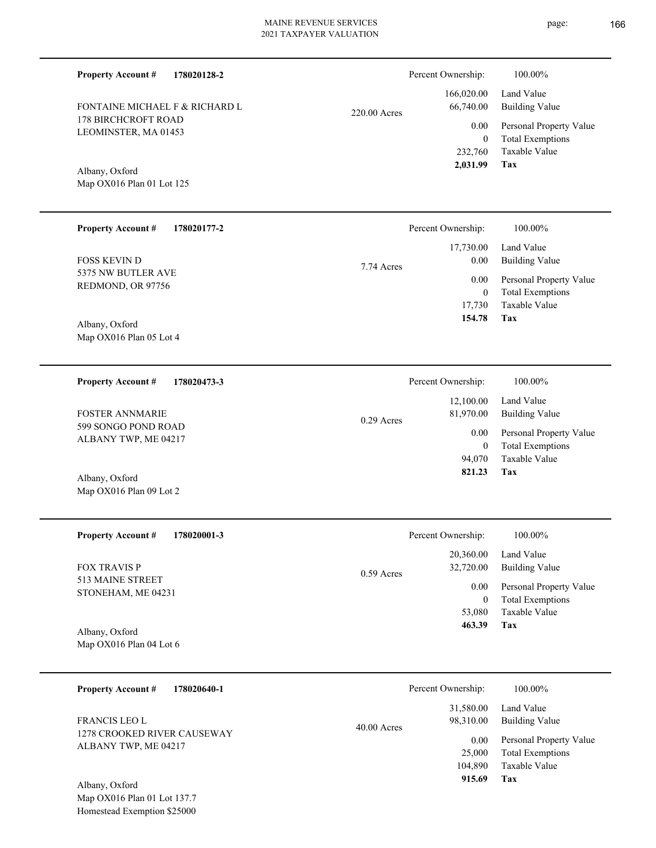FONTAINE MICHAEL F & RICHARD L 220.00 Acres

# Map OX016 Plan 01 Lot 125 Albany, Oxford

**Property Account #**

178 BIRCHCROFT ROAD LEOMINSTER, MA 01453

**Property Account #**

**178020128-2**

**178020177-2**

| <b>FOSS KEVIN D</b><br>5375 NW BUTLER AVE<br>REDMOND, OR 97756<br>Albany, Oxford<br>Map OX016 Plan 05 Lot 4 | 7.74 Acres    | 17,730.00<br>$0.00\,$<br>0.00<br>$\boldsymbol{0}$<br>17,730<br>154.78 | Land Value<br><b>Building Value</b><br>Personal Property Value<br><b>Total Exemptions</b><br>Taxable Value<br>Tax |
|-------------------------------------------------------------------------------------------------------------|---------------|-----------------------------------------------------------------------|-------------------------------------------------------------------------------------------------------------------|
| <b>Property Account #</b><br>178020473-3                                                                    |               | Percent Ownership:                                                    | 100.00%                                                                                                           |
| <b>FOSTER ANNMARIE</b>                                                                                      | $0.29$ Acres  | 12,100.00<br>81,970.00                                                | Land Value<br><b>Building Value</b>                                                                               |
| 599 SONGO POND ROAD<br>ALBANY TWP, ME 04217                                                                 |               | 0.00<br>$\mathbf{0}$<br>94,070                                        | Personal Property Value<br><b>Total Exemptions</b><br>Taxable Value                                               |
| Albany, Oxford<br>Map OX016 Plan 09 Lot 2                                                                   |               | 821.23                                                                | Tax                                                                                                               |
| <b>Property Account #</b><br>178020001-3                                                                    |               | Percent Ownership:                                                    | 100.00%                                                                                                           |
| <b>FOX TRAVIS P</b>                                                                                         | 0.59 Acres    | 20,360.00<br>32,720.00                                                | Land Value<br><b>Building Value</b>                                                                               |
| 513 MAINE STREET<br>STONEHAM, ME 04231                                                                      |               | 0.00<br>$\mathbf{0}$                                                  | Personal Property Value<br><b>Total Exemptions</b>                                                                |
| Albany, Oxford<br>Map OX016 Plan 04 Lot 6                                                                   |               | 53,080<br>463.39                                                      | Taxable Value<br>Tax                                                                                              |
| <b>Property Account #</b><br>178020640-1                                                                    |               | Percent Ownership:                                                    | 100.00%                                                                                                           |
| FRANCIS LEO L                                                                                               | $40.00$ Acres | 31,580.00<br>98,310.00                                                | Land Value<br><b>Building Value</b>                                                                               |
| 1278 CROOKED RIVER CAUSEWAY<br>ALBANY TWP, ME 04217                                                         |               | $0.00\,$<br>25,000                                                    | Personal Property Value<br><b>Total Exemptions</b>                                                                |

Map OX016 Plan 01 Lot 137.7 Homestead Exemption \$25000 Albany, Oxford

**Tax**

**Tax**

104,890

 **915.69**

Taxable Value

 232,760 0

0.00

Percent Ownership:  $100.00\%$ 

 166,020.00 66,740.00

 **2,031.99**

Percent Ownership: 100.00%

Taxable Value Total Exemptions Personal Property Value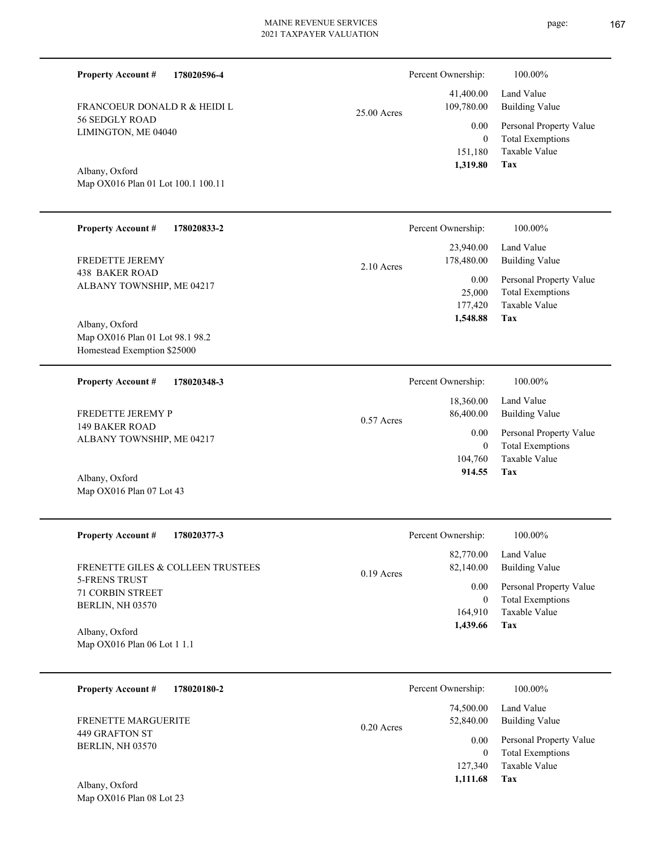Percent Ownership:  $100.00\%$ 

|               | 1,319.80   | Tax                                    |
|---------------|------------|----------------------------------------|
|               |            | 151,180 Taxable Value                  |
|               | $\Omega$   | <b>Total Exemptions</b>                |
|               |            | 0.00 Personal Property Value           |
| $25.00$ Acres | 109,780.00 | 41,400.00 Land Value<br>Building Value |
|               |            |                                        |

**Tax**

 164,910  **1,439.66**

Taxable Value 0 Total Exemptions

Map OX016 Plan 01 Lot 100.1 100.11 Albany, Oxford

FRANCOEUR DONALD R & HEIDI L

56 SEDGLY ROAD LIMINGTON, ME 04040

**Property Account #**

**178020596-4**

| <b>Property Account #</b><br>178020833-2                                         |              | Percent Ownership:        | 100.00%                                                             |
|----------------------------------------------------------------------------------|--------------|---------------------------|---------------------------------------------------------------------|
| <b>FREDETTE JEREMY</b><br><b>438 BAKER ROAD</b>                                  | $2.10$ Acres | 23,940.00<br>178,480.00   | Land Value<br><b>Building Value</b>                                 |
| ALBANY TOWNSHIP, ME 04217                                                        |              | 0.00<br>25,000<br>177,420 | Personal Property Value<br><b>Total Exemptions</b><br>Taxable Value |
| Albany, Oxford<br>Map OX016 Plan 01 Lot 98.1 98.2<br>Homestead Exemption \$25000 |              | 1,548.88                  | Tax                                                                 |
| <b>Property Account #</b><br>178020348-3                                         |              | Percent Ownership:        | 100.00%                                                             |
| FREDETTE JEREMY P                                                                | $0.57$ Acres | 18,360.00<br>86,400.00    | Land Value<br><b>Building Value</b>                                 |
| <b>149 BAKER ROAD</b><br>ALBANY TOWNSHIP, ME 04217                               |              | 0.00<br>$\theta$          | Personal Property Value<br><b>Total Exemptions</b>                  |
| Albany, Oxford<br>Map OX016 Plan 07 Lot 43                                       |              | 104,760<br>914.55         | <b>Taxable Value</b><br>Tax                                         |
| <b>Property Account #</b><br>178020377-3                                         |              | Percent Ownership:        | 100.00%                                                             |
| FRENETTE GILES & COLLEEN TRUSTEES                                                | $0.19$ Acres | 82,770.00<br>82,140.00    | Land Value<br><b>Building Value</b>                                 |
| <b>5-FRENS TRUST</b><br><b>71 CORBIN STREET</b>                                  |              | 0.00                      | Personal Property Value                                             |

Map OX016 Plan 06 Lot 1 1.1 Albany, Oxford

Map OX016 Plan 08 Lot 23

BERLIN, NH 03570

| Percent Ownership: | 100.00%                 |
|--------------------|-------------------------|
| 74,500.00          | Land Value              |
| 52,840.00          | Building Value          |
| 0.00               | Personal Property Value |
| 0                  | <b>Total Exemptions</b> |
| 127,340            | Taxable Value           |
| 1,111.68           | Tax                     |
|                    | $0.20$ Acres            |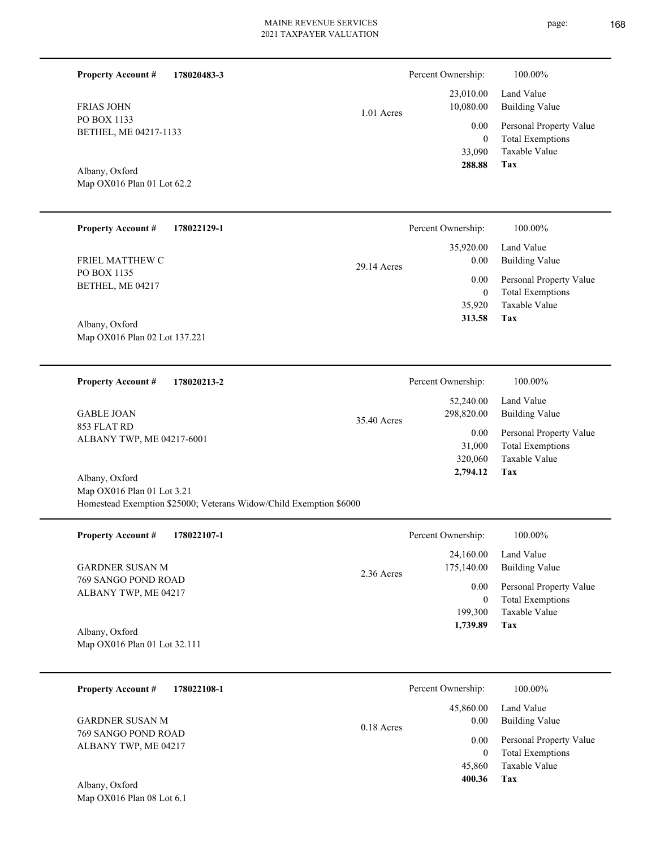| <b>Property Account #</b><br>178020483-3                                                                  |             | Percent Ownership:                                                     | 100.00%                                                                                                           |
|-----------------------------------------------------------------------------------------------------------|-------------|------------------------------------------------------------------------|-------------------------------------------------------------------------------------------------------------------|
| <b>FRIAS JOHN</b><br>PO BOX 1133<br>BETHEL, ME 04217-1133<br>Albany, Oxford<br>Map OX016 Plan 01 Lot 62.2 | 1.01 Acres  | 23,010.00<br>10,080.00<br>0.00<br>$\boldsymbol{0}$<br>33,090<br>288.88 | Land Value<br><b>Building Value</b><br>Personal Property Value<br><b>Total Exemptions</b><br>Taxable Value<br>Tax |
| <b>Property Account #</b><br>178022129-1                                                                  |             | Percent Ownership:                                                     | 100.00%                                                                                                           |
| FRIEL MATTHEW C                                                                                           | 29.14 Acres | 35,920.00<br>0.00                                                      | Land Value<br><b>Building Value</b>                                                                               |
| PO BOX 1135<br>BETHEL, ME 04217                                                                           |             | 0.00                                                                   | Personal Property Value                                                                                           |
|                                                                                                           |             | $\mathbf{0}$<br>35,920                                                 | <b>Total Exemptions</b><br>Taxable Value                                                                          |
| Albany, Oxford                                                                                            |             | 313.58                                                                 | Tax                                                                                                               |
| Map OX016 Plan 02 Lot 137.221                                                                             |             |                                                                        |                                                                                                                   |
| <b>Property Account #</b><br>178020213-2                                                                  |             | Percent Ownership:                                                     | 100.00%                                                                                                           |
|                                                                                                           |             | 52,240.00                                                              | Land Value                                                                                                        |
| <b>GABLE JOAN</b><br>853 FLAT RD                                                                          | 35.40 Acres | 298,820.00                                                             | <b>Building Value</b>                                                                                             |
| ALBANY TWP, ME 04217-6001                                                                                 |             | 0.00                                                                   | Personal Property Value                                                                                           |
|                                                                                                           |             | 31,000<br>320,060                                                      | <b>Total Exemptions</b><br>Taxable Value                                                                          |
| Albany, Oxford                                                                                            |             | 2,794.12                                                               | Tax                                                                                                               |
| Map OX016 Plan 01 Lot 3.21                                                                                |             |                                                                        |                                                                                                                   |
| Homestead Exemption \$25000; Veterans Widow/Child Exemption \$6000                                        |             |                                                                        |                                                                                                                   |

| <b>Property Account #</b><br>178022107-1    | Percent Ownership:                      | 100.00%                                            |
|---------------------------------------------|-----------------------------------------|----------------------------------------------------|
| <b>GARDNER SUSAN M</b>                      | 24,160.00<br>175,140.00<br>$2.36$ Acres | Land Value<br><b>Building Value</b>                |
| 769 SANGO POND ROAD<br>ALBANY TWP, ME 04217 | 0.00<br>0                               | Personal Property Value<br><b>Total Exemptions</b> |
|                                             | 199,300                                 | Taxable Value                                      |
| Albany, Oxford                              | 1,739.89                                | Tax                                                |
| Map OX016 Plan 01 Lot 32.111                |                                         |                                                    |

| 178022108-1<br><b>Property Account #</b>    | Percent Ownership:                | 100.00%                                            |
|---------------------------------------------|-----------------------------------|----------------------------------------------------|
| <b>GARDNER SUSAN M</b>                      | 45,860.00<br>0.00<br>$0.18$ Acres | Land Value<br><b>Building Value</b>                |
| 769 SANGO POND ROAD<br>ALBANY TWP, ME 04217 | 0.00<br>0                         | Personal Property Value<br><b>Total Exemptions</b> |
|                                             | 45,860                            | Taxable Value                                      |
| Albany, Oxford                              | 400.36                            | Tax                                                |
| Map $OX016$ Plan 08 Lot 6.1                 |                                   |                                                    |

L

—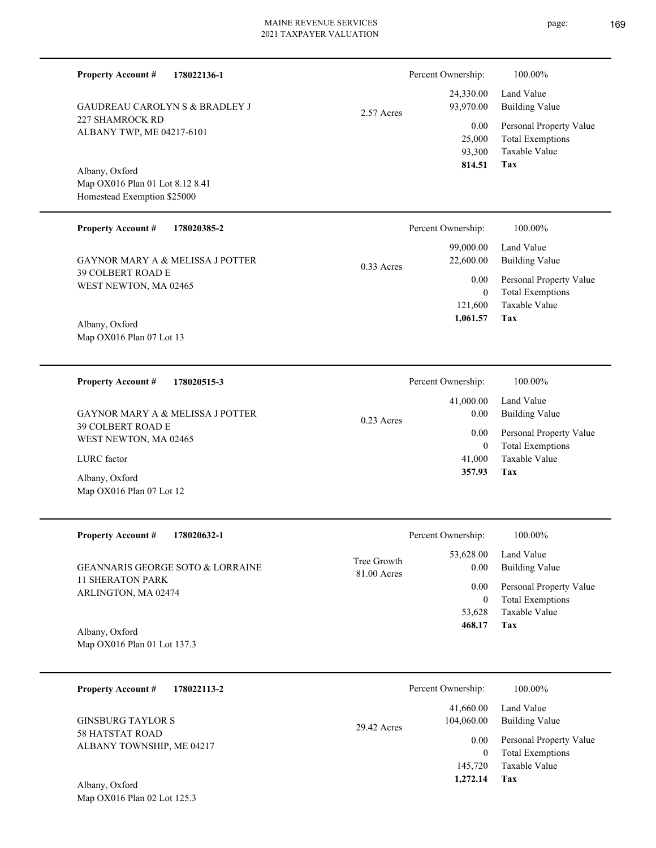| <b>Property Account #</b><br>178022136-1                                         |                            | Percent Ownership:                 | 100.00%                                                                           |
|----------------------------------------------------------------------------------|----------------------------|------------------------------------|-----------------------------------------------------------------------------------|
| <b>GAUDREAU CAROLYN S &amp; BRADLEY J</b>                                        | 2.57 Acres                 | 24,330.00<br>93,970.00             | Land Value<br><b>Building Value</b>                                               |
| 227 SHAMROCK RD<br>ALBANY TWP, ME 04217-6101                                     |                            | 0.00<br>25,000<br>93,300<br>814.51 | Personal Property Value<br><b>Total Exemptions</b><br>Taxable Value<br><b>Tax</b> |
| Albany, Oxford<br>Map OX016 Plan 01 Lot 8.12 8.41<br>Homestead Exemption \$25000 |                            |                                    |                                                                                   |
| <b>Property Account #</b><br>178020385-2                                         |                            | Percent Ownership:                 | 100.00%                                                                           |
| <b>GAYNOR MARY A &amp; MELISSA J POTTER</b>                                      | $0.33$ Acres               | 99,000.00<br>22,600.00             | Land Value<br><b>Building Value</b>                                               |
| <b>39 COLBERT ROAD E</b><br>WEST NEWTON, MA 02465                                |                            | 0.00<br>$\theta$<br>121,600        | Personal Property Value<br><b>Total Exemptions</b><br>Taxable Value               |
| Albany, Oxford<br>Map OX016 Plan 07 Lot 13                                       |                            | 1,061.57                           | Tax                                                                               |
| <b>Property Account #</b><br>178020515-3                                         |                            | Percent Ownership:                 | 100.00%                                                                           |
| GAYNOR MARY A & MELISSA J POTTER                                                 | 0.23 Acres                 | 41,000.00<br>$0.00\,$              | Land Value<br><b>Building Value</b>                                               |
| 39 COLBERT ROAD E<br>WEST NEWTON, MA 02465                                       |                            | 0.00<br>$\theta$                   | Personal Property Value<br><b>Total Exemptions</b>                                |
| LURC factor                                                                      |                            | 41,000<br>357.93                   | Taxable Value<br>Tax                                                              |
| Albany, Oxford<br>Map OX016 Plan 07 Lot 12                                       |                            |                                    |                                                                                   |
| <b>Property Account #</b><br>178020632-1                                         |                            | Percent Ownership:                 | 100.00%                                                                           |
| GEANNARIS GEORGE SOTO & LORRAINE                                                 | Tree Growth<br>81.00 Acres | 53,628.00<br>0.00                  | Land Value<br><b>Building Value</b>                                               |
| <b>11 SHERATON PARK</b><br>ARLINGTON, MA 02474                                   |                            | 0.00<br>$\overline{0}$             | Personal Property Value<br><b>Total Exemptions</b>                                |
| Albany, Oxford                                                                   |                            | 53,628<br>468.17                   | Taxable Value<br>Tax                                                              |
| Map OX016 Plan 01 Lot 137.3                                                      |                            |                                    |                                                                                   |
| <b>Property Account #</b><br>178022113-2                                         |                            | Percent Ownership:                 | 100.00%                                                                           |
| <b>GINSBURG TAYLOR S</b>                                                         | 29.42 Acres                | 41,660.00<br>104,060.00            | Land Value<br><b>Building Value</b>                                               |
| <b>58 HATSTAT ROAD</b><br>ALBANY TOWNSHIP, ME 04217                              |                            | 0.00<br>$\mathbf{0}$<br>145,720    | Personal Property Value<br><b>Total Exemptions</b><br>Taxable Value               |
|                                                                                  |                            | 1,272.14                           | <b>Tax</b>                                                                        |

Map OX016 Plan 02 Lot 125.3 Albany, Oxford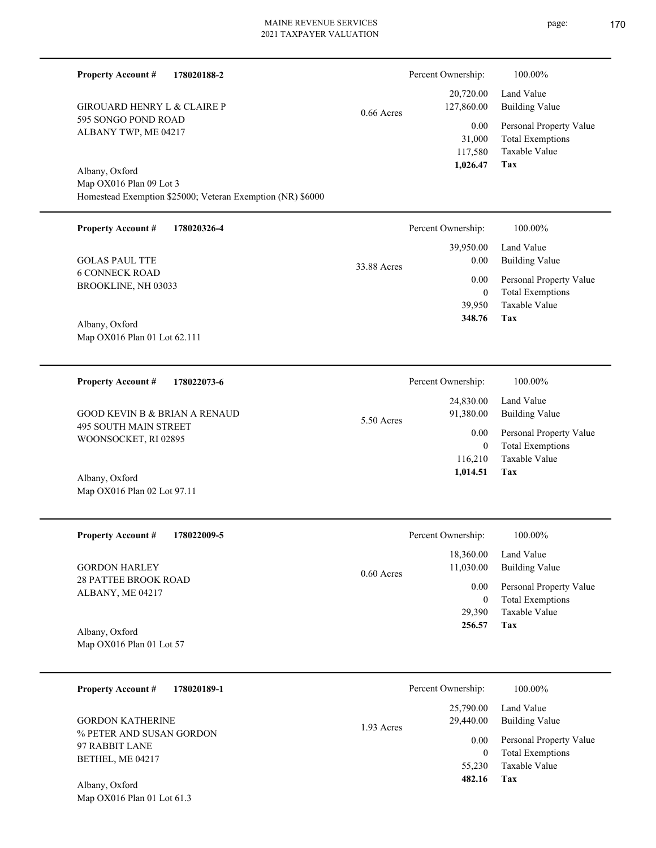**Tax 482.16**

| <b>Property Account #</b><br>178020188-2                   |              | Percent Ownership:                    | 100.00%                                                                    |
|------------------------------------------------------------|--------------|---------------------------------------|----------------------------------------------------------------------------|
| <b>GIROUARD HENRY L &amp; CLAIRE P</b>                     | $0.66$ Acres | 20,720.00<br>127,860.00               | Land Value<br><b>Building Value</b>                                        |
| 595 SONGO POND ROAD<br>ALBANY TWP, ME 04217                |              | 0.00<br>31,000<br>117,580<br>1,026.47 | Personal Property Value<br><b>Total Exemptions</b><br>Taxable Value<br>Tax |
| Albany, Oxford<br>Map OX016 Plan 09 Lot 3                  |              |                                       |                                                                            |
| Homestead Exemption \$25000; Veteran Exemption (NR) \$6000 |              |                                       |                                                                            |
| <b>Property Account #</b><br>178020326-4                   |              | Percent Ownership:                    | 100.00%                                                                    |
| <b>GOLAS PAUL TTE</b>                                      | 33.88 Acres  | 39,950.00<br>0.00                     | Land Value<br><b>Building Value</b>                                        |
| <b>6 CONNECK ROAD</b><br>BROOKLINE, NH 03033               |              | 0.00                                  | Personal Property Value                                                    |
|                                                            |              | $\mathbf{0}$<br>39,950                | <b>Total Exemptions</b><br>Taxable Value                                   |
| Albany, Oxford                                             |              | 348.76                                | Tax                                                                        |
| Map OX016 Plan 01 Lot 62.111                               |              |                                       |                                                                            |
| <b>Property Account #</b><br>178022073-6                   |              | Percent Ownership:                    | 100.00%                                                                    |
| <b>GOOD KEVIN B &amp; BRIAN A RENAUD</b>                   |              | 24,830.00<br>91,380.00                | Land Value<br><b>Building Value</b>                                        |
| 495 SOUTH MAIN STREET<br>WOONSOCKET, RI 02895              | 5.50 Acres   | 0.00<br>$\mathbf{0}$                  | Personal Property Value<br><b>Total Exemptions</b>                         |
|                                                            |              | 116,210<br>1,014.51                   | Taxable Value<br>Tax                                                       |
| Albany, Oxford<br>Map OX016 Plan 02 Lot 97.11              |              |                                       |                                                                            |
|                                                            |              |                                       |                                                                            |
| <b>Property Account #</b><br>178022009-5                   |              | Percent Ownership:                    | 100.00%                                                                    |
| <b>GORDON HARLEY</b>                                       | 0.60 Acres   | 18,360.00<br>11,030.00                | Land Value<br><b>Building Value</b>                                        |
| <b>28 PATTEE BROOK ROAD</b><br>ALBANY, ME 04217            |              | 0.00<br>$\boldsymbol{0}$              | Personal Property Value<br><b>Total Exemptions</b>                         |
|                                                            |              | 29,390<br>256.57                      | Taxable Value<br>Tax                                                       |
| Albany, Oxford<br>Map OX016 Plan 01 Lot 57                 |              |                                       |                                                                            |
|                                                            |              |                                       |                                                                            |
| <b>Property Account #</b><br>178020189-1                   |              | Percent Ownership:                    | 100.00%                                                                    |
| <b>GORDON KATHERINE</b>                                    | 1.93 Acres   | 25,790.00<br>29,440.00                | Land Value<br><b>Building Value</b>                                        |
| % PETER AND SUSAN GORDON<br>97 RABBIT LANE                 |              | 0.00                                  | Personal Property Value                                                    |
| BETHEL, ME 04217                                           |              | $\boldsymbol{0}$<br>55,230            | <b>Total Exemptions</b><br>Taxable Value                                   |

Map OX016 Plan 01 Lot 61.3

Albany, Oxford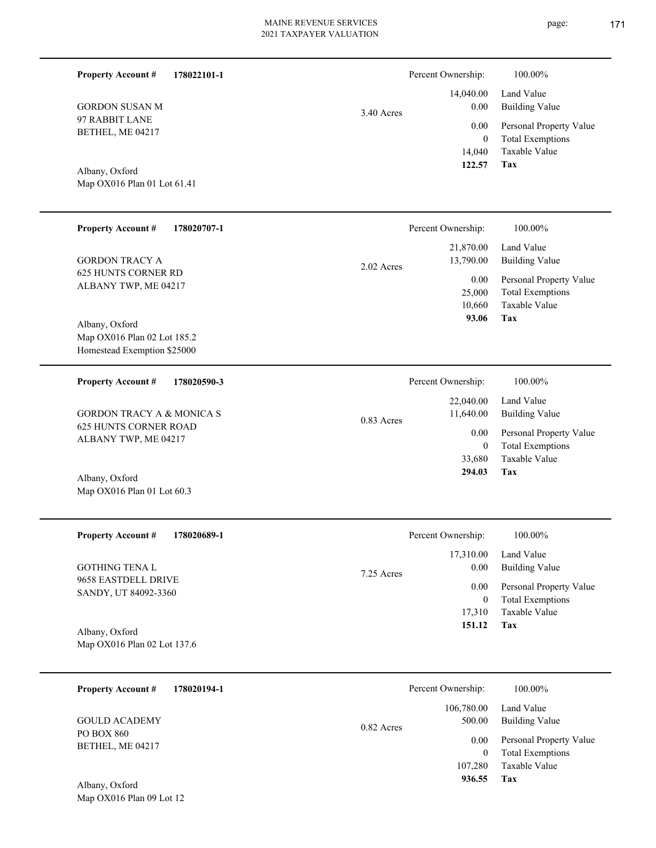| <b>Property Account #</b><br>178022101-1                                     |              | Percent Ownership:                           | 100.00%                                                                           |
|------------------------------------------------------------------------------|--------------|----------------------------------------------|-----------------------------------------------------------------------------------|
| <b>GORDON SUSAN M</b>                                                        | 3.40 Acres   | 14,040.00<br>0.00                            | Land Value<br><b>Building Value</b>                                               |
| 97 RABBIT LANE<br>BETHEL, ME 04217                                           |              | 0.00<br>$\boldsymbol{0}$<br>14,040<br>122.57 | Personal Property Value<br><b>Total Exemptions</b><br>Taxable Value<br><b>Tax</b> |
| Albany, Oxford<br>Map OX016 Plan 01 Lot 61.41                                |              |                                              |                                                                                   |
| <b>Property Account #</b><br>178020707-1                                     |              | Percent Ownership:                           | 100.00%                                                                           |
| <b>GORDON TRACY A</b>                                                        | 2.02 Acres   | 21,870.00<br>13,790.00                       | Land Value<br><b>Building Value</b>                                               |
| 625 HUNTS CORNER RD<br>ALBANY TWP, ME 04217                                  |              | 0.00<br>25,000<br>10,660<br>93.06            | Personal Property Value<br><b>Total Exemptions</b><br>Taxable Value<br>Tax        |
| Albany, Oxford<br>Map OX016 Plan 02 Lot 185.2<br>Homestead Exemption \$25000 |              |                                              |                                                                                   |
| <b>Property Account #</b><br>178020590-3                                     |              | Percent Ownership:                           | 100.00%                                                                           |
| <b>GORDON TRACY A &amp; MONICA S</b>                                         | $0.83$ Acres | 22,040.00<br>11,640.00                       | Land Value<br><b>Building Value</b>                                               |
| <b>625 HUNTS CORNER ROAD</b><br>ALBANY TWP, ME 04217                         |              | 0.00<br>$\overline{0}$<br>33,680             | Personal Property Value<br><b>Total Exemptions</b><br>Taxable Value               |
| Albany, Oxford<br>Map OX016 Plan 01 Lot 60.3                                 |              | 294.03                                       | Tax                                                                               |
| 178020689-1<br><b>Property Account #</b>                                     |              | Percent Ownership:                           | 100.00%                                                                           |
| GOTHING TENA L                                                               | 7.25 Acres   | 17,310.00<br>0.00                            | Land Value<br><b>Building Value</b>                                               |
| 9658 EASTDELL DRIVE<br>SANDY, UT 84092-3360                                  |              | 0.00<br>$\boldsymbol{0}$                     | Personal Property Value<br><b>Total Exemptions</b>                                |
| Albany, Oxford<br>Map OX016 Plan 02 Lot 137.6                                |              | 17,310<br>151.12                             | Taxable Value<br>Tax                                                              |
| <b>Property Account #</b><br>178020194-1                                     |              | Percent Ownership:                           | 100.00%                                                                           |
| <b>GOULD ACADEMY</b>                                                         |              | 106,780.00<br>500.00                         | Land Value<br><b>Building Value</b>                                               |
| PO BOX 860<br>BETHEL, ME 04217                                               | 0.82 Acres   | 0.00<br>$\overline{0}$<br>107,280<br>936.55  | Personal Property Value<br><b>Total Exemptions</b><br>Taxable Value<br>Tax        |
| Albany, Oxford<br>Map OX016 Plan 09 Lot 12                                   |              |                                              |                                                                                   |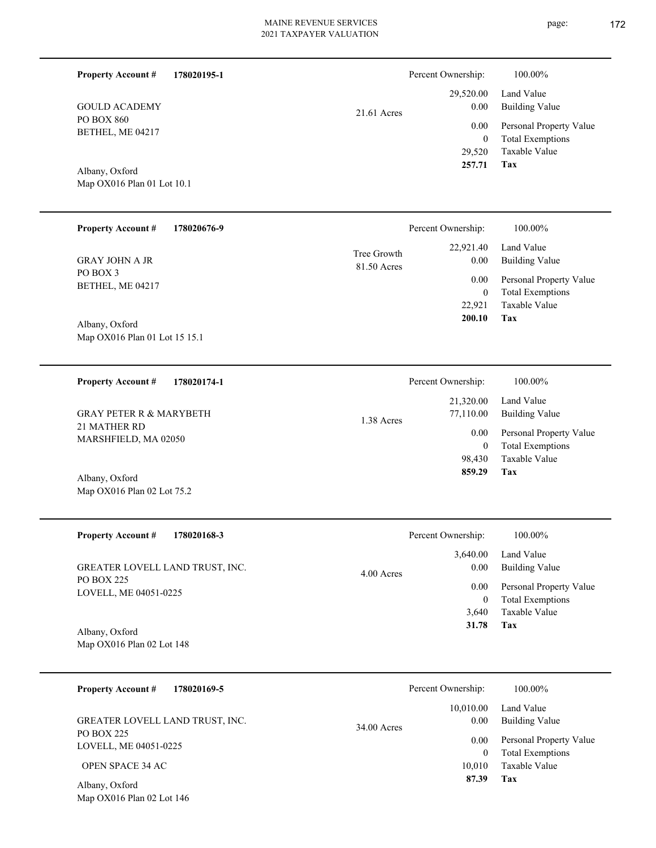21.61 Acres

Building Value Land Value

 29,520.00 0.00

Percent Ownership:  $100.00\%$ 

| PU BUA 800<br>BETHEL, ME 04217<br>Albany, Oxford<br>Map OX016 Plan 01 Lot 10.1 |                            | 0.00<br>$\boldsymbol{0}$<br>29,520<br>257.71 | Personal Property Value<br><b>Total Exemptions</b><br>Taxable Value<br>Tax |
|--------------------------------------------------------------------------------|----------------------------|----------------------------------------------|----------------------------------------------------------------------------|
| <b>Property Account #</b><br>178020676-9                                       |                            | Percent Ownership:                           | 100.00%                                                                    |
| <b>GRAY JOHN A JR</b>                                                          | Tree Growth<br>81.50 Acres | 22,921.40<br>0.00                            | Land Value<br><b>Building Value</b>                                        |
| PO BOX 3<br>BETHEL, ME 04217                                                   |                            | 0.00<br>$\boldsymbol{0}$<br>22,921<br>200.10 | Personal Property Value<br><b>Total Exemptions</b><br>Taxable Value<br>Tax |
| Albany, Oxford<br>Map OX016 Plan 01 Lot 15 15.1                                |                            |                                              |                                                                            |
| <b>Property Account #</b><br>178020174-1                                       |                            | Percent Ownership:                           | 100.00%                                                                    |
| <b>GRAY PETER R &amp; MARYBETH</b>                                             | 1.38 Acres                 | 21,320.00<br>77,110.00                       | Land Value<br><b>Building Value</b>                                        |
| 21 MATHER RD<br>MARSHFIELD, MA 02050                                           |                            | 0.00<br>$\boldsymbol{0}$<br>98,430<br>859.29 | Personal Property Value<br><b>Total Exemptions</b><br>Taxable Value<br>Tax |
| Albany, Oxford<br>Map OX016 Plan 02 Lot 75.2                                   |                            |                                              |                                                                            |
| <b>Property Account #</b><br>178020168-3                                       |                            | Percent Ownership:                           | 100.00%                                                                    |
| GREATER LOVELL LAND TRUST, INC.                                                | 4.00 Acres                 | 3,640.00<br>0.00                             | Land Value<br><b>Building Value</b>                                        |
| <b>PO BOX 225</b><br>LOVELL, ME 04051-0225                                     |                            | 0.00<br>$\overline{0}$<br>3,640              | Personal Property Value<br><b>Total Exemptions</b><br>Taxable Value        |
| Albany, Oxford<br>Map OX016 Plan 02 Lot 148                                    |                            | 31.78                                        | Tax                                                                        |
| <b>Property Account #</b><br>178020169-5                                       |                            | Percent Ownership:                           | 100.00%                                                                    |
| GREATER LOVELL LAND TRUST, INC.                                                | 34.00 Acres                | 10,010.00<br>0.00                            | Land Value<br><b>Building Value</b>                                        |
| <b>PO BOX 225</b>                                                              |                            |                                              |                                                                            |
| LOVELL, ME 04051-0225                                                          |                            | 0.00<br>$\overline{0}$                       | Personal Property Value                                                    |
| OPEN SPACE 34 AC                                                               |                            | 10,010                                       | <b>Total Exemptions</b><br>Taxable Value                                   |
| Albany, Oxford<br>Map OX016 Plan 02 Lot 146                                    |                            | 87.39                                        | Tax                                                                        |
|                                                                                |                            |                                              |                                                                            |

## **178020195-1 Property Account #**

PO BOX 860 BETHEL, ME 04217

GOULD ACADEMY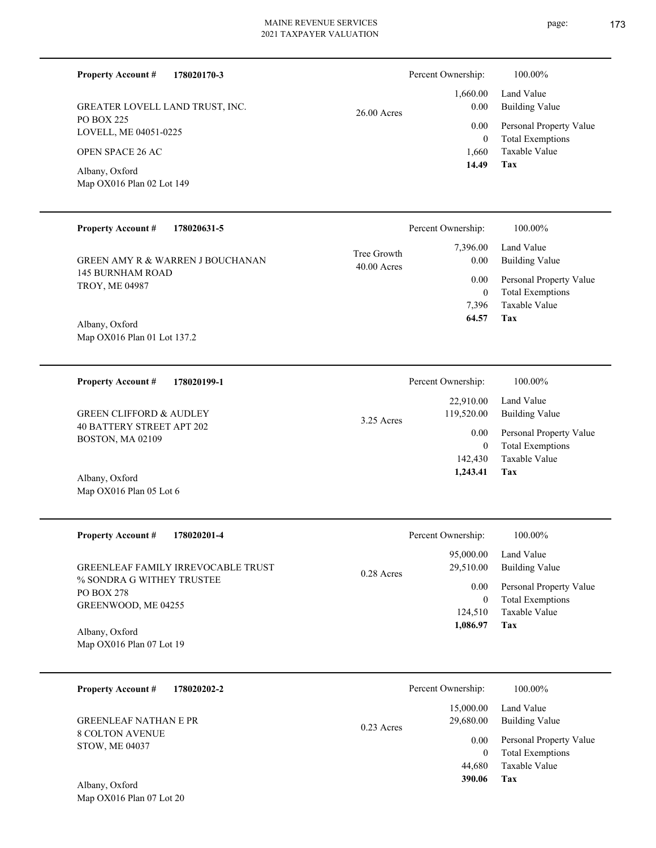| <b>Property Account #</b><br>178020170-3<br>GREATER LOVELL LAND TRUST, INC.<br><b>PO BOX 225</b><br>LOVELL, ME 04051-0225<br><b>OPEN SPACE 26 AC</b><br>Albany, Oxford<br>Map OX016 Plan 02 Lot 149   | 26.00 Acres                  | Percent Ownership:<br>1,660.00<br>0.00<br>0.00<br>$\bf{0}$<br>1,660<br>14.49                 | 100.00%<br>Land Value<br><b>Building Value</b><br>Personal Property Value<br><b>Total Exemptions</b><br>Taxable Value<br>Tax |
|-------------------------------------------------------------------------------------------------------------------------------------------------------------------------------------------------------|------------------------------|----------------------------------------------------------------------------------------------|------------------------------------------------------------------------------------------------------------------------------|
| <b>Property Account #</b><br>178020631-5<br><b>GREEN AMY R &amp; WARREN J BOUCHANAN</b><br><b>145 BURNHAM ROAD</b><br>TROY, ME 04987<br>Albany, Oxford<br>Map OX016 Plan 01 Lot 137.2                 | Tree Growth<br>$40.00$ Acres | Percent Ownership:<br>7,396.00<br>0.00<br>0.00<br>$\boldsymbol{0}$<br>7,396<br>64.57         | 100.00%<br>Land Value<br><b>Building Value</b><br>Personal Property Value<br><b>Total Exemptions</b><br>Taxable Value<br>Tax |
| <b>Property Account #</b><br>178020199-1<br><b>GREEN CLIFFORD &amp; AUDLEY</b><br><b>40 BATTERY STREET APT 202</b><br>BOSTON, MA 02109<br>Albany, Oxford<br>Map OX016 Plan 05 Lot 6                   | 3.25 Acres                   | Percent Ownership:<br>22,910.00<br>119,520.00<br>0.00<br>$\mathbf{0}$<br>142,430<br>1,243.41 | 100.00%<br>Land Value<br><b>Building Value</b><br>Personal Property Value<br><b>Total Exemptions</b><br>Taxable Value<br>Tax |
| <b>Property Account #</b><br>178020201-4<br>GREENLEAF FAMILY IRREVOCABLE TRUST<br>% SONDRA G WITHEY TRUSTEE<br><b>PO BOX 278</b><br>GREENWOOD, ME 04255<br>Albany, Oxford<br>Map OX016 Plan 07 Lot 19 | 0.28 Acres                   | Percent Ownership:<br>95,000.00<br>29,510.00<br>0.00<br>$\mathbf{0}$<br>124,510<br>1,086.97  | 100.00%<br>Land Value<br><b>Building Value</b><br>Personal Property Value<br><b>Total Exemptions</b><br>Taxable Value<br>Tax |
| <b>Property Account #</b><br>178020202-2<br><b>GREENLEAF NATHAN E PR</b><br><b>8 COLTON AVENUE</b><br>STOW, ME 04037<br>Albany, Oxford<br>Map OX016 Plan 07 Lot 20                                    | 0.23 Acres                   | Percent Ownership:<br>15,000.00<br>29,680.00<br>0.00<br>$\mathbf{0}$<br>44,680<br>390.06     | 100.00%<br>Land Value<br><b>Building Value</b><br>Personal Property Value<br><b>Total Exemptions</b><br>Taxable Value<br>Tax |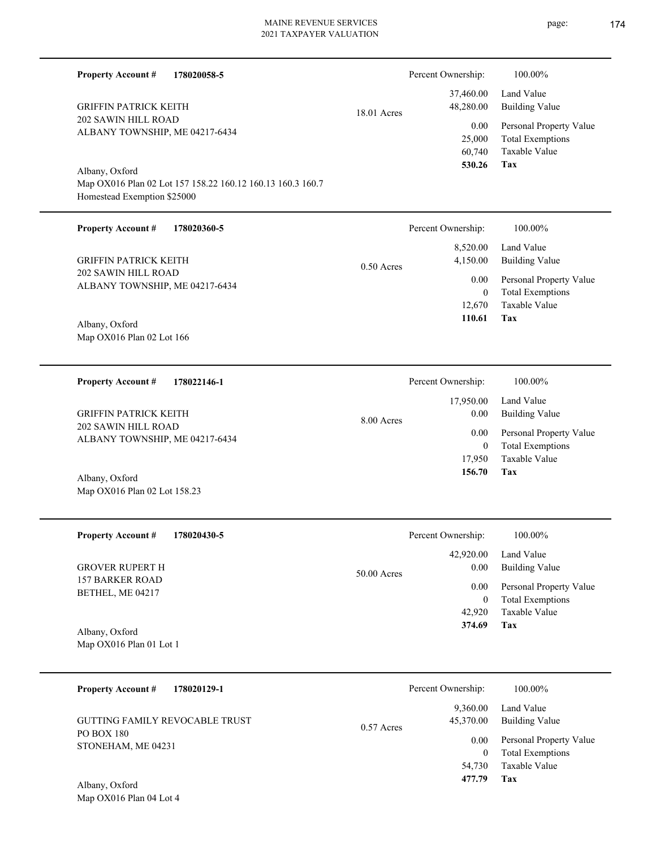| <b>Property Account #</b>                             | 178020058-5                                                |              | Percent Ownership:                         | 100.00%                                                                    |
|-------------------------------------------------------|------------------------------------------------------------|--------------|--------------------------------------------|----------------------------------------------------------------------------|
| <b>GRIFFIN PATRICK KEITH</b>                          |                                                            | 18.01 Acres  | 37,460.00<br>48,280.00                     | Land Value<br><b>Building Value</b>                                        |
| 202 SAWIN HILL ROAD<br>ALBANY TOWNSHIP, ME 04217-6434 |                                                            |              | 0.00<br>25,000<br>60,740<br>530.26         | Personal Property Value<br><b>Total Exemptions</b><br>Taxable Value<br>Tax |
| Albany, Oxford<br>Homestead Exemption \$25000         | Map OX016 Plan 02 Lot 157 158.22 160.12 160.13 160.3 160.7 |              |                                            |                                                                            |
| <b>Property Account #</b>                             | 178020360-5                                                |              | Percent Ownership:                         | 100.00%                                                                    |
| <b>GRIFFIN PATRICK KEITH</b>                          |                                                            | $0.50$ Acres | 8,520.00<br>4,150.00                       | Land Value<br><b>Building Value</b>                                        |
| 202 SAWIN HILL ROAD<br>ALBANY TOWNSHIP, ME 04217-6434 |                                                            |              | 0.00<br>$\overline{0}$<br>12,670<br>110.61 | Personal Property Value<br><b>Total Exemptions</b><br>Taxable Value<br>Tax |
| Albany, Oxford<br>Map OX016 Plan 02 Lot 166           |                                                            |              |                                            |                                                                            |
| <b>Property Account #</b>                             | 178022146-1                                                |              | Percent Ownership:                         | 100.00%                                                                    |
| <b>GRIFFIN PATRICK KEITH</b>                          |                                                            | 8.00 Acres   | 17,950.00<br>0.00                          | Land Value<br><b>Building Value</b>                                        |
| 202 SAWIN HILL ROAD<br>ALBANY TOWNSHIP, ME 04217-6434 |                                                            |              | 0.00<br>$\overline{0}$                     | Personal Property Value<br><b>Total Exemptions</b>                         |
| Albany, Oxford                                        |                                                            |              | 17,950<br>156.70                           | Taxable Value<br>Tax                                                       |
| Map OX016 Plan 02 Lot 158.23                          |                                                            |              |                                            |                                                                            |
| <b>Property Account #</b>                             | 178020430-5                                                |              | Percent Ownership:                         | $100.00\%$                                                                 |
| <b>GROVER RUPERT H</b>                                |                                                            | 50.00 Acres  | 42,920.00<br>$0.00\,$                      | Land Value<br><b>Building Value</b>                                        |
| <b>157 BARKER ROAD</b><br>BETHEL, ME 04217            |                                                            |              | $0.00\,$<br>$\mathbf{0}$<br>42,920         | Personal Property Value<br><b>Total Exemptions</b><br>Taxable Value        |
| Albany, Oxford<br>Map OX016 Plan 01 Lot 1             |                                                            |              | 374.69                                     | Tax                                                                        |
| <b>Property Account #</b>                             | 178020129-1                                                |              | Percent Ownership:                         | 100.00%                                                                    |
| <b>GUTTING FAMILY REVOCABLE TRUST</b>                 |                                                            |              | 9,360.00<br>45,370.00                      | Land Value<br><b>Building Value</b>                                        |
| PO BOX 180<br>STONEHAM, ME 04231                      |                                                            | 0.57 Acres   | 0.00<br>$\overline{0}$                     | Personal Property Value<br><b>Total Exemptions</b>                         |
| Albany, Oxford                                        |                                                            |              | 54,730<br>477.79                           | Taxable Value<br><b>Tax</b>                                                |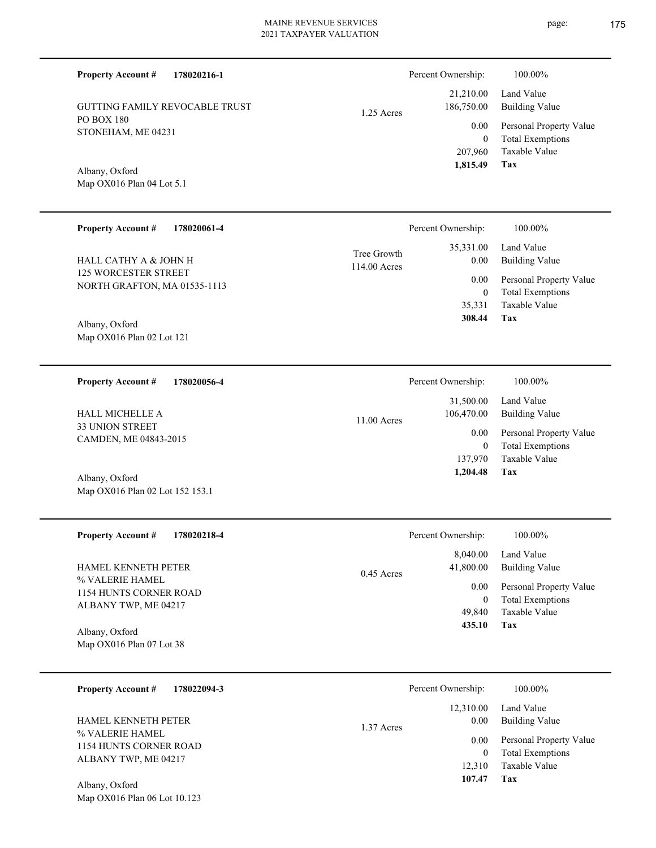**178020216-1**

GUTTING FAMILY REVOCABLE TRUST

PO BOX 180

Albany, Oxford

STONEHAM, ME 04231

Map OX016 Plan 04 Lot 5.1

**Property Account #**

1.25 Acres

| <b>Property Account #</b><br>178020061-4 |                             | Percent Ownership: | 100.00%                             |
|------------------------------------------|-----------------------------|--------------------|-------------------------------------|
| HALL CATHY A & JOHN H                    | Tree Growth<br>114.00 Acres | 35,331.00<br>0.00  | Land Value<br><b>Building Value</b> |
| <b>125 WORCESTER STREET</b>              |                             | 0.00               | Personal Property Value             |
| NORTH GRAFTON, MA 01535-1113             |                             | $\mathbf{0}$       | <b>Total Exemptions</b>             |
|                                          |                             | 35,331             | Taxable Value                       |
| Albany, Oxford                           |                             | 308.44             | Tax                                 |
| Map OX016 Plan 02 Lot 121                |                             |                    |                                     |
|                                          |                             |                    |                                     |
| <b>Property Account #</b><br>178020056-4 |                             | Percent Ownership: | 100.00%                             |
|                                          |                             | 31,500.00          | Land Value                          |
| <b>HALL MICHELLE A</b>                   |                             | 106,470.00         | <b>Building Value</b>               |
|                                          |                             |                    |                                     |
| <b>33 UNION STREET</b>                   | 11.00 Acres                 |                    |                                     |
| CAMDEN, ME 04843-2015                    |                             | 0.00               | Personal Property Value             |
|                                          |                             | $\mathbf{0}$       | <b>Total Exemptions</b>             |
|                                          |                             | 137,970            | Taxable Value                       |
| Albany, Oxford                           |                             | 1,204.48           | Tax                                 |

| <b>Property Account #</b><br>178020218-4                                | Percent Ownership:                            | 100.00%                                                                                   |
|-------------------------------------------------------------------------|-----------------------------------------------|-------------------------------------------------------------------------------------------|
| <b>HAMEL KENNETH PETER</b><br>% VALERIE HAMEL<br>1154 HUNTS CORNER ROAD | 8,040.00<br>41,800.00<br>$0.45$ Acres<br>0.00 | Land Value<br><b>Building Value</b><br>Personal Property Value<br><b>Total Exemptions</b> |
| ALBANY TWP, ME 04217<br>Albany, Oxford<br>Map $OX016$ Plan 07 Lot 38    | 49,840<br>435.10                              | Taxable Value<br>Tax                                                                      |

| <b>Property Account #</b><br>178022094-3                          | Percent Ownership:              | 100.00%                                                             |
|-------------------------------------------------------------------|---------------------------------|---------------------------------------------------------------------|
| <b>HAMEL KENNETH PETER</b>                                        | 12,310.00<br>0.00<br>1.37 Acres | Land Value<br>Building Value                                        |
| % VALERIE HAMEL<br>1154 HUNTS CORNER ROAD<br>ALBANY TWP, ME 04217 | 0.00<br>$\theta$<br>12.310      | Personal Property Value<br><b>Total Exemptions</b><br>Taxable Value |
| Albany, Oxford                                                    | 107.47                          | Tax                                                                 |

Map OX016 Plan 06 Lot 10.123

**Tax**

 207,960 0

0.00

Percent Ownership:  $100.00\%$ 

 21,210.00 186,750.00

 **1,815.49**

Taxable Value Total Exemptions Personal Property Value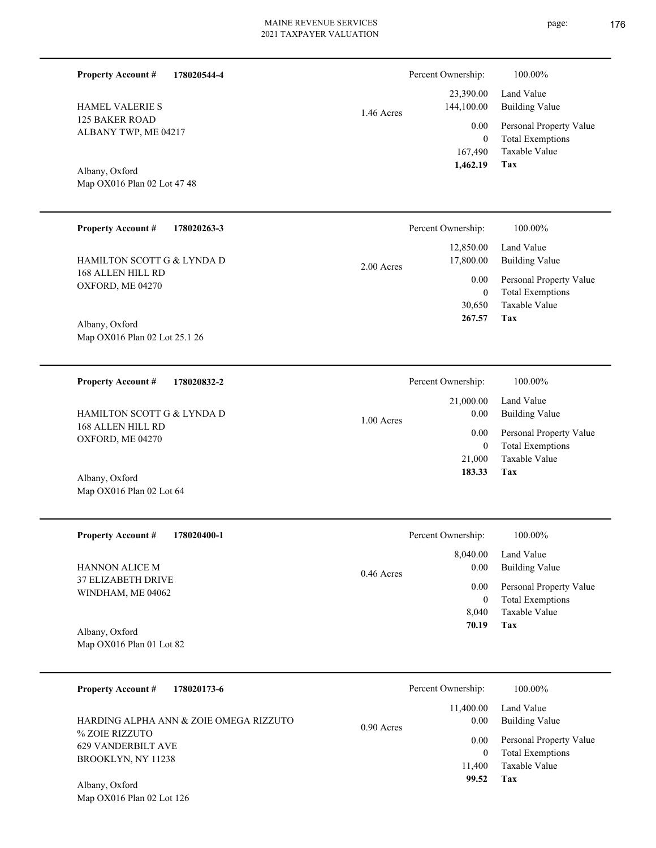1.46 Acres

**Tax** Taxable Value Total Exemptions Personal Property Value Building Value Land Value 167,490 0  **1,462.19** 23,390.00 144,100.00 0.00

Percent Ownership:  $100.00\%$ 

Map OX016 Plan 02 Lot 47 48 Albany, Oxford

125 BAKER ROAD ALBANY TWP, ME 04217

HAMEL VALERIE S

**Property Account #**

**178020544-4**

| <b>Property Account #</b><br>178020263-3        | Percent Ownership:      | 100.00%                 |
|-------------------------------------------------|-------------------------|-------------------------|
|                                                 | 12,850.00               | Land Value              |
| HAMILTON SCOTT G & LYNDA D<br>168 ALLEN HILL RD | 17,800.00<br>2.00 Acres | <b>Building Value</b>   |
|                                                 | 0.00                    | Personal Property Value |
| OXFORD, ME 04270                                | $\theta$                | <b>Total Exemptions</b> |
|                                                 | 30,650                  | Taxable Value           |
| Albany, Oxford                                  | 267.57                  | Tax                     |
| Map OX016 Plan 02 Lot 25.1 26                   |                         |                         |
|                                                 |                         |                         |

**178020832-2 Tax** Taxable Value Total Exemptions Personal Property Value Building Value Land Value 168 ALLEN HILL RD OXFORD, ME 04270 **Property Account #** Albany, Oxford HAMILTON SCOTT G & LYNDA D 21,000 0  **183.33** 21,000.00 0.00 0.00 1.00 Acres Percent Ownership:  $100.00\%$ 

| <b>Property Account #</b><br>178020400-1                                | Percent Ownership:   | 100.00%                 |
|-------------------------------------------------------------------------|----------------------|-------------------------|
|                                                                         | 8,040.00             | Land Value              |
| <b>HANNON ALICE M</b><br><b>37 ELIZABETH DRIVE</b><br>WINDHAM, ME 04062 | 0.00<br>$0.46$ Acres | Building Value          |
|                                                                         | 0.00                 | Personal Property Value |
|                                                                         | $\overline{0}$       | <b>Total Exemptions</b> |
|                                                                         | 8.040                | Taxable Value           |
| Albany, Oxford                                                          | 70.19                | Tax                     |
| Map $OX016$ Plan 01 Lot 82                                              |                      |                         |

| <b>Property Account #</b><br>178020173-6                                                                                      | Percent Ownership:                                                | 100.00%                                                                                                    |
|-------------------------------------------------------------------------------------------------------------------------------|-------------------------------------------------------------------|------------------------------------------------------------------------------------------------------------|
| HARDING ALPHA ANN & ZOIE OMEGA RIZZUTO<br>% ZOJE RIZZUTO<br><b>629 VANDERBILT AVE</b><br>BROOKLYN, NY 11238<br>Albany, Oxford | 11,400.00<br>0.00<br>$0.90$ Acres<br>0.00<br>0<br>11,400<br>99.52 | Land Value<br>Building Value<br>Personal Property Value<br><b>Total Exemptions</b><br>Taxable Value<br>Tax |

Map OX016 Plan 02 Lot 126

Map OX016 Plan 02 Lot 64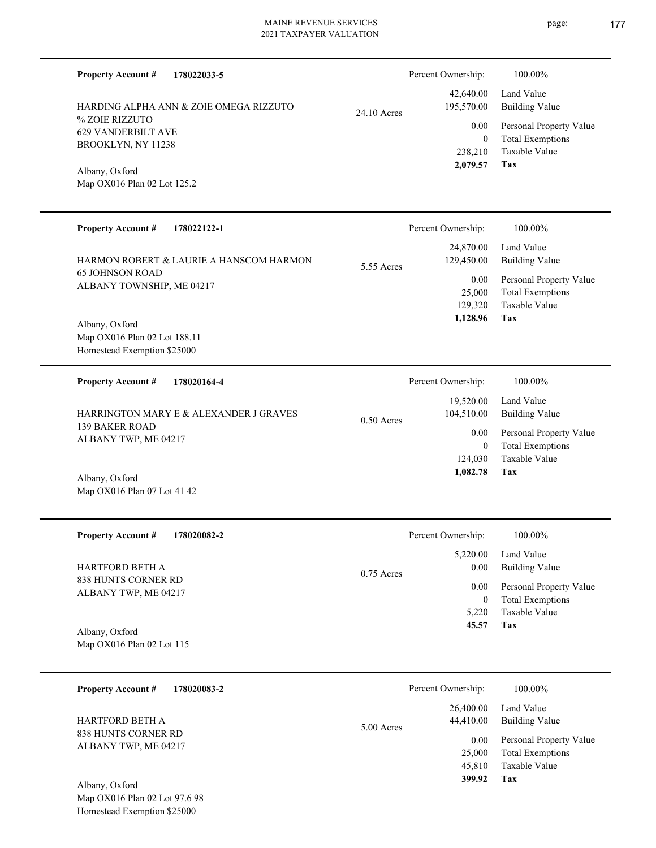| <b>Property Account #</b><br>178022033-5    |              | Percent Ownership:      | 100.00%                             |
|---------------------------------------------|--------------|-------------------------|-------------------------------------|
| HARDING ALPHA ANN & ZOIE OMEGA RIZZUTO      | 24.10 Acres  | 42,640.00<br>195,570.00 | Land Value<br><b>Building Value</b> |
| % ZOIE RIZZUTO<br><b>629 VANDERBILT AVE</b> |              | $0.00\,$                | Personal Property Value             |
| BROOKLYN, NY 11238                          |              | $\boldsymbol{0}$        | <b>Total Exemptions</b>             |
|                                             |              | 238,210                 | Taxable Value                       |
| Albany, Oxford                              |              | 2,079.57                | Tax                                 |
| Map OX016 Plan 02 Lot 125.2                 |              |                         |                                     |
|                                             |              |                         |                                     |
| <b>Property Account #</b><br>178022122-1    |              | Percent Ownership:      | 100.00%                             |
| HARMON ROBERT & LAURIE A HANSCOM HARMON     |              | 24,870.00<br>129,450.00 | Land Value<br><b>Building Value</b> |
| <b>65 JOHNSON ROAD</b>                      | 5.55 Acres   | 0.00                    | Personal Property Value             |
| ALBANY TOWNSHIP, ME 04217                   |              | 25,000                  | <b>Total Exemptions</b>             |
|                                             |              | 129,320                 | <b>Taxable Value</b>                |
| Albany, Oxford                              |              | 1,128.96                | Tax                                 |
| Map OX016 Plan 02 Lot 188.11                |              |                         |                                     |
| Homestead Exemption \$25000                 |              |                         |                                     |
| <b>Property Account #</b><br>178020164-4    |              | Percent Ownership:      | 100.00%                             |
| HARRINGTON MARY E & ALEXANDER J GRAVES      |              | 19,520.00<br>104,510.00 | Land Value<br><b>Building Value</b> |
| <b>139 BAKER ROAD</b>                       | $0.50$ Acres | $0.00\,$                | Personal Property Value             |
| ALBANY TWP, ME 04217                        |              | $\overline{0}$          | <b>Total Exemptions</b>             |
|                                             |              | 124,030                 | Taxable Value                       |
| Albany, Oxford                              |              | 1,082.78                | Tax                                 |
| Map OX016 Plan 07 Lot 41 42                 |              |                         |                                     |
|                                             |              |                         |                                     |
| <b>Property Account #</b><br>178020082-2    |              | Percent Ownership:      | 100.00%                             |
|                                             |              | 5,220.00                | Land Value                          |
| <b>HARTFORD BETH A</b>                      | $0.75$ Acres | 0.00                    | <b>Building Value</b>               |
| 838 HUNTS CORNER RD<br>ALBANY TWP, ME 04217 |              | 0.00                    | Personal Property Value             |
|                                             |              | $\boldsymbol{0}$        | <b>Total Exemptions</b>             |
|                                             |              | 5,220                   | Taxable Value                       |
| Albany, Oxford                              |              | 45.57                   | Tax                                 |
| Map OX016 Plan 02 Lot 115                   |              |                         |                                     |
| <b>Property Account #</b><br>178020083-2    |              | Percent Ownership:      | 100.00%                             |
|                                             |              | 26,400.00               | Land Value                          |
| HARTFORD BETH A                             |              | 44,410.00               | <b>Building Value</b>               |
| 838 HUNTS CORNER RD                         | 5.00 Acres   | 0.00                    | Personal Property Value             |
| ALBANY TWP, ME 04217                        |              | 25.000                  | Total Examptions                    |

**Tax**

 45,810 25,000

 **399.92**

Taxable Value Total Exemptions

Map OX016 Plan 02 Lot 97.6 98 Homestead Exemption \$25000 Albany, Oxford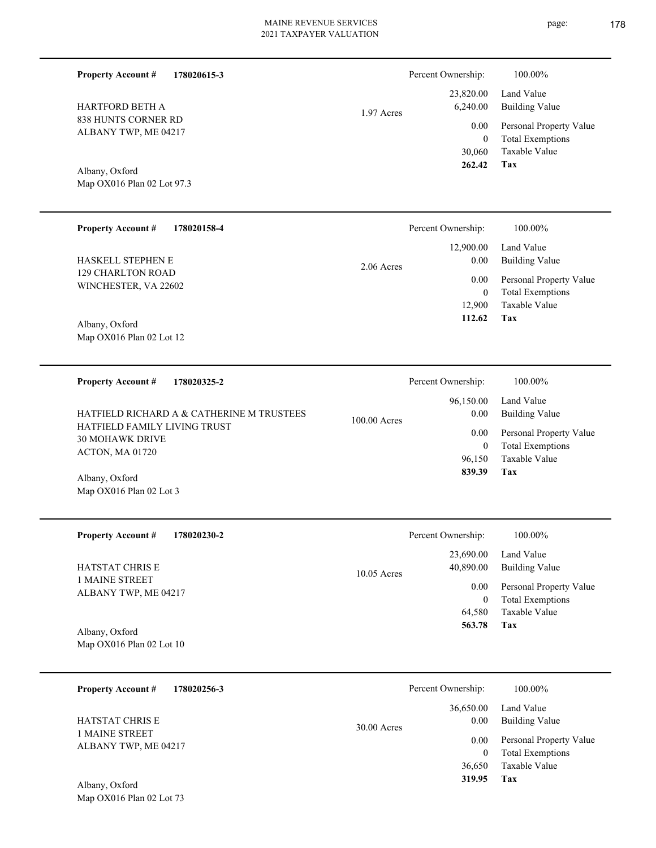1.97 Acres

838 HUNTS CORNER RD ALBANY TWP, ME 04217 HARTFORD BETH A

**Property Account #**

**178020615-3**

Map OX016 Plan 02 Lot 97.3 Albany, Oxford

| <b>Property Account #</b><br>178020158-4  | Percent Ownership: | 100.00%                 |
|-------------------------------------------|--------------------|-------------------------|
|                                           | 12,900.00          | Land Value              |
| <b>HASKELL STEPHEN E</b>                  | 0.00<br>2.06 Acres | <b>Building Value</b>   |
| 129 CHARLTON ROAD<br>WINCHESTER, VA 22602 | 0.00               | Personal Property Value |
|                                           | $\overline{0}$     | <b>Total Exemptions</b> |
|                                           | 12.900             | Taxable Value           |
| Albany, Oxford                            | 112.62             | Tax                     |
| Map $OX016$ Plan 02 Lot 12                |                    |                         |

**178020325-2 Tax** Taxable Value Total Exemptions Personal Property Value Building Value Land Value HATFIELD FAMILY LIVING TRUST 30 MOHAWK DRIVE ACTON, MA 01720 **Property Account #** Albany, Oxford HATFIELD RICHARD A & CATHERINE M TRUSTEES 96,150 0  **839.39** 96,150.00 0.00 0.00 100.00 Acres Percent Ownership:  $100.00\%$ 

| <b>Property Account #</b><br>178020230-2 | Percent Ownership:                      | 100.00%                                            |
|------------------------------------------|-----------------------------------------|----------------------------------------------------|
| <b>HATSTAT CHRIS E</b>                   | 23,690.00<br>40,890.00<br>$10.05$ Acres | Land Value<br>Building Value                       |
| 1 MAINE STREET<br>ALBANY TWP, ME 04217   | 0.00<br>$\theta$                        | Personal Property Value<br><b>Total Exemptions</b> |
|                                          | 64,580                                  | Taxable Value                                      |
| Albany, Oxford                           | 563.78                                  | Tax                                                |
| Map $OX016$ Plan 02 Lot 10               |                                         |                                                    |

| 178020256-3<br><b>Property Account #</b>                         | Percent Ownership:                 | 100.00%                                            |
|------------------------------------------------------------------|------------------------------------|----------------------------------------------------|
| <b>HATSTAT CHRIS E</b><br>1 MAINE STREET<br>ALBANY TWP, ME 04217 | 36,650.00<br>0.00<br>$30.00$ Acres | Land Value<br>Building Value                       |
|                                                                  | 0.00<br>0                          | Personal Property Value<br><b>Total Exemptions</b> |
| Albany, Oxford                                                   | 36,650<br>319.95                   | Taxable Value<br>Tax                               |

Map OX016 Plan 02 Lot 73

Map OX016 Plan 02 Lot 3

Percent Ownership:  $100.00\%$ 

| 6,240.00         | 23,820.00 Land Value<br>Building Value             |
|------------------|----------------------------------------------------|
| 0.00<br>$\theta$ | Personal Property Value<br><b>Total Exemptions</b> |
|                  | 30,060 Taxable Value                               |
| 262.42           | Tax                                                |

| Percent Ownership: | 100.00%                                |
|--------------------|----------------------------------------|
| $0.00\,$           | 96,150.00 Land Value<br>Building Value |
| $0.00\,$           | Personal Property Value                |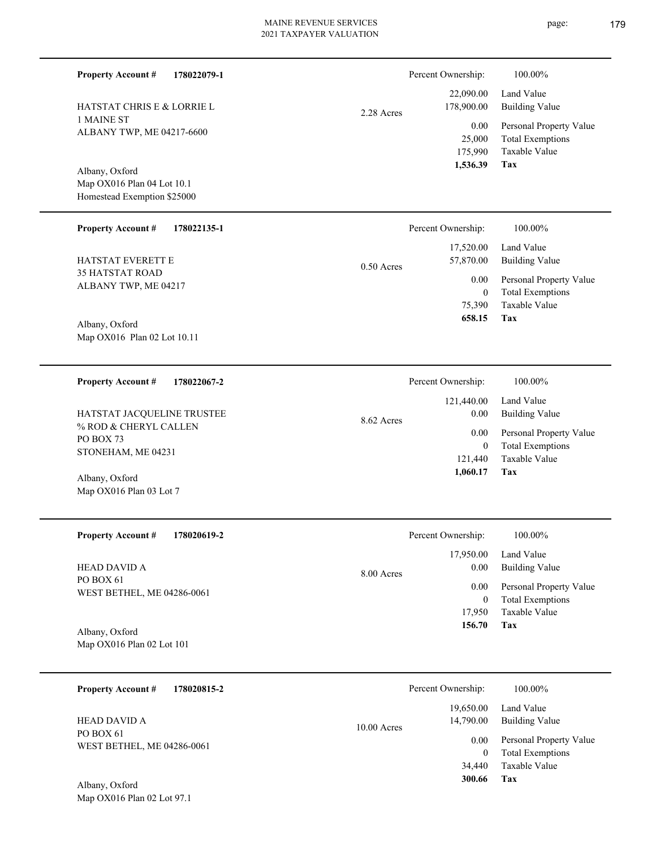| Land Value<br><b>Building Value</b><br>Personal Property Value<br><b>Total Exemptions</b><br>Taxable Value<br><b>Tax</b> |
|--------------------------------------------------------------------------------------------------------------------------|
| 100.00%<br>Land Value<br><b>Building Value</b>                                                                           |
| Personal Property Value<br><b>Total Exemptions</b><br>Taxable Value<br>Tax                                               |
| 100.00%<br>Land Value<br><b>Building Value</b>                                                                           |
| Personal Property Value<br><b>Total Exemptions</b><br>Taxable Value<br>Tax                                               |
| 100.00%                                                                                                                  |
| Land Value<br><b>Building Value</b>                                                                                      |
| Personal Property Value<br><b>Total Exemptions</b><br>Taxable Value<br>Tax                                               |
| 100.00%                                                                                                                  |
| Land Value<br><b>Building Value</b>                                                                                      |
|                                                                                                                          |
|                                                                                                                          |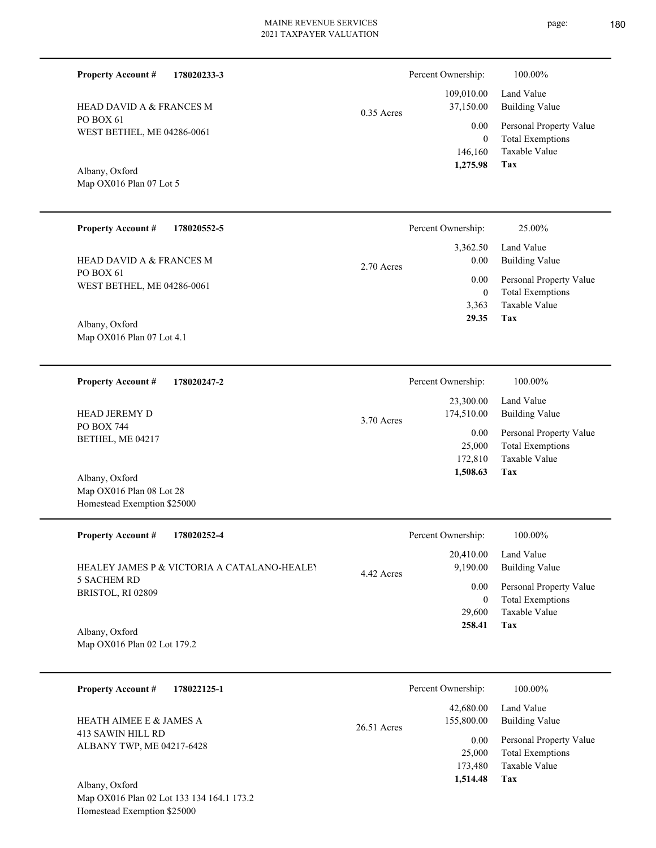| 178020552-5 | Percent Ownership: | 25.00%      |
|-------------|--------------------|-------------|
| $5^{\circ}$ |                    |             |
|             | 1,275.98           | Tax         |
|             | 146,160            | Taxable Val |
|             | U                  | Total Exemp |

2.70 Acres

PO BOX 61 WEST BETHEL, ME 04286-0061 HEAD DAVID A & FRANCES M

WEST BETHEL, ME 04286-0061

HEAD DAVID A & FRANCES M

Map OX016 Plan 07 Lot 5

**Property Account #**

**178020233-3**

Map OX016 Plan 07 Lot 4.1 Albany, Oxford

PO BOX 61

Albany, Oxford

**Property Account #**

**178020247-2 Property Account #**

PO BOX 744 BETHEL, ME 04217 HEAD JEREMY D

Map OX016 Plan 08 Lot 28 Homestead Exemption \$25000 Albany, Oxford

| <b>Property Account #</b><br>178020252-4                                        | Percent Ownership:                  | 100.00%                             |
|---------------------------------------------------------------------------------|-------------------------------------|-------------------------------------|
| HEALEY JAMES P & VICTORIA A CATALANO-HEALEY<br>5 SACHEM RD<br>BRISTOL, RI 02809 | 20,410.00<br>9,190.00<br>4.42 Acres | Land Value<br><b>Building Value</b> |
|                                                                                 | 0.00                                | Personal Property Value             |
|                                                                                 | 0                                   | <b>Total Exemptions</b>             |
|                                                                                 | 29,600                              | Taxable Value                       |
| Albany, Oxford                                                                  | 258.41                              | Tax                                 |

Map OX016 Plan 02 Lot 179.2

| 178022125-1<br><b>Property Account #</b>                                  | Percent Ownership:                       | 100.00%                                            |
|---------------------------------------------------------------------------|------------------------------------------|----------------------------------------------------|
| HEATH AIMEE E & JAMES A<br>413 SAWIN HILL RD<br>ALBANY TWP, ME 04217-6428 | 42,680.00<br>155,800.00<br>$26.51$ Acres | Land Value<br>Building Value                       |
|                                                                           | 0.00<br>25,000                           | Personal Property Value<br><b>Total Exemptions</b> |
| Albany, Oxford                                                            | 173,480<br>1,514.48                      | Taxable Value<br>Tax                               |

Map OX016 Plan 02 Lot 133 134 164.1 173.2 Homestead Exemption \$25000

|              | Percent Ownership:    | 100.00%                 |
|--------------|-----------------------|-------------------------|
|              | 109,010.00 Land Value |                         |
| $0.35$ Acres | 37,150.00             | Building Value          |
|              | 0.00                  | Personal Property Value |
|              | $\theta$              | <b>Total Exemptions</b> |
|              |                       | 146,160 Taxable Value   |
|              | 1,275.98              | Tax                     |

|            | Percent Ownership: | 100.00%                 |
|------------|--------------------|-------------------------|
|            | 23,300.00          | Land Value              |
| 3.70 Acres | 174,510.00         | <b>Building Value</b>   |
|            | 0.00               | Personal Property Value |
|            | 25,000             | <b>Total Exemptions</b> |
|            | 172,810            | Taxable Value           |
|            | 1,508.63           | Tax                     |

**Tax**

 3,363  $\boldsymbol{0}$ 

 3,362.50 0.00 0.00

 **29.35**

Taxable Value Total Exemptions Personal Property Value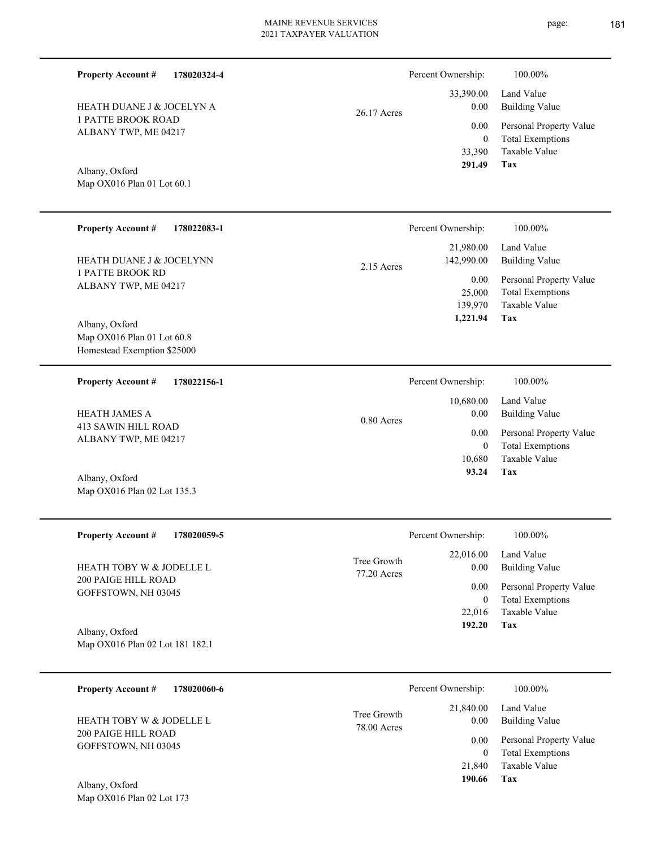Percent Ownership:  $100.00\%$ 

|               | $\mathbf{r}$ erective $\mathbf{r}$ where $\mathbf{r}$ | 1 0 0 1 0 0 7 0              |
|---------------|-------------------------------------------------------|------------------------------|
|               |                                                       | 33,390.00 Land Value         |
| $26.17$ Acres | 0.00                                                  | Building Value               |
|               |                                                       | 0.00 Personal Property Value |
|               | $\theta$                                              | <b>Total Exemptions</b>      |
|               |                                                       | 33,390 Taxable Value         |
|               | 291.49                                                | Tax                          |

**Tax 93.24**

ALBANY TWP, ME 04217

HEATH DUANE J & JOCELYN A

1 PATTE BROOK ROAD

**Property Account #**

**178020324-4**

Map OX016 Plan 01 Lot 60.1 Albany, Oxford

| <b>Property Account #</b><br>178022083-1<br><b>HEATH DUANE J &amp; JOCELYNN</b><br>1 PATTE BROOK RD<br>ALBANY TWP, ME 04217 | Percent Ownership:<br>100.00%<br>21,980.00<br>Land Value<br>142,990.00<br><b>Building Value</b><br>$2.15$ Acres<br>$0.00\,$<br>Personal Property Value |  |
|-----------------------------------------------------------------------------------------------------------------------------|--------------------------------------------------------------------------------------------------------------------------------------------------------|--|
| Albany, Oxford<br>Map $OX016$ Plan 01 Lot 60.8<br>Homestead Exemption \$25000                                               | <b>Total Exemptions</b><br>25,000<br>Taxable Value<br>139,970<br>Tax<br>1,221.94                                                                       |  |
| <b>Property Account #</b><br>178022156-1                                                                                    | Percent Ownership:<br>100.00%                                                                                                                          |  |
|                                                                                                                             | 10,680.00<br>Land Value                                                                                                                                |  |
| <b>HEATH JAMES A</b>                                                                                                        | 0.00<br><b>Building Value</b><br>$0.80$ Acres                                                                                                          |  |
| 413 SAWIN HILL ROAD                                                                                                         | 0.00<br>Personal Property Value                                                                                                                        |  |
| ALBANY TWP, ME 04217                                                                                                        | <b>Total Exemptions</b><br>$\left($                                                                                                                    |  |
|                                                                                                                             | Taxable Value<br>10,680                                                                                                                                |  |

Map OX016 Plan 02 Lot 135.3 Albany, Oxford

| <b>Property Account #</b><br>178020059-5        | Percent Ownership:         |                   | 100.00%                             |
|-------------------------------------------------|----------------------------|-------------------|-------------------------------------|
| HEATH TOBY W & JODELLE L<br>200 PAIGE HILL ROAD | Tree Growth<br>77.20 Acres | 22,016.00<br>0.00 | Land Value<br><b>Building Value</b> |
|                                                 |                            | 0.00              | Personal Property Value             |
| GOFFSTOWN, NH 03045                             |                            | $\mathbf{0}$      | <b>Total Exemptions</b>             |
|                                                 |                            | 22,016            | Taxable Value                       |
| Albany, Oxford                                  |                            | 192.20            | Tax                                 |
| Map OX016 Plan 02 Lot 181 182.1                 |                            |                   |                                     |

| <b>Property Account #</b><br>178020060-6                   |                            | Percent Ownership:        | 100.00%                                                 |
|------------------------------------------------------------|----------------------------|---------------------------|---------------------------------------------------------|
| <b>HEATH TOBY W &amp; JODELLE L</b><br>200 PAIGE HILL ROAD | Tree Growth<br>78.00 Acres | 21,840.00<br>0.00<br>0.00 | Land Value<br>Building Value<br>Personal Property Value |
| GOFFSTOWN, NH 03045                                        |                            | 21,840                    | <b>Total Exemptions</b><br>Taxable Value                |
| Albany, Oxford                                             |                            | 190.66                    | Tax                                                     |

Map OX016 Plan 02 Lot 173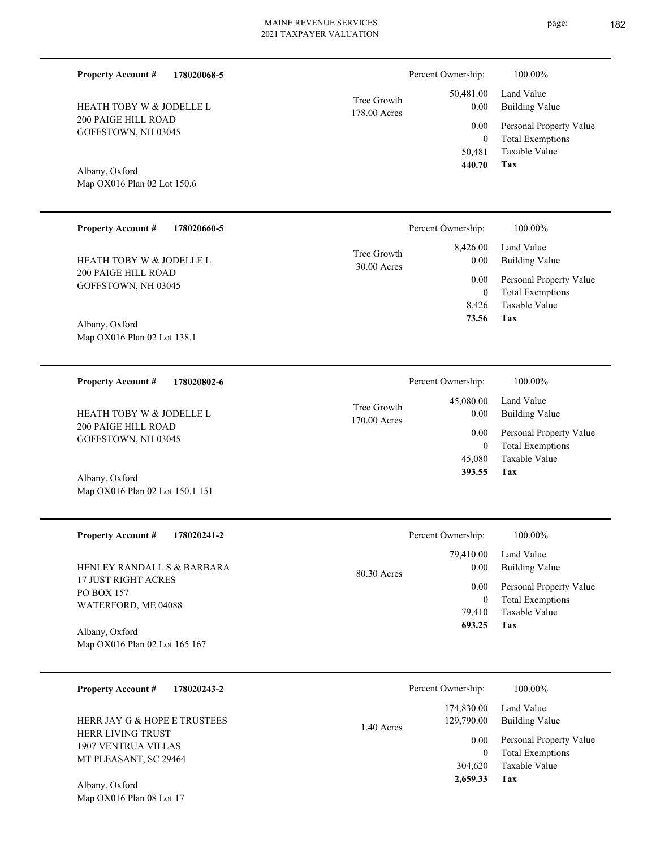| Tree Growth  |
|--------------|
| 178.00 Acres |
|              |

Map OX016 Plan 02 Lot 150.6 Albany, Oxford

Map OX016 Plan 02 Lot 150.1 151

200 PAIGE HILL ROAD GOFFSTOWN, NH 03045

HEATH TOBY W & JODELLE L

**Property Account #**

**178020068-5**

| <b>Property Account #</b><br>178020660-5        | Percent Ownership:                               | 100.00%                                            |
|-------------------------------------------------|--------------------------------------------------|----------------------------------------------------|
| HEATH TOBY W & JODELLE L<br>200 PAIGE HILL ROAD | 8,426.00<br>Tree Growth<br>0.00<br>$30.00$ Acres | Land Value<br><b>Building Value</b>                |
| GOFFSTOWN, NH 03045                             | 0.00<br>$\mathbf{0}$                             | Personal Property Value<br><b>Total Exemptions</b> |
|                                                 | 8,426                                            | Taxable Value                                      |
| Albany, Oxford<br>Map OX016 Plan 02 Lot 138.1   | 73.56                                            | Tax                                                |

| 178020802-6<br><b>Property Account #</b>   | Percent Ownership:                       | 100.00%                              |
|--------------------------------------------|------------------------------------------|--------------------------------------|
| HEATH TOBY W & JODELLE L                   | 45,080.00<br>Tree Growth<br>170.00 Acres | Land Value<br>Building Value<br>0.00 |
| 200 PAIGE HILL ROAD<br>GOFFSTOWN, NH 03045 |                                          | Personal Property Value<br>0.00      |
|                                            |                                          | <b>Total Exemptions</b><br>0         |
|                                            | 45,080                                   | Taxable Value                        |
| Albany, Oxford                             | 393.55                                   | Tax                                  |

| <b>Property Account #</b><br>178020241-2          | Percent Ownership:  | 100.00%                 |
|---------------------------------------------------|---------------------|-------------------------|
|                                                   | 79.410.00           | Land Value              |
| HENLEY RANDALL S & BARBARA<br>17 JUST RIGHT ACRES | 0.00<br>80.30 Acres | <b>Building Value</b>   |
| <b>PO BOX 157</b>                                 | 0.00                | Personal Property Value |
| WATERFORD, ME 04088                               | $\bf{0}$            | <b>Total Exemptions</b> |
|                                                   | 79.410              | Taxable Value           |
| Albany, Oxford                                    | 693.25              | Tax                     |
| Map OX016 Plan 02 Lot 165 167                     |                     |                         |

| 178020243-2<br><b>Property Account #</b>                                                                        | Percent Ownership:                                             | 100.00%                                                                                             |
|-----------------------------------------------------------------------------------------------------------------|----------------------------------------------------------------|-----------------------------------------------------------------------------------------------------|
| HERR JAY G & HOPE E TRUSTEES<br><b>HERR LIVING TRUST</b><br><b>1907 VENTRUA VILLAS</b><br>MT PLEASANT, SC 29464 | 174,830.00<br>129,790.00<br>1.40 Acres<br>0.00<br>0<br>304,620 | Land Value<br>Building Value<br>Personal Property Value<br><b>Total Exemptions</b><br>Taxable Value |
| Albany, Oxford                                                                                                  | 2,659.33                                                       | Tax                                                                                                 |

Map OX016 Plan 08 Lot 17

**Tax**

 50,481 0

 50,481.00 0.00 0.00

Percent Ownership:  $100.00\%$ 

 **440.70**

Taxable Value Total Exemptions Personal Property Value

Building Value Land Value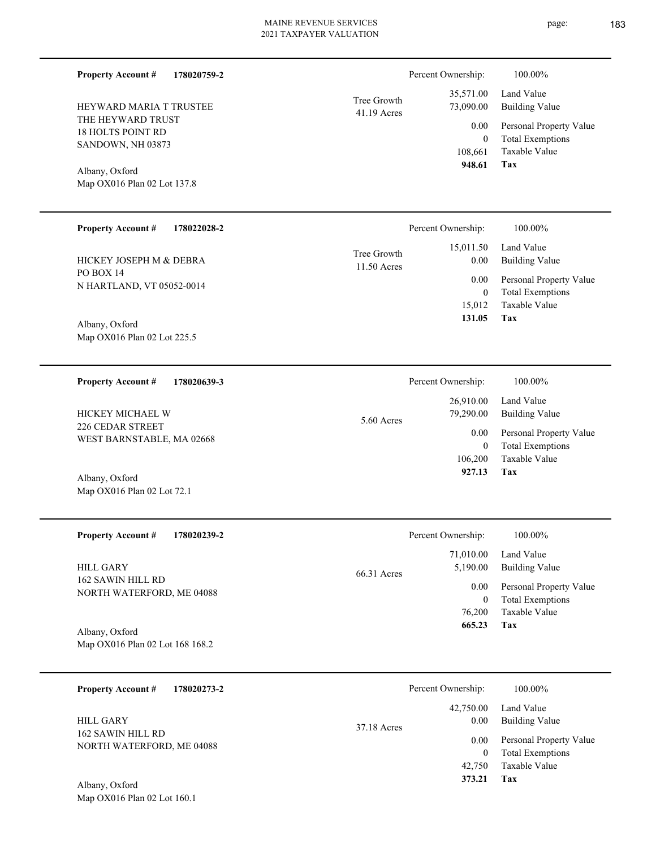| <b>Property Account #</b><br>178020759-2       |                            | Percent Ownership:         | 100.00%                                            |
|------------------------------------------------|----------------------------|----------------------------|----------------------------------------------------|
| <b>HEYWARD MARIA T TRUSTEE</b>                 | Tree Growth<br>41.19 Acres | 35,571.00<br>73,090.00     | Land Value<br><b>Building Value</b>                |
| THE HEYWARD TRUST<br><b>18 HOLTS POINT RD</b>  |                            | 0.00<br>$\mathbf{0}$       | Personal Property Value<br><b>Total Exemptions</b> |
| SANDOWN, NH 03873                              |                            | 108,661<br>948.61          | Taxable Value                                      |
| Albany, Oxford<br>Map OX016 Plan 02 Lot 137.8  |                            |                            | Tax                                                |
|                                                |                            |                            |                                                    |
| <b>Property Account #</b><br>178022028-2       |                            | Percent Ownership:         | 100.00%                                            |
| HICKEY JOSEPH M & DEBRA                        | Tree Growth<br>11.50 Acres | 15,011.50<br>0.00          | Land Value<br><b>Building Value</b>                |
| PO BOX 14<br>N HARTLAND, VT 05052-0014         |                            | 0.00                       | Personal Property Value                            |
|                                                |                            | $\boldsymbol{0}$<br>15,012 | <b>Total Exemptions</b><br>Taxable Value           |
| Albany, Oxford<br>Map OX016 Plan 02 Lot 225.5  |                            | 131.05                     | Tax                                                |
|                                                |                            |                            |                                                    |
| <b>Property Account #</b><br>178020639-3       |                            | Percent Ownership:         | 100.00%                                            |
| HICKEY MICHAEL W                               | 5.60 Acres                 | 26,910.00<br>79,290.00     | Land Value<br><b>Building Value</b>                |
| 226 CEDAR STREET<br>WEST BARNSTABLE, MA 02668  |                            | 0.00                       | Personal Property Value                            |
|                                                |                            | $\mathbf{0}$<br>106,200    | <b>Total Exemptions</b><br>Taxable Value           |
| Albany, Oxford<br>Map OX016 Plan 02 Lot 72.1   |                            | 927.13                     | Tax                                                |
|                                                |                            |                            |                                                    |
| <b>Property Account #</b><br>178020239-2       |                            | Percent Ownership:         | 100.00%                                            |
| <b>HILL GARY</b>                               |                            | 71,010.00<br>5,190.00      | Land Value<br><b>Building Value</b>                |
| 162 SAWIN HILL RD<br>NORTH WATERFORD, ME 04088 | 66.31 Acres                | 0.00                       | Personal Property Value                            |
|                                                |                            | $\overline{0}$<br>76,200   | <b>Total Exemptions</b><br>Taxable Value           |
| Albany, Oxford                                 |                            | 665.23                     | Tax                                                |
| Map OX016 Plan 02 Lot 168 168.2                |                            |                            |                                                    |
| <b>Property Account #</b><br>178020273-2       |                            | Percent Ownership:         | 100.00%                                            |
| <b>HILL GARY</b>                               |                            | 42,750.00<br>0.00          | Land Value<br><b>Building Value</b>                |
| 162 SAWIN HILL RD<br>NORTH WATERFORD, ME 04088 | 37.18 Acres                | 0.00                       | Personal Property Value                            |
|                                                |                            | $\overline{0}$             | <b>Total Exemptions</b>                            |

**Tax 373.21**

42,750 Taxable Value

Map OX016 Plan 02 Lot 160.1 Albany, Oxford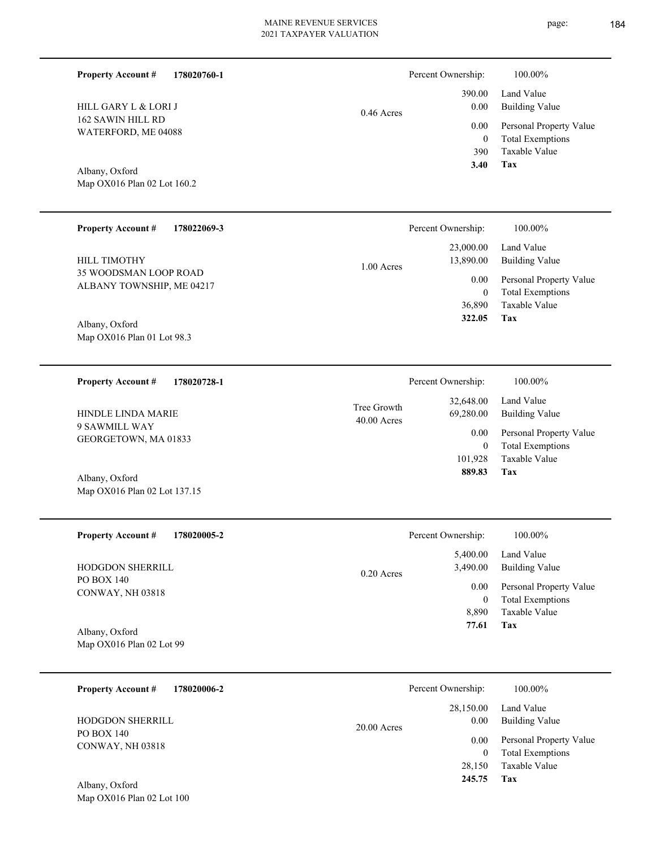page: 184

| <b>Property Account #</b><br>178020760-1       |                              | Percent Ownership:                          | 100.00%                                                                           |
|------------------------------------------------|------------------------------|---------------------------------------------|-----------------------------------------------------------------------------------|
| HILL GARY L & LORI J                           | $0.46$ Acres                 | 390.00<br>0.00                              | Land Value<br><b>Building Value</b>                                               |
| 162 SAWIN HILL RD<br>WATERFORD, ME 04088       |                              | 0.00<br>$\overline{0}$<br>390<br>3.40       | Personal Property Value<br><b>Total Exemptions</b><br>Taxable Value<br><b>Tax</b> |
| Albany, Oxford<br>Map OX016 Plan 02 Lot 160.2  |                              |                                             |                                                                                   |
| <b>Property Account #</b><br>178022069-3       |                              | Percent Ownership:                          | 100.00%                                                                           |
| HILL TIMOTHY<br>35 WOODSMAN LOOP ROAD          | 1.00 Acres                   | 23,000.00<br>13,890.00                      | Land Value<br><b>Building Value</b>                                               |
| ALBANY TOWNSHIP, ME 04217                      |                              | 0.00<br>$\mathbf{0}$                        | Personal Property Value<br><b>Total Exemptions</b>                                |
| Albany, Oxford<br>Map OX016 Plan 01 Lot 98.3   |                              | 36,890<br>322.05                            | Taxable Value<br>Tax                                                              |
| <b>Property Account #</b><br>178020728-1       |                              | Percent Ownership:                          | 100.00%                                                                           |
| HINDLE LINDA MARIE                             | Tree Growth<br>$40.00$ Acres | 32,648.00<br>69,280.00                      | Land Value<br><b>Building Value</b>                                               |
| 9 SAWMILL WAY<br>GEORGETOWN, MA 01833          |                              | 0.00<br>$\overline{0}$<br>101,928<br>889.83 | Personal Property Value<br><b>Total Exemptions</b><br>Taxable Value<br>Tax        |
| Albany, Oxford<br>Map OX016 Plan 02 Lot 137.15 |                              |                                             |                                                                                   |
| <b>Property Account #</b><br>178020005-2       |                              | Percent Ownership:                          | 100.00%                                                                           |
| HODGDON SHERRILL                               | 0.20 Acres                   | 5,400.00<br>3,490.00                        | Land Value<br><b>Building Value</b>                                               |
| <b>PO BOX 140</b><br>CONWAY, NH 03818          |                              | 0.00<br>$\mathbf{0}$                        | Personal Property Value<br><b>Total Exemptions</b>                                |
| Albany, Oxford                                 |                              | 8,890<br>77.61                              | Taxable Value<br>Tax                                                              |
| Map OX016 Plan 02 Lot 99                       |                              |                                             |                                                                                   |
| 178020006-2<br><b>Property Account #</b>       |                              | Percent Ownership:                          | 100.00%                                                                           |
| HODGDON SHERRILL                               |                              | 28,150.00<br>0.00                           | Land Value<br><b>Building Value</b>                                               |
| PO BOX 140<br>CONWAY, NH 03818                 | 20.00 Acres                  | 0.00<br>$\overline{0}$                      | Personal Property Value<br><b>Total Exemptions</b>                                |
|                                                |                              | 28,150<br>245.75                            | Taxable Value<br>Tax                                                              |
| Albany, Oxford<br>Map OX016 Plan 02 Lot 100    |                              |                                             |                                                                                   |
|                                                |                              |                                             |                                                                                   |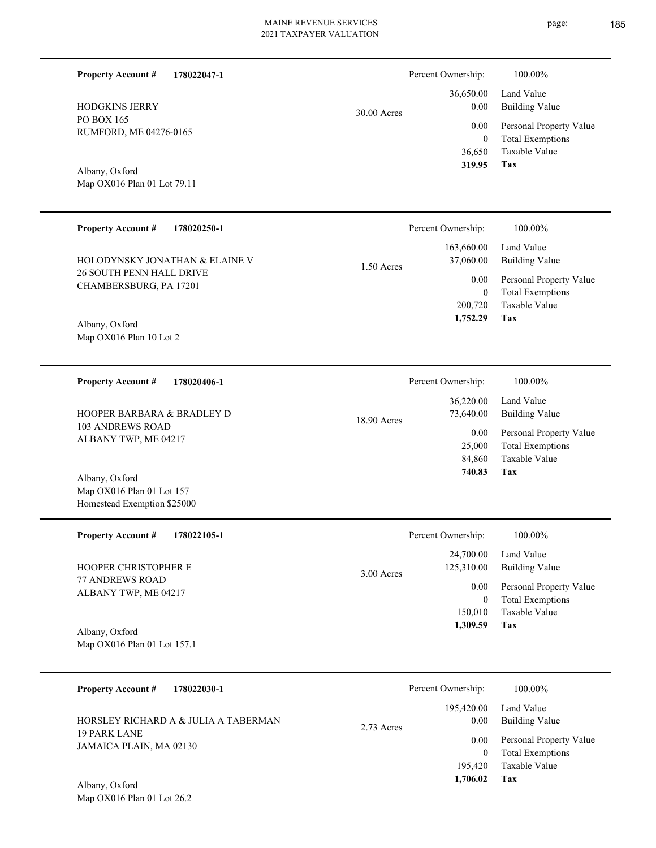page: 185

| <b>Property Account #</b><br>178022047-1                 |              | Percent Ownership:           | 100.00%                                            |
|----------------------------------------------------------|--------------|------------------------------|----------------------------------------------------|
| <b>HODGKINS JERRY</b>                                    | 30.00 Acres  | 36,650.00<br>$0.00\,$        | Land Value<br><b>Building Value</b>                |
| PO BOX 165<br>RUMFORD, ME 04276-0165                     |              | 0.00                         | Personal Property Value                            |
|                                                          |              | $\boldsymbol{0}$<br>36,650   | <b>Total Exemptions</b><br>Taxable Value           |
| Albany, Oxford                                           |              | 319.95                       | Tax                                                |
| Map OX016 Plan 01 Lot 79.11                              |              |                              |                                                    |
| <b>Property Account #</b><br>178020250-1                 |              | Percent Ownership:           | 100.00%                                            |
| HOLODYNSKY JONATHAN & ELAINE V                           | $1.50$ Acres | 163,660.00<br>37,060.00      | Land Value<br><b>Building Value</b>                |
| 26 SOUTH PENN HALL DRIVE<br>CHAMBERSBURG, PA 17201       |              | $0.00\,$                     | Personal Property Value                            |
|                                                          |              | $\boldsymbol{0}$<br>200,720  | <b>Total Exemptions</b><br>Taxable Value           |
| Albany, Oxford                                           |              | 1,752.29                     | Tax                                                |
| Map OX016 Plan 10 Lot 2                                  |              |                              |                                                    |
| <b>Property Account #</b><br>178020406-1                 |              | Percent Ownership:           | 100.00%                                            |
| HOOPER BARBARA & BRADLEY D                               | 18.90 Acres  | 36,220.00<br>73,640.00       | Land Value<br><b>Building Value</b>                |
| <b>103 ANDREWS ROAD</b><br>ALBANY TWP, ME 04217          |              | 0.00                         | Personal Property Value                            |
|                                                          |              | 25,000<br>84,860             | <b>Total Exemptions</b><br>Taxable Value           |
| Albany, Oxford                                           |              | 740.83                       | Tax                                                |
| Map OX016 Plan 01 Lot 157<br>Homestead Exemption \$25000 |              |                              |                                                    |
| <b>Property Account #</b><br>178022105-1                 |              | Percent Ownership:           | 100.00%                                            |
|                                                          |              | 24,700.00                    | Land Value                                         |
| HOOPER CHRISTOPHER E<br>77 ANDREWS ROAD                  | $3.00$ Acres | 125,310.00                   | <b>Building Value</b>                              |
| ALBANY TWP, ME 04217                                     |              | $0.00\,$<br>$\boldsymbol{0}$ | Personal Property Value<br><b>Total Exemptions</b> |
|                                                          |              | 150,010                      | Taxable Value                                      |
| Albany, Oxford<br>Map OX016 Plan 01 Lot 157.1            |              | 1,309.59                     | Tax                                                |
|                                                          |              |                              |                                                    |
| <b>Property Account #</b><br>178022030-1                 |              | Percent Ownership:           | 100.00%                                            |
| HORSLEY RICHARD A & JULIA A TABERMAN                     | 2.73 Acres   | 195,420.00<br>0.00           | Land Value<br><b>Building Value</b>                |
| <b>19 PARK LANE</b>                                      |              | 0.00                         | Personal Property Value                            |
| JAMAICA PLAIN, MA 02130                                  |              | $\overline{0}$<br>195,420    | <b>Total Exemptions</b><br>Taxable Value           |
| Albany, Oxford                                           |              | 1,706.02                     | Tax                                                |
| Map OX016 Plan 01 Lot 26.2                               |              |                              |                                                    |
|                                                          |              |                              |                                                    |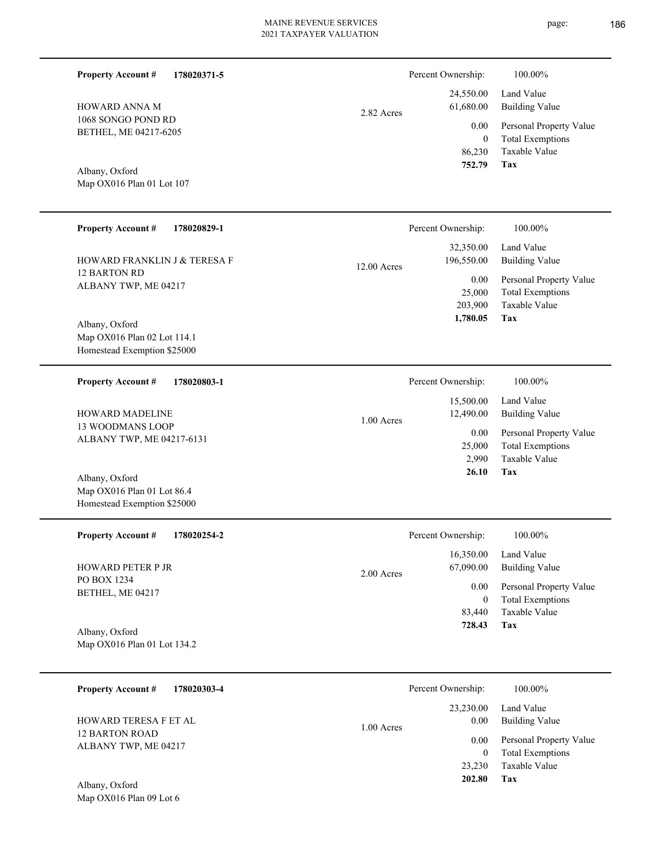| <b>Property Account #</b><br>178020371-5                                     |             | Percent Ownership:                         | 100.00%                                                                           |
|------------------------------------------------------------------------------|-------------|--------------------------------------------|-----------------------------------------------------------------------------------|
| HOWARD ANNA M                                                                | 2.82 Acres  | 24,550.00<br>61,680.00                     | Land Value<br><b>Building Value</b>                                               |
| 1068 SONGO POND RD<br>BETHEL, ME 04217-6205                                  |             | 0.00<br>$\mathbf{0}$<br>86,230<br>752.79   | Personal Property Value<br><b>Total Exemptions</b><br>Taxable Value<br><b>Tax</b> |
| Albany, Oxford<br>Map OX016 Plan 01 Lot 107                                  |             |                                            |                                                                                   |
| <b>Property Account #</b><br>178020829-1                                     |             | Percent Ownership:                         | 100.00%                                                                           |
| HOWARD FRANKLIN J & TERESA F                                                 | 12.00 Acres | 32,350.00<br>196,550.00                    | Land Value<br><b>Building Value</b>                                               |
| 12 BARTON RD<br>ALBANY TWP, ME 04217                                         |             | 0.00<br>25,000<br>203,900<br>1,780.05      | Personal Property Value<br><b>Total Exemptions</b><br>Taxable Value<br>Tax        |
| Albany, Oxford<br>Map OX016 Plan 02 Lot 114.1<br>Homestead Exemption \$25000 |             |                                            |                                                                                   |
| <b>Property Account #</b><br>178020803-1                                     |             | Percent Ownership:                         | 100.00%                                                                           |
| HOWARD MADELINE                                                              | 1.00 Acres  | 15,500.00<br>12,490.00                     | Land Value<br><b>Building Value</b>                                               |
| <b>13 WOODMANS LOOP</b><br>ALBANY TWP, ME 04217-6131                         |             | 0.00<br>25,000<br>2,990                    | Personal Property Value<br><b>Total Exemptions</b><br>Taxable Value               |
| Albany, Oxford<br>Map OX016 Plan 01 Lot 86.4<br>Homestead Exemption \$25000  |             | 26.10                                      | Tax                                                                               |
| <b>Property Account #</b><br>178020254-2                                     |             | Percent Ownership:                         | $100.00\%$                                                                        |
| <b>HOWARD PETER P JR</b>                                                     | 2.00 Acres  | 16,350.00<br>67,090.00                     | Land Value<br><b>Building Value</b>                                               |
| PO BOX 1234<br>BETHEL, ME 04217                                              |             | 0.00<br>$\overline{0}$                     | Personal Property Value<br><b>Total Exemptions</b>                                |
| Albany, Oxford<br>Map OX016 Plan 01 Lot 134.2                                |             | 83,440<br>728.43                           | Taxable Value<br>Tax                                                              |
|                                                                              |             |                                            |                                                                                   |
| <b>Property Account #</b><br>178020303-4                                     |             | Percent Ownership:                         | 100.00%                                                                           |
| HOWARD TERESA F ET AL                                                        | 1.00 Acres  | 23,230.00<br>0.00                          | Land Value<br><b>Building Value</b>                                               |
| <b>12 BARTON ROAD</b><br>ALBANY TWP, ME 04217<br>Albany, Oxford              |             | 0.00<br>$\overline{0}$<br>23,230<br>202.80 | Personal Property Value<br><b>Total Exemptions</b><br>Taxable Value<br>Tax        |
| Map OX016 Plan 09 Lot 6                                                      |             |                                            |                                                                                   |

 $\overline{\phantom{0}}$ 

page: 186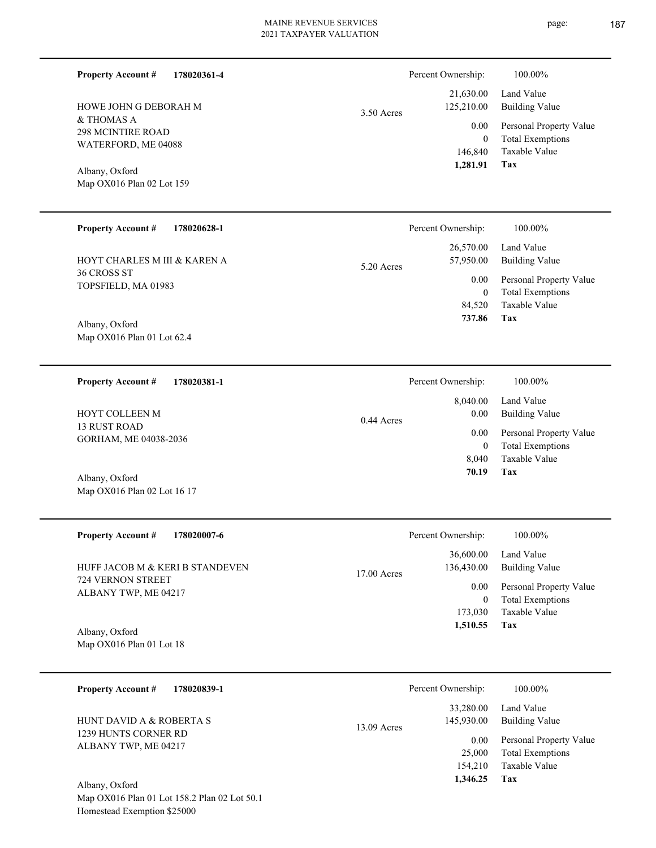| <b>Property Account #</b>                                                | 178020361-4 |              | Percent Ownership:                          | 100.00%                                                                    |
|--------------------------------------------------------------------------|-------------|--------------|---------------------------------------------|----------------------------------------------------------------------------|
| HOWE JOHN G DEBORAH M                                                    |             | $3.50$ Acres | 21,630.00<br>125,210.00                     | Land Value<br><b>Building Value</b>                                        |
| & THOMAS A<br>298 MCINTIRE ROAD<br>WATERFORD, ME 04088<br>Albany, Oxford |             |              | 0.00<br>$\mathbf{0}$<br>146,840<br>1,281.91 | Personal Property Value<br><b>Total Exemptions</b><br>Taxable Value<br>Tax |
| Map OX016 Plan 02 Lot 159                                                |             |              |                                             |                                                                            |
| <b>Property Account #</b>                                                | 178020628-1 |              | Percent Ownership:                          | 100.00%                                                                    |
| HOYT CHARLES M III & KAREN A                                             |             | 5.20 Acres   | 26,570.00<br>57,950.00                      | Land Value<br><b>Building Value</b>                                        |
| 36 CROSS ST<br>TOPSFIELD, MA 01983                                       |             |              | 0.00<br>$\mathbf{0}$                        | Personal Property Value<br><b>Total Exemptions</b>                         |
| Albany, Oxford                                                           |             |              | 84,520<br>737.86                            | Taxable Value<br>Tax                                                       |

**178020381-1 Tax** Taxable Value Total Exemptions Personal Property Value Building Value Land Value 13 RUST ROAD GORHAM, ME 04038-2036 **Property Account #** Albany, Oxford HOYT COLLEEN M 8,040  $\boldsymbol{0}$  **70.19** 8,040.00 0.00 0.00 0.44 Acres Percent Ownership:  $100.00\%$ 

| <b>Property Account #</b><br>178020007-6                    | Percent Ownership:                       | 100.00%                                            |
|-------------------------------------------------------------|------------------------------------------|----------------------------------------------------|
| HUFF JACOB M & KERI B STANDEVEN<br><b>724 VERNON STREET</b> | 36,600.00<br>136,430.00<br>$17.00$ Acres | Land Value<br><b>Building Value</b>                |
| ALBANY TWP, ME 04217                                        | 0.00<br>$\overline{0}$                   | Personal Property Value<br><b>Total Exemptions</b> |
|                                                             | 173,030                                  | Taxable Value                                      |
| Albany, Oxford                                              | 1,510.55                                 | Tax                                                |
| Map $OX016$ Plan 01 Lot 18                                  |                                          |                                                    |

| 178020839-1<br><b>Property Account #</b>         | Percent Ownership:                       | 100.00%                                            |
|--------------------------------------------------|------------------------------------------|----------------------------------------------------|
| HUNT DAVID A & ROBERTA S<br>1239 HUNTS CORNER RD | 33,280.00<br>145,930.00<br>$13.09$ Acres | Land Value<br><b>Building Value</b>                |
| ALBANY TWP, ME 04217                             | 0.00<br>25,000                           | Personal Property Value<br><b>Total Exemptions</b> |
| Albany, Oxford                                   | 154,210<br>1,346.25                      | Taxable Value<br>Tax                               |

Map OX016 Plan 01 Lot 158.2 Plan 02 Lot 50.1 Homestead Exemption \$25000

Map OX016 Plan 01 Lot 62.4

Map OX016 Plan 02 Lot 16 17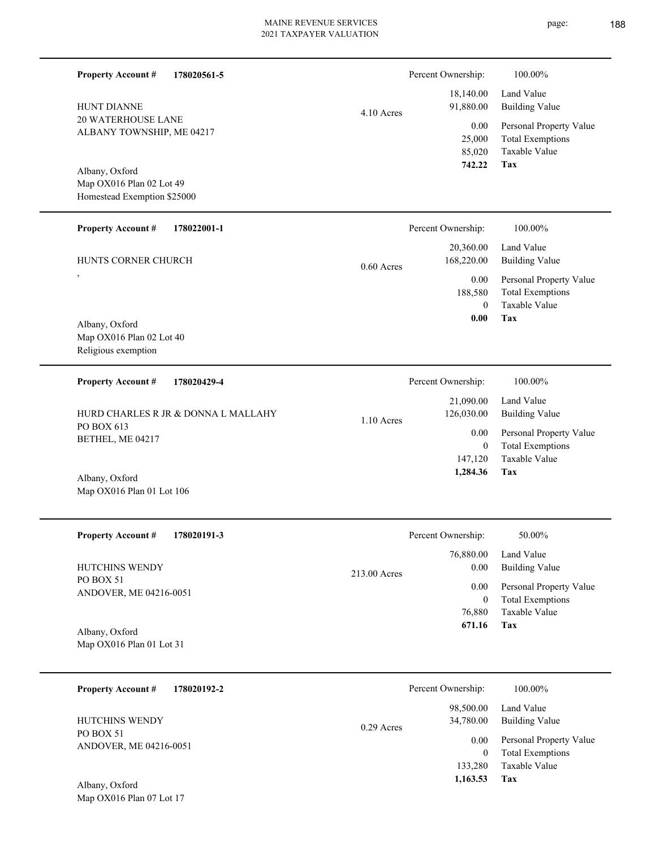L

page: 188

| <b>Property Account #</b><br>178020561-5               |              | Percent Ownership:                  | 100.00%                                                             |
|--------------------------------------------------------|--------------|-------------------------------------|---------------------------------------------------------------------|
| <b>HUNT DIANNE</b>                                     | $4.10$ Acres | 18,140.00<br>91,880.00              | Land Value<br><b>Building Value</b>                                 |
| <b>20 WATERHOUSE LANE</b><br>ALBANY TOWNSHIP, ME 04217 |              | 0.00<br>25,000<br>85,020            | Personal Property Value<br><b>Total Exemptions</b><br>Taxable Value |
| Albany, Oxford<br>Map OX016 Plan 02 Lot 49             |              | 742.22                              | Tax                                                                 |
| Homestead Exemption \$25000                            |              |                                     |                                                                     |
| <b>Property Account #</b><br>178022001-1               |              | Percent Ownership:                  | 100.00%                                                             |
| HUNTS CORNER CHURCH                                    | $0.60$ Acres | 20,360.00<br>168,220.00             | Land Value<br><b>Building Value</b>                                 |
| $\overline{\phantom{a}}$                               |              | $0.00\,$<br>188,580<br>$\mathbf{0}$ | Personal Property Value<br><b>Total Exemptions</b><br>Taxable Value |
| Albany, Oxford                                         |              | 0.00                                | Tax                                                                 |
| Map OX016 Plan 02 Lot 40<br>Religious exemption        |              |                                     |                                                                     |
| <b>Property Account #</b><br>178020429-4               |              | Percent Ownership:                  | 100.00%                                                             |
| HURD CHARLES R JR & DONNA L MALLAHY                    | $1.10$ Acres | 21,090.00<br>126,030.00             | Land Value<br><b>Building Value</b>                                 |
| PO BOX 613<br>BETHEL, ME 04217                         |              | $0.00\,$<br>$\mathbf{0}$            | Personal Property Value<br><b>Total Exemptions</b>                  |
|                                                        |              | 147,120<br>1,284.36                 | Taxable Value<br>Tax                                                |
| Albany, Oxford<br>Map OX016 Plan 01 Lot 106            |              |                                     |                                                                     |
| 178020191-3<br><b>Property Account #</b>               |              | Percent Ownership:                  | $50.00\%$                                                           |
| HUTCHINS WENDY                                         |              | 76,880.00<br>0.00                   | Land Value<br><b>Building Value</b>                                 |
| PO BOX 51<br>ANDOVER, ME 04216-0051                    | 213.00 Acres | 0.00                                | Personal Property Value                                             |
|                                                        |              | $\mathbf{0}$<br>76,880              | <b>Total Exemptions</b><br>Taxable Value                            |
| Albany, Oxford<br>Map OX016 Plan 01 Lot 31             |              | 671.16                              | Tax                                                                 |
| <b>Property Account #</b><br>178020192-2               |              | Percent Ownership:                  | 100.00%                                                             |
| HUTCHINS WENDY                                         | 0.29 Acres   | 98,500.00<br>34,780.00              | Land Value<br><b>Building Value</b>                                 |
| PO BOX 51<br>ANDOVER, ME 04216-0051                    |              | 0.00                                | Personal Property Value                                             |
| Albany, Oxford                                         |              | $\mathbf{0}$<br>133,280<br>1,163.53 | <b>Total Exemptions</b><br>Taxable Value<br>Tax                     |
| Map OX016 Plan 07 Lot 17                               |              |                                     |                                                                     |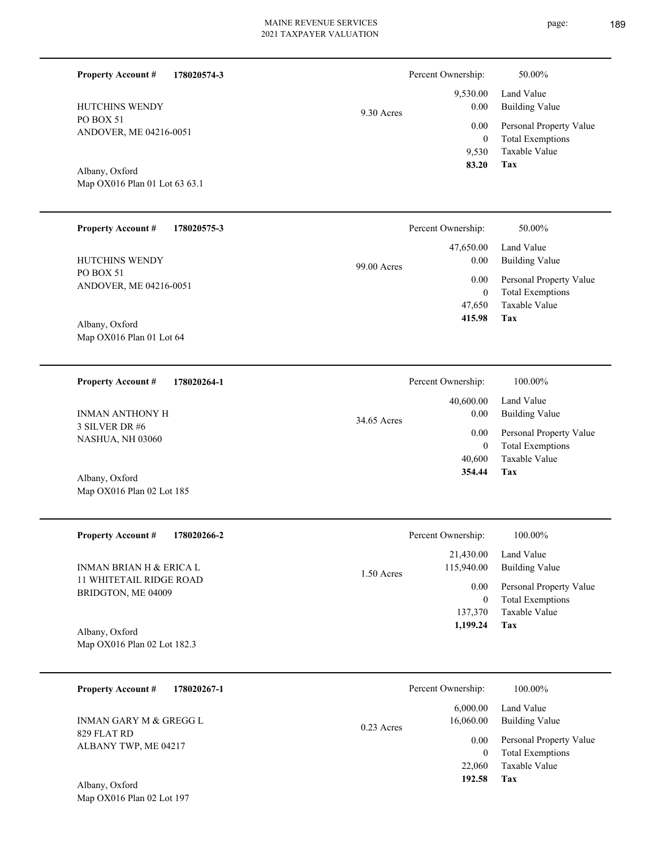**178020574-3**

**Property Account #**

Percent Ownership: 50.00%

| HUTCHINS WENDY<br>PO BOX 51<br>ANDOVER, ME 04216-0051<br>Albany, Oxford<br>Map OX016 Plan 01 Lot 63 63.1 | 9.30 Acres  | 9,530.00<br>0.00<br>0.00<br>$\mathbf{0}$<br>9,530<br>83.20        | Land Value<br><b>Building Value</b><br>Personal Property Value<br><b>Total Exemptions</b><br>Taxable Value<br>Tax |
|----------------------------------------------------------------------------------------------------------|-------------|-------------------------------------------------------------------|-------------------------------------------------------------------------------------------------------------------|
| <b>Property Account #</b><br>178020575-3                                                                 |             | Percent Ownership:                                                | 50.00%                                                                                                            |
| HUTCHINS WENDY<br>PO BOX 51<br>ANDOVER, ME 04216-0051<br>Albany, Oxford<br>Map OX016 Plan 01 Lot 64      | 99.00 Acres | 47,650.00<br>0.00<br>0.00<br>$\boldsymbol{0}$<br>47,650<br>415.98 | Land Value<br><b>Building Value</b><br>Personal Property Value<br><b>Total Exemptions</b><br>Taxable Value<br>Tax |
|                                                                                                          |             |                                                                   |                                                                                                                   |
| <b>Property Account #</b><br>178020264-1<br><b>INMAN ANTHONY H</b><br>3 SILVER DR #6<br>NASHUA, NH 03060 | 34.65 Acres | Percent Ownership:<br>40,600.00<br>0.00<br>0.00                   | 100.00%<br>Land Value<br><b>Building Value</b><br>Personal Property Value                                         |
| Albany, Oxford<br>Map OX016 Plan 02 Lot 185                                                              |             | $\overline{0}$<br>40,600<br>354.44                                | <b>Total Exemptions</b><br>Taxable Value<br>Tax                                                                   |
| <b>Property Account #</b><br>178020266-2                                                                 |             | Percent Ownership:                                                | 100.00%                                                                                                           |
| <b>INMAN BRIAN H &amp; ERICA L</b>                                                                       | 1.50 Acres  | 21,430.00<br>115,940.00                                           | Land Value<br><b>Building Value</b>                                                                               |
| 11 WHITETAIL RIDGE ROAD<br>BRIDGTON, ME 04009<br>Albany, Oxford<br>Map OX016 Plan 02 Lot 182.3           |             | 0.00<br>$\overline{0}$<br>137,370<br>1,199.24                     | Personal Property Value<br><b>Total Exemptions</b><br>Taxable Value<br>Tax                                        |
| <b>Property Account #</b><br>178020267-1                                                                 |             | Percent Ownership:                                                | 100.00%                                                                                                           |
| INMAN GARY M & GREGG L                                                                                   | 0.23 Acres  | 6,000.00<br>16,060.00                                             | Land Value<br><b>Building Value</b>                                                                               |
| 829 FLAT RD<br>ALBANY TWP, ME 04217<br>Albany, Oxford<br>Map OX016 Plan 02 Lot 197                       |             | 0.00<br>$\overline{0}$<br>22,060<br>192.58                        | Personal Property Value<br><b>Total Exemptions</b><br>Taxable Value<br>Tax                                        |
|                                                                                                          |             |                                                                   |                                                                                                                   |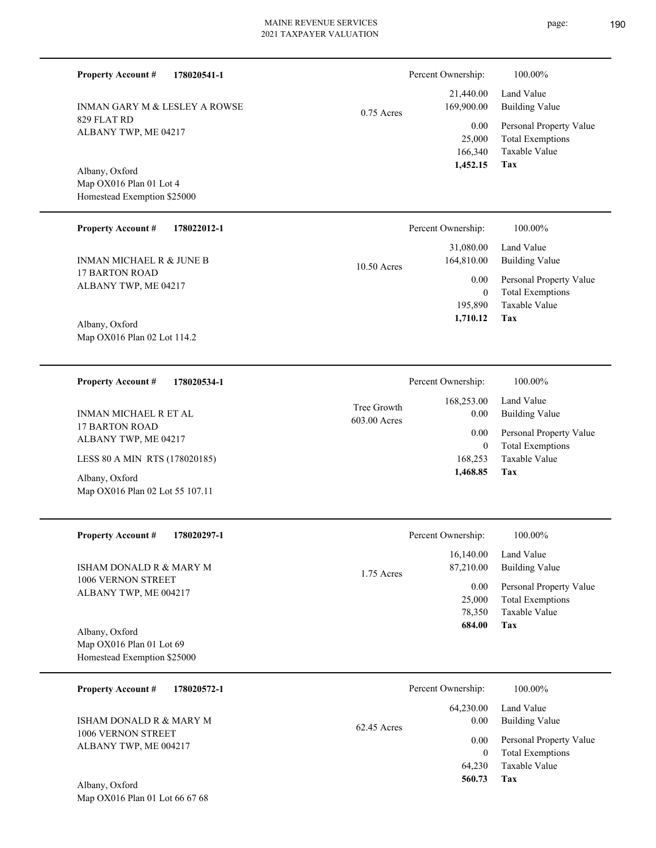829 FLAT RD ALBANY TWP, ME 04217 INMAN GARY M & LESLEY A ROWSE

**178020541-1**

Map OX016 Plan 01 Lot 4 Homestead Exemption \$25000 Albany, Oxford

**Property Account #**

| <b>Property Account #</b><br>178022012-1 | Percent Ownership:          | 100.00%                 |
|------------------------------------------|-----------------------------|-------------------------|
|                                          | 31,080.00                   | Land Value              |
| INMAN MICHAEL R & JUNE B                 | 164,810.00<br>$10.50$ Acres | Building Value          |
| 17 BARTON ROAD                           | 0.00                        | Personal Property Value |
| ALBANY TWP, ME 04217                     | $\overline{0}$              | <b>Total Exemptions</b> |
|                                          | 195,890                     | Taxable Value           |
| 4.11<br>$\sim$ $\sim$ $\sim$             | 1,710.12                    | Tax                     |

Map OX016 Plan 02 Lot 114.2 Albany, Oxford

**178020534-1 Property Account #**

17 BARTON ROAD ALBANY TWP, ME 04217 INMAN MICHAEL R ET AL

LESS 80 A MIN RTS (178020185)

Map OX016 Plan 02 Lot 55 107.11 Albany, Oxford

| <b>Property Account #</b> | 178020297-1 |
|---------------------------|-------------|
|---------------------------|-------------|

1006 VERNON STREET ALBANY TWP, ME 004217 ISHAM DONALD R & MARY M

Map OX016 Plan 01 Lot 69 Homestead Exemption \$25000 Albany, Oxford

| 178020572-1<br><b>Property Account #</b> | Percent Ownership:    | 100.00%                 |
|------------------------------------------|-----------------------|-------------------------|
|                                          | 64,230.00             | Land Value              |
| ISHAM DONALD R & MARY M                  | 0.00<br>$62.45$ Acres | <b>Building Value</b>   |
| 1006 VERNON STREET                       | 0.00                  | Personal Property Value |
| ALBANY TWP, ME 004217                    |                       | <b>Total Exemptions</b> |
|                                          | 64.230                | Taxable Value           |
| $\sqrt{11}$<br>$\sim$ $\sim$ 1           | 560.73                | Tax                     |

1.75 Acres

|              | Percent Ownership: | 100.00%                 |
|--------------|--------------------|-------------------------|
|              | 21,440.00          | Land Value              |
| $0.75$ Acres | 169,900.00         | Building Value          |
|              | 0.00               | Personal Property Value |
|              | 25,000             | <b>Total Exemptions</b> |
|              | 166,340            | Taxable Value           |
|              | 1,452.15           | Tax                     |

|                             | Percent Ownership: | 100.00%                 |
|-----------------------------|--------------------|-------------------------|
|                             |                    | 168,253.00 Land Value   |
| Tree Growth<br>603.00 Acres | 0.00               | Building Value          |
|                             | $0.00\,$           | Personal Property Value |
|                             | $\bf{0}$           | <b>Total Exemptions</b> |
|                             |                    | 168,253 Taxable Value   |
|                             | 1,468.85           | Tax                     |

**Tax**

 78,350 25,000

0.00

Percent Ownership:  $100.00\%$ 

 16,140.00 87,210.00

 **684.00**

Taxable Value Total Exemptions Personal Property Value

Building Value Land Value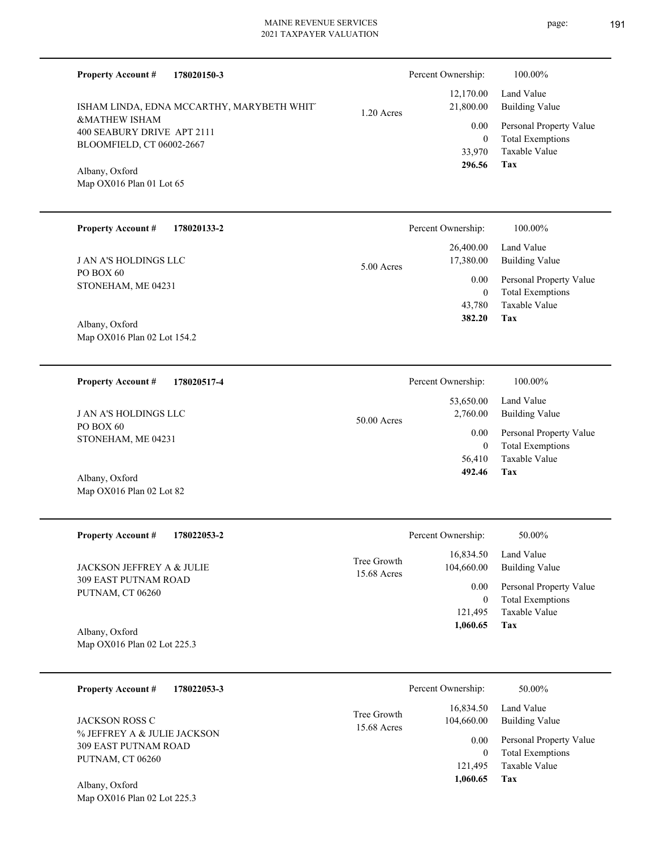| <b>Property Account #</b><br>178020150-3               |                            | Percent Ownership:          | 100.00%                                         |
|--------------------------------------------------------|----------------------------|-----------------------------|-------------------------------------------------|
| ISHAM LINDA, EDNA MCCARTHY, MARYBETH WHIT.             | 1.20 Acres                 | 12,170.00<br>21,800.00      | Land Value<br><b>Building Value</b>             |
| <b>&amp;MATHEW ISHAM</b><br>400 SEABURY DRIVE APT 2111 |                            | 0.00                        | Personal Property Value                         |
| BLOOMFIELD, CT 06002-2667                              |                            | $\overline{0}$<br>33,970    | <b>Total Exemptions</b><br>Taxable Value        |
| Albany, Oxford                                         |                            | 296.56                      | Tax                                             |
| Map OX016 Plan 01 Lot 65                               |                            |                             |                                                 |
| <b>Property Account #</b><br>178020133-2               |                            | Percent Ownership:          | 100.00%                                         |
| <b>J AN A'S HOLDINGS LLC</b>                           | $5.00$ Acres               | 26,400.00<br>17,380.00      | Land Value<br><b>Building Value</b>             |
| PO BOX 60<br>STONEHAM, ME 04231                        |                            | 0.00                        | Personal Property Value                         |
|                                                        |                            | $\overline{0}$<br>43,780    | <b>Total Exemptions</b><br>Taxable Value        |
| Albany, Oxford                                         |                            | 382.20                      | Tax                                             |
| Map OX016 Plan 02 Lot 154.2                            |                            |                             |                                                 |
| <b>Property Account #</b><br>178020517-4               |                            | Percent Ownership:          | 100.00%                                         |
| <b>J AN A'S HOLDINGS LLC</b>                           | 50.00 Acres                | 53,650.00<br>2,760.00       | Land Value<br><b>Building Value</b>             |
| PO BOX 60<br>STONEHAM, ME 04231                        |                            | 0.00                        | Personal Property Value                         |
|                                                        |                            | $\overline{0}$<br>56,410    | <b>Total Exemptions</b><br><b>Taxable Value</b> |
| Albany, Oxford                                         |                            | 492.46                      | Tax                                             |
| Map OX016 Plan 02 Lot 82                               |                            |                             |                                                 |
| <b>Property Account #</b><br>178022053-2               |                            | Percent Ownership:          | 50.00%                                          |
| JACKSON JEFFREY A & JULIE                              | Tree Growth<br>15.68 Acres | 16,834.50<br>104,660.00     | Land Value<br><b>Building Value</b>             |
| <b>309 EAST PUTNAM ROAD</b><br>PUTNAM, CT 06260        |                            | 0.00                        | Personal Property Value                         |
|                                                        |                            | $\boldsymbol{0}$<br>121,495 | <b>Total Exemptions</b><br>Taxable Value        |
| Albany, Oxford                                         |                            | 1,060.65                    | Tax                                             |
| Map OX016 Plan 02 Lot 225.3                            |                            |                             |                                                 |
| <b>Property Account #</b><br>178022053-3               |                            | Percent Ownership:          | 50.00%                                          |
| <b>JACKSON ROSS C</b>                                  | Tree Growth<br>15.68 Acres | 16,834.50<br>104,660.00     | Land Value<br><b>Building Value</b>             |
| % JEFFREY A & JULIE JACKSON<br>309 EAST PUTNAM ROAD    |                            | 0.00                        | Personal Property Value                         |
| PUTNAM, CT 06260                                       |                            | $\overline{0}$<br>121,495   | <b>Total Exemptions</b><br>Taxable Value        |
| $\Lambda$ lleans Orfand                                |                            | 1,060.65                    | Tax                                             |

Map OX016 Plan 02 Lot 225.3 Albany, Oxford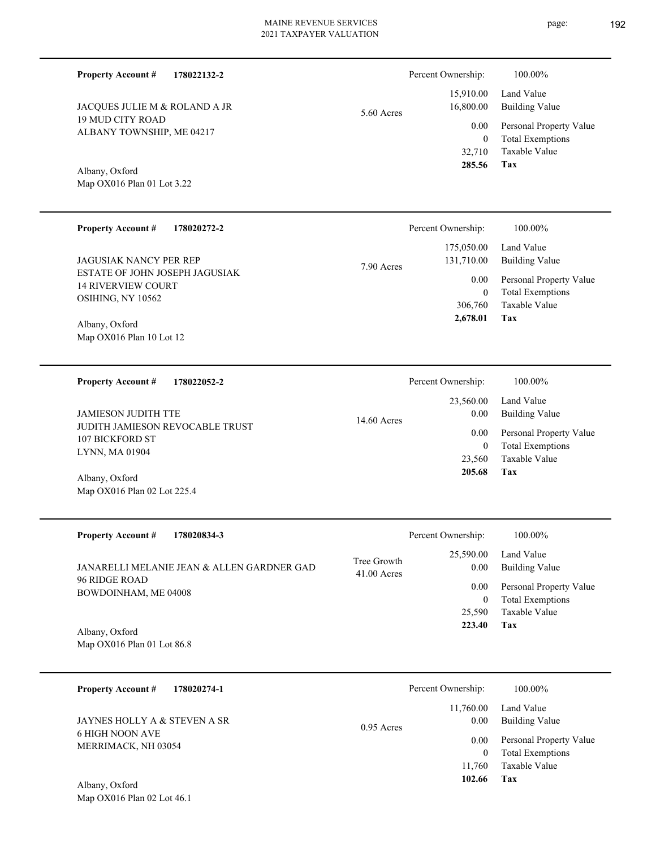| <b>Property Account #</b><br>178022132-2                    |                            | Percent Ownership:       | 100.00%                                            |
|-------------------------------------------------------------|----------------------------|--------------------------|----------------------------------------------------|
| JACQUES JULIE M & ROLAND A JR                               | 5.60 Acres                 | 15,910.00<br>16,800.00   | Land Value<br><b>Building Value</b>                |
| <b>19 MUD CITY ROAD</b><br>ALBANY TOWNSHIP, ME 04217        |                            | 0.00<br>$\mathbf{0}$     | Personal Property Value<br><b>Total Exemptions</b> |
|                                                             |                            | 32,710<br>285.56         | Taxable Value<br>Tax                               |
| Albany, Oxford<br>Map OX016 Plan 01 Lot 3.22                |                            |                          |                                                    |
|                                                             |                            |                          |                                                    |
| <b>Property Account #</b><br>178020272-2                    |                            | Percent Ownership:       | 100.00%                                            |
| JAGUSIAK NANCY PER REP                                      | 7.90 Acres                 | 175,050.00<br>131,710.00 | Land Value<br><b>Building Value</b>                |
| ESTATE OF JOHN JOSEPH JAGUSIAK<br><b>14 RIVERVIEW COURT</b> |                            | 0.00                     | Personal Property Value                            |
| OSIHING, NY 10562                                           |                            | $\mathbf{0}$<br>306,760  | <b>Total Exemptions</b><br>Taxable Value           |
| Albany, Oxford                                              |                            | 2,678.01                 | Tax                                                |
| Map OX016 Plan 10 Lot 12                                    |                            |                          |                                                    |
|                                                             |                            |                          |                                                    |
| <b>Property Account #</b><br>178022052-2                    |                            | Percent Ownership:       | 100.00%                                            |
| <b>JAMIESON JUDITH TTE</b>                                  | 14.60 Acres                | 23,560.00<br>0.00        | Land Value<br><b>Building Value</b>                |
| JUDITH JAMIESON REVOCABLE TRUST<br>107 BICKFORD ST          |                            | 0.00                     | Personal Property Value                            |
| LYNN, MA 01904                                              |                            | $\mathbf{0}$<br>23,560   | <b>Total Exemptions</b><br>Taxable Value           |
| Albany, Oxford                                              |                            | 205.68                   | Tax                                                |
| Map OX016 Plan 02 Lot 225.4                                 |                            |                          |                                                    |
|                                                             |                            |                          |                                                    |
| <b>Property Account #</b><br>178020834-3                    |                            | Percent Ownership:       | 100.00%                                            |
| JANARELLI MELANIE JEAN & ALLEN GARDNER GAD.                 | Tree Growth<br>41.00 Acres | 25,590.00<br>0.00        | Land Value<br><b>Building Value</b>                |
| 96 RIDGE ROAD<br>BOWDOINHAM, ME 04008                       |                            | 0.00                     | Personal Property Value                            |
|                                                             |                            | $\bf{0}$<br>25,590       | <b>Total Exemptions</b><br>Taxable Value           |
| Albany, Oxford                                              |                            | 223.40                   | Tax                                                |
| Map OX016 Plan 01 Lot 86.8                                  |                            |                          |                                                    |
| <b>Property Account #</b><br>178020274-1                    |                            | Percent Ownership:       | 100.00%                                            |
|                                                             |                            | 11,760.00                | Land Value                                         |
| JAYNES HOLLY A & STEVEN A SR<br><b>6 HIGH NOON AVE</b>      | $0.95$ Acres               | 0.00                     | <b>Building Value</b>                              |
| MERRIMACK, NH 03054                                         |                            | 0.00<br>$\boldsymbol{0}$ | Personal Property Value<br><b>Total Exemptions</b> |

Map OX016 Plan 02 Lot 46.1 Albany, Oxford

**Tax 102.66**

11,760

Taxable Value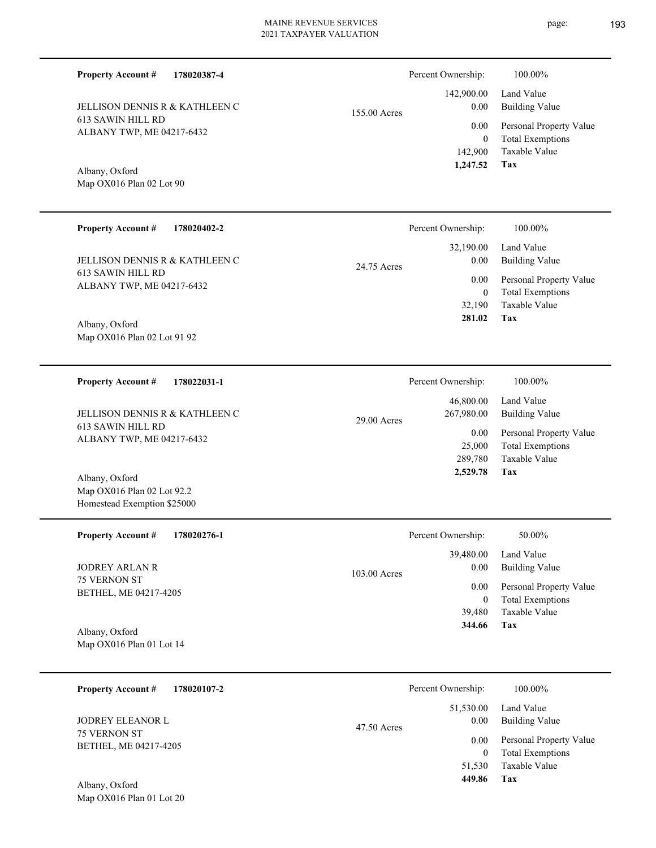613 SAWIN HILL RD ALBANY TWP, ME 04217-6432 JELLISON DENNIS R & KATHLEEN C

**178020387-4**

**178020402-2**

### Map OX016 Plan 02 Lot 90 Albany, Oxford

**Property Account #**

**Property Account #**

#### **Tax** Taxable Value Total Exemptions Personal Property Value Building Value Land Value 613 SAWIN HILL RD ALBANY TWP, ME 04217-6432 Map OX016 Plan 02 Lot 91 92 Albany, Oxford JELLISON DENNIS R & KATHLEEN C 32,190 0  **281.02** 32,190.00 0.00 0.00 24.75 Acres **178022031-1 Tax** Taxable Value Total Exemptions Personal Property Value Building Value Land Value 613 SAWIN HILL RD ALBANY TWP, ME 04217-6432 **Property Account #** Map OX016 Plan 02 Lot 92.2 Homestead Exemption \$25000 Albany, Oxford JELLISON DENNIS R & KATHLEEN C 289,780 25,000  **2,529.78** 46,800.00 267,980.00 0.00 29.00 Acres Percent Ownership:  $100.00\%$ **178020276-1** Total Exemptions Personal Property Value Building Value Land Value 75 VERNON ST BETHEL, ME 04217-4205 **Property Account #** JODREY ARLAN R 0 39,480.00 0.00 0.00 103.00 Acres Percent Ownership:  $50.00\%$

Map OX016 Plan 01 Lot 14 Albany, Oxford

| 178020107-2<br><b>Property Account #</b>     | Percent Ownership:                 | 100.00%                                            |
|----------------------------------------------|------------------------------------|----------------------------------------------------|
| <b>JODREY ELEANOR L</b>                      | 51,530.00<br>0.00<br>$47.50$ Acres | Land Value<br><b>Building Value</b>                |
| <b>75 VERNON ST</b><br>BETHEL, ME 04217-4205 | 0.00<br>0                          | Personal Property Value<br><b>Total Exemptions</b> |
| Albany Oxford                                | 51,530<br>449.86                   | Taxable Value<br>Tax                               |

Map OX016 Plan 01 Lot 20 Albany, Oxford



Percent Ownership:  $100.00\%$ 

**Tax**

39,480

 **344.66**

Taxable Value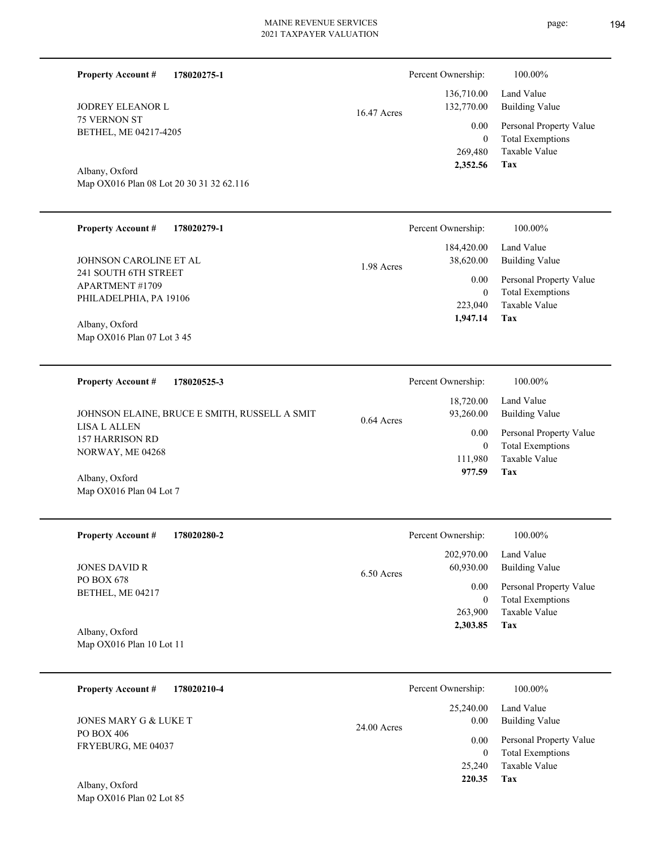| <b>Property Account #</b><br>178020275-1                         |             | Percent Ownership:                  | 100.00%                                                        |
|------------------------------------------------------------------|-------------|-------------------------------------|----------------------------------------------------------------|
| <b>JODREY ELEANOR L</b><br>75 VERNON ST<br>BETHEL, ME 04217-4205 | 16.47 Acres | 136,710.00<br>132,770.00<br>0.00    | Land Value<br><b>Building Value</b><br>Personal Property Value |
| Albany, Oxford                                                   |             | $\mathbf{0}$<br>269,480<br>2,352.56 | <b>Total Exemptions</b><br>Taxable Value<br>Tax                |
| Map OX016 Plan 08 Lot 20 30 31 32 62.116                         |             |                                     |                                                                |
| <b>Property Account #</b><br>178020279-1                         |             | Percent Ownership:                  | 100.00%                                                        |
| JOHNSON CAROLINE ET AL<br>241 SOUTH 6TH STREET                   | 1.98 Acres  | 184,420.00<br>38,620.00             | Land Value<br><b>Building Value</b>                            |
| <b>APARTMENT #1709</b><br>PHILADELPHIA, PA 19106                 |             | 0.00<br>$\mathbf{0}$                | Personal Property Value<br><b>Total Exemptions</b>             |
| Albany, Oxford<br>Map OX016 Plan 07 Lot 3 45                     |             | 223,040<br>1,947.14                 | Taxable Value<br>Tax                                           |
|                                                                  |             |                                     |                                                                |
| <b>Property Account #</b><br>178020525-3                         |             | Percent Ownership:                  | 100.00%                                                        |
| JOHNSON ELAINE, BRUCE E SMITH, RUSSELL A SMIT<br>LISA L ALLEN    | 0.64 Acres  | 18,720.00<br>93,260.00              | Land Value<br><b>Building Value</b>                            |
| 157 HARRISON RD<br>NORWAY, ME 04268                              |             | 0.00<br>$\mathbf{0}$                | Personal Property Value<br><b>Total Exemptions</b>             |
| Albany, Oxford<br>Map OX016 Plan 04 Lot 7                        |             | 111,980<br>977.59                   | Taxable Value<br>Tax                                           |
|                                                                  |             |                                     |                                                                |
| <b>Property Account #</b><br>178020280-2                         |             | Percent Ownership:                  | 100.00%                                                        |
| <b>JONES DAVID R</b>                                             | 6.50 Acres  | 202,970.00<br>60,930.00             | Land Value<br><b>Building Value</b>                            |
| PO BOX 678<br>BETHEL, ME 04217                                   |             | 0.00<br>$\mathbf{0}$                | Personal Property Value<br><b>Total Exemptions</b>             |
|                                                                  |             |                                     |                                                                |
| Albany, Oxford                                                   |             | 263,900<br>2,303.85                 | Taxable Value<br>Tax                                           |
| Map OX016 Plan 10 Lot 11                                         |             |                                     |                                                                |
| 178020210-4<br><b>Property Account #</b>                         |             | Percent Ownership:                  | 100.00%                                                        |
| JONES MARY G & LUKE T                                            |             | 25,240.00<br>0.00                   | Land Value<br><b>Building Value</b>                            |
| PO BOX 406<br>FRYEBURG, ME 04037                                 | 24.00 Acres | 0.00<br>$\mathbf{0}$                | Personal Property Value<br><b>Total Exemptions</b>             |
| Albany, Oxford                                                   |             | 25,240<br>220.35                    | Taxable Value<br>Tax                                           |
| Map OX016 Plan 02 Lot 85                                         |             |                                     |                                                                |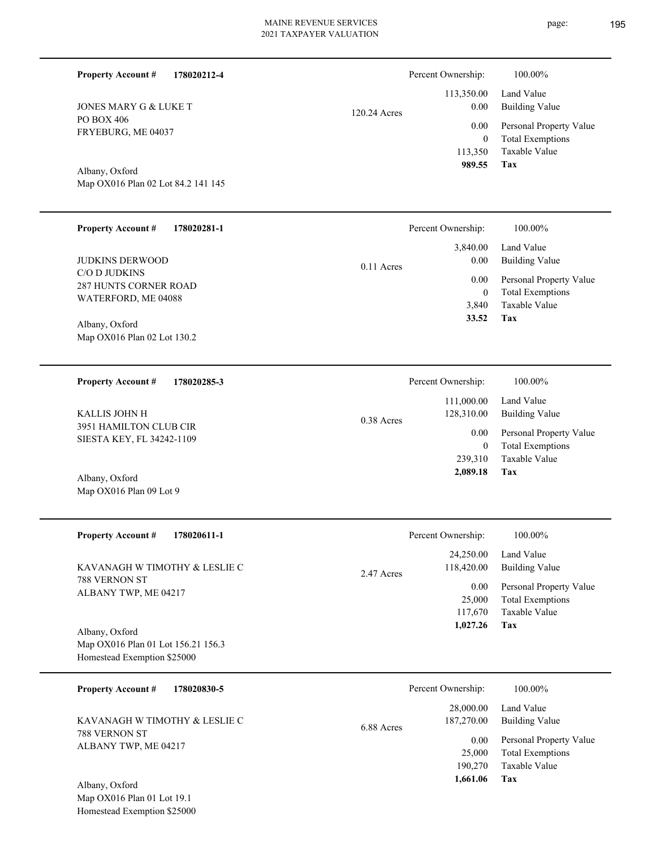| <b>Property Account #</b><br>178020212-4                                            |              | Percent Ownership:<br>113,350.00              | 100.00%<br>Land Value                                                      |
|-------------------------------------------------------------------------------------|--------------|-----------------------------------------------|----------------------------------------------------------------------------|
| JONES MARY G & LUKE T                                                               | 120.24 Acres | 0.00                                          | <b>Building Value</b>                                                      |
| PO BOX 406<br>FRYEBURG, ME 04037                                                    |              | 0.00<br>$\boldsymbol{0}$<br>113,350<br>989.55 | Personal Property Value<br><b>Total Exemptions</b><br>Taxable Value<br>Tax |
| Albany, Oxford<br>Map OX016 Plan 02 Lot 84.2 141 145                                |              |                                               |                                                                            |
| <b>Property Account #</b><br>178020281-1                                            |              | Percent Ownership:                            | 100.00%                                                                    |
| <b>JUDKINS DERWOOD</b>                                                              | $0.11$ Acres | 3,840.00<br>0.00                              | Land Value<br><b>Building Value</b>                                        |
| C/O D JUDKINS<br><b>287 HUNTS CORNER ROAD</b>                                       |              | 0.00<br>$\boldsymbol{0}$                      | Personal Property Value<br><b>Total Exemptions</b>                         |
| WATERFORD, ME 04088                                                                 |              | 3,840                                         | Taxable Value                                                              |
| Albany, Oxford<br>Map OX016 Plan 02 Lot 130.2                                       |              | 33.52                                         | Tax                                                                        |
| <b>Property Account #</b><br>178020285-3                                            |              | Percent Ownership:                            | 100.00%                                                                    |
| <b>KALLIS JOHN H</b><br>3951 HAMILTON CLUB CIR<br>SIESTA KEY, FL 34242-1109         | 0.38 Acres   | 111,000.00<br>128,310.00                      | Land Value<br><b>Building Value</b>                                        |
|                                                                                     |              | 0.00<br>$\boldsymbol{0}$                      | Personal Property Value<br><b>Total Exemptions</b>                         |
| Albany, Oxford                                                                      |              | 239,310<br>2,089.18                           | Taxable Value<br>Tax                                                       |
| Map OX016 Plan 09 Lot 9                                                             |              |                                               |                                                                            |
| <b>Property Account #</b><br>178020611-1                                            |              | Percent Ownership:                            | 100.00%                                                                    |
| KAVANAGH W TIMOTHY & LESLIE C                                                       | 2.47 Acres   | 24,250.00<br>118,420.00                       | Land Value<br><b>Building Value</b>                                        |
| 788 VERNON ST<br>ALBANY TWP, ME 04217                                               |              | 0.00<br>25,000<br>117,670<br>1,027.26         | Personal Property Value<br><b>Total Exemptions</b><br>Taxable Value<br>Tax |
| Albany, Oxford<br>Map OX016 Plan 01 Lot 156.21 156.3<br>Homestead Exemption \$25000 |              |                                               |                                                                            |
| <b>Property Account #</b><br>178020830-5                                            |              | Percent Ownership:                            | 100.00%                                                                    |
| KAVANAGH W TIMOTHY & LESLIE C                                                       | 6.88 Acres   | 28,000.00<br>187,270.00                       | Land Value<br><b>Building Value</b>                                        |
| 788 VERNON ST<br>ALBANY TWP, ME 04217<br>Albany, Oxford                             |              | 0.00<br>25,000<br>190,270<br>1,661.06         | Personal Property Value<br><b>Total Exemptions</b><br>Taxable Value<br>Tax |
| Map OX016 Plan 01 Lot 19.1                                                          |              |                                               |                                                                            |

Homestead Exemption \$25000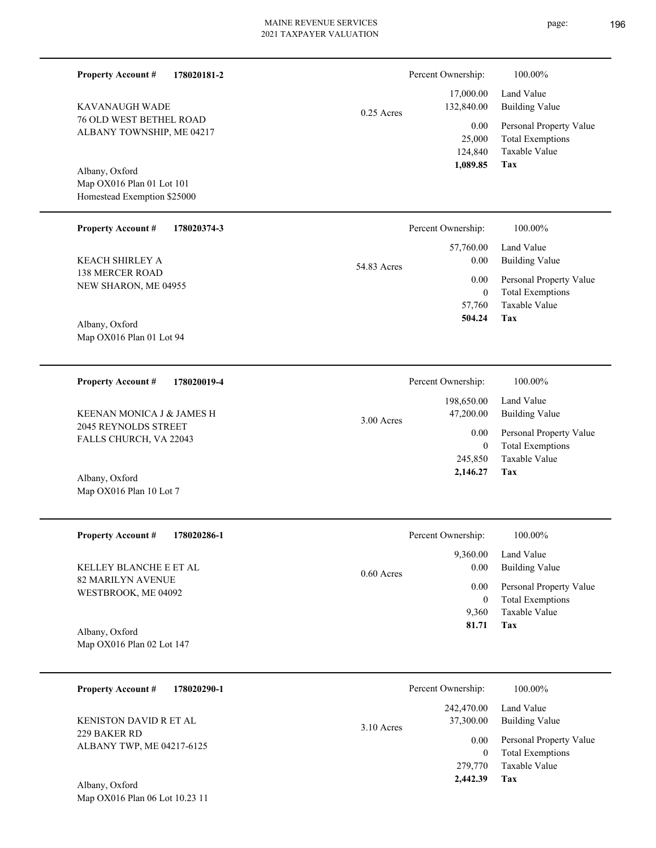| <b>Property Account #</b><br>178020181-2<br>KAVANAUGH WADE<br><b>76 OLD WEST BETHEL ROAD</b><br>ALBANY TOWNSHIP, ME 04217         | $0.25$ Acres | Percent Ownership:<br>17,000.00<br>132,840.00<br>0.00<br>25,000<br>124,840<br>1,089.85       | 100.00%<br>Land Value<br><b>Building Value</b><br>Personal Property Value<br><b>Total Exemptions</b><br>Taxable Value<br>Tax |
|-----------------------------------------------------------------------------------------------------------------------------------|--------------|----------------------------------------------------------------------------------------------|------------------------------------------------------------------------------------------------------------------------------|
| Albany, Oxford<br>Map OX016 Plan 01 Lot 101<br>Homestead Exemption \$25000                                                        |              |                                                                                              |                                                                                                                              |
| <b>Property Account #</b>                                                                                                         | 54.83 Acres  | Percent Ownership:                                                                           | 100.00%                                                                                                                      |
| 178020374-3                                                                                                                       |              | 57,760.00                                                                                    | Land Value                                                                                                                   |
| <b>KEACH SHIRLEY A</b>                                                                                                            |              | 0.00                                                                                         | <b>Building Value</b>                                                                                                        |
| <b>138 MERCER ROAD</b>                                                                                                            |              | 0.00                                                                                         | Personal Property Value                                                                                                      |
| NEW SHARON, ME 04955                                                                                                              |              | $\boldsymbol{0}$                                                                             | <b>Total Exemptions</b>                                                                                                      |
| Albany, Oxford                                                                                                                    |              | 57,760                                                                                       | Taxable Value                                                                                                                |
| Map OX016 Plan 01 Lot 94                                                                                                          |              | 504.24                                                                                       | Tax                                                                                                                          |
| <b>Property Account #</b>                                                                                                         | 3.00 Acres   | Percent Ownership:                                                                           | 100.00%                                                                                                                      |
| 178020019-4                                                                                                                       |              | 198,650.00                                                                                   | Land Value                                                                                                                   |
| KEENAN MONICA J & JAMES H                                                                                                         |              | 47,200.00                                                                                    | <b>Building Value</b>                                                                                                        |
| 2045 REYNOLDS STREET                                                                                                              |              | 0.00                                                                                         | Personal Property Value                                                                                                      |
| FALLS CHURCH, VA 22043                                                                                                            |              | $\mathbf{0}$                                                                                 | <b>Total Exemptions</b>                                                                                                      |
| Albany, Oxford                                                                                                                    |              | 245,850                                                                                      | Taxable Value                                                                                                                |
| Map OX016 Plan 10 Lot 7                                                                                                           |              | 2,146.27                                                                                     | Tax                                                                                                                          |
| <b>Property Account #</b>                                                                                                         | $0.60$ Acres | Percent Ownership:                                                                           | 100.00%                                                                                                                      |
| 178020286-1                                                                                                                       |              | 9,360.00                                                                                     | Land Value                                                                                                                   |
| KELLEY BLANCHE E ET AL                                                                                                            |              | 0.00                                                                                         | <b>Building Value</b>                                                                                                        |
| 82 MARILYN AVENUE                                                                                                                 |              | 0.00                                                                                         | Personal Property Value                                                                                                      |
| WESTBROOK, ME 04092                                                                                                               |              | $\mathbf{0}$                                                                                 | <b>Total Exemptions</b>                                                                                                      |
| Albany, Oxford                                                                                                                    |              | 9,360                                                                                        | Taxable Value                                                                                                                |
| Map OX016 Plan 02 Lot 147                                                                                                         |              | 81.71                                                                                        | Tax                                                                                                                          |
| <b>Property Account #</b><br>178020290-1<br>KENISTON DAVID R ET AL<br>229 BAKER RD<br>ALBANY TWP, ME 04217-6125<br>Albany, Oxford | 3.10 Acres   | Percent Ownership:<br>242,470.00<br>37,300.00<br>0.00<br>$\mathbf{0}$<br>279,770<br>2,442.39 | 100.00%<br>Land Value<br><b>Building Value</b><br>Personal Property Value<br><b>Total Exemptions</b><br>Taxable Value<br>Tax |

Map OX016 Plan 06 Lot 10.23 11

### page: 196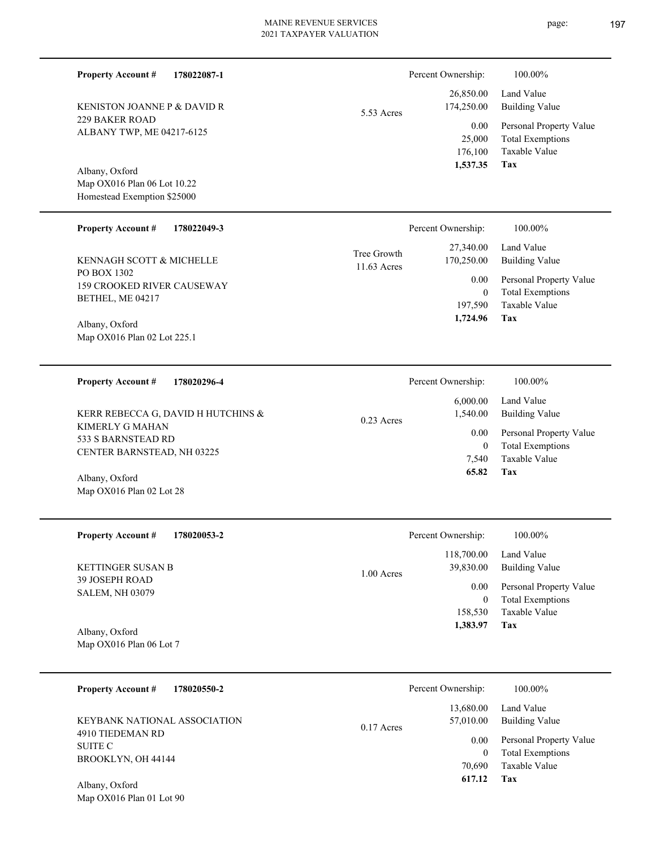5.53 Acres

11.63 Acres Tree Growth

Map OX016 Plan 06 Lot 10.22 Homestead Exemption \$25000 Albany, Oxford

ALBANY TWP, ME 04217-6125

KENISTON JOANNE P & DAVID R

229 BAKER ROAD

**Property Account #**

**178022087-1**

#### **178022049-3 Property Account #**

PO BOX 1302 159 CROOKED RIVER CAUSEWAY BETHEL, ME 04217 KENNAGH SCOTT & MICHELLE

Map OX016 Plan 02 Lot 225.1 Albany, Oxford

Map OX016 Plan 02 Lot 28

**178020296-4 Tax** Taxable Value Total Exemptions Personal Property Value Building Value Land Value KIMERLY G MAHAN 533 S BARNSTEAD RD CENTER BARNSTEAD, NH 03225 **Property Account #** Albany, Oxford KERR REBECCA G, DAVID H HUTCHINS & 7,540 0  **65.82** 6,000.00 1,540.00 0.00 0.23 Acres Percent Ownership:  $100.00\%$ 

| <b>Property Account #</b><br>178020053-2          | Percent Ownership:                      | 100.00%                                            |
|---------------------------------------------------|-----------------------------------------|----------------------------------------------------|
| <b>KETTINGER SUSAN B</b><br><b>39 JOSEPH ROAD</b> | 118,700.00<br>39,830.00<br>$1.00$ Acres | Land Value<br><b>Building Value</b>                |
| <b>SALEM, NH 03079</b>                            | 0.00<br>$\bf{0}$                        | Personal Property Value<br><b>Total Exemptions</b> |
|                                                   | 158,530                                 | Taxable Value                                      |
| Albany, Oxford                                    | 1,383.97                                | Tax                                                |

| <b>Property Account #</b><br>178020550-2         | Percent Ownership:                     | 100.00%                      |
|--------------------------------------------------|----------------------------------------|------------------------------|
| KEYBANK NATIONAL ASSOCIATION<br>4910 TIEDEMAN RD | 13,680.00<br>57,010.00<br>$0.17$ Acres | Land Value<br>Building Value |
| SUITE C                                          | 0.00                                   | Personal Property Value      |
| BROOKLYN, OH 44144                               | 0                                      | <b>Total Exemptions</b>      |
|                                                  | 70,690                                 | Taxable Value                |
| Albany, Oxford                                   | 617.12                                 | Tax                          |

Map OX016 Plan 01 Lot 90

**Tax** Taxable Value 197,590  **1,724.96**

0

0.00

Percent Ownership: 100.00%

**Tax**

 176,100 25,000

0.00

Percent Ownership:  $100.00\%$ 

 26,850.00 174,250.00

 **1,537.35**

 27,340.00 170,250.00 Taxable Value Total Exemptions Personal Property Value

Total Exemptions Personal Property Value

Building Value Land Value

Building Value Land Value

|          | 7,540<br>65.82     | Taxable Value<br>Tax    |
|----------|--------------------|-------------------------|
|          | Percent Ownership: | 100.00%                 |
|          | 118,700.00         | Land Value              |
| 00 Acres | 39,830.00          | <b>Building Value</b>   |
|          | 0.00               | Personal Property Value |
|          | 0                  | <b>Total Exemptions</b> |

Map OX016 Plan 06 Lot 7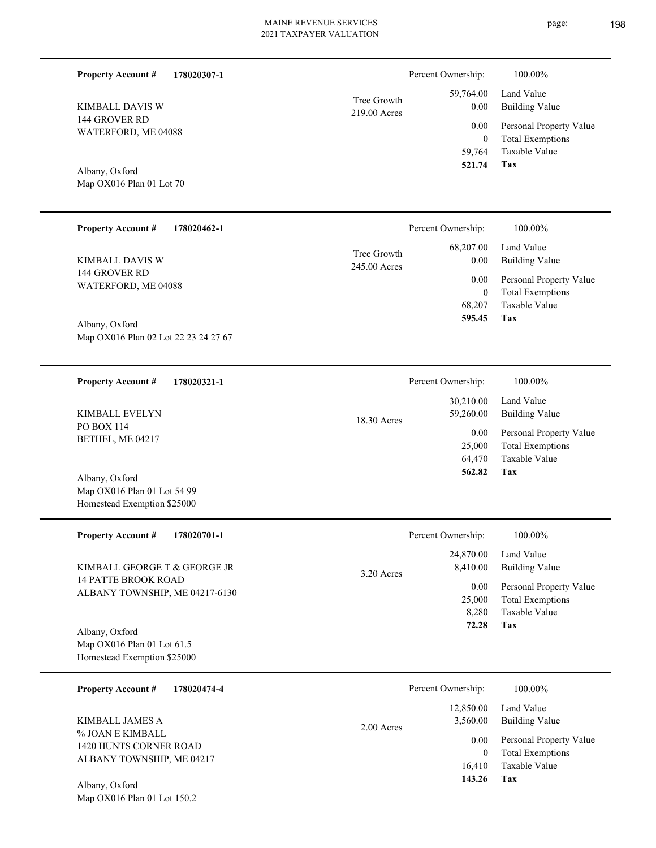| <b>Property Account #</b><br>178020307-1                                     |                             | Percent Ownership:                       | 100.00%                                                                                  |
|------------------------------------------------------------------------------|-----------------------------|------------------------------------------|------------------------------------------------------------------------------------------|
| KIMBALL DAVIS W                                                              | Tree Growth<br>219.00 Acres | 59,764.00<br>0.00                        | Land Value<br><b>Building Value</b>                                                      |
| 144 GROVER RD<br>WATERFORD, ME 04088                                         |                             | 0.00<br>$\mathbf{0}$<br>59,764<br>521.74 | Personal Property Value<br><b>Total Exemptions</b><br><b>Taxable Value</b><br><b>Tax</b> |
| Albany, Oxford<br>Map OX016 Plan 01 Lot 70                                   |                             |                                          |                                                                                          |
| <b>Property Account #</b><br>178020462-1                                     |                             | Percent Ownership:                       | 100.00%                                                                                  |
| KIMBALL DAVIS W                                                              | Tree Growth<br>245.00 Acres | 68,207.00<br>0.00                        | Land Value<br><b>Building Value</b>                                                      |
| 144 GROVER RD<br>WATERFORD, ME 04088                                         |                             | 0.00<br>$\mathbf{0}$                     | Personal Property Value<br><b>Total Exemptions</b>                                       |
| Albany, Oxford                                                               |                             | 68,207<br>595.45                         | Taxable Value<br>Tax                                                                     |
| Map OX016 Plan 02 Lot 22 23 24 27 67                                         |                             |                                          |                                                                                          |
| <b>Property Account #</b><br>178020321-1                                     |                             | Percent Ownership:                       | 100.00%                                                                                  |
| KIMBALL EVELYN                                                               | 18.30 Acres                 | 30,210.00<br>59,260.00                   | Land Value<br><b>Building Value</b>                                                      |
| PO BOX 114<br>BETHEL, ME 04217                                               |                             | 0.00<br>25,000<br>64,470                 | Personal Property Value<br><b>Total Exemptions</b><br>Taxable Value                      |
| Albany, Oxford<br>Map OX016 Plan 01 Lot 54 99<br>Homestead Exemption \$25000 |                             | 562.82                                   | Tax                                                                                      |
| <b>Property Account #</b><br>178020701-1                                     |                             | Percent Ownership:                       | $100.00\%$                                                                               |
| KIMBALL GEORGE T & GEORGE JR                                                 | 3.20 Acres                  | 24,870.00<br>8,410.00                    | Land Value<br><b>Building Value</b>                                                      |
| <b>14 PATTE BROOK ROAD</b><br>ALBANY TOWNSHIP, ME 04217-6130                 |                             | 0.00<br>25,000<br>8,280                  | Personal Property Value<br><b>Total Exemptions</b><br>Taxable Value                      |
| Albany, Oxford<br>Map OX016 Plan 01 Lot 61.5<br>Homestead Exemption \$25000  |                             | 72.28                                    | Tax                                                                                      |
| <b>Property Account #</b><br>178020474-4                                     |                             | Percent Ownership:                       | 100.00%                                                                                  |
| KIMBALL JAMES A                                                              | 2.00 Acres                  | 12,850.00<br>3,560.00                    | Land Value<br><b>Building Value</b>                                                      |
| % JOAN E KIMBALL<br>1420 HUNTS CORNER ROAD                                   |                             | 0.00<br>$\overline{0}$                   | Personal Property Value<br><b>Total Exemptions</b>                                       |
| ALBANY TOWNSHIP, ME 04217<br>$Albony$ Oxford                                 |                             | 16,410<br>143.26                         | Taxable Value<br>Tax                                                                     |

Map OX016 Plan 01 Lot 150.2 Albany, Oxford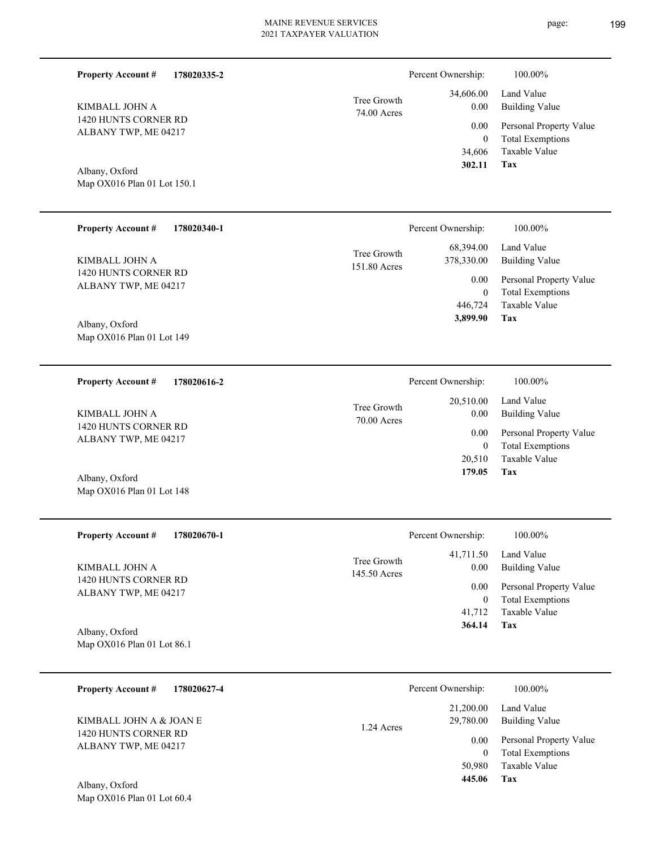| 34,606.00 |             |
|-----------|-------------|
| 0.00      | Tree Growth |
|           | 74.00 Acres |
| 0.00      |             |
|           |             |

ALBANY TWP, ME 04217 Albany, Oxford

**178020335-2**

Map OX016 Plan 01 Lot 150.1

Map OX016 Plan 01 Lot 60.4

1420 HUNTS CORNER RD

**Property Account #**

KIMBALL JOHN A

| <b>Property Account #</b><br>178020340-1                       | Percent Ownership:                                             | 100.00%                                                        |
|----------------------------------------------------------------|----------------------------------------------------------------|----------------------------------------------------------------|
| KIMBALL JOHN A<br>1420 HUNTS CORNER RD<br>ALBANY TWP, ME 04217 | 68,394.00<br>Tree Growth<br>378,330.00<br>151.80 Acres<br>0.00 | Land Value<br><b>Building Value</b><br>Personal Property Value |
|                                                                |                                                                | <b>Total Exemptions</b><br>$\mathbf{0}$                        |
|                                                                | 446,724                                                        | Taxable Value                                                  |
| Albany, Oxford                                                 | 3,899.90                                                       | Tax                                                            |
| Map $OX016$ Plan 01 Lot 149                                    |                                                                |                                                                |

**178020616-2 Tax** Taxable Value Total Exemptions Personal Property Value Building Value Land Value 1420 HUNTS CORNER RD ALBANY TWP, ME 04217 **Property Account #** Map OX016 Plan 01 Lot 148 Albany, Oxford KIMBALL JOHN A 20,510 0  **179.05** 20,510.00 0.00 0.00 70.00 Acres Tree Growth Percent Ownership:  $100.00\%$ 

| <b>Property Account #</b><br>178020670-1 | Percent Ownership:                       | 100.00%                              |  |
|------------------------------------------|------------------------------------------|--------------------------------------|--|
| KIMBALL JOHN A<br>1420 HUNTS CORNER RD   | 41,711.50<br>Tree Growth<br>145.50 Acres | Land Value<br>0.00<br>Building Value |  |
| ALBANY TWP, ME 04217                     |                                          | Personal Property Value<br>0.00      |  |
|                                          |                                          | <b>Total Exemptions</b><br>0         |  |
|                                          |                                          | Taxable Value<br>41,712              |  |
| Albany, Oxford                           |                                          | Tax<br>364.14                        |  |
| Map OX016 Plan 01 Lot 86.1               |                                          |                                      |  |

| <b>Property Account #</b><br>178020627-4                                | Percent Ownership:                                     | 100.00%                                                                                             |
|-------------------------------------------------------------------------|--------------------------------------------------------|-----------------------------------------------------------------------------------------------------|
| KIMBALL JOHN A & JOAN E<br>1420 HUNTS CORNER RD<br>ALBANY TWP, ME 04217 | 21,200.00<br>29,780.00<br>1.24 Acres<br>0.00<br>50,980 | Land Value<br>Building Value<br>Personal Property Value<br><b>Total Exemptions</b><br>Taxable Value |
| Albany, Oxford                                                          | 445.06                                                 | Tax                                                                                                 |

**Tax**

 34,606 0

Percent Ownership:  $100.00\%$ 

 **302.11**

Taxable Value Total Exemptions Personal Property Value

Building Value Land Value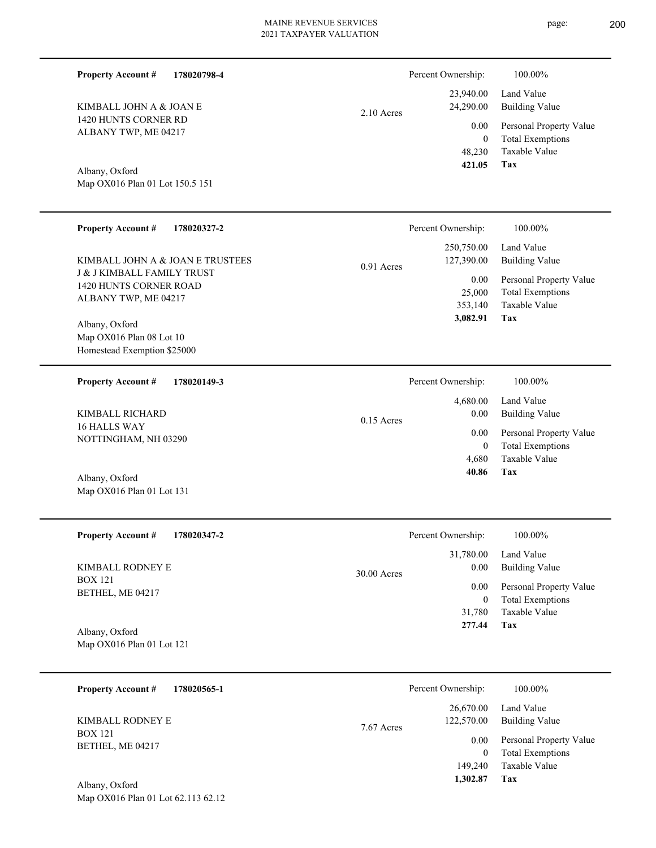2.10 Acres

1420 HUNTS CORNER RD ALBANY TWP, ME 04217 KIMBALL JOHN A & JOAN E

**Property Account #**

**178020798-4**

## Albany, Oxford

| <b>Property Account #</b><br>178020327-2                                                                                    |              | Percent Ownership:                                                    | 100.00%                                                                                                           |
|-----------------------------------------------------------------------------------------------------------------------------|--------------|-----------------------------------------------------------------------|-------------------------------------------------------------------------------------------------------------------|
| KIMBALL JOHN A & JOAN E TRUSTEES<br><b>J &amp; J KIMBALL FAMILY TRUST</b><br>1420 HUNTS CORNER ROAD<br>ALBANY TWP, ME 04217 | $0.91$ Acres | 250,750.00<br>127,390.00<br>$0.00\,$<br>25,000<br>353,140<br>3,082.91 | Land Value<br><b>Building Value</b><br>Personal Property Value<br><b>Total Exemptions</b><br>Taxable Value<br>Tax |
| Albany, Oxford<br>Map OX016 Plan 08 Lot 10<br>Homestead Exemption \$25000                                                   |              |                                                                       |                                                                                                                   |
| <b>Property Account #</b><br>178020149-3                                                                                    |              | Percent Ownership:                                                    | 100.00%                                                                                                           |
| KIMBALL RICHARD<br>16 HALLS WAY<br>NOTTINGHAM, NH 03290<br>Albany, Oxford                                                   | $0.15$ Acres | 4,680.00<br>0.00<br>$0.00\,$<br>$\boldsymbol{0}$<br>4,680<br>40.86    | Land Value<br><b>Building Value</b><br>Personal Property Value<br><b>Total Exemptions</b><br>Taxable Value<br>Tax |
| Map OX016 Plan 01 Lot 131                                                                                                   |              |                                                                       |                                                                                                                   |
| <b>Property Account #</b><br>178020347-2                                                                                    |              | Percent Ownership:                                                    | 100.00%                                                                                                           |
| KIMBALL RODNEY E<br><b>BOX 121</b><br>BETHEL, ME 04217<br>Albany, Oxford<br>Map OX016 Plan 01 Lot 121                       | 30.00 Acres  | 31,780.00<br>0.00<br>0.00<br>$\bf{0}$<br>31,780<br>277.44             | Land Value<br><b>Building Value</b><br>Personal Property Value<br><b>Total Exemptions</b><br>Taxable Value<br>Tax |
|                                                                                                                             |              |                                                                       |                                                                                                                   |
| <b>Property Account #</b><br>178020565-1                                                                                    |              | Percent Ownership:                                                    | 100.00%                                                                                                           |
| KIMBALL RODNEY E<br><b>BOX 121</b>                                                                                          | 7.67 Acres   | 26,670.00<br>122,570.00                                               | Land Value<br><b>Building Value</b>                                                                               |
| DETHEL ME 04217                                                                                                             |              | 0.00                                                                  | Personal Property Value                                                                                           |

Map OX016 Plan 01 Lot 150.5 151

Map OX016 Plan 01 Lot 62.113 62.12 Albany, Oxford

BETHEL, ME 04217



**Tax**

**Tax**

 149,240  $\boldsymbol{0}$ 

 **1,302.87**

Taxable Value Total Exemptions

 48,230 0

0.00

Percent Ownership:  $100.00\%$ 

 23,940.00 24,290.00

 **421.05**

Taxable Value Total Exemptions Personal Property Value

Building Value Land Value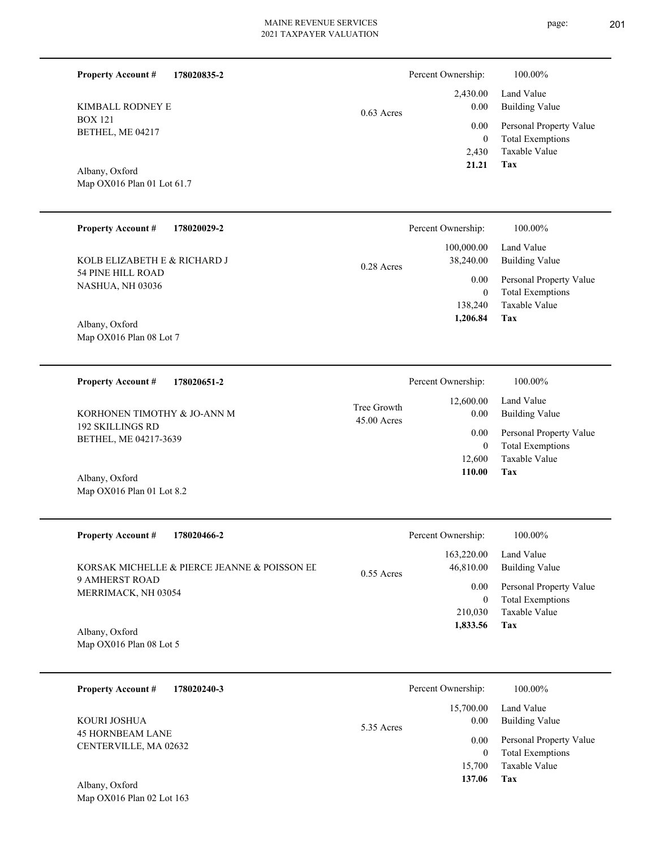BOX 121 BETHEL, ME 04217 KIMBALL RODNEY E

**Property Account #**

**178020835-2**

Map OX016 Plan 01 Lot 61.7 Albany, Oxford

| <b>Property Account #</b><br>178020029-2     | Percent Ownership:                      | 100.00%                                            |
|----------------------------------------------|-----------------------------------------|----------------------------------------------------|
| KOLB ELIZABETH E & RICHARD J                 | 100,000.00<br>38,240.00<br>$0.28$ Acres | Land Value<br><b>Building Value</b>                |
| 54 PINE HILL ROAD<br><b>NASHUA, NH 03036</b> | 0.00<br>$\mathbf{0}$                    | Personal Property Value<br><b>Total Exemptions</b> |
|                                              | 138.240                                 | Taxable Value                                      |
| Albany, Oxford                               | 1,206.84                                | Tax                                                |
| Map OX016 Plan 08 Lot 7                      |                                         |                                                    |

**178020651-2 Tax** Taxable Value Total Exemptions Personal Property Value Building Value Land Value 192 SKILLINGS RD BETHEL, ME 04217-3639 **Property Account #** Map OX016 Plan 01 Lot 8.2 Albany, Oxford KORHONEN TIMOTHY & JO-ANN M 12,600 0  **110.00** 12,600.00 0.00 0.00 45.00 Acres Tree Growth Percent Ownership:  $100.00\%$ 

| <b>Property Account #</b><br>178020466-2     | Percent Ownership:                      | 100.00%                                            |
|----------------------------------------------|-----------------------------------------|----------------------------------------------------|
| KORSAK MICHELLE & PIERCE JEANNE & POISSON EL | 163,220.00<br>46,810.00<br>$0.55$ Acres | Land Value<br>Building Value                       |
| 9 AMHERST ROAD<br>MERRIMACK, NH 03054        | 0.00                                    | Personal Property Value<br><b>Total Exemptions</b> |
|                                              | 210,030                                 | Taxable Value                                      |
| $\Lambda$ lhony Oyford                       | 1,833.56                                | Tax                                                |

Map OX016 Plan 08 Lot 5 Albany, Oxford

| 178020240-3<br><b>Property Account #</b>         | Percent Ownership:              | 100.00%                                            |
|--------------------------------------------------|---------------------------------|----------------------------------------------------|
| KOURI JOSHUA                                     | 15,700.00<br>0.00<br>5.35 Acres | Land Value<br><b>Building Value</b>                |
| <b>45 HORNBEAM LANE</b><br>CENTERVILLE, MA 02632 | 0.00<br>0                       | Personal Property Value<br><b>Total Exemptions</b> |
| Albany, Oxford                                   | 15,700<br>137.06                | Taxable Value<br>Tax                               |

Map OX016 Plan 02 Lot 163

|              | Percent Ownership: | 100.00%                 |
|--------------|--------------------|-------------------------|
|              |                    | $2,430.00$ Land Value   |
| $0.63$ Acres | 0.00               | Building Value          |
|              | $0.00\,$           | Personal Property Value |
|              | $\theta$           | <b>Total Exemptions</b> |
|              | 2.430              | Taxable Value           |
|              | 21.21              | Tax                     |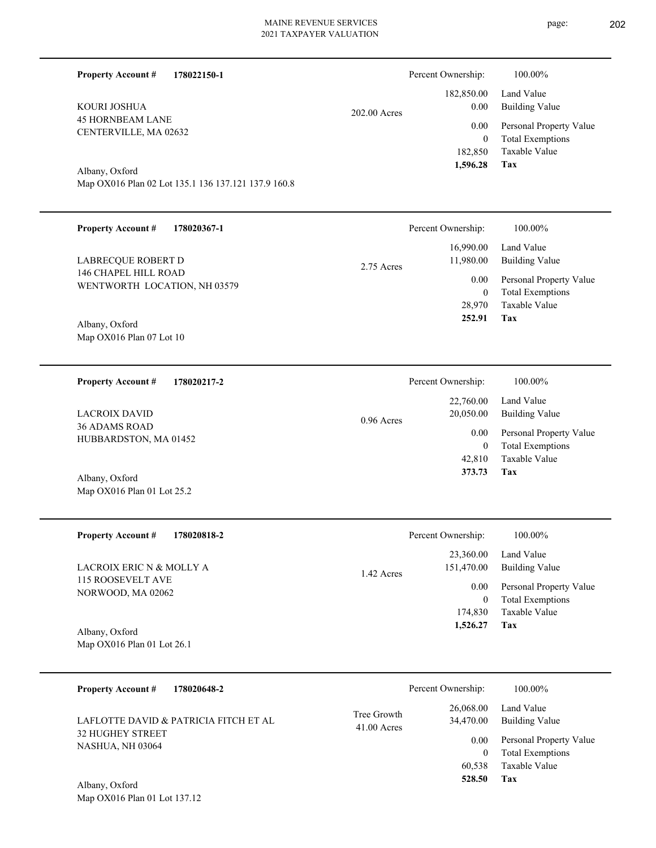**178022150-1**

**Property Account #**

Percent Ownership:  $100.00\%$ 

| KOURI JOSHUA<br><b>45 HORNBEAM LANE</b><br>CENTERVILLE, MA 02632<br>Albany, Oxford<br>Map OX016 Plan 02 Lot 135.1 136 137.121 137.9 160.8<br><b>Property Account #</b><br>178020367-1<br>LABRECQUE ROBERT D<br>146 CHAPEL HILL ROAD<br>WENTWORTH LOCATION, NH 03579 | 202.00 Acres<br>2.75 Acres | 182,850.00<br>0.00<br>0.00<br>$\boldsymbol{0}$<br>182,850<br>1,596.28<br>Percent Ownership:<br>16,990.00<br>11,980.00<br>0.00<br>$\boldsymbol{0}$ | Land Value<br><b>Building Value</b><br>Personal Property Value<br><b>Total Exemptions</b><br><b>Taxable Value</b><br>Tax<br>100.00%<br>Land Value<br><b>Building Value</b><br>Personal Property Value<br><b>Total Exemptions</b> |
|---------------------------------------------------------------------------------------------------------------------------------------------------------------------------------------------------------------------------------------------------------------------|----------------------------|---------------------------------------------------------------------------------------------------------------------------------------------------|----------------------------------------------------------------------------------------------------------------------------------------------------------------------------------------------------------------------------------|
| Albany, Oxford                                                                                                                                                                                                                                                      |                            | 28,970                                                                                                                                            | Taxable Value                                                                                                                                                                                                                    |
| Map OX016 Plan 07 Lot 10                                                                                                                                                                                                                                            |                            | 252.91                                                                                                                                            | <b>Tax</b>                                                                                                                                                                                                                       |
| 178020217-2                                                                                                                                                                                                                                                         | $0.96$ Acres               | Percent Ownership:                                                                                                                                | 100.00%                                                                                                                                                                                                                          |
| <b>Property Account #</b>                                                                                                                                                                                                                                           |                            | 22,760.00                                                                                                                                         | Land Value                                                                                                                                                                                                                       |
| <b>LACROIX DAVID</b>                                                                                                                                                                                                                                                |                            | 20,050.00                                                                                                                                         | <b>Building Value</b>                                                                                                                                                                                                            |
| 36 ADAMS ROAD                                                                                                                                                                                                                                                       |                            | 0.00                                                                                                                                              | Personal Property Value                                                                                                                                                                                                          |
| HUBBARDSTON, MA 01452                                                                                                                                                                                                                                               |                            | $\boldsymbol{0}$                                                                                                                                  | <b>Total Exemptions</b>                                                                                                                                                                                                          |
| Albany, Oxford                                                                                                                                                                                                                                                      |                            | 42,810                                                                                                                                            | Taxable Value                                                                                                                                                                                                                    |
| Map OX016 Plan 01 Lot 25.2                                                                                                                                                                                                                                          |                            | 373.73                                                                                                                                            | Tax                                                                                                                                                                                                                              |
| <b>Property Account #</b>                                                                                                                                                                                                                                           | 1.42 Acres                 | Percent Ownership:                                                                                                                                | 100.00%                                                                                                                                                                                                                          |
| 178020818-2                                                                                                                                                                                                                                                         |                            | 23,360.00                                                                                                                                         | Land Value                                                                                                                                                                                                                       |
| LACROIX ERIC N & MOLLY A                                                                                                                                                                                                                                            |                            | 151,470.00                                                                                                                                        | Building Value                                                                                                                                                                                                                   |
| 115 ROOSEVELT AVE                                                                                                                                                                                                                                                   |                            | 0.00                                                                                                                                              | Personal Property Value                                                                                                                                                                                                          |
| NORWOOD, MA 02062                                                                                                                                                                                                                                                   |                            | $\boldsymbol{0}$                                                                                                                                  | <b>Total Exemptions</b>                                                                                                                                                                                                          |
| Albany, Oxford                                                                                                                                                                                                                                                      |                            | 174,830                                                                                                                                           | Taxable Value                                                                                                                                                                                                                    |
| Map OX016 Plan 01 Lot 26.1                                                                                                                                                                                                                                          |                            | 1,526.27                                                                                                                                          | Tax                                                                                                                                                                                                                              |
| <b>Property Account #</b><br>178020648-2<br>LAFLOTTE DAVID & PATRICIA FITCH ET AL<br>32 HUGHEY STREET<br>NASHUA, NH 03064<br>Albany, Oxford<br>Map OX016 Plan 01 Lot 137.12                                                                                         | Tree Growth<br>41.00 Acres | Percent Ownership:<br>26,068.00<br>34,470.00<br>0.00<br>$\boldsymbol{0}$<br>60,538<br>528.50                                                      | 100.00%<br>Land Value<br><b>Building Value</b><br>Personal Property Value<br><b>Total Exemptions</b><br>Taxable Value<br>Tax                                                                                                     |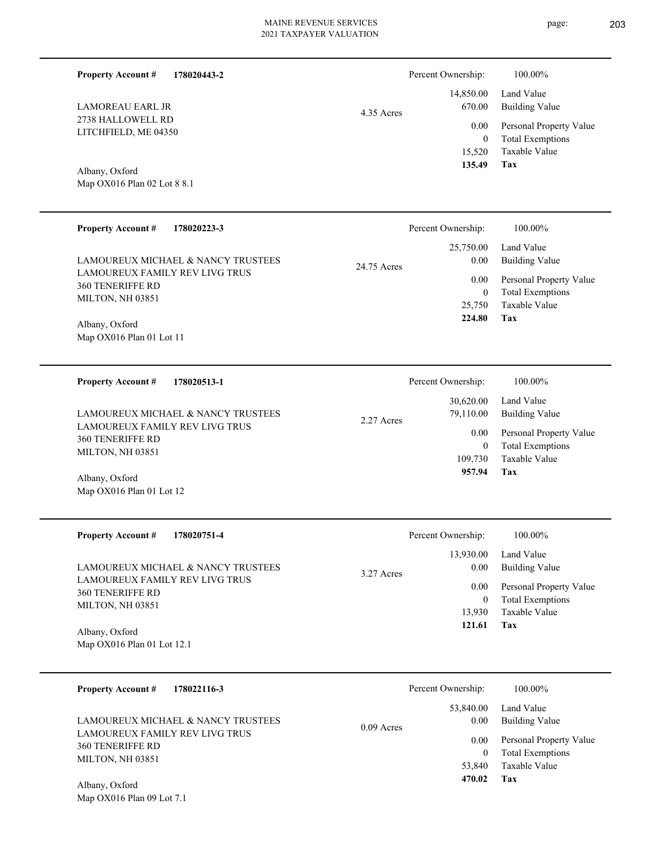4.35 Acres

| <b>Property Account #</b> | 178020443-2 |
|---------------------------|-------------|
|                           |             |

2738 HALLOWELL RD LITCHFIELD, ME 04350 LAMOREAU EARL JR

Map OX016 Plan 02 Lot 8 8.1 Albany, Oxford

| <b>Property Account #</b><br>178020223-3<br>LAMOUREUX MICHAEL & NANCY TRUSTEES | Percent Ownership:<br>25,750.00<br>0.00<br>24.75 Acres | 100.00%<br>Land Value<br><b>Building Value</b>                             |
|--------------------------------------------------------------------------------|--------------------------------------------------------|----------------------------------------------------------------------------|
| LAMOUREUX FAMILY REV LIVG TRUS<br><b>360 TENERIFFE RD</b><br>MILTON, NH 03851  | $0.00\,$<br>$\theta$<br>25,750<br>224.80               | Personal Property Value<br><b>Total Exemptions</b><br>Taxable Value<br>Tax |
| Albany, Oxford<br>Map OX016 Plan 01 Lot 11                                     |                                                        |                                                                            |
| <b>Property Account #</b><br>178020513-1                                       | Percent Ownership:                                     | 100.00%                                                                    |
| LAMOUREUX MICHAEL & NANCY TRUSTEES                                             | 30,620.00<br>79,110.00<br>2.27 Acres                   | Land Value<br>Building Value                                               |

LAMOUREUX FAMILY REV LIVG TRUS 360 TENERIFFE RD MILTON, NH 03851

Map OX016 Plan 01 Lot 12 Albany, Oxford

| <b>Property Account #</b><br>178020751-4                                      | Percent Ownership:                | 100.00%                                                             |
|-------------------------------------------------------------------------------|-----------------------------------|---------------------------------------------------------------------|
| LAMOUREUX MICHAEL & NANCY TRUSTEES                                            | 13,930.00<br>0.00<br>$3.27$ Acres | Land Value<br><b>Building Value</b>                                 |
| LAMOUREUX FAMILY REV LIVG TRUS<br><b>360 TENERIFFE RD</b><br>MILTON, NH 03851 | 0.00<br>0<br>13,930               | Personal Property Value<br><b>Total Exemptions</b><br>Taxable Value |
| Albany, Oxford<br>Map $OX016$ Plan 01 Lot 12.1                                | 121.61                            | Tax                                                                 |

| 178022116-3<br><b>Property Account #</b>                             | Percent Ownership:                | 100.00%                                     |
|----------------------------------------------------------------------|-----------------------------------|---------------------------------------------|
| LAMOUREUX MICHAEL & NANCY TRUSTEES<br>LAMOUREUX FAMILY REV LIVG TRUS | 53,840.00<br>0.00<br>$0.09$ Acres | Land Value<br>Building Value                |
| <b>360 TENERIFFE RD</b><br>MILTON, NH 03851                          | 0.00<br>0                         | Personal Property Value<br>Total Exemptions |
| Albany Oxford                                                        | 53.840<br>470.02                  | Taxable Value<br>Tax                        |

Map OX016 Plan 09 Lot 7.1 Albany, Oxford

**Tax**

**Tax**

 109,730 0

0.00

 **957.94**

Taxable Value Total Exemptions Personal Property Value

 15,520 0

 14,850.00 670.00 0.00

Percent Ownership:  $100.00\%$ 

 **135.49**

Taxable Value Total Exemptions Personal Property Value

Building Value Land Value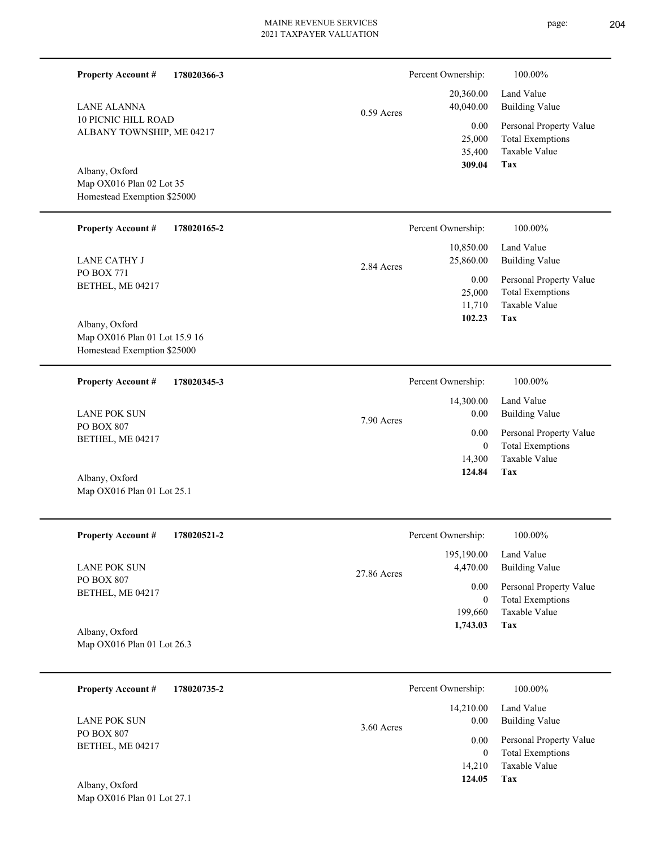L

| <b>Property Account #</b><br>178020366-3<br><b>LANE ALANNA</b><br><b>10 PICNIC HILL ROAD</b><br>ALBANY TOWNSHIP, ME 04217 | $0.59$ Acres | Percent Ownership:<br>20,360.00<br>40,040.00<br>0.00<br>25,000<br>35,400<br>309.04 | 100.00%<br>Land Value<br><b>Building Value</b><br>Personal Property Value<br><b>Total Exemptions</b><br>Taxable Value |
|---------------------------------------------------------------------------------------------------------------------------|--------------|------------------------------------------------------------------------------------|-----------------------------------------------------------------------------------------------------------------------|
| Albany, Oxford<br>Map OX016 Plan 02 Lot 35<br>Homestead Exemption \$25000                                                 |              |                                                                                    | Tax                                                                                                                   |
| <b>Property Account #</b><br>178020165-2                                                                                  |              | Percent Ownership:                                                                 | 100.00%                                                                                                               |
| <b>LANE CATHY J</b>                                                                                                       | 2.84 Acres   | 10,850.00<br>25,860.00                                                             | Land Value<br><b>Building Value</b>                                                                                   |
| PO BOX 771<br>BETHEL, ME 04217<br>Albany, Oxford                                                                          |              | 0.00<br>25,000<br>11,710<br>102.23                                                 | Personal Property Value<br><b>Total Exemptions</b><br>Taxable Value<br>Tax                                            |
| Map OX016 Plan 01 Lot 15.9 16<br>Homestead Exemption \$25000                                                              |              |                                                                                    |                                                                                                                       |
| <b>Property Account #</b><br>178020345-3                                                                                  |              | Percent Ownership:                                                                 | 100.00%                                                                                                               |
| <b>LANE POK SUN</b>                                                                                                       | 7.90 Acres   | 14,300.00<br>0.00                                                                  | Land Value<br><b>Building Value</b>                                                                                   |
| PO BOX 807<br>BETHEL, ME 04217                                                                                            |              | 0.00<br>$\mathbf{0}$<br>14,300                                                     | Personal Property Value<br><b>Total Exemptions</b><br>Taxable Value                                                   |
| Albany, Oxford<br>Map OX016 Plan 01 Lot 25.1                                                                              |              | 124.84                                                                             | <b>Tax</b>                                                                                                            |
| <b>Property Account #</b><br>178020521-2                                                                                  |              | Percent Ownership:                                                                 | 100.00%                                                                                                               |
| <b>LANE POK SUN</b>                                                                                                       | 27.86 Acres  | 195,190.00<br>4,470.00                                                             | Land Value<br><b>Building Value</b>                                                                                   |
| PO BOX 807<br>BETHEL, ME 04217                                                                                            |              | 0.00<br>$\overline{0}$<br>199,660<br>1,743.03                                      | Personal Property Value<br><b>Total Exemptions</b><br>Taxable Value<br><b>Tax</b>                                     |
| Albany, Oxford<br>Map OX016 Plan 01 Lot 26.3                                                                              |              |                                                                                    |                                                                                                                       |
| <b>Property Account #</b><br>178020735-2                                                                                  |              | Percent Ownership:                                                                 | 100.00%                                                                                                               |
| <b>LANE POK SUN</b>                                                                                                       |              | 14,210.00<br>0.00                                                                  | Land Value<br><b>Building Value</b>                                                                                   |
| PO BOX 807<br>BETHEL, ME 04217                                                                                            | 3.60 Acres   | 0.00<br>$\theta$<br>14,210<br>124.05                                               | Personal Property Value<br><b>Total Exemptions</b><br>Taxable Value<br>Tax                                            |
| Albany, Oxford<br>Map OX016 Plan 01 Lot 27.1                                                                              |              |                                                                                    |                                                                                                                       |

page: 204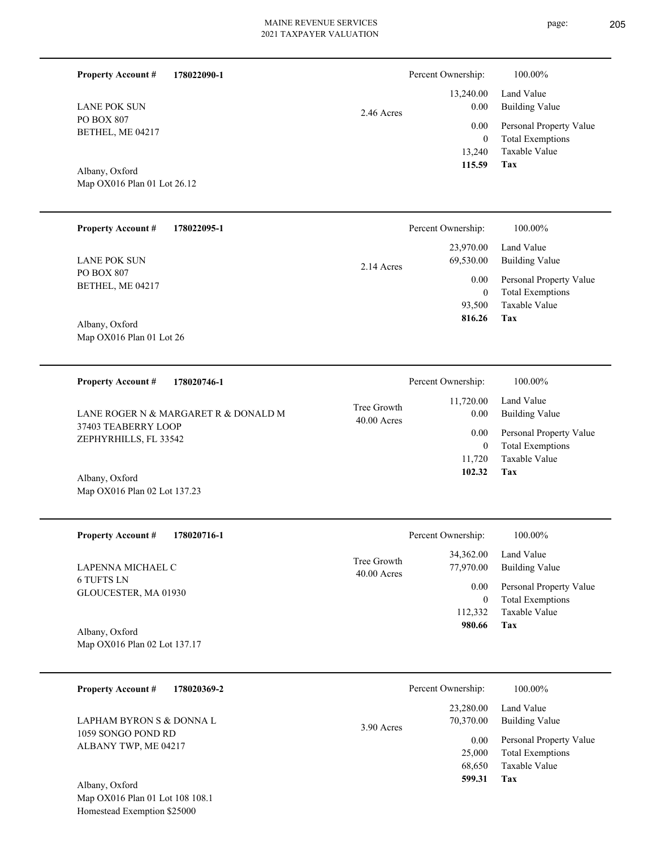**178022090-1**

PO BOX 807 BETHEL, ME 04217 LANE POK SUN

**Property Account #**

Map OX016 Plan 01 Lot 26.12 Albany, Oxford

| <b>Property Account #</b>                             | 178022095-1 |            | Percent Ownership:     | 100.00%                                            |
|-------------------------------------------------------|-------------|------------|------------------------|----------------------------------------------------|
| <b>LANE POK SUN</b><br>PO BOX 807<br>BETHEL, ME 04217 |             | 2.14 Acres | 23,970.00<br>69,530.00 | Land Value<br>Building Value                       |
|                                                       |             |            | 0.00<br>$\overline{0}$ | Personal Property Value<br><b>Total Exemptions</b> |
| Albany Oxford                                         |             |            | 93,500<br>816.26       | Taxable Value<br>Tax                               |

Map OX016 Plan 01 Lot 26 Albany, Oxford

Map OX016 Plan 02 Lot 137.23

| 178020746-1<br><b>Property Account #</b>                    | Percent Ownership:           |                   | 100.00%                                            |
|-------------------------------------------------------------|------------------------------|-------------------|----------------------------------------------------|
| LANE ROGER N & MARGARET R & DONALD M<br>37403 TEABERRY LOOP | Tree Growth<br>$40.00$ Acres | 11,720.00<br>0.00 | Land Value<br>Building Value                       |
| ZEPHYRHILLS, FL 33542                                       |                              | 0.00<br>0         | Personal Property Value<br><b>Total Exemptions</b> |
|                                                             |                              | 11.720            | Taxable Value                                      |
| Albany, Oxford                                              |                              | 102.32            | Tax                                                |

| <b>Property Account #</b><br>178020716-1       | Percent Ownership:                                     | 100.00%                             |
|------------------------------------------------|--------------------------------------------------------|-------------------------------------|
| LAPENNA MICHAEL C                              | 34,362.00<br>Tree Growth<br>77,970.00<br>$40.00$ Acres | Land Value<br><b>Building Value</b> |
| <b>6 TUFTS LN</b>                              | 0.00                                                   | Personal Property Value             |
| GLOUCESTER, MA 01930                           | 0                                                      | <b>Total Exemptions</b>             |
|                                                | 112,332                                                | Taxable Value                       |
| Albany, Oxford<br>Map OX016 Plan 02 Lot 137.17 | 980.66                                                 | Tax                                 |

| 178020369-2<br><b>Property Account #</b>       | Percent Ownership:                     | 100.00%                             |
|------------------------------------------------|----------------------------------------|-------------------------------------|
| LAPHAM BYRON S & DONNA L<br>1059 SONGO POND RD | 23,280.00<br>70.370.00<br>$3.90$ Acres | Land Value<br><b>Building Value</b> |
| ALBANY TWP, ME 04217                           | 0.00                                   | Personal Property Value             |
|                                                | 25,000                                 | <b>Total Exemptions</b>             |
|                                                | 68,650                                 | Taxable Value                       |
| Albany, Oxford                                 | 599.31                                 | Tax                                 |

Map OX016 Plan 01 Lot 108 108.1 Homestead Exemption \$25000

|            | Percent Ownership: | 100.00%                 |
|------------|--------------------|-------------------------|
|            |                    | 13,240.00 Land Value    |
| 2.46 Acres | 0.00               | <b>Building Value</b>   |
|            | 0.00               | Personal Property Value |
|            | 0                  | <b>Total Exemptions</b> |
|            | 13,240             | Taxable Value           |
|            | 115.59             | Tax                     |

| Percent Ownership: |
|--------------------|
| 11.720.00          |

| wth<br>res: | 0.00         | 11,720.00 Land Value<br>Building Value                  |
|-------------|--------------|---------------------------------------------------------|
|             | $\Omega$     | 0.00 Personal Property Value<br><b>Total Exemptions</b> |
|             | $102.32$ Tax | 11,720 Taxable Value                                    |
|             |              |                                                         |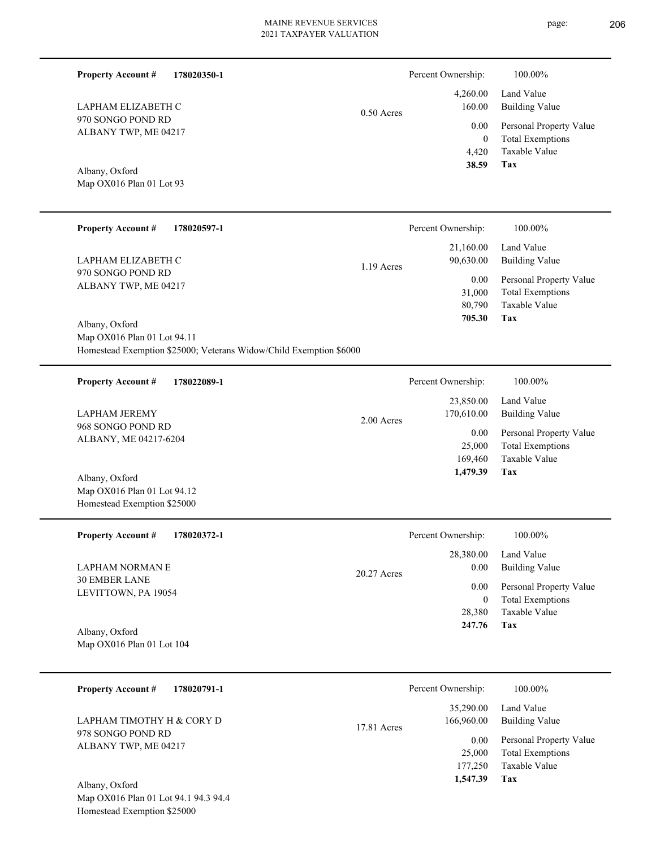page: 206

| <b>Property Account #</b><br>178020350-1                                                                            |              | Percent Ownership:                    | 100.00%                                                                    |
|---------------------------------------------------------------------------------------------------------------------|--------------|---------------------------------------|----------------------------------------------------------------------------|
| LAPHAM ELIZABETH C                                                                                                  | $0.50$ Acres | 4,260.00<br>160.00                    | Land Value<br><b>Building Value</b>                                        |
| 970 SONGO POND RD<br>ALBANY TWP, ME 04217                                                                           |              | 0.00<br>$\mathbf{0}$<br>4,420         | Personal Property Value<br><b>Total Exemptions</b><br>Taxable Value        |
| Albany, Oxford<br>Map OX016 Plan 01 Lot 93                                                                          |              | 38.59                                 | Tax                                                                        |
| <b>Property Account #</b><br>178020597-1                                                                            |              | Percent Ownership:                    | 100.00%                                                                    |
| LAPHAM ELIZABETH C                                                                                                  | 1.19 Acres   | 21,160.00<br>90,630.00                | Land Value<br><b>Building Value</b>                                        |
| 970 SONGO POND RD<br>ALBANY TWP, ME 04217                                                                           |              | 0.00<br>31,000<br>80,790<br>705.30    | Personal Property Value<br><b>Total Exemptions</b><br>Taxable Value<br>Tax |
| Albany, Oxford<br>Map OX016 Plan 01 Lot 94.11<br>Homestead Exemption \$25000; Veterans Widow/Child Exemption \$6000 |              |                                       |                                                                            |
| <b>Property Account #</b><br>178022089-1                                                                            |              | Percent Ownership:                    | 100.00%                                                                    |
| <b>LAPHAM JEREMY</b>                                                                                                | 2.00 Acres   | 23,850.00<br>170,610.00               | Land Value<br><b>Building Value</b>                                        |
| 968 SONGO POND RD<br>ALBANY, ME 04217-6204                                                                          |              | 0.00<br>25,000<br>169,460             | Personal Property Value<br><b>Total Exemptions</b><br>Taxable Value        |
| Albany, Oxford<br>Map OX016 Plan 01 Lot 94.12<br>Homestead Exemption \$25000                                        |              | 1,479.39                              | Tax                                                                        |
| <b>Property Account #</b><br>178020372-1                                                                            |              | Percent Ownership:                    | 100.00%                                                                    |
| <b>LAPHAM NORMAN E</b>                                                                                              | 20.27 Acres  | 28,380.00<br>0.00                     | Land Value<br><b>Building Value</b>                                        |
| <b>30 EMBER LANE</b><br>LEVITTOWN, PA 19054<br>Albany, Oxford                                                       |              | 0.00<br>$\bf{0}$<br>28,380<br>247.76  | Personal Property Value<br><b>Total Exemptions</b><br>Taxable Value<br>Tax |
| Map OX016 Plan 01 Lot 104                                                                                           |              |                                       |                                                                            |
| <b>Property Account #</b><br>178020791-1                                                                            |              | Percent Ownership:                    | 100.00%                                                                    |
| LAPHAM TIMOTHY H & CORY D                                                                                           | 17.81 Acres  | 35,290.00<br>166,960.00               | Land Value<br><b>Building Value</b>                                        |
| 978 SONGO POND RD<br>ALBANY TWP, ME 04217                                                                           |              | 0.00<br>25,000<br>177,250<br>1,547.39 | Personal Property Value<br><b>Total Exemptions</b><br>Taxable Value<br>Tax |
| Albany, Oxford<br>Map OX016 Plan 01 Lot 94.1 94.3 94.4<br>Homestead Exemption \$25000                               |              |                                       |                                                                            |
|                                                                                                                     |              |                                       |                                                                            |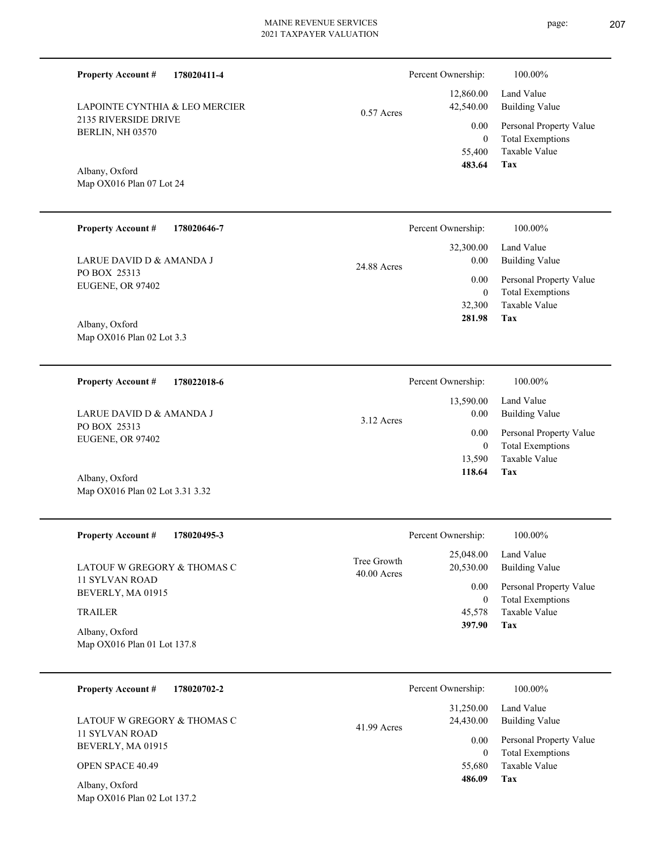**178020411-4 Property Account #**

2135 RIVERSIDE DRIVE BERLIN, NH 03570 LAPOINTE CYNTHIA & LEO MERCIER 0.57 Acres

| Percent Ownership: | 100.00%                 |
|--------------------|-------------------------|
| 12,860.00          | Land Value              |
| 42,540.00          | Building Value          |
| 0.00               | Personal Property Value |
| 0                  | <b>Total Exemptions</b> |
| 55,400             | Taxable Value           |
| 483.64             | Tax                     |

Map OX016 Plan 07 Lot 24 Albany, Oxford

Map OX016 Plan 02 Lot 3.31 3.32

| <b>Property Account #</b><br>178020646-7 | Percent Ownership:               | 100.00%                      |
|------------------------------------------|----------------------------------|------------------------------|
| LARUE DAVID D & AMANDA J                 | 32,300.00<br>0.00<br>24.88 Acres | Land Value<br>Building Value |
| PO BOX 25313<br>EUGENE, OR 97402         | 0.00                             | Personal Property Value      |
|                                          | 0                                | <b>Total Exemptions</b>      |
|                                          | 32,300                           | Taxable Value                |
| Albany, Oxford                           | 281.98                           | Tax                          |
| Map OX016 Plan 02 Lot 3.3                |                                  |                              |

| 178022018-6<br><b>Property Account #</b> | Percent Ownership:                | 100.00%                                            |
|------------------------------------------|-----------------------------------|----------------------------------------------------|
| LARUE DAVID D & AMANDA J<br>PO BOX 25313 | 13,590.00<br>0.00<br>$3.12$ Acres | Land Value<br><b>Building Value</b>                |
| EUGENE, OR 97402                         | 0.00<br>0                         | Personal Property Value<br><b>Total Exemptions</b> |
|                                          | 13.590                            | Taxable Value                                      |
| Albany, Oxford                           | 118.64                            | Tax                                                |

| <b>Property Account #</b><br>178020495-3      |                              | Percent Ownership:     | $100.00\%$                                         |
|-----------------------------------------------|------------------------------|------------------------|----------------------------------------------------|
| LATOUF W GREGORY & THOMAS C<br>11 SYLVAN ROAD | Tree Growth<br>$40.00$ Acres | 25,048.00<br>20,530.00 | Land Value<br>Building Value                       |
| BEVERLY, MA 01915                             |                              | 0.00                   | Personal Property Value<br><b>Total Exemptions</b> |
| TRAILER                                       |                              | 45,578                 | Taxable Value                                      |
| Albany, Oxford<br>Map OX016 Plan 01 Lot 137.8 |                              | 397.90                 | Tax                                                |

| 178020702-2<br><b>Property Account #</b>      | Percent Ownership:                    | 100.00%                                            |
|-----------------------------------------------|---------------------------------------|----------------------------------------------------|
| LATOUF W GREGORY & THOMAS C                   | 31,250.00<br>24,430.00<br>41.99 Acres | Land Value<br><b>Building Value</b>                |
| 11 SYLVAN ROAD<br>BEVERLY, MA 01915           | 0.00<br>$\mathbf{0}$                  | Personal Property Value<br><b>Total Exemptions</b> |
| <b>OPEN SPACE 40.49</b>                       | 55,680                                | Taxable Value                                      |
| Albany, Oxford<br>Map OX016 Plan 02 Lot 137.2 | 486.09                                | Tax                                                |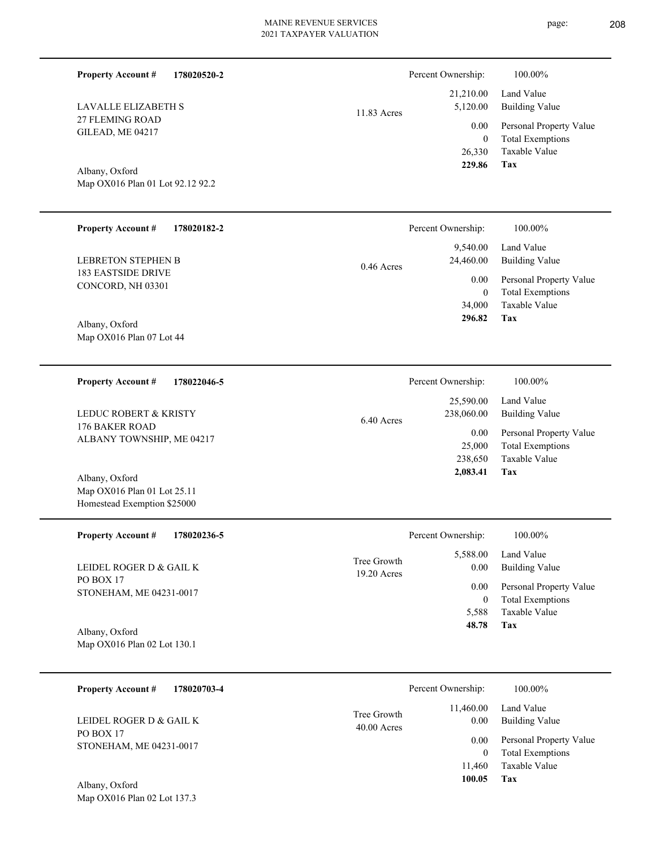| <b>Property Account #</b><br>178020520-2                                     |                            | Percent Ownership:               | 100.00%                                                             |
|------------------------------------------------------------------------------|----------------------------|----------------------------------|---------------------------------------------------------------------|
| <b>LAVALLE ELIZABETH S</b>                                                   | 11.83 Acres                | 21,210.00<br>5,120.00            | Land Value<br><b>Building Value</b>                                 |
| 27 FLEMING ROAD<br>GILEAD, ME 04217                                          |                            | 0.00<br>$\overline{0}$<br>26,330 | Personal Property Value<br><b>Total Exemptions</b><br>Taxable Value |
| Albany, Oxford                                                               |                            | 229.86                           | Tax                                                                 |
| Map OX016 Plan 01 Lot 92.12 92.2                                             |                            |                                  |                                                                     |
| <b>Property Account #</b><br>178020182-2                                     |                            | Percent Ownership:               | 100.00%                                                             |
| <b>LEBRETON STEPHEN B</b>                                                    | $0.46$ Acres               | 9,540.00<br>24,460.00            | Land Value<br><b>Building Value</b>                                 |
| <b>183 EASTSIDE DRIVE</b><br>CONCORD, NH 03301                               |                            | 0.00<br>$\overline{0}$           | Personal Property Value<br><b>Total Exemptions</b>                  |
|                                                                              |                            | 34,000<br>296.82                 | Taxable Value<br>Tax                                                |
| Albany, Oxford<br>Map OX016 Plan 07 Lot 44                                   |                            |                                  |                                                                     |
|                                                                              |                            |                                  |                                                                     |
| <b>Property Account #</b><br>178022046-5                                     |                            | Percent Ownership:<br>25,590.00  | 100.00%<br>Land Value                                               |
| LEDUC ROBERT & KRISTY<br>176 BAKER ROAD                                      | 6.40 Acres                 | 238,060.00                       | <b>Building Value</b>                                               |
| ALBANY TOWNSHIP, ME 04217                                                    |                            | 0.00<br>25,000<br>238,650        | Personal Property Value<br><b>Total Exemptions</b><br>Taxable Value |
| Albany, Oxford<br>Map OX016 Plan 01 Lot 25.11<br>Homestead Exemption \$25000 |                            | 2,083.41                         | Tax                                                                 |
| <b>Property Account #</b><br>178020236-5                                     |                            | Percent Ownership:               | 100.00%                                                             |
| LEIDEL ROGER D & GAIL K                                                      | Tree Growth<br>19.20 Acres | 5,588.00<br>0.00                 | Land Value<br><b>Building Value</b>                                 |
| PO BOX 17<br>STONEHAM, ME 04231-0017                                         |                            | 0.00<br>$\boldsymbol{0}$         | Personal Property Value<br><b>Total Exemptions</b>                  |
| Albany, Oxford                                                               |                            | 5,588<br>48.78                   | Taxable Value<br>Tax                                                |
| Map OX016 Plan 02 Lot 130.1                                                  |                            |                                  |                                                                     |
| <b>Property Account #</b><br>178020703-4                                     |                            | Percent Ownership:               | 100.00%                                                             |
| LEIDEL ROGER D & GAIL K                                                      | Tree Growth<br>40.00 Acres | 11,460.00<br>0.00                | Land Value<br><b>Building Value</b>                                 |
| PO BOX 17<br>STONEHAM, ME 04231-0017                                         |                            | 0.00<br>$\boldsymbol{0}$         | Personal Property Value<br><b>Total Exemptions</b>                  |
|                                                                              |                            | 11,460<br>100.05                 | Taxable Value<br>Tax                                                |

Map OX016 Plan 02 Lot 137.3 Albany, Oxford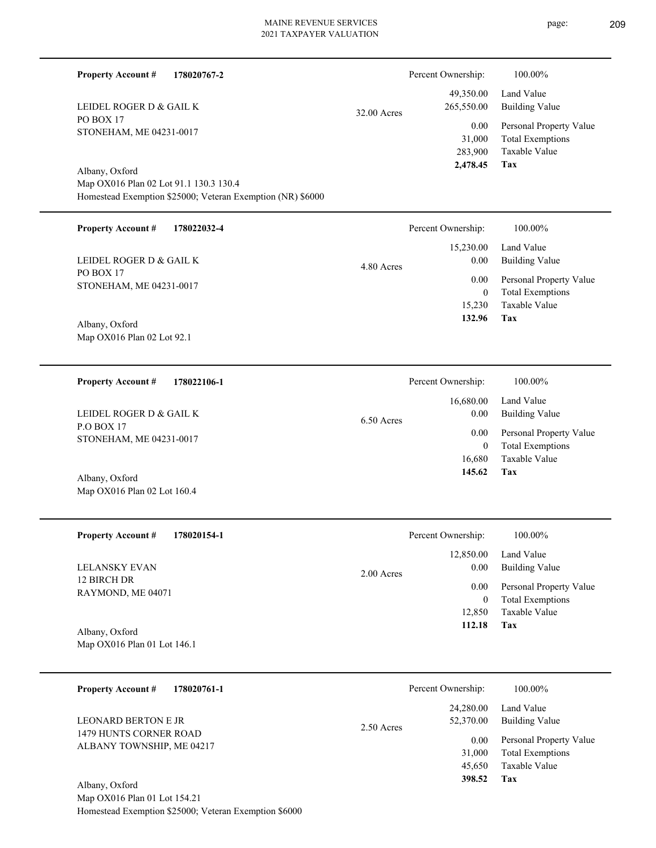| <b>Property Account #</b><br>178020767-2                   |             | Percent Ownership:                    | 100.00%                                                                    |
|------------------------------------------------------------|-------------|---------------------------------------|----------------------------------------------------------------------------|
| LEIDEL ROGER D & GAIL K                                    | 32.00 Acres | 49,350.00<br>265,550.00               | Land Value<br><b>Building Value</b>                                        |
| PO BOX 17<br>STONEHAM, ME 04231-0017                       |             | 0.00<br>31,000<br>283,900<br>2,478.45 | Personal Property Value<br><b>Total Exemptions</b><br>Taxable Value<br>Tax |
| Albany, Oxford                                             |             |                                       |                                                                            |
| Map OX016 Plan 02 Lot 91.1 130.3 130.4                     |             |                                       |                                                                            |
| Homestead Exemption \$25000; Veteran Exemption (NR) \$6000 |             |                                       |                                                                            |
| <b>Property Account #</b><br>178022032-4                   |             | Percent Ownership:                    | 100.00%                                                                    |
| LEIDEL ROGER D & GAIL K                                    | 4.80 Acres  | 15,230.00<br>0.00                     | Land Value<br><b>Building Value</b>                                        |
| PO BOX 17<br>STONEHAM, ME 04231-0017                       |             | 0.00                                  | Personal Property Value                                                    |
|                                                            |             | $\overline{0}$                        | <b>Total Exemptions</b>                                                    |
| Albany, Oxford                                             |             | 15,230<br>132.96                      | Taxable Value<br>Tax                                                       |
| Map OX016 Plan 02 Lot 92.1                                 |             |                                       |                                                                            |
| <b>Property Account #</b><br>178022106-1                   |             | Percent Ownership:                    | 100.00%                                                                    |
|                                                            |             | 16,680.00                             | Land Value                                                                 |
| LEIDEL ROGER D & GAIL K                                    | 6.50 Acres  | 0.00                                  | <b>Building Value</b>                                                      |
| <b>P.O BOX 17</b><br>STONEHAM, ME 04231-0017               |             | 0.00                                  | Personal Property Value                                                    |
|                                                            |             | $\overline{0}$                        | <b>Total Exemptions</b>                                                    |
|                                                            |             | 16,680<br>145.62                      | Taxable Value<br>Tax                                                       |
| Albany, Oxford                                             |             |                                       |                                                                            |
| Map OX016 Plan 02 Lot 160.4                                |             |                                       |                                                                            |
| <b>Property Account #</b><br>178020154-1                   |             | Percent Ownership:                    | 100.00%                                                                    |
|                                                            |             | 12,850.00                             | Land Value                                                                 |
| <b>LELANSKY EVAN</b>                                       |             | 0.00                                  | <b>Building Value</b>                                                      |
| 12 BIRCH DR                                                | 2.00 Acres  | 0.00                                  | Personal Property Value                                                    |
| RAYMOND, ME 04071                                          |             | $\bf{0}$                              | <b>Total Exemptions</b>                                                    |
|                                                            |             | 12,850                                | Taxable Value                                                              |
| Albany, Oxford                                             |             | 112.18                                | Tax                                                                        |
| Map OX016 Plan 01 Lot 146.1                                |             |                                       |                                                                            |
|                                                            |             |                                       |                                                                            |
| <b>Property Account #</b><br>178020761-1                   |             | Percent Ownership:                    | 100.00%                                                                    |
| LEONARD BERTON E JR                                        | 2.50 Acres  | 24,280.00<br>52,370.00                | Land Value<br><b>Building Value</b>                                        |
| 1479 HUNTS CORNER ROAD                                     |             | 0.00                                  | Personal Property Value                                                    |
| ALBANY TOWNSHIP, ME 04217                                  |             | 31,000                                | <b>Total Exemptions</b>                                                    |
|                                                            |             | 45,650                                | Taxable Value                                                              |
| Albany, Oxford                                             |             | 398.52                                | Tax                                                                        |
| Map OX016 Plan 01 Lot 154.21                               |             |                                       |                                                                            |
| Homestead Exemption \$25000; Veteran Exemption \$6000      |             |                                       |                                                                            |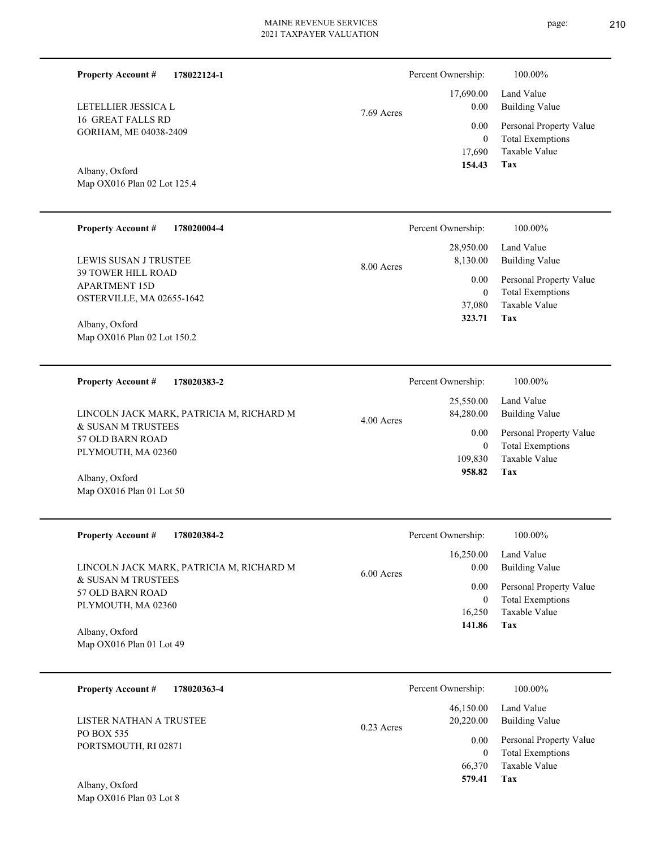| <b>Property Account #</b><br>178022124-1                                                                                                                                                           |            | Percent Ownership:                                                                            | 100.00%                                                                                                                             |
|----------------------------------------------------------------------------------------------------------------------------------------------------------------------------------------------------|------------|-----------------------------------------------------------------------------------------------|-------------------------------------------------------------------------------------------------------------------------------------|
| LETELLIER JESSICA L<br><b>16 GREAT FALLS RD</b><br>GORHAM, ME 04038-2409<br>Albany, Oxford<br>Map OX016 Plan 02 Lot 125.4                                                                          | 7.69 Acres | 17,690.00<br>0.00<br>0.00<br>$\boldsymbol{0}$<br>17,690<br>154.43                             | Land Value<br><b>Building Value</b><br>Personal Property Value<br><b>Total Exemptions</b><br>Taxable Value<br>Tax                   |
| <b>Property Account #</b><br>178020004-4                                                                                                                                                           |            | Percent Ownership:                                                                            | 100.00%                                                                                                                             |
| LEWIS SUSAN J TRUSTEE<br><b>39 TOWER HILL ROAD</b><br><b>APARTMENT 15D</b><br>OSTERVILLE, MA 02655-1642<br>Albany, Oxford<br>Map OX016 Plan 02 Lot 150.2                                           | 8.00 Acres | 28,950.00<br>8,130.00<br>0.00<br>$\boldsymbol{0}$<br>37,080<br>323.71                         | Land Value<br><b>Building Value</b><br>Personal Property Value<br><b>Total Exemptions</b><br><b>Taxable Value</b><br>Tax            |
| 178020383-2<br><b>Property Account #</b><br>LINCOLN JACK MARK, PATRICIA M, RICHARD M<br>& SUSAN M TRUSTEES<br>57 OLD BARN ROAD<br>PLYMOUTH, MA 02360<br>Albany, Oxford<br>Map OX016 Plan 01 Lot 50 | 4.00 Acres | Percent Ownership:<br>25,550.00<br>84,280.00<br>0.00<br>$\boldsymbol{0}$<br>109,830<br>958.82 | 100.00%<br>Land Value<br><b>Building Value</b><br>Personal Property Value<br><b>Total Exemptions</b><br>Taxable Value<br>Tax        |
| <b>Property Account #</b><br>178020384-2<br>LINCOLN JACK MARK, PATRICIA M, RICHARD M<br>& SUSAN M TRUSTEES<br>57 OLD BARN ROAD<br>PLYMOUTH, MA 02360<br>Albany, Oxford<br>Map OX016 Plan 01 Lot 49 | 6.00 Acres | Percent Ownership:<br>16,250.00<br>0.00<br>0.00<br>$\bf{0}$<br>16,250<br>141.86               | 100.00%<br>Land Value<br><b>Building Value</b><br>Personal Property Value<br><b>Total Exemptions</b><br><b>Taxable Value</b><br>Tax |
| 178020363-4<br><b>Property Account #</b>                                                                                                                                                           |            | Percent Ownership:<br>(7.150, 00)                                                             | 100.00%<br>4.37 <sub>0</sub> 1 <sub>0</sub>                                                                                         |

PO BOX 535 PORTSMOUTH, RI 02871 LISTER NATHAN A TRUSTEE 0.23 Acres

| 46,150.00<br>20,220.00 | Land Value<br>Building Value<br>0.00 Personal Property Value |
|------------------------|--------------------------------------------------------------|
| 0                      | <b>Total Exemptions</b>                                      |
| 579.41                 | 66,370 Taxable Value<br>Тях                                  |

Map OX016 Plan 03 Lot 8 Albany, Oxford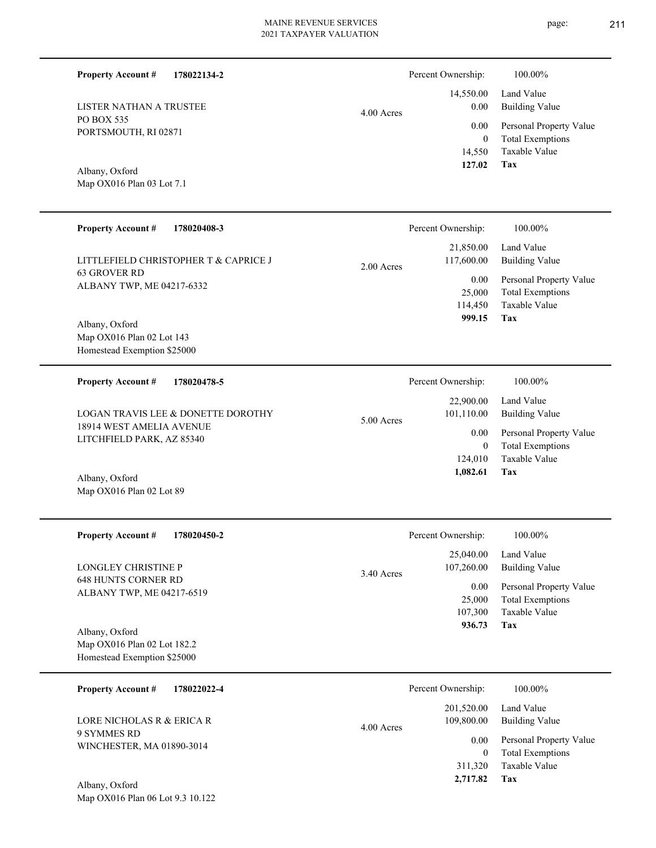14,550 0 0.00 0.00 4.00 Acres

# Albany, Oxford

**178022134-2**

Map OX016 Plan 03 Lot 7.1

PORTSMOUTH, RI 02871

LISTER NATHAN A TRUSTEE

PO BOX 535

**Property Account #**

| <b>Property Account #</b><br>178020408-3                                   | Percent Ownership:<br>$100.00\%$                                               |                         |
|----------------------------------------------------------------------------|--------------------------------------------------------------------------------|-------------------------|
| LITTLEFIELD CHRISTOPHER T & CAPRICE J                                      | 21,850.00<br>Land Value<br>117,600.00<br><b>Building Value</b><br>$2.00$ Acres |                         |
| <b>63 GROVER RD</b><br>ALBANY TWP, ME 04217-6332                           | 0.00<br>25,000<br><b>Total Exemptions</b><br>Taxable Value<br>114,450          | Personal Property Value |
| Albany, Oxford<br>Map OX016 Plan 02 Lot 143<br>Homestead Exemption \$25000 | 999.15<br>Tax                                                                  |                         |
|                                                                            |                                                                                |                         |
| <b>Property Account #</b><br>178020478-5                                   | Percent Ownership:<br>100.00%                                                  |                         |
| LOGAN TRAVIS LEE & DONETTE DOROTHY                                         | Land Value<br>22,900.00<br>101,110.00<br><b>Building Value</b><br>$5.00$ Acres |                         |
| 18914 WEST AMELIA AVENUE<br>LITCHFIELD PARK, AZ 85340                      | 0.00<br><b>Total Exemptions</b><br>$\theta$                                    | Personal Property Value |
| Albany, Oxford<br>Map OX016 Plan 02 Lot 89                                 | Taxable Value<br>124,010<br>1,082.61<br>Tax                                    |                         |

| <b>Property Account #</b><br>178020450-2                                     | Percent Ownership:         | 100.00%                 |
|------------------------------------------------------------------------------|----------------------------|-------------------------|
|                                                                              | 25,040.00                  | Land Value              |
| <b>LONGLEY CHRISTINE P</b>                                                   | 107,260.00<br>$3.40$ Acres | Building Value          |
| <b>648 HUNTS CORNER RD</b><br>ALBANY TWP, ME 04217-6519                      | 0.00                       | Personal Property Value |
|                                                                              | 25,000                     | <b>Total Exemptions</b> |
|                                                                              | 107,300                    | Taxable Value           |
| Albany, Oxford<br>Map OX016 Plan 02 Lot 182.2<br>Homestead Exemption \$25000 | 936.73                     | Tax                     |
| <b>Property Account #</b><br>178022022-4                                     | Percent Ownership:         | 100.00%                 |
|                                                                              | 201,520.00                 | Land Value              |
| LORE NICHOLAS R & ERICA R                                                    | 109,800.00<br>4.00 Acres   | <b>Building Value</b>   |
| 9 SYMMES RD                                                                  |                            |                         |

Map OX016 Plan 06 Lot 9.3 10.122 Albany, Oxford

WINCHESTER, MA 01890-3014

**Tax**

**Tax**

 311,320  $\boldsymbol{0}$ 

 **2,717.82**

Taxable Value Total Exemptions 0.00 Personal Property Value

 **127.02**

14,550.00

Percent Ownership:  $100.00\%$ 

Taxable Value Total Exemptions Personal Property Value

Building Value Land Value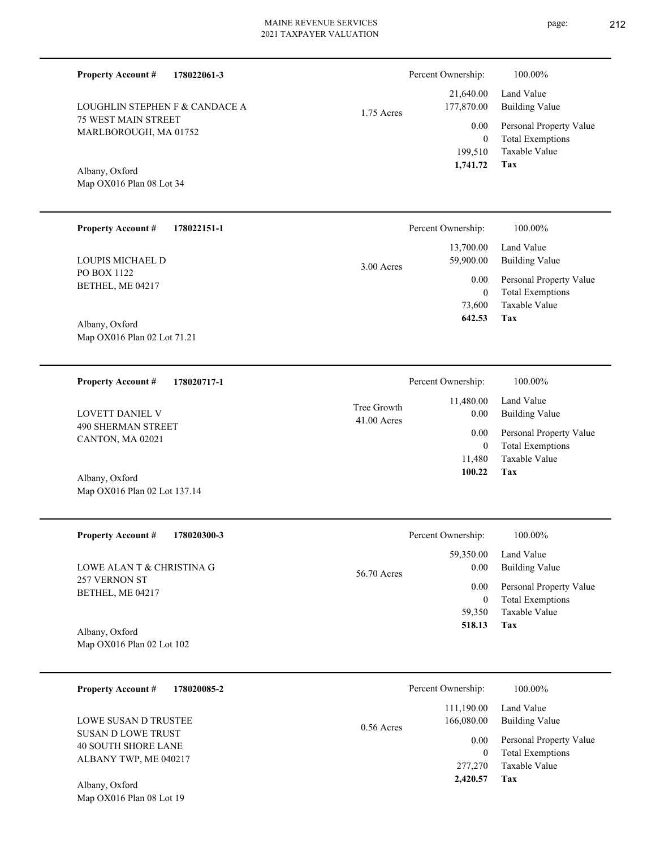| <b>Property Account #</b><br>LOUGHLIN STEPHEN F & CANDACE A<br><b>75 WEST MAIN STREET</b><br>MARLBOROUGH, MA 01752<br>Albany, Oxford<br>Map OX016 Plan 08 Lot 34 | 178022061-3 | 1.75 Acres                 | Percent Ownership:<br>21,640.00<br>177,870.00<br>0.00<br>$\boldsymbol{0}$<br>199,510<br>1,741.72  | 100.00%<br>Land Value<br><b>Building Value</b><br>Personal Property Value<br><b>Total Exemptions</b><br>Taxable Value<br>Tax        |
|------------------------------------------------------------------------------------------------------------------------------------------------------------------|-------------|----------------------------|---------------------------------------------------------------------------------------------------|-------------------------------------------------------------------------------------------------------------------------------------|
| <b>Property Account #</b><br>LOUPIS MICHAEL D<br>PO BOX 1122<br>BETHEL, ME 04217<br>Albany, Oxford<br>Map OX016 Plan 02 Lot 71.21                                | 178022151-1 | 3.00 Acres                 | Percent Ownership:<br>13,700.00<br>59,900.00<br>0.00<br>$\boldsymbol{0}$<br>73,600<br>642.53      | 100.00%<br>Land Value<br><b>Building Value</b><br>Personal Property Value<br><b>Total Exemptions</b><br>Taxable Value<br><b>Tax</b> |
| <b>Property Account #</b><br>LOVETT DANIEL V<br><b>490 SHERMAN STREET</b><br>CANTON, MA 02021<br>Albany, Oxford<br>Map OX016 Plan 02 Lot 137.14                  | 178020717-1 | Tree Growth<br>41.00 Acres | Percent Ownership:<br>11,480.00<br>0.00<br>0.00<br>$\boldsymbol{0}$<br>11,480<br>100.22           | 100.00%<br>Land Value<br><b>Building Value</b><br>Personal Property Value<br><b>Total Exemptions</b><br>Taxable Value<br>Tax        |
| <b>Property Account #</b><br>LOWE ALAN T & CHRISTINA G<br>257 VERNON ST<br>BETHEL, ME 04217<br>Albany, Oxford<br>Map OX016 Plan 02 Lot 102                       | 178020300-3 | 56.70 Acres                | Percent Ownership:<br>59,350.00<br>0.00<br>0.00<br>$\boldsymbol{0}$<br>59,350<br>518.13           | 100.00%<br>Land Value<br><b>Building Value</b><br>Personal Property Value<br><b>Total Exemptions</b><br>Taxable Value<br>Tax        |
| <b>Property Account #</b><br>LOWE SUSAN D TRUSTEE<br>SUSAN D LOWE TRUST<br><b>40 SOUTH SHORE LANE</b><br>ALBANY TWP, ME 040217<br>Albany, Oxford                 | 178020085-2 | $0.56$ Acres               | Percent Ownership:<br>111,190.00<br>166,080.00<br>0.00<br>$\boldsymbol{0}$<br>277,270<br>2,420.57 | 100.00%<br>Land Value<br><b>Building Value</b><br>Personal Property Value<br><b>Total Exemptions</b><br>Taxable Value<br>Tax        |

Map OX016 Plan 08 Lot 19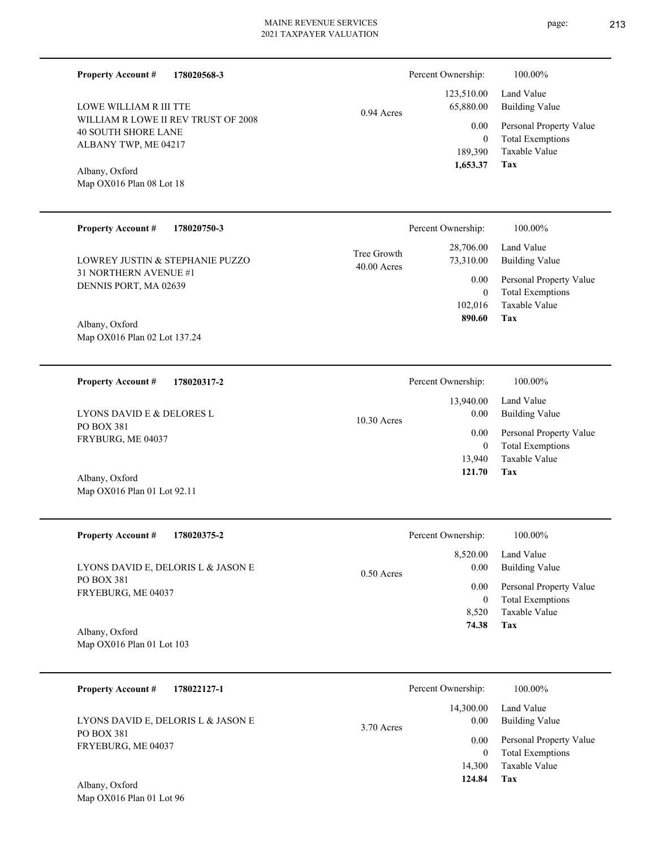0.94 Acres

| <b>40 SOUTH SHORE LANE</b><br>ALBANY TWP, ME 04217 | v.vv<br>$\Omega$<br>189,390<br>1,653.37                |
|----------------------------------------------------|--------------------------------------------------------|
| Albany, Oxford<br>Map $OX016$ Plan 08 Lot 18       |                                                        |
| <b>Property Account #</b><br>178020750-3           | Percent Ownership:                                     |
| LOWREY JUSTIN & STEPHANIE PUZZO                    | 28,706.00<br>Tree Growth<br>73,310.00<br>$40.00$ Acres |
| 31 NORTHERN AVENUE #1<br>DENNIS PORT, MA 02639     | 0.00<br>$\Omega$                                       |

Map OX016 Plan 02 Lot 137.24 Albany, Oxford

**178020317-2 Property Account #**

**178020568-3**

WILLIAM R LOWE II REV TRUST OF 2008

**Property Account #**

LOWE WILLIAM R III TTE

PO BOX 381 FRYBURG, ME 04037 LYONS DAVID E & DELORES L

Map OX016 Plan 01 Lot 92.11 Albany, Oxford

| <b>Property Account #</b><br>178020375-2 | Percent Ownership:               | 100.00%                                            |
|------------------------------------------|----------------------------------|----------------------------------------------------|
| LYONS DAVID E, DELORIS L & JASON E       | 8.520.00<br>0.00<br>$0.50$ Acres | Land Value<br>Building Value                       |
| PO BOX 381<br>FRYEBURG, ME 04037         | 0.00<br>0                        | Personal Property Value<br><b>Total Exemptions</b> |
|                                          | 8.520                            | Taxable Value                                      |
| Albany, Oxford                           | 74.38                            | Tax                                                |

Map OX016 Plan 01 Lot 103

| <b>Property Account #</b><br>178022127-1 | Percent Ownership:                | 100.00%                                            |
|------------------------------------------|-----------------------------------|----------------------------------------------------|
| LYONS DAVID E, DELORIS L & JASON E       | 14,300.00<br>0.00<br>$3.70$ Acres | Land Value<br>Building Value                       |
| PO BOX 381<br>FRYEBURG, ME 04037         | 0.00<br>0                         | Personal Property Value<br><b>Total Exemptions</b> |
| Albany Oxford                            | 14,300<br>124.84                  | Taxable Value<br>Tax                               |

| Percent Ownership: | 100.00%                                          |
|--------------------|--------------------------------------------------|
| 65,880.00          | 123,510.00 Land Value<br>Building Value          |
| $0.00\,$           | Personal Property Value                          |
| 0                  | <b>Total Exemptions</b><br>189,390 Taxable Value |

**Tax**

|      | Percent Ownership:     | 100.00%                                                                     |
|------|------------------------|-----------------------------------------------------------------------------|
| wth  | 28,706.00<br>73,310.00 | Land Value<br><b>Building Value</b>                                         |
| cres | $0.00\,$<br>0          | Personal Property Value<br><b>Total Exemptions</b><br>102,016 Taxable Value |
|      | 890.60                 | Tax                                                                         |
|      |                        |                                                                             |

|               | Percent Ownership: | 100.00%                 |
|---------------|--------------------|-------------------------|
|               |                    | 13,940.00 Land Value    |
| $10.30$ Acres | 0.00               | Building Value          |
|               | 0.00               | Personal Property Value |
|               | 0                  | <b>Total Exemptions</b> |
|               | 13.940             | Taxable Value           |
|               | 121.70             | Tax                     |
|               |                    |                         |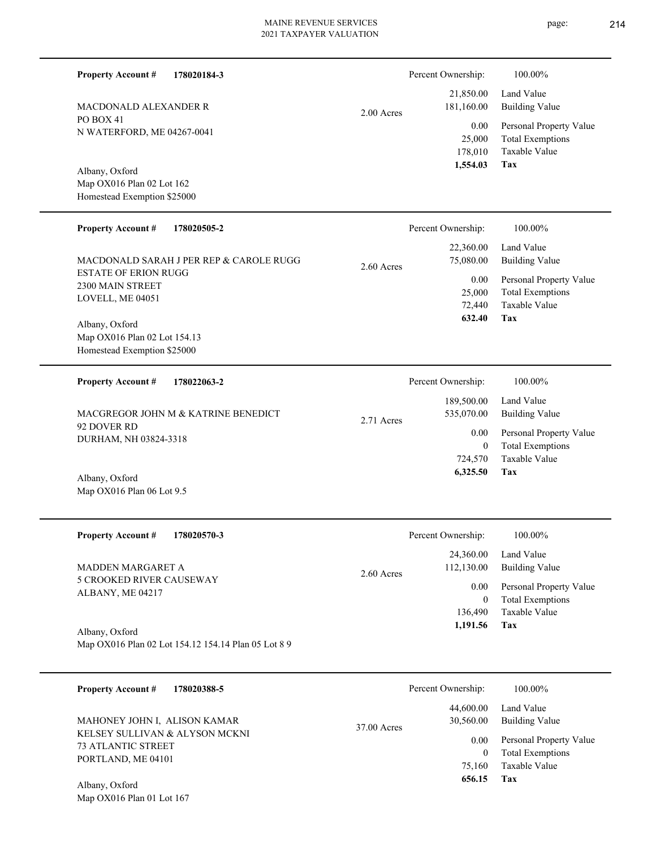2.00 Acres

Percent Ownership:  $100.00\%$ 

| 1,554.03   | Tax                     |
|------------|-------------------------|
| 178,010    | Taxable Value           |
| 25,000     | <b>Total Exemptions</b> |
| $0.00\,$   | Personal Property Value |
| 181,160.00 | Building Value          |
| 21,850.00  | Land Value              |

Map OX016 Plan 02 Lot 162 Homestead Exemption \$25000 Albany, Oxford

N WATERFORD, ME 04267-0041

MACDONALD ALEXANDER R

PO BOX 41

**Property Account #**

**178020184-3**

| <b>Property Account #</b><br>178020505-2                               | Percent Ownership:                     | 100.00%                      |
|------------------------------------------------------------------------|----------------------------------------|------------------------------|
| MACDONALD SARAH J PER REP & CAROLE RUGG<br><b>ESTATE OF ERION RUGG</b> | 22,360.00<br>75,080.00<br>$2.60$ Acres | Land Value<br>Building Value |
| 2300 MAIN STREET                                                       | 0.00                                   | Personal Property Value      |
| LOVELL, ME 04051                                                       | 25,000                                 | <b>Total Exemptions</b>      |
|                                                                        | 72,440                                 | Taxable Value                |
| Albany, Oxford                                                         | 632.40                                 | Tax                          |
| Map OX016 Plan 02 Lot 154.13                                           |                                        |                              |
| Homestead Exemption \$25000                                            |                                        |                              |

| <b>Property Account #</b><br>178022063-2                                    | Percent Ownership:                     | 100.00%                                            |
|-----------------------------------------------------------------------------|----------------------------------------|----------------------------------------------------|
| MACGREGOR JOHN M & KATRINE BENEDICT<br>92 DOVER RD<br>DURHAM, NH 03824-3318 | 189,500.00<br>535,070.00<br>2.71 Acres | Land Value<br>Building Value                       |
|                                                                             | 0.00<br>0                              | Personal Property Value<br><b>Total Exemptions</b> |
|                                                                             | 724,570                                | Taxable Value                                      |
| 4.11<br>$\sim$ $\sim$ 1                                                     | 6,325.50                               | Tax                                                |

| Albany, Oxford            |
|---------------------------|
| Map OX016 Plan 06 Lot 9.5 |

| <b>Property Account #</b><br>178020570-3                                 | Percent Ownership:                      | 100.00%                                            |
|--------------------------------------------------------------------------|-----------------------------------------|----------------------------------------------------|
| MADDEN MARGARET A<br><b>5 CROOKED RIVER CAUSEWAY</b><br>ALBANY, ME 04217 | 24,360.00<br>112,130.00<br>$2.60$ Acres | Land Value<br><b>Building Value</b>                |
|                                                                          | 0.00<br>0                               | Personal Property Value<br><b>Total Exemptions</b> |
|                                                                          | 136,490                                 | Taxable Value                                      |
| Albany, Oxford                                                           | 1,191.56                                | Tax                                                |
| Map OX016 Plan 02 Lot 154.12 154.14 Plan 05 Lot 8 9                      |                                         |                                                    |

| 178020388-5<br><b>Property Account #</b>                    | Percent Ownership:              | 100.00%                                            |
|-------------------------------------------------------------|---------------------------------|----------------------------------------------------|
| MAHONEY JOHN I, ALISON KAMAR                                | 44,600.00<br>30,560.00          | Land Value<br>Building Value                       |
| KELSEY SULLIVAN & ALYSON MCKNI<br><b>73 ATLANTIC STREET</b> | 37.00 Acres<br>0.00<br>$\theta$ | Personal Property Value<br><b>Total Exemptions</b> |
| PORTLAND, ME 04101                                          | 75,160                          | Taxable Value                                      |
| Albany, Oxford                                              | 656.15                          | Tax                                                |
| Map OX016 Plan 01 Lot 167                                   |                                 |                                                    |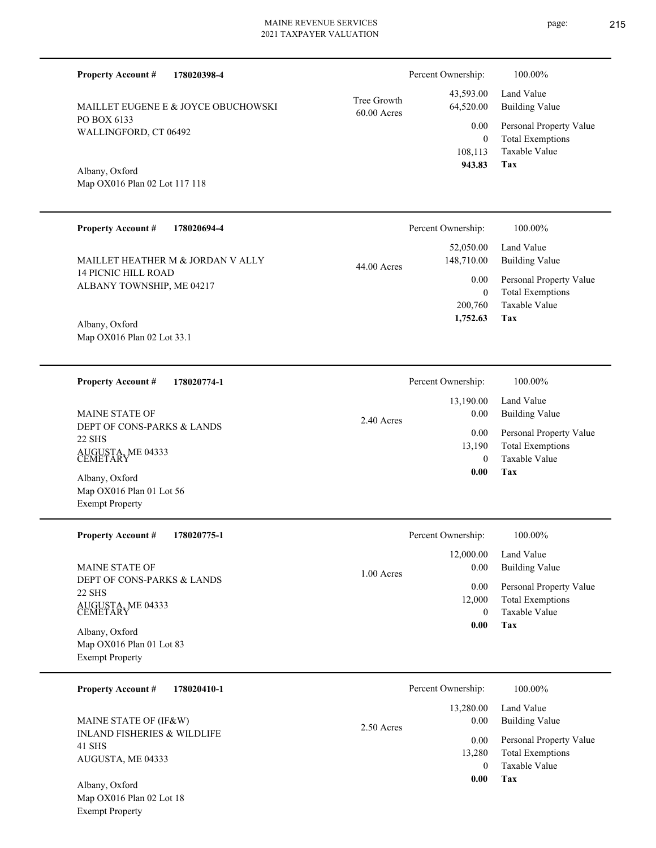| <b>Property Account #</b><br>178020398-4                              |                              | Percent Ownership:                    | 100.00%                                                                    |
|-----------------------------------------------------------------------|------------------------------|---------------------------------------|----------------------------------------------------------------------------|
| MAILLET EUGENE E & JOYCE OBUCHOWSKI                                   | Tree Growth<br>$60.00$ Acres | 43,593.00<br>64,520.00                | Land Value<br><b>Building Value</b>                                        |
| PO BOX 6133<br>WALLINGFORD, CT 06492                                  |                              | 0.00<br>$\overline{0}$                | Personal Property Value<br><b>Total Exemptions</b>                         |
| Albany, Oxford<br>Map OX016 Plan 02 Lot 117 118                       |                              | 108,113<br>943.83                     | <b>Taxable Value</b><br>Tax                                                |
| <b>Property Account #</b><br>178020694-4                              |                              | Percent Ownership:                    | 100.00%                                                                    |
| MAILLET HEATHER M & JORDAN V ALLY                                     | 44.00 Acres                  | 52,050.00<br>148,710.00               | Land Value<br><b>Building Value</b>                                        |
| <b>14 PICNIC HILL ROAD</b><br>ALBANY TOWNSHIP, ME 04217               |                              | 0.00                                  | Personal Property Value                                                    |
| Albany, Oxford<br>Map OX016 Plan 02 Lot 33.1                          |                              | $\overline{0}$<br>200,760<br>1,752.63 | <b>Total Exemptions</b><br><b>Taxable Value</b><br>Tax                     |
|                                                                       |                              |                                       |                                                                            |
| <b>Property Account #</b><br>178020774-1                              |                              | Percent Ownership:                    | 100.00%                                                                    |
| <b>MAINE STATE OF</b>                                                 | 2.40 Acres                   | 13,190.00<br>0.00                     | Land Value<br><b>Building Value</b>                                        |
| DEPT OF CONS-PARKS & LANDS<br>22 SHS<br>AUGUSTA, ME 04333<br>CEMETARY |                              | 0.00<br>13,190<br>$\theta$            | Personal Property Value<br><b>Total Exemptions</b><br><b>Taxable Value</b> |
| Albany, Oxford<br>Map OX016 Plan 01 Lot 56<br><b>Exempt Property</b>  |                              | 0.00                                  | Tax                                                                        |
| <b>Property Account #</b><br>178020775-1                              |                              | Percent Ownership:                    | 100.00%                                                                    |
| MAINE STATE OF                                                        | $1.00$ Acres                 | 12,000.00<br>0.00                     | Land Value<br><b>Building Value</b>                                        |
| DEPT OF CONS-PARKS & LANDS<br>22 SHS<br>AUGUSTA, ME 04333<br>CEMETARY |                              | $0.00\,$<br>12,000<br>$\overline{0}$  | Personal Property Value<br><b>Total Exemptions</b><br>Taxable Value        |
| Albany, Oxford<br>Map OX016 Plan 01 Lot 83<br><b>Exempt Property</b>  |                              | 0.00                                  | Tax                                                                        |
| <b>Property Account #</b><br>178020410-1                              |                              | Percent Ownership:                    | 100.00%                                                                    |
| MAINE STATE OF (IF&W)                                                 | 2.50 Acres                   | 13,280.00<br>0.00                     | Land Value<br><b>Building Value</b>                                        |
| <b>INLAND FISHERIES &amp; WILDLIFE</b><br>41 SHS<br>AUGUSTA, ME 04333 |                              | 0.00<br>13,280<br>$\overline{0}$      | Personal Property Value<br><b>Total Exemptions</b><br>Taxable Value        |
| Albany, Oxford                                                        |                              | 0.00                                  | <b>Tax</b>                                                                 |

Map OX016 Plan 02 Lot 18 Exempt Property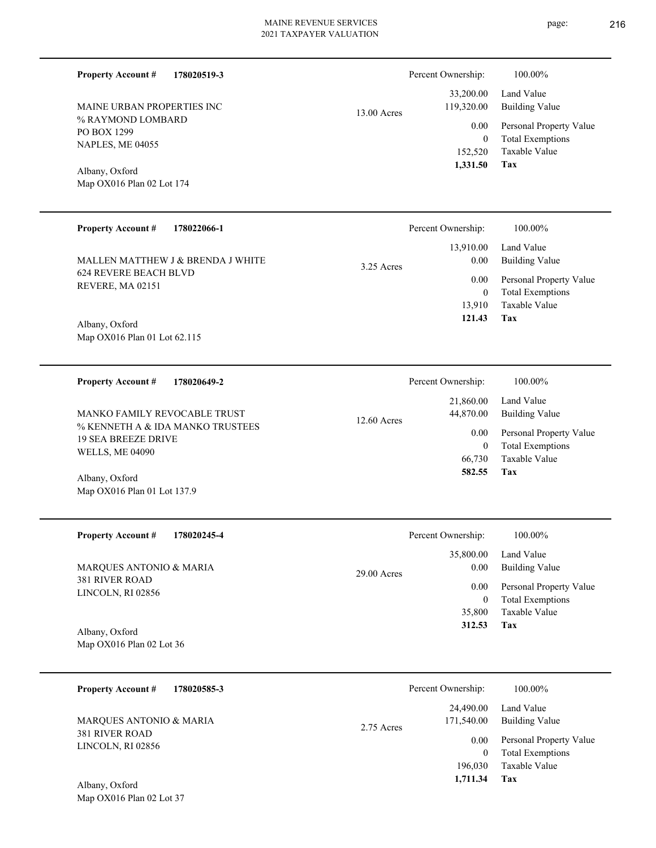0 0.00 13.00 Acres

| $1 \cup D \cup \Lambda$ $12 \cup$             |  |
|-----------------------------------------------|--|
| <b>NAPLES, ME 04055</b>                       |  |
| Albany, Oxford<br>Map $OX016$ Plan 02 Lot 174 |  |

**178020519-3**

% RAYMOND LOMBARD

MAINE URBAN PROPERTIES INC

PO BOX 1299 NAPLES, ME 04055

**Property Account #**

#### **Tax** Taxable Value Total Exemptions Personal Property Value Building Value Land Value 152,520  **1,331.50** 33,200.00 119,320.00

Percent Ownership:  $100.00\%$ 

**178022066-1 Tax** Taxable Value Total Exemptions Personal Property Value Building Value Land Value 624 REVERE BEACH BLVD REVERE, MA 02151 **Property Account #** Map OX016 Plan 01 Lot 62.115 Albany, Oxford MALLEN MATTHEW J & BRENDA J WHITE 13,910 0  **121.43** 13,910.00 0.00 0.00 3.25 Acres Percent Ownership: 100.00%

| 178020649-2<br><b>Property Account #</b>                                                                          | Percent Ownership:                                                       | 100.00%                                                                                                    |
|-------------------------------------------------------------------------------------------------------------------|--------------------------------------------------------------------------|------------------------------------------------------------------------------------------------------------|
| MANKO FAMILY REVOCABLE TRUST<br>% KENNETH A & IDA MANKO TRUSTEES<br>19 SEA BREEZE DRIVE<br><b>WELLS, ME 04090</b> | 21,860.00<br>44,870.00<br>$12.60$ Acres<br>0.00<br>0<br>66,730<br>582.55 | Land Value<br>Building Value<br>Personal Property Value<br><b>Total Exemptions</b><br>Taxable Value<br>Tax |
| Albany, Oxford                                                                                                    |                                                                          |                                                                                                            |

| <b>Property Account #</b><br>178020245-4                              | Percent Ownership:    | 100.00%                 |
|-----------------------------------------------------------------------|-----------------------|-------------------------|
| MARQUES ANTONIO & MARIA<br><b>381 RIVER ROAD</b><br>LINCOLN, RI 02856 | 35,800.00             | Land Value              |
|                                                                       | 0.00<br>$29.00$ Acres | <b>Building Value</b>   |
|                                                                       | 0.00                  | Personal Property Value |
|                                                                       | $\theta$              | <b>Total Exemptions</b> |
|                                                                       | 35,800                | Taxable Value           |
| Albany, Oxford                                                        | 312.53                | Tax                     |
| Map OX016 Plan 02 Lot 36                                              |                       |                         |

| 178020585-3<br><b>Property Account #</b>                              | Percent Ownership:                      | 100.00%                                            |
|-----------------------------------------------------------------------|-----------------------------------------|----------------------------------------------------|
| MARQUES ANTONIO & MARIA<br><b>381 RIVER ROAD</b><br>LINCOLN, RI 02856 | 24,490.00<br>171,540.00<br>$2.75$ Acres | Land Value<br>Building Value                       |
|                                                                       | 0.00                                    | Personal Property Value<br><b>Total Exemptions</b> |
| $Albony$ Oxford                                                       | 196,030<br>1,711.34                     | Taxable Value<br>Tax                               |

page: 216

Map OX016 Plan 02 Lot 37 Albany, Oxford

Map OX016 Plan 01 Lot 137.9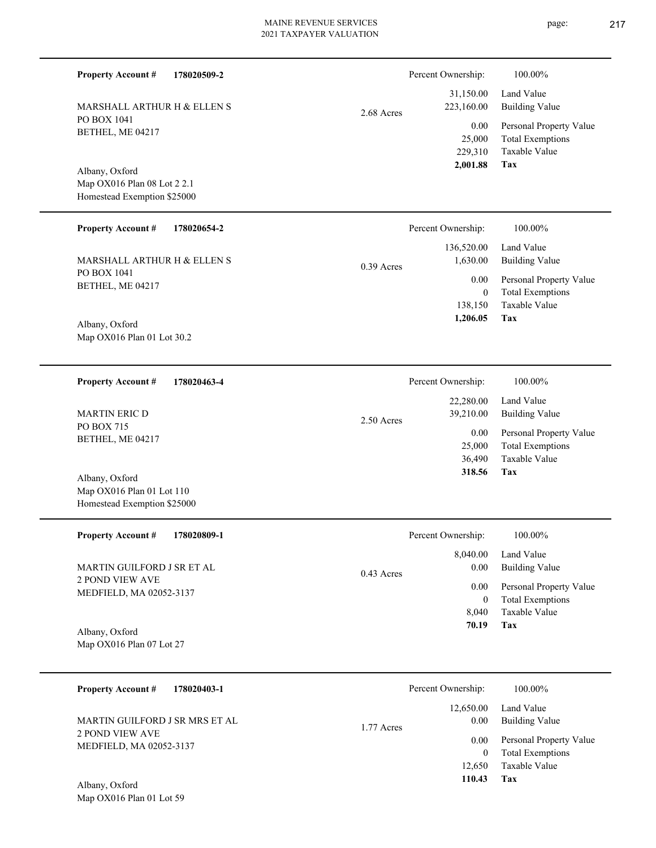| <b>Property Account #</b>                                                    | 178020509-2 |              | Percent Ownership:                          | 100.00%                                                                           |
|------------------------------------------------------------------------------|-------------|--------------|---------------------------------------------|-----------------------------------------------------------------------------------|
| MARSHALL ARTHUR H & ELLEN S                                                  |             | 2.68 Acres   | 31,150.00<br>223,160.00                     | Land Value<br><b>Building Value</b>                                               |
| PO BOX 1041<br>BETHEL, ME 04217                                              |             |              | 0.00<br>25,000<br>229,310<br>2,001.88       | Personal Property Value<br><b>Total Exemptions</b><br>Taxable Value<br><b>Tax</b> |
| Albany, Oxford<br>Map OX016 Plan 08 Lot 2 2.1<br>Homestead Exemption \$25000 |             |              |                                             |                                                                                   |
| <b>Property Account #</b>                                                    | 178020654-2 |              | Percent Ownership:                          | 100.00%                                                                           |
| MARSHALL ARTHUR H & ELLEN S                                                  |             | $0.39$ Acres | 136,520.00<br>1,630.00                      | Land Value<br><b>Building Value</b>                                               |
| PO BOX 1041<br>BETHEL, ME 04217<br>Albany, Oxford                            |             |              | 0.00<br>$\mathbf{0}$<br>138,150<br>1,206.05 | Personal Property Value<br><b>Total Exemptions</b><br>Taxable Value<br>Tax        |
| Map OX016 Plan 01 Lot 30.2                                                   |             |              |                                             |                                                                                   |
| <b>Property Account #</b>                                                    | 178020463-4 |              | Percent Ownership:                          | 100.00%                                                                           |
| <b>MARTIN ERIC D</b>                                                         |             | 2.50 Acres   | 22,280.00<br>39,210.00                      | Land Value<br><b>Building Value</b>                                               |
| PO BOX 715<br>BETHEL, ME 04217                                               |             |              | 0.00<br>25,000<br>36,490<br>318.56          | Personal Property Value<br><b>Total Exemptions</b><br>Taxable Value<br>Tax        |
| Albany, Oxford<br>Map OX016 Plan 01 Lot 110<br>Homestead Exemption \$25000   |             |              |                                             |                                                                                   |
| <b>Property Account #</b>                                                    | 178020809-1 |              | Percent Ownership:                          | 100.00%                                                                           |
| MARTIN GUILFORD J SR ET AL                                                   |             | $0.43$ Acres | 8,040.00<br>0.00                            | Land Value<br><b>Building Value</b>                                               |
| <b>2 POND VIEW AVE</b><br>MEDFIELD, MA 02052-3137<br>Albany, Oxford          |             |              | 0.00<br>$\boldsymbol{0}$<br>8,040<br>70.19  | Personal Property Value<br><b>Total Exemptions</b><br>Taxable Value<br>Tax        |
| Map OX016 Plan 07 Lot 27                                                     |             |              |                                             |                                                                                   |
| <b>Property Account #</b>                                                    | 178020403-1 |              | Percent Ownership:                          | 100.00%                                                                           |
| MARTIN GUILFORD J SR MRS ET AL                                               |             | 1.77 Acres   | 12,650.00<br>0.00                           | Land Value<br><b>Building Value</b>                                               |
| 2 POND VIEW AVE<br>MEDFIELD, MA 02052-3137                                   |             |              | 0.00<br>$\overline{0}$<br>12,650<br>110.43  | Personal Property Value<br><b>Total Exemptions</b><br>Taxable Value<br>Tax        |
| Albany, Oxford<br>Map OX016 Plan 01 Lot 59                                   |             |              |                                             |                                                                                   |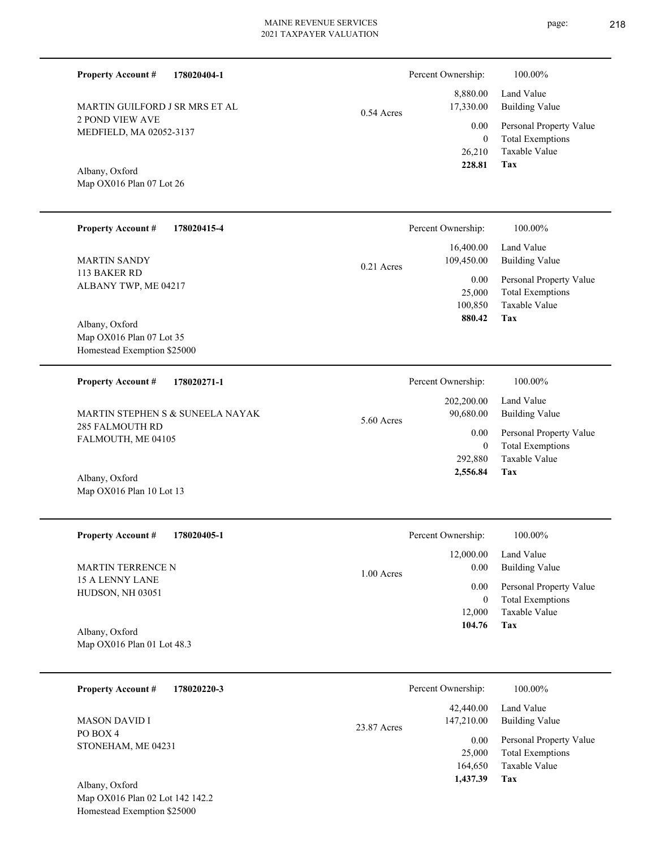|              | Percent Ownership: | 100.00%                 |
|--------------|--------------------|-------------------------|
|              | 8,880.00           | Land Value              |
| $0.54$ Acres | 17,330.00          | <b>Building Value</b>   |
|              | 0.00               | Personal Property Value |
|              | 0                  | <b>Total Exemptions</b> |
|              | 26,210             | Taxable Value           |
|              | 228.81             | Тях                     |

**Tax**

 164,650 25,000

0.00

147,210.00

23.87 Acres

 **1,437.39**

Taxable Value Total Exemptions Personal Property Value

Building Value

Map OX016 Plan 07 Lot 26 Albany, Oxford

MEDFIELD, MA 02052-3137

MARTIN GUILFORD J SR MRS ET AL

2 POND VIEW AVE

**Property Account #**

**178020404-1**

| <b>Property Account #</b><br>178020415-4                                  | Percent Ownership:                                                 | 100.00%                                                                                                                        |
|---------------------------------------------------------------------------|--------------------------------------------------------------------|--------------------------------------------------------------------------------------------------------------------------------|
| <b>MARTIN SANDY</b><br>113 BAKER RD<br>ALBANY TWP, ME 04217               | 16,400.00<br>109,450.00<br>0.21 Acres<br>0.00<br>25,000<br>100,850 | Land Value<br><b>Building Value</b><br>Personal Property Value<br><b>Total Exemptions</b><br>Taxable Value                     |
| Albany, Oxford<br>Map OX016 Plan 07 Lot 35<br>Homestead Exemption \$25000 | 880.42                                                             | Tax                                                                                                                            |
| <b>Property Account #</b><br>178020271-1                                  | Percent Ownership:<br>202,200.00                                   | 100.00%<br>Land Value                                                                                                          |
| MARTIN STEPHEN S & SUNEELA NAYAK<br>285 FALMOUTH RD<br>FALMOUTH, ME 04105 | 90,680.00<br>5.60 Acres<br>0.00<br>292,880                         | <b>Building Value</b><br>Personal Property Value<br><b>Total Exemptions</b><br>$\mathbf{0}$<br>Taxable Value                   |
| Albany, Oxford<br>Map OX016 Plan 10 Lot 13                                | 2,556.84                                                           | Tax                                                                                                                            |
| <b>Property Account #</b><br>178020405-1                                  | Percent Ownership:                                                 | 100.00%                                                                                                                        |
| <b>MARTIN TERRENCE N</b><br>15 A LENNY LANE<br>HUDSON, NH 03051           | 12,000.00<br>0.00<br>1.00 Acres<br>0.00<br>12,000                  | Land Value<br><b>Building Value</b><br>Personal Property Value<br><b>Total Exemptions</b><br>$\boldsymbol{0}$<br>Taxable Value |
| Albany, Oxford<br>Map OX016 Plan 01 Lot 48.3                              | 104.76                                                             | Tax                                                                                                                            |
| <b>Property Account #</b><br>178020220-3                                  | Percent Ownership:                                                 | 100.00%                                                                                                                        |
|                                                                           | 42,440.00                                                          | Land Value                                                                                                                     |

PO BOX 4 STONEHAM, ME 04231 MASON DAVID I

Map OX016 Plan 02 Lot 142 142.2 Homestead Exemption \$25000 Albany, Oxford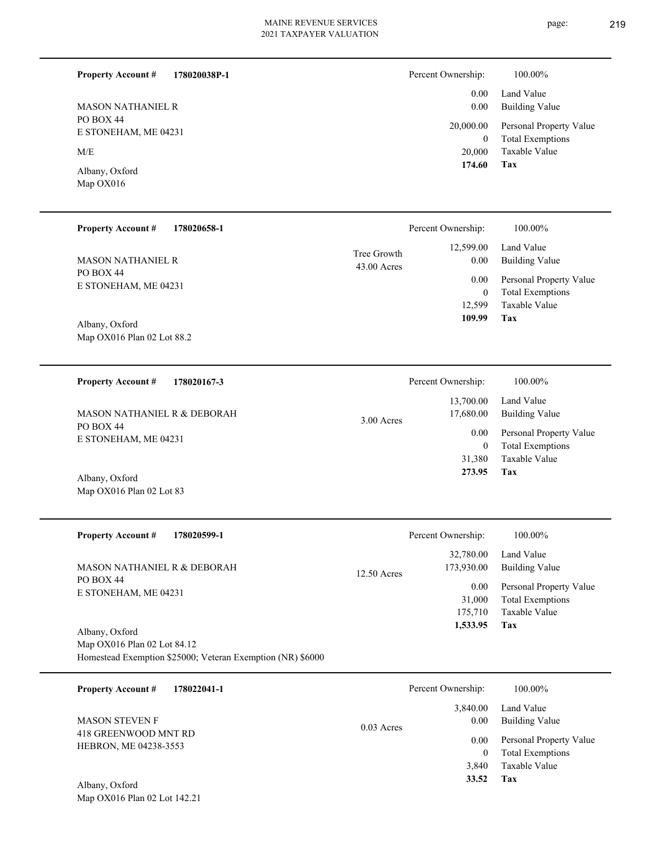| <b>MASON NATHANIEL R</b> |
|--------------------------|
| <b>PO BOX 44</b>         |
| E STONEHAM, ME 04231     |
| M/E                      |

Map OX016 Plan 02 Lot 83

Map OX016 Plan 02 Lot 142.21

**Property Account #**

**178020038P-1**

Map OX016 Albany, Oxford

| 100.00%                                                         |
|-----------------------------------------------------------------|
| Land Value<br>Building Value                                    |
| 20,000.00<br>Personal Property Value<br><b>Total Exemptions</b> |
| Taxable Value<br>Tax                                            |
|                                                                 |

| <b>Property Account #</b><br>178020658-1                      |                              | Percent Ownership: | 100.00%                                            |
|---------------------------------------------------------------|------------------------------|--------------------|----------------------------------------------------|
| <b>MASON NATHANIEL R</b><br>PO BOX 44<br>E STONEHAM, ME 04231 | Tree Growth<br>$43.00$ Acres | 12,599.00<br>0.00  | Land Value<br>Building Value                       |
|                                                               |                              | 0.00<br>$\theta$   | Personal Property Value<br><b>Total Exemptions</b> |
|                                                               |                              | 12.599             | Taxable Value                                      |
| Albany, Oxford<br>Map OX016 Plan 02 Lot 88.2                  |                              | 109.99             | Tax                                                |

| 178020167-3<br><b>Property Account #</b>            | Percent Ownership:                   | 100.00%                                            |
|-----------------------------------------------------|--------------------------------------|----------------------------------------------------|
| <b>MASON NATHANIEL R &amp; DEBORAH</b><br>PO BOX 44 | 13,700.00<br>17,680.00<br>3.00 Acres | Land Value<br><b>Building Value</b>                |
| E STONEHAM, ME 04231                                | 0.00<br>0                            | Personal Property Value<br><b>Total Exemptions</b> |
|                                                     | 31,380                               | Taxable Value                                      |
| Albany, Oxford                                      | 273.95                               | Tax                                                |

| <b>Property Account #</b><br>178020599-1 | Percent Ownership:                       | 100.00%                      |
|------------------------------------------|------------------------------------------|------------------------------|
| MASON NATHANIEL R & DEBORAH              | 32,780.00<br>173,930.00<br>$12.50$ Acres | Land Value<br>Building Value |
| PO BOX 44<br>E STONEHAM, ME 04231        | 0.00                                     | Personal Property Value      |
|                                          | 31,000                                   | <b>Total Exemptions</b>      |
|                                          | 175,710                                  | Taxable Value                |
| Albany, Oxford                           | 1,533.95                                 | Tax                          |

Map OX016 Plan 02 Lot 84.12 Homestead Exemption \$25000; Veteran Exemption (NR) \$6000

| 178022041-1<br><b>Property Account #</b>      | Percent Ownership:               | 100.00%                                                             |
|-----------------------------------------------|----------------------------------|---------------------------------------------------------------------|
| <b>MASON STEVEN F</b><br>418 GREENWOOD MNT RD | 3.840.00<br>0.00<br>$0.03$ Acres | Land Value<br>Building Value                                        |
| HEBRON, ME 04238-3553                         | 0.00<br>0<br>3.840               | Personal Property Value<br><b>Total Exemptions</b><br>Taxable Value |
| Albany, Oxford                                | 33.52                            | Tax                                                                 |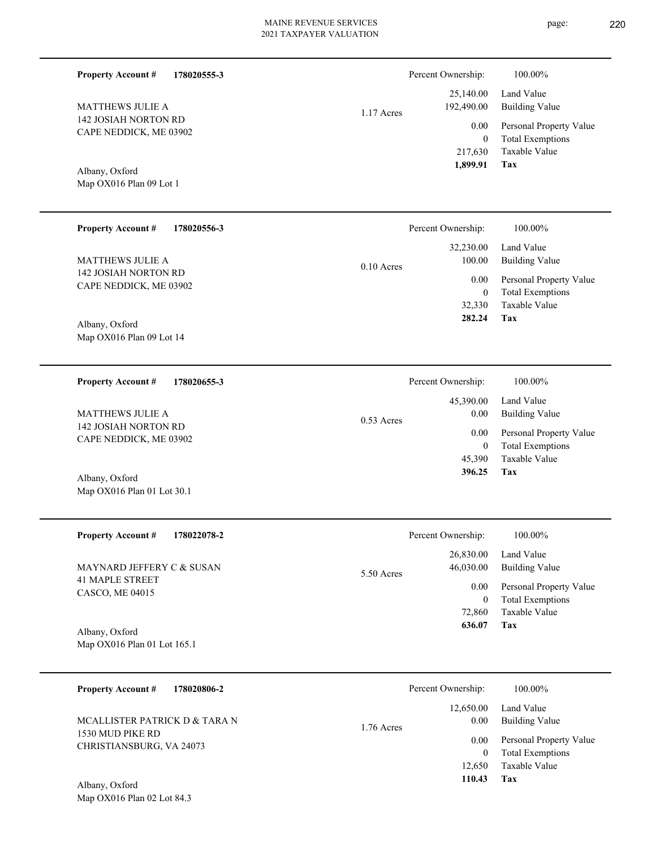25,140.00 192,490.00 1.17 Acres

| 1.899.91   | Tax                     |
|------------|-------------------------|
| 217,630    | Taxable Value           |
| 0          | <b>Total Exemptions</b> |
| $0.00\,$   | Personal Property Value |
| 192,490.00 | <b>Building Value</b>   |
| 25,140.00  | Land Value              |

Percent Ownership:  $100.00\%$ 

Map OX016 Plan 09 Lot 1 Albany, Oxford

142 JOSIAH NORTON RD CAPE NEDDICK, ME 03902

MATTHEWS JULIE A

**Property Account #**

**178020555-3**

| <b>Property Account #</b><br>178020556-3        | Percent Ownership:     | 100.00%                 |
|-------------------------------------------------|------------------------|-------------------------|
|                                                 | 32,230.00              | Land Value              |
| <b>MATTHEWS JULIE A</b><br>142 JOSIAH NORTON RD | 100.00<br>$0.10$ Acres | <b>Building Value</b>   |
| CAPE NEDDICK, ME 03902                          | 0.00                   | Personal Property Value |
|                                                 | $\mathbf{0}$           | <b>Total Exemptions</b> |
|                                                 | 32,330                 | Taxable Value           |
| Albany, Oxford                                  | 282.24                 | Tax                     |
| Map OX016 Plan 09 Lot 14                        |                        |                         |

| <b>Property Account #</b><br>178020655-3       | Percent Ownership:   | 100.00%                 |
|------------------------------------------------|----------------------|-------------------------|
|                                                | 45,390.00            | Land Value              |
| MATTHEWS JULIE A                               | 0.00<br>$0.53$ Acres | Building Value          |
| 142 JOSIAH NORTON RD<br>CAPE NEDDICK, ME 03902 | 0.00                 | Personal Property Value |
|                                                | 0                    | <b>Total Exemptions</b> |
|                                                | 45,390               | Taxable Value           |
| Albany, Oxford                                 | 396.25               | Tax                     |

| <b>Property Account #</b><br>178022078-2      | Percent Ownership:                   | 100.00%                                            |
|-----------------------------------------------|--------------------------------------|----------------------------------------------------|
| MAYNARD JEFFERY C & SUSAN                     | 26,830.00<br>46,030.00<br>5.50 Acres | Land Value<br>Building Value                       |
| <b>41 MAPLE STREET</b><br>CASCO, ME 04015     | 0.00<br>0                            | Personal Property Value<br><b>Total Exemptions</b> |
|                                               | 72,860                               | Taxable Value                                      |
| Albany, Oxford<br>Map OX016 Plan 01 Lot 165.1 | 636.07                               | Tax                                                |

| 178020806-2<br><b>Property Account #</b>     | Percent Ownership:                | 100.00%                                            |
|----------------------------------------------|-----------------------------------|----------------------------------------------------|
| MCALLISTER PATRICK D & TARA N                | 12,650.00<br>0.00<br>$1.76$ Acres | Land Value<br><b>Building Value</b>                |
| 1530 MUD PIKE RD<br>CHRISTIANSBURG, VA 24073 | 0.00<br>$\theta$                  | Personal Property Value<br><b>Total Exemptions</b> |
| Albany Oxford                                | 12.650<br>110.43                  | Taxable Value<br>Tax                               |

Map OX016 Plan 01 Lot 30.1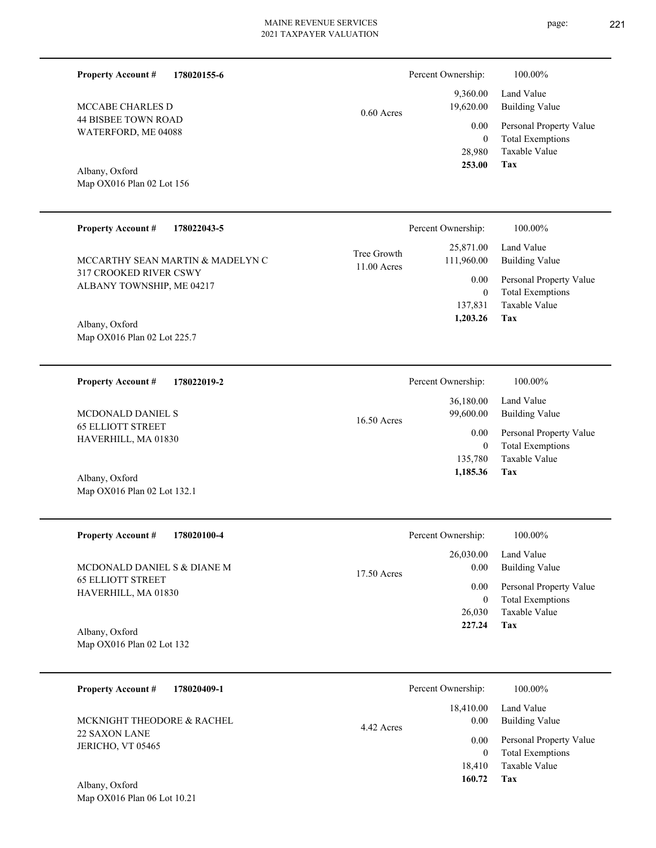Total Exemptions Personal Property Value Building Value Land Value 0 9,360.00 19,620.00 0.00 0.60 Acres

**Tax**

28,980

Percent Ownership:  $100.00\%$ 

 **253.00**

Taxable Value

| 44 BISBEE TOWN ROAD |  |
|---------------------|--|
| WATERFORD, ME 04088 |  |
|                     |  |
|                     |  |

**178020155-6**

Map OX016 Plan 02 Lot 156 Albany, Oxford

**Property Account #**

MCCABE CHARLES D

| <b>Property Account #</b><br>178022043-5                                                | Percent Ownership:                                      | 100.00%                                                                                    |
|-----------------------------------------------------------------------------------------|---------------------------------------------------------|--------------------------------------------------------------------------------------------|
| MCCARTHY SEAN MARTIN & MADELYN C<br>317 CROOKED RIVER CSWY<br>ALBANY TOWNSHIP, ME 04217 | 25,871.00<br>Tree Growth<br>111,960.00<br>$11.00$ Acres | Land Value<br>Building Value<br>Personal Property Value<br>0.00<br><b>Total Exemptions</b> |
| Albany, Oxford<br>Map OX016 Plan 02 Lot 225.7                                           | 137.831<br>1,203.26                                     | Taxable Value<br>Tax                                                                       |

**178022019-2 Tax** Taxable Value Total Exemptions Personal Property Value Building Value Land Value 65 ELLIOTT STREET HAVERHILL, MA 01830 **Property Account #** Albany, Oxford MCDONALD DANIEL S 135,780 0  **1,185.36** 36,180.00 99,600.00 0.00 16.50 Acres Percent Ownership:  $100.00\%$ 

| <b>Property Account #</b><br>178020100-4        | Percent Ownership:               | 100.00%                                                             |
|-------------------------------------------------|----------------------------------|---------------------------------------------------------------------|
| MCDONALD DANIEL S & DIANE M                     | 26,030.00<br>0.00<br>17.50 Acres | Land Value<br>Building Value                                        |
| <b>65 ELLIOTT STREET</b><br>HAVERHILL, MA 01830 | 0.00<br>0<br>26,030              | Personal Property Value<br><b>Total Exemptions</b><br>Taxable Value |
| Albany, Oxford                                  | 227.24                           | Tax                                                                 |

Map OX016 Plan 02 Lot 132

Map OX016 Plan 02 Lot 132.1

| <b>Property Account #</b><br>178020409-1 | Percent Ownership: | 100.00%                 |
|------------------------------------------|--------------------|-------------------------|
|                                          | 18,410.00          | Land Value              |
| MCKNIGHT THEODORE & RACHEL               | 0.00<br>4.42 Acres | <b>Building Value</b>   |
| 22 SAXON LANE                            | 0.00               | Personal Property Value |
| JERICHO, VT 05465                        |                    | <b>Total Exemptions</b> |
|                                          | 18.410             | Taxable Value           |
| Albony Oxford                            | 160.72             | Tax                     |

Map OX016 Plan 06 Lot 10.21 Albany, Oxford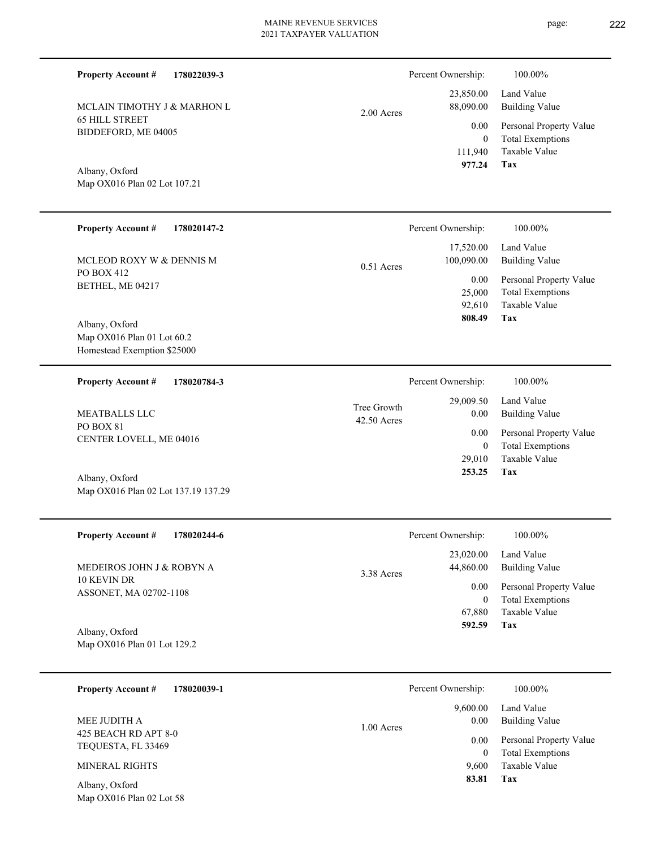**178022039-3** 2.00 Acres **178020147-2** BETHEL, ME 04217 **Property Account #** Map OX016 Plan 01 Lot 60.2 Homestead Exemption \$25000 MCLEOD ROXY W & DENNIS M 92,610 25,000  **808.49** 17,520.00 100,090.00 0.00 0.51 Acres Percent Ownership: 100.00% **178020784-3** CENTER LOVELL, ME 04016 **Property Account #** Map OX016 Plan 02 Lot 137.19 137.29 MEATBALLS LLC 42.50 Acres Tree Growt Percent Ownership:  $100.00\%$ 

| <b>Property Account #</b><br>178020244-6 | Percent Ownership:      | 100.00%                 |
|------------------------------------------|-------------------------|-------------------------|
|                                          | 23,020.00               | Land Value              |
| MEDEIROS JOHN J & ROBYN A                | 44,860.00<br>3.38 Acres | <b>Building Value</b>   |
| 10 KEVIN DR                              | 0.00                    | Personal Property Value |
| ASSONET, MA 02702-1108                   | $\overline{0}$          | <b>Total Exemptions</b> |
|                                          | 67,880                  | Taxable Value           |
| Albany, Oxford                           | 592.59                  | Tax                     |
| Map OX016 Plan 01 Lot 129.2              |                         |                         |
|                                          |                         |                         |
| <b>Property Account #</b><br>178020039-1 | Percent Ownership:      | 100.00%                 |
|                                          | 9,600.00                | Land Value              |
| MEE JUDITH A                             | 0.00<br>1.00 Acres      | <b>Building Value</b>   |
| 425 BEACH RD APT 8-0                     | 0.00                    | Personal Property Value |
| TEQUESTA, FL 33469                       | $\Omega$                | <b>Total Exemptions</b> |

## **Property Account #**

MCLAIN TIMOTHY J & MARHON L

Map OX016 Plan 02 Lot 107.21

PO BOX 412

Albany, Oxford

PO BOX 81

Albany, Oxford

65 HILL STREET BIDDEFORD, ME 04005

Albany, Oxford

**Tax** Taxable Value Total Exemptions Personal Property Value Building Value Land Value 111,940 0  **977.24** 23,850.00 88,090.00 0.00 Percent Ownership:  $100.00\%$ 

| ħ<br>5S | $0.00\,$   | 29,009.50 Land Value<br><b>Building Value</b> |
|---------|------------|-----------------------------------------------|
|         | $0.00\,$   | Personal Property Value                       |
|         | 0          | <b>Total Exemptions</b>                       |
|         |            | 29,010 Taxable Value                          |
|         | 253.25 Tax |                                               |
|         |            |                                               |

**Tax**

Taxable Value Total Exemptions Personal Property Value

Building Value Land Value

| .s | $0.00\,$ | 9,600.00 Land Value<br>Building Value |
|----|----------|---------------------------------------|
|    |          | 0.00 Personal Property Value          |
|    | 0        | <b>Total Exemptions</b>               |
|    |          | 9,600 Taxable Value                   |
|    | 83.81    | Tax                                   |
|    |          |                                       |

Map OX016 Plan 02 Lot 58 Albany, Oxford

MINERAL RIGHTS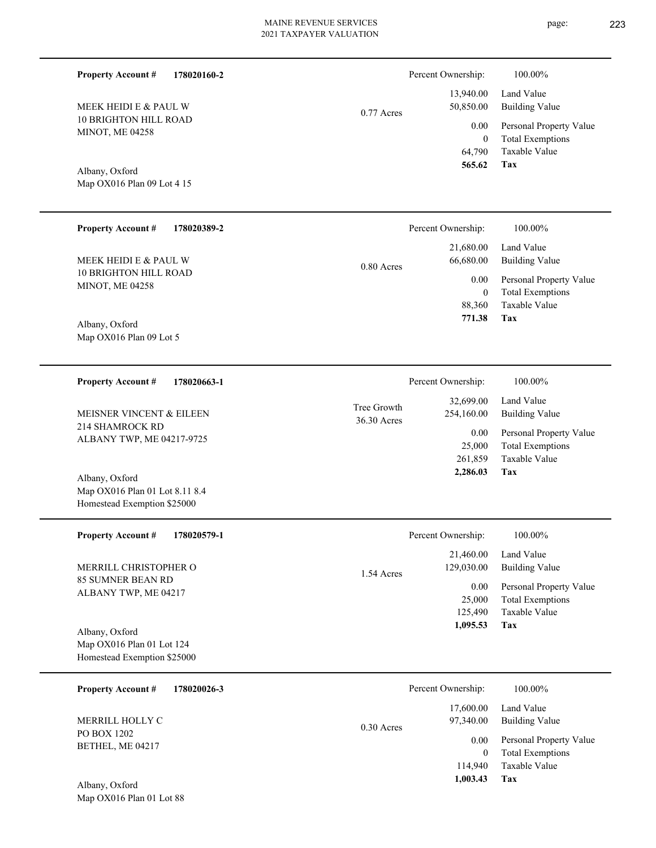0.77 Acres

### Map OX016 Plan 09 Lot 4 15 Albany, Oxford

10 BRIGHTON HILL ROAD

MEEK HEIDI E & PAUL W

MINOT, ME 04258

**Property Account #**

**178020160-2**

| <b>Property Account #</b><br>178020389-2 | Percent Ownership:                                    | 100.00%                             |
|------------------------------------------|-------------------------------------------------------|-------------------------------------|
|                                          | 21,680.00                                             | Land Value                          |
| MEEK HEIDI E & PAUL W                    | 66,680.00<br>$0.80$ Acres                             | <b>Building Value</b>               |
| <b>10 BRIGHTON HILL ROAD</b>             | 0.00                                                  | Personal Property Value             |
| <b>MINOT, ME 04258</b>                   | $\mathbf{0}$                                          | <b>Total Exemptions</b>             |
|                                          | 88,360                                                | Taxable Value                       |
| Albany, Oxford                           | 771.38                                                | Tax                                 |
| Map OX016 Plan 09 Lot 5                  |                                                       |                                     |
| <b>Property Account #</b><br>178020663-1 | Percent Ownership:                                    | 100.00%                             |
| MEISNER VINCENT & EILEEN                 | 32,699.00<br>Tree Growth<br>254,160.00<br>36.30 Acres | Land Value<br><b>Building Value</b> |

214 SHAMROCK RD ALBANY TWP, ME 04217-9725

Map OX016 Plan 01 Lot 8.11 8.4 Homestead Exemption \$25000 Albany, Oxford

**178020579-1 Tax** Taxable Value Total Exemptions Personal Property Value Building Value Land Value 85 SUMNER BEAN RD ALBANY TWP, ME 04217 **Property Account #** Map OX016 Plan 01 Lot 124 Homestead Exemption \$25000 Albany, Oxford MERRILL CHRISTOPHER O 125,490 25,000  **1,095.53** 21,460.00 129,030.00 0.00 1.54 Acres Percent Ownership:  $100.00\%$ 

| 178020026-3<br><b>Property Account #</b> | Percent Ownership:        | 100.00%                 |
|------------------------------------------|---------------------------|-------------------------|
|                                          | 17,600.00                 | Land Value              |
| MERRILL HOLLY C                          | 97,340.00<br>$0.30$ Acres | <b>Building Value</b>   |
| PO BOX 1202                              | 0.00                      | Personal Property Value |
| BETHEL, ME 04217                         | 0                         | <b>Total Exemptions</b> |
|                                          | 114,940                   | Taxable Value           |
| Albany, Oxford                           | 1,003.43                  | Tax                     |
| Map $OX016$ Plan 01 Lot 88               |                           |                         |

page: 223

**Tax**

**Tax**

 261,859 25,000

0.00

 **2,286.03**

Taxable Value Total Exemptions Personal Property Value

 64,790 0

0.00

Percent Ownership: 100.00%

 13,940.00 50,850.00

 **565.62**

Taxable Value Total Exemptions Personal Property Value

Building Value Land Value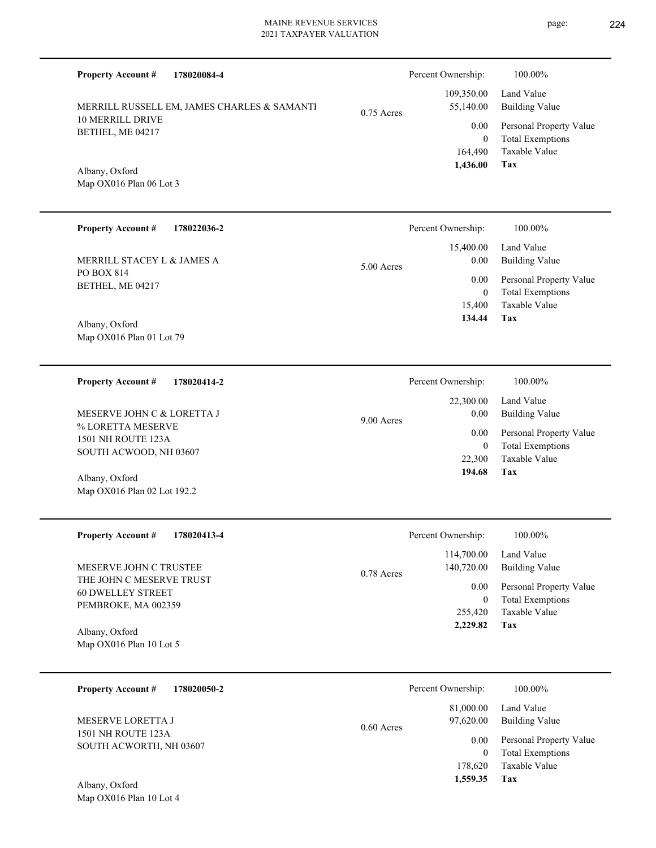| <b>Property Account #</b><br>178020084-4             |              | Percent Ownership:       | 100.00%                                            |
|------------------------------------------------------|--------------|--------------------------|----------------------------------------------------|
| MERRILL RUSSELL EM, JAMES CHARLES & SAMANTI          | $0.75$ Acres | 109,350.00<br>55,140.00  | Land Value<br><b>Building Value</b>                |
| 10 MERRILL DRIVE<br>BETHEL, ME 04217                 |              | 0.00<br>$\overline{0}$   | Personal Property Value<br><b>Total Exemptions</b> |
| Albany, Oxford                                       |              | 164,490<br>1,436.00      | Taxable Value<br>Tax                               |
| Map OX016 Plan 06 Lot 3                              |              |                          |                                                    |
| <b>Property Account #</b><br>178022036-2             |              | Percent Ownership:       | 100.00%                                            |
| MERRILL STACEY L & JAMES A                           | 5.00 Acres   | 15,400.00<br>0.00        | Land Value<br><b>Building Value</b>                |
| PO BOX 814<br>BETHEL, ME 04217                       |              | 0.00<br>$\overline{0}$   | Personal Property Value<br><b>Total Exemptions</b> |
| Albany, Oxford                                       |              | 15,400<br>134.44         | Taxable Value<br>Tax                               |
| Map OX016 Plan 01 Lot 79                             |              |                          |                                                    |
| <b>Property Account #</b><br>178020414-2             |              | Percent Ownership:       | 100.00%                                            |
| MESERVE JOHN C & LORETTA J                           | 9.00 Acres   | 22,300.00<br>0.00        | Land Value<br><b>Building Value</b>                |
| % LORETTA MESERVE<br>1501 NH ROUTE 123A              |              | 0.00<br>$\overline{0}$   | Personal Property Value<br><b>Total Exemptions</b> |
| SOUTH ACWOOD, NH 03607<br>Albany, Oxford             |              | 22,300<br>194.68         | <b>Taxable Value</b><br>Tax                        |
| Map OX016 Plan 02 Lot 192.2                          |              |                          |                                                    |
| <b>Property Account #</b><br>178020413-4             |              | Percent Ownership:       | 100.00%                                            |
| MESERVE JOHN C TRUSTEE                               | 0.78 Acres   | 114,700.00<br>140,720.00 | Land Value<br><b>Building Value</b>                |
| THE JOHN C MESERVE TRUST<br><b>60 DWELLEY STREET</b> |              | 0.00<br>$\mathbf{0}$     | Personal Property Value<br><b>Total Exemptions</b> |
| PEMBROKE, MA 002359<br>Albany, Oxford                |              | 255,420<br>2,229.82      | Taxable Value<br>Tax                               |
| Map OX016 Plan 10 Lot 5                              |              |                          |                                                    |
| <b>Property Account #</b><br>178020050-2             |              | Percent Ownership:       | 100.00%                                            |
| MESERVE LORETTA J                                    | $0.60$ Acres | 81,000.00<br>97,620.00   | Land Value<br><b>Building Value</b>                |
| <b>1501 NH ROUTE 123A</b><br>SOUTH ACWORTH, NH 03607 |              | 0.00<br>$\mathbf{0}$     | Personal Property Value<br><b>Total Exemptions</b> |
| Albany Oxford                                        |              | 178,620<br>1,559.35      | Taxable Value<br>Tax                               |

Map OX016 Plan 10 Lot 4 Albany, Oxford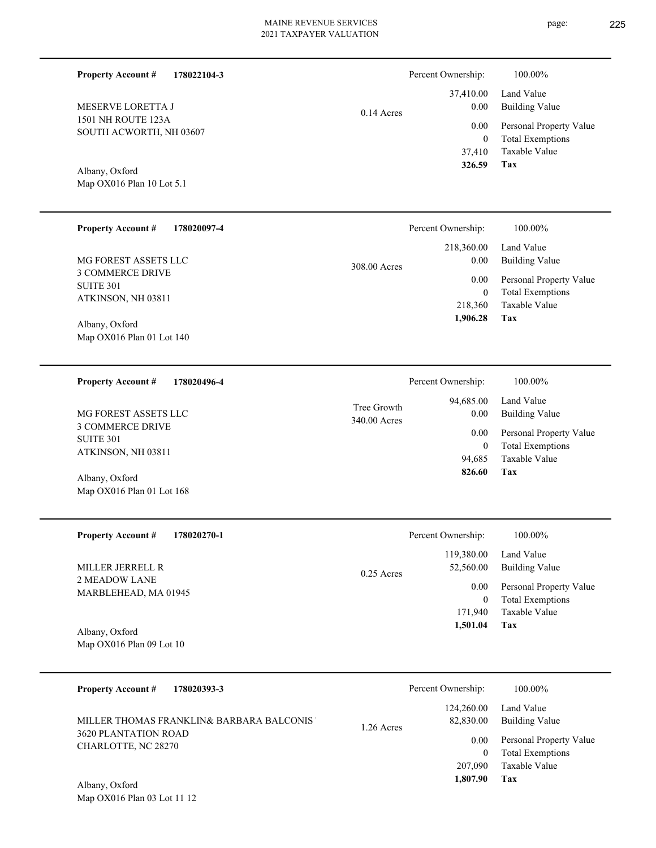| <b>Property Account #</b>                                                                                                                                                            | $0.14$ Acres                | Percent Ownership:                                                                        | 100.00%                                                                                                                      |
|--------------------------------------------------------------------------------------------------------------------------------------------------------------------------------------|-----------------------------|-------------------------------------------------------------------------------------------|------------------------------------------------------------------------------------------------------------------------------|
| 178022104-3                                                                                                                                                                          |                             | 37,410.00                                                                                 | Land Value                                                                                                                   |
| MESERVE LORETTA J                                                                                                                                                                    |                             | 0.00                                                                                      | <b>Building Value</b>                                                                                                        |
| 1501 NH ROUTE 123A                                                                                                                                                                   |                             | 0.00                                                                                      | Personal Property Value                                                                                                      |
| SOUTH ACWORTH, NH 03607                                                                                                                                                              |                             | $\overline{0}$                                                                            | <b>Total Exemptions</b>                                                                                                      |
| Albany, Oxford                                                                                                                                                                       |                             | 37,410                                                                                    | Taxable Value                                                                                                                |
| Map OX016 Plan 10 Lot 5.1                                                                                                                                                            |                             | 326.59                                                                                    | Tax                                                                                                                          |
| <b>Property Account #</b><br>178020097-4<br>MG FOREST ASSETS LLC<br><b>3 COMMERCE DRIVE</b><br><b>SUITE 301</b><br>ATKINSON, NH 03811<br>Albany, Oxford<br>Map OX016 Plan 01 Lot 140 | 308.00 Acres                | Percent Ownership:<br>218,360.00<br>0.00<br>0.00<br>$\overline{0}$<br>218,360<br>1,906.28 | 100.00%<br>Land Value<br><b>Building Value</b><br>Personal Property Value<br><b>Total Exemptions</b><br>Taxable Value<br>Tax |
| <b>Property Account #</b><br>178020496-4<br>MG FOREST ASSETS LLC<br><b>3 COMMERCE DRIVE</b><br><b>SUITE 301</b><br>ATKINSON, NH 03811<br>Albany, Oxford<br>Map OX016 Plan 01 Lot 168 | Tree Growth<br>340.00 Acres | Percent Ownership:<br>94,685.00<br>0.00<br>0.00<br>$\mathbf{0}$<br>94,685<br>826.60       | 100.00%<br>Land Value<br><b>Building Value</b><br>Personal Property Value<br><b>Total Exemptions</b><br>Taxable Value<br>Tax |
| 178020270-1                                                                                                                                                                          | 0.25 Acres                  | Percent Ownership:                                                                        | 100.00%                                                                                                                      |
| <b>Property Account #</b>                                                                                                                                                            |                             | 119,380.00                                                                                | Land Value                                                                                                                   |
| MILLER JERRELL R                                                                                                                                                                     |                             | 52,560.00                                                                                 | <b>Building Value</b>                                                                                                        |
| 2 MEADOW LANE                                                                                                                                                                        |                             | 0.00                                                                                      | Personal Property Value                                                                                                      |
| MARBLEHEAD, MA 01945                                                                                                                                                                 |                             | $\boldsymbol{0}$                                                                          | <b>Total Exemptions</b>                                                                                                      |
| Albany, Oxford                                                                                                                                                                       |                             | 171,940                                                                                   | Taxable Value                                                                                                                |
| Map OX016 Plan 09 Lot 10                                                                                                                                                             |                             | 1,501.04                                                                                  | Tax                                                                                                                          |
| <b>Property Account #</b>                                                                                                                                                            | 1.26 Acres                  | Percent Ownership:                                                                        | 100.00%                                                                                                                      |
| 178020393-3                                                                                                                                                                          |                             | 124,260.00                                                                                | Land Value                                                                                                                   |
| MILLER THOMAS FRANKLIN& BARBARA BALCONIS'                                                                                                                                            |                             | 82,830.00                                                                                 | <b>Building Value</b>                                                                                                        |
| 3620 PLANTATION ROAD                                                                                                                                                                 |                             | 0.00                                                                                      | Personal Property Value                                                                                                      |
| CHARLOTTE, NC 28270                                                                                                                                                                  |                             | $\overline{0}$                                                                            | <b>Total Exemptions</b>                                                                                                      |
| Albany, Oxford                                                                                                                                                                       |                             | 207,090                                                                                   | Taxable Value                                                                                                                |
| Map OX016 Plan 03 Lot 11 12                                                                                                                                                          |                             | 1,807.90                                                                                  | <b>Tax</b>                                                                                                                   |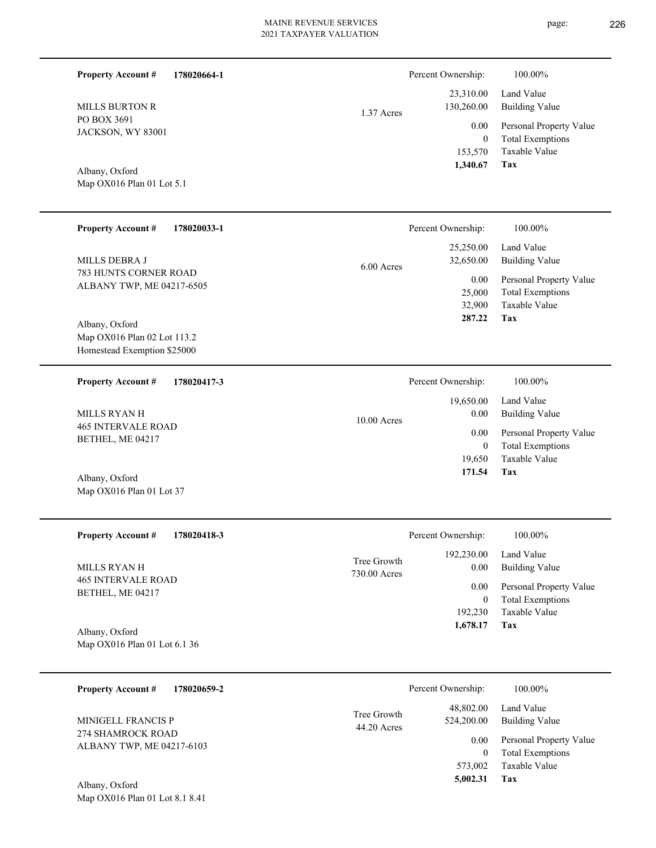| <b>Property Account #</b>        | 178020664-1 | Percent Ownership:       | 100.00%                 |
|----------------------------------|-------------|--------------------------|-------------------------|
|                                  |             | 23,310.00                | Land Value              |
| <b>MILLS BURTON R</b>            |             | 130,260.00<br>1.37 Acres | Building Value          |
| PO BOX 3691<br>JACKSON, WY 83001 |             | 0.00                     | Personal Property Value |
|                                  | 0           | <b>Total Exemptions</b>  |                         |
|                                  |             | 153,570                  | Taxable Value           |
| Albany, Oxford                   |             | 1,340.67                 | Tax                     |

Map OX016 Plan 01 Lot 5.1

| <b>Property Account #</b><br>178020033-1                                                                                      | Percent Ownership:                   | 100.00%                                                             |
|-------------------------------------------------------------------------------------------------------------------------------|--------------------------------------|---------------------------------------------------------------------|
| MILLS DEBRA J                                                                                                                 | 25,250.00<br>32,650.00<br>6.00 Acres | Land Value<br>Building Value                                        |
| 783 HUNTS CORNER ROAD<br>ALBANY TWP, ME 04217-6505                                                                            | 0.00<br>25,000<br>32,900             | Personal Property Value<br><b>Total Exemptions</b><br>Taxable Value |
| Albany, Oxford<br>$\mathbf{M}$ $\alpha \mathbf{M}$ $\alpha$ $\mathbf{M}$ $\alpha$ $\mathbf{M}$ $\alpha$ $\mathbf{M}$ $\alpha$ | 287.22                               | Tax                                                                 |

Map OX016 Plan 02 Lot 113.2 Homestead Exemption \$25000

| 178020417-3<br><b>Property Account #</b>      | Percent Ownership:    | 100.00%                 |
|-----------------------------------------------|-----------------------|-------------------------|
|                                               | 19,650.00             | Land Value              |
| MILLS RYAN H                                  | 0.00<br>$10.00$ Acres | <b>Building Value</b>   |
| <b>465 INTERVALE ROAD</b><br>BETHEL, ME 04217 | 0.00                  | Personal Property Value |
|                                               | 0                     | <b>Total Exemptions</b> |
|                                               | 19.650                | Taxable Value           |
| Albany, Oxford                                | 171.54                | Tax                     |
| Map OX016 Plan 01 Lot 37                      |                       |                         |

| <b>Property Account #</b><br>178020418-3       | Percent Ownership:          |                    | 100.00%                             |
|------------------------------------------------|-----------------------------|--------------------|-------------------------------------|
| MILLS RYAN H                                   | Tree Growth<br>730.00 Acres | 192,230.00<br>0.00 | Land Value<br><b>Building Value</b> |
| <b>465 INTERVALE ROAD</b><br>BETHEL, ME 04217  |                             | 0.00               | Personal Property Value             |
|                                                |                             |                    | <b>Total Exemptions</b>             |
|                                                |                             | 192,230            | Taxable Value                       |
| Albany, Oxford<br>Map OX016 Plan 01 Lot 6.1 36 |                             | 1,678.17           | Tax                                 |

| <b>Property Account #</b><br>178020659-2       | Percent Ownership:           |                         | 100.00%                                            |
|------------------------------------------------|------------------------------|-------------------------|----------------------------------------------------|
| <b>MINIGELL FRANCIS P</b>                      | Tree Growth<br>$44.20$ Acres | 48,802.00<br>524,200.00 | Land Value<br><b>Building Value</b>                |
| 274 SHAMROCK ROAD<br>ALBANY TWP, ME 04217-6103 |                              | 0.00                    | Personal Property Value<br><b>Total Exemptions</b> |
| Albany, Oxford                                 |                              | 573,002<br>5,002.31     | Taxable Value<br>Tax                               |

Map OX016 Plan 01 Lot 8.1 8.41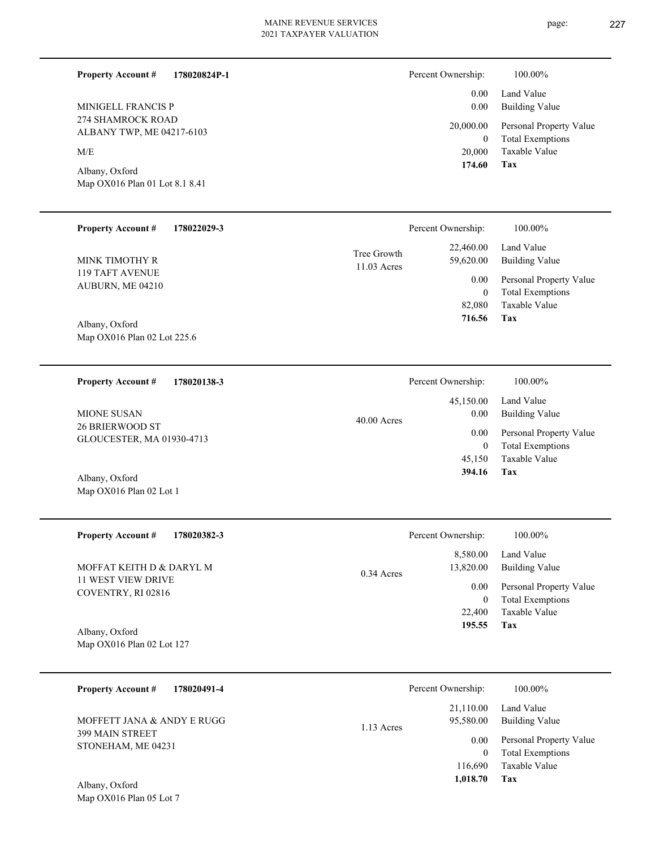**178020824P-1**

| <b>MINIGELL FRANCIS P</b> |
|---------------------------|
| 274 SHAMROCK ROAD         |
| ALBANY TWP, ME 04217-6103 |

**Property Account #**

 $\ensuremath{\text{M/E}}$ 

Map OX016 Plan 01 Lot 8.1 8.41 Albany, Oxford

| Percent Ownership: | 100.00%                 |
|--------------------|-------------------------|
| $0.00 -$           | Land Value              |
| 0.00               | Building Value          |
| 20,000.00          | Personal Property Value |
| 0                  | <b>Total Exemptions</b> |
| 20,000             | Taxable Value           |
| 174.60             | Tax                     |

| <b>Property Account #</b>           | 178022029-3 |                              | Percent Ownership:      | 100.00%                      |
|-------------------------------------|-------------|------------------------------|-------------------------|------------------------------|
| MINK TIMOTHY R                      |             | Tree Growth<br>$11.03$ Acres | 22,460.00<br>59,620.00  | Land Value<br>Building Value |
| 119 TAFT AVENUE<br>AUBURN, ME 04210 |             | 0.00                         | Personal Property Value |                              |
|                                     |             | $\mathbf{0}$                 | <b>Total Exemptions</b> |                              |
|                                     |             |                              | 82,080                  | Taxable Value                |
| Albany, Oxford                      |             |                              | 716.56                  | Tax                          |
| Map OX016 Plan 02 Lot 225.6         |             |                              |                         |                              |

| 178020138-3<br><b>Property Account #</b>            | Percent Ownership:    | 100.00%                 |
|-----------------------------------------------------|-----------------------|-------------------------|
|                                                     | 45,150.00             | Land Value              |
| <b>MIONE SUSAN</b>                                  | 0.00<br>$40.00$ Acres | <b>Building Value</b>   |
| <b>26 BRIERWOOD ST</b><br>GLOUCESTER, MA 01930-4713 | 0.00                  | Personal Property Value |
|                                                     | 0                     | <b>Total Exemptions</b> |
|                                                     | 45.150                | Taxable Value           |
| Albany, Oxford                                      | 394.16                | Tax                     |
| Map OX016 Plan 02 Lot 1                             |                       |                         |

| <b>Property Account #</b><br>178020382-3 | Percent Ownership:        | 100.00%                 |
|------------------------------------------|---------------------------|-------------------------|
|                                          | 8,580.00                  | Land Value              |
| MOFFAT KEITH D & DARYL M                 | 13,820.00<br>$0.34$ Acres | <b>Building Value</b>   |
| 11 WEST VIEW DRIVE<br>COVENTRY, RI 02816 | 0.00                      | Personal Property Value |
|                                          | $\overline{0}$            | <b>Total Exemptions</b> |
|                                          | 22,400                    | Taxable Value           |
| Albany, Oxford                           | 195.55                    | Tax                     |
| Map $OX016$ Plan 02 Lot 127              |                           |                         |

| 178020491-4<br><b>Property Account #</b>     | Percent Ownership:                     | 100.00%                                            |
|----------------------------------------------|----------------------------------------|----------------------------------------------------|
| MOFFETT JANA & ANDY E RUGG                   | 21,110.00<br>95,580.00<br>$1.13$ Acres | Land Value<br>Building Value                       |
| <b>399 MAIN STREET</b><br>STONEHAM, ME 04231 | 0.00<br>0                              | Personal Property Value<br><b>Total Exemptions</b> |
|                                              | 116,690<br>1,018.70                    | Taxable Value<br>Tax                               |
| Albony Oxford                                |                                        |                                                    |

Map OX016 Plan 05 Lot 7 Albany, Oxford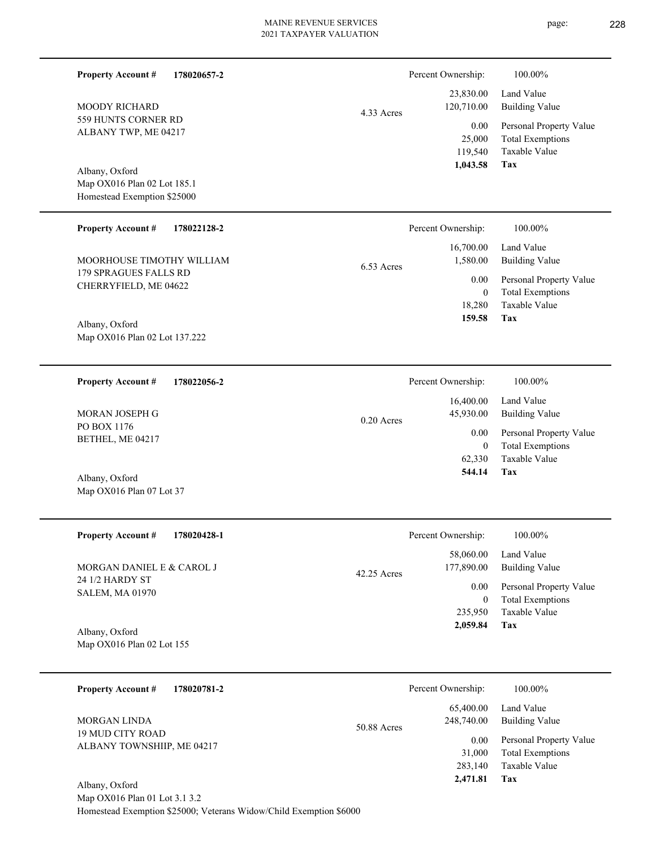L

| <b>Property Account #</b><br>178020657-2<br><b>MOODY RICHARD</b><br>559 HUNTS CORNER RD<br>ALBANY TWP, ME 04217<br>Albany, Oxford | 4.33 Acres    | Percent Ownership:<br>23,830.00<br>120,710.00<br>0.00<br>25,000<br>119,540<br>1,043.58 | 100.00%<br>Land Value<br><b>Building Value</b><br>Personal Property Value<br><b>Total Exemptions</b><br>Taxable Value<br>Tax |
|-----------------------------------------------------------------------------------------------------------------------------------|---------------|----------------------------------------------------------------------------------------|------------------------------------------------------------------------------------------------------------------------------|
| Map OX016 Plan 02 Lot 185.1<br>Homestead Exemption \$25000                                                                        |               |                                                                                        |                                                                                                                              |
| <b>Property Account #</b><br>178022128-2                                                                                          |               | Percent Ownership:                                                                     | 100.00%                                                                                                                      |
| MOORHOUSE TIMOTHY WILLIAM                                                                                                         | 6.53 Acres    | 16,700.00<br>1,580.00                                                                  | Land Value<br><b>Building Value</b>                                                                                          |
| 179 SPRAGUES FALLS RD<br>CHERRYFIELD, ME 04622<br>Albany, Oxford<br>Map OX016 Plan 02 Lot 137.222                                 |               | 0.00<br>$\boldsymbol{0}$<br>18,280<br>159.58                                           | Personal Property Value<br><b>Total Exemptions</b><br>Taxable Value<br>Tax                                                   |
| <b>Property Account #</b><br>178022056-2                                                                                          |               | Percent Ownership:                                                                     | 100.00%                                                                                                                      |
| MORAN JOSEPH G                                                                                                                    | $0.20$ Acres  | 16,400.00<br>45,930.00                                                                 | Land Value<br><b>Building Value</b>                                                                                          |
| PO BOX 1176<br>BETHEL, ME 04217                                                                                                   |               | 0.00<br>$\overline{0}$<br>62,330<br>544.14                                             | Personal Property Value<br><b>Total Exemptions</b><br>Taxable Value<br>Tax                                                   |
| Albany, Oxford<br>Map OX016 Plan 07 Lot 37                                                                                        |               |                                                                                        |                                                                                                                              |
| <b>Property Account #</b><br>178020428-1                                                                                          |               | Percent Ownership:                                                                     | 100.00%                                                                                                                      |
| MORGAN DANIEL E & CAROL J                                                                                                         | $42.25$ Acres | 58,060.00<br>177,890.00                                                                | Land Value<br><b>Building Value</b>                                                                                          |
| 24 1/2 HARDY ST<br><b>SALEM, MA 01970</b><br>Albany, Oxford<br>Map OX016 Plan 02 Lot 155                                          |               | 0.00<br>$\overline{0}$<br>235,950<br>2,059.84                                          | Personal Property Value<br><b>Total Exemptions</b><br>Taxable Value<br>Tax                                                   |
| 178020781-2<br><b>Property Account #</b>                                                                                          |               | Percent Ownership:                                                                     | 100.00%                                                                                                                      |
| <b>MORGAN LINDA</b>                                                                                                               |               | 65,400.00<br>248,740.00                                                                | Land Value<br><b>Building Value</b>                                                                                          |
| <b>19 MUD CITY ROAD</b><br>ALBANY TOWNSHIIP, ME 04217<br>Albany, Oxford                                                           | 50.88 Acres   | 0.00<br>31,000<br>283,140<br>2,471.81                                                  | Personal Property Value<br><b>Total Exemptions</b><br>Taxable Value<br>Tax                                                   |
| Map OX016 Plan 01 Lot 3.1 3.2<br>Homestead Exemption \$25000; Veterans Widow/Child Exemption \$6000                               |               |                                                                                        |                                                                                                                              |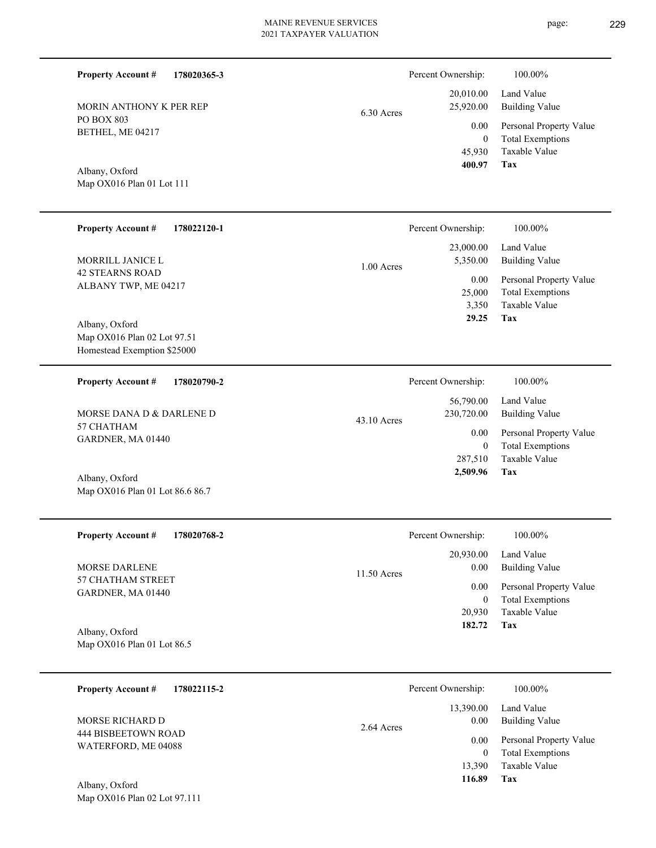## 2021 TAXPAYER VALUATION

Building Value Land Value 20,010.00 25,920.00 6.30 Acres Percent Ownership:  $100.00\%$ 

**Tax**

 45,930 0

0.00

 **400.97**

Taxable Value Total Exemptions Personal Property Value

| MORIN ANTHONY K PER REP |  |
|-------------------------|--|
| <b>PO BOX 803</b>       |  |
| BETHEL, ME 04217        |  |

**178020365-3**

Map OX016 Plan 01 Lot 111 Albany, Oxford

**Property Account #**

| <b>Property Account #</b><br>178022120-1      | Percent Ownership:       | 100.00%                 |
|-----------------------------------------------|--------------------------|-------------------------|
|                                               | 23,000.00                | Land Value              |
| MORRILL JANICE L                              | 5,350.00<br>$1.00$ Acres | <b>Building Value</b>   |
| <b>42 STEARNS ROAD</b>                        | 0.00                     | Personal Property Value |
| ALBANY TWP, ME 04217                          | 25,000                   | <b>Total Exemptions</b> |
|                                               | 3,350                    | Taxable Value           |
| Albany, Oxford<br>Man OX016 Plan 02 Lot 97 51 | 29.25                    | Tax                     |

Map OX016 Plan 02 Lot 97.51 Homestead Exemption \$25000

| 178020790-2<br><b>Property Account #</b> | Percent Ownership:                       | 100.00%                      |
|------------------------------------------|------------------------------------------|------------------------------|
| MORSE DANA D & DARLENE D                 | 56,790.00<br>230,720.00<br>$43.10$ Acres | Land Value<br>Building Value |
| 57 CHATHAM<br>GARDNER, MA 01440          | 0.00                                     | Personal Property Value      |
|                                          | $\theta$                                 | <b>Total Exemptions</b>      |
|                                          | 287.510                                  | Taxable Value                |
| Albany, Oxford                           | 2,509.96                                 | Tax                          |

Map OX016 Plan 01 Lot 86.6 86.7

Map OX016 Plan 02 Lot 97.111

| <b>Property Account #</b><br>178020768-2         | Percent Ownership:                 | 100.00%                                  |
|--------------------------------------------------|------------------------------------|------------------------------------------|
| <b>MORSE DARLENE</b><br><b>57 CHATHAM STREET</b> | 20,930.00<br>0.00<br>$11.50$ Acres | Land Value<br>Building Value             |
| GARDNER, MA 01440                                | 0.00                               | Personal Property Value                  |
|                                                  | $\mathbf{0}$<br>20,930             | <b>Total Exemptions</b><br>Taxable Value |
| Albany, Oxford                                   | 182.72                             | Tax                                      |
| Map OX016 Plan 01 Lot 86.5                       |                                    |                                          |

| 178022115-2<br><b>Property Account #</b>   | Percent Ownership:                | 100.00%                                            |
|--------------------------------------------|-----------------------------------|----------------------------------------------------|
| MORSE RICHARD D                            | 13,390.00<br>0.00<br>$2.64$ Acres | Land Value<br><b>Building Value</b>                |
| 444 BISBEETOWN ROAD<br>WATERFORD, ME 04088 | 0.00<br>$\mathbf{0}$              | Personal Property Value<br><b>Total Exemptions</b> |
| Albany, Oxford                             | 13,390<br>116.89                  | Taxable Value<br>Tax                               |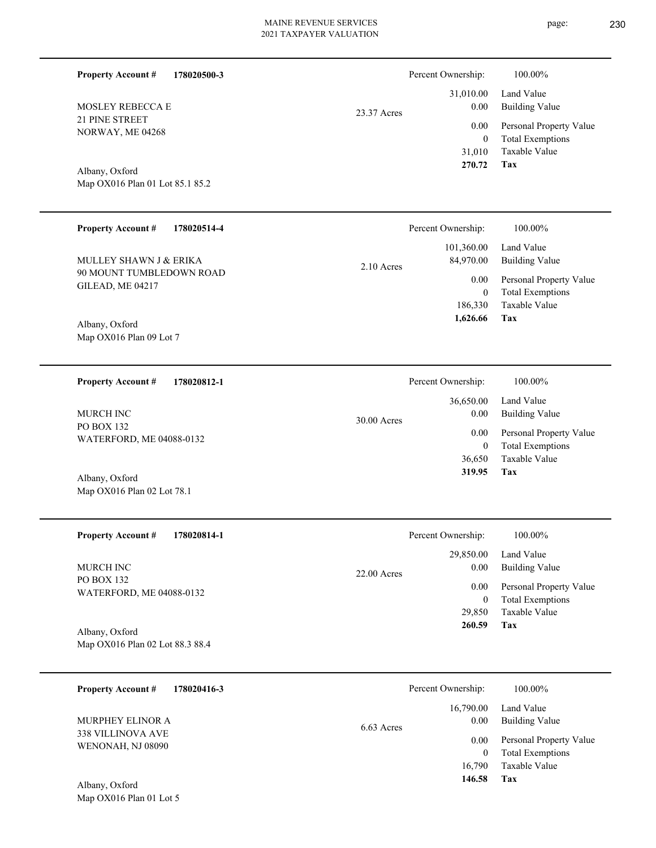| <b>Property Account #</b><br>178020500-3          |             | Percent Ownership:                          | 100.00%                                                                           |
|---------------------------------------------------|-------------|---------------------------------------------|-----------------------------------------------------------------------------------|
| MOSLEY REBECCA E                                  | 23.37 Acres | 31,010.00<br>0.00                           | Land Value<br><b>Building Value</b>                                               |
| 21 PINE STREET<br>NORWAY, ME 04268                |             | 0.00<br>$\mathbf{0}$<br>31,010<br>270.72    | Personal Property Value<br><b>Total Exemptions</b><br>Taxable Value<br><b>Tax</b> |
| Albany, Oxford<br>Map OX016 Plan 01 Lot 85.1 85.2 |             |                                             |                                                                                   |
| <b>Property Account #</b><br>178020514-4          |             | Percent Ownership:                          | 100.00%                                                                           |
| MULLEY SHAWN J & ERIKA                            | 2.10 Acres  | 101,360.00<br>84,970.00                     | Land Value<br><b>Building Value</b>                                               |
| 90 MOUNT TUMBLEDOWN ROAD<br>GILEAD, ME 04217      |             | 0.00<br>$\mathbf{0}$<br>186,330<br>1,626.66 | Personal Property Value<br><b>Total Exemptions</b><br>Taxable Value<br>Tax        |
| Albany, Oxford<br>Map OX016 Plan 09 Lot 7         |             |                                             |                                                                                   |
| <b>Property Account #</b><br>178020812-1          |             | Percent Ownership:                          | 100.00%                                                                           |
| MURCH INC                                         | 30.00 Acres | 36,650.00<br>0.00                           | Land Value<br><b>Building Value</b>                                               |
| PO BOX 132<br>WATERFORD, ME 04088-0132            |             | 0.00<br>$\mathbf{0}$                        | Personal Property Value<br><b>Total Exemptions</b>                                |
| Albany, Oxford<br>Map OX016 Plan 02 Lot 78.1      |             | 36,650<br>319.95                            | Taxable Value<br>Tax                                                              |
| <b>Property Account #</b><br>178020814-1          |             | Percent Ownership:                          | 100.00%                                                                           |
| MURCH INC                                         | 22.00 Acres | 29,850.00<br>0.00                           | Land Value<br><b>Building Value</b>                                               |
| <b>PO BOX 132</b><br>WATERFORD, ME 04088-0132     |             | 0.00<br>$\mathbf{0}$<br>29,850<br>260.59    | Personal Property Value<br><b>Total Exemptions</b><br>Taxable Value<br>Tax        |
| Albany, Oxford<br>Map OX016 Plan 02 Lot 88.3 88.4 |             |                                             |                                                                                   |
| <b>Property Account #</b><br>178020416-3          |             | Percent Ownership:                          | 100.00%                                                                           |
| MURPHEY ELINOR A                                  |             | 16,790.00<br>0.00                           | Land Value<br><b>Building Value</b>                                               |
| 338 VILLINOVA AVE<br>WENONAH, NJ 08090            | 6.63 Acres  | 0.00<br>$\mathbf{0}$<br>16,790<br>146.58    | Personal Property Value<br><b>Total Exemptions</b><br>Taxable Value               |
| Albany, Oxford<br>Map OX016 Plan 01 Lot 5         |             |                                             | Tax                                                                               |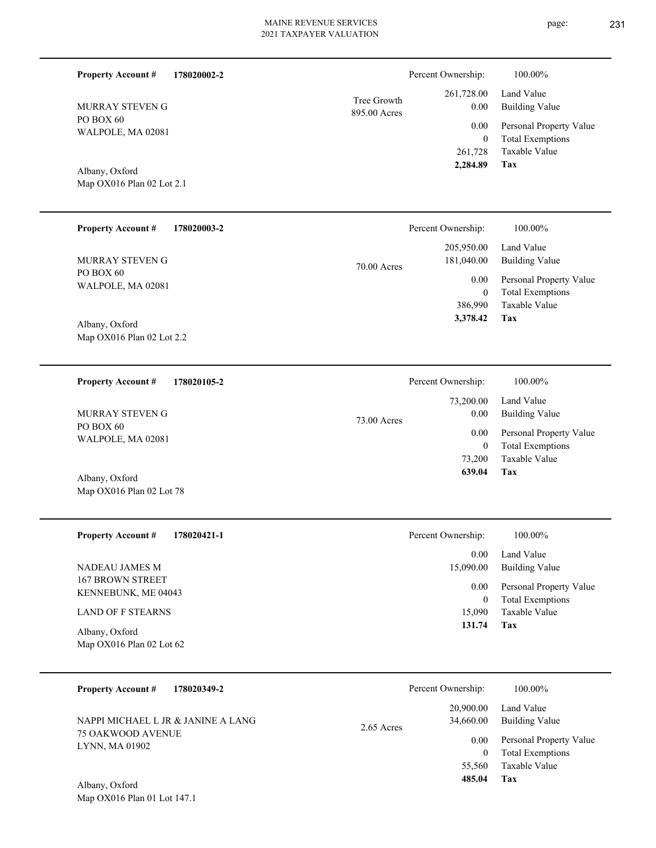| <b>Property Account #</b><br>178020002-2    |                             | Percent Ownership:        | 100.00%                                                |
|---------------------------------------------|-----------------------------|---------------------------|--------------------------------------------------------|
| MURRAY STEVEN G                             | Tree Growth<br>895.00 Acres | 261,728.00<br>0.00        | Land Value<br><b>Building Value</b>                    |
| PO BOX 60<br>WALPOLE, MA 02081              |                             | 0.00                      | Personal Property Value                                |
|                                             |                             | $\overline{0}$<br>261,728 | <b>Total Exemptions</b><br>Taxable Value<br><b>Tax</b> |
| Albany, Oxford<br>Map OX016 Plan 02 Lot 2.1 |                             | 2,284.89                  |                                                        |
|                                             |                             |                           |                                                        |
| <b>Property Account #</b><br>178020003-2    |                             | Percent Ownership:        | 100.00%                                                |
| MURRAY STEVEN G                             |                             | 205,950.00<br>181,040.00  | Land Value<br><b>Building Value</b>                    |
| PO BOX 60<br>WALPOLE, MA 02081              | 70.00 Acres                 | 0.00                      | Personal Property Value                                |
|                                             |                             | $\overline{0}$<br>386,990 | <b>Total Exemptions</b><br>Taxable Value               |
| Albany, Oxford                              |                             | 3,378.42                  | Tax                                                    |
| Map OX016 Plan 02 Lot 2.2                   |                             |                           |                                                        |
|                                             |                             |                           |                                                        |
| <b>Property Account #</b><br>178020105-2    |                             | Percent Ownership:        | 100.00%                                                |
| MURRAY STEVEN G                             | 73.00 Acres                 | 73,200.00<br>0.00         | Land Value<br><b>Building Value</b>                    |
| PO BOX 60<br>WALPOLE, MA 02081              |                             | 0.00                      | Personal Property Value                                |
|                                             |                             | $\overline{0}$<br>73,200  | <b>Total Exemptions</b><br>Taxable Value               |
| Albany, Oxford<br>Map OX016 Plan 02 Lot 78  |                             | 639.04                    | Tax                                                    |
|                                             |                             |                           |                                                        |
| <b>Property Account #</b><br>178020421-1    |                             | Percent Ownership:        | 100.00%                                                |
|                                             |                             | 0.00                      | Land Value                                             |
| NADEAU JAMES M<br><b>167 BROWN STREET</b>   |                             | 15,090.00<br>0.00         | <b>Building Value</b><br>Personal Property Value       |
| KENNEBUNK, ME 04043                         |                             | $\boldsymbol{0}$          | <b>Total Exemptions</b>                                |
| <b>LAND OF F STEARNS</b>                    |                             | 15,090<br>131.74          | Taxable Value<br>Tax                                   |
| Albany, Oxford<br>Map OX016 Plan 02 Lot 62  |                             |                           |                                                        |
|                                             |                             |                           |                                                        |
| <b>Property Account #</b><br>178020349-2    |                             | Percent Ownership:        | 100.00%                                                |
| NAPPI MICHAEL L JR & JANINE A LANG          |                             | 20,900.00<br>34,660.00    | Land Value<br><b>Building Value</b>                    |
| 75 OAKWOOD AVENUE<br>LYNN, MA 01902         | 2.65 Acres                  | 0.00                      | Personal Property Value                                |
|                                             |                             | $\overline{0}$            | <b>Total Exemptions</b>                                |

**Tax 485.04**

55,560

Taxable Value

Map OX016 Plan 01 Lot 147.1 Albany, Oxford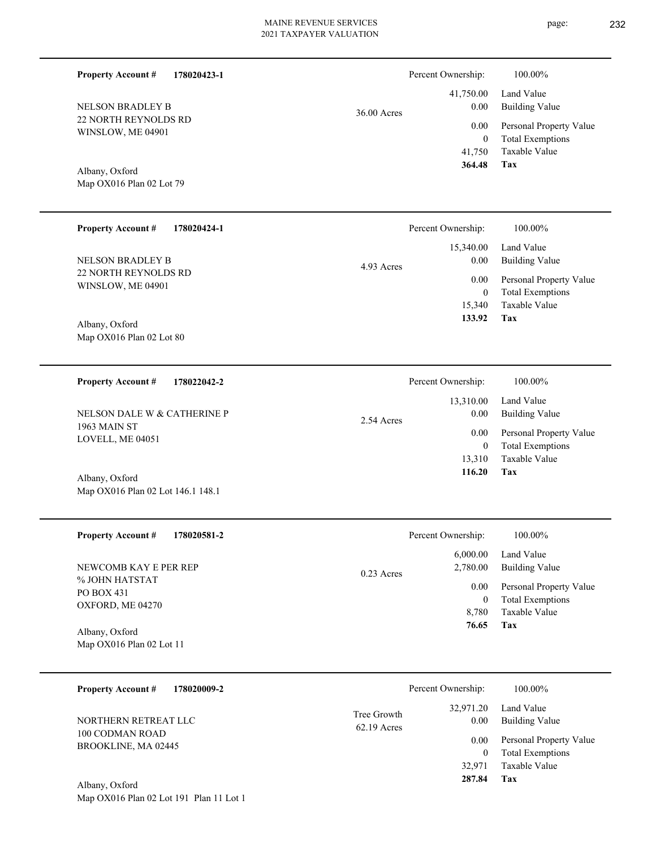$36.00 A$ 

|      | 364.48 Tax |                              |
|------|------------|------------------------------|
|      |            | 41,750 Taxable Value         |
|      | $\Omega$   | <b>Total Exemptions</b>      |
|      |            | 0.00 Personal Property Value |
| cres | 0.00       | Building Value               |
|      |            | 41,750.00 Land Value         |

Percent Ownership:  $100.00\%$ 

Map OX016 Plan 02 Lot 79 Albany, Oxford

22 NORTH REYNOLDS RD WINSLOW, ME 04901

NELSON BRADLEY B

**Property Account #**

**178020423-1**

| <b>Property Account #</b><br>178020424-1        | Percent Ownership: | 100.00%                 |
|-------------------------------------------------|--------------------|-------------------------|
|                                                 | 15,340.00          | Land Value              |
| <b>NELSON BRADLEY B</b><br>22 NORTH REYNOLDS RD | 0.00<br>4.93 Acres | Building Value          |
| WINSLOW, ME 04901                               | 0.00               | Personal Property Value |
|                                                 | $\theta$           | <b>Total Exemptions</b> |
|                                                 | 15,340             | Taxable Value           |
| Albany, Oxford                                  | 133.92             | Tax                     |
| Map $OX016$ Plan 02 Lot 80                      |                    |                         |

| 178022042-2<br><b>Property Account #</b>    | Percent Ownership:              | 100.00%                             |
|---------------------------------------------|---------------------------------|-------------------------------------|
| NELSON DALE W & CATHERINE P<br>1963 MAIN ST | 13.310.00<br>0.00<br>2.54 Acres | Land Value<br><b>Building Value</b> |
| LOVELL, ME 04051                            | 0.00                            | Personal Property Value             |
|                                             | 0                               | <b>Total Exemptions</b>             |
|                                             | 13.310                          | Taxable Value                       |
| Albany, Oxford                              | 116.20                          | Tax                                 |

| <b>Property Account #</b><br>178020581-2 | Percent Ownership:       | $100.00\%$              |
|------------------------------------------|--------------------------|-------------------------|
|                                          | 6,000.00                 | Land Value              |
| NEWCOMB KAY E PER REP                    | 2,780.00<br>$0.23$ Acres | Building Value          |
| % JOHN HATSTAT                           | 0.00                     | Personal Property Value |
| PO BOX 431                               | 0                        | <b>Total Exemptions</b> |
| OXFORD, ME 04270                         | 8,780                    | Taxable Value           |
| Albany, Oxford                           | 76.65                    | Tax                     |
| Map $OX016$ Plan 02 Lot 11               |                          |                         |

| 178020009-2<br><b>Property Account #</b> |                              | Percent Ownership:   | 100.00%                                            |
|------------------------------------------|------------------------------|----------------------|----------------------------------------------------|
| NORTHERN RETREAT LLC                     | Tree Growth<br>$62.19$ Acres | 32,971.20<br>0.00    | Land Value<br>Building Value                       |
| 100 CODMAN ROAD<br>BROOKLINE, MA 02445   |                              | 0.00<br>$\mathbf{0}$ | Personal Property Value<br><b>Total Exemptions</b> |
|                                          |                              | 32.971               | Taxable Value                                      |
| Albany, Oxford                           |                              | 287.84               | Tax                                                |

Map OX016 Plan 02 Lot 191 Plan 11 Lot 1

Map OX016 Plan 02 Lot 146.1 148.1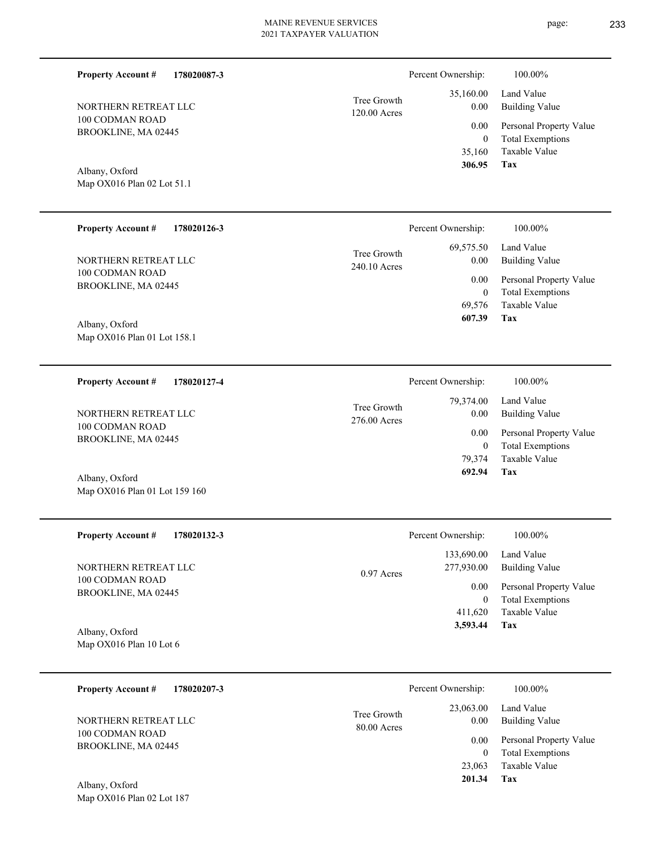| 178020087-3<br><b>Property Account #</b>        |                             | Percent Ownership:          | 100.00%                                            |
|-------------------------------------------------|-----------------------------|-----------------------------|----------------------------------------------------|
| NORTHERN RETREAT LLC                            | Tree Growth<br>120.00 Acres | 35,160.00<br>0.00           | Land Value<br><b>Building Value</b>                |
| 100 CODMAN ROAD<br>BROOKLINE, MA 02445          |                             | 0.00<br>$\mathbf{0}$        | Personal Property Value<br><b>Total Exemptions</b> |
|                                                 |                             | 35,160<br>306.95            | Taxable Value<br>Tax                               |
| Albany, Oxford<br>Map OX016 Plan 02 Lot 51.1    |                             |                             |                                                    |
|                                                 |                             |                             |                                                    |
| <b>Property Account #</b><br>178020126-3        |                             | Percent Ownership:          | 100.00%                                            |
| NORTHERN RETREAT LLC                            | Tree Growth<br>240.10 Acres | 69,575.50<br>0.00           | Land Value<br><b>Building Value</b>                |
| 100 CODMAN ROAD<br>BROOKLINE, MA 02445          |                             | 0.00                        | Personal Property Value                            |
|                                                 |                             | $\boldsymbol{0}$<br>69,576  | <b>Total Exemptions</b><br><b>Taxable Value</b>    |
| Albany, Oxford<br>Map OX016 Plan 01 Lot 158.1   |                             | 607.39                      | Tax                                                |
|                                                 |                             |                             |                                                    |
| <b>Property Account #</b><br>178020127-4        |                             | Percent Ownership:          | 100.00%                                            |
| NORTHERN RETREAT LLC                            | Tree Growth<br>276.00 Acres | 79,374.00<br>0.00           | Land Value<br><b>Building Value</b>                |
| 100 CODMAN ROAD<br>BROOKLINE, MA 02445          |                             | 0.00                        | Personal Property Value                            |
|                                                 |                             | $\boldsymbol{0}$<br>79,374  | <b>Total Exemptions</b><br>Taxable Value           |
| Albany, Oxford<br>Map OX016 Plan 01 Lot 159 160 |                             | 692.94                      | Tax                                                |
|                                                 |                             |                             |                                                    |
| <b>Property Account #</b><br>178020132-3        |                             | Percent Ownership:          | $100.00\%$                                         |
| NORTHERN RETREAT LLC                            |                             | 133,690.00<br>277,930.00    | Land Value<br><b>Building Value</b>                |
| 100 CODMAN ROAD<br>BROOKLINE, MA 02445          | 0.97 Acres                  | 0.00                        | Personal Property Value                            |
|                                                 |                             | $\boldsymbol{0}$<br>411,620 | <b>Total Exemptions</b><br>Taxable Value           |
| Albany, Oxford<br>Map OX016 Plan 10 Lot 6       |                             | 3,593.44                    | Tax                                                |
|                                                 |                             |                             |                                                    |
| <b>Property Account #</b><br>178020207-3        |                             | Percent Ownership:          | 100.00%                                            |
| NORTHERN RETREAT LLC                            | Tree Growth                 | 23,063.00<br>0.00           | Land Value<br><b>Building Value</b>                |
| 100 CODMAN ROAD<br>BROOKLINE, MA 02445          | 80.00 Acres                 | 0.00                        | Personal Property Value                            |
|                                                 |                             | $\mathbf{0}$                | <b>Total Exemptions</b>                            |

**Tax 201.34**

23,063 Taxable Value

Map OX016 Plan 02 Lot 187 Albany, Oxford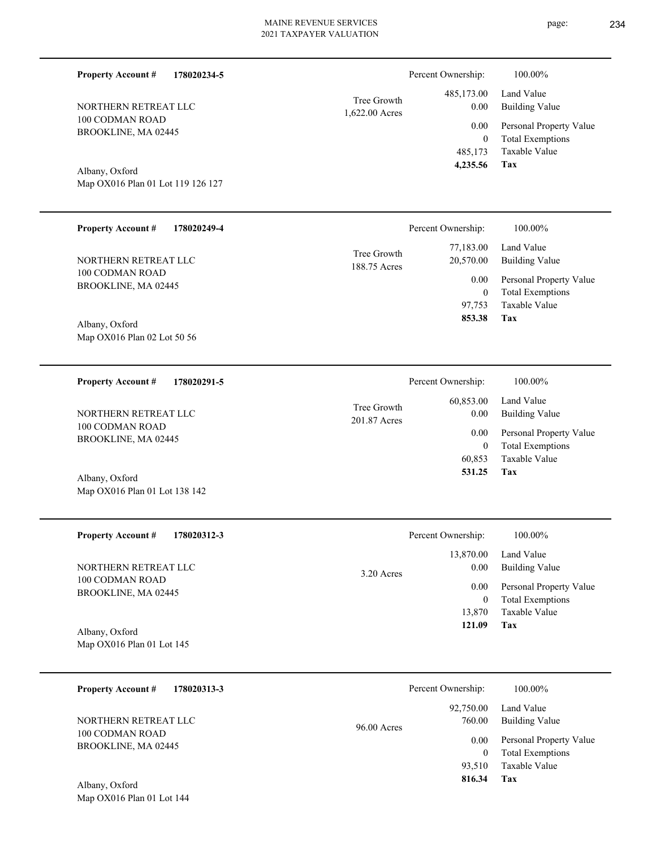| <b>Property Account #</b><br>178020234-5            |                               | Percent Ownership:       | 100.00%                                            |
|-----------------------------------------------------|-------------------------------|--------------------------|----------------------------------------------------|
| NORTHERN RETREAT LLC                                | Tree Growth<br>1,622.00 Acres | 485,173.00<br>0.00       | Land Value<br><b>Building Value</b>                |
| 100 CODMAN ROAD<br>BROOKLINE, MA 02445              |                               | 0.00                     | Personal Property Value                            |
|                                                     |                               | $\boldsymbol{0}$         | <b>Total Exemptions</b>                            |
|                                                     |                               | 485,173<br>4,235.56      | Taxable Value<br>Tax                               |
| Albany, Oxford<br>Map OX016 Plan 01 Lot 119 126 127 |                               |                          |                                                    |
|                                                     |                               |                          |                                                    |
| <b>Property Account #</b><br>178020249-4            |                               | Percent Ownership:       | 100.00%                                            |
|                                                     | Tree Growth                   | 77,183.00                | Land Value                                         |
| NORTHERN RETREAT LLC<br>100 CODMAN ROAD             | 188.75 Acres                  | 20,570.00                | <b>Building Value</b>                              |
| BROOKLINE, MA 02445                                 |                               | 0.00<br>$\boldsymbol{0}$ | Personal Property Value<br><b>Total Exemptions</b> |
|                                                     |                               | 97,753                   | Taxable Value                                      |
| Albany, Oxford                                      |                               | 853.38                   | Tax                                                |
| Map OX016 Plan 02 Lot 50 56                         |                               |                          |                                                    |
|                                                     |                               |                          |                                                    |
| <b>Property Account #</b><br>178020291-5            |                               | Percent Ownership:       | 100.00%                                            |
|                                                     | Tree Growth                   | 60,853.00                | Land Value                                         |
| NORTHERN RETREAT LLC<br>100 CODMAN ROAD             | 201.87 Acres                  | 0.00                     | <b>Building Value</b>                              |
| BROOKLINE, MA 02445                                 |                               | 0.00<br>$\boldsymbol{0}$ | Personal Property Value<br><b>Total Exemptions</b> |
|                                                     |                               | 60,853                   | <b>Taxable Value</b>                               |
| Albany, Oxford                                      |                               | 531.25                   | Tax                                                |
| Map OX016 Plan 01 Lot 138 142                       |                               |                          |                                                    |
|                                                     |                               |                          |                                                    |
| <b>Property Account #</b><br>178020312-3            |                               | Percent Ownership:       | 100.00%                                            |
|                                                     |                               | 13,870.00                | Land Value                                         |
| NORTHERN RETREAT LLC<br>100 CODMAN ROAD             | 3.20 Acres                    | 0.00                     | <b>Building Value</b>                              |
| BROOKLINE, MA 02445                                 |                               | 0.00<br>$\boldsymbol{0}$ | Personal Property Value<br><b>Total Exemptions</b> |
|                                                     |                               | 13,870                   | Taxable Value                                      |
| Albany, Oxford                                      |                               | 121.09                   | Tax                                                |
| Map OX016 Plan 01 Lot 145                           |                               |                          |                                                    |
| <b>Property Account #</b><br>178020313-3            |                               | Percent Ownership:       | 100.00%                                            |
|                                                     |                               | 92,750.00                | Land Value                                         |
| NORTHERN RETREAT LLC                                | 96.00 Acres                   | 760.00                   | <b>Building Value</b>                              |
| 100 CODMAN ROAD<br>BROOKLINE, MA 02445              |                               | 0.00                     | Personal Property Value                            |
|                                                     |                               | $\mathbf{0}$             | <b>Total Exemptions</b>                            |

**Tax 816.34**

93,510 Taxable Value

Map OX016 Plan 01 Lot 144 Albany, Oxford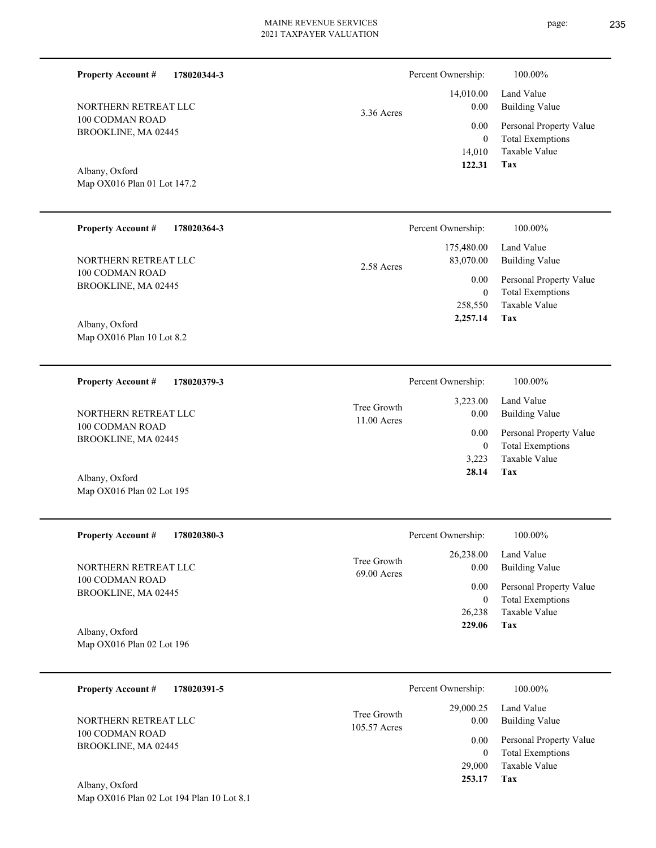14,010.00 3.36 Acres

BROOKLINE, MA 02445

# Albany, Oxford

**178020344-3**

Map OX016 Plan 01 Lot 147.2

NORTHERN RETREAT LLC

100 CODMAN ROAD

**Property Account #**

| <b>Property Account #</b><br>178020364-3      | Percent Ownership:                    | 100.00%                                            |
|-----------------------------------------------|---------------------------------------|----------------------------------------------------|
| NORTHERN RETREAT LLC                          | 175,480.00<br>83,070.00<br>2.58 Acres | Land Value<br>Building Value                       |
| 100 CODMAN ROAD<br>BROOKLINE, MA 02445        | 0.00<br>0                             | Personal Property Value<br><b>Total Exemptions</b> |
|                                               | 258,550                               | Taxable Value                                      |
| Albany, Oxford<br>Map $OX016$ Plan 10 Lot 8.2 | 2,257.14                              | Tax                                                |

| 178020379-3<br><b>Property Account #</b> | Percent Ownership:           |                  | 100.00%                      |
|------------------------------------------|------------------------------|------------------|------------------------------|
| NORTHERN RETREAT LLC<br>100 CODMAN ROAD  | Tree Growth<br>$11.00$ Acres | 3,223.00<br>0.00 | Land Value<br>Building Value |
| BROOKLINE, MA 02445                      |                              | 0.00             | Personal Property Value      |
|                                          |                              | $\bf{0}$         | <b>Total Exemptions</b>      |
|                                          |                              | 3.223            | Taxable Value                |
| Albany, Oxford                           |                              | 28.14            | Tax                          |
| Map OX016 Plan 02 Lot 195                |                              |                  |                              |

| <b>Property Account #</b><br>178020380-3 | Percent Ownership:                                | 100.00%                             |
|------------------------------------------|---------------------------------------------------|-------------------------------------|
| NORTHERN RETREAT LLC<br>100 CODMAN ROAD  | 26,238.00<br>Tree Growth<br>0.00<br>$69.00$ Acres | Land Value<br><b>Building Value</b> |
| BROOKLINE, MA 02445                      | 0.00                                              | Personal Property Value             |
|                                          | 0                                                 | <b>Total Exemptions</b>             |
|                                          | 26,238                                            | Taxable Value                       |
| Albany, Oxford                           | 229.06                                            | Tax                                 |
| Map OX016 Plan 02 Lot 196                |                                                   |                                     |

| 178020391-5<br><b>Property Account #</b> |                             | Percent Ownership:   | 100.00%                                            |
|------------------------------------------|-----------------------------|----------------------|----------------------------------------------------|
| NORTHERN RETREAT LLC                     | Tree Growth<br>105.57 Acres | 29,000.25<br>0.00    | Land Value<br><b>Building Value</b>                |
| 100 CODMAN ROAD<br>BROOKLINE, MA 02445   |                             | 0.00<br>$\mathbf{0}$ | Personal Property Value<br><b>Total Exemptions</b> |
|                                          |                             | 29,000               | Taxable Value                                      |
| Albany, Oxford                           |                             | 253.17               | Tax                                                |

Map OX016 Plan 02 Lot 194 Plan 10 Lot 8.1

**Tax**

 14,010 0

 0.00 0.00

Percent Ownership:  $100.00\%$ 

 **122.31**

Taxable Value Total Exemptions Personal Property Value

Building Value Land Value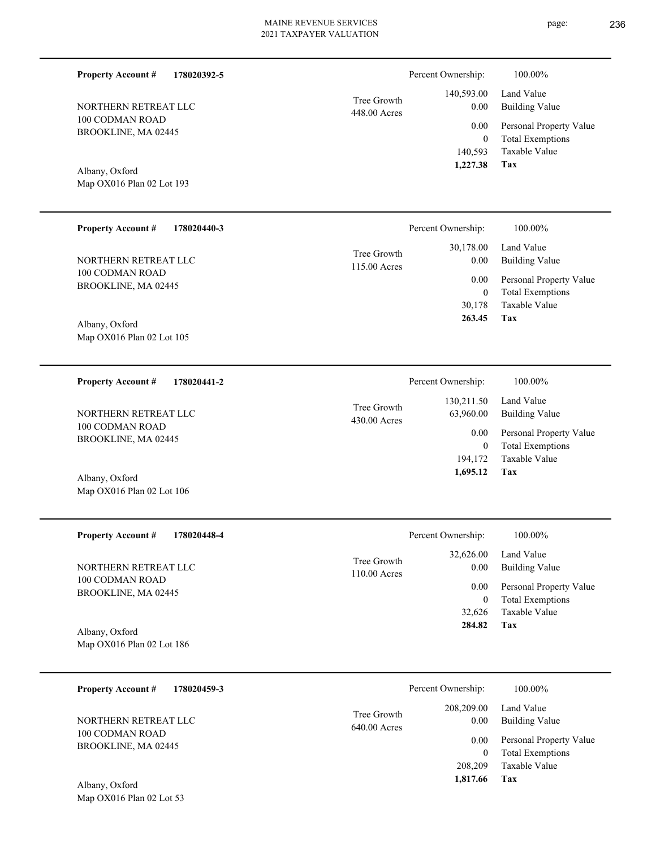| <b>Property Account #</b><br>178020392-5<br>NORTHERN RETREAT LLC<br>100 CODMAN ROAD<br>BROOKLINE, MA 02445<br>Albany, Oxford<br>Map OX016 Plan 02 Lot 193 | Tree Growth<br>448.00 Acres | Percent Ownership:<br>140,593.00<br>0.00<br>0.00<br>$\boldsymbol{0}$<br>140,593<br>1,227.38 | 100.00%<br>Land Value<br><b>Building Value</b><br>Personal Property Value<br><b>Total Exemptions</b><br>Taxable Value<br>Tax |
|-----------------------------------------------------------------------------------------------------------------------------------------------------------|-----------------------------|---------------------------------------------------------------------------------------------|------------------------------------------------------------------------------------------------------------------------------|
|                                                                                                                                                           |                             |                                                                                             |                                                                                                                              |
| <b>Property Account #</b><br>178020440-3                                                                                                                  |                             | Percent Ownership:                                                                          | 100.00%                                                                                                                      |
| NORTHERN RETREAT LLC                                                                                                                                      | Tree Growth<br>115.00 Acres | 30,178.00<br>0.00                                                                           | Land Value<br><b>Building Value</b>                                                                                          |
| 100 CODMAN ROAD<br>BROOKLINE, MA 02445                                                                                                                    |                             | 0.00<br>$\boldsymbol{0}$<br>30,178                                                          | Personal Property Value<br><b>Total Exemptions</b><br><b>Taxable Value</b>                                                   |
| Albany, Oxford<br>Map OX016 Plan 02 Lot 105                                                                                                               |                             | 263.45                                                                                      | Tax                                                                                                                          |
| 178020441-2<br><b>Property Account #</b>                                                                                                                  |                             | Percent Ownership:                                                                          | 100.00%                                                                                                                      |
| NORTHERN RETREAT LLC                                                                                                                                      | Tree Growth<br>430.00 Acres | 130,211.50<br>63,960.00                                                                     | Land Value<br><b>Building Value</b>                                                                                          |
| 100 CODMAN ROAD<br>BROOKLINE, MA 02445                                                                                                                    |                             | 0.00<br>$\boldsymbol{0}$                                                                    | Personal Property Value<br><b>Total Exemptions</b>                                                                           |
| Albany, Oxford                                                                                                                                            |                             | 194,172<br>1,695.12                                                                         | Taxable Value<br>Tax                                                                                                         |
| Map OX016 Plan 02 Lot 106                                                                                                                                 |                             |                                                                                             |                                                                                                                              |
| <b>Property Account #</b><br>178020448-4                                                                                                                  |                             | Percent Ownership:                                                                          | 100.00%                                                                                                                      |
| NORTHERN RETREAT LLC                                                                                                                                      | Tree Growth<br>110.00 Acres | 32,626.00<br>0.00                                                                           | Land Value<br><b>Building Value</b>                                                                                          |
| 100 CODMAN ROAD<br>BROOKLINE, MA 02445                                                                                                                    |                             | 0.00<br>$\boldsymbol{0}$                                                                    | Personal Property Value<br><b>Total Exemptions</b>                                                                           |
| Albany, Oxford                                                                                                                                            |                             | 32,626<br>284.82                                                                            | Taxable Value<br>Tax                                                                                                         |
| Map OX016 Plan 02 Lot 186                                                                                                                                 |                             |                                                                                             |                                                                                                                              |

| 178020459-3<br><b>Property Account #</b> |                               | Percent Ownership:     | 100.00%                                            |
|------------------------------------------|-------------------------------|------------------------|----------------------------------------------------|
| NORTHERN RETREAT LLC                     | Tree Growth<br>$640.00$ Acres | 208,209.00<br>0.00     | Land Value<br><b>Building Value</b>                |
| 100 CODMAN ROAD<br>BROOKLINE, MA 02445   |                               | 0.00<br>$\overline{0}$ | Personal Property Value<br><b>Total Exemptions</b> |
|                                          |                               | 208,209                | Taxable Value                                      |
| Albany, Oxford                           |                               | 1,817.66               | Tax                                                |

Map OX016 Plan 02 Lot 53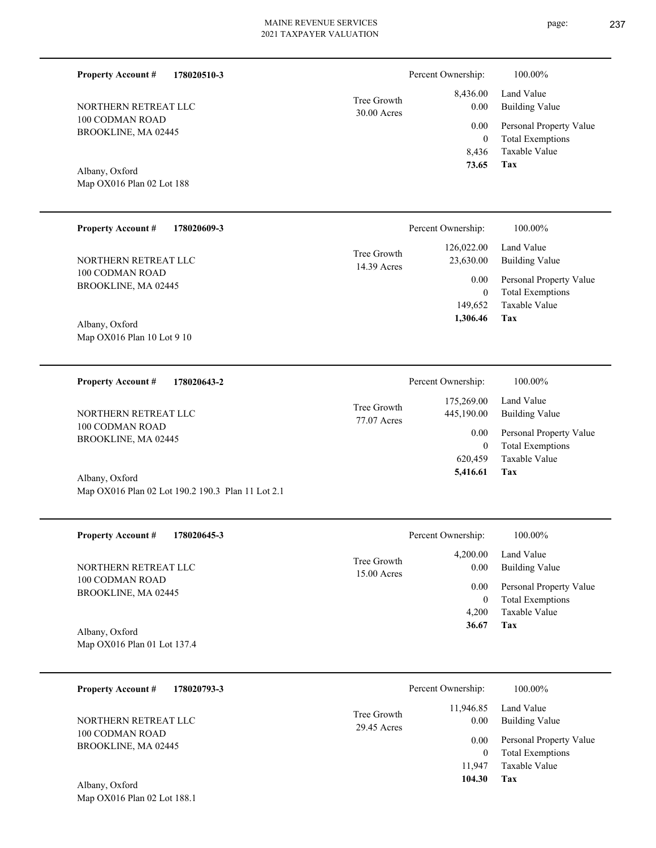| <b>Property Account #</b><br>178020510-3 |                            | Percent Ownership: | 100.00%                 |
|------------------------------------------|----------------------------|--------------------|-------------------------|
|                                          | Tree Growth                | 8,436.00           | Land Value              |
| NORTHERN RETREAT LLC<br>100 CODMAN ROAD  | $30.00$ Acres              | 0.00               | <b>Building Value</b>   |
| BROOKLINE, MA 02445                      |                            | 0.00               | Personal Property Value |
|                                          |                            | $\theta$           | <b>Total Exemptions</b> |
|                                          |                            | 8,436              | Taxable Value           |
| Albany, Oxford                           |                            | 73.65              | Tax                     |
| Map OX016 Plan 02 Lot 188                |                            |                    |                         |
| <b>Property Account #</b><br>178020609-3 |                            | Percent Ownership: | 100.00%                 |
|                                          |                            | 126,022.00         | Land Value              |
| NORTHERN RETREAT LLC                     | Tree Growth<br>14.39 Acres | 23,630.00          | <b>Building Value</b>   |
| 100 CODMAN ROAD                          |                            | 0.00               | Personal Property Value |
| BROOKLINE, MA 02445                      |                            | $\mathbf{0}$       | <b>Total Exemptions</b> |

Map OX016 Plan 10 Lot 9 10 Albany, Oxford

**178020643-2 Tax** Taxable Value Total Exemptions Personal Property Value Building Value Land Value 100 CODMAN ROAD BROOKLINE, MA 02445 **Property Account #** Map OX016 Plan 02 Lot 190.2 190.3 Plan 11 Lot 2.1 Albany, Oxford NORTHERN RETREAT LLC 620,459 0  **5,416.61** 175,269.00 445,190.00 0.00 77.07 Acres Tree Growth Percent Ownership:  $100.00\%$ 

| NORTHERN RETREAT LLC        | Tree Growth<br>$15.00$ Acres | 4,200.00<br>0.00 | Land Value<br><b>Building Value</b> |
|-----------------------------|------------------------------|------------------|-------------------------------------|
| 100 CODMAN ROAD             |                              | 0.00             | Personal Property Value             |
| BROOKLINE, MA 02445         |                              | $\theta$         | <b>Total Exemptions</b>             |
|                             |                              | 4.200            | Taxable Value                       |
| Albany, Oxford              |                              | 36.67            | Tax                                 |
| Map OX016 Plan 01 Lot 137.4 |                              |                  |                                     |

| 178020793-3<br><b>Property Account #</b> | Percent Ownership:                              | 100.00%                                            |
|------------------------------------------|-------------------------------------------------|----------------------------------------------------|
| NORTHERN RETREAT LLC                     | 11,946.85<br>Tree Growth<br>0.00<br>29.45 Acres | Land Value<br><b>Building Value</b>                |
| 100 CODMAN ROAD<br>BROOKLINE, MA 02445   | 0.00<br>0                                       | Personal Property Value<br><b>Total Exemptions</b> |
|                                          | 11.947                                          | Taxable Value                                      |
| Albany, Oxford                           | 104.30                                          | Tax                                                |
| Map OX016 Plan 02 Lot 188.1              |                                                 |                                                    |

page: 237

**Tax**

149,652

 **1,306.46**

Taxable Value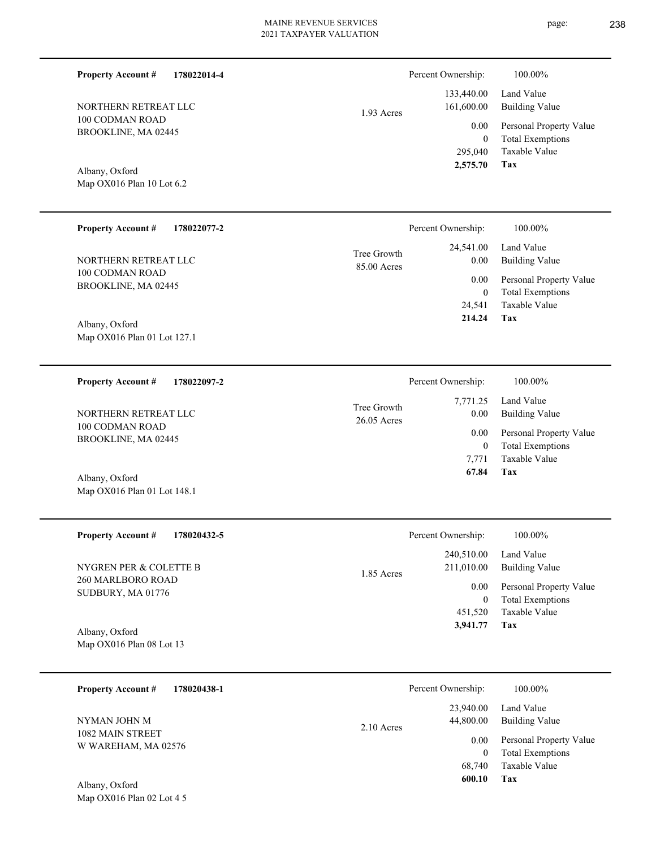1.93 Acres

| Percent Ownership: | 10   |
|--------------------|------|
| 133 440 00         | Land |

| 133,440.00 | Land Value              |
|------------|-------------------------|
| 161,600.00 | Building Value          |
| $0.00\,$   | Personal Property Value |
| 0          | <b>Total Exemptions</b> |
| 295,040    | Taxable Value           |
| 2,575.70   | Tax                     |

Map OX016 Plan 10 Lot 6.2 Albany, Oxford

100 CODMAN ROAD BROOKLINE, MA 02445

NORTHERN RETREAT LLC

**Property Account #**

**178022014-4**

| <b>Property Account #</b><br>178022077-2 | Percent Ownership:                                      | 100.00%                                                        |
|------------------------------------------|---------------------------------------------------------|----------------------------------------------------------------|
| NORTHERN RETREAT LLC<br>100 CODMAN ROAD  | 24,541.00<br>Tree Growth<br>0.00<br>85.00 Acres<br>0.00 | Land Value<br><b>Building Value</b><br>Personal Property Value |
| BROOKLINE, MA 02445                      | $\mathbf{0}$                                            | <b>Total Exemptions</b>                                        |
|                                          | 24.541                                                  | Taxable Value                                                  |
| Albany, Oxford                           | 214.24                                                  | Tax                                                            |
| Map OX016 Plan 01 Lot 127.1              |                                                         |                                                                |

| <b>Property Account #</b><br>178022097-2 |                              | Percent Ownership: | 100.00%                      |
|------------------------------------------|------------------------------|--------------------|------------------------------|
| NORTHERN RETREAT LLC                     | Tree Growth<br>$26.05$ Acres | 7.771.25<br>0.00   | Land Value<br>Building Value |
| 100 CODMAN ROAD<br>BROOKLINE, MA 02445   |                              | 0.00               | Personal Property Value      |
|                                          |                              | 0                  | <b>Total Exemptions</b>      |
|                                          |                              | 7.771              | Taxable Value                |
| Albany, Oxford                           |                              | 67.84              | Tax                          |

| <b>Property Account #</b><br>178020432-5 | Percent Ownership:                       | 100.00%                                            |
|------------------------------------------|------------------------------------------|----------------------------------------------------|
| NYGREN PER & COLETTE B                   | 240,510.00<br>211,010.00<br>$1.85$ Acres | Land Value<br>Building Value                       |
| 260 MARLBORO ROAD<br>SUDBURY, MA 01776   | 0.00                                     | Personal Property Value<br><b>Total Exemptions</b> |
|                                          | 451,520                                  | Taxable Value                                      |
| Albany, Oxford                           | 3,941.77                                 | Tax                                                |
| Map $OX016$ Plan 08 Lot 13               |                                          |                                                    |

| 178020438-1<br><b>Property Account #</b> | Percent Ownership:                     | 100.00%                                                        |
|------------------------------------------|----------------------------------------|----------------------------------------------------------------|
| NYMAN JOHN M                             | 23,940.00<br>44,800.00<br>$2.10$ Acres | Land Value<br>Building Value                                   |
| 1082 MAIN STREET<br>W WAREHAM, MA 02576  | 0.00                                   | Personal Property Value<br><b>Total Exemptions</b><br>$\theta$ |
| Albany Oxford                            | 68,740<br>600.10                       | Taxable Value<br>Tax                                           |

Map OX016 Plan 02 Lot 4 5 Albany, Oxford

Map OX016 Plan 01 Lot 148.1

 $0.00\%$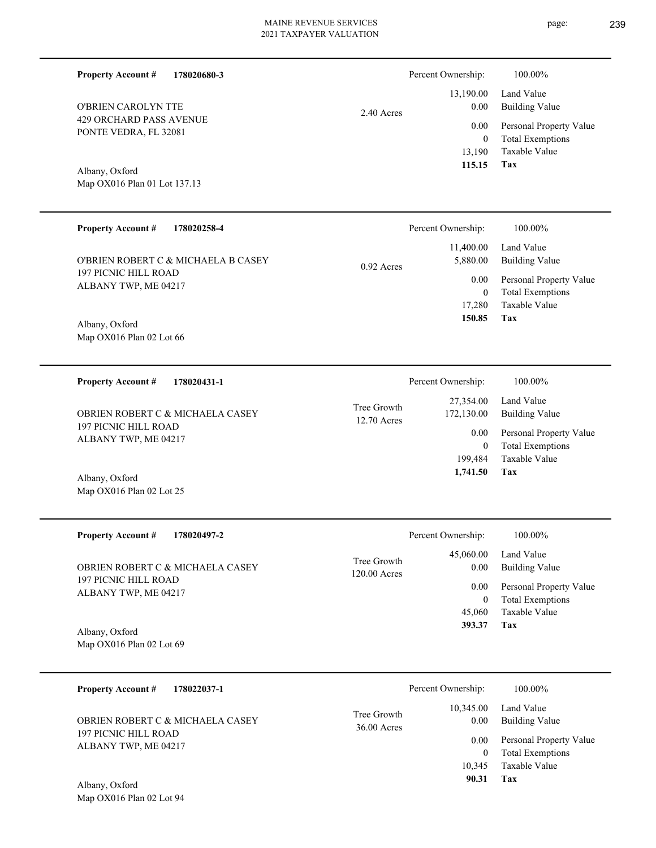Percent Ownership:  $100.00\%$ 

|            | $115.15$ Tax      |                              |
|------------|-------------------|------------------------------|
|            |                   | 13,190 Taxable Value         |
|            | $\theta$          | <b>Total Exemptions</b>      |
|            |                   | 0.00 Personal Property Value |
| 2.40 Acres | 0.00 <sub>1</sub> | Building Value               |
|            |                   | 13,190.00 Land Value         |
|            |                   |                              |

Map OX016 Plan 01 Lot 137.13 Albany, Oxford

Map OX016 Plan 02 Lot 25

Map OX016 Plan 02 Lot 94

429 ORCHARD PASS AVENUE PONTE VEDRA, FL 32081

O'BRIEN CAROLYN TTE

**Property Account #**

**178020680-3**

| <b>Property Account #</b><br>178020258-4                           | Percent Ownership:                    | 100.00%                                            |
|--------------------------------------------------------------------|---------------------------------------|----------------------------------------------------|
| O'BRIEN ROBERT C & MICHAELA B CASEY<br><b>197 PICNIC HILL ROAD</b> | 11,400.00<br>5,880.00<br>$0.92$ Acres | Land Value<br>Building Value                       |
| ALBANY TWP, ME 04217                                               | 0.00<br>0                             | Personal Property Value<br><b>Total Exemptions</b> |
|                                                                    | 17.280                                | Taxable Value                                      |
| Albany, Oxford                                                     | 150.85                                | Tax                                                |
| Map $OX016$ Plan 02 Lot 66                                         |                                       |                                                    |

| 178020431-1<br><b>Property Account #</b>            | Percent Ownership:                                      | 100.00%                                            |
|-----------------------------------------------------|---------------------------------------------------------|----------------------------------------------------|
| OBRIEN ROBERT C & MICHAELA CASEY                    | 27,354.00<br>Tree Growth<br>172,130.00<br>$12.70$ Acres | Land Value<br>Building Value                       |
| <b>197 PICNIC HILL ROAD</b><br>ALBANY TWP, ME 04217 | 0.00                                                    | Personal Property Value<br><b>Total Exemptions</b> |
|                                                     | 199.484                                                 | Taxable Value                                      |
| Albany, Oxford                                      | 1,741.50                                                | Tax                                                |

| <b>Property Account #</b><br>178020497-2            |                               | Percent Ownership: | $100.00\%$                                         |
|-----------------------------------------------------|-------------------------------|--------------------|----------------------------------------------------|
| OBRIEN ROBERT C & MICHAELA CASEY                    | Tree Growth<br>$120.00$ Acres | 45,060.00<br>0.00  | Land Value<br>Building Value                       |
| <b>197 PICNIC HILL ROAD</b><br>ALBANY TWP, ME 04217 |                               | 0.00               | Personal Property Value<br><b>Total Exemptions</b> |
|                                                     |                               | 45,060             | Taxable Value                                      |
| Albany, Oxford                                      |                               | 393.37             | Tax                                                |
| Map $OX016$ Plan 02 Lot 69                          |                               |                    |                                                    |

| 178022037-1<br><b>Property Account #</b> | Percent Ownership:                                | 100.00%                             |
|------------------------------------------|---------------------------------------------------|-------------------------------------|
| OBRIEN ROBERT C & MICHAELA CASEY         | 10.345.00<br>Tree Growth<br>0.00<br>$36.00$ Acres | Land Value<br><b>Building Value</b> |
| <b>197 PICNIC HILL ROAD</b>              | 0.00                                              | Personal Property Value             |
| ALBANY TWP, ME 04217                     |                                                   | <b>Total Exemptions</b><br>$\Omega$ |
|                                          | 10.345                                            | Taxable Value                       |
| Albany, Oxford                           | 90.31                                             | Tax                                 |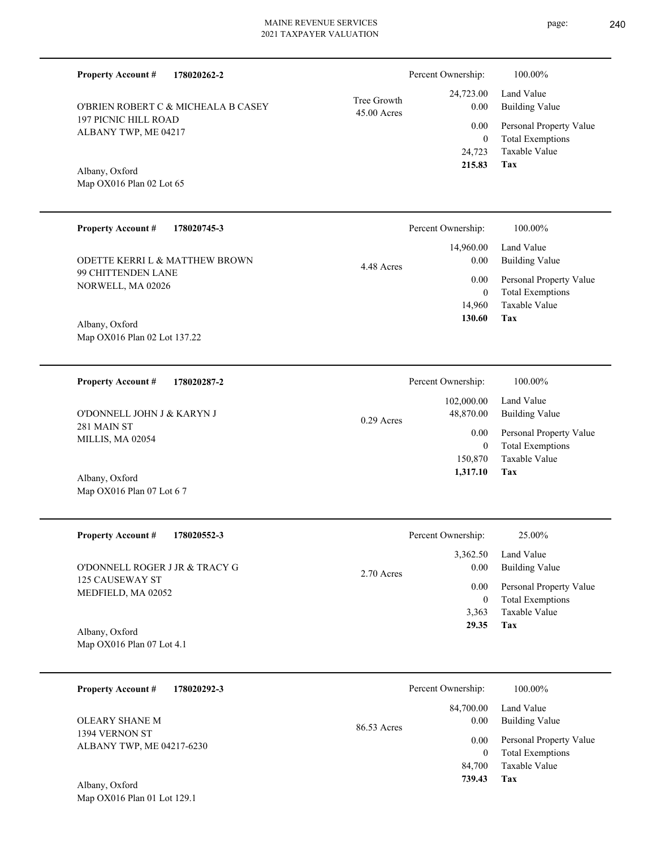| <b>Property Account #</b><br>178020262-2            |                            | Percent Ownership:           | 100.00%                                            |
|-----------------------------------------------------|----------------------------|------------------------------|----------------------------------------------------|
| O'BRIEN ROBERT C & MICHEALA B CASEY                 | Tree Growth<br>45.00 Acres | 24,723.00<br>0.00            | Land Value<br><b>Building Value</b>                |
| <b>197 PICNIC HILL ROAD</b><br>ALBANY TWP, ME 04217 |                            | 0.00<br>$\overline{0}$       | Personal Property Value<br><b>Total Exemptions</b> |
| Albany, Oxford<br>Map OX016 Plan 02 Lot 65          |                            | 24,723<br>215.83             | <b>Taxable Value</b><br><b>Tax</b>                 |
| <b>Property Account #</b><br>178020745-3            |                            | Percent Ownership:           | 100.00%                                            |
| ODETTE KERRI L & MATTHEW BROWN                      | 4.48 Acres                 | 14,960.00<br>$0.00\,$        | Land Value<br><b>Building Value</b>                |
| 99 CHITTENDEN LANE<br>NORWELL, MA 02026             |                            | 0.00<br>$\theta$             | Personal Property Value<br><b>Total Exemptions</b> |
| Albany, Oxford                                      |                            | 14,960<br>130.60             | Taxable Value<br><b>Tax</b>                        |
| Map OX016 Plan 02 Lot 137.22                        |                            |                              |                                                    |
| <b>Property Account #</b><br>178020287-2            |                            | Percent Ownership:           | 100.00%                                            |
| O'DONNELL JOHN J & KARYN J                          | $0.29$ Acres               | 102,000.00<br>48,870.00      | Land Value<br><b>Building Value</b>                |
| 281 MAIN ST<br>MILLIS, MA 02054                     |                            | 0.00<br>$\theta$             | Personal Property Value<br><b>Total Exemptions</b> |
| Albany, Oxford                                      |                            | 150,870<br>1,317.10          | Taxable Value<br>Tax                               |
| Map OX016 Plan 07 Lot 6 7                           |                            |                              |                                                    |
| <b>Property Account #</b><br>178020552-3            |                            | Percent Ownership:           | 25.00%                                             |
| O'DONNELL ROGER J JR & TRACY G                      | 2.70 Acres                 | 3,362.50<br>0.00             | Land Value<br><b>Building Value</b>                |
| 125 CAUSEWAY ST<br>MEDFIELD, MA 02052               |                            | $0.00\,$<br>$\boldsymbol{0}$ | Personal Property Value<br><b>Total Exemptions</b> |
| Albany, Oxford                                      |                            | 3,363<br>29.35               | <b>Taxable Value</b><br>Tax                        |
| Map OX016 Plan 07 Lot 4.1                           |                            |                              |                                                    |
| <b>Property Account #</b><br>178020292-3            |                            | Percent Ownership:           | 100.00%                                            |
| OLEARY SHANE M                                      | 86.53 Acres                | 84,700.00<br>0.00            | Land Value<br><b>Building Value</b>                |
| 1394 VERNON ST<br>ALBANY TWP, ME 04217-6230         |                            | 0.00<br>$\mathbf{0}$         | Personal Property Value<br><b>Total Exemptions</b> |
|                                                     |                            | 84,700<br>739.43             | Taxable Value<br>Tax                               |

Map OX016 Plan 01 Lot 129.1 Albany, Oxford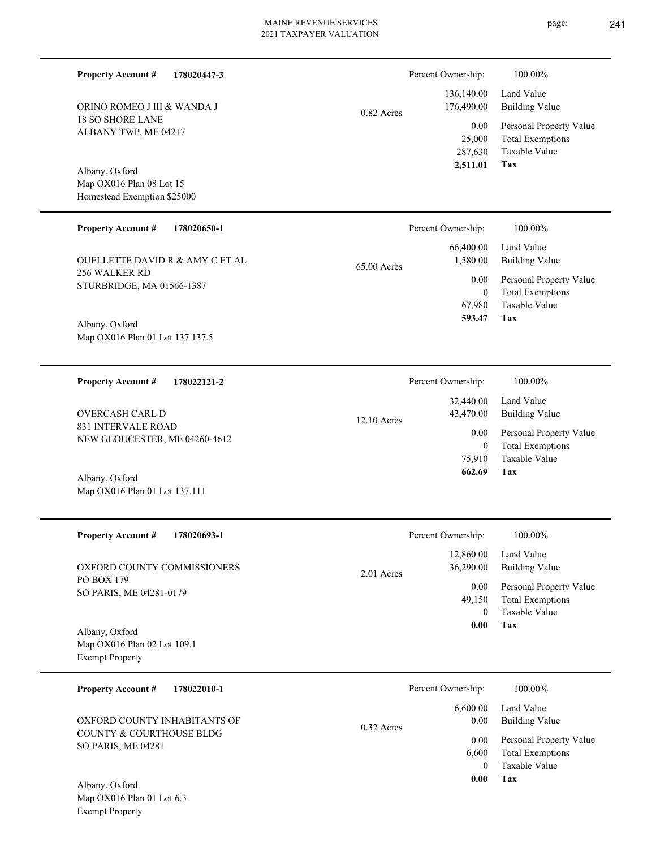|            | Percent Ownership: | 100.00%                 |
|------------|--------------------|-------------------------|
|            | 136,140.00         | Land Value              |
| 0.82 Acres | 176,490.00         | <b>Building Value</b>   |
|            | 0.00               | Personal Property Value |
|            | 25,000             | <b>Total Exemptions</b> |
|            | 287,630            | Taxable Value           |
|            | 2,511.01           | Tax                     |

Map OX016 Plan 08 Lot 15 Homestead Exemption \$25000 Albany, Oxford

ORINO ROMEO J III & WANDA J

18 SO SHORE LANE ALBANY TWP, ME 04217

**Property Account #**

**178020447-3**

| <b>Property Account #</b><br>178020650-1   | Percent Ownership:                     | 100.00%                                            |
|--------------------------------------------|----------------------------------------|----------------------------------------------------|
| OUELLETTE DAVID R & AMY C ET AL            | 66,400.00<br>1,580.00<br>$65.00$ Acres | Land Value<br>Building Value                       |
| 256 WALKER RD<br>STURBRIDGE, MA 01566-1387 | 0.00<br>$\bf{0}$                       | Personal Property Value<br><b>Total Exemptions</b> |
|                                            | 67,980                                 | Taxable Value                                      |
|                                            | 593 47                                 | Tax                                                |

12.10 Acres

Map OX016 Plan 01 Lot 137 137.5 Albany, Oxford

**178022121-2 Property Account #**

831 INTERVALE ROAD NEW GLOUCESTER, ME 04260-4612 OVERCASH CARL D

Map OX016 Plan 01 Lot 137.111 Albany, Oxford

| <b>Property Account #</b><br>178020693-1                                | Percent Ownership:                   | 100.00%                                                             |
|-------------------------------------------------------------------------|--------------------------------------|---------------------------------------------------------------------|
| OXFORD COUNTY COMMISSIONERS<br><b>PO BOX 179</b>                        | 12,860.00<br>36,290.00<br>2.01 Acres | Land Value<br><b>Building Value</b>                                 |
| SO PARIS, ME 04281-0179                                                 | 0.00<br>49,150<br>$\Omega$           | Personal Property Value<br><b>Total Exemptions</b><br>Taxable Value |
| Albany, Oxford<br>Map OX016 Plan 02 Lot 109.1<br><b>Exempt Property</b> | 0.00                                 | Tax                                                                 |
| <b>Property Account #</b><br>178022010-1                                | Percent Ownership:                   | 100.00%                                                             |

| $\sqrt{11}$ $\sqrt{2}$ $\sqrt{1}$              |              | 0.00     | Tax                     |
|------------------------------------------------|--------------|----------|-------------------------|
|                                                |              |          | Taxable Value           |
|                                                |              | 6.600    | Total Exemptions        |
| COUNTY & COURTHOUSE BLDG<br>SO PARIS, ME 04281 |              | $0.00 -$ | Personal Property Value |
| OXFORD COUNTY INHABITANTS OF                   | $0.32$ Acres | $0.00\,$ | Building Value          |
|                                                |              | 6.600.00 | Land Value              |

Map OX016 Plan 01 Lot 6.3 Exempt Property Albany, Oxford

**Tax 593.47**

**Tax**

 75,910 0

0.00

Percent Ownership:  $100.00\%$ 

 32,440.00 43,470.00

 **662.69**

Taxable Value Total Exemptions Personal Property Value

Building Value Land Value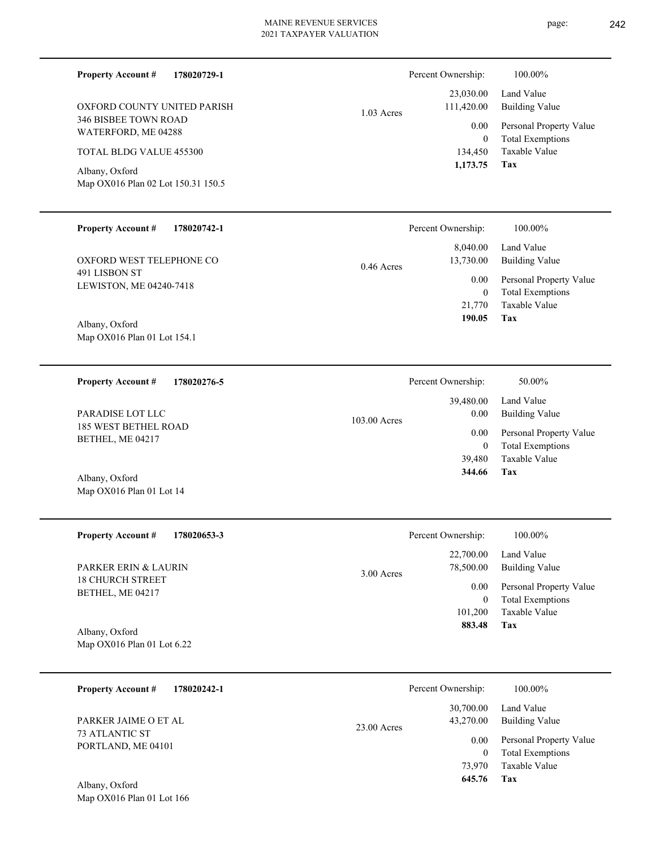**178020729-1**

346 BISBEE TOWN ROAD WATERFORD, ME 04288

TOTAL BLDG VALUE 455300

Map OX016 Plan 02 Lot 150.31 150.5

OXFORD COUNTY UNITED PARISH

**Property Account #**

Albany, Oxford

 23,030.00 Percent Ownership:  $100.00\%$ 

|              | $1,173.75$ Tax |                              |
|--------------|----------------|------------------------------|
|              |                | 134,450 Taxable Value        |
|              | $\theta$       | <b>Total Exemptions</b>      |
|              |                | 0.00 Personal Property Value |
| $1.03$ Acres | 111,420.00     | Building Value               |
|              |                | 23,030.00 Land Value         |
|              |                |                              |

| <b>Property Account #</b><br>178020742-1 | Percent Ownership:        | 100.00%                 |
|------------------------------------------|---------------------------|-------------------------|
|                                          | 8,040.00                  | Land Value              |
| OXFORD WEST TELEPHONE CO                 | 13,730.00<br>$0.46$ Acres | Building Value          |
| 491 LISBON ST                            | $0.00\,$                  | Personal Property Value |
| LEWISTON, ME 04240-7418                  | 0                         | <b>Total Exemptions</b> |
|                                          | 21,770                    | Taxable Value           |
| Albany, Oxford                           | 190.05                    | Tax                     |
| Map OX016 Plan 01 Lot 154.1              |                           |                         |

| 178020276-5<br><b>Property Account #</b> | Percent Ownership:     | 50.00%                  |
|------------------------------------------|------------------------|-------------------------|
|                                          | 39,480.00              | Land Value              |
| PARADISE LOT LLC                         | 0.00<br>$103.00$ Acres | Building Value          |
| 185 WEST BETHEL ROAD<br>BETHEL, ME 04217 | 0.00                   | Personal Property Value |
|                                          | 0                      | <b>Total Exemptions</b> |
|                                          | 39.480                 | Taxable Value           |
| Albany, Oxford                           | 344.66                 | Tax                     |
| Map OX016 Plan 01 Lot 14                 |                        |                         |

| <b>Property Account #</b><br>178020653-3     | Percent Ownership:                     | 100.00%                                            |
|----------------------------------------------|----------------------------------------|----------------------------------------------------|
| <b>PARKER ERIN &amp; LAURIN</b>              | 22,700.00<br>78,500.00<br>$3.00$ Acres | Land Value<br>Building Value                       |
| <b>18 CHURCH STREET</b><br>BETHEL, ME 04217  | 0.00<br>$\bf{0}$                       | Personal Property Value<br><b>Total Exemptions</b> |
|                                              | 101,200                                | Taxable Value                                      |
| Albany, Oxford<br>Map OX016 Plan 01 Lot 6.22 | 883.48                                 | Tax                                                |

| 178020242-1<br><b>Property Account #</b> | Percent Ownership:                      | 100.00%                                            |
|------------------------------------------|-----------------------------------------|----------------------------------------------------|
| PARKER JAIME O ET AL                     | 30,700.00<br>43,270.00<br>$23.00$ Acres | Land Value<br><b>Building Value</b>                |
| 73 ATLANTIC ST<br>PORTLAND, ME 04101     | 0.00<br>$\theta$                        | Personal Property Value<br><b>Total Exemptions</b> |
|                                          | 73.970<br>645.76                        | Taxable Value<br>Tax                               |
| Albany, Oxford                           |                                         |                                                    |

page: 242

Map OX016 Plan 01 Lot 166 Albany, Oxford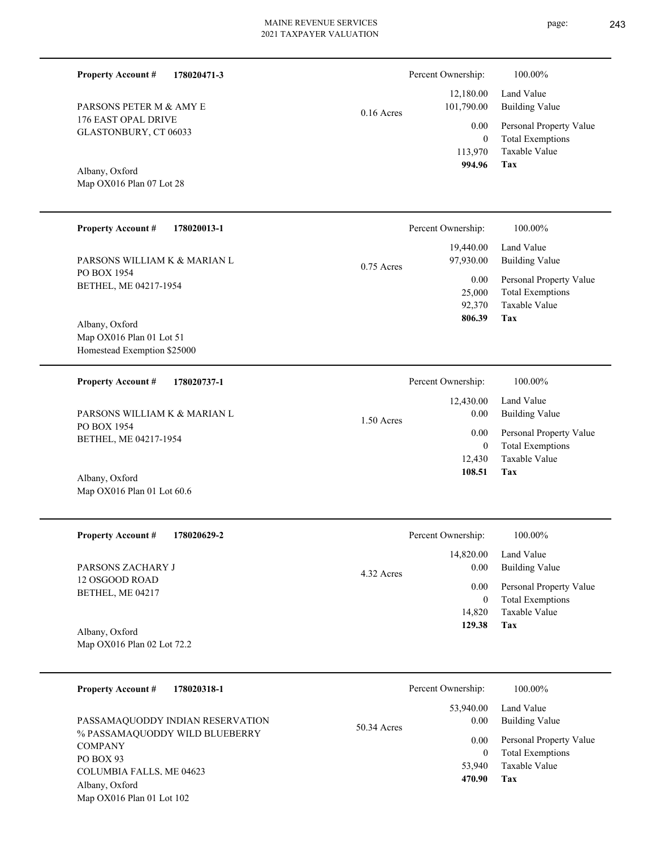| <b>Property Account #</b><br>178020471-3                |              | Percent Ownership:      | 100.00%                                            |
|---------------------------------------------------------|--------------|-------------------------|----------------------------------------------------|
| PARSONS PETER M & AMY E                                 |              | 12,180.00<br>101,790.00 | Land Value<br><b>Building Value</b>                |
| 176 EAST OPAL DRIVE                                     | $0.16$ Acres |                         |                                                    |
| GLASTONBURY, CT 06033                                   |              | 0.00<br>$\overline{0}$  | Personal Property Value<br><b>Total Exemptions</b> |
|                                                         |              | 113,970                 | Taxable Value                                      |
|                                                         |              | 994.96                  | Tax                                                |
| Albany, Oxford<br>Map OX016 Plan 07 Lot 28              |              |                         |                                                    |
|                                                         |              |                         |                                                    |
| <b>Property Account #</b><br>178020013-1                |              | Percent Ownership:      | 100.00%                                            |
|                                                         |              | 19,440.00               | Land Value                                         |
| PARSONS WILLIAM K & MARIAN L                            |              | 97,930.00               | <b>Building Value</b>                              |
| PO BOX 1954                                             | $0.75$ Acres |                         |                                                    |
| BETHEL, ME 04217-1954                                   |              | 0.00<br>25,000          | Personal Property Value                            |
|                                                         |              | 92,370                  | <b>Total Exemptions</b><br>Taxable Value           |
|                                                         |              | 806.39                  | Tax                                                |
| Albany, Oxford                                          |              |                         |                                                    |
| Map OX016 Plan 01 Lot 51<br>Homestead Exemption \$25000 |              |                         |                                                    |
|                                                         |              |                         |                                                    |
| <b>Property Account #</b><br>178020737-1                |              | Percent Ownership:      | 100.00%                                            |
|                                                         |              | 12,430.00               | Land Value                                         |
| PARSONS WILLIAM K & MARIAN L                            | 1.50 Acres   | 0.00                    | <b>Building Value</b>                              |
| PO BOX 1954                                             |              | 0.00                    | Personal Property Value                            |
| BETHEL, ME 04217-1954                                   |              | $\overline{0}$          | <b>Total Exemptions</b>                            |
|                                                         |              | 12,430                  | Taxable Value                                      |
| Albany, Oxford                                          |              | 108.51                  | Tax                                                |
| Map OX016 Plan 01 Lot 60.6                              |              |                         |                                                    |
|                                                         |              |                         |                                                    |
| 178020629-2<br><b>Property Account #</b>                |              | Percent Ownership:      | 100.00%                                            |
|                                                         |              | 14,820.00               | Land Value                                         |
| PARSONS ZACHARY J                                       |              | 0.00                    | <b>Building Value</b>                              |
| 12 OSGOOD ROAD                                          | 4.32 Acres   | 0.00                    | Personal Property Value                            |
| BETHEL, ME 04217                                        |              | $\overline{0}$          | <b>Total Exemptions</b>                            |
|                                                         |              | 14,820                  | Taxable Value                                      |
| Albany, Oxford                                          |              | 129.38                  | Tax                                                |
| Map OX016 Plan 02 Lot 72.2                              |              |                         |                                                    |
|                                                         |              |                         |                                                    |
| <b>Property Account #</b><br>178020318-1                |              | Percent Ownership:      | 100.00%                                            |
|                                                         |              |                         | Land Value                                         |
| PASSAMAQUODDY INDIAN RESERVATION                        |              | 53,940.00<br>0.00       | <b>Building Value</b>                              |
| % PASSAMAQUODDY WILD BLUEBERRY                          | 50.34 Acres  |                         |                                                    |
| <b>COMPANY</b>                                          |              | 0.00                    | Personal Property Value                            |
| PO BOX 93                                               |              | $\overline{0}$          | <b>Total Exemptions</b><br>Taxable Value           |
| COLUMBIA FALLS. ME 04623                                |              | 53,940<br>470.90        | Tax                                                |
| Albany, Oxford                                          |              |                         |                                                    |
| Map OX016 Plan 01 Lot 102                               |              |                         |                                                    |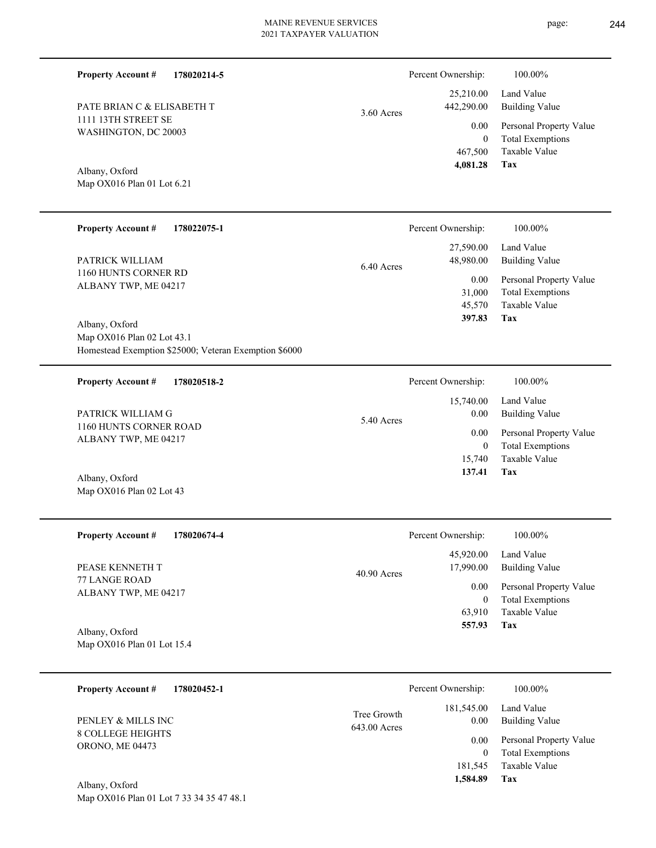Percent Ownership:  $100.00\%$ 

|              | 4,081.28   | Tax                                      |
|--------------|------------|------------------------------------------|
|              |            | 467,500 Taxable Value                    |
|              | $\theta$   | <b>Total Exemptions</b>                  |
|              |            | 0.00 Personal Property Value             |
| $3.60$ Acres | 442,290.00 | $25,210.00$ Land Value<br>Building Value |
|              |            |                                          |

Map OX016 Plan 01 Lot 6.21 Albany, Oxford

1111 13TH STREET SE WASHINGTON, DC 20003

PATE BRIAN C & ELISABETH T

**Property Account #**

| <b>Property Account #</b><br>178022075-1 | Percent Ownership:      | 100.00%                 |
|------------------------------------------|-------------------------|-------------------------|
|                                          | 27,590.00               | Land Value              |
| PATRICK WILLIAM                          | 48,980.00<br>6.40 Acres | Building Value          |
| 1160 HUNTS CORNER RD                     | 0.00                    | Personal Property Value |
| ALBANY TWP, ME 04217                     | 31,000                  | <b>Total Exemptions</b> |
|                                          | 45,570                  | Taxable Value           |
| Albany, Oxford                           | 397.83                  | Tax                     |
| Map OX016 Plan 02 Lot 43.1               |                         |                         |

Homestead Exemption \$25000; Veteran Exemption \$6000

**178020214-5**

| 178020518-2<br><b>Property Account #</b>       | Percent Ownership:   | 100.00%                 |
|------------------------------------------------|----------------------|-------------------------|
|                                                | 15,740.00            | Land Value              |
| PATRICK WILLIAM G                              | 0.00<br>$5.40$ Acres | Building Value          |
| 1160 HUNTS CORNER ROAD<br>ALBANY TWP, ME 04217 | 0.00                 | Personal Property Value |
|                                                | 0                    | <b>Total Exemptions</b> |
|                                                | 15.740               | Taxable Value           |
| Albany, Oxford                                 | 137.41               | Tax                     |
| Map $OX016$ Plan 02 Lot 43                     |                      |                         |

| <b>Property Account #</b><br>178020674-4     | Percent Ownership:                      | 100.00%                                            |
|----------------------------------------------|-----------------------------------------|----------------------------------------------------|
| PEASE KENNETH T                              | 45,920.00<br>17,990.00<br>$40.90$ Acres | Land Value<br>Building Value                       |
| 77 LANGE ROAD<br>ALBANY TWP, ME 04217        | 0.00<br>$\mathbf{0}$                    | Personal Property Value<br><b>Total Exemptions</b> |
|                                              | 63,910                                  | Taxable Value<br>Tax                               |
| Albany, Oxford<br>Map OX016 Plan 01 Lot 15.4 | 557.93                                  |                                                    |

| 178020452-1<br><b>Property Account #</b> |              | Percent Ownership:  | 100.00%                 |
|------------------------------------------|--------------|---------------------|-------------------------|
| PENLEY & MILLS INC                       | Tree Growth  | 181,545.00          | Land Value              |
|                                          | 643.00 Acres | 0.00                | <b>Building Value</b>   |
| <b>8 COLLEGE HEIGHTS</b>                 |              | 0.00                | Personal Property Value |
| <b>ORONO, ME 04473</b>                   |              | 0                   | <b>Total Exemptions</b> |
| Albany Oxford                            |              | 181,545<br>1,584.89 | Taxable Value<br>Tax    |

Map OX016 Plan 01 Lot 7 33 34 35 47 48.1 Albany, Oxford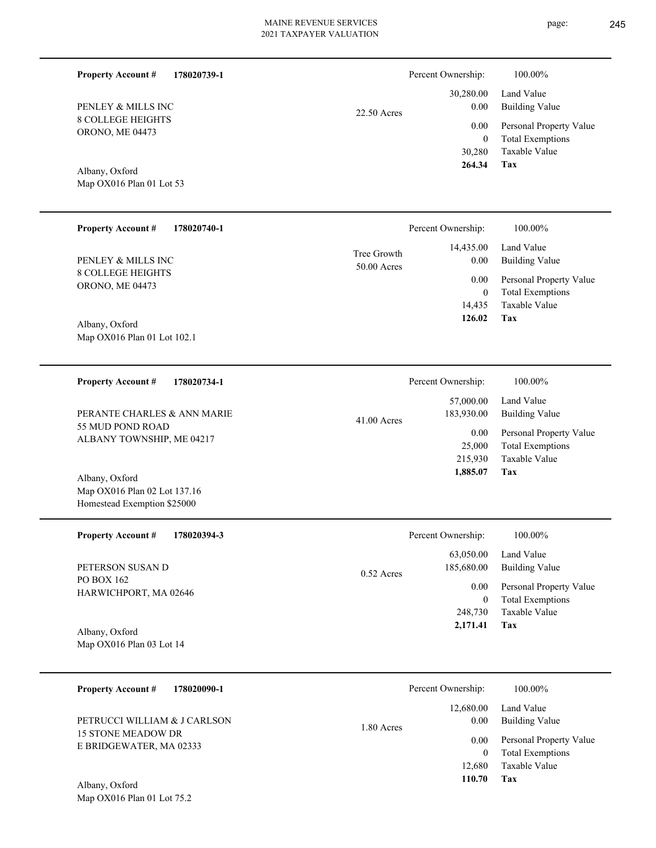| 178020739-1<br><b>Property Account #</b>                                      |                            | Percent Ownership:                       | 100.00%                                                                    |
|-------------------------------------------------------------------------------|----------------------------|------------------------------------------|----------------------------------------------------------------------------|
| PENLEY & MILLS INC                                                            | 22.50 Acres                | 30,280.00<br>0.00                        | Land Value<br><b>Building Value</b>                                        |
| <b>8 COLLEGE HEIGHTS</b><br>ORONO, ME 04473<br>Albany, Oxford                 |                            | 0.00<br>$\mathbf{0}$<br>30,280<br>264.34 | Personal Property Value<br><b>Total Exemptions</b><br>Taxable Value<br>Tax |
| Map OX016 Plan 01 Lot 53                                                      |                            |                                          |                                                                            |
| <b>Property Account #</b><br>178020740-1                                      |                            | Percent Ownership:                       | 100.00%                                                                    |
| PENLEY & MILLS INC                                                            | Tree Growth<br>50.00 Acres | 14,435.00<br>0.00                        | Land Value<br><b>Building Value</b>                                        |
| <b>8 COLLEGE HEIGHTS</b><br>ORONO, ME 04473<br>Albany, Oxford                 |                            | 0.00<br>$\mathbf{0}$<br>14,435<br>126.02 | Personal Property Value<br><b>Total Exemptions</b><br>Taxable Value<br>Tax |
| Map OX016 Plan 01 Lot 102.1                                                   |                            |                                          |                                                                            |
| <b>Property Account #</b><br>178020734-1                                      |                            | Percent Ownership:                       | 100.00%                                                                    |
| PERANTE CHARLES & ANN MARIE                                                   | $41.00$ Acres              | 57,000.00<br>183,930.00                  | Land Value<br><b>Building Value</b>                                        |
| 55 MUD POND ROAD<br>ALBANY TOWNSHIP, ME 04217                                 |                            | 0.00<br>25,000<br>215,930                | Personal Property Value<br><b>Total Exemptions</b><br>Taxable Value        |
| Albany, Oxford<br>Map OX016 Plan 02 Lot 137.16<br>Homestead Exemption \$25000 |                            | 1,885.07                                 | Tax                                                                        |
| <b>Property Account #</b><br>178020394-3                                      |                            | Percent Ownership:                       | 100.00%                                                                    |
| PETERSON SUSAN D                                                              | 0.52 Acres                 | 63,050.00<br>185,680.00                  | Land Value<br><b>Building Value</b>                                        |
| PO BOX 162<br>HARWICHPORT, MA 02646                                           |                            | 0.00<br>$\overline{0}$<br>248,730        | Personal Property Value<br><b>Total Exemptions</b><br>Taxable Value        |
| Albany, Oxford<br>Map OX016 Plan 03 Lot 14                                    |                            | 2,171.41                                 | Tax                                                                        |
| <b>Property Account #</b><br>178020090-1                                      |                            | Percent Ownership:                       | 100.00%                                                                    |
| PETRUCCI WILLIAM & J CARLSON                                                  | 1.80 Acres                 | 12,680.00<br>0.00                        | Land Value<br><b>Building Value</b>                                        |
| <b>15 STONE MEADOW DR</b><br>E BRIDGEWATER, MA 02333                          |                            | 0.00<br>$\theta$                         | Personal Property Value<br><b>Total Exemptions</b>                         |
|                                                                               |                            | 12,680<br>110.70                         | Taxable Value<br><b>Tax</b>                                                |

Map OX016 Plan 01 Lot 75.2 Albany, Oxford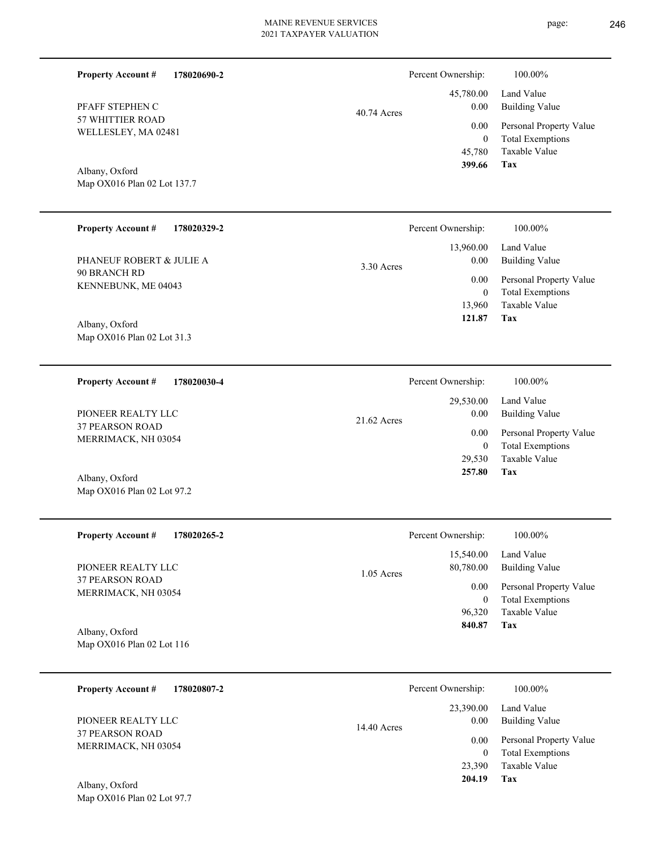Percent Ownership:  $100.00\%$ 

40.74 Acres

57 WHITTIER ROAD WELLESLEY, MA 02481 PFAFF STEPHEN C

**Property Account #**

**178020690-2**

Map OX016 Plan 02 Lot 137.7 Albany, Oxford

| <b>Property Account #</b><br>178020329-2 | Percent Ownership:   | 100.00%                 |
|------------------------------------------|----------------------|-------------------------|
|                                          | 13,960.00            | Land Value              |
| PHANEUF ROBERT & JULIE A                 | 0.00<br>$3.30$ Acres | <b>Building Value</b>   |
| 90 BRANCH RD                             | 0.00                 | Personal Property Value |
| KENNEBUNK, ME 04043                      | $\mathbf{0}$         | <b>Total Exemptions</b> |
|                                          | 13.960               | Taxable Value           |
| Albany, Oxford                           | 121.87               | Tax                     |
| Map OX016 Plan 02 Lot 31.3               |                      |                         |

| 178020030-4<br><b>Property Account #</b> | Percent Ownership:  | 100.00%                 |
|------------------------------------------|---------------------|-------------------------|
|                                          | 29,530.00           | Land Value              |
| PIONEER REALTY LLC                       | 0.00<br>21.62 Acres | Building Value          |
| <b>37 PEARSON ROAD</b>                   | 0.00                | Personal Property Value |
| MERRIMACK, NH 03054                      | 0                   | <b>Total Exemptions</b> |
|                                          | 29.530              | Taxable Value           |
| Albany, Oxford                           | 257.80              | Tax                     |

| <b>Property Account #</b><br>178020265-2 | Percent Ownership:        | 100.00%                 |
|------------------------------------------|---------------------------|-------------------------|
|                                          | 15,540.00                 | Land Value              |
| PIONEER REALTY LLC                       | 80,780.00<br>$1.05$ Acres | Building Value          |
| 37 PEARSON ROAD<br>MERRIMACK, NH 03054   | 0.00                      | Personal Property Value |
|                                          | $\bf{0}$                  | <b>Total Exemptions</b> |
|                                          | 96.320                    | Taxable Value           |
| Albany, Oxford                           | 840.87                    | Tax                     |
| Map $OX016$ Plan 02 Lot 116              |                           |                         |

| 178020807-2<br><b>Property Account #</b>      | Percent Ownership:    | 100.00%                 |
|-----------------------------------------------|-----------------------|-------------------------|
|                                               | 23,390.00             | Land Value              |
| PIONEER REALTY LLC                            | 0.00<br>$14.40$ Acres | <b>Building Value</b>   |
| <b>37 PEARSON ROAD</b><br>MERRIMACK, NH 03054 | 0.00                  | Personal Property Value |
|                                               | 0                     | <b>Total Exemptions</b> |
|                                               | 23,390                | Taxable Value           |
| Albany, Oxford                                | 204.19                | Tax                     |

Map OX016 Plan 02 Lot 97.7

Map OX016 Plan 02 Lot 97.2

**Tax**

 45,780 0

 45,780.00 0.00 0.00

 **399.66**

Taxable Value Total Exemptions Personal Property Value

Building Value Land Value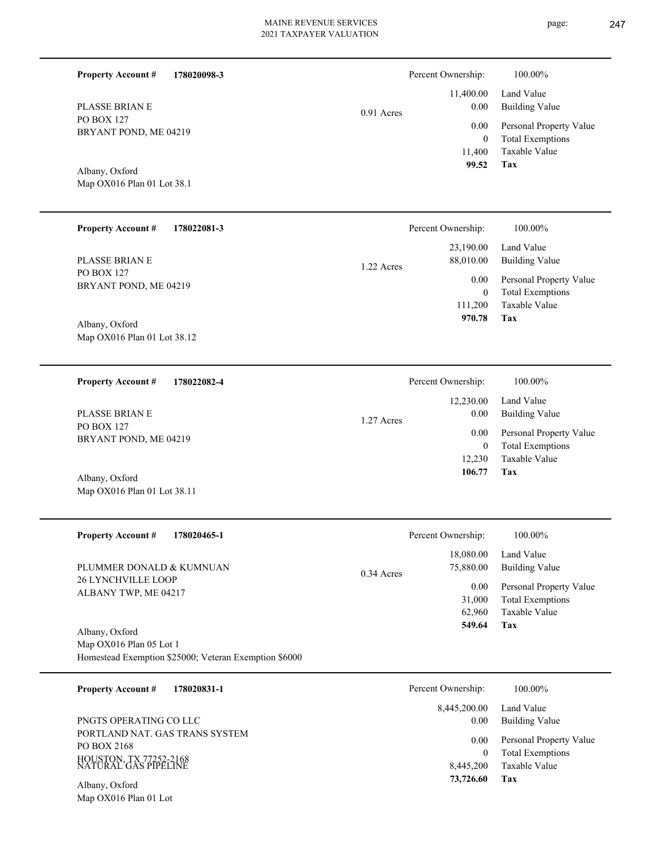| <b>Property Account #</b><br>178020098-3                                                           |            | Percent Ownership:                        | 100.00%                                                                    |
|----------------------------------------------------------------------------------------------------|------------|-------------------------------------------|----------------------------------------------------------------------------|
| <b>PLASSE BRIAN E</b>                                                                              | 0.91 Acres | 11,400.00<br>0.00                         | Land Value<br><b>Building Value</b>                                        |
| <b>PO BOX 127</b><br>BRYANT POND, ME 04219                                                         |            | 0.00<br>$\mathbf{0}$<br>11,400            | Personal Property Value<br><b>Total Exemptions</b><br>Taxable Value        |
| Albany, Oxford<br>Map OX016 Plan 01 Lot 38.1                                                       |            | 99.52                                     | Tax                                                                        |
| <b>Property Account #</b><br>178022081-3                                                           |            | Percent Ownership:                        | 100.00%                                                                    |
| PLASSE BRIAN E                                                                                     | 1.22 Acres | 23,190.00<br>88,010.00                    | Land Value<br><b>Building Value</b>                                        |
| <b>PO BOX 127</b><br>BRYANT POND, ME 04219                                                         |            | 0.00<br>$\mathbf{0}$<br>111,200<br>970.78 | Personal Property Value<br><b>Total Exemptions</b><br>Taxable Value<br>Tax |
| Albany, Oxford<br>Map OX016 Plan 01 Lot 38.12                                                      |            |                                           |                                                                            |
| <b>Property Account #</b><br>178022082-4                                                           |            | Percent Ownership:                        | 100.00%                                                                    |
| PLASSE BRIAN E                                                                                     | 1.27 Acres | 12,230.00<br>0.00                         | Land Value<br><b>Building Value</b>                                        |
| PO BOX 127<br>BRYANT POND, ME 04219                                                                |            | 0.00<br>$\mathbf{0}$<br>12,230            | Personal Property Value<br><b>Total Exemptions</b><br>Taxable Value        |
| Albany, Oxford<br>Map OX016 Plan 01 Lot 38.11                                                      |            | 106.77                                    | Tax                                                                        |
| 178020465-1<br><b>Property Account #</b>                                                           |            | Percent Ownership:                        | 100.00%                                                                    |
| PLUMMER DONALD & KUMNUAN                                                                           | 0.34 Acres | 18,080.00<br>75,880.00                    | Land Value<br><b>Building Value</b>                                        |
| 26 LYNCHVILLE LOOP<br>ALBANY TWP, ME 04217                                                         |            | 0.00<br>31,000<br>62,960<br>549.64        | Personal Property Value<br><b>Total Exemptions</b><br>Taxable Value<br>Tax |
| Albany, Oxford<br>Map OX016 Plan 05 Lot 1<br>Homestead Exemption \$25000; Veteran Exemption \$6000 |            |                                           |                                                                            |
| <b>Property Account #</b><br>178020831-1                                                           |            | Percent Ownership:                        | 100.00%                                                                    |
| PNGTS OPERATING CO LLC                                                                             |            | 8,445,200.00<br>0.00                      | Land Value<br><b>Building Value</b>                                        |
| PORTLAND NAT. GAS TRANS SYSTEM<br>PO BOX 2168<br>HOUSTON, TX 77252-2168<br>NATURAL GAS PIPELINE    |            | 0.00<br>$\mathbf{0}$<br>8,445,200         | Personal Property Value<br><b>Total Exemptions</b><br>Taxable Value        |
| Albany, Oxford<br>Map OX016 Plan 01 Lot                                                            |            | 73,726.60                                 | <b>Tax</b>                                                                 |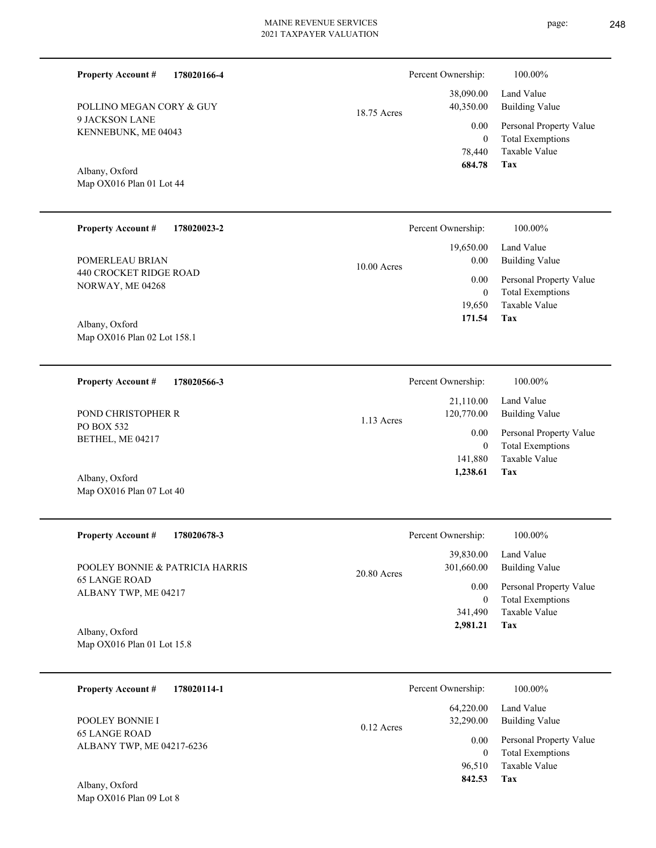| <b>Property Account #</b>                         | 178020166-4 |              | Percent Ownership:<br>38,090.00    | 100.00%<br>Land Value                                               |
|---------------------------------------------------|-------------|--------------|------------------------------------|---------------------------------------------------------------------|
| POLLINO MEGAN CORY & GUY<br>9 JACKSON LANE        |             | 18.75 Acres  | 40,350.00                          | <b>Building Value</b>                                               |
| KENNEBUNK, ME 04043                               |             |              | 0.00<br>$\boldsymbol{0}$<br>78,440 | Personal Property Value<br><b>Total Exemptions</b><br>Taxable Value |
| Albany, Oxford                                    |             |              | 684.78                             | Tax                                                                 |
| Map OX016 Plan 01 Lot 44                          |             |              |                                    |                                                                     |
| <b>Property Account #</b>                         | 178020023-2 |              | Percent Ownership:                 | 100.00%                                                             |
| POMERLEAU BRIAN                                   |             | 10.00 Acres  | 19,650.00<br>0.00                  | Land Value<br><b>Building Value</b>                                 |
| <b>440 CROCKET RIDGE ROAD</b><br>NORWAY, ME 04268 |             |              | $0.00\,$<br>$\mathbf{0}$           | Personal Property Value<br><b>Total Exemptions</b>                  |
| Albany, Oxford                                    |             |              | 19,650<br>171.54                   | Taxable Value<br>Tax                                                |
| Map OX016 Plan 02 Lot 158.1                       |             |              |                                    |                                                                     |
| <b>Property Account #</b>                         | 178020566-3 |              | Percent Ownership:                 | 100.00%                                                             |
| POND CHRISTOPHER R                                |             |              | 21,110.00<br>120,770.00            | Land Value<br><b>Building Value</b>                                 |
| PO BOX 532<br>BETHEL, ME 04217                    |             | 1.13 Acres   | $0.00\,$<br>$\boldsymbol{0}$       | Personal Property Value<br><b>Total Exemptions</b>                  |
| Albany, Oxford                                    |             |              | 141,880<br>1,238.61                | Taxable Value<br>Tax                                                |
| Map OX016 Plan 07 Lot 40                          |             |              |                                    |                                                                     |
| <b>Property Account #</b>                         | 178020678-3 |              | Percent Ownership:                 | 100.00%                                                             |
| POOLEY BONNIE & PATRICIA HARRIS                   |             |              | 39,830.00<br>301,660.00            | Land Value<br><b>Building Value</b>                                 |
| <b>65 LANGE ROAD</b><br>ALBANY TWP, ME 04217      |             | 20.80 Acres  | $0.00\,$<br>$\overline{0}$         | Personal Property Value<br><b>Total Exemptions</b>                  |
|                                                   |             |              | 341,490<br>2,981.21                | Taxable Value<br>Tax                                                |
| Albany, Oxford<br>Map OX016 Plan 01 Lot 15.8      |             |              |                                    |                                                                     |
| <b>Property Account #</b>                         | 178020114-1 |              | Percent Ownership:                 | 100.00%                                                             |
| POOLEY BONNIE I                                   |             |              | 64,220.00<br>32,290.00             | Land Value<br><b>Building Value</b>                                 |
| <b>65 LANGE ROAD</b><br>ALBANY TWP, ME 04217-6236 |             | $0.12$ Acres | 0.00<br>$\overline{0}$             | Personal Property Value<br><b>Total Exemptions</b>                  |
|                                                   |             |              | 96,510<br>842.53                   | Taxable Value<br><b>Tax</b>                                         |

Map OX016 Plan 09 Lot 8 Albany, Oxford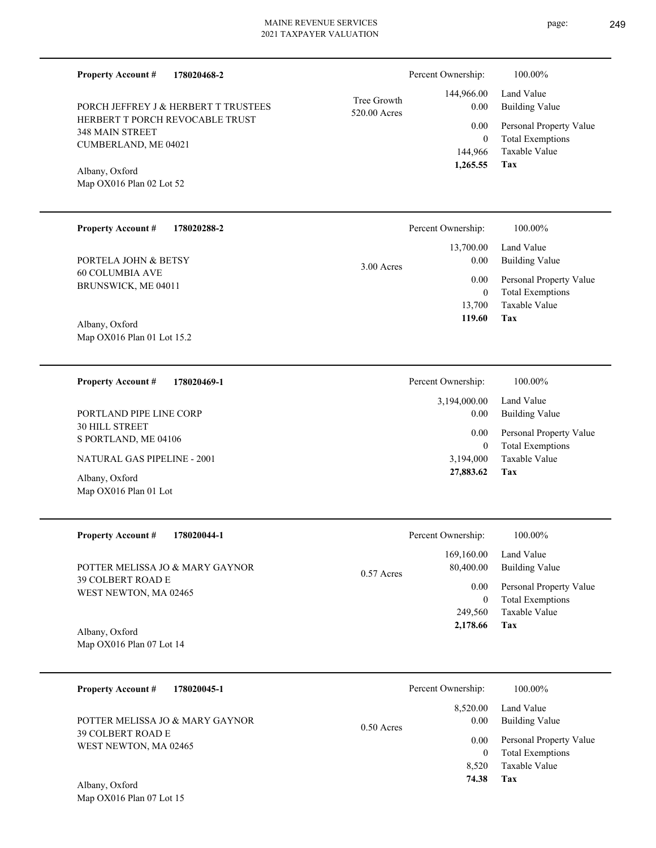| 178020468-2<br><b>Property Account #</b>                  |                             | Percent Ownership:          | 100.00%                                            |
|-----------------------------------------------------------|-----------------------------|-----------------------------|----------------------------------------------------|
| PORCH JEFFREY J & HERBERT T TRUSTEES                      | Tree Growth<br>520.00 Acres | 144,966.00<br>0.00          | Land Value<br><b>Building Value</b>                |
| HERBERT T PORCH REVOCABLE TRUST<br><b>348 MAIN STREET</b> |                             | 0.00                        | Personal Property Value                            |
| CUMBERLAND, ME 04021                                      |                             | $\boldsymbol{0}$<br>144,966 | <b>Total Exemptions</b><br>Taxable Value           |
| Albany, Oxford                                            |                             | 1,265.55                    | Tax                                                |
| Map OX016 Plan 02 Lot 52                                  |                             |                             |                                                    |
|                                                           |                             |                             |                                                    |
| <b>Property Account #</b><br>178020288-2                  |                             | Percent Ownership:          | 100.00%                                            |
|                                                           |                             | 13,700.00                   | Land Value                                         |
| PORTELA JOHN & BETSY<br><b>60 COLUMBIA AVE</b>            | 3.00 Acres                  | 0.00                        | <b>Building Value</b>                              |
| BRUNSWICK, ME 04011                                       |                             | 0.00<br>$\boldsymbol{0}$    | Personal Property Value<br><b>Total Exemptions</b> |
|                                                           |                             | 13,700                      | Taxable Value                                      |
| Albany, Oxford                                            |                             | 119.60                      | Tax                                                |
| Map OX016 Plan 01 Lot 15.2                                |                             |                             |                                                    |
| <b>Property Account #</b><br>178020469-1                  |                             | Percent Ownership:          | 100.00%                                            |
|                                                           |                             | 3,194,000.00                | Land Value                                         |
| PORTLAND PIPE LINE CORP<br><b>30 HILL STREET</b>          |                             | 0.00                        | <b>Building Value</b>                              |
| S PORTLAND, ME 04106                                      |                             | 0.00<br>$\mathbf{0}$        | Personal Property Value<br><b>Total Exemptions</b> |
| NATURAL GAS PIPELINE - 2001                               |                             | 3,194,000                   | Taxable Value                                      |
| Albany, Oxford                                            |                             | 27,883.62                   | Tax                                                |
| Map OX016 Plan 01 Lot                                     |                             |                             |                                                    |
| <b>Property Account #</b><br>178020044-1                  |                             | Percent Ownership:          | 100.00%                                            |
|                                                           |                             | 169,160.00                  | Land Value                                         |
| POTTER MELISSA JO & MARY GAYNOR<br>39 COLBERT ROAD E      | 0.57 Acres                  | 80,400.00                   | <b>Building Value</b>                              |
| WEST NEWTON, MA 02465                                     |                             | 0.00<br>$\overline{0}$      | Personal Property Value<br><b>Total Exemptions</b> |
|                                                           |                             | 249,560                     | Taxable Value                                      |
| Albany, Oxford                                            |                             | 2,178.66                    | Tax                                                |
| Map OX016 Plan 07 Lot 14                                  |                             |                             |                                                    |
| <b>Property Account #</b><br>178020045-1                  |                             | Percent Ownership:          | 100.00%                                            |
|                                                           |                             | 8,520.00                    | Land Value                                         |
| POTTER MELISSA JO & MARY GAYNOR                           | $0.50$ Acres                | 0.00                        | <b>Building Value</b>                              |
| 39 COLBERT ROAD E<br>WEST NEWTON, MA 02465                |                             | 0.00                        | Personal Property Value                            |
|                                                           |                             | $\theta$<br>8,520           | <b>Total Exemptions</b><br>Taxable Value           |

**Tax 74.38**

Map OX016 Plan 07 Lot 15 Albany, Oxford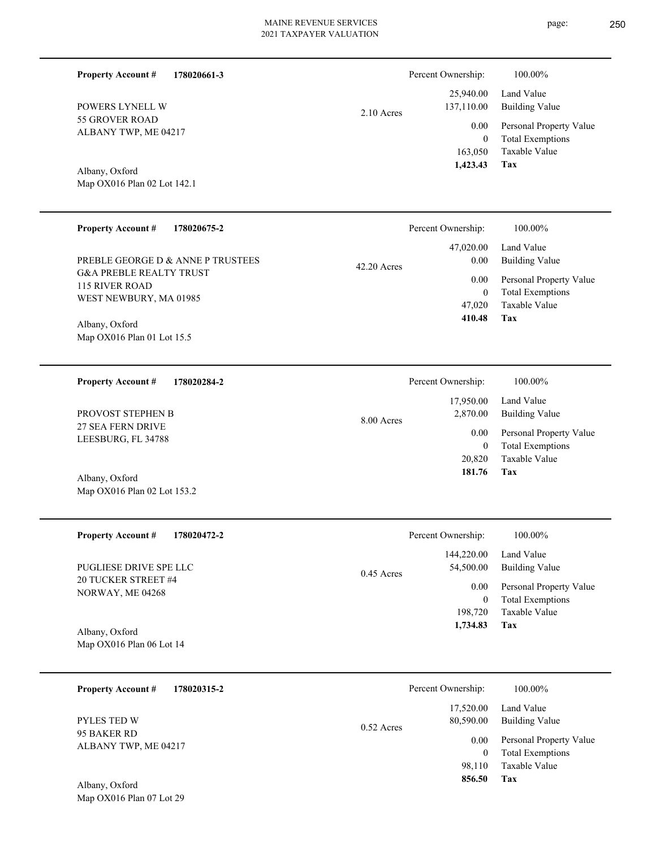Percent Ownership:  $100.00\%$ 

**Tax 1,734.83**

| POWERS LYNELL W<br><b>55 GROVER ROAD</b><br>ALBANY TWP, ME 04217<br>Albany, Oxford<br>Map OX016 Plan 02 Lot 142.1 | 2.10 Acres  | 25,940.00<br>137,110.00<br>0.00<br>$\mathbf{0}$<br>163,050<br>1,423.43 | Land Value<br><b>Building Value</b><br>Personal Property Value<br><b>Total Exemptions</b><br>Taxable Value<br>Tax |
|-------------------------------------------------------------------------------------------------------------------|-------------|------------------------------------------------------------------------|-------------------------------------------------------------------------------------------------------------------|
| <b>Property Account #</b><br>178020675-2                                                                          |             | Percent Ownership:                                                     | 100.00%                                                                                                           |
| PREBLE GEORGE D & ANNE P TRUSTEES                                                                                 | 42.20 Acres | 47,020.00<br>0.00                                                      | Land Value<br><b>Building Value</b>                                                                               |
| <b>G&amp;A PREBLE REALTY TRUST</b><br><b>115 RIVER ROAD</b><br>WEST NEWBURY, MA 01985                             |             | 0.00<br>$\mathbf{0}$<br>47,020<br>410.48                               | Personal Property Value<br><b>Total Exemptions</b><br>Taxable Value<br><b>Tax</b>                                 |
| Albany, Oxford<br>Map OX016 Plan 01 Lot 15.5                                                                      |             |                                                                        |                                                                                                                   |
| <b>Property Account #</b><br>178020284-2                                                                          |             | Percent Ownership:                                                     | 100.00%                                                                                                           |
| PROVOST STEPHEN B                                                                                                 | 8.00 Acres  | 17,950.00<br>2,870.00                                                  | Land Value<br><b>Building Value</b>                                                                               |
| 27 SEA FERN DRIVE<br>LEESBURG, FL 34788                                                                           |             |                                                                        |                                                                                                                   |
|                                                                                                                   |             | 0.00<br>$\boldsymbol{0}$<br>20,820                                     | Personal Property Value<br><b>Total Exemptions</b><br><b>Taxable Value</b>                                        |
| Albany, Oxford<br>Map OX016 Plan 02 Lot 153.2                                                                     |             | 181.76                                                                 | Tax                                                                                                               |
| <b>Property Account #</b><br>178020472-2                                                                          |             | Percent Ownership:                                                     | 100.00%                                                                                                           |
| PUGLIESE DRIVE SPE LLC<br>20 TUCKER STREET #4                                                                     | 0.45 Acres  | 144,220.00<br>54,500.00                                                | Land Value<br><b>Building Value</b>                                                                               |

Map OX016 Plan 06 Lot 14 Albany, Oxford

| 178020315-2<br><b>Property Account #</b> | Percent Ownership:                     | 100.00%                                                             |
|------------------------------------------|----------------------------------------|---------------------------------------------------------------------|
| <b>PYLES TED W</b>                       | 17,520.00<br>80,590.00<br>$0.52$ Acres | Land Value<br><b>Building Value</b>                                 |
| 95 BAKER RD<br>ALBANY TWP, ME 04217      | 0.00<br>0<br>98.110                    | Personal Property Value<br><b>Total Exemptions</b><br>Taxable Value |
| Albany, Oxford                           | 856.50                                 | Tax                                                                 |

**178020661-3**

**Property Account #**

Map OX016 Plan 07 Lot 29 Albany, Oxford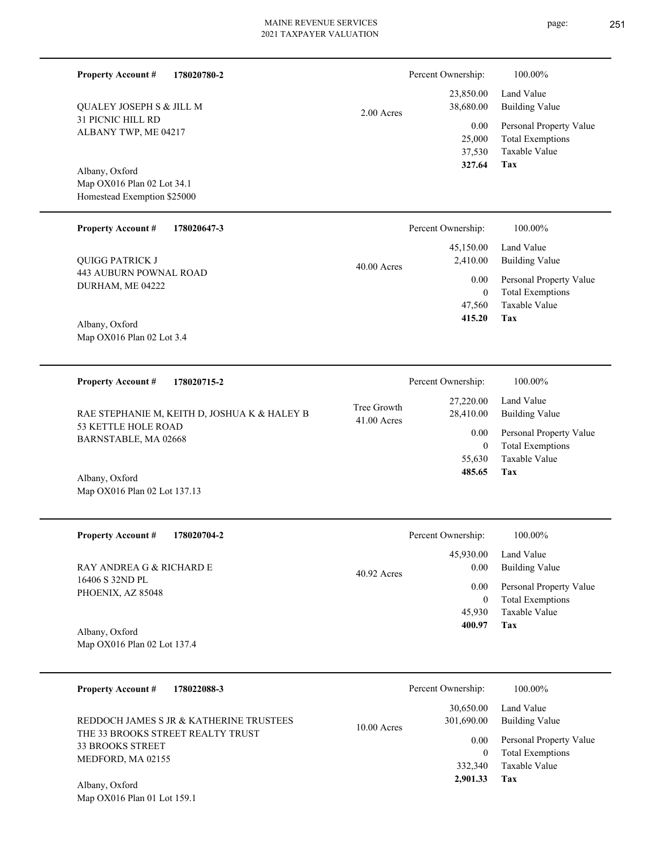| <b>Property Account #</b><br><b>QUALEY JOSEPH S &amp; JILL M</b><br>31 PICNIC HILL RD<br>ALBANY TWP, ME 04217<br>Albany, Oxford<br>Map OX016 Plan 02 Lot 34.1<br>Homestead Exemption \$25000 | 178020780-2                                  | 2.00 Acres                 | Percent Ownership:<br>23,850.00<br>38,680.00<br>0.00<br>25,000<br>37,530<br>327.64 | 100.00%<br>Land Value<br><b>Building Value</b><br>Personal Property Value<br><b>Total Exemptions</b><br>Taxable Value<br><b>Tax</b> |
|----------------------------------------------------------------------------------------------------------------------------------------------------------------------------------------------|----------------------------------------------|----------------------------|------------------------------------------------------------------------------------|-------------------------------------------------------------------------------------------------------------------------------------|
|                                                                                                                                                                                              |                                              |                            |                                                                                    |                                                                                                                                     |
| <b>Property Account #</b>                                                                                                                                                                    | 178020647-3                                  |                            | Percent Ownership:<br>45,150.00                                                    | 100.00%<br>Land Value                                                                                                               |
| QUIGG PATRICK J                                                                                                                                                                              |                                              | 40.00 Acres                | 2,410.00                                                                           | <b>Building Value</b>                                                                                                               |
| <b>443 AUBURN POWNAL ROAD</b><br>DURHAM, ME 04222                                                                                                                                            |                                              |                            | 0.00<br>$\boldsymbol{0}$                                                           | Personal Property Value<br><b>Total Exemptions</b>                                                                                  |
| Albany, Oxford<br>Map OX016 Plan 02 Lot 3.4                                                                                                                                                  |                                              |                            | 47,560<br>415.20                                                                   | Taxable Value<br>Tax                                                                                                                |
| <b>Property Account #</b>                                                                                                                                                                    | 178020715-2                                  |                            | Percent Ownership:                                                                 | 100.00%                                                                                                                             |
|                                                                                                                                                                                              | RAE STEPHANIE M, KEITH D, JOSHUA K & HALEY B | Tree Growth<br>41.00 Acres | 27,220.00<br>28,410.00                                                             | Land Value<br><b>Building Value</b>                                                                                                 |
| 53 KETTLE HOLE ROAD<br>BARNSTABLE, MA 02668                                                                                                                                                  |                                              |                            | 0.00<br>$\boldsymbol{0}$<br>55,630                                                 | Personal Property Value<br><b>Total Exemptions</b><br>Taxable Value                                                                 |
| Albany, Oxford<br>Map OX016 Plan 02 Lot 137.13                                                                                                                                               |                                              |                            | 485.65                                                                             | Tax                                                                                                                                 |
| <b>Property Account #</b>                                                                                                                                                                    | 178020704-2                                  |                            | Percent Ownership:                                                                 | 100.00%                                                                                                                             |
| RAY ANDREA G & RICHARD E                                                                                                                                                                     |                                              | $40.92$ Acres              | 45,930.00<br>0.00                                                                  | Land Value<br><b>Building Value</b>                                                                                                 |
| 16406 S 32ND PL<br>PHOENIX, AZ 85048                                                                                                                                                         |                                              |                            | 0.00<br>$\boldsymbol{0}$                                                           | Personal Property Value<br><b>Total Exemptions</b>                                                                                  |
| Albany, Oxford                                                                                                                                                                               |                                              |                            | 45,930<br>400.97                                                                   | Taxable Value<br>Tax                                                                                                                |
| Map OX016 Plan 02 Lot 137.4                                                                                                                                                                  |                                              |                            |                                                                                    |                                                                                                                                     |
| <b>Property Account #</b>                                                                                                                                                                    | 178022088-3                                  |                            | Percent Ownership:                                                                 | 100.00%                                                                                                                             |
|                                                                                                                                                                                              | REDDOCH JAMES S JR & KATHERINE TRUSTEES      | 10.00 Acres                | 30,650.00<br>301,690.00                                                            | Land Value<br><b>Building Value</b>                                                                                                 |
| <b>33 BROOKS STREET</b>                                                                                                                                                                      | THE 33 BROOKS STREET REALTY TRUST            |                            | 0.00                                                                               | Personal Property Value                                                                                                             |
| MEDFORD, MA 02155                                                                                                                                                                            |                                              |                            | $\overline{0}$<br>332,340<br>2,901.33                                              | <b>Total Exemptions</b><br>Taxable Value<br>Tax                                                                                     |
| Albany, Oxford<br>Map OX016 Plan 01 Lot 159.1                                                                                                                                                |                                              |                            |                                                                                    |                                                                                                                                     |

page: 251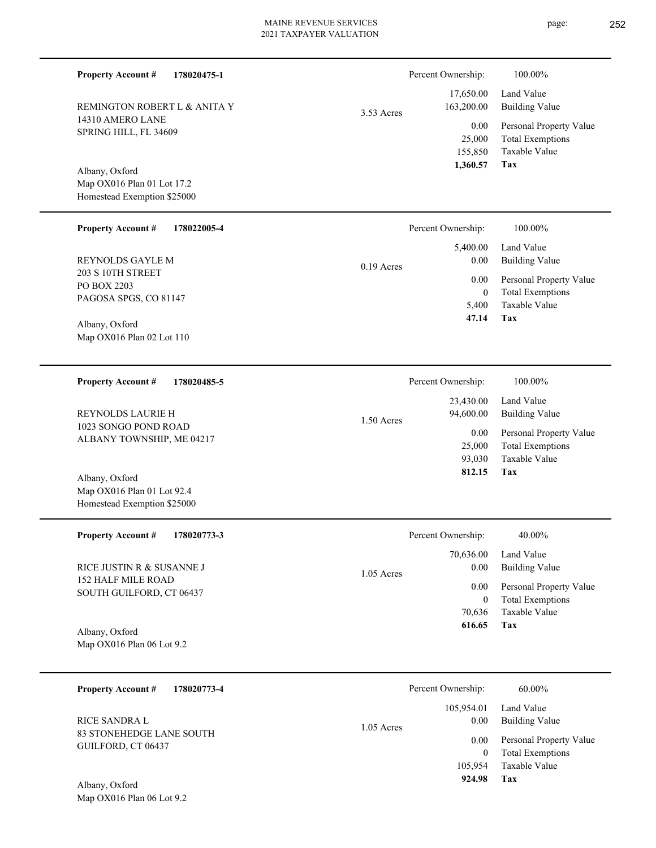Percent Ownership:  $100.00\%$ 

|            | 1.360.57   | Tax                     |
|------------|------------|-------------------------|
|            | 155,850    | Taxable Value           |
|            | 25,000     | <b>Total Exemptions</b> |
|            | 0.00       | Personal Property Value |
| 3.53 Acres | 163,200.00 | Building Value          |
|            |            | 17,650.00 Land Value    |
|            |            |                         |

Map OX016 Plan 01 Lot 17.2 Homestead Exemption \$25000 Albany, Oxford

REMINGTON ROBERT L & ANITA Y

14310 AMERO LANE SPRING HILL, FL 34609

**Property Account #**

**178020475-1**

| <b>Property Account #</b><br>178022005-4     | Percent Ownership:   | 100.00%                 |
|----------------------------------------------|----------------------|-------------------------|
|                                              | 5,400.00             | Land Value              |
| <b>REYNOLDS GAYLE M</b>                      | 0.00<br>$0.19$ Acres | Building Value          |
| 203 S 10TH STREET                            | 0.00                 | Personal Property Value |
| PO BOX 2203<br>PAGOSA SPGS, CO 81147         | 0                    | <b>Total Exemptions</b> |
|                                              | 5.400                | Taxable Value           |
| $\lambda$ 11 $\lambda$ $\lambda$ $\lambda$ 1 | 47.14                | Tax                     |

Map OX016 Plan 02 Lot 110 Albany, Oxford

**178020485-5 Property Account #**

1023 SONGO POND ROAD ALBANY TOWNSHIP, ME 04217 REYNOLDS LAURIE H

Map OX016 Plan 01 Lot 92.4 Homestead Exemption \$25000 Albany, Oxford

| <b>Property Account #</b><br>178020773-3       | Percent Ownership:   | 40.00%                  |
|------------------------------------------------|----------------------|-------------------------|
|                                                | 70,636.00            | Land Value              |
| RICE JUSTIN R & SUSANNE J                      | 0.00<br>$1.05$ Acres | Building Value          |
| 152 HALF MILE ROAD<br>SOUTH GUILFORD, CT 06437 | 0.00                 | Personal Property Value |
|                                                | 0                    | <b>Total Exemptions</b> |
|                                                | 70.636               | Taxable Value           |
| Albany, Oxford                                 | 616.65               | Tax                     |
| Map $OX016$ Plan 06 Lot 9.2                    |                      |                         |

1.50 Acres

| 178020773-4<br><b>Property Account #</b>              | Percent Ownership:                 | 60.00%                                             |
|-------------------------------------------------------|------------------------------------|----------------------------------------------------|
| RICE SANDRA L                                         | 105.954.01<br>0.00<br>$1.05$ Acres | Land Value<br><b>Building Value</b>                |
| <b>83 STONEHEDGE LANE SOUTH</b><br>GUILFORD, CT 06437 | 0.00<br>$\Omega$                   | Personal Property Value<br><b>Total Exemptions</b> |
|                                                       | 105,954                            | Taxable Value                                      |
| $\Lambda$ lleause Oscfand                             | 924.98                             | Tax                                                |

Map OX016 Plan 06 Lot 9.2 Albany, Oxford

| 1,360.57   | Tax                   |  |
|------------|-----------------------|--|
|            |                       |  |
|            |                       |  |
| Ownership: | 100.00%               |  |
| 5,400.00   | Land Value            |  |
| 0.00       | <b>Building Value</b> |  |
|            |                       |  |

| Percent Ownership:     | 100.00%                             |
|------------------------|-------------------------------------|
| 23,430.00<br>94,600.00 | Land Value<br><b>Building Value</b> |
| 0.00                   | Personal Property Value             |
| 25,000                 | <b>Total Exemptions</b>             |
| 93,030                 | Taxable Value                       |
| 812.15                 | Tax                                 |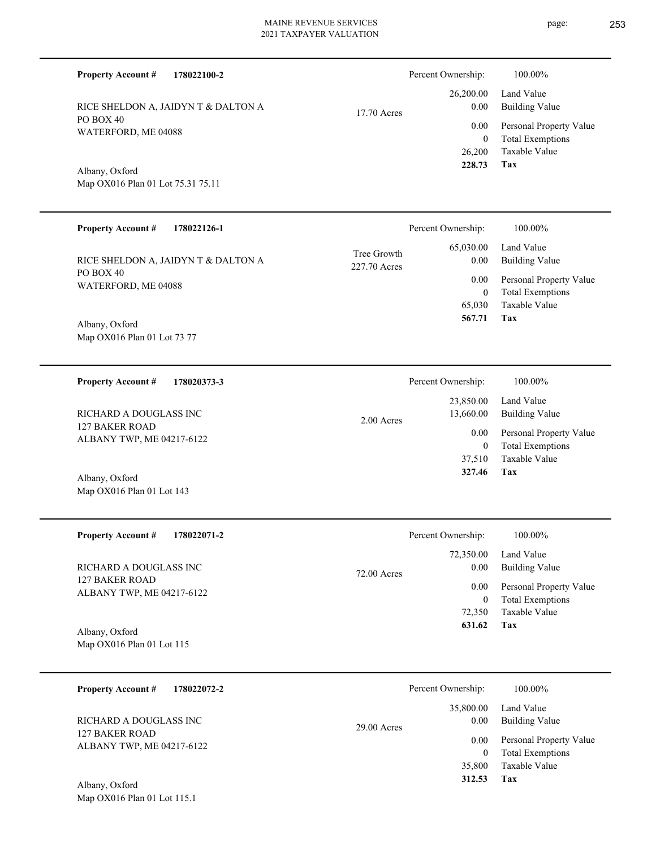**178022126-1**

17.70 Acres

2.00 Acres

PO BOX 40 WATERFORD, ME 04088 RICE SHELDON A, JAIDYN T & DALTON A

**178022100-2**

RICE SHELDON A, JAIDYN T & DALTON A

Map OX016 Plan 01 Lot 73 77 Albany, Oxford

PO BOX 40

Albany, Oxford

**Property Account #**

WATERFORD, ME 04088

Map OX016 Plan 01 Lot 75.31 75.11

**Property Account #**

**178020373-3 Property Account #** RICHARD A DOUGLASS INC

127 BAKER ROAD ALBANY TWP, ME 04217-6122

Map OX016 Plan 01 Lot 143 Albany, Oxford

**178022071-2 Tax** Taxable Value Total Exemptions Personal Property Value Building Value Land Value 127 BAKER ROAD ALBANY TWP, ME 04217-6122 **Property Account #** Albany, Oxford RICHARD A DOUGLASS INC 72,350 0  **631.62** 72,350.00 0.00 0.00 72.00 Acres Percent Ownership:  $100.00\%$ 

Map OX016 Plan 01 Lot 115

| 178022072-2<br><b>Property Account #</b>    | Percent Ownership:    | 100.00%                 |
|---------------------------------------------|-----------------------|-------------------------|
|                                             | 35,800.00             | Land Value              |
| RICHARD A DOUGLASS INC                      | 0.00<br>$29.00$ Acres | Building Value          |
| 127 BAKER ROAD<br>ALBANY TWP, ME 04217-6122 | 0.00                  | Personal Property Value |
|                                             |                       | <b>Total Exemptions</b> |
|                                             | 35,800                | Taxable Value           |
| $\sim$ $\sim$ 1<br>4.11                     | 312.53                | Tax                     |

Map OX016 Plan 01 Lot 115.1 Albany, Oxford

|              | Percent Ownership: | 100.00%                 |
|--------------|--------------------|-------------------------|
| Tree Growth  | 65,030.00          | Land Value              |
| 227.70 Acres | 0.00               | <b>Building Value</b>   |
|              | 0.00               | Personal Property Value |
|              | 0                  | <b>Total Exemptions</b> |
|              | 65,030             | Taxable Value           |

**Tax**

 26,200 0

 26,200.00 0.00 0.00

Percent Ownership:  $100.00\%$ 

 **228.73**

 **567.71**

Taxable Value Total Exemptions Personal Property Value

Building Value Land Value

**Tax** Taxable Value Total Exemptions Personal Property Value Building Value Land Value 37,510 0  **327.46** 23,850.00 13,660.00 0.00 Percent Ownership:  $100.00\%$ 

**Tax**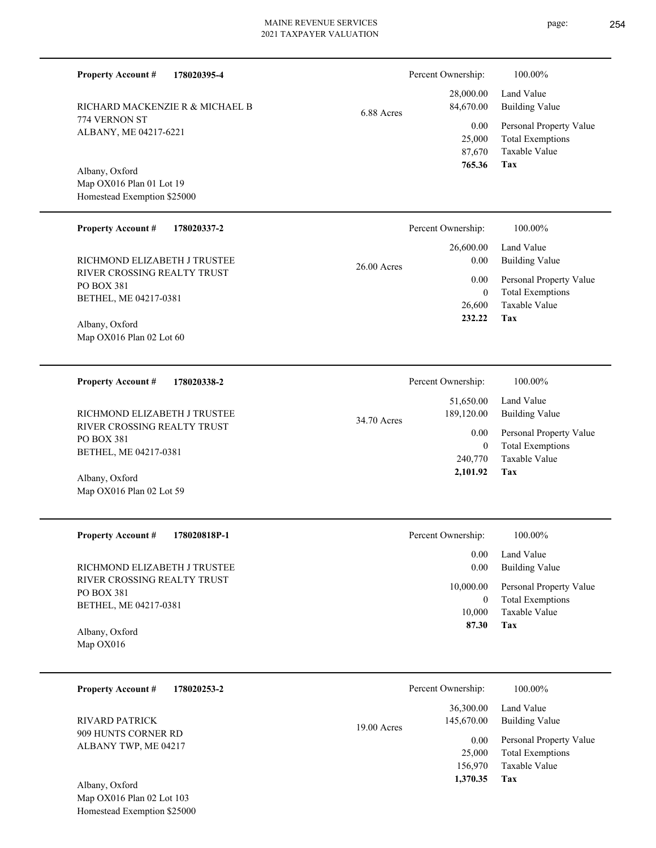6.88 Acres

774 VERNON ST ALBANY, ME 04217-6221 RICHARD MACKENZIE R & MICHAEL B

**178020395-4**

Map OX016 Plan 01 Lot 19 Homestead Exemption \$25000 Albany, Oxford

**Property Account #**

#### **178020337-2 Tax** Taxable Value Total Exemptions Building Value Land Value RIVER CROSSING REALTY TRUST PO BOX 381 BETHEL, ME 04217-0381 **Property Account #** RICHMOND ELIZABETH J TRUSTEE 26,600 0  **232.22** 26,600.00 0.00 0.00  $26.00 \nA$ Percent Ownership:  $100.00\%$

Map OX016 Plan 02 Lot 60 Albany, Oxford

**178020338-2 Tax** Taxable Value Total Exemptions Personal Property Value Building Value Land Value RIVER CROSSING REALTY TRUST PO BOX 381 BETHEL, ME 04217-0381 **Property Account #** Albany, Oxford RICHMOND ELIZABETH J TRUSTEE 240,770 0  **2,101.92** 51,650.00 189,120.00 0.00 34.70 Acres Percent Ownership:  $100.00\%$ 

Map OX016 Plan 02 Lot 59

**178020818P-1**

RIVER CROSSING REALTY TRUST PO BOX 381 BETHEL, ME 04217-0381 RICHMOND ELIZABETH J TRUSTEE

Map OX016 Albany, Oxford

**Property Account #**

| <b>Property Account #</b><br>178020253-2    |               | Percent Ownership: | 100.00%                 |
|---------------------------------------------|---------------|--------------------|-------------------------|
|                                             |               | 36,300.00          | Land Value              |
| RIVARD PATRICK                              | $19.00$ Acres | 145,670.00         | Building Value          |
| 909 HUNTS CORNER RD<br>ALBANY TWP, ME 04217 |               | 0.00               | Personal Property Value |
|                                             |               | 25,000             | <b>Total Exemptions</b> |
|                                             |               | 156,970            | Taxable Value           |
| Albany, Oxford                              |               | 1,370.35           | Tax                     |

Map OX016 Plan 02 Lot 103 Homestead Exemption \$25000  $\mathbf{A}$ 

| Percent Ownership: | 100.00%                 |
|--------------------|-------------------------|
| 28,000.00          | Land Value              |
| 84,670.00          | <b>Building Value</b>   |
| 0.00               | Personal Property Value |
| 25,000             | <b>Total Exemptions</b> |
| 87,670             | Taxable Value           |
| 765.36             | Tax                     |

|       | -------- | $\sim$                  |
|-------|----------|-------------------------|
| Acres | 0.00     | <b>Building Value</b>   |
|       | $0.00\,$ | Personal Property Value |
|       | 0        | <b>Total Exemptions</b> |
|       | 26,600   | Taxable Value           |
|       | 232.22   | Tax                     |
|       |          |                         |
|       |          |                         |
|       |          |                         |

| Percent Ownership: | 100.00%                 |
|--------------------|-------------------------|
| $0.00\,$           | Land Value              |
| 0.00               | <b>Building Value</b>   |
| 10,000.00          | Personal Property Value |
| 0                  | <b>Total Exemptions</b> |
| 10,000             | Taxable Value           |
| 87.30              | Tax                     |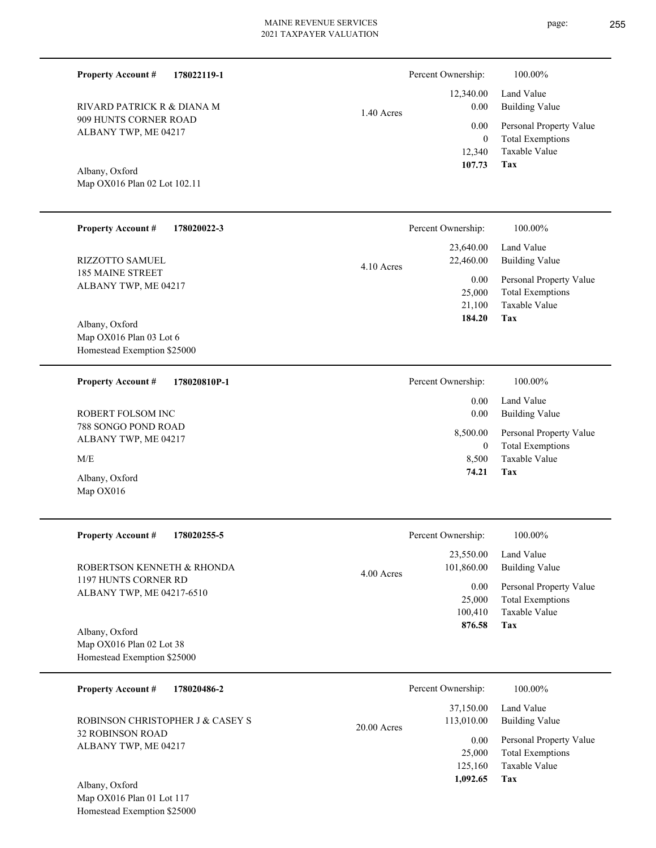1.40

Percent Ownership:  $100.00\%$ 

|       |            | 12,340.00 Land Value         |
|-------|------------|------------------------------|
| Acres | 0.00       | Building Value               |
|       |            | 0.00 Personal Property Value |
|       | $\theta$   | <b>Total Exemptions</b>      |
|       |            | 12.340 Taxable Value         |
|       | 107.73 Tax |                              |

**Tax**

8,500

 **74.21**

Taxable Value

Map OX016 Plan 02 Lot 102.11 Albany, Oxford

909 HUNTS CORNER ROAD ALBANY TWP, ME 04217

RIVARD PATRICK R & DIANA M

**Property Account #**

**178022119-1**

| <b>Property Account #</b><br>178020022-3  | Percent Ownership:        | 100.00%                 |
|-------------------------------------------|---------------------------|-------------------------|
|                                           | 23,640.00                 | Land Value              |
| <b>RIZZOTTO SAMUEL</b>                    | 22,460.00<br>$4.10$ Acres | <b>Building Value</b>   |
| <b>185 MAINE STREET</b>                   | $0.00\,$                  | Personal Property Value |
| ALBANY TWP, ME 04217                      | 25,000                    | <b>Total Exemptions</b> |
|                                           | 21,100                    | Taxable Value           |
| Albany, Oxford                            | 184.20                    | Tax                     |
| Map OX016 Plan 03 Lot 6                   |                           |                         |
| Homestead Exemption \$25000               |                           |                         |
| <b>Property Account #</b><br>178020810P-1 | Percent Ownership:        | 100.00%                 |
|                                           | 0.00                      | Land Value              |
| ROBERT FOLSOM INC                         | 0.00                      | <b>Building Value</b>   |
| 788 SONGO POND ROAD                       | 8,500.00                  | Personal Property Value |
| ALBANY TWP, ME 04217                      | $\theta$                  | <b>Total Exemptions</b> |

M/E

Map OX016 Albany, Oxford

| <b>Property Account #</b><br>178020255-5          | Percent Ownership:                    | 100.00%                                            |
|---------------------------------------------------|---------------------------------------|----------------------------------------------------|
| ROBERTSON KENNETH & RHONDA                        | 23,550.00<br>101,860.00<br>4.00 Acres | Land Value<br>Building Value                       |
| 1197 HUNTS CORNER RD<br>ALBANY TWP, ME 04217-6510 | 0.00<br>25,000                        | Personal Property Value<br><b>Total Exemptions</b> |
|                                                   | 100.410                               | Taxable Value                                      |
| Albany, Oxford                                    | 876.58                                | Tax                                                |
| Map OX016 Plan 02 Lot 38                          |                                       |                                                    |
| Homestead Exemption \$25000                       |                                       |                                                    |

| 178020486-2<br><b>Property Account #</b>                                                              | Percent Ownership:                                                                | 100.00%                                                                                                           |
|-------------------------------------------------------------------------------------------------------|-----------------------------------------------------------------------------------|-------------------------------------------------------------------------------------------------------------------|
| ROBINSON CHRISTOPHER J & CASEY S<br><b>32 ROBINSON ROAD</b><br>ALBANY TWP, ME 04217<br>Albany, Oxford | 37,150.00<br>113,010.00<br>$20.00$ Acres<br>0.00<br>25,000<br>125,160<br>1,092.65 | Land Value<br><b>Building Value</b><br>Personal Property Value<br><b>Total Exemptions</b><br>Taxable Value<br>Tax |

Map OX016 Plan 01 Lot 117 Homestead Exemption \$25000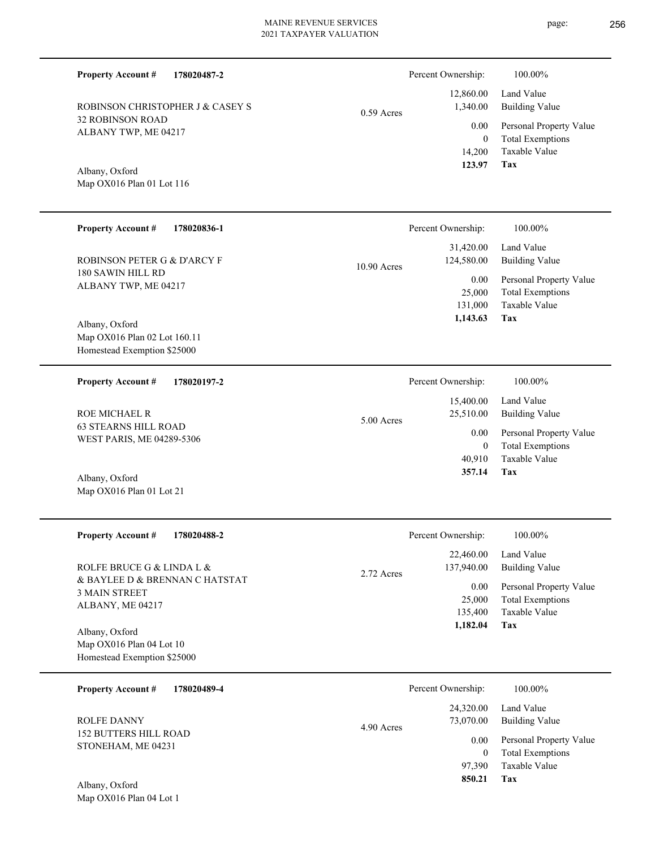**Tax 123.97** Map OX016 Plan 01 Lot 116 14,200 0 0.00 **178020836-1** 180 SAWIN HILL RD ALBANY TWP, ME 04217 **Property Account #** Map OX016 Plan 02 Lot 160.11 Homestead Exemption \$25000 ROBINSON PETER G & D'ARCY F 131,000 25,000  **1,143.63** 31,420.00 124,580.00 0.00 10.90 Acres Percent Ownership:  $100.00\%$ **178020197-2 Property Account #** 15,400.00 Percent Ownership:  $100.00\%$ 

63 STEARNS HILL ROAD WEST PARIS, ME 04289-5306 ROE MICHAEL R

Map OX016 Plan 01 Lot 21 Albany, Oxford

| <b>Property Account #</b><br>178020488-2  | 100.00%<br>Percent Ownership:                      |  |
|-------------------------------------------|----------------------------------------------------|--|
|                                           | 22,460.00<br>Land Value                            |  |
| ROLFE BRUCE G & LINDA L &                 | <b>Building Value</b><br>137,940.00<br>2.72 Acres  |  |
| & BAYLEE D & BRENNAN C HATSTAT            | $0.00\,$<br>Personal Property Value                |  |
| <b>3 MAIN STREET</b>                      | <b>Total Exemptions</b><br>25,000                  |  |
| ALBANY, ME 04217                          | Taxable Value<br>135,400                           |  |
|                                           | Tax<br>1,182.04                                    |  |
| Albany, Oxford                            |                                                    |  |
| Map OX016 Plan 04 Lot 10                  |                                                    |  |
| Homestead Exemption \$25000               |                                                    |  |
|                                           |                                                    |  |
| <b>Property Account #</b><br>178020489-4  | Percent Ownership:<br>100.00%                      |  |
|                                           | Land Value<br>24,320.00                            |  |
| <b>ROLFE DANNY</b>                        | <b>Building Value</b><br>73,070.00<br>4.90 Acres   |  |
| <b>152 BUTTERS HILL ROAD</b>              | 0.00                                               |  |
| STONEHAM, ME 04231                        | Personal Property Value<br>$\theta$                |  |
|                                           | <b>Total Exemptions</b><br>Taxable Value<br>97,390 |  |
|                                           | 850.21<br>Tax                                      |  |
| Albany, Oxford<br>Map OX016 Plan 04 Lot 1 |                                                    |  |

| Percent Ownership:   | 100.00%                                            |
|----------------------|----------------------------------------------------|
| 1.340.00             | $12,860.00$ Land Value<br>Building Value           |
| $0.00\,$<br>$\theta$ | Personal Property Value<br><b>Total Exemptions</b> |
| 14,200               | Taxable Value                                      |
| 173 07               | Tov                                                |

**Tax**

**Tax**

 40,910 0

0.00

25,510.00

 **357.14**

Taxable Value Total Exemptions Personal Property Value

Building Value Land Value

Taxable Value Total Exemptions Personal Property Value

Building Value Land Value

**178020487-2 Property Account #**

Albany, Oxford

Albany, Oxford

32 ROBINSON ROAD ALBANY TWP, ME 04217 ROBINSON CHRISTOPHER J & CASEY S 0.59 Acres

5.00 Acres

page: 256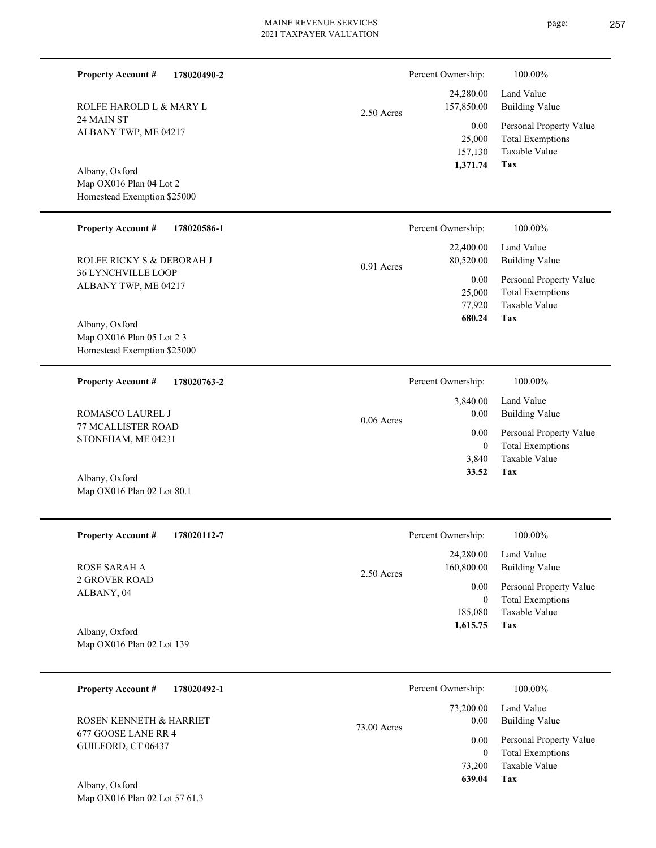| <b>Property Account #</b><br>178020490-2                 |              | Percent Ownership:        | 100.00%                                                             |
|----------------------------------------------------------|--------------|---------------------------|---------------------------------------------------------------------|
| ROLFE HAROLD L & MARY L                                  | 2.50 Acres   | 24,280.00<br>157,850.00   | Land Value<br><b>Building Value</b>                                 |
| 24 MAIN ST<br>ALBANY TWP, ME 04217                       |              | 0.00<br>25,000<br>157,130 | Personal Property Value<br><b>Total Exemptions</b><br>Taxable Value |
| Albany, Oxford                                           |              | 1,371.74                  | Tax                                                                 |
| Map OX016 Plan 04 Lot 2                                  |              |                           |                                                                     |
| Homestead Exemption \$25000                              |              |                           |                                                                     |
| <b>Property Account #</b><br>178020586-1                 |              | Percent Ownership:        | 100.00%                                                             |
| ROLFE RICKY S & DEBORAH J                                | 0.91 Acres   | 22,400.00<br>80,520.00    | Land Value<br><b>Building Value</b>                                 |
| 36 LYNCHVILLE LOOP<br>ALBANY TWP, ME 04217               |              | 0.00                      | Personal Property Value                                             |
|                                                          |              | 25,000                    | <b>Total Exemptions</b>                                             |
|                                                          |              | 77,920<br>680.24          | Taxable Value<br>Tax                                                |
| Albany, Oxford                                           |              |                           |                                                                     |
| Map OX016 Plan 05 Lot 2 3<br>Homestead Exemption \$25000 |              |                           |                                                                     |
|                                                          |              |                           |                                                                     |
| <b>Property Account #</b><br>178020763-2                 |              | Percent Ownership:        | 100.00%                                                             |
| <b>ROMASCO LAUREL J</b>                                  | $0.06$ Acres | 3,840.00<br>0.00          | Land Value<br><b>Building Value</b>                                 |
| 77 MCALLISTER ROAD<br>STONEHAM, ME 04231                 |              | 0.00                      | Personal Property Value                                             |
|                                                          |              | $\overline{0}$<br>3,840   | <b>Total Exemptions</b><br>Taxable Value                            |
| Albany, Oxford                                           |              | 33.52                     | Tax                                                                 |
| Map OX016 Plan 02 Lot 80.1                               |              |                           |                                                                     |
| <b>Property Account #</b><br>178020112-7                 |              | Percent Ownership:        | 100.00%                                                             |
|                                                          |              | 24,280.00                 | Land Value                                                          |
| ROSE SARAH A<br><b>2 GROVER ROAD</b>                     | 2.50 Acres   | 160,800.00                | <b>Building Value</b>                                               |
| ALBANY, 04                                               |              | 0.00                      | Personal Property Value                                             |
|                                                          |              | $\overline{0}$<br>185,080 | <b>Total Exemptions</b><br>Taxable Value                            |
|                                                          |              | 1,615.75                  | Tax                                                                 |
| Albany, Oxford<br>Map OX016 Plan 02 Lot 139              |              |                           |                                                                     |
|                                                          |              |                           |                                                                     |
| <b>Property Account #</b><br>178020492-1                 |              | Percent Ownership:        | 100.00%                                                             |
|                                                          |              | 73,200.00                 | Land Value                                                          |
| ROSEN KENNETH & HARRIET                                  | 73.00 Acres  | 0.00                      | <b>Building Value</b>                                               |
| 677 GOOSE LANE RR 4<br>GUILFORD, CT 06437                |              | 0.00                      | Personal Property Value                                             |
|                                                          |              | $\overline{0}$            | <b>Total Exemptions</b>                                             |
|                                                          |              | 73,200<br>639.04          | Taxable Value<br>Tax                                                |
| Albany, Oxford                                           |              |                           |                                                                     |
| Map OX016 Plan 02 Lot 57 61.3                            |              |                           |                                                                     |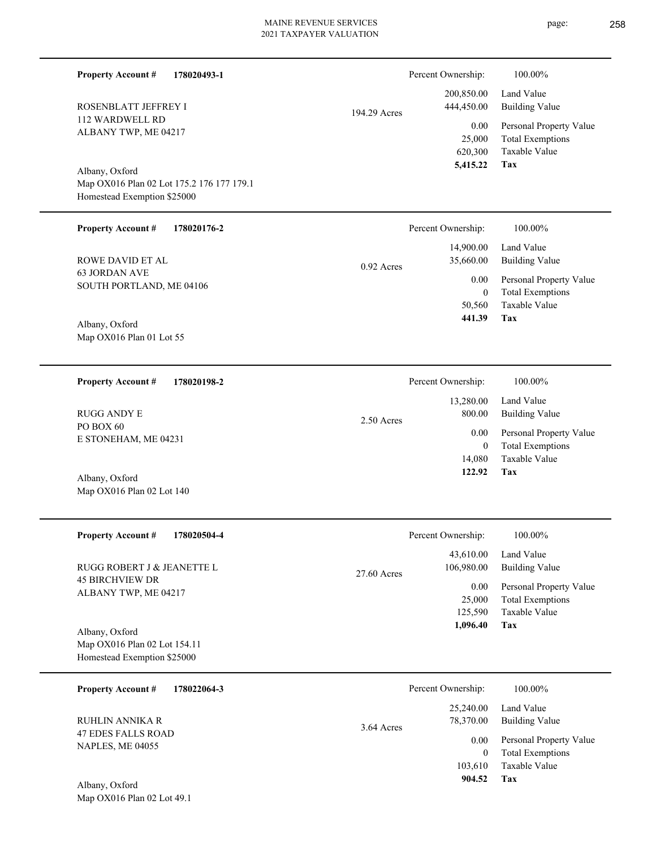| <b>Property Account #</b><br>178020493-1                                 |              | Percent Ownership:        | 100.00%                                                             |
|--------------------------------------------------------------------------|--------------|---------------------------|---------------------------------------------------------------------|
| ROSENBLATT JEFFREY I                                                     | 194.29 Acres | 200,850.00<br>444,450.00  | Land Value<br><b>Building Value</b>                                 |
| 112 WARDWELL RD<br>ALBANY TWP, ME 04217                                  |              | 0.00<br>25,000<br>620,300 | Personal Property Value<br><b>Total Exemptions</b><br>Taxable Value |
| Albany, Oxford                                                           |              | 5,415.22                  | Tax                                                                 |
| Map OX016 Plan 02 Lot 175.2 176 177 179.1<br>Homestead Exemption \$25000 |              |                           |                                                                     |
| <b>Property Account #</b><br>178020176-2                                 |              | Percent Ownership:        | 100.00%                                                             |
| <b>ROWE DAVID ET AL</b>                                                  |              | 14,900.00<br>35,660.00    | Land Value<br><b>Building Value</b>                                 |
| <b>63 JORDAN AVE</b>                                                     | 0.92 Acres   | 0.00                      |                                                                     |
| SOUTH PORTLAND, ME 04106                                                 |              | $\mathbf{0}$              | Personal Property Value<br><b>Total Exemptions</b>                  |
|                                                                          |              | 50,560                    | Taxable Value                                                       |
| Albany, Oxford                                                           |              | 441.39                    | Tax                                                                 |
| Map OX016 Plan 01 Lot 55                                                 |              |                           |                                                                     |
|                                                                          |              |                           |                                                                     |
| <b>Property Account #</b><br>178020198-2                                 |              | Percent Ownership:        | 100.00%                                                             |
| <b>RUGG ANDY E</b>                                                       | 2.50 Acres   | 13,280.00<br>800.00       | Land Value<br><b>Building Value</b>                                 |
| PO BOX 60<br>E STONEHAM, ME 04231                                        |              | 0.00                      | Personal Property Value                                             |
|                                                                          |              | $\mathbf{0}$<br>14,080    | <b>Total Exemptions</b><br>Taxable Value                            |
|                                                                          |              | 122.92                    | Tax                                                                 |
| Albany, Oxford<br>Map OX016 Plan 02 Lot 140                              |              |                           |                                                                     |
|                                                                          |              |                           |                                                                     |
| 178020504-4<br><b>Property Account #</b>                                 |              | Percent Ownership:        | 100.00%                                                             |
| RUGG ROBERT J & JEANETTE L                                               | 27.60 Acres  | 43,610.00<br>106,980.00   | Land Value<br><b>Building Value</b>                                 |
| <b>45 BIRCHVIEW DR</b>                                                   |              | 0.00                      | Personal Property Value                                             |
| ALBANY TWP, ME 04217                                                     |              | 25,000                    | <b>Total Exemptions</b>                                             |
|                                                                          |              | 125,590<br>1,096.40       | Taxable Value<br>Tax                                                |
| Albany, Oxford                                                           |              |                           |                                                                     |
| Map OX016 Plan 02 Lot 154.11<br>Homestead Exemption \$25000              |              |                           |                                                                     |
|                                                                          |              |                           |                                                                     |
| <b>Property Account #</b><br>178022064-3                                 |              | Percent Ownership:        | 100.00%                                                             |
| <b>RUHLIN ANNIKA R</b>                                                   |              | 25,240.00<br>78,370.00    | Land Value<br><b>Building Value</b>                                 |
| <b>47 EDES FALLS ROAD</b>                                                | 3.64 Acres   | 0.00                      | Personal Property Value                                             |
| NAPLES, ME 04055                                                         |              | $\overline{0}$            | <b>Total Exemptions</b>                                             |
|                                                                          |              | 103,610                   | Taxable Value                                                       |
| Albany, Oxford                                                           |              | 904.52                    | Tax                                                                 |
| Map OX016 Plan 02 Lot 49.1                                               |              |                           |                                                                     |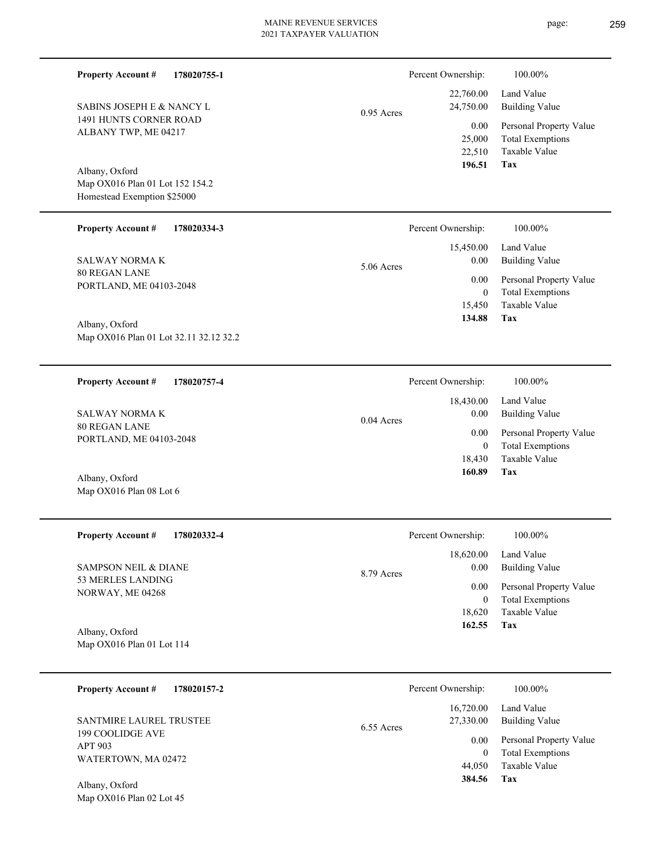|              | Percent Ownership: | 100.00%                 |
|--------------|--------------------|-------------------------|
|              | 22,760.00          | Land Value              |
| $0.95$ Acres | 24,750.00          | Building Value          |
|              | 0.00               | Personal Property Value |
|              | 25,000             | <b>Total Exemptions</b> |
|              | 22,510             | Taxable Value           |
|              | 196.51             | Tax                     |

**Tax**

 18,430 0

 18,430.00 0.00 0.00

Percent Ownership:  $100.00\%$ 

 **160.89**

Taxable Value Total Exemptions Personal Property Value

Building Value Land Value

Map OX016 Plan 01 Lot 152 154.2 Homestead Exemption \$25000 Albany, Oxford

1491 HUNTS CORNER ROAD ALBANY TWP, ME 04217

SABINS JOSEPH E & NANCY L

**Property Account #**

**178020755-1**

#### **178020334-3 Tax** Taxable Value Total Exemptions Personal Property Value Building Value Land Value 80 REGAN LANE PORTLAND, ME 04103-2048 **Property Account #** SALWAY NORMA K 15,450 0  **134.88** 15,450.00 0.00 0.00 5.06 Acres Percent Ownership:  $100.00\%$

0.04 Acres

Map OX016 Plan 01 Lot 32.11 32.12 32.2 Albany, Oxford

**178020757-4 Property Account #**

80 REGAN LANE PORTLAND, ME 04103-2048 SALWAY NORMA K

Map OX016 Plan 08 Lot 6 Albany, Oxford

Map OX016 Plan 02 Lot 45

| <b>Property Account #</b><br>178020332-4 | Percent Ownership: | 100.00%                 |
|------------------------------------------|--------------------|-------------------------|
|                                          | 18,620.00          | Land Value              |
| SAMPSON NEIL & DIANE                     | 0.00<br>8.79 Acres | <b>Building Value</b>   |
| 53 MERLES LANDING<br>NORWAY, ME 04268    | 0.00               | Personal Property Value |
|                                          |                    | <b>Total Exemptions</b> |
|                                          | 18.620             | Taxable Value           |
| Albany, Oxford                           | 162.55             | Tax                     |
| Map OX016 Plan 01 Lot 114                |                    |                         |

| <b>Property Account #</b><br>178020157-2           | Percent Ownership:                     | 100.00%                                                             |
|----------------------------------------------------|----------------------------------------|---------------------------------------------------------------------|
| <b>SANTMIRE LAUREL TRUSTEE</b><br>199 COOLIDGE AVE | 16,720.00<br>27,330.00<br>$6.55$ Acres | Land Value<br><b>Building Value</b>                                 |
| APT 903<br>WATERTOWN, MA 02472                     | 0.00<br>44,050                         | Personal Property Value<br><b>Total Exemptions</b><br>Taxable Value |
| Albany, Oxford                                     | 384.56                                 | Tax                                                                 |

page: 259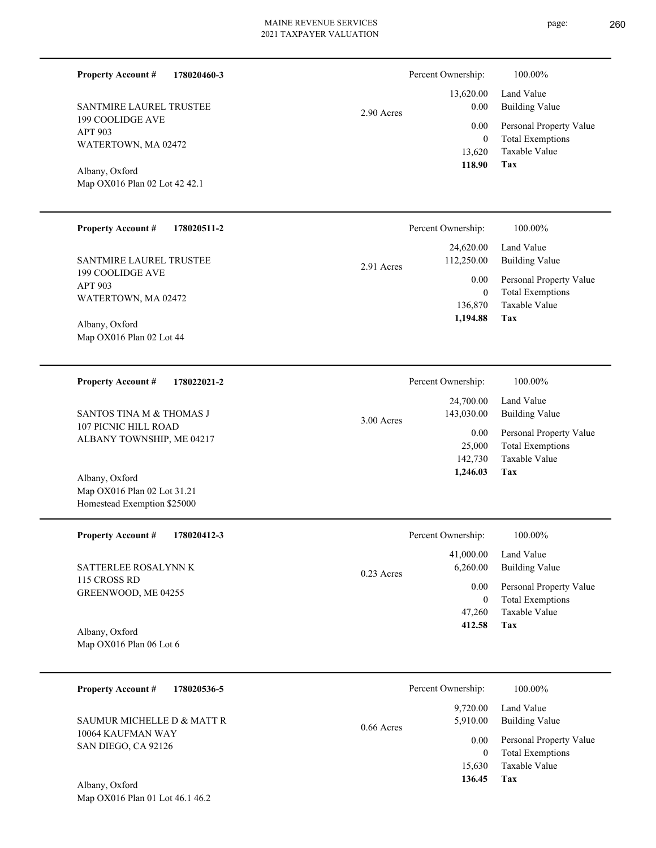| SANTMIRE LAUREL TRUSTEE |
|-------------------------|
| 199 COOLIDGE AVE        |
| APT 903                 |
| WATERTOWN, MA 02472     |

**Property Account #**

**178020460-3**

Map OX016 Plan 02 Lot 42 42.1 Albany, Oxford

#### **178020511-2 Property Account #**

199 COOLIDGE AVE APT 903 WATERTOWN, MA 02472 SANTMIRE LAUREL TRUSTEE

Map OX016 Plan 02 Lot 44 Albany, Oxford

#### **178022021-2 Property Account #**

107 PICNIC HILL ROAD ALBANY TOWNSHIP, ME 04217 SANTOS TINA M & THOMAS J

Map OX016 Plan 02 Lot 31.21 Homestead Exemption \$25000 Albany, Oxford

| <b>Property Account #</b><br>178020412-3 | Percent Ownership:                    | 100.00%                      |
|------------------------------------------|---------------------------------------|------------------------------|
| SATTERLEE ROSALYNN K                     | 41,000.00<br>6.260.00<br>$0.23$ Acres | Land Value<br>Building Value |
| 115 CROSS RD                             | 0.00                                  | Personal Property Value      |
| GREENWOOD, ME 04255                      | $\theta$                              | <b>Total Exemptions</b>      |
|                                          | 47.260                                | Taxable Value                |
| Albany, Oxford                           | 412.58                                | Tax                          |

Map OX016 Plan 06 Lot 6 Albany, Oxford

| <b>Property Account #</b><br>178020536-5 | Percent Ownership: |                      | 100.00%                                            |
|------------------------------------------|--------------------|----------------------|----------------------------------------------------|
| SAUMUR MICHELLE D & MATT R               | $0.66$ Acres       | 9.720.00<br>5.910.00 | Land Value<br>Building Value                       |
| 10064 KAUFMAN WAY<br>SAN DIEGO, CA 92126 |                    | 0.00<br>$\theta$     | Personal Property Value<br><b>Total Exemptions</b> |
|                                          |                    | 15,630               | Taxable Value                                      |
| 4.11<br>$\sim$ $\sim$ 1                  |                    | 136.45               | Tax                                                |

|            | Percent Ownership: | 100.00%                 |
|------------|--------------------|-------------------------|
|            |                    | 13,620.00 Land Value    |
| 2.90 Acres | 0.00               | Building Value          |
|            | 0.00               | Personal Property Value |
|            | 0                  | <b>Total Exemptions</b> |
|            | 13.620             | Taxable Value           |
|            | 118.90             | Tax                     |

|            | Percent Ownership: | 100.00%                 |
|------------|--------------------|-------------------------|
|            | 24,620.00          | Land Value              |
| 2.91 Acres | 112,250.00         | <b>Building Value</b>   |
|            | 0.00               | Personal Property Value |
|            | $\theta$           | <b>Total Exemptions</b> |
|            | 136,870            | Taxable Value           |
|            | 1,194.88           | Tax                     |

|              | Percent Ownership:      | 100.00%                             |
|--------------|-------------------------|-------------------------------------|
|              | 24,700.00<br>143,030.00 | Land Value<br><b>Building Value</b> |
| $3.00$ Acres | 0.00                    | Personal Property Value             |
|              | 25,000                  | <b>Total Exemptions</b>             |
|              | 142,730                 | Taxable Value                       |
|              | 1,246.03                | Tax                                 |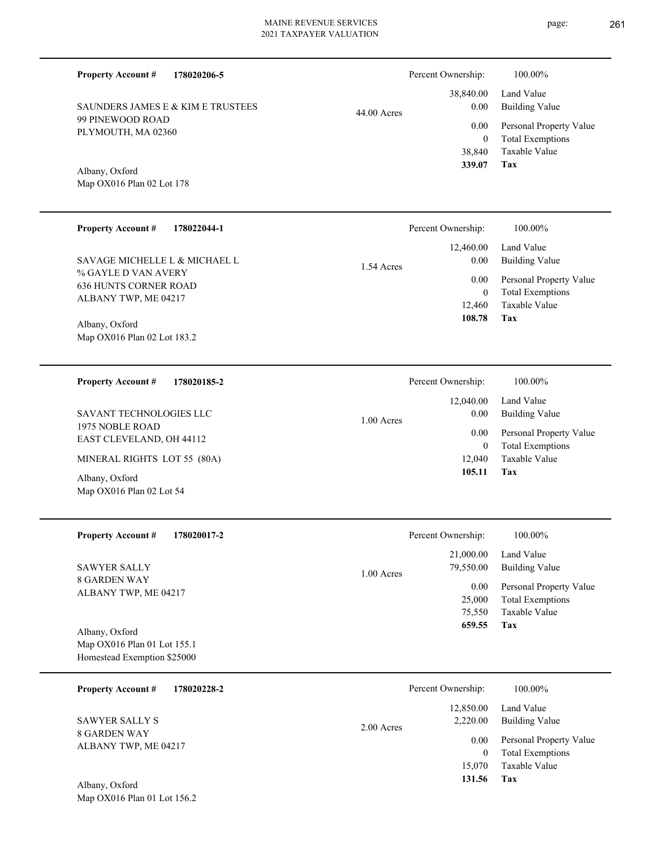99 PINEWOOD ROAD PLYMOUTH, MA 02360 Map OX016 Plan 02 Lot 178 **178022044-1 Property Account #** Percent Ownership: 100.00%

1.54 Acres

% GAYLE D VAN AVERY 636 HUNTS CORNER ROAD ALBANY TWP, ME 04217 SAVAGE MICHELLE L & MICHAEL L

**178020206-5**

SAUNDERS JAMES E & KIM E TRUSTEES

Map OX016 Plan 02 Lot 183.2 Albany, Oxford

**Property Account #**

Albany, Oxford

**178020185-2 Property Account #**

1975 NOBLE ROAD EAST CLEVELAND, OH 44112 SAVANT TECHNOLOGIES LLC

MINERAL RIGHTS LOT 55 (80A)

Map OX016 Plan 02 Lot 54 Albany, Oxford

**178020017-2 Property Account #**

8 GARDEN WAY ALBANY TWP, ME 04217 SAWYER SALLY

Map OX016 Plan 01 Lot 155.1 Homestead Exemption \$25000 Albany, Oxford

Map OX016 Plan 01 Lot 156.2

| 178020228-2<br><b>Property Account #</b>    | Percent Ownership:                  | 100.00%                                            |
|---------------------------------------------|-------------------------------------|----------------------------------------------------|
| SAWYER SALLY S                              | 12,850.00<br>2.220.00<br>2.00 Acres | Land Value<br>Building Value                       |
| <b>8 GARDEN WAY</b><br>ALBANY TWP, ME 04217 | 0.00<br>0                           | Personal Property Value<br><b>Total Exemptions</b> |
|                                             | 15.070                              | Taxable Value                                      |
| Albany, Oxford                              | 131.56                              | Tax                                                |

|               | Percent Ownership: | 100.00%                 |
|---------------|--------------------|-------------------------|
|               |                    | 38,840.00 Land Value    |
| $44.00$ Acres | 0.00               | Building Value          |
|               | 0.00               | Personal Property Value |
|               | $\theta$           | <b>Total Exemptions</b> |
|               |                    | 38,840 Taxable Value    |
|               | 339.07             | Tax                     |

| r vreem o whereing. | 100.0070                |
|---------------------|-------------------------|
|                     | 12,460.00 Land Value    |
| $0.00\,$            | Building Value          |
| 0.00                | Personal Property Value |
| $\theta$            | <b>Total Exemptions</b> |
|                     | 12,460 Taxable Value    |
| 108.78              | Tax                     |

| Percent Ownership: | 100.00%                 |
|--------------------|-------------------------|
|                    | $12,040.00$ Land Value  |
| 0.00               | <b>Building Value</b>   |
| 0.00 <sub>1</sub>  | Personal Property Value |
| 0                  | <b>Total Exemptions</b> |
| 12,040             | Taxable Value           |
| 105.11             | Tax                     |
|                    |                         |

| Percent Ownership: | 100.00%                 |
|--------------------|-------------------------|
| 21,000.00          | Land Value              |
| 79,550.00          | <b>Building Value</b>   |
| 0.00               | Personal Property Value |
| 25,000             | <b>Total Exemptions</b> |
| 75,550             | Taxable Value           |
| 659.55             | Tax                     |
|                    |                         |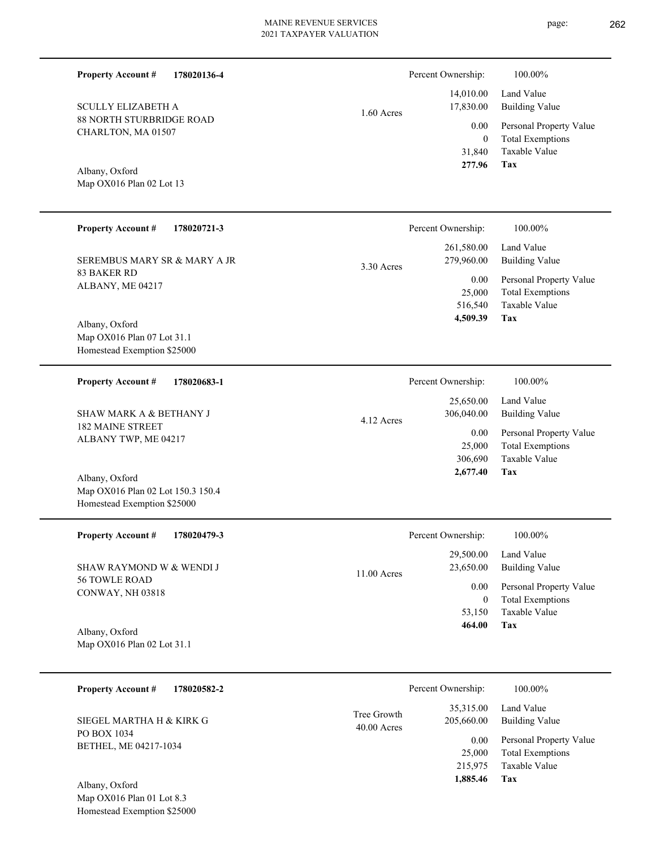1.60 Acres

**178020136-4**

88 NORTH STURBRIDGE ROAD CHARLTON, MA 01507 SCULLY ELIZABETH A

Map OX016 Plan 02 Lot 13 Albany, Oxford

**Property Account #**

| <b>Property Account #</b><br>178020721-3                         |             | Percent Ownership:        | 100.00%                                                             |
|------------------------------------------------------------------|-------------|---------------------------|---------------------------------------------------------------------|
| SEREMBUS MARY SR & MARY A JR                                     | 3.30 Acres  | 261,580.00<br>279,960.00  | Land Value<br><b>Building Value</b>                                 |
| <b>83 BAKER RD</b><br>ALBANY, ME 04217                           |             | 0.00<br>25,000<br>516,540 | Personal Property Value<br><b>Total Exemptions</b><br>Taxable Value |
| Albany, Oxford                                                   |             | 4,509.39                  | Tax                                                                 |
| Map OX016 Plan 07 Lot 31.1                                       |             |                           |                                                                     |
| Homestead Exemption \$25000                                      |             |                           |                                                                     |
| <b>Property Account #</b><br>178020683-1                         |             | Percent Ownership:        | 100.00%                                                             |
|                                                                  |             | 25,650.00                 | Land Value                                                          |
| <b>SHAW MARK A &amp; BETHANY J</b><br><b>182 MAINE STREET</b>    | 4.12 Acres  | 306,040.00                | <b>Building Value</b>                                               |
| ALBANY TWP, ME 04217                                             |             | 0.00<br>25,000            | Personal Property Value<br><b>Total Exemptions</b>                  |
|                                                                  |             | 306,690                   | Taxable Value                                                       |
| Albany, Oxford                                                   |             | 2,677.40                  | <b>Tax</b>                                                          |
| Map OX016 Plan 02 Lot 150.3 150.4<br>Homestead Exemption \$25000 |             |                           |                                                                     |
| <b>Property Account #</b><br>178020479-3                         |             | Percent Ownership:        | 100.00%                                                             |
|                                                                  |             | 29,500.00                 | Land Value                                                          |
| SHAW RAYMOND W & WENDI J<br>56 TOWLE ROAD                        | 11.00 Acres | 23,650.00                 | <b>Building Value</b>                                               |
| CONWAY, NH 03818                                                 |             | 0.00<br>$\boldsymbol{0}$  | Personal Property Value<br><b>Total Exemptions</b>                  |
|                                                                  |             | 53,150                    | Taxable Value                                                       |
| Albany, Oxford                                                   |             | 464.00                    | Tax                                                                 |
| Map OX016 Plan 02 Lot 31.1                                       |             |                           |                                                                     |
|                                                                  |             |                           |                                                                     |
| <b>Property Account #</b><br>178020582-2                         |             | Percent Ownership:        | 100.00%                                                             |
|                                                                  | Tree Growth | 35,315.00                 | Land Value                                                          |
| SIEGEL MARTHA H & KIRK G<br>PO BOX 1034                          | 40.00 Acres | 205,660.00                | <b>Building Value</b>                                               |
| <b>DETIEL ME 04017 1004</b>                                      |             | 0.00                      | Personal Property Value                                             |

Map OX016 Plan 01 Lot 8.3 Homestead Exemption \$25000 Albany, Oxford

BETHEL, ME 04217-1034

**Tax**

**Tax**

 215,975 25,000

 **1,885.46**

Taxable Value Total Exemptions

 31,840 0

0.00

Percent Ownership:  $100.00\%$ 

 14,010.00 17,830.00

 **277.96**

Taxable Value Total Exemptions Personal Property Value

Building Value Land Value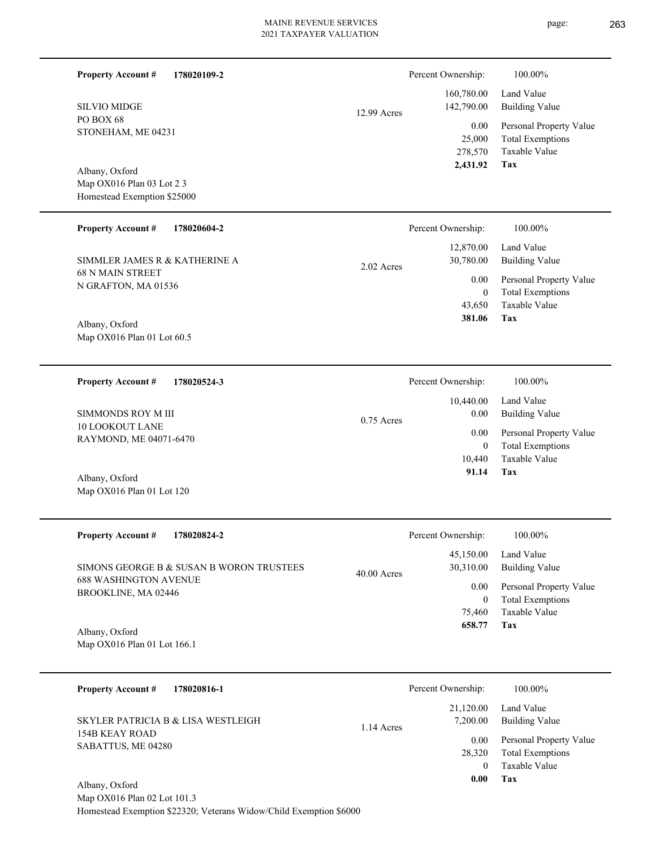page: 263

| <b>Property Account #</b><br>178020109-2                           |              | Percent Ownership:                    | 100.00%                                                                    |
|--------------------------------------------------------------------|--------------|---------------------------------------|----------------------------------------------------------------------------|
| <b>SILVIO MIDGE</b>                                                | 12.99 Acres  | 160,780.00<br>142,790.00              | Land Value<br><b>Building Value</b>                                        |
| PO BOX 68<br>STONEHAM, ME 04231                                    |              | 0.00<br>25,000<br>278,570<br>2,431.92 | Personal Property Value<br><b>Total Exemptions</b><br>Taxable Value<br>Tax |
| Albany, Oxford                                                     |              |                                       |                                                                            |
| Map OX016 Plan 03 Lot 2 3                                          |              |                                       |                                                                            |
| Homestead Exemption \$25000                                        |              |                                       |                                                                            |
| <b>Property Account #</b><br>178020604-2                           |              | Percent Ownership:                    | 100.00%                                                                    |
| SIMMLER JAMES R & KATHERINE A                                      | 2.02 Acres   | 12,870.00<br>30,780.00                | Land Value<br><b>Building Value</b>                                        |
| <b>68 N MAIN STREET</b><br>N GRAFTON, MA 01536                     |              | 0.00                                  | Personal Property Value                                                    |
|                                                                    |              | $\overline{0}$                        | <b>Total Exemptions</b>                                                    |
|                                                                    |              | 43,650                                | Taxable Value                                                              |
| Albany, Oxford<br>Map OX016 Plan 01 Lot 60.5                       |              | 381.06                                | Tax                                                                        |
| <b>Property Account #</b><br>178020524-3                           |              | Percent Ownership:                    | 100.00%                                                                    |
|                                                                    |              | 10,440.00                             | Land Value                                                                 |
| SIMMONDS ROY M III                                                 | $0.75$ Acres | $0.00\,$                              | <b>Building Value</b>                                                      |
| <b>10 LOOKOUT LANE</b>                                             |              | 0.00                                  | Personal Property Value                                                    |
| RAYMOND, ME 04071-6470                                             |              | $\overline{0}$                        | <b>Total Exemptions</b>                                                    |
|                                                                    |              | 10,440                                | Taxable Value                                                              |
| Albany, Oxford                                                     |              | 91.14                                 | <b>Tax</b>                                                                 |
| Map OX016 Plan 01 Lot 120                                          |              |                                       |                                                                            |
| <b>Property Account #</b><br>178020824-2                           |              | Percent Ownership:                    | 100.00%                                                                    |
|                                                                    |              | 45,150.00                             | Land Value                                                                 |
| SIMONS GEORGE B & SUSAN B WORON TRUSTEES                           | 40.00 Acres  | 30,310.00                             | <b>Building Value</b>                                                      |
| <b>688 WASHINGTON AVENUE</b><br>BROOKLINE, MA 02446                |              | 0.00                                  | Personal Property Value                                                    |
|                                                                    |              | $\overline{0}$                        | <b>Total Exemptions</b>                                                    |
|                                                                    |              | 75,460                                | Taxable Value                                                              |
| Albany, Oxford                                                     |              | 658.77                                | Tax                                                                        |
| Map OX016 Plan 01 Lot 166.1                                        |              |                                       |                                                                            |
| <b>Property Account #</b><br>178020816-1                           |              | Percent Ownership:                    | 100.00%                                                                    |
|                                                                    |              | 21,120.00                             | Land Value                                                                 |
| SKYLER PATRICIA B & LISA WESTLEIGH                                 |              | 7,200.00                              | <b>Building Value</b>                                                      |
| <b>154B KEAY ROAD</b>                                              | 1.14 Acres   | 0.00                                  | Personal Property Value                                                    |
| SABATTUS, ME 04280                                                 |              | 28,320                                | <b>Total Exemptions</b>                                                    |
|                                                                    |              | $\overline{0}$                        | Taxable Value                                                              |
| Albany, Oxford                                                     |              | 0.00                                  | Tax                                                                        |
| Map OX016 Plan 02 Lot 101.3                                        |              |                                       |                                                                            |
| Homestead Exemption \$22320; Veterans Widow/Child Exemption \$6000 |              |                                       |                                                                            |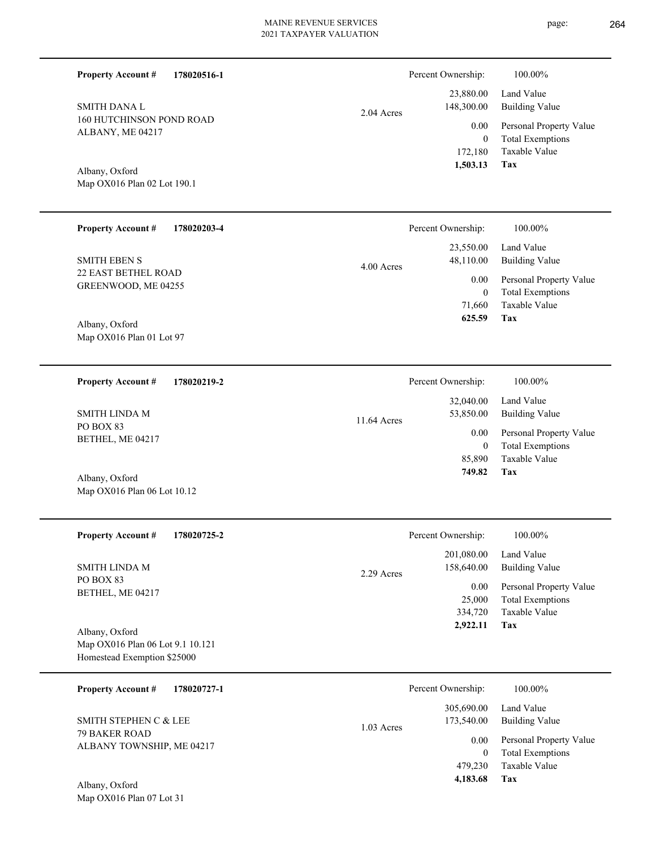| <b>Property Account #</b><br>178020516-1                                          |             | Percent Ownership:                            | 100.00%                                                                           |
|-----------------------------------------------------------------------------------|-------------|-----------------------------------------------|-----------------------------------------------------------------------------------|
| <b>SMITH DANA L</b>                                                               | 2.04 Acres  | 23,880.00<br>148,300.00                       | Land Value<br><b>Building Value</b>                                               |
| <b>160 HUTCHINSON POND ROAD</b><br>ALBANY, ME 04217                               |             | 0.00<br>$\overline{0}$<br>172,180<br>1,503.13 | Personal Property Value<br><b>Total Exemptions</b><br><b>Taxable Value</b><br>Tax |
| Albany, Oxford<br>Map OX016 Plan 02 Lot 190.1                                     |             |                                               |                                                                                   |
| <b>Property Account #</b><br>178020203-4                                          |             | Percent Ownership:                            | 100.00%                                                                           |
| <b>SMITH EBEN S</b>                                                               | 4.00 Acres  | 23,550.00<br>48,110.00                        | Land Value<br><b>Building Value</b>                                               |
| 22 EAST BETHEL ROAD<br>GREENWOOD, ME 04255                                        |             | 0.00<br>$\theta$                              | Personal Property Value<br><b>Total Exemptions</b>                                |
| Albany, Oxford<br>Map OX016 Plan 01 Lot 97                                        |             | 71,660<br>625.59                              | Taxable Value<br><b>Tax</b>                                                       |
| <b>Property Account #</b><br>178020219-2                                          |             | Percent Ownership:                            | 100.00%                                                                           |
| <b>SMITH LINDA M</b>                                                              |             | 32,040.00<br>53,850.00                        | Land Value<br><b>Building Value</b>                                               |
| PO BOX 83<br>BETHEL, ME 04217                                                     | 11.64 Acres | 0.00<br>$\mathbf{0}$                          | Personal Property Value<br><b>Total Exemptions</b>                                |
| Albany, Oxford<br>Map OX016 Plan 06 Lot 10.12                                     |             | 85,890<br>749.82                              | Taxable Value<br>Tax                                                              |
|                                                                                   |             |                                               |                                                                                   |
| <b>Property Account #</b><br>178020725-2                                          |             | Percent Ownership:                            | 100.00%                                                                           |
| SMITH LINDA M                                                                     | 2.29 Acres  | 201,080.00<br>158,640.00                      | Land Value<br><b>Building Value</b>                                               |
| PO BOX 83<br>BETHEL, ME 04217                                                     |             | 0.00<br>25,000<br>334,720<br>2,922.11         | Personal Property Value<br><b>Total Exemptions</b><br>Taxable Value<br>Tax        |
| Albany, Oxford<br>Map OX016 Plan 06 Lot 9.1 10.121<br>Homestead Exemption \$25000 |             |                                               |                                                                                   |
| <b>Property Account #</b><br>178020727-1                                          |             | Percent Ownership:                            | 100.00%                                                                           |
| SMITH STEPHEN C & LEE                                                             | 1.03 Acres  | 305,690.00<br>173,540.00                      | Land Value<br><b>Building Value</b>                                               |
| 79 BAKER ROAD<br>ALBANY TOWNSHIP, ME 04217                                        |             | $0.00\,$<br>$\overline{0}$<br>479,230         | Personal Property Value<br><b>Total Exemptions</b><br>Taxable Value               |
| Albany, Oxford<br>Map OX016 Plan 07 Lot 31                                        |             | 4,183.68                                      | Tax                                                                               |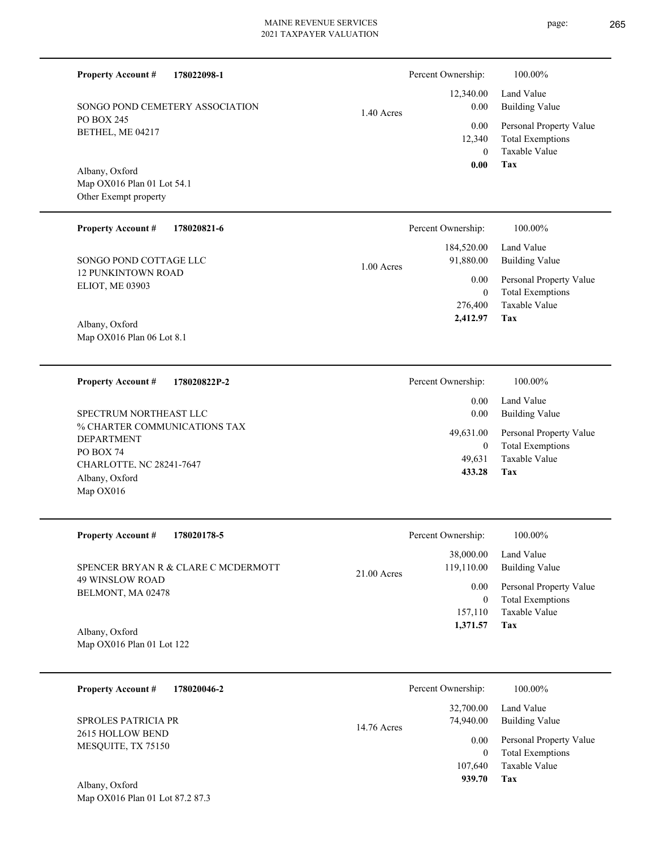▃

page: 265

| <b>Property Account #</b><br>178022098-1                              |              | Percent Ownership:                        | 100.00%                                                                    |
|-----------------------------------------------------------------------|--------------|-------------------------------------------|----------------------------------------------------------------------------|
| SONGO POND CEMETERY ASSOCIATION                                       | $1.40$ Acres | 12,340.00<br>0.00                         | Land Value<br><b>Building Value</b>                                        |
| <b>PO BOX 245</b><br>BETHEL, ME 04217                                 |              | 0.00<br>12,340<br>$\theta$                | Personal Property Value<br><b>Total Exemptions</b><br>Taxable Value        |
| Albany, Oxford<br>Map OX016 Plan 01 Lot 54.1<br>Other Exempt property |              | 0.00                                      | <b>Tax</b>                                                                 |
| <b>Property Account #</b><br>178020821-6                              |              | Percent Ownership:                        | 100.00%                                                                    |
| SONGO POND COTTAGE LLC                                                | 1.00 Acres   | 184,520.00<br>91,880.00                   | Land Value<br><b>Building Value</b>                                        |
| <b>12 PUNKINTOWN ROAD</b><br>ELIOT, ME 03903                          |              | 0.00<br>$\overline{0}$                    | Personal Property Value<br><b>Total Exemptions</b>                         |
| Albany, Oxford<br>Map OX016 Plan 06 Lot 8.1                           |              | 276,400<br>2.412.97                       | Taxable Value<br><b>Tax</b>                                                |
|                                                                       |              |                                           |                                                                            |
| <b>Property Account #</b><br>178020822P-2                             |              | Percent Ownership:                        | 100.00%                                                                    |
| SPECTRUM NORTHEAST LLC                                                |              | 0.00<br>0.00                              | Land Value<br><b>Building Value</b>                                        |
| % CHARTER COMMUNICATIONS TAX<br>DEPARTMENT<br>PO BOX 74               |              | 49,631.00<br>$\overline{0}$               | Personal Property Value<br><b>Total Exemptions</b>                         |
| CHARLOTTE, NC 28241-7647<br>Albany, Oxford                            |              | 49,631<br>433.28                          | Taxable Value<br>Tax                                                       |
| Map OX016                                                             |              |                                           |                                                                            |
| Property Account #<br>178020178-5                                     |              | Percent Ownership:                        | 100.00%                                                                    |
| SPENCER BRYAN R & CLARE C MCDERMOTT                                   | 21.00 Acres  | 38,000.00<br>119,110.00                   | Land Value<br><b>Building Value</b>                                        |
| <b>49 WINSLOW ROAD</b><br>BELMONT, MA 02478                           |              | 0.00<br>$\boldsymbol{0}$                  | Personal Property Value<br><b>Total Exemptions</b>                         |
| Albany, Oxford<br>Map OX016 Plan 01 Lot 122                           |              | 157,110<br>1,371.57                       | Taxable Value<br>Tax                                                       |
|                                                                       |              |                                           |                                                                            |
| <b>Property Account #</b><br>178020046-2                              |              | Percent Ownership:<br>32,700.00           | 100.00%<br>Land Value                                                      |
| SPROLES PATRICIA PR<br>2615 HOLLOW BEND                               | 14.76 Acres  | 74,940.00                                 | <b>Building Value</b>                                                      |
| MESQUITE, TX 75150                                                    |              | 0.00<br>$\mathbf{0}$<br>107,640<br>939.70 | Personal Property Value<br><b>Total Exemptions</b><br>Taxable Value<br>Tax |
| Albany, Oxford                                                        |              |                                           |                                                                            |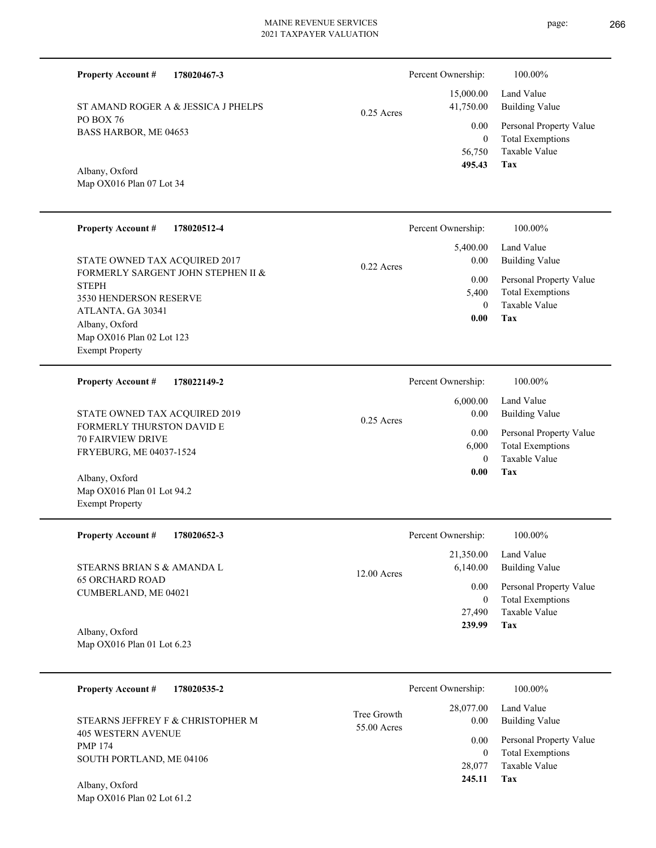page: 266

| <b>Property Account #</b><br>178020467-3                                                          |               | Percent Ownership:                         | 100.00%                                                                           |
|---------------------------------------------------------------------------------------------------|---------------|--------------------------------------------|-----------------------------------------------------------------------------------|
| ST AMAND ROGER A & JESSICA J PHELPS                                                               | $0.25$ Acres  | 15,000.00<br>41,750.00                     | Land Value<br><b>Building Value</b>                                               |
| PO BOX 76<br>BASS HARBOR, ME 04653                                                                |               | 0.00<br>$\overline{0}$<br>56,750<br>495.43 | Personal Property Value<br><b>Total Exemptions</b><br>Taxable Value<br><b>Tax</b> |
| Albany, Oxford<br>Map OX016 Plan 07 Lot 34                                                        |               |                                            |                                                                                   |
| <b>Property Account #</b><br>178020512-4                                                          |               | Percent Ownership:                         | 100.00%                                                                           |
| STATE OWNED TAX ACQUIRED 2017                                                                     | $0.22$ Acres  | 5,400.00<br>0.00                           | Land Value<br><b>Building Value</b>                                               |
| FORMERLY SARGENT JOHN STEPHEN II &<br><b>STEPH</b><br>3530 HENDERSON RESERVE<br>ATLANTA. GA 30341 |               | 0.00<br>5,400<br>$\overline{0}$            | Personal Property Value<br><b>Total Exemptions</b><br>Taxable Value               |
| Albany, Oxford<br>Map OX016 Plan 02 Lot 123<br><b>Exempt Property</b>                             |               | 0.00                                       | Tax                                                                               |
| <b>Property Account #</b><br>178022149-2                                                          |               | Percent Ownership:                         | 100.00%                                                                           |
| STATE OWNED TAX ACQUIRED 2019                                                                     | $0.25$ Acres  | 6,000.00<br>0.00                           | Land Value<br><b>Building Value</b>                                               |
| <b>FORMERLY THURSTON DAVID E</b><br><b>70 FAIRVIEW DRIVE</b><br>FRYEBURG, ME 04037-1524           | 0.00<br>6,000 |                                            | Personal Property Value<br><b>Total Exemptions</b><br>Taxable Value               |
| Albany, Oxford<br>Map OX016 Plan 01 Lot 94.2                                                      |               | $\overline{0}$<br>0.00                     | Tax                                                                               |
| <b>Exempt Property</b>                                                                            |               |                                            |                                                                                   |
| <b>Property Account #</b><br>178020652-3                                                          |               | Percent Ownership:                         | 100.00%                                                                           |
| STEARNS BRIAN S & AMANDA L                                                                        | 12.00 Acres   | 21,350.00<br>6,140.00                      | Land Value<br><b>Building Value</b>                                               |
| <b>65 ORCHARD ROAD</b><br>CUMBERLAND, ME 04021                                                    |               | 0.00<br>$\boldsymbol{0}$                   | Personal Property Value<br><b>Total Exemptions</b>                                |
| Albany, Oxford<br>Map OX016 Plan 01 Lot 6.23                                                      |               | 27,490<br>239.99                           | Taxable Value<br>Tax                                                              |
| 178020535-2                                                                                       |               | Percent Ownership:                         | 100.00%                                                                           |
| <b>Property Account #</b>                                                                         | Tree Growth   | 28,077.00                                  | Land Value                                                                        |
| STEARNS JEFFREY F & CHRISTOPHER M<br><b>405 WESTERN AVENUE</b>                                    | 55.00 Acres   | 0.00<br>0.00                               | <b>Building Value</b><br>Personal Property Value                                  |
| <b>PMP 174</b><br>SOUTH PORTLAND, ME 04106                                                        |               | $\overline{0}$<br>28,077<br>245.11         | <b>Total Exemptions</b><br>Taxable Value<br>Tax                                   |
| Albany, Oxford<br>Map OX016 Plan 02 Lot 61.2                                                      |               |                                            |                                                                                   |
|                                                                                                   |               |                                            |                                                                                   |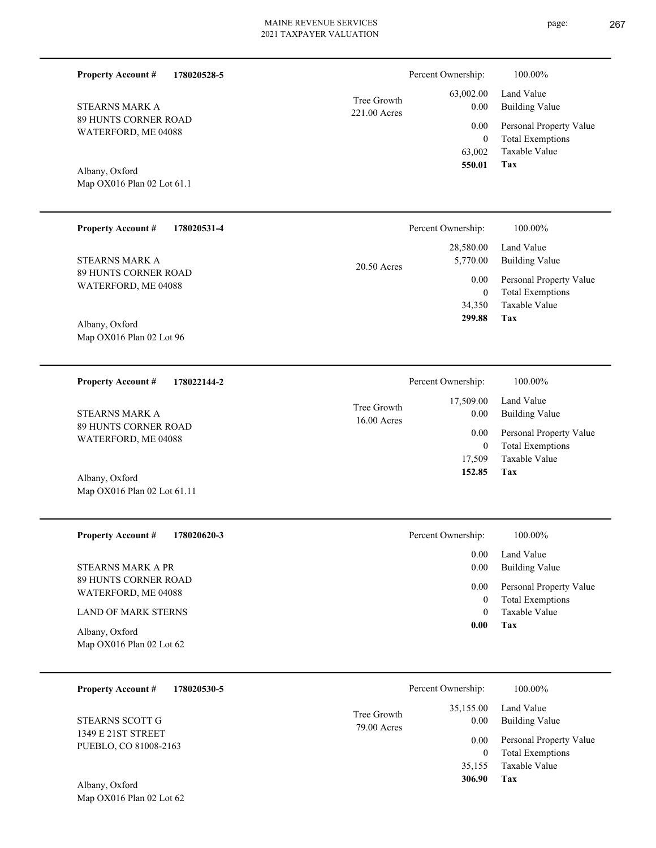| Tree Growth<br>221.00 Acres | 63,002.00<br>0.00 |
|-----------------------------|-------------------|
|                             | 0.00              |
|                             |                   |

Map OX016 Plan 02 Lot 61.1 Albany, Oxford

Map OX016 Plan 02 Lot 62

89 HUNTS CORNER ROAD WATERFORD, ME 04088

**Property Account #**

STEARNS MARK A

**178020528-5**

| <b>Property Account #</b><br>178020531-4     | Percent Ownership:                    | 100.00%                                            |
|----------------------------------------------|---------------------------------------|----------------------------------------------------|
| STEARNS MARK A                               | 28,580.00<br>5,770.00                 | Land Value<br>Building Value                       |
| 89 HUNTS CORNER ROAD<br>WATERFORD, ME 04088  | 20.50 Acres<br>0.00<br>$\overline{0}$ | Personal Property Value<br><b>Total Exemptions</b> |
|                                              | 34,350                                | Taxable Value                                      |
| Albany, Oxford<br>Map $OX016$ Plan 02 Lot 96 | 299.88                                | Tax                                                |

| 178022144-2<br><b>Property Account #</b> | Percent Ownership:                                | 100.00%                                 |
|------------------------------------------|---------------------------------------------------|-----------------------------------------|
| STEARNS MARK A<br>89 HUNTS CORNER ROAD   | 17,509.00<br>Tree Growth<br>0.00<br>$16.00$ Acres | Land Value<br>Building Value            |
| WATERFORD, ME 04088                      | 0.00                                              | Personal Property Value                 |
|                                          |                                                   | <b>Total Exemptions</b><br>$\mathbf{0}$ |
|                                          | 17.509                                            | Taxable Value                           |
| Albany, Oxford                           | 152.85                                            | Tax                                     |
| Map OX016 Plan 02 Lot 61.11              |                                                   |                                         |

| <b>Property Account #</b><br>178020620-3     | Percent Ownership: | 100.00%                                            |
|----------------------------------------------|--------------------|----------------------------------------------------|
|                                              | 0.00               | Land Value                                         |
| STEARNS MARK A PR                            | 0.00               | Building Value                                     |
| 89 HUNTS CORNER ROAD<br>WATERFORD, ME 04088  | 0.00               | Personal Property Value<br><b>Total Exemptions</b> |
| <b>LAND OF MARK STERNS</b>                   |                    | Taxable Value                                      |
| Albany, Oxford<br>Map $OX016$ Plan 02 Lot 62 | 0.00               | Tax                                                |

| 178020530-5<br><b>Property Account #</b>    | Percent Ownership:                              | 100.00%                                                 |
|---------------------------------------------|-------------------------------------------------|---------------------------------------------------------|
| STEARNS SCOTT G                             | 35,155.00<br>Tree Growth<br>0.00<br>79.00 Acres | Land Value<br><b>Building Value</b>                     |
| 1349 E 21ST STREET<br>PUEBLO, CO 81008-2163 | 0.00                                            | Personal Property Value<br><b>Total Exemptions</b><br>0 |
|                                             | 35,155                                          | Taxable Value                                           |
| Albany, Oxford                              | 306.90                                          | Tax                                                     |

**Tax**

 63,002 0

 0.00 0.00

Percent Ownership:  $100.00\%$ 

 **550.01**

Taxable Value Total Exemptions Personal Property Value

Building Value Land Value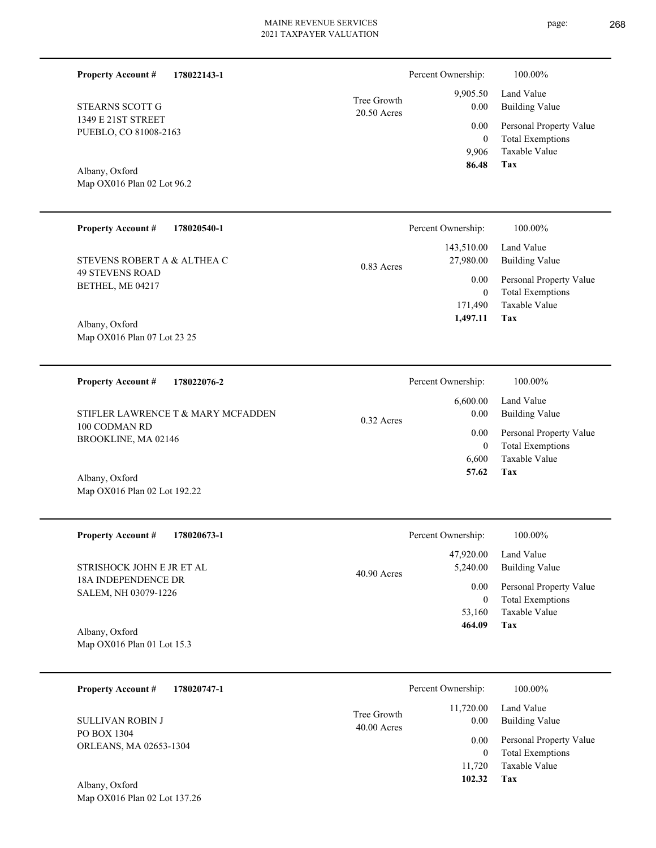20.50 Acres Tree Growth

1349 E 21ST STREET PUEBLO, CO 81008-2163 STEARNS SCOTT G

**Property Account #**

**178022143-1**

Map OX016 Plan 02 Lot 96.2 Albany, Oxford

| <b>Property Account #</b><br>178020540-1              | Percent Ownership:                      | 100.00%                      |
|-------------------------------------------------------|-----------------------------------------|------------------------------|
| STEVENS ROBERT A & ALTHEA C<br><b>49 STEVENS ROAD</b> | 143,510.00<br>27,980.00<br>$0.83$ Acres | Land Value<br>Building Value |
|                                                       | 0.00                                    | Personal Property Value      |
| BETHEL, ME 04217                                      |                                         | <b>Total Exemptions</b>      |
|                                                       | 171.490                                 | Taxable Value                |
| Albany, Oxford                                        | 1,497.11                                | Tax                          |
| Map OX016 Plan 07 Lot 23 25                           |                                         |                              |

**178022076-2 Tax** Taxable Value Total Exemptions Personal Property Value Building Value Land Value 100 CODMAN RD BROOKLINE, MA 02146 **Property Account #** Albany, Oxford STIFLER LAWRENCE T & MARY MCFADDEN 6,600 0  **57.62** 6,600.00 0.00 0.00 0.32 Acres Percent Ownership:  $100.00\%$ 

| <b>Property Account #</b><br>178020673-1    | Percent Ownership:                     | 100.00%                                            |
|---------------------------------------------|----------------------------------------|----------------------------------------------------|
| STRISHOCK JOHN E JR ET AL                   | 47,920.00<br>5,240.00<br>$40.90$ Acres | Land Value<br>Building Value                       |
| 18A INDEPENDENCE DR<br>SALEM, NH 03079-1226 | 0.00<br>$\theta$                       | Personal Property Value<br><b>Total Exemptions</b> |
|                                             | 53,160                                 | Taxable Value                                      |
| Albany, Oxford                              | 464.09                                 | Tax                                                |
| Map OX016 Plan 01 Lot 15.3                  |                                        |                                                    |

| 178020747-1<br><b>Property Account #</b> |                              | Percent Ownership: | 100.00%                                            |
|------------------------------------------|------------------------------|--------------------|----------------------------------------------------|
| <b>SULLIVAN ROBIN J</b>                  | Tree Growth<br>$40.00$ Acres | 11,720.00<br>0.00  | Land Value<br><b>Building Value</b>                |
| PO BOX 1304<br>ORLEANS, MA 02653-1304    |                              | 0.00<br>0          | Personal Property Value<br><b>Total Exemptions</b> |
|                                          |                              | 11.720             | Taxable Value                                      |
| Albany, Oxford                           |                              | 102.32             | Tax                                                |

Map OX016 Plan 02 Lot 137.26

Map OX016 Plan 02 Lot 192.22

**Tax**

 9,906 0

 9,905.50 0.00 0.00

Percent Ownership:  $100.00\%$ 

 **86.48**

Taxable Value Total Exemptions Personal Property Value

Building Value Land Value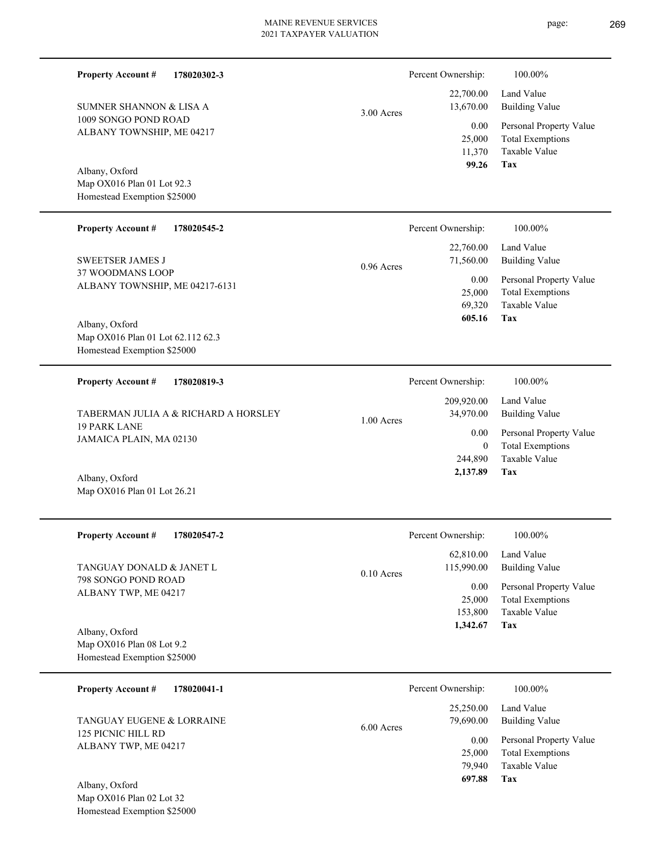Percent Ownership:  $100.00\%$ 

|            | 99.26                                    | Tax                     |
|------------|------------------------------------------|-------------------------|
|            | 11,370                                   | Taxable Value           |
|            |                                          | 25,000 Total Exemptions |
|            | $0.00\,$                                 | Personal Property Value |
| 3.00 Acres | 13,670.00                                | Building Value          |
|            |                                          | $22,700.00$ Land Value  |
|            | $\mathbf{r}$ creamed with $\mathbf{r}$ . | .                       |

**Tax**

69,320

 **605.16**

Taxable Value

Map OX016 Plan 01 Lot 92.3 Albany, Oxford

1009 SONGO POND ROAD ALBANY TOWNSHIP, ME 04217

SUMNER SHANNON & LISA A

**Property Account #**

**178020302-3**

Homestead Exemption \$25000

#### **178020545-2** Total Exemptions Personal Property Value Building Value Land Value 37 WOODMANS LOOP ALBANY TOWNSHIP, ME 04217-6131 **Property Account #** SWEETSER JAMES J 25,000 22,760.00 71,560.00 0.00 0.96 Acres Percent Ownership:  $100.00\%$

Map OX016 Plan 01 Lot 62.112 62.3 Homestead Exemption \$25000 Albany, Oxford

| <b>Property Account #</b><br>178020819-3       | Percent Ownership:                      | 100.00%                                            |
|------------------------------------------------|-----------------------------------------|----------------------------------------------------|
| TABERMAN JULIA A & RICHARD A HORSLEY           | 209,920.00<br>34,970.00<br>$1.00$ Acres | Land Value<br>Building Value                       |
| <b>19 PARK LANE</b><br>JAMAICA PLAIN, MA 02130 | 0.00                                    | Personal Property Value<br><b>Total Exemptions</b> |
|                                                | 244,890                                 | Taxable Value                                      |
| $11.$ $$ $0.$ $1.$                             | 2,137.89                                | Tax                                                |

Map OX016 Plan 01 Lot 26.21 Albany, Oxford

| <b>Property Account #</b><br>178020547-2 | Percent Ownership:<br>100.00%                       |
|------------------------------------------|-----------------------------------------------------|
|                                          | 62,810.00<br>Land Value                             |
| TANGUAY DONALD & JANET L                 | 115,990.00<br><b>Building Value</b><br>$0.10$ Acres |
| 798 SONGO POND ROAD                      | Personal Property Value<br>0.00                     |
| ALBANY TWP, ME 04217                     | <b>Total Exemptions</b><br>25,000                   |
|                                          | Taxable Value<br>153,800                            |
| Albany, Oxford                           | Tax<br>1,342.67                                     |
| Map $OX016$ Plan 08 Lot 9.2              |                                                     |
| Homestead Exemption \$25000              |                                                     |

| 178020041-1<br><b>Property Account #</b> |            | Percent Ownership: | 100.00%                 |
|------------------------------------------|------------|--------------------|-------------------------|
|                                          |            | 25,250.00          | Land Value              |
| TANGUAY EUGENE & LORRAINE                | 6.00 Acres | 79,690.00          | Building Value          |
| 125 PICNIC HILL RD                       |            | 0.00               | Personal Property Value |
| ALBANY TWP, ME 04217                     |            | 25,000             | <b>Total Exemptions</b> |
|                                          |            | 79.940             | Taxable Value           |
| Albany, Oxford                           |            | 697.88             | Tax                     |

Map OX016 Plan 02 Lot 32 Homestead Exemption \$25000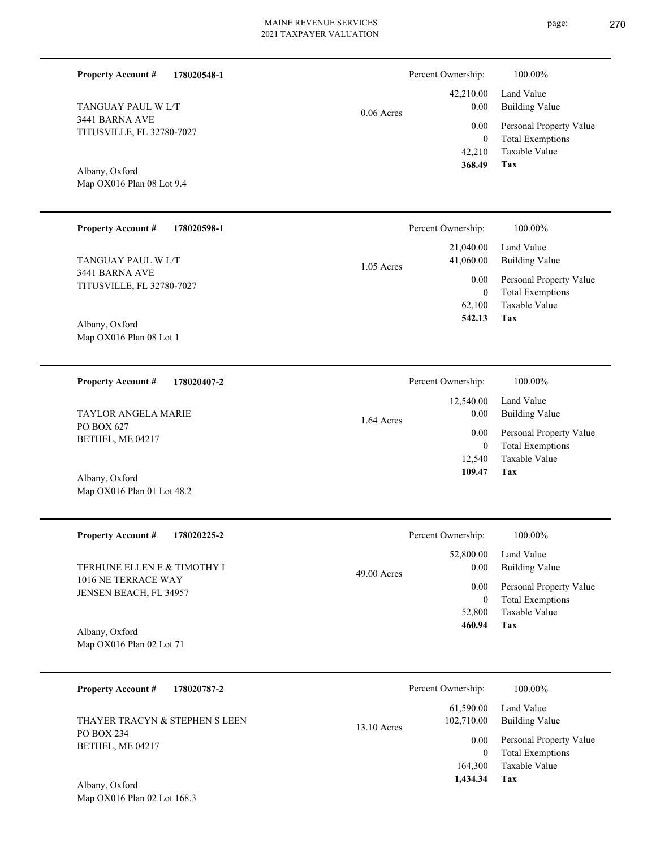42,210.00 0.00 0.00 06 Acres

|  |  | 0.0 |
|--|--|-----|
|  |  |     |
|  |  |     |

# Map OX016 Plan 08 Lot 9.4 Albany, Oxford

TITUSVILLE, FL 32780-7027

TANGUAY PAUL W L/T

3441 BARNA AVE

**Property Account #**

**178020548-1**

| <b>Property Account #</b><br>178020598-1 | Percent Ownership:        | 100.00%                 |
|------------------------------------------|---------------------------|-------------------------|
|                                          | 21,040.00                 | Land Value              |
| TANGUAY PAUL W L/T<br>3441 BARNA AVE     | 41,060.00<br>$1.05$ Acres | Building Value          |
| <b>TITUSVILLE, FL 32780-7027</b>         | 0.00                      | Personal Property Value |
|                                          | $\mathbf{0}$              | <b>Total Exemptions</b> |
|                                          | 62,100                    | Taxable Value           |
| Albany, Oxford                           | 542.13                    | Tax                     |
| Map OX016 Plan 08 Lot 1                  |                           |                         |
|                                          |                           |                         |
| <b>Property Account #</b><br>178020407-2 | Percent Ownership:        | 100.00%                 |
|                                          | 12,540.00                 | Land Value              |

1.64 Acres

PO BOX 627 BETHEL, ME 04217 TAYLOR ANGELA MARIE

Map OX016 Plan 01 Lot 48.2 Albany, Oxford

| <b>Property Account #</b><br>178020225-2      | Percent Ownership:                 | 100.00%                                            |
|-----------------------------------------------|------------------------------------|----------------------------------------------------|
| TERHUNE ELLEN E & TIMOTHY I                   | 52,800.00<br>0.00<br>$49.00$ Acres | Land Value<br><b>Building Value</b>                |
| 1016 NE TERRACE WAY<br>JENSEN BEACH, FL 34957 | 0.00<br>0                          | Personal Property Value<br><b>Total Exemptions</b> |
|                                               | 52,800                             | Taxable Value                                      |
| Albany, Oxford                                | 460.94                             | Tax                                                |
| Map $OX016$ Plan 02 Lot 71                    |                                    |                                                    |

| 178020787-2<br><b>Property Account #</b>     | Percent Ownership:                       | 100.00%                                            |
|----------------------------------------------|------------------------------------------|----------------------------------------------------|
| THAYER TRACYN & STEPHEN S LEEN               | 61,590.00<br>102,710.00<br>$13.10$ Acres | Land Value<br><b>Building Value</b>                |
| PO BOX 234<br>BETHEL, ME 04217               | 0.00<br>0                                | Personal Property Value<br><b>Total Exemptions</b> |
|                                              | 164,300                                  | Taxable Value                                      |
| $\lambda$ 11 $\lambda$ $\lambda$ $\lambda$ 1 | 1.434.34                                 | Tax                                                |

Map OX016 Plan 02 Lot 168.3 Albany, Oxford

**Tax**

**Tax**

 12,540 0

 0.00 0.00

 **109.47**

Taxable Value Total Exemptions Personal Property Value

Building Value

 42,210 0

Percent Ownership:  $100.00\%$ 

 **368.49**

Taxable Value Total Exemptions Personal Property Value

Building Value Land Value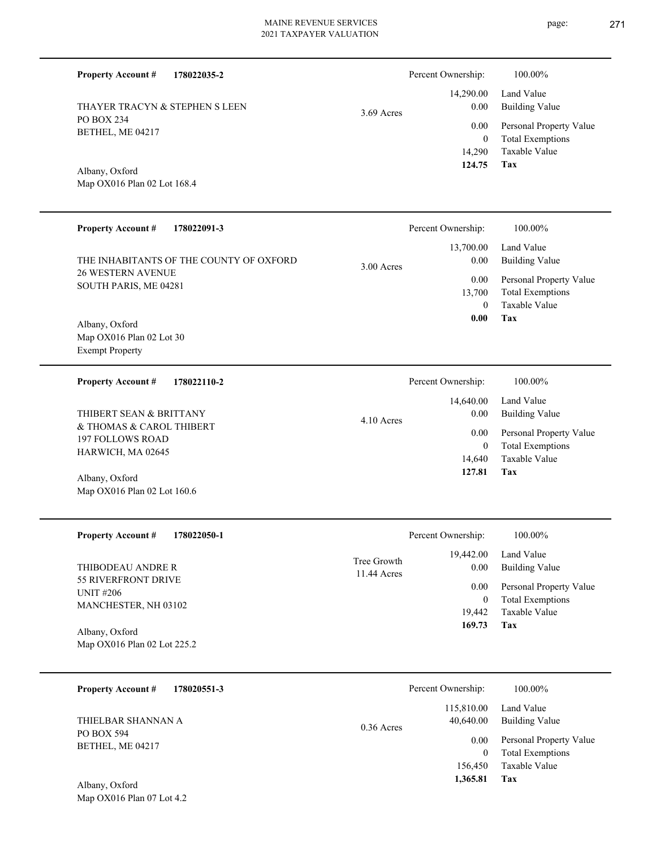**178022035-2 Tax** Taxable Value Total Exemptions Personal Property Value Building Value Land Value PO BOX 234 BETHEL, ME 04217 **Property Account #** Map OX016 Plan 02 Lot 168.4 Albany, Oxford THAYER TRACYN & STEPHEN S LEEN 14,290 0  **124.75** 14,290.00 0.00 0.00 3.69 Acres Percent Ownership:  $100.00\%$ 

| <b>Property Account #</b><br>178022091-3                                                     |             | Percent Ownership:                                      | 100.00%                                                                                                           |  |
|----------------------------------------------------------------------------------------------|-------------|---------------------------------------------------------|-------------------------------------------------------------------------------------------------------------------|--|
| THE INHABITANTS OF THE COUNTY OF OXFORD<br><b>26 WESTERN AVENUE</b><br>SOUTH PARIS, ME 04281 | 3.00 Acres  | 13,700.00<br>0.00<br>0.00<br>13,700<br>$\theta$<br>0.00 | Land Value<br><b>Building Value</b><br>Personal Property Value<br><b>Total Exemptions</b><br>Taxable Value<br>Tax |  |
| Albany, Oxford<br>Map OX016 Plan 02 Lot 30                                                   |             |                                                         |                                                                                                                   |  |
| <b>Exempt Property</b>                                                                       |             |                                                         |                                                                                                                   |  |
| <b>Property Account #</b><br>178022110-2                                                     |             | Percent Ownership:                                      | 100.00%                                                                                                           |  |
| THIBERT SEAN & BRITTANY                                                                      | 4.10 Acres  | 14,640.00<br>0.00                                       | Land Value<br><b>Building Value</b>                                                                               |  |
| & THOMAS & CAROL THIBERT<br><b>197 FOLLOWS ROAD</b>                                          |             | 0.00                                                    | Personal Property Value                                                                                           |  |
| HARWICH, MA 02645                                                                            |             | $\theta$                                                | <b>Total Exemptions</b>                                                                                           |  |
|                                                                                              |             | 14,640<br>127.81                                        | Taxable Value<br><b>Tax</b>                                                                                       |  |
| Albany, Oxford<br>Map OX016 Plan 02 Lot 160.6                                                |             |                                                         |                                                                                                                   |  |
| <b>Property Account #</b><br>178022050-1                                                     |             | Percent Ownership:                                      | 100.00%                                                                                                           |  |
|                                                                                              | Tree Growth | 19,442.00                                               | Land Value                                                                                                        |  |
| THIBODEAU ANDRE R<br><b>55 RIVERFRONT DRIVE</b>                                              | 11.44 Acres | 0.00                                                    | <b>Building Value</b>                                                                                             |  |
| <b>UNIT #206</b>                                                                             |             | 0.00                                                    | Personal Property Value                                                                                           |  |
| MANCHESTER, NH 03102                                                                         |             | $\boldsymbol{0}$<br>19,442                              | <b>Total Exemptions</b><br>Taxable Value                                                                          |  |
|                                                                                              |             | 169.73                                                  | <b>Tax</b>                                                                                                        |  |
| Albany, Oxford<br>Map OX016 Plan 02 Lot 225.2                                                |             |                                                         |                                                                                                                   |  |
| 178020551-3<br><b>Property Account #</b>                                                     |             | Percent Ownership:                                      | 100.00%                                                                                                           |  |

**Tax**

 156,450  $\boldsymbol{0}$ 

0.00

 115,810.00 40,640.00

 **1,365.81**

Taxable Value Total Exemptions Personal Property Value

Building Value Land Value

| THIELBAR SHANNAN A |              |
|--------------------|--------------|
| PO BOX 594         | $0.36$ Acres |
| BETHEL, ME 04217   |              |
|                    |              |
|                    |              |

Map OX016 Plan 07 Lot 4.2 Albany, Oxford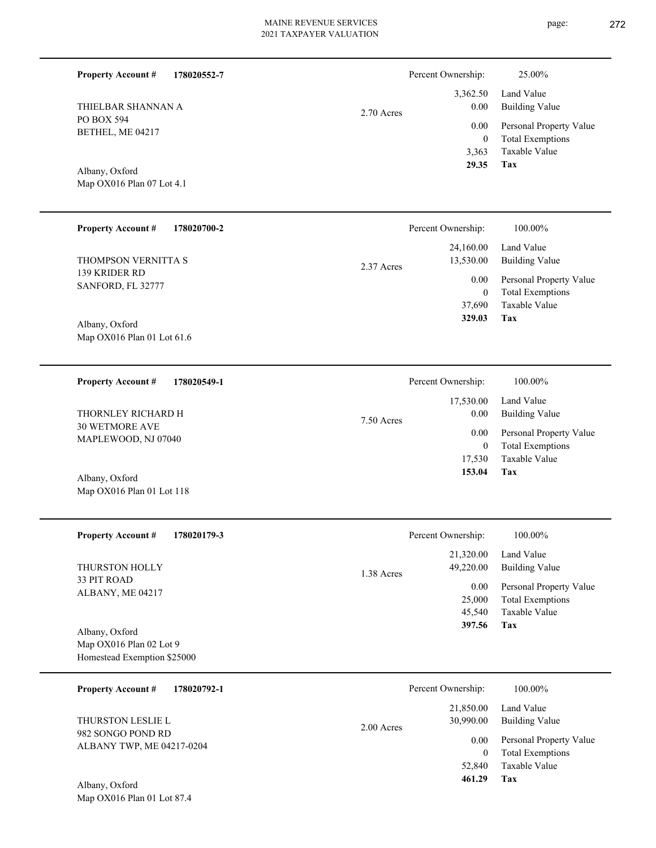| <b>Property Account #</b><br>178020552-7                                 |            | Percent Ownership:                           | 25.00%                                                                     |
|--------------------------------------------------------------------------|------------|----------------------------------------------|----------------------------------------------------------------------------|
| THIELBAR SHANNAN A<br>PO BOX 594                                         | 2.70 Acres |                                              | Land Value<br><b>Building Value</b>                                        |
| BETHEL, ME 04217                                                         |            | 0.00<br>$\boldsymbol{0}$<br>3,363            | Personal Property Value<br><b>Total Exemptions</b><br>Taxable Value        |
| Albany, Oxford<br>Map OX016 Plan 07 Lot 4.1                              |            | 29.35                                        | <b>Tax</b>                                                                 |
| <b>Property Account #</b><br>178020700-2                                 |            | Percent Ownership:                           | 100.00%                                                                    |
| THOMPSON VERNITTA S                                                      | 2.37 Acres | 24,160.00<br>13,530.00                       | Land Value<br><b>Building Value</b>                                        |
| 139 KRIDER RD<br>SANFORD, FL 32777                                       |            | 0.00<br>$\boldsymbol{0}$                     | Personal Property Value<br><b>Total Exemptions</b>                         |
| Albany, Oxford<br>Map OX016 Plan 01 Lot 61.6                             |            | 37,690<br>329.03                             | Taxable Value<br>Tax                                                       |
| 178020549-1<br><b>Property Account #</b>                                 |            | Percent Ownership:                           | 100.00%                                                                    |
| THORNLEY RICHARD H                                                       | 7.50 Acres | 17,530.00<br>0.00                            | Land Value<br><b>Building Value</b>                                        |
| <b>30 WETMORE AVE</b><br>MAPLEWOOD, NJ 07040                             |            | 0.00<br>$\boldsymbol{0}$<br>17,530           | Personal Property Value<br><b>Total Exemptions</b><br>Taxable Value        |
| Albany, Oxford<br>Map OX016 Plan 01 Lot 118                              |            | 153.04                                       | Tax                                                                        |
| <b>Property Account #</b><br>178020179-3                                 |            | Percent Ownership:                           | 100.00%                                                                    |
| THURSTON HOLLY                                                           | 1.38 Acres | 21,320.00<br>49,220.00                       | Land Value<br><b>Building Value</b>                                        |
| 33 PIT ROAD<br>ALBANY, ME 04217                                          |            | 0.00<br>25,000<br>45,540<br>397.56           | Personal Property Value<br><b>Total Exemptions</b><br>Taxable Value<br>Tax |
| Albany, Oxford<br>Map OX016 Plan 02 Lot 9<br>Homestead Exemption \$25000 |            |                                              |                                                                            |
| <b>Property Account #</b><br>178020792-1                                 |            | Percent Ownership:                           | 100.00%                                                                    |
| THURSTON LESLIE L                                                        | 2.00 Acres | 21,850.00<br>30,990.00                       | Land Value<br><b>Building Value</b>                                        |
| 982 SONGO POND RD<br>ALBANY TWP, ME 04217-0204<br>Albany, Oxford         |            | 0.00<br>$\boldsymbol{0}$<br>52,840<br>461.29 | Personal Property Value<br><b>Total Exemptions</b><br>Taxable Value<br>Tax |
| Map OX016 Plan 01 Lot 87.4                                               |            |                                              |                                                                            |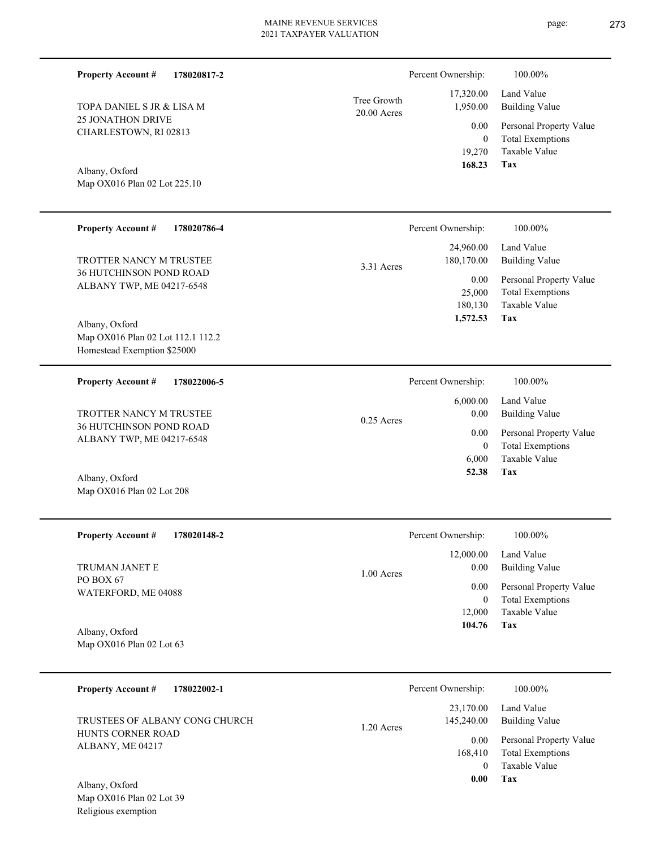| <b>Property Account #</b><br>178020817-2                                           |                              | Percent Ownership:                         | 100.00%                                                                    |
|------------------------------------------------------------------------------------|------------------------------|--------------------------------------------|----------------------------------------------------------------------------|
| TOPA DANIEL S JR & LISA M                                                          | Tree Growth<br>$20.00$ Acres | 17,320.00<br>1,950.00                      | Land Value<br><b>Building Value</b>                                        |
| <b>25 JONATHON DRIVE</b><br>CHARLESTOWN, RI 02813                                  |                              | 0.00<br>$\overline{0}$<br>19,270<br>168.23 | Personal Property Value<br><b>Total Exemptions</b><br>Taxable Value<br>Tax |
| Albany, Oxford<br>Map OX016 Plan 02 Lot 225.10                                     |                              |                                            |                                                                            |
| <b>Property Account #</b><br>178020786-4                                           |                              | Percent Ownership:                         | 100.00%                                                                    |
| TROTTER NANCY M TRUSTEE                                                            | 3.31 Acres                   | 24,960.00<br>180,170.00                    | Land Value<br><b>Building Value</b>                                        |
| <b>36 HUTCHINSON POND ROAD</b><br>ALBANY TWP, ME 04217-6548                        |                              | 0.00<br>25,000<br>180,130<br>1,572.53      | Personal Property Value<br><b>Total Exemptions</b><br>Taxable Value<br>Tax |
| Albany, Oxford<br>Map OX016 Plan 02 Lot 112.1 112.2<br>Homestead Exemption \$25000 |                              |                                            |                                                                            |
| <b>Property Account #</b><br>178022006-5                                           |                              | Percent Ownership:                         | 100.00%                                                                    |
| TROTTER NANCY M TRUSTEE                                                            | $0.25$ Acres                 | 6,000.00<br>0.00                           | Land Value<br><b>Building Value</b>                                        |
| 36 HUTCHINSON POND ROAD<br>ALBANY TWP, ME 04217-6548                               |                              | 0.00<br>$\mathbf{0}$<br>6,000<br>52.38     | Personal Property Value<br><b>Total Exemptions</b><br>Taxable Value<br>Tax |
| Albany, Oxford<br>Map OX016 Plan 02 Lot 208                                        |                              |                                            |                                                                            |
| <b>Property Account #</b><br>178020148-2                                           |                              | Percent Ownership:                         | 100.00%                                                                    |
| TRUMAN JANET E                                                                     | 1.00 Acres                   | 12,000.00<br>0.00                          | Land Value<br><b>Building Value</b>                                        |
| PO BOX 67<br>WATERFORD, ME 04088                                                   |                              | 0.00<br>$\mathbf{0}$<br>12,000<br>104.76   | Personal Property Value<br><b>Total Exemptions</b><br>Taxable Value<br>Tax |
| Albany, Oxford<br>Map OX016 Plan 02 Lot 63                                         |                              |                                            |                                                                            |
| <b>Property Account #</b><br>178022002-1                                           |                              | Percent Ownership:                         | 100.00%                                                                    |
| TRUSTEES OF ALBANY CONG CHURCH                                                     | 1.20 Acres                   | 23,170.00<br>145,240.00                    | Land Value<br><b>Building Value</b>                                        |
| HUNTS CORNER ROAD<br>ALBANY, ME 04217                                              |                              | 0.00<br>168,410<br>$\overline{0}$          | Personal Property Value<br><b>Total Exemptions</b><br>Taxable Value        |

**Tax 0.00**

Map OX016 Plan 02 Lot 39 Religious exemption Albany, Oxford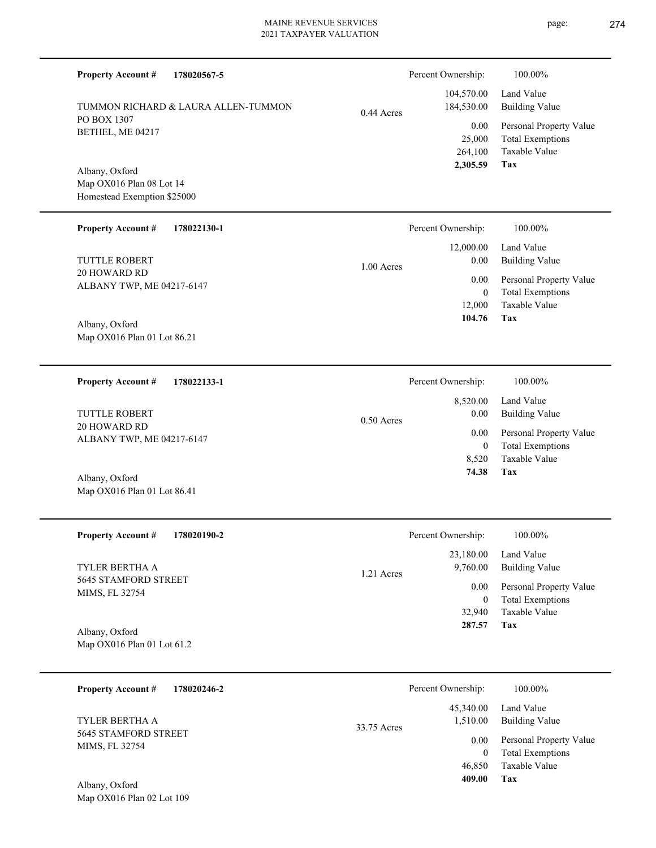| 178020567-5<br><b>Property Account #</b>                |              | Percent Ownership:       | 100.00%                                  |
|---------------------------------------------------------|--------------|--------------------------|------------------------------------------|
| TUMMON RICHARD & LAURA ALLEN-TUMMON                     |              | 104,570.00<br>184,530.00 | Land Value<br><b>Building Value</b>      |
| PO BOX 1307<br>BETHEL, ME 04217                         | $0.44$ Acres | 0.00                     | Personal Property Value                  |
|                                                         |              | 25,000<br>264,100        | <b>Total Exemptions</b><br>Taxable Value |
| Albany, Oxford                                          |              | 2,305.59                 | Tax                                      |
| Map OX016 Plan 08 Lot 14<br>Homestead Exemption \$25000 |              |                          |                                          |
|                                                         |              |                          |                                          |
| <b>Property Account #</b><br>178022130-1                |              | Percent Ownership:       | 100.00%                                  |
| <b>TUTTLE ROBERT</b>                                    |              | 12,000.00<br>0.00        | Land Value<br><b>Building Value</b>      |
| <b>20 HOWARD RD</b>                                     | $1.00$ Acres | 0.00                     | Personal Property Value                  |
| ALBANY TWP, ME 04217-6147                               |              | $\boldsymbol{0}$         | <b>Total Exemptions</b>                  |
| Albany, Oxford                                          |              | 12,000<br>104.76         | Taxable Value<br>Tax                     |
| Map OX016 Plan 01 Lot 86.21                             |              |                          |                                          |
|                                                         |              |                          |                                          |
| <b>Property Account #</b><br>178022133-1                |              | Percent Ownership:       | 100.00%                                  |
| TUTTLE ROBERT                                           |              | 8,520.00<br>0.00         | Land Value<br><b>Building Value</b>      |
| <b>20 HOWARD RD</b>                                     | $0.50$ Acres | 0.00                     | Personal Property Value                  |
| ALBANY TWP, ME 04217-6147                               |              | $\boldsymbol{0}$         | <b>Total Exemptions</b>                  |
|                                                         |              | 8,520<br>74.38           | Taxable Value<br>Tax                     |
| Albany, Oxford<br>Map OX016 Plan 01 Lot 86.41           |              |                          |                                          |
|                                                         |              |                          |                                          |
| <b>Property Account#</b><br>178020190-2                 |              | Percent Ownership:       | 100.00%                                  |
| TYLER BERTHA A                                          |              | 23,180.00<br>9,760.00    | Land Value<br><b>Building Value</b>      |
| 5645 STAMFORD STREET<br>MIMS, FL 32754                  | 1.21 Acres   | 0.00                     | Personal Property Value                  |
|                                                         |              | $\mathbf{0}$<br>32,940   | <b>Total Exemptions</b><br>Taxable Value |
| Albany, Oxford                                          |              | 287.57                   | Tax                                      |
| Map OX016 Plan 01 Lot 61.2                              |              |                          |                                          |
|                                                         |              |                          |                                          |
| <b>Property Account #</b><br>178020246-2                |              | Percent Ownership:       | 100.00%                                  |
| TYLER BERTHA A                                          | 33.75 Acres  | 45,340.00<br>1,510.00    | Land Value<br><b>Building Value</b>      |
| 5645 STAMFORD STREET<br>MIMS, FL 32754                  |              | 0.00                     | Personal Property Value                  |
|                                                         |              | $\mathbf{0}$<br>46,850   | <b>Total Exemptions</b><br>Taxable Value |

**Tax 409.00**

Map OX016 Plan 02 Lot 109 Albany, Oxford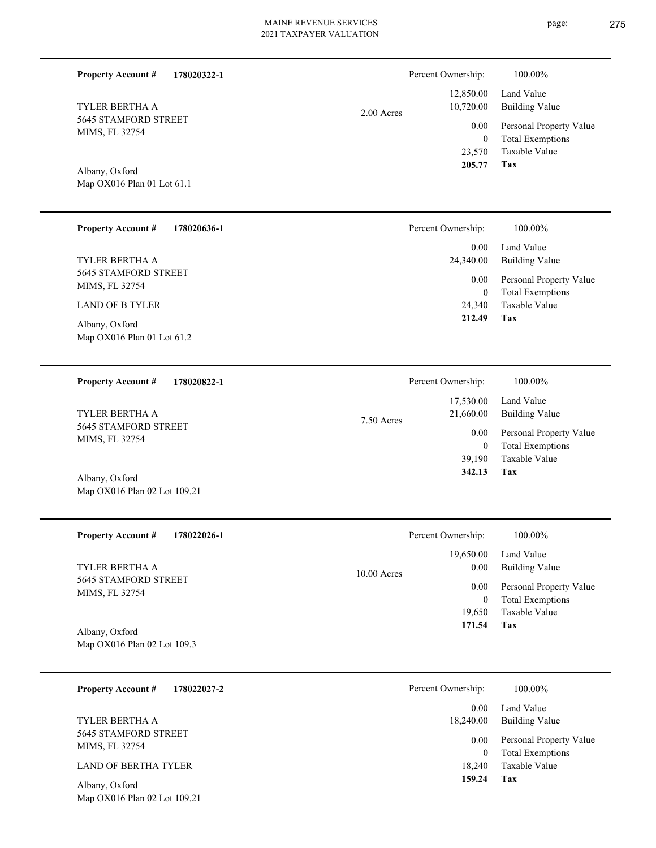| <b>Property Account #</b><br>178020322-1       |             | Percent Ownership:                           | 100.00%                                                                           |
|------------------------------------------------|-------------|----------------------------------------------|-----------------------------------------------------------------------------------|
| TYLER BERTHA A                                 | 2.00 Acres  | 12,850.00<br>10,720.00                       | Land Value<br><b>Building Value</b>                                               |
| <b>5645 STAMFORD STREET</b><br>MIMS, FL 32754  |             | 0.00<br>$\boldsymbol{0}$<br>23,570<br>205.77 | Personal Property Value<br><b>Total Exemptions</b><br>Taxable Value<br><b>Tax</b> |
| Albany, Oxford<br>Map OX016 Plan 01 Lot 61.1   |             |                                              |                                                                                   |
| <b>Property Account #</b><br>178020636-1       |             | Percent Ownership:                           | 100.00%                                                                           |
| TYLER BERTHA A                                 |             | 0.00<br>24,340.00                            | Land Value<br><b>Building Value</b>                                               |
| 5645 STAMFORD STREET<br>MIMS, FL 32754         |             | 0.00<br>$\overline{0}$                       | Personal Property Value<br><b>Total Exemptions</b>                                |
| <b>LAND OF B TYLER</b><br>Albany, Oxford       |             | 24,340<br>212.49                             | Taxable Value<br><b>Tax</b>                                                       |
| Map OX016 Plan 01 Lot 61.2                     |             |                                              |                                                                                   |
| <b>Property Account #</b><br>178020822-1       |             | Percent Ownership:                           | 100.00%                                                                           |
| TYLER BERTHA A                                 | 7.50 Acres  | 17,530.00<br>21,660.00                       | Land Value<br><b>Building Value</b>                                               |
| 5645 STAMFORD STREET<br>MIMS, FL 32754         |             | 0.00<br>$\overline{0}$                       | Personal Property Value<br><b>Total Exemptions</b>                                |
| Albany, Oxford                                 |             | 39,190<br>342.13                             | Taxable Value<br>Tax                                                              |
| Map OX016 Plan 02 Lot 109.21                   |             |                                              |                                                                                   |
| 178022026-1<br><b>Property Account #</b>       |             | Percent Ownership:                           | 100.00%                                                                           |
| TYLER BERTHA A                                 | 10.00 Acres | 19,650.00<br>0.00                            | Land Value<br><b>Building Value</b>                                               |
| 5645 STAMFORD STREET<br>MIMS, FL 32754         |             | 0.00<br>$\mathbf{0}$                         | Personal Property Value<br><b>Total Exemptions</b>                                |
|                                                |             | 19,650<br>171.54                             | Taxable Value<br>Tax                                                              |
| Albany, Oxford<br>Map OX016 Plan 02 Lot 109.3  |             |                                              |                                                                                   |
| <b>Property Account #</b><br>178022027-2       |             | Percent Ownership:                           | 100.00%                                                                           |
| TYLER BERTHA A                                 |             | 0.00<br>18,240.00                            | Land Value<br><b>Building Value</b>                                               |
| 5645 STAMFORD STREET<br>MIMS, FL 32754         |             | 0.00<br>$\overline{0}$                       | Personal Property Value<br><b>Total Exemptions</b>                                |
| <b>LAND OF BERTHA TYLER</b>                    |             | 18,240<br>159.24                             | Taxable Value<br><b>Tax</b>                                                       |
| Albany, Oxford<br>Map OX016 Plan 02 Lot 109.21 |             |                                              |                                                                                   |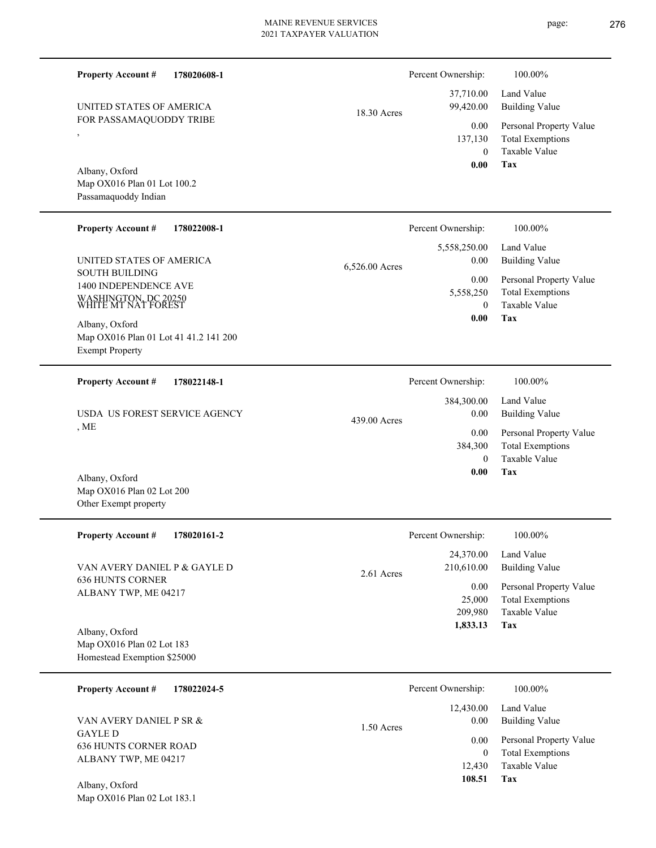**178020608-1** FOR PASSAMAQUODDY TRIBE 0 137,130  **0.00** 37,710.00 99,420.00 0.00 18.30 Acres Percent Ownership: **178022008-1** Map OX016 Plan 01 Lot 41 41.2 141 200 5,558,250  **0.00** 5,558,250.00 0.00 6,526.00 Acres Percent Ownership:  $100.00\%$ **178022148-1** Percent Ownership:  $100.00\%$ 

439.00 Acres

, ME USDA US FOREST SERVICE AGENCY

Map OX016 Plan 02 Lot 200 Other Exempt property Albany, Oxford

,

**Property Account #**

Albany, Oxford

SOUTH BUILDING

Exempt Property

**Property Account #**

Albany, Oxford

**Property Account #**

1400 INDEPENDENCE AVE WASHINGTON, DC 20250 WHITE MT NAT FOREST

UNITED STATES OF AMERICA

Map OX016 Plan 01 Lot 100.2 Passamaquoddy Indian

UNITED STATES OF AMERICA

| <b>Property Account #</b><br>178020161-2                                   | Percent Ownership:                    | 100.00%                                                             |  |
|----------------------------------------------------------------------------|---------------------------------------|---------------------------------------------------------------------|--|
| VAN AVERY DANIEL P & GAYLE D                                               | 24,370.00<br>210,610.00<br>2.61 Acres | Land Value<br>Building Value                                        |  |
| <b>636 HUNTS CORNER</b><br>ALBANY TWP, ME 04217                            | 0.00<br>25,000<br>209,980             | Personal Property Value<br><b>Total Exemptions</b><br>Taxable Value |  |
| Albany, Oxford<br>Map OX016 Plan 02 Lot 183<br>Homestead Exemption \$25000 | 1,833.13                              | Tax                                                                 |  |
| 178022024-5<br><b>Property Account #</b>                                   | Percent Ownership:                    | 100.00%                                                             |  |

| $110px1y$ Account $\pi$ $1100220275$ |              | T CICCIN OWNCLOTIC. | 100.0070                |
|--------------------------------------|--------------|---------------------|-------------------------|
|                                      |              | 12,430.00           | Land Value              |
| VAN AVERY DANIEL P SR &              | $1.50$ Acres | 0.00                | <b>Building Value</b>   |
| GAYLE D<br>636 HUNTS CORNER ROAD     |              | 0.00 <sub>1</sub>   | Personal Property Value |
| ALBANY TWP, ME 04217                 |              | 0                   | Total Exemptions        |
|                                      |              | 12.430              | Taxable Value           |
| Albany, Oxford                       |              | 108.51              | Tax                     |

Map OX016 Plan 02 Lot 183.1

| 100.00% |  |  |
|---------|--|--|

Land Value

**Tax** Taxable Value Total Exemptions Personal Property Value Building Value 0 0.00

**Tax**

Taxable Value Total Exemptions Personal Property Value

Building Value Land Value

**Tax** Taxable Value Total Exemptions Personal Property Value Building Value Land Value 0 384,300  **0.00** 384,300.00 0.00 0.00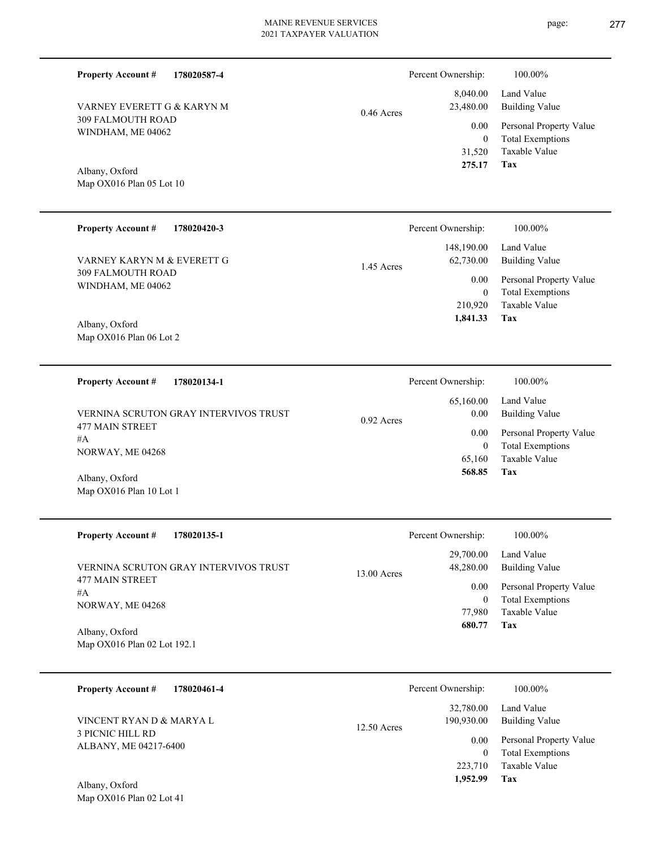|  |  |  | 31,520 |
|--|--|--|--------|
|  |  |  | 275.17 |
|  |  |  |        |
|  |  |  |        |
|  |  |  |        |

0.46 Acres

| <b>Property Account #</b><br>178020420-3 |            | Percent Ownership: | 100.00%                 |  |
|------------------------------------------|------------|--------------------|-------------------------|--|
|                                          |            | 148,190.00         | Land Value              |  |
| VARNEY KARYN M & EVERETT G               | 1.45 Acres | 62,730.00          | Building Value          |  |
| 309 FALMOUTH ROAD<br>WINDHAM, ME 04062   |            | 0.00 <sub>1</sub>  | Personal Property Value |  |
|                                          |            | $\Omega$           | <b>Total Exemptions</b> |  |
|                                          |            | 210.920            | Taxable Value           |  |
| $\sqrt{11}$ $\sqrt{2}$ $\sqrt{1}$        |            | 1,841.33           | Tax                     |  |

Map OX016 Plan 06 Lot 2 Albany, Oxford

309 FALMOUTH ROAD WINDHAM, ME 04062

VARNEY EVERETT G & KARYN M

Map OX016 Plan 05 Lot 10

Albany, Oxford

**Property Account #**

**178020587-4**

**178020134-1 Tax** Taxable Value Total Exemptions Personal Property Value Building Value Land Value 477 MAIN STREET #A NORWAY, ME 04268 **Property Account #** Map OX016 Plan 10 Lot 1 Albany, Oxford VERNINA SCRUTON GRAY INTERVIVOS TRUST 65,160 0  **568.85** 65,160.00 0.00 0.00 0.92 Acres Percent Ownership:  $100.00\%$ 

| <b>Property Account #</b><br>178020135-1                                 | Percent Ownership:                              | 100.00%                                                                            |
|--------------------------------------------------------------------------|-------------------------------------------------|------------------------------------------------------------------------------------|
| VERNINA SCRUTON GRAY INTERVIVOS TRUST<br><b>477 MAIN STREET</b><br># $A$ | 29,700.00<br>48,280.00<br>$13.00$ Acres<br>0.00 | Land Value<br>Building Value<br>Personal Property Value<br><b>Total Exemptions</b> |
| NORWAY, ME 04268<br>Albany, Oxford                                       | 77,980<br>680.77                                | Taxable Value<br>Tax                                                               |
| Map OX016 Plan 02 Lot 192.1                                              |                                                 |                                                                                    |

| <b>Property Account #</b><br>178020461-4         | Percent Ownership:                       | 100.00%                                            |
|--------------------------------------------------|------------------------------------------|----------------------------------------------------|
| VINCENT RYAN D & MARYA L                         | 32,780.00<br>190,930.00<br>$12.50$ Acres | Land Value<br>Building Value                       |
| <b>3 PICNIC HILL RD</b><br>ALBANY, ME 04217-6400 | 0.00<br>0                                | Personal Property Value<br><b>Total Exemptions</b> |
| Albany, Oxford                                   | 223,710<br>1,952.99                      | Taxable Value<br>Tax                               |

page: 277

| 21.3.11            | тал.                                |  |
|--------------------|-------------------------------------|--|
|                    |                                     |  |
| ership:            | 100.00%                             |  |
| ,190.00<br>,730.00 | Land Value<br><b>Building Value</b> |  |

Taxable Value Total Exemptions Personal Property Value

Building Value Land Value

**Tax**

0

0.00

 8,040.00 23,480.00

Percent Ownership:  $100.00\%$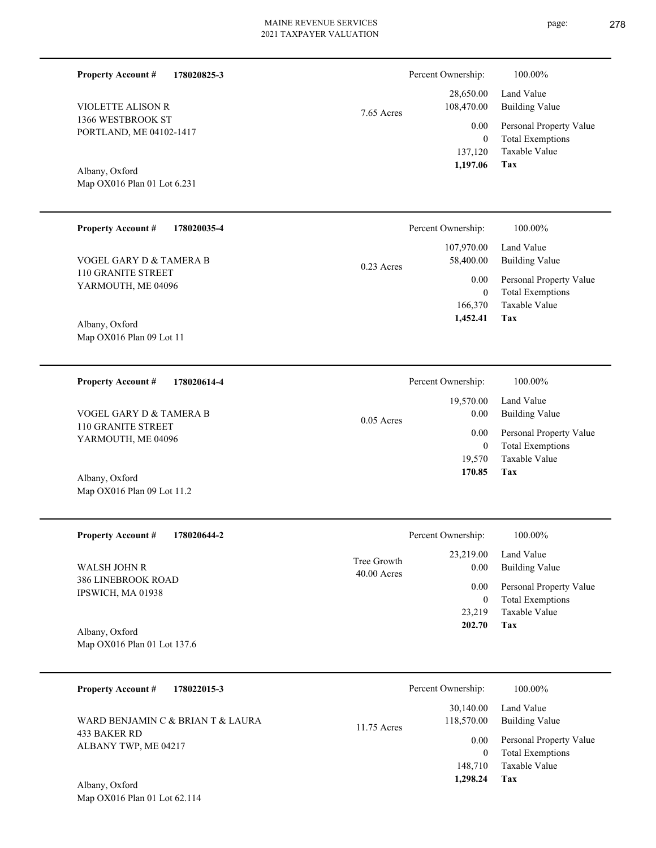| <b>Property Account #</b><br>178020825-3                   |              | Percent Ownership:      | 100.00%                                            |
|------------------------------------------------------------|--------------|-------------------------|----------------------------------------------------|
| <b>VIOLETTE ALISON R</b>                                   |              | 28,650.00<br>108,470.00 | Land Value<br><b>Building Value</b>                |
| 7.65 Acres<br>1366 WESTBROOK ST<br>PORTLAND, ME 04102-1417 |              | 0.00<br>$\mathbf{0}$    | Personal Property Value<br><b>Total Exemptions</b> |
|                                                            |              | 137,120<br>1,197.06     | Taxable Value<br>Tax                               |
| Albany, Oxford<br>Map OX016 Plan 01 Lot 6.231              |              |                         |                                                    |
|                                                            |              |                         |                                                    |
| <b>Property Account #</b><br>178020035-4                   |              | Percent Ownership:      | 100.00%                                            |
| VOGEL GARY D & TAMERA B<br>110 GRANITE STREET              | $0.23$ Acres | 107,970.00<br>58,400.00 | Land Value<br><b>Building Value</b>                |
| YARMOUTH, ME 04096                                         |              | 0.00<br>$\mathbf{0}$    | Personal Property Value<br><b>Total Exemptions</b> |
|                                                            |              | 166,370<br>1,452.41     | Taxable Value<br>Tax                               |
| Albany, Oxford<br>Map OX016 Plan 09 Lot 11                 |              |                         |                                                    |
|                                                            |              |                         |                                                    |
| <b>Property Account #</b><br>178020614-4                   |              | Percent Ownership:      | 100.00%                                            |
|                                                            |              | 19,570.00               | Land Value                                         |
| VOGEL GARY D & TAMERA B<br>110 GRANITE STREET              | $0.05$ Acres | 0.00                    | <b>Building Value</b>                              |
| YARMOUTH, ME 04096                                         |              | 0.00<br>$\mathbf{0}$    | Personal Property Value<br><b>Total Exemptions</b> |
|                                                            |              | 19,570                  | Taxable Value                                      |
| Albany, Oxford                                             |              | 170.85                  | Tax                                                |
| Map OX016 Plan 09 Lot 11.2                                 |              |                         |                                                    |
| <b>Property Account #</b><br>178020644-2                   |              | Percent Ownership:      | 100.00%                                            |
|                                                            | Tree Growth  | 23,219.00               | Land Value                                         |
| <b>WALSH JOHN R</b><br>386 LINEBROOK ROAD                  | 40.00 Acres  | 0.00                    | <b>Building Value</b>                              |
| IPSWICH, MA 01938                                          |              | 0.00<br>$\mathbf{0}$    | Personal Property Value<br><b>Total Exemptions</b> |
|                                                            |              | 23,219                  | Taxable Value                                      |
| Albany, Oxford                                             |              | 202.70                  | Tax                                                |
| Map OX016 Plan 01 Lot 137.6                                |              |                         |                                                    |
| <b>Property Account #</b><br>178022015-3                   |              | Percent Ownership:      | 100.00%                                            |
| WARD BENJAMIN C & BRIAN T & LAURA                          |              | 30,140.00<br>118,570.00 | Land Value<br><b>Building Value</b>                |
| 433 BAKER RD                                               | 11.75 Acres  | 0.00                    | Personal Property Value                            |
| ALBANY TWP, ME 04217                                       |              | $\mathbf{0}$            | <b>Total Exemptions</b>                            |
| Albany Oxford                                              |              | 148,710<br>1,298.24     | Taxable Value<br><b>Tax</b>                        |
|                                                            |              |                         |                                                    |

Map OX016 Plan 01 Lot 62.114 Albany, Oxford

- 
-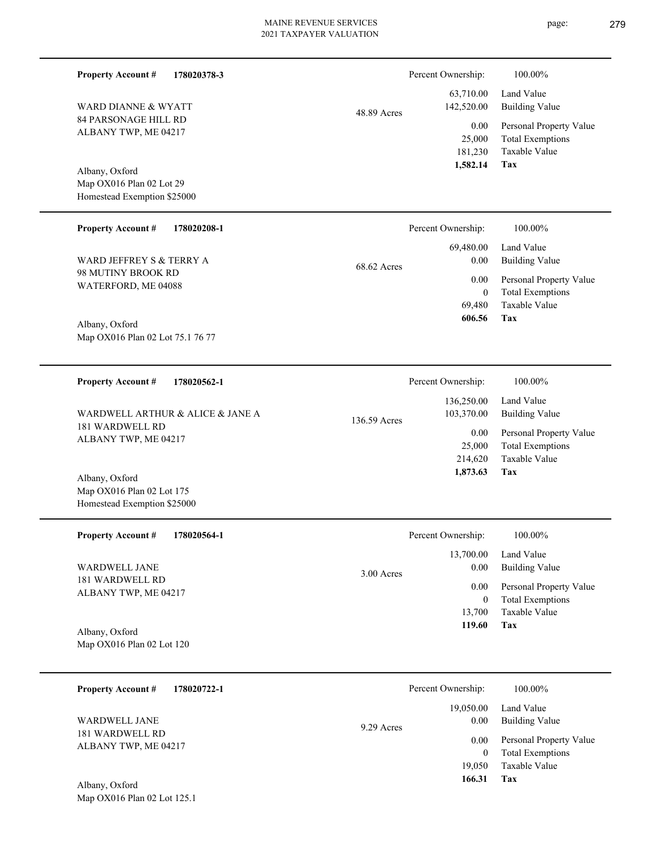|             | Percent Ownership: | 100.00%                 |
|-------------|--------------------|-------------------------|
|             | 63,710.00          | Land Value              |
| 48.89 Acres | 142,520.00         | Building Value          |
|             | 0.00               | Personal Property Value |
|             | 25,000             | <b>Total Exemptions</b> |
|             | 181,230            | Taxable Value           |
|             | 1,582.14           | Tax                     |

Map OX016 Plan 02 Lot 29 Homestead Exemption \$25000 Albany, Oxford

84 PARSONAGE HILL RD ALBANY TWP, ME 04217

WARD DIANNE & WYATT

**Property Account #**

**178020378-3**

#### **178020208-1 Tax** Taxable Value Total Exemptions Personal Property Value Building Value Land Value 98 MUTINY BROOK RD WATERFORD, ME 04088 **Property Account #** Albany, Oxford WARD JEFFREY S & TERRY A 69,480  $\boldsymbol{0}$  **606.56** 69,480.00 0.00 0.00 68.62 Acres Percent Ownership:  $100.00\%$

Map OX016 Plan 02 Lot 75.1 76 77

Homestead Exemption \$25000

| 178020562-1<br><b>Property Account #</b>                                    |              | Percent Ownership:       | 100.00%                      |
|-----------------------------------------------------------------------------|--------------|--------------------------|------------------------------|
| WARDWELL ARTHUR & ALICE & JANE A<br>181 WARDWELL RD<br>ALBANY TWP, ME 04217 | 136.59 Acres | 136,250.00<br>103,370.00 | Land Value<br>Building Value |
|                                                                             |              | 0.00                     | Personal Property Value      |
|                                                                             |              | 25,000                   | <b>Total Exemptions</b>      |
|                                                                             |              | 214,620                  | Taxable Value                |
| Albany, Oxford<br>Map OX016 Plan 02 Lot 175                                 |              | 1,873.63                 | Tax                          |

| <b>Property Account #</b><br>178020564-1 | Percent Ownership: | 100.00%                 |
|------------------------------------------|--------------------|-------------------------|
|                                          | 13,700.00          | Land Value              |
| WARDWELL JANE                            | 0.00<br>3.00 Acres | <b>Building Value</b>   |
| 181 WARDWELL RD<br>ALBANY TWP, ME 04217  | 0.00               | Personal Property Value |
|                                          | $\overline{0}$     | <b>Total Exemptions</b> |
|                                          | 13.700             | Taxable Value           |
| Albany, Oxford                           | 119.60             | Tax                     |
| Map $OX016$ Plan 02 Lot 120              |                    |                         |

| 178020722-1<br><b>Property Account #</b> | Percent Ownership:              | 100.00%                                            |
|------------------------------------------|---------------------------------|----------------------------------------------------|
| <b>WARDWELL JANE</b>                     | 19,050.00<br>0.00<br>9.29 Acres | Land Value<br><b>Building Value</b>                |
| 181 WARDWELL RD<br>ALBANY TWP, ME 04217  | 0.00<br>$\boldsymbol{0}$        | Personal Property Value<br><b>Total Exemptions</b> |
| Albany, Oxford                           | 19,050<br>166.31                | Taxable Value<br>Tax                               |

Map OX016 Plan 02 Lot 125.1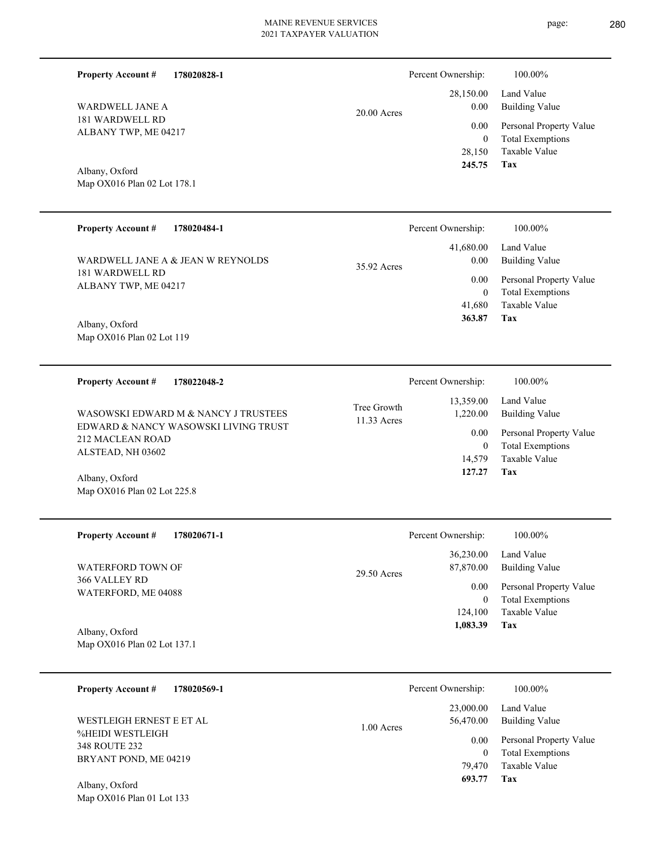Land Value

28,150.00

Percent Ownership:  $100.00\%$ 

| <b>WARDWELL JANE A</b><br>181 WARDWELL RD<br>ALBANY TWP, ME 04217<br>Albany, Oxford<br>Map OX016 Plan 02 Lot 178.1<br><b>Property Account #</b><br>178020484-1<br>WARDWELL JANE A & JEAN W REYNOLDS<br>181 WARDWELL RD<br>ALBANY TWP, ME 04217 | 20.00 Acres<br>35.92 Acres | 0.00<br>0.00<br>$\boldsymbol{0}$<br>28,150<br>245.75<br>Percent Ownership:<br>41,680.00<br>0.00<br>0.00<br>$\boldsymbol{0}$ | <b>Building Value</b><br>Personal Property Value<br><b>Total Exemptions</b><br>Taxable Value<br>Tax<br>100.00%<br>Land Value<br><b>Building Value</b><br>Personal Property Value<br><b>Total Exemptions</b> |
|------------------------------------------------------------------------------------------------------------------------------------------------------------------------------------------------------------------------------------------------|----------------------------|-----------------------------------------------------------------------------------------------------------------------------|-------------------------------------------------------------------------------------------------------------------------------------------------------------------------------------------------------------|
| Albany, Oxford<br>Map OX016 Plan 02 Lot 119                                                                                                                                                                                                    |                            | 41,680<br>363.87                                                                                                            | Taxable Value<br>Tax                                                                                                                                                                                        |
| 178022048-2<br><b>Property Account #</b><br>WASOWSKI EDWARD M & NANCY J TRUSTEES<br>EDWARD & NANCY WASOWSKI LIVING TRUST<br>212 MACLEAN ROAD<br>ALSTEAD, NH 03602<br>Albany, Oxford<br>Map OX016 Plan 02 Lot 225.8                             | Tree Growth<br>11.33 Acres | Percent Ownership:<br>13,359.00<br>1,220.00<br>0.00<br>$\mathbf{0}$<br>14,579<br>127.27                                     | 100.00%<br>Land Value<br><b>Building Value</b><br>Personal Property Value<br><b>Total Exemptions</b><br>Taxable Value<br>Tax                                                                                |
| <b>Property Account #</b><br>178020671-1<br>WATERFORD TOWN OF<br>366 VALLEY RD<br>WATERFORD, ME 04088<br>Albany, Oxford<br>Map OX016 Plan 02 Lot 137.1                                                                                         | $29.50$ Acres              | Percent Ownership:<br>36,230.00<br>87,870.00<br>0.00<br>$\boldsymbol{0}$<br>124,100<br>1,083.39                             | 100.00%<br>Land Value<br><b>Building Value</b><br>Personal Property Value<br><b>Total Exemptions</b><br>Taxable Value<br>Tax                                                                                |
| <b>Property Account #</b><br>178020569-1<br>WESTLEIGH ERNEST E ET AL<br>%HEIDI WESTLEIGH<br>348 ROUTE 232<br>BRYANT POND, ME 04219<br>Albany, Oxford<br>Map OX016 Plan 01 Lot 133                                                              | 1.00 Acres                 | Percent Ownership:<br>23,000.00<br>56,470.00<br>0.00<br>$\boldsymbol{0}$<br>79,470<br>693.77                                | 100.00%<br>Land Value<br><b>Building Value</b><br>Personal Property Value<br><b>Total Exemptions</b><br>Taxable Value<br>Tax                                                                                |

## **178020828-1 Property Account #**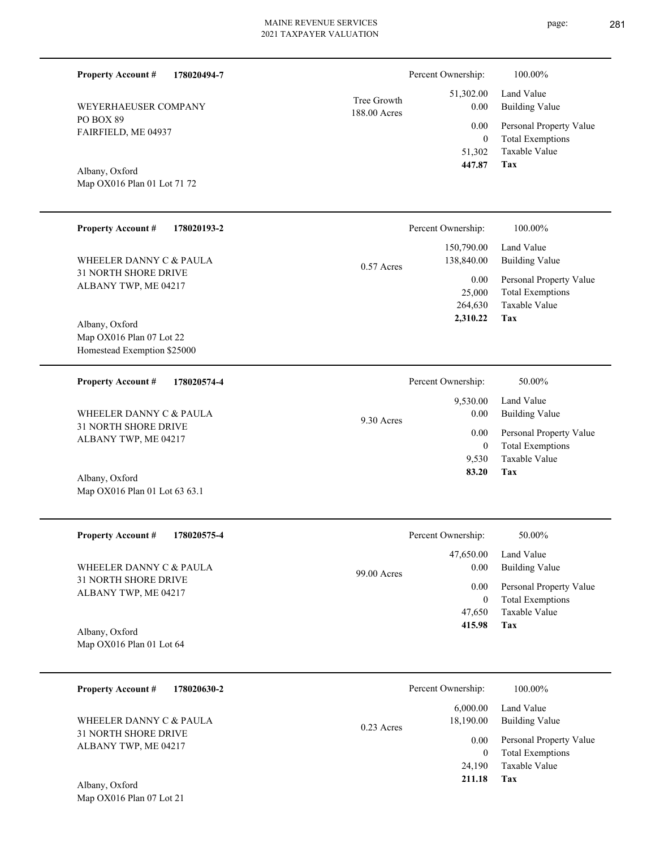| <b>Property Account #</b><br>178020494-7            |                   | Percent Ownership:                  | 100.00%                                         |
|-----------------------------------------------------|-------------------|-------------------------------------|-------------------------------------------------|
| Tree Growth<br>WEYERHAEUSER COMPANY<br>188.00 Acres | 51,302.00<br>0.00 | Land Value<br><b>Building Value</b> |                                                 |
| PO BOX 89<br>FAIRFIELD, ME 04937                    |                   | 0.00                                | Personal Property Value                         |
| Albany, Oxford                                      |                   | $\overline{0}$<br>51,302<br>447.87  | <b>Total Exemptions</b><br>Taxable Value<br>Tax |
| Map OX016 Plan 01 Lot 71 72                         |                   |                                     |                                                 |
| <b>Property Account #</b><br>178020193-2            |                   | Percent Ownership:                  | 100.00%                                         |
| WHEELER DANNY C & PAULA                             | $0.57$ Acres      | 150,790.00<br>138,840.00            | Land Value<br><b>Building Value</b>             |
| 31 NORTH SHORE DRIVE<br>ALBANY TWP, ME 04217        |                   | 0.00                                | Personal Property Value                         |
|                                                     |                   | 25,000<br>264,630                   | <b>Total Exemptions</b><br>Taxable Value        |
| Albany, Oxford<br>Map OX016 Plan 07 Lot 22          |                   | 2,310.22                            | Tax                                             |
| Homestead Exemption \$25000                         |                   |                                     |                                                 |
| <b>Property Account #</b><br>178020574-4            |                   | Percent Ownership:                  | 50.00%                                          |
| WHEELER DANNY C & PAULA                             |                   | 9,530.00<br>0.00                    | Land Value<br><b>Building Value</b>             |
| 31 NORTH SHORE DRIVE<br>ALBANY TWP, ME 04217        | 9.30 Acres        | 0.00                                | Personal Property Value                         |
|                                                     |                   | $\mathbf{0}$<br>9,530               | <b>Total Exemptions</b><br><b>Taxable Value</b> |
| Albany, Oxford<br>Map OX016 Plan 01 Lot 63 63.1     |                   | 83.20                               | Tax                                             |
|                                                     |                   |                                     |                                                 |
| <b>Property Account #</b><br>178020575-4            |                   | Percent Ownership:                  | 50.00%                                          |
| WHEELER DANNY C & PAULA                             |                   | 47,650.00<br>0.00                   | Land Value<br><b>Building Value</b>             |
| 31 NORTH SHORE DRIVE<br>ALBANY TWP, ME 04217        | 99.00 Acres       | 0.00                                | Personal Property Value                         |
|                                                     |                   | $\mathbf{0}$<br>47,650              | <b>Total Exemptions</b><br>Taxable Value        |
| Albany, Oxford                                      |                   | 415.98                              | Tax                                             |
| Map OX016 Plan 01 Lot 64                            |                   |                                     |                                                 |
| <b>Property Account #</b><br>178020630-2            |                   | Percent Ownership:                  | 100.00%                                         |
| WHEELER DANNY C & PAULA                             | 0.23 Acres        | 6,000.00<br>18,190.00               | Land Value<br><b>Building Value</b>             |
| 31 NORTH SHORE DRIVE<br>ALBANY TWP, ME 04217        | 0.00              | Personal Property Value             |                                                 |
|                                                     |                   | $\mathbf{0}$<br>24,190              | <b>Total Exemptions</b><br>Taxable Value        |

**Tax 211.18**

Map OX016 Plan 07 Lot 21 Albany, Oxford

page: 281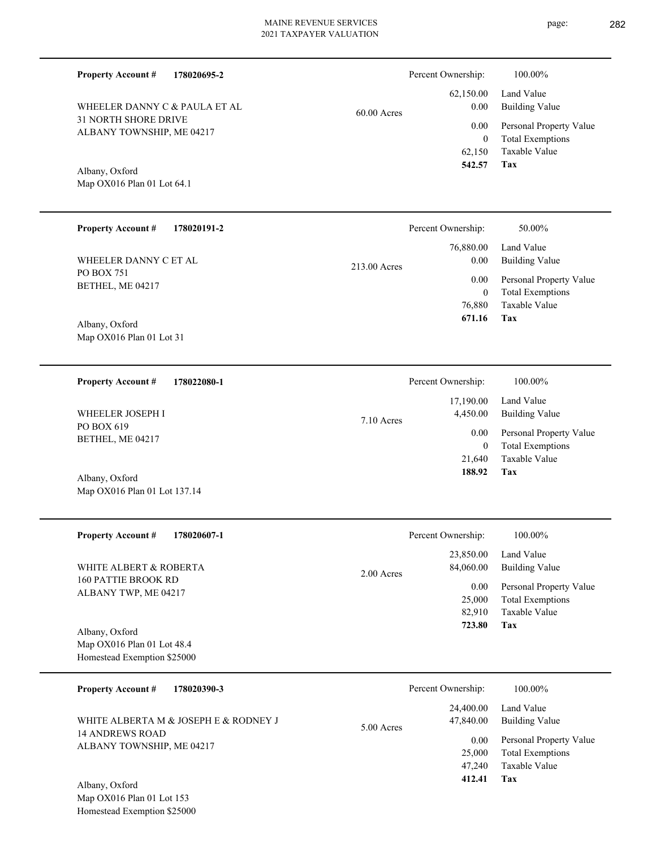**178020695-2**

**Property Account #**

page: 282

Percent Ownership:  $100.00\%$ 

**Tax 412.41**

| WHEELER DANNY C & PAULA ET AL<br><b>31 NORTH SHORE DRIVE</b><br>ALBANY TOWNSHIP, ME 04217<br>Albany, Oxford<br>Map OX016 Plan 01 Lot 64.1 | 60.00 Acres  | 62,150.00<br>0.00<br>0.00<br>$\boldsymbol{0}$<br>62,150<br>542.57 | Land Value<br><b>Building Value</b><br>Personal Property Value<br><b>Total Exemptions</b><br>Taxable Value<br>Tax |
|-------------------------------------------------------------------------------------------------------------------------------------------|--------------|-------------------------------------------------------------------|-------------------------------------------------------------------------------------------------------------------|
| <b>Property Account #</b><br>178020191-2                                                                                                  |              | Percent Ownership:                                                | 50.00%                                                                                                            |
| WHEELER DANNY C ET AL<br>PO BOX 751<br>BETHEL, ME 04217<br>Albany, Oxford<br>Map OX016 Plan 01 Lot 31                                     | 213.00 Acres | 76,880.00<br>0.00<br>0.00<br>$\mathbf{0}$<br>76,880<br>671.16     | Land Value<br><b>Building Value</b><br>Personal Property Value<br><b>Total Exemptions</b><br>Taxable Value<br>Tax |
| 178022080-1<br><b>Property Account #</b>                                                                                                  |              | Percent Ownership:                                                | 100.00%                                                                                                           |
| WHEELER JOSEPH I<br>PO BOX 619                                                                                                            | 7.10 Acres   | 17,190.00<br>4,450.00                                             | Land Value<br><b>Building Value</b>                                                                               |
| BETHEL, ME 04217                                                                                                                          |              | 0.00<br>$\mathbf{0}$<br>21,640<br>188.92                          | Personal Property Value<br><b>Total Exemptions</b><br>Taxable Value<br>Tax                                        |
| Albany, Oxford<br>Map OX016 Plan 01 Lot 137.14                                                                                            |              |                                                                   |                                                                                                                   |
| <b>Property Account #</b><br>178020607-1                                                                                                  |              | Percent Ownership:                                                | 100.00%                                                                                                           |
| WHITE ALBERT & ROBERTA                                                                                                                    |              | 23,850.00<br>84,060.00                                            | Land Value<br><b>Building Value</b>                                                                               |
| <b>160 PATTIE BROOK RD</b><br>ALBANY TWP, ME 04217<br>Albany, Oxford<br>Map OX016 Plan 01 Lot 48.4                                        | 2.00 Acres   | 0.00<br>25,000<br>82,910<br>723.80                                | Personal Property Value<br><b>Total Exemptions</b><br>Taxable Value<br>Tax                                        |
| Homestead Exemption \$25000                                                                                                               |              |                                                                   |                                                                                                                   |
| <b>Property Account #</b><br>178020390-3                                                                                                  |              | Percent Ownership:                                                | 100.00%                                                                                                           |
| WHITE ALBERTA M & JOSEPH E & RODNEY J                                                                                                     | 5.00 Acres   | 24,400.00<br>47,840.00                                            | Land Value<br><b>Building Value</b>                                                                               |
| <b>14 ANDREWS ROAD</b><br>ALBANY TOWNSHIP, ME 04217                                                                                       |              | 0.00<br>25,000<br>47,240                                          | Personal Property Value<br><b>Total Exemptions</b><br>Taxable Value                                               |

Map OX016 Plan 01 Lot 153 Homestead Exemption \$25000 Albany, Oxford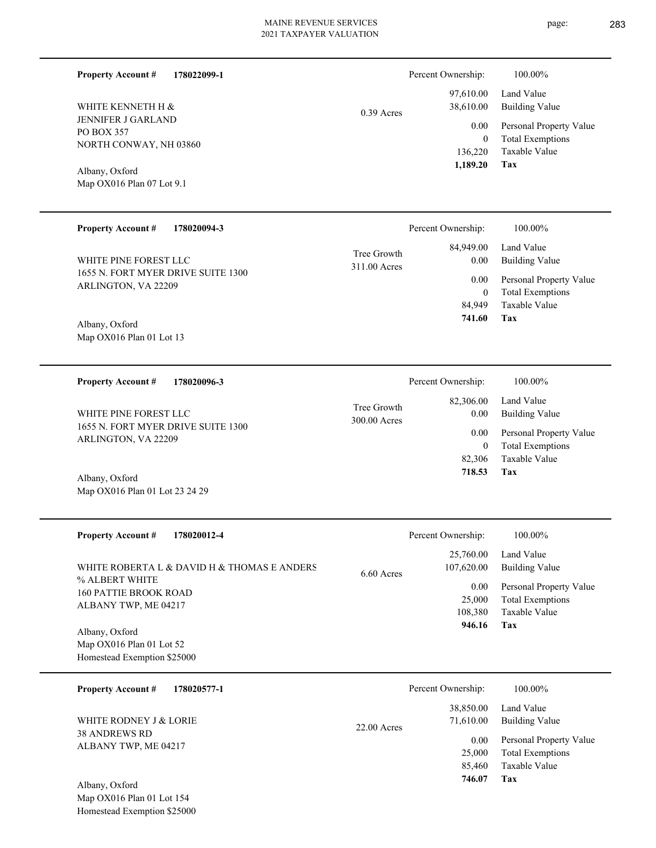| <b>Property Account #</b><br>WHITE KENNETH H &<br>JENNIFER J GARLAND<br>PO BOX 357<br>NORTH CONWAY, NH 03860<br>Albany, Oxford<br>Map OX016 Plan 07 Lot 9.1<br><b>Property Account #</b><br>WHITE PINE FOREST LLC | 178022099-1<br>178020094-3                  | $0.39$ Acres<br>Tree Growth<br>311.00 Acres | Percent Ownership:<br>97,610.00<br>38,610.00<br>0.00<br>$\boldsymbol{0}$<br>136,220<br>1,189.20<br>Percent Ownership:<br>84,949.00<br>0.00 | 100.00%<br>Land Value<br><b>Building Value</b><br>Personal Property Value<br><b>Total Exemptions</b><br>Taxable Value<br>Tax<br>100.00%<br>Land Value<br><b>Building Value</b> |
|-------------------------------------------------------------------------------------------------------------------------------------------------------------------------------------------------------------------|---------------------------------------------|---------------------------------------------|--------------------------------------------------------------------------------------------------------------------------------------------|--------------------------------------------------------------------------------------------------------------------------------------------------------------------------------|
| 1655 N. FORT MYER DRIVE SUITE 1300<br>ARLINGTON, VA 22209<br>Albany, Oxford<br>Map OX016 Plan 01 Lot 13                                                                                                           |                                             |                                             | 0.00<br>$\boldsymbol{0}$<br>84,949<br>741.60                                                                                               | Personal Property Value<br><b>Total Exemptions</b><br>Taxable Value<br>Tax                                                                                                     |
| <b>Property Account #</b>                                                                                                                                                                                         | 178020096-3                                 |                                             | Percent Ownership:                                                                                                                         | 100.00%                                                                                                                                                                        |
| WHITE PINE FOREST LLC<br>1655 N. FORT MYER DRIVE SUITE 1300<br>ARLINGTON, VA 22209<br>Albany, Oxford<br>Map OX016 Plan 01 Lot 23 24 29                                                                            |                                             | Tree Growth<br>300.00 Acres                 | 82,306.00<br>0.00<br>0.00<br>$\mathbf{0}$<br>82,306<br>718.53                                                                              | Land Value<br><b>Building Value</b><br>Personal Property Value<br><b>Total Exemptions</b><br>Taxable Value<br>Tax                                                              |
| <b>Property Account #</b>                                                                                                                                                                                         | 178020012-4                                 |                                             | Percent Ownership:                                                                                                                         | 100.00%                                                                                                                                                                        |
| % ALBERT WHITE<br>160 PATTIE BROOK ROAD<br>ALBANY TWP, ME 04217<br>Albany, Oxford<br>Map OX016 Plan 01 Lot 52<br>Homestead Exemption \$25000                                                                      | WHITE ROBERTA L & DAVID H & THOMAS E ANDERS | 6.60 Acres                                  | 25,760.00<br>107,620.00<br>0.00<br>25,000<br>108,380<br>946.16                                                                             | Land Value<br><b>Building Value</b><br>Personal Property Value<br><b>Total Exemptions</b><br>Taxable Value<br>Tax                                                              |
| <b>Property Account #</b>                                                                                                                                                                                         | 178020577-1                                 |                                             | Percent Ownership:                                                                                                                         | 100.00%                                                                                                                                                                        |
| WHITE RODNEY J & LORIE<br>38 ANDREWS RD<br>ALBANY TWP, ME 04217<br>Albany, Oxford<br>Map OX016 Plan 01 Lot 154                                                                                                    |                                             | 22.00 Acres                                 | 38,850.00<br>71,610.00<br>0.00<br>25,000<br>85,460<br>746.07                                                                               | Land Value<br><b>Building Value</b><br>Personal Property Value<br><b>Total Exemptions</b><br>Taxable Value<br>Tax                                                              |
| Homestead Exemption \$25000                                                                                                                                                                                       |                                             |                                             |                                                                                                                                            |                                                                                                                                                                                |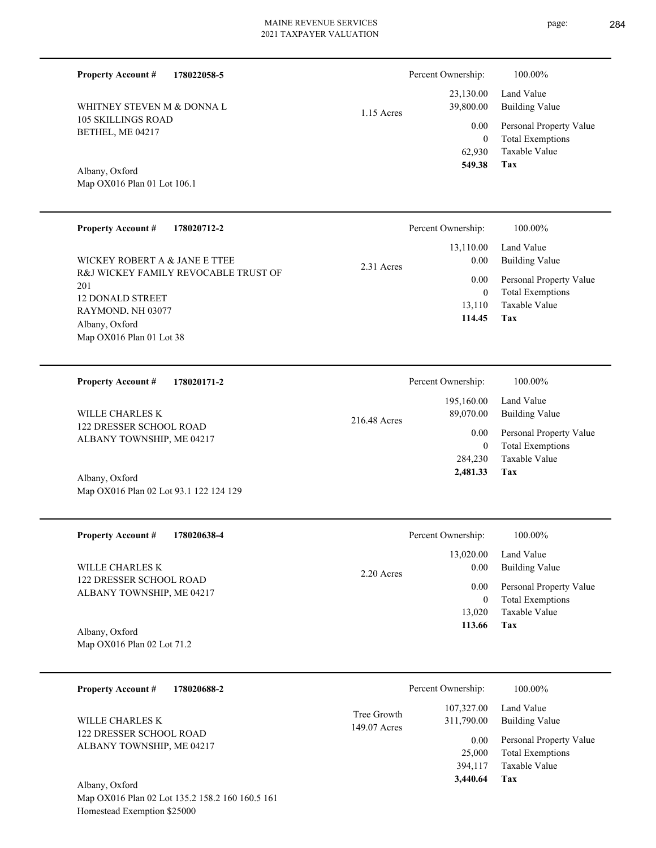**178022058-5 Property Account #**

105 SKILLINGS ROAD BETHEL, ME 04217 WHITNEY STEVEN M & DONNA L

# 1.15 Acres

216.48 Acres

| 549.38    | Tax                          |
|-----------|------------------------------|
|           | 62.930 Taxable Value         |
| $\Omega$  | <b>Total Exemptions</b>      |
|           | 0.00 Personal Property Value |
| 39,800.00 | Building Value               |
|           | 23,130.00 Land Value         |

Percent Ownership:  $100.00\%$ 

Map OX016 Plan 01 Lot 106.1 Albany, Oxford

| <b>Property Account #</b><br>178020712-2                                                                                                                                     | Percent Ownership:                                                          | 100.00%                                                                                                           |
|------------------------------------------------------------------------------------------------------------------------------------------------------------------------------|-----------------------------------------------------------------------------|-------------------------------------------------------------------------------------------------------------------|
| WICKEY ROBERT A & JANE E TTEE<br>R&J WICKEY FAMILY REVOCABLE TRUST OF<br>201<br><b>12 DONALD STREET</b><br>RAYMOND, NH 03077<br>Albany, Oxford<br>Map $OX016$ Plan 01 Lot 38 | 13,110.00<br>0.00<br>2.31 Acres<br>0.00<br>$\mathbf{0}$<br>13,110<br>114.45 | Land Value<br><b>Building Value</b><br>Personal Property Value<br><b>Total Exemptions</b><br>Taxable Value<br>Tax |
| 178020171-2<br><b>Property Account #</b>                                                                                                                                     | Percent Ownership:<br>195,160.00                                            | 100.00%<br>Land Value                                                                                             |

122 DRESSER SCHOOL ROAD ALBANY TOWNSHIP, ME 04217 WILLE CHARLES K

Map OX016 Plan 02 Lot 93.1 122 124 129 Albany, Oxford

**178020638-4 Tax** Taxable Value Total Exemptions Personal Property Value Building Value Land Value 122 DRESSER SCHOOL ROAD ALBANY TOWNSHIP, ME 04217 **Property Account #** Map OX016 Plan 02 Lot 71.2 Albany, Oxford WILLE CHARLES K 13,020 0  **113.66** 13,020.00 0.00 0.00 2.20 Acres Percent Ownership:  $100.00\%$ 

| 178020688-2<br><b>Property Account #</b>                    | Percent Ownership:                                      | 100.00%                                            |
|-------------------------------------------------------------|---------------------------------------------------------|----------------------------------------------------|
| WILLE CHARLES K                                             | 107,327.00<br>Tree Growth<br>311,790.00<br>149.07 Acres | Land Value<br>Building Value                       |
| <b>122 DRESSER SCHOOL ROAD</b><br>ALBANY TOWNSHIP, ME 04217 | 0.00<br>25,000                                          | Personal Property Value<br><b>Total Exemptions</b> |
|                                                             | 394,117                                                 | Taxable Value                                      |
| Albany, Oxford                                              | 3,440.64                                                | Tax                                                |

Map OX016 Plan 02 Lot 135.2 158.2 160 160.5 161 Homestead Exemption \$25000

| Ownership:            | 100.00%                                         |
|-----------------------|-------------------------------------------------|
| 13,110.00<br>$0.00\,$ | Land Value<br>Building Value                    |
| $0.00\,$<br>0         | Personal Property Va<br><b>Total Exemptions</b> |
|                       | .                                               |

**Tax**

 284,230 0

0.00

89,070.00

 **2,481.33**

Taxable Value Total Exemptions Personal Property Value

Building Value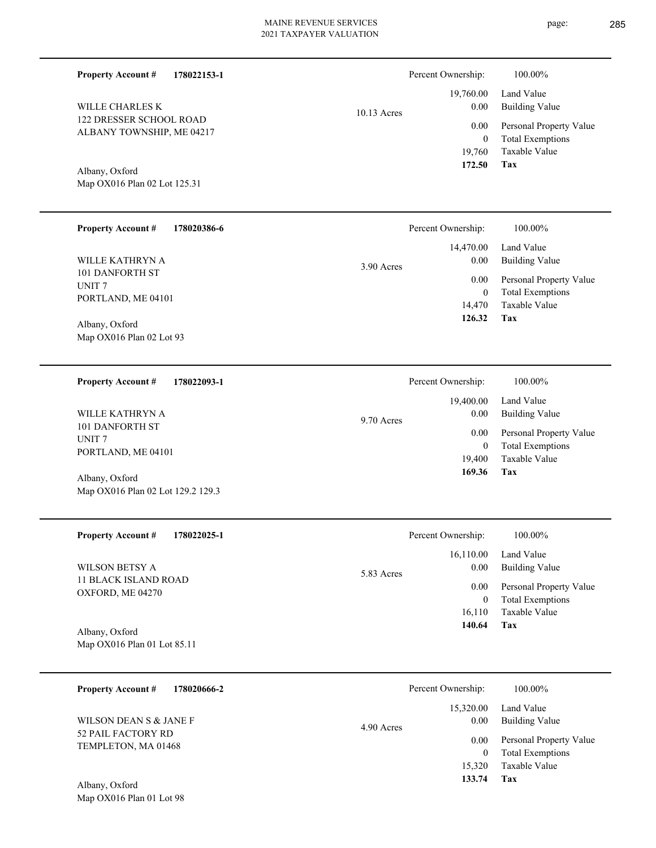| <b>Property Account #</b><br>178022153-1             |             | Percent Ownership:           | 100.00%                                            |  |
|------------------------------------------------------|-------------|------------------------------|----------------------------------------------------|--|
| WILLE CHARLES K                                      | 10.13 Acres | 19,760.00<br>0.00            | Land Value<br><b>Building Value</b>                |  |
| 122 DRESSER SCHOOL ROAD<br>ALBANY TOWNSHIP, ME 04217 |             | 0.00                         | Personal Property Value                            |  |
|                                                      |             | $\boldsymbol{0}$<br>19,760   | <b>Total Exemptions</b><br>Taxable Value           |  |
|                                                      |             | 172.50                       | <b>Tax</b>                                         |  |
| Albany, Oxford<br>Map OX016 Plan 02 Lot 125.31       |             |                              |                                                    |  |
|                                                      |             |                              |                                                    |  |
| <b>Property Account #</b><br>178020386-6             |             | Percent Ownership:           | 100.00%                                            |  |
|                                                      |             | 14,470.00                    | Land Value                                         |  |
| WILLE KATHRYN A<br>101 DANFORTH ST                   | 3.90 Acres  | 0.00                         | <b>Building Value</b>                              |  |
| UNIT <sub>7</sub>                                    |             | $0.00\,$<br>$\boldsymbol{0}$ | Personal Property Value<br><b>Total Exemptions</b> |  |
| PORTLAND, ME 04101                                   |             | 14,470                       | Taxable Value                                      |  |
| Albany, Oxford                                       |             | 126.32                       | Tax                                                |  |
| Map OX016 Plan 02 Lot 93                             |             |                              |                                                    |  |
|                                                      |             |                              |                                                    |  |
| <b>Property Account #</b><br>178022093-1             |             | Percent Ownership:           | 100.00%                                            |  |
|                                                      |             | 19,400.00                    | Land Value                                         |  |
| WILLE KATHRYN A<br>101 DANFORTH ST                   | 9.70 Acres  | 0.00                         | <b>Building Value</b>                              |  |
| UNIT <sub>7</sub>                                    |             | $0.00\,$<br>$\mathbf{0}$     | Personal Property Value<br><b>Total Exemptions</b> |  |
| PORTLAND, ME 04101                                   |             | 19,400                       | Taxable Value                                      |  |
| Albany, Oxford                                       |             | 169.36                       | Tax                                                |  |
| Map OX016 Plan 02 Lot 129.2 129.3                    |             |                              |                                                    |  |
|                                                      |             |                              |                                                    |  |
| <b>Property Account #</b><br>178022025-1             |             | Percent Ownership:           | 100.00%                                            |  |
|                                                      |             | 16,110.00                    | Land Value                                         |  |
| <b>WILSON BETSY A</b><br><b>11 BLACK ISLAND ROAD</b> | 5.83 Acres  | 0.00                         | <b>Building Value</b>                              |  |
| OXFORD, ME 04270                                     |             | 0.00<br>$\mathbf{0}$         | Personal Property Value<br><b>Total Exemptions</b> |  |
|                                                      |             | 16,110                       | Taxable Value                                      |  |
| Albany, Oxford                                       |             | 140.64                       | Tax                                                |  |
| Map OX016 Plan 01 Lot 85.11                          |             |                              |                                                    |  |
|                                                      |             |                              |                                                    |  |
| <b>Property Account #</b><br>178020666-2             |             | Percent Ownership:           | 100.00%                                            |  |
|                                                      |             | 15,320.00                    | Land Value                                         |  |
| WILSON DEAN S & JANE F<br>52 PAIL FACTORY RD         | 4.90 Acres  | 0.00                         | <b>Building Value</b>                              |  |
| TEMPLETON, MA 01468                                  |             | 0.00<br>$\overline{0}$       | Personal Property Value<br><b>Total Exemptions</b> |  |
|                                                      |             | 15,320                       | Taxable Value                                      |  |

**Tax 133.74**

# Map OX016 Plan 01 Lot 98 Albany, Oxford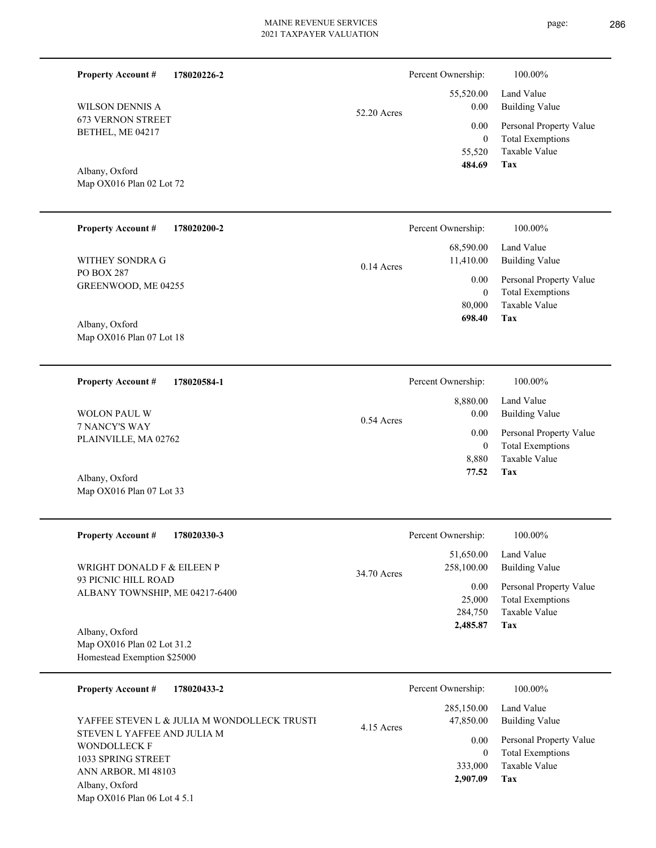| <b>Property Account #</b><br>178020226-2              |              | Percent Ownership:      | 100.00%                                            |
|-------------------------------------------------------|--------------|-------------------------|----------------------------------------------------|
| WILSON DENNIS A                                       | 52.20 Acres  | 55,520.00<br>0.00       | Land Value<br><b>Building Value</b>                |
| <b>673 VERNON STREET</b><br>BETHEL, ME 04217          |              | 0.00<br>$\mathbf{0}$    | Personal Property Value<br><b>Total Exemptions</b> |
|                                                       |              | 55,520<br>484.69        | Taxable Value<br>Tax                               |
| Albany, Oxford<br>Map OX016 Plan 02 Lot 72            |              |                         |                                                    |
| <b>Property Account #</b><br>178020200-2              |              | Percent Ownership:      | 100.00%                                            |
| WITHEY SONDRA G                                       | $0.14$ Acres | 68,590.00<br>11,410.00  | Land Value<br><b>Building Value</b>                |
| PO BOX 287<br>GREENWOOD, ME 04255                     |              | 0.00<br>$\bf{0}$        | Personal Property Value<br><b>Total Exemptions</b> |
|                                                       |              | 80,000<br>698.40        | Taxable Value<br>Tax                               |
| Albany, Oxford<br>Map OX016 Plan 07 Lot 18            |              |                         |                                                    |
| 178020584-1<br><b>Property Account #</b>              |              | Percent Ownership:      | 100.00%                                            |
| <b>WOLON PAUL W</b>                                   | $0.54$ Acres | 8,880.00<br>0.00        | Land Value<br><b>Building Value</b>                |
| 7 NANCY'S WAY<br>PLAINVILLE, MA 02762                 |              | 0.00<br>$\mathbf{0}$    | Personal Property Value<br><b>Total Exemptions</b> |
|                                                       |              | 8,880<br>77.52          | Taxable Value<br>Tax                               |
| Albany, Oxford<br>Map OX016 Plan 07 Lot 33            |              |                         |                                                    |
| <b>Property Account #</b><br>178020330-3              |              | Percent Ownership:      | 100.00%                                            |
| WRIGHT DONALD F & EILEEN P                            | 34.70 Acres  | 51,650.00<br>258,100.00 | Land Value<br><b>Building Value</b>                |
| 93 PICNIC HILL ROAD<br>ALBANY TOWNSHIP, ME 04217-6400 |              | 0.00<br>25,000          | Personal Property Value<br><b>Total Exemptions</b> |
|                                                       |              | 284,750<br>2,485.87     | Taxable Value<br>Tax                               |
| Albany, Oxford<br>Map OX016 Plan 02 Lot 31.2          |              |                         |                                                    |
| Homestead Exemption \$25000                           |              |                         |                                                    |
| 178020433-2<br><b>Property Account #</b>              |              | Percent Ownership:      | 100.00%                                            |
| YAFFEE STEVEN L & JULIA M WONDOLLECK TRUSTI           | 4.15 Acres   | 285,150.00<br>47,850.00 | Land Value<br><b>Building Value</b>                |
| STEVEN L YAFFEE AND JULIA M<br><b>WONDOLLECK F</b>    |              | 0.00<br>$\mathbf{0}$    | Personal Property Value<br><b>Total Exemptions</b> |
| 1033 SPRING STREET                                    |              |                         |                                                    |
| ANN ARBOR. MI 48103                                   |              | 333,000<br>2,907.09     | Taxable Value<br>Tax                               |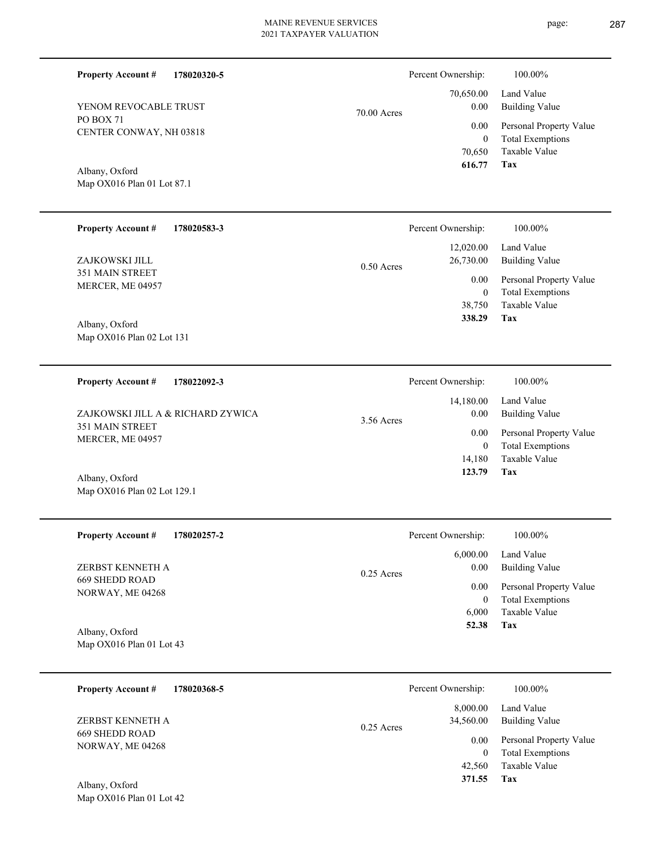Percent Ownership:  $100.00\%$ 

|               | 616.77 Tax |                                        |
|---------------|------------|----------------------------------------|
|               |            | 70.650 Taxable Value                   |
|               | $\Omega$   | <b>Total Exemptions</b>                |
|               |            | 0.00 Personal Property Value           |
| $70.00$ Acres | 0.00       | 70,650.00 Land Value<br>Building Value |
|               |            |                                        |

page: 287

PO BOX 71 CENTER CONWAY, NH 03818 YENOM REVOCABLE TRUST

**Property Account #**

**178020320-5**

Map OX016 Plan 01 Lot 87.1 Albany, Oxford

| <b>Property Account #</b>         | 178020583-3 |              | Percent Ownership:     | 100.00%                                            |
|-----------------------------------|-------------|--------------|------------------------|----------------------------------------------------|
| ZAJKOWSKI JILL<br>351 MAIN STREET |             | $0.50$ Acres | 12,020.00<br>26,730.00 | Land Value<br>Building Value                       |
| MERCER, ME 04957                  |             |              | 0.00<br>$\overline{0}$ | Personal Property Value<br><b>Total Exemptions</b> |
|                                   |             |              | 38,750                 | Taxable Value                                      |
| Albany, Oxford                    |             |              | 338.29                 | Tax                                                |

Map OX016 Plan 02 Lot 131

| 178022092-3<br><b>Property Account #</b>     | Percent Ownership:              | 100.00%                                            |
|----------------------------------------------|---------------------------------|----------------------------------------------------|
| ZAJKOWSKI JILL A & RICHARD ZYWICA            | 14,180.00<br>0.00<br>3.56 Acres | Land Value<br>Building Value                       |
| <b>351 MAIN STREET</b><br>MERCER, ME 04957   | 0.00<br>0                       | Personal Property Value<br><b>Total Exemptions</b> |
|                                              | 14.180                          | Taxable Value                                      |
| $\lambda$ 11 $\lambda$ $\lambda$ $\lambda$ 1 | 123.79                          | Tax                                                |

| Albany, Oxford              |  |
|-----------------------------|--|
| Map OX016 Plan 02 Lot 129.1 |  |

Map OX016 Plan 01 Lot 42

| <b>Property Account #</b><br>178020257-2 | Percent Ownership:   | 100.00%                 |
|------------------------------------------|----------------------|-------------------------|
|                                          | 6,000.00             | Land Value              |
| ZERBST KENNETH A                         | 0.00<br>$0.25$ Acres | <b>Building Value</b>   |
| 669 SHEDD ROAD<br>NORWAY, ME 04268       | 0.00                 | Personal Property Value |
|                                          | 0                    | <b>Total Exemptions</b> |
|                                          | 6.000                | Taxable Value           |
| Albany, Oxford                           | 52.38                | Tax                     |
| Map $OX016$ Plan 01 Lot 43               |                      |                         |

| 178020368-5<br><b>Property Account #</b> | Percent Ownership:                    | 100.00%                                            |
|------------------------------------------|---------------------------------------|----------------------------------------------------|
| ZERBST KENNETH A                         | 8,000.00<br>34,560.00<br>$0.25$ Acres | Land Value<br><b>Building Value</b>                |
| 669 SHEDD ROAD<br>NORWAY, ME 04268       | 0.00<br>$\mathbf{0}$                  | Personal Property Value<br><b>Total Exemptions</b> |
|                                          | 42.560                                | Taxable Value                                      |
| Albany, Oxford                           | 371.55                                | Tax                                                |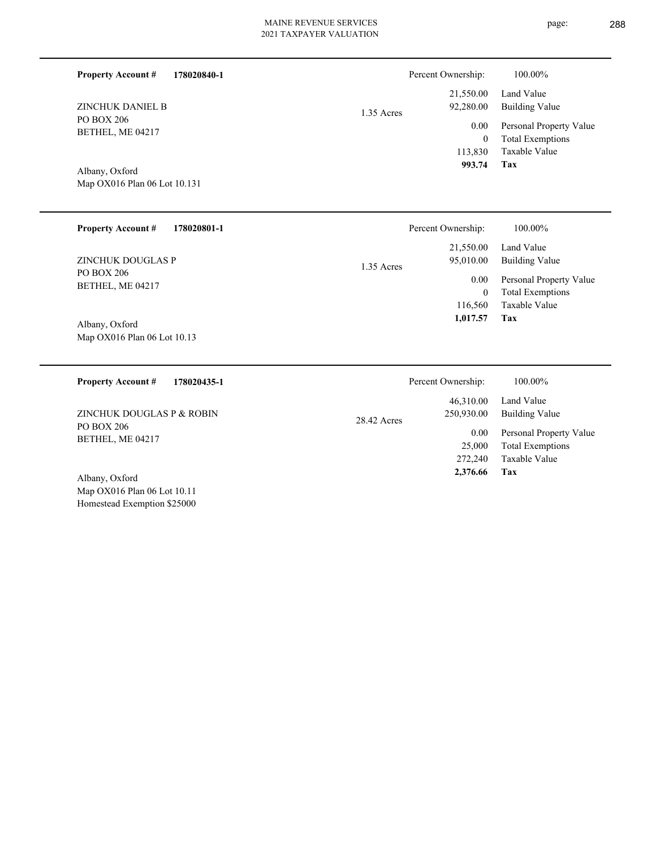| <b>Property Account #</b>      | 178020840-1 |            | Percent Ownership:     | 100.00%                      |
|--------------------------------|-------------|------------|------------------------|------------------------------|
| ZINCHUK DANIEL B               |             |            | 21,550.00<br>92,280.00 | Land Value<br>Building Value |
| PO BOX 206                     |             | 1.35 Acres | 0.00                   | Personal Property Value      |
| BETHEL, ME 04217               |             |            |                        | <b>Total Exemptions</b>      |
|                                |             |            | 113,830                | Taxable Value                |
| $\sqrt{11}$<br>$\sim$ $\sim$ 1 |             |            | 993.74                 | Tax                          |

Map OX016 Plan 06 Lot 10.131 Albany, Oxford

| <b>Property Account #</b><br>178020801-1 | Percent Ownership:        | 100.00%                 |
|------------------------------------------|---------------------------|-------------------------|
|                                          | 21,550.00                 | Land Value              |
| ZINCHUK DOUGLAS P                        | 95,010.00<br>1.35 Acres   | <b>Building Value</b>   |
| PO BOX 206                               | 0.00                      | Personal Property Value |
| BETHEL, ME 04217                         | $\theta$                  | <b>Total Exemptions</b> |
|                                          | 116,560                   | Taxable Value           |
| Albany, Oxford                           | 1,017.57                  | Tax                     |
| Map OX016 Plan 06 Lot 10.13              |                           |                         |
|                                          |                           |                         |
| <b>Property Account #</b><br>178020435-1 | Percent Ownership:        | 100.00%                 |
|                                          | 46,310.00                 | Land Value              |
| ZINCHUK DOUGLAS P & ROBIN                | 250,930.00<br>28.42 Acres | <b>Building Value</b>   |
| PO BOX 206                               |                           |                         |

Map OX016 Plan 06 Lot 10.11 Albany, Oxford

Homestead Exemption \$25000

BETHEL, ME 04217

**Tax**

 272,240 25,000

0.00

 **2,376.66**

Taxable Value Total Exemptions Personal Property Value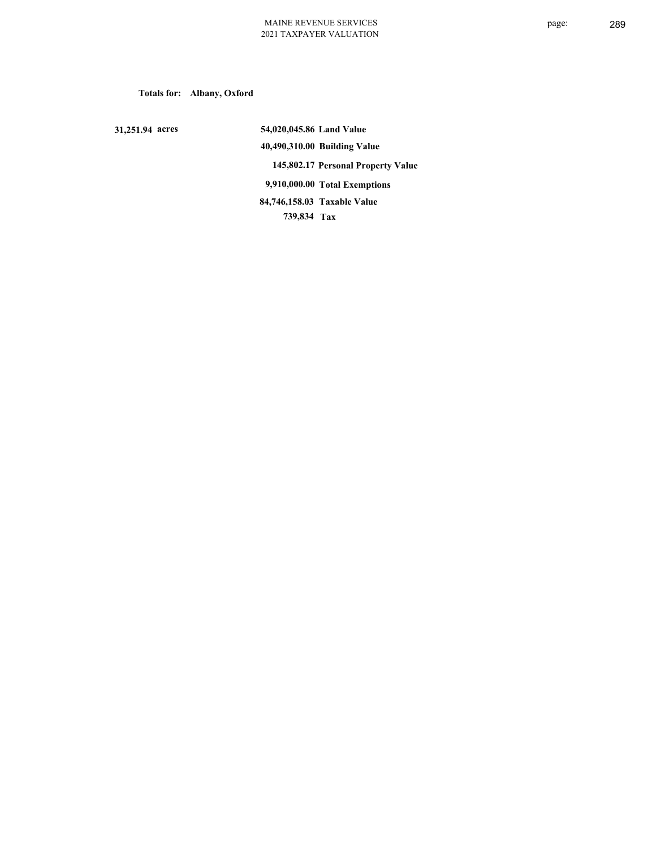**Totals for: Albany, Oxford**

 **31,251.94 acres**

 **54,020,045.86 Land Value 40,490,310.00 Building Value 145,802.17 Personal Property Value 9,910,000.00 Total Exemptions 739,834 Tax Taxable Value 84,746,158.03**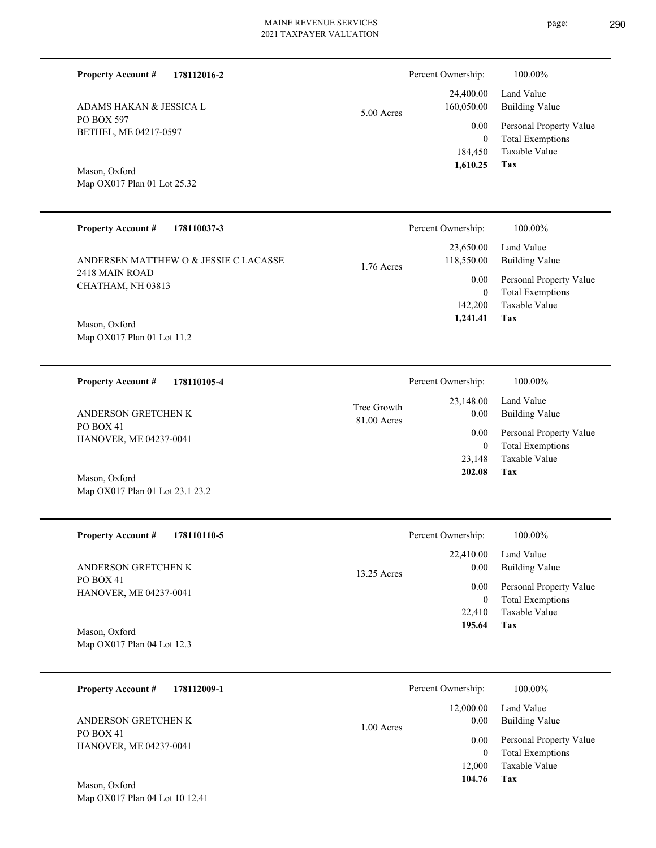| <b>Property Account #</b><br>178112016-2                                                                                    |                            | Percent Ownership:                                                         | 100.00%                                                                                                                  |
|-----------------------------------------------------------------------------------------------------------------------------|----------------------------|----------------------------------------------------------------------------|--------------------------------------------------------------------------------------------------------------------------|
| ADAMS HAKAN & JESSICA L                                                                                                     | 5.00 Acres                 | 24,400.00<br>160,050.00                                                    | Land Value<br><b>Building Value</b>                                                                                      |
| PO BOX 597<br>BETHEL, ME 04217-0597<br>Mason, Oxford<br>Map OX017 Plan 01 Lot 25.32                                         |                            | 0.00<br>$\mathbf{0}$<br>184,450<br>1,610.25                                | Personal Property Value<br><b>Total Exemptions</b><br>Taxable Value<br>Tax                                               |
| <b>Property Account #</b><br>178110037-3                                                                                    |                            | Percent Ownership:                                                         | 100.00%                                                                                                                  |
| ANDERSEN MATTHEW O & JESSIE C LACASSE<br>2418 MAIN ROAD<br>CHATHAM, NH 03813<br>Mason, Oxford<br>Map OX017 Plan 01 Lot 11.2 | 1.76 Acres                 | 23,650.00<br>118,550.00<br>0.00<br>$\boldsymbol{0}$<br>142,200<br>1,241.41 | Land Value<br><b>Building Value</b><br>Personal Property Value<br><b>Total Exemptions</b><br>Taxable Value<br><b>Tax</b> |
| 178110105-4<br><b>Property Account #</b>                                                                                    |                            | Percent Ownership:                                                         | 100.00%                                                                                                                  |
| ANDERSON GRETCHEN K<br>PO BOX 41<br>HANOVER, ME 04237-0041                                                                  | Tree Growth<br>81.00 Acres | 23,148.00<br>0.00<br>0.00<br>$\mathbf{0}$<br>23,148                        | Land Value<br><b>Building Value</b><br>Personal Property Value<br><b>Total Exemptions</b><br>Taxable Value               |
| Mason, Oxford<br>Map OX017 Plan 01 Lot 23.1 23.2                                                                            |                            | 202.08                                                                     | Tax                                                                                                                      |
| <b>Property Account #</b><br>178110110-5                                                                                    |                            | Percent Ownership:                                                         | 100.00%                                                                                                                  |
|                                                                                                                             |                            | 22,410.00                                                                  | Land Value                                                                                                               |

PO BOX 41 HANOVER, ME 04237-0041 ANDERSON GRETCHEN K

**Tax 195.64** Taxable Value Total Exemptions Personal Property Value 0.00 Building Value 22,410 0 0.00 13.25 Acres

Map OX017 Plan 04 Lot 12.3 Mason, Oxford

Map OX017 Plan 04 Lot 10 12.41

| 178112009-1<br><b>Property Account #</b>                   | Percent Ownership:                | 100.00%                                                             |
|------------------------------------------------------------|-----------------------------------|---------------------------------------------------------------------|
| ANDERSON GRETCHEN K<br>PO BOX 41<br>HANOVER, ME 04237-0041 | 12,000.00<br>0.00<br>$1.00$ Acres | Land Value<br>Building Value                                        |
|                                                            | 0.00<br>$\overline{0}$<br>12,000  | Personal Property Value<br><b>Total Exemptions</b><br>Taxable Value |
| Mason, Oxford                                              | 104.76                            | Tax                                                                 |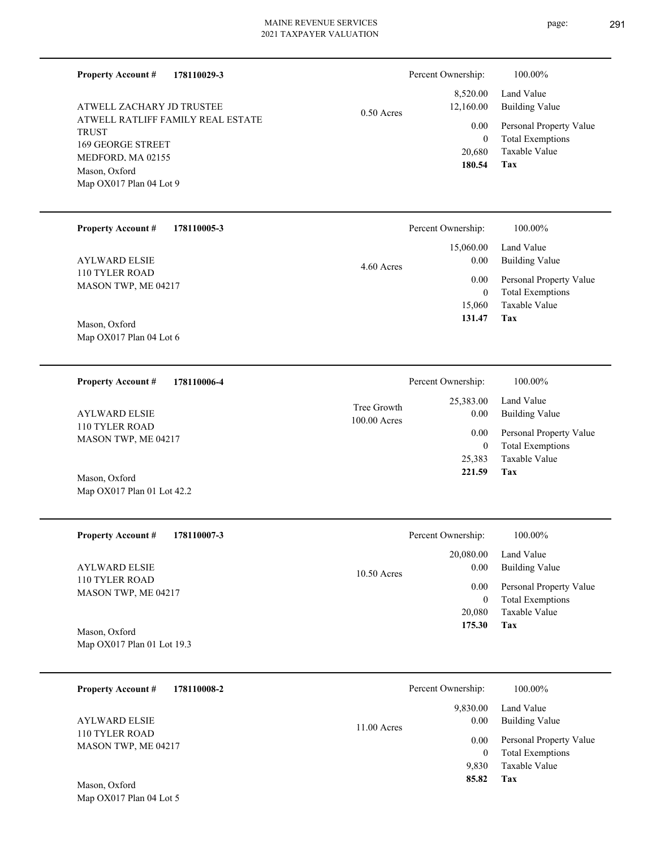**Property Account #**

**178110029-3**

ATWELL RATLIFF FAMILY REAL ESTATE TRUST 169 GEORGE STREET MEDFORD, MA 02155 Map OX017 Plan 04 Lot 9 Mason, Oxford ATWELL ZACHARY JD TRUSTEE

|              | 180.54   | Tax                          |
|--------------|----------|------------------------------|
|              |          | 20,680 Taxable Value         |
|              | $\theta$ | <b>Total Exemptions</b>      |
| $0.50$ Acres |          | 0.00 Personal Property Value |
|              |          | 12,160.00 Building Value     |
|              |          | 8,520.00 Land Value          |
|              |          |                              |

Percent Ownership: 100.00%

| <b>Property Account #</b><br>178110005-3 | Percent Ownership: | 100.00%                 |
|------------------------------------------|--------------------|-------------------------|
|                                          | 15,060.00          | Land Value              |
| <b>AYLWARD ELSIE</b>                     | 0.00<br>4.60 Acres | Building Value          |
| 110 TYLER ROAD<br>MASON TWP, ME 04217    | 0.00               | Personal Property Value |
|                                          | 0                  | <b>Total Exemptions</b> |
|                                          | 15,060             | Taxable Value           |
| $\sim$ $\sim$ 1<br>$\mathbf{r}$          | 131.47             | Tax                     |

Map OX017 Plan 04 Lot 6 Mason, Oxford

Map OX017 Plan 01 Lot 42.2

**178110006-4 Tax** Taxable Value Total Exemptions Personal Property Value Building Value Land Value 110 TYLER ROAD MASON TWP, ME 04217 **Property Account #** Mason, Oxford AYLWARD ELSIE 25,383 0  **221.59** 25,383.00 0.00 0.00 100.00 Acres Tree Growth Percent Ownership:  $100.00\%$ 

| <b>Property Account #</b><br>178110007-3               | Percent Ownership:                 | 100.00%                                            |
|--------------------------------------------------------|------------------------------------|----------------------------------------------------|
| AYLWARD ELSIE<br>110 TYLER ROAD<br>MASON TWP, ME 04217 | 20,080.00<br>0.00<br>$10.50$ Acres | Land Value<br><b>Building Value</b>                |
|                                                        | 0.00<br>$\overline{0}$             | Personal Property Value<br><b>Total Exemptions</b> |
|                                                        | 20,080                             | Taxable Value                                      |
| Mason, Oxford                                          | 175.30                             | Tax                                                |
| Map OX017 Plan 01 Lot 19.3                             |                                    |                                                    |

**178110008-2 Tax** Taxable Value Total Exemptions Personal Property Value Building Value Land Value 110 TYLER ROAD MASON TWP, ME 04217 **Property Account #** Mason, Oxford AYLWARD ELSIE 9,830 0  **85.82** 9,830.00 0.00 0.00 11.00 Acres Percent Ownership:  $100.00\%$ 

Map OX017 Plan 04 Lot 5

page: 291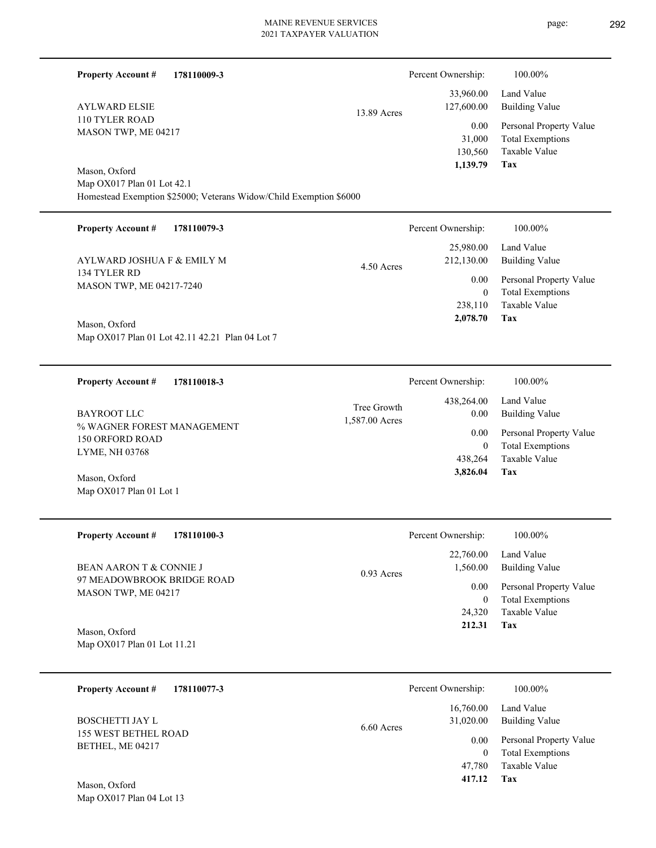L

| <b>Property Account #</b>                         | 178110009-3                                                        |                               | Percent Ownership:                    | 100.00%                                                                    |
|---------------------------------------------------|--------------------------------------------------------------------|-------------------------------|---------------------------------------|----------------------------------------------------------------------------|
| <b>AYLWARD ELSIE</b>                              |                                                                    | 13.89 Acres                   | 33,960.00<br>127,600.00               | Land Value<br><b>Building Value</b>                                        |
| 110 TYLER ROAD<br>MASON TWP, ME 04217             |                                                                    |                               | 0.00<br>31,000<br>130,560<br>1,139.79 | Personal Property Value<br><b>Total Exemptions</b><br>Taxable Value<br>Tax |
| Mason, Oxford                                     |                                                                    |                               |                                       |                                                                            |
| Map OX017 Plan 01 Lot 42.1                        | Homestead Exemption \$25000; Veterans Widow/Child Exemption \$6000 |                               |                                       |                                                                            |
| <b>Property Account #</b>                         | 178110079-3                                                        |                               | Percent Ownership:                    | 100.00%                                                                    |
| AYLWARD JOSHUA F & EMILY M                        |                                                                    | 4.50 Acres                    | 25,980.00<br>212,130.00               | Land Value<br><b>Building Value</b>                                        |
| 134 TYLER RD<br>MASON TWP, ME 04217-7240          |                                                                    |                               | 0.00                                  | Personal Property Value                                                    |
|                                                   |                                                                    |                               | $\overline{0}$<br>238,110             | <b>Total Exemptions</b><br>Taxable Value                                   |
| Mason, Oxford                                     |                                                                    |                               | 2,078.70                              | Tax                                                                        |
|                                                   | Map OX017 Plan 01 Lot 42.11 42.21 Plan 04 Lot 7                    |                               |                                       |                                                                            |
| <b>Property Account #</b>                         | 178110018-3                                                        |                               | Percent Ownership:                    | 100.00%                                                                    |
| <b>BAYROOT LLC</b>                                |                                                                    | Tree Growth<br>1,587.00 Acres | 438,264.00<br>$0.00\,$                | Land Value<br><b>Building Value</b>                                        |
| % WAGNER FOREST MANAGEMENT<br>150 ORFORD ROAD     |                                                                    |                               | 0.00                                  | Personal Property Value                                                    |
| LYME, NH 03768                                    |                                                                    |                               | $\overline{0}$<br>438,264             | <b>Total Exemptions</b><br>Taxable Value                                   |
| Mason, Oxford<br>Map OX017 Plan 01 Lot 1          |                                                                    |                               | 3,826.04                              | Tax                                                                        |
| <b>Property Account #</b>                         | 178110100-3                                                        |                               | Percent Ownership:                    | 100.00%                                                                    |
| <b>BEAN AARON T &amp; CONNIE J</b>                |                                                                    |                               | 22,760.00<br>1,560.00<br>$0.00\,$     | Land Value<br><b>Building Value</b>                                        |
| 97 MEADOWBROOK BRIDGE ROAD<br>MASON TWP, ME 04217 |                                                                    | 0.93 Acres                    |                                       | Personal Property Value                                                    |
|                                                   |                                                                    |                               | $\overline{0}$<br>24,320              | <b>Total Exemptions</b><br>Taxable Value                                   |
| Mason, Oxford                                     |                                                                    |                               | 212.31                                | Tax                                                                        |
| Map OX017 Plan 01 Lot 11.21                       |                                                                    |                               |                                       |                                                                            |
| <b>Property Account #</b>                         | 178110077-3                                                        |                               | Percent Ownership:                    | 100.00%                                                                    |
| <b>BOSCHETTI JAY L</b>                            |                                                                    | 6.60 Acres                    | 16,760.00<br>31,020.00                | Land Value<br><b>Building Value</b>                                        |
| 155 WEST BETHEL ROAD<br>BETHEL, ME 04217          |                                                                    |                               | $0.00\,$                              | Personal Property Value                                                    |
|                                                   |                                                                    |                               | $\overline{0}$<br>47,780              | <b>Total Exemptions</b><br>Taxable Value                                   |
| Mason, Oxford                                     |                                                                    |                               | 417.12                                | Tax                                                                        |
| Map OX017 Plan 04 Lot 13                          |                                                                    |                               |                                       |                                                                            |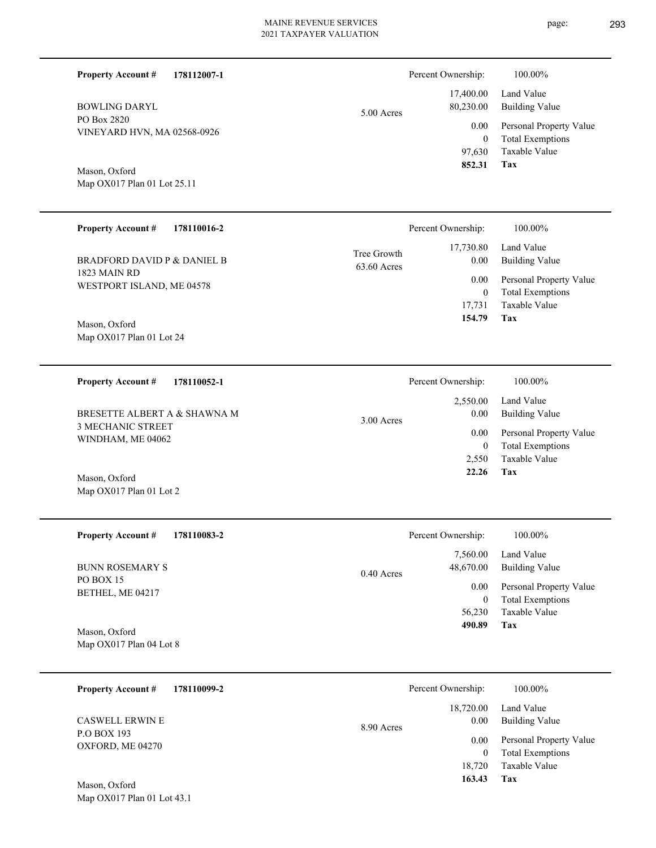÷.

 $\overline{\phantom{0}}$ 

L,

| <b>Property Account #</b><br>178112007-1     |                            | Percent Ownership:                           | 100.00%                                                                    |
|----------------------------------------------|----------------------------|----------------------------------------------|----------------------------------------------------------------------------|
| <b>BOWLING DARYL</b>                         | 5.00 Acres                 | 17,400.00<br>80,230.00                       | Land Value<br><b>Building Value</b>                                        |
| PO Box 2820<br>VINEYARD HVN, MA 02568-0926   |                            | 0.00<br>$\boldsymbol{0}$<br>97,630           | Personal Property Value<br><b>Total Exemptions</b><br>Taxable Value        |
| Mason, Oxford<br>Map OX017 Plan 01 Lot 25.11 |                            | 852.31                                       | <b>Tax</b>                                                                 |
| <b>Property Account #</b><br>178110016-2     |                            | Percent Ownership:                           | 100.00%                                                                    |
| <b>BRADFORD DAVID P &amp; DANIEL B</b>       | Tree Growth<br>63.60 Acres | 17,730.80<br>0.00                            | Land Value<br><b>Building Value</b>                                        |
| 1823 MAIN RD<br>WESTPORT ISLAND, ME 04578    |                            | 0.00<br>$\boldsymbol{0}$<br>17,731<br>154.79 | Personal Property Value<br><b>Total Exemptions</b><br>Taxable Value<br>Tax |
| Mason, Oxford<br>Map OX017 Plan 01 Lot 24    |                            |                                              |                                                                            |
| <b>Property Account #</b><br>178110052-1     |                            | Percent Ownership:                           | 100.00%                                                                    |
| BRESETTE ALBERT A & SHAWNA M                 | 3.00 Acres                 | 2,550.00<br>0.00                             | Land Value<br><b>Building Value</b>                                        |
| 3 MECHANIC STREET<br>WINDHAM, ME 04062       |                            | 0.00<br>$\boldsymbol{0}$<br>2,550            | Personal Property Value<br><b>Total Exemptions</b><br>Taxable Value        |
| Mason, Oxford<br>Map OX017 Plan 01 Lot 2     |                            | 22.26                                        | Tax                                                                        |
| Property Account #<br>178110083-2            |                            | Percent Ownership:                           | 100.00%                                                                    |
| <b>BUNN ROSEMARY S</b>                       | $0.40$ Acres               | 7,560.00<br>48,670.00                        | Land Value<br><b>Building Value</b>                                        |
| PO BOX 15<br>BETHEL, ME 04217                |                            | 0.00<br>$\boldsymbol{0}$<br>56,230<br>490.89 | Personal Property Value<br><b>Total Exemptions</b><br>Taxable Value<br>Tax |
| Mason, Oxford<br>Map OX017 Plan 04 Lot 8     |                            |                                              |                                                                            |
| <b>Property Account #</b><br>178110099-2     |                            | Percent Ownership:                           | 100.00%                                                                    |
| <b>CASWELL ERWIN E</b>                       | 8.90 Acres                 | 18,720.00<br>0.00                            | Land Value<br><b>Building Value</b>                                        |
| P.O BOX 193<br>OXFORD, ME 04270              |                            | 0.00<br>$\boldsymbol{0}$<br>18,720<br>163.43 | Personal Property Value<br><b>Total Exemptions</b><br>Taxable Value<br>Tax |
| Mason, Oxford<br>Map OX017 Plan 01 Lot 43.1  |                            |                                              |                                                                            |

page: 293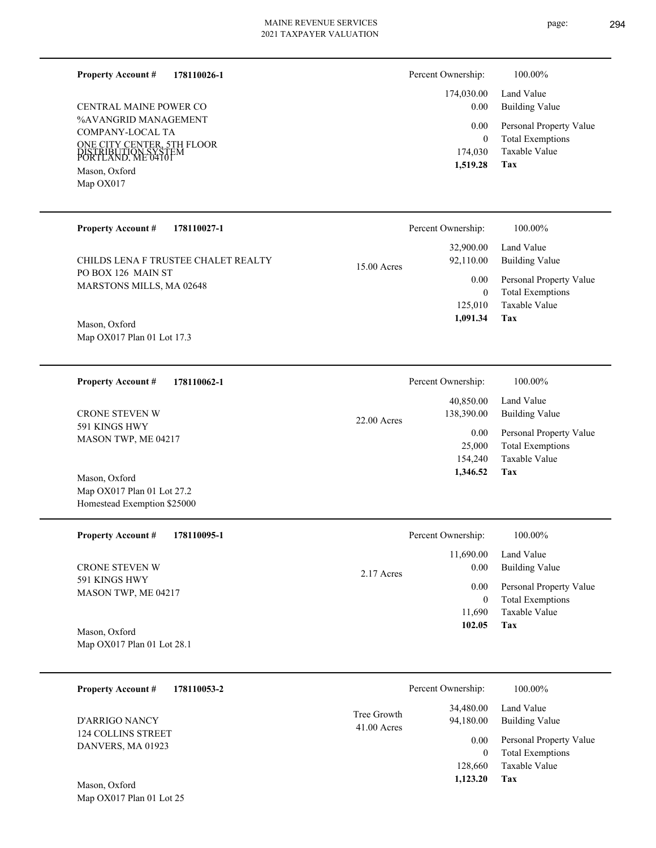#### **178110026-1 Property Account #**

%AVANGRID MANAGEMENT COMPANY-LOCAL TA ONE CITY CENTER, 5TH FLOOR PORTLAND, ME 04101 DISTRIBUTION SYSTEM Mason, Oxford CENTRAL MAINE POWER CO

Map OX017

| Percent Ownership: | 100.00%                                            |
|--------------------|----------------------------------------------------|
| $0.00\,$           | 174,030.00 Land Value<br>Building Value            |
| $0.00\,$<br>0      | Personal Property Value<br><b>Total Exemptions</b> |
| 174,030            | Taxable Value                                      |
| 1,519.28           | Tax                                                |

| <b>Property Account #</b><br>178110027-1       |               | Percent Ownership:     | 100.00%                                            |
|------------------------------------------------|---------------|------------------------|----------------------------------------------------|
| CHILDS LENA F TRUSTEE CHALET REALTY            |               | 32,900.00<br>92,110.00 | Land Value<br>Building Value                       |
| PO BOX 126 MAIN ST<br>MARSTONS MILLS, MA 02648 | $15.00$ Acres | 0.00<br>$\theta$       | Personal Property Value<br><b>Total Exemptions</b> |
|                                                |               | 125,010                | Taxable Value                                      |
| Mason, Oxford<br>Map OX017 Plan 01 Lot 17.3    |               | 1,091.34               | Tax                                                |

| 178110062-1<br><b>Property Account #</b>                      | Percent Ownership:          | 100.00%                 |
|---------------------------------------------------------------|-----------------------------|-------------------------|
|                                                               | 40,850.00                   | Land Value              |
| <b>CRONE STEVEN W</b><br>591 KINGS HWY<br>MASON TWP, ME 04217 | 138,390.00<br>$22.00$ Acres | Building Value          |
|                                                               | 0.00                        | Personal Property Value |
|                                                               | 25,000                      | <b>Total Exemptions</b> |
|                                                               | 154,240                     | Taxable Value           |
| Mason, Oxford                                                 | 1.346.52                    | Tax                     |

| <b>Property Account #</b><br>178110095-1 | Percent Ownership:   | 100.00%                 |
|------------------------------------------|----------------------|-------------------------|
|                                          | 11,690.00            | Land Value              |
| <b>CRONE STEVEN W</b>                    | 0.00<br>$2.17$ Acres | <b>Building Value</b>   |
| 591 KINGS HWY<br>MASON TWP, ME 04217     | 0.00                 | Personal Property Value |
|                                          | 0                    | <b>Total Exemptions</b> |
|                                          | 11,690               | Taxable Value           |
| Mason, Oxford                            | 102.05               | Tax                     |

| Mason, Oxford              |  |
|----------------------------|--|
| Map OX017 Plan 01 Lot 28.1 |  |

Map OX017 Plan 01 Lot 27.2 Homestead Exemption \$25000

| 178110053-2<br><b>Property Account #</b> |                              | Percent Ownership:     | 100.00%                                            |
|------------------------------------------|------------------------------|------------------------|----------------------------------------------------|
| D'ARRIGO NANCY                           | Tree Growth<br>$41.00$ Acres | 34,480.00<br>94,180.00 | Land Value<br><b>Building Value</b>                |
| 124 COLLINS STREET<br>DANVERS, MA 01923  |                              | 0.00<br>0              | Personal Property Value<br><b>Total Exemptions</b> |
|                                          |                              | 128,660                | Taxable Value                                      |
| Mason Oxford                             |                              | 1,123.20               | Tax                                                |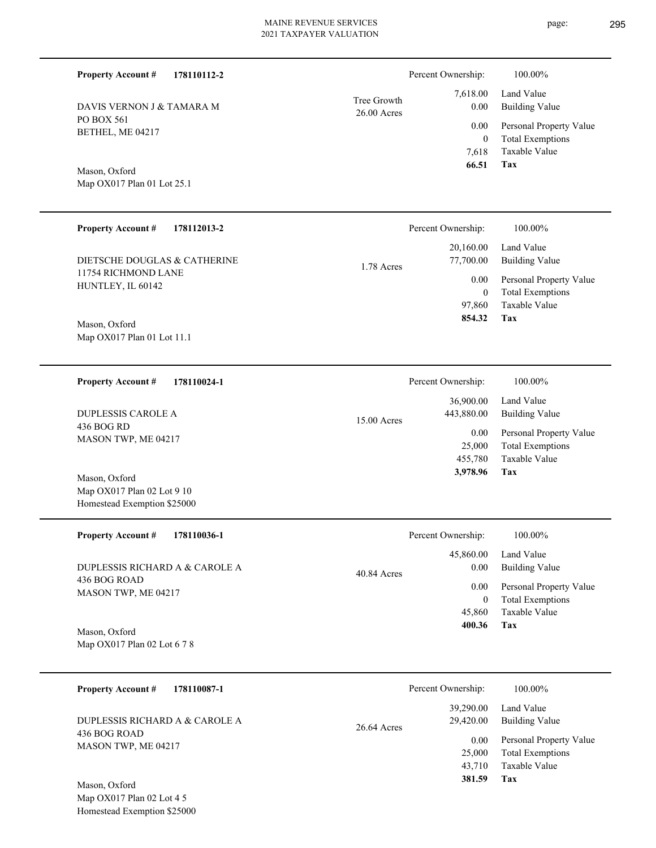| 7,618.00<br>0.00 | Tree Growth<br>$26.00$ Acres |
|------------------|------------------------------|
| 0.00             |                              |
| $\sim$           |                              |

Mason, Oxford

DAVIS VERNON J & TAMARA M

**178110112-2**

Map OX017 Plan 01 Lot 25.1

PO BOX 561 BETHEL, ME 04217

**Property Account #**

| <b>Property Account #</b><br>178112013-2      | Percent Ownership:                   | 100.00%                                                             |
|-----------------------------------------------|--------------------------------------|---------------------------------------------------------------------|
| DIETSCHE DOUGLAS & CATHERINE                  | 20,160.00<br>77,700.00<br>1.78 Acres | Land Value<br>Building Value                                        |
| 11754 RICHMOND LANE<br>HUNTLEY, IL 60142      | 0.00<br>$\mathbf{0}$<br>97,860       | Personal Property Value<br><b>Total Exemptions</b><br>Taxable Value |
| Mason, Oxford<br>Map $OX017$ Plan 01 Lot 11.1 | 854.32                               | Tax                                                                 |
| 178110024-1<br><b>Property Account #</b>      | Percent Ownership:                   | 100.00%                                                             |

| DUPLESSIS CAROLE A  | $15.00$ Acres | 36,900.00<br>443,880.00 | Land Value<br>Building Value |
|---------------------|---------------|-------------------------|------------------------------|
| 436 BOG RD          |               | 0.00                    | Personal Property Value      |
| MASON TWP, ME 04217 |               | 25,000                  | <b>Total Exemptions</b>      |
|                     |               | 455,780                 | Taxable Value                |
| Mason, Oxford       |               | 3,978.96                | Tax                          |

| <b>Property Account #</b><br>178110036-1 | Percent Ownership:                 | 100.00%                                            |
|------------------------------------------|------------------------------------|----------------------------------------------------|
| DUPLESSIS RICHARD A & CAROLE A           | 45,860.00<br>0.00<br>$40.84$ Acres | Land Value<br>Building Value                       |
| 436 BOG ROAD<br>MASON TWP, ME 04217      | 0.00<br>0                          | Personal Property Value<br><b>Total Exemptions</b> |
|                                          | 45,860                             | Taxable Value                                      |
| $M_{\text{max}} \Omega_{\text{max}}$     | 400.36                             | Tax                                                |

Map OX017 Plan 02 Lot 6 7 8 Mason, Oxford

Map OX017 Plan 02 Lot 9 10 Homestead Exemption \$25000

| 178110087-1<br><b>Property Account #</b> | Percent Ownership:                    | 100.00%                                            |
|------------------------------------------|---------------------------------------|----------------------------------------------------|
| DUPLESSIS RICHARD A & CAROLE A           | 39,290.00<br>29,420.00<br>26.64 Acres | Land Value<br>Building Value                       |
| 436 BOG ROAD<br>MASON TWP, ME 04217      | 0.00<br>25,000                        | Personal Property Value<br><b>Total Exemptions</b> |
| Mason, Oxford                            | 43.710<br>381.59                      | Taxable Value<br>Tax                               |

Map OX017 Plan 02 Lot 4 5 Homestead Exemption \$25000 **Tax**

 7,618 0

Percent Ownership:  $100.00\%$ 

 **66.51**

Taxable Value Total Exemptions Personal Property Value

Building Value Land Value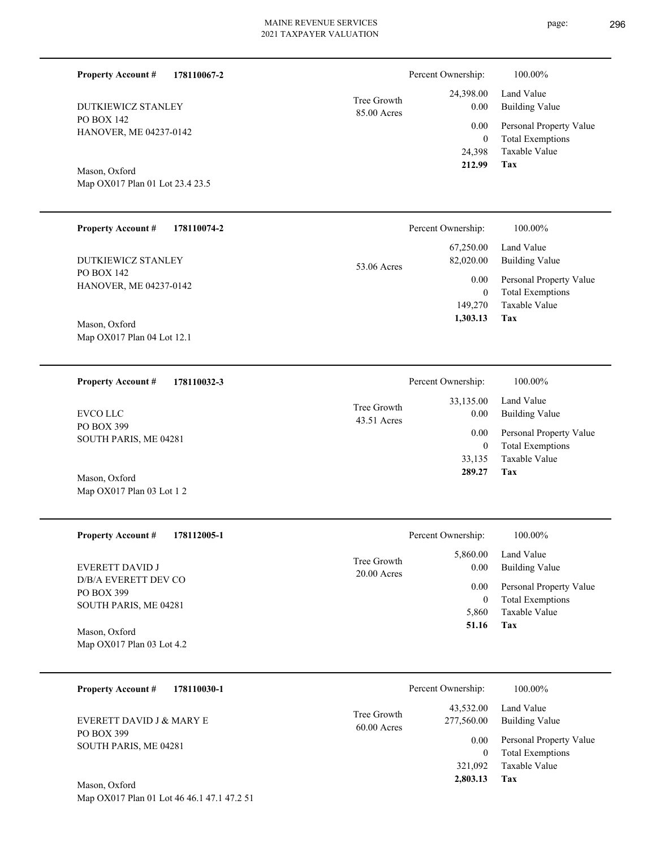| <b>Property Account #</b><br>178110067-2                    |                            | Percent Ownership:                          | 100.00%                                                                           |
|-------------------------------------------------------------|----------------------------|---------------------------------------------|-----------------------------------------------------------------------------------|
| <b>DUTKIEWICZ STANLEY</b>                                   | Tree Growth<br>85.00 Acres | 24,398.00<br>0.00                           | Land Value<br><b>Building Value</b>                                               |
| PO BOX 142<br>HANOVER, ME 04237-0142                        |                            | 0.00<br>$\mathbf{0}$<br>24,398              | Personal Property Value<br><b>Total Exemptions</b><br>Taxable Value               |
| Mason, Oxford<br>Map OX017 Plan 01 Lot 23.4 23.5            |                            | 212.99                                      | Tax                                                                               |
| <b>Property Account #</b><br>178110074-2                    |                            | Percent Ownership:                          | 100.00%                                                                           |
| <b>DUTKIEWICZ STANLEY</b>                                   | 53.06 Acres                | 67,250.00<br>82,020.00                      | Land Value<br><b>Building Value</b>                                               |
| PO BOX 142<br>HANOVER, ME 04237-0142                        |                            | 0.00<br>$\mathbf{0}$<br>149,270<br>1,303.13 | Personal Property Value<br><b>Total Exemptions</b><br>Taxable Value<br><b>Tax</b> |
| Mason, Oxford<br>Map OX017 Plan 04 Lot 12.1                 |                            |                                             |                                                                                   |
| <b>Property Account #</b><br>178110032-3                    |                            | Percent Ownership:                          | 100.00%                                                                           |
| <b>EVCO LLC</b>                                             | Tree Growth<br>43.51 Acres | 33,135.00<br>0.00                           | Land Value<br><b>Building Value</b>                                               |
| PO BOX 399<br>SOUTH PARIS, ME 04281                         |                            | 0.00<br>$\boldsymbol{0}$<br>33,135          | Personal Property Value<br><b>Total Exemptions</b><br>Taxable Value               |
| Mason, Oxford<br>Map OX017 Plan 03 Lot 1 2                  |                            | 289.27                                      | Tax                                                                               |
| <b>Property Account #</b><br>178112005-1                    |                            | Percent Ownership:                          | 100.00%                                                                           |
| EVERETT DAVID J                                             | Tree Growth<br>20.00 Acres | 5,860.00<br>0.00                            | Land Value<br><b>Building Value</b>                                               |
| D/B/A EVERETT DEV CO<br>PO BOX 399<br>SOUTH PARIS, ME 04281 |                            | 0.00<br>$\boldsymbol{0}$<br>5,860           | Personal Property Value<br><b>Total Exemptions</b><br>Taxable Value               |
| Mason, Oxford<br>Map OX017 Plan 03 Lot 4.2                  |                            | 51.16                                       | Tax                                                                               |
| <b>Property Account #</b><br>178110030-1                    |                            | Percent Ownership:                          | 100.00%                                                                           |
| <b>EVERETT DAVID J &amp; MARY E</b>                         | Tree Growth<br>60.00 Acres | 43,532.00<br>277,560.00                     | Land Value<br><b>Building Value</b>                                               |
| PO BOX 399<br>SOUTH PARIS, ME 04281                         |                            | 0.00<br>$\mathbf{0}$<br>321,092<br>2,803.13 | Personal Property Value<br><b>Total Exemptions</b><br>Taxable Value<br><b>Tax</b> |

Map OX017 Plan 01 Lot 46 46.1 47.1 47.2 51 Mason, Oxford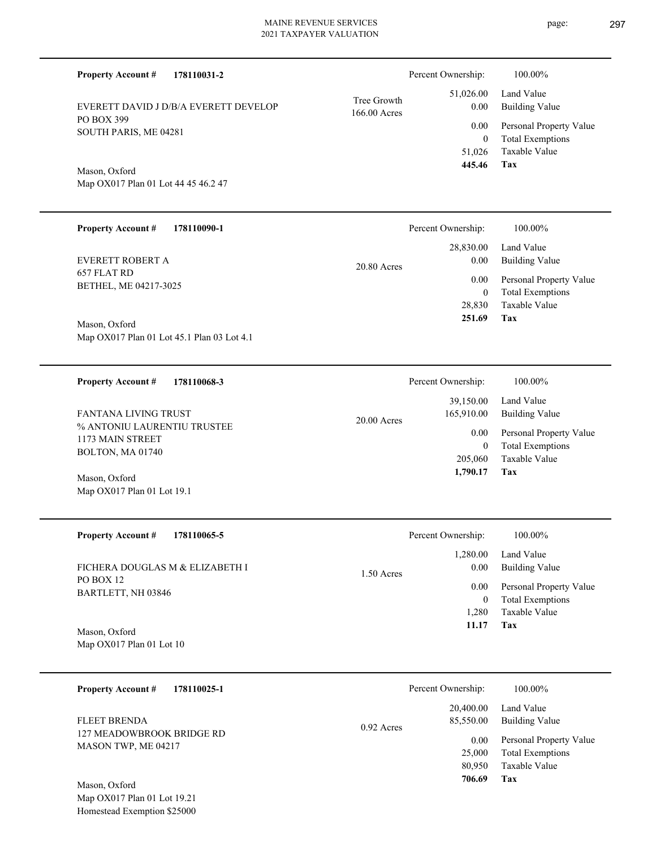| <b>Property Account #</b><br>178110031-2             |                             | Percent Ownership:                      | 100.00%                                                             |
|------------------------------------------------------|-----------------------------|-----------------------------------------|---------------------------------------------------------------------|
| EVERETT DAVID J D/B/A EVERETT DEVELOP                | Tree Growth<br>166.00 Acres | 51,026.00<br>0.00                       | Land Value<br><b>Building Value</b>                                 |
| PO BOX 399<br>SOUTH PARIS, ME 04281                  |                             | 0.00                                    | Personal Property Value                                             |
| Mason, Oxford<br>Map OX017 Plan 01 Lot 44 45 46.2 47 |                             | $\overline{0}$<br>51,026<br>445.46      | <b>Total Exemptions</b><br>Taxable Value<br>Tax                     |
|                                                      |                             |                                         |                                                                     |
| <b>Property Account #</b><br>178110090-1             |                             | Percent Ownership:                      | 100.00%                                                             |
| EVERETT ROBERT A                                     | 20.80 Acres                 | 28,830.00<br>0.00                       | Land Value<br><b>Building Value</b>                                 |
| 657 FLAT RD<br>BETHEL, ME 04217-3025                 |                             | 0.00                                    | Personal Property Value                                             |
| Mason, Oxford                                        |                             | $\boldsymbol{0}$<br>28,830<br>251.69    | <b>Total Exemptions</b><br>Taxable Value<br>Tax                     |
| Map OX017 Plan 01 Lot 45.1 Plan 03 Lot 4.1           |                             |                                         |                                                                     |
| <b>Property Account #</b><br>178110068-3             |                             | Percent Ownership:                      | 100.00%                                                             |
| FANTANA LIVING TRUST                                 | $20.00$ Acres               | 39,150.00<br>165,910.00                 | Land Value<br><b>Building Value</b>                                 |
| % ANTONIU LAURENTIU TRUSTEE<br>1173 MAIN STREET      |                             | 0.00                                    | Personal Property Value                                             |
| BOLTON, MA 01740<br>Mason, Oxford                    |                             | $\boldsymbol{0}$<br>205,060<br>1,790.17 | <b>Total Exemptions</b><br>Taxable Value<br>Tax                     |
| Map OX017 Plan 01 Lot 19.1                           |                             |                                         |                                                                     |
| <b>Property Account #</b><br>178110065-5             |                             | Percent Ownership:                      | 100.00%                                                             |
| FICHERA DOUGLAS M & ELIZABETH I                      | $1.50$ Acres                | 1,280.00<br>0.00                        | Land Value<br><b>Building Value</b>                                 |
| PO BOX 12<br>BARTLETT, NH 03846                      |                             | 0.00                                    | Personal Property Value                                             |
| Mason, Oxford                                        |                             | $\boldsymbol{0}$<br>1,280<br>11.17      | <b>Total Exemptions</b><br>Taxable Value<br>Tax                     |
| Map OX017 Plan 01 Lot 10                             |                             |                                         |                                                                     |
| 178110025-1<br><b>Property Account #</b>             |                             | Percent Ownership:                      | 100.00%                                                             |
| <b>FLEET BRENDA</b>                                  | $0.92$ Acres                | 20,400.00<br>85,550.00                  | Land Value<br><b>Building Value</b>                                 |
| 127 MEADOWBROOK BRIDGE RD<br>MASON TWP, ME 04217     |                             | 0.00<br>25,000<br>80,950                | Personal Property Value<br><b>Total Exemptions</b><br>Taxable Value |
|                                                      |                             | 706.69                                  | Tax                                                                 |

Map OX017 Plan 01 Lot 19.21 Homestead Exemption \$25000 Mason, Oxford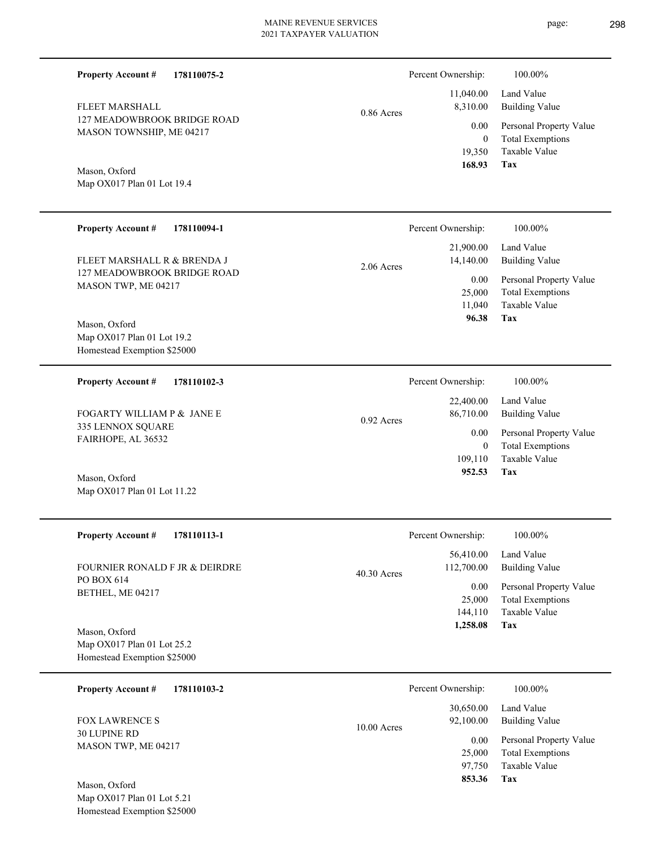0.86 Acres

127 MEADOWBROOK BRIDGE ROAD MASON TOWNSHIP, ME 04217 FLEET MARSHALL

**178110075-2**

Map OX017 Plan 01 Lot 19.4 Mason, Oxford

**Property Account #**

| <b>Property Account #</b><br>178110094-1                                     | 100.00%<br>Percent Ownership:                                                                   |
|------------------------------------------------------------------------------|-------------------------------------------------------------------------------------------------|
| FLEET MARSHALL R & BRENDA J                                                  | 21,900.00<br>Land Value<br>14,140.00<br><b>Building Value</b><br>$2.06$ Acres                   |
| 127 MEADOWBROOK BRIDGE ROAD<br>MASON TWP, ME 04217                           | 0.00<br>Personal Property Value<br>25,000<br><b>Total Exemptions</b><br>Taxable Value<br>11,040 |
| Mason, Oxford<br>Map $OX017$ Plan 01 Lot 19.2<br>Homestead Exemption \$25000 | 96.38<br>Tax                                                                                    |
| <b>Property Account #</b><br>178110102-3                                     | Percent Ownership:<br>100.00%                                                                   |
| FOGARTY WILLIAM P & JANE E                                                   | 22,400.00<br>Land Value<br>86,710.00<br><b>Building Value</b><br>$0.92$ Acres                   |
| 335 LENNOX SQUARE<br>FAIRHOPE, AL 36532                                      | 0.00<br>Personal Property Value<br><b>Total Exemptions</b><br>$\left($<br>Taxable Value         |
| Mason, Oxford                                                                | 109,110<br>952.53<br>Tax                                                                        |

| <b>Property Account #</b><br>178110113-1 | Percent Ownership:          | 100.00%                 |
|------------------------------------------|-----------------------------|-------------------------|
|                                          | 56,410.00                   | Land Value              |
| FOURNIER RONALD F JR & DEIRDRE           | 112,700.00<br>$40.30$ Acres | <b>Building Value</b>   |
| PO BOX 614<br>BETHEL, ME 04217           | 0.00                        | Personal Property Value |
|                                          | 25,000                      | <b>Total Exemptions</b> |
|                                          | 144,110                     | Taxable Value           |
| Mason, Oxford                            | 1,258.08                    | Tax                     |
| Map OX017 Plan 01 Lot 25.2               |                             |                         |
| Homestead Exemption \$25000              |                             |                         |

| 178110103-2<br><b>Property Account #</b>   | Percent Ownership:                      | 100.00%                                                             |
|--------------------------------------------|-----------------------------------------|---------------------------------------------------------------------|
| <b>FOX LAWRENCE S</b>                      | 30,650.00<br>92,100.00<br>$10.00$ Acres | Land Value<br><b>Building Value</b>                                 |
| <b>30 LUPINE RD</b><br>MASON TWP, ME 04217 | 0.00<br>25,000<br>97,750                | Personal Property Value<br><b>Total Exemptions</b><br>Taxable Value |
| Mason, Oxford                              | 853.36                                  | Tax                                                                 |

Map OX017 Plan 01 Lot 5.21 Homestead Exemption \$25000

Map OX017 Plan 01 Lot 11.22

**Tax**

 19,350 0

 11,040.00 8,310.00 0.00

Percent Ownership:  $100.00\%$ 

 **168.93**

Taxable Value Total Exemptions Personal Property Value

Building Value Land Value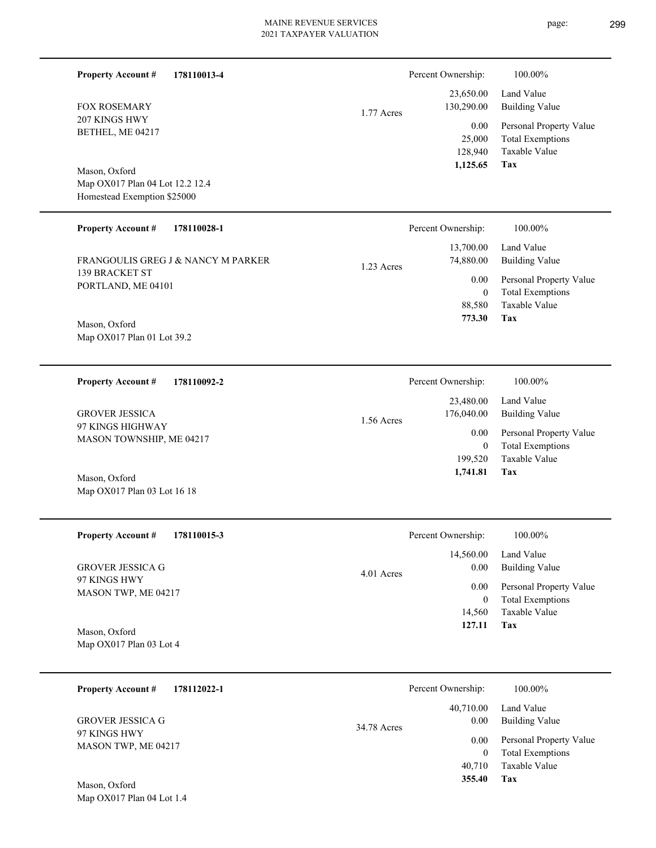| 178110013-4<br><b>Property Account #</b><br><b>FOX ROSEMARY</b><br>207 KINGS HWY<br>BETHEL, ME 04217<br>Mason, Oxford<br>Map OX017 Plan 04 Lot 12.2 12.4 | 1.77 Acres   | Percent Ownership:<br>23,650.00<br>130,290.00<br>0.00<br>25,000<br>128,940<br>1,125.65 | 100.00%<br>Land Value<br><b>Building Value</b><br>Personal Property Value<br><b>Total Exemptions</b><br>Taxable Value<br>Tax |
|----------------------------------------------------------------------------------------------------------------------------------------------------------|--------------|----------------------------------------------------------------------------------------|------------------------------------------------------------------------------------------------------------------------------|
| Homestead Exemption \$25000                                                                                                                              |              |                                                                                        |                                                                                                                              |
| <b>Property Account #</b><br>178110028-1<br>FRANGOULIS GREG J & NANCY M PARKER                                                                           |              | Percent Ownership:<br>13,700.00<br>74,880.00                                           | 100.00%<br>Land Value<br><b>Building Value</b>                                                                               |
| 139 BRACKET ST<br>PORTLAND, ME 04101<br>Mason, Oxford<br>Map OX017 Plan 01 Lot 39.2                                                                      | 1.23 Acres   | 0.00<br>$\boldsymbol{0}$<br>88,580<br>773.30                                           | Personal Property Value<br><b>Total Exemptions</b><br>Taxable Value<br>Tax                                                   |
| <b>Property Account #</b><br>178110092-2                                                                                                                 |              | Percent Ownership:<br>23,480.00                                                        | 100.00%<br>Land Value                                                                                                        |
| <b>GROVER JESSICA</b><br>97 KINGS HIGHWAY<br>MASON TOWNSHIP, ME 04217<br>Mason, Oxford<br>Map OX017 Plan 03 Lot 16 18                                    | 1.56 Acres   | 176,040.00<br>0.00<br>$\mathbf{0}$<br>199,520<br>1,741.81                              | <b>Building Value</b><br>Personal Property Value<br><b>Total Exemptions</b><br>Taxable Value<br>Tax                          |
| <b>Property Account #</b><br>178110015-3                                                                                                                 |              | Percent Ownership:                                                                     | 100.00%                                                                                                                      |
| <b>GROVER JESSICA G</b><br>97 KINGS HWY<br>MASON TWP, ME 04217<br>Mason, Oxford<br>Map OX017 Plan 03 Lot 4                                               | $4.01$ Acres | 14,560.00<br>0.00<br>0.00<br>$\overline{0}$<br>14,560<br>127.11                        | Land Value<br><b>Building Value</b><br>Personal Property Value<br><b>Total Exemptions</b><br>Taxable Value<br>Tax            |
| <b>Property Account #</b><br>178112022-1                                                                                                                 |              | Percent Ownership:                                                                     | 100.00%                                                                                                                      |
| <b>GROVER JESSICA G</b><br>97 KINGS HWY<br>MASON TWP, ME 04217                                                                                           | 34.78 Acres  | 40,710.00<br>0.00<br>0.00<br>$\overline{0}$<br>40,710<br>355.40                        | Land Value<br><b>Building Value</b><br>Personal Property Value<br><b>Total Exemptions</b><br>Taxable Value<br>Tax            |
| Mason, Oxford<br>Map OX017 Plan 04 Lot 1.4                                                                                                               |              |                                                                                        |                                                                                                                              |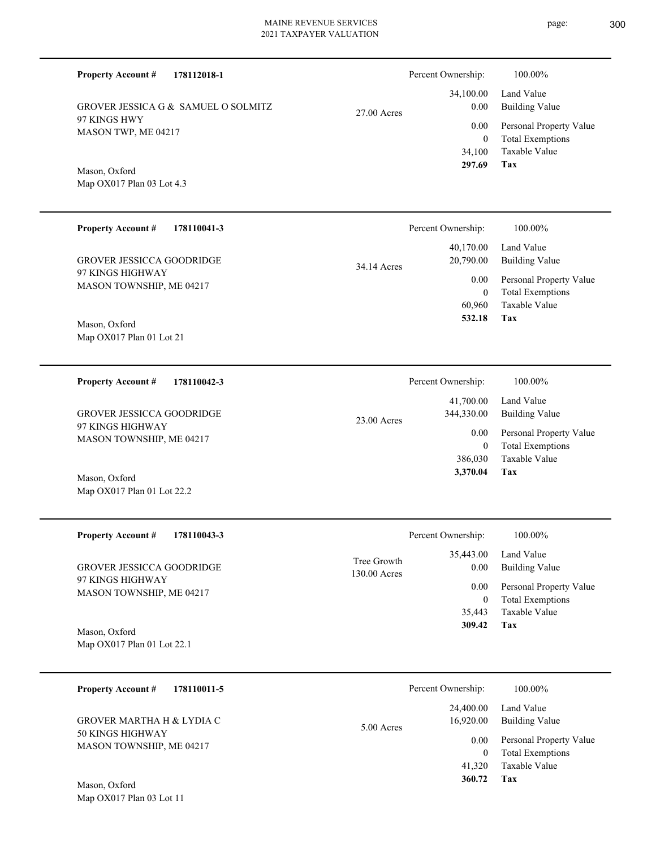Percent Ownership:  $100.00\%$ 

|               | $\mathbf{r}$ creamed with $\mathbf{r}$ . | 1 0 0 1 0 0 7 0              |
|---------------|------------------------------------------|------------------------------|
|               |                                          | 34,100.00 Land Value         |
| $27.00$ Acres | 0.00                                     | Building Value               |
|               |                                          | 0.00 Personal Property Value |
|               | $\theta$                                 | <b>Total Exemptions</b>      |
|               |                                          | 34,100 Taxable Value         |
|               | 297.69                                   | Tax                          |

Map OX017 Plan 03 Lot 4.3 Mason, Oxford

MASON TWP, ME 04217

97 KINGS HWY

**Property Account #**

**178112018-1**

GROVER JESSICA G & SAMUEL O SOLMITZ

| <b>Property Account #</b><br>178110041-3 | Percent Ownership:       | 100.00%                 |
|------------------------------------------|--------------------------|-------------------------|
|                                          | 40,170.00                | Land Value              |
| GROVER JESSICCA GOODRIDGE                | 20,790.00<br>34.14 Acres | <b>Building Value</b>   |
| 97 KINGS HIGHWAY                         | 0.00                     | Personal Property Value |
| MASON TOWNSHIP, ME 04217                 | $\theta$                 | <b>Total Exemptions</b> |
|                                          | 60.960                   | Taxable Value           |
| Mason, Oxford                            | 532.18                   | Tax                     |
| Map $OX017$ Plan 01 Lot 21               |                          |                         |

| 178110042-3<br><b>Property Account #</b>     | Percent Ownership:                       | 100.00%                                            |
|----------------------------------------------|------------------------------------------|----------------------------------------------------|
| <b>GROVER JESSICCA GOODRIDGE</b>             | 41,700.00<br>344,330.00<br>$23.00$ Acres | Land Value<br>Building Value                       |
| 97 KINGS HIGHWAY<br>MASON TOWNSHIP, ME 04217 | 0.00                                     | Personal Property Value<br><b>Total Exemptions</b> |
|                                              | 386,030                                  | Taxable Value                                      |
| Mason, Oxford                                | 3,370.04                                 | Tax                                                |

| <b>Property Account #</b><br>178110043-3     | Percent Ownership:                                 | 100.00%                             |
|----------------------------------------------|----------------------------------------------------|-------------------------------------|
| GROVER JESSICCA GOODRIDGE                    | 35,443.00<br>Tree Growth<br>0.00<br>$130.00$ Acres | Land Value<br><b>Building Value</b> |
| 97 KINGS HIGHWAY<br>MASON TOWNSHIP, ME 04217 | $0.00\,$                                           | Personal Property Value             |
|                                              |                                                    | <b>Total Exemptions</b>             |
|                                              | 35.443                                             | Taxable Value                       |
| Mason, Oxford                                | 309.42                                             | Tax                                 |
| Map $OX017$ Plan 01 Lot 22.1                 |                                                    |                                     |

| 178110011-5<br><b>Property Account #</b>     | Percent Ownership:                   | 100.00%                                            |
|----------------------------------------------|--------------------------------------|----------------------------------------------------|
| GROVER MARTHA H & LYDIA C                    | 24,400.00<br>16.920.00<br>5.00 Acres | Land Value<br>Building Value                       |
| 50 KINGS HIGHWAY<br>MASON TOWNSHIP, ME 04217 | 0.00<br>0                            | Personal Property Value<br><b>Total Exemptions</b> |
|                                              | 41,320                               | Taxable Value                                      |
| Mason, Oxford                                | 360.72                               | Tax                                                |

Map OX017 Plan 03 Lot 11

Map OX017 Plan 01 Lot 22.2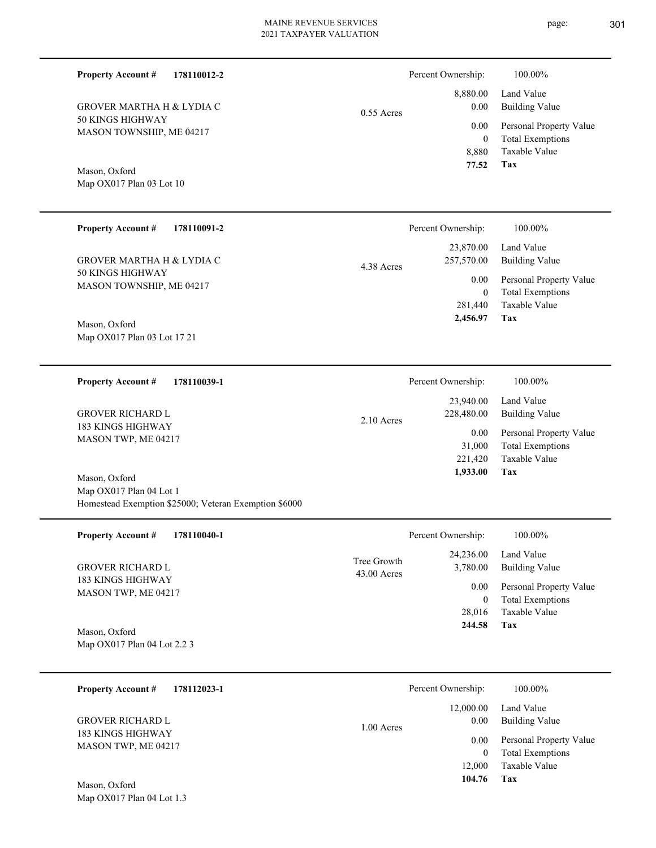page: 301

| <b>Property Account #</b><br>178110012-2                                                          |                            | Percent Ownership:<br>8,880.00              | 100.00%<br>Land Value                                                                        |
|---------------------------------------------------------------------------------------------------|----------------------------|---------------------------------------------|----------------------------------------------------------------------------------------------|
| <b>GROVER MARTHA H &amp; LYDIA C</b><br>50 KINGS HIGHWAY<br>MASON TOWNSHIP, ME 04217              | $0.55$ Acres               | 0.00<br>0.00<br>$\boldsymbol{0}$<br>8,880   | <b>Building Value</b><br>Personal Property Value<br><b>Total Exemptions</b><br>Taxable Value |
| Mason, Oxford<br>Map OX017 Plan 03 Lot 10                                                         |                            | 77.52                                       | Tax                                                                                          |
| <b>Property Account #</b><br>178110091-2                                                          |                            | Percent Ownership:                          | 100.00%                                                                                      |
| <b>GROVER MARTHA H &amp; LYDIA C</b>                                                              | 4.38 Acres                 | 23,870.00<br>257,570.00                     | Land Value<br><b>Building Value</b>                                                          |
| 50 KINGS HIGHWAY<br>MASON TOWNSHIP, ME 04217<br>Mason, Oxford                                     |                            | 0.00<br>$\mathbf{0}$<br>281,440<br>2,456.97 | Personal Property Value<br><b>Total Exemptions</b><br>Taxable Value<br>Tax                   |
| Map OX017 Plan 03 Lot 17 21                                                                       |                            |                                             |                                                                                              |
| <b>Property Account #</b><br>178110039-1                                                          |                            | Percent Ownership:                          | 100.00%                                                                                      |
| <b>GROVER RICHARD L</b>                                                                           | 2.10 Acres                 | 23,940.00<br>228,480.00                     | Land Value<br><b>Building Value</b>                                                          |
| 183 KINGS HIGHWAY<br>MASON TWP, ME 04217                                                          |                            | 0.00<br>31,000<br>221,420<br>1,933.00       | Personal Property Value<br><b>Total Exemptions</b><br>Taxable Value<br>Tax                   |
| Mason, Oxford<br>Map OX017 Plan 04 Lot 1<br>Homestead Exemption \$25000; Veteran Exemption \$6000 |                            |                                             |                                                                                              |
| 178110040-1<br><b>Property Account #</b>                                                          |                            | Percent Ownership:                          | 100.00%                                                                                      |
| <b>GROVER RICHARD L</b>                                                                           | Tree Growth<br>43.00 Acres | 24,236.00<br>3,780.00                       | Land Value<br><b>Building Value</b>                                                          |
| 183 KINGS HIGHWAY<br>MASON TWP, ME 04217                                                          |                            | 0.00<br>$\overline{0}$                      | Personal Property Value<br><b>Total Exemptions</b>                                           |
| Mason, Oxford<br>Map OX017 Plan 04 Lot 2.2 3                                                      |                            | 28,016<br>244.58                            | Taxable Value<br>Tax                                                                         |
| <b>Property Account #</b><br>178112023-1                                                          |                            | Percent Ownership:                          | 100.00%                                                                                      |
| <b>GROVER RICHARD L</b>                                                                           | 1.00 Acres                 | 12,000.00<br>0.00                           | Land Value<br><b>Building Value</b>                                                          |
| 183 KINGS HIGHWAY<br>MASON TWP, ME 04217<br>Mason, Oxford<br>Map OX017 Plan 04 Lot 1.3            |                            | 0.00<br>$\theta$<br>12,000<br>104.76        | Personal Property Value<br><b>Total Exemptions</b><br>Taxable Value<br>Tax                   |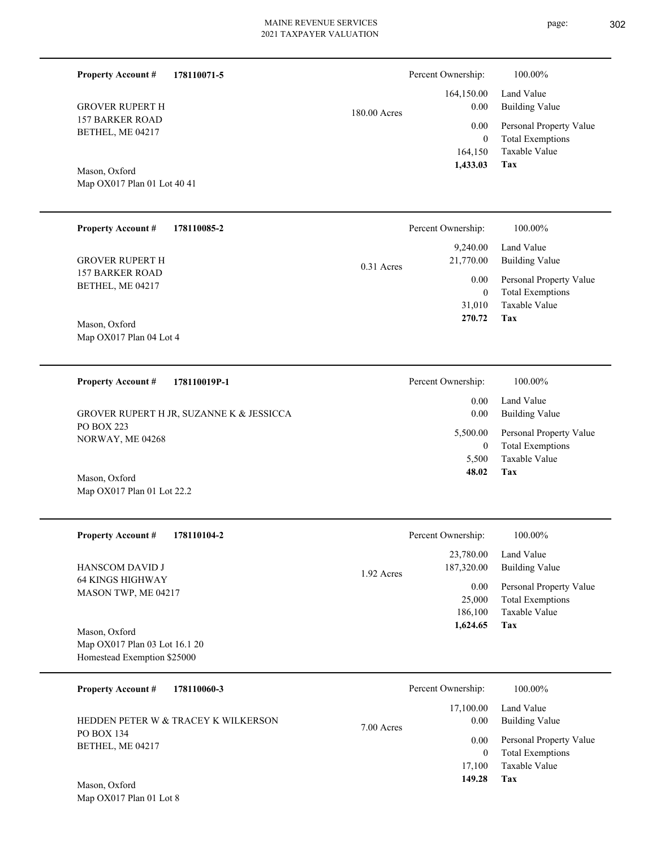**178110071-5**

**Property Account #**

Percent Ownership:  $100.00\%$ 

| <b>GROVER RUPERT H</b><br><b>157 BARKER ROAD</b><br>BETHEL, ME 04217<br>Mason, Oxford<br>Map OX017 Plan 01 Lot 40 41 | 180.00 Acres | 164,150.00<br>0.00<br>0.00<br>$\mathbf{0}$<br>164,150<br>1,433.03 | Land Value<br><b>Building Value</b><br>Personal Property Value<br><b>Total Exemptions</b><br>Taxable Value<br>Tax |
|----------------------------------------------------------------------------------------------------------------------|--------------|-------------------------------------------------------------------|-------------------------------------------------------------------------------------------------------------------|
| <b>Property Account #</b><br>178110085-2                                                                             |              | Percent Ownership:                                                | 100.00%                                                                                                           |
| <b>GROVER RUPERT H</b><br><b>157 BARKER ROAD</b>                                                                     | $0.31$ Acres | 9,240.00<br>21,770.00                                             | Land Value<br><b>Building Value</b>                                                                               |
| BETHEL, ME 04217<br>Mason, Oxford                                                                                    |              | 0.00<br>$\bf{0}$<br>31,010<br>270.72                              | Personal Property Value<br><b>Total Exemptions</b><br>Taxable Value<br>Tax                                        |
| Map OX017 Plan 04 Lot 4                                                                                              |              |                                                                   |                                                                                                                   |
| <b>Property Account #</b><br>178110019P-1                                                                            |              | Percent Ownership:                                                | 100.00%                                                                                                           |
| GROVER RUPERT H JR, SUZANNE K & JESSICCA                                                                             |              | 0.00<br>0.00                                                      | Land Value<br><b>Building Value</b>                                                                               |
| <b>PO BOX 223</b><br>NORWAY, ME 04268                                                                                |              | 5,500.00<br>$\bf{0}$                                              | Personal Property Value<br><b>Total Exemptions</b>                                                                |
| Mason, Oxford<br>Map OX017 Plan 01 Lot 22.2                                                                          |              | 5,500<br>48.02                                                    | Taxable Value<br>Tax                                                                                              |
|                                                                                                                      |              |                                                                   |                                                                                                                   |
| <b>Property Account #</b><br>178110104-2                                                                             |              | Percent Ownership:                                                | 100.00%                                                                                                           |
| HANSCOM DAVID J                                                                                                      | 1.92 Acres   | 23,780.00<br>187,320.00                                           | Land Value<br><b>Building Value</b>                                                                               |
| 64 KINGS HIGHWAY<br>MASON TWP, ME 04217                                                                              |              | 0.00<br>25,000<br>186,100                                         | Personal Property Value<br><b>Total Exemptions</b><br>Taxable Value                                               |
| Mason, Oxford<br>Map OX017 Plan 03 Lot 16.1 20<br>Homestead Exemption \$25000                                        |              | 1,624.65                                                          | Tax                                                                                                               |
| 178110060-3<br><b>Property Account #</b>                                                                             |              | Percent Ownership:                                                | 100.00%                                                                                                           |
| HEDDEN PETER W & TRACEY K WILKERSON                                                                                  | 7.00 Acres   | 17,100.00<br>0.00                                                 | Land Value<br><b>Building Value</b>                                                                               |
| PO BOX 134<br>BETHEL, ME 04217                                                                                       |              | $0.00\,$<br>$\boldsymbol{0}$<br>17,100                            | Personal Property Value<br><b>Total Exemptions</b><br>Taxable Value<br>Tax                                        |
| Mason, Oxford<br>Map OX017 Plan 01 Lot 8                                                                             |              | 149.28                                                            |                                                                                                                   |
|                                                                                                                      |              |                                                                   |                                                                                                                   |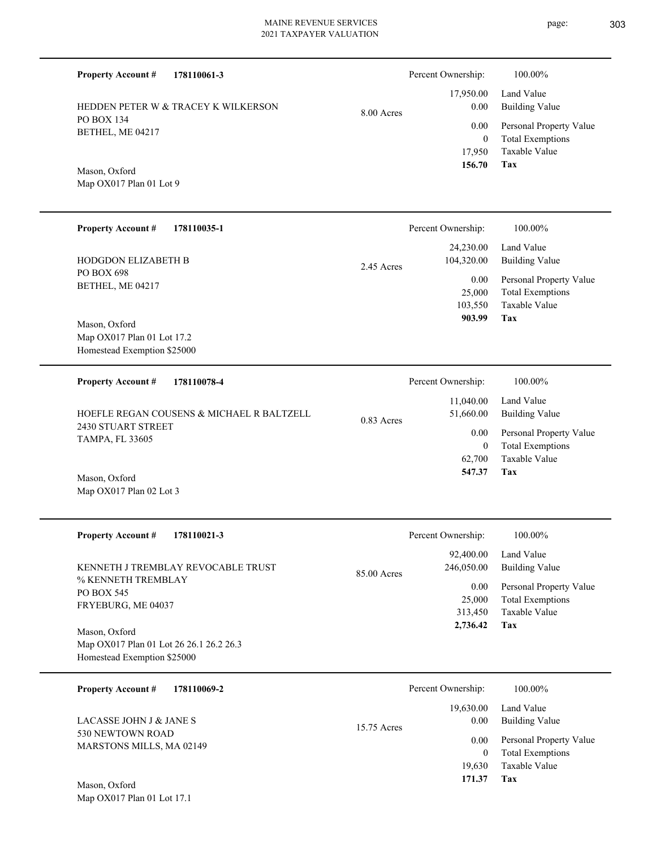**Tax** Taxable Value Total Exemptions Personal Property Value Building Value Land Value HEDDEN PETER W & TRACEY K WILKERSON 17,950 0  **156.70** 17,950.00 0.00 0.00 8.00 Acres **178110035-1** Building Value Land Value 24,230.00 104,320.00 Percent Ownership: 100.00%

2.45 Acres

PO BOX 698 BETHEL, ME 04217 HODGDON ELIZABETH B

Map OX017 Plan 01 Lot 9

**Property Account #**

PO BOX 134 BETHEL, ME 04217

Mason, Oxford

**Property Account #**

**178110061-3**

Map OX017 Plan 01 Lot 17.2 Homestead Exemption \$25000 Mason, Oxford

| 178110078-4<br><b>Property Account #</b>     | Percent Ownership:                     | 100.00%                      |
|----------------------------------------------|----------------------------------------|------------------------------|
| HOEFLE REGAN COUSENS & MICHAEL R BALTZELL    | 11,040.00<br>51,660.00<br>$0.83$ Acres | Land Value<br>Building Value |
| 2430 STUART STREET<br><b>TAMPA, FL 33605</b> | 0.00                                   | Personal Property Value      |
|                                              | $\theta$                               | <b>Total Exemptions</b>      |
|                                              | 62,700                                 | Taxable Value                |
| $\sim$ $\sim$ 1<br>$\mathbf{r}$              | 547.37                                 | Tax                          |

Map OX017 Plan 02 Lot 3 Mason, Oxford

| <b>Property Account #</b><br>178110021-3                                                                                                                 | Percent Ownership:                                                              | 100.00%                                                                                                    |
|----------------------------------------------------------------------------------------------------------------------------------------------------------|---------------------------------------------------------------------------------|------------------------------------------------------------------------------------------------------------|
| KENNETH J TREMBLAY REVOCABLE TRUST<br>% KENNETH TREMBLAY<br>PO BOX 545<br>FRYEBURG, ME 04037<br>Mason, Oxford<br>Map OX017 Plan 01 Lot 26 26.1 26.2 26.3 | 92,400.00<br>246,050.00<br>85.00 Acres<br>0.00<br>25,000<br>313,450<br>2,736.42 | Land Value<br>Building Value<br>Personal Property Value<br><b>Total Exemptions</b><br>Taxable Value<br>Tax |
| Homestead Exemption \$25000                                                                                                                              |                                                                                 |                                                                                                            |
| <b>Property Account #</b><br>178110069-2                                                                                                                 | Percent Ownership:                                                              | 100.00%                                                                                                    |
|                                                                                                                                                          | 19,630.00                                                                       | Land Value                                                                                                 |

| $\sim$ $\sim$ 1                              |               | 171.37         | Tax                     |
|----------------------------------------------|---------------|----------------|-------------------------|
|                                              |               | 19.630         | Taxable Value           |
| 530 NEWTOWN ROAD<br>MARSTONS MILLS, MA 02149 |               |                | Total Exemptions        |
|                                              |               | $0.00^{\circ}$ | Personal Property Value |
| LACASSE JOHN J & JANE S                      | $15.75$ Acres | 0.00           | Building Value          |
|                                              |               | 19.030.00      | Laliu valut             |

Map OX017 Plan 01 Lot 17.1 Mason, Oxford

Percent Ownership:  $100.00\%$ 

**Tax**

 103,550 25,000

0.00

 **903.99**

Taxable Value Total Exemptions Personal Property Value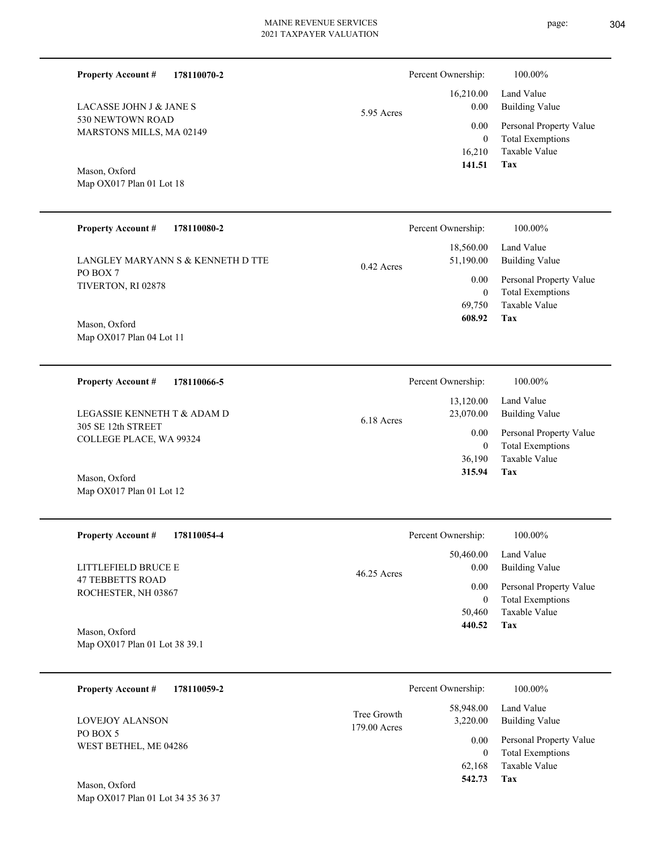Percent Ownership:  $100.00\%$ 

|              | 141.51   | Tax                          |
|--------------|----------|------------------------------|
|              |          | 16,210 Taxable Value         |
|              | $\theta$ | <b>Total Exemptions</b>      |
|              |          | 0.00 Personal Property Value |
| $5.95$ Acres |          | 0.00 Building Value          |
|              |          | 16,210.00 Land Value         |
|              |          |                              |

Mason, Oxford

530 NEWTOWN ROAD MARSTONS MILLS, MA 02149

LACASSE JOHN J & JANE S

**Property Account #**

**178110070-2**

Map OX017 Plan 01 Lot 18

Map OX017 Plan 01 Lot 12

| <b>Property Account #</b><br>178110080-2                                                                           | Percent Ownership:                                                                 | 100.00%                                                                                                    |
|--------------------------------------------------------------------------------------------------------------------|------------------------------------------------------------------------------------|------------------------------------------------------------------------------------------------------------|
| LANGLEY MARYANN S & KENNETH D TTE<br>PO BOX 7<br>TIVERTON, RI 02878<br>Mason, Oxford<br>Map $OX017$ Plan 04 Lot 11 | 18,560.00<br>51,190.00<br>$0.42$ Acres<br>0.00<br>$\mathbf{0}$<br>69.750<br>608.92 | Land Value<br>Building Value<br>Personal Property Value<br><b>Total Exemptions</b><br>Taxable Value<br>Tax |
| <b>Property Account #</b><br>178110066-5                                                                           | Percent Ownership:                                                                 | 100.00%                                                                                                    |

| LEGASSIE KENNETH T & ADAM D<br>305 SE 12th STREET<br>COLLEGE PLACE, WA 99324<br>Mason, Oxford | 6.18 Acres | 13,120.00<br>23,070.00<br>0.00<br>$\bf{0}$<br>36,190<br>315.94 | Land Value<br>Building Value<br>Personal Property Value<br><b>Total Exemptions</b><br>Taxable Value<br>Tax |
|-----------------------------------------------------------------------------------------------|------------|----------------------------------------------------------------|------------------------------------------------------------------------------------------------------------|
|                                                                                               |            |                                                                |                                                                                                            |

| Percent Ownership:    | 100.00%                 |
|-----------------------|-------------------------|
| 50,460.00             | Land Value              |
| 0.00<br>$46.25$ Acres | Building Value          |
| 0.00                  | Personal Property Value |
| $\mathbf{0}$          | <b>Total Exemptions</b> |
| 50,460                | Taxable Value           |
| 440.52                | Tax                     |
|                       |                         |
|                       |                         |

| 178110059-2<br><b>Property Account #</b> | Percent Ownership:          |                       | 100.00%                                            |
|------------------------------------------|-----------------------------|-----------------------|----------------------------------------------------|
| LOVEJOY ALANSON                          | Tree Growth<br>179.00 Acres | 58,948.00<br>3,220.00 | Land Value<br>Building Value                       |
| PO BOX 5<br>WEST BETHEL, ME 04286        |                             | 0.00<br>$\theta$      | Personal Property Value<br><b>Total Exemptions</b> |
|                                          |                             | 62.168                | Taxable Value                                      |
| Mason, Oxford                            |                             | 542.73                | Tax                                                |

Map OX017 Plan 01 Lot 34 35 36 37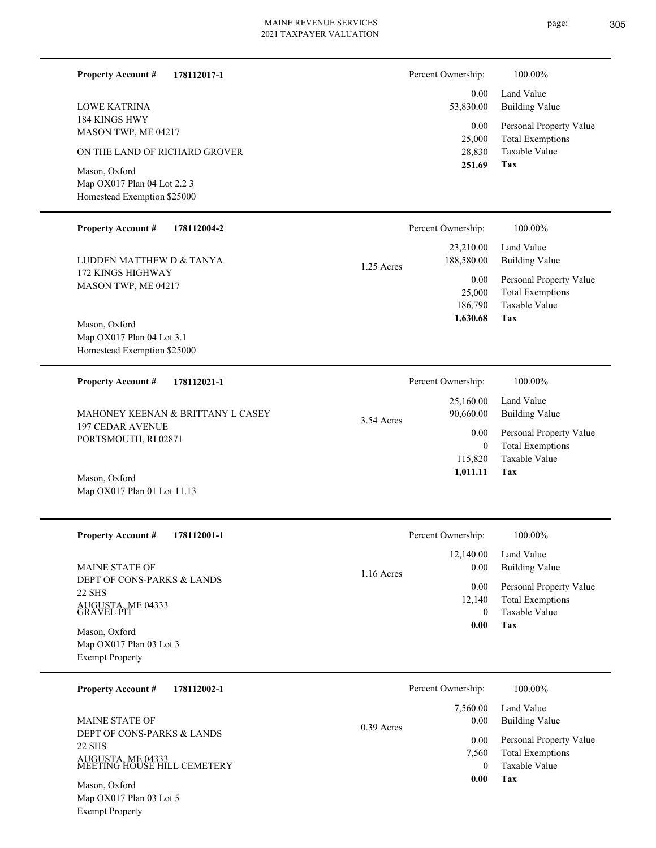page: 305

| <b>Property Account #</b><br>178112017-1          |              | Percent Ownership:      | 100.00%                                            |
|---------------------------------------------------|--------------|-------------------------|----------------------------------------------------|
| <b>LOWE KATRINA</b>                               |              | 0.00<br>53,830.00       | Land Value<br><b>Building Value</b>                |
| 184 KINGS HWY<br>MASON TWP, ME 04217              |              | 0.00<br>25,000          | Personal Property Value<br><b>Total Exemptions</b> |
| ON THE LAND OF RICHARD GROVER                     |              | 28,830                  | Taxable Value                                      |
| Mason, Oxford<br>Map OX017 Plan 04 Lot 2.2 3      |              | 251.69                  | Tax                                                |
| Homestead Exemption \$25000                       |              |                         |                                                    |
| <b>Property Account #</b><br>178112004-2          |              | Percent Ownership:      | 100.00%                                            |
| LUDDEN MATTHEW D & TANYA                          | 1.25 Acres   | 23,210.00<br>188,580.00 | Land Value<br><b>Building Value</b>                |
| 172 KINGS HIGHWAY<br>MASON TWP, ME 04217          |              | 0.00<br>25,000          | Personal Property Value<br><b>Total Exemptions</b> |
|                                                   |              | 186,790                 | Taxable Value                                      |
| Mason, Oxford<br>Map OX017 Plan 04 Lot 3.1        |              | 1,630.68                | Tax                                                |
| Homestead Exemption \$25000                       |              |                         |                                                    |
| <b>Property Account #</b><br>178112021-1          |              | Percent Ownership:      | 100.00%                                            |
| MAHONEY KEENAN & BRITTANY L CASEY                 | 3.54 Acres   | 25,160.00<br>90,660.00  | Land Value<br><b>Building Value</b>                |
| <b>197 CEDAR AVENUE</b><br>PORTSMOUTH, RI 02871   |              | 0.00                    | Personal Property Value                            |
|                                                   |              | $\mathbf{0}$<br>115,820 | <b>Total Exemptions</b><br>Taxable Value           |
| Mason, Oxford                                     |              | 1,011.11                | Tax                                                |
| Map OX017 Plan 01 Lot 11.13                       |              |                         |                                                    |
| <b>Property Account #</b><br>178112001-1          |              | Percent Ownership:      | 100.00%                                            |
| MAINE STATE OF                                    |              | 12,140.00<br>0.00       | Land Value<br><b>Building Value</b>                |
| DEPT OF CONS-PARKS & LANDS                        | 1.16 Acres   | 0.00                    | Personal Property Value                            |
| 22 SHS<br>AUGUSTA, ME 04333<br>GRAVEL PIT         |              | 12,140<br>$\mathbf{0}$  | <b>Total Exemptions</b><br>Taxable Value           |
| Mason, Oxford                                     |              | 0.00                    | Tax                                                |
| Map OX017 Plan 03 Lot 3<br><b>Exempt Property</b> |              |                         |                                                    |
|                                                   |              |                         |                                                    |
| <b>Property Account #</b><br>178112002-1          |              | Percent Ownership:      | 100.00%                                            |
| MAINE STATE OF                                    | $0.39$ Acres | 7,560.00<br>0.00        | Land Value<br><b>Building Value</b>                |
| DEPT OF CONS-PARKS & LANDS<br>22 SHS              |              | 0.00                    | Personal Property Value                            |
| AUGUSTA, ME 04333<br>MEETING HOUSE HILL CEMETERY  |              | 7,560<br>$\mathbf{0}$   | <b>Total Exemptions</b><br>Taxable Value           |
| Mason, Oxford                                     |              | 0.00                    | Tax                                                |
| Map OX017 Plan 03 Lot 5<br><b>Exempt Property</b> |              |                         |                                                    |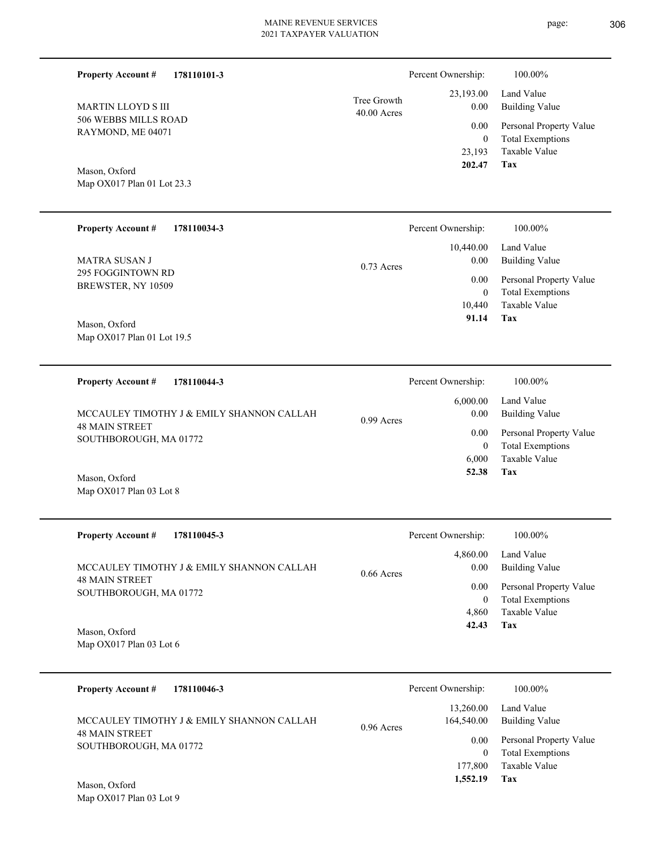40.00 Acres Tree Growth

**178110101-3**

506 WEBBS MILLS ROAD RAYMOND, ME 04071

MARTIN LLOYD S III

Map OX017 Plan 01 Lot 23.3

**Property Account #**

Mason, Oxford

| <b>Property Account #</b><br>178110034-3 | Percent Ownership:   | 100.00%                 |
|------------------------------------------|----------------------|-------------------------|
|                                          | 10,440.00            | Land Value              |
| <b>MATRA SUSAN J</b>                     | 0.00<br>$0.73$ Acres | <b>Building Value</b>   |
| 295 FOGGINTOWN RD                        | 0.00                 | Personal Property Value |
| BREWSTER, NY 10509                       | $\mathbf{0}$         | <b>Total Exemptions</b> |
|                                          | 10.440               | Taxable Value           |
| Mason, Oxford                            | 91.14                | Tax                     |
| Map OX017 Plan 01 Lot 19.5               |                      |                         |

| 178110044-3<br><b>Property Account #</b>        | Percent Ownership:               | 100.00%                                            |
|-------------------------------------------------|----------------------------------|----------------------------------------------------|
| MCCAULEY TIMOTHY J & EMILY SHANNON CALLAH       | 6,000.00<br>0.00<br>$0.99$ Acres | Land Value<br><b>Building Value</b>                |
| <b>48 MAIN STREET</b><br>SOUTHBOROUGH, MA 01772 | 0.00<br>0                        | Personal Property Value<br><b>Total Exemptions</b> |
|                                                 | 6.000                            | Taxable Value                                      |
| Mason, Oxford<br>Map OX017 Plan 03 Lot 8        | 52.38                            | Tax                                                |

| <b>Property Account #</b><br>178110045-3                           | Percent Ownership:               | 100.00%                                            |
|--------------------------------------------------------------------|----------------------------------|----------------------------------------------------|
| MCCAULEY TIMOTHY J & EMILY SHANNON CALLAH<br><b>48 MAIN STREET</b> | 4,860.00<br>0.00<br>$0.66$ Acres | Land Value<br>Building Value                       |
| SOUTHBOROUGH, MA 01772                                             | 0.00                             | Personal Property Value<br><b>Total Exemptions</b> |
|                                                                    | 4.860<br>42.43                   | Taxable Value<br>Tax                               |
| Mason Oxford                                                       |                                  |                                                    |

Map OX017 Plan 03 Lot 6 Mason, Oxford

| 178110046-3<br><b>Property Account #</b>                           | Percent Ownership:                      | 100.00%                                                             |
|--------------------------------------------------------------------|-----------------------------------------|---------------------------------------------------------------------|
| MCCAULEY TIMOTHY J & EMILY SHANNON CALLAH<br><b>48 MAIN STREET</b> | 13,260.00<br>164,540.00<br>$0.96$ Acres | Land Value<br><b>Building Value</b>                                 |
| SOUTHBOROUGH, MA 01772                                             | 0.00<br>177,800                         | Personal Property Value<br><b>Total Exemptions</b><br>Taxable Value |
| Mason, Oxford                                                      | 1,552.19                                | Tax                                                                 |

**Tax**

 23,193 0

 23,193.00 0.00 0.00

Percent Ownership:  $100.00\%$ 

 **202.47**

Taxable Value Total Exemptions Personal Property Value

Building Value Land Value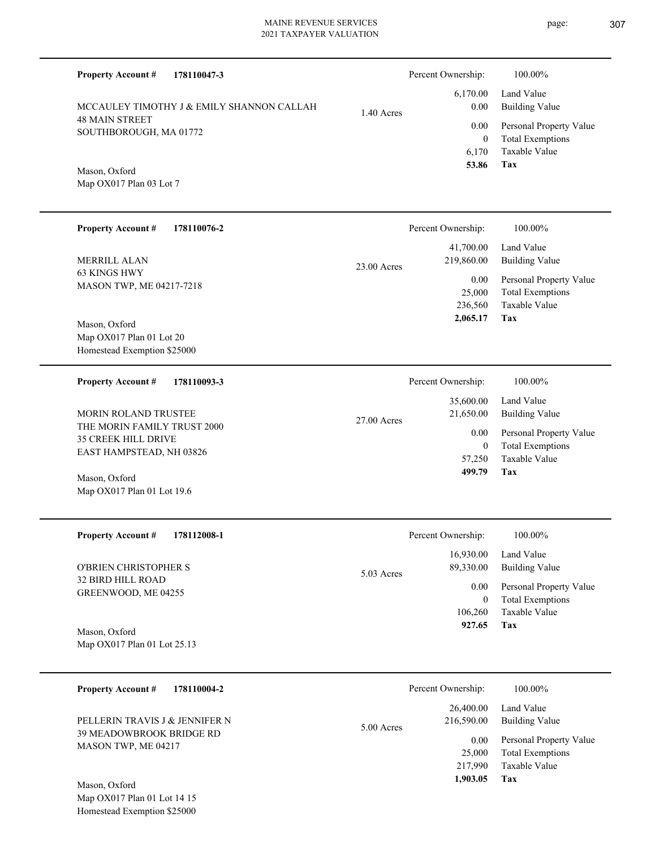| <b>Property Account #</b><br>178110047-3                                                                      |               | Percent Ownership:<br>6,170.00                 | 100.00%<br>Land Value                                                                                      |
|---------------------------------------------------------------------------------------------------------------|---------------|------------------------------------------------|------------------------------------------------------------------------------------------------------------|
| MCCAULEY TIMOTHY J & EMILY SHANNON CALLAH<br><b>48 MAIN STREET</b><br>SOUTHBOROUGH, MA 01772<br>Mason, Oxford | $1.40$ Acres  | 0.00<br>0.00<br>$\mathbf{0}$<br>6,170<br>53.86 | <b>Building Value</b><br>Personal Property Value<br><b>Total Exemptions</b><br><b>Taxable Value</b><br>Tax |
| Map OX017 Plan 03 Lot 7                                                                                       |               |                                                |                                                                                                            |
| <b>Property Account #</b><br>178110076-2                                                                      |               | Percent Ownership:                             | 100.00%                                                                                                    |
| MERRILL ALAN                                                                                                  | $23.00$ Acres | 41,700.00<br>219,860.00                        | Land Value<br><b>Building Value</b>                                                                        |
| 63 KINGS HWY<br>MASON TWP, ME 04217-7218<br>Mason, Oxford                                                     |               | 0.00<br>25,000<br>236,560<br>2,065.17          | Personal Property Value<br><b>Total Exemptions</b><br>Taxable Value<br>Tax                                 |
| Map OX017 Plan 01 Lot 20<br>Homestead Exemption \$25000                                                       |               |                                                |                                                                                                            |
| <b>Property Account #</b><br>178110093-3                                                                      |               | Percent Ownership:                             | 100.00%                                                                                                    |
| <b>MORIN ROLAND TRUSTEE</b>                                                                                   | 27.00 Acres   | 35,600.00<br>21,650.00                         | Land Value<br><b>Building Value</b>                                                                        |
| THE MORIN FAMILY TRUST 2000<br><b>35 CREEK HILL DRIVE</b><br>EAST HAMPSTEAD, NH 03826                         |               | 0.00<br>$\mathbf{0}$                           | Personal Property Value<br><b>Total Exemptions</b>                                                         |
| Mason, Oxford<br>Map OX017 Plan 01 Lot 19.6                                                                   |               | 57,250<br>499.79                               | <b>Taxable Value</b><br>Tax                                                                                |
| <b>Property Account #</b><br>178112008-1                                                                      |               | Percent Ownership:                             | 100.00%                                                                                                    |
| O'BRIEN CHRISTOPHER S                                                                                         | 5.03 Acres    | 16,930.00<br>89,330.00                         | Land Value<br><b>Building Value</b>                                                                        |
| 32 BIRD HILL ROAD<br>GREENWOOD, ME 04255                                                                      |               | 0.00<br>$\boldsymbol{0}$<br>106,260<br>927.65  | Personal Property Value<br><b>Total Exemptions</b><br>Taxable Value<br>Tax                                 |
| Mason, Oxford<br>Map OX017 Plan 01 Lot 25.13                                                                  |               |                                                |                                                                                                            |
| 178110004-2<br><b>Property Account #</b>                                                                      |               | Percent Ownership:                             | 100.00%                                                                                                    |
| PELLERIN TRAVIS J & JENNIFER N                                                                                | 5.00 Acres    | 26,400.00<br>216,590.00                        | Land Value<br><b>Building Value</b>                                                                        |
| 39 MEADOWBROOK BRIDGE RD<br>MASON TWP, ME 04217                                                               |               | 0.00<br>25,000<br>217,990<br>1,903.05          | Personal Property Value<br><b>Total Exemptions</b><br>Taxable Value<br>Tax                                 |
| Mason, Oxford                                                                                                 |               |                                                |                                                                                                            |

Map OX017 Plan 01 Lot 14 15 Homestead Exemption \$25000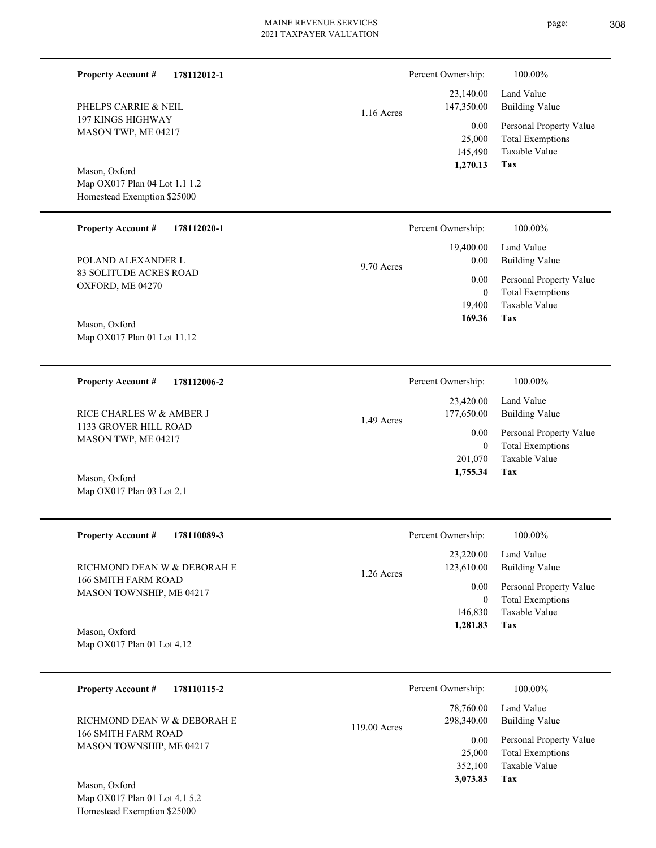| <b>Property Account #</b><br>178112012-1                     |              | Percent Ownership:                    | 100.00%                                                                    |
|--------------------------------------------------------------|--------------|---------------------------------------|----------------------------------------------------------------------------|
| PHELPS CARRIE & NEIL                                         | $1.16$ Acres | 23,140.00<br>147,350.00               | Land Value<br><b>Building Value</b>                                        |
| 197 KINGS HIGHWAY<br>MASON TWP, ME 04217                     |              | 0.00<br>25,000<br>145,490<br>1,270.13 | Personal Property Value<br><b>Total Exemptions</b><br>Taxable Value<br>Tax |
| Mason, Oxford                                                |              |                                       |                                                                            |
| Map OX017 Plan 04 Lot 1.1 1.2<br>Homestead Exemption \$25000 |              |                                       |                                                                            |
| <b>Property Account #</b><br>178112020-1                     |              | Percent Ownership:                    | 100.00%                                                                    |
| POLAND ALEXANDER L                                           | 9.70 Acres   | 19,400.00<br>0.00                     | Land Value<br><b>Building Value</b>                                        |
| 83 SOLITUDE ACRES ROAD<br>OXFORD, ME 04270                   |              | 0.00                                  | Personal Property Value                                                    |
|                                                              |              | $\mathbf{0}$<br>19,400                | <b>Total Exemptions</b><br>Taxable Value                                   |
| Mason, Oxford                                                |              | 169.36                                | Tax                                                                        |
| Map OX017 Plan 01 Lot 11.12                                  |              |                                       |                                                                            |
| <b>Property Account #</b><br>178112006-2                     |              | Percent Ownership:                    | 100.00%                                                                    |
| RICE CHARLES W & AMBER J                                     | 1.49 Acres   | 23,420.00<br>177,650.00               | Land Value<br><b>Building Value</b>                                        |
| 1133 GROVER HILL ROAD<br>MASON TWP, ME 04217                 |              | 0.00                                  | Personal Property Value                                                    |
|                                                              |              | $\overline{0}$<br>201,070             | <b>Total Exemptions</b><br>Taxable Value                                   |
| Mason, Oxford<br>Map OX017 Plan 03 Lot 2.1                   |              | 1,755.34                              | Tax                                                                        |
| 178110089-3<br><b>Property Account #</b>                     |              | Percent Ownership:                    | 100.00%                                                                    |
| RICHMOND DEAN W & DEBORAH E                                  | 1.26 Acres   | 23,220.00<br>123,610.00               | Land Value<br><b>Building Value</b>                                        |
| 166 SMITH FARM ROAD<br>MASON TOWNSHIP, ME 04217              |              | 0.00                                  | Personal Property Value                                                    |
|                                                              |              | $\overline{0}$<br>146,830             | <b>Total Exemptions</b><br>Taxable Value                                   |
| Mason, Oxford                                                |              | 1,281.83                              | Tax                                                                        |
| Map OX017 Plan 01 Lot 4.12                                   |              |                                       |                                                                            |
| <b>Property Account #</b><br>178110115-2                     |              | Percent Ownership:                    | 100.00%                                                                    |
| RICHMOND DEAN W & DEBORAH E                                  |              | 78,760.00<br>298,340.00               | Land Value<br><b>Building Value</b>                                        |
| 166 SMITH FARM ROAD<br>MASON TOWNSHIP, ME 04217              | 119.00 Acres | 0.00                                  | Personal Property Value                                                    |
|                                                              |              | 25,000<br>352,100                     | <b>Total Exemptions</b><br>Taxable Value                                   |
| Mason, Oxford                                                |              | 3,073.83                              | Tax                                                                        |
| Map OX017 Plan 01 Lot 4.1 5.2                                |              |                                       |                                                                            |

Homestead Exemption \$25000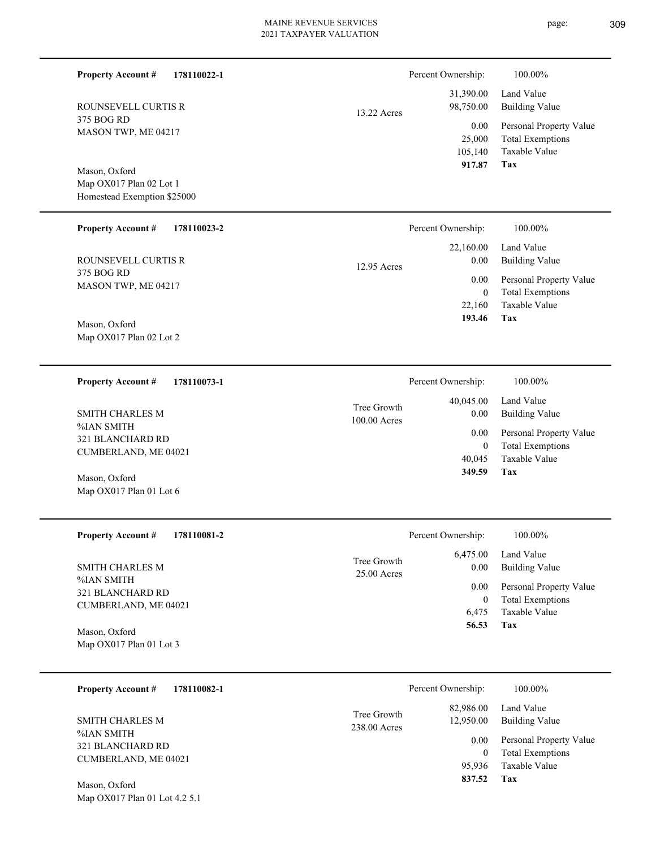| <b>Property Account #</b><br>178110022-1               |              | Percent Ownership:                  | 100.00%                                                                           |
|--------------------------------------------------------|--------------|-------------------------------------|-----------------------------------------------------------------------------------|
| ROUNSEVELL CURTIS R                                    | 13.22 Acres  | 31,390.00<br>98,750.00              | Land Value<br><b>Building Value</b>                                               |
| 375 BOG RD<br>MASON TWP, ME 04217                      |              | 0.00<br>25,000<br>105,140<br>917.87 | Personal Property Value<br><b>Total Exemptions</b><br>Taxable Value<br><b>Tax</b> |
| Mason, Oxford                                          |              |                                     |                                                                                   |
| Map OX017 Plan 02 Lot 1<br>Homestead Exemption \$25000 |              |                                     |                                                                                   |
|                                                        |              |                                     |                                                                                   |
| <b>Property Account #</b><br>178110023-2               |              | Percent Ownership:                  | 100.00%                                                                           |
| ROUNSEVELL CURTIS R                                    |              | 22,160.00<br>0.00                   | Land Value<br><b>Building Value</b>                                               |
| 375 BOG RD                                             | 12.95 Acres  |                                     |                                                                                   |
| MASON TWP, ME 04217                                    |              | 0.00<br>$\mathbf{0}$                | Personal Property Value<br><b>Total Exemptions</b>                                |
|                                                        |              | 22,160                              | Taxable Value                                                                     |
| Mason, Oxford                                          |              | 193.46                              | Tax                                                                               |
| Map OX017 Plan 02 Lot 2                                |              |                                     |                                                                                   |
|                                                        |              |                                     |                                                                                   |
| <b>Property Account #</b><br>178110073-1               |              | Percent Ownership:                  | 100.00%                                                                           |
|                                                        | Tree Growth  | 40,045.00                           | Land Value                                                                        |
| <b>SMITH CHARLES M</b><br>%IAN SMITH                   | 100.00 Acres | 0.00                                | <b>Building Value</b>                                                             |
| 321 BLANCHARD RD                                       |              | 0.00<br>$\boldsymbol{0}$            | Personal Property Value<br><b>Total Exemptions</b>                                |
| CUMBERLAND, ME 04021                                   |              | 40,045                              | Taxable Value                                                                     |
| Mason, Oxford                                          |              | 349.59                              | Tax                                                                               |
| Map OX017 Plan 01 Lot 6                                |              |                                     |                                                                                   |
|                                                        |              |                                     |                                                                                   |
| <b>Property Account #</b><br>178110081-2               |              | Percent Ownership:                  | $100.00\%$                                                                        |
|                                                        | Tree Growth  | 6,475.00                            | Land Value                                                                        |
| <b>SMITH CHARLES M</b><br>%IAN SMITH                   | 25.00 Acres  | 0.00                                | <b>Building Value</b>                                                             |
| 321 BLANCHARD RD                                       |              | 0.00<br>$\boldsymbol{0}$            | Personal Property Value<br><b>Total Exemptions</b>                                |
| CUMBERLAND, ME 04021                                   |              | 6,475                               | <b>Taxable Value</b>                                                              |
| Mason, Oxford                                          |              | 56.53                               | Tax                                                                               |
| Map OX017 Plan 01 Lot 3                                |              |                                     |                                                                                   |
|                                                        |              |                                     |                                                                                   |
| <b>Property Account #</b><br>178110082-1               |              | Percent Ownership:                  | 100.00%                                                                           |
| <b>SMITH CHARLES M</b>                                 | Tree Growth  | 82,986.00<br>12,950.00              | Land Value<br><b>Building Value</b>                                               |
| %IAN SMITH                                             | 238.00 Acres | 0.00                                | Personal Property Value                                                           |
| 321 BLANCHARD RD<br>CUMBERLAND, ME 04021               |              | $\boldsymbol{0}$                    | <b>Total Exemptions</b>                                                           |
|                                                        |              | 95,936                              | Taxable Value                                                                     |
| Mason, Oxford                                          |              | 837.52                              | Tax                                                                               |
| Map OX017 Plan 01 Lot 4.2 5.1                          |              |                                     |                                                                                   |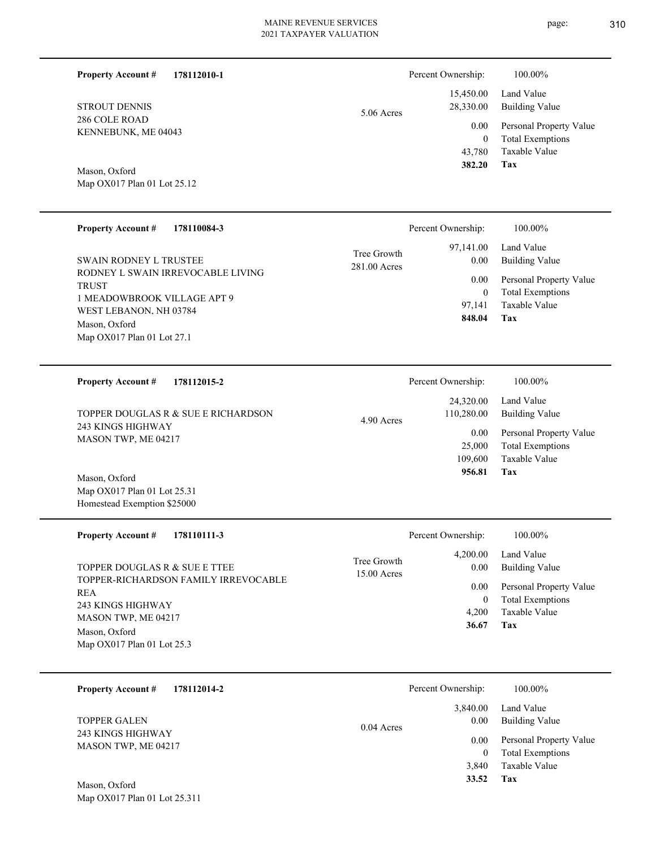5.06 Acres

**178112010-1**

286 COLE ROAD KENNEBUNK, ME 04043 STROUT DENNIS

**Property Account #**

Map OX017 Plan 01 Lot 25.12 Mason, Oxford

| <b>Property Account #</b><br>178110084-3                                                                                                                                                   | Percent Ownership:                                                                           | 100.00%                                                                                                    |
|--------------------------------------------------------------------------------------------------------------------------------------------------------------------------------------------|----------------------------------------------------------------------------------------------|------------------------------------------------------------------------------------------------------------|
| <b>SWAIN RODNEY L TRUSTEE</b><br>RODNEY L SWAIN IRREVOCABLE LIVING<br><b>TRUST</b><br>1 MEADOWBROOK VILLAGE APT 9<br>WEST LEBANON, NH 03784<br>Mason, Oxford<br>Map OX017 Plan 01 Lot 27.1 | 97,141.00<br>Tree Growth<br>0.00<br>281.00 Acres<br>0.00<br>$\mathbf{0}$<br>97.141<br>848.04 | Land Value<br>Building Value<br>Personal Property Value<br><b>Total Exemptions</b><br>Taxable Value<br>Tax |
| 178112015-2<br><b>Property Account #</b>                                                                                                                                                   | Percent Ownership:                                                                           | 100.00%                                                                                                    |

| TOPPER DOUGLAS R & SUE E RICHARDSON<br>243 KINGS HIGHWAY | 4.90 Acres | 24,320.00<br>110,280.00 | Land Value<br>Building Value |
|----------------------------------------------------------|------------|-------------------------|------------------------------|
| MASON TWP, ME 04217                                      |            | 0.00                    | Personal Property Value      |
|                                                          |            | 25,000                  | Total Exemptions             |
|                                                          |            | 109.600                 | Taxable Value                |
| $M_{\text{max}} \Omega_{\text{max}}$                     |            | 956.81                  | Tax                          |

Map OX017 Plan 01 Lot 25.31 Homestead Exemption \$25000 Mason, Oxford

| <b>Property Account #</b><br>178110111-3                                                                                                                                         | Percent Ownership:                                         | 100.00%                                                                                                                                |
|----------------------------------------------------------------------------------------------------------------------------------------------------------------------------------|------------------------------------------------------------|----------------------------------------------------------------------------------------------------------------------------------------|
| TOPPER DOUGLAS R & SUE E TTEE<br>TOPPER-RICHARDSON FAMILY IRREVOCABLE<br><b>REA</b><br>243 KINGS HIGHWAY<br>MASON TWP, ME 04217<br>Mason, Oxford<br>Map $OX017$ Plan 01 Lot 25.3 | 4,200.00<br>Tree Growth<br>$15.00$ Acres<br>4.200<br>36.67 | Land Value<br>Building Value<br>0.00<br>Personal Property Value<br>0.00<br><b>Total Exemptions</b><br>$\theta$<br>Taxable Value<br>Tax |

| 178112014-2<br><b>Property Account #</b> | Percent Ownership:               | 100.00%                                                             |
|------------------------------------------|----------------------------------|---------------------------------------------------------------------|
| <b>TOPPER GALEN</b><br>243 KINGS HIGHWAY | 3,840.00<br>0.00<br>$0.04$ Acres | Land Value<br><b>Building Value</b>                                 |
| MASON TWP, ME 04217                      | 0.00<br>0<br>3.840               | Personal Property Value<br><b>Total Exemptions</b><br>Taxable Value |
| Mason, Oxford                            | 33.52                            | Tax                                                                 |

**Tax**

 43,780 0

0.00

Percent Ownership:  $100.00\%$ 

 15,450.00 28,330.00

 **382.20**

Taxable Value Total Exemptions Personal Property Value

Building Value Land Value

Map OX017 Plan 01 Lot 25.311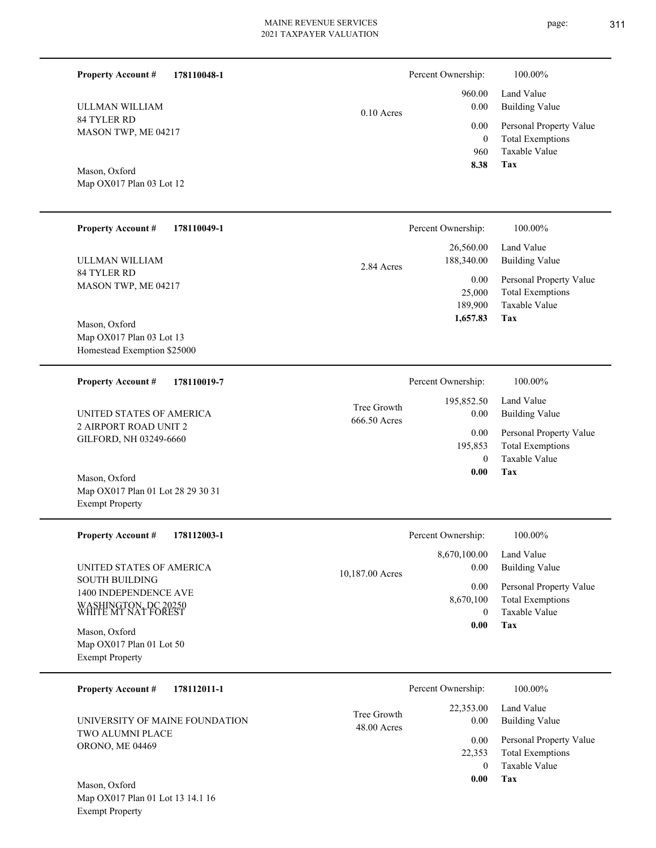page: 311

| <b>Property Account #</b><br>178110048-1                                                      |                             | Percent Ownership:                     | 100.00%                                                                    |
|-----------------------------------------------------------------------------------------------|-----------------------------|----------------------------------------|----------------------------------------------------------------------------|
| ULLMAN WILLIAM                                                                                | $0.10$ Acres                | 960.00<br>0.00                         | Land Value<br><b>Building Value</b>                                        |
| 84 TYLER RD<br>MASON TWP, ME 04217                                                            |                             | 0.00<br>$\overline{0}$<br>960<br>8.38  | Personal Property Value<br><b>Total Exemptions</b><br>Taxable Value<br>Tax |
| Mason, Oxford<br>Map OX017 Plan 03 Lot 12                                                     |                             |                                        |                                                                            |
| <b>Property Account #</b><br>178110049-1                                                      |                             | Percent Ownership:                     | 100.00%                                                                    |
| ULLMAN WILLIAM                                                                                | 2.84 Acres                  | 26,560.00<br>188,340.00                | Land Value<br><b>Building Value</b>                                        |
| 84 TYLER RD<br>MASON TWP, ME 04217                                                            |                             | 0.00<br>25,000<br>189,900<br>1,657.83  | Personal Property Value<br><b>Total Exemptions</b><br>Taxable Value<br>Tax |
| Mason, Oxford<br>Map OX017 Plan 03 Lot 13<br>Homestead Exemption \$25000                      |                             |                                        |                                                                            |
| 178110019-7<br><b>Property Account #</b>                                                      |                             | Percent Ownership:                     | $100.00\%$                                                                 |
| UNITED STATES OF AMERICA                                                                      | Tree Growth<br>666.50 Acres | 195,852.50<br>0.00                     | Land Value<br><b>Building Value</b>                                        |
| 2 AIRPORT ROAD UNIT 2<br>GILFORD, NH 03249-6660                                               |                             | 0.00<br>195,853                        | Personal Property Value<br><b>Total Exemptions</b>                         |
| Mason, Oxford<br>Map OX017 Plan 01 Lot 28 29 30 31<br><b>Exempt Property</b>                  |                             | $\theta$<br>0.00                       | Taxable Value<br>Tax                                                       |
| <b>Property Account #</b><br>178112003-1                                                      |                             | Percent Ownership:                     | 100.00%                                                                    |
| UNITED STATES OF AMERICA                                                                      | 10,187.00 Acres             | 8,670,100.00<br>0.00                   | Land Value<br><b>Building Value</b>                                        |
| <b>SOUTH BUILDING</b><br>1400 INDEPENDENCE AVE<br>WASHINGTON, DC 20250<br>WHITE MT NAT FOREST |                             | 0.00<br>8,670,100<br>$\mathbf{0}$      | Personal Property Value<br><b>Total Exemptions</b><br>Taxable Value        |
| Mason, Oxford<br>Map OX017 Plan 01 Lot 50<br><b>Exempt Property</b>                           |                             | $\boldsymbol{0.00}$                    | Tax                                                                        |
| <b>Property Account #</b><br>178112011-1                                                      |                             | Percent Ownership:                     | 100.00%                                                                    |
| UNIVERSITY OF MAINE FOUNDATION                                                                | Tree Growth<br>48.00 Acres  | 22,353.00<br>0.00                      | Land Value<br><b>Building Value</b>                                        |
| TWO ALUMNI PLACE<br>ORONO, ME 04469                                                           |                             | 0.00<br>22,353<br>$\mathbf{0}$<br>0.00 | Personal Property Value<br><b>Total Exemptions</b><br>Taxable Value<br>Tax |
| Mason, Oxford<br>Map OX017 Plan 01 Lot 13 14.1 16                                             |                             |                                        |                                                                            |

Exempt Property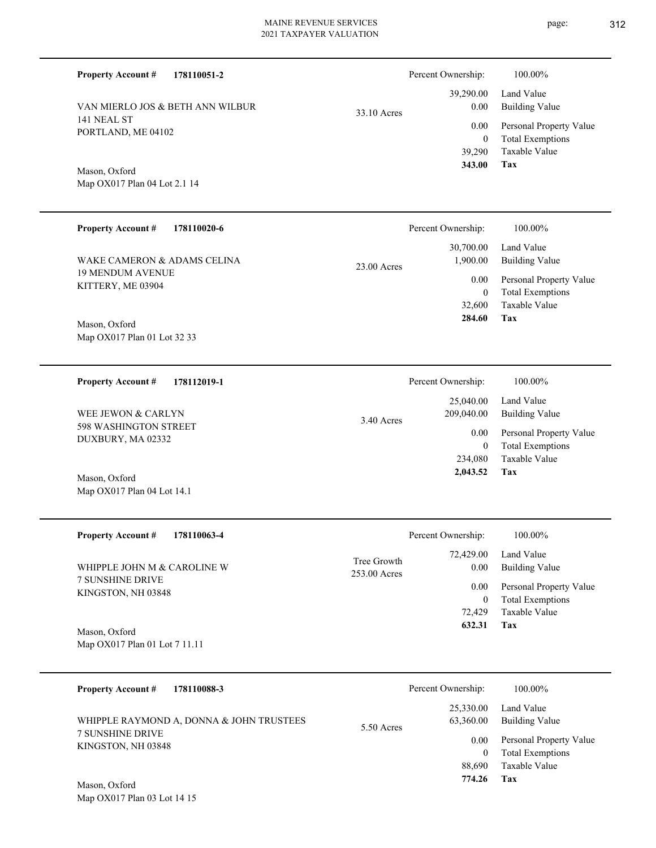PORTLAND, ME 04102 Map OX017 Plan 04 Lot 2.1 14 VAN MIERLO JOS & BETH ANN WILBUR 33.10 Acres

**178110051-2**

141 NEAL ST

Mason, Oxford

**Property Account #**

| <b>Property Account #</b><br>178110020-6     | Percent Ownership:       | 100.00%                                                            |
|----------------------------------------------|--------------------------|--------------------------------------------------------------------|
| WAKE CAMERON & ADAMS CELINA                  | 30,700.00<br>1,900.00    | Land Value<br><b>Building Value</b>                                |
| <b>19 MENDUM AVENUE</b><br>KITTERY, ME 03904 | $23.00$ Acres<br>0.00    | Personal Property Value<br><b>Total Exemptions</b><br>$\mathbf{0}$ |
|                                              | 32,600                   | Taxable Value                                                      |
| Mason, Oxford                                | 284.60                   | Tax                                                                |
| Map OX017 Plan 01 Lot 32 33                  |                          |                                                                    |
| 178112019-1<br><b>Property Account #</b>     | Percent Ownership:       | 100.00%                                                            |
|                                              | 25,040.00                | Land Value                                                         |
| WEE JEWON & CARLYN                           | 209,040.00<br>3.40 Acres | <b>Building Value</b>                                              |
| 598 WASHINGTON STREET<br>DI WDLIDY LLA 00000 | 0.00                     | Personal Property Value                                            |

Map OX017 Plan 04 Lot 14.1 Mason, Oxford

DUXBURY, MA 02332

| <b>Property Account #</b><br>178110063-4      | Percent Ownership:                               | 100.00%                                            |
|-----------------------------------------------|--------------------------------------------------|----------------------------------------------------|
| WHIPPLE JOHN M & CAROLINE W                   | 72,429.00<br>Tree Growth<br>0.00<br>253.00 Acres | Land Value<br>Building Value                       |
| <b>7 SUNSHINE DRIVE</b><br>KINGSTON, NH 03848 | 0.00<br>$\mathbf{0}$                             | Personal Property Value<br><b>Total Exemptions</b> |
|                                               | 72.429                                           | Taxable Value                                      |
| Mason, Oxford                                 | 632.31                                           | Tax                                                |
| Map OX017 Plan 01 Lot 7 11.11                 |                                                  |                                                    |
|                                               |                                                  |                                                    |
| 178110088-3<br><b>Property Account #</b>      | Percent Ownership:                               | 100 00%                                            |

| $110 \mu m$ , $1000 \mu m$               |            |                        | 10000070                     |
|------------------------------------------|------------|------------------------|------------------------------|
| WHIPPLE RAYMOND A, DONNA & JOHN TRUSTEES | 5.50 Acres | 25,330.00<br>63,360.00 | Land Value<br>Building Value |
| <b>7 SUNSHINE DRIVE</b>                  |            | $0.00\,$               | Personal Property Value      |
| KINGSTON, NH 03848                       |            |                        | <b>Total Exemptions</b>      |
|                                          |            | 88,690                 | Taxable Value                |
| $\mathbf{M} \cap \mathbf{C}$             |            | 774.26                 | Tax                          |

Map OX017 Plan 03 Lot 14 15 Mason, Oxford

**Tax**

**Tax**

 234,080 0

 **2,043.52**

Taxable Value Total Exemptions

 39,290 0

 39,290.00 0.00 0.00

Percent Ownership:  $100.00\%$ 

 **343.00**

Taxable Value Total Exemptions Personal Property Value

Building Value Land Value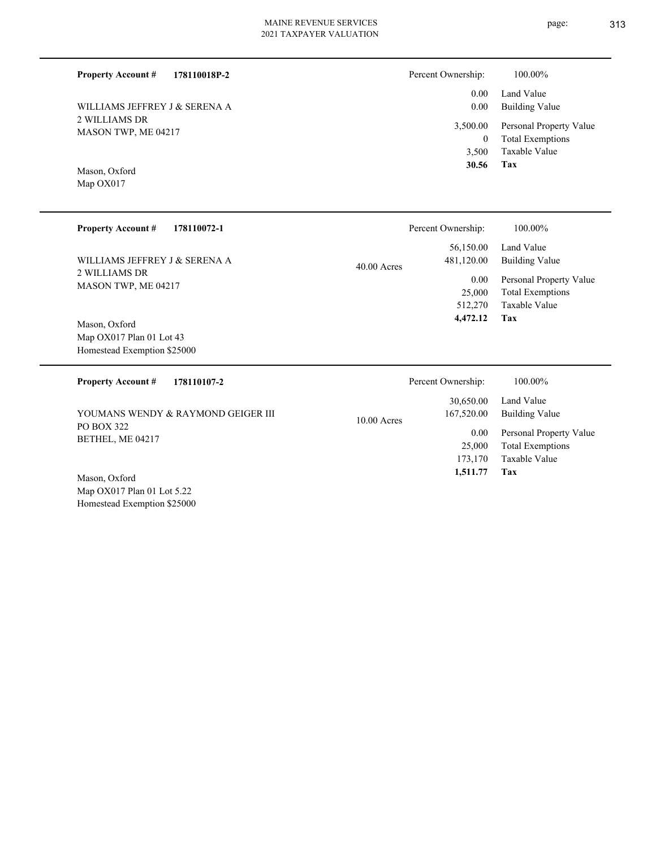#### **178110018P-2 Property Account #**

2 WILLIAMS DR MASON TWP, ME 04217 WILLIAMS JEFFREY J & SERENA A

Map OX017 Mason, Oxford

| Percent Ownership:   | 100.00%                                                     |
|----------------------|-------------------------------------------------------------|
| $0.00 -$<br>$0.00\,$ | Land Value<br>Building Value                                |
| 0                    | 3,500.00 Personal Property Value<br><b>Total Exemptions</b> |
| 3,500                | Taxable Value                                               |
| 30.56                | Tax                                                         |

**Tax**

 173,170 25,000

 **1,511.77**

Taxable Value Total Exemptions

| <b>Property Account #</b><br>178110072-1                                 | Percent Ownership:                                                        | 100.00%                                                                                                      |
|--------------------------------------------------------------------------|---------------------------------------------------------------------------|--------------------------------------------------------------------------------------------------------------|
| WILLIAMS JEFFREY J & SERENA A<br>2 WILLIAMS DR<br>MASON TWP, ME 04217    | 56,150.00<br>481,120.00<br>$40.00$ Acres<br>$0.00\,$<br>25,000<br>512,270 | Land Value<br><b>Building Value</b><br>Personal Property Value<br><b>Total Exemptions</b><br>Taxable Value   |
| Mason, Oxford<br>Map OX017 Plan 01 Lot 43<br>Homestead Exemption \$25000 | 4,472.12                                                                  | Tax                                                                                                          |
| <b>Property Account #</b><br>178110107-2                                 | Percent Ownership:                                                        | 100.00%                                                                                                      |
| YOUMANS WENDY & RAYMOND GEIGER III<br>PO BOX 322<br>BETHEL, ME 04217     | 30,650.00<br>167,520.00<br>$10.00$ Acres<br>0.00<br>2500                  | Land Value<br><b>Building Value</b><br>Personal Property Value<br>$\mathbf{m}$ , $\mathbf{m}$ , $\mathbf{m}$ |

Map OX017 Plan 01 Lot 5.22 Homestead Exemption \$25000 Mason, Oxford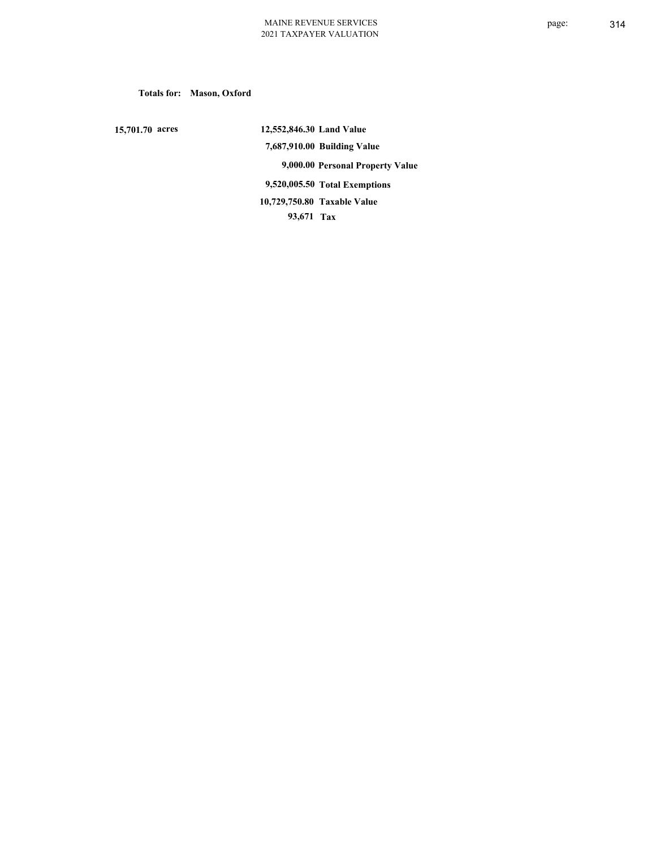**Totals for: Mason, Oxford**

 **15,701.70 acres**

 **12,552,846.30 Land Value 7,687,910.00 Building Value 9,000.00 Personal Property Value 9,520,005.50 Total Exemptions 93,671 Tax Taxable Value 10,729,750.80**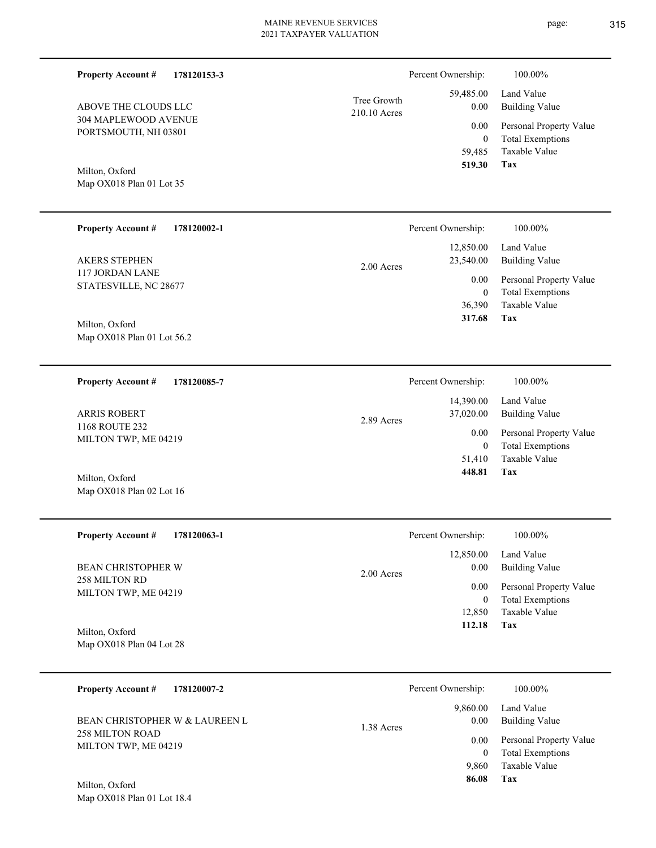| <b>Property Account #</b><br>178120153-3        |                             | Percent Ownership:         | 100.00%                                            |
|-------------------------------------------------|-----------------------------|----------------------------|----------------------------------------------------|
| ABOVE THE CLOUDS LLC                            | Tree Growth<br>210.10 Acres | 59,485.00<br>0.00          | Land Value<br><b>Building Value</b>                |
| 304 MAPLEWOOD AVENUE<br>PORTSMOUTH, NH 03801    |                             | 0.00<br>$\boldsymbol{0}$   | Personal Property Value<br><b>Total Exemptions</b> |
|                                                 |                             | 59,485                     | Taxable Value                                      |
| Milton, Oxford<br>Map OX018 Plan 01 Lot 35      |                             | 519.30                     | Tax                                                |
|                                                 |                             |                            |                                                    |
| <b>Property Account #</b><br>178120002-1        |                             | Percent Ownership:         | 100.00%                                            |
| <b>AKERS STEPHEN</b>                            | 2.00 Acres                  | 12,850.00<br>23,540.00     | Land Value<br><b>Building Value</b>                |
| <b>117 JORDAN LANE</b><br>STATESVILLE, NC 28677 |                             | 0.00                       | Personal Property Value                            |
|                                                 |                             | $\boldsymbol{0}$<br>36,390 | <b>Total Exemptions</b><br>Taxable Value           |
| Milton, Oxford<br>Map OX018 Plan 01 Lot 56.2    |                             | 317.68                     | Tax                                                |
|                                                 |                             |                            |                                                    |
| <b>Property Account #</b><br>178120085-7        |                             | Percent Ownership:         | 100.00%                                            |
| <b>ARRIS ROBERT</b>                             |                             | 14,390.00<br>37,020.00     | Land Value<br><b>Building Value</b>                |
| 1168 ROUTE 232<br>MILTON TWP, ME 04219          | 2.89 Acres                  | 0.00                       | Personal Property Value                            |
|                                                 |                             | $\mathbf{0}$<br>51,410     | <b>Total Exemptions</b><br>Taxable Value           |
| Milton, Oxford                                  |                             | 448.81                     | Tax                                                |
| Map OX018 Plan 02 Lot 16                        |                             |                            |                                                    |
| <b>Property Account #</b><br>178120063-1        |                             | Percent Ownership:         | 100.00%                                            |
| BEAN CHRISTOPHER W                              |                             | 12,850.00<br>0.00          | Land Value<br><b>Building Value</b>                |
| 258 MILTON RD<br>MILTON TWP, ME 04219           | 2.00 Acres                  | 0.00                       | Personal Property Value                            |
|                                                 |                             | $\overline{0}$<br>12,850   | <b>Total Exemptions</b><br>Taxable Value           |
| Milton, Oxford                                  |                             | 112.18                     | Tax                                                |
| Map OX018 Plan 04 Lot 28                        |                             |                            |                                                    |
| <b>Property Account #</b><br>178120007-2        |                             | Percent Ownership:         | 100.00%                                            |
| BEAN CHRISTOPHER W & LAUREEN L                  |                             | 9,860.00<br>0.00           | Land Value<br><b>Building Value</b>                |
| 258 MILTON ROAD<br>MILTON TWP, ME 04219         | 1.38 Acres                  | 0.00<br>$\overline{0}$     | Personal Property Value<br><b>Total Exemptions</b> |

**Tax 86.08**

9,860

Taxable Value

Map OX018 Plan 01 Lot 18.4 Milton, Oxford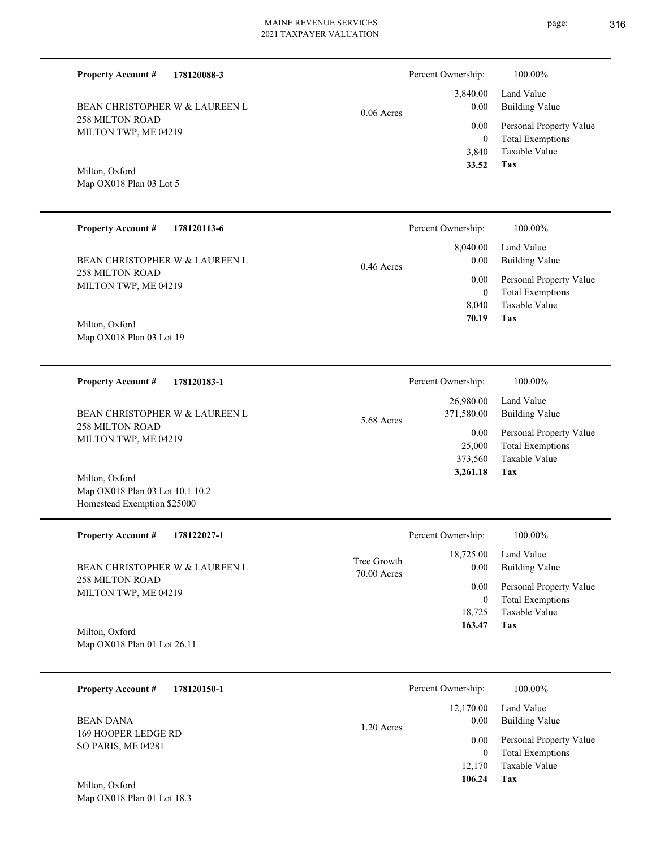0.06 Acres

**178120088-3**

258 MILTON ROAD MILTON TWP, ME 04219 BEAN CHRISTOPHER W & LAUREEN L

Map OX018 Plan 03 Lot 5 Milton, Oxford

**Property Account #**

#### **178120113-6 Tax** Taxable Value Total Exemptions Personal Property Value Building Value Land Value 258 MILTON ROAD MILTON TWP, ME 04219 **Property Account #** Map OX018 Plan 03 Lot 19 Milton, Oxford BEAN CHRISTOPHER W & LAUREEN L 8,040 0  **70.19** 8,040.00 0.00 0.00 0.46 Acres Percent Ownership: 100.00%

| 178120183-1<br><b>Property Account #</b> | Percent Ownership:                    | 100.00%                                            |
|------------------------------------------|---------------------------------------|----------------------------------------------------|
| BEAN CHRISTOPHER W & LAUREEN L           | 26,980.00<br>371,580.00<br>5.68 Acres | Land Value<br>Building Value                       |
| 258 MILTON ROAD<br>MILTON TWP, ME 04219  | 0.00<br>25,000                        | Personal Property Value<br><b>Total Exemptions</b> |
| Milton. Oxford                           | 373.560<br>3,261.18                   | Taxable Value<br>Tax                               |

Map OX018 Plan 03 Lot 10.1 10.2 Homestead Exemption \$25000

| <b>Property Account #</b><br>178122027-1       | Percent Ownership:                                | 100.00%                                            |
|------------------------------------------------|---------------------------------------------------|----------------------------------------------------|
| BEAN CHRISTOPHER W & LAUREEN L                 | 18,725.00<br>Tree Growth<br>0.00<br>$70.00$ Acres | Land Value<br>Building Value                       |
| <b>258 MILTON ROAD</b><br>MILTON TWP, ME 04219 | 0.00<br>0                                         | Personal Property Value<br><b>Total Exemptions</b> |
|                                                | 18.725                                            | Taxable Value                                      |
| Milton, Oxford<br>Map OX018 Plan 01 Lot 26.11  | 163.47                                            | Tax                                                |

| 178120150-1<br><b>Property Account #</b>                      | Percent Ownership:                | 100.00%                                            |
|---------------------------------------------------------------|-----------------------------------|----------------------------------------------------|
| <b>BEAN DANA</b><br>169 HOOPER LEDGE RD<br>SO PARIS, ME 04281 | 12,170.00<br>0.00<br>$1.20$ Acres | Land Value<br><b>Building Value</b>                |
|                                                               | 0.00<br>$\theta$                  | Personal Property Value<br><b>Total Exemptions</b> |
|                                                               | 12,170                            | Taxable Value                                      |
| Milton, Oxford                                                | 106.24                            | Tax                                                |

Map OX018 Plan 01 Lot 18.3

**Tax**

 3,840 0

 3,840.00 0.00 0.00

Percent Ownership:  $100.00\%$ 

 **33.52**

Taxable Value Total Exemptions Personal Property Value

Building Value Land Value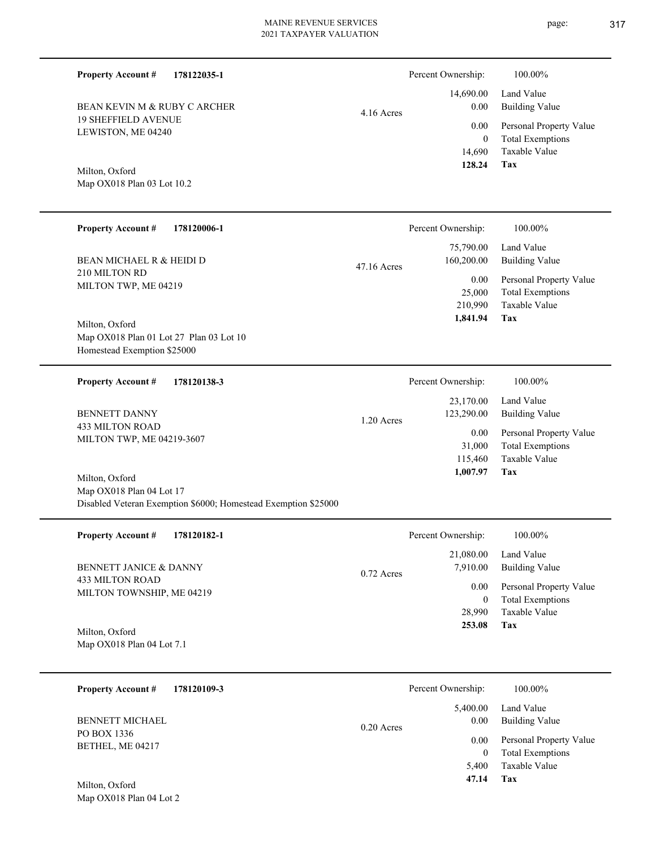Percent Ownership:  $100.00\%$ 

|              | 128.24   | Tax                          |
|--------------|----------|------------------------------|
|              |          | 14,690 Taxable Value         |
|              | $\Omega$ | <b>Total Exemptions</b>      |
|              |          | 0.00 Personal Property Value |
| $4.16$ Acres |          | 0.00 Building Value          |
|              |          | 14,690.00 Land Value         |

Map OX018 Plan 03 Lot 10.2 Milton, Oxford

19 SHEFFIELD AVENUE LEWISTON, ME 04240

BEAN KEVIN M & RUBY C ARCHER

**Property Account #**

**178122035-1**

| <b>Property Account #</b><br>178120006-1                                                 |              | Percent Ownership:      | 100.00%                                                             |
|------------------------------------------------------------------------------------------|--------------|-------------------------|---------------------------------------------------------------------|
| BEAN MICHAEL R & HEIDI D                                                                 | 47.16 Acres  | 75,790.00<br>160,200.00 | Land Value<br><b>Building Value</b>                                 |
| 210 MILTON RD<br>MILTON TWP, ME 04219                                                    |              | $0.00\,$<br>25,000      | Personal Property Value<br><b>Total Exemptions</b><br>Taxable Value |
| Milton, Oxford<br>Map OX018 Plan 01 Lot 27 Plan 03 Lot 10<br>Homestead Exemption \$25000 |              | 210,990<br>1,841.94     | Tax                                                                 |
|                                                                                          |              |                         |                                                                     |
| <b>Property Account #</b><br>178120138-3                                                 |              | Percent Ownership:      | 100.00%                                                             |
| <b>BENNETT DANNY</b>                                                                     |              | 23,170.00<br>123,290.00 | Land Value<br><b>Building Value</b>                                 |
| <b>433 MILTON ROAD</b><br>MILTON TWP, ME 04219-3607                                      | $1.20$ Acres | 0.00<br>31,000          | Personal Property Value<br><b>Total Exemptions</b>                  |
| Milton, Oxford                                                                           |              | 115,460<br>1,007.97     | Taxable Value<br>Tax                                                |

| <b>Property Account #</b><br>178120182-1     | Percent Ownership:                    | 100.00%                                            |
|----------------------------------------------|---------------------------------------|----------------------------------------------------|
| <b>BENNETT JANICE &amp; DANNY</b>            | 21,080.00<br>7,910.00<br>$0.72$ Acres | Land Value<br>Building Value                       |
| 433 MILTON ROAD<br>MILTON TOWNSHIP, ME 04219 | 0.00<br>0                             | Personal Property Value<br><b>Total Exemptions</b> |
|                                              | 28,990                                | Taxable Value                                      |
| Milton, Oxford                               | 253.08                                | Tax                                                |
| Map OX018 Plan 04 Lot 7.1                    |                                       |                                                    |

| 178120109-3<br><b>Property Account #</b> | Percent Ownership:               | 100.00%                                            |
|------------------------------------------|----------------------------------|----------------------------------------------------|
| <b>BENNETT MICHAEL</b>                   | 5,400.00<br>0.00<br>$0.20$ Acres | Land Value<br><b>Building Value</b>                |
| PO BOX 1336<br>BETHEL, ME 04217          | 0.00<br>0                        | Personal Property Value<br><b>Total Exemptions</b> |
| Milton, Oxford                           | 5.400<br>47.14                   | Taxable Value<br>Tax                               |

Map OX018 Plan 04 Lot 2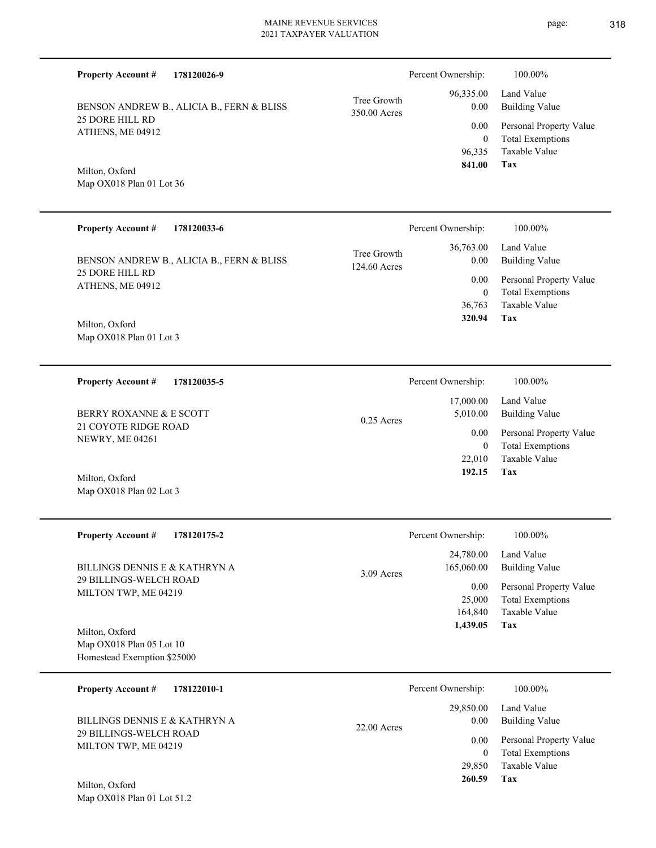|                                                 | <b>Property Account #</b><br>178120026-9                                  |                             | Percent Ownership:                    | 100.00%                                                                    |
|-------------------------------------------------|---------------------------------------------------------------------------|-----------------------------|---------------------------------------|----------------------------------------------------------------------------|
|                                                 | BENSON ANDREW B., ALICIA B., FERN & BLISS                                 | Tree Growth<br>350.00 Acres | 96,335.00<br>0.00                     | Land Value<br><b>Building Value</b>                                        |
|                                                 | 25 DORE HILL RD<br>ATHENS, ME 04912                                       |                             | 0.00<br>$\overline{0}$                | Personal Property Value<br><b>Total Exemptions</b>                         |
|                                                 | Milton, Oxford<br>Map OX018 Plan 01 Lot 36                                |                             | 96,335<br>841.00                      | <b>Taxable Value</b><br>Tax                                                |
|                                                 | <b>Property Account #</b><br>178120033-6                                  |                             | Percent Ownership:                    | 100.00%                                                                    |
|                                                 | BENSON ANDREW B., ALICIA B., FERN & BLISS                                 | Tree Growth<br>124.60 Acres | 36,763.00<br>0.00                     | Land Value<br><b>Building Value</b>                                        |
|                                                 | 25 DORE HILL RD<br>ATHENS, ME 04912                                       |                             | 0.00<br>$\mathbf{0}$                  | Personal Property Value<br><b>Total Exemptions</b>                         |
|                                                 | Milton, Oxford<br>Map OX018 Plan 01 Lot 3                                 |                             | 36,763<br>320.94                      | Taxable Value<br>Tax                                                       |
|                                                 | <b>Property Account #</b><br>178120035-5                                  |                             | Percent Ownership:                    | 100.00%                                                                    |
| BERRY ROXANNE & E SCOTT<br>21 COYOTE RIDGE ROAD |                                                                           | $0.25$ Acres                | 17,000.00<br>5,010.00                 | Land Value<br><b>Building Value</b>                                        |
|                                                 | NEWRY, ME 04261                                                           |                             | 0.00<br>$\overline{0}$                | Personal Property Value<br><b>Total Exemptions</b>                         |
|                                                 | Milton, Oxford<br>Map OX018 Plan 02 Lot 3                                 |                             | 22,010<br>192.15                      | <b>Taxable Value</b><br>Tax                                                |
|                                                 | <b>Property Account #</b><br>178120175-2                                  |                             | Percent Ownership:                    | 100.00%                                                                    |
|                                                 | BILLINGS DENNIS E & KATHRYN A                                             | 3.09 Acres                  | 24,780.00<br>165,060.00               | Land Value<br><b>Building Value</b>                                        |
|                                                 | <b>29 BILLINGS-WELCH ROAD</b><br>MILTON TWP, ME 04219                     |                             | 0.00<br>25,000<br>164,840<br>1,439.05 | Personal Property Value<br><b>Total Exemptions</b><br>Taxable Value<br>Tax |
|                                                 | Milton, Oxford<br>Map OX018 Plan 05 Lot 10<br>Homestead Exemption \$25000 |                             |                                       |                                                                            |
|                                                 | <b>Property Account #</b><br>178122010-1                                  |                             | Percent Ownership:                    | 100.00%                                                                    |
|                                                 | BILLINGS DENNIS E & KATHRYN A                                             | 22.00 Acres                 | 29,850.00<br>0.00                     | Land Value<br><b>Building Value</b>                                        |
|                                                 | 29 BILLINGS-WELCH ROAD<br>MILTON TWP, ME 04219                            |                             | 0.00<br>$\overline{0}$                | Personal Property Value<br><b>Total Exemptions</b>                         |
|                                                 | Milton Oxford                                                             |                             | 29,850<br>260.59                      | Taxable Value<br>Tax                                                       |

Map OX018 Plan 01 Lot 51.2 Milton, Oxford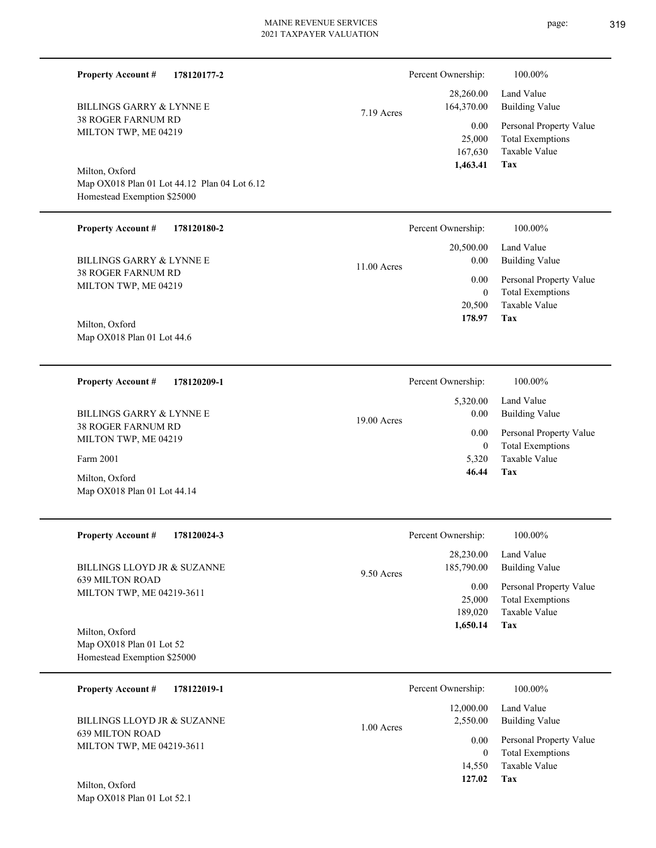| <b>Property Account #</b><br>178120177-2                                    |             | Percent Ownership:                    | 100.00%                                                                    |
|-----------------------------------------------------------------------------|-------------|---------------------------------------|----------------------------------------------------------------------------|
| BILLINGS GARRY & LYNNE E                                                    | 7.19 Acres  | 28,260.00<br>164,370.00               | Land Value<br><b>Building Value</b>                                        |
| 38 ROGER FARNUM RD<br>MILTON TWP, ME 04219                                  |             | 0.00<br>25,000<br>167,630<br>1,463.41 | Personal Property Value<br><b>Total Exemptions</b><br>Taxable Value<br>Tax |
| Milton, Oxford                                                              |             |                                       |                                                                            |
| Map OX018 Plan 01 Lot 44.12 Plan 04 Lot 6.12<br>Homestead Exemption \$25000 |             |                                       |                                                                            |
| <b>Property Account #</b><br>178120180-2                                    |             | Percent Ownership:                    | 100.00%                                                                    |
| <b>BILLINGS GARRY &amp; LYNNE E</b>                                         | 11.00 Acres | 20,500.00<br>0.00                     | Land Value<br><b>Building Value</b>                                        |
| 38 ROGER FARNUM RD<br>MILTON TWP, ME 04219                                  |             | 0.00                                  | Personal Property Value                                                    |
|                                                                             |             | $\boldsymbol{0}$<br>20,500<br>178.97  | <b>Total Exemptions</b><br>Taxable Value<br>Tax                            |
| Milton, Oxford<br>Map OX018 Plan 01 Lot 44.6                                |             |                                       |                                                                            |
|                                                                             |             |                                       |                                                                            |
| <b>Property Account #</b><br>178120209-1                                    |             | Percent Ownership:                    | 100.00%                                                                    |
| <b>BILLINGS GARRY &amp; LYNNE E</b>                                         | 19.00 Acres | 5,320.00<br>0.00                      | Land Value<br><b>Building Value</b>                                        |
| 38 ROGER FARNUM RD<br>MILTON TWP, ME 04219                                  |             | 0.00                                  | Personal Property Value                                                    |
| Farm 2001                                                                   |             | $\overline{0}$<br>5,320               | <b>Total Exemptions</b><br>Taxable Value                                   |
| Milton, Oxford<br>Map OX018 Plan 01 Lot 44.14                               |             | 46.44                                 | Tax                                                                        |
| <b>Property Account #</b><br>178120024-3                                    |             | Percent Ownership:                    | 100.00%                                                                    |
| BILLINGS LLOYD JR & SUZANNE                                                 | 9.50 Acres  | 28,230.00<br>185,790.00               | Land Value<br><b>Building Value</b>                                        |
| <b>639 MILTON ROAD</b><br>MILTON TWP, ME 04219-3611                         |             | 0.00<br>25,000<br>189,020             | Personal Property Value<br><b>Total Exemptions</b><br>Taxable Value        |
| Milton, Oxford                                                              |             | 1,650.14                              | Tax                                                                        |
| Map OX018 Plan 01 Lot 52<br>Homestead Exemption \$25000                     |             |                                       |                                                                            |
|                                                                             |             |                                       |                                                                            |
| <b>Property Account #</b><br>178122019-1                                    |             | Percent Ownership:                    | 100.00%                                                                    |
| BILLINGS LLOYD JR & SUZANNE<br><b>639 MILTON ROAD</b>                       | 1.00 Acres  | 12,000.00<br>2,550.00                 | Land Value<br><b>Building Value</b>                                        |
| MILTON TWP, ME 04219-3611                                                   |             | 0.00<br>$\overline{0}$                | Personal Property Value<br><b>Total Exemptions</b>                         |
|                                                                             |             | 14,550                                | Taxable Value                                                              |
| Milton, Oxford<br>Map OX018 Plan 01 Lot 52.1                                |             | 127.02                                | Tax                                                                        |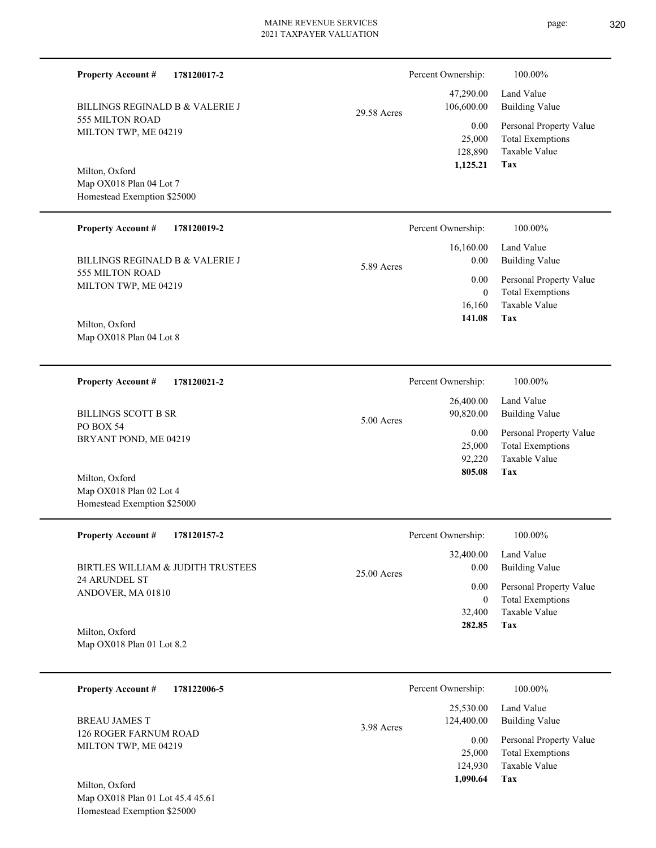**178120017-2**  $29.58$   $\mu$ 

555 MILTON ROAD MILTON TWP, ME 04219 BILLINGS REGINALD B & VALERIE J

Map OX018 Plan 04 Lot 7 Homestead Exemption \$25000 Milton, Oxford

**Property Account #**

#### **178120019-2 Property Account #**

555 MILTON ROAD MILTON TWP, ME 04219 BILLINGS REGINALD B & VALERIE J

Map OX018 Plan 04 Lot 8 Milton, Oxford

**178120021-2 Property Account #**

PO BOX 54 BRYANT POND, ME 04219 BILLINGS SCOTT B SR

Map OX018 Plan 02 Lot 4 Homestead Exemption \$25000 Milton, Oxford

| <b>Property Account #</b><br>178120157-2                  | Percent Ownership:    | 100.00%                 |
|-----------------------------------------------------------|-----------------------|-------------------------|
|                                                           | 32,400.00             | Land Value              |
| BIRTLES WILLIAM & JUDITH TRUSTEES<br><b>24 ARUNDEL ST</b> | 0.00<br>$25.00$ Acres | <b>Building Value</b>   |
| ANDOVER, MA 01810                                         | 0.00                  | Personal Property Value |
|                                                           | 0                     | <b>Total Exemptions</b> |
|                                                           | 32,400                | Taxable Value           |
| Milton, Oxford                                            | 282.85                | Tax                     |
| Map $OX018$ Plan 01 Lot 8.2                               |                       |                         |

5.00 Acres

**178122006-5 Tax** Taxable Value Total Exemptions Personal Property Value Building Value Land Value 126 ROGER FARNUM ROAD MILTON TWP, ME 04219 **Property Account #** BREAU JAMES T 124,930 25,000  **1,090.64** 25,530.00 124,400.00 0.00 3.98 Acres Percent Ownership:  $100.00\%$ 

Map OX018 Plan 01 Lot 45.4 45.61 Homestead Exemption \$25000 Milton, Oxford

|       | Percent Ownership: | 100.00%                 |
|-------|--------------------|-------------------------|
|       | 47,290.00          | Land Value              |
| Acres | 106,600.00         | <b>Building Value</b>   |
|       | 0.00               | Personal Property Value |
|       | 25,000             | <b>Total Exemptions</b> |
|       | 128,890            | Taxable Value           |
|       | 1,125.21           | Tax                     |

|            |          | 16,160.00 Land Value    |
|------------|----------|-------------------------|
| 5.89 Acres | 0.00     | Building Value          |
|            | 0.00     | Personal Property Value |
|            | $\theta$ | <b>Total Exemptions</b> |
|            |          | 16,160 Taxable Value    |
|            | 141.08   | Tax                     |
|            |          |                         |

Percent Ownership: 100.00%

| Percent Ownership:     | 100.00%                                  |
|------------------------|------------------------------------------|
| 26,400.00<br>90,820.00 | Land Value<br><b>Building Value</b>      |
| 0.00                   | Personal Property Value                  |
| 25,000<br>92,220       | <b>Total Exemptions</b><br>Taxable Value |
| 805.08                 | Tax                                      |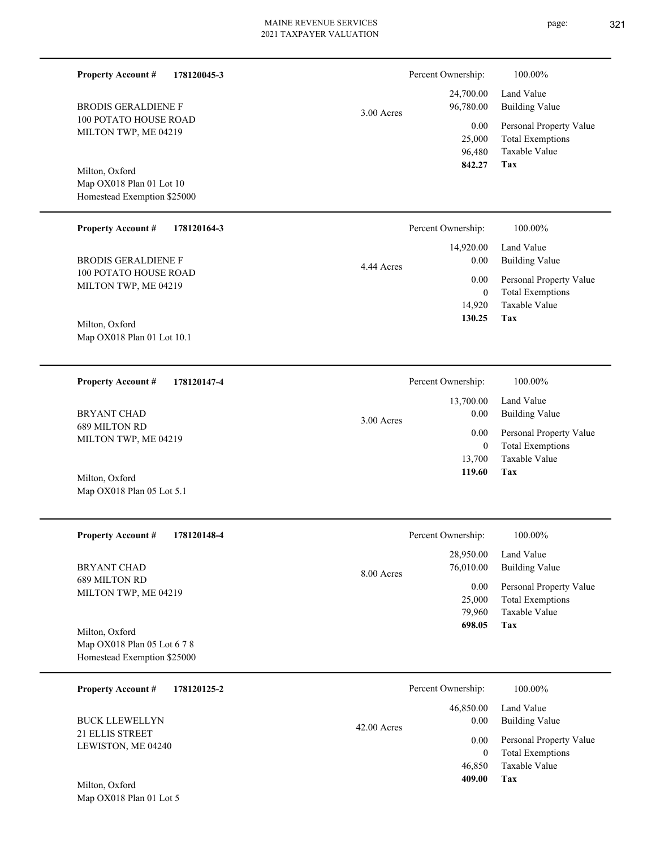| <b>Property Account #</b><br>178120045-3                   |             | Percent Ownership:                 | 100.00%                                                                           |
|------------------------------------------------------------|-------------|------------------------------------|-----------------------------------------------------------------------------------|
| <b>BRODIS GERALDIENE F</b>                                 | 3.00 Acres  | 24,700.00<br>96,780.00             | Land Value<br><b>Building Value</b>                                               |
| <b>100 POTATO HOUSE ROAD</b><br>MILTON TWP, ME 04219       |             | 0.00<br>25,000<br>96,480<br>842.27 | Personal Property Value<br><b>Total Exemptions</b><br><b>Taxable Value</b><br>Tax |
| Milton, Oxford                                             |             |                                    |                                                                                   |
| Map OX018 Plan 01 Lot 10<br>Homestead Exemption \$25000    |             |                                    |                                                                                   |
| <b>Property Account #</b><br>178120164-3                   |             | Percent Ownership:                 | 100.00%                                                                           |
| <b>BRODIS GERALDIENE F</b>                                 | 4.44 Acres  | 14,920.00<br>0.00                  | Land Value<br><b>Building Value</b>                                               |
| 100 POTATO HOUSE ROAD<br>MILTON TWP, ME 04219              |             | 0.00<br>$\overline{0}$             | Personal Property Value<br><b>Total Exemptions</b>                                |
| Milton, Oxford                                             |             | 14,920<br>130.25                   | Taxable Value<br>Tax                                                              |
| Map OX018 Plan 01 Lot 10.1                                 |             |                                    |                                                                                   |
| <b>Property Account #</b><br>178120147-4                   |             | Percent Ownership:                 | 100.00%                                                                           |
| <b>BRYANT CHAD</b>                                         | 3.00 Acres  | 13,700.00<br>0.00                  | Land Value<br><b>Building Value</b>                                               |
| 689 MILTON RD<br>MILTON TWP, ME 04219                      |             | 0.00<br>$\mathbf{0}$               | Personal Property Value<br><b>Total Exemptions</b>                                |
|                                                            |             | 13,700<br>119.60                   | Taxable Value<br>Tax                                                              |
| Milton, Oxford<br>Map OX018 Plan 05 Lot 5.1                |             |                                    |                                                                                   |
| <b>Property Account #</b><br>178120148-4                   |             | Percent Ownership:                 | 100.00%                                                                           |
| <b>BRYANT CHAD</b>                                         | 8.00 Acres  | 28,950.00<br>76,010.00             | Land Value<br><b>Building Value</b>                                               |
| 689 MILTON RD<br>MILTON TWP, ME 04219                      |             | 0.00<br>25,000<br>79,960           | Personal Property Value<br><b>Total Exemptions</b><br>Taxable Value               |
| Milton, Oxford                                             |             | 698.05                             | Tax                                                                               |
| Map OX018 Plan 05 Lot 6 7 8<br>Homestead Exemption \$25000 |             |                                    |                                                                                   |
| <b>Property Account #</b><br>178120125-2                   |             | Percent Ownership:                 | 100.00%                                                                           |
| <b>BUCK LLEWELLYN</b>                                      | 42.00 Acres | 46,850.00<br>0.00                  | Land Value<br><b>Building Value</b>                                               |
| 21 ELLIS STREET<br>LEWISTON, ME 04240                      |             | 0.00                               | Personal Property Value                                                           |
|                                                            |             | $\boldsymbol{0}$<br>46,850         | <b>Total Exemptions</b><br>Taxable Value                                          |
| Milton, Oxford<br>Map OX018 Plan 01 Lot 5                  |             | 409.00                             | Tax                                                                               |

page: 321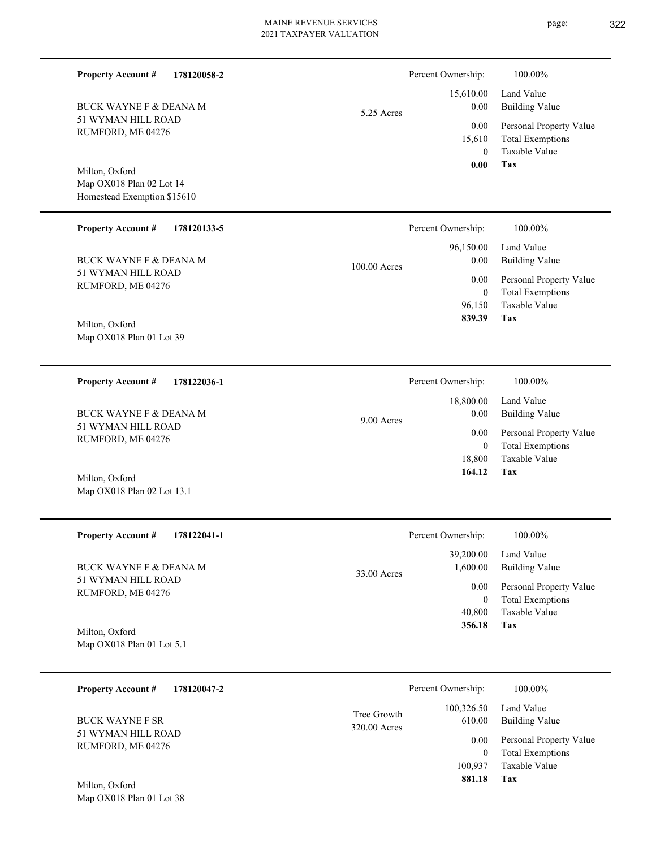| <b>Property Account #</b><br>178120058-2                                                   |                             | Percent Ownership:                                              | 100.00%                                                                           |
|--------------------------------------------------------------------------------------------|-----------------------------|-----------------------------------------------------------------|-----------------------------------------------------------------------------------|
| <b>BUCK WAYNE F &amp; DEANA M</b>                                                          | 5.25 Acres                  | 15,610.00<br>0.00                                               | Land Value<br><b>Building Value</b>                                               |
| 51 WYMAN HILL ROAD<br>RUMFORD, ME 04276                                                    |                             | 0.00<br>15,610<br>$\theta$<br>0.00                              | Personal Property Value<br><b>Total Exemptions</b><br><b>Taxable Value</b><br>Tax |
| Milton, Oxford<br>Map OX018 Plan 02 Lot 14<br>Homestead Exemption \$15610                  |                             |                                                                 |                                                                                   |
| <b>Property Account #</b><br>178120133-5                                                   |                             | Percent Ownership:                                              | 100.00%                                                                           |
| <b>BUCK WAYNE F &amp; DEANA M</b>                                                          | 100.00 Acres                | 96,150.00<br>0.00<br>0.00<br>$\overline{0}$                     | Land Value<br><b>Building Value</b>                                               |
| 51 WYMAN HILL ROAD<br>RUMFORD, ME 04276                                                    |                             |                                                                 | Personal Property Value<br><b>Total Exemptions</b>                                |
| Milton, Oxford<br>Map OX018 Plan 01 Lot 39                                                 |                             | 96,150<br>839.39                                                | Taxable Value<br><b>Tax</b>                                                       |
| <b>Property Account #</b><br>178122036-1                                                   |                             | Percent Ownership:                                              | 100.00%                                                                           |
| <b>BUCK WAYNE F &amp; DEANA M</b><br>9.00 Acres<br>51 WYMAN HILL ROAD<br>RUMFORD, ME 04276 |                             | 18,800.00<br>0.00<br>0.00<br>$\overline{0}$<br>18,800<br>164.12 | Land Value<br><b>Building Value</b>                                               |
|                                                                                            |                             |                                                                 | Personal Property Value<br><b>Total Exemptions</b>                                |
| Milton, Oxford<br>Map OX018 Plan 02 Lot 13.1                                               |                             |                                                                 | Taxable Value<br>Tax                                                              |
| <b>Property Account #</b><br>178122041-1                                                   |                             | Percent Ownership:                                              | 100.00%                                                                           |
| <b>BUCK WAYNE F &amp; DEANA M</b>                                                          |                             | 39,200.00<br>1,600.00                                           | Land Value<br><b>Building Value</b>                                               |
| 51 WYMAN HILL ROAD<br>RUMFORD, ME 04276                                                    | 33.00 Acres                 | 0.00<br>$\mathbf{0}$                                            | Personal Property Value<br><b>Total Exemptions</b>                                |
| Milton, Oxford<br>Map OX018 Plan 01 Lot 5.1                                                |                             | 40,800<br>356.18                                                | Taxable Value<br>Tax                                                              |
| 178120047-2<br><b>Property Account #</b>                                                   |                             | Percent Ownership:                                              | 100.00%                                                                           |
| <b>BUCK WAYNE F SR</b>                                                                     | Tree Growth<br>320.00 Acres | 100,326.50<br>610.00                                            | Land Value<br><b>Building Value</b>                                               |
| 51 WYMAN HILL ROAD<br>RUMFORD, ME 04276                                                    |                             | 0.00<br>$\bf{0}$                                                | Personal Property Value<br><b>Total Exemptions</b>                                |
|                                                                                            |                             | 100,937<br>881.18                                               | Taxable Value<br><b>Tax</b>                                                       |

Map OX018 Plan 01 Lot 38 Milton, Oxford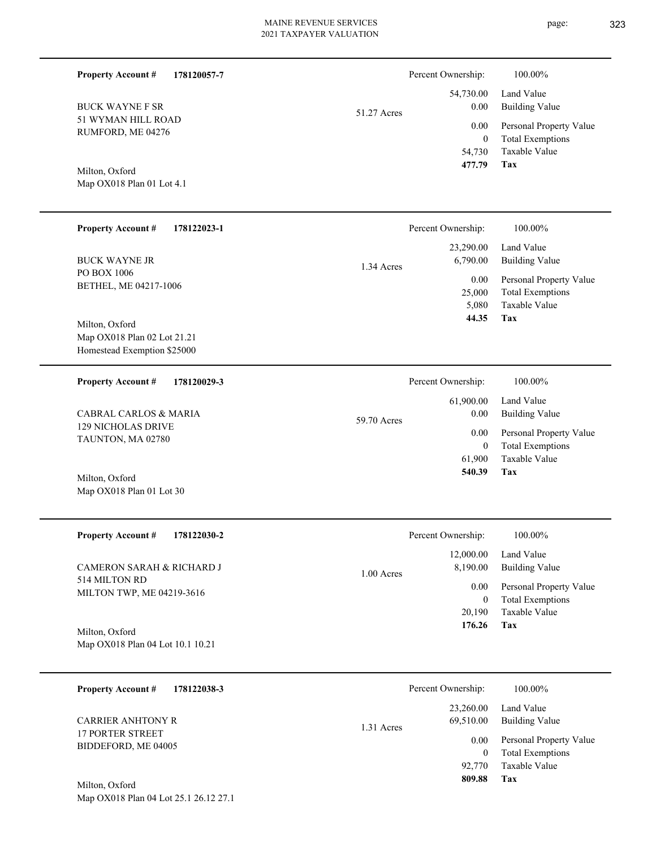| <b>Property Account #</b><br>178120057-7                          |                                  | Percent Ownership:                                                  | 100.00%                                                                    |
|-------------------------------------------------------------------|----------------------------------|---------------------------------------------------------------------|----------------------------------------------------------------------------|
| <b>BUCK WAYNE F SR</b><br>51 WYMAN HILL ROAD<br>RUMFORD, ME 04276 | 51.27 Acres                      | 54,730.00<br>0.00                                                   | Land Value<br><b>Building Value</b>                                        |
|                                                                   | 0.00<br>$\overline{0}$<br>54,730 | Personal Property Value<br><b>Total Exemptions</b><br>Taxable Value |                                                                            |
| Milton, Oxford<br>Map OX018 Plan 01 Lot 4.1                       |                                  | 477.79                                                              | <b>Tax</b>                                                                 |
| <b>Property Account #</b><br>178122023-1                          |                                  | Percent Ownership:                                                  | 100.00%                                                                    |
| <b>BUCK WAYNE JR</b>                                              | 1.34 Acres                       | 23,290.00<br>6,790.00                                               | Land Value<br><b>Building Value</b>                                        |
| PO BOX 1006<br>BETHEL, ME 04217-1006<br>Milton, Oxford            |                                  | 0.00<br>25,000<br>5.080<br>44.35                                    | Personal Property Value<br><b>Total Exemptions</b><br>Taxable Value<br>Tax |
| Map OX018 Plan 02 Lot 21.21<br>Homestead Exemption \$25000        |                                  |                                                                     |                                                                            |
| <b>Property Account #</b><br>178120029-3                          |                                  | Percent Ownership:                                                  | 100.00%                                                                    |
| <b>CABRAL CARLOS &amp; MARIA</b>                                  | 59.70 Acres                      | 61,900.00<br>0.00                                                   | Land Value<br><b>Building Value</b>                                        |
| <b>129 NICHOLAS DRIVE</b><br>TAUNTON, MA 02780                    |                                  | 0.00<br>$\overline{0}$<br>61,900<br>540.39                          | Personal Property Value<br><b>Total Exemptions</b><br>Taxable Value<br>Tax |
| Milton, Oxford<br>Map OX018 Plan 01 Lot 30                        |                                  |                                                                     |                                                                            |
| <b>Property Account #</b><br>178122030-2                          |                                  | Percent Ownership:                                                  | 100.00%                                                                    |
| CAMERON SARAH & RICHARD J                                         | 1.00 Acres                       | 12,000.00<br>8,190.00                                               | Land Value<br><b>Building Value</b>                                        |
| 514 MILTON RD<br>MILTON TWP, ME 04219-3616                        |                                  | 0.00<br>$\mathbf{0}$<br>20,190                                      | Personal Property Value<br><b>Total Exemptions</b><br>Taxable Value        |
| Milton, Oxford<br>Map OX018 Plan 04 Lot 10.1 10.21                |                                  | 176.26                                                              | Tax                                                                        |
| <b>Property Account #</b><br>178122038-3                          |                                  | Percent Ownership:                                                  | 100.00%                                                                    |
| <b>CARRIER ANHTONY R</b>                                          | 1.31 Acres                       | 23,260.00<br>69,510.00                                              | Land Value<br><b>Building Value</b>                                        |
| <b>17 PORTER STREET</b><br>BIDDEFORD, ME 04005                    |                                  | 0.00<br>$\mathbf{0}$<br>92,770<br>809.88                            | Personal Property Value<br><b>Total Exemptions</b><br>Taxable Value<br>Tax |
| Milton, Oxford<br>Map OX018 Plan 04 Lot 25.1 26.12 27.1           |                                  |                                                                     |                                                                            |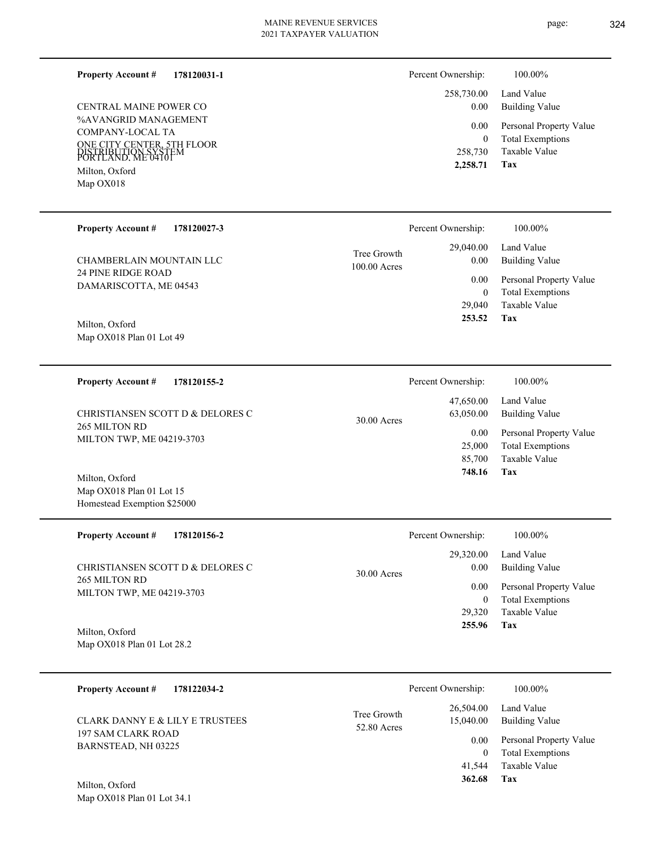#### **178120031-1 Property Account #**

%AVANGRID MANAGEMENT COMPANY-LOCAL TA ONE CITY CENTER, 5TH FLOOR PORTLAND, ME 04101 DISTRIBUTION SYSTEM Map OX018 Milton, Oxford CENTRAL MAINE POWER CO

**Tax** Taxable Value Total Exemptions Personal Property Value Building Value Land Value 258,730 0  **2,258.71** 258,730.00 0.00 0.00 Percent Ownership:  $100.00\%$ 

| <b>Property Account #</b><br>178120027-3     |                               | Percent Ownership:   | 100.00%                                            |
|----------------------------------------------|-------------------------------|----------------------|----------------------------------------------------|
| CHAMBERLAIN MOUNTAIN LLC                     | Tree Growth<br>$100.00$ Acres | 29,040.00<br>0.00    | Land Value<br><b>Building Value</b>                |
| 24 PINE RIDGE ROAD<br>DAMARISCOTTA, ME 04543 |                               | 0.00<br>$\mathbf{0}$ | Personal Property Value<br><b>Total Exemptions</b> |
|                                              |                               | 29,040               | Taxable Value                                      |
| Milton, Oxford                               |                               | 253.52               | Tax                                                |
| Map $OX018$ Plan 01 Lot 49                   |                               |                      |                                                    |

| 178120155-2<br><b>Property Account #</b>          | Percent Ownership:                      | 100.00%                      |
|---------------------------------------------------|-----------------------------------------|------------------------------|
| CHRISTIANSEN SCOTT D & DELORES C<br>265 MILTON RD | 47,650.00<br>63,050.00<br>$30.00$ Acres | Land Value<br>Building Value |
| MILTON TWP, ME 04219-3703                         | 0.00                                    | Personal Property Value      |
|                                                   | 25,000                                  | <b>Total Exemptions</b>      |
|                                                   | 85,700                                  | Taxable Value                |
| Milton, Oxford                                    | 748.16                                  | Tax                          |

| <b>Property Account #</b><br>178120156-2                                       | Percent Ownership: |           | 100.00%                 |
|--------------------------------------------------------------------------------|--------------------|-----------|-------------------------|
|                                                                                |                    | 29,320.00 | Land Value              |
| CHRISTIANSEN SCOTT D & DELORES C<br>265 MILTON RD<br>MILTON TWP, ME 04219-3703 | $30.00$ Acres      | 0.00      | Building Value          |
|                                                                                |                    | 0.00      | Personal Property Value |
|                                                                                |                    | $\theta$  | <b>Total Exemptions</b> |
|                                                                                |                    | 29,320    | Taxable Value           |
| $M/L = \Omega L L = 1$                                                         |                    | 255.96    | Tax                     |

Map OX018 Plan 01 Lot 28.2 Milton, Oxford

Map OX018 Plan 01 Lot 34.1

Map OX018 Plan 01 Lot 15 Homestead Exemption \$25000

| 178122034-2<br><b>Property Account #</b>  | Percent Ownership:                                   | 100.00%                             |
|-------------------------------------------|------------------------------------------------------|-------------------------------------|
| CLARK DANNY E & LILY E TRUSTEES           | 26,504.00<br>Tree Growth<br>15,040.00<br>52.80 Acres | Land Value<br><b>Building Value</b> |
| 197 SAM CLARK ROAD<br>BARNSTEAD, NH 03225 | 0.00                                                 | Personal Property Value             |
|                                           | 0                                                    | <b>Total Exemptions</b>             |
|                                           | 41,544                                               | Taxable Value                       |
| Milton, Oxford                            | 362.68                                               | Tax                                 |

page: 324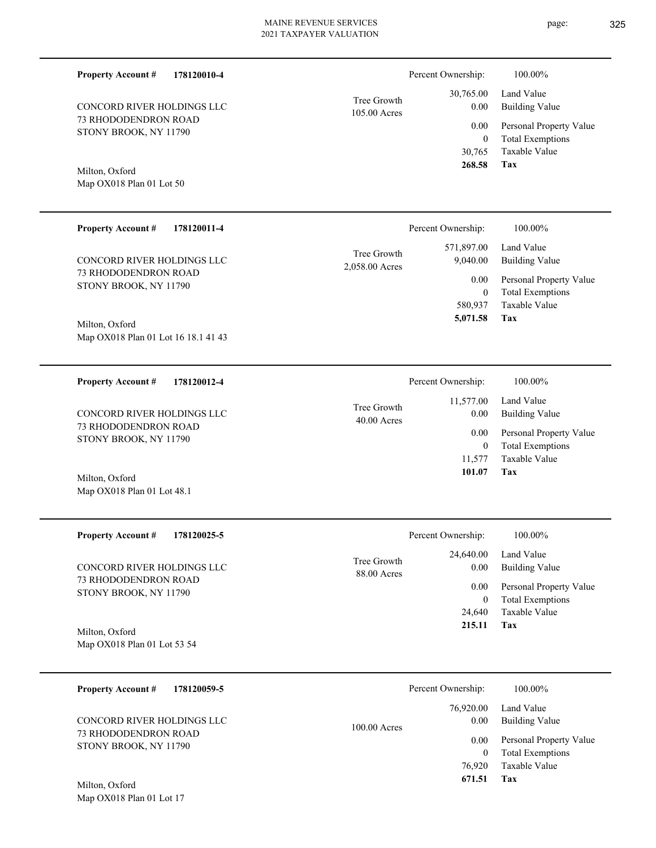page: 325

| <b>Property Account #</b><br>178120010-4                        |                               | Percent Ownership:                              | 100.00%                                                                    |
|-----------------------------------------------------------------|-------------------------------|-------------------------------------------------|----------------------------------------------------------------------------|
| CONCORD RIVER HOLDINGS LLC                                      | Tree Growth<br>105.00 Acres   | 30,765.00<br>0.00                               | Land Value<br><b>Building Value</b>                                        |
| 73 RHODODENDRON ROAD<br>STONY BROOK, NY 11790                   |                               | 0.00<br>$\boldsymbol{0}$<br>30,765              | Personal Property Value<br><b>Total Exemptions</b><br>Taxable Value        |
| Milton, Oxford<br>Map OX018 Plan 01 Lot 50                      |                               | 268.58                                          | Tax                                                                        |
| <b>Property Account #</b><br>178120011-4                        |                               | Percent Ownership:                              | 100.00%                                                                    |
| CONCORD RIVER HOLDINGS LLC                                      | Tree Growth<br>2,058.00 Acres | 571,897.00<br>9,040.00                          | Land Value<br><b>Building Value</b>                                        |
| 73 RHODODENDRON ROAD<br>STONY BROOK, NY 11790                   |                               | 0.00<br>$\boldsymbol{0}$<br>580,937<br>5,071.58 | Personal Property Value<br><b>Total Exemptions</b><br>Taxable Value<br>Tax |
| Milton, Oxford<br>Map OX018 Plan 01 Lot 16 18.1 41 43           |                               |                                                 |                                                                            |
| <b>Property Account #</b><br>178120012-4                        |                               | Percent Ownership:                              | 100.00%                                                                    |
| CONCORD RIVER HOLDINGS LLC                                      | Tree Growth<br>$40.00$ Acres  | 11,577.00<br>0.00                               | Land Value<br><b>Building Value</b>                                        |
| 73 RHODODENDRON ROAD<br>STONY BROOK, NY 11790                   |                               | 0.00<br>$\boldsymbol{0}$<br>11,577<br>101.07    | Personal Property Value<br><b>Total Exemptions</b><br>Taxable Value<br>Tax |
| Milton, Oxford<br>Map OX018 Plan 01 Lot 48.1                    |                               |                                                 |                                                                            |
| <b>Property Account #</b><br>178120025-5                        |                               | Percent Ownership:                              | 100.00%                                                                    |
| CONCORD RIVER HOLDINGS LLC                                      | Tree Growth<br>88.00 Acres    | 24,640.00<br>0.00                               | Land Value<br><b>Building Value</b>                                        |
| 73 RHODODENDRON ROAD<br>STONY BROOK, NY 11790                   |                               | 0.00<br>$\overline{0}$<br>24,640<br>215.11      | Personal Property Value<br><b>Total Exemptions</b><br>Taxable Value<br>Tax |
| Milton, Oxford<br>Map OX018 Plan 01 Lot 53 54                   |                               |                                                 |                                                                            |
| <b>Property Account #</b><br>178120059-5                        |                               | Percent Ownership:                              | 100.00%                                                                    |
| CONCORD RIVER HOLDINGS LLC                                      | 100.00 Acres                  | 76,920.00<br>0.00                               | Land Value<br><b>Building Value</b>                                        |
| 73 RHODODENDRON ROAD<br>STONY BROOK, NY 11790<br>Milton, Oxford |                               | 0.00<br>$\overline{0}$<br>76,920<br>671.51      | Personal Property Value<br><b>Total Exemptions</b><br>Taxable Value<br>Tax |
|                                                                 |                               |                                                 |                                                                            |

Map OX018 Plan 01 Lot 17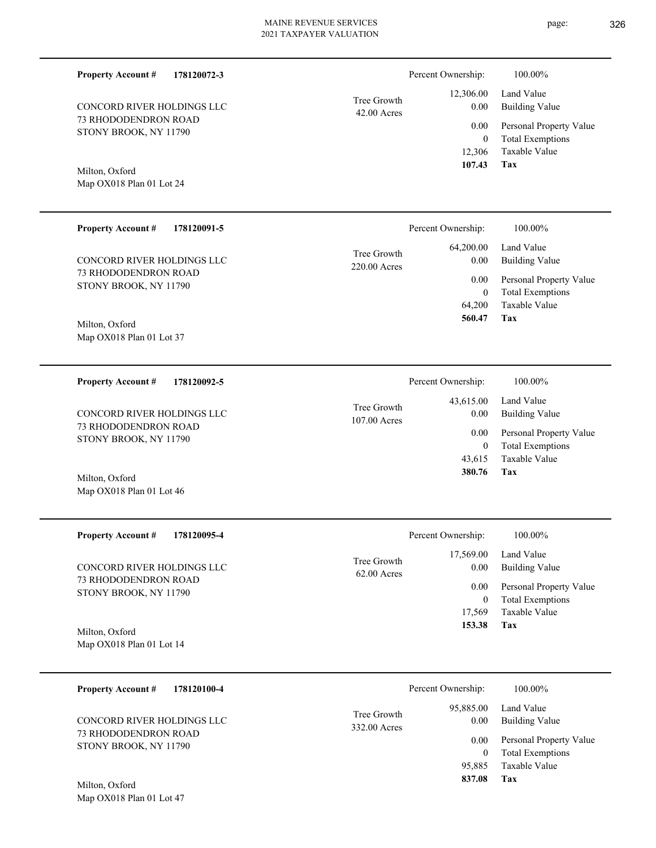| <b>Property Account #</b><br>178120072-3      |                             | Percent Ownership:         | 100.00%                                            |
|-----------------------------------------------|-----------------------------|----------------------------|----------------------------------------------------|
| CONCORD RIVER HOLDINGS LLC                    | Tree Growth<br>42.00 Acres  | 12,306.00<br>0.00          | Land Value<br><b>Building Value</b>                |
| 73 RHODODENDRON ROAD<br>STONY BROOK, NY 11790 |                             | 0.00<br>$\mathbf{0}$       | Personal Property Value<br><b>Total Exemptions</b> |
|                                               |                             | 12,306<br>107.43           | Taxable Value<br><b>Tax</b>                        |
| Milton, Oxford<br>Map OX018 Plan 01 Lot 24    |                             |                            |                                                    |
|                                               |                             |                            |                                                    |
| <b>Property Account #</b><br>178120091-5      |                             | Percent Ownership:         | 100.00%                                            |
| CONCORD RIVER HOLDINGS LLC                    | Tree Growth<br>220.00 Acres | 64,200.00<br>0.00          | Land Value<br><b>Building Value</b>                |
| 73 RHODODENDRON ROAD<br>STONY BROOK, NY 11790 |                             | 0.00<br>$\mathbf{0}$       | Personal Property Value<br><b>Total Exemptions</b> |
|                                               |                             | 64,200<br>560.47           | Taxable Value<br>Tax                               |
| Milton, Oxford<br>Map OX018 Plan 01 Lot 37    |                             |                            |                                                    |
|                                               |                             |                            |                                                    |
| <b>Property Account #</b><br>178120092-5      |                             | Percent Ownership:         | 100.00%                                            |
| CONCORD RIVER HOLDINGS LLC                    | Tree Growth                 | 43,615.00<br>0.00          | Land Value<br><b>Building Value</b>                |
| 73 RHODODENDRON ROAD<br>STONY BROOK, NY 11790 | 107.00 Acres                | 0.00                       | Personal Property Value                            |
|                                               |                             | $\mathbf{0}$<br>43,615     | <b>Total Exemptions</b><br>Taxable Value           |
| Milton, Oxford<br>Map OX018 Plan 01 Lot 46    |                             | 380.76                     | Tax                                                |
|                                               |                             |                            |                                                    |
| <b>Property Account #</b><br>178120095-4      |                             | Percent Ownership:         | 100.00%                                            |
| CONCORD RIVER HOLDINGS LLC                    | Tree Growth                 | 17,569.00<br>0.00          | Land Value<br><b>Building Value</b>                |
| 73 RHODODENDRON ROAD                          | 62.00 Acres                 | 0.00                       | Personal Property Value                            |
| STONY BROOK, NY 11790                         |                             | $\boldsymbol{0}$<br>17,569 | <b>Total Exemptions</b><br>Taxable Value           |
| Milton, Oxford                                |                             | 153.38                     | Tax                                                |
| Map OX018 Plan 01 Lot 14                      |                             |                            |                                                    |
| <b>Property Account #</b><br>178120100-4      |                             | Percent Ownership:         | 100.00%                                            |
|                                               |                             | 95,885.00                  | Land Value                                         |

Map OX018 Plan 01 Lot 47 Milton, Oxford

|                             | Percent Ownership: | 100.00%                 |  |
|-----------------------------|--------------------|-------------------------|--|
|                             |                    | 95,885.00 Land Value    |  |
| Tree Growth<br>332.00 Acres | 0.00               | Building Value          |  |
|                             | $0.00\,$           | Personal Property Value |  |
|                             | 0                  | <b>Total Exemptions</b> |  |
|                             | 95.885             | Taxable Value           |  |
|                             | 837.08             | Tax                     |  |
|                             |                    |                         |  |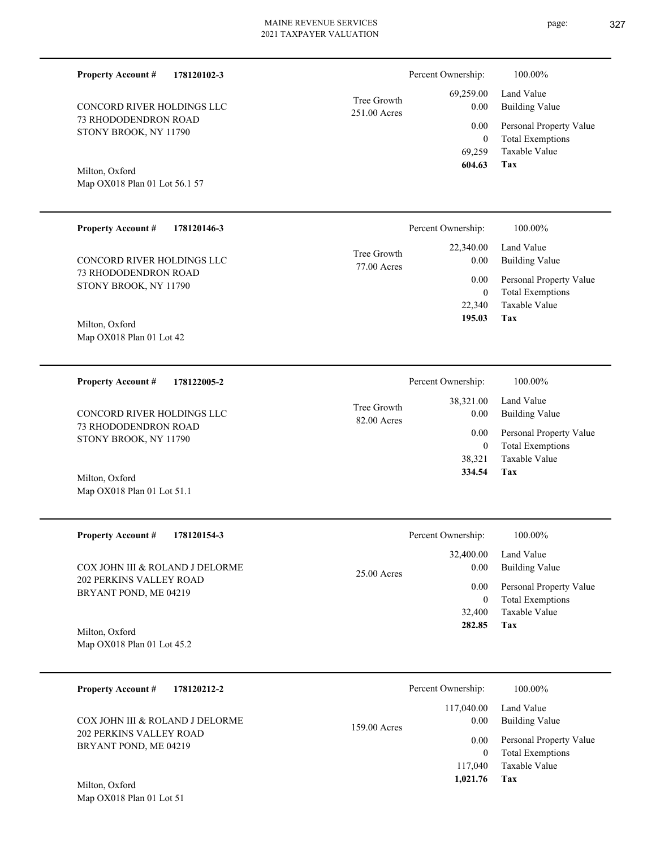| <b>Property Account #</b><br>178120102-3                |                             | Percent Ownership:                 | 100.00%                                                             |
|---------------------------------------------------------|-----------------------------|------------------------------------|---------------------------------------------------------------------|
| CONCORD RIVER HOLDINGS LLC                              | Tree Growth<br>251.00 Acres | 69,259.00<br>0.00                  | Land Value<br><b>Building Value</b>                                 |
| 73 RHODODENDRON ROAD<br>STONY BROOK, NY 11790           |                             | 0.00<br>$\boldsymbol{0}$<br>69,259 | Personal Property Value<br><b>Total Exemptions</b><br>Taxable Value |
| Milton, Oxford<br>Map OX018 Plan 01 Lot 56.1 57         |                             | 604.63                             | <b>Tax</b>                                                          |
| <b>Property Account #</b><br>178120146-3                |                             | Percent Ownership:                 | 100.00%                                                             |
| CONCORD RIVER HOLDINGS LLC                              | Tree Growth<br>77.00 Acres  | 22,340.00<br>0.00                  | Land Value<br><b>Building Value</b>                                 |
| 73 RHODODENDRON ROAD<br>STONY BROOK, NY 11790           |                             | 0.00<br>$\mathbf{0}$<br>22,340     | Personal Property Value<br><b>Total Exemptions</b><br>Taxable Value |
| Milton, Oxford<br>Map OX018 Plan 01 Lot 42              |                             | 195.03                             | Tax                                                                 |
|                                                         |                             |                                    |                                                                     |
| <b>Property Account #</b><br>178122005-2                |                             | Percent Ownership:                 | 100.00%                                                             |
| CONCORD RIVER HOLDINGS LLC                              | Tree Growth<br>82.00 Acres  | 38,321.00<br>0.00                  | Land Value<br><b>Building Value</b>                                 |
| 73 RHODODENDRON ROAD<br>STONY BROOK, NY 11790           |                             | 0.00<br>$\mathbf{0}$<br>38,321     | Personal Property Value<br><b>Total Exemptions</b><br>Taxable Value |
| Milton, Oxford<br>Map OX018 Plan 01 Lot 51.1            |                             | 334.54                             | Tax                                                                 |
| <b>Property Account #</b><br>178120154-3                |                             | Percent Ownership:                 | 100.00%                                                             |
| COX JOHN III & ROLAND J DELORME                         | 25.00 Acres                 | 32,400.00<br>0.00                  | Land Value<br><b>Building Value</b>                                 |
| <b>202 PERKINS VALLEY ROAD</b><br>BRYANT POND, ME 04219 |                             | 0.00<br>$\boldsymbol{0}$           | Personal Property Value<br><b>Total Exemptions</b>                  |
| Milton, Oxford<br>Map OX018 Plan 01 Lot 45.2            |                             | 32,400<br>282.85                   | Taxable Value<br>Tax                                                |
| 178120212-2<br><b>Property Account #</b>                |                             | Percent Ownership:                 | 100.00%                                                             |
| COX JOHN III & ROLAND J DELORME                         | 159.00 Acres                | 117,040.00<br>0.00                 | Land Value<br><b>Building Value</b>                                 |
| <b>202 PERKINS VALLEY ROAD</b>                          |                             | 0.00                               | Personal Property Value                                             |

BRYANT POND, ME 04219

Map OX018 Plan 01 Lot 51 Milton, Oxford

**Tax**

 117,040  **1,021.76**

Taxable Value 0 Total Exemptions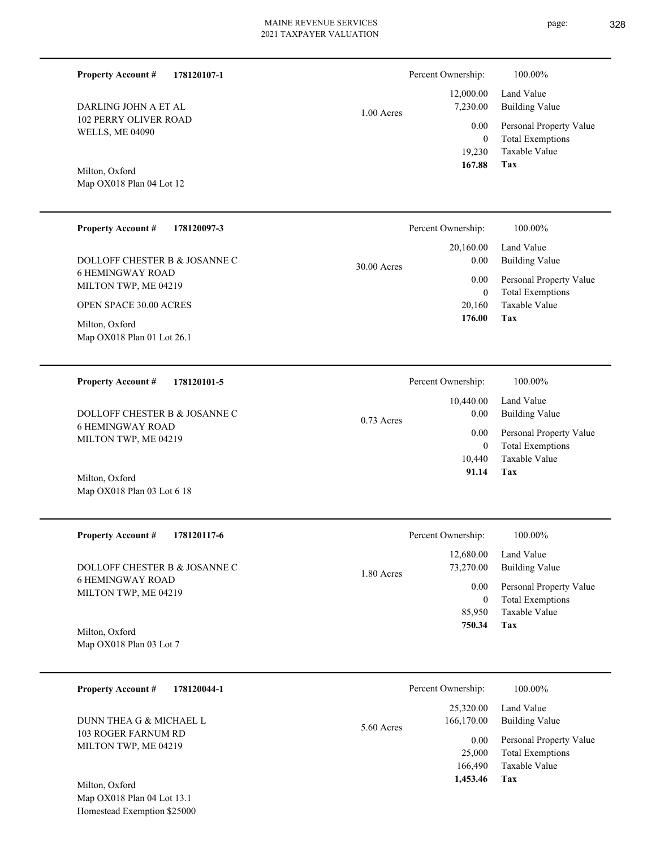**178120107-1**

**Property Account #**

Percent Ownership:  $100.00\%$ 

| DARLING JOHN A ET AL<br>102 PERRY OLIVER ROAD<br><b>WELLS, ME 04090</b><br>Milton, Oxford<br>Map OX018 Plan 04 Lot 12                                                                                  | 1.00 Acres  | 12,000.00<br>7,230.00<br>0.00<br>$\boldsymbol{0}$<br>19,230<br>167.88                        | Land Value<br><b>Building Value</b><br>Personal Property Value<br><b>Total Exemptions</b><br>Taxable Value<br>Tax                   |
|--------------------------------------------------------------------------------------------------------------------------------------------------------------------------------------------------------|-------------|----------------------------------------------------------------------------------------------|-------------------------------------------------------------------------------------------------------------------------------------|
| <b>Property Account #</b><br>178120097-3<br>DOLLOFF CHESTER B & JOSANNE C<br><b>6 HEMINGWAY ROAD</b><br>MILTON TWP, ME 04219<br>OPEN SPACE 30.00 ACRES<br>Milton, Oxford<br>Map OX018 Plan 01 Lot 26.1 | 30.00 Acres | Percent Ownership:<br>20,160.00<br>0.00<br>0.00<br>$\boldsymbol{0}$<br>20,160<br>176.00      | 100.00%<br>Land Value<br><b>Building Value</b><br>Personal Property Value<br><b>Total Exemptions</b><br><b>Taxable Value</b><br>Tax |
| <b>Property Account #</b><br>178120101-5<br>DOLLOFF CHESTER B & JOSANNE C<br><b>6 HEMINGWAY ROAD</b><br>MILTON TWP, ME 04219<br>Milton, Oxford<br>Map OX018 Plan 03 Lot 6 18                           | 0.73 Acres  | Percent Ownership:<br>10,440.00<br>0.00<br>0.00<br>$\boldsymbol{0}$<br>10,440<br>91.14       | 100.00%<br>Land Value<br><b>Building Value</b><br>Personal Property Value<br><b>Total Exemptions</b><br>Taxable Value<br>Tax        |
| <b>Property Account #</b><br>178120117-6<br>DOLLOFF CHESTER B & JOSANNE C<br><b>6 HEMINGWAY ROAD</b><br>MILTON TWP, ME 04219<br>Milton, Oxford<br>Map OX018 Plan 03 Lot 7                              | 1.80 Acres  | Percent Ownership:<br>12,680.00<br>73,270.00<br>0.00<br>$\boldsymbol{0}$<br>85,950<br>750.34 | 100.00%<br>Land Value<br><b>Building Value</b><br>Personal Property Value<br><b>Total Exemptions</b><br>Taxable Value<br>Tax        |
| <b>Property Account #</b><br>178120044-1<br>DUNN THEA G $\&$ MICHAEL L<br>103 ROGER FARNUM RD<br>MILTON TWP, ME 04219<br>Milton, Oxford<br>Map OX018 Plan 04 Lot 13.1<br>Homestead Exemption \$25000   | 5.60 Acres  | Percent Ownership:<br>25,320.00<br>166,170.00<br>0.00<br>25,000<br>166,490<br>1,453.46       | 100.00%<br>Land Value<br><b>Building Value</b><br>Personal Property Value<br><b>Total Exemptions</b><br>Taxable Value<br><b>Tax</b> |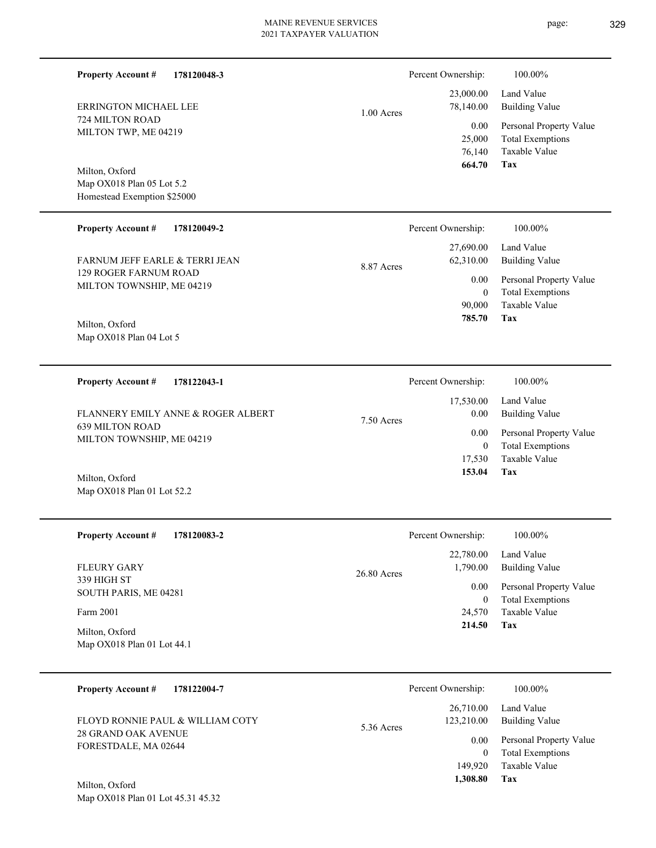| <b>Property Account #</b>                                                  | 178120048-3 |              | Percent Ownership:                          | 100.00%                                                                           |
|----------------------------------------------------------------------------|-------------|--------------|---------------------------------------------|-----------------------------------------------------------------------------------|
| <b>ERRINGTON MICHAEL LEE</b>                                               |             | $1.00$ Acres | 23,000.00<br>78,140.00                      | Land Value<br><b>Building Value</b>                                               |
| 724 MILTON ROAD<br>MILTON TWP, ME 04219                                    |             |              | 0.00<br>25,000<br>76,140<br>664.70          | Personal Property Value<br><b>Total Exemptions</b><br><b>Taxable Value</b><br>Tax |
| Milton, Oxford<br>Map OX018 Plan 05 Lot 5.2<br>Homestead Exemption \$25000 |             |              |                                             |                                                                                   |
| <b>Property Account #</b>                                                  | 178120049-2 |              | Percent Ownership:                          | 100.00%                                                                           |
| FARNUM JEFF EARLE & TERRI JEAN                                             |             | 8.87 Acres   | 27,690.00<br>62,310.00                      | Land Value<br><b>Building Value</b>                                               |
| 129 ROGER FARNUM ROAD<br>MILTON TOWNSHIP, ME 04219                         |             |              | 0.00<br>$\mathbf{0}$<br>90,000              | Personal Property Value<br><b>Total Exemptions</b><br>Taxable Value               |
| Milton, Oxford<br>Map OX018 Plan 04 Lot 5                                  |             |              | 785.70                                      | Tax                                                                               |
| <b>Property Account #</b>                                                  | 178122043-1 |              | Percent Ownership:                          | 100.00%                                                                           |
| FLANNERY EMILY ANNE & ROGER ALBERT                                         |             | 7.50 Acres   | 17,530.00<br>0.00                           | Land Value<br><b>Building Value</b>                                               |
| <b>639 MILTON ROAD</b><br>MILTON TOWNSHIP, ME 04219                        |             |              | 0.00<br>$\mathbf{0}$                        | Personal Property Value<br><b>Total Exemptions</b>                                |
| Milton, Oxford<br>Map OX018 Plan 01 Lot 52.2                               |             |              | 17,530<br>153.04                            | <b>Taxable Value</b><br>Tax                                                       |
| <b>Property Account #</b>                                                  | 178120083-2 |              | Percent Ownership:                          | 100.00%                                                                           |
| <b>FLEURY GARY</b>                                                         |             | 26.80 Acres  | 22,780.00<br>1,790.00                       | Land Value<br><b>Building Value</b>                                               |
| 339 HIGH ST<br>SOUTH PARIS, ME 04281                                       |             |              | $0.00\,$<br>$\mathbf{0}$                    | Personal Property Value<br><b>Total Exemptions</b>                                |
| Farm 2001<br>Milton, Oxford                                                |             |              | 24,570<br>214.50                            | Taxable Value<br>Tax                                                              |
| Map OX018 Plan 01 Lot 44.1                                                 |             |              |                                             |                                                                                   |
| <b>Property Account #</b>                                                  | 178122004-7 |              | Percent Ownership:                          | 100.00%                                                                           |
| FLOYD RONNIE PAUL & WILLIAM COTY                                           |             | 5.36 Acres   | 26,710.00<br>123,210.00                     | Land Value<br><b>Building Value</b>                                               |
| 28 GRAND OAK AVENUE<br>FORESTDALE, MA 02644                                |             |              | 0.00<br>$\mathbf{0}$<br>149,920<br>1,308.80 | Personal Property Value<br><b>Total Exemptions</b><br>Taxable Value<br>Tax        |
| Milton, Oxford<br>Map OX018 Plan 01 Lot 45.31 45.32                        |             |              |                                             |                                                                                   |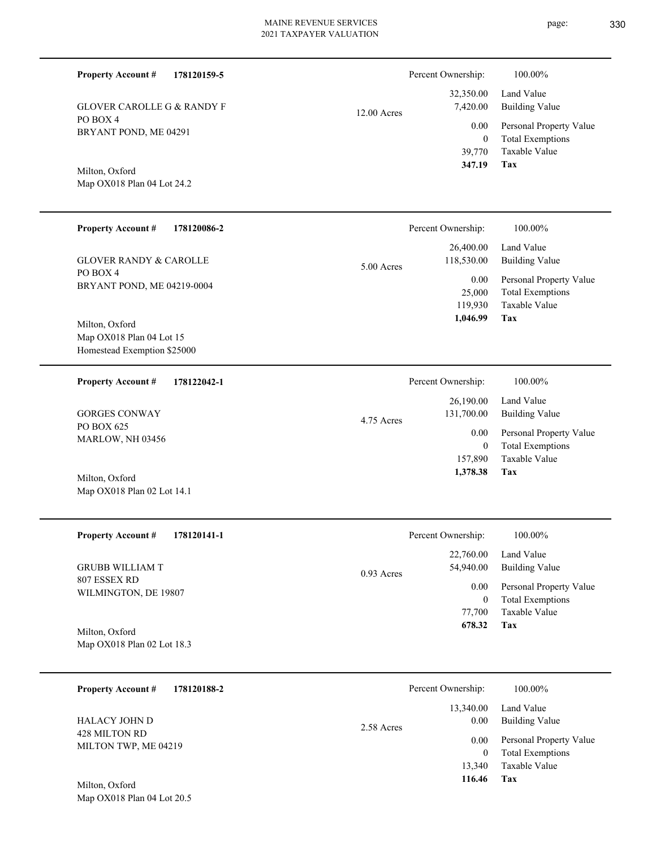| <b>Property Account #</b>                                                 | 178120159-5 |             | Percent Ownership:                 | 100.00%                                                                    |
|---------------------------------------------------------------------------|-------------|-------------|------------------------------------|----------------------------------------------------------------------------|
| <b>GLOVER CAROLLE G &amp; RANDY F</b>                                     |             | 12.00 Acres | 32,350.00<br>7,420.00              | Land Value<br><b>Building Value</b>                                        |
| PO BOX 4<br>BRYANT POND, ME 04291                                         |             |             | 0.00<br>$\boldsymbol{0}$<br>39,770 | Personal Property Value<br><b>Total Exemptions</b><br>Taxable Value        |
| Milton, Oxford<br>Map OX018 Plan 04 Lot 24.2                              |             |             | 347.19                             | Tax                                                                        |
| <b>Property Account #</b>                                                 | 178120086-2 |             | Percent Ownership:                 | 100.00%                                                                    |
| <b>GLOVER RANDY &amp; CAROLLE</b>                                         |             | 5.00 Acres  | 26,400.00<br>118,530.00            | Land Value<br><b>Building Value</b>                                        |
| PO BOX 4<br>BRYANT POND, ME 04219-0004                                    |             |             | 0.00<br>25,000<br>119,930          | Personal Property Value<br><b>Total Exemptions</b><br>Taxable Value<br>Tax |
| Milton, Oxford<br>Map OX018 Plan 04 Lot 15<br>Homestead Exemption \$25000 |             |             | 1,046.99                           |                                                                            |
| <b>Property Account #</b>                                                 | 178122042-1 |             | Percent Ownership:                 | 100.00%                                                                    |
| <b>GORGES CONWAY</b>                                                      |             | 4.75 Acres  | 26,190.00<br>131,700.00            | Land Value<br><b>Building Value</b>                                        |
| PO BOX 625<br>MARLOW, NH 03456                                            |             |             | 0.00<br>$\mathbf{0}$<br>157,890    | Personal Property Value<br><b>Total Exemptions</b><br>Taxable Value        |
| Milton, Oxford<br>Map OX018 Plan 02 Lot 14.1                              |             |             | 1,378.38                           | Tax                                                                        |
| <b>Property Account #</b>                                                 | 178120141-1 |             | Percent Ownership:                 | 100.00%                                                                    |
| <b>GRUBB WILLIAM T</b>                                                    |             |             | 22,760.00<br>54,940.00             | Land Value<br><b>Building Value</b>                                        |
| 807 ESSEX RD<br>WILMINGTON, DE 19807                                      |             | 0.93 Acres  | 0.00<br>$\boldsymbol{0}$<br>77,700 | Personal Property Value<br><b>Total Exemptions</b><br>Taxable Value        |
|                                                                           |             |             | 678.32                             | <b>Tax</b>                                                                 |

Map OX018 Plan 02 Lot 18.3 Milton, Oxford

| 178120188-2<br><b>Property Account #</b> | Percent Ownership:              | 100.00%                                            |
|------------------------------------------|---------------------------------|----------------------------------------------------|
| <b>HALACY JOHN D</b>                     | 13,340.00<br>0.00<br>2.58 Acres | Land Value<br><b>Building Value</b>                |
| 428 MILTON RD<br>MILTON TWP, ME 04219    | 0.00                            | Personal Property Value<br><b>Total Exemptions</b> |
| Milton Oxford                            | 13,340<br>116.46                | Taxable Value<br>Tax                               |

Map OX018 Plan 04 Lot 20.5 Milton, Oxford

- 
- page: 330
-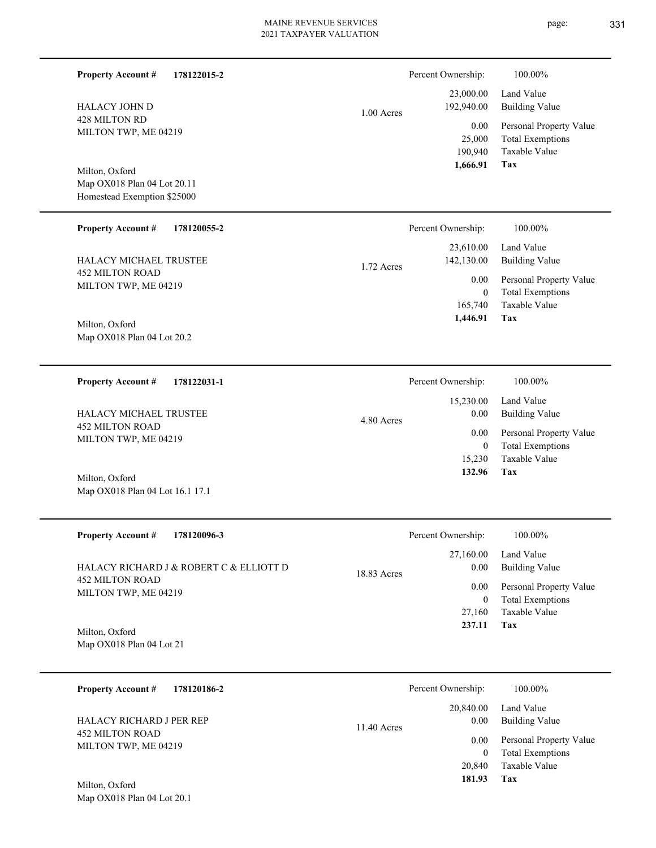| <b>Property Account #</b><br>178122015-2<br><b>HALACY JOHN D</b><br>428 MILTON RD<br>MILTON TWP, ME 04219 | 1.00 Acres  | Percent Ownership:<br>23,000.00<br>192,940.00<br>0.00<br>25,000<br>190,940 | 100.00%<br>Land Value<br><b>Building Value</b><br>Personal Property Value<br><b>Total Exemptions</b><br>Taxable Value |
|-----------------------------------------------------------------------------------------------------------|-------------|----------------------------------------------------------------------------|-----------------------------------------------------------------------------------------------------------------------|
| Milton, Oxford<br>Map OX018 Plan 04 Lot 20.11<br>Homestead Exemption \$25000                              |             | 1,666.91                                                                   | <b>Tax</b>                                                                                                            |
| <b>Property Account #</b><br>178120055-2                                                                  |             | Percent Ownership:                                                         | 100.00%                                                                                                               |
| HALACY MICHAEL TRUSTEE                                                                                    | 1.72 Acres  | 23,610.00<br>142,130.00                                                    | Land Value<br><b>Building Value</b>                                                                                   |
| <b>452 MILTON ROAD</b><br>MILTON TWP, ME 04219                                                            |             | 0.00<br>$\boldsymbol{0}$                                                   | Personal Property Value<br><b>Total Exemptions</b>                                                                    |
| Milton, Oxford<br>Map OX018 Plan 04 Lot 20.2                                                              |             | 165,740<br>1,446.91                                                        | Taxable Value<br>Tax                                                                                                  |
| <b>Property Account #</b><br>178122031-1                                                                  |             | Percent Ownership:                                                         | 100.00%                                                                                                               |
| HALACY MICHAEL TRUSTEE                                                                                    | 4.80 Acres  | 15,230.00<br>0.00                                                          | Land Value<br><b>Building Value</b>                                                                                   |
| <b>452 MILTON ROAD</b><br>MILTON TWP, ME 04219                                                            |             | 0.00<br>$\mathbf{0}$<br>15,230<br>132.96                                   | Personal Property Value<br><b>Total Exemptions</b><br>Taxable Value<br>Tax                                            |
| Milton, Oxford<br>Map OX018 Plan 04 Lot 16.1 17.1                                                         |             |                                                                            |                                                                                                                       |
| 178120096-3<br><b>Property Account #</b>                                                                  |             | Percent Ownership:                                                         | 100.00%                                                                                                               |
| HALACY RICHARD J & ROBERT C & ELLIOTT D                                                                   | 18.83 Acres | 27,160.00<br>0.00                                                          | Land Value<br><b>Building Value</b>                                                                                   |
| 452 MILTON ROAD<br>MILTON TWP, ME 04219                                                                   |             | 0.00<br>$\mathbf{0}$<br>27,160<br>237.11                                   | Personal Property Value<br><b>Total Exemptions</b><br>Taxable Value<br>Tax                                            |
| Milton, Oxford<br>Map OX018 Plan 04 Lot 21                                                                |             |                                                                            |                                                                                                                       |
| <b>Property Account #</b><br>178120186-2                                                                  |             | Percent Ownership:                                                         | 100.00%                                                                                                               |
| HALACY RICHARD J PER REP                                                                                  | 11.40 Acres | 20,840.00<br>0.00                                                          | Land Value<br><b>Building Value</b>                                                                                   |
| <b>452 MILTON ROAD</b><br>MILTON TWP, ME 04219                                                            |             | 0.00<br>$\mathbf{0}$<br>20,840<br>181.93                                   | Personal Property Value<br><b>Total Exemptions</b><br>Taxable Value<br>Tax                                            |
| Milton, Oxford<br>Map OX018 Plan 04 Lot 20.1                                                              |             |                                                                            |                                                                                                                       |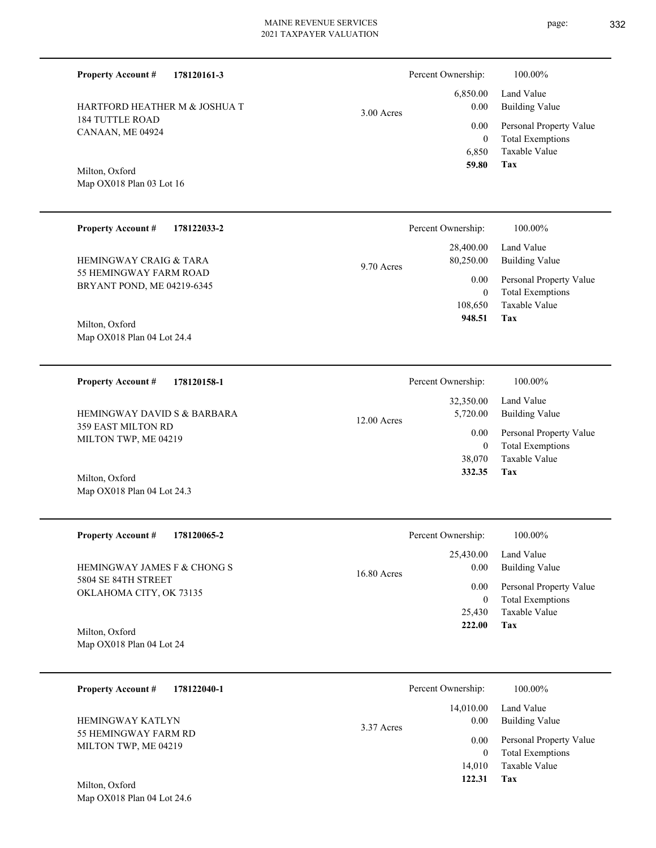page: 332

| <b>Property Account #</b><br>178120161-3                    |               | Percent Ownership:                         | 100.00%                                                                           |
|-------------------------------------------------------------|---------------|--------------------------------------------|-----------------------------------------------------------------------------------|
| HARTFORD HEATHER M & JOSHUA T                               | $3.00$ Acres  | 6,850.00<br>0.00                           | Land Value<br><b>Building Value</b>                                               |
| <b>184 TUTTLE ROAD</b><br>CANAAN, ME 04924                  |               | 0.00<br>$\overline{0}$<br>6,850<br>59.80   | Personal Property Value<br><b>Total Exemptions</b><br><b>Taxable Value</b><br>Tax |
| Milton, Oxford<br>Map OX018 Plan 03 Lot 16                  |               |                                            |                                                                                   |
| <b>Property Account #</b><br>178122033-2                    |               | Percent Ownership:                         | 100.00%                                                                           |
| <b>HEMINGWAY CRAIG &amp; TARA</b><br>55 HEMINGWAY FARM ROAD | 9.70 Acres    | 28,400.00<br>80,250.00                     | Land Value<br><b>Building Value</b>                                               |
| BRYANT POND, ME 04219-6345                                  |               | 0.00<br>$\overline{0}$<br>108,650          | Personal Property Value<br><b>Total Exemptions</b><br>Taxable Value               |
| Milton, Oxford<br>Map OX018 Plan 04 Lot 24.4                |               | 948.51                                     | Tax                                                                               |
| <b>Property Account #</b><br>178120158-1                    |               | Percent Ownership:                         | 100.00%                                                                           |
| <b>HEMINGWAY DAVID S &amp; BARBARA</b>                      | $12.00$ Acres | 32,350.00<br>5,720.00                      | Land Value<br><b>Building Value</b>                                               |
| 359 EAST MILTON RD<br>MILTON TWP, ME 04219                  |               | 0.00<br>$\overline{0}$<br>38,070<br>332.35 | Personal Property Value<br><b>Total Exemptions</b><br><b>Taxable Value</b><br>Tax |
| Milton, Oxford<br>Map OX018 Plan 04 Lot 24.3                |               |                                            |                                                                                   |
| <b>Property Account #</b><br>178120065-2                    |               | Percent Ownership:                         | 100.00%                                                                           |
| HEMINGWAY JAMES F & CHONG S                                 | 16.80 Acres   | 25,430.00<br>0.00                          | Land Value<br><b>Building Value</b>                                               |
| 5804 SE 84TH STREET<br>OKLAHOMA CITY, OK 73135              |               | 0.00<br>$\boldsymbol{0}$<br>25,430         | Personal Property Value<br><b>Total Exemptions</b><br>Taxable Value               |
| Milton, Oxford<br>Map OX018 Plan 04 Lot 24                  |               | 222.00                                     | Tax                                                                               |
| 178122040-1<br><b>Property Account #</b>                    |               | Percent Ownership:                         | 100.00%                                                                           |
| HEMINGWAY KATLYN                                            | 3.37 Acres    | 14,010.00<br>0.00                          | Land Value<br><b>Building Value</b>                                               |
| 55 HEMINGWAY FARM RD<br>MILTON TWP, ME 04219                |               | 0.00<br>$\boldsymbol{0}$                   | Personal Property Value<br><b>Total Exemptions</b>                                |
| Milton, Oxford<br>Map OX018 Plan 04 Lot 24.6                |               | 14,010<br>122.31                           | Taxable Value<br>Tax                                                              |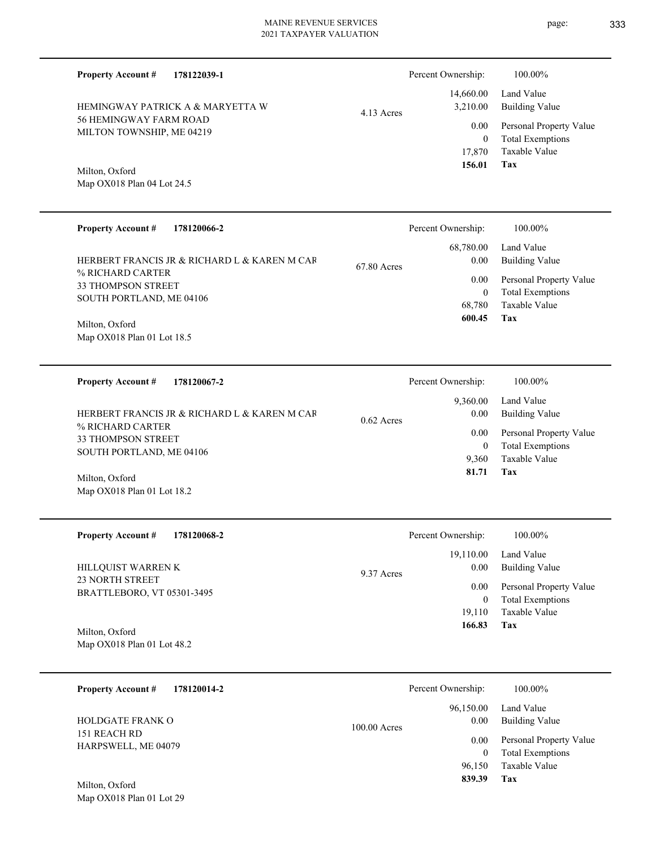| <b>Property Account #</b><br>178122039-1            |              | Percent Ownership:             | 100.00%                                                             |
|-----------------------------------------------------|--------------|--------------------------------|---------------------------------------------------------------------|
| HEMINGWAY PATRICK A & MARYETTA W                    | 4.13 Acres   | 14,660.00<br>3,210.00          | Land Value<br><b>Building Value</b>                                 |
| 56 HEMINGWAY FARM ROAD<br>MILTON TOWNSHIP, ME 04219 |              | 0.00<br>$\mathbf{0}$<br>17,870 | Personal Property Value<br><b>Total Exemptions</b><br>Taxable Value |
| Milton, Oxford                                      |              | 156.01                         | Tax                                                                 |
| Map OX018 Plan 04 Lot 24.5                          |              |                                |                                                                     |
| <b>Property Account #</b><br>178120066-2            |              | Percent Ownership:             | 100.00%                                                             |
| HERBERT FRANCIS JR & RICHARD L & KAREN M CAR        | 67.80 Acres  | 68,780.00<br>0.00              | Land Value<br><b>Building Value</b>                                 |
| % RICHARD CARTER<br><b>33 THOMPSON STREET</b>       |              | 0.00<br>$\mathbf{0}$           | Personal Property Value<br><b>Total Exemptions</b>                  |
| SOUTH PORTLAND, ME 04106                            |              | 68,780<br>600.45               | <b>Taxable Value</b><br>Tax                                         |
| Milton, Oxford<br>Map OX018 Plan 01 Lot 18.5        |              |                                |                                                                     |
|                                                     |              |                                |                                                                     |
| <b>Property Account #</b><br>178120067-2            |              | Percent Ownership:             | 100.00%                                                             |
| HERBERT FRANCIS JR & RICHARD L & KAREN M CAR        |              | 9,360.00<br>0.00               | Land Value<br><b>Building Value</b>                                 |
| % RICHARD CARTER<br>33 THOMPSON STREET              | $0.62$ Acres | 0.00                           | Personal Property Value                                             |
| SOUTH PORTLAND, ME 04106                            |              | $\mathbf{0}$<br>9,360          | <b>Total Exemptions</b><br><b>Taxable Value</b>                     |
| Milton, Oxford<br>Map OX018 Plan 01 Lot 18.2        |              | 81.71                          | Tax                                                                 |
|                                                     |              |                                |                                                                     |
| <b>Property Account #</b><br>178120068-2            |              | Percent Ownership:             | 100.00%                                                             |
| HILLQUIST WARREN K                                  | 9.37 Acres   | 19,110.00<br>0.00              | Land Value<br><b>Building Value</b>                                 |
| 23 NORTH STREET<br>BRATTLEBORO, VT 05301-3495       |              | 0.00                           | Personal Property Value                                             |
|                                                     |              | $\mathbf{0}$<br>19,110         | <b>Total Exemptions</b><br><b>Taxable Value</b>                     |
| Milton, Oxford<br>Map OX018 Plan 01 Lot 48.2        |              | 166.83                         | Tax                                                                 |
|                                                     |              |                                |                                                                     |
| <b>Property Account #</b><br>178120014-2            |              | Percent Ownership:             | 100.00%                                                             |
| HOLDGATE FRANK O                                    | 100.00 Acres | 96,150.00<br>0.00              | Land Value<br><b>Building Value</b>                                 |
| 151 REACH RD<br>HARPSWELL, ME 04079                 |              | 0.00<br>$\mathbf{0}$           | Personal Property Value<br><b>Total Exemptions</b>                  |
|                                                     |              | 96,150<br>839.39               | Taxable Value<br>Tax                                                |
| Milton, Oxford<br>Map OX018 Plan 01 Lot 29          |              |                                |                                                                     |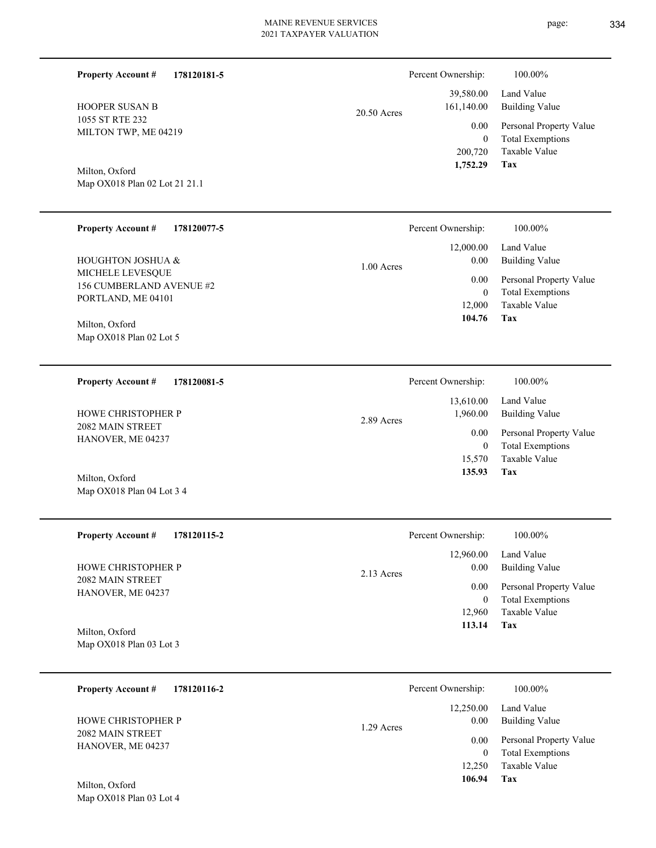| <b>Property Account #</b><br>178120181-5                           |              | Percent Ownership:                         | 100.00%                                                                    |
|--------------------------------------------------------------------|--------------|--------------------------------------------|----------------------------------------------------------------------------|
| <b>HOOPER SUSAN B</b>                                              | 20.50 Acres  | 39,580.00<br>161,140.00                    | Land Value<br><b>Building Value</b>                                        |
| 1055 ST RTE 232<br>MILTON TWP, ME 04219                            |              | 0.00<br>$\overline{0}$<br>200,720          | Personal Property Value<br><b>Total Exemptions</b><br>Taxable Value        |
| Milton, Oxford<br>Map OX018 Plan 02 Lot 21 21.1                    |              | 1,752.29                                   | Tax                                                                        |
| <b>Property Account #</b><br>178120077-5                           |              | Percent Ownership:                         | 100.00%                                                                    |
| HOUGHTON JOSHUA &                                                  | $1.00$ Acres | 12,000.00<br>0.00                          | Land Value<br><b>Building Value</b>                                        |
| MICHELE LEVESQUE<br>156 CUMBERLAND AVENUE #2<br>PORTLAND, ME 04101 |              | 0.00<br>$\overline{0}$<br>12,000           | Personal Property Value<br><b>Total Exemptions</b><br>Taxable Value        |
| Milton, Oxford<br>Map OX018 Plan 02 Lot 5                          |              | 104.76                                     | Tax                                                                        |
| <b>Property Account #</b><br>178120081-5                           |              | Percent Ownership:                         | 100.00%                                                                    |
| HOWE CHRISTOPHER P                                                 | 2.89 Acres   | 13,610.00<br>1,960.00                      | Land Value<br><b>Building Value</b>                                        |
| 2082 MAIN STREET<br>HANOVER, ME 04237                              |              | 0.00<br>$\overline{0}$<br>15,570<br>135.93 | Personal Property Value<br><b>Total Exemptions</b><br>Taxable Value<br>Tax |
| Milton, Oxford<br>Map OX018 Plan 04 Lot 3 4                        |              |                                            |                                                                            |
| <b>Property Account #</b><br>178120115-2                           |              | Percent Ownership:                         | 100.00%                                                                    |
| HOWE CHRISTOPHER P                                                 | 2.13 Acres   | 12,960.00<br>0.00                          | Land Value<br><b>Building Value</b>                                        |
| 2082 MAIN STREET<br>HANOVER, ME 04237                              |              | 0.00<br>$\overline{0}$<br>12,960<br>113.14 | Personal Property Value<br><b>Total Exemptions</b><br>Taxable Value<br>Tax |
| Milton, Oxford<br>Map OX018 Plan 03 Lot 3                          |              |                                            |                                                                            |
| <b>Property Account #</b><br>178120116-2                           |              | Percent Ownership:                         | 100.00%                                                                    |
| HOWE CHRISTOPHER P                                                 | 1.29 Acres   | 12,250.00<br>0.00                          | Land Value<br><b>Building Value</b>                                        |
| 2082 MAIN STREET<br>HANOVER, ME 04237<br>Milton, Oxford            |              | 0.00<br>$\mathbf{0}$<br>12,250<br>106.94   | Personal Property Value<br><b>Total Exemptions</b><br>Taxable Value<br>Tax |
| Map OX018 Plan 03 Lot 4                                            |              |                                            |                                                                            |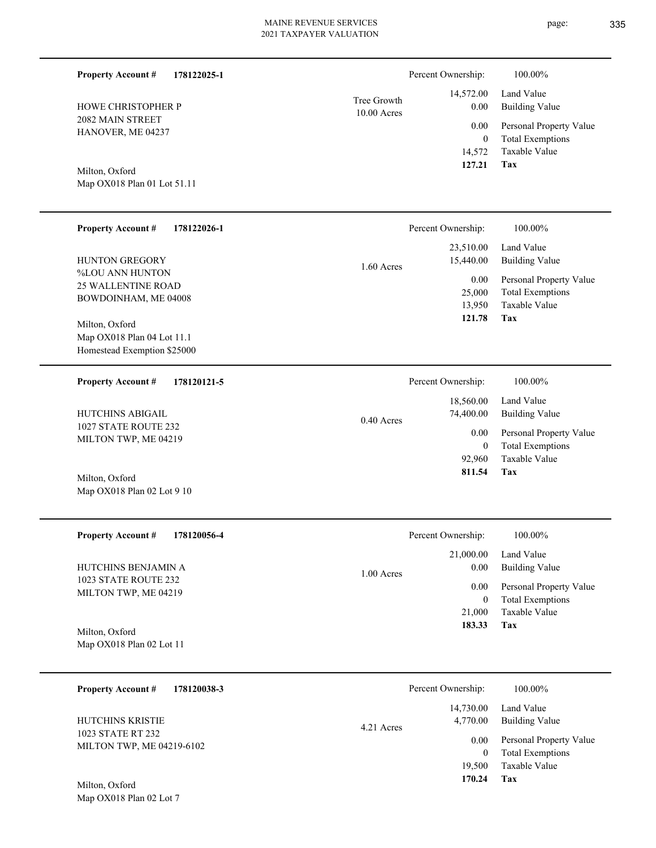| <b>Property Account #</b><br>178122025-1       |                              | Percent Ownership:                 | 100.00%                                            |
|------------------------------------------------|------------------------------|------------------------------------|----------------------------------------------------|
| HOWE CHRISTOPHER P                             | Tree Growth<br>$10.00$ Acres | 14,572.00<br>0.00                  | Land Value<br><b>Building Value</b>                |
| 2082 MAIN STREET<br>HANOVER, ME 04237          |                              | 0.00                               | Personal Property Value                            |
| Milton, Oxford<br>Map OX018 Plan 01 Lot 51.11  |                              | $\overline{0}$<br>14,572<br>127.21 | <b>Total Exemptions</b><br>Taxable Value<br>Tax    |
|                                                |                              |                                    |                                                    |
| <b>Property Account #</b><br>178122026-1       |                              | Percent Ownership:                 | 100.00%                                            |
| HUNTON GREGORY                                 | 1.60 Acres                   | 23,510.00<br>15,440.00             | Land Value<br><b>Building Value</b>                |
| %LOU ANN HUNTON<br><b>25 WALLENTINE ROAD</b>   |                              | 0.00                               | Personal Property Value                            |
| BOWDOINHAM, ME 04008                           |                              | 25,000<br>13,950                   | <b>Total Exemptions</b><br>Taxable Value           |
| Milton, Oxford<br>Map OX018 Plan 04 Lot 11.1   |                              | 121.78                             | Tax                                                |
| Homestead Exemption \$25000                    |                              |                                    |                                                    |
| <b>Property Account #</b><br>178120121-5       |                              | Percent Ownership:                 | 100.00%                                            |
|                                                |                              | 18,560.00                          | Land Value                                         |
| HUTCHINS ABIGAIL<br>1027 STATE ROUTE 232       | 0.40 Acres                   | 74,400.00                          | <b>Building Value</b>                              |
| MILTON TWP, ME 04219                           |                              | 0.00<br>$\overline{0}$             | Personal Property Value<br><b>Total Exemptions</b> |
|                                                |                              | 92,960<br>811.54                   | Taxable Value<br>Tax                               |
| Milton, Oxford<br>Map OX018 Plan 02 Lot 9 10   |                              |                                    |                                                    |
|                                                |                              |                                    |                                                    |
| <b>Property Account #</b><br>178120056-4       |                              | Percent Ownership:                 | 100.00%                                            |
| HUTCHINS BENJAMIN A                            |                              | 21,000.00<br>0.00                  | Land Value<br><b>Building Value</b>                |
| 1023 STATE ROUTE 232                           | $1.00$ Acres                 | 0.00                               | Personal Property Value                            |
| MILTON TWP, ME 04219                           |                              | $\mathbf{0}$                       | <b>Total Exemptions</b><br>Taxable Value           |
| Milton, Oxford                                 |                              | 21,000<br>183.33                   | Tax                                                |
| Map OX018 Plan 02 Lot 11                       |                              |                                    |                                                    |
|                                                |                              |                                    |                                                    |
| <b>Property Account #</b><br>178120038-3       |                              | Percent Ownership:                 | 100.00%                                            |
| HUTCHINS KRISTIE                               | 4.21 Acres                   | 14,730.00<br>4,770.00              | Land Value<br><b>Building Value</b>                |
| 1023 STATE RT 232<br>MILTON TWP, ME 04219-6102 |                              | 0.00                               | Personal Property Value                            |
|                                                |                              | $\mathbf{0}$<br>19,500             | <b>Total Exemptions</b><br>Taxable Value           |

**Tax 170.24**

Map OX018 Plan 02 Lot 7 Milton, Oxford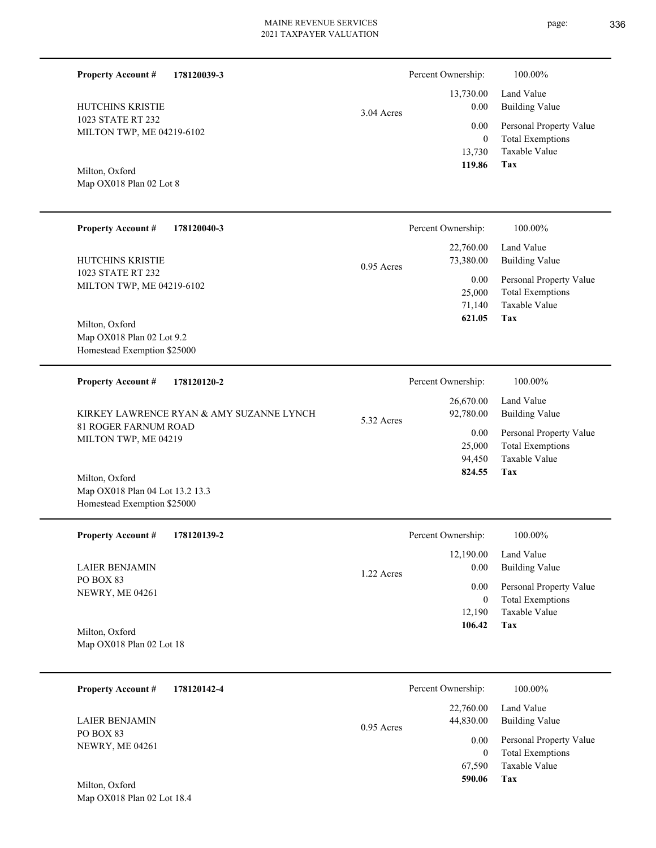L

 $\overline{\phantom{0}}$ 

L Ě.

| <b>Property Account #</b><br>178120039-3                                         |            | Percent Ownership:                           | 100.00%                                                                           |
|----------------------------------------------------------------------------------|------------|----------------------------------------------|-----------------------------------------------------------------------------------|
| HUTCHINS KRISTIE                                                                 | 3.04 Acres | 13,730.00<br>0.00                            | Land Value<br><b>Building Value</b>                                               |
| 1023 STATE RT 232<br>MILTON TWP, ME 04219-6102                                   |            | 0.00<br>$\overline{0}$<br>13,730             | Personal Property Value<br><b>Total Exemptions</b><br>Taxable Value<br><b>Tax</b> |
| Milton, Oxford<br>Map OX018 Plan 02 Lot 8                                        |            | 119.86                                       |                                                                                   |
| <b>Property Account #</b><br>178120040-3                                         |            | Percent Ownership:                           | 100.00%                                                                           |
| HUTCHINS KRISTIE                                                                 | 0.95 Acres | 22,760.00<br>73,380.00                       | Land Value<br><b>Building Value</b>                                               |
| 1023 STATE RT 232<br>MILTON TWP, ME 04219-6102                                   |            | 0.00<br>25,000<br>71,140                     | Personal Property Value<br><b>Total Exemptions</b><br>Taxable Value               |
| Milton, Oxford<br>Map OX018 Plan 02 Lot 9.2<br>Homestead Exemption \$25000       |            | 621.05                                       | Tax                                                                               |
| <b>Property Account #</b><br>178120120-2                                         |            | Percent Ownership:                           | 100.00%                                                                           |
| KIRKEY LAWRENCE RYAN & AMY SUZANNE LYNCH                                         | 5.32 Acres | 26,670.00<br>92,780.00                       | Land Value<br><b>Building Value</b>                                               |
| 81 ROGER FARNUM ROAD<br>MILTON TWP, ME 04219                                     |            | 0.00<br>25,000<br>94,450                     | Personal Property Value<br><b>Total Exemptions</b><br>Taxable Value               |
| Milton, Oxford<br>Map OX018 Plan 04 Lot 13.2 13.3<br>Homestead Exemption \$25000 |            | 824.55                                       | Tax                                                                               |
| <b>Property Account #</b><br>178120139-2                                         |            | Percent Ownership:                           | $100.00\%$                                                                        |
| <b>LAIER BENJAMIN</b>                                                            | 1.22 Acres | 12,190.00<br>0.00                            | Land Value<br><b>Building Value</b>                                               |
| PO BOX 83<br>NEWRY, ME 04261                                                     |            | 0.00<br>$\mathbf{0}$                         | Personal Property Value<br><b>Total Exemptions</b>                                |
| Milton, Oxford<br>Map OX018 Plan 02 Lot 18                                       |            | 12,190<br>106.42                             | Taxable Value<br>Tax                                                              |
| <b>Property Account #</b><br>178120142-4                                         |            | Percent Ownership:                           | 100.00%                                                                           |
| <b>LAIER BENJAMIN</b>                                                            |            | 22,760.00<br>44,830.00                       | Land Value<br><b>Building Value</b>                                               |
| PO BOX 83<br>NEWRY, ME 04261<br>Milton, Oxford                                   | 0.95 Acres | 0.00<br>$\boldsymbol{0}$<br>67,590<br>590.06 | Personal Property Value<br><b>Total Exemptions</b><br>Taxable Value<br>Tax        |
| Map OX018 Plan 02 Lot 18.4                                                       |            |                                              |                                                                                   |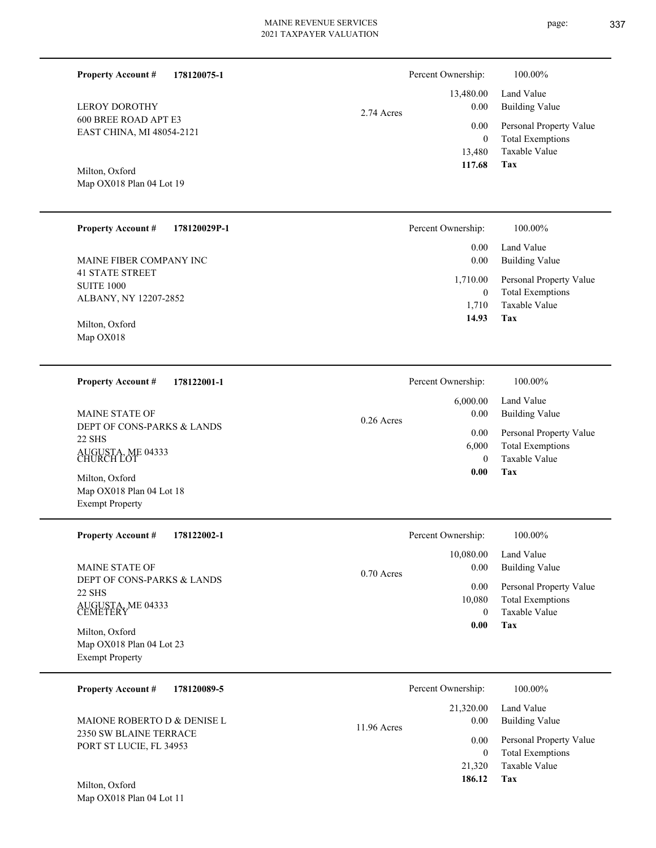Percent Ownership:  $100.00\%$ 

|            | 117.68   | Tax                          |
|------------|----------|------------------------------|
|            |          | 13,480 Taxable Value         |
|            | $\Omega$ | Total Exemptions             |
|            |          | 0.00 Personal Property Value |
| 2.74 Acres |          | 0.00 Building Value          |
|            |          | 13,480.00 Land Value         |

Milton, Oxford

600 BREE ROAD APT E3 EAST CHINA, MI 48054-2121

**Property Account #**

LEROY DOROTHY

**178120075-1**

Map OX018 Plan 04 Lot 19

| <b>Property Account #</b><br>178120029P-1                            | Percent Ownership:                  | 100.00%                                                             |
|----------------------------------------------------------------------|-------------------------------------|---------------------------------------------------------------------|
| MAINE FIBER COMPANY INC                                              | 0.00<br>0.00                        | Land Value<br>Building Value                                        |
| <b>41 STATE STREET</b><br><b>SUITE 1000</b><br>ALBANY, NY 12207-2852 | 1,710.00<br>$\overline{0}$<br>1.710 | Personal Property Value<br><b>Total Exemptions</b><br>Taxable Value |
| Milton, Oxford<br>Map OX018                                          | 14.93                               | Tax                                                                 |

| 178122001-1<br><b>Property Account #</b>                                                                           | Percent Ownership:                                        | 100.00%                                                                                                    |
|--------------------------------------------------------------------------------------------------------------------|-----------------------------------------------------------|------------------------------------------------------------------------------------------------------------|
| <b>MAINE STATE OF</b><br>DEPT OF CONS-PARKS & LANDS<br>22 SHS<br>AUGUSTA, ME 04333<br>CHURCH LOT<br>Milton, Oxford | 6,000.00<br>0.00<br>$0.26$ Acres<br>0.00<br>6,000<br>0.00 | Land Value<br>Building Value<br>Personal Property Value<br><b>Total Exemptions</b><br>Taxable Value<br>Tax |
| Map OX018 Plan 04 Lot 18                                                                                           |                                                           |                                                                                                            |

| <b>Property Account #</b><br>178122002-1                                                       | Percent Ownership:                                              | 100.00%                                                                                                    |
|------------------------------------------------------------------------------------------------|-----------------------------------------------------------------|------------------------------------------------------------------------------------------------------------|
| <b>MAINE STATE OF</b><br>DEPT OF CONS-PARKS & LANDS<br>22 SHS<br>AUGUSTA, ME 04333<br>CEMETERY | 10,080.00<br>0.00<br>$0.70$ Acres<br>0.00<br>10,080<br>$\Omega$ | Land Value<br><b>Building Value</b><br>Personal Property Value<br><b>Total Exemptions</b><br>Taxable Value |
| Milton, Oxford<br>Map OX018 Plan 04 Lot 23<br><b>Exempt Property</b>                           | 0.00                                                            | Tax                                                                                                        |

| 178120089-5<br><b>Property Account #</b>          | Percent Ownership:    | 100.00%                 |
|---------------------------------------------------|-----------------------|-------------------------|
|                                                   | 21,320.00             | Land Value              |
| MAIONE ROBERTO D & DENISE L                       | 0.00<br>$11.96$ Acres | Building Value          |
| 2350 SW BLAINE TERRACE<br>PORT ST LUCIE, FL 34953 | 0.00                  | Personal Property Value |
|                                                   |                       | <b>Total Exemptions</b> |
|                                                   | 21,320                | Taxable Value           |
| Milton, Oxford                                    | 186.12                | Tax                     |

Map OX018 Plan 04 Lot 11 Milton, Oxford

Exempt Property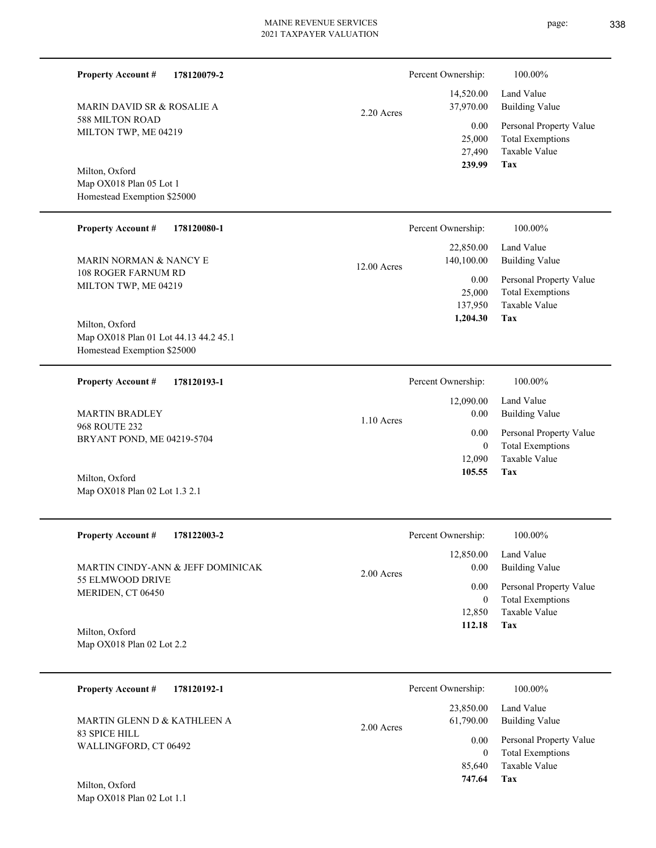| <b>Property Account #</b><br>178120079-2                                               |               | Percent Ownership:                         | 100.00%                                                                           |
|----------------------------------------------------------------------------------------|---------------|--------------------------------------------|-----------------------------------------------------------------------------------|
| <b>MARIN DAVID SR &amp; ROSALIE A</b>                                                  | 2.20 Acres    | 14,520.00<br>37,970.00                     | Land Value<br><b>Building Value</b>                                               |
| <b>588 MILTON ROAD</b><br>MILTON TWP, ME 04219                                         |               | 0.00<br>25,000<br>27,490<br>239.99         | Personal Property Value<br><b>Total Exemptions</b><br>Taxable Value<br><b>Tax</b> |
| Milton, Oxford<br>Map OX018 Plan 05 Lot 1<br>Homestead Exemption \$25000               |               |                                            |                                                                                   |
| <b>Property Account #</b><br>178120080-1                                               |               | Percent Ownership:                         | 100.00%                                                                           |
| MARIN NORMAN & NANCY E                                                                 | $12.00$ Acres | 22,850.00<br>140,100.00                    | Land Value<br><b>Building Value</b>                                               |
| 108 ROGER FARNUM RD<br>MILTON TWP, ME 04219                                            |               | 0.00<br>25,000<br>137,950<br>1,204.30      | Personal Property Value<br><b>Total Exemptions</b><br>Taxable Value<br>Tax        |
| Milton, Oxford<br>Map OX018 Plan 01 Lot 44.13 44.2 45.1<br>Homestead Exemption \$25000 |               |                                            |                                                                                   |
| <b>Property Account #</b><br>178120193-1                                               |               | Percent Ownership:                         | 100.00%                                                                           |
| <b>MARTIN BRADLEY</b>                                                                  | $1.10$ Acres  | 12,090.00<br>0.00                          | Land Value<br><b>Building Value</b>                                               |
| <b>968 ROUTE 232</b><br>BRYANT POND, ME 04219-5704                                     |               | 0.00<br>$\theta$<br>12,090                 | Personal Property Value<br><b>Total Exemptions</b><br><b>Taxable Value</b>        |
| Milton, Oxford<br>Map OX018 Plan 02 Lot 1.3 2.1                                        |               | 105.55                                     | Tax                                                                               |
| Property Account #<br>178122003-2                                                      |               | Percent Ownership:                         | $100.00\%$                                                                        |
| MARTIN CINDY-ANN & JEFF DOMINICAK                                                      | 2.00 Acres    | 12,850.00<br>0.00                          | Land Value<br><b>Building Value</b>                                               |
| 55 ELMWOOD DRIVE<br>MERIDEN, CT 06450                                                  |               | 0.00<br>$\overline{0}$                     | Personal Property Value<br><b>Total Exemptions</b>                                |
| Milton, Oxford<br>Map OX018 Plan 02 Lot 2.2                                            |               | 12,850<br>112.18                           | Taxable Value<br>Tax                                                              |
| <b>Property Account #</b><br>178120192-1                                               |               | Percent Ownership:                         | 100.00%                                                                           |
| MARTIN GLENN D & KATHLEEN A                                                            | 2.00 Acres    | 23,850.00<br>61,790.00                     | Land Value<br><b>Building Value</b>                                               |
| 83 SPICE HILL<br>WALLINGFORD, CT 06492<br>Milton, Oxford                               |               | 0.00<br>$\overline{0}$<br>85,640<br>747.64 | Personal Property Value<br><b>Total Exemptions</b><br>Taxable Value<br>Tax        |
| Map OX018 Plan 02 Lot 1.1                                                              |               |                                            |                                                                                   |

page: 338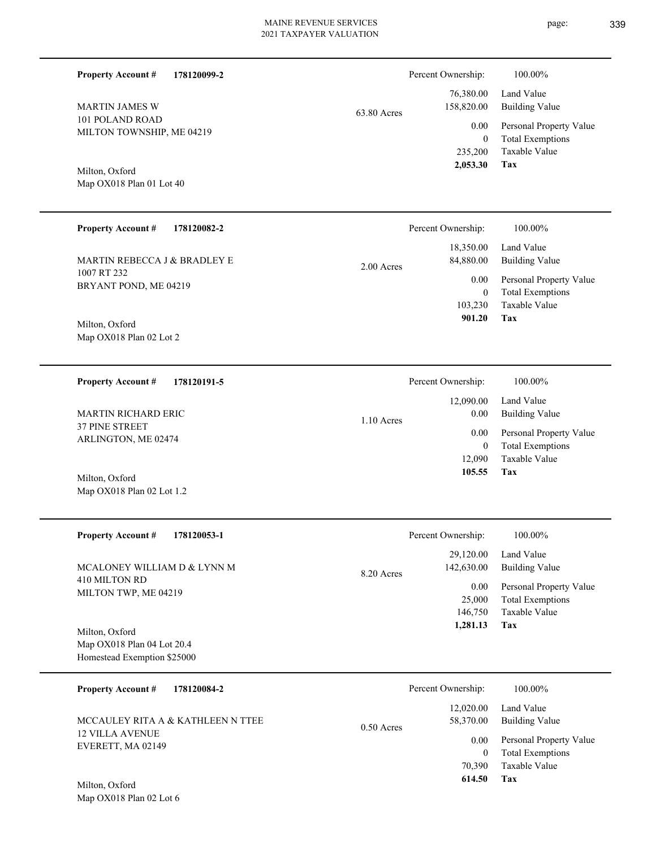| <b>Property Account #</b>                                                   | 178120099-2                       |             | Percent Ownership:                           | 100.00%                                                                           |
|-----------------------------------------------------------------------------|-----------------------------------|-------------|----------------------------------------------|-----------------------------------------------------------------------------------|
| <b>MARTIN JAMES W</b>                                                       |                                   | 63.80 Acres | 76,380.00<br>158,820.00                      | Land Value<br><b>Building Value</b>                                               |
| 101 POLAND ROAD<br>MILTON TOWNSHIP, ME 04219                                |                                   |             | 0.00<br>$\mathbf{0}$<br>235,200              | Personal Property Value<br><b>Total Exemptions</b><br>Taxable Value<br><b>Tax</b> |
| Milton, Oxford<br>Map OX018 Plan 01 Lot 40                                  |                                   |             | 2,053.30                                     |                                                                                   |
| <b>Property Account #</b>                                                   | 178120082-2                       |             | Percent Ownership:                           | 100.00%                                                                           |
| MARTIN REBECCA J & BRADLEY E                                                |                                   | 2.00 Acres  | 18,350.00<br>84,880.00                       | Land Value<br><b>Building Value</b>                                               |
| 1007 RT 232<br>BRYANT POND, ME 04219<br>Milton, Oxford                      |                                   |             | 0.00<br>$\mathbf{0}$<br>103,230<br>901.20    | Personal Property Value<br><b>Total Exemptions</b><br>Taxable Value<br>Tax        |
| Map OX018 Plan 02 Lot 2                                                     |                                   |             |                                              |                                                                                   |
| <b>Property Account #</b>                                                   | 178120191-5                       |             | Percent Ownership:                           | 100.00%                                                                           |
| MARTIN RICHARD ERIC                                                         |                                   | 1.10 Acres  | 12,090.00<br>0.00                            | Land Value<br><b>Building Value</b>                                               |
| 37 PINE STREET<br>ARLINGTON, ME 02474                                       |                                   |             | 0.00<br>$\mathbf{0}$                         | Personal Property Value<br><b>Total Exemptions</b>                                |
| Milton, Oxford<br>Map OX018 Plan 02 Lot 1.2                                 |                                   |             | 12,090<br>105.55                             | Taxable Value<br>Tax                                                              |
| <b>Property Account #</b>                                                   | 178120053-1                       |             | Percent Ownership:                           | 100.00%                                                                           |
| MCALONEY WILLIAM D & LYNN M                                                 |                                   | 8.20 Acres  | 29,120.00<br>142,630.00                      | Land Value<br><b>Building Value</b>                                               |
| 410 MILTON RD<br>MILTON TWP, ME 04219                                       |                                   |             | 0.00<br>25,000<br>146,750<br>1,281.13        | Personal Property Value<br><b>Total Exemptions</b><br>Taxable Value<br>Tax        |
| Milton, Oxford<br>Map OX018 Plan 04 Lot 20.4<br>Homestead Exemption \$25000 |                                   |             |                                              |                                                                                   |
| <b>Property Account #</b>                                                   | 178120084-2                       |             | Percent Ownership:                           | 100.00%                                                                           |
|                                                                             | MCCAULEY RITA A & KATHLEEN N TTEE | 0.50 Acres  | 12,020.00<br>58,370.00                       | Land Value<br><b>Building Value</b>                                               |
| 12 VILLA AVENUE<br>EVERETT, MA 02149                                        |                                   |             | 0.00<br>$\boldsymbol{0}$<br>70,390<br>614.50 | Personal Property Value<br><b>Total Exemptions</b><br>Taxable Value<br>Tax        |
| Milton, Oxford<br>Map OX018 Plan 02 Lot 6                                   |                                   |             |                                              |                                                                                   |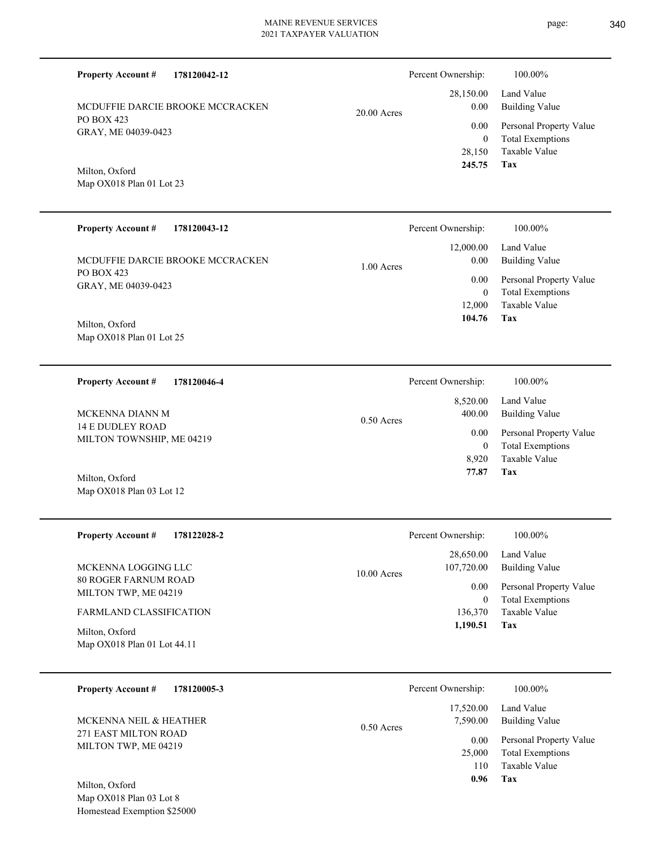Map OX018 Plan 01 Lot 23  $20.0$ **178120043-12** 12,000.00 Percent Ownership: 100.00%

1.00 Acres

PO BOX 423 GRAY, ME 04039-0423 MCDUFFIE DARCIE BROOKE MCCRACKEN

MCDUFFIE DARCIE BROOKE MCCRACKEN

**178120042-12**

Map OX018 Plan 01 Lot 25 Milton, Oxford

PO BOX 423

Milton, Oxford

**Property Account #**

GRAY, ME 04039-0423

**Property Account #**

**178120046-4 Property Account #**

14 E DUDLEY ROAD MILTON TOWNSHIP, ME 04219 MCKENNA DIANN M

Map OX018 Plan 03 Lot 12 Milton, Oxford

| <b>Property Account #</b><br>178122028-2            | Percent Ownership:                       | 100.00%                                            |
|-----------------------------------------------------|------------------------------------------|----------------------------------------------------|
| MCKENNA LOGGING LLC                                 | 28,650.00<br>107,720.00<br>$10.00$ Acres | Land Value<br>Building Value                       |
| <b>80 ROGER FARNUM ROAD</b><br>MILTON TWP, ME 04219 | 0.00 <sub>1</sub>                        | Personal Property Value<br><b>Total Exemptions</b> |
| <b>FARMLAND CLASSIFICATION</b>                      | 136,370                                  | Taxable Value                                      |
| Milton, Oxford<br>Map OX018 Plan 01 Lot 44.11       | 1,190.51                                 | Tax                                                |

| 178120005-3<br><b>Property Account #</b>                                                                                                                                                                                                                                                                                                             | Percent Ownership:                                  | 100.00%                                                             |
|------------------------------------------------------------------------------------------------------------------------------------------------------------------------------------------------------------------------------------------------------------------------------------------------------------------------------------------------------|-----------------------------------------------------|---------------------------------------------------------------------|
| MCKENNA NEIL & HEATHER<br>271 EAST MILTON ROAD                                                                                                                                                                                                                                                                                                       | Land Value<br>17,520.00<br>7.590.00<br>$0.50$ Acres | <b>Building Value</b>                                               |
| MILTON TWP, ME 04219                                                                                                                                                                                                                                                                                                                                 | 0.00<br>25,000<br>110                               | Personal Property Value<br><b>Total Exemptions</b><br>Taxable Value |
| Milton, Oxford<br>$\mathbf{r}$ $\mathbf{r}$ $\mathbf{r}$ $\mathbf{r}$ $\mathbf{r}$ $\mathbf{r}$ $\mathbf{r}$ $\mathbf{r}$ $\mathbf{r}$ $\mathbf{r}$ $\mathbf{r}$ $\mathbf{r}$ $\mathbf{r}$ $\mathbf{r}$ $\mathbf{r}$ $\mathbf{r}$ $\mathbf{r}$ $\mathbf{r}$ $\mathbf{r}$ $\mathbf{r}$ $\mathbf{r}$ $\mathbf{r}$ $\mathbf{r}$ $\mathbf{r}$ $\mathbf{$ | 0.96<br>Tax                                         |                                                                     |

Map OX018 Plan 03 Lot 8 Homestead Exemption \$25000

|          | Percent Ownership: | 100.00%                 |
|----------|--------------------|-------------------------|
|          |                    | 28,150.00 Land Value    |
| 00 Acres | $0.00\,$           | Building Value          |
|          | 0.00               | Personal Property Value |
|          | 0                  | <b>Total Exemptions</b> |
|          |                    | 28,150 Taxable Value    |
|          | 245.75             | Tax                     |

|              | Percent Ownership: | 100.00%                 |
|--------------|--------------------|-------------------------|
|              |                    | 8,520.00 Land Value     |
| $0.50$ Acres | 400.00             | Building Value          |
|              | 0.00               | Personal Property Value |
|              | $\theta$           | <b>Total Exemptions</b> |
|              | 8.920              | Taxable Value           |
|              | 77.87              | Тях                     |

**Tax**

 12,000 0

 0.00 0.00

 **104.76**

Taxable Value Total Exemptions Personal Property Value

Building Value Land Value

|              | Percent Ownership:    | 100.00%                                          |
|--------------|-----------------------|--------------------------------------------------|
| $0.50$ Acres | 17,520.00<br>7.590.00 | Land Value<br>Building Value                     |
|              | 0.00<br>25,000        | Personal Property Val<br><b>Total Exemptions</b> |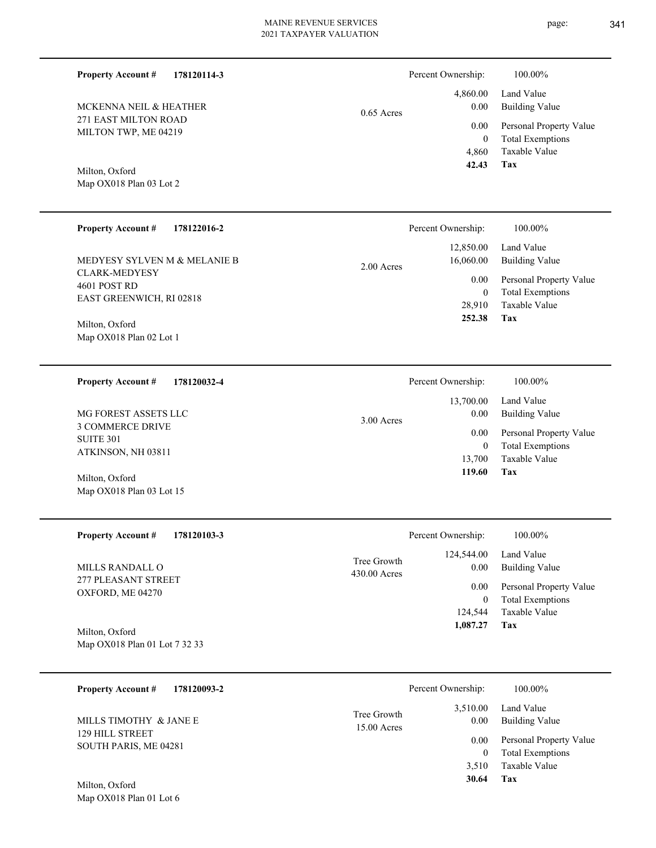271 EAST MILTON ROAD MILTON TWP, ME 04219 MCKENNA NEIL & HEATHER

**178120114-3**

Map OX018 Plan 03 Lot 2 Milton, Oxford

**Property Account #**

#### **178122016-2 Property Account #**

CLARK-MEDYESY 4601 POST RD EAST GREENWICH, RI 02818 MEDYESY SYLVEN M & MELANIE B

Map OX018 Plan 02 Lot 1 Milton, Oxford

**178120032-4 Property Account #**

3 COMMERCE DRIVE SUITE 301 ATKINSON, NH 03811 MG FOREST ASSETS LLC

Map OX018 Plan 03 Lot 15 Milton, Oxford

| Property Account $\#$ 178120103-3      |                               |
|----------------------------------------|-------------------------------|
| MILLS RANDALL O<br>277 PLEASANT STREET | Tree Growth<br>$430.00$ Acres |

Map OX018 Plan 01 Lot 7 32 33 Milton, Oxford

OXFORD, ME 04270

| 178120093-2<br><b>Property Account #</b>        |                              | Percent Ownership: | 100.00%                                            |
|-------------------------------------------------|------------------------------|--------------------|----------------------------------------------------|
| MILLS TIMOTHY & JANE E                          | Tree Growth<br>$15.00$ Acres | 3,510.00<br>0.00   | Land Value<br><b>Building Value</b>                |
| <b>129 HILL STREET</b><br>SOUTH PARIS, ME 04281 |                              | 0.00<br>0          | Personal Property Value<br><b>Total Exemptions</b> |
|                                                 |                              | 3.510              | Taxable Value                                      |
| Milton Oxford                                   |                              | 30.64              | Tax                                                |

Map OX018 Plan 01 Lot 6 Milton, Oxford

|              | Percent Ownership: | 100.00%                 |
|--------------|--------------------|-------------------------|
|              |                    | 4,860.00 Land Value     |
| $0.65$ Acres | 0.00               | <b>Building Value</b>   |
|              | 0.00               | Personal Property Value |
|              | 0                  | <b>Total Exemptions</b> |
|              | 4,860              | Taxable Value           |
|              | 42.43              | Tax                     |

|              | Percent Ownership: | 100.00%                 |
|--------------|--------------------|-------------------------|
|              | 12,850.00          | Land Value              |
| $2.00$ Acres | 16,060.00          | Building Value          |
|              | 0.00               | Personal Property Value |
|              | 0                  | <b>Total Exemptions</b> |
|              | 28,910             | Taxable Value           |
|              | 252.38             | Tax                     |
|              |                    |                         |

|              | Percent Ownership:            | 100.00%                                                                    |
|--------------|-------------------------------|----------------------------------------------------------------------------|
| $3.00$ Acres | 0.00                          | 13,700.00 Land Value<br>Building Value                                     |
|              | 0.00<br>0<br>13.700<br>119.60 | Personal Property Value<br><b>Total Exemptions</b><br>Taxable Value<br>Tax |

|                            | Percent Ownership: | 100.00%                                 |
|----------------------------|--------------------|-----------------------------------------|
| ree Growth<br>$0.00$ Acres | 0.00               | 124,544.00 Land Value<br>Building Value |
|                            | 0.00 <sub>1</sub>  | Personal Property Value                 |
|                            | $\overline{0}$     | <b>Total Exemptions</b>                 |
|                            |                    | 124.544 Taxable Value                   |
|                            | 1,087.27           | Tax                                     |
|                            |                    |                                         |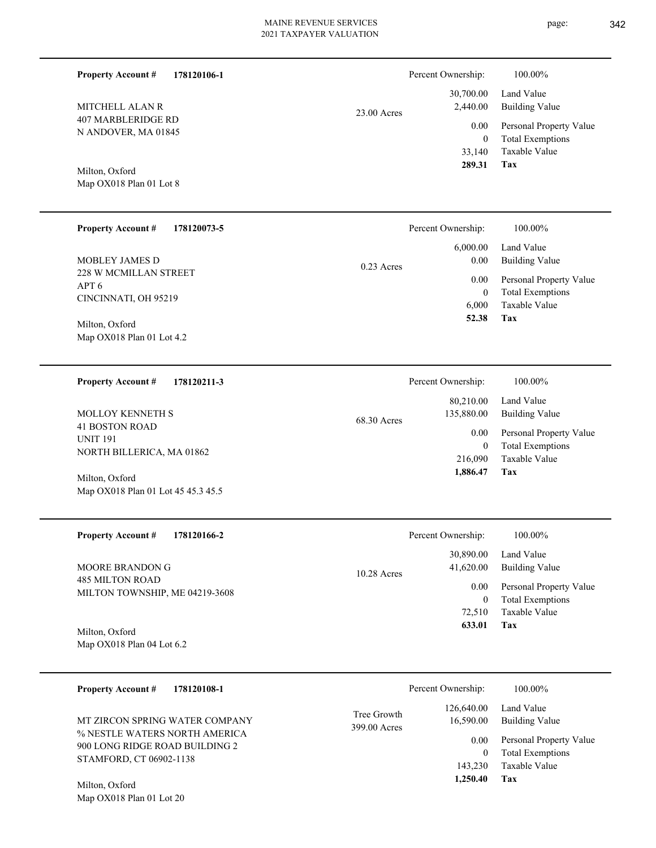**178120106-1**

**Property Account #**

Percent Ownership:  $100.00\%$ 

| MITCHELL ALAN R<br><b>407 MARBLERIDGE RD</b><br>N ANDOVER, MA 01845<br>Milton, Oxford<br>Map OX018 Plan 01 Lot 8 | 23.00 Acres                 | 30,700.00<br>2,440.00<br>0.00<br>$\mathbf{0}$<br>33,140<br>289.31 | Land Value<br><b>Building Value</b><br>Personal Property Value<br><b>Total Exemptions</b><br><b>Taxable Value</b><br>Tax |
|------------------------------------------------------------------------------------------------------------------|-----------------------------|-------------------------------------------------------------------|--------------------------------------------------------------------------------------------------------------------------|
| <b>Property Account #</b><br>178120073-5                                                                         |                             | Percent Ownership:                                                | 100.00%                                                                                                                  |
| MOBLEY JAMES D<br>228 W MCMILLAN STREET<br>APT6<br>CINCINNATI, OH 95219                                          | $0.23$ Acres                | 6,000.00<br>0.00<br>0.00<br>$\boldsymbol{0}$<br>6,000             | Land Value<br><b>Building Value</b><br>Personal Property Value<br><b>Total Exemptions</b><br>Taxable Value               |
| Milton, Oxford<br>Map OX018 Plan 01 Lot 4.2                                                                      |                             | 52.38                                                             | Tax                                                                                                                      |
| <b>Property Account #</b><br>178120211-3                                                                         |                             | Percent Ownership:                                                | 100.00%                                                                                                                  |
| <b>MOLLOY KENNETH S</b>                                                                                          | 68.30 Acres                 | 80,210.00<br>135,880.00                                           | Land Value<br><b>Building Value</b>                                                                                      |
| <b>41 BOSTON ROAD</b><br><b>UNIT 191</b><br>NORTH BILLERICA, MA 01862                                            |                             | 0.00<br>$\mathbf{0}$<br>216,090                                   | Personal Property Value<br><b>Total Exemptions</b><br>Taxable Value<br>Tax                                               |
| Milton, Oxford<br>Map OX018 Plan 01 Lot 45 45.3 45.5                                                             |                             | 1,886.47                                                          |                                                                                                                          |
| <b>Property Account #</b><br>178120166-2                                                                         |                             | Percent Ownership:                                                | 100.00%                                                                                                                  |
| MOORE BRANDON G                                                                                                  | 10.28 Acres                 | 30,890.00<br>41,620.00                                            | Land Value<br><b>Building Value</b>                                                                                      |
| <b>485 MILTON ROAD</b><br>MILTON TOWNSHIP, ME 04219-3608                                                         |                             | 0.00<br>$\boldsymbol{0}$<br>72,510<br>633.01                      | Personal Property Value<br><b>Total Exemptions</b><br>Taxable Value<br>Tax                                               |
| Milton, Oxford<br>Map OX018 Plan 04 Lot 6.2                                                                      |                             |                                                                   |                                                                                                                          |
| <b>Property Account #</b><br>178120108-1                                                                         |                             | Percent Ownership:                                                | 100.00%                                                                                                                  |
| MT ZIRCON SPRING WATER COMPANY                                                                                   | Tree Growth<br>399.00 Acres | 126,640.00<br>16,590.00                                           | Land Value<br><b>Building Value</b>                                                                                      |
| % NESTLE WATERS NORTH AMERICA<br>900 LONG RIDGE ROAD BUILDING 2<br>STAMFORD, CT 06902-1138                       |                             | 0.00<br>$\mathbf{0}$<br>143,230<br>1,250.40                       | Personal Property Value<br><b>Total Exemptions</b><br>Taxable Value<br><b>Tax</b>                                        |

Map OX018 Plan 01 Lot 20 Milton, Oxford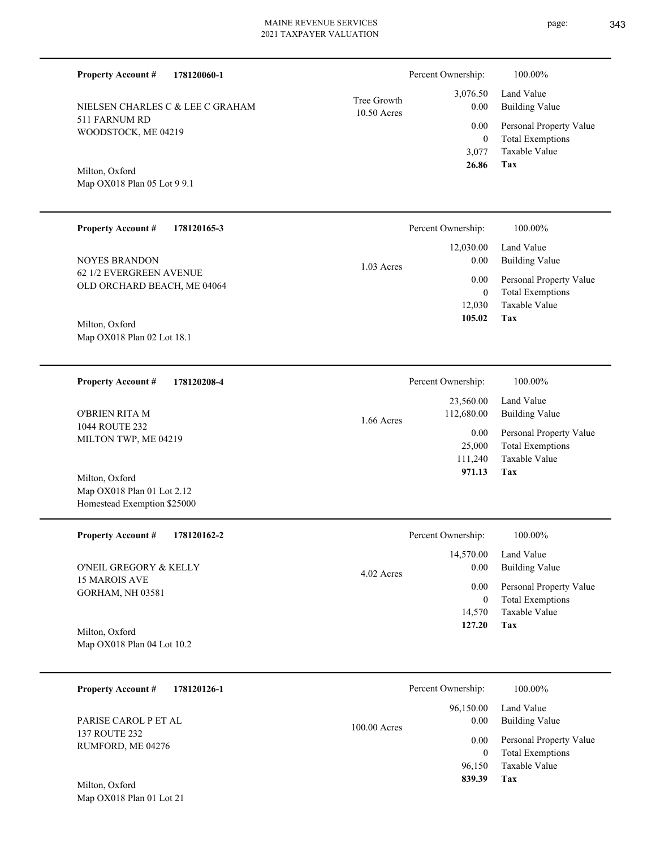| 178120060-1<br><b>Property Account #</b>                                    |                            | Percent Ownership:        | 100.00%                                                             |
|-----------------------------------------------------------------------------|----------------------------|---------------------------|---------------------------------------------------------------------|
| NIELSEN CHARLES C & LEE C GRAHAM                                            | Tree Growth<br>10.50 Acres | 3,076.50<br>0.00          | Land Value<br><b>Building Value</b>                                 |
| 511 FARNUM RD<br>WOODSTOCK, ME 04219                                        |                            | 0.00<br>$\mathbf{0}$      | Personal Property Value<br><b>Total Exemptions</b>                  |
| Milton, Oxford<br>Map OX018 Plan 05 Lot 9 9.1                               |                            | 3,077<br>26.86            | Taxable Value<br>Tax                                                |
| <b>Property Account #</b><br>178120165-3                                    |                            | Percent Ownership:        | 100.00%                                                             |
| <b>NOYES BRANDON</b>                                                        | $1.03$ Acres               | 12,030.00<br>0.00         | Land Value<br><b>Building Value</b>                                 |
| 62 1/2 EVERGREEN AVENUE<br>OLD ORCHARD BEACH, ME 04064                      |                            | 0.00<br>$\boldsymbol{0}$  | Personal Property Value<br><b>Total Exemptions</b>                  |
| Milton, Oxford                                                              |                            | 12,030<br>105.02          | Taxable Value<br>Tax                                                |
| Map OX018 Plan 02 Lot 18.1                                                  |                            |                           |                                                                     |
| <b>Property Account #</b><br>178120208-4                                    |                            | Percent Ownership:        | 100.00%                                                             |
| <b>O'BRIEN RITA M</b>                                                       | 1.66 Acres                 | 23,560.00<br>112,680.00   | Land Value<br><b>Building Value</b>                                 |
| 1044 ROUTE 232<br>MILTON TWP, ME 04219                                      |                            | 0.00<br>25,000<br>111,240 | Personal Property Value<br><b>Total Exemptions</b><br>Taxable Value |
| Milton, Oxford<br>Map OX018 Plan 01 Lot 2.12<br>Homestead Exemption \$25000 |                            | 971.13                    | Tax                                                                 |
| <b>Property Account #</b><br>178120162-2                                    |                            | Percent Ownership:        | 100.00%                                                             |
| O'NEIL GREGORY & KELLY                                                      | 4.02 Acres                 | 14,570.00<br>0.00         | Land Value<br><b>Building Value</b>                                 |
| 15 MAROIS AVE<br>GORHAM, NH 03581                                           |                            | 0.00<br>$\boldsymbol{0}$  | Personal Property Value<br><b>Total Exemptions</b>                  |
| Milton, Oxford<br>Map OX018 Plan 04 Lot 10.2                                |                            | 14,570<br>127.20          | Taxable Value<br>Tax                                                |
|                                                                             |                            |                           |                                                                     |
| <b>Property Account #</b><br>178120126-1                                    |                            | Percent Ownership:        | 100.00%                                                             |
| PARISE CAROL P ET AL                                                        | 100.00 Acres               | 96,150.00<br>0.00         | Land Value<br><b>Building Value</b>                                 |
| 137 ROUTE 232<br>RUMFORD, ME 04276                                          |                            | 0.00<br>$\mathbf{0}$      | Personal Property Value<br><b>Total Exemptions</b>                  |
|                                                                             |                            | 96,150<br>839.39          | Taxable Value<br>Tax                                                |

Map OX018 Plan 01 Lot 21 Milton, Oxford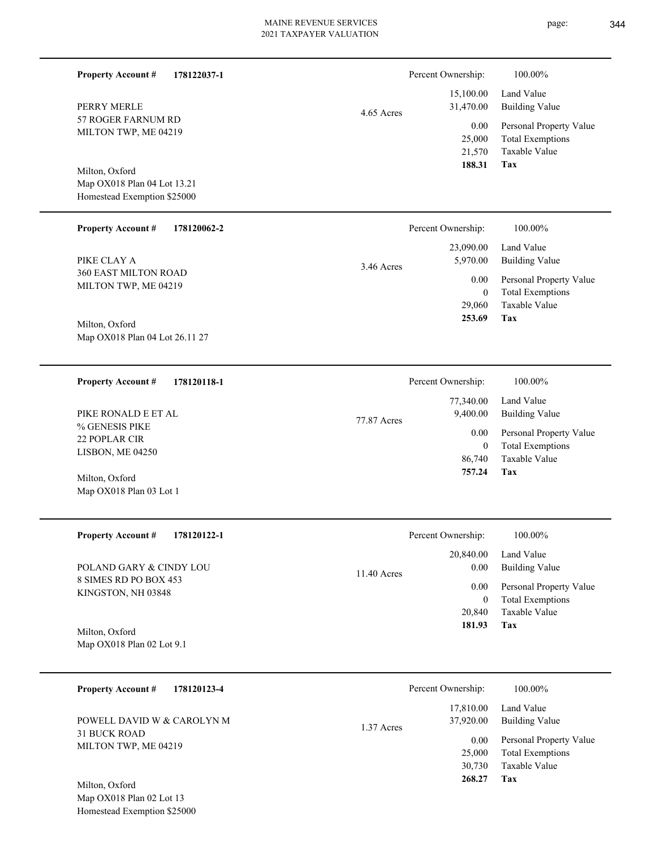L

| <b>Property Account #</b><br>178122037-1                |              | Percent Ownership:     | 100.00%                                            |
|---------------------------------------------------------|--------------|------------------------|----------------------------------------------------|
| PERRY MERLE                                             |              | 15,100.00<br>31,470.00 | Land Value<br><b>Building Value</b>                |
| 57 ROGER FARNUM RD<br>MILTON TWP, ME 04219              | 4.65 Acres   | 0.00                   | Personal Property Value                            |
|                                                         |              | 25,000<br>21,570       | <b>Total Exemptions</b><br>Taxable Value           |
| Milton, Oxford                                          |              | 188.31                 | Tax                                                |
| Map OX018 Plan 04 Lot 13.21                             |              |                        |                                                    |
| Homestead Exemption \$25000                             |              |                        |                                                    |
| <b>Property Account #</b><br>178120062-2                |              | Percent Ownership:     | 100.00%                                            |
| PIKE CLAY A                                             |              | 23,090.00<br>5,970.00  | Land Value<br><b>Building Value</b>                |
| 360 EAST MILTON ROAD                                    | $3.46$ Acres | 0.00                   | Personal Property Value                            |
| MILTON TWP, ME 04219                                    |              | $\mathbf{0}$           | <b>Total Exemptions</b><br>Taxable Value           |
| Milton, Oxford                                          |              | 29,060<br>253.69       | Tax                                                |
| Map OX018 Plan 04 Lot 26.11 27                          |              |                        |                                                    |
|                                                         |              |                        |                                                    |
| <b>Property Account #</b><br>178120118-1                |              | Percent Ownership:     | 100.00%                                            |
| PIKE RONALD E ET AL                                     |              | 77,340.00<br>9,400.00  | Land Value<br><b>Building Value</b>                |
| % GENESIS PIKE                                          | 77.87 Acres  | 0.00                   | Personal Property Value                            |
| 22 POPLAR CIR<br>LISBON, ME 04250                       |              | $\mathbf{0}$           | <b>Total Exemptions</b>                            |
|                                                         |              | 86,740<br>757.24       | Taxable Value<br>Tax                               |
| Milton, Oxford<br>Map OX018 Plan 03 Lot 1               |              |                        |                                                    |
|                                                         |              |                        |                                                    |
| <b>Property Account #</b><br>178120122-1                |              | Percent Ownership:     | 100.00%                                            |
|                                                         |              | 20,840.00              | Land Value                                         |
| POLAND GARY & CINDY LOU<br>8 SIMES RD PO BOX 453        | 11.40 Acres  | 0.00                   | <b>Building Value</b>                              |
| KINGSTON, NH 03848                                      |              | 0.00<br>$\bf{0}$       | Personal Property Value<br><b>Total Exemptions</b> |
|                                                         |              | 20,840                 | Taxable Value<br>Tax                               |
| Milton, Oxford<br>Map OX018 Plan 02 Lot 9.1             |              | 181.93                 |                                                    |
|                                                         |              |                        |                                                    |
| <b>Property Account #</b><br>178120123-4                |              | Percent Ownership:     | 100.00%                                            |
|                                                         |              | 17,810.00              | Land Value                                         |
| POWELL DAVID W & CAROLYN M<br><b>31 BUCK ROAD</b>       | 1.37 Acres   | 37,920.00              | <b>Building Value</b>                              |
| MILTON TWP, ME 04219                                    |              | 0.00<br>25,000         | Personal Property Value<br><b>Total Exemptions</b> |
|                                                         |              | 30,730                 | Taxable Value                                      |
| Milton, Oxford                                          |              | 268.27                 | Tax                                                |
| Map OX018 Plan 02 Lot 13<br>Homestead Exemption \$25000 |              |                        |                                                    |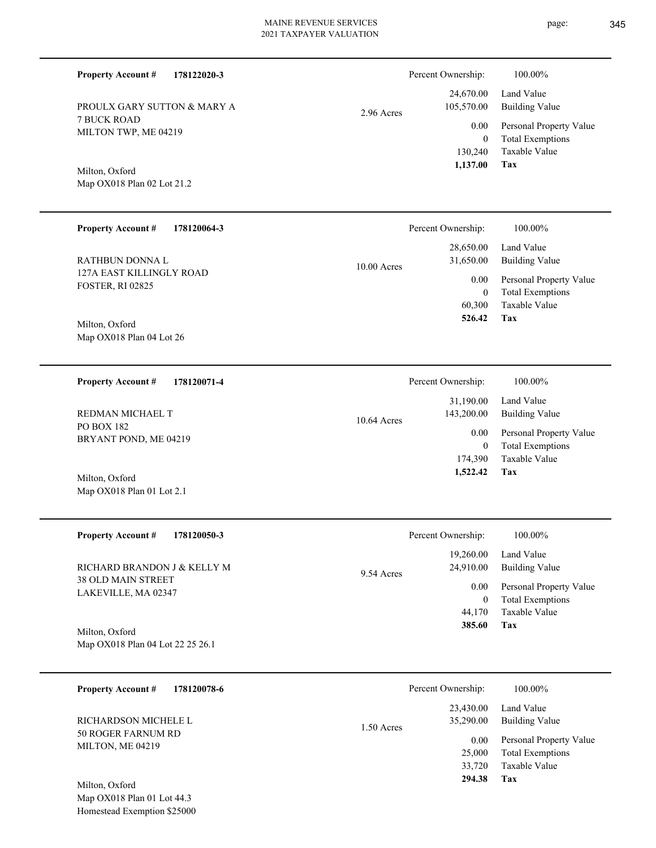| PROULX GARY SUTTON & MARY A |            |
|-----------------------------|------------|
| 7 BUCK ROAD                 | 2.96 Acres |

7 BUCK ROAD MILTON TWP, ME 04219

**178122020-3**

Map OX018 Plan 02 Lot 21.2 Milton, Oxford

**Property Account #**

| <b>Property Account #</b><br>178120064-3 | Percent Ownership:         | 100.00%                 |
|------------------------------------------|----------------------------|-------------------------|
|                                          | 28,650.00                  | Land Value              |
| RATHBUN DONNA L                          | 31,650.00<br>$10.00$ Acres | Building Value          |
| 127A EAST KILLINGLY ROAD                 | 0.00                       | Personal Property Value |
| <b>FOSTER, RI 02825</b>                  | $\mathbf{0}$               | <b>Total Exemptions</b> |
|                                          | 60,300                     | Taxable Value           |
| Milton, Oxford                           | 526.42                     | Tax                     |
| Map OX018 Plan 04 Lot 26                 |                            |                         |

**178120071-4 Tax** Taxable Value Total Exemptions Personal Property Value Building Value Land Value PO BOX 182 BRYANT POND, ME 04219 **Property Account #** Milton, Oxford REDMAN MICHAEL T 174,390 0  **1,522.42** 31,190.00 143,200.00 0.00 10.64 Acres Percent Ownership:  $100.00\%$ 

| <b>Property Account #</b><br>178120050-3                                        | Percent Ownership:                                                    | 100.00%                                                                                                           |
|---------------------------------------------------------------------------------|-----------------------------------------------------------------------|-------------------------------------------------------------------------------------------------------------------|
| RICHARD BRANDON J & KELLY M<br><b>38 OLD MAIN STREET</b><br>LAKEVILLE, MA 02347 | 19,260.00<br>24,910.00<br>9.54 Acres<br>0.00<br>0<br>44,170<br>385.60 | Land Value<br><b>Building Value</b><br>Personal Property Value<br><b>Total Exemptions</b><br>Taxable Value<br>Tax |
| Milton, Oxford                                                                  |                                                                       |                                                                                                                   |

Map OX018 Plan 04 Lot 22 25 26.1

Map OX018 Plan 01 Lot 2.1

| 178120078-6<br><b>Property Account #</b>                         |              | Percent Ownership:     | 100.00%                             |
|------------------------------------------------------------------|--------------|------------------------|-------------------------------------|
| RICHARDSON MICHELE L                                             | $1.50$ Acres | 23,430.00<br>35,290.00 | Land Value<br><b>Building Value</b> |
| <b>50 ROGER FARNUM RD</b><br>MILTON, ME 04219                    |              | 0.00                   | Personal Property Value             |
|                                                                  |              | 25,000                 | <b>Total Exemptions</b>             |
|                                                                  |              | 33,720                 | Taxable Value                       |
| Milton, Oxford<br>$11.0$ $0.77010$ $0.1$ $0.1$ $0.1$ $0.1$ $0.1$ |              | 294.38                 | Tax                                 |

Map OX018 Plan 01 Lot 44.3 Homestead Exemption \$25000 **Tax**

 130,240 0

0.00

Percent Ownership:  $100.00\%$ 

 24,670.00 105,570.00

 **1,137.00**

Taxable Value Total Exemptions Personal Property Value

Building Value Land Value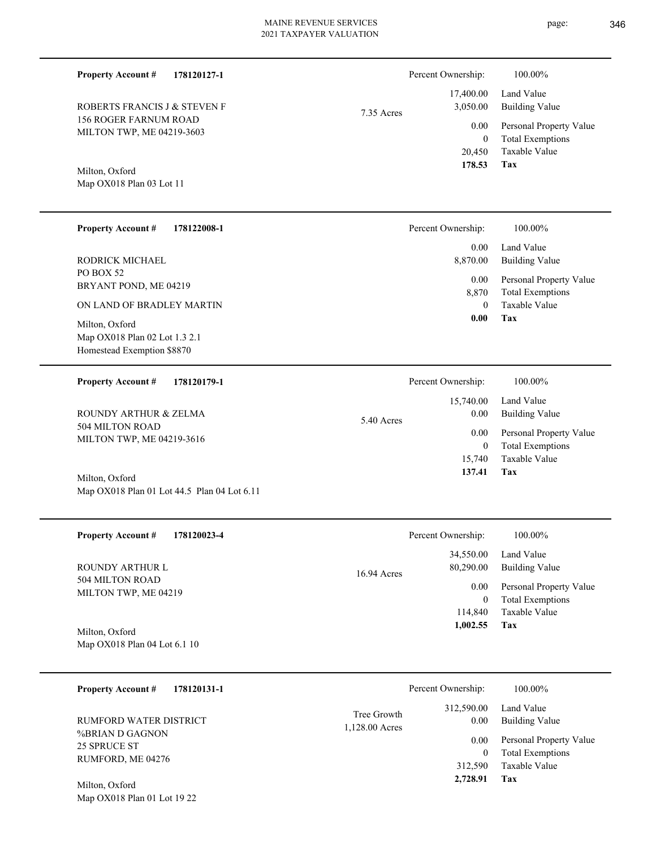| <b>Property Account #</b><br>178120127-1                                                                   |                               | Percent Ownership:                            | 100.00%                                                                           |
|------------------------------------------------------------------------------------------------------------|-------------------------------|-----------------------------------------------|-----------------------------------------------------------------------------------|
| ROBERTS FRANCIS J & STEVEN F                                                                               | 7.35 Acres                    | 17,400.00<br>3,050.00                         | Land Value<br><b>Building Value</b>                                               |
| 156 ROGER FARNUM ROAD<br>MILTON TWP, ME 04219-3603                                                         |                               | 0.00<br>$\mathbf{0}$<br>20,450                | Personal Property Value<br><b>Total Exemptions</b><br>Taxable Value<br><b>Tax</b> |
| Milton, Oxford<br>Map OX018 Plan 03 Lot 11                                                                 |                               | 178.53                                        |                                                                                   |
| <b>Property Account #</b><br>178122008-1                                                                   |                               | Percent Ownership:                            | 100.00%                                                                           |
| RODRICK MICHAEL                                                                                            |                               | 0.00<br>8,870.00                              | Land Value<br><b>Building Value</b>                                               |
| PO BOX 52<br>BRYANT POND, ME 04219                                                                         |                               | 0.00<br>8,870<br>$\theta$                     | Personal Property Value<br><b>Total Exemptions</b><br>Taxable Value               |
| ON LAND OF BRADLEY MARTIN<br>Milton, Oxford<br>Map OX018 Plan 02 Lot 1.3 2.1<br>Homestead Exemption \$8870 |                               | 0.00                                          | <b>Tax</b>                                                                        |
| <b>Property Account #</b><br>178120179-1                                                                   |                               | Percent Ownership:                            | 100.00%                                                                           |
| ROUNDY ARTHUR & ZELMA                                                                                      | 5.40 Acres                    | 15,740.00<br>0.00                             | Land Value<br><b>Building Value</b>                                               |
| 504 MILTON ROAD<br>MILTON TWP, ME 04219-3616                                                               |                               | 0.00<br>$\mathbf{0}$<br>15,740                | Personal Property Value<br><b>Total Exemptions</b><br>Taxable Value               |
| Milton, Oxford<br>Map OX018 Plan 01 Lot 44.5 Plan 04 Lot 6.11                                              |                               | 137.41                                        | <b>Tax</b>                                                                        |
| <b>Property Account #</b><br>178120023-4                                                                   |                               | Percent Ownership:                            | 100.00%                                                                           |
| ROUNDY ARTHUR L                                                                                            | 16.94 Acres                   | 34,550.00<br>80,290.00                        | Land Value<br><b>Building Value</b>                                               |
| 504 MILTON ROAD<br>MILTON TWP, ME 04219                                                                    |                               | 0.00<br>$\mathbf{0}$                          | Personal Property Value<br><b>Total Exemptions</b>                                |
| Milton, Oxford<br>Map OX018 Plan 04 Lot 6.1 10                                                             |                               | 114,840<br>1,002.55                           | Taxable Value<br>Tax                                                              |
| 178120131-1<br><b>Property Account #</b>                                                                   |                               | Percent Ownership:                            | 100.00%                                                                           |
| RUMFORD WATER DISTRICT                                                                                     | Tree Growth<br>1,128.00 Acres | 312,590.00<br>0.00                            | Land Value<br><b>Building Value</b>                                               |
| %BRIAN D GAGNON<br>25 SPRUCE ST<br>RUMFORD, ME 04276                                                       |                               | 0.00<br>$\overline{0}$<br>312,590<br>2,728.91 | Personal Property Value<br><b>Total Exemptions</b><br>Taxable Value<br>Tax        |
| Milton, Oxford<br>Map OX018 Plan 01 Lot 19 22                                                              |                               |                                               |                                                                                   |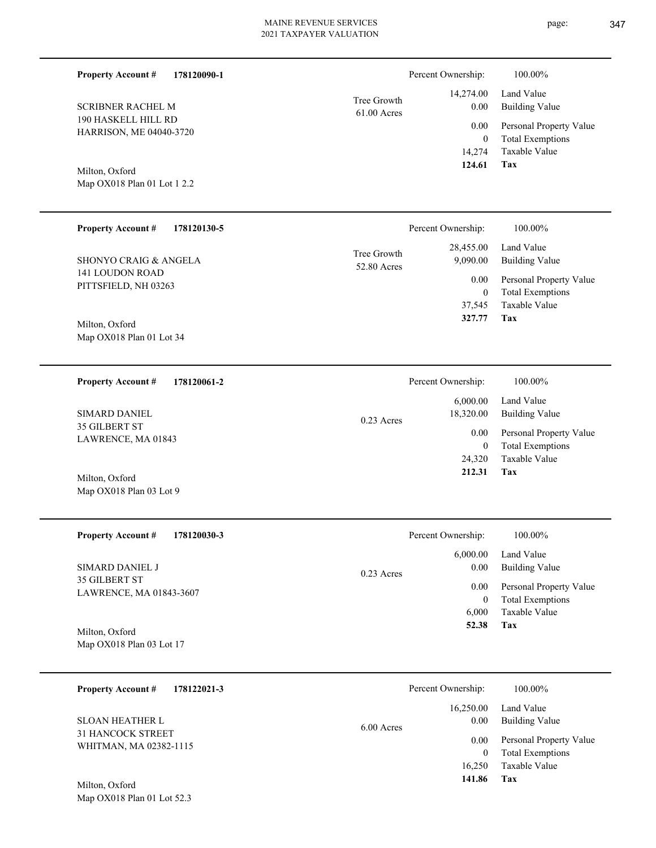| <b>Property Account #</b><br>178120090-1       |                              | Percent Ownership:           | 100.00%                                            |
|------------------------------------------------|------------------------------|------------------------------|----------------------------------------------------|
| <b>SCRIBNER RACHEL M</b>                       | Tree Growth<br>$61.00$ Acres | 14,274.00<br>0.00            | Land Value<br><b>Building Value</b>                |
| 190 HASKELL HILL RD<br>HARRISON, ME 04040-3720 |                              | 0.00<br>$\mathbf{0}$         | Personal Property Value<br><b>Total Exemptions</b> |
|                                                |                              | 14,274<br>124.61             | Taxable Value<br><b>Tax</b>                        |
| Milton, Oxford<br>Map OX018 Plan 01 Lot 1 2.2  |                              |                              |                                                    |
|                                                |                              |                              |                                                    |
| <b>Property Account #</b><br>178120130-5       |                              | Percent Ownership:           | 100.00%                                            |
| <b>SHONYO CRAIG &amp; ANGELA</b>               | Tree Growth                  | 28,455.00<br>9,090.00        | Land Value<br><b>Building Value</b>                |
| <b>141 LOUDON ROAD</b>                         | 52.80 Acres                  | 0.00                         | Personal Property Value                            |
| PITTSFIELD, NH 03263                           |                              | $\mathbf{0}$<br>37,545       | <b>Total Exemptions</b><br><b>Taxable Value</b>    |
| Milton, Oxford                                 |                              | 327.77                       | Tax                                                |
| Map OX018 Plan 01 Lot 34                       |                              |                              |                                                    |
| <b>Property Account #</b><br>178120061-2       |                              | Percent Ownership:           | 100.00%                                            |
|                                                |                              | 6,000.00                     | Land Value                                         |
| <b>SIMARD DANIEL</b><br>35 GILBERT ST          | $0.23$ Acres                 | 18,320.00                    | <b>Building Value</b>                              |
| LAWRENCE, MA 01843                             |                              | 0.00<br>$\mathbf{0}$         | Personal Property Value<br><b>Total Exemptions</b> |
|                                                |                              | 24,320<br>212.31             | Taxable Value<br>Tax                               |
| Milton, Oxford<br>Map OX018 Plan 03 Lot 9      |                              |                              |                                                    |
|                                                |                              |                              |                                                    |
| <b>Property Account #</b><br>178120030-3       |                              | Percent Ownership:           | 100.00%                                            |
| SIMARD DANIEL J                                |                              | 6,000.00<br>0.00             | Land Value<br><b>Building Value</b>                |
| 35 GILBERT ST<br>LAWRENCE, MA 01843-3607       | 0.23 Acres                   | 0.00                         | Personal Property Value                            |
|                                                |                              | $\boldsymbol{0}$<br>6,000    | <b>Total Exemptions</b><br>Taxable Value           |
| Milton, Oxford                                 |                              | 52.38                        | Tax                                                |
| Map OX018 Plan 03 Lot 17                       |                              |                              |                                                    |
| <b>Property Account #</b><br>178122021-3       |                              | Percent Ownership:           | 100.00%                                            |
|                                                |                              | 16,250.00                    | Land Value                                         |
| SLOAN HEATHER L<br>31 HANCOCK STREET           | 6.00 Acres                   | 0.00                         | <b>Building Value</b>                              |
| WHITMAN, MA 02382-1115                         |                              | $0.00\,$<br>$\boldsymbol{0}$ | Personal Property Value<br><b>Total Exemptions</b> |

**Tax 141.86**

16,250 Taxable Value

Map OX018 Plan 01 Lot 52.3 Milton, Oxford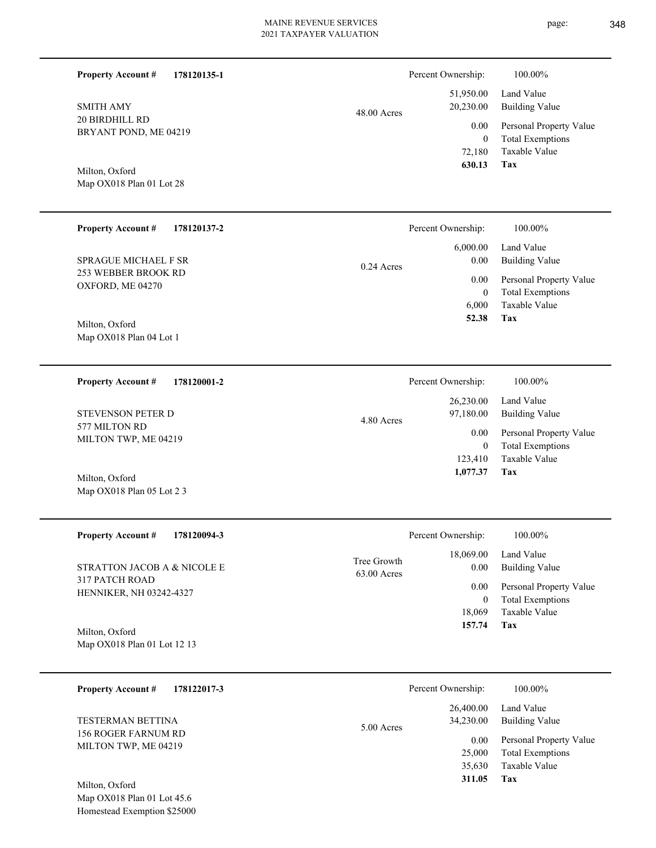| <b>Property Account #</b><br>178120135-1    |                            | Percent Ownership:     | 100.00%                                            |
|---------------------------------------------|----------------------------|------------------------|----------------------------------------------------|
| <b>SMITH AMY</b>                            | 48.00 Acres                | 51,950.00<br>20,230.00 | Land Value<br><b>Building Value</b>                |
| 20 BIRDHILL RD<br>BRYANT POND, ME 04219     |                            | 0.00<br>$\mathbf{0}$   | Personal Property Value<br><b>Total Exemptions</b> |
|                                             |                            | 72,180<br>630.13       | Taxable Value<br>Tax                               |
| Milton, Oxford<br>Map OX018 Plan 01 Lot 28  |                            |                        |                                                    |
| <b>Property Account #</b><br>178120137-2    |                            | Percent Ownership:     | 100.00%                                            |
| <b>SPRAGUE MICHAEL F SR</b>                 | 0.24 Acres                 | 6,000.00<br>0.00       | Land Value<br><b>Building Value</b>                |
| 253 WEBBER BROOK RD<br>OXFORD, ME 04270     |                            | 0.00<br>$\mathbf{0}$   | Personal Property Value<br><b>Total Exemptions</b> |
| Milton, Oxford                              |                            | 6,000<br>52.38         | <b>Taxable Value</b><br>Tax                        |
| Map OX018 Plan 04 Lot 1                     |                            |                        |                                                    |
| <b>Property Account #</b><br>178120001-2    |                            | Percent Ownership:     | 100.00%                                            |
| STEVENSON PETER D                           | 4.80 Acres                 | 26,230.00<br>97,180.00 | Land Value<br><b>Building Value</b>                |
| 577 MILTON RD<br>MILTON TWP, ME 04219       |                            | 0.00<br>$\mathbf{0}$   | Personal Property Value<br><b>Total Exemptions</b> |
| Milton, Oxford                              |                            | 123,410<br>1,077.37    | Taxable Value<br><b>Tax</b>                        |
| Map OX018 Plan 05 Lot 2 3                   |                            |                        |                                                    |
| <b>Property Account #</b><br>178120094-3    |                            | Percent Ownership:     | 100.00%                                            |
| STRATTON JACOB A & NICOLE E                 | Tree Growth<br>63.00 Acres | 18,069.00<br>0.00      | Land Value<br><b>Building Value</b>                |
| 317 PATCH ROAD<br>HENNIKER, NH 03242-4327   |                            | 0.00<br>$\mathbf{0}$   | Personal Property Value<br><b>Total Exemptions</b> |
| Milton, Oxford                              |                            | 18,069<br>157.74       | Taxable Value<br>Tax                               |
| Map OX018 Plan 01 Lot 12 13                 |                            |                        |                                                    |
| <b>Property Account #</b><br>178122017-3    |                            | Percent Ownership:     | 100.00%                                            |
| <b>TESTERMAN BETTINA</b>                    | 5.00 Acres                 | 26,400.00<br>34,230.00 | Land Value<br><b>Building Value</b>                |
| 156 ROGER FARNUM RD<br>MILTON TWP, ME 04219 |                            | 0.00<br>25,000         | Personal Property Value<br><b>Total Exemptions</b> |
|                                             |                            | 35,630<br>311.05       | Taxable Value<br><b>Tax</b>                        |

Map OX018 Plan 01 Lot 45.6 Homestead Exemption \$25000 Milton, Oxford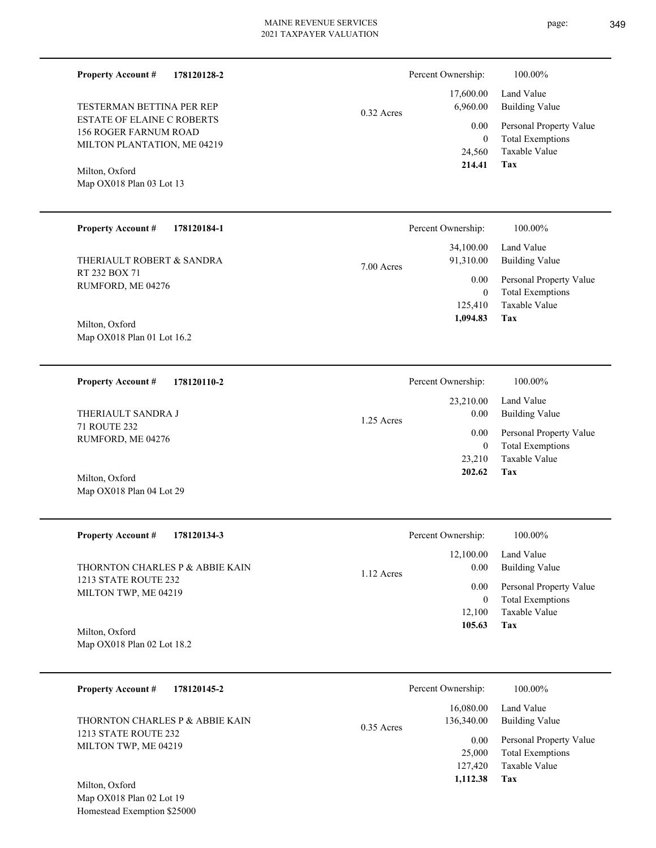**178120128-2 Property Account #**

ESTATE OF ELAINE C ROBERTS 156 ROGER FARNUM ROAD MILTON PLANTATION, ME 04219 TESTERMAN BETTINA PER REP

Map OX018 Plan 03 Lot 13 Milton, Oxford

#### **178120184-1 Property Account #**

RT 232 BOX 71 RUMFORD, ME 04276 THERIAULT ROBERT & SANDRA

Map OX018 Plan 01 Lot 16.2 Milton, Oxford

**178120110-2 Property Account #**

71 ROUTE 232 RUMFORD, ME 04276 THERIAULT SANDRA J

Map OX018 Plan 04 Lot 29 Milton, Oxford

| <b>Property Account #</b><br>178120134-3     | Percent Ownership:                | 100.00%                                            |
|----------------------------------------------|-----------------------------------|----------------------------------------------------|
| THORNTON CHARLES P & ABBIE KAIN              | 12,100.00<br>0.00<br>$1.12$ Acres | Land Value<br><b>Building Value</b>                |
| 1213 STATE ROUTE 232<br>MILTON TWP, ME 04219 | 0.00<br>0                         | Personal Property Value<br><b>Total Exemptions</b> |
|                                              | 12.100<br>105.63                  | Taxable Value<br>Tax                               |
| Milton, Oxford<br>Map OX018 Plan 02 Lot 18.2 |                                   |                                                    |

**178120145-2 Property Account #** THORNTON CHARLES P & ABBIE KAIN

1213 STATE ROUTE 232 MILTON TWP, ME 04219

Map OX018 Plan 02 Lot 19 Homestead Exemption \$25000 Milton, Oxford

| $0.32$ Acres | 6,960.00 | 17,600.00 Land Value<br><b>Building Value</b> |
|--------------|----------|-----------------------------------------------|
|              | 0.00     | Personal Property Value                       |
|              | 0        | <b>Total Exemptions</b>                       |
|              | 24,560   | Taxable Value                                 |
|              | 214.41   | Tax                                           |
|              |          |                                               |
|              |          |                                               |

Percent Ownership: 100.00%

|       | Percent Ownership: | 100.00%                 |
|-------|--------------------|-------------------------|
|       |                    | 34,100.00 Land Value    |
| Acres | 91,310.00          | Building Value          |
|       | $0.00\,$           | Personal Property Value |
|       | $\theta$           | <b>Total Exemptions</b> |
|       |                    | 125,410 Taxable Value   |
|       | 1,094.83           | Tax                     |

|              | Percent Ownership: | 100.00%                 |
|--------------|--------------------|-------------------------|
|              |                    | 23,210.00 Land Value    |
| $1.25$ Acres | 0.00               | <b>Building Value</b>   |
|              | 0.00 <sub>1</sub>  | Personal Property Value |
|              | 0                  | <b>Total Exemptions</b> |
|              | 23.210             | Taxable Value           |
|              | 202.62             | Tax                     |

|              | Percent Ownership: | 100.00%                 |
|--------------|--------------------|-------------------------|
|              | 16,080.00          | Land Value              |
| $0.35$ Acres | 136,340.00         | <b>Building Value</b>   |
|              | 0.00               | Personal Property Value |
|              | 25,000             | <b>Total Exemptions</b> |
|              | 127,420            | Taxable Value           |
|              | 1,112.38           | Tax                     |

7.00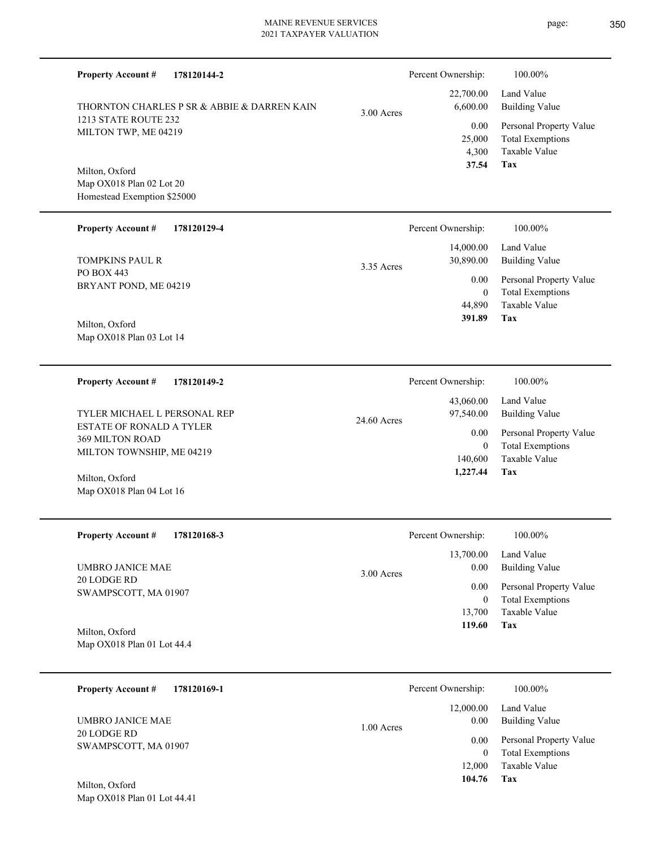| <b>Property Account#</b><br>178120144-2                                         |              | Percent Ownership:                       | 100.00%                                                                           |
|---------------------------------------------------------------------------------|--------------|------------------------------------------|-----------------------------------------------------------------------------------|
| THORNTON CHARLES P SR & ABBIE & DARREN KAIN                                     | $3.00$ Acres | 22,700.00<br>6,600.00                    | Land Value<br><b>Building Value</b>                                               |
| 1213 STATE ROUTE 232<br>MILTON TWP, ME 04219                                    |              | 0.00<br>25,000<br>4,300<br>37.54         | Personal Property Value<br><b>Total Exemptions</b><br><b>Taxable Value</b><br>Tax |
| Milton, Oxford<br>Map OX018 Plan 02 Lot 20<br>Homestead Exemption \$25000       |              |                                          |                                                                                   |
| <b>Property Account #</b><br>178120129-4                                        |              | Percent Ownership:                       | 100.00%                                                                           |
| <b>TOMPKINS PAUL R</b>                                                          | 3.35 Acres   | 14,000.00<br>30,890.00                   | Land Value<br><b>Building Value</b>                                               |
| PO BOX 443<br>BRYANT POND, ME 04219<br>Milton, Oxford                           |              | 0.00<br>$\mathbf{0}$<br>44,890<br>391.89 | Personal Property Value<br><b>Total Exemptions</b><br><b>Taxable Value</b><br>Tax |
| Map OX018 Plan 03 Lot 14                                                        |              |                                          |                                                                                   |
| <b>Property Account #</b><br>178120149-2                                        |              | Percent Ownership:                       | 100.00%                                                                           |
| TYLER MICHAEL L PERSONAL REP                                                    | 24.60 Acres  | 43,060.00<br>97,540.00                   | Land Value<br><b>Building Value</b>                                               |
| ESTATE OF RONALD A TYLER<br><b>369 MILTON ROAD</b><br>MILTON TOWNSHIP, ME 04219 |              | 0.00<br>$\mathbf{0}$<br>140,600          | Personal Property Value<br><b>Total Exemptions</b><br>Taxable Value               |
| Milton, Oxford<br>Map OX018 Plan 04 Lot 16                                      |              | 1,227.44                                 | Tax                                                                               |
| <b>Property Account #</b><br>178120168-3                                        |              | Percent Ownership:                       | 100.00%                                                                           |
| <b>UMBRO JANICE MAE</b>                                                         | $3.00$ Acres | 13,700.00<br>0.00                        | Land Value<br><b>Building Value</b>                                               |
| 20 LODGE RD<br>SWAMPSCOTT, MA 01907                                             |              | 0.00<br>$\mathbf{0}$                     | Personal Property Value<br><b>Total Exemptions</b>                                |
| Milton, Oxford<br>Map OX018 Plan 01 Lot 44.4                                    |              | 13,700<br>119.60                         | Taxable Value<br>Tax                                                              |
| <b>Property Account #</b><br>178120169-1                                        |              | Percent Ownership:                       | 100.00%                                                                           |
|                                                                                 |              | 12,000.00                                | Land Value                                                                        |
| <b>UMBRO JANICE MAE</b><br>20 LODGE RD                                          | 1.00 Acres   | 0.00                                     | <b>Building Value</b>                                                             |
| SWAMPSCOTT, MA 01907                                                            |              | 0.00<br>$\mathbf{0}$<br>12,000           | Personal Property Value<br><b>Total Exemptions</b><br>Taxable Value               |
|                                                                                 |              | 104.76                                   | <b>Tax</b>                                                                        |

Map OX018 Plan 01 Lot 44.41 Milton, Oxford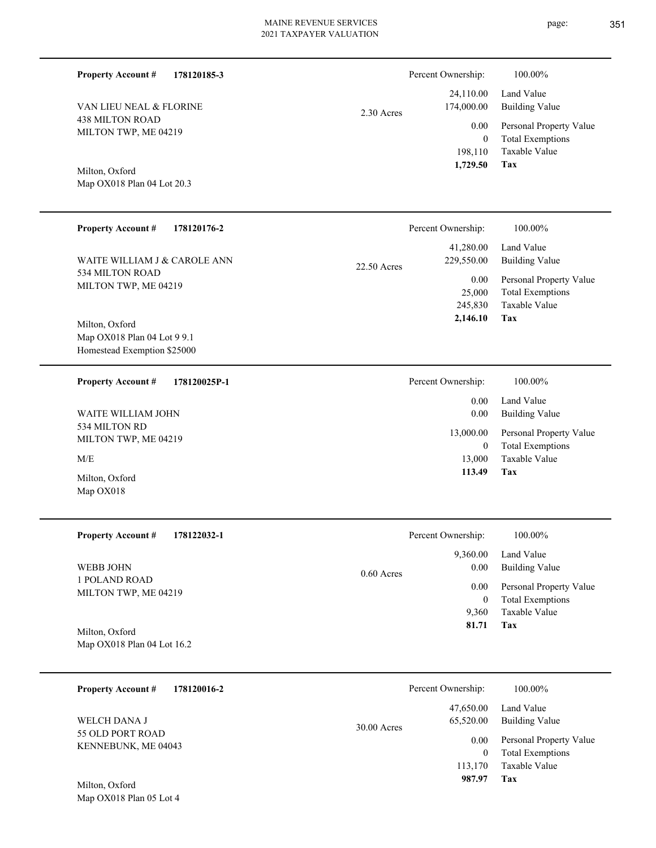2.30 Acres

**Tax** Taxable Value Total Exemptions Personal Property Value Building Value Land Value 198,110 0  **1,729.50** 24,110.00 174,000.00 0.00

Percent Ownership:  $100.00\%$ 

Map OX018 Plan 04 Lot 20.3 Milton, Oxford

VAN LIEU NEAL & FLORINE

438 MILTON ROAD MILTON TWP, ME 04219

**Property Account #**

**178120185-3**

| <b>Property Account #</b><br>178120176-2                                           | Percent Ownership:                                 | 100.00%                                                             |
|------------------------------------------------------------------------------------|----------------------------------------------------|---------------------------------------------------------------------|
| WAITE WILLIAM J & CAROLE ANN                                                       | 41,280.00<br>229,550.00<br>22.50 Acres             | Land Value<br><b>Building Value</b>                                 |
| 534 MILTON ROAD<br>MILTON TWP, ME 04219                                            | 0.00<br>25,000<br>245,830                          | Personal Property Value<br><b>Total Exemptions</b><br>Taxable Value |
| Milton, Oxford<br>Map OX018 Plan 04 Lot 9 9.1<br>Homestead Exemption \$25000       | 2,146.10                                           | Tax                                                                 |
| <b>Property Account #</b><br>178120025P-1                                          | Percent Ownership:                                 | 100.00%                                                             |
|                                                                                    | 0.00                                               | Land Value                                                          |
| <b>WAITE WILLIAM JOHN</b>                                                          | 0.00                                               | <b>Building Value</b>                                               |
| 534 MILTON RD<br>MILTON TWP, ME 04219                                              | 13,000.00<br>$\mathbf{0}$                          | Personal Property Value<br><b>Total Exemptions</b>                  |
| M/E                                                                                | 13,000                                             | Taxable Value                                                       |
| Milton, Oxford<br>Map OX018                                                        | 113.49                                             | Tax                                                                 |
| $D_{\text{non}}$ $\alpha$ $\beta$ $\alpha$ $\alpha$ $\beta$ $\beta$<br>170122022-1 | $D$ <sub>arcant</sub> $\Omega$ <sub>Wnarchin</sub> | 100.00%                                                             |

| <b>Property Account #</b><br>178122032-1     | Percent Ownership:   | 100.00%                 |
|----------------------------------------------|----------------------|-------------------------|
|                                              | 9,360.00             | Land Value              |
| <b>WEBB JOHN</b>                             | 0.00<br>$0.60$ Acres | Building Value          |
| 1 POLAND ROAD<br>MILTON TWP, ME 04219        | 0.00                 | Personal Property Value |
|                                              | $\bf{0}$             | <b>Total Exemptions</b> |
|                                              | 9.360                | Taxable Value           |
| Milton, Oxford<br>Map OX018 Plan 04 Lot 16.2 | 81.71                | Tax                     |

| <b>Property Account #</b><br>178120016-2 | Percent Ownership:                      | 100.00%                      |
|------------------------------------------|-----------------------------------------|------------------------------|
| WELCH DANA J<br>55 OLD PORT ROAD         | 47.650.00<br>65,520.00<br>$30.00$ Acres | Land Value<br>Building Value |
| KENNEBUNK, ME 04043                      | 0.00                                    | Personal Property Value      |
|                                          | $\overline{0}$                          | <b>Total Exemptions</b>      |
|                                          | 113,170                                 | Taxable Value                |
| Milton, Oxford                           | 987.97                                  | Tax                          |

page: 351

Map OX018 Plan 05 Lot 4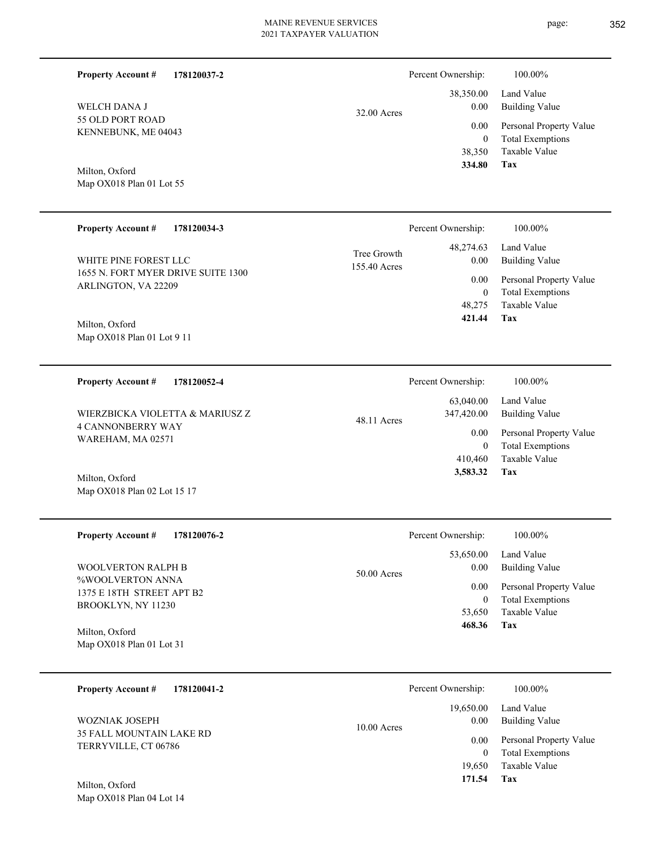| <b>Property Account #</b><br>178120037-2                  |                             | Percent Ownership:       | 100.00%                                            |
|-----------------------------------------------------------|-----------------------------|--------------------------|----------------------------------------------------|
| WELCH DANA J                                              | 32.00 Acres                 | 38,350.00<br>0.00        | Land Value<br><b>Building Value</b>                |
| 55 OLD PORT ROAD<br>KENNEBUNK, ME 04043                   |                             | 0.00                     | Personal Property Value                            |
|                                                           |                             | $\overline{0}$<br>38,350 | <b>Total Exemptions</b><br>Taxable Value           |
| Milton, Oxford                                            |                             | 334.80                   | Tax                                                |
| Map OX018 Plan 01 Lot 55                                  |                             |                          |                                                    |
|                                                           |                             |                          |                                                    |
| <b>Property Account #</b><br>178120034-3                  |                             | Percent Ownership:       | 100.00%                                            |
| WHITE PINE FOREST LLC                                     | Tree Growth<br>155.40 Acres | 48,274.63<br>0.00        | Land Value<br><b>Building Value</b>                |
| 1655 N. FORT MYER DRIVE SUITE 1300<br>ARLINGTON, VA 22209 |                             | 0.00                     | Personal Property Value                            |
|                                                           |                             | $\overline{0}$<br>48,275 | <b>Total Exemptions</b><br>Taxable Value           |
| Milton, Oxford                                            |                             | 421.44                   | Tax                                                |
| Map OX018 Plan 01 Lot 9 11                                |                             |                          |                                                    |
|                                                           |                             |                          |                                                    |
| <b>Property Account #</b><br>178120052-4                  |                             | Percent Ownership:       | 100.00%                                            |
| WIERZBICKA VIOLETTA & MARIUSZ Z                           |                             | 63,040.00<br>347,420.00  | Land Value<br><b>Building Value</b>                |
| <b>4 CANNONBERRY WAY</b>                                  | 48.11 Acres                 | 0.00                     | Personal Property Value                            |
| WAREHAM, MA 02571                                         |                             | $\overline{0}$           | <b>Total Exemptions</b>                            |
| Milton, Oxford                                            |                             | 410,460<br>3,583.32      | Taxable Value<br>Tax                               |
| Map OX018 Plan 02 Lot 15 17                               |                             |                          |                                                    |
|                                                           |                             |                          |                                                    |
| <b>Property Account #</b><br>178120076-2                  |                             | Percent Ownership:       | 100.00%                                            |
|                                                           |                             | 53,650.00                | Land Value                                         |
| <b>WOOLVERTON RALPH B</b><br>%WOOLVERTON ANNA             | 50.00 Acres                 | 0.00                     | <b>Building Value</b>                              |
| 1375 E 18TH STREET APT B2<br>BROOKLYN, NY 11230           |                             | 0.00<br>$\overline{0}$   | Personal Property Value<br><b>Total Exemptions</b> |
|                                                           |                             | 53,650<br>468.36         | Taxable Value<br>Tax                               |
| Milton, Oxford<br>Map OX018 Plan 01 Lot 31                |                             |                          |                                                    |
|                                                           |                             |                          |                                                    |
| <b>Property Account #</b><br>178120041-2                  |                             | Percent Ownership:       | 100.00%                                            |
|                                                           |                             | 19,650.00                | Land Value                                         |
| WOZNIAK JOSEPH<br>35 FALL MOUNTAIN LAKE RD                | 10.00 Acres                 | 0.00                     | <b>Building Value</b>                              |
| TERRYVILLE, CT 06786                                      |                             | 0.00<br>$\overline{0}$   | Personal Property Value<br><b>Total Exemptions</b> |
|                                                           |                             | 19,650                   | Taxable Value                                      |
|                                                           |                             | 171.54                   | <b>Tax</b>                                         |

Map OX018 Plan 04 Lot 14 Milton, Oxford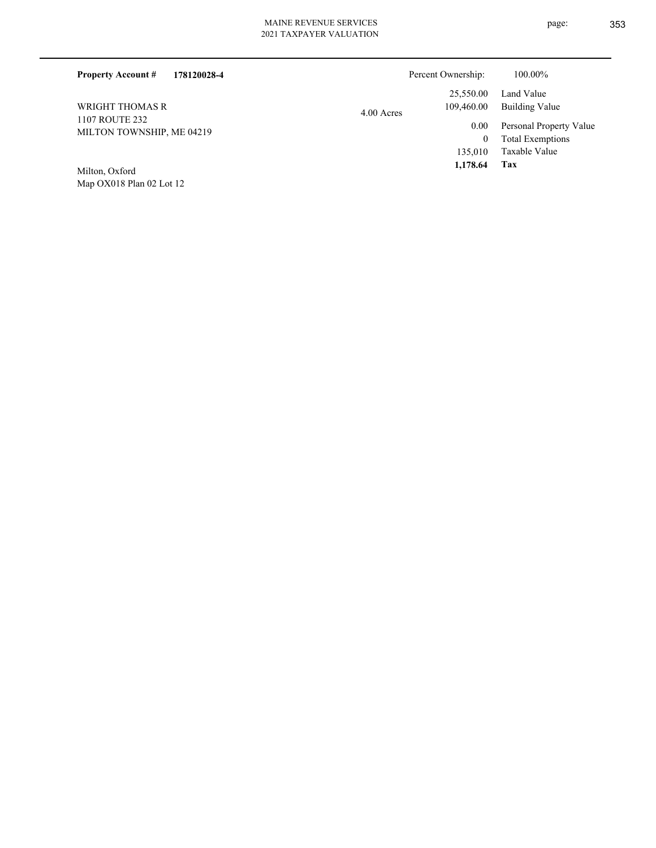| 178120028-4<br><b>Property Account #</b>           |            | Percent Ownership:      | 100.00%                                            |
|----------------------------------------------------|------------|-------------------------|----------------------------------------------------|
| WRIGHT THOMAS R                                    | 4.00 Acres | 25,550.00<br>109,460.00 | Land Value<br>Building Value                       |
| <b>1107 ROUTE 232</b><br>MILTON TOWNSHIP, ME 04219 |            | 0.00<br>0               | Personal Property Value<br><b>Total Exemptions</b> |
| Milton Oxford                                      |            | 135,010<br>1,178.64     | Taxable Value<br>Tax                               |

Map OX018 Plan 02 Lot 12 Milton, Oxford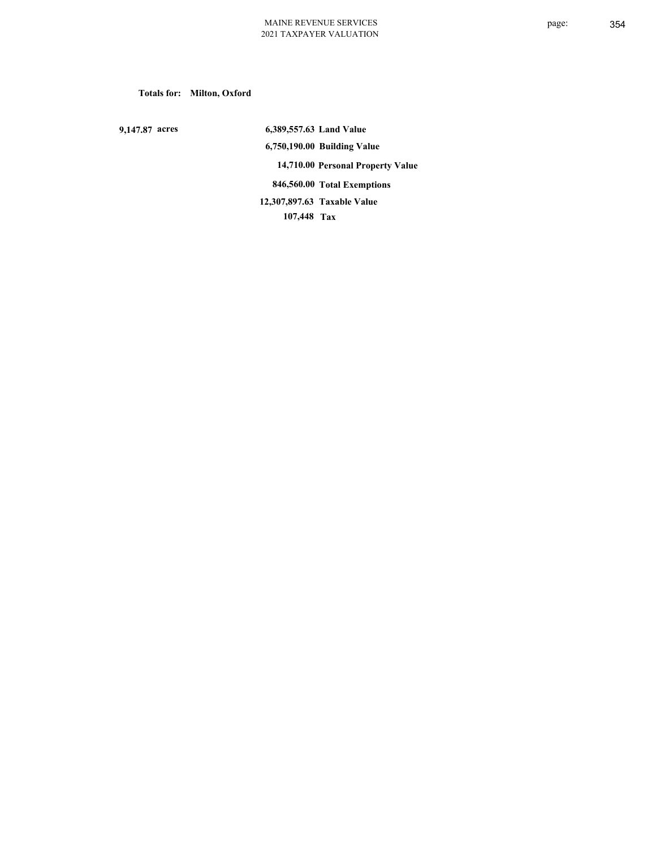**Totals for: Milton, Oxford**

 **9,147.87 acres**

 **6,389,557.63 Land Value 6,750,190.00 Building Value 14,710.00 Personal Property Value 846,560.00 Total Exemptions 107,448 Tax Taxable Value 12,307,897.63**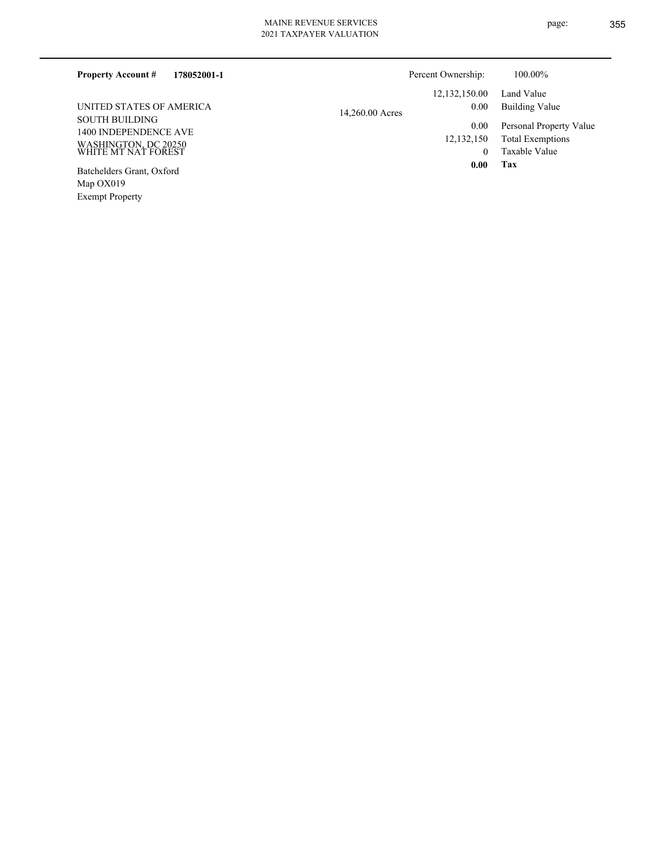| 178052001-1<br><b>Property Account #</b>       | Percent Ownership:                      | 100.00%                                            |
|------------------------------------------------|-----------------------------------------|----------------------------------------------------|
| UNITED STATES OF AMERICA                       | 12, 132, 150.00<br>0.00                 | Land Value<br><b>Building Value</b>                |
| <b>SOUTH BUILDING</b><br>1400 INDEPENDENCE AVE | 14,260.00 Acres<br>0.00<br>12, 132, 150 | Personal Property Value<br><b>Total Exemptions</b> |
| WASHINGTON, DC 20250<br>WHITE MT NAT FOREST    | $\left($                                | Taxable Value                                      |
| Batchelders Grant, Oxford<br>Map $OX019$       | 0.00                                    | Tax                                                |

Exempt Property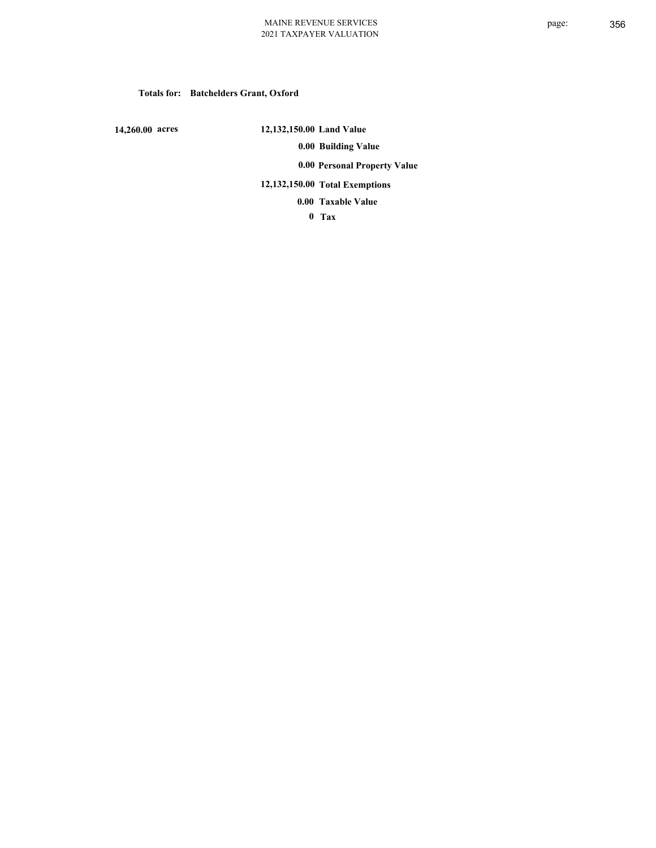# **Totals for: Batchelders Grant, Oxford**

 **14,260.00 acres**

 **12,132,150.00 Land Value 0.00 Building Value 0.00 Personal Property Value 12,132,150.00 Total Exemptions Taxable Value 0.00**

 **0 Tax**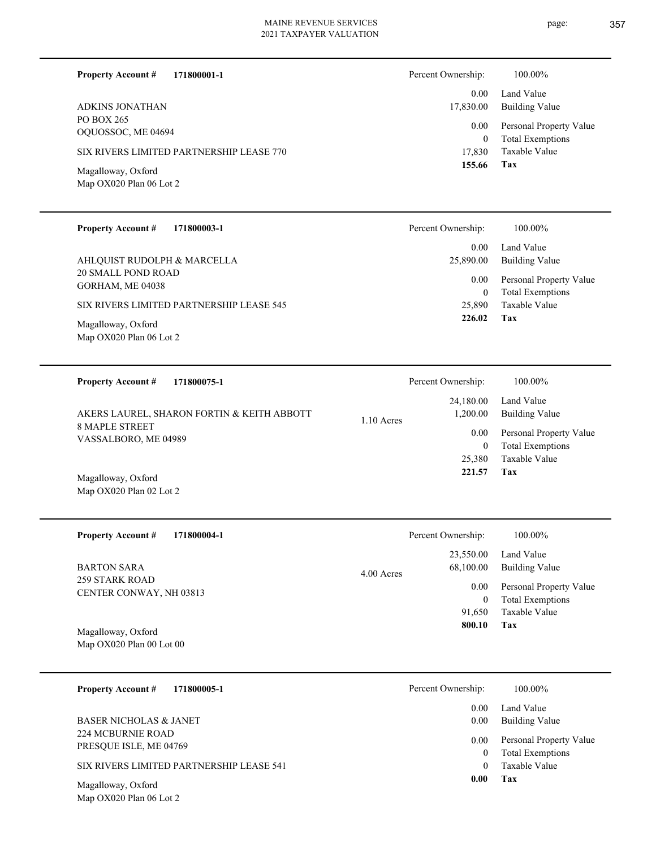page: 357

| <b>Property Account #</b><br>171800001-1 | Percent Ownership: | 100.00%                 |
|------------------------------------------|--------------------|-------------------------|
| <b>ADKINS JONATHAN</b>                   | 0.00               | Land Value              |
| PO BOX 265                               | 17,830.00          | <b>Building Value</b>   |
| OQUOSSOC, ME 04694                       | 0.00               | Personal Property Value |
| SIX RIVERS LIMITED PARTNERSHIP LEASE 770 | $\theta$           | <b>Total Exemptions</b> |
| Magalloway, Oxford                       | 17,830             | Taxable Value           |
| Map OX020 Plan 06 Lot 2                  | 155.66             | Tax                     |
| <b>Property Account #</b>                | Percent Ownership: | 100.00%                 |
| 171800003-1                              | 0.00               | Land Value              |

|                                                 | 0.00             | Land Value                                  |
|-------------------------------------------------|------------------|---------------------------------------------|
| AHLQUIST RUDOLPH & MARCELLA                     | 25,890.00        | Building Value                              |
| <b>20 SMALL POND ROAD</b><br>GORHAM, ME 04038   | 0.00<br>$\theta$ | Personal Property Value<br>Total Exemptions |
| SIX RIVERS LIMITED PARTNERSHIP LEASE 545        | 25,890           | Taxable Value                               |
| Magalloway, Oxford<br>Map $OX020$ Plan 06 Lot 2 | 226.02           | Tax                                         |

| <b>Property Account #</b><br>171800075-1                                                    | Percent Ownership:                                           | 100.00%                                                                                             |
|---------------------------------------------------------------------------------------------|--------------------------------------------------------------|-----------------------------------------------------------------------------------------------------|
| AKERS LAUREL, SHARON FORTIN & KEITH ABBOTT<br><b>8 MAPLE STREET</b><br>VASSALBORO, ME 04989 | 24,180.00<br>1,200.00<br>$1.10$ Acres<br>0.00<br>0<br>25,380 | Land Value<br>Building Value<br>Personal Property Value<br><b>Total Exemptions</b><br>Taxable Value |
| Magalloway, Oxford                                                                          | 221.57                                                       | Tax                                                                                                 |

Map OX020 Plan 02 Lot 2

| <b>Property Account #</b><br>171800004-1         | Percent Ownership:                     | 100.00%                                            |
|--------------------------------------------------|----------------------------------------|----------------------------------------------------|
| <b>BARTON SARA</b>                               | 23,550.00<br>68,100.00<br>$4.00$ Acres | Land Value<br>Building Value                       |
| <b>259 STARK ROAD</b><br>CENTER CONWAY, NH 03813 | 0.00<br>0                              | Personal Property Value<br><b>Total Exemptions</b> |
|                                                  | 91.650                                 | Taxable Value                                      |
| Magalloway, Oxford<br>Map $OX020$ Plan 00 Lot 00 | 800.10                                 | Tax                                                |

| 171800005-1<br><b>Property Account #</b>           | Percent Ownership: | 100.00%                                            |
|----------------------------------------------------|--------------------|----------------------------------------------------|
|                                                    | 0.00               | Land Value                                         |
| BASER NICHOLAS & JANET                             | 0.00               | Building Value                                     |
| <b>224 MCBURNIE ROAD</b><br>PRESQUE ISLE, ME 04769 | 0.00<br>0          | Personal Property Value<br><b>Total Exemptions</b> |
| SIX RIVERS LIMITED PARTNERSHIP LEASE 541           | 0                  | Taxable Value                                      |
| Magalloway, Oxford<br>Map OX020 Plan 06 Lot 2      | 0.00               | Tax                                                |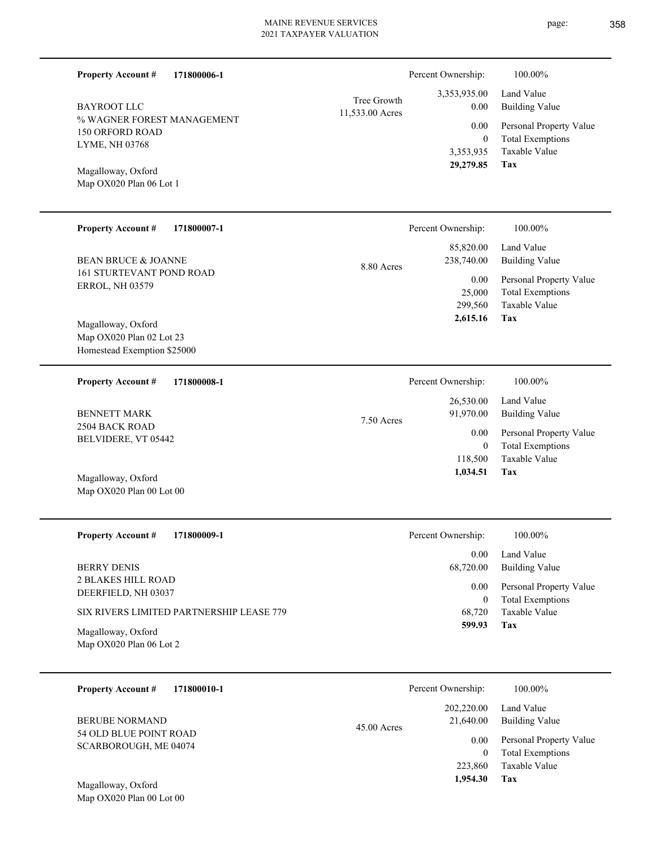| 171800006-1<br><b>Property Account #</b>                                      |                                | Percent Ownership:                         | 100.00%                                                                    |
|-------------------------------------------------------------------------------|--------------------------------|--------------------------------------------|----------------------------------------------------------------------------|
| <b>BAYROOT LLC</b>                                                            | Tree Growth<br>11,533.00 Acres | 3,353,935.00<br>0.00                       | Land Value<br><b>Building Value</b>                                        |
| % WAGNER FOREST MANAGEMENT<br><b>150 ORFORD ROAD</b><br>LYME, NH 03768        |                                | 0.00<br>$\bf{0}$<br>3,353,935<br>29,279.85 | Personal Property Value<br><b>Total Exemptions</b><br>Taxable Value<br>Tax |
| Magalloway, Oxford<br>Map OX020 Plan 06 Lot 1                                 |                                |                                            |                                                                            |
| <b>Property Account #</b><br>171800007-1                                      |                                | Percent Ownership:                         | 100.00%                                                                    |
| <b>BEAN BRUCE &amp; JOANNE</b>                                                | 8.80 Acres                     | 85,820.00<br>238,740.00                    | Land Value<br><b>Building Value</b>                                        |
| <b>161 STURTEVANT POND ROAD</b><br><b>ERROL, NH 03579</b>                     |                                | 0.00<br>25,000<br>299,560                  | Personal Property Value<br><b>Total Exemptions</b><br>Taxable Value        |
| Magalloway, Oxford<br>Map OX020 Plan 02 Lot 23<br>Homestead Exemption \$25000 |                                | 2,615.16                                   | Tax                                                                        |
| <b>Property Account #</b><br>171800008-1                                      |                                | Percent Ownership:                         | 100.00%                                                                    |
| <b>BENNETT MARK</b>                                                           | 7.50 Acres                     | 26,530.00<br>91,970.00                     | Land Value<br><b>Building Value</b>                                        |
| 2504 BACK ROAD<br>BELVIDERE, VT 05442                                         |                                | 0.00<br>$\mathbf{0}$<br>118,500            | Personal Property Value<br><b>Total Exemptions</b><br>Taxable Value        |
| Magalloway, Oxford<br>Map OX020 Plan 00 Lot 00                                |                                | 1,034.51                                   | Tax                                                                        |
| <b>Property Account #</b><br>171800009-1                                      |                                | Percent Ownership:                         | 100.00%                                                                    |
| <b>BERRY DENIS</b>                                                            |                                | 0.00<br>68,720.00                          | Land Value<br><b>Building Value</b>                                        |
| <b>2 BLAKES HILL ROAD</b><br>DEERFIELD, NH 03037                              |                                | 0.00<br>$\boldsymbol{0}$                   | Personal Property Value<br><b>Total Exemptions</b>                         |
| SIX RIVERS LIMITED PARTNERSHIP LEASE 779                                      |                                | 68,720<br>599.93                           | Taxable Value<br>Tax                                                       |
| Magalloway, Oxford<br>Map OX020 Plan 06 Lot 2                                 |                                |                                            |                                                                            |
| <b>Property Account #</b><br>171800010-1                                      |                                | Percent Ownership:                         | 100.00%                                                                    |
| <b>BERUBE NORMAND</b>                                                         | 45.00 Acres                    | 202,220.00<br>21,640.00                    | Land Value<br><b>Building Value</b>                                        |
| 54 OLD BLUE POINT ROAD                                                        |                                | 0.00                                       | 1 <sub>D</sub><br>$T - 1$                                                  |

Map OX020 Plan 00 Lot 00 Magalloway, Oxford

SCARBOROUGH, ME 04074

- page: 358
- 
- 

|         | Percent Ownership: | 100.00%                 |
|---------|--------------------|-------------------------|
| 0 Acres | 202,220.00         | Land Value              |
|         | 21,640.00          | Building Value          |
|         | 0.00               | Personal Property Value |
|         | 0                  | <b>Total Exemptions</b> |
|         | 223,860            | Taxable Value           |
|         | 1,954.30           | Tax                     |
|         |                    |                         |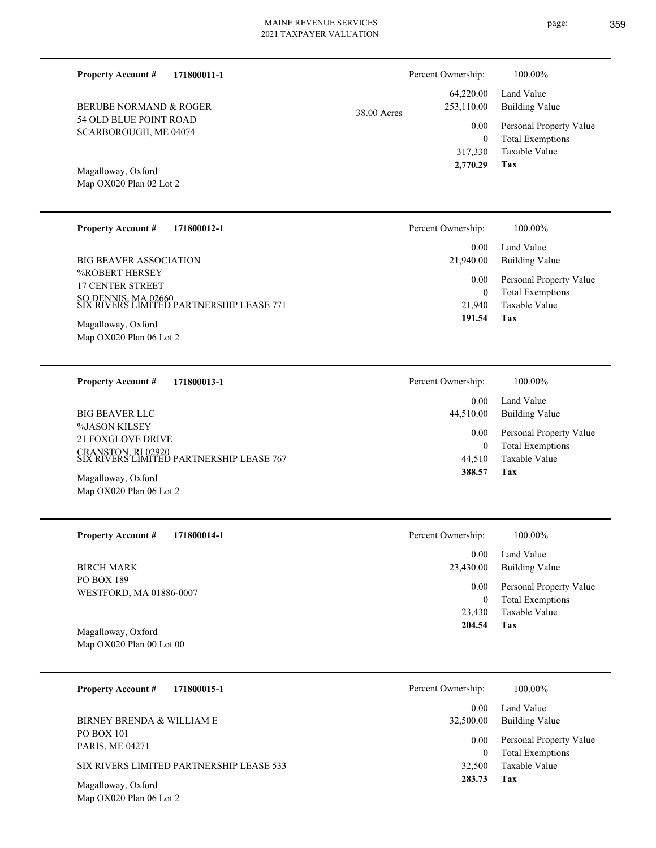| page: | 359 |
|-------|-----|
|       |     |

| <b>Property Account #</b>                       | 171800011-1                                                     |             | Percent Ownership:                              | 100.00%                                                                    |
|-------------------------------------------------|-----------------------------------------------------------------|-------------|-------------------------------------------------|----------------------------------------------------------------------------|
| BERUBE NORMAND & ROGER                          |                                                                 | 38.00 Acres | 64,220.00<br>253,110.00                         | Land Value<br><b>Building Value</b>                                        |
| 54 OLD BLUE POINT ROAD<br>SCARBOROUGH, ME 04074 |                                                                 |             | 0.00<br>$\boldsymbol{0}$<br>317,330<br>2,770.29 | Personal Property Value<br><b>Total Exemptions</b><br>Taxable Value<br>Tax |
| Magalloway, Oxford<br>Map OX020 Plan 02 Lot 2   |                                                                 |             |                                                 |                                                                            |
| <b>Property Account #</b>                       | 171800012-1                                                     |             | Percent Ownership:                              | 100.00%                                                                    |
| <b>BIG BEAVER ASSOCIATION</b><br>%ROBERT HERSEY |                                                                 |             | 0.00<br>21,940.00                               | Land Value<br><b>Building Value</b>                                        |
| <b>17 CENTER STREET</b>                         | SO DENNIS, MA 02660<br>SIX RIVERS LIMITED PARTNERSHIP LEASE 771 |             | 0.00<br>$\mathbf{0}$<br>21,940                  | Personal Property Value<br><b>Total Exemptions</b><br>Taxable Value        |
| Magalloway, Oxford<br>Map OX020 Plan 06 Lot 2   |                                                                 |             | 191.54                                          | Tax                                                                        |
| <b>Property Account #</b>                       | 171800013-1                                                     |             | Percent Ownership:                              | 100.00%                                                                    |
| <b>BIG BEAVER LLC</b>                           |                                                                 |             | 0.00<br>44,510.00                               | Land Value<br><b>Building Value</b>                                        |
| %JASON KILSEY<br>21 FOXGLOVE DRIVE              |                                                                 |             | 0.00<br>$\mathbf{0}$                            | Personal Property Value<br><b>Total Exemptions</b>                         |
| Magalloway, Oxford                              | CRANSTON, RI 02920<br>SIX RIVERS LIMITED PARTNERSHIP LEASE 767  |             | 44,510<br>388.57                                | Taxable Value<br>Tax                                                       |
| Map OX020 Plan 06 Lot 2                         |                                                                 |             |                                                 |                                                                            |
| <b>Property Account #</b>                       | 171800014-1                                                     |             | Percent Ownership:                              | 100.00%                                                                    |
| <b>BIRCH MARK</b>                               |                                                                 |             | 0.00<br>23,430.00                               | Land Value<br><b>Building Value</b>                                        |
| PO BOX 189<br>WESTFORD, MA 01886-0007           |                                                                 |             | 0.00<br>$\boldsymbol{0}$                        | Personal Property Value<br><b>Total Exemptions</b>                         |
| Magalloway, Oxford                              |                                                                 |             | 23,430<br>204.54                                | Taxable Value<br>Tax                                                       |
| Map OX020 Plan 00 Lot 00                        |                                                                 |             |                                                 |                                                                            |
| <b>Property Account #</b>                       | 171800015-1                                                     |             | Percent Ownership:                              | 100.00%                                                                    |
| BIRNEY BRENDA & WILLIAM E                       |                                                                 |             | 0.00<br>32,500.00                               | Land Value<br><b>Building Value</b>                                        |
| PO BOX 101<br>PARIS, ME 04271                   |                                                                 |             | 0.00<br>$\mathbf{0}$                            | Personal Property Value<br><b>Total Exemptions</b>                         |
| Magalloway, Oxford                              | SIX RIVERS LIMITED PARTNERSHIP LEASE 533                        |             | 32,500<br>283.73                                | Taxable Value<br>Tax                                                       |
| Map OX020 Plan 06 Lot 2                         |                                                                 |             |                                                 |                                                                            |
|                                                 |                                                                 |             |                                                 |                                                                            |
|                                                 |                                                                 |             |                                                 |                                                                            |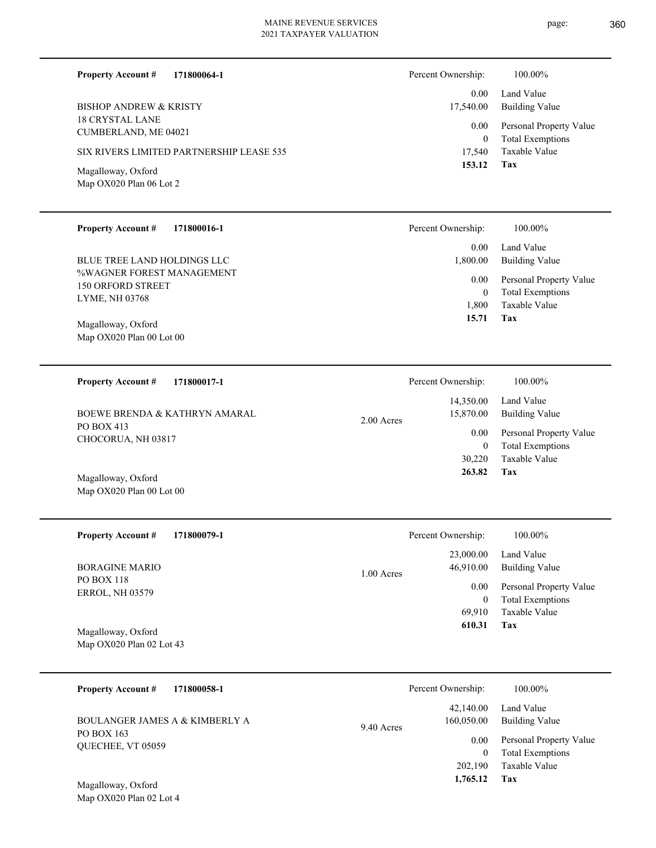page: 360

| 171800064-1<br><b>Property Account #</b> | Percent Ownership: | 100.00%                 |
|------------------------------------------|--------------------|-------------------------|
|                                          | 0.00               | Land Value              |
| <b>BISHOP ANDREW &amp; KRISTY</b>        | 17,540.00          | <b>Building Value</b>   |
| <b>18 CRYSTAL LANE</b>                   |                    |                         |
| CUMBERLAND, ME 04021                     | 0.00               | Personal Property Value |
|                                          | $\mathbf{0}$       | <b>Total Exemptions</b> |
| SIX RIVERS LIMITED PARTNERSHIP LEASE 535 | 17,540             | Taxable Value           |
|                                          | 153.12             | Tax                     |
| Magalloway, Oxford                       |                    |                         |
| Map OX020 Plan 06 Lot 2                  |                    |                         |
|                                          |                    |                         |
|                                          |                    |                         |
| <b>Property Account #</b><br>171800016-1 | Percent Ownership: | 100.00%                 |
|                                          |                    |                         |
| BLUE TREE LAND HOLDINGS LLC              | 0.00               | Land Value              |
|                                          | 1,800.00           | <b>Building Value</b>   |
| %WAGNER FOREST MANAGEMENT                | 0.00               | Personal Property Value |
| <b>150 ORFORD STREET</b>                 | $\mathbf{0}$       | <b>Total Exemptions</b> |
| LYME, NH 03768                           | 1,800              | Taxable Value           |
|                                          | 15.71              | Tax                     |
| Magalloway, Oxford                       |                    |                         |
| Map OX020 Plan 00 Lot 00                 |                    |                         |
|                                          |                    |                         |

| <b>BOEWE BRENDA &amp; KATHRYN AMARAL</b> | 2.00 Acres | 14,350.00<br>15,870.00 | Land Value<br>Building Value |
|------------------------------------------|------------|------------------------|------------------------------|
| PO BOX 413<br>CHOCORUA, NH 03817         |            | $0.00\,$               | Personal Property Value      |
|                                          |            | $\theta$               | Total Exemptions             |
|                                          |            | 30,220                 | Taxable Value                |
| Magalloway, Oxford                       |            | 263.82                 | Tax                          |
|                                          |            |                        |                              |

Map OX020 Plan 00 Lot 00

Map OX020 Plan 02 Lot 4

| <b>Property Account #</b><br>171800079-1    | Percent Ownership:                     | 100.00%                                            |
|---------------------------------------------|----------------------------------------|----------------------------------------------------|
| <b>BORAGINE MARIO</b>                       | 23,000.00<br>46,910.00<br>$1.00$ Acres | Land Value<br>Building Value                       |
| <b>PO BOX 118</b><br><b>ERROL, NH 03579</b> | 0.00<br>$\overline{0}$                 | Personal Property Value<br><b>Total Exemptions</b> |
|                                             | 69.910                                 | Taxable Value                                      |
| Magalloway, Oxford                          | 610.31                                 | Tax                                                |
| Map $OX020$ Plan 02 Lot 43                  |                                        |                                                    |

| <b>Property Account #</b><br>171800058-1     | Percent Ownership:                    | 100.00%                                            |
|----------------------------------------------|---------------------------------------|----------------------------------------------------|
| BOULANGER JAMES A & KIMBERLY A<br>PO BOX 163 | 42,140.00<br>160,050.00<br>9.40 Acres | Land Value<br>Building Value                       |
| <b>OUECHEE, VT 05059</b>                     | 0.00                                  | Personal Property Value<br><b>Total Exemptions</b> |
|                                              | 202,190<br>1,765.12                   | Taxable Value<br>Tax                               |
| Magalloway, Oxford                           |                                       |                                                    |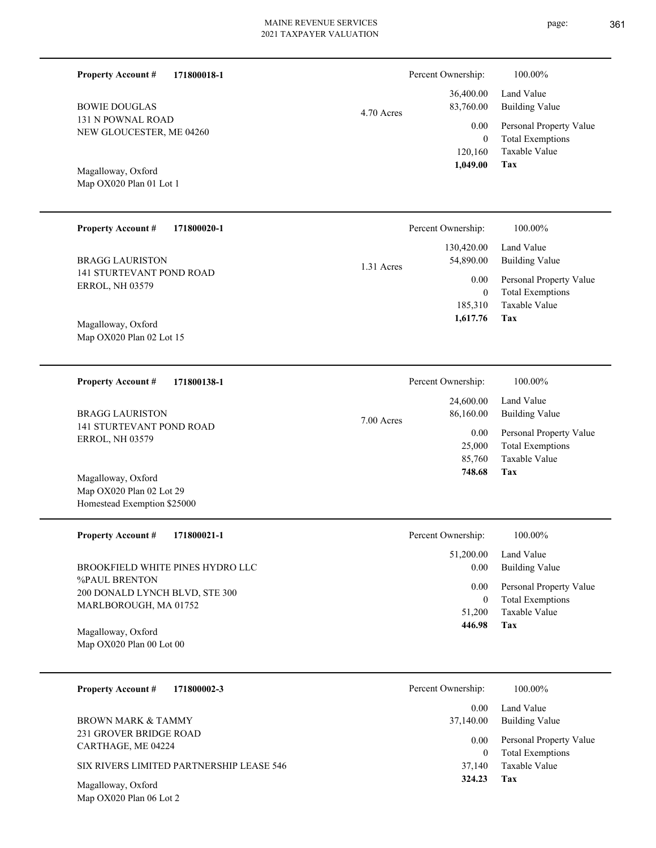| <b>Property Account #</b><br>171800018-1                  | Percent Ownership: |                                             | 100.00%                                                                           |
|-----------------------------------------------------------|--------------------|---------------------------------------------|-----------------------------------------------------------------------------------|
| <b>BOWIE DOUGLAS</b>                                      | 4.70 Acres         | 36,400.00<br>83,760.00                      | Land Value<br><b>Building Value</b>                                               |
| 131 N POWNAL ROAD<br>NEW GLOUCESTER, ME 04260             |                    | 0.00<br>$\mathbf{0}$<br>120,160             | Personal Property Value<br><b>Total Exemptions</b><br>Taxable Value<br><b>Tax</b> |
| Magalloway, Oxford<br>Map OX020 Plan 01 Lot 1             |                    | 1,049.00                                    |                                                                                   |
| <b>Property Account #</b><br>171800020-1                  | Percent Ownership: |                                             | 100.00%                                                                           |
| <b>BRAGG LAURISTON</b>                                    | 1.31 Acres         | 130,420.00<br>54,890.00                     | Land Value<br><b>Building Value</b>                                               |
| <b>141 STURTEVANT POND ROAD</b><br><b>ERROL, NH 03579</b> |                    | 0.00<br>$\mathbf{0}$<br>185,310<br>1,617.76 | Personal Property Value<br><b>Total Exemptions</b><br>Taxable Value<br><b>Tax</b> |
| Magalloway, Oxford<br>Map OX020 Plan 02 Lot 15            |                    |                                             |                                                                                   |
| <b>Property Account #</b><br>171800138-1                  | Percent Ownership: |                                             | 100.00%                                                                           |
| <b>BRAGG LAURISTON</b>                                    | 7.00 Acres         | 24,600.00<br>86,160.00                      | Land Value<br><b>Building Value</b>                                               |
| 141 STURTEVANT POND ROAD<br><b>ERROL, NH 03579</b>        |                    | 0.00<br>25,000<br>85,760<br>748.68          | Personal Property Value<br><b>Total Exemptions</b><br>Taxable Value<br><b>Tax</b> |
| Magalloway, Oxford<br>Map OX020 Plan 02 Lot 29            |                    |                                             |                                                                                   |
| Homestead Exemption \$25000                               |                    |                                             |                                                                                   |
| Property Account #<br>171800021-1                         | Percent Ownership: |                                             | 100.00%                                                                           |
| BROOKFIELD WHITE PINES HYDRO LLC                          |                    | 51,200.00<br>0.00                           | Land Value<br><b>Building Value</b>                                               |
| %PAUL BRENTON<br>200 DONALD LYNCH BLVD, STE 300           |                    | 0.00<br>$\overline{0}$                      | Personal Property Value<br><b>Total Exemptions</b>                                |
| MARLBOROUGH, MA 01752<br>Magalloway, Oxford               |                    | 51,200<br>446.98                            | Taxable Value<br>Tax                                                              |
| Map OX020 Plan 00 Lot 00                                  |                    |                                             |                                                                                   |
| 171800002-3<br><b>Property Account #</b>                  | Percent Ownership: |                                             | 100.00%                                                                           |
| <b>BROWN MARK &amp; TAMMY</b>                             |                    | $0.00\,$<br>37,140.00                       | Land Value<br><b>Building Value</b>                                               |
| 231 GROVER BRIDGE ROAD<br>CARTHAGE, ME 04224              |                    | $0.00\,$<br>$\overline{0}$                  | Personal Property Value<br><b>Total Exemptions</b>                                |
| SIX RIVERS LIMITED PARTNERSHIP LEASE 546                  |                    | 37,140<br>324.23                            | Taxable Value<br>Tax                                                              |
| Magalloway, Oxford<br>Map OX020 Plan 06 Lot 2             |                    |                                             |                                                                                   |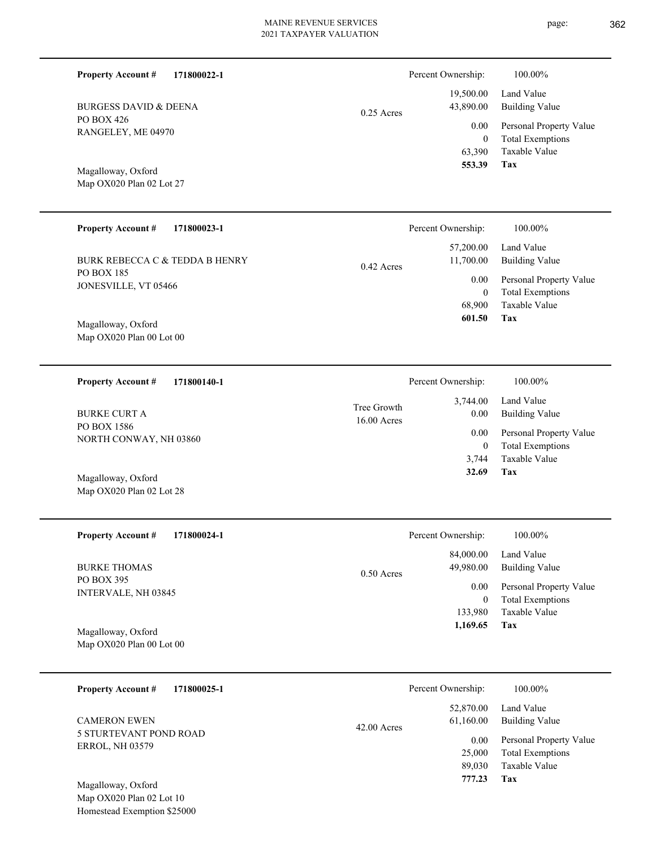| <b>Property Account #</b> | 171800022-1                                             |                            | Percent Ownership:       | 100.00%                                            |
|---------------------------|---------------------------------------------------------|----------------------------|--------------------------|----------------------------------------------------|
|                           | <b>BURGESS DAVID &amp; DEENA</b>                        | $0.25$ Acres               | 19,500.00<br>43,890.00   | Land Value<br><b>Building Value</b>                |
| PO BOX 426                | RANGELEY, ME 04970                                      |                            | 0.00<br>$\overline{0}$   | Personal Property Value<br><b>Total Exemptions</b> |
|                           |                                                         |                            | 63,390<br>553.39         | Taxable Value<br>Tax                               |
| Magalloway, Oxford        | Map OX020 Plan 02 Lot 27                                |                            |                          |                                                    |
| <b>Property Account #</b> | 171800023-1                                             |                            | Percent Ownership:       | 100.00%                                            |
|                           | <b>BURK REBECCA C &amp; TEDDA B HENRY</b>               | $0.42$ Acres               | 57,200.00<br>11,700.00   | Land Value<br><b>Building Value</b>                |
| PO BOX 185                | JONESVILLE, VT 05466                                    |                            | 0.00<br>$\boldsymbol{0}$ | Personal Property Value<br><b>Total Exemptions</b> |
| Magalloway, Oxford        |                                                         |                            | 68,900<br>601.50         | Taxable Value<br>Tax                               |
|                           | Map OX020 Plan 00 Lot 00                                |                            |                          |                                                    |
| <b>Property Account #</b> | 171800140-1                                             |                            | Percent Ownership:       | 100.00%                                            |
| <b>BURKE CURT A</b>       |                                                         | Tree Growth<br>16.00 Acres | 3,744.00<br>0.00         | Land Value<br><b>Building Value</b>                |
| PO BOX 1586               | NORTH CONWAY, NH 03860                                  |                            | 0.00<br>$\boldsymbol{0}$ | Personal Property Value<br><b>Total Exemptions</b> |
| Magalloway, Oxford        |                                                         |                            | 3,744<br>32.69           | Taxable Value<br>Tax                               |
|                           | Map OX020 Plan 02 Lot 28                                |                            |                          |                                                    |
| <b>Property Account #</b> | 171800024-1                                             |                            | Percent Ownership:       | 100.00%                                            |
| <b>BURKE THOMAS</b>       |                                                         | 0.50 Acres                 | 84,000.00<br>49,980.00   | Land Value<br><b>Building Value</b>                |
| PO BOX 395                | INTERVALE, NH 03845                                     |                            | 0.00<br>$\mathbf{0}$     | Personal Property Value<br><b>Total Exemptions</b> |
|                           |                                                         |                            | 133,980<br>1,169.65      | Taxable Value<br>Tax                               |
| Magalloway, Oxford        | Map OX020 Plan 00 Lot 00                                |                            |                          |                                                    |
| <b>Property Account #</b> | 171800025-1                                             |                            | Percent Ownership:       | 100.00%                                            |
| <b>CAMERON EWEN</b>       |                                                         | $42.00$ Acres              | 52,870.00<br>61,160.00   | Land Value<br><b>Building Value</b>                |
| <b>ERROL, NH 03579</b>    | 5 STURTEVANT POND ROAD                                  |                            | 0.00<br>25,000           | Personal Property Value<br><b>Total Exemptions</b> |
|                           |                                                         |                            | 89,030<br>777.23         | Taxable Value<br>Tax                               |
| Magalloway, Oxford        | Map OX020 Plan 02 Lot 10<br>Homestead Exemption \$25000 |                            |                          |                                                    |
|                           |                                                         |                            |                          |                                                    |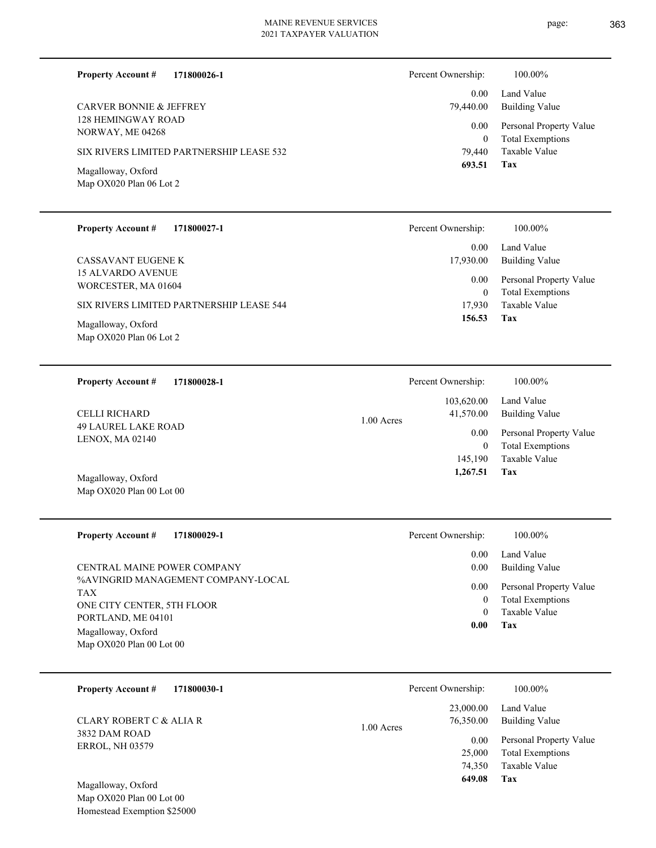**171800026-1**

**Property Account #**

Percent Ownership:  $100.00\%$ 

page: 363

| <b>CARVER BONNIE &amp; JEFFREY</b><br><b>128 HEMINGWAY ROAD</b><br>NORWAY, ME 04268<br>SIX RIVERS LIMITED PARTNERSHIP LEASE 532<br>Magalloway, Oxford<br>Map OX020 Plan 06 Lot 2<br><b>Property Account #</b><br>171800027-1<br>CASSAVANT EUGENE K<br><b>15 ALVARDO AVENUE</b><br>WORCESTER, MA 01604<br>SIX RIVERS LIMITED PARTNERSHIP LEASE 544<br>Magalloway, Oxford<br>Map OX020 Plan 06 Lot 2 |            | 0.00<br>79,440.00<br>0.00<br>$\boldsymbol{0}$<br>79,440<br>693.51<br>Percent Ownership:<br>0.00<br>17,930.00<br>0.00<br>$\boldsymbol{0}$<br>17,930<br>156.53 | Land Value<br><b>Building Value</b><br>Personal Property Value<br><b>Total Exemptions</b><br>Taxable Value<br>Tax<br>100.00%<br>Land Value<br><b>Building Value</b><br>Personal Property Value<br><b>Total Exemptions</b><br>Taxable Value<br>Tax |
|----------------------------------------------------------------------------------------------------------------------------------------------------------------------------------------------------------------------------------------------------------------------------------------------------------------------------------------------------------------------------------------------------|------------|--------------------------------------------------------------------------------------------------------------------------------------------------------------|---------------------------------------------------------------------------------------------------------------------------------------------------------------------------------------------------------------------------------------------------|
|                                                                                                                                                                                                                                                                                                                                                                                                    |            |                                                                                                                                                              |                                                                                                                                                                                                                                                   |
| <b>Property Account #</b><br>171800028-1                                                                                                                                                                                                                                                                                                                                                           |            | Percent Ownership:                                                                                                                                           | 100.00%                                                                                                                                                                                                                                           |
|                                                                                                                                                                                                                                                                                                                                                                                                    |            | 103,620.00                                                                                                                                                   | Land Value                                                                                                                                                                                                                                        |
| CELLI RICHARD<br><b>49 LAUREL LAKE ROAD</b>                                                                                                                                                                                                                                                                                                                                                        | 1.00 Acres | 41,570.00                                                                                                                                                    | <b>Building Value</b>                                                                                                                                                                                                                             |
| LENOX, MA 02140                                                                                                                                                                                                                                                                                                                                                                                    |            | 0.00<br>$\mathbf{0}$<br>145,190<br>1,267.51                                                                                                                  | Personal Property Value<br><b>Total Exemptions</b><br><b>Taxable Value</b><br>Tax                                                                                                                                                                 |
| Magalloway, Oxford<br>Map OX020 Plan 00 Lot 00                                                                                                                                                                                                                                                                                                                                                     |            |                                                                                                                                                              |                                                                                                                                                                                                                                                   |
| <b>Property Account #</b><br>171800029-1                                                                                                                                                                                                                                                                                                                                                           |            | Percent Ownership:                                                                                                                                           | 100.00%                                                                                                                                                                                                                                           |
| CENTRAL MAINE POWER COMPANY                                                                                                                                                                                                                                                                                                                                                                        |            | 0.00<br>0.00                                                                                                                                                 | Land Value<br><b>Building Value</b>                                                                                                                                                                                                               |
| %AVINGRID MANAGEMENT COMPANY-LOCAL                                                                                                                                                                                                                                                                                                                                                                 |            | 0.00                                                                                                                                                         |                                                                                                                                                                                                                                                   |
| <b>TAX</b>                                                                                                                                                                                                                                                                                                                                                                                         |            | $\overline{0}$                                                                                                                                               | Personal Property Value<br><b>Total Exemptions</b>                                                                                                                                                                                                |
| ONE CITY CENTER, 5TH FLOOR<br>PORTLAND, ME 04101                                                                                                                                                                                                                                                                                                                                                   |            | $\theta$                                                                                                                                                     | Taxable Value                                                                                                                                                                                                                                     |
| Magalloway, Oxford                                                                                                                                                                                                                                                                                                                                                                                 |            | 0.00                                                                                                                                                         | Tax                                                                                                                                                                                                                                               |
| Map OX020 Plan 00 Lot 00                                                                                                                                                                                                                                                                                                                                                                           |            |                                                                                                                                                              |                                                                                                                                                                                                                                                   |
| <b>Property Account #</b><br>171800030-1                                                                                                                                                                                                                                                                                                                                                           |            | Percent Ownership:                                                                                                                                           | 100.00%                                                                                                                                                                                                                                           |
|                                                                                                                                                                                                                                                                                                                                                                                                    |            | 23,000.00                                                                                                                                                    | Land Value                                                                                                                                                                                                                                        |
| <b>CLARY ROBERT C &amp; ALIA R</b>                                                                                                                                                                                                                                                                                                                                                                 | 1.00 Acres | 76,350.00                                                                                                                                                    | <b>Building Value</b>                                                                                                                                                                                                                             |
| 3832 DAM ROAD<br><b>ERROL, NH 03579</b>                                                                                                                                                                                                                                                                                                                                                            |            | 0.00<br>25,000<br>74,350<br>649.08                                                                                                                           | Personal Property Value<br><b>Total Exemptions</b><br>Taxable Value<br>Tax                                                                                                                                                                        |
| Magalloway, Oxford<br>Map OX020 Plan 00 Lot 00                                                                                                                                                                                                                                                                                                                                                     |            |                                                                                                                                                              |                                                                                                                                                                                                                                                   |
| Homestead Exemption \$25000                                                                                                                                                                                                                                                                                                                                                                        |            |                                                                                                                                                              |                                                                                                                                                                                                                                                   |
|                                                                                                                                                                                                                                                                                                                                                                                                    |            |                                                                                                                                                              |                                                                                                                                                                                                                                                   |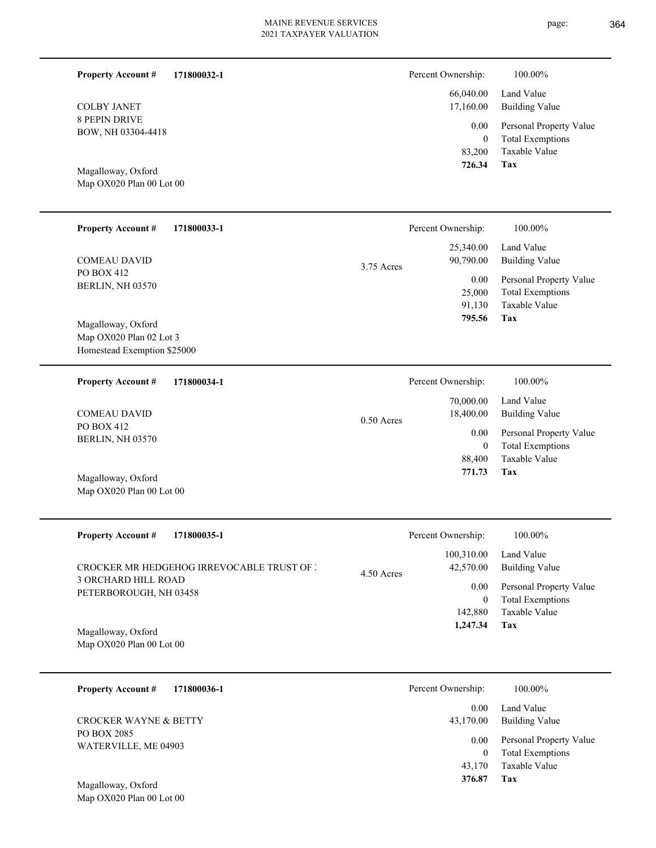**171800032-1**

**171800033-1**

8 PEPIN DRIVE BOW, NH 03304-4418 COLBY JANET

**Property Account #**

Map OX020 Plan 00 Lot 00 Magalloway, Oxford

PO BOX 412 BERLIN, NH 03570

**Property Account #**

COMEAU DAVID

| Percent Ownership: | 100.00%                                            |
|--------------------|----------------------------------------------------|
| 17,160.00          | 66,040.00 Land Value<br>Building Value             |
| $0.00\,$<br>0      | Personal Property Value<br><b>Total Exemptions</b> |
|                    | 83,200 Taxable Value                               |

**Tax 726.34**

|              | Percent Ownership: | 100.00%                 |
|--------------|--------------------|-------------------------|
|              | 25,340.00          | Land Value              |
| $3.75$ Acres | 90,790.00          | Building Value          |
|              | 0.00               | Personal Property Value |
|              | 25,000             | <b>Total Exemptions</b> |
|              | 91,130             | Taxable Value           |
|              | 795.56             | Tax                     |

Map OX020 Plan 02 Lot 3 Homestead Exemption \$25000 Magalloway, Oxford

| <b>Property Account #</b>      | 171800034-1  | Percent Ownership: | 100.00%                 |
|--------------------------------|--------------|--------------------|-------------------------|
|                                |              | 70,000.00          | Land Value              |
| <b>COMEAU DAVID</b>            | $0.50$ Acres | 18,400.00          | Building Value          |
| PO BOX 412<br>BERLIN, NH 03570 |              | 0.00               | Personal Property Value |
|                                |              | 0                  | <b>Total Exemptions</b> |
|                                |              | 88,400             | Taxable Value           |
| Magalloway, Oxford             |              | 771.73             | Tax                     |
| Map $OX020$ Plan 00 Lot 00     |              |                    |                         |

| <b>Property Account #</b><br>171800035-1                                                                                 | Percent Ownership:                                                     | 100.00%                                                                                                    |
|--------------------------------------------------------------------------------------------------------------------------|------------------------------------------------------------------------|------------------------------------------------------------------------------------------------------------|
| <b>CROCKER MR HEDGEHOG IRREVOCABLE TRUST OF 2</b><br>3 ORCHARD HILL ROAD<br>PETERBOROUGH, NH 03458<br>Magalloway, Oxford | 100.310.00<br>42,570.00<br>$4.50$ Acres<br>0.00<br>142,880<br>1,247.34 | Land Value<br>Building Value<br>Personal Property Value<br><b>Total Exemptions</b><br>Taxable Value<br>Tax |

Map OX020 Plan 00 Lot 00

| 171800036-1<br><b>Property Account #</b> | Percent Ownership: | 100.00%                                            |
|------------------------------------------|--------------------|----------------------------------------------------|
|                                          | 0.00               | Land Value                                         |
| CROCKER WAYNE & BETTY                    | 43,170.00          | <b>Building Value</b>                              |
| PO BOX 2085<br>WATERVILLE, ME 04903      | 0.00<br>0          | Personal Property Value<br><b>Total Exemptions</b> |
|                                          | 43,170             | Taxable Value                                      |
| Magalloway Oxford                        | 376.87             | Tax                                                |

Map OX020 Plan 00 Lot 00 Magalloway, Oxford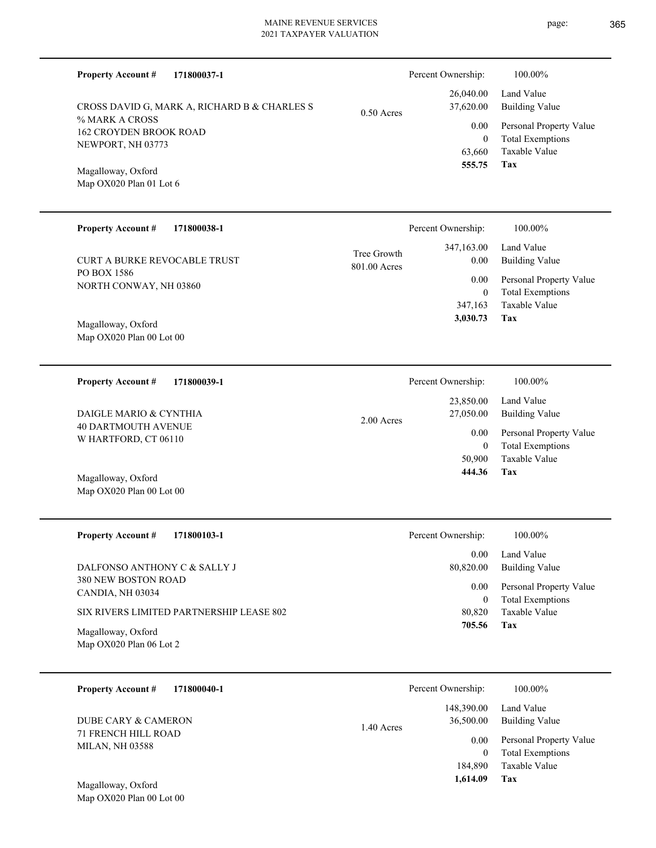| <b>Property Account #</b><br>171800037-1             |                             | Percent Ownership:       | 100.00%                                            |
|------------------------------------------------------|-----------------------------|--------------------------|----------------------------------------------------|
| CROSS DAVID G, MARK A, RICHARD B & CHARLES S         | $0.50$ Acres                | 26,040.00<br>37,620.00   | Land Value<br><b>Building Value</b>                |
| % MARK A CROSS<br><b>162 CROYDEN BROOK ROAD</b>      |                             | 0.00                     | Personal Property Value                            |
| NEWPORT, NH 03773                                    |                             | $\overline{0}$<br>63,660 | <b>Total Exemptions</b><br>Taxable Value           |
| Magalloway, Oxford                                   |                             | 555.75                   | Tax                                                |
| Map OX020 Plan 01 Lot 6                              |                             |                          |                                                    |
|                                                      |                             |                          |                                                    |
| <b>Property Account #</b><br>171800038-1             |                             | Percent Ownership:       | 100.00%                                            |
| CURT A BURKE REVOCABLE TRUST                         | Tree Growth<br>801.00 Acres | 347,163.00<br>0.00       | Land Value<br><b>Building Value</b>                |
| PO BOX 1586                                          |                             | 0.00                     | Personal Property Value                            |
| NORTH CONWAY, NH 03860                               |                             | $\overline{0}$           | <b>Total Exemptions</b><br><b>Taxable Value</b>    |
|                                                      |                             | 347,163<br>3,030.73      | Tax                                                |
| Magalloway, Oxford<br>Map OX020 Plan 00 Lot 00       |                             |                          |                                                    |
|                                                      |                             |                          |                                                    |
| 171800039-1<br><b>Property Account #</b>             |                             | Percent Ownership:       | 100.00%                                            |
|                                                      |                             | 23,850.00                | Land Value                                         |
| DAIGLE MARIO & CYNTHIA<br><b>40 DARTMOUTH AVENUE</b> | 2.00 Acres                  | 27,050.00                | <b>Building Value</b>                              |
| W HARTFORD, CT 06110                                 |                             | 0.00<br>$\overline{0}$   | Personal Property Value<br><b>Total Exemptions</b> |
|                                                      |                             | 50,900                   | Taxable Value                                      |
| Magalloway, Oxford                                   |                             | 444.36                   | Tax                                                |
| Map OX020 Plan 00 Lot 00                             |                             |                          |                                                    |
| <b>Property Account #</b><br>171800103-1             |                             | Percent Ownership:       | 100.00%                                            |
|                                                      |                             | 0.00                     | Land Value                                         |
| DALFONSO ANTHONY C & SALLY J                         |                             | 80,820.00                | <b>Building Value</b>                              |
| 380 NEW BOSTON ROAD<br>CANDIA, NH 03034              |                             | 0.00                     | Personal Property Value                            |
| SIX RIVERS LIMITED PARTNERSHIP LEASE 802             |                             | $\mathbf{0}$<br>80,820   | <b>Total Exemptions</b><br>Taxable Value           |
| Magalloway, Oxford                                   |                             | 705.56                   | Tax                                                |
| Map OX020 Plan 06 Lot 2                              |                             |                          |                                                    |
|                                                      |                             |                          |                                                    |
| <b>Property Account #</b><br>171800040-1             |                             | Percent Ownership:       | 100.00%                                            |
|                                                      |                             | 148,390.00               | Land Value                                         |
| DUBE CARY & CAMERON<br>71 FRENCH HILL ROAD           | 1.40 Acres                  | 36,500.00                | <b>Building Value</b>                              |
| <b>MILAN, NH 03588</b>                               |                             | 0.00<br>$\mathbf{0}$     | Personal Property Value<br><b>Total Exemptions</b> |
|                                                      |                             | 184,890                  | Taxable Value                                      |

**Tax 1,614.09**

Map OX020 Plan 00 Lot 00 Magalloway, Oxford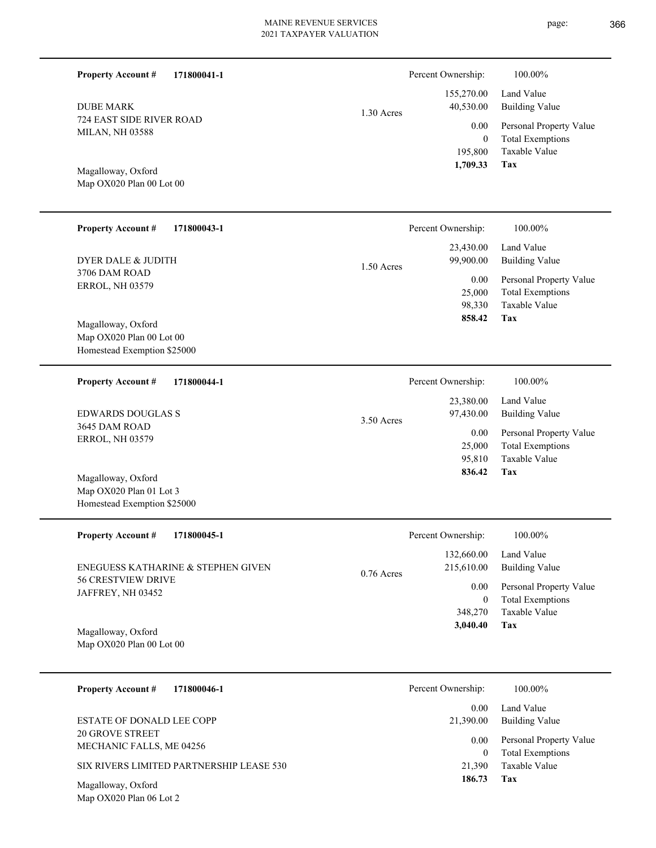Percent Ownership:  $100.00\%$ 

1.30 Acres

724 EAST SIDE RIVER ROAD MILAN, NH 03588 DUBE MARK

**Property Account #**

**171800041-1**

Map OX020 Plan 00 Lot 00 Magalloway, Oxford

| <b>Property Account #</b><br>171800043-1 | Percent Ownership:                             | 100.00%                                                 |
|------------------------------------------|------------------------------------------------|---------------------------------------------------------|
| DYER DALE & JUDITH<br>3706 DAM ROAD      | 23,430.00<br>99,900.00<br>$1.50$ Acres<br>0.00 | Land Value<br>Building Value<br>Personal Property Value |
| <b>ERROL, NH 03579</b>                   | 25,000                                         | <b>Total Exemptions</b>                                 |
|                                          | 98,330                                         | Taxable Value                                           |
| Magalloway, Oxford                       | 858.42                                         | Tax                                                     |
| Map OX020 Plan 00 Lot 00                 |                                                |                                                         |

Homestead Exemption \$25000

| 171800044-1<br><b>Property Account #</b>  | Percent Ownership:        | 100.00%                 |
|-------------------------------------------|---------------------------|-------------------------|
|                                           | 23,380.00                 | Land Value              |
| <b>EDWARDS DOUGLAS S</b><br>3645 DAM ROAD | 97,430.00<br>$3.50$ Acres | Building Value          |
| <b>ERROL, NH 03579</b>                    | 0.00                      | Personal Property Value |
|                                           | 25,000                    | <b>Total Exemptions</b> |
|                                           | 95,810                    | Taxable Value           |
| Magalloway, Oxford                        | 836.42                    | Tax                     |

| <b>Property Account #</b><br>171800045-1       | Percent Ownership:         | 100.00%                 |
|------------------------------------------------|----------------------------|-------------------------|
|                                                | 132,660.00                 | Land Value              |
| ENEGUESS KATHARINE & STEPHEN GIVEN             | 215,610.00<br>$0.76$ Acres | Building Value          |
| <b>56 CRESTVIEW DRIVE</b><br>JAFFREY, NH 03452 | 0.00                       | Personal Property Value |
|                                                | $\bf{0}$                   | <b>Total Exemptions</b> |
|                                                | 348,270                    | Taxable Value           |
| Magalloway, Oxford                             | 3,040.40                   | Tax                     |

Map OX020 Plan 00 Lot 00

Map OX020 Plan 06 Lot 2

Map OX020 Plan 01 Lot 3 Homestead Exemption \$25000

| 171800046-1<br><b>Property Account #</b>    | Percent Ownership: | 100.00%                                            |
|---------------------------------------------|--------------------|----------------------------------------------------|
| ESTATE OF DONALD LEE COPP                   | 0.00<br>21,390.00  | Land Value<br>Building Value                       |
| 20 GROVE STREET<br>MECHANIC FALLS, ME 04256 | 0.00<br>0          | Personal Property Value<br><b>Total Exemptions</b> |
| SIX RIVERS LIMITED PARTNERSHIP LEASE 530    | 21,390             | Taxable Value                                      |
| Magalloway, Oxford                          | 186.73             | Tax                                                |

**Tax**

 195,800 0

0.00

 155,270.00 40,530.00

 **1,709.33**

Taxable Value Total Exemptions Personal Property Value

Building Value Land Value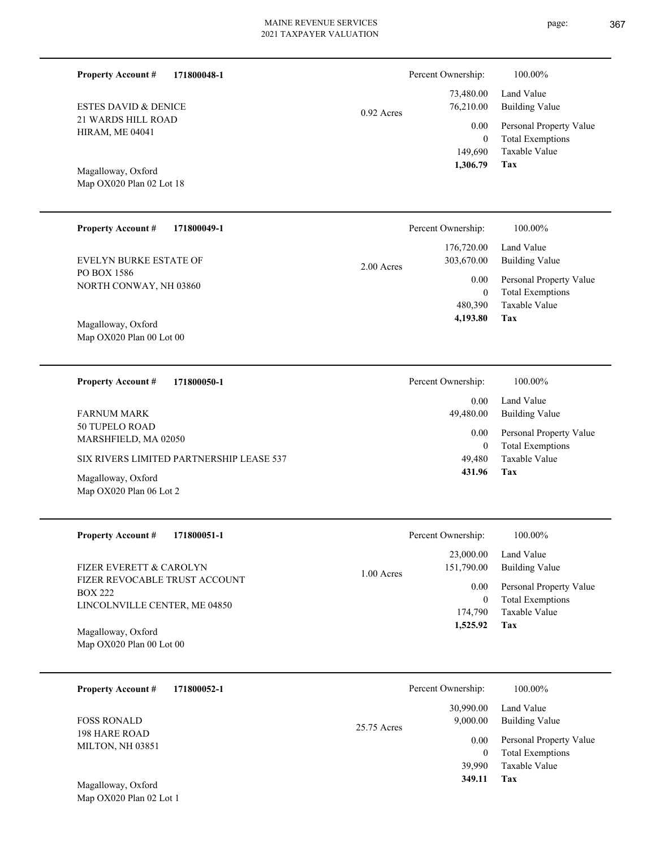| <b>Property Account #</b><br>171800048-1                                         |             | Percent Ownership:                      | 100.00%                                                             |
|----------------------------------------------------------------------------------|-------------|-----------------------------------------|---------------------------------------------------------------------|
| <b>ESTES DAVID &amp; DENICE</b>                                                  | 0.92 Acres  | 73,480.00<br>76,210.00                  | Land Value<br><b>Building Value</b>                                 |
| 21 WARDS HILL ROAD<br><b>HIRAM, ME 04041</b>                                     |             | 0.00<br>$\boldsymbol{0}$<br>149,690     | Personal Property Value<br><b>Total Exemptions</b><br>Taxable Value |
| Magalloway, Oxford<br>Map OX020 Plan 02 Lot 18                                   |             | 1,306.79                                | Tax                                                                 |
| Property Account #<br>171800049-1                                                |             | Percent Ownership:                      | 100.00%                                                             |
| <b>EVELYN BURKE ESTATE OF</b>                                                    | 2.00 Acres  | 176,720.00<br>303,670.00                | Land Value<br><b>Building Value</b>                                 |
| PO BOX 1586<br>NORTH CONWAY, NH 03860                                            |             | 0.00<br>$\boldsymbol{0}$                | Personal Property Value<br><b>Total Exemptions</b>                  |
| Magalloway, Oxford<br>Map OX020 Plan 00 Lot 00                                   |             | 480,390<br>4,193.80                     | Taxable Value<br>Tax                                                |
| <b>Property Account #</b><br>171800050-1                                         |             | Percent Ownership:                      | 100.00%                                                             |
| <b>FARNUM MARK</b>                                                               |             | 0.00<br>49,480.00                       | Land Value<br><b>Building Value</b>                                 |
| 50 TUPELO ROAD<br>MARSHFIELD, MA 02050                                           |             | 0.00<br>$\boldsymbol{0}$                | Personal Property Value<br><b>Total Exemptions</b>                  |
| SIX RIVERS LIMITED PARTNERSHIP LEASE 537                                         |             | 49,480<br>431.96                        | Taxable Value<br>Tax                                                |
| Magalloway, Oxford<br>Map OX020 Plan 06 Lot 2                                    |             |                                         |                                                                     |
| <b>Property Account #</b><br>171800051-1                                         |             | Percent Ownership:                      | $100.00\%$                                                          |
| FIZER EVERETT & CAROLYN                                                          | 1.00 Acres  | 23,000.00<br>151,790.00                 | Land Value<br><b>Building Value</b>                                 |
| FIZER REVOCABLE TRUST ACCOUNT<br><b>BOX 222</b><br>LINCOLNVILLE CENTER, ME 04850 |             | $0.00\,$<br>$\boldsymbol{0}$<br>174,790 | Personal Property Value<br><b>Total Exemptions</b><br>Taxable Value |
| Magalloway, Oxford<br>Map OX020 Plan 00 Lot 00                                   |             | 1,525.92                                | Tax                                                                 |
| 171800052-1<br><b>Property Account #</b>                                         |             | Percent Ownership:                      | 100.00%                                                             |
| <b>FOSS RONALD</b>                                                               | 25.75 Acres | 30,990.00<br>9,000.00                   | Land Value<br><b>Building Value</b>                                 |
| 198 HARE ROAD<br>MILTON, NH 03851                                                |             | 0.00<br>$\boldsymbol{0}$<br>39,990      | Personal Property Value<br><b>Total Exemptions</b><br>Taxable Value |
| Magalloway, Oxford<br>Map OX020 Plan 02 Lot 1                                    |             | 349.11                                  | <b>Tax</b>                                                          |
|                                                                                  |             |                                         |                                                                     |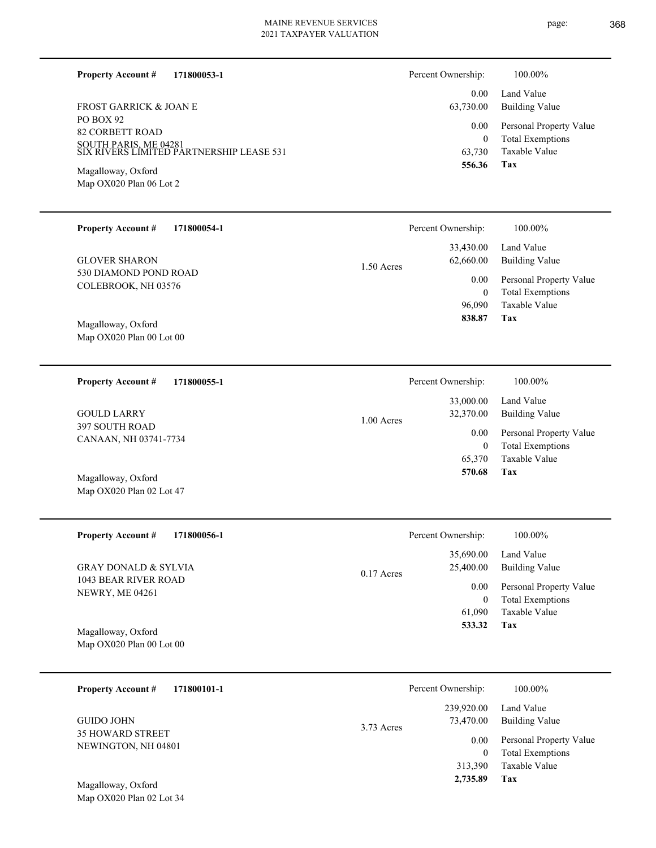page: 368

| PO BOX 92<br><b>82 CORBETT ROAD</b><br>SOUTH PARIS, ME 04281<br>SIX RIVERS LIMITED PARTNERSHIP LEASE 531<br>Magalloway, Oxford<br>Map OX020 Plan 06 Lot 2 |            | 0.00<br>$\mathbf{0}$<br>63,730<br>556.36                     | Personal Property Value<br><b>Total Exemptions</b><br>Taxable Value<br>Tax                                 |
|-----------------------------------------------------------------------------------------------------------------------------------------------------------|------------|--------------------------------------------------------------|------------------------------------------------------------------------------------------------------------|
| <b>Property Account #</b><br>171800054-1                                                                                                                  |            | Percent Ownership:                                           | 100.00%                                                                                                    |
| <b>GLOVER SHARON</b><br>530 DIAMOND POND ROAD<br>COLEBROOK, NH 03576                                                                                      | 1.50 Acres | 33,430.00<br>62,660.00<br>0.00<br>$\boldsymbol{0}$<br>96,090 | Land Value<br><b>Building Value</b><br>Personal Property Value<br><b>Total Exemptions</b><br>Taxable Value |
| Magalloway, Oxford<br>Map OX020 Plan 00 Lot 00                                                                                                            |            | 838.87                                                       | Tax                                                                                                        |
| <b>Property Account #</b><br>171800055-1                                                                                                                  |            | Percent Ownership:                                           | 100.00%                                                                                                    |
| <b>GOULD LARRY</b><br>397 SOUTH ROAD                                                                                                                      | 1.00 Acres | 33,000.00<br>32,370.00                                       | Land Value<br><b>Building Value</b>                                                                        |
| CANAAN, NH 03741-7734                                                                                                                                     |            | 0.00<br>$\boldsymbol{0}$<br>65,370                           | Personal Property Value<br><b>Total Exemptions</b><br>Taxable Value                                        |
| Magalloway, Oxford<br>Map OX020 Plan 02 Lot 47                                                                                                            |            | 570.68                                                       | <b>Tax</b>                                                                                                 |
| <b>Property Account #</b><br>171800056-1                                                                                                                  |            | Percent Ownership:                                           | 100.00%                                                                                                    |
| <b>GRAY DONALD &amp; SYLVIA</b>                                                                                                                           | 0.17 Acres | 35,690.00<br>25,400.00                                       | Land Value<br><b>Building Value</b>                                                                        |
| 1043 BEAR RIVER ROAD<br>NEWRY, ME 04261                                                                                                                   |            | 0.00<br>$\boldsymbol{0}$                                     | Personal Property Value<br><b>Total Exemptions</b>                                                         |
| Magalloway, Oxford<br>Map OX020 Plan 00 Lot 00                                                                                                            |            | 61,090<br>533.32                                             | Taxable Value<br><b>Tax</b>                                                                                |
| <b>Property Account #</b><br>171800101-1                                                                                                                  |            | Percent Ownership:                                           | 100.00%                                                                                                    |
| <b>GUIDO JOHN</b>                                                                                                                                         | 3.73 Acres | 239,920.00<br>73,470.00                                      | Land Value<br><b>Building Value</b>                                                                        |
| 35 HOWARD STREET<br>NEWINGTON, NH 04801<br>Magalloway, Oxford                                                                                             |            | 0.00<br>$\boldsymbol{0}$<br>313,390<br>2,735.89              | Personal Property Value<br><b>Total Exemptions</b><br>Taxable Value<br><b>Tax</b>                          |
| Map OX020 Plan 02 Lot 34                                                                                                                                  |            |                                                              |                                                                                                            |

#### **171800053-1 Property Account #**

PO BOX 92 FROST GARRICK & JOAN E

| Percent Ownership:    | 100.00%                                            |
|-----------------------|----------------------------------------------------|
| $0.00 -$<br>63,730.00 | Land Value<br>Building Value                       |
| $0.00\,$<br>0         | Personal Property Value<br><b>Total Exemptions</b> |
| 63,730                | Taxable Value                                      |
| 556.36                | Tax                                                |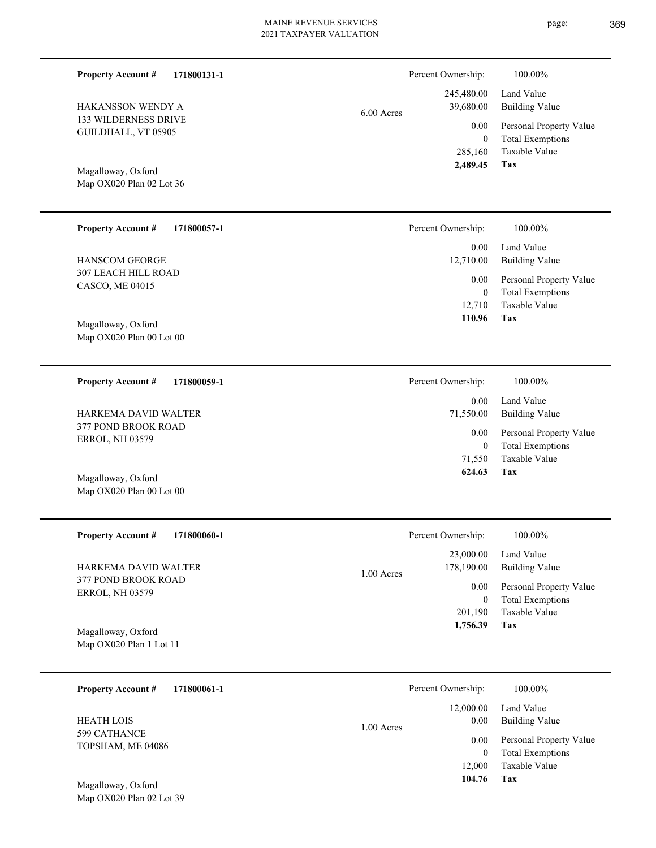Percent Ownership:  $100.00\%$ 

|            | 2,489.45 Tax |                                                   |
|------------|--------------|---------------------------------------------------|
|            |              | 285,160 Taxable Value                             |
|            | $\Omega$     | <b>Total Exemptions</b>                           |
|            |              | 0.00 Personal Property Value                      |
| 6.00 Acres |              | 245,480.00 Land Value<br>39,680.00 Building Value |
|            |              |                                                   |

**Tax**

 71,550 0

 0.00 71,550.00

Percent Ownership:  $100.00\%$ 

0.00

 **624.63**

Taxable Value Total Exemptions Personal Property Value

Building Value Land Value

Map OX020 Plan 02 Lot 36 Magalloway, Oxford

133 WILDERNESS DRIVE GUILDHALL, VT 05905

HAKANSSON WENDY A

**Property Account #**

**171800131-1**

| <b>Property Account #</b><br>171800057-1         | Percent Ownership: | 100.00%                                            |
|--------------------------------------------------|--------------------|----------------------------------------------------|
|                                                  | 0.00               | Land Value                                         |
| <b>HANSCOM GEORGE</b>                            | 12,710.00          | <b>Building Value</b>                              |
| 307 LEACH HILL ROAD<br>CASCO, ME 04015           | 0.00<br>$\Omega$   | Personal Property Value<br><b>Total Exemptions</b> |
| Magalloway, Oxford<br>Map $OX020$ Plan 00 Lot 00 | 12,710<br>110.96   | Taxable Value<br>Tax                               |
|                                                  |                    |                                                    |

**171800059-1 Property Account #** HARKEMA DAVID WALTER

377 POND BROOK ROAD ERROL, NH 03579

Map OX020 Plan 00 Lot 00 Magalloway, Oxford

| <b>Property Account #</b><br>171800060-1      | Percent Ownership:                      | 100.00%                                            |
|-----------------------------------------------|-----------------------------------------|----------------------------------------------------|
| HARKEMA DAVID WALTER                          | 23,000.00<br>178,190.00<br>$1.00$ Acres | Land Value<br>Building Value                       |
| 377 POND BROOK ROAD<br><b>ERROL, NH 03579</b> | 0.00<br>$\overline{0}$                  | Personal Property Value<br><b>Total Exemptions</b> |
|                                               | 201,190                                 | Taxable Value                                      |
| Magalloway, Oxford<br>Map OX020 Plan 1 Lot 11 | 1,756.39                                | Tax                                                |

| 171800061-1<br><b>Property Account #</b> | Percent Ownership:                | 100.00%                                            |
|------------------------------------------|-----------------------------------|----------------------------------------------------|
| <b>HEATH LOIS</b>                        | 12,000.00<br>0.00<br>$1.00$ Acres | Land Value<br><b>Building Value</b>                |
| 599 CATHANCE<br>TOPSHAM, ME 04086        | 0.00<br>0                         | Personal Property Value<br><b>Total Exemptions</b> |
| Magalloway, Oxford                       | 12,000<br>104.76                  | Taxable Value<br>Tax                               |

Map OX020 Plan 02 Lot 39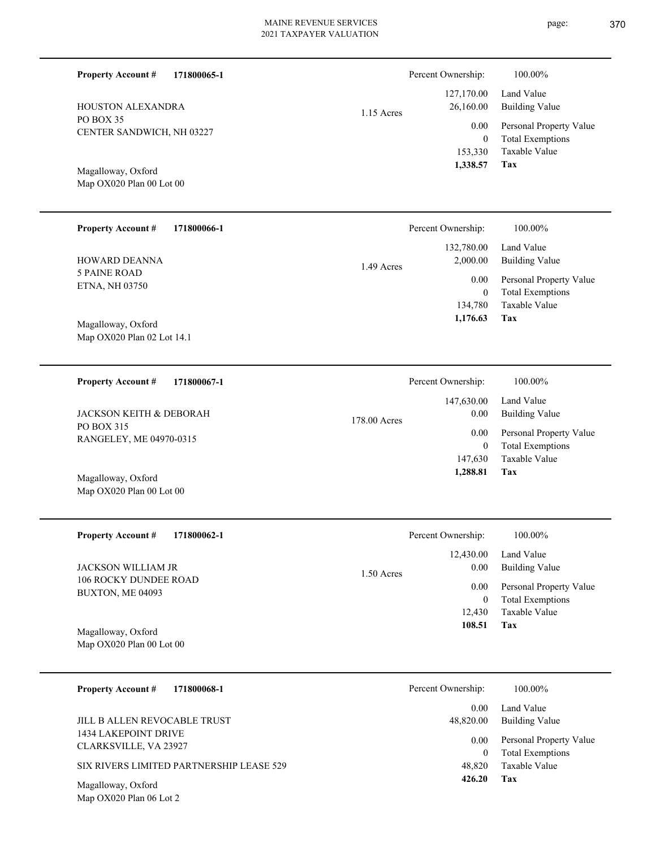| <b>Property Account #</b><br>HOUSTON ALEXANDRA<br>PO BOX 35<br>CENTER SANDWICH, NH 03227<br>Magalloway, Oxford<br>Map OX020 Plan 00 Lot 00                 | 171800065-1 | $1.15$ Acres | Percent Ownership:<br>127,170.00<br>26,160.00<br>0.00<br>$\boldsymbol{0}$<br>153,330<br>1,338.57 | 100.00%<br>Land Value<br><b>Building Value</b><br>Personal Property Value<br><b>Total Exemptions</b><br>Taxable Value<br><b>Tax</b> |
|------------------------------------------------------------------------------------------------------------------------------------------------------------|-------------|--------------|--------------------------------------------------------------------------------------------------|-------------------------------------------------------------------------------------------------------------------------------------|
| <b>Property Account #</b><br>HOWARD DEANNA<br><b>5 PAINE ROAD</b><br>ETNA, NH 03750<br>Magalloway, Oxford<br>Map OX020 Plan 02 Lot 14.1                    | 171800066-1 | 1.49 Acres   | Percent Ownership:<br>132,780.00<br>2,000.00<br>0.00<br>$\boldsymbol{0}$<br>134,780<br>1,176.63  | 100.00%<br>Land Value<br><b>Building Value</b><br>Personal Property Value<br><b>Total Exemptions</b><br><b>Taxable Value</b><br>Tax |
| <b>Property Account #</b><br><b>JACKSON KEITH &amp; DEBORAH</b><br>PO BOX 315<br>RANGELEY, ME 04970-0315<br>Magalloway, Oxford<br>Map OX020 Plan 00 Lot 00 | 171800067-1 | 178.00 Acres | Percent Ownership:<br>147,630.00<br>0.00<br>0.00<br>$\boldsymbol{0}$<br>147,630<br>1,288.81      | 100.00%<br>Land Value<br><b>Building Value</b><br>Personal Property Value<br><b>Total Exemptions</b><br>Taxable Value<br><b>Tax</b> |

| <b>Property Account #</b><br>171800062-1           | Percent Ownership:   | 100.00%                 |
|----------------------------------------------------|----------------------|-------------------------|
|                                                    | 12,430.00            | Land Value              |
| <b>JACKSON WILLIAM JR</b><br>106 ROCKY DUNDEE ROAD | 0.00<br>$1.50$ Acres | Building Value          |
| BUXTON, ME 04093                                   | 0.00                 | Personal Property Value |
|                                                    | 0                    | <b>Total Exemptions</b> |
|                                                    | 12,430               | Taxable Value           |
| Magalloway, Oxford                                 | 108.51               | Tax                     |
| Map OX020 Plan 00 Lot 00                           |                      |                         |

| <b>Property Account #</b><br>171800068-1             | Percent Ownership: | 100.00%                                            |
|------------------------------------------------------|--------------------|----------------------------------------------------|
| JILL B ALLEN REVOCABLE TRUST                         | 0.00<br>48,820.00  | Land Value<br>Building Value                       |
| <b>1434 LAKEPOINT DRIVE</b><br>CLARKSVILLE, VA 23927 | 0.00<br>0          | Personal Property Value<br><b>Total Exemptions</b> |
| SIX RIVERS LIMITED PARTNERSHIP LEASE 529             | 48,820             | Taxable Value                                      |
| Magalloway, Oxford<br>Map OX020 Plan 06 Lot 2        | 426.20             | Tax                                                |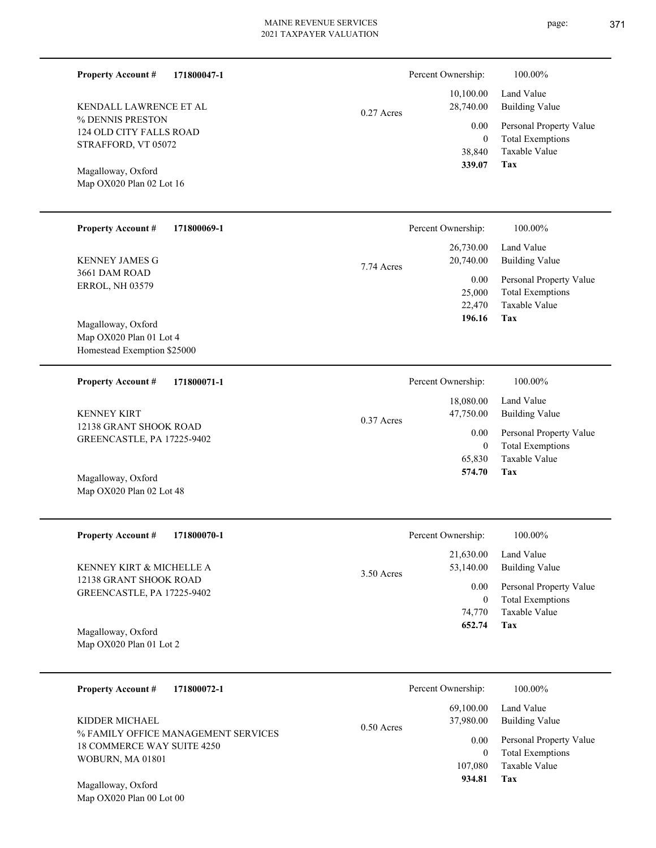|              | Percent Ownership:                                        | 100.00%                                                                                                           |
|--------------|-----------------------------------------------------------|-------------------------------------------------------------------------------------------------------------------|
| $0.27$ Acres | 28,740.00<br>0.00<br>$\boldsymbol{0}$<br>38,840<br>339.07 | Land Value<br><b>Building Value</b><br>Personal Property Value<br><b>Total Exemptions</b><br>Taxable Value<br>Tax |
|              | Percent Ownership:                                        | 100.00%                                                                                                           |
|              | 26,730.00<br>20,740.00                                    | Land Value<br><b>Building Value</b>                                                                               |
|              | 0.00<br>25,000<br>22,470<br>196.16                        | Personal Property Value<br><b>Total Exemptions</b><br>Taxable Value<br>Tax                                        |
|              |                                                           | 100.00%                                                                                                           |
|              | 18,080.00<br>47,750.00                                    | Land Value<br><b>Building Value</b>                                                                               |
|              | 0.00<br>$\mathbf{0}$<br>65,830<br>574.70                  | Personal Property Value<br><b>Total Exemptions</b><br>Taxable Value<br>Tax                                        |
|              | Percent Ownership:                                        | 100.00%                                                                                                           |
|              | 21,630.00<br>53,140.00                                    | Land Value<br><b>Building Value</b>                                                                               |
|              | 0.00<br>$\overline{0}$<br>74,770<br>652.74                | Personal Property Value<br><b>Total Exemptions</b><br>Taxable Value<br>Tax                                        |
|              |                                                           |                                                                                                                   |
|              | Percent Ownership:                                        | 100.00%                                                                                                           |
| 0.50 Acres   | 37,980.00                                                 | Land Value<br><b>Building Value</b>                                                                               |
|              | 0.00<br>$\mathbf{0}$<br>107,080<br>934.81                 | Personal Property Value<br><b>Total Exemptions</b><br>Taxable Value<br>Tax                                        |
|              | 7.74 Acres<br>$0.37$ Acres<br>3.50 Acres                  | 10,100.00<br>Percent Ownership:<br>69,100.00                                                                      |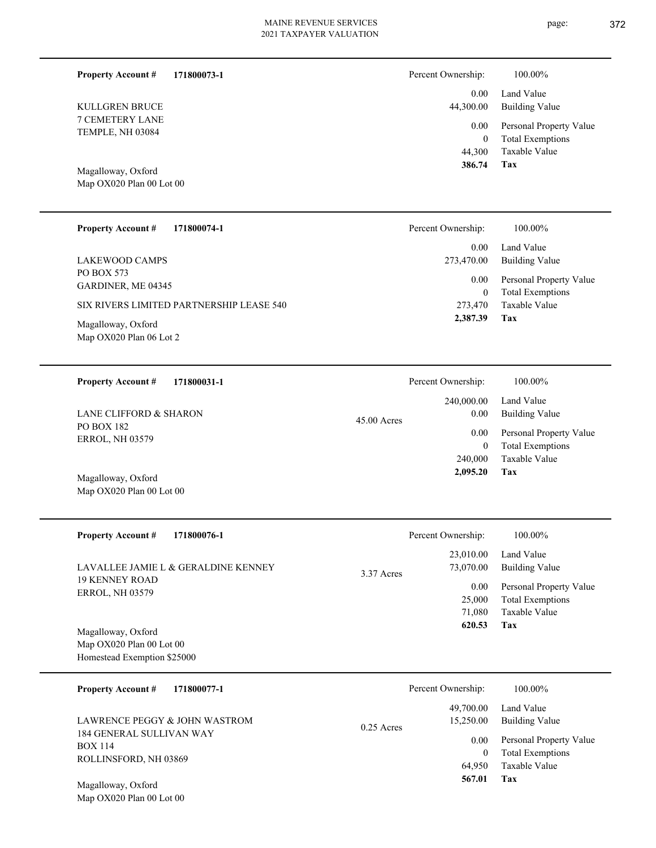page: 372

| <b>Property Account #</b><br>171800073-1        | Percent Ownership:                   | 100.00%                                                                                            |
|-------------------------------------------------|--------------------------------------|----------------------------------------------------------------------------------------------------|
| <b>KULLGREN BRUCE</b>                           | 44,300.00                            | 0.00<br>Land Value<br><b>Building Value</b>                                                        |
| 7 CEMETERY LANE<br>TEMPLE, NH 03084             | 44,300<br>386.74                     | 0.00<br>Personal Property Value<br><b>Total Exemptions</b><br>$\mathbf{0}$<br>Taxable Value<br>Tax |
| Magalloway, Oxford<br>Map OX020 Plan 00 Lot 00  |                                      |                                                                                                    |
| <b>Property Account #</b><br>171800074-1        | Percent Ownership:                   | 100.00%                                                                                            |
| <b>LAKEWOOD CAMPS</b>                           | 273,470.00                           | Land Value<br>0.00<br><b>Building Value</b>                                                        |
| PO BOX 573<br>GARDINER, ME 04345                |                                      | 0.00<br>Personal Property Value<br><b>Total Exemptions</b><br>$\mathbf{0}$                         |
| SIX RIVERS LIMITED PARTNERSHIP LEASE 540        | 273,470<br>2,387.39                  | Taxable Value<br>Tax                                                                               |
| Magalloway, Oxford<br>Map OX020 Plan 06 Lot 2   |                                      |                                                                                                    |
| <b>Property Account #</b><br>171800031-1        | Percent Ownership:                   | 100.00%                                                                                            |
| LANE CLIFFORD & SHARON                          | 240,000.00<br>45.00 Acres            | Land Value<br><b>Building Value</b><br>0.00                                                        |
| PO BOX 182<br><b>ERROL, NH 03579</b>            |                                      | 0.00<br>Personal Property Value<br><b>Total Exemptions</b><br>$\mathbf{0}$                         |
| Magalloway, Oxford<br>Map OX020 Plan 00 Lot 00  | 240,000<br>2,095.20                  | Taxable Value<br>Tax                                                                               |
| <b>Property Account #</b><br>171800076-1        | Percent Ownership:                   | 100.00%                                                                                            |
| LAVALLEE JAMIE L & GERALDINE KENNEY             | 23,010.00<br>73,070.00<br>3.37 Acres | Land Value<br><b>Building Value</b>                                                                |
| <b>19 KENNEY ROAD</b><br><b>ERROL, NH 03579</b> | 25,000<br>71,080                     | Personal Property Value<br>0.00<br><b>Total Exemptions</b><br>Taxable Value                        |
| Magalloway, Oxford<br>Map OX020 Plan 00 Lot 00  | 620.53                               | Tax                                                                                                |
| Homestead Exemption \$25000                     |                                      |                                                                                                    |
| <b>Property Account #</b><br>171800077-1        | Percent Ownership:                   | 100.00%                                                                                            |
| LAWRENCE PEGGY & JOHN WASTROM                   | 49,700.00<br>15,250.00<br>0.25 Acres | Land Value<br><b>Building Value</b>                                                                |
| 184 GENERAL SULLIVAN WAY<br><b>BOX 114</b>      |                                      | Personal Property Value<br>0.00<br><b>Total Exemptions</b><br>$\boldsymbol{0}$                     |
| ROLLINSFORD, NH 03869                           | 64,950<br>567.01                     | Taxable Value<br>Tax                                                                               |
| Magalloway, Oxford<br>Map OX020 Plan 00 Lot 00  |                                      |                                                                                                    |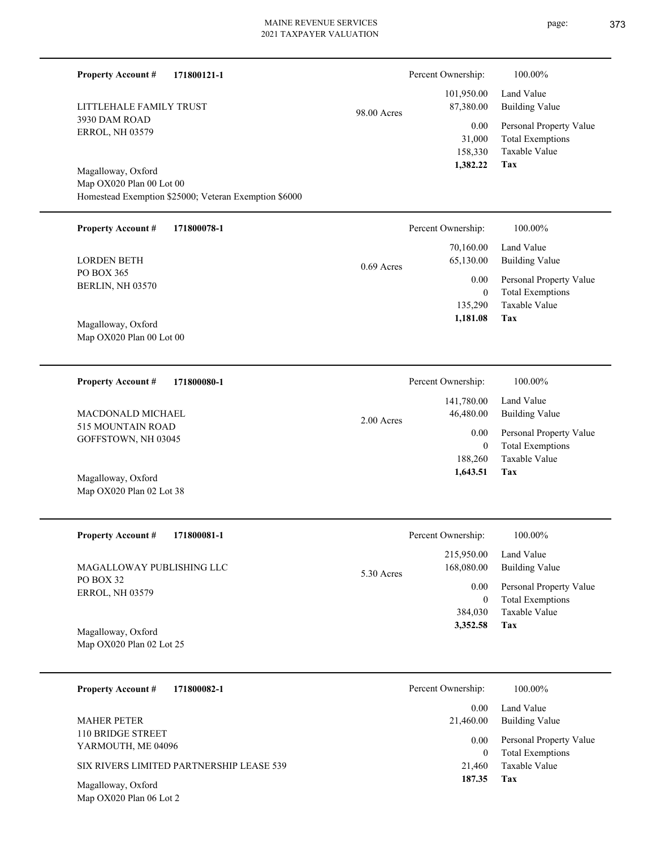| <b>Property Account #</b><br>171800121-1                                          |              | Percent Ownership:                    | 100.00%                                                                    |
|-----------------------------------------------------------------------------------|--------------|---------------------------------------|----------------------------------------------------------------------------|
| LITTLEHALE FAMILY TRUST                                                           | 98.00 Acres  | 101,950.00<br>87,380.00               | Land Value<br><b>Building Value</b>                                        |
| 3930 DAM ROAD<br><b>ERROL, NH 03579</b>                                           |              | 0.00<br>31,000<br>158,330<br>1,382.22 | Personal Property Value<br><b>Total Exemptions</b><br>Taxable Value<br>Tax |
| Magalloway, Oxford                                                                |              |                                       |                                                                            |
| Map OX020 Plan 00 Lot 00<br>Homestead Exemption \$25000; Veteran Exemption \$6000 |              |                                       |                                                                            |
|                                                                                   |              |                                       |                                                                            |
| <b>Property Account #</b><br>171800078-1                                          |              | Percent Ownership:                    | 100.00%                                                                    |
| <b>LORDEN BETH</b>                                                                | $0.69$ Acres | 70,160.00<br>65,130.00                | Land Value<br><b>Building Value</b>                                        |
| PO BOX 365<br>BERLIN, NH 03570                                                    |              | 0.00                                  | Personal Property Value                                                    |
|                                                                                   |              | $\boldsymbol{0}$<br>135,290           | <b>Total Exemptions</b><br>Taxable Value                                   |
|                                                                                   |              | 1,181.08                              | Tax                                                                        |
| Magalloway, Oxford<br>Map OX020 Plan 00 Lot 00                                    |              |                                       |                                                                            |
|                                                                                   |              |                                       |                                                                            |
| 171800080-1<br><b>Property Account #</b>                                          |              | Percent Ownership:                    | 100.00%                                                                    |
|                                                                                   |              | 141,780.00                            | Land Value                                                                 |
| MACDONALD MICHAEL<br>515 MOUNTAIN ROAD                                            | 2.00 Acres   | 46,480.00                             | <b>Building Value</b>                                                      |
| GOFFSTOWN, NH 03045                                                               |              | 0.00                                  | Personal Property Value                                                    |
|                                                                                   |              | $\mathbf{0}$<br>188,260               | <b>Total Exemptions</b><br>Taxable Value                                   |
| Magalloway, Oxford                                                                |              | 1,643.51                              | Tax                                                                        |
| Map OX020 Plan 02 Lot 38                                                          |              |                                       |                                                                            |
|                                                                                   |              |                                       |                                                                            |
| <b>Property Account #</b><br>171800081-1                                          |              | Percent Ownership:                    | 100.00%                                                                    |
|                                                                                   |              | 215,950.00                            | Land Value                                                                 |
| MAGALLOWAY PUBLISHING LLC<br>PO BOX 32                                            | 5.30 Acres   | 168,080.00                            | <b>Building Value</b>                                                      |
| <b>ERROL, NH 03579</b>                                                            |              | 0.00<br>$\mathbf{0}$                  | Personal Property Value<br><b>Total Exemptions</b>                         |
|                                                                                   |              | 384,030                               | Taxable Value                                                              |
| Magalloway, Oxford                                                                |              | 3,352.58                              | Tax                                                                        |
| Map OX020 Plan 02 Lot 25                                                          |              |                                       |                                                                            |
|                                                                                   |              |                                       |                                                                            |
| <b>Property Account #</b><br>171800082-1                                          |              | Percent Ownership:                    | 100.00%                                                                    |
| <b>MAHER PETER</b>                                                                |              | 0.00<br>21,460.00                     | Land Value<br><b>Building Value</b>                                        |
| 110 BRIDGE STREET                                                                 |              | 0.00                                  | Personal Property Value                                                    |
| YARMOUTH, ME 04096                                                                |              | $\mathbf{0}$                          | <b>Total Exemptions</b>                                                    |
| SIX RIVERS LIMITED PARTNERSHIP LEASE 539                                          |              | 21,460                                | Taxable Value                                                              |
| Magalloway, Oxford                                                                |              | 187.35                                | Tax                                                                        |
| Map OX020 Plan 06 Lot 2                                                           |              |                                       |                                                                            |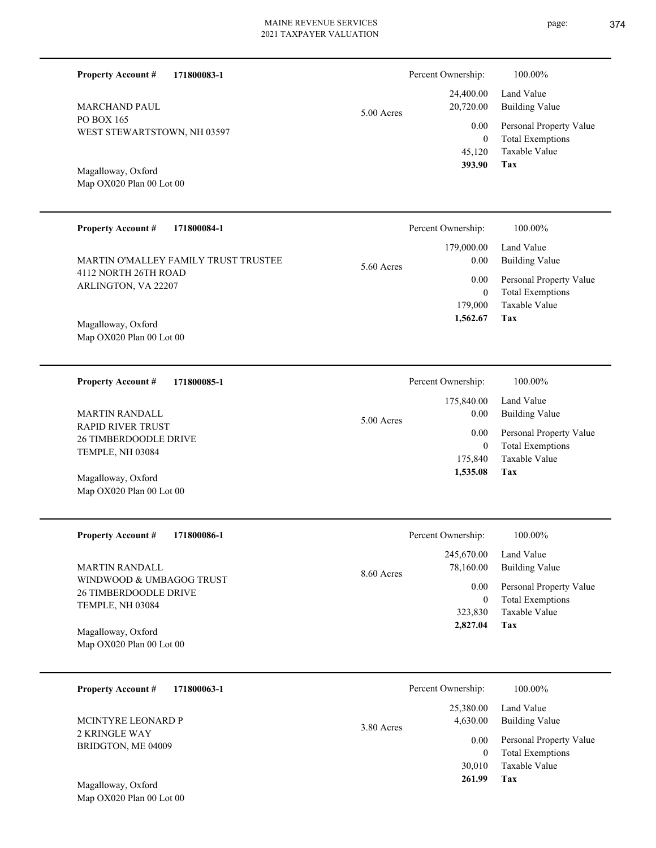| 171800083-1<br><b>Property Account #</b>                       |            | Percent Ownership:     | 100.00%                      |
|----------------------------------------------------------------|------------|------------------------|------------------------------|
| <b>MARCHAND PAUL</b>                                           | 5.00 Acres | 24,400.00<br>20,720.00 | Land Value<br>Building Value |
| PO BOX 165<br>WEST STEWARTSTOWN, NH 03597                      |            | 0.00                   | Personal Property Value      |
|                                                                |            | 0                      | <b>Total Exemptions</b>      |
|                                                                |            | 45,120                 | Taxable Value                |
| $\mathbf{M} = \mathbf{H}$ $\mathbf{A} \mathbf{C}$ $\mathbf{I}$ |            | 393.90                 | Tax                          |

Map OX020 Plan 00 Lot 00 Magalloway, Oxford

Map OX020 Plan 00 Lot 00

| <b>Property Account #</b><br>171800084-1<br>MARTIN O'MALLEY FAMILY TRUST TRUSTEE                      | Percent Ownership:<br>179,000.00                                    | 100.00%<br>Land Value                                                                                      |
|-------------------------------------------------------------------------------------------------------|---------------------------------------------------------------------|------------------------------------------------------------------------------------------------------------|
| 4112 NORTH 26TH ROAD<br>ARLINGTON, VA 22207<br>Magalloway, Oxford<br>Map OX020 Plan 00 Lot 00         | 0.00<br>5.60 Acres<br>$0.00\,$<br>$\theta$<br>179,000<br>1,562.67   | <b>Building Value</b><br>Personal Property Value<br><b>Total Exemptions</b><br>Taxable Value<br>Tax        |
| <b>Property Account #</b><br>171800085-1                                                              | Percent Ownership:                                                  | 100.00%                                                                                                    |
| <b>MARTIN RANDALL</b><br><b>RAPID RIVER TRUST</b><br><b>26 TIMBERDOODLE DRIVE</b><br>TEMPLE, NH 03084 | 175,840.00<br>0.00<br>5.00 Acres<br>$0.00\,$<br>$\theta$<br>175,840 | Land Value<br><b>Building Value</b><br>Personal Property Value<br><b>Total Exemptions</b><br>Taxable Value |
| Magalloway, Oxford<br>Map OX020 Plan 00 Lot 00                                                        | 1,535.08                                                            | Tax                                                                                                        |

| <b>Property Account #</b><br>171800086-1                              | Percent Ownership:                      | 100.00%                                                             |
|-----------------------------------------------------------------------|-----------------------------------------|---------------------------------------------------------------------|
| MARTIN RANDALL                                                        | 245,670.00<br>78,160.00<br>$8.60$ Acres | Land Value<br>Building Value                                        |
| WINDWOOD & UMBAGOG TRUST<br>26 TIMBERDOODLE DRIVE<br>TEMPLE, NH 03084 | 0.00<br>323,830                         | Personal Property Value<br><b>Total Exemptions</b><br>Taxable Value |
| Magalloway, Oxford<br>Map $OX020$ Plan 00 Lot 00                      | 2,827.04                                | Tax                                                                 |

| 171800063-1<br><b>Property Account #</b> | Percent Ownership:                    | 100.00%                      |
|------------------------------------------|---------------------------------------|------------------------------|
| MCINTYRE LEONARD P                       | 25,380.00<br>4,630.00<br>$3.80$ Acres | Land Value<br>Building Value |
| 2 KRINGLE WAY<br>BRIDGTON, ME 04009      | 0.00                                  | Personal Property Value      |
|                                          | 0                                     | <b>Total Exemptions</b>      |
|                                          | 30,010                                | Taxable Value                |
| Magalloway, Oxford                       | 261.99                                | Tax                          |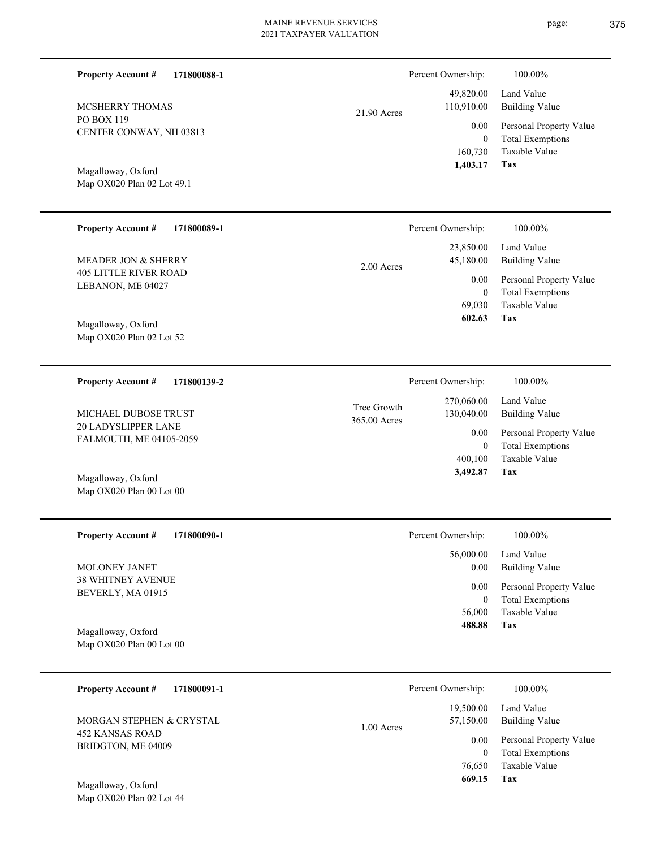| <b>Property Account #</b><br>171800088-1          |                             | Percent Ownership:                           | 100.00%                                                                    |
|---------------------------------------------------|-----------------------------|----------------------------------------------|----------------------------------------------------------------------------|
| <b>MCSHERRY THOMAS</b>                            | 21.90 Acres                 | 49,820.00<br>110,910.00                      | Land Value<br><b>Building Value</b>                                        |
| PO BOX 119<br>CENTER CONWAY, NH 03813             |                             | 0.00<br>$\overline{0}$<br>160,730            | Personal Property Value<br><b>Total Exemptions</b><br>Taxable Value        |
| Magalloway, Oxford<br>Map OX020 Plan 02 Lot 49.1  |                             | 1,403.17                                     | Tax                                                                        |
| <b>Property Account #</b><br>171800089-1          |                             | Percent Ownership:                           | 100.00%                                                                    |
| MEADER JON & SHERRY                               | 2.00 Acres                  | 23,850.00<br>45,180.00                       | Land Value<br><b>Building Value</b>                                        |
| <b>405 LITTLE RIVER ROAD</b><br>LEBANON, ME 04027 |                             | 0.00<br>$\overline{0}$<br>69,030             | Personal Property Value<br><b>Total Exemptions</b><br>Taxable Value        |
| Magalloway, Oxford<br>Map OX020 Plan 02 Lot 52    |                             | 602.63                                       | Tax                                                                        |
| <b>Property Account #</b><br>171800139-2          |                             | Percent Ownership:                           | 100.00%                                                                    |
| MICHAEL DUBOSE TRUST                              | Tree Growth<br>365.00 Acres | 270,060.00<br>130,040.00                     | Land Value<br><b>Building Value</b>                                        |
| 20 LADYSLIPPER LANE<br>FALMOUTH, ME 04105-2059    |                             | 0.00<br>$\overline{0}$                       | Personal Property Value<br><b>Total Exemptions</b>                         |
| Magalloway, Oxford<br>Map OX020 Plan 00 Lot 00    |                             | 400,100<br>3,492.87                          | Taxable Value<br>Tax                                                       |
| <b>Property Account #</b><br>171800090-1          |                             | Percent Ownership:                           | 100.00%                                                                    |
| MOLONEY JANET                                     |                             | 56,000.00<br>0.00                            | Land Value<br><b>Building Value</b>                                        |
| 38 WHITNEY AVENUE<br>BEVERLY, MA 01915            |                             | $0.00\,$<br>$\mathbf{0}$<br>56,000<br>488.88 | Personal Property Value<br><b>Total Exemptions</b><br>Taxable Value<br>Tax |
| Magalloway, Oxford<br>Map OX020 Plan 00 Lot 00    |                             |                                              |                                                                            |
| 171800091-1<br><b>Property Account #</b>          |                             | Percent Ownership:                           | 100.00%                                                                    |
| MORGAN STEPHEN & CRYSTAL                          | 1.00 Acres                  | 19,500.00<br>57,150.00                       | Land Value<br><b>Building Value</b>                                        |
| <b>452 KANSAS ROAD</b><br>BRIDGTON, ME 04009      |                             | 0.00<br>$\overline{0}$<br>76,650<br>669.15   | Personal Property Value<br><b>Total Exemptions</b><br>Taxable Value<br>Tax |
| Magalloway, Oxford<br>Map OX020 Plan 02 Lot 44    |                             |                                              |                                                                            |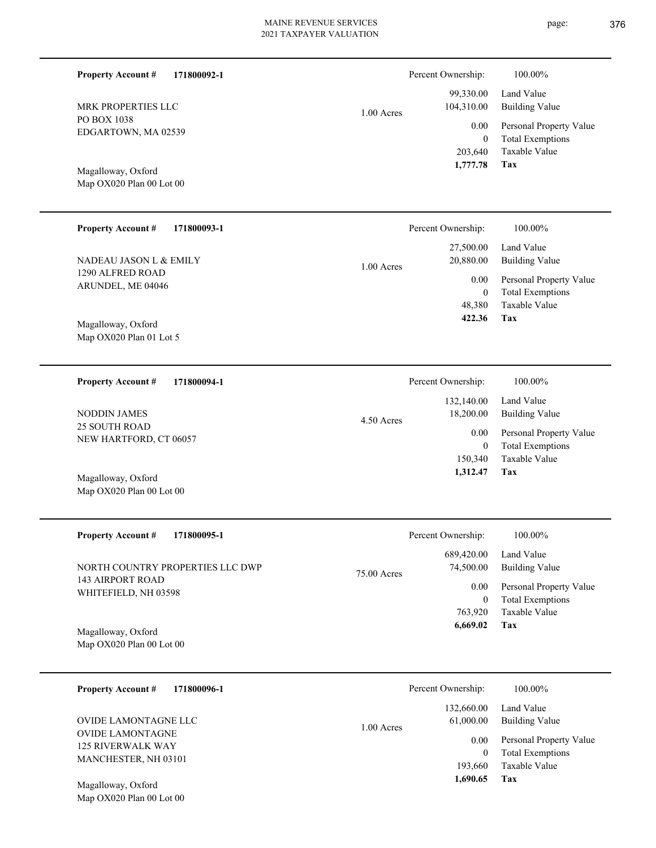PO BOX 1038

**Property Account #**

EDGARTOWN, MA 02539

MRK PROPERTIES LLC

Map OX020 Plan 00 Lot 00 Magalloway, Oxford

Map OX020 Plan 01 Lot 5

Map OX020 Plan 00 Lot 00

|             | 2021 TAXPAYER VALUATION |                    | $\overline{1}$ $\overline{0}$ |  |
|-------------|-------------------------|--------------------|-------------------------------|--|
| 171800092-1 |                         | Percent Ownership: | 100.00%                       |  |
|             |                         | 99,330.00          | Land Value                    |  |
| C           | $1.00$ Acres            | 104,310.00         | <b>Building Value</b>         |  |
| 539         |                         | 0.00               | Personal Property Value       |  |
|             |                         | $\mathbf{0}$       | <b>Total Exemptions</b>       |  |
|             |                         | 203,640            | Taxable Value                 |  |
|             |                         | 1,777.78           | Tax                           |  |
| 100         |                         |                    |                               |  |
|             |                         |                    |                               |  |

| <b>Property Account #</b><br>171800093-1 | Percent Ownership:        | 100.00%                 |
|------------------------------------------|---------------------------|-------------------------|
|                                          | 27,500.00                 | Land Value              |
| NADEAU JASON L & EMILY                   | 20,880.00<br>$1.00$ Acres | Building Value          |
| 1290 ALFRED ROAD                         | 0.00                      | Personal Property Value |
| ARUNDEL, ME 04046                        | 0                         | <b>Total Exemptions</b> |
|                                          | 48.380                    | Taxable Value           |
| Magalloway, Oxford                       | 422.36                    | Tax                     |

| 171800094-1<br><b>Property Account #</b>       | Percent Ownership:                      | 100.00%                                            |
|------------------------------------------------|-----------------------------------------|----------------------------------------------------|
| NODDIN JAMES                                   | 132,140.00<br>18,200.00<br>$4.50$ Acres | Land Value<br>Building Value                       |
| <b>25 SOUTH ROAD</b><br>NEW HARTFORD, CT 06057 | 0.00<br>$\overline{0}$                  | Personal Property Value<br><b>Total Exemptions</b> |
| Magalloway, Oxford                             | 150,340<br>1,312.47                     | Taxable Value<br>Tax                               |

| <b>Property Account #</b><br>171800095-1         | Percent Ownership:                       | 100.00%                                            |
|--------------------------------------------------|------------------------------------------|----------------------------------------------------|
| NORTH COUNTRY PROPERTIES LLC DWP                 | 689,420.00<br>74,500.00<br>$75.00$ Acres | Land Value<br>Building Value                       |
| 143 AIRPORT ROAD-<br>WHITEFIELD, NH 03598        | 0.00                                     | Personal Property Value<br><b>Total Exemptions</b> |
|                                                  | 763,920                                  | Taxable Value                                      |
| Magalloway, Oxford<br>Map $OX020$ Plan 00 Lot 00 | 6,669.02                                 | Tax                                                |

| 171800096-1<br><b>Property Account #</b>            | Percent Ownership:        | 100.00%                                            |
|-----------------------------------------------------|---------------------------|----------------------------------------------------|
|                                                     | 132,660.00                | Land Value                                         |
| OVIDE LAMONTAGNE LLC                                | 61,000.00<br>$1.00$ Acres | <b>Building Value</b>                              |
| <b>OVIDE LAMONTAGNE</b><br><b>125 RIVERWALK WAY</b> | 0.00<br>0                 | Personal Property Value<br><b>Total Exemptions</b> |
| MANCHESTER, NH 03101                                | 193,660                   | Taxable Value                                      |
| Magalloway, Oxford                                  | 1,690.65                  | Tax                                                |
| Map OX020 Plan 00 Lot 00                            |                           |                                                    |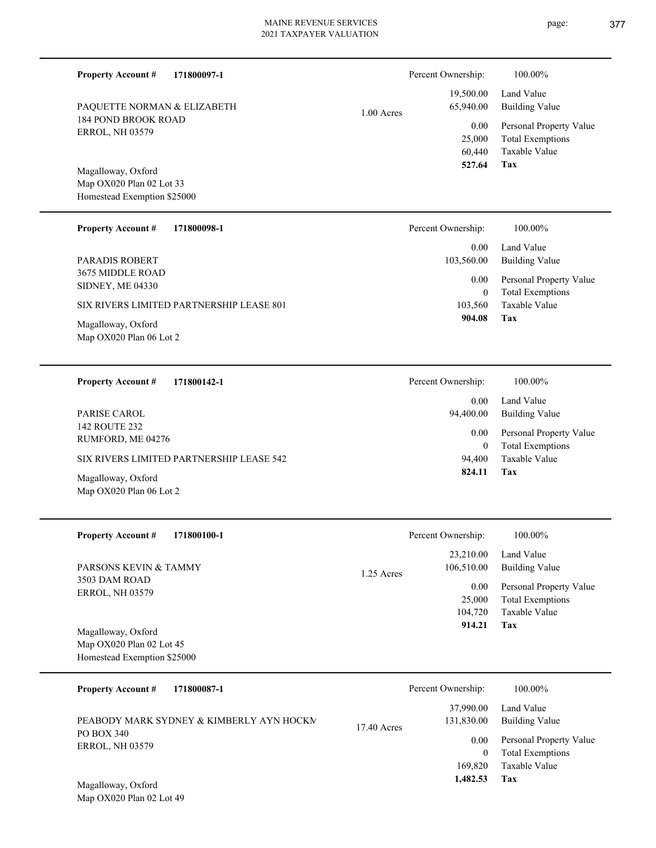|              | Percent Ownership: | 100.00%                 |
|--------------|--------------------|-------------------------|
|              | 19,500.00          | Land Value              |
| $1.00$ Acres | 65,940.00          | <b>Building Value</b>   |
|              | 0.00               | Personal Property Value |
|              | 25,000             | <b>Total Exemptions</b> |
|              | 60.440             | Taxable Value           |
|              | 527.64             | Tax                     |

Map OX020 Plan 02 Lot 33 Homestead Exemption \$25000 Magalloway, Oxford

Map OX020 Plan 06 Lot 2

Map OX020 Plan 06 Lot 2

184 POND BROOK ROAD ERROL, NH 03579

PAQUETTE NORMAN & ELIZABETH

**Property Account #**

**171800097-1**

| <b>Property Account #</b><br>171800098-1    | Percent Ownership:              | 100.00%                                            |
|---------------------------------------------|---------------------------------|----------------------------------------------------|
| PARADIS ROBERT                              | 0.00 <sub>1</sub><br>103,560.00 | Land Value<br>Building Value                       |
| 3675 MIDDLE ROAD<br><b>SIDNEY, ME 04330</b> | 0.00<br>0                       | Personal Property Value<br><b>Total Exemptions</b> |
| SIX RIVERS LIMITED PARTNERSHIP LEASE 801    | 103.560                         | Taxable Value                                      |
| Magalloway, Oxford                          | 904.08                          | Tax                                                |

**171800142-1 Tax** Taxable Value Total Exemptions Personal Property Value Building Value Land Value 142 ROUTE 232 RUMFORD, ME 04276 **Property Account #** Magalloway, Oxford SIX RIVERS LIMITED PARTNERSHIP LEASE 542 PARISE CAROL 94,400 0  **824.11** 0.00 94,400.00 0.00 Percent Ownership:  $100.00\%$ 

| <b>Property Account #</b><br>171800100-1                                        | Percent Ownership:                      | 100.00%                                                             |
|---------------------------------------------------------------------------------|-----------------------------------------|---------------------------------------------------------------------|
| <b>PARSONS KEVIN &amp; TAMMY</b>                                                | 23,210.00<br>106,510.00<br>$1.25$ Acres | Land Value<br>Building Value                                        |
| 3503 DAM ROAD<br><b>ERROL, NH 03579</b>                                         | 0.00<br>25,000<br>104,720               | Personal Property Value<br><b>Total Exemptions</b><br>Taxable Value |
| Magalloway, Oxford<br>Map $OX020$ Plan 02 Lot 45<br>Homestead Exemption \$25000 | 914.21                                  | Tax                                                                 |

| 171800087-1<br><b>Property Account #</b> | Percent Ownership:                       | 100.00%                                            |
|------------------------------------------|------------------------------------------|----------------------------------------------------|
| PEABODY MARK SYDNEY & KIMBERLY AYN HOCKM | 37,990.00<br>131,830.00<br>$17.40$ Acres | Land Value<br>Building Value                       |
| PO BOX 340<br><b>ERROL, NH 03579</b>     | 0.00<br>0                                | Personal Property Value<br><b>Total Exemptions</b> |
| Magalloway Oxford                        | 169,820<br>1,482.53                      | Taxable Value<br>Tax                               |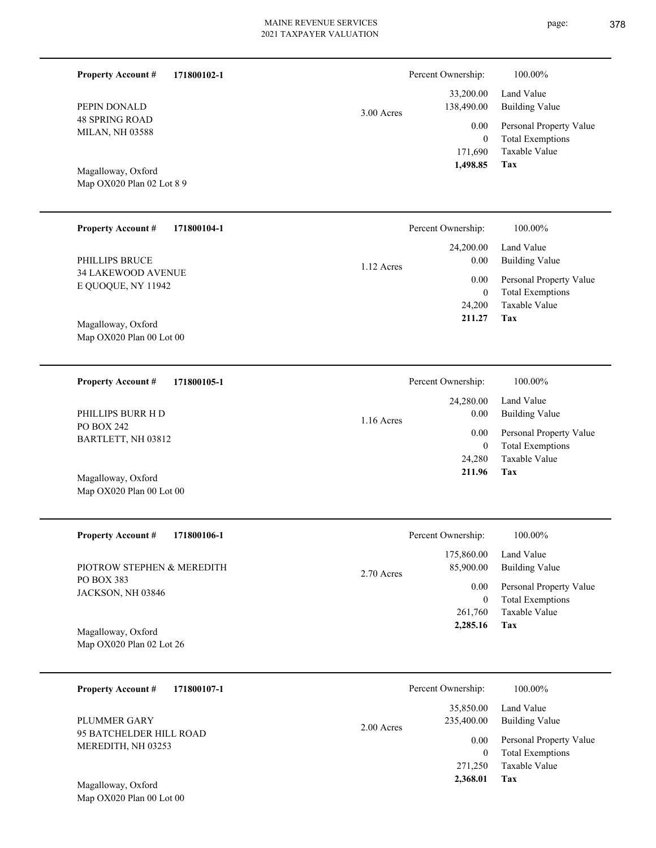| <b>Property Account #</b>                       | 171800102-1         | Percent Ownership:                                                        | 100.00%                                            |
|-------------------------------------------------|---------------------|---------------------------------------------------------------------------|----------------------------------------------------|
| PEPIN DONALD                                    |                     | 33,200.00<br>138,490.00<br>3.00 Acres                                     | Land Value<br><b>Building Value</b>                |
| <b>48 SPRING ROAD</b><br><b>MILAN, NH 03588</b> |                     | 0.00<br>$\overline{0}$                                                    | Personal Property Value<br><b>Total Exemptions</b> |
| Magalloway, Oxford                              |                     | 171,690<br>1,498.85                                                       | Taxable Value<br>Tax                               |
| Map OX020 Plan 02 Lot 8 9                       |                     |                                                                           |                                                    |
| <b>Property Account #</b>                       | 171800104-1         | Percent Ownership:                                                        | 100.00%                                            |
|                                                 |                     | 24,200.00                                                                 | Land Value                                         |
| PHILLIPS BRUCE<br><b>34 LAKEWOOD AVENUE</b>     |                     | 0.00<br>1.12 Acres                                                        | <b>Building Value</b>                              |
| E QUOQUE, NY 11942                              |                     | 0.00<br>$\overline{0}$                                                    | Personal Property Value<br><b>Total Exemptions</b> |
|                                                 |                     | 24,200                                                                    | <b>Taxable Value</b>                               |
| Magalloway, Oxford                              |                     | 211.27                                                                    | <b>Tax</b>                                         |
| Map OX020 Plan 00 Lot 00                        |                     |                                                                           |                                                    |
| Dranarty Agoaint $\#$                           | 17100010 <b>5</b> 1 | $D_{\alpha}$ $\alpha$ $\alpha$ $\beta$ $\alpha$ $\alpha$ $\beta$ $\alpha$ | 100.000 $\angle$                                   |

| 171800105-1<br><b>Property Account #</b> | Percent Ownership:   | 100.00%                 |
|------------------------------------------|----------------------|-------------------------|
|                                          | 24,280.00            | Land Value              |
| PHILLIPS BURR H D                        | 0.00<br>$1.16$ Acres | Building Value          |
| PO BOX 242<br>BARTLETT, NH 03812         | 0.00                 | Personal Property Value |
|                                          | $\mathbf{0}$         | <b>Total Exemptions</b> |
|                                          | 24,280               | Taxable Value           |
| Magalloway, Oxford                       | 211.96               | Tax                     |
| Map $OX020$ Plan 00 Lot 00               |                      |                         |

| <b>Property Account #</b><br>171800106-1 | Percent Ownership:        | 100.00%                 |
|------------------------------------------|---------------------------|-------------------------|
|                                          | 175,860.00                | Land Value              |
| PIOTROW STEPHEN & MEREDITH               | 85,900.00<br>$2.70$ Acres | <b>Building Value</b>   |
| PO BOX 383<br>JACKSON, NH 03846          | 0.00                      | Personal Property Value |
|                                          | $\mathbf{0}$              | <b>Total Exemptions</b> |
|                                          | 261,760                   | Taxable Value           |
| Magalloway, Oxford                       | 2,285.16                  | Tax                     |
| Map $OX020$ Plan 02 Lot 26               |                           |                         |
|                                          |                           |                         |

| 171800107-1<br><b>Property Account #</b>         | Percent Ownership:                      | 100.00%                                            |
|--------------------------------------------------|-----------------------------------------|----------------------------------------------------|
| PLUMMER GARY                                     | 35,850.00<br>235,400.00<br>$2.00$ Acres | Land Value<br>Building Value                       |
| 95 BATCHELDER HILL ROAD<br>MEREDITH, NH 03253    | 0.00<br>$\theta$                        | Personal Property Value<br><b>Total Exemptions</b> |
|                                                  | 271,250                                 | Taxable Value                                      |
| Magalloway, Oxford<br>Map $OX020$ Plan 00 Lot 00 | 2,368.01                                | Tax                                                |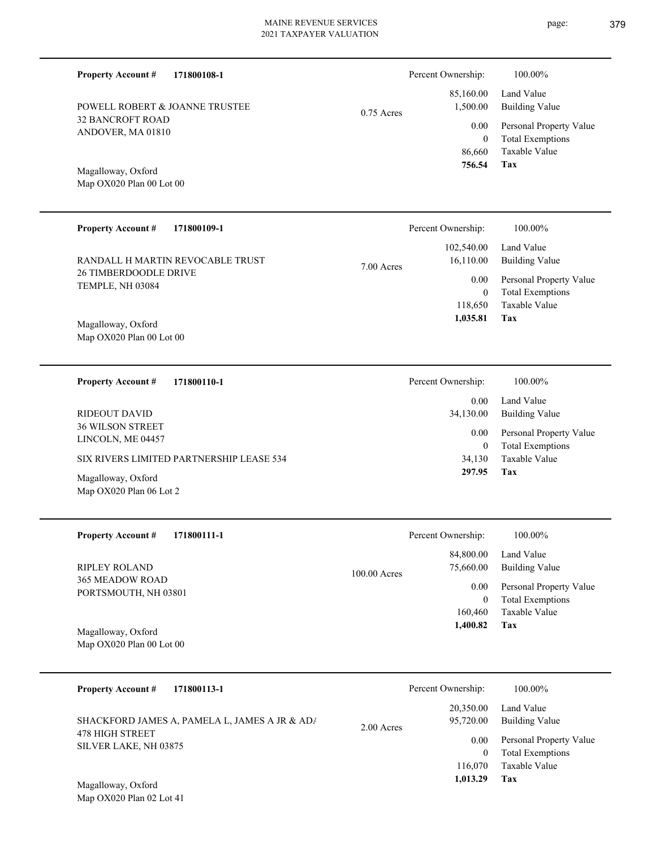**171800108-1**

**Property Account #**

32 BANCROFT ROAD ANDOVER, MA 01810 Map OX020 Plan 00 Lot 00 Magalloway, Oxford POWELL ROBERT & JOANNE TRUSTEE 86,660 0  **756.54** 1,500.00 0.00 0.75 Acres **171800109-1 Tax** Taxable Value Total Exemptions Personal Property Value Building Value Land Value 26 TIMBERDOODLE DRIVE TEMPLE, NH 03084 **Property Account #** Map OX020 Plan 00 Lot 00 Magalloway, Oxford RANDALL H MARTIN REVOCABLE TRUST 118,650 0  **1,035.81** 102,540.00 16,110.00 0.00 7.00 Acres **171800110-1 Tax** Taxable Value Total Exemptions Personal Property Value Building Value Land Value 36 WILSON STREET LINCOLN, ME 04457 **Property Account #** Magalloway, Oxford SIX RIVERS LIMITED PARTNERSHIP LEASE 534 RIDEOUT DAVID 34,130 0  **297.95** 0.00 34,130.00 0.00 Percent Ownership:  $100.00\%$ 

| <b>Property Account #</b><br>171800111-1 |                | Percent Ownership: | 100.00%                 |
|------------------------------------------|----------------|--------------------|-------------------------|
|                                          |                | 84,800.00          | Land Value              |
| RIPLEY ROLAND                            | $100.00$ Acres | 75,660.00          | <b>Building Value</b>   |
| 365 MEADOW ROAD<br>PORTSMOUTH, NH 03801  |                | 0.00               | Personal Property Value |
|                                          |                | $\mathbf{0}$       | <b>Total Exemptions</b> |
|                                          |                | 160,460            | Taxable Value           |
| Magalloway, Oxford                       |                | 1,400.82           | Tax                     |
| Map OX020 Plan 00 Lot 00                 |                |                    |                         |
|                                          |                |                    |                         |

| 171800113-1<br><b>Property Account #</b>                                                         | Percent Ownership:                             | 100.00%                                                                                   |
|--------------------------------------------------------------------------------------------------|------------------------------------------------|-------------------------------------------------------------------------------------------|
| SHACKFORD JAMES A, PAMELA L, JAMES A JR & AD/<br><b>478 HIGH STREET</b><br>SILVER LAKE, NH 03875 | 20,350.00<br>95,720.00<br>$2.00$ Acres<br>0.00 | Land Value<br><b>Building Value</b><br>Personal Property Value<br><b>Total Exemptions</b> |
| Magalloway, Oxford                                                                               | 116,070<br>1.013.29                            | Taxable Value<br>Tax                                                                      |

Map OX020 Plan 02 Lot 41

Map OX020 Plan 06 Lot 2

**Tax** Taxable Value Total Exemptions Personal Property Value Building Value Land Value 85,160.00 Percent Ownership: 100.00%

Percent Ownership: 100.00%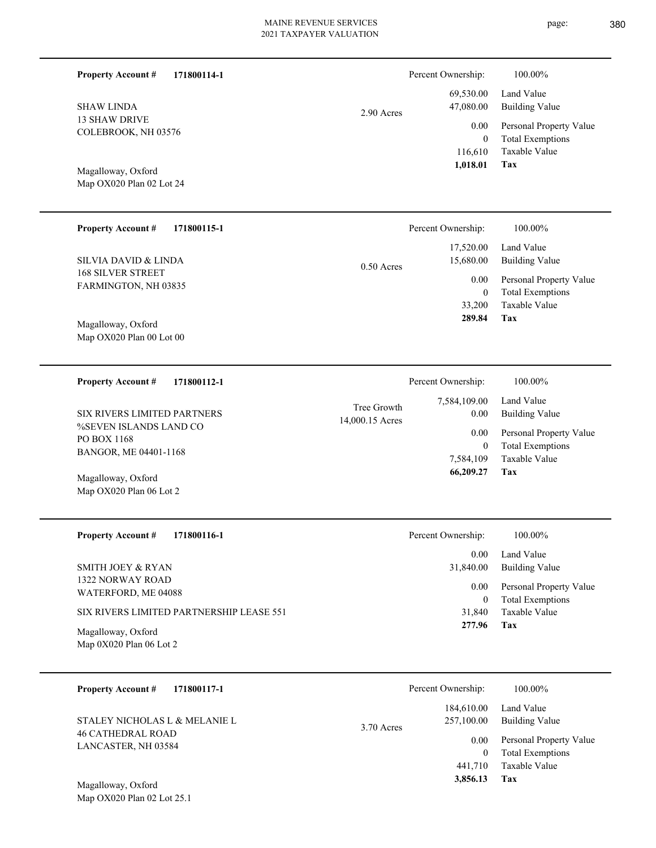| <b>Property Account #</b><br>171800114-1                       |                                | Percent Ownership:                          | 100.00%                                                                           |
|----------------------------------------------------------------|--------------------------------|---------------------------------------------|-----------------------------------------------------------------------------------|
| <b>SHAW LINDA</b>                                              | 2.90 Acres                     | 69,530.00<br>47,080.00                      | Land Value<br><b>Building Value</b>                                               |
| <b>13 SHAW DRIVE</b><br>COLEBROOK, NH 03576                    |                                | 0.00<br>$\mathbf{0}$<br>116,610<br>1,018.01 | Personal Property Value<br><b>Total Exemptions</b><br>Taxable Value<br><b>Tax</b> |
| Magalloway, Oxford<br>Map OX020 Plan 02 Lot 24                 |                                |                                             |                                                                                   |
| <b>Property Account #</b><br>171800115-1                       |                                | Percent Ownership:                          | 100.00%                                                                           |
| <b>SILVIA DAVID &amp; LINDA</b>                                | $0.50$ Acres                   | 17,520.00<br>15,680.00                      | Land Value<br><b>Building Value</b>                                               |
| <b>168 SILVER STREET</b><br>FARMINGTON, NH 03835               |                                | 0.00<br>$\boldsymbol{0}$<br>33,200          | Personal Property Value<br><b>Total Exemptions</b><br><b>Taxable Value</b>        |
| Magalloway, Oxford<br>Map OX020 Plan 00 Lot 00                 |                                | 289.84                                      | Tax                                                                               |
| 171800112-1<br><b>Property Account #</b>                       |                                | Percent Ownership:                          | 100.00%                                                                           |
| SIX RIVERS LIMITED PARTNERS                                    | Tree Growth<br>14,000.15 Acres | 7,584,109.00<br>0.00                        | Land Value<br><b>Building Value</b>                                               |
| %SEVEN ISLANDS LAND CO<br>PO BOX 1168<br>BANGOR, ME 04401-1168 |                                | 0.00<br>$\mathbf{0}$<br>7,584,109           | Personal Property Value<br><b>Total Exemptions</b><br>Taxable Value               |
| Magalloway, Oxford<br>Map OX020 Plan 06 Lot 2                  |                                | 66,209.27                                   | <b>Tax</b>                                                                        |
| <b>Property Account #</b><br>171800116-1                       |                                | Percent Ownership:                          | 100.00%                                                                           |
| SMITH JOEY & RYAN                                              |                                | 0.00<br>31,840.00                           | Land Value<br><b>Building Value</b>                                               |
| 1322 NORWAY ROAD<br>WATERFORD, ME 04088                        |                                | 0.00<br>$\mathbf{0}$                        | Personal Property Value<br><b>Total Exemptions</b>                                |
| SIX RIVERS LIMITED PARTNERSHIP LEASE 551                       |                                | 31,840<br>277.96                            | Taxable Value<br><b>Tax</b>                                                       |
| Magalloway, Oxford<br>Map 0X020 Plan 06 Lot 2                  |                                |                                             |                                                                                   |
| <b>Property Account #</b><br>171800117-1                       |                                | Percent Ownership:                          | 100.00%                                                                           |
| STALEY NICHOLAS L & MELANIE L                                  | 3.70 Acres                     | 184,610.00<br>257,100.00                    | Land Value<br><b>Building Value</b>                                               |
| <b>46 CATHEDRAL ROAD</b><br>LANCASTER, NH 03584                |                                | 0.00<br>$\mathbf{0}$                        | Personal Property Value<br><b>Total Exemptions</b>                                |
| Magalloway, Oxford<br>Map OX020 Plan 02 Lot 25.1               |                                | 441,710<br>3,856.13                         | Taxable Value<br>Tax                                                              |
|                                                                |                                |                                             |                                                                                   |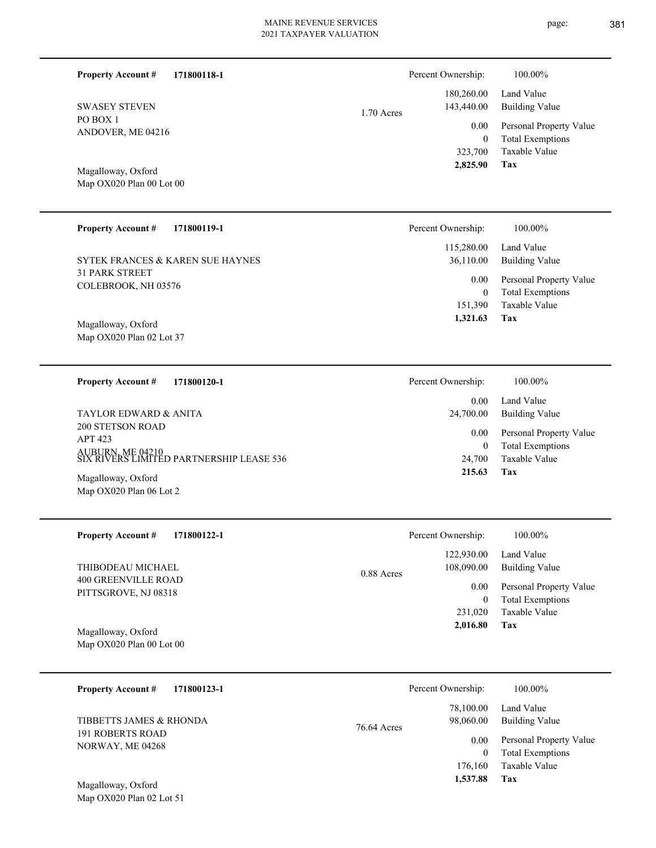| <b>Property Account #</b>                                    | 171800118-1 |              | Percent Ownership:          | 100.00%                                            |
|--------------------------------------------------------------|-------------|--------------|-----------------------------|----------------------------------------------------|
| <b>SWASEY STEVEN</b>                                         |             | $1.70$ Acres | 180,260.00<br>143,440.00    | Land Value<br><b>Building Value</b>                |
| PO BOX 1<br>ANDOVER, ME 04216                                |             |              | 0.00                        | Personal Property Value                            |
|                                                              |             |              | $\boldsymbol{0}$<br>323,700 | <b>Total Exemptions</b><br>Taxable Value           |
| Magalloway, Oxford<br>Map OX020 Plan 00 Lot 00               |             |              | 2,825.90                    | Tax                                                |
|                                                              |             |              |                             |                                                    |
| <b>Property Account #</b>                                    | 171800119-1 |              | Percent Ownership:          | 100.00%                                            |
| SYTEK FRANCES & KAREN SUE HAYNES                             |             |              | 115,280.00<br>36,110.00     | Land Value<br><b>Building Value</b>                |
| <b>31 PARK STREET</b><br>COLEBROOK, NH 03576                 |             |              | 0.00<br>$\mathbf{0}$        | Personal Property Value<br><b>Total Exemptions</b> |
|                                                              |             |              | 151,390                     | <b>Taxable Value</b>                               |
| Magalloway, Oxford<br>Map OX020 Plan 02 Lot 37               |             |              | 1,321.63                    | Tax                                                |
|                                                              |             |              |                             |                                                    |
| <b>Property Account #</b>                                    | 171800120-1 |              | Percent Ownership:          | 100.00%                                            |
| TAYLOR EDWARD & ANITA                                        |             |              | 0.00<br>24,700.00           | Land Value<br><b>Building Value</b>                |
| <b>200 STETSON ROAD</b><br><b>APT 423</b>                    |             |              | 0.00                        | Personal Property Value                            |
| AUBURN, ME 04210<br>SIX RIVERS LIMITED PARTNERSHIP LEASE 536 |             |              | $\boldsymbol{0}$<br>24,700  | <b>Total Exemptions</b><br>Taxable Value           |
| Magalloway, Oxford<br>Map OX020 Plan 06 Lot 2                |             |              | 215.63                      | Tax                                                |
|                                                              |             |              |                             |                                                    |
| <b>Property Account #</b>                                    | 171800122-1 |              | Percent Ownership:          | 100.00%                                            |
| THIBODEAU MICHAEL                                            |             |              | 122,930.00<br>108,090.00    | Land Value<br><b>Building Value</b>                |
| 400 GREENVILLE ROAD<br>PITTSGROVE, NJ 08318                  |             | 0.88 Acres   | 0.00                        | Personal Property Value                            |
|                                                              |             |              | $\boldsymbol{0}$<br>231,020 | <b>Total Exemptions</b><br>Taxable Value           |
| Magalloway, Oxford                                           |             |              | 2,016.80                    | Tax                                                |
| Map OX020 Plan 00 Lot 00                                     |             |              |                             |                                                    |
| <b>Property Account #</b>                                    | 171800123-1 |              | Percent Ownership:          | 100.00%                                            |
|                                                              |             |              | 78,100.00                   | Land Value                                         |

76.64 Acres

| 78,100.00 | Land value              |
|-----------|-------------------------|
| 98,060.00 | <b>Building Value</b>   |
| 0.00      | Personal Property Value |
| $\theta$  | <b>Total Exemptions</b> |
| 176,160   | Taxable Value           |
| 1,537.88  | Tax                     |

Map OX020 Plan 02 Lot 51 Magalloway, Oxford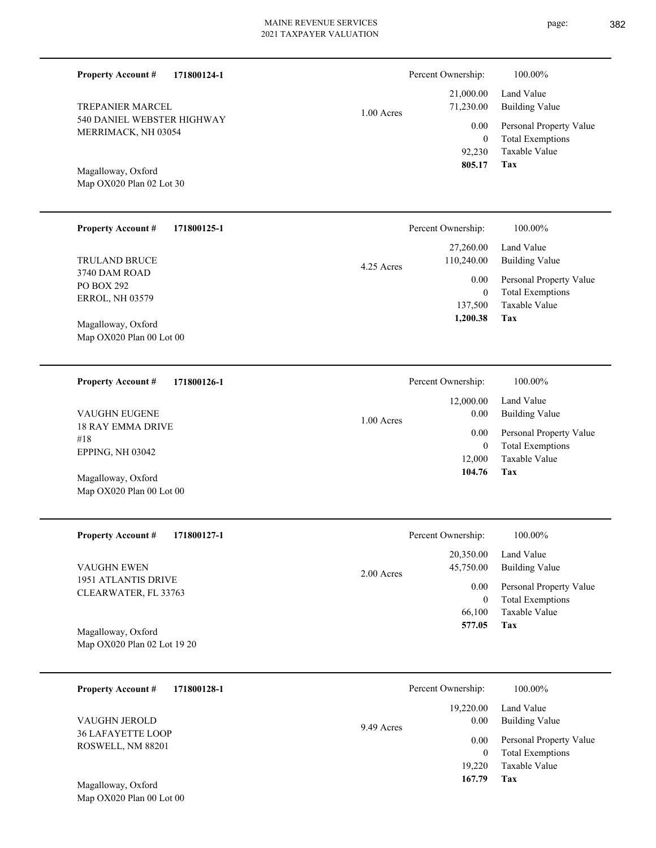1.00 Acres

**171800124-1**

540 DANIEL WEBSTER HIGHWAY MERRIMACK, NH 03054 TREPANIER MARCEL

Map OX020 Plan 02 Lot 30 Magalloway, Oxford

**Property Account #**

#### **171800125-1 Property Account #**

3740 DAM ROAD PO BOX 292 ERROL, NH 03579 TRULAND BRUCE

Map OX020 Plan 00 Lot 00 Magalloway, Oxford

**171800126-1 Property Account #**

18 RAY EMMA DRIVE #18 EPPING, NH 03042 VAUGHN EUGENE

Map OX020 Plan 00 Lot 00 Magalloway, Oxford

**171800127-1 Property Account #**

1951 ATLANTIS DRIVE CLEARWATER, FL 33763 VAUGHN EWEN

Map OX020 Plan 02 Lot 19 20 Magalloway, Oxford

| 171800128-1<br><b>Property Account #</b>  | Percent Ownership:              | 100.00%                                            |
|-------------------------------------------|---------------------------------|----------------------------------------------------|
| VAUGHN JEROLD<br><b>36 LAFAYETTE LOOP</b> | 19,220.00<br>0.00<br>9.49 Acres | Land Value<br>Building Value                       |
| ROSWELL, NM 88201                         | 0.00<br>0                       | Personal Property Value<br><b>Total Exemptions</b> |
|                                           | 19.220                          | Taxable Value                                      |
| Magalloway, Oxford                        | 167.79                          | Tax                                                |

2.00 Acres

Map OX020 Plan 00 Lot 00

|            | T VIUUIII O WHUISHID. | 1 VV.VV / V                  |
|------------|-----------------------|------------------------------|
|            |                       | $12,000.00$ Land Value       |
| 1.00 Acres | 0.00 <sub>1</sub>     | Building Value               |
|            |                       | 0.00 Personal Property Value |
|            | $\theta$              | <b>Total Exemptions</b>      |
|            |                       | 12,000 Taxable Value         |
|            | 104.76                | Tax                          |

|            | 805.17                  | Tax                                 |  |
|------------|-------------------------|-------------------------------------|--|
|            |                         |                                     |  |
|            | Percent Ownership:      | 100.00%                             |  |
| 4.25 Acres | 27,260.00<br>110,240.00 | Land Value<br><b>Building Value</b> |  |

 92,230 0

0.00

Percent Ownership: 100.00%

 21,000.00 71,230.00

Taxable Value Total Exemptions Personal Property Value 137,500 0 0.00

Taxable Value Total Exemptions Personal Property Value

Building Value Land Value

**Tax 1,200.38**

page: 382

Percent Ownership: 100.00%

**Tax 104.76**

**Tax** Taxable Value Total Exemptions Personal Property Value Building Value Land Value 66,100 0  **577.05** 20,350.00 45,750.00 0.00

Percent Ownership:  $100.00\%$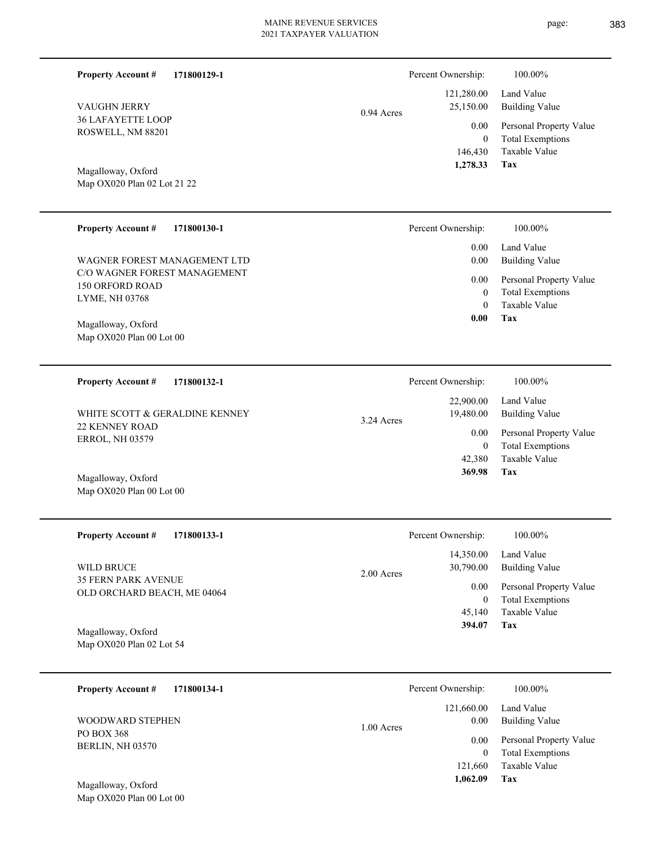| <b>36 LAFAYETTE LOOP</b><br>ROSWELL, NM 88201<br>Magalloway, Oxford<br>Map OX020 Plan 02 Lot 21 22 | $0.77 \text{ A}$<br>0.00<br>$\mathbf{0}$<br>146,430<br>1,278.33 | Personal Property Value<br><b>Total Exemptions</b><br>Taxable Value<br>Tax |
|----------------------------------------------------------------------------------------------------|-----------------------------------------------------------------|----------------------------------------------------------------------------|
| <b>Property Account #</b><br>171800130-1                                                           | Percent Ownership:                                              | 100.00%                                                                    |
|                                                                                                    | 0.00                                                            | Land Value                                                                 |
| WAGNER FOREST MANAGEMENT LTD                                                                       | 0.00                                                            | <b>Building Value</b>                                                      |
| C/O WAGNER FOREST MANAGEMENT                                                                       | 0.00                                                            | Personal Property Value                                                    |
| <b>150 ORFORD ROAD</b>                                                                             | $\mathbf{0}$                                                    | <b>Total Exemptions</b>                                                    |
| LYME, NH 03768                                                                                     | $\theta$                                                        | Taxable Value                                                              |
| Magalloway, Oxford                                                                                 | 0.00                                                            | Tax                                                                        |

0.94 Acres

Map OX020 Plan 00 Lot 00 Magalloway, Oxford

**Property Account #**

VAUGHN JERRY

**171800129-1**

**171800132-1 Tax** Taxable Value Total Exemptions Personal Property Value Building Value Land Value 22 KENNEY ROAD ERROL, NH 03579 **Property Account #** WHITE SCOTT & GERALDINE KENNEY 42,380 0  **369.98** 22,900.00 19,480.00 0.00 3.24 Acres Percent Ownership:  $100.00\%$ 

Map OX020 Plan 00 Lot 00 Magalloway, Oxford

| <b>Property Account #</b><br>171800133-1                  | Percent Ownership:        | 100.00%                 |
|-----------------------------------------------------------|---------------------------|-------------------------|
|                                                           | 14,350.00                 | Land Value              |
| WILD BRUCE                                                | 30,790.00<br>$2.00$ Acres | Building Value          |
| <b>35 FERN PARK AVENUE</b><br>OLD ORCHARD BEACH, ME 04064 | 0.00                      | Personal Property Value |
|                                                           | 0                         | <b>Total Exemptions</b> |
|                                                           | 45,140                    | Taxable Value           |
| Magalloway, Oxford                                        | 394.07                    | Tax                     |
| Map OX020 Plan 02 Lot 54                                  |                           |                         |

| 171800134-1<br><b>Property Account #</b>         | Percent Ownership:               | 100.00%                                            |
|--------------------------------------------------|----------------------------------|----------------------------------------------------|
| WOODWARD STEPHEN                                 | 121,660.00<br>0.00<br>1.00 Acres | Land Value<br>Building Value                       |
| PO BOX 368<br>BERLIN, NH 03570                   | 0.00<br>$\theta$                 | Personal Property Value<br><b>Total Exemptions</b> |
|                                                  | 121,660                          | Taxable Value                                      |
| Magalloway, Oxford<br>Map $OX020$ Plan 00 Lot 00 | 1.062.09                         | Tax                                                |

page: 383

Building Value Land Value

 121,280.00 25,150.00

Percent Ownership: 100.00%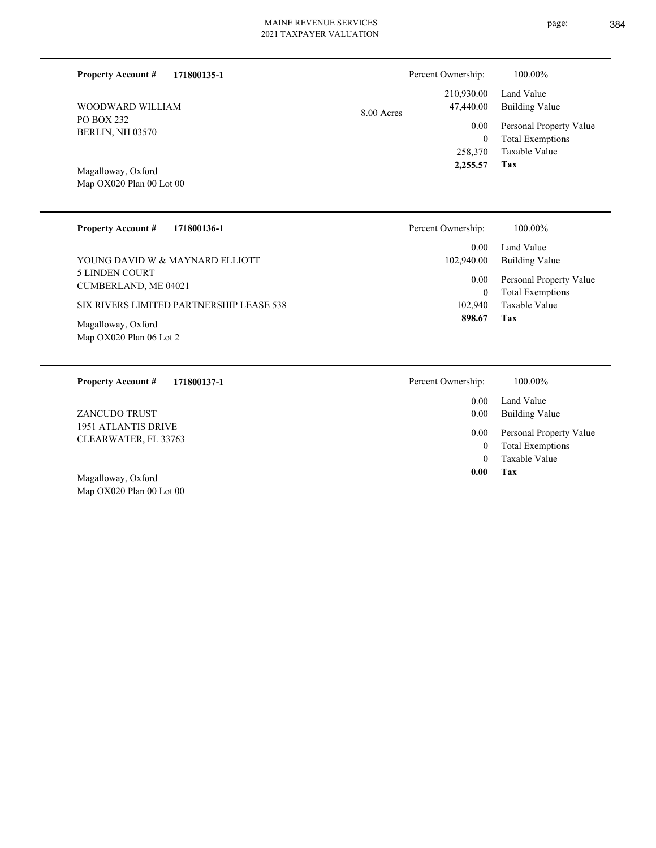| 171800135-1<br><b>Property Account #</b> | Percent Ownership: |                         | 100.00%                                            |
|------------------------------------------|--------------------|-------------------------|----------------------------------------------------|
| WOODWARD WILLIAM                         | $8.00$ Acres       | 210,930.00<br>47,440.00 | Land Value<br>Building Value                       |
| PO BOX 232<br><b>BERLIN, NH 03570</b>    |                    | 0.00<br>$\theta$        | Personal Property Value<br><b>Total Exemptions</b> |
|                                          |                    | 258,370                 | Taxable Value                                      |
| Magalloway, Oxford                       |                    | 2,255.57                | Tax                                                |

Map OX020 Plan 00 Lot 00

| <b>Property Account #</b><br>171800136-1             | Percent Ownership:   | 100.00%                                            |
|------------------------------------------------------|----------------------|----------------------------------------------------|
|                                                      | 0.00                 | Land Value                                         |
| YOUNG DAVID W & MAYNARD ELLIOTT                      | 102,940.00           | <b>Building Value</b>                              |
| <b>5 LINDEN COURT</b><br><b>CUMBERLAND, ME 04021</b> | 0.00<br>$\mathbf{0}$ | Personal Property Value<br><b>Total Exemptions</b> |
| SIX RIVERS LIMITED PARTNERSHIP LEASE 538             | 102,940              | Taxable Value                                      |
| Magalloway, Oxford<br>Map OX020 Plan 06 Lot 2        | 898.67               | Tax                                                |
| <b>Property Account #</b><br>171800137-1             | Percent Ownership:   | 100.00%                                            |
|                                                      | 0.00                 | Land Value                                         |
| <b>7 A MCHINO TDHET</b>                              | <u>ስ ስስ</u>          | $D_{\text{u}}d_{\text{in}} \propto V_0 \ln \delta$ |

1951 ATLANTIS DRIVE CLEARWATER, FL 33763 ZANCUDO TRUST

Map OX020 Plan 00 Lot 00 Magalloway, Oxford

| 0.00 | Land Value              |
|------|-------------------------|
| 0.00 | <b>Building Value</b>   |
| 0.00 | Personal Property Value |
| 0    | <b>Total Exemptions</b> |
| 0    | Taxable Value           |
| 0.00 | Tax                     |